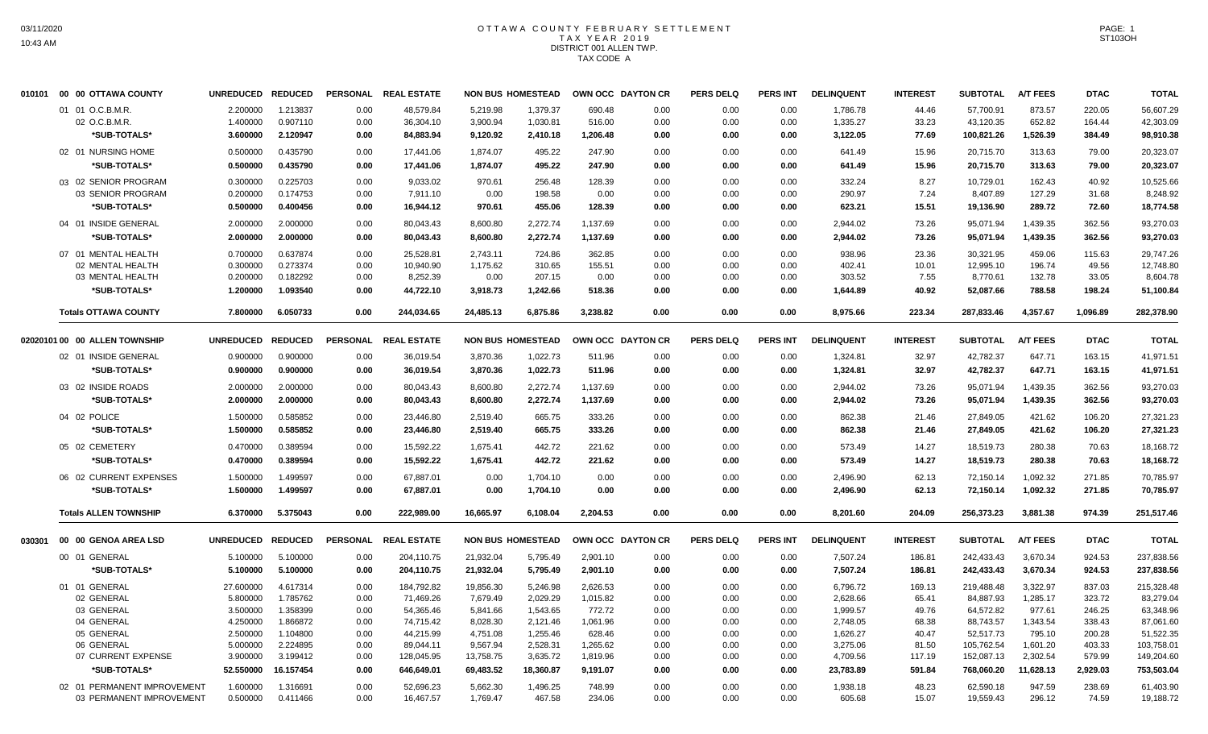# OTTAWA COUNTY FEBRUARY SETTLEMENT TAX YEAR 2019 DISTRICT 001 ALLEN TWP. TAX CODE A

|        | 010101 00 00 OTTAWA COUNTY    | UNREDUCED REDUCED |           | <b>PERSONAL</b> | <b>REAL ESTATE</b> |           | <b>NON BUS HOMESTEAD</b> | OWN OCC DAYTON CR |      | <b>PERS DELQ</b> | <b>PERS INT</b> | <b>DELINQUENT</b> | <b>INTEREST</b> | <b>SUBTOTAL</b> | <b>A/T FEES</b> | <b>DTAC</b> | <b>TOTAL</b> |
|--------|-------------------------------|-------------------|-----------|-----------------|--------------------|-----------|--------------------------|-------------------|------|------------------|-----------------|-------------------|-----------------|-----------------|-----------------|-------------|--------------|
|        | 01 01 O.C.B.M.R.              | 2.200000          | 1.213837  | 0.00            | 48,579.84          | 5,219.98  | 1,379.37                 | 690.48            | 0.00 | 0.00             | 0.00            | 1,786.78          | 44.46           | 57,700.91       | 873.57          | 220.05      | 56,607.29    |
|        | 02 O.C.B.M.R.                 | 1.400000          | 0.907110  | 0.00            | 36,304.10          | 3,900.94  | 1,030.81                 | 516.00            | 0.00 | 0.00             | 0.00            | 1,335.27          | 33.23           | 43,120.35       | 652.82          | 164.44      | 42,303.09    |
|        | *SUB-TOTALS*                  | 3.600000          | 2.120947  | 0.00            | 84,883.94          | 9,120.92  | 2,410.18                 | 1,206.48          | 0.00 | 0.00             | 0.00            | 3,122.05          | 77.69           | 100,821.26      | 1,526.39        | 384.49      | 98,910.38    |
|        | 02 01 NURSING HOME            | 0.500000          | 0.435790  | 0.00            | 17,441.06          | 1,874.07  | 495.22                   | 247.90            | 0.00 | 0.00             | 0.00            | 641.49            | 15.96           | 20,715.70       | 313.63          | 79.00       | 20,323.07    |
|        | <b>SUB-TOTALS*</b>            | 0.500000          | 0.435790  | 0.00            | 17,441.06          | 1,874.07  | 495.22                   | 247.90            | 0.00 | 0.00             | 0.00            | 641.49            | 15.96           | 20,715.70       | 313.63          | 79.00       | 20,323.07    |
|        | 03 02 SENIOR PROGRAM          | 0.300000          | 0.225703  | 0.00            | 9,033.02           | 970.61    | 256.48                   | 128.39            | 0.00 | 0.00             | 0.00            | 332.24            | 8.27            | 10,729.01       | 162.43          | 40.92       | 10,525.66    |
|        | 03 SENIOR PROGRAM             | 0.200000          | 0.174753  | 0.00            | 7,911.10           | 0.00      | 198.58                   | 0.00              | 0.00 | 0.00             | 0.00            | 290.97            | 7.24            | 8,407.89        | 127.29          | 31.68       | 8,248.92     |
|        | *SUB-TOTALS*                  | 0.500000          | 0.400456  | 0.00            | 16,944.12          | 970.61    | 455.06                   | 128.39            | 0.00 | 0.00             | 0.00            | 623.21            | 15.51           | 19,136.90       | 289.72          | 72.60       | 18,774.58    |
|        | 04 01 INSIDE GENERAL          | 2.000000          | 2.000000  | 0.00            | 80,043.43          | 8,600.80  | 2,272.74                 | 1,137.69          | 0.00 | 0.00             | 0.00            | 2,944.02          | 73.26           | 95,071.94       | 1,439.35        | 362.56      | 93,270.03    |
|        | *SUB-TOTALS*                  | 2.000000          | 2.000000  | 0.00            | 80,043.43          | 8,600.80  | 2,272.74                 | 1,137.69          | 0.00 | 0.00             | 0.00            | 2,944.02          | 73.26           | 95,071.94       | 1,439.35        | 362.56      | 93,270.03    |
|        | 07 01 MENTAL HEALTH           | 0.700000          | 0.637874  | 0.00            | 25,528.81          | 2,743.11  | 724.86                   | 362.85            | 0.00 | 0.00             | 0.00            | 938.96            | 23.36           | 30,321.95       | 459.06          | 115.63      | 29,747.26    |
|        | 02 MENTAL HEALTH              | 0.300000          | 0.273374  | 0.00            | 10,940.90          | 1,175.62  | 310.65                   | 155.51            | 0.00 | 0.00             | 0.00            | 402.41            | 10.01           | 12,995.10       | 196.74          | 49.56       | 12,748.80    |
|        | 03 MENTAL HEALTH              | 0.200000          | 0.182292  | 0.00            | 8,252.39           | 0.00      | 207.15                   | 0.00              | 0.00 | 0.00             | 0.00            | 303.52            | 7.55            | 8,770.61        | 132.78          | 33.05       | 8.604.78     |
|        | *SUB-TOTALS*                  | 1.200000          | 1.093540  | 0.00            | 44,722.10          | 3,918.73  | 1,242.66                 | 518.36            | 0.00 | 0.00             | 0.00            | 1,644.89          | 40.92           | 52,087.66       | 788.58          | 198.24      | 51,100.84    |
|        | <b>Totals OTTAWA COUNTY</b>   | 7.800000          | 6.050733  | 0.00            | 244,034.65         | 24,485.13 | 6,875.86                 | 3,238.82          | 0.00 | 0.00             | 0.00            | 8,975.66          | 223.34          | 287,833.46      | 4,357.67        | 1,096.89    | 282,378.90   |
|        | 02020101 00 00 ALLEN TOWNSHIP | UNREDUCED REDUCED |           | <b>PERSONAL</b> | <b>REAL ESTATE</b> |           | <b>NON BUS HOMESTEAD</b> | OWN OCC DAYTON CR |      | <b>PERS DELQ</b> | <b>PERS INT</b> | <b>DELINQUENT</b> | <b>INTEREST</b> | <b>SUBTOTAL</b> | <b>A/T FEES</b> | <b>DTAC</b> | <b>TOTAL</b> |
|        | 02 01 INSIDE GENERAL          | 0.900000          | 0.900000  | 0.00            | 36,019.54          | 3,870.36  | 1,022.73                 | 511.96            | 0.00 | 0.00             | 0.00            | 1,324.81          | 32.97           | 42,782.37       | 647.71          | 163.15      | 41,971.51    |
|        | *SUB-TOTALS*                  | 0.900000          | 0.900000  | 0.00            | 36,019.54          | 3,870.36  | 1,022.73                 | 511.96            | 0.00 | 0.00             | 0.00            | 1,324.81          | 32.97           | 42,782.37       | 647.71          | 163.15      | 41,971.51    |
|        | 03 02 INSIDE ROADS            | 2.000000          | 2.000000  | 0.00            | 80.043.43          | 8,600.80  | 2.272.74                 | 1,137.69          | 0.00 | 0.00             | 0.00            | 2,944.02          | 73.26           | 95.071.94       | 1.439.35        | 362.56      | 93,270.03    |
|        | *SUB-TOTALS*                  | 2.000000          | 2.000000  | 0.00            | 80,043.43          | 8,600.80  | 2,272.74                 | 1,137.69          | 0.00 | 0.00             | 0.00            | 2,944.02          | 73.26           | 95,071.94       | 1,439.35        | 362.56      | 93,270.03    |
|        | 04 02 POLICE                  | 1.500000          | 0.585852  | 0.00            | 23,446.80          | 2,519.40  | 665.75                   | 333.26            | 0.00 | 0.00             | 0.00            | 862.38            | 21.46           | 27,849.05       | 421.62          | 106.20      | 27,321.23    |
|        | *SUB-TOTALS*                  | 1.500000          | 0.585852  | 0.00            | 23,446.80          | 2,519.40  | 665.75                   | 333.26            | 0.00 | 0.00             | 0.00            | 862.38            | 21.46           | 27,849.05       | 421.62          | 106.20      | 27,321.23    |
|        | 05 02 CEMETERY                | 0.470000          | 0.389594  | 0.00            | 15,592.22          | 1,675.41  | 442.72                   | 221.62            | 0.00 | 0.00             | 0.00            | 573.49            | 14.27           | 18,519.73       | 280.38          | 70.63       | 18,168.72    |
|        | *SUB-TOTALS*                  | 0.470000          | 0.389594  | 0.00            | 15,592.22          | 1,675.41  | 442.72                   | 221.62            | 0.00 | 0.00             | 0.00            | 573.49            | 14.27           | 18,519.73       | 280.38          | 70.63       | 18,168.72    |
|        | 06 02 CURRENT EXPENSES        | 1.500000          | 1.499597  | 0.00            | 67,887.01          | 0.00      | 1,704.10                 | 0.00              | 0.00 | 0.00             | 0.00            | 2,496.90          | 62.13           | 72,150.14       | 1,092.32        | 271.85      | 70,785.97    |
|        | *SUB-TOTALS*                  | 1.500000          | 1.499597  | 0.00            | 67,887.01          | 0.00      | 1,704.10                 | 0.00              | 0.00 | 0.00             | 0.00            | 2,496.90          | 62.13           | 72,150.14       | 1,092.32        | 271.85      | 70,785.97    |
|        | <b>Totals ALLEN TOWNSHIP</b>  | 6.370000          | 5.375043  | 0.00            | 222,989.00         | 16,665.97 | 6,108.04                 | 2,204.53          | 0.00 | 0.00             | 0.00            | 8,201.60          | 204.09          | 256,373.23      | 3,881.38        | 974.39      | 251,517.46   |
| 030301 | 00 00 GENOA AREA LSD          | UNREDUCED REDUCED |           | <b>PERSONAL</b> | <b>REAL ESTATE</b> |           | <b>NON BUS HOMESTEAD</b> | OWN OCC DAYTON CR |      | <b>PERS DELQ</b> | <b>PERS INT</b> | <b>DELINQUENT</b> | <b>INTEREST</b> | <b>SUBTOTAL</b> | <b>A/T FEES</b> | <b>DTAC</b> | <b>TOTAL</b> |
|        | 00 01 GENERAL                 | 5.100000          | 5.100000  | 0.00            | 204,110.75         | 21,932.04 | 5,795.49                 | 2,901.10          | 0.00 | 0.00             | 0.00            | 7,507.24          | 186.81          | 242,433.43      | 3,670.34        | 924.53      | 237,838.56   |
|        | *SUB-TOTALS*                  | 5.100000          | 5.100000  | 0.00            | 204,110.75         | 21,932.04 | 5,795.49                 | 2,901.10          | 0.00 | 0.00             | 0.00            | 7,507.24          | 186.81          | 242,433.43      | 3,670.34        | 924.53      | 237,838.56   |
|        | 01 01 GENERAL                 | 27.600000         | 4.617314  | 0.00            | 184,792.82         | 19,856.30 | 5,246.98                 | 2,626.53          | 0.00 | 0.00             | 0.00            | 6,796.72          | 169.13          | 219,488.48      | 3,322.97        | 837.03      | 215,328.48   |
|        | 02 GENERAL                    | 5.800000          | 1.785762  | 0.00            | 71,469.26          | 7,679.49  | 2,029.29                 | 1,015.82          | 0.00 | 0.00             | 0.00            | 2,628.66          | 65.41           | 84,887.93       | 1,285.17        | 323.72      | 83,279.04    |
|        | 03 GENERAL                    | 3.500000          | 1.358399  | 0.00            | 54,365.46          | 5,841.66  | 1,543.65                 | 772.72            | 0.00 | 0.00             | 0.00            | 1,999.57          | 49.76           | 64,572.82       | 977.61          | 246.25      | 63,348.96    |
|        | 04 GENERAL                    | 4.250000          | 1.866872  | 0.00            | 74,715.42          | 8,028.30  | 2,121.46                 | 1,061.96          | 0.00 | 0.00             | 0.00            | 2,748.05          | 68.38           | 88,743.57       | 1,343.54        | 338.43      | 87,061.60    |
|        | 05 GENERAL                    | 2.500000          | 1.104800  | 0.00            | 44,215.99          | 4,751.08  | 1,255.46                 | 628.46            | 0.00 | 0.00             | 0.00            | 1,626.27          | 40.47           | 52,517.73       | 795.10          | 200.28      | 51,522.35    |
|        | 06 GENERAL                    | 5.000000          | 2.224895  | 0.00            | 89,044.11          | 9.567.94  | 2,528.31                 | 1,265.62          | 0.00 | 0.00             | 0.00            | 3,275.06          | 81.50           | 105,762.54      | 1.601.20        | 403.33      | 103,758.01   |
|        | 07 CURRENT EXPENSE            | 3.900000          | 3.199412  | 0.00            | 128,045.95         | 13,758.75 | 3,635.72                 | 1,819.96          | 0.00 | 0.00             | 0.00            | 4,709.56          | 117.19          | 152,087.13      | 2,302.54        | 579.99      | 149,204.60   |
|        | *SUB-TOTALS*                  | 52.550000         | 16.157454 | 0.00            | 646,649.01         | 69,483.52 | 18,360.87                | 9,191.07          | 0.00 | 0.00             | 0.00            | 23,783.89         | 591.84          | 768,060.20      | 11,628.13       | 2,929.03    | 753,503.04   |
|        | 02 01 PERMANENT IMPROVEMENT   | 1.600000          | 1.316691  | 0.00            | 52,696.23          | 5,662.30  | 1,496.25                 | 748.99            | 0.00 | 0.00             | 0.00            | 1,938.18          | 48.23           | 62,590.18       | 947.59          | 238.69      | 61,403.90    |
|        | 03 PERMANENT IMPROVEMENT      | 0.500000          | 0.411466  | 0.00            | 16,467.57          | 1,769.47  | 467.58                   | 234.06            | 0.00 | 0.00             | 0.00            | 605.68            | 15.07           | 19,559.43       | 296.12          | 74.59       | 19,188.72    |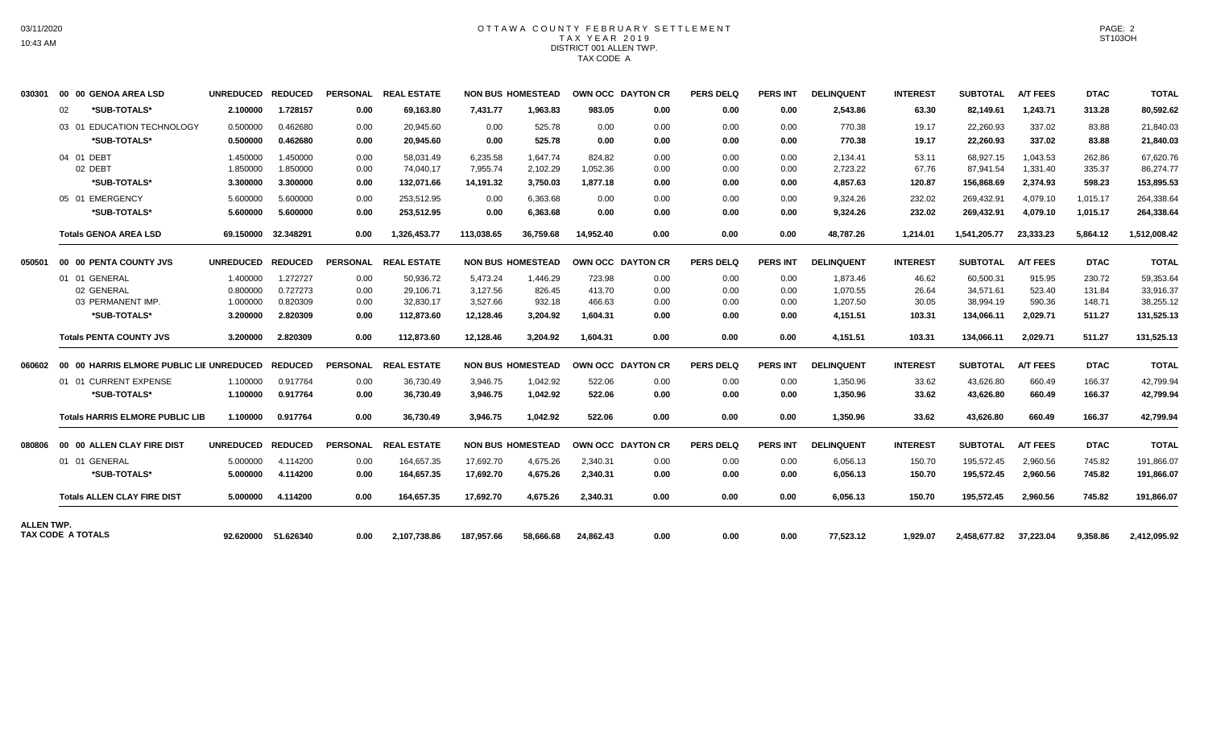### OTTAWA COUNTY FEBRUARY SETTLEMENT TAX YEAR 2019 DISTRICT 001 ALLEN TWP. TAX CODE A

| 030301     |    | 00 00 GENOA AREA LSD                   | UNREDUCED REDUCED |                     |                 | PERSONAL REAL ESTATE |            | <b>NON BUS HOMESTEAD</b> | OWN OCC DAYTON CR |      | <b>PERS DELQ</b> | <b>PERS INT</b> | <b>DELINQUENT</b> | <b>INTEREST</b> | <b>SUBTOTAL</b> | <b>A/T FEES</b> | <b>DTAC</b> | <b>TOTAL</b> |
|------------|----|----------------------------------------|-------------------|---------------------|-----------------|----------------------|------------|--------------------------|-------------------|------|------------------|-----------------|-------------------|-----------------|-----------------|-----------------|-------------|--------------|
|            | 02 | *SUB-TOTALS*                           | 2.100000          | 1.728157            | 0.00            | 69,163.80            | 7,431.77   | 1,963.83                 | 983.05            | 0.00 | 0.00             | 0.00            | 2,543.86          | 63.30           | 82,149.61       | 1,243.71        | 313.28      | 80,592.62    |
|            |    | 03 01 EDUCATION TECHNOLOGY             | 0.500000          | 0.462680            | 0.00            | 20.945.60            | 0.00       | 525.78                   | 0.00              | 0.00 | 0.00             | 0.00            | 770.38            | 19.17           | 22,260.93       | 337.02          | 83.88       | 21,840.03    |
|            |    | *SUB-TOTALS*                           | 0.500000          | 0.462680            | 0.00            | 20,945.60            | 0.00       | 525.78                   | 0.00              | 0.00 | 0.00             | 0.00            | 770.38            | 19.17           | 22,260.93       | 337.02          | 83.88       | 21,840.03    |
|            |    | 04 01 DEBT                             | 1.450000          | 1.450000            | 0.00            | 58.031.49            | 6.235.58   | 1.647.74                 | 824.82            | 0.00 | 0.00             | 0.00            | 2,134.41          | 53.11           | 68.927.15       | 1.043.53        | 262.86      | 67,620.76    |
|            |    | 02 DEBT                                | 1.850000          | 1.850000            | 0.00            | 74.040.17            | 7,955.74   | 2,102.29                 | 1,052.36          | 0.00 | 0.00             | 0.00            | 2,723.22          | 67.76           | 87,941.54       | 1,331.40        | 335.37      | 86,274.77    |
|            |    | *SUB-TOTALS*                           | 3.300000          | 3.300000            | 0.00            | 132,071.66           | 14,191.32  | 3,750.03                 | 1,877.18          | 0.00 | 0.00             | 0.00            | 4,857.63          | 120.87          | 156,868.69      | 2,374.93        | 598.23      | 153,895.53   |
|            |    | 05 01 EMERGENCY                        | 5.600000          | 5.600000            | 0.00            | 253,512.95           | 0.00       | 6,363.68                 | 0.00              | 0.00 | 0.00             | 0.00            | 9,324.26          | 232.02          | 269,432.91      | 4.079.10        | 1,015.17    | 264,338.64   |
|            |    | *SUB-TOTALS*                           | 5.600000          | 5.600000            | 0.00            | 253,512.95           | 0.00       | 6,363.68                 | 0.00              | 0.00 | 0.00             | 0.00            | 9,324.26          | 232.02          | 269,432.91      | 4,079.10        | 1,015.17    | 264,338.64   |
|            |    | <b>Totals GENOA AREA LSD</b>           |                   | 69.150000 32.348291 | 0.00            | 1.326.453.77         | 113.038.65 | 36.759.68                | 14.952.40         | 0.00 | 0.00             | 0.00            | 48.787.26         | 1.214.01        | 1.541.205.77    | 23.333.23       | 5.864.12    | 1,512,008.42 |
| 050501     |    | <b>00 00 PENTA COUNTY JVS</b>          | <b>UNREDUCED</b>  | <b>REDUCED</b>      | <b>PERSONAL</b> | <b>REAL ESTATE</b>   |            | <b>NON BUS HOMESTEAD</b> | OWN OCC DAYTON CR |      | <b>PERS DELQ</b> | <b>PERS INT</b> | <b>DELINQUENT</b> | <b>INTEREST</b> | <b>SUBTOTAL</b> | <b>A/T FEES</b> | <b>DTAC</b> | <b>TOTAL</b> |
|            |    | 01 01 GENERAL                          | 1.400000          | 1.272727            | 0.00            | 50.936.72            | 5.473.24   | 1.446.29                 | 723.98            | 0.00 | 0.00             | 0.00            | 1.873.46          | 46.62           | 60.500.31       | 915.95          | 230.72      | 59.353.64    |
|            |    | 02 GENERAL                             | 0.800000          | 0.727273            | 0.00            | 29,106.71            | 3,127.56   | 826.45                   | 413.70            | 0.00 | 0.00             | 0.00            | 1,070.55          | 26.64           | 34,571.61       | 523.40          | 131.84      | 33,916.37    |
|            |    | 03 PERMANENT IMP.                      | 1.000000          | 0.820309            | 0.00            | 32,830.17            | 3.527.66   | 932.18                   | 466.63            | 0.00 | 0.00             | 0.00            | 1.207.50          | 30.05           | 38.994.19       | 590.36          | 148.71      | 38,255.12    |
|            |    | *SUB-TOTALS*                           | 3.200000          | 2.820309            | 0.00            | 112,873.60           | 12,128.46  | 3,204.92                 | 1,604.31          | 0.00 | 0.00             | 0.00            | 4,151.51          | 103.31          | 134,066.11      | 2,029.71        | 511.27      | 131,525.13   |
|            |    | <b>Totals PENTA COUNTY JVS</b>         | 3.200000          | 2.820309            | 0.00            | 112,873.60           | 12,128.46  | 3,204.92                 | 1,604.31          | 0.00 | 0.00             | 0.00            | 4,151.51          | 103.31          | 134,066.11      | 2,029.71        | 511.27      | 131,525.13   |
|            |    |                                        |                   | <b>REDUCED</b>      |                 | PERSONAL REAL ESTATE |            | <b>NON BUS HOMESTEAD</b> | OWN OCC DAYTON CR |      | <b>PERS DELQ</b> | <b>PERS INT</b> | <b>DELINQUENT</b> | <b>INTEREST</b> | <b>SUBTOTAL</b> | <b>A/T FEES</b> | <b>DTAC</b> | <b>TOTAL</b> |
|            |    | 01 01 CURRENT EXPENSE                  | 1.100000          | 0.917764            | 0.00            | 36,730.49            | 3,946.75   | 1,042.92                 | 522.06            | 0.00 | 0.00             | 0.00            | 1,350.96          | 33.62           | 43,626.80       | 660.49          | 166.37      | 42,799.94    |
|            |    | *SUB-TOTALS*                           | 1.100000          | 0.917764            | 0.00            | 36,730.49            | 3,946.75   | 1,042.92                 | 522.06            | 0.00 | 0.00             | 0.00            | 1,350.96          | 33.62           | 43,626.80       | 660.49          | 166.37      | 42,799.94    |
|            |    | <b>Totals HARRIS ELMORE PUBLIC LIB</b> | 1.100000          | 0.917764            | 0.00            | 36,730.49            | 3,946.75   | 1,042.92                 | 522.06            | 0.00 | 0.00             | 0.00            | 1,350.96          | 33.62           | 43,626.80       | 660.49          | 166.37      | 42,799.94    |
| 080806     |    | 00 00 ALLEN CLAY FIRE DIST             | <b>UNREDUCED</b>  | <b>REDUCED</b>      | <b>PERSONAL</b> | <b>REAL ESTATE</b>   |            | <b>NON BUS HOMESTEAD</b> | OWN OCC DAYTON CR |      | <b>PERS DELQ</b> | <b>PERS INT</b> | <b>DELINQUENT</b> | <b>INTEREST</b> | <b>SUBTOTAL</b> | <b>A/T FEES</b> | <b>DTAC</b> | <b>TOTAL</b> |
|            |    | 01 01 GENERAL                          | 5.000000          | 4.114200            | 0.00            | 164,657.35           | 17,692.70  | 4,675.26                 | 2,340.31          | 0.00 | 0.00             | 0.00            | 6,056.13          | 150.70          | 195,572.45      | 2,960.56        | 745.82      | 191,866.07   |
|            |    | *SUB-TOTALS*                           | 5.000000          | 4.114200            | 0.00            | 164,657.35           | 17,692.70  | 4,675.26                 | 2,340.31          | 0.00 | 0.00             | 0.00            | 6,056.13          | 150.70          | 195,572.45      | 2,960.56        | 745.82      | 191,866.07   |
|            |    | <b>Totals ALLEN CLAY FIRE DIST</b>     | 5.000000          | 4.114200            | 0.00            | 164.657.35           | 17.692.70  | 4.675.26                 | 2,340.31          | 0.00 | 0.00             | 0.00            | 6.056.13          | 150.70          | 195.572.45      | 2.960.56        | 745.82      | 191,866.07   |
| ALLEN TWP. |    |                                        |                   |                     |                 |                      |            |                          |                   |      |                  |                 |                   |                 |                 |                 |             |              |
|            |    | <b>TAX CODE A TOTALS</b>               |                   | 92.620000 51.626340 | 0.00            | 2.107.738.86         | 187.957.66 | 58.666.68                | 24.862.43         | 0.00 | 0.00             | 0.00            | 77,523.12         | 1.929.07        | 2.458.677.82    | 37,223.04       | 9,358.86    | 2,412,095.92 |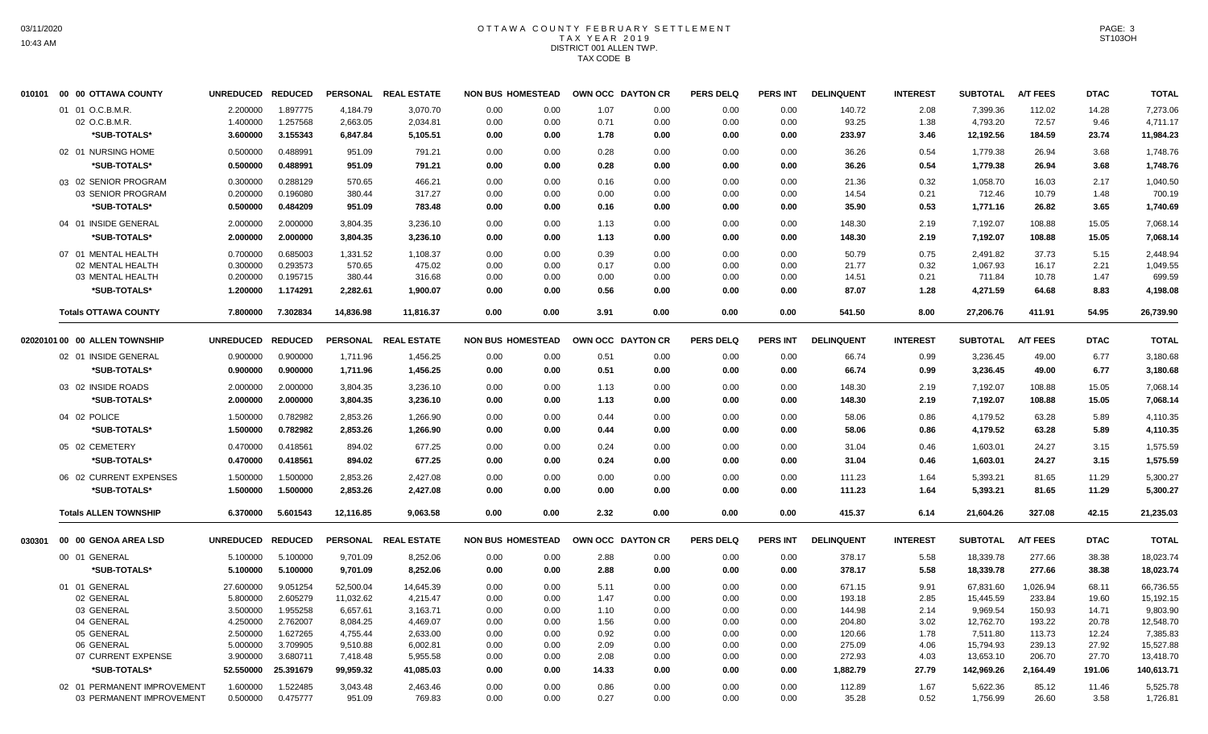# OTTAWA COUNTY FEBRUARY SETTLEMENT TAX YEAR 2019 DISTRICT 001 ALLEN TWP. TAX CODE B

| 010101 | 00 00 OTTAWA COUNTY            | UNREDUCED REDUCED |                      |           | PERSONAL REAL ESTATE | <b>NON BUS HOMESTEAD</b> |              | OWN OCC DAYTON CR |      | <b>PERS DELQ</b> | <b>PERS INT</b> | <b>DELINQUENT</b> | <b>INTEREST</b> | <b>SUBTOTAL</b> | <b>A/T FEES</b> | <b>DTAC</b> | <b>TOTAL</b> |
|--------|--------------------------------|-------------------|----------------------|-----------|----------------------|--------------------------|--------------|-------------------|------|------------------|-----------------|-------------------|-----------------|-----------------|-----------------|-------------|--------------|
|        | 01 01 O.C.B.M.R.               | 2.200000          | 1.897775             | 4,184.79  | 3,070.70             | 0.00                     | 0.00         | 1.07              | 0.00 | 0.00             | 0.00            | 140.72            | 2.08            | 7,399.36        | 112.02          | 14.28       | 7,273.06     |
|        | 02 O.C.B.M.R.                  | 1.400000          | 1.257568             | 2,663.05  | 2,034.81             | 0.00                     | 0.00         | 0.71              | 0.00 | 0.00             | 0.00            | 93.25             | 1.38            | 4,793.20        | 72.57           | 9.46        | 4,711.17     |
|        | *SUB-TOTALS*                   | 3.600000          | 3.155343             | 6,847.84  | 5,105.51             | 0.00                     | 0.00         | 1.78              | 0.00 | 0.00             | 0.00            | 233.97            | 3.46            | 12,192.56       | 184.59          | 23.74       | 11,984.23    |
|        | 02 01 NURSING HOME             | 0.500000          | 0.488991             | 951.09    | 791.21               | 0.00                     | 0.00         | 0.28              | 0.00 | 0.00             | 0.00            | 36.26             | 0.54            | 1,779.38        | 26.94           | 3.68        | 1,748.76     |
|        | *SUB-TOTALS*                   | 0.500000          | 0.488991             | 951.09    | 791.21               | 0.00                     | 0.00         | 0.28              | 0.00 | 0.00             | 0.00            | 36.26             | 0.54            | 1,779.38        | 26.94           | 3.68        | 1,748.76     |
|        | 03 02 SENIOR PROGRAM           | 0.300000          | 0.288129             | 570.65    | 466.21               | 0.00                     | 0.00         | 0.16              | 0.00 | 0.00             | 0.00            | 21.36             | 0.32            | 1,058.70        | 16.03           | 2.17        | 1.040.50     |
|        | 03 SENIOR PROGRAM              | 0.200000          | 0.196080             | 380.44    | 317.27               | 0.00                     | 0.00         | 0.00              | 0.00 | 0.00             | 0.00            | 14.54             | 0.21            | 712.46          | 10.79           | 1.48        | 700.19       |
|        | *SUB-TOTALS*                   | 0.500000          | 0.484209             | 951.09    | 783.48               | 0.00                     | 0.00         | 0.16              | 0.00 | 0.00             | 0.00            | 35.90             | 0.53            | 1,771.16        | 26.82           | 3.65        | 1,740.69     |
|        | 04 01 INSIDE GENERAL           | 2.000000          | 2.000000             | 3,804.35  | 3,236.10             | 0.00                     | 0.00         | 1.13              | 0.00 | 0.00             | 0.00            | 148.30            | 2.19            | 7,192.07        | 108.88          | 15.05       | 7,068.14     |
|        | *SUB-TOTALS*                   | 2.000000          | 2.000000             | 3,804.35  | 3,236.10             | 0.00                     | 0.00         | 1.13              | 0.00 | 0.00             | 0.00            | 148.30            | 2.19            | 7,192.07        | 108.88          | 15.05       | 7,068.14     |
|        | 07 01 MENTAL HEALTH            | 0.700000          | 0.685003             | 1,331.52  | 1,108.37             | 0.00                     | 0.00         | 0.39              | 0.00 | 0.00             | 0.00            | 50.79             | 0.75            | 2,491.82        | 37.73           | 5.15        | 2,448.94     |
|        | 02 MENTAL HEALTH               | 0.300000          | 0.293573             | 570.65    | 475.02               | 0.00                     | 0.00         | 0.17              | 0.00 | 0.00             | 0.00            | 21.77             | 0.32            | 1,067.93        | 16.17           | 2.21        | 1,049.55     |
|        | 03 MENTAL HEALTH               | 0.200000          | 0.195715             | 380.44    | 316.68               | 0.00                     | 0.00         | 0.00              | 0.00 | 0.00             | 0.00            | 14.51             | 0.21            | 711.84          | 10.78           | 1.47        | 699.59       |
|        | *SUB-TOTALS*                   | 1.200000          | 1.174291             | 2,282.61  | 1,900.07             | 0.00                     | 0.00         | 0.56              | 0.00 | 0.00             | 0.00            | 87.07             | 1.28            | 4,271.59        | 64.68           | 8.83        | 4,198.08     |
|        | <b>Totals OTTAWA COUNTY</b>    | 7.800000          | 7.302834             | 14,836.98 | 11,816.37            | 0.00                     | 0.00         | 3.91              | 0.00 | 0.00             | 0.00            | 541.50            | 8.00            | 27,206.76       | 411.91          | 54.95       | 26,739.90    |
|        | 02020101 00 00 ALLEN TOWNSHIP  | UNREDUCED REDUCED |                      |           | PERSONAL REAL ESTATE | <b>NON BUS HOMESTEAD</b> |              | OWN OCC DAYTON CR |      | <b>PERS DELQ</b> | <b>PERS INT</b> | <b>DELINQUENT</b> | <b>INTEREST</b> | <b>SUBTOTAL</b> | <b>A/T FEES</b> | <b>DTAC</b> | <b>TOTAL</b> |
|        | 02 01 INSIDE GENERAL           | 0.900000          | 0.900000             | 1,711.96  | 1,456.25             | 0.00                     | 0.00         | 0.51              | 0.00 | 0.00             | 0.00            | 66.74             | 0.99            | 3,236.45        | 49.00           | 6.77        | 3,180.68     |
|        | *SUB-TOTALS*                   | 0.900000          | 0.900000             | 1,711.96  | 1,456.25             | 0.00                     | 0.00         | 0.51              | 0.00 | 0.00             | 0.00            | 66.74             | 0.99            | 3,236.45        | 49.00           | 6.77        | 3,180.68     |
|        | 03 02 INSIDE ROADS             | 2.000000          | 2.000000             | 3,804.35  | 3,236.10             | 0.00                     | 0.00         | 1.13              | 0.00 | 0.00             | 0.00            | 148.30            | 2.19            | 7,192.07        | 108.88          | 15.05       | 7,068.14     |
|        | *SUB-TOTALS*                   | 2.000000          | 2.000000             | 3,804.35  | 3,236.10             | 0.00                     | 0.00         | 1.13              | 0.00 | 0.00             | 0.00            | 148.30            | 2.19            | 7,192.07        | 108.88          | 15.05       | 7,068.14     |
|        | 04 02 POLICE                   | 1.500000          | 0.782982             | 2,853.26  | 1,266.90             | 0.00                     | 0.00         | 0.44              | 0.00 | 0.00             | 0.00            | 58.06             | 0.86            | 4,179.52        | 63.28           | 5.89        | 4,110.35     |
|        | *SUB-TOTALS*                   | 1.500000          | 0.782982             | 2,853.26  | 1,266.90             | 0.00                     | 0.00         | 0.44              | 0.00 | 0.00             | 0.00            | 58.06             | 0.86            | 4,179.52        | 63.28           | 5.89        | 4,110.35     |
|        |                                |                   |                      |           |                      |                          |              |                   |      |                  |                 |                   |                 |                 |                 |             |              |
|        | 05 02 CEMETERY<br>*SUB-TOTALS* | 0.470000          | 0.418561<br>0.418561 | 894.02    | 677.25<br>677.25     | 0.00<br>0.00             | 0.00<br>0.00 | 0.24              | 0.00 | 0.00             | 0.00<br>0.00    | 31.04             | 0.46<br>0.46    | 1,603.01        | 24.27           | 3.15        | 1,575.59     |
|        |                                | 0.470000          |                      | 894.02    |                      |                          |              | 0.24              | 0.00 | 0.00             |                 | 31.04             |                 | 1,603.01        | 24.27           | 3.15        | 1,575.59     |
|        | 06 02 CURRENT EXPENSES         | 1.500000          | 1.500000             | 2,853.26  | 2,427.08             | 0.00                     | 0.00         | 0.00              | 0.00 | 0.00             | 0.00            | 111.23            | 1.64            | 5,393.21        | 81.65           | 11.29       | 5.300.27     |
|        | *SUB-TOTALS*                   | 1.500000          | 1.500000             | 2,853.26  | 2,427.08             | 0.00                     | 0.00         | 0.00              | 0.00 | 0.00             | 0.00            | 111.23            | 1.64            | 5,393.21        | 81.65           | 11.29       | 5,300.27     |
|        | <b>Totals ALLEN TOWNSHIP</b>   | 6.370000          | 5.601543             | 12,116.85 | 9,063.58             | 0.00                     | 0.00         | 2.32              | 0.00 | 0.00             | 0.00            | 415.37            | 6.14            | 21,604.26       | 327.08          | 42.15       | 21,235.03    |
| 030301 | 00 00 GENOA AREA LSD           | UNREDUCED REDUCED |                      |           | PERSONAL REAL ESTATE | <b>NON BUS HOMESTEAD</b> |              | OWN OCC DAYTON CR |      | <b>PERS DELQ</b> | <b>PERS INT</b> | <b>DELINQUENT</b> | <b>INTEREST</b> | <b>SUBTOTAL</b> | <b>A/T FEES</b> | <b>DTAC</b> | <b>TOTAL</b> |
|        | 00 01 GENERAL                  | 5.100000          | 5.100000             | 9,701.09  | 8,252.06             | 0.00                     | 0.00         | 2.88              | 0.00 | 0.00             | 0.00            | 378.17            | 5.58            | 18,339.78       | 277.66          | 38.38       | 18,023.74    |
|        | *SUB-TOTALS*                   | 5.100000          | 5.100000             | 9,701.09  | 8,252.06             | 0.00                     | 0.00         | 2.88              | 0.00 | 0.00             | 0.00            | 378.17            | 5.58            | 18,339.78       | 277.66          | 38.38       | 18,023.74    |
|        | 01 01 GENERAL                  | 27.600000         | 9.051254             | 52,500.04 | 14,645.39            | 0.00                     | 0.00         | 5.11              | 0.00 | 0.00             | 0.00            | 671.15            | 9.91            | 67,831.60       | 1,026.94        | 68.11       | 66,736.55    |
|        | 02 GENERAL                     | 5.800000          | 2.605279             | 11,032.62 | 4,215.47             | 0.00                     | 0.00         | 1.47              | 0.00 | 0.00             | 0.00            | 193.18            | 2.85            | 15,445.59       | 233.84          | 19.60       | 15,192.15    |
|        | 03 GENERAL                     | 3.500000          | 1.955258             | 6,657.61  | 3,163.71             | 0.00                     | 0.00         | 1.10              | 0.00 | 0.00             | 0.00            | 144.98            | 2.14            | 9,969.54        | 150.93          | 14.71       | 9,803.90     |
|        | 04 GENERAL                     | 4.250000          | 2.762007             | 8,084.25  | 4,469.07             | 0.00                     | 0.00         | 1.56              | 0.00 | 0.00             | 0.00            | 204.80            | 3.02            | 12,762.70       | 193.22          | 20.78       | 12,548.70    |
|        | 05 GENERAL                     | 2.500000          | 1.627265             | 4,755.44  | 2,633.00             | 0.00                     | 0.00         | 0.92              | 0.00 | 0.00             | 0.00            | 120.66            | 1.78            | 7,511.80        | 113.73          | 12.24       | 7,385.83     |
|        | 06 GENERAL                     | 5.000000          | 3.709905             | 9,510.88  | 6,002.81             | 0.00                     | 0.00         | 2.09              | 0.00 | 0.00             | 0.00            | 275.09            | 4.06            | 15,794.93       | 239.13          | 27.92       | 15,527.88    |
|        | 07 CURRENT EXPENSE             | 3.900000          | 3.680711             | 7,418.48  | 5,955.58             | 0.00                     | 0.00         | 2.08              | 0.00 | 0.00             | 0.00            | 272.93            | 4.03            | 13,653.10       | 206.70          | 27.70       | 13,418.70    |
|        | *SUB-TOTALS*                   | 52.550000         | 25.391679            | 99,959.32 | 41,085.03            | 0.00                     | 0.00         | 14.33             | 0.00 | 0.00             | 0.00            | 1,882.79          | 27.79           | 142,969.26      | 2,164.49        | 191.06      | 140,613.71   |
|        | 02 01 PERMANENT IMPROVEMENT    | 1.600000          | 1.522485             | 3,043.48  | 2,463.46             | 0.00                     | 0.00         | 0.86              | 0.00 | 0.00             | 0.00            | 112.89            | 1.67            | 5,622.36        | 85.12           | 11.46       | 5,525.78     |
|        | 03 PERMANENT IMPROVEMENT       | 0.500000          | 0.475777             | 951.09    | 769.83               | 0.00                     | 0.00         | 0.27              | 0.00 | 0.00             | 0.00            | 35.28             | 0.52            | 1,756.99        | 26.60           | 3.58        | 1,726.81     |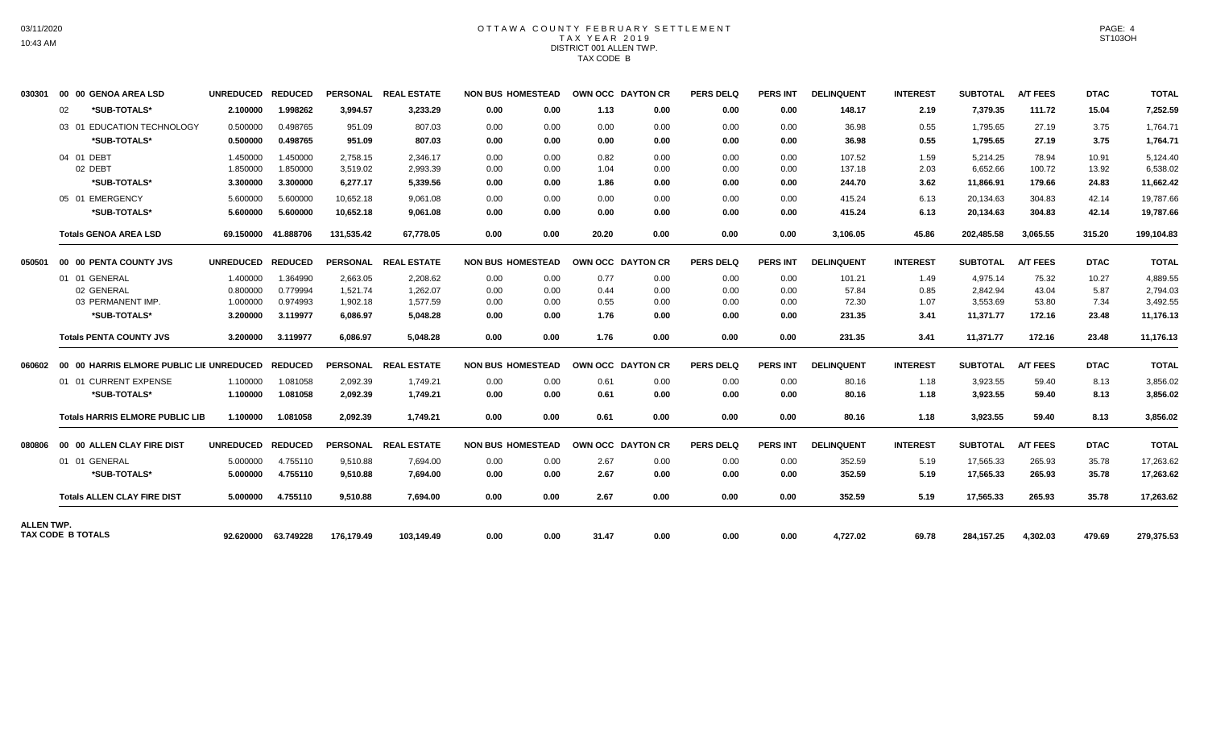### OTTAWA COUNTY FEBRUARY SETTLEMENT TAX YEAR 2019 DISTRICT 001 ALLEN TWP. TAX CODE B

| 030301            |    | 00 00 GENOA AREA LSD                                    | UNREDUCED REDUCED |                     |            | PERSONAL REAL ESTATE | <b>NON BUS HOMESTEAD</b> |      | OWN OCC DAYTON CR |      | <b>PERS DELQ</b> | <b>PERS INT</b> | <b>DELINQUENT</b> | <b>INTEREST</b> | <b>SUBTOTAL</b> | <b>A/T FEES</b> | <b>DTAC</b> | <b>TOTAL</b> |
|-------------------|----|---------------------------------------------------------|-------------------|---------------------|------------|----------------------|--------------------------|------|-------------------|------|------------------|-----------------|-------------------|-----------------|-----------------|-----------------|-------------|--------------|
|                   | 02 | *SUB-TOTALS*                                            | 2.100000          | 1.998262            | 3.994.57   | 3,233.29             | 0.00                     | 0.00 | 1.13              | 0.00 | 0.00             | 0.00            | 148.17            | 2.19            | 7,379.35        | 111.72          | 15.04       | 7,252.59     |
|                   |    | 03 01 EDUCATION TECHNOLOGY                              | 0.500000          | 0.498765            | 951.09     | 807.03               | 0.00                     | 0.00 | 0.00              | 0.00 | 0.00             | 0.00            | 36.98             | 0.55            | 1.795.65        | 27.19           | 3.75        | 1,764.71     |
|                   |    | *SUB-TOTALS*                                            | 0.500000          | 0.498765            | 951.09     | 807.03               | 0.00                     | 0.00 | 0.00              | 0.00 | 0.00             | 0.00            | 36.98             | 0.55            | 1,795.65        | 27.19           | 3.75        | 1,764.71     |
|                   |    | 04 01 DEBT                                              | 1.450000          | 1.450000            | 2.758.15   | 2.346.17             | 0.00                     | 0.00 | 0.82              | 0.00 | 0.00             | 0.00            | 107.52            | 1.59            | 5.214.25        | 78.94           | 10.91       | 5.124.40     |
|                   |    | 02 DEBT                                                 | 1.850000          | 1.850000            | 3,519.02   | 2.993.39             | 0.00                     | 0.00 | 1.04              | 0.00 | 0.00             | 0.00            | 137.18            | 2.03            | 6,652.66        | 100.72          | 13.92       | 6,538.02     |
|                   |    | *SUB-TOTALS*                                            | 3.300000          | 3.300000            | 6,277.17   | 5,339.56             | 0.00                     | 0.00 | 1.86              | 0.00 | 0.00             | 0.00            | 244.70            | 3.62            | 11,866.91       | 179.66          | 24.83       | 11,662.42    |
|                   |    | 05 01 EMERGENCY                                         | 5.600000          | 5.600000            | 10.652.18  | 9.061.08             | 0.00                     | 0.00 | 0.00              | 0.00 | 0.00             | 0.00            | 415.24            | 6.13            | 20.134.63       | 304.83          | 42.14       | 19.787.66    |
|                   |    | *SUB-TOTALS*                                            | 5.600000          | 5.600000            | 10,652.18  | 9.061.08             | 0.00                     | 0.00 | 0.00              | 0.00 | 0.00             | 0.00            | 415.24            | 6.13            | 20,134.63       | 304.83          | 42.14       | 19,787.66    |
|                   |    | <b>Totals GENOA AREA LSD</b>                            |                   | 69.150000 41.888706 | 131,535.42 | 67,778.05            | 0.00                     | 0.00 | 20.20             | 0.00 | 0.00             | 0.00            | 3,106.05          | 45.86           | 202,485.58      | 3,065.55        | 315.20      | 199,104.83   |
| 050501            |    | 00 00 PENTA COUNTY JVS                                  | UNREDUCED REDUCED |                     |            | PERSONAL REAL ESTATE | <b>NON BUS HOMESTEAD</b> |      | OWN OCC DAYTON CR |      | <b>PERS DELQ</b> | <b>PERS INT</b> | <b>DELINQUENT</b> | <b>INTEREST</b> | <b>SUBTOTAL</b> | <b>A/T FEES</b> | <b>DTAC</b> | <b>TOTAL</b> |
|                   |    | 01 01 GENERAL                                           | 1.400000          | 1.364990            | 2,663.05   | 2,208.62             | 0.00                     | 0.00 | 0.77              | 0.00 | 0.00             | 0.00            | 101.21            | 1.49            | 4,975.14        | 75.32           | 10.27       | 4,889.55     |
|                   |    | 02 GENERAL                                              | 0.800000          | 0.779994            | 1,521.74   | 1,262.07             | 0.00                     | 0.00 | 0.44              | 0.00 | 0.00             | 0.00            | 57.84             | 0.85            | 2,842.94        | 43.04           | 5.87        | 2,794.03     |
|                   |    | 03 PERMANENT IMP.                                       | 1.000000          | 0.974993            | 1,902.18   | 1,577.59             | 0.00                     | 0.00 | 0.55              | 0.00 | 0.00             | 0.00            | 72.30             | 1.07            | 3,553.69        | 53.80           | 7.34        | 3,492.55     |
|                   |    | *SUB-TOTALS*                                            | 3.200000          | 3.119977            | 6,086.97   | 5,048.28             | 0.00                     | 0.00 | 1.76              | 0.00 | 0.00             | 0.00            | 231.35            | 3.41            | 11,371.77       | 172.16          | 23.48       | 11,176.13    |
|                   |    | <b>Totals PENTA COUNTY JVS</b>                          | 3.200000          | 3.119977            | 6.086.97   | 5.048.28             | 0.00                     | 0.00 | 1.76              | 0.00 | 0.00             | 0.00            | 231.35            | 3.41            | 11,371.77       | 172.16          | 23.48       | 11,176.13    |
|                   |    | 060602 00 00 HARRIS ELMORE PUBLIC LIE UNREDUCED REDUCED |                   |                     |            | PERSONAL REAL ESTATE | <b>NON BUS HOMESTEAD</b> |      | OWN OCC DAYTON CR |      | <b>PERS DELQ</b> | PERS INT        | <b>DELINQUENT</b> | <b>INTEREST</b> | <b>SUBTOTAL</b> | <b>A/T FEES</b> | <b>DTAC</b> | <b>TOTAL</b> |
|                   |    | 01 01 CURRENT EXPENSE                                   | 1.100000          | 1.081058            | 2,092.39   | 1,749.21             | 0.00                     | 0.00 | 0.61              | 0.00 | 0.00             | 0.00            | 80.16             | 1.18            | 3,923.55        | 59.40           | 8.13        | 3,856.02     |
|                   |    | *SUB-TOTALS*                                            | 1.100000          | 1.081058            | 2,092.39   | 1,749.21             | 0.00                     | 0.00 | 0.61              | 0.00 | 0.00             | 0.00            | 80.16             | 1.18            | 3,923.55        | 59.40           | 8.13        | 3,856.02     |
|                   |    | <b>Totals HARRIS ELMORE PUBLIC LIB</b>                  | 1.100000          | 1.081058            | 2.092.39   | 1.749.21             | 0.00                     | 0.00 | 0.61              | 0.00 | 0.00             | 0.00            | 80.16             | 1.18            | 3,923.55        | 59.40           | 8.13        | 3,856.02     |
| 080806            |    | 00 00 ALLEN CLAY FIRE DIST                              | UNREDUCED REDUCED |                     |            | PERSONAL REAL ESTATE | <b>NON BUS HOMESTEAD</b> |      | OWN OCC DAYTON CR |      | <b>PERS DELQ</b> | <b>PERS INT</b> | <b>DELINQUENT</b> | <b>INTEREST</b> | <b>SUBTOTAL</b> | <b>A/T FEES</b> | <b>DTAC</b> | <b>TOTAL</b> |
|                   |    | 01 01 GENERAL                                           | 5.000000          | 4.755110            | 9.510.88   | 7.694.00             | 0.00                     | 0.00 | 2.67              | 0.00 | 0.00             | 0.00            | 352.59            | 5.19            | 17,565.33       | 265.93          | 35.78       | 17,263.62    |
|                   |    | *SUB-TOTALS*                                            | 5.000000          | 4.755110            | 9,510.88   | 7.694.00             | 0.00                     | 0.00 | 2.67              | 0.00 | 0.00             | 0.00            | 352.59            | 5.19            | 17,565.33       | 265.93          | 35.78       | 17,263.62    |
|                   |    | <b>Totals ALLEN CLAY FIRE DIST</b>                      | 5.000000          | 4.755110            | 9.510.88   | 7.694.00             | 0.00                     | 0.00 | 2.67              | 0.00 | 0.00             | 0.00            | 352.59            | 5.19            | 17.565.33       | 265.93          | 35.78       | 17,263.62    |
| <b>ALLEN TWP.</b> |    |                                                         |                   |                     |            |                      |                          |      |                   |      |                  |                 |                   |                 |                 |                 |             |              |
|                   |    | TAX CODE B TOTALS                                       |                   | 92.620000 63.749228 | 176.179.49 | 103.149.49           | 0.00                     | 0.00 | 31.47             | 0.00 | 0.00             | 0.00            | 4.727.02          | 69.78           | 284,157.25      | 4.302.03        | 479.69      | 279,375.53   |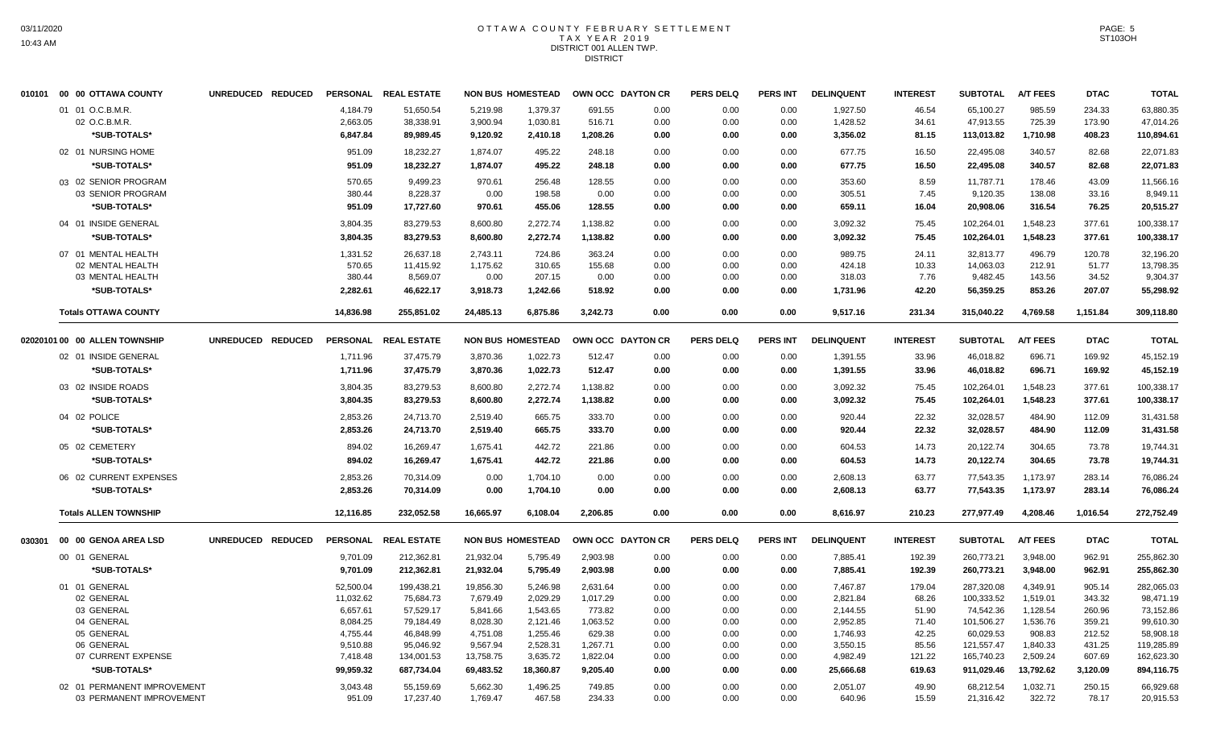### OTTAWA COUNTY FEBRUARY SETTLEMENT TAX YEAR 2019 DISTRICT 001 ALLEN TWP. DISTRICT

|        | 010101 00 00 OTTAWA COUNTY    | UNREDUCED REDUCED |                 | PERSONAL REAL ESTATE |           | <b>NON BUS HOMESTEAD</b> |          | OWN OCC DAYTON CR | <b>PERS DELQ</b> | <b>PERS INT</b> | <b>DELINQUENT</b> | <b>INTEREST</b> | <b>SUBTOTAL</b> | <b>A/T FEES</b> | <b>DTAC</b> | <b>TOTAL</b> |
|--------|-------------------------------|-------------------|-----------------|----------------------|-----------|--------------------------|----------|-------------------|------------------|-----------------|-------------------|-----------------|-----------------|-----------------|-------------|--------------|
|        | 01 01 O.C.B.M.R.              |                   | 4.184.79        | 51.650.54            | 5.219.98  | 1.379.37                 | 691.55   | 0.00              | 0.00             | 0.00            | 1,927.50          | 46.54           | 65.100.27       | 985.59          | 234.33      | 63,880.35    |
|        | 02 O.C.B.M.R                  |                   | 2,663.05        | 38,338.91            | 3,900.94  | 1,030.81                 | 516.71   | 0.00              | 0.00             | 0.00            | 1,428.52          | 34.61           | 47,913.55       | 725.39          | 173.90      | 47,014.26    |
|        | *SUB-TOTALS*                  |                   | 6,847.84        | 89,989.45            | 9,120.92  | 2,410.18                 | 1,208.26 | 0.00              | 0.00             | 0.00            | 3,356.02          | 81.15           | 113,013.82      | 1,710.98        | 408.23      | 110,894.61   |
|        | 02 01 NURSING HOME            |                   | 951.09          | 18.232.27            | 1.874.07  | 495.22                   | 248.18   | 0.00              | 0.00             | 0.00            | 677.75            | 16.50           | 22,495.08       | 340.57          | 82.68       | 22,071.83    |
|        | *SUB-TOTALS*                  |                   | 951.09          | 18,232.27            | 1,874.07  | 495.22                   | 248.18   | 0.00              | 0.00             | 0.00            | 677.75            | 16.50           | 22,495.08       | 340.57          | 82.68       | 22,071.83    |
|        | 03 02 SENIOR PROGRAM          |                   | 570.65          | 9,499.23             | 970.61    | 256.48                   | 128.55   | 0.00              | 0.00             | 0.00            | 353.60            | 8.59            | 11,787.71       | 178.46          | 43.09       | 11,566.16    |
|        | 03 SENIOR PROGRAM             |                   | 380.44          | 8,228.37             | 0.00      | 198.58                   | 0.00     | 0.00              | 0.00             | 0.00            | 305.51            | 7.45            | 9,120.35        | 138.08          | 33.16       | 8,949.11     |
|        | *SUB-TOTALS*                  |                   | 951.09          | 17,727.60            | 970.61    | 455.06                   | 128.55   | 0.00              | 0.00             | 0.00            | 659.11            | 16.04           | 20,908.06       | 316.54          | 76.25       | 20,515.27    |
|        | 04 01 INSIDE GENERAL          |                   | 3,804.35        | 83,279.53            | 8,600.80  | 2,272.74                 | 1,138.82 | 0.00              | 0.00             | 0.00            | 3,092.32          | 75.45           | 102,264.01      | 1,548.23        | 377.61      | 100,338.17   |
|        | *SUB-TOTALS*                  |                   | 3,804.35        | 83.279.53            | 8,600.80  | 2,272.74                 | 1,138.82 | 0.00              | 0.00             | 0.00            | 3,092.32          | 75.45           | 102,264.01      | 1,548.23        | 377.61      | 100,338.17   |
|        | 07 01 MENTAL HEALTH           |                   | 1,331.52        | 26,637.18            | 2,743.11  | 724.86                   | 363.24   | 0.00              | 0.00             | 0.00            | 989.75            | 24.11           | 32,813.77       | 496.79          | 120.78      | 32,196.20    |
|        | 02 MENTAL HEALTH              |                   | 570.65          | 11,415.92            | 1,175.62  | 310.65                   | 155.68   | 0.00              | 0.00             | 0.00            | 424.18            | 10.33           | 14,063.03       | 212.91          | 51.77       | 13,798.35    |
|        | 03 MENTAL HEALTH              |                   | 380.44          | 8,569.07             | 0.00      | 207.15                   | 0.00     | 0.00              | 0.00             | 0.00            | 318.03            | 7.76            | 9,482.45        | 143.56          | 34.52       | 9,304.37     |
|        | *SUB-TOTALS*                  |                   | 2,282.61        | 46,622.17            | 3,918.73  | 1,242.66                 | 518.92   | 0.00              | 0.00             | 0.00            | 1,731.96          | 42.20           | 56,359.25       | 853.26          | 207.07      | 55,298.92    |
|        | <b>Totals OTTAWA COUNTY</b>   |                   | 14,836.98       | 255,851.02           | 24,485.13 | 6,875.86                 | 3,242.73 | 0.00              | 0.00             | 0.00            | 9,517.16          | 231.34          | 315,040.22      | 4,769.58        | 1,151.84    | 309,118.80   |
|        | 02020101 00 00 ALLEN TOWNSHIP | UNREDUCED REDUCED |                 | PERSONAL REAL ESTATE |           | <b>NON BUS HOMESTEAD</b> |          | OWN OCC DAYTON CR | <b>PERS DELQ</b> | <b>PERS INT</b> | <b>DELINQUENT</b> | <b>INTEREST</b> | <b>SUBTOTAL</b> | <b>A/T FEES</b> | <b>DTAC</b> | <b>TOTAL</b> |
|        | 02 01 INSIDE GENERAL          |                   | 1,711.96        | 37,475.79            | 3,870.36  | 1,022.73                 | 512.47   | 0.00              | 0.00             | 0.00            | 1,391.55          | 33.96           | 46,018.82       | 696.71          | 169.92      | 45,152.19    |
|        | *SUB-TOTALS*                  |                   | 1,711.96        | 37,475.79            | 3,870.36  | 1,022.73                 | 512.47   | 0.00              | 0.00             | 0.00            | 1,391.55          | 33.96           | 46,018.82       | 696.71          | 169.92      | 45,152.19    |
|        | 03 02 INSIDE ROADS            |                   | 3,804.35        | 83,279.53            | 8,600.80  | 2,272.74                 | 1,138.82 | 0.00              | 0.00             | 0.00            | 3,092.32          | 75.45           | 102,264.01      | 1,548.23        | 377.61      | 100,338.17   |
|        | *SUB-TOTALS*                  |                   | 3,804.35        | 83,279.53            | 8,600.80  | 2,272.74                 | 1,138.82 | 0.00              | 0.00             | 0.00            | 3,092.32          | 75.45           | 102,264.01      | 1,548.23        | 377.61      | 100,338.17   |
|        | 04 02 POLICE                  |                   | 2,853.26        | 24,713.70            | 2,519.40  | 665.75                   | 333.70   | 0.00              | 0.00             | 0.00            | 920.44            | 22.32           | 32,028.57       | 484.90          | 112.09      | 31,431.58    |
|        | *SUB-TOTALS*                  |                   | 2,853.26        | 24,713.70            | 2,519.40  | 665.75                   | 333.70   | 0.00              | 0.00             | 0.00            | 920.44            | 22.32           | 32,028.57       | 484.90          | 112.09      | 31,431.58    |
|        | 05 02 CEMETERY                |                   | 894.02          | 16,269.47            | 1,675.41  | 442.72                   | 221.86   | 0.00              | 0.00             | 0.00            | 604.53            | 14.73           | 20,122.74       | 304.65          | 73.78       | 19,744.31    |
|        | *SUB-TOTALS*                  |                   | 894.02          | 16,269.47            | 1,675.41  | 442.72                   | 221.86   | 0.00              | 0.00             | 0.00            | 604.53            | 14.73           | 20,122.74       | 304.65          | 73.78       | 19,744.31    |
|        | 06 02 CURRENT EXPENSES        |                   | 2,853.26        | 70,314.09            | 0.00      | 1,704.10                 | 0.00     | 0.00              | 0.00             | 0.00            | 2,608.13          | 63.77           | 77,543.35       | 1,173.97        | 283.14      | 76,086.24    |
|        | *SUB-TOTALS*                  |                   | 2,853.26        | 70,314.09            | 0.00      | 1,704.10                 | 0.00     | 0.00              | 0.00             | 0.00            | 2,608.13          | 63.77           | 77,543.35       | 1,173.97        | 283.14      | 76,086.24    |
|        | <b>Totals ALLEN TOWNSHIP</b>  |                   | 12,116.85       | 232,052.58           | 16,665.97 | 6,108.04                 | 2,206.85 | 0.00              | 0.00             | 0.00            | 8,616.97          | 210.23          | 277,977.49      | 4,208.46        | 1,016.54    | 272,752.49   |
| 030301 | 00 00 GENOA AREA LSD          | UNREDUCED REDUCED | <b>PERSONAL</b> | <b>REAL ESTATE</b>   |           | <b>NON BUS HOMESTEAD</b> |          | OWN OCC DAYTON CR | <b>PERS DELQ</b> | <b>PERS INT</b> | <b>DELINQUENT</b> | <b>INTEREST</b> | <b>SUBTOTAL</b> | <b>A/T FEES</b> | <b>DTAC</b> | <b>TOTAL</b> |
|        | 00 01 GENERAL                 |                   | 9,701.09        | 212,362.81           | 21,932.04 | 5,795.49                 | 2,903.98 | 0.00              | 0.00             | 0.00            | 7,885.41          | 192.39          | 260,773.21      | 3,948.00        | 962.91      | 255,862.30   |
|        | *SUB-TOTALS*                  |                   | 9,701.09        | 212,362.81           | 21,932.04 | 5,795.49                 | 2,903.98 | 0.00              | 0.00             | 0.00            | 7,885.41          | 192.39          | 260,773.21      | 3,948.00        | 962.91      | 255,862.30   |
|        | 01 01 GENERAL                 |                   | 52,500.04       | 199,438.21           | 19,856.30 | 5,246.98                 | 2,631.64 | 0.00              | 0.00             | 0.00            | 7,467.87          | 179.04          | 287,320.08      | 4,349.91        | 905.14      | 282,065.03   |
|        | 02 GENERAL                    |                   | 11,032.62       | 75,684.73            | 7,679.49  | 2,029.29                 | 1,017.29 | 0.00              | 0.00             | 0.00            | 2,821.84          | 68.26           | 100,333.52      | 1,519.01        | 343.32      | 98,471.19    |
|        | 03 GENERAL                    |                   | 6,657.61        | 57,529.17            | 5,841.66  | 1,543.65                 | 773.82   | 0.00              | 0.00             | 0.00            | 2,144.55          | 51.90           | 74,542.36       | 1,128.54        | 260.96      | 73,152.86    |
|        | 04 GENERAL                    |                   | 8,084.25        | 79,184.49            | 8,028.30  | 2,121.46                 | 1,063.52 | 0.00              | 0.00             | 0.00            | 2,952.85          | 71.40           | 101,506.27      | 1,536.76        | 359.21      | 99,610.30    |
|        | 05 GENERAL                    |                   | 4,755.44        | 46,848.99            | 4,751.08  | 1,255.46                 | 629.38   | 0.00              | 0.00             | 0.00            | 1,746.93          | 42.25           | 60,029.53       | 908.83          | 212.52      | 58,908.18    |
|        | 06 GENERAL                    |                   | 9,510.88        | 95,046.92            | 9,567.94  | 2,528.31                 | 1,267.71 | 0.00              | 0.00             | 0.00            | 3,550.15          | 85.56           | 121,557.47      | 1,840.33        | 431.25      | 119,285.89   |
|        | 07 CURRENT EXPENSE            |                   | 7,418.48        | 134,001.53           | 13,758.75 | 3,635.72                 | 1,822.04 | 0.00              | 0.00             | 0.00            | 4,982.49          | 121.22          | 165,740.23      | 2,509.24        | 607.69      | 162,623.30   |
|        | *SUB-TOTALS*                  |                   | 99,959.32       | 687,734.04           | 69,483.52 | 18,360.87                | 9,205.40 | 0.00              | 0.00             | 0.00            | 25,666.68         | 619.63          | 911,029.46      | 13,792.62       | 3,120.09    | 894,116.75   |
|        | 02 01 PERMANENT IMPROVEMENT   |                   | 3,043.48        | 55,159.69            | 5,662.30  | 1,496.25                 | 749.85   | 0.00              | 0.00             | 0.00            | 2,051.07          | 49.90           | 68,212.54       | 1,032.71        | 250.15      | 66,929.68    |
|        | 03 PERMANENT IMPROVEMENT      |                   | 951.09          | 17.237.40            | 1.769.47  | 467.58                   | 234.33   | 0.00              | 0.00             | 0.00            | 640.96            | 15.59           | 21,316.42       | 322.72          | 78.17       | 20,915.53    |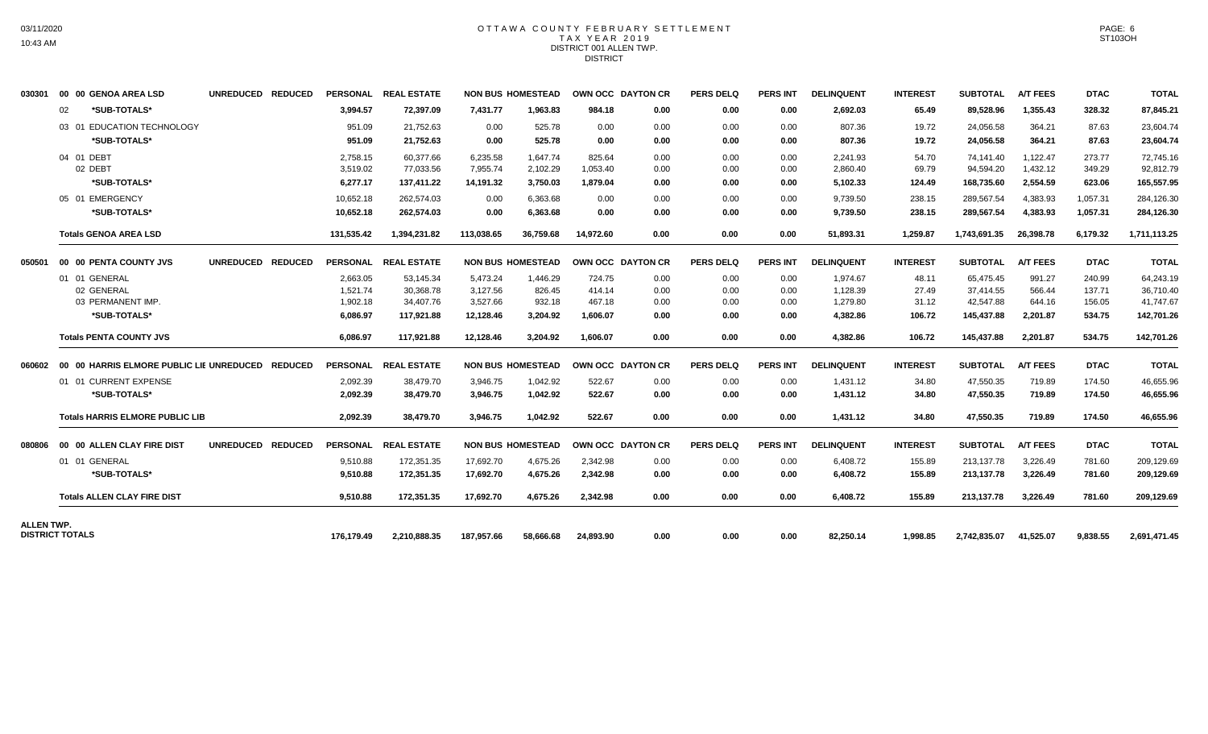#### OTTAWA COUNTY FEBRUARY SETTLEMENT T A X Y E A R 2 0 1 9 DISTRICT 001 ALLEN TWP. **DISTRICT**

| 030301            | 00 00 GENOA AREA LSD                             | UNREDUCED REDUCED |            | PERSONAL REAL ESTATE |            | <b>NON BUS HOMESTEAD</b> |           | OWN OCC DAYTON CR | <b>PERS DELQ</b> | PERS INT        | <b>DELINQUENT</b> | <b>INTEREST</b> | <b>SUBTOTAL</b> | <b>A/T FEES</b> | <b>DTAC</b> | <b>TOTAL</b> |
|-------------------|--------------------------------------------------|-------------------|------------|----------------------|------------|--------------------------|-----------|-------------------|------------------|-----------------|-------------------|-----------------|-----------------|-----------------|-------------|--------------|
|                   | *SUB-TOTALS*<br>02                               |                   | 3.994.57   | 72.397.09            | 7.431.77   | 1.963.83                 | 984.18    | 0.00              | 0.00             | 0.00            | 2.692.03          | 65.49           | 89.528.96       | 1,355.43        | 328.32      | 87,845.21    |
|                   | 03 01 EDUCATION TECHNOLOGY                       |                   | 951.09     | 21.752.63            | 0.00       | 525.78                   | 0.00      | 0.00              | 0.00             | 0.00            | 807.36            | 19.72           | 24,056.58       | 364.21          | 87.63       | 23,604.74    |
|                   | *SUB-TOTALS*                                     |                   | 951.09     | 21,752.63            | 0.00       | 525.78                   | 0.00      | 0.00              | 0.00             | 0.00            | 807.36            | 19.72           | 24,056.58       | 364.21          | 87.63       | 23,604.74    |
|                   | 04 01 DEBT                                       |                   | 2.758.15   | 60.377.66            | 6.235.58   | 1.647.74                 | 825.64    | 0.00              | 0.00             | 0.00            | 2.241.93          | 54.70           | 74.141.40       | 1.122.47        | 273.77      | 72,745.16    |
|                   | 02 DEBT                                          |                   | 3,519.02   | 77,033.56            | 7,955.74   | 2,102.29                 | 1,053.40  | 0.00              | 0.00             | 0.00            | 2,860.40          | 69.79           | 94,594.20       | 1,432.12        | 349.29      | 92,812.79    |
|                   | *SUB-TOTALS*                                     |                   | 6,277.17   | 137,411.22           | 14,191.32  | 3,750.03                 | 1,879.04  | 0.00              | 0.00             | 0.00            | 5,102.33          | 124.49          | 168,735.60      | 2,554.59        | 623.06      | 165,557.95   |
|                   | 05 01 EMERGENCY                                  |                   | 10,652.18  | 262.574.03           | 0.00       | 6,363.68                 | 0.00      | 0.00              | 0.00             | 0.00            | 9,739.50          | 238.15          | 289,567.54      | 4,383.93        | 1,057.31    | 284,126.30   |
|                   | *SUB-TOTALS*                                     |                   | 10,652.18  | 262,574.03           | 0.00       | 6,363.68                 | 0.00      | 0.00              | 0.00             | 0.00            | 9,739.50          | 238.15          | 289,567.54      | 4,383.93        | 1,057.31    | 284,126.30   |
|                   | <b>Totals GENOA AREA LSD</b>                     |                   | 131,535.42 | 1,394,231.82         | 113.038.65 | 36.759.68                | 14.972.60 | 0.00              | 0.00             | 0.00            | 51,893.31         | 1,259.87        | 1,743,691.35    | 26,398.78       | 6,179.32    | 1,711,113.25 |
| 050501            | 00 00 PENTA COUNTY JVS                           | UNREDUCED REDUCED |            | PERSONAL REAL ESTATE |            | <b>NON BUS HOMESTEAD</b> |           | OWN OCC DAYTON CR | <b>PERS DELQ</b> | <b>PERS INT</b> | <b>DELINQUENT</b> | <b>INTEREST</b> | <b>SUBTOTAL</b> | <b>A/T FEES</b> | <b>DTAC</b> | <b>TOTAL</b> |
|                   | 01 01 GENERAL                                    |                   | 2.663.05   | 53.145.34            | 5,473.24   | 1.446.29                 | 724.75    | 0.00              | 0.00             | 0.00            | 1.974.67          | 48.11           | 65.475.45       | 991.27          | 240.99      | 64,243.19    |
|                   | 02 GENERAL                                       |                   | 1,521.74   | 30,368.78            | 3,127.56   | 826.45                   | 414.14    | 0.00              | 0.00             | 0.00            | 1,128.39          | 27.49           | 37,414.55       | 566.44          | 137.71      | 36,710.40    |
|                   | 03 PERMANENT IMP.                                |                   | 1,902.18   | 34,407.76            | 3,527.66   | 932.18                   | 467.18    | 0.00              | 0.00             | 0.00            | 1.279.80          | 31.12           | 42,547.88       | 644.16          | 156.05      | 41,747.67    |
|                   | *SUB-TOTALS*                                     |                   | 6,086.97   | 117,921.88           | 12,128.46  | 3,204.92                 | 1,606.07  | 0.00              | 0.00             | 0.00            | 4,382.86          | 106.72          | 145,437.88      | 2,201.87        | 534.75      | 142,701.26   |
|                   | <b>Totals PENTA COUNTY JVS</b>                   |                   | 6.086.97   | 117,921.88           | 12,128.46  | 3.204.92                 | 1.606.07  | 0.00              | 0.00             | 0.00            | 4.382.86          | 106.72          | 145,437.88      | 2,201.87        | 534.75      | 142,701.26   |
| 060602            | 00 00 HARRIS ELMORE PUBLIC LIE UNREDUCED REDUCED |                   |            | PERSONAL REAL ESTATE |            | <b>NON BUS HOMESTEAD</b> |           | OWN OCC DAYTON CR | <b>PERS DELQ</b> | <b>PERS INT</b> | <b>DELINQUENT</b> | <b>INTEREST</b> | <b>SUBTOTAL</b> | <b>A/T FEES</b> | <b>DTAC</b> | <b>TOTAL</b> |
|                   | 01 01 CURRENT EXPENSE                            |                   | 2,092.39   | 38,479.70            | 3,946.75   | 1,042.92                 | 522.67    | 0.00              | 0.00             | 0.00            | 1,431.12          | 34.80           | 47,550.35       | 719.89          | 174.50      | 46,655.96    |
|                   | *SUB-TOTALS*                                     |                   | 2.092.39   | 38,479.70            | 3,946.75   | 1,042.92                 | 522.67    | 0.00              | 0.00             | 0.00            | 1,431.12          | 34.80           | 47,550.35       | 719.89          | 174.50      | 46,655.96    |
|                   | <b>Totals HARRIS ELMORE PUBLIC LIB</b>           |                   | 2,092.39   | 38,479.70            | 3,946.75   | 1,042.92                 | 522.67    | 0.00              | 0.00             | 0.00            | 1,431.12          | 34.80           | 47,550.35       | 719.89          | 174.50      | 46,655.96    |
| 080806            | 00 00 ALLEN CLAY FIRE DIST                       | UNREDUCED REDUCED |            | PERSONAL REAL ESTATE |            | <b>NON BUS HOMESTEAD</b> |           | OWN OCC DAYTON CR | <b>PERS DELQ</b> | <b>PERS INT</b> | <b>DELINQUENT</b> | <b>INTEREST</b> | <b>SUBTOTAL</b> | <b>A/T FEES</b> | <b>DTAC</b> | <b>TOTAL</b> |
|                   | 01 01 GENERAL                                    |                   | 9,510.88   | 172,351.35           | 17,692.70  | 4,675.26                 | 2,342.98  | 0.00              | 0.00             | 0.00            | 6,408.72          | 155.89          | 213,137.78      | 3,226.49        | 781.60      | 209,129.69   |
|                   | *SUB-TOTALS*                                     |                   | 9.510.88   | 172,351.35           | 17,692.70  | 4,675.26                 | 2,342.98  | 0.00              | 0.00             | 0.00            | 6,408.72          | 155.89          | 213,137.78      | 3,226.49        | 781.60      | 209,129.69   |
|                   | <b>Totals ALLEN CLAY FIRE DIST</b>               |                   | 9,510.88   | 172,351.35           | 17,692.70  | 4,675.26                 | 2,342.98  | 0.00              | 0.00             | 0.00            | 6,408.72          | 155.89          | 213,137.78      | 3,226.49        | 781.60      | 209,129.69   |
| <b>ALLEN TWP.</b> |                                                  |                   |            |                      |            |                          |           |                   |                  |                 |                   |                 |                 |                 |             |              |
|                   | <b>DISTRICT TOTALS</b>                           |                   | 176.179.49 | 2,210,888.35         | 187.957.66 | 58.666.68                | 24,893.90 | 0.00              | 0.00             | 0.00            | 82,250.14         | 1.998.85        | 2,742,835.07    | 41,525.07       | 9,838.55    | 2,691,471.45 |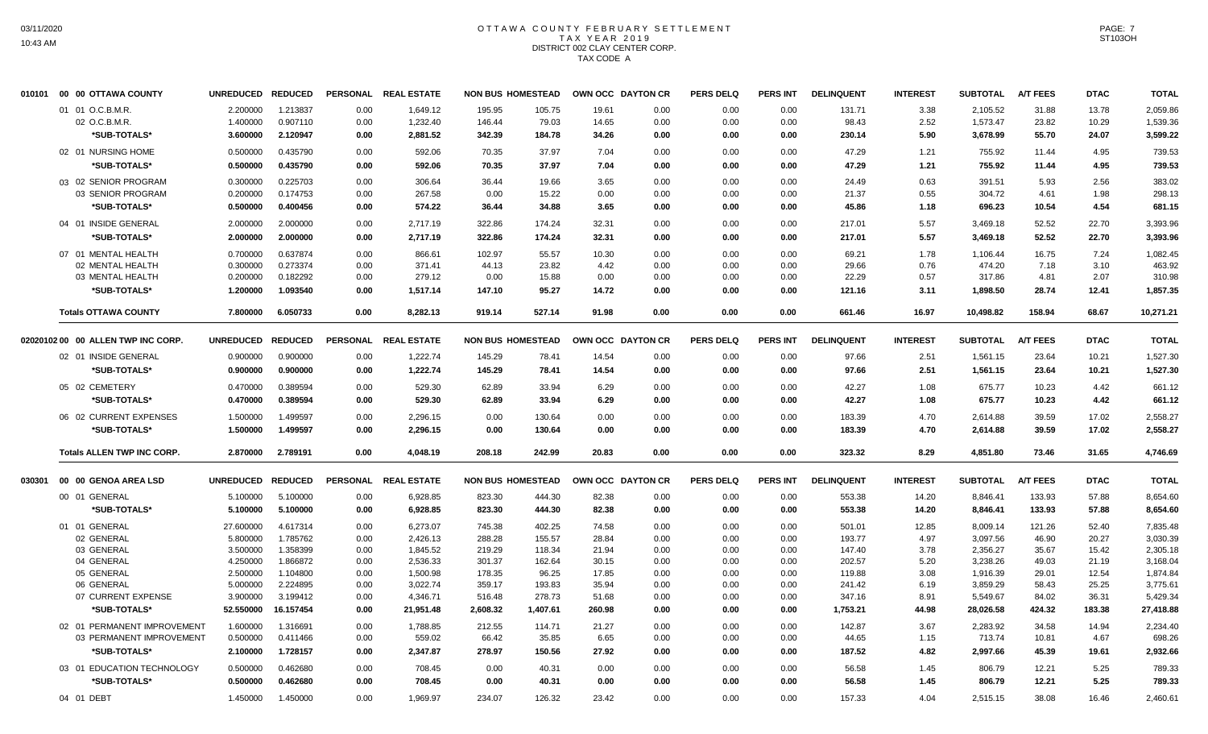# OTTAWA COUNTY FEBRUARY SETTLEMENT TAX YEAR 2019 DISTRICT 002 CLAY CENTER CORP. TAX CODE A

|        | 010101 00 00 OTTAWA COUNTY         | UNREDUCED REDUCED |           |      | PERSONAL REAL ESTATE |          | NON BUS HOMESTEAD        | OWN OCC DAYTON CR |      | <b>PERS DELQ</b> | <b>PERS INT</b> | <b>DELINQUENT</b> | <b>INTEREST</b> | <b>SUBTOTAL</b> | <b>A/T FEES</b> | <b>DTAC</b> | <b>TOTAL</b> |
|--------|------------------------------------|-------------------|-----------|------|----------------------|----------|--------------------------|-------------------|------|------------------|-----------------|-------------------|-----------------|-----------------|-----------------|-------------|--------------|
|        | 01 01 O.C.B.M.R.                   | 2.200000          | 1.213837  | 0.00 | 1,649.12             | 195.95   | 105.75                   | 19.61             | 0.00 | 0.00             | 0.00            | 131.71            | 3.38            | 2,105.52        | 31.88           | 13.78       | 2,059.86     |
|        | 02 O.C.B.M.R.                      | 1.400000          | 0.907110  | 0.00 | 1,232.40             | 146.44   | 79.03                    | 14.65             | 0.00 | 0.00             | 0.00            | 98.43             | 2.52            | 1,573.47        | 23.82           | 10.29       | 1,539.36     |
|        | *SUB-TOTALS*                       | 3.600000          | 2.120947  | 0.00 | 2,881.52             | 342.39   | 184.78                   | 34.26             | 0.00 | 0.00             | 0.00            | 230.14            | 5.90            | 3,678.99        | 55.70           | 24.07       | 3,599.22     |
|        | 02 01 NURSING HOME                 | 0.500000          | 0.435790  | 0.00 | 592.06               | 70.35    | 37.97                    | 7.04              | 0.00 | 0.00             | 0.00            | 47.29             | 1.21            | 755.92          | 11.44           | 4.95        | 739.53       |
|        | *SUB-TOTALS*                       | 0.500000          | 0.435790  | 0.00 | 592.06               | 70.35    | 37.97                    | 7.04              | 0.00 | 0.00             | 0.00            | 47.29             | 1.21            | 755.92          | 11.44           | 4.95        | 739.53       |
|        | 03 02 SENIOR PROGRAM               | 0.300000          | 0.225703  | 0.00 | 306.64               | 36.44    | 19.66                    | 3.65              | 0.00 | 0.00             | 0.00            | 24.49             | 0.63            | 391.51          | 5.93            | 2.56        | 383.02       |
|        | 03 SENIOR PROGRAM                  | 0.200000          | 0.174753  | 0.00 | 267.58               | 0.00     | 15.22                    | 0.00              | 0.00 | 0.00             | 0.00            | 21.37             | 0.55            | 304.72          | 4.61            | 1.98        | 298.13       |
|        | *SUB-TOTALS*                       | 0.500000          | 0.400456  | 0.00 | 574.22               | 36.44    | 34.88                    | 3.65              | 0.00 | 0.00             | 0.00            | 45.86             | 1.18            | 696.23          | 10.54           | 4.54        | 681.15       |
|        | 04 01 INSIDE GENERAL               | 2.000000          | 2.000000  | 0.00 | 2,717.19             | 322.86   | 174.24                   | 32.31             | 0.00 | 0.00             | 0.00            | 217.01            | 5.57            | 3,469.18        | 52.52           | 22.70       | 3,393.96     |
|        | *SUB-TOTALS*                       | 2.000000          | 2.000000  | 0.00 | 2,717.19             | 322.86   | 174.24                   | 32.31             | 0.00 | 0.00             | 0.00            | 217.01            | 5.57            | 3,469.18        | 52.52           | 22.70       | 3,393.96     |
|        | 07 01 MENTAL HEALTH                | 0.700000          | 0.637874  | 0.00 | 866.61               | 102.97   | 55.57                    | 10.30             | 0.00 | 0.00             | 0.00            | 69.21             | 1.78            | 1,106.44        | 16.75           | 7.24        | 1,082.45     |
|        | 02 MENTAL HEALTH                   | 0.300000          | 0.273374  | 0.00 | 371.41               | 44.13    | 23.82                    | 4.42              | 0.00 | 0.00             | 0.00            | 29.66             | 0.76            | 474.20          | 7.18            | 3.10        | 463.92       |
|        | 03 MENTAL HEALTH                   | 0.200000          | 0.182292  | 0.00 | 279.12               | 0.00     | 15.88                    | 0.00              | 0.00 | 0.00             | 0.00            | 22.29             | 0.57            | 317.86          | 4.81            | 2.07        | 310.98       |
|        | *SUB-TOTALS*                       | 1.200000          | 1.093540  | 0.00 | 1,517.14             | 147.10   | 95.27                    | 14.72             | 0.00 | 0.00             | 0.00            | 121.16            | 3.11            | 1,898.50        | 28.74           | 12.41       | 1,857.35     |
|        | <b>Totals OTTAWA COUNTY</b>        | 7.800000          | 6.050733  | 0.00 | 8,282.13             | 919.14   | 527.14                   | 91.98             | 0.00 | 0.00             | 0.00            | 661.46            | 16.97           | 10,498.82       | 158.94          | 68.67       | 10,271.21    |
|        | 02020102 00 00 ALLEN TWP INC CORP. | UNREDUCED REDUCED |           |      | PERSONAL REAL ESTATE |          | <b>NON BUS HOMESTEAD</b> | OWN OCC DAYTON CR |      | <b>PERS DELQ</b> | <b>PERS INT</b> | <b>DELINQUENT</b> | <b>INTEREST</b> | <b>SUBTOTAL</b> | <b>A/T FEES</b> | <b>DTAC</b> | <b>TOTAL</b> |
|        | 02 01 INSIDE GENERAL               | 0.900000          | 0.900000  | 0.00 | 1,222.74             | 145.29   | 78.41                    | 14.54             | 0.00 | 0.00             | 0.00            | 97.66             | 2.51            | 1,561.15        | 23.64           | 10.21       | 1,527.30     |
|        | *SUB-TOTALS*                       | 0.900000          | 0.900000  | 0.00 | 1,222.74             | 145.29   | 78.41                    | 14.54             | 0.00 | 0.00             | 0.00            | 97.66             | 2.51            | 1,561.15        | 23.64           | 10.21       | 1,527.30     |
|        | 05 02 CEMETERY                     | 0.470000          | 0.389594  | 0.00 | 529.30               | 62.89    | 33.94                    | 6.29              | 0.00 | 0.00             | 0.00            | 42.27             | 1.08            | 675.77          | 10.23           | 4.42        | 661.12       |
|        | *SUB-TOTALS*                       | 0.470000          | 0.389594  | 0.00 | 529.30               | 62.89    | 33.94                    | 6.29              | 0.00 | 0.00             | 0.00            | 42.27             | 1.08            | 675.77          | 10.23           | 4.42        | 661.12       |
|        | 06 02 CURRENT EXPENSES             | 1.500000          | 1.499597  | 0.00 | 2,296.15             | 0.00     | 130.64                   | 0.00              | 0.00 | 0.00             | 0.00            | 183.39            | 4.70            | 2,614.88        | 39.59           | 17.02       | 2,558.27     |
|        | *SUB-TOTALS*                       | 1.500000          | 1.499597  | 0.00 | 2,296.15             | 0.00     | 130.64                   | 0.00              | 0.00 | 0.00             | 0.00            | 183.39            | 4.70            | 2,614.88        | 39.59           | 17.02       | 2,558.27     |
|        |                                    |                   |           |      |                      |          |                          |                   |      |                  |                 |                   |                 |                 |                 |             |              |
|        | <b>Totals ALLEN TWP INC CORP.</b>  | 2.870000          | 2.789191  | 0.00 | 4,048.19             | 208.18   | 242.99                   | 20.83             | 0.00 | 0.00             | 0.00            | 323.32            | 8.29            | 4,851.80        | 73.46           | 31.65       | 4,746.69     |
| 030301 | 00 00 GENOA AREA LSD               | UNREDUCED REDUCED |           |      | PERSONAL REAL ESTATE |          | <b>NON BUS HOMESTEAD</b> | OWN OCC DAYTON CR |      | <b>PERS DELQ</b> | <b>PERS INT</b> | <b>DELINQUENT</b> | <b>INTEREST</b> | <b>SUBTOTAL</b> | <b>A/T FEES</b> | <b>DTAC</b> | <b>TOTAL</b> |
|        | 00 01 GENERAL                      | 5.100000          | 5.100000  | 0.00 | 6,928.85             | 823.30   | 444.30                   | 82.38             | 0.00 | 0.00             | 0.00            | 553.38            | 14.20           | 8,846.41        | 133.93          | 57.88       | 8,654.60     |
|        | *SUB-TOTALS*                       | 5.100000          | 5.100000  | 0.00 | 6,928.85             | 823.30   | 444.30                   | 82.38             | 0.00 | 0.00             | 0.00            | 553.38            | 14.20           | 8,846.41        | 133.93          | 57.88       | 8,654.60     |
|        | 01 01 GENERAL                      | 27.600000         | 4.617314  | 0.00 | 6,273.07             | 745.38   | 402.25                   | 74.58             | 0.00 | 0.00             | 0.00            | 501.01            | 12.85           | 8,009.14        | 121.26          | 52.40       | 7,835.48     |
|        | 02 GENERAL                         | 5.800000          | 1.785762  | 0.00 | 2,426.13             | 288.28   | 155.57                   | 28.84             | 0.00 | 0.00             | 0.00            | 193.77            | 4.97            | 3,097.56        | 46.90           | 20.27       | 3,030.39     |
|        | 03 GENERAL                         | 3.500000          | 1.358399  | 0.00 | 1,845.52             | 219.29   | 118.34                   | 21.94             | 0.00 | 0.00             | 0.00            | 147.40            | 3.78            | 2,356.27        | 35.67           | 15.42       | 2,305.18     |
|        | 04 GENERAL                         | 4.250000          | 1.866872  | 0.00 | 2,536.33             | 301.37   | 162.64                   | 30.15             | 0.00 | 0.00             | 0.00            | 202.57            | 5.20            | 3,238.26        | 49.03           | 21.19       | 3,168.04     |
|        | 05 GENERAL                         | 2.500000          | 1.104800  | 0.00 | 1,500.98             | 178.35   | 96.25                    | 17.85             | 0.00 | 0.00             | 0.00            | 119.88            | 3.08            | 1,916.39        | 29.01           | 12.54       | 1,874.84     |
|        | 06 GENERAL                         | 5.000000          | 2.224895  | 0.00 | 3.022.74             | 359.17   | 193.83                   | 35.94             | 0.00 | 0.00             | 0.00            | 241.42            | 6.19            | 3,859.29        | 58.43           | 25.25       | 3.775.61     |
|        | 07 CURRENT EXPENSE                 | 3.900000          | 3.199412  | 0.00 | 4,346.71             | 516.48   | 278.73                   | 51.68             | 0.00 | 0.00             | 0.00            | 347.16            | 8.91            | 5,549.67        | 84.02           | 36.31       | 5,429.34     |
|        | *SUB-TOTALS*                       | 52.550000         | 16.157454 | 0.00 | 21,951.48            | 2,608.32 | 1,407.61                 | 260.98            | 0.00 | 0.00             | 0.00            | 1,753.21          | 44.98           | 28,026.58       | 424.32          | 183.38      | 27,418.88    |
|        | 02 01 PERMANENT IMPROVEMENT        | 1.600000          | 1.316691  | 0.00 | 1,788.85             | 212.55   | 114.71                   | 21.27             | 0.00 | 0.00             | 0.00            | 142.87            | 3.67            | 2.283.92        | 34.58           | 14.94       | 2.234.40     |
|        | 03 PERMANENT IMPROVEMENT           | 0.500000          | 0.411466  | 0.00 | 559.02               | 66.42    | 35.85                    | 6.65              | 0.00 | 0.00             | 0.00            | 44.65             | 1.15            | 713.74          | 10.81           | 4.67        | 698.26       |
|        | *SUB-TOTALS*                       | 2.100000          | 1.728157  | 0.00 | 2,347.87             | 278.97   | 150.56                   | 27.92             | 0.00 | 0.00             | 0.00            | 187.52            | 4.82            | 2,997.66        | 45.39           | 19.61       | 2,932.66     |
|        | 03 01 EDUCATION TECHNOLOGY         | 0.500000          | 0.462680  | 0.00 | 708.45               | 0.00     | 40.31                    | 0.00              | 0.00 | 0.00             | 0.00            | 56.58             | 1.45            | 806.79          | 12.21           | 5.25        | 789.33       |
|        | *SUB-TOTALS*                       | 0.500000          | 0.462680  | 0.00 | 708.45               | 0.00     | 40.31                    | 0.00              | 0.00 | 0.00             | 0.00            | 56.58             | 1.45            | 806.79          | 12.21           | 5.25        | 789.33       |
|        | 04 01 DEBT                         | 1.450000          | 1.450000  | 0.00 | 1,969.97             | 234.07   | 126.32                   | 23.42             | 0.00 | 0.00             | 0.00            | 157.33            | 4.04            | 2,515.15        | 38.08           | 16.46       | 2,460.61     |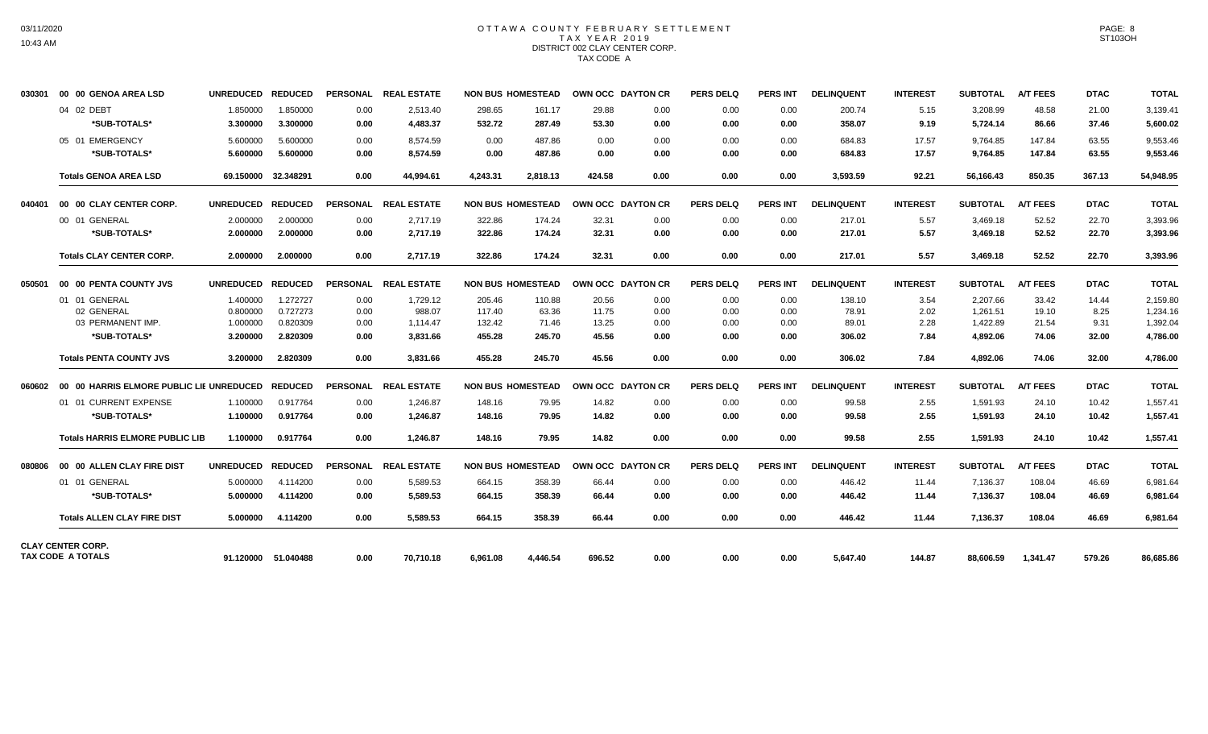# OTTAWA COUNTY FEBRUARY SETTLEMENT TAX YEAR 2019 DISTRICT 002 CLAY CENTER CORP. TAX CODE A

| 030301 | 00 00 GENOA AREA LSD                                              | UNREDUCED REDUCED    |                      |              | PERSONAL REAL ESTATE |                  | <b>NON BUS HOMESTEAD</b> | OWN OCC DAYTON CR |              | <b>PERS DELQ</b> | <b>PERS INT</b> | <b>DELINQUENT</b> | <b>INTEREST</b> | <b>SUBTOTAL</b>      | <b>A/T FEES</b>  | <b>DTAC</b>    | <b>TOTAL</b>         |
|--------|-------------------------------------------------------------------|----------------------|----------------------|--------------|----------------------|------------------|--------------------------|-------------------|--------------|------------------|-----------------|-------------------|-----------------|----------------------|------------------|----------------|----------------------|
|        | 04 02 DEBT<br>*SUB-TOTALS*                                        | 1.850000<br>3.300000 | 1.850000<br>3.300000 | 0.00<br>0.00 | 2.513.40<br>4,483.37 | 298.65<br>532.72 | 161.17<br>287.49         | 29.88<br>53.30    | 0.00<br>0.00 | 0.00<br>0.00     | 0.00<br>0.00    | 200.74<br>358.07  | 5.15<br>9.19    | 3,208.99<br>5,724.14 | 48.58<br>86.66   | 21.00<br>37.46 | 3,139.41<br>5,600.02 |
|        | 05 01 EMERGENCY<br>*SUB-TOTALS*                                   | 5.600000<br>5.600000 | 5.600000<br>5.600000 | 0.00<br>0.00 | 8.574.59<br>8.574.59 | 0.00<br>0.00     | 487.86<br>487.86         | 0.00<br>0.00      | 0.00<br>0.00 | 0.00<br>0.00     | 0.00<br>0.00    | 684.83<br>684.83  | 17.57<br>17.57  | 9,764.85<br>9,764.85 | 147.84<br>147.84 | 63.55<br>63.55 | 9,553.46<br>9,553.46 |
|        | <b>Totals GENOA AREA LSD</b>                                      |                      | 69.150000 32.348291  | 0.00         | 44.994.61            | 4.243.31         | 2.818.13                 | 424.58            | 0.00         | 0.00             | 0.00            | 3.593.59          | 92.21           | 56.166.43            | 850.35           | 367.13         | 54.948.95            |
| 040401 | 00 00 CLAY CENTER CORP.                                           | UNREDUCED REDUCED    |                      |              | PERSONAL REAL ESTATE |                  | <b>NON BUS HOMESTEAD</b> | OWN OCC DAYTON CR |              | <b>PERS DELQ</b> | <b>PERS INT</b> | <b>DELINQUENT</b> | <b>INTEREST</b> | <b>SUBTOTAL</b>      | <b>A/T FEES</b>  | <b>DTAC</b>    | <b>TOTAL</b>         |
|        | 00 01 GENERAL                                                     | 2.000000             | 2.000000             | 0.00         | 2.717.19             | 322.86           | 174.24                   | 32.31             | 0.00         | 0.00             | 0.00            | 217.01            | 5.57            | 3,469.18             | 52.52            | 22.70          | 3,393.96             |
|        | *SUB-TOTALS*                                                      | 2.000000             | 2.000000             | 0.00         | 2,717.19             | 322.86           | 174.24                   | 32.31             | 0.00         | 0.00             | 0.00            | 217.01            | 5.57            | 3,469.18             | 52.52            | 22.70          | 3,393.96             |
|        | <b>Totals CLAY CENTER CORP.</b>                                   | 2.000000             | 2.000000             | 0.00         | 2,717.19             | 322.86           | 174.24                   | 32.31             | 0.00         | 0.00             | 0.00            | 217.01            | 5.57            | 3,469.18             | 52.52            | 22.70          | 3,393.96             |
| 050501 | 00 00 PENTA COUNTY JVS                                            | <b>UNREDUCED</b>     | <b>REDUCED</b>       |              | PERSONAL REAL ESTATE |                  | <b>NON BUS HOMESTEAD</b> | OWN OCC DAYTON CR |              | <b>PERS DELQ</b> | <b>PERS INT</b> | <b>DELINQUENT</b> | <b>INTEREST</b> | <b>SUBTOTAL</b>      | <b>A/T FEES</b>  | <b>DTAC</b>    | <b>TOTAL</b>         |
|        | 01 01 GENERAL                                                     | 1.400000             | 1.272727             | 0.00         | 1,729.12             | 205.46           | 110.88                   | 20.56             | 0.00         | 0.00             | 0.00            | 138.10            | 3.54            | 2,207.66             | 33.42            | 14.44          | 2,159.80             |
|        | 02 GENERAL                                                        | 0.800000             | 0.727273             | 0.00         | 988.07               | 117.40           | 63.36                    | 11.75             | 0.00         | 0.00             | 0.00            | 78.91             | 2.02            | 1,261.51             | 19.10            | 8.25           | 1.234.16             |
|        | 03 PERMANENT IMP.                                                 | 1.000000             | 0.820309             | 0.00         | 1.114.47             | 132.42           | 71.46                    | 13.25             | 0.00         | 0.00             | 0.00            | 89.01             | 2.28            | 1,422.89             | 21.54            | 9.31           | 1.392.04             |
|        | *SUB-TOTALS*                                                      | 3.200000             | 2.820309             | 0.00         | 3,831.66             | 455.28           | 245.70                   | 45.56             | 0.00         | 0.00             | 0.00            | 306.02            | 7.84            | 4,892.06             | 74.06            | 32.00          | 4,786.00             |
|        | <b>Totals PENTA COUNTY JVS</b>                                    | 3.200000             | 2.820309             | 0.00         | 3.831.66             | 455.28           | 245.70                   | 45.56             | 0.00         | 0.00             | 0.00            | 306.02            | 7.84            | 4,892.06             | 74.06            | 32.00          | 4.786.00             |
|        | 060602     00   00  HARRIS ELMORE PUBLIC LIE UNREDUCED    REDUCED |                      |                      |              | PERSONAL REAL ESTATE |                  | <b>NON BUS HOMESTEAD</b> | OWN OCC DAYTON CR |              | <b>PERS DELQ</b> | <b>PERS INT</b> | <b>DELINQUENT</b> | <b>INTEREST</b> | <b>SUBTOTAL</b>      | <b>A/T FEES</b>  | <b>DTAC</b>    | <b>TOTAL</b>         |
|        | 01 01 CURRENT EXPENSE                                             | 1.100000             | 0.917764             | 0.00         | 1,246.87             | 148.16           | 79.95                    | 14.82             | 0.00         | 0.00             | 0.00            | 99.58             | 2.55            | 1,591.93             | 24.10            | 10.42          | 1,557.41             |
|        | *SUB-TOTALS*                                                      | 1.100000             | 0.917764             | 0.00         | 1.246.87             | 148.16           | 79.95                    | 14.82             | 0.00         | 0.00             | 0.00            | 99.58             | 2.55            | 1.591.93             | 24.10            | 10.42          | 1,557.41             |
|        | <b>Totals HARRIS ELMORE PUBLIC LIB</b>                            | 1.100000             | 0.917764             | 0.00         | 1,246.87             | 148.16           | 79.95                    | 14.82             | 0.00         | 0.00             | 0.00            | 99.58             | 2.55            | 1,591.93             | 24.10            | 10.42          | 1,557.41             |
| 080806 | 00 00 ALLEN CLAY FIRE DIST                                        | UNREDUCED REDUCED    |                      |              | PERSONAL REAL ESTATE |                  | <b>NON BUS HOMESTEAD</b> | OWN OCC DAYTON CR |              | <b>PERS DELQ</b> | <b>PERS INT</b> | <b>DELINQUENT</b> | <b>INTEREST</b> | <b>SUBTOTAL</b>      | <b>A/T FEES</b>  | <b>DTAC</b>    | <b>TOTAL</b>         |
|        | 01 01 GENERAL                                                     | 5.000000             | 4.114200             | 0.00         | 5,589.53             | 664.15           | 358.39                   | 66.44             | 0.00         | 0.00             | 0.00            | 446.42            | 11.44           | 7,136.37             | 108.04           | 46.69          | 6.981.64             |
|        | *SUB-TOTALS*                                                      | 5.000000             | 4.114200             | 0.00         | 5,589.53             | 664.15           | 358.39                   | 66.44             | 0.00         | 0.00             | 0.00            | 446.42            | 11.44           | 7,136.37             | 108.04           | 46.69          | 6,981.64             |
|        | <b>Totals ALLEN CLAY FIRE DIST</b>                                | 5.000000             | 4.114200             | 0.00         | 5.589.53             | 664.15           | 358.39                   | 66.44             | 0.00         | 0.00             | 0.00            | 446.42            | 11.44           | 7,136.37             | 108.04           | 46.69          | 6,981.64             |
|        | <b>CLAY CENTER CORP.</b>                                          |                      |                      |              |                      |                  |                          |                   |              |                  |                 |                   |                 |                      |                  |                |                      |
|        | TAX CODE A TOTALS                                                 |                      | 91.120000 51.040488  | 0.00         | 70,710.18            | 6,961.08         | 4,446.54                 | 696.52            | 0.00         | 0.00             | 0.00            | 5,647.40          | 144.87          | 88,606.59            | 1,341.47         | 579.26         | 86,685.86            |

PAGE: 8 ST103OH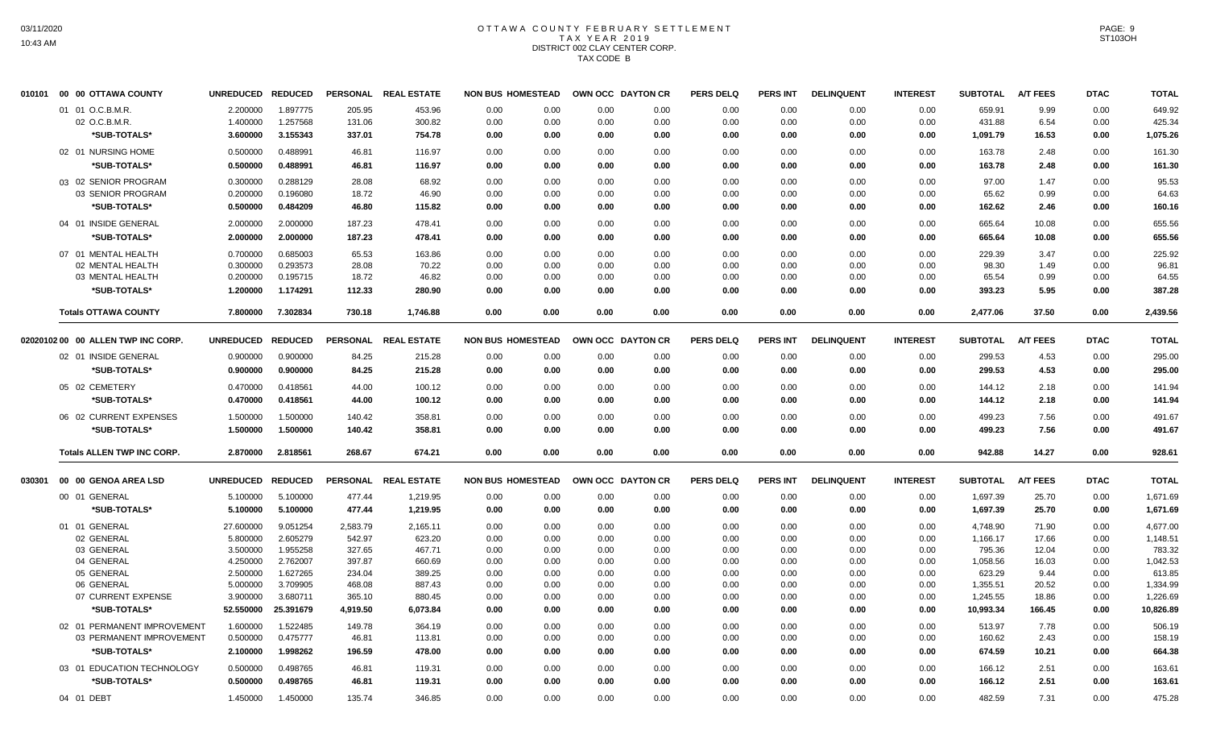# OTTAWA COUNTY FEBRUARY SETTLEMENT TAX YEAR 2019 DISTRICT 002 CLAY CENTER CORP. TAX CODE B

| 010101 | 00 00 OTTAWA COUNTY                | UNREDUCED REDUCED |           |          | PERSONAL REAL ESTATE | <b>NON BUS HOMESTEAD</b> |      | OWN OCC DAYTON CR |      | <b>PERS DELQ</b> | <b>PERS INT</b> | <b>DELINQUENT</b> | <b>INTEREST</b> | <b>SUBTOTAL</b> | <b>A/T FEES</b> | <b>DTAC</b> | <b>TOTAL</b> |
|--------|------------------------------------|-------------------|-----------|----------|----------------------|--------------------------|------|-------------------|------|------------------|-----------------|-------------------|-----------------|-----------------|-----------------|-------------|--------------|
|        | 01 01 O.C.B.M.R.                   | 2.200000          | 1.897775  | 205.95   | 453.96               | 0.00                     | 0.00 | 0.00              | 0.00 | 0.00             | 0.00            | 0.00              | 0.00            | 659.91          | 9.99            | 0.00        | 649.92       |
|        | 02 O.C.B.M.R.                      | 1.400000          | 1.257568  | 131.06   | 300.82               | 0.00                     | 0.00 | 0.00              | 0.00 | 0.00             | 0.00            | 0.00              | 0.00            | 431.88          | 6.54            | 0.00        | 425.34       |
|        | *SUB-TOTALS*                       | 3.600000          | 3.155343  | 337.01   | 754.78               | 0.00                     | 0.00 | 0.00              | 0.00 | 0.00             | 0.00            | 0.00              | 0.00            | 1,091.79        | 16.53           | 0.00        | 1,075.26     |
|        | 02 01 NURSING HOME                 | 0.500000          | 0.488991  | 46.81    | 116.97               | 0.00                     | 0.00 | 0.00              | 0.00 | 0.00             | 0.00            | 0.00              | 0.00            | 163.78          | 2.48            | 0.00        | 161.30       |
|        | *SUB-TOTALS*                       | 0.500000          | 0.488991  | 46.81    | 116.97               | 0.00                     | 0.00 | 0.00              | 0.00 | 0.00             | 0.00            | 0.00              | 0.00            | 163.78          | 2.48            | 0.00        | 161.30       |
|        | 03 02 SENIOR PROGRAM               | 0.300000          | 0.288129  | 28.08    | 68.92                | 0.00                     | 0.00 | 0.00              | 0.00 | 0.00             | 0.00            | 0.00              | 0.00            | 97.00           | 1.47            | 0.00        | 95.53        |
|        | 03 SENIOR PROGRAM                  | 0.200000          | 0.196080  | 18.72    | 46.90                | 0.00                     | 0.00 | 0.00              | 0.00 | 0.00             | 0.00            | 0.00              | 0.00            | 65.62           | 0.99            | 0.00        | 64.63        |
|        | *SUB-TOTALS*                       | 0.500000          | 0.484209  | 46.80    | 115.82               | 0.00                     | 0.00 | 0.00              | 0.00 | 0.00             | 0.00            | 0.00              | 0.00            | 162.62          | 2.46            | 0.00        | 160.16       |
|        | 04 01 INSIDE GENERAL               | 2.000000          | 2.000000  | 187.23   | 478.41               | 0.00                     | 0.00 | 0.00              | 0.00 | 0.00             | 0.00            | 0.00              | 0.00            | 665.64          | 10.08           | 0.00        | 655.56       |
|        | *SUB-TOTALS*                       | 2.000000          | 2.000000  | 187.23   | 478.41               | 0.00                     | 0.00 | 0.00              | 0.00 | 0.00             | 0.00            | 0.00              | 0.00            | 665.64          | 10.08           | 0.00        | 655.56       |
|        | 07 01 MENTAL HEALTH                | 0.700000          | 0.685003  | 65.53    | 163.86               | 0.00                     | 0.00 | 0.00              | 0.00 | 0.00             | 0.00            | 0.00              | 0.00            | 229.39          | 3.47            | 0.00        | 225.92       |
|        | 02 MENTAL HEALTH                   | 0.300000          | 0.293573  | 28.08    | 70.22                | 0.00                     | 0.00 | 0.00              | 0.00 | 0.00             | 0.00            | 0.00              | 0.00            | 98.30           | 1.49            | 0.00        | 96.81        |
|        | 03 MENTAL HEALTH                   | 0.200000          | 0.195715  | 18.72    | 46.82                | 0.00                     | 0.00 | 0.00              | 0.00 | 0.00             | 0.00            | 0.00              | 0.00            | 65.54           | 0.99            | 0.00        | 64.55        |
|        | *SUB-TOTALS*                       | 1.200000          | 1.174291  | 112.33   | 280.90               | 0.00                     | 0.00 | 0.00              | 0.00 | 0.00             | 0.00            | 0.00              | 0.00            | 393.23          | 5.95            | 0.00        | 387.28       |
|        | <b>Totals OTTAWA COUNTY</b>        | 7.800000          | 7.302834  | 730.18   | 1,746.88             | 0.00                     | 0.00 | 0.00              | 0.00 | 0.00             | 0.00            | 0.00              | 0.00            | 2,477.06        | 37.50           | 0.00        | 2,439.56     |
|        |                                    |                   |           |          |                      |                          |      |                   |      |                  |                 |                   |                 |                 |                 |             |              |
|        | 02020102 00 00 ALLEN TWP INC CORP. | UNREDUCED REDUCED |           |          | PERSONAL REAL ESTATE | <b>NON BUS HOMESTEAD</b> |      | OWN OCC DAYTON CR |      | <b>PERS DELQ</b> | <b>PERS INT</b> | <b>DELINQUENT</b> | <b>INTEREST</b> | <b>SUBTOTAL</b> | <b>A/T FEES</b> | <b>DTAC</b> | <b>TOTAL</b> |
|        | 02 01 INSIDE GENERAL               | 0.900000          | 0.900000  | 84.25    | 215.28               | 0.00                     | 0.00 | 0.00              | 0.00 | 0.00             | 0.00            | 0.00              | 0.00            | 299.53          | 4.53            | 0.00        | 295.00       |
|        | *SUB-TOTALS*                       | 0.900000          | 0.900000  | 84.25    | 215.28               | 0.00                     | 0.00 | 0.00              | 0.00 | 0.00             | 0.00            | 0.00              | 0.00            | 299.53          | 4.53            | 0.00        | 295.00       |
|        | 05 02 CEMETERY                     | 0.470000          | 0.418561  | 44.00    | 100.12               | 0.00                     | 0.00 | 0.00              | 0.00 | 0.00             | 0.00            | 0.00              | 0.00            | 144.12          | 2.18            | 0.00        | 141.94       |
|        | *SUB-TOTALS*                       | 0.470000          | 0.418561  | 44.00    | 100.12               | 0.00                     | 0.00 | 0.00              | 0.00 | 0.00             | 0.00            | 0.00              | 0.00            | 144.12          | 2.18            | 0.00        | 141.94       |
|        | 06 02 CURRENT EXPENSES             | 1.500000          | 1.500000  | 140.42   | 358.81               | 0.00                     | 0.00 | 0.00              | 0.00 | 0.00             | 0.00            | 0.00              | 0.00            | 499.23          | 7.56            | 0.00        | 491.67       |
|        | *SUB-TOTALS*                       | 1.500000          | 1.500000  | 140.42   | 358.81               | 0.00                     | 0.00 | 0.00              | 0.00 | 0.00             | 0.00            | 0.00              | 0.00            | 499.23          | 7.56            | 0.00        | 491.67       |
|        | <b>Totals ALLEN TWP INC CORP.</b>  | 2.870000          | 2.818561  | 268.67   | 674.21               | 0.00                     | 0.00 | 0.00              | 0.00 | 0.00             | 0.00            | 0.00              | 0.00            | 942.88          | 14.27           | 0.00        | 928.61       |
|        |                                    |                   |           |          |                      |                          |      |                   |      |                  |                 |                   |                 |                 |                 |             |              |
| 030301 | 00 00 GENOA AREA LSD               | UNREDUCED REDUCED |           |          | PERSONAL REAL ESTATE | <b>NON BUS HOMESTEAD</b> |      | OWN OCC DAYTON CR |      | <b>PERS DELQ</b> | <b>PERS INT</b> | <b>DELINQUENT</b> | <b>INTEREST</b> | <b>SUBTOTAL</b> | <b>A/T FEES</b> | <b>DTAC</b> | <b>TOTAL</b> |
|        | 00 01 GENERAL                      | 5.100000          | 5.100000  | 477.44   | 1,219.95             | 0.00                     | 0.00 | 0.00              | 0.00 | 0.00             | 0.00            | 0.00              | 0.00            | 1,697.39        | 25.70           | 0.00        | 1,671.69     |
|        | *SUB-TOTALS*                       | 5.100000          | 5.100000  | 477.44   | 1,219.95             | 0.00                     | 0.00 | 0.00              | 0.00 | 0.00             | 0.00            | 0.00              | 0.00            | 1,697.39        | 25.70           | 0.00        | 1,671.69     |
|        | 01 01 GENERAL                      | 27.600000         | 9.051254  | 2.583.79 | 2,165.11             | 0.00                     | 0.00 | 0.00              | 0.00 | 0.00             | 0.00            | 0.00              | 0.00            | 4.748.90        | 71.90           | 0.00        | 4,677.00     |
|        | 02 GENERAL                         | 5.800000          | 2.605279  | 542.97   | 623.20               | 0.00                     | 0.00 | 0.00              | 0.00 | 0.00             | 0.00            | 0.00              | 0.00            | 1,166.17        | 17.66           | 0.00        | 1,148.51     |
|        | 03 GENERAL                         | 3.500000          | 1.955258  | 327.65   | 467.71               | 0.00                     | 0.00 | 0.00              | 0.00 | 0.00             | 0.00            | 0.00              | 0.00            | 795.36          | 12.04           | 0.00        | 783.32       |
|        | 04 GENERAL                         | 4.250000          | 2.762007  | 397.87   | 660.69               | 0.00                     | 0.00 | 0.00              | 0.00 | 0.00             | 0.00            | 0.00              | 0.00            | 1,058.56        | 16.03           | 0.00        | 1,042.53     |
|        | 05 GENERAL                         | 2.500000          | 1.627265  | 234.04   | 389.25               | 0.00                     | 0.00 | 0.00              | 0.00 | 0.00             | 0.00            | 0.00              | 0.00            | 623.29          | 9.44            | 0.00        | 613.85       |
|        | 06 GENERAL                         | 5.000000          | 3.709905  | 468.08   | 887.43               | 0.00                     | 0.00 | 0.00              | 0.00 | 0.00             | 0.00            | 0.00              | 0.00            | 1,355.51        | 20.52           | 0.00        | 1,334.99     |
|        | 07 CURRENT EXPENSE                 | 3.900000          | 3.680711  | 365.10   | 880.45               | 0.00                     | 0.00 | 0.00              | 0.00 | 0.00             | 0.00            | 0.00              | 0.00            | 1,245.55        | 18.86           | 0.00        | 1,226.69     |
|        | *SUB-TOTALS*                       | 52.550000         | 25.391679 | 4,919.50 | 6,073.84             | 0.00                     | 0.00 | 0.00              | 0.00 | 0.00             | 0.00            | 0.00              | 0.00            | 10,993.34       | 166.45          | 0.00        | 10,826.89    |
|        | 02 01 PERMANENT IMPROVEMENT        | 1.600000          | 1.522485  | 149.78   | 364.19               | 0.00                     | 0.00 | 0.00              | 0.00 | 0.00             | 0.00            | 0.00              | 0.00            | 513.97          | 7.78            | 0.00        | 506.19       |
|        | 03 PERMANENT IMPROVEMENT           | 0.500000          | 0.475777  | 46.81    | 113.81               | 0.00                     | 0.00 | 0.00              | 0.00 | 0.00             | 0.00            | 0.00              | 0.00            | 160.62          | 2.43            | 0.00        | 158.19       |
|        | *SUB-TOTALS*                       | 2.100000          | 1.998262  | 196.59   | 478.00               | 0.00                     | 0.00 | 0.00              | 0.00 | 0.00             | 0.00            | 0.00              | 0.00            | 674.59          | 10.21           | 0.00        | 664.38       |
|        | 03 01 EDUCATION TECHNOLOGY         | 0.500000          | 0.498765  | 46.81    | 119.31               | 0.00                     | 0.00 | 0.00              | 0.00 | 0.00             | 0.00            | 0.00              | 0.00            | 166.12          | 2.51            | 0.00        | 163.61       |
|        | *SUB-TOTALS*                       | 0.500000          | 0.498765  | 46.81    | 119.31               | 0.00                     | 0.00 | 0.00              | 0.00 | 0.00             | 0.00            | 0.00              | 0.00            | 166.12          | 2.51            | 0.00        | 163.61       |
|        | 04 01 DEBT                         | 1.450000          | 1.450000  | 135.74   | 346.85               | 0.00                     | 0.00 | 0.00              | 0.00 | 0.00             | 0.00            | 0.00              | 0.00            | 482.59          | 7.31            | 0.00        | 475.28       |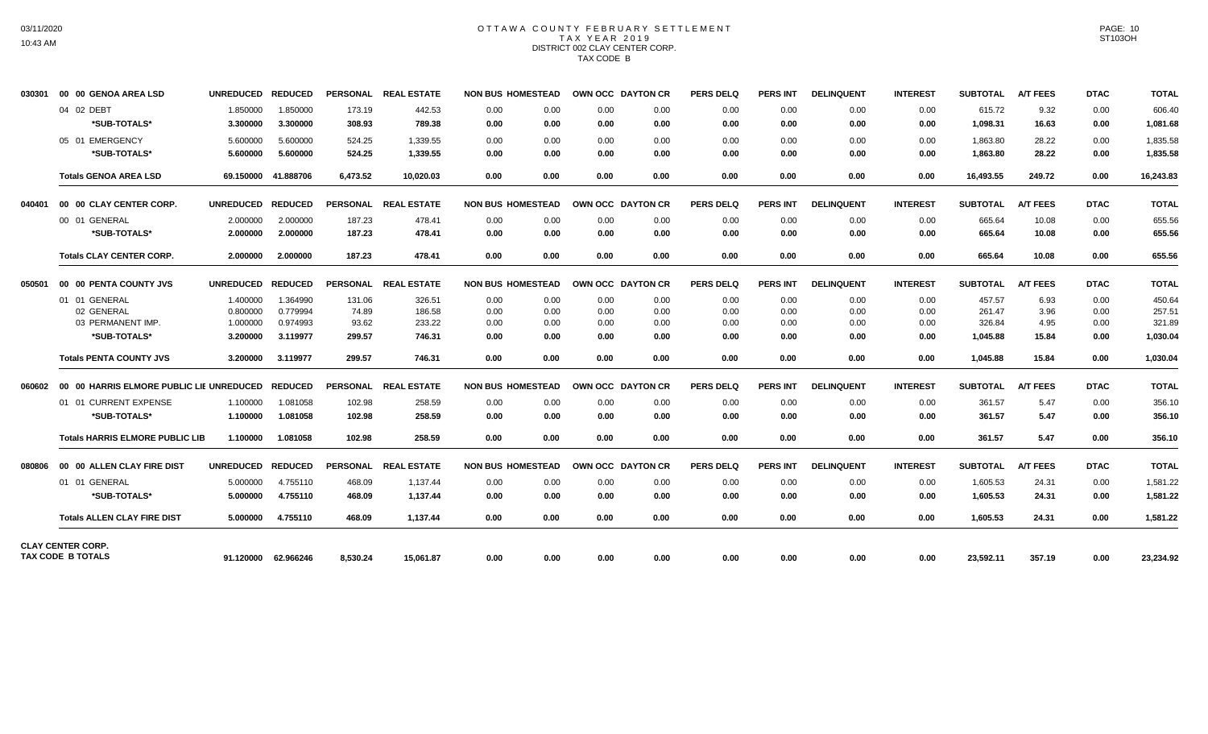# OTTAWA COUNTY FEBRUARY SETTLEMENT TAX YEAR 2019 DISTRICT 002 CLAY CENTER CORP. TAX CODE B

| 030301 | 00 00 GENOA AREA LSD                                 | UNREDUCED REDUCED    |                      |                  | PERSONAL REAL ESTATE |              | <b>NON BUS HOMESTEAD</b> | OWN OCC DAYTON CR |              | <b>PERS DELQ</b> | <b>PERS INT</b> | <b>DELINQUENT</b> | <b>INTEREST</b> | <b>SUBTOTAL</b>      | <b>A/T FEES</b> | <b>DTAC</b>  | <b>TOTAL</b>         |
|--------|------------------------------------------------------|----------------------|----------------------|------------------|----------------------|--------------|--------------------------|-------------------|--------------|------------------|-----------------|-------------------|-----------------|----------------------|-----------------|--------------|----------------------|
|        | 04 02 DEBT<br>*SUB-TOTALS*                           | 1.850000<br>3.300000 | 1.850000<br>3.300000 | 173.19<br>308.93 | 442.53<br>789.38     | 0.00<br>0.00 | 0.00<br>0.00             | 0.00<br>0.00      | 0.00<br>0.00 | 0.00<br>0.00     | 0.00<br>0.00    | 0.00<br>0.00      | 0.00<br>0.00    | 615.72<br>1,098.31   | 9.32<br>16.63   | 0.00<br>0.00 | 606.40<br>1,081.68   |
|        | 05 01 EMERGENCY<br>*SUB-TOTALS*                      | 5.600000<br>5.600000 | 5.600000<br>5.600000 | 524.25<br>524.25 | 1,339.55<br>1,339.55 | 0.00<br>0.00 | 0.00<br>0.00             | 0.00<br>0.00      | 0.00<br>0.00 | 0.00<br>0.00     | 0.00<br>0.00    | 0.00<br>0.00      | 0.00<br>0.00    | 1,863.80<br>1,863.80 | 28.22<br>28.22  | 0.00<br>0.00 | 1,835.58<br>1,835.58 |
|        | <b>Totals GENOA AREA LSD</b>                         |                      | 69.150000 41.888706  | 6,473.52         | 10.020.03            | 0.00         | 0.00                     | 0.00              | 0.00         | 0.00             | 0.00            | 0.00              | 0.00            | 16,493.55            | 249.72          | 0.00         | 16,243.83            |
| 040401 | 00 00 CLAY CENTER CORP.                              | UNREDUCED REDUCED    |                      |                  | PERSONAL REAL ESTATE |              | <b>NON BUS HOMESTEAD</b> | OWN OCC DAYTON CR |              | <b>PERS DELQ</b> | <b>PERS INT</b> | <b>DELINQUENT</b> | <b>INTEREST</b> | <b>SUBTOTAL</b>      | <b>A/T FEES</b> | <b>DTAC</b>  | <b>TOTAL</b>         |
|        | 00 01 GENERAL                                        | 2.000000             | 2.000000             | 187.23           | 478.41               | 0.00         | 0.00                     | 0.00              | 0.00         | 0.00             | 0.00            | 0.00              | 0.00            | 665.64               | 10.08           | 0.00         | 655.56               |
|        | *SUB-TOTALS*                                         | 2.000000             | 2.000000             | 187.23           | 478.41               | 0.00         | 0.00                     | 0.00              | 0.00         | 0.00             | 0.00            | 0.00              | 0.00            | 665.64               | 10.08           | 0.00         | 655.56               |
|        | <b>Totals CLAY CENTER CORP.</b>                      | 2.000000             | 2.000000             | 187.23           | 478.41               | 0.00         | 0.00                     | 0.00              | 0.00         | 0.00             | 0.00            | 0.00              | 0.00            | 665.64               | 10.08           | 0.00         | 655.56               |
| 050501 | 00 00 PENTA COUNTY JVS                               | UNREDUCED REDUCED    |                      | <b>PERSONAL</b>  | <b>REAL ESTATE</b>   |              | <b>NON BUS HOMESTEAD</b> | OWN OCC DAYTON CR |              | <b>PERS DELQ</b> | <b>PERS INT</b> | <b>DELINQUENT</b> | <b>INTEREST</b> | <b>SUBTOTAL</b>      | <b>A/T FEES</b> | <b>DTAC</b>  | <b>TOTAL</b>         |
|        | 01 01 GENERAL                                        | 1.400000             | 1.364990             | 131.06           | 326.51               | 0.00         | 0.00                     | 0.00              | 0.00         | 0.00             | 0.00            | 0.00              | 0.00            | 457.57               | 6.93            | 0.00         | 450.64               |
|        | 02 GENERAL                                           | 0.800000             | 0.779994             | 74.89            | 186.58               | 0.00         | 0.00                     | 0.00              | 0.00         | 0.00             | 0.00            | 0.00              | 0.00            | 261.47               | 3.96            | 0.00         | 257.51               |
|        | 03 PERMANENT IMP.                                    | 1.000000             | 0.974993             | 93.62            | 233.22               | 0.00         | 0.00                     | 0.00              | 0.00         | 0.00             | 0.00            | 0.00              | 0.00            | 326.84               | 4.95            | 0.00         | 321.89               |
|        | *SUB-TOTALS*                                         | 3.200000             | 3.119977             | 299.57           | 746.31               | 0.00         | 0.00                     | 0.00              | 0.00         | 0.00             | 0.00            | 0.00              | 0.00            | 1,045.88             | 15.84           | 0.00         | 1,030.04             |
|        | <b>Totals PENTA COUNTY JVS</b>                       | 3.200000             | 3.119977             | 299.57           | 746.31               | 0.00         | 0.00                     | 0.00              | 0.00         | 0.00             | 0.00            | 0.00              | 0.00            | 1,045.88             | 15.84           | 0.00         | 1.030.04             |
| 060602 | 00 00 HARRIS ELMORE PUBLIC LIE UNREDUCED REDUCED     |                      |                      |                  | PERSONAL REAL ESTATE |              | <b>NON BUS HOMESTEAD</b> | OWN OCC DAYTON CR |              | <b>PERS DELQ</b> | <b>PERS INT</b> | <b>DELINQUENT</b> | <b>INTEREST</b> | <b>SUBTOTAL</b>      | <b>A/T FEES</b> | <b>DTAC</b>  | <b>TOTAL</b>         |
|        | 01 01 CURRENT EXPENSE                                | 1.100000             | 1.081058             | 102.98           | 258.59               | 0.00         | 0.00                     | 0.00              | 0.00         | 0.00             | 0.00            | 0.00              | 0.00            | 361.57               | 5.47            | 0.00         | 356.10               |
|        | *SUB-TOTALS*                                         | 1.100000             | 1.081058             | 102.98           | 258.59               | 0.00         | 0.00                     | 0.00              | 0.00         | 0.00             | 0.00            | 0.00              | 0.00            | 361.57               | 5.47            | 0.00         | 356.10               |
|        | <b>Totals HARRIS ELMORE PUBLIC LIB</b>               | 1.100000             | 1.081058             | 102.98           | 258.59               | 0.00         | 0.00                     | 0.00              | 0.00         | 0.00             | 0.00            | 0.00              | 0.00            | 361.57               | 5.47            | 0.00         | 356.10               |
| 080806 | 00 00 ALLEN CLAY FIRE DIST                           | UNREDUCED REDUCED    |                      |                  | PERSONAL REAL ESTATE |              | <b>NON BUS HOMESTEAD</b> | OWN OCC DAYTON CR |              | <b>PERS DELQ</b> | <b>PERS INT</b> | <b>DELINQUENT</b> | <b>INTEREST</b> | <b>SUBTOTAL</b>      | <b>A/T FEES</b> | <b>DTAC</b>  | <b>TOTAL</b>         |
|        | 01 01 GENERAL                                        | 5.000000             | 4.755110             | 468.09           | 1,137.44             | 0.00         | 0.00                     | 0.00              | 0.00         | 0.00             | 0.00            | 0.00              | 0.00            | 1,605.53             | 24.31           | 0.00         | 1,581.22             |
|        | *SUB-TOTALS*                                         | 5.000000             | 4.755110             | 468.09           | 1,137.44             | 0.00         | 0.00                     | 0.00              | 0.00         | 0.00             | 0.00            | 0.00              | 0.00            | 1,605.53             | 24.31           | 0.00         | 1,581.22             |
|        | <b>Totals ALLEN CLAY FIRE DIST</b>                   | 5.000000             | 4.755110             | 468.09           | 1,137.44             | 0.00         | 0.00                     | 0.00              | 0.00         | 0.00             | 0.00            | 0.00              | 0.00            | 1.605.53             | 24.31           | 0.00         | 1,581.22             |
|        | <b>CLAY CENTER CORP.</b><br><b>TAX CODE B TOTALS</b> |                      |                      |                  |                      |              |                          |                   |              |                  |                 |                   |                 |                      |                 |              |                      |
|        |                                                      |                      | 91.120000 62.966246  | 8,530.24         | 15,061.87            | 0.00         | 0.00                     | 0.00              | 0.00         | 0.00             | 0.00            | 0.00              | 0.00            | 23,592.11            | 357.19          | 0.00         | 23,234.92            |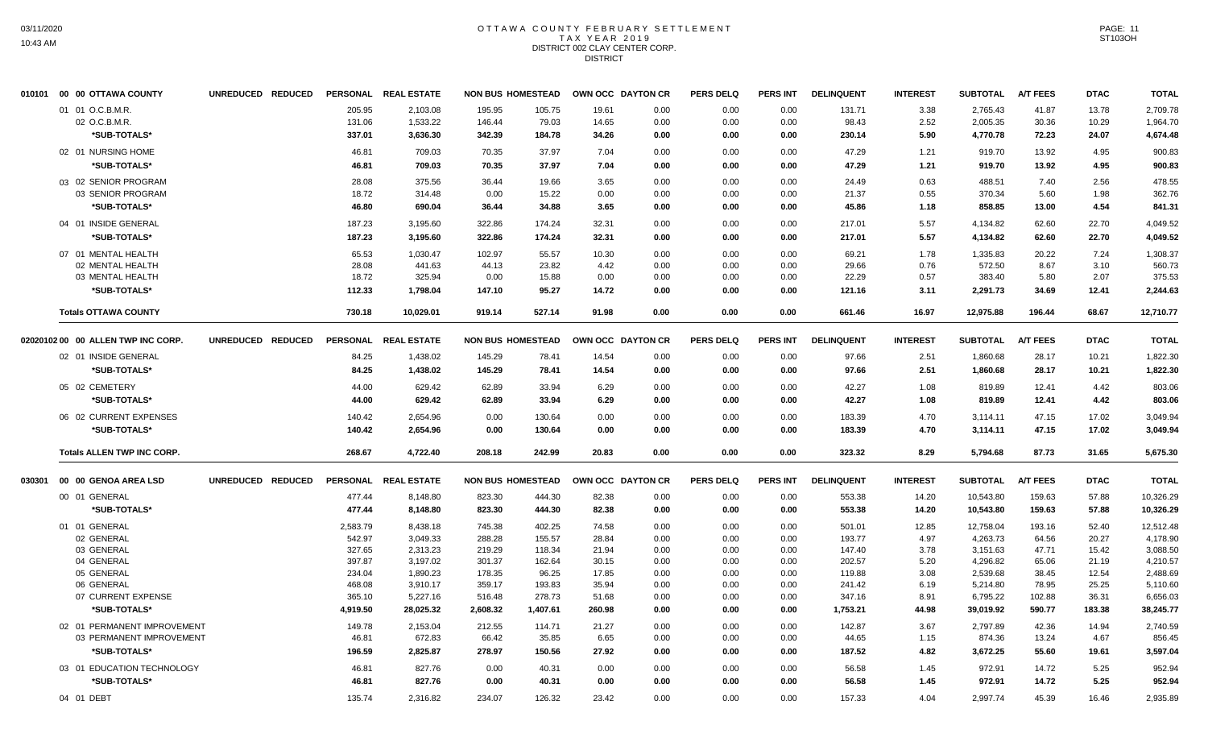#### OTTAWA COUNTY FEBRUARY SETTLEMENT T A X Y E A R 2 0 1 9 DISTRICT 002 CLAY CENTER CORP. **DISTRICT**

|        | 010101 00 00 OTTAWA COUNTY         | UNREDUCED REDUCED |          | PERSONAL REAL ESTATE | <b>NON BUS HOMESTEAD</b> |          |        | OWN OCC DAYTON CR | <b>PERS DELQ</b> | <b>PERS INT</b> | <b>DELINQUENT</b> | <b>INTEREST</b> | <b>SUBTOTAL</b> | <b>A/T FEES</b> | <b>DTAC</b> | <b>TOTAL</b> |
|--------|------------------------------------|-------------------|----------|----------------------|--------------------------|----------|--------|-------------------|------------------|-----------------|-------------------|-----------------|-----------------|-----------------|-------------|--------------|
|        | 01 01 O.C.B.M.R.                   |                   | 205.95   | 2,103.08             | 195.95                   | 105.75   | 19.61  | 0.00              | 0.00             | 0.00            | 131.71            | 3.38            | 2,765.43        | 41.87           | 13.78       | 2,709.78     |
|        | 02 O.C.B.M.R.                      |                   | 131.06   | 1,533.22             | 146.44                   | 79.03    | 14.65  | 0.00              | 0.00             | 0.00            | 98.43             | 2.52            | 2,005.35        | 30.36           | 10.29       | 1,964.70     |
|        | *SUB-TOTALS*                       |                   | 337.01   | 3,636.30             | 342.39                   | 184.78   | 34.26  | 0.00              | 0.00             | 0.00            | 230.14            | 5.90            | 4,770.78        | 72.23           | 24.07       | 4,674.48     |
|        | 02 01 NURSING HOME                 |                   | 46.81    | 709.03               | 70.35                    | 37.97    | 7.04   | 0.00              | 0.00             | 0.00            | 47.29             | 1.21            | 919.70          | 13.92           | 4.95        | 900.83       |
|        | *SUB-TOTALS*                       |                   | 46.81    | 709.03               | 70.35                    | 37.97    | 7.04   | 0.00              | 0.00             | 0.00            | 47.29             | 1.21            | 919.70          | 13.92           | 4.95        | 900.83       |
|        | 03 02 SENIOR PROGRAM               |                   | 28.08    | 375.56               | 36.44                    | 19.66    | 3.65   | 0.00              | 0.00             | 0.00            | 24.49             | 0.63            | 488.51          | 7.40            | 2.56        | 478.55       |
|        | 03 SENIOR PROGRAM                  |                   | 18.72    | 314.48               | 0.00                     | 15.22    | 0.00   | 0.00              | 0.00             | 0.00            | 21.37             | 0.55            | 370.34          | 5.60            | 1.98        | 362.76       |
|        | *SUB-TOTALS*                       |                   | 46.80    | 690.04               | 36.44                    | 34.88    | 3.65   | 0.00              | 0.00             | 0.00            | 45.86             | 1.18            | 858.85          | 13.00           | 4.54        | 841.31       |
|        | 04 01 INSIDE GENERAL               |                   | 187.23   | 3,195.60             | 322.86                   | 174.24   | 32.31  | 0.00              | 0.00             | 0.00            | 217.01            | 5.57            | 4,134.82        | 62.60           | 22.70       | 4,049.52     |
|        | *SUB-TOTALS*                       |                   | 187.23   | 3,195.60             | 322.86                   | 174.24   | 32.31  | 0.00              | 0.00             | 0.00            | 217.01            | 5.57            | 4,134.82        | 62.60           | 22.70       | 4,049.52     |
|        | 07 01 MENTAL HEALTH                |                   | 65.53    | 1,030.47             | 102.97                   | 55.57    | 10.30  | 0.00              | 0.00             | 0.00            | 69.21             | 1.78            | 1,335.83        | 20.22           | 7.24        | 1,308.37     |
|        | 02 MENTAL HEALTH                   |                   | 28.08    | 441.63               | 44.13                    | 23.82    | 4.42   | 0.00              | 0.00             | 0.00            | 29.66             | 0.76            | 572.50          | 8.67            | 3.10        | 560.73       |
|        | 03 MENTAL HEALTH                   |                   | 18.72    | 325.94               | 0.00                     | 15.88    | 0.00   | 0.00              | 0.00             | 0.00            | 22.29             | 0.57            | 383.40          | 5.80            | 2.07        | 375.53       |
|        | *SUB-TOTALS*                       |                   | 112.33   | 1,798.04             | 147.10                   | 95.27    | 14.72  | 0.00              | 0.00             | 0.00            | 121.16            | 3.11            | 2,291.73        | 34.69           | 12.41       | 2,244.63     |
|        | <b>Totals OTTAWA COUNTY</b>        |                   | 730.18   | 10,029.01            | 919.14                   | 527.14   | 91.98  | 0.00              | 0.00             | 0.00            | 661.46            | 16.97           | 12,975.88       | 196.44          | 68.67       | 12,710.77    |
|        | 02020102 00 00 ALLEN TWP INC CORP. | UNREDUCED REDUCED |          | PERSONAL REAL ESTATE | <b>NON BUS HOMESTEAD</b> |          |        | OWN OCC DAYTON CR | <b>PERS DELQ</b> | <b>PERS INT</b> | <b>DELINQUENT</b> | <b>INTEREST</b> | <b>SUBTOTAL</b> | <b>A/T FEES</b> | <b>DTAC</b> | <b>TOTAL</b> |
|        | 02 01 INSIDE GENERAL               |                   | 84.25    | 1,438.02             | 145.29                   | 78.41    | 14.54  | 0.00              | 0.00             | 0.00            | 97.66             | 2.51            | 1,860.68        | 28.17           | 10.21       | 1,822.30     |
|        | *SUB-TOTALS*                       |                   | 84.25    | 1,438.02             | 145.29                   | 78.41    | 14.54  | 0.00              | 0.00             | 0.00            | 97.66             | 2.51            | 1,860.68        | 28.17           | 10.21       | 1,822.30     |
|        |                                    |                   |          |                      |                          |          |        |                   |                  |                 |                   |                 |                 |                 |             |              |
|        | 05 02 CEMETERY                     |                   | 44.00    | 629.42               | 62.89                    | 33.94    | 6.29   | 0.00              | 0.00             | 0.00            | 42.27             | 1.08            | 819.89          | 12.41           | 4.42        | 803.06       |
|        | *SUB-TOTALS*                       |                   | 44.00    | 629.42               | 62.89                    | 33.94    | 6.29   | 0.00              | 0.00             | 0.00            | 42.27             | 1.08            | 819.89          | 12.41           | 4.42        | 803.06       |
|        | 06 02 CURRENT EXPENSES             |                   | 140.42   | 2,654.96             | 0.00                     | 130.64   | 0.00   | 0.00              | 0.00             | 0.00            | 183.39            | 4.70            | 3,114.11        | 47.15           | 17.02       | 3,049.94     |
|        | *SUB-TOTALS*                       |                   | 140.42   | 2,654.96             | 0.00                     | 130.64   | 0.00   | 0.00              | 0.00             | 0.00            | 183.39            | 4.70            | 3,114.11        | 47.15           | 17.02       | 3,049.94     |
|        | <b>Totals ALLEN TWP INC CORP.</b>  |                   | 268.67   | 4,722.40             | 208.18                   | 242.99   | 20.83  | 0.00              | 0.00             | 0.00            | 323.32            | 8.29            | 5,794.68        | 87.73           | 31.65       | 5,675.30     |
| 030301 | 00 00 GENOA AREA LSD               | UNREDUCED REDUCED |          | PERSONAL REAL ESTATE | <b>NON BUS HOMESTEAD</b> |          |        | OWN OCC DAYTON CR | <b>PERS DELQ</b> | <b>PERS INT</b> | <b>DELINQUENT</b> | <b>INTEREST</b> | <b>SUBTOTAL</b> | <b>A/T FEES</b> | <b>DTAC</b> | <b>TOTAL</b> |
|        | 00 01 GENERAL                      |                   | 477.44   | 8,148.80             | 823.30                   | 444.30   | 82.38  | 0.00              | 0.00             | 0.00            | 553.38            | 14.20           | 10.543.80       | 159.63          | 57.88       | 10,326.29    |
|        | *SUB-TOTALS*                       |                   | 477.44   | 8,148.80             | 823.30                   | 444.30   | 82.38  | 0.00              | 0.00             | 0.00            | 553.38            | 14.20           | 10,543.80       | 159.63          | 57.88       | 10,326.29    |
|        | 01 01 GENERAL                      |                   | 2,583.79 | 8,438.18             | 745.38                   | 402.25   | 74.58  | 0.00              | 0.00             | 0.00            | 501.01            | 12.85           | 12,758.04       | 193.16          | 52.40       | 12,512.48    |
|        | 02 GENERAL                         |                   | 542.97   | 3,049.33             | 288.28                   | 155.57   | 28.84  | 0.00              | 0.00             | 0.00            | 193.77            | 4.97            | 4,263.73        | 64.56           | 20.27       | 4,178.90     |
|        | 03 GENERAL                         |                   | 327.65   | 2,313.23             | 219.29                   | 118.34   | 21.94  | 0.00              | 0.00             | 0.00            | 147.40            | 3.78            | 3,151.63        | 47.71           | 15.42       | 3,088.50     |
|        | 04 GENERAL                         |                   | 397.87   | 3,197.02             | 301.37                   | 162.64   | 30.15  | 0.00              | 0.00             | 0.00            | 202.57            | 5.20            | 4,296.82        | 65.06           | 21.19       | 4,210.57     |
|        | 05 GENERAL                         |                   | 234.04   | 1,890.23             | 178.35                   | 96.25    | 17.85  | 0.00              | 0.00             | 0.00            | 119.88            | 3.08            | 2,539.68        | 38.45           | 12.54       | 2,488.69     |
|        | 06 GENERAL                         |                   | 468.08   | 3,910.17             | 359.17                   | 193.83   | 35.94  | 0.00              | 0.00             | 0.00            | 241.42            | 6.19            | 5,214.80        | 78.95           | 25.25       | 5,110.60     |
|        | 07 CURRENT EXPENSE                 |                   | 365.10   | 5,227.16             | 516.48                   | 278.73   | 51.68  | 0.00              | 0.00             | 0.00            | 347.16            | 8.91            | 6,795.22        | 102.88          | 36.31       | 6,656.03     |
|        | *SUB-TOTALS*                       |                   | 4,919.50 | 28,025.32            | 2,608.32                 | 1,407.61 | 260.98 | 0.00              | 0.00             | 0.00            | 1,753.21          | 44.98           | 39,019.92       | 590.77          | 183.38      | 38,245.77    |
|        | 02 01 PERMANENT IMPROVEMENT        |                   | 149.78   | 2,153.04             | 212.55                   | 114.71   | 21.27  | 0.00              | 0.00             | 0.00            | 142.87            | 3.67            | 2,797.89        | 42.36           | 14.94       | 2,740.59     |
|        | 03 PERMANENT IMPROVEMENT           |                   | 46.81    | 672.83               | 66.42                    | 35.85    | 6.65   | 0.00              | 0.00             | 0.00            | 44.65             | 1.15            | 874.36          | 13.24           | 4.67        | 856.45       |
|        | *SUB-TOTALS*                       |                   | 196.59   | 2,825.87             | 278.97                   | 150.56   | 27.92  | 0.00              | 0.00             | 0.00            | 187.52            | 4.82            | 3,672.25        | 55.60           | 19.61       | 3,597.04     |
|        | 03 01 EDUCATION TECHNOLOGY         |                   | 46.81    | 827.76               | 0.00                     | 40.31    | 0.00   | 0.00              | 0.00             | 0.00            | 56.58             | 1.45            | 972.91          | 14.72           | 5.25        | 952.94       |
|        | *SUB-TOTALS*                       |                   | 46.81    | 827.76               | 0.00                     | 40.31    | 0.00   | 0.00              | 0.00             | 0.00            | 56.58             | 1.45            | 972.91          | 14.72           | 5.25        | 952.94       |
|        | 04 01 DEBT                         |                   | 135.74   | 2,316.82             | 234.07                   | 126.32   | 23.42  | 0.00              | 0.00             | 0.00            | 157.33            | 4.04            | 2,997.74        | 45.39           | 16.46       | 2,935.89     |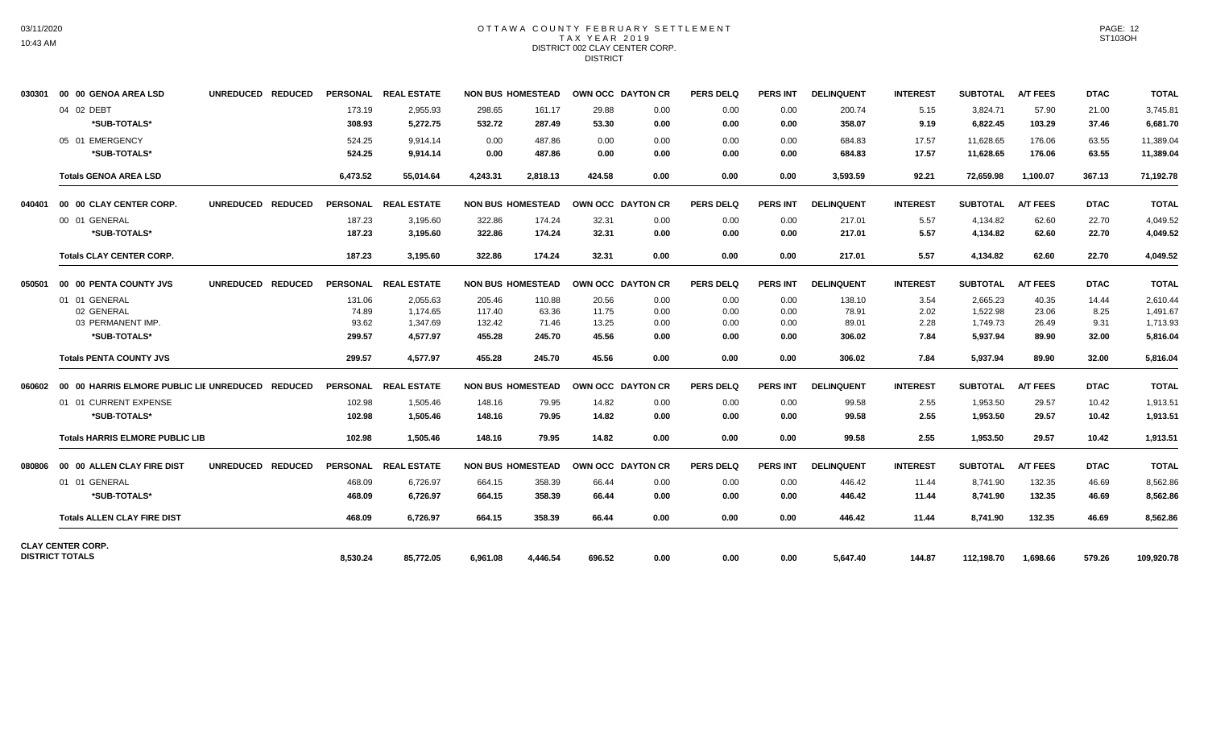# OTTAWA COUNTY FEBRUARY SETTLEMENT TAX YEAR 2019 DISTRICT 002 CLAY CENTER CORP. **DISTRICT**

| 030301 | 00 00 GENOA AREA LSD                             | UNREDUCED REDUCED |          | PERSONAL REAL ESTATE |          | <b>NON BUS HOMESTEAD</b> | OWN OCC DAYTON CR |      | <b>PERS DELQ</b> | <b>PERS INT</b> | <b>DELINQUENT</b> | <b>INTEREST</b> | SUBTOTAL        | <b>A/T FEES</b> | <b>DTAC</b> | <b>TOTAL</b> |
|--------|--------------------------------------------------|-------------------|----------|----------------------|----------|--------------------------|-------------------|------|------------------|-----------------|-------------------|-----------------|-----------------|-----------------|-------------|--------------|
|        | 04 02 DEBT                                       |                   | 173.19   | 2,955.93             | 298.65   | 161.17                   | 29.88             | 0.00 | 0.00             | 0.00            | 200.74            | 5.15            | 3,824.71        | 57.90           | 21.00       | 3,745.81     |
|        | *SUB-TOTALS*                                     |                   | 308.93   | 5,272.75             | 532.72   | 287.49                   | 53.30             | 0.00 | 0.00             | 0.00            | 358.07            | 9.19            | 6,822.45        | 103.29          | 37.46       | 6,681.70     |
|        | 05 01 EMERGENCY                                  |                   | 524.25   | 9.914.14             | 0.00     | 487.86                   | 0.00              | 0.00 | 0.00             | 0.00            | 684.83            | 17.57           | 11.628.65       | 176.06          | 63.55       | 11,389.04    |
|        | *SUB-TOTALS*                                     |                   | 524.25   | 9,914.14             | 0.00     | 487.86                   | 0.00              | 0.00 | 0.00             | 0.00            | 684.83            | 17.57           | 11,628.65       | 176.06          | 63.55       | 11,389.04    |
|        | <b>Totals GENOA AREA LSD</b>                     |                   | 6,473.52 | 55.014.64            | 4,243.31 | 2.818.13                 | 424.58            | 0.00 | 0.00             | 0.00            | 3,593.59          | 92.21           | 72.659.98       | 1.100.07        | 367.13      | 71,192.78    |
| 040401 | 00 00 CLAY CENTER CORP.                          | UNREDUCED REDUCED |          | PERSONAL REAL ESTATE |          | <b>NON BUS HOMESTEAD</b> | OWN OCC DAYTON CR |      | <b>PERS DELQ</b> | <b>PERS INT</b> | <b>DELINQUENT</b> | <b>INTEREST</b> | <b>SUBTOTAL</b> | <b>A/T FEES</b> | <b>DTAC</b> | <b>TOTAL</b> |
|        | 00 01 GENERAL                                    |                   | 187.23   | 3,195.60             | 322.86   | 174.24                   | 32.31             | 0.00 | 0.00             | 0.00            | 217.01            | 5.57            | 4,134.82        | 62.60           | 22.70       | 4,049.52     |
|        | *SUB-TOTALS*                                     |                   | 187.23   | 3,195.60             | 322.86   | 174.24                   | 32.31             | 0.00 | 0.00             | 0.00            | 217.01            | 5.57            | 4,134.82        | 62.60           | 22.70       | 4,049.52     |
|        | <b>Totals CLAY CENTER CORP.</b>                  |                   | 187.23   | 3,195.60             | 322.86   | 174.24                   | 32.31             | 0.00 | 0.00             | 0.00            | 217.01            | 5.57            | 4,134.82        | 62.60           | 22.70       | 4,049.52     |
| 050501 | 00 00 PENTA COUNTY JVS                           | UNREDUCED REDUCED |          | PERSONAL REAL ESTATE |          | <b>NON BUS HOMESTEAD</b> | OWN OCC DAYTON CR |      | <b>PERS DELQ</b> | <b>PERS INT</b> | <b>DELINQUENT</b> | <b>INTEREST</b> | <b>SUBTOTAL</b> | <b>A/T FEES</b> | <b>DTAC</b> | <b>TOTAL</b> |
|        | 01 01 GENERAL                                    |                   | 131.06   | 2,055.63             | 205.46   | 110.88                   | 20.56             | 0.00 | 0.00             | 0.00            | 138.10            | 3.54            | 2,665.23        | 40.35           | 14.44       | 2.610.44     |
|        | 02 GENERAL                                       |                   | 74.89    | 1.174.65             | 117.40   | 63.36                    | 11.75             | 0.00 | 0.00             | 0.00            | 78.91             | 2.02            | 1,522.98        | 23.06           | 8.25        | 1.491.67     |
|        | 03 PERMANENT IMP.                                |                   | 93.62    | 1,347.69             | 132.42   | 71.46                    | 13.25             | 0.00 | 0.00             | 0.00            | 89.01             | 2.28            | 1,749.73        | 26.49           | 9.31        | 1,713.93     |
|        | *SUB-TOTALS*                                     |                   | 299.57   | 4.577.97             | 455.28   | 245.70                   | 45.56             | 0.00 | 0.00             | 0.00            | 306.02            | 7.84            | 5,937.94        | 89.90           | 32.00       | 5,816.04     |
|        | <b>Totals PENTA COUNTY JVS</b>                   |                   | 299.57   | 4.577.97             | 455.28   | 245.70                   | 45.56             | 0.00 | 0.00             | 0.00            | 306.02            | 7.84            | 5,937.94        | 89.90           | 32.00       | 5,816.04     |
| 060602 | 00 00 HARRIS ELMORE PUBLIC LIE UNREDUCED REDUCED |                   |          | PERSONAL REAL ESTATE |          | <b>NON BUS HOMESTEAD</b> | OWN OCC DAYTON CR |      | <b>PERS DELQ</b> | <b>PERS INT</b> | <b>DELINQUENT</b> | <b>INTEREST</b> | <b>SUBTOTAL</b> | <b>A/T FEES</b> | <b>DTAC</b> | <b>TOTAL</b> |
|        | 01 01 CURRENT EXPENSE                            |                   | 102.98   | 1,505.46             | 148.16   | 79.95                    | 14.82             | 0.00 | 0.00             | 0.00            | 99.58             | 2.55            | 1,953.50        | 29.57           | 10.42       | 1,913.51     |
|        | *SUB-TOTALS*                                     |                   | 102.98   | 1,505.46             | 148.16   | 79.95                    | 14.82             | 0.00 | 0.00             | 0.00            | 99.58             | 2.55            | 1,953.50        | 29.57           | 10.42       | 1,913.51     |
|        | <b>Totals HARRIS ELMORE PUBLIC LIB</b>           |                   | 102.98   | 1.505.46             | 148.16   | 79.95                    | 14.82             | 0.00 | 0.00             | 0.00            | 99.58             | 2.55            | 1,953.50        | 29.57           | 10.42       | 1,913.51     |
| 080806 | 00 00 ALLEN CLAY FIRE DIST                       | UNREDUCED REDUCED |          | PERSONAL REAL ESTATE |          | <b>NON BUS HOMESTEAD</b> | OWN OCC DAYTON CR |      | <b>PERS DELQ</b> | <b>PERS INT</b> | <b>DELINQUENT</b> | <b>INTEREST</b> | <b>SUBTOTAL</b> | <b>A/T FEES</b> | <b>DTAC</b> | <b>TOTAL</b> |
|        | 01 01 GENERAL                                    |                   | 468.09   | 6,726.97             | 664.15   | 358.39                   | 66.44             | 0.00 | 0.00             | 0.00            | 446.42            | 11.44           | 8,741.90        | 132.35          | 46.69       | 8,562.86     |
|        | *SUB-TOTALS*                                     |                   | 468.09   | 6,726.97             | 664.15   | 358.39                   | 66.44             | 0.00 | 0.00             | 0.00            | 446.42            | 11.44           | 8,741.90        | 132.35          | 46.69       | 8,562.86     |
|        | <b>Totals ALLEN CLAY FIRE DIST</b>               |                   | 468.09   | 6,726.97             | 664.15   | 358.39                   | 66.44             | 0.00 | 0.00             | 0.00            | 446.42            | 11.44           | 8,741.90        | 132.35          | 46.69       | 8,562.86     |
|        | <b>CLAY CENTER CORP.</b>                         |                   |          |                      |          |                          |                   |      |                  |                 |                   |                 |                 |                 |             |              |
|        | <b>DISTRICT TOTALS</b>                           |                   | 8,530.24 | 85.772.05            | 6.961.08 | 4.446.54                 | 696.52            | 0.00 | 0.00             | 0.00            | 5.647.40          | 144.87          | 112.198.70      | 1.698.66        | 579.26      | 109,920.78   |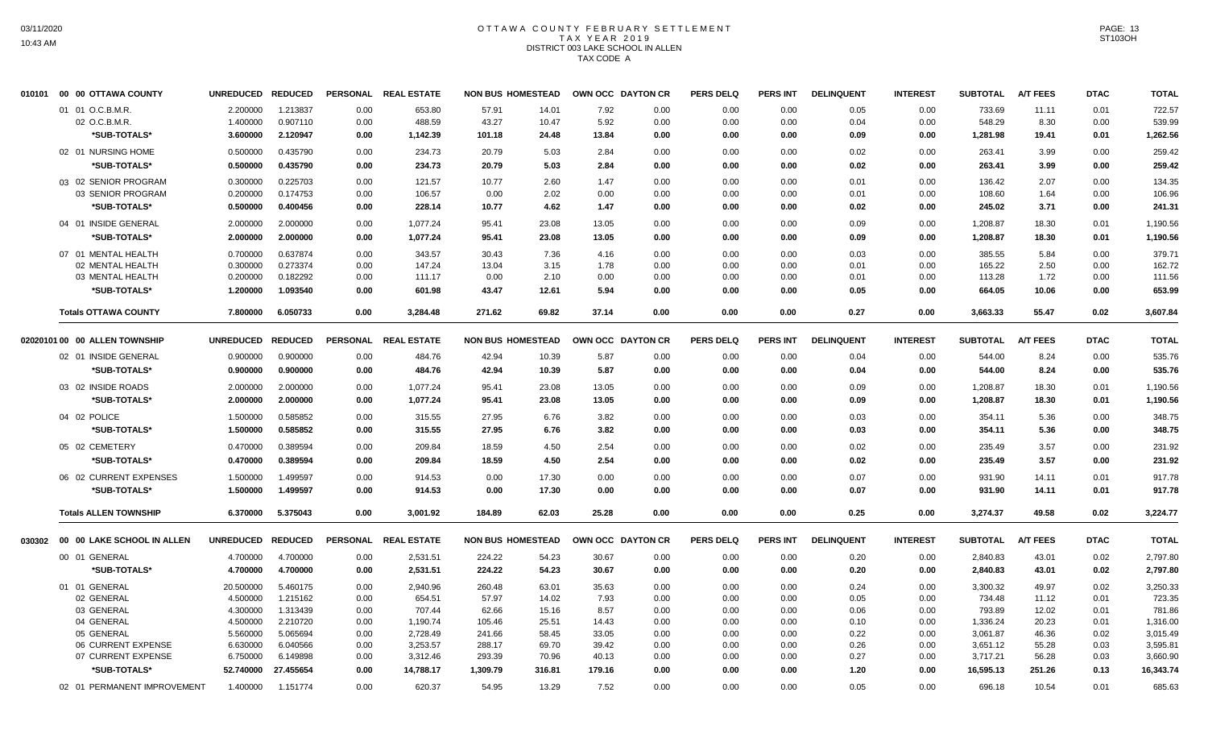# OTTAWA COUNTY FEBRUARY SETTLEMENT TAX YEAR 2019 DISTRICT 003 LAKE SCHOOL IN ALLEN TAX CODE A

| 010101 00 00 OTTAWA COUNTY        | <b>UNREDUCED</b>      | <b>REDUCED</b>       |              | PERSONAL REAL ESTATE | <b>NON BUS HOMESTEAD</b> |                | OWN OCC DAYTON CR |              | <b>PERS DELQ</b> | <b>PERS INT</b> | <b>DELINQUENT</b> | <b>INTEREST</b> | <b>SUBTOTAL</b>    | <b>A/T FEES</b> | <b>DTAC</b>  | <b>TOTAL</b>       |
|-----------------------------------|-----------------------|----------------------|--------------|----------------------|--------------------------|----------------|-------------------|--------------|------------------|-----------------|-------------------|-----------------|--------------------|-----------------|--------------|--------------------|
| 01 01 O.C.B.M.R.                  | 2.200000              | 1.213837             | 0.00         | 653.80               | 57.91                    | 14.01          | 7.92              | 0.00         | 0.00             | 0.00            | 0.05              | 0.00            | 733.69             | 11.11           | 0.01         | 722.57             |
| 02 O.C.B.M.R.                     | 1.400000              | 0.907110             | 0.00         | 488.59               | 43.27                    | 10.47          | 5.92              | 0.00         | 0.00             | 0.00            | 0.04              | 0.00            | 548.29             | 8.30            | 0.00         | 539.99             |
| *SUB-TOTALS*                      | 3.600000              | 2.120947             | 0.00         | 1,142.39             | 101.18                   | 24.48          | 13.84             | 0.00         | 0.00             | 0.00            | 0.09              | 0.00            | 1,281.98           | 19.41           | 0.01         | 1,262.56           |
| 02 01 NURSING HOME                | 0.500000              | 0.435790             | 0.00         | 234.73               | 20.79                    | 5.03           | 2.84              | 0.00         | 0.00             | 0.00            | 0.02              | 0.00            | 263.41             | 3.99            | 0.00         | 259.42             |
| *SUB-TOTALS*                      | 0.500000              | 0.435790             | 0.00         | 234.73               | 20.79                    | 5.03           | 2.84              | 0.00         | 0.00             | 0.00            | 0.02              | 0.00            | 263.41             | 3.99            | 0.00         | 259.42             |
| 03 02 SENIOR PROGRAM              | 0.300000              | 0.225703             | 0.00         | 121.57               | 10.77                    | 2.60           | 1.47              | 0.00         | 0.00             | 0.00            | 0.01              | 0.00            | 136.42             | 2.07            | 0.00         | 134.35             |
| 03 SENIOR PROGRAM                 | 0.200000              | 0.174753             | 0.00         | 106.57               | 0.00                     | 2.02           | 0.00              | 0.00         | 0.00             | 0.00            | 0.01              | 0.00            | 108.60             | 1.64            | 0.00         | 106.96             |
| *SUB-TOTALS*                      | 0.500000              | 0.400456             | 0.00         | 228.14               | 10.77                    | 4.62           | 1.47              | 0.00         | 0.00             | 0.00            | 0.02              | 0.00            | 245.02             | 3.71            | 0.00         | 241.31             |
| 04 01 INSIDE GENERAL              | 2.000000              | 2.000000             | 0.00         | 1.077.24             | 95.41                    | 23.08          | 13.05             | 0.00         | 0.00             | 0.00            | 0.09              | 0.00            | 1,208.87           | 18.30           | 0.01         | 1,190.56           |
| *SUB-TOTALS*                      | 2.000000              | 2.000000             | 0.00         | 1,077.24             | 95.41                    | 23.08          | 13.05             | 0.00         | 0.00             | 0.00            | 0.09              | 0.00            | 1,208.87           | 18.30           | 0.01         | 1,190.56           |
| 07 01 MENTAL HEALTH               | 0.700000              | 0.637874             | 0.00         | 343.57               | 30.43                    | 7.36           | 4.16              | 0.00         | 0.00             | 0.00            | 0.03              | 0.00            | 385.55             | 5.84            | 0.00         | 379.71             |
| 02 MENTAL HEALTH                  | 0.300000              | 0.273374             | 0.00         | 147.24               | 13.04                    | 3.15           | 1.78              | 0.00         | 0.00             | 0.00            | 0.01              | 0.00            | 165.22             | 2.50            | 0.00         | 162.72             |
| 03 MENTAL HEALTH                  | 0.200000              | 0.182292             | 0.00         | 111.17               | 0.00                     | 2.10           | 0.00              | 0.00         | 0.00             | 0.00            | 0.01              | 0.00            | 113.28             | 1.72            | 0.00         | 111.56             |
| *SUB-TOTALS*                      | 1.200000              | 1.093540             | 0.00         | 601.98               | 43.47                    | 12.61          | 5.94              | 0.00         | 0.00             | 0.00            | 0.05              | 0.00            | 664.05             | 10.06           | 0.00         | 653.99             |
| <b>Totals OTTAWA COUNTY</b>       | 7.800000              | 6.050733             | 0.00         | 3,284.48             | 271.62                   | 69.82          | 37.14             | 0.00         | 0.00             | 0.00            | 0.27              | 0.00            | 3,663.33           | 55.47           | 0.02         | 3,607.84           |
| 02020101 00 00 ALLEN TOWNSHIP     | <b>UNREDUCED</b>      | <b>REDUCED</b>       |              | PERSONAL REAL ESTATE | <b>NON BUS HOMESTEAD</b> |                | OWN OCC DAYTON CR |              | <b>PERS DELQ</b> | <b>PERS INT</b> | <b>DELINQUENT</b> | <b>INTEREST</b> | <b>SUBTOTAL</b>    | <b>A/T FEES</b> | <b>DTAC</b>  | <b>TOTAL</b>       |
| 02 01 INSIDE GENERAL              | 0.900000              | 0.900000             | 0.00         | 484.76               | 42.94                    | 10.39          | 5.87              | 0.00         | 0.00             | 0.00            | 0.04              | 0.00            | 544.00             | 8.24            | 0.00         | 535.76             |
| *SUB-TOTALS*                      | 0.900000              | 0.900000             | 0.00         | 484.76               | 42.94                    | 10.39          | 5.87              | 0.00         | 0.00             | 0.00            | 0.04              | 0.00            | 544.00             | 8.24            | 0.00         | 535.76             |
| 03 02 INSIDE ROADS                | 2.000000              | 2.000000             | 0.00         | 1,077.24             | 95.41                    | 23.08          | 13.05             | 0.00         | 0.00             | 0.00            | 0.09              | 0.00            | 1,208.87           | 18.30           | 0.01         | 1,190.56           |
| *SUB-TOTALS*                      | 2.000000              | 2.000000             | 0.00         | 1,077.24             | 95.41                    | 23.08          | 13.05             | 0.00         | 0.00             | 0.00            | 0.09              | 0.00            | 1,208.87           | 18.30           | 0.01         | 1,190.56           |
| 04 02 POLICE                      | 1.500000              | 0.585852             | 0.00         | 315.55               | 27.95                    | 6.76           | 3.82              | 0.00         | 0.00             | 0.00            | 0.03              | 0.00            | 354.11             | 5.36            | 0.00         | 348.75             |
| *SUB-TOTALS*                      | 1.500000              | 0.585852             | 0.00         | 315.55               | 27.95                    | 6.76           | 3.82              | 0.00         | 0.00             | 0.00            | 0.03              | 0.00            | 354.11             | 5.36            | 0.00         | 348.75             |
| 05 02 CEMETERY                    | 0.470000              | 0.389594             | 0.00         | 209.84               | 18.59                    | 4.50           | 2.54              | 0.00         | 0.00             | 0.00            | 0.02              | 0.00            | 235.49             | 3.57            | 0.00         | 231.92             |
| *SUB-TOTALS*                      | 0.470000              | 0.389594             | 0.00         | 209.84               | 18.59                    | 4.50           | 2.54              | 0.00         | 0.00             | 0.00            | 0.02              | 0.00            | 235.49             | 3.57            | 0.00         | 231.92             |
| 06 02 CURRENT EXPENSES            | 1.500000              | 1.499597             | 0.00         | 914.53               | 0.00                     | 17.30          | 0.00              | 0.00         | 0.00             | 0.00            | 0.07              | 0.00            | 931.90             | 14.11           | 0.01         | 917.78             |
| *SUB-TOTALS*                      | 1.500000              | 1.499597             | 0.00         | 914.53               | 0.00                     | 17.30          | 0.00              | 0.00         | 0.00             | 0.00            | 0.07              | 0.00            | 931.90             | 14.11           | 0.01         | 917.78             |
| <b>Totals ALLEN TOWNSHIP</b>      | 6.370000              | 5.375043             | 0.00         | 3,001.92             | 184.89                   | 62.03          | 25.28             | 0.00         | 0.00             | 0.00            | 0.25              | 0.00            | 3,274.37           | 49.58           | 0.02         | 3,224.77           |
| 030302 00 00 LAKE SCHOOL IN ALLEN | UNREDUCED REDUCED     |                      |              | PERSONAL REAL ESTATE | <b>NON BUS HOMESTEAD</b> |                | OWN OCC DAYTON CR |              | <b>PERS DELQ</b> | PERS INT        | <b>DELINQUENT</b> | <b>INTEREST</b> | <b>SUBTOTAL</b>    | <b>A/T FEES</b> | <b>DTAC</b>  | <b>TOTAL</b>       |
|                                   |                       |                      |              |                      |                          |                |                   |              |                  |                 |                   |                 |                    |                 |              |                    |
| 00 01 GENERAL                     | 4.700000              | 4.700000             | 0.00         | 2,531.51             | 224.22                   | 54.23          | 30.67             | 0.00         | 0.00             | 0.00            | 0.20              | 0.00            | 2.840.83           | 43.01           | 0.02         | 2,797.80           |
| *SUB-TOTALS*                      | 4.700000              | 4.700000             | 0.00         | 2,531.51             | 224.22                   | 54.23          | 30.67             | 0.00         | 0.00             | 0.00            | 0.20              | 0.00            | 2,840.83           | 43.01           | 0.02         | 2,797.80           |
| 01 01 GENERAL<br>02 GENERAL       | 20.500000<br>4.500000 | 5.460175<br>1.215162 | 0.00<br>0.00 | 2,940.96<br>654.51   | 260.48<br>57.97          | 63.01<br>14.02 | 35.63<br>7.93     | 0.00<br>0.00 | 0.00<br>0.00     | 0.00<br>0.00    | 0.24<br>0.05      | 0.00<br>0.00    | 3,300.32<br>734.48 | 49.97<br>11.12  | 0.02<br>0.01 | 3,250.33<br>723.35 |
| 03 GENERAL                        | 4.300000              | 1.313439             | 0.00         | 707.44               | 62.66                    | 15.16          | 8.57              | 0.00         | 0.00             | 0.00            | 0.06              | 0.00            | 793.89             | 12.02           | 0.01         | 781.86             |
| 04 GENERAL                        | 4.500000              | 2.210720             | 0.00         | 1,190.74             | 105.46                   | 25.51          | 14.43             | 0.00         | 0.00             | 0.00            | 0.10              | 0.00            | 1,336.24           | 20.23           | 0.01         | 1,316.00           |
| 05 GENERAL                        | 5.560000              | 5.065694             | 0.00         | 2,728.49             | 241.66                   | 58.45          | 33.05             | 0.00         | 0.00             | 0.00            | 0.22              | 0.00            | 3,061.87           | 46.36           | 0.02         | 3,015.49           |
| 06 CURRENT EXPENSE                | 6.630000              | 6.040566             | 0.00         | 3,253.57             | 288.17                   | 69.70          | 39.42             | 0.00         | 0.00             | 0.00            | 0.26              | 0.00            | 3,651.12           | 55.28           | 0.03         | 3,595.81           |
| 07 CURRENT EXPENSE                | 6.750000              | 6.149898             | 0.00         | 3,312.46             | 293.39                   | 70.96          | 40.13             | 0.00         | 0.00             | 0.00            | 0.27              | 0.00            | 3,717.21           | 56.28           | 0.03         | 3,660.90           |
| *SUB-TOTALS*                      | 52.740000             | 27.455654            | 0.00         | 14,788.17            | 1,309.79                 | 316.81         | 179.16            | 0.00         | 0.00             | 0.00            | 1.20              | 0.00            | 16,595.13          | 251.26          | 0.13         | 16,343.74          |
| 02 01 PERMANENT IMPROVEMENT       | 1.400000              | 1.151774             | 0.00         | 620.37               | 54.95                    | 13.29          | 7.52              | 0.00         | 0.00             | 0.00            | 0.05              | 0.00            | 696.18             | 10.54           | 0.01         | 685.63             |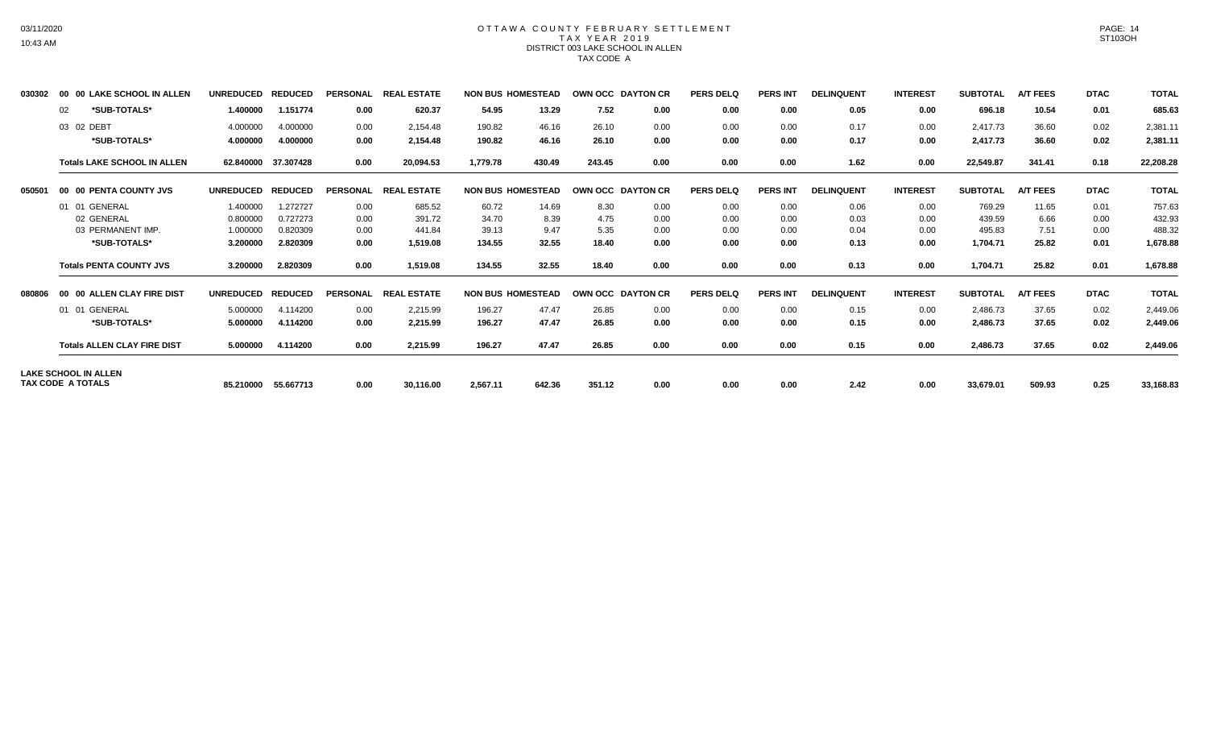### OTTAWA COUNTY FEBRUARY SETTLEMENT TAX YEAR 2019 DISTRICT 003 LAKE SCHOOL IN ALLEN TAX CODE A

| 030302 | 00 00 LAKE SCHOOL IN ALLEN         | <b>UNREDUCED</b> | <b>REDUCED</b> | <b>PERSONAL</b> | <b>REAL ESTATE</b> | <b>NON BUS HOMESTEAD</b> |        | OWN OCC DAYTON CR |      | <b>PERS DELQ</b> | <b>PERS INT</b> | <b>DELINQUENT</b> | <b>INTEREST</b> | <b>SUBTOTAL</b> | <b>A/T FEES</b> | <b>DTAC</b> | <b>TOTAL</b> |
|--------|------------------------------------|------------------|----------------|-----------------|--------------------|--------------------------|--------|-------------------|------|------------------|-----------------|-------------------|-----------------|-----------------|-----------------|-------------|--------------|
|        | *SUB-TOTALS*<br>02                 | 1.400000         | 1.151774       | 0.00            | 620.37             | 54.95                    | 13.29  | 7.52              | 0.00 | 0.00             | 0.00            | 0.05              | 0.00            | 696.18          | 10.54           | 0.01        | 685.63       |
|        | 03 02 DEBT                         | 4.000000         | 4.000000       | 0.00            | 2.154.48           | 190.82                   | 46.16  | 26.10             | 0.00 | 0.00             | 0.00            | 0.17              | 0.00            | 2.417.73        | 36.60           | 0.02        | 2,381.11     |
|        | *SUB-TOTALS*                       | 4.000000         | 4.000000       | 0.00            | 2,154.48           | 190.82                   | 46.16  | 26.10             | 0.00 | 0.00             | 0.00            | 0.17              | 0.00            | 2,417.73        | 36.60           | 0.02        | 2,381.11     |
|        | <b>Totals LAKE SCHOOL IN ALLEN</b> | 62.840000        | 37.307428      | 0.00            | 20,094.53          | 1,779.78                 | 430.49 | 243.45            | 0.00 | 0.00             | 0.00            | 1.62              | 0.00            | 22,549.87       | 341.41          | 0.18        | 22,208.28    |
| 050501 | 00 00 PENTA COUNTY JVS             | <b>UNREDUCED</b> | <b>REDUCED</b> | <b>PERSONAL</b> | <b>REAL ESTATE</b> | <b>NON BUS HOMESTEAD</b> |        | OWN OCC DAYTON CR |      | <b>PERS DELQ</b> | <b>PERS INT</b> | <b>DELINQUENT</b> | <b>INTEREST</b> | <b>SUBTOTAL</b> | <b>A/T FEES</b> | <b>DTAC</b> | <b>TOTAL</b> |
|        | 01 01 GENERAL                      | 1.400000         | 1.272727       | 0.00            | 685.52             | 60.72                    | 14.69  | 8.30              | 0.00 | 0.00             | 0.00            | 0.06              | 0.00            | 769.29          | 11.65           | 0.01        | 757.63       |
|        | 02 GENERAL                         | 0.800000         | 0.727273       | 0.00            | 391.72             | 34.70                    | 8.39   | 4.75              | 0.00 | 0.00             | 0.00            | 0.03              | 0.00            | 439.59          | 6.66            | 0.00        | 432.93       |
|        | 03 PERMANENT IMP.                  | 1.000000         | 0.820309       | 0.00            | 441.84             | 39.13                    | 9.47   | 5.35              | 0.00 | 0.00             | 0.00            | 0.04              | 0.00            | 495.83          | 7.51            | 0.00        | 488.32       |
|        | *SUB-TOTALS*                       | 3.200000         | 2.820309       | 0.00            | 1,519.08           | 134.55                   | 32.55  | 18.40             | 0.00 | 0.00             | 0.00            | 0.13              | 0.00            | 1,704.71        | 25.82           | 0.01        | 1,678.88     |
|        | <b>Totals PENTA COUNTY JVS</b>     | 3.200000         | 2.820309       | 0.00            | 1,519.08           | 134.55                   | 32.55  | 18.40             | 0.00 | 0.00             | 0.00            | 0.13              | 0.00            | 1,704.71        | 25.82           | 0.01        | 1,678.88     |
| 080806 | 00 00 ALLEN CLAY FIRE DIST         | <b>UNREDUCED</b> | <b>REDUCED</b> | <b>PERSONAL</b> | <b>REAL ESTATE</b> | <b>NON BUS HOMESTEAD</b> |        | OWN OCC DAYTON CR |      | <b>PERS DELO</b> | <b>PERS INT</b> | <b>DELINQUENT</b> | <b>INTEREST</b> | <b>SUBTOTAL</b> | <b>A/T FEES</b> | <b>DTAC</b> | <b>TOTAL</b> |
|        | 01 01 GENERAL                      | 5.000000         | 4.114200       | 0.00            | 2,215.99           | 196.27                   | 47.47  | 26.85             | 0.00 | 0.00             | 0.00            | 0.15              | 0.00            | 2,486.73        | 37.65           | 0.02        | 2,449.06     |
|        | *SUB-TOTALS*                       | 5.000000         | 4.114200       | 0.00            | 2,215.99           | 196.27                   | 47.47  | 26.85             | 0.00 | 0.00             | 0.00            | 0.15              | 0.00            | 2,486.73        | 37.65           | 0.02        | 2,449.06     |
|        | <b>Totals ALLEN CLAY FIRE DIST</b> | 5.000000         | 4.114200       | 0.00            | 2,215.99           | 196.27                   | 47.47  | 26.85             | 0.00 | 0.00             | 0.00            | 0.15              | 0.00            | 2,486.73        | 37.65           | 0.02        | 2,449.06     |
|        | <b>LAKE SCHOOL IN ALLEN</b>        |                  |                |                 |                    |                          |        |                   |      |                  |                 |                   |                 |                 |                 |             |              |
|        | TAX CODE A TOTALS                  | 85.210000        | 55.667713      | 0.00            | 30,116.00          | 2,567.11                 | 642.36 | 351.12            | 0.00 | 0.00             | 0.00            | 2.42              | 0.00            | 33,679.01       | 509.93          | 0.25        | 33,168.83    |

03/11/2020 10:43 AM

PAGE: 14 ST103OH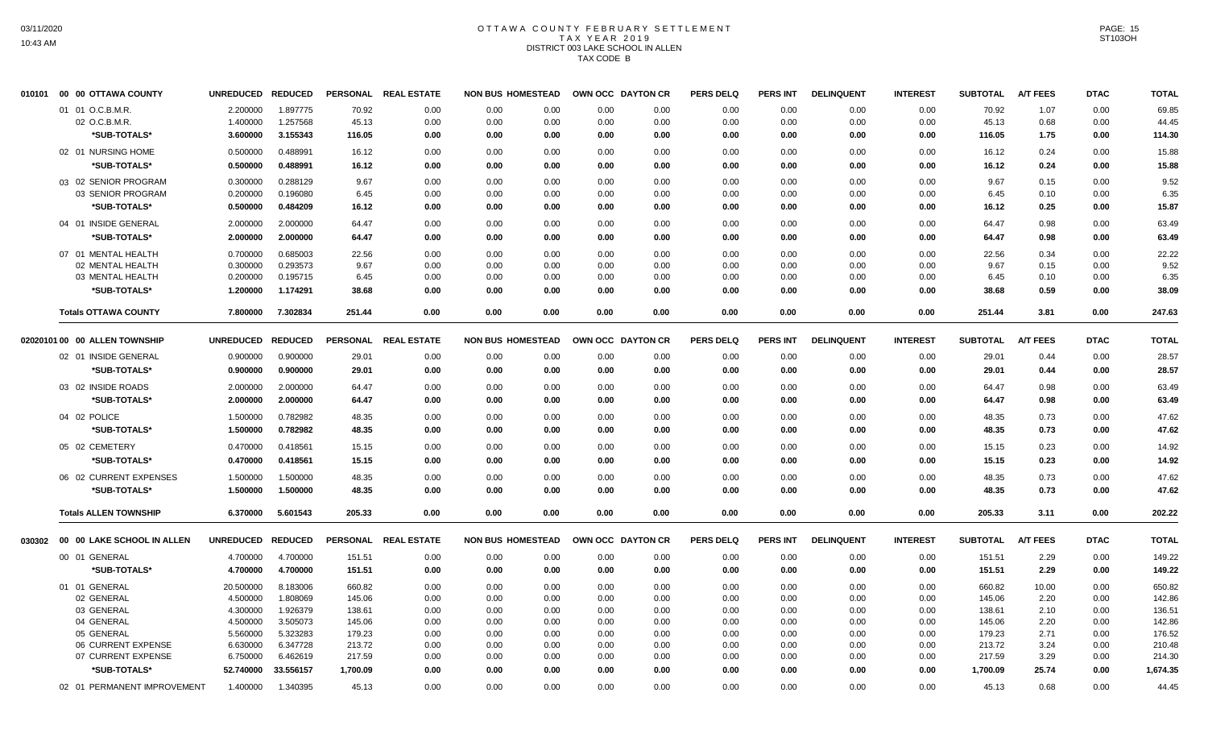# OTTAWA COUNTY FEBRUARY SETTLEMENT TAX YEAR 2019 DISTRICT 003 LAKE SCHOOL IN ALLEN TAX CODE B

| 010101 | 00 00 OTTAWA COUNTY               | <b>UNREDUCED</b>  | <b>REDUCED</b> | <b>PERSONAL</b> | <b>REAL ESTATE</b>   | <b>NON BUS HOMESTEAD</b> |      | OWN OCC DAYTON CR |      | <b>PERS DELQ</b> | <b>PERS INT</b> | <b>DELINQUENT</b> | <b>INTEREST</b> | <b>SUBTOTAL</b> | <b>A/T FEES</b> | <b>DTAC</b> | <b>TOTAL</b> |
|--------|-----------------------------------|-------------------|----------------|-----------------|----------------------|--------------------------|------|-------------------|------|------------------|-----------------|-------------------|-----------------|-----------------|-----------------|-------------|--------------|
|        | 01 01 O.C.B.M.R.                  | 2.200000          | 1.897775       | 70.92           | 0.00                 | 0.00                     | 0.00 | 0.00              | 0.00 | 0.00             | 0.00            | 0.00              | 0.00            | 70.92           | 1.07            | 0.00        | 69.85        |
|        | 02 O.C.B.M.R                      | 1.400000          | 1.257568       | 45.13           | 0.00                 | 0.00                     | 0.00 | 0.00              | 0.00 | 0.00             | 0.00            | 0.00              | 0.00            | 45.13           | 0.68            | 0.00        | 44.45        |
|        | *SUB-TOTALS*                      | 3.600000          | 3.155343       | 116.05          | 0.00                 | 0.00                     | 0.00 | 0.00              | 0.00 | 0.00             | 0.00            | 0.00              | 0.00            | 116.05          | 1.75            | 0.00        | 114.30       |
|        | 02 01 NURSING HOME                | 0.500000          | 0.488991       | 16.12           | 0.00                 | 0.00                     | 0.00 | 0.00              | 0.00 | 0.00             | 0.00            | 0.00              | 0.00            | 16.12           | 0.24            | 0.00        | 15.88        |
|        | *SUB-TOTALS*                      | 0.500000          | 0.488991       | 16.12           | 0.00                 | 0.00                     | 0.00 | 0.00              | 0.00 | 0.00             | 0.00            | 0.00              | 0.00            | 16.12           | 0.24            | 0.00        | 15.88        |
|        | 03 02 SENIOR PROGRAM              | 0.300000          | 0.288129       | 9.67            | 0.00                 | 0.00                     | 0.00 | 0.00              | 0.00 | 0.00             | 0.00            | 0.00              | 0.00            | 9.67            | 0.15            | 0.00        | 9.52         |
|        | 03 SENIOR PROGRAM                 | 0.200000          | 0.196080       | 6.45            | 0.00                 | 0.00                     | 0.00 | 0.00              | 0.00 | 0.00             | 0.00            | 0.00              | 0.00            | 6.45            | 0.10            | 0.00        | 6.35         |
|        | *SUB-TOTALS*                      | 0.500000          | 0.484209       | 16.12           | 0.00                 | 0.00                     | 0.00 | 0.00              | 0.00 | 0.00             | 0.00            | 0.00              | 0.00            | 16.12           | 0.25            | 0.00        | 15.87        |
|        | 04 01 INSIDE GENERAL              | 2.000000          | 2.000000       | 64.47           | 0.00                 | 0.00                     | 0.00 | 0.00              | 0.00 | 0.00             | 0.00            | 0.00              | 0.00            | 64.47           | 0.98            | 0.00        | 63.49        |
|        | *SUB-TOTALS*                      | 2.000000          | 2.000000       | 64.47           | 0.00                 | 0.00                     | 0.00 | 0.00              | 0.00 | 0.00             | 0.00            | 0.00              | 0.00            | 64.47           | 0.98            | 0.00        | 63.49        |
|        | 07 01 MENTAL HEALTH               | 0.700000          | 0.685003       | 22.56           | 0.00                 | 0.00                     | 0.00 | 0.00              | 0.00 | 0.00             | 0.00            | 0.00              | 0.00            | 22.56           | 0.34            | 0.00        | 22.22        |
|        | 02 MENTAL HEALTH                  | 0.300000          | 0.293573       | 9.67            | 0.00                 | 0.00                     | 0.00 | 0.00              | 0.00 | 0.00             | 0.00            | 0.00              | 0.00            | 9.67            | 0.15            | 0.00        | 9.52         |
|        | 03 MENTAL HEALTH                  | 0.200000          | 0.195715       | 6.45            | 0.00                 | 0.00                     | 0.00 | 0.00              | 0.00 | 0.00             | 0.00            | 0.00              | 0.00            | 6.45            | 0.10            | 0.00        | 6.35         |
|        | *SUB-TOTALS*                      | 1.200000          | 1.174291       | 38.68           | 0.00                 | 0.00                     | 0.00 | 0.00              | 0.00 | 0.00             | 0.00            | 0.00              | 0.00            | 38.68           | 0.59            | 0.00        | 38.09        |
|        | <b>Totals OTTAWA COUNTY</b>       | 7.800000          | 7.302834       | 251.44          | 0.00                 | 0.00                     | 0.00 | 0.00              | 0.00 | 0.00             | 0.00            | 0.00              | 0.00            | 251.44          | 3.81            | 0.00        | 247.63       |
|        | 02020101 00 00 ALLEN TOWNSHIP     | <b>UNREDUCED</b>  | <b>REDUCED</b> | <b>PERSONAL</b> | <b>REAL ESTATE</b>   | <b>NON BUS HOMESTEAD</b> |      | OWN OCC DAYTON CR |      | <b>PERS DELQ</b> | <b>PERS INT</b> | <b>DELINQUENT</b> | <b>INTEREST</b> | <b>SUBTOTAL</b> | <b>A/T FEES</b> | <b>DTAC</b> | <b>TOTAL</b> |
|        | 02 01 INSIDE GENERAL              | 0.900000          | 0.900000       | 29.01           | 0.00                 | 0.00                     | 0.00 | 0.00              | 0.00 | 0.00             | 0.00            | 0.00              | 0.00            | 29.01           | 0.44            | 0.00        | 28.57        |
|        | *SUB-TOTALS*                      | 0.900000          | 0.900000       | 29.01           | 0.00                 | 0.00                     | 0.00 | 0.00              | 0.00 | 0.00             | 0.00            | 0.00              | 0.00            | 29.01           | 0.44            | 0.00        | 28.57        |
|        | 03 02 INSIDE ROADS                | 2.000000          | 2.000000       | 64.47           | 0.00                 | 0.00                     | 0.00 | 0.00              | 0.00 | 0.00             | 0.00            | 0.00              | 0.00            | 64.47           | 0.98            | 0.00        | 63.49        |
|        | *SUB-TOTALS*                      | 2.000000          | 2.000000       | 64.47           | 0.00                 | 0.00                     | 0.00 | 0.00              | 0.00 | 0.00             | 0.00            | 0.00              | 0.00            | 64.47           | 0.98            | 0.00        | 63.49        |
|        | 04 02 POLICE                      | 1.500000          | 0.782982       | 48.35           | 0.00                 | 0.00                     | 0.00 | 0.00              | 0.00 | 0.00             | 0.00            | 0.00              | 0.00            | 48.35           | 0.73            | 0.00        | 47.62        |
|        | *SUB-TOTALS*                      | 1.500000          | 0.782982       | 48.35           | 0.00                 | 0.00                     | 0.00 | 0.00              | 0.00 | 0.00             | 0.00            | 0.00              | 0.00            | 48.35           | 0.73            | 0.00        | 47.62        |
|        | 05 02 CEMETERY                    | 0.470000          | 0.418561       | 15.15           | 0.00                 | 0.00                     | 0.00 | 0.00              | 0.00 | 0.00             | 0.00            | 0.00              | 0.00            | 15.15           | 0.23            | 0.00        | 14.92        |
|        | *SUB-TOTALS*                      | 0.470000          | 0.418561       | 15.15           | 0.00                 | 0.00                     | 0.00 | 0.00              | 0.00 | 0.00             | 0.00            | 0.00              | 0.00            | 15.15           | 0.23            | 0.00        | 14.92        |
|        | 06 02 CURRENT EXPENSES            | 1.500000          | 1.500000       | 48.35           | 0.00                 | 0.00                     | 0.00 | 0.00              | 0.00 | 0.00             | 0.00            | 0.00              | 0.00            | 48.35           | 0.73            | 0.00        | 47.62        |
|        | *SUB-TOTALS*                      | 1.500000          | 1.500000       | 48.35           | 0.00                 | 0.00                     | 0.00 | 0.00              | 0.00 | 0.00             | 0.00            | 0.00              | 0.00            | 48.35           | 0.73            | 0.00        | 47.62        |
|        |                                   |                   |                |                 |                      |                          |      |                   |      |                  |                 |                   |                 |                 |                 |             |              |
|        | <b>Totals ALLEN TOWNSHIP</b>      | 6.370000          | 5.601543       | 205.33          | 0.00                 | 0.00                     | 0.00 | 0.00              | 0.00 | 0.00             | 0.00            | 0.00              | 0.00            | 205.33          | 3.11            | 0.00        | 202.22       |
|        | 030302 00 00 LAKE SCHOOL IN ALLEN | UNREDUCED REDUCED |                |                 | PERSONAL REAL ESTATE | <b>NON BUS HOMESTEAD</b> |      | OWN OCC DAYTON CR |      | <b>PERS DELQ</b> | <b>PERS INT</b> | <b>DELINQUENT</b> | <b>INTEREST</b> | <b>SUBTOTAL</b> | A/T FEES        | <b>DTAC</b> | <b>TOTAL</b> |
|        | 00 01 GENERAL                     | 4.700000          | 4.700000       | 151.51          | 0.00                 | 0.00                     | 0.00 | 0.00              | 0.00 | 0.00             | 0.00            | 0.00              | 0.00            | 151.51          | 2.29            | 0.00        | 149.22       |
|        | *SUB-TOTALS*                      | 4.700000          | 4.700000       | 151.51          | 0.00                 | 0.00                     | 0.00 | 0.00              | 0.00 | 0.00             | 0.00            | 0.00              | 0.00            | 151.51          | 2.29            | 0.00        | 149.22       |
|        | 01 01 GENERAL                     | 20.500000         | 8.183006       | 660.82          | 0.00                 | 0.00                     | 0.00 | 0.00              | 0.00 | 0.00             | 0.00            | 0.00              | 0.00            | 660.82          | 10.00           | 0.00        | 650.82       |
|        | 02 GENERAL                        | 4.500000          | 1.808069       | 145.06          | 0.00                 | 0.00                     | 0.00 | 0.00              | 0.00 | 0.00             | 0.00            | 0.00              | 0.00            | 145.06          | 2.20            | 0.00        | 142.86       |
|        | 03 GENERAL                        | 4.300000          | 1.926379       | 138.61          | 0.00                 | 0.00                     | 0.00 | 0.00              | 0.00 | 0.00             | 0.00            | 0.00              | 0.00            | 138.61          | 2.10            | 0.00        | 136.51       |
|        | 04 GENERAL                        | 4.500000          | 3.505073       | 145.06          | 0.00                 | 0.00                     | 0.00 | 0.00              | 0.00 | 0.00             | 0.00            | 0.00              | 0.00            | 145.06          | 2.20            | 0.00        | 142.86       |
|        | 05 GENERAL                        | 5.560000          | 5.323283       | 179.23          | 0.00                 | 0.00                     | 0.00 | 0.00              | 0.00 | 0.00             | 0.00            | 0.00              | 0.00            | 179.23          | 2.71            | 0.00        | 176.52       |
|        | 06 CURRENT EXPENSE                | 6.630000          | 6.347728       | 213.72          | 0.00                 | 0.00                     | 0.00 | 0.00              | 0.00 | 0.00             | 0.00            | 0.00              | 0.00            | 213.72          | 3.24            | 0.00        | 210.48       |
|        | 07 CURRENT EXPENSE                | 6.750000          | 6.462619       | 217.59          | 0.00                 | 0.00                     | 0.00 | 0.00              | 0.00 | 0.00             | 0.00            | 0.00              | 0.00            | 217.59          | 3.29            | 0.00        | 214.30       |
|        | *SUB-TOTALS*                      | 52.740000         | 33.556157      | 1,700.09        | 0.00                 | 0.00                     | 0.00 | 0.00              | 0.00 | 0.00             | 0.00            | 0.00              | 0.00            | 1,700.09        | 25.74           | 0.00        | 1,674.35     |
|        | 02 01 PERMANENT IMPROVEMENT       | 1.400000          | 1.340395       | 45.13           | 0.00                 | 0.00                     | 0.00 | 0.00              | 0.00 | 0.00             | 0.00            | 0.00              | 0.00            | 45.13           | 0.68            | 0.00        | 44.45        |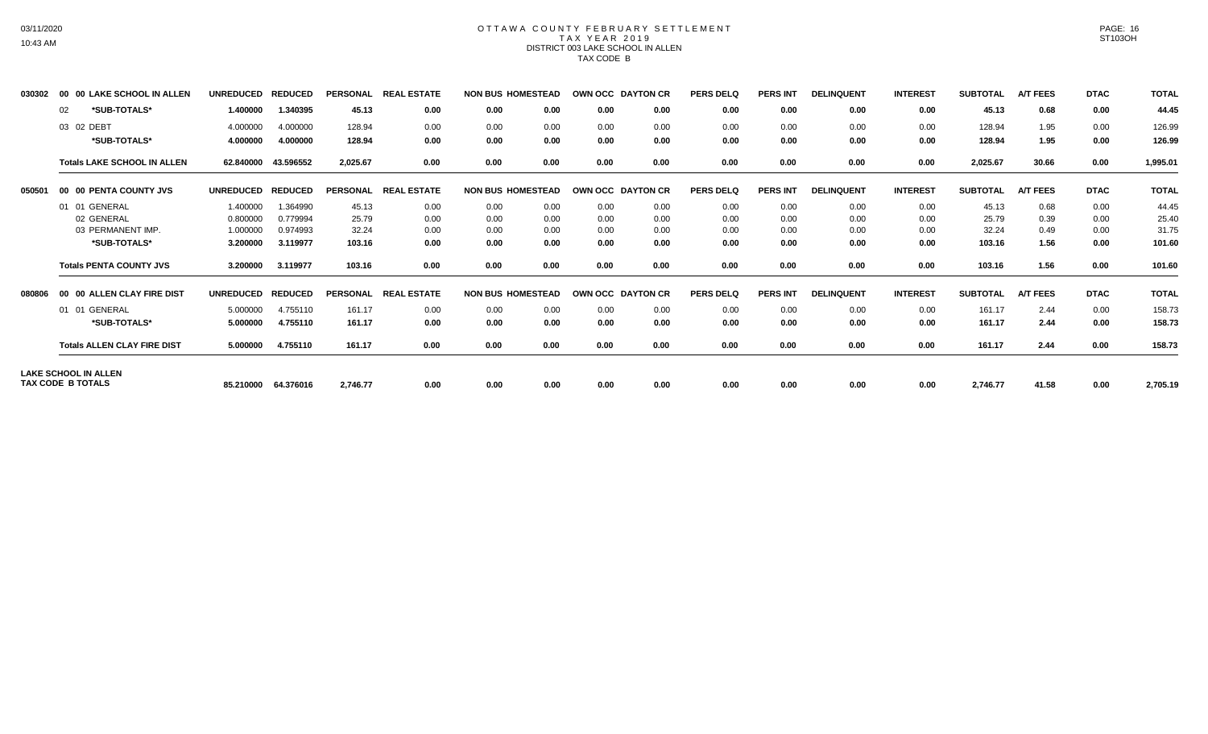### OTTAWA COUNTY FEBRUARY SETTLEMENT TAX YEAR 2019 DISTRICT 003 LAKE SCHOOL IN ALLEN TAX CODE B

| 030302 | 00 00 LAKE SCHOOL IN ALLEN         | <b>UNREDUCED</b> | <b>REDUCED</b> | <b>PERSONAL</b> | <b>REAL ESTATE</b> | <b>NON BUS HOMESTEAD</b> |      | OWN OCC DAYTON CR |                  | <b>PERS DELQ</b> | <b>PERS INT</b> | <b>DELINQUENT</b> | <b>INTEREST</b> | <b>SUBTOTAL</b> | <b>A/T FEES</b> | <b>DTAC</b> | <b>TOTAL</b> |
|--------|------------------------------------|------------------|----------------|-----------------|--------------------|--------------------------|------|-------------------|------------------|------------------|-----------------|-------------------|-----------------|-----------------|-----------------|-------------|--------------|
|        | *SUB-TOTALS*<br>02                 | 1.400000         | 1.340395       | 45.13           | 0.00               | 0.00                     | 0.00 | 0.00              | 0.00             | 0.00             | 0.00            | 0.00              | 0.00            | 45.13           | 0.68            | 0.00        | 44.45        |
|        | 03 02 DEBT                         | 4.000000         | 4.000000       | 128.94          | 0.00               | 0.00                     | 0.00 | 0.00              | 0.00             | 0.00             | 0.00            | 0.00              | 0.00            | 128.94          | 1.95            | 0.00        | 126.99       |
|        | *SUB-TOTALS*                       | 4.000000         | 4.000000       | 128.94          | 0.00               | 0.00                     | 0.00 | 0.00              | 0.00             | 0.00             | 0.00            | 0.00              | 0.00            | 128.94          | 1.95            | 0.00        | 126.99       |
|        | <b>Totals LAKE SCHOOL IN ALLEN</b> | 62.840000        | 43.596552      | 2,025.67        | 0.00               | 0.00                     | 0.00 | 0.00              | 0.00             | 0.00             | 0.00            | 0.00              | 0.00            | 2,025.67        | 30.66           | 0.00        | 1,995.01     |
| 050501 | 00 00 PENTA COUNTY JVS             | <b>UNREDUCED</b> | <b>REDUCED</b> | <b>PERSONAL</b> | <b>REAL ESTATE</b> | <b>NON BUS HOMESTEAD</b> |      | OWN OCC DAYTON CR |                  | <b>PERS DELQ</b> | <b>PERS INT</b> | <b>DELINQUENT</b> | <b>INTEREST</b> | <b>SUBTOTAL</b> | <b>A/T FEES</b> | <b>DTAC</b> | <b>TOTAL</b> |
|        | 01 01 GENERAL                      | 1.400000         | 1.364990       | 45.13           | 0.00               | 0.00                     | 0.00 | 0.00              | 0.00             | 0.00             | 0.00            | 0.00              | 0.00            | 45.13           | 0.68            | 0.00        | 44.45        |
|        | 02 GENERAL                         | 0.800000         | 0.779994       | 25.79           | 0.00               | 0.00                     | 0.00 | 0.00              | 0.00             | 0.00             | 0.00            | 0.00              | 0.00            | 25.79           | 0.39            | 0.00        | 25.40        |
|        | 03 PERMANENT IMP.                  | 1.000000         | 0.974993       | 32.24           | 0.00               | 0.00                     | 0.00 | 0.00              | 0.00             | 0.00             | 0.00            | 0.00              | 0.00            | 32.24           | 0.49            | 0.00        | 31.75        |
|        | *SUB-TOTALS*                       | 3.200000         | 3.119977       | 103.16          | 0.00               | 0.00                     | 0.00 | 0.00              | 0.00             | 0.00             | 0.00            | 0.00              | 0.00            | 103.16          | 1.56            | 0.00        | 101.60       |
|        | <b>Totals PENTA COUNTY JVS</b>     | 3.200000         | 3.119977       | 103.16          | 0.00               | 0.00                     | 0.00 | 0.00              | 0.00             | 0.00             | 0.00            | 0.00              | 0.00            | 103.16          | 1.56            | 0.00        | 101.60       |
| 080806 | 00 00 ALLEN CLAY FIRE DIST         | <b>UNREDUCED</b> | <b>REDUCED</b> | <b>PERSONAL</b> | <b>REAL ESTATE</b> | <b>NON BUS HOMESTEAD</b> |      | <b>OWN OCC</b>    | <b>DAYTON CR</b> | <b>PERS DELQ</b> | <b>PERS INT</b> | <b>DELINQUENT</b> | <b>INTEREST</b> | <b>SUBTOTAL</b> | <b>A/T FEES</b> | <b>DTAC</b> | <b>TOTAL</b> |
|        | 01 01 GENERAL                      | 5.000000         | 4.755110       | 161.17          | 0.00               | 0.00                     | 0.00 | 0.00              | 0.00             | 0.00             | 0.00            | 0.00              | 0.00            | 161.17          | 2.44            | 0.00        | 158.73       |
|        | *SUB-TOTALS*                       | 5.000000         | 4.755110       | 161.17          | 0.00               | 0.00                     | 0.00 | 0.00              | 0.00             | 0.00             | 0.00            | 0.00              | 0.00            | 161.17          | 2.44            | 0.00        | 158.73       |
|        | <b>Totals ALLEN CLAY FIRE DIST</b> | 5.000000         | 4.755110       | 161.17          | 0.00               | 0.00                     | 0.00 | 0.00              | 0.00             | 0.00             | 0.00            | 0.00              | 0.00            | 161.17          | 2.44            | 0.00        | 158.73       |
|        | <b>LAKE SCHOOL IN ALLEN</b>        |                  |                |                 |                    |                          |      |                   |                  |                  |                 |                   |                 |                 |                 |             |              |
|        | <b>TAX CODE B TOTALS</b>           | 85.210000        | 64.376016      | 2,746.77        | 0.00               | 0.00                     | 0.00 | 0.00              | 0.00             | 0.00             | 0.00            | 0.00              | 0.00            | 2,746.77        | 41.58           | 0.00        | 2,705.19     |

03/11/2020 10:43 AM

PAGE: 16 ST103OH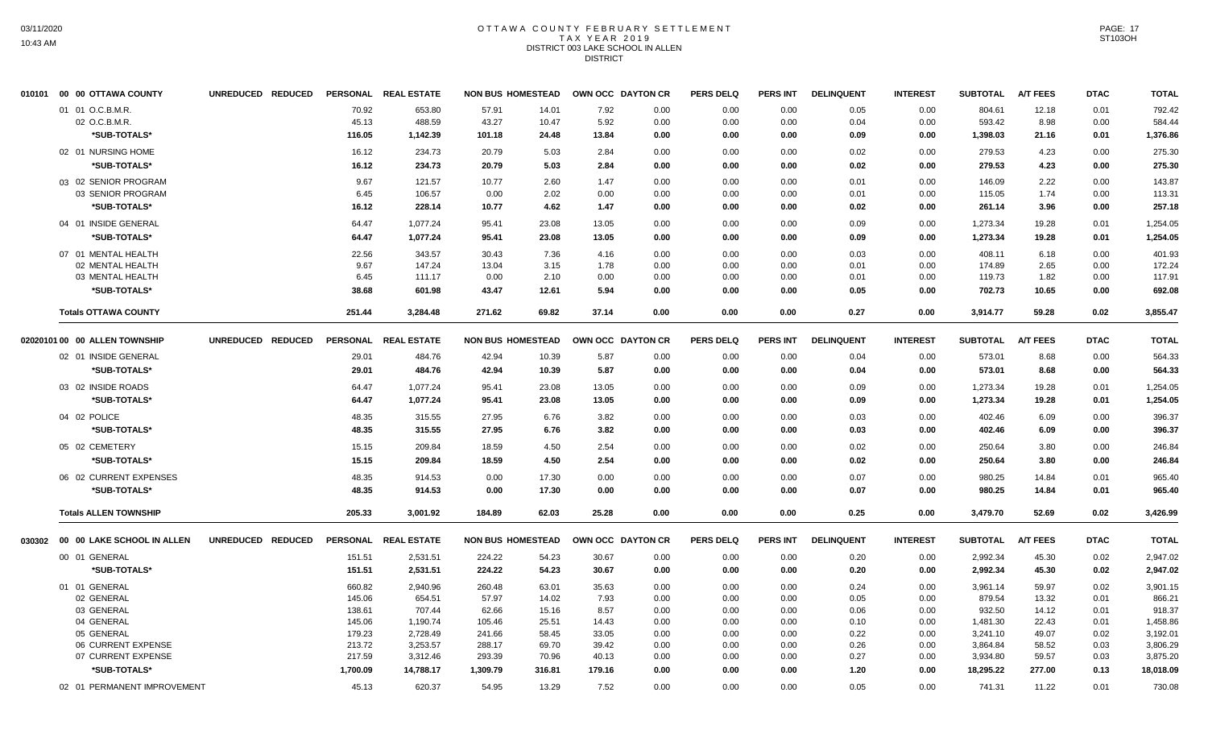# OTTAWA COUNTY FEBRUARY SETTLEMENT TAX YEAR 2019 DISTRICT 003 LAKE SCHOOL IN ALLEN DISTRICT

| 010101 00 00 OTTAWA COUNTY        | UNREDUCED REDUCED |                 | PERSONAL REAL ESTATE | <b>NON BUS HOMESTEAD</b> |              | OWN OCC DAYTON CR |              | <b>PERS DELQ</b> | <b>PERS INT</b> | <b>DELINQUENT</b> | <b>INTEREST</b> | <b>SUBTOTAL</b>  | <b>A/T FEES</b> | <b>DTAC</b>  | <b>TOTAL</b>     |
|-----------------------------------|-------------------|-----------------|----------------------|--------------------------|--------------|-------------------|--------------|------------------|-----------------|-------------------|-----------------|------------------|-----------------|--------------|------------------|
| 01 01 O.C.B.M.R.                  |                   | 70.92           | 653.80               | 57.91                    | 14.01        | 7.92              | 0.00         | 0.00             | 0.00            | 0.05              | 0.00            | 804.61           | 12.18           | 0.01         | 792.42           |
| 02 O.C.B.M.R.                     |                   | 45.13           | 488.59               | 43.27                    | 10.47        | 5.92              | 0.00         | 0.00             | 0.00            | 0.04              | 0.00            | 593.42           | 8.98            | 0.00         | 584.44           |
| *SUB-TOTALS*                      |                   | 116.05          | 1,142.39             | 101.18                   | 24.48        | 13.84             | 0.00         | 0.00             | 0.00            | 0.09              | 0.00            | 1,398.03         | 21.16           | 0.01         | 1,376.86         |
| 02 01 NURSING HOME                |                   | 16.12           | 234.73               | 20.79                    | 5.03         | 2.84              | 0.00         | 0.00             | 0.00            | 0.02              | 0.00            | 279.53           | 4.23            | 0.00         | 275.30           |
| *SUB-TOTALS*                      |                   | 16.12           | 234.73               | 20.79                    | 5.03         | 2.84              | 0.00         | 0.00             | 0.00            | 0.02              | 0.00            | 279.53           | 4.23            | 0.00         | 275.30           |
| 03 02 SENIOR PROGRAM              |                   | 9.67            | 121.57               | 10.77                    | 2.60         | 1.47              | 0.00         | 0.00             | 0.00            | 0.01              | 0.00            | 146.09           | 2.22            | 0.00         | 143.87           |
| 03 SENIOR PROGRAM                 |                   | 6.45            | 106.57               | 0.00                     | 2.02         | 0.00              | 0.00         | 0.00             | 0.00            | 0.01              | 0.00            | 115.05           | 1.74            | 0.00         | 113.31           |
| *SUB-TOTALS*                      |                   | 16.12           | 228.14               | 10.77                    | 4.62         | 1.47              | 0.00         | 0.00             | 0.00            | 0.02              | 0.00            | 261.14           | 3.96            | 0.00         | 257.18           |
| 04 01 INSIDE GENERAL              |                   | 64.47           | 1.077.24             | 95.41                    | 23.08        | 13.05             | 0.00         | 0.00             | 0.00            | 0.09              | 0.00            | 1,273.34         | 19.28           | 0.01         | 1,254.05         |
| *SUB-TOTALS*                      |                   | 64.47           | 1,077.24             | 95.41                    | 23.08        | 13.05             | 0.00         | 0.00             | 0.00            | 0.09              | 0.00            | 1,273.34         | 19.28           | 0.01         | 1,254.05         |
| 07 01 MENTAL HEALTH               |                   | 22.56           | 343.57               | 30.43                    | 7.36         | 4.16              | 0.00         | 0.00             | 0.00            | 0.03              | 0.00            | 408.11           | 6.18            | 0.00         | 401.93           |
| 02 MENTAL HEALTH                  |                   | 9.67            | 147.24               | 13.04                    | 3.15         | 1.78              | 0.00         | 0.00             | 0.00            | 0.01              | 0.00            | 174.89           | 2.65            | 0.00         | 172.24           |
| 03 MENTAL HEALTH                  |                   | 6.45            | 111.17               | 0.00                     | 2.10         | 0.00              | 0.00         | 0.00             | 0.00            | 0.01              | 0.00            | 119.73           | 1.82            | 0.00         | 117.91           |
| *SUB-TOTALS*                      |                   | 38.68           | 601.98               | 43.47                    | 12.61        | 5.94              | 0.00         | 0.00             | 0.00            | 0.05              | 0.00            | 702.73           | 10.65           | 0.00         | 692.08           |
| <b>Totals OTTAWA COUNTY</b>       |                   | 251.44          | 3,284.48             | 271.62                   | 69.82        | 37.14             | 0.00         | 0.00             | 0.00            | 0.27              | 0.00            | 3,914.77         | 59.28           | 0.02         | 3,855.47         |
| 02020101 00   00  ALLEN TOWNSHIP  | UNREDUCED REDUCED | <b>PERSONAL</b> | <b>REAL ESTATE</b>   | <b>NON BUS HOMESTEAD</b> |              | OWN OCC DAYTON CR |              | <b>PERS DELQ</b> | PERS INT        | <b>DELINQUENT</b> | <b>INTEREST</b> | <b>SUBTOTAL</b>  | <b>A/T FEES</b> | <b>DTAC</b>  | <b>TOTAL</b>     |
| 02 01 INSIDE GENERAL              |                   | 29.01           | 484.76               | 42.94                    | 10.39        | 5.87              | 0.00         | 0.00             | 0.00            | 0.04              | 0.00            | 573.01           | 8.68            | 0.00         | 564.33           |
| *SUB-TOTALS*                      |                   | 29.01           | 484.76               | 42.94                    | 10.39        | 5.87              | 0.00         | 0.00             | 0.00            | 0.04              | 0.00            | 573.01           | 8.68            | 0.00         | 564.33           |
| 03 02 INSIDE ROADS                |                   | 64.47           | 1,077.24             | 95.41                    | 23.08        | 13.05             | 0.00         | 0.00             | 0.00            | 0.09              | 0.00            | 1,273.34         | 19.28           | 0.01         | 1,254.05         |
| *SUB-TOTALS*                      |                   | 64.47           | 1,077.24             | 95.41                    | 23.08        | 13.05             | 0.00         | 0.00             | 0.00            | 0.09              | 0.00            | 1,273.34         | 19.28           | 0.01         | 1,254.05         |
| 04 02 POLICE                      |                   | 48.35           | 315.55               | 27.95                    | 6.76         | 3.82              | 0.00         | 0.00             | 0.00            | 0.03              | 0.00            | 402.46           | 6.09            | 0.00         | 396.37           |
| *SUB-TOTALS*                      |                   | 48.35           | 315.55               | 27.95                    | 6.76         | 3.82              | 0.00         | 0.00             | 0.00            | 0.03              | 0.00            | 402.46           | 6.09            | 0.00         | 396.37           |
| 05 02 CEMETERY                    |                   |                 |                      |                          |              |                   |              |                  |                 |                   |                 |                  |                 |              |                  |
| *SUB-TOTALS*                      |                   | 15.15<br>15.15  | 209.84<br>209.84     | 18.59<br>18.59           | 4.50<br>4.50 | 2.54<br>2.54      | 0.00<br>0.00 | 0.00<br>0.00     | 0.00<br>0.00    | 0.02<br>0.02      | 0.00<br>0.00    | 250.64<br>250.64 | 3.80<br>3.80    | 0.00<br>0.00 | 246.84<br>246.84 |
|                                   |                   |                 |                      |                          |              |                   |              |                  |                 |                   |                 |                  |                 |              |                  |
| 06 02 CURRENT EXPENSES            |                   | 48.35           | 914.53               | 0.00                     | 17.30        | 0.00              | 0.00         | 0.00             | 0.00            | 0.07              | 0.00            | 980.25           | 14.84           | 0.01         | 965.40           |
| *SUB-TOTALS*                      |                   | 48.35           | 914.53               | 0.00                     | 17.30        | 0.00              | 0.00         | 0.00             | 0.00            | 0.07              | 0.00            | 980.25           | 14.84           | 0.01         | 965.40           |
| <b>Totals ALLEN TOWNSHIP</b>      |                   | 205.33          | 3,001.92             | 184.89                   | 62.03        | 25.28             | 0.00         | 0.00             | 0.00            | 0.25              | 0.00            | 3,479.70         | 52.69           | 0.02         | 3,426.99         |
| 030302 00 00 LAKE SCHOOL IN ALLEN | UNREDUCED REDUCED |                 | PERSONAL REAL ESTATE | <b>NON BUS HOMESTEAD</b> |              | OWN OCC DAYTON CR |              | <b>PERS DELQ</b> | PERS INT        | <b>DELINQUENT</b> | <b>INTEREST</b> | <b>SUBTOTAL</b>  | <b>A/T FEES</b> | <b>DTAC</b>  | <b>TOTAL</b>     |
| 00 01 GENERAL                     |                   | 151.51          | 2,531.51             | 224.22                   | 54.23        | 30.67             | 0.00         | 0.00             | 0.00            | 0.20              | 0.00            | 2,992.34         | 45.30           | 0.02         | 2,947.02         |
| *SUB-TOTALS*                      |                   | 151.51          | 2,531.51             | 224.22                   | 54.23        | 30.67             | 0.00         | 0.00             | 0.00            | 0.20              | 0.00            | 2,992.34         | 45.30           | 0.02         | 2,947.02         |
| 01 01 GENERAL                     |                   | 660.82          | 2,940.96             | 260.48                   | 63.01        | 35.63             | 0.00         | 0.00             | 0.00            | 0.24              | 0.00            | 3,961.14         | 59.97           | 0.02         | 3,901.15         |
| 02 GENERAL                        |                   | 145.06          | 654.51               | 57.97                    | 14.02        | 7.93              | 0.00         | 0.00             | 0.00            | 0.05              | 0.00            | 879.54           | 13.32           | 0.01         | 866.21           |
| 03 GENERAL                        |                   | 138.61          | 707.44               | 62.66                    | 15.16        | 8.57              | 0.00         | 0.00             | 0.00            | 0.06              | 0.00            | 932.50           | 14.12           | 0.01         | 918.37           |
| 04 GENERAL                        |                   | 145.06          | 1,190.74             | 105.46                   | 25.51        | 14.43             | 0.00         | 0.00             | 0.00            | 0.10              | 0.00            | 1,481.30         | 22.43           | 0.01         | 1,458.86         |
| 05 GENERAL                        |                   | 179.23          | 2,728.49             | 241.66                   | 58.45        | 33.05             | 0.00         | 0.00             | 0.00            | 0.22              | 0.00            | 3,241.10         | 49.07           | 0.02         | 3,192.01         |
| 06 CURRENT EXPENSE                |                   | 213.72          | 3,253.57             | 288.17                   | 69.70        | 39.42             | 0.00         | 0.00             | 0.00            | 0.26              | 0.00            | 3,864.84         | 58.52           | 0.03         | 3,806.29         |
| 07 CURRENT EXPENSE                |                   | 217.59          | 3,312.46             | 293.39                   | 70.96        | 40.13             | 0.00         | 0.00             | 0.00            | 0.27              | 0.00            | 3,934.80         | 59.57           | 0.03         | 3,875.20         |
| *SUB-TOTALS*                      |                   | 1,700.09        | 14,788.17            | 1,309.79                 | 316.81       | 179.16            | 0.00         | 0.00             | 0.00            | 1.20              | 0.00            | 18,295.22        | 277.00          | 0.13         | 18,018.09        |
| 02 01 PERMANENT IMPROVEMENT       |                   | 45.13           | 620.37               | 54.95                    | 13.29        | 7.52              | 0.00         | 0.00             | 0.00            | 0.05              | 0.00            | 741.31           | 11.22           | 0.01         | 730.08           |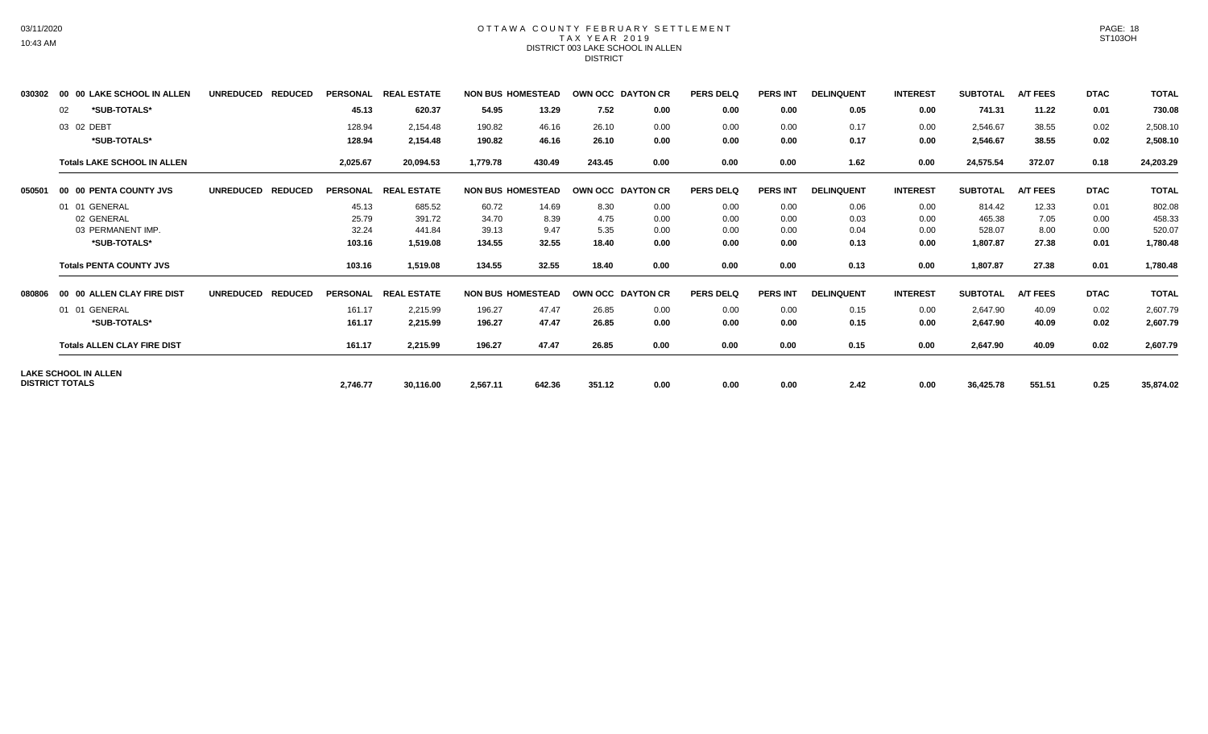#### OTTAWA COUNTY FEBRUARY SETTLEMENT T A X Y E A R 2 0 1 9 DISTRICT 003 LAKE SCHOOL IN ALLEN DISTRICT

|        | <b>00 LAKE SCHOOL IN ALLEN</b><br>00 | <b>UNREDUCED</b><br><b>REDUCED</b> |               | PERSONAL REAL ESTATE | <b>NON BUS HOMESTEAD</b> |        |        | OWN OCC DAYTON CR | <b>PERS DELQ</b> | <b>PERS INT</b> | <b>DELINQUENT</b> | <b>INTEREST</b> | <b>SUBTOTAL</b> | <b>A/T FEES</b> | <b>DTAC</b> | <b>TOTAL</b> |
|--------|--------------------------------------|------------------------------------|---------------|----------------------|--------------------------|--------|--------|-------------------|------------------|-----------------|-------------------|-----------------|-----------------|-----------------|-------------|--------------|
|        | *SUB-TOTALS*<br>02                   |                                    | 45.13         | 620.37               | 54.95                    | 13.29  | 7.52   | 0.00              | 0.00             | 0.00            | 0.05              | 0.00            | 741.31          | 11.22           | 0.01        | 730.08       |
|        | 03 02 DEBT                           |                                    | 128.94        | 2,154.48             | 190.82                   | 46.16  | 26.10  | 0.00              | 0.00             | 0.00            | 0.17              | 0.00            | 2,546.67        | 38.55           | 0.02        | 2,508.10     |
|        | *SUB-TOTALS*                         |                                    | 128.94        | 2,154.48             | 190.82                   | 46.16  | 26.10  | 0.00              | 0.00             | 0.00            | 0.17              | 0.00            | 2,546.67        | 38.55           | 0.02        | 2,508.10     |
|        | <b>Totals LAKE SCHOOL IN ALLEN</b>   |                                    | 2,025.67      | 20,094.53            | 1,779.78                 | 430.49 | 243.45 | 0.00              | 0.00             | 0.00            | 1.62              | 0.00            | 24,575.54       | 372.07          | 0.18        | 24,203.29    |
| 050501 | 00 00 PENTA COUNTY JVS               | <b>REDUCED</b><br><b>UNREDUCED</b> |               | PERSONAL REAL ESTATE | <b>NON BUS HOMESTEAD</b> |        |        | OWN OCC DAYTON CR | <b>PERS DELQ</b> | <b>PERS INT</b> | <b>DELINQUENT</b> | <b>INTEREST</b> | <b>SUBTOTAL</b> | <b>A/T FEES</b> | <b>DTAC</b> | <b>TOTAL</b> |
|        | 01 01 GENERAL                        |                                    | 45.13         | 685.52               | 60.72                    | 14.69  | 8.30   | 0.00              | 0.00             | 0.00            | 0.06              | 0.00            | 814.42          | 12.33           | 0.01        | 802.08       |
|        | 02 GENERAL                           |                                    | 25.79         | 391.72               | 34.70                    | 8.39   | 4.75   | 0.00              | 0.00             | 0.00            | 0.03              | 0.00            | 465.38          | 7.05            | 0.00        | 458.33       |
|        | 03 PERMANENT IMP.                    |                                    | 32.24         | 441.84               | 39.13                    | 9.47   | 5.35   | 0.00              | 0.00             | 0.00            | 0.04              | 0.00            | 528.07          | 8.00            | 0.00        | 520.07       |
|        | *SUB-TOTALS*                         |                                    | 103.16        | 1,519.08             | 134.55                   | 32.55  | 18.40  | 0.00              | 0.00             | 0.00            | 0.13              | 0.00            | 1,807.87        | 27.38           | 0.01        | 1,780.48     |
|        | <b>Totals PENTA COUNTY JVS</b>       |                                    | 103.16        | 1,519.08             | 134.55                   | 32.55  | 18.40  | 0.00              | 0.00             | 0.00            | 0.13              | 0.00            | 1,807.87        | 27.38           | 0.01        | 1,780.48     |
| 080806 | <b>00 ALLEN CLAY FIRE DIST</b><br>00 | <b>UNREDUCED</b><br><b>REDUCED</b> | PERSONAL REAL | <b>ESTATE</b>        | <b>NON BUS HOMESTEAD</b> |        |        | OWN OCC DAYTON CR | <b>PERS DELQ</b> | <b>PERS INT</b> | <b>DELINQUENT</b> | <b>INTEREST</b> | <b>SUBTOTAL</b> | <b>A/T FEES</b> | <b>DTAC</b> | <b>TOTAL</b> |
|        | GENERAL<br>01 01                     |                                    | 161.17        | 2,215.99             | 196.27                   | 47.47  | 26.85  | 0.00              | 0.00             | 0.00            | 0.15              | 0.00            | 2,647.90        | 40.09           | 0.02        | 2,607.79     |
|        | *SUB-TOTALS*                         |                                    | 161.17        | 2,215.99             | 196.27                   | 47.47  | 26.85  | 0.00              | 0.00             | 0.00            | 0.15              | 0.00            | 2,647.90        | 40.09           | 0.02        | 2,607.79     |
|        | <b>Totals ALLEN CLAY FIRE DIST</b>   |                                    | 161.17        | 2,215.99             | 196.27                   | 47.47  | 26.85  | 0.00              | 0.00             | 0.00            | 0.15              | 0.00            | 2,647.90        | 40.09           | 0.02        | 2,607.79     |
|        | <b>LAKE SCHOOL IN ALLEN</b>          |                                    |               |                      |                          |        |        |                   |                  |                 |                   |                 |                 |                 |             |              |
|        | <b>DISTRICT TOTALS</b>               |                                    | 2,746.77      | 30,116.00            | 2,567.11                 | 642.36 | 351.12 | 0.00              | 0.00             | 0.00            | 2.42              | 0.00            | 36,425.78       | 551.51          | 0.25        | 35,874.02    |

PAGE: 18 ST103OH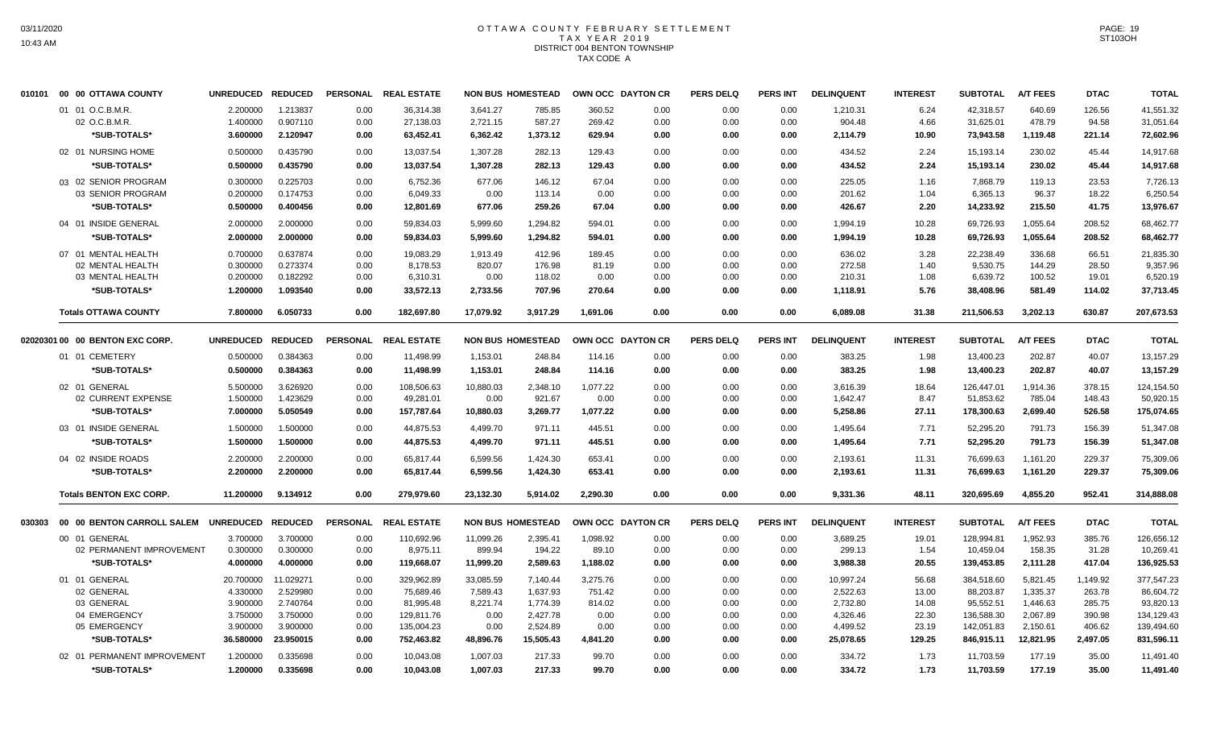### OTTAWA COUNTY FEBRUARY SETTLEMENT TAX YEAR 2019 DISTRICT 004 BENTON TOWNSHIP TAX CODE A

| 010101 | 00 00 OTTAWA COUNTY             | UNREDUCED REDUCED |                |      | PERSONAL REAL ESTATE |           | <b>NON BUS HOMESTEAD</b> | OWN OCC DAYTON CR |      | <b>PERS DELQ</b> | <b>PERS INT</b> | <b>DELINQUENT</b> | <b>INTEREST</b> | <b>SUBTOTAL</b> | <b>A/T FEES</b> | <b>DTAC</b> | <b>TOTAL</b> |
|--------|---------------------------------|-------------------|----------------|------|----------------------|-----------|--------------------------|-------------------|------|------------------|-----------------|-------------------|-----------------|-----------------|-----------------|-------------|--------------|
|        | 01 01 O.C.B.M.R.                | 2.200000          | 1.213837       | 0.00 | 36,314.38            | 3,641.27  | 785.85                   | 360.52            | 0.00 | 0.00             | 0.00            | 1,210.31          | 6.24            | 42,318.57       | 640.69          | 126.56      | 41,551.32    |
|        | 02 O.C.B.M.R.                   | 1.400000          | 0.907110       | 0.00 | 27,138.03            | 2,721.15  | 587.27                   | 269.42            | 0.00 | 0.00             | 0.00            | 904.48            | 4.66            | 31,625.01       | 478.79          | 94.58       | 31,051.64    |
|        | *SUB-TOTALS*                    | 3.600000          | 2.120947       | 0.00 | 63,452.41            | 6,362.42  | 1,373.12                 | 629.94            | 0.00 | 0.00             | 0.00            | 2,114.79          | 10.90           | 73,943.58       | 1,119.48        | 221.14      | 72,602.96    |
|        | 02 01 NURSING HOME              | 0.500000          | 0.435790       | 0.00 | 13,037.54            | 1,307.28  | 282.13                   | 129.43            | 0.00 | 0.00             | 0.00            | 434.52            | 2.24            | 15,193.14       | 230.02          | 45.44       | 14,917.68    |
|        | *SUB-TOTALS*                    | 0.500000          | 0.435790       | 0.00 | 13,037.54            | 1,307.28  | 282.13                   | 129.43            | 0.00 | 0.00             | 0.00            | 434.52            | 2.24            | 15,193.14       | 230.02          | 45.44       | 14,917.68    |
|        | 03 02 SENIOR PROGRAM            | 0.300000          | 0.225703       | 0.00 | 6,752.36             | 677.06    | 146.12                   | 67.04             | 0.00 | 0.00             | 0.00            | 225.05            | 1.16            | 7,868.79        | 119.13          | 23.53       | 7,726.13     |
|        | 03 SENIOR PROGRAM               | 0.200000          | 0.174753       | 0.00 | 6,049.33             | 0.00      | 113.14                   | 0.00              | 0.00 | 0.00             | 0.00            | 201.62            | 1.04            | 6,365.13        | 96.37           | 18.22       | 6,250.54     |
|        | *SUB-TOTALS*                    | 0.500000          | 0.400456       | 0.00 | 12,801.69            | 677.06    | 259.26                   | 67.04             | 0.00 | 0.00             | 0.00            | 426.67            | 2.20            | 14,233.92       | 215.50          | 41.75       | 13,976.67    |
|        | 04 01 INSIDE GENERAL            | 2.000000          | 2.000000       | 0.00 | 59,834.03            | 5,999.60  | 1,294.82                 | 594.01            | 0.00 | 0.00             | 0.00            | 1,994.19          | 10.28           | 69,726.93       | 1,055.64        | 208.52      | 68,462.77    |
|        | *SUB-TOTALS*                    | 2.000000          | 2.000000       | 0.00 | 59,834.03            | 5,999.60  | 1,294.82                 | 594.01            | 0.00 | 0.00             | 0.00            | 1,994.19          | 10.28           | 69,726.93       | 1,055.64        | 208.52      | 68,462.77    |
|        | 07 01 MENTAL HEALTH             | 0.700000          | 0.637874       | 0.00 | 19,083.29            | 1,913.49  | 412.96                   | 189.45            | 0.00 | 0.00             | 0.00            | 636.02            | 3.28            | 22,238.49       | 336.68          | 66.51       | 21,835.30    |
|        | 02 MENTAL HEALTH                | 0.300000          | 0.273374       | 0.00 | 8.178.53             | 820.07    | 176.98                   | 81.19             | 0.00 | 0.00             | 0.00            | 272.58            | 1.40            | 9,530.75        | 144.29          | 28.50       | 9.357.96     |
|        | 03 MENTAL HEALTH                | 0.200000          | 0.182292       | 0.00 | 6,310.31             | 0.00      | 118.02                   | 0.00              | 0.00 | 0.00             | 0.00            | 210.31            | 1.08            | 6,639.72        | 100.52          | 19.01       | 6,520.19     |
|        | *SUB-TOTALS*                    | 1.200000          | 1.093540       | 0.00 | 33,572.13            | 2,733.56  | 707.96                   | 270.64            | 0.00 | 0.00             | 0.00            | 1,118.91          | 5.76            | 38,408.96       | 581.49          | 114.02      | 37,713.45    |
|        |                                 |                   |                |      |                      |           |                          |                   |      |                  |                 |                   |                 |                 |                 |             |              |
|        | <b>Totals OTTAWA COUNTY</b>     | 7.800000          | 6.050733       | 0.00 | 182,697.80           | 17,079.92 | 3,917.29                 | 1,691.06          | 0.00 | 0.00             | 0.00            | 6,089.08          | 31.38           | 211,506.53      | 3,202.13        | 630.87      | 207,673.53   |
|        | 02020301 00 00 BENTON EXC CORP. | <b>UNREDUCED</b>  | <b>REDUCED</b> |      | PERSONAL REAL ESTATE |           | <b>NON BUS HOMESTEAD</b> | OWN OCC DAYTON CR |      | <b>PERS DELQ</b> | <b>PERS INT</b> | <b>DELINQUENT</b> | <b>INTEREST</b> | <b>SUBTOTAL</b> | <b>A/T FEES</b> | <b>DTAC</b> | <b>TOTAL</b> |
|        | 01 01 CEMETERY                  | 0.500000          | 0.384363       | 0.00 | 11,498.99            | 1,153.01  | 248.84                   | 114.16            | 0.00 | 0.00             | 0.00            | 383.25            | 1.98            | 13,400.23       | 202.87          | 40.07       | 13,157.29    |
|        | *SUB-TOTALS*                    | 0.500000          | 0.384363       | 0.00 | 11,498.99            | 1,153.01  | 248.84                   | 114.16            | 0.00 | 0.00             | 0.00            | 383.25            | 1.98            | 13,400.23       | 202.87          | 40.07       | 13,157.29    |
|        |                                 |                   |                |      |                      |           |                          |                   |      |                  |                 |                   |                 |                 |                 |             |              |
|        | 02 01 GENERAL                   | 5.500000          | 3.626920       | 0.00 | 108.506.63           | 10.880.03 | 2.348.10                 | 1.077.22          | 0.00 | 0.00             | 0.00            | 3.616.39          | 18.64           | 126.447.01      | 1.914.36        | 378.15      | 124.154.50   |
|        | 02 CURRENT EXPENSE              | 1.500000          | 1.423629       | 0.00 | 49,281.01            | 0.00      | 921.67                   | 0.00              | 0.00 | 0.00             | 0.00            | 1,642.47          | 8.47            | 51,853.62       | 785.04          | 148.43      | 50,920.15    |
|        | *SUB-TOTALS*                    | 7.000000          | 5.050549       | 0.00 | 157,787.64           | 10,880.03 | 3,269.77                 | 1,077.22          | 0.00 | 0.00             | 0.00            | 5,258.86          | 27.11           | 178,300.63      | 2,699.40        | 526.58      | 175,074.65   |
|        | 03 01 INSIDE GENERAL            | 1.500000          | 1.500000       | 0.00 | 44,875.53            | 4,499.70  | 971.11                   | 445.51            | 0.00 | 0.00             | 0.00            | 1,495.64          | 7.71            | 52,295.20       | 791.73          | 156.39      | 51,347.08    |
|        | *SUB-TOTALS*                    | 1.500000          | 1.500000       | 0.00 | 44,875.53            | 4,499.70  | 971.11                   | 445.51            | 0.00 | 0.00             | 0.00            | 1,495.64          | 7.71            | 52,295.20       | 791.73          | 156.39      | 51,347.08    |
|        | 04 02 INSIDE ROADS              | 2.200000          | 2.200000       | 0.00 | 65,817.44            | 6,599.56  | 1,424.30                 | 653.41            | 0.00 | 0.00             | 0.00            | 2,193.61          | 11.31           | 76,699.63       | 1,161.20        | 229.37      | 75,309.06    |
|        | *SUB-TOTALS*                    | 2.200000          | 2.200000       | 0.00 | 65,817.44            | 6,599.56  | 1,424.30                 | 653.41            | 0.00 | 0.00             | 0.00            | 2,193.61          | 11.31           | 76,699.63       | 1,161.20        | 229.37      | 75,309.06    |
|        | <b>Totals BENTON EXC CORP.</b>  | 11.200000         | 9.134912       | 0.00 | 279,979.60           | 23,132.30 | 5,914.02                 | 2,290.30          | 0.00 | 0.00             | 0.00            | 9,331.36          | 48.11           | 320,695.69      | 4,855.20        | 952.41      | 314,888.08   |
|        |                                 |                   |                |      |                      |           |                          |                   |      |                  |                 |                   |                 |                 |                 |             |              |
| 030303 | 00 00 BENTON CARROLL SALEM      | UNREDUCED REDUCED |                |      | PERSONAL REAL ESTATE |           | <b>NON BUS HOMESTEAD</b> | OWN OCC DAYTON CR |      | <b>PERS DELQ</b> | <b>PERS INT</b> | <b>DELINQUENT</b> | <b>INTEREST</b> | <b>SUBTOTAL</b> | <b>A/T FEES</b> | <b>DTAC</b> | <b>TOTAL</b> |
|        | 00 01 GENERAL                   | 3.700000          | 3.700000       | 0.00 | 110,692.96           | 11,099.26 | 2,395.41                 | 1,098.92          | 0.00 | 0.00             | 0.00            | 3,689.25          | 19.01           | 128,994.81      | 1,952.93        | 385.76      | 126,656.12   |
|        | 02 PERMANENT IMPROVEMENT        | 0.300000          | 0.300000       | 0.00 | 8,975.11             | 899.94    | 194.22                   | 89.10             | 0.00 | 0.00             | 0.00            | 299.13            | 1.54            | 10,459.04       | 158.35          | 31.28       | 10,269.41    |
|        | *SUB-TOTALS*                    | 4.000000          | 4.000000       | 0.00 | 119,668.07           | 11,999.20 | 2,589.63                 | 1,188.02          | 0.00 | 0.00             | 0.00            | 3,988.38          | 20.55           | 139,453.85      | 2,111.28        | 417.04      | 136,925.53   |
|        | 01 01 GENERAL                   | 20.700000         | 11.029271      | 0.00 | 329,962.89           | 33,085.59 | 7,140.44                 | 3,275.76          | 0.00 | 0.00             | 0.00            | 10,997.24         | 56.68           | 384,518.60      | 5,821.45        | 1,149.92    | 377,547.23   |
|        | 02 GENERAL                      | 4.330000          | 2.529980       | 0.00 | 75,689.46            | 7,589.43  | 1,637.93                 | 751.42            | 0.00 | 0.00             | 0.00            | 2,522.63          | 13.00           | 88,203.87       | 1,335.37        | 263.78      | 86,604.72    |
|        | 03 GENERAL                      | 3.900000          | 2.740764       | 0.00 | 81,995.48            | 8,221.74  | 1,774.39                 | 814.02            | 0.00 | 0.00             | 0.00            | 2,732.80          | 14.08           | 95,552.51       | 1,446.63        | 285.75      | 93,820.13    |
|        | 04 EMERGENCY                    | 3.750000          | 3.750000       | 0.00 | 129,811.76           | 0.00      | 2,427.78                 | 0.00              | 0.00 | 0.00             | 0.00            | 4,326.46          | 22.30           | 136,588.30      | 2,067.89        | 390.98      | 134,129.43   |
|        | 05 EMERGENCY                    | 3.900000          | 3.900000       | 0.00 | 135,004.23           | 0.00      | 2,524.89                 | 0.00              | 0.00 | 0.00             | 0.00            | 4,499.52          | 23.19           | 142,051.83      | 2,150.61        | 406.62      | 139,494.60   |
|        | *SUB-TOTALS*                    | 36.580000         | 23.950015      | 0.00 | 752,463.82           | 48,896.76 | 15,505.43                | 4,841.20          | 0.00 | 0.00             | 0.00            | 25,078.65         | 129.25          | 846,915.11      | 12,821.95       | 2,497.05    | 831,596.11   |
|        | 02 01 PERMANENT IMPROVEMENT     | 1.200000          | 0.335698       | 0.00 | 10,043.08            | 1,007.03  | 217.33                   | 99.70             | 0.00 | 0.00             | 0.00            | 334.72            | 1.73            | 11,703.59       | 177.19          | 35.00       | 11,491.40    |
|        | *SUB-TOTALS*                    | 1.200000          | 0.335698       | 0.00 | 10,043.08            | 1,007.03  | 217.33                   | 99.70             | 0.00 | 0.00             | 0.00            | 334.72            | 1.73            | 11,703.59       | 177.19          | 35.00       | 11,491.40    |
|        |                                 |                   |                |      |                      |           |                          |                   |      |                  |                 |                   |                 |                 |                 |             |              |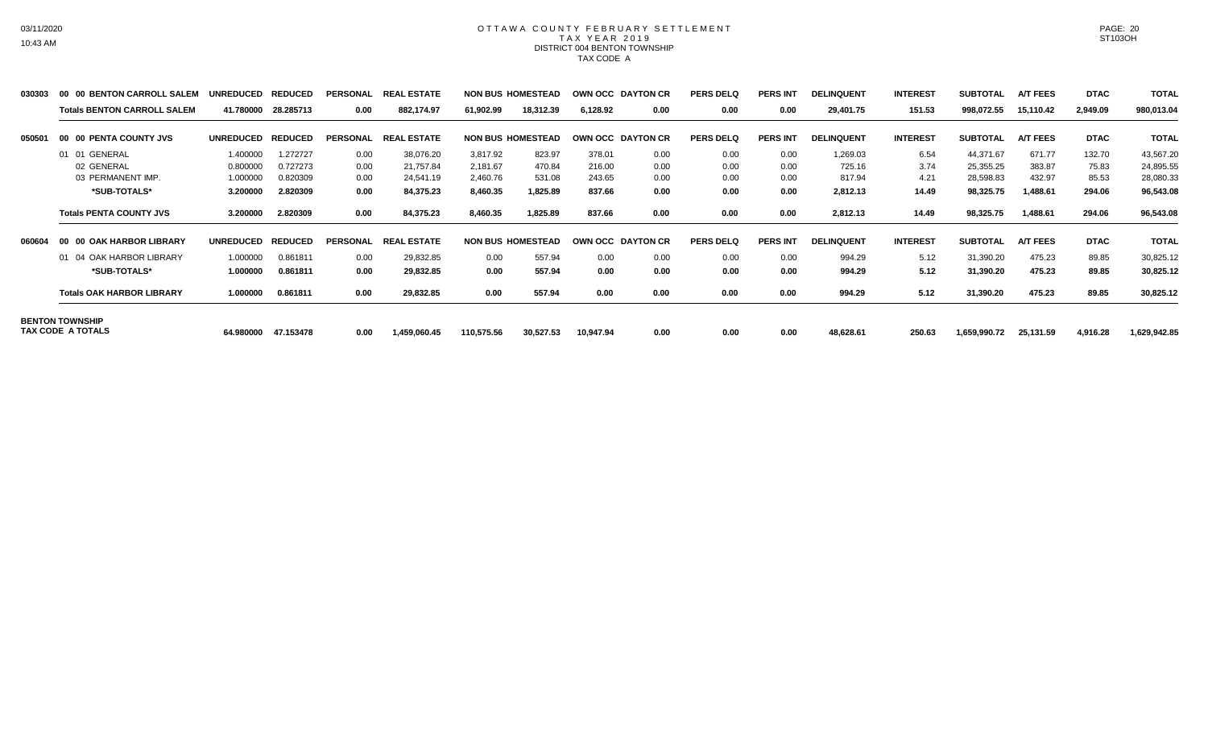### OTTAWA COUNTY FEBRUARY SETTLEMENT TAX YEAR 2019 DISTRICT 004 BENTON TOWNSHIP TAX CODE A

| 030303 | 00 00 BENTON CARROLL SALEM         | <b>UNREDUCED</b> | <b>REDUCED</b> | <b>PERSONAL</b> | <b>REAL ESTATE</b> |            | <b>NON BUS HOMESTEAD</b> |           | <b>OWN OCC DAYTON CR</b> | <b>PERS DELQ</b> | <b>PERS INT</b> | <b>DELINQUENT</b> | <b>INTEREST</b> | <b>SUBTOTAL</b> | <b>A/T FEES</b> | <b>DTAC</b> | <b>TOTAL</b> |
|--------|------------------------------------|------------------|----------------|-----------------|--------------------|------------|--------------------------|-----------|--------------------------|------------------|-----------------|-------------------|-----------------|-----------------|-----------------|-------------|--------------|
|        | <b>Totals BENTON CARROLL SALEM</b> | 41.780000        | 28.285713      | 0.00            | 882,174.97         | 61,902.99  | 18,312.39                | 6,128.92  | 0.00                     | 0.00             | 0.00            | 29,401.75         | 151.53          | 998,072.55      | 15,110.42       | 2,949.09    | 980,013.04   |
| 050501 | 00 00 PENTA COUNTY JVS             | <b>UNREDUCED</b> | <b>REDUCED</b> | <b>PERSONAL</b> | <b>REAL ESTATE</b> |            | <b>NON BUS HOMESTEAD</b> |           | <b>OWN OCC DAYTON CR</b> | <b>PERS DELQ</b> | <b>PERS INT</b> | <b>DELINQUENT</b> | <b>INTEREST</b> | <b>SUBTOTAL</b> | <b>A/T FEES</b> | <b>DTAC</b> | <b>TOTAL</b> |
|        | 01 01 GENERAL                      | 1.400000         | .272727        | 0.00            | 38,076.20          | 3,817.92   | 823.97                   | 378.01    | 0.00                     | 0.00             | 0.00            | 1,269.03          | 6.54            | 44,371.67       | 671.77          | 132.70      | 43,567.20    |
|        | 02 GENERAL                         | 0.800000         | 0.727273       | 0.00            | 21,757.84          | 2.181.67   | 470.84                   | 216.00    | 0.00                     | 0.00             | 0.00            | 725.16            | 3.74            | 25.355.25       | 383.87          | 75.83       | 24,895.55    |
|        | 03 PERMANENT IMP.                  | 1.000000         | 0.820309       | 0.00            | 24,541.19          | 2,460.76   | 531.08                   | 243.65    | 0.00                     | 0.00             | 0.00            | 817.94            | 4.21            | 28,598.83       | 432.97          | 85.53       | 28,080.33    |
|        | *SUB-TOTALS*                       | 3.200000         | 2.820309       | 0.00            | 84,375.23          | 8,460.35   | 1,825.89                 | 837.66    | 0.00                     | 0.00             | 0.00            | 2,812.13          | 14.49           | 98,325.75       | 1,488.61        | 294.06      | 96,543.08    |
|        | <b>Totals PENTA COUNTY JVS</b>     | 3.200000         | 2.820309       | 0.00            | 84,375.23          | 8,460.35   | 1,825.89                 | 837.66    | 0.00                     | 0.00             | 0.00            | 2,812.13          | 14.49           | 98,325.75       | 1,488.61        | 294.06      | 96,543.08    |
| 060604 | 00 00 OAK HARBOR LIBRARY           | <b>UNREDUCED</b> | <b>REDUCED</b> | <b>PERSONAL</b> | <b>REAL ESTATE</b> |            | <b>NON BUS HOMESTEAD</b> |           | OWN OCC DAYTON CR        | <b>PERS DELQ</b> | <b>PERS INT</b> | <b>DELINQUENT</b> | <b>INTEREST</b> | <b>SUBTOTAL</b> | <b>A/T FEES</b> | <b>DTAC</b> | <b>TOTAL</b> |
|        | 01 04 OAK HARBOR LIBRARY           | 1.000000         | 0.861811       | 0.00            | 29,832.85          | 0.00       | 557.94                   | 0.00      | 0.00                     | 0.00             | 0.00            | 994.29            | 5.12            | 31,390.20       | 475.23          | 89.85       | 30,825.12    |
|        | *SUB-TOTALS*                       | 1.000000         | 0.861811       | 0.00            | 29,832.85          | 0.00       | 557.94                   | 0.00      | 0.00                     | 0.00             | 0.00            | 994.29            | 5.12            | 31,390.20       | 475.23          | 89.85       | 30,825.12    |
|        | <b>Totals OAK HARBOR LIBRARY</b>   | 1.000000         | 0.861811       | 0.00            | 29,832.85          | 0.00       | 557.94                   | 0.00      | 0.00                     | 0.00             | 0.00            | 994.29            | 5.12            | 31,390.20       | 475.23          | 89.85       | 30,825.12    |
|        | <b>BENTON TOWNSHIP</b>             |                  |                |                 |                    |            |                          |           |                          |                  |                 |                   |                 |                 |                 |             |              |
|        | TAX CODE A TOTALS                  | 64.980000        | 47.153478      | 0.00            | 1,459,060.45       | 110,575.56 | 30,527.53                | 10,947.94 | 0.00                     | 0.00             | 0.00            | 48,628.61         | 250.63          | 1,659,990.72    | 25,131.59       | 4,916.28    | 1,629,942.85 |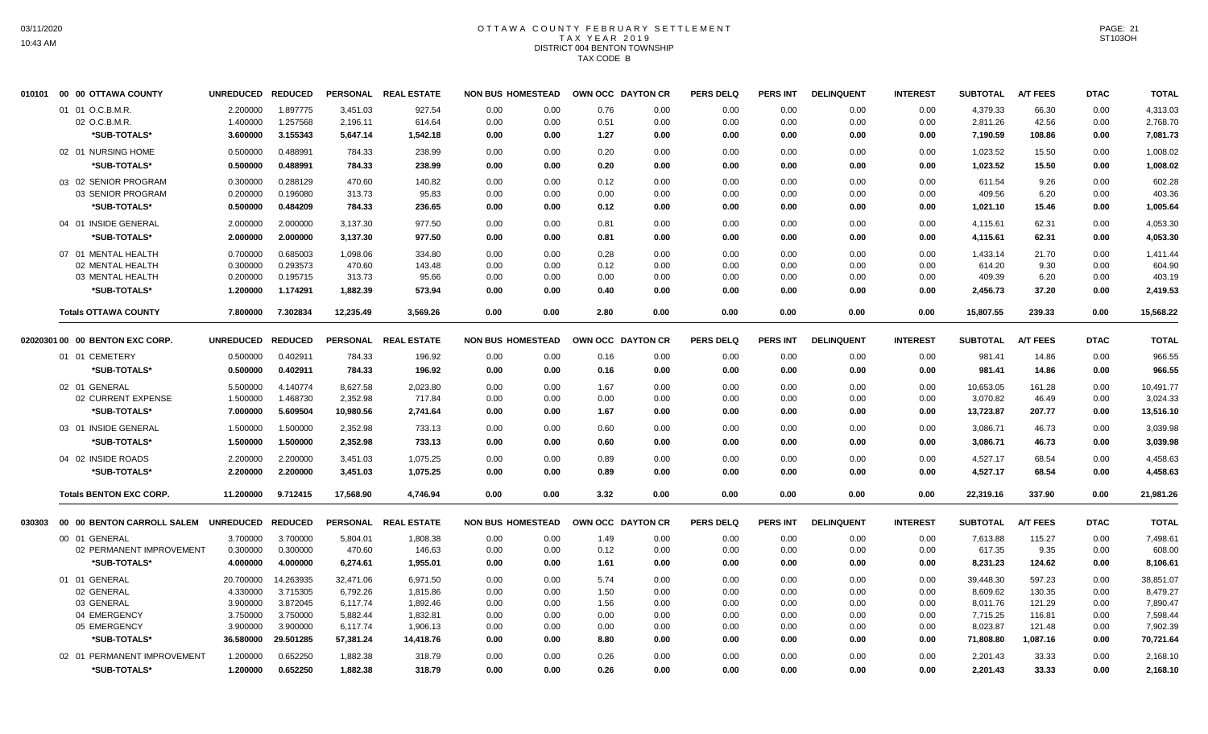### OTTAWA COUNTY FEBRUARY SETTLEMENT TAX YEAR 2019 DISTRICT 004 BENTON TOWNSHIP TAX CODE B

| 010101 | 00 00 OTTAWA COUNTY                 | UNREDUCED REDUCED |                      |           | PERSONAL REAL ESTATE | <b>NON BUS HOMESTEAD</b> |              | OWN OCC DAYTON CR |              | <b>PERS DELQ</b> | <b>PERS INT</b> | <b>DELINQUENT</b> | <b>INTEREST</b> | <b>SUBTOTAL</b>       | <b>A/T FEES</b> | <b>DTAC</b> | <b>TOTAL</b>          |
|--------|-------------------------------------|-------------------|----------------------|-----------|----------------------|--------------------------|--------------|-------------------|--------------|------------------|-----------------|-------------------|-----------------|-----------------------|-----------------|-------------|-----------------------|
|        | 01 01 O.C.B.M.R.                    | 2.200000          | 1.897775             | 3,451.03  | 927.54               | 0.00                     | 0.00         | 0.76              | 0.00         | 0.00             | 0.00            | 0.00              | 0.00            | 4,379.33              | 66.30           | 0.00        | 4,313.03              |
|        | 02 O.C.B.M.R.                       | 1.400000          | 1.257568             | 2,196.11  | 614.64               | 0.00                     | 0.00         | 0.51              | 0.00         | 0.00             | 0.00            | 0.00              | 0.00            | 2,811.26              | 42.56           | 0.00        | 2,768.70              |
|        | *SUB-TOTALS*                        | 3.600000          | 3.155343             | 5,647.14  | 1,542.18             | 0.00                     | 0.00         | 1.27              | 0.00         | 0.00             | 0.00            | 0.00              | 0.00            | 7,190.59              | 108.86          | 0.00        | 7,081.73              |
|        | 02 01 NURSING HOME                  | 0.500000          | 0.488991             | 784.33    | 238.99               | 0.00                     | 0.00         | 0.20              | 0.00         | 0.00             | 0.00            | 0.00              | 0.00            | 1,023.52              | 15.50           | 0.00        | 1,008.02              |
|        | *SUB-TOTALS*                        | 0.500000          | 0.488991             | 784.33    | 238.99               | 0.00                     | 0.00         | 0.20              | 0.00         | 0.00             | 0.00            | 0.00              | 0.00            | 1,023.52              | 15.50           | 0.00        | 1.008.02              |
|        | 03 02 SENIOR PROGRAM                | 0.300000          | 0.288129             | 470.60    | 140.82               | 0.00                     | 0.00         | 0.12              | 0.00         | 0.00             | 0.00            | 0.00              | 0.00            | 611.54                | 9.26            | 0.00        | 602.28                |
|        | 03 SENIOR PROGRAM                   | 0.200000          | 0.196080             | 313.73    | 95.83                | 0.00                     | 0.00         | 0.00              | 0.00         | 0.00             | 0.00            | 0.00              | 0.00            | 409.56                | 6.20            | 0.00        | 403.36                |
|        | *SUB-TOTALS*                        | 0.500000          | 0.484209             | 784.33    | 236.65               | 0.00                     | 0.00         | 0.12              | 0.00         | 0.00             | 0.00            | 0.00              | 0.00            | 1,021.10              | 15.46           | 0.00        | 1,005.64              |
|        | 04 01 INSIDE GENERAL                | 2.000000          | 2.000000             | 3,137.30  | 977.50               | 0.00                     | 0.00         | 0.81              | 0.00         | 0.00             | 0.00            | 0.00              | 0.00            | 4,115.61              | 62.31           | 0.00        | 4,053.30              |
|        | *SUB-TOTALS*                        | 2.000000          | 2.000000             | 3,137.30  | 977.50               | 0.00                     | 0.00         | 0.81              | 0.00         | 0.00             | 0.00            | 0.00              | 0.00            | 4,115.61              | 62.31           | 0.00        | 4.053.30              |
|        | 07 01 MENTAL HEALTH                 | 0.700000          | 0.685003             | 1,098.06  | 334.80               | 0.00                     | 0.00         | 0.28              | 0.00         | 0.00             | 0.00            | 0.00              | 0.00            | 1,433.14              | 21.70           | 0.00        | 1,411.44              |
|        | 02 MENTAL HEALTH                    | 0.300000          | 0.293573             | 470.60    | 143.48               | 0.00                     | 0.00         | 0.12              | 0.00         | 0.00             | 0.00            | 0.00              | 0.00            | 614.20                | 9.30            | 0.00        | 604.90                |
|        | 03 MENTAL HEALTH                    | 0.200000          | 0.195715             | 313.73    | 95.66                | 0.00                     | 0.00         | 0.00              | 0.00         | 0.00             | 0.00            | 0.00              | 0.00            | 409.39                | 6.20            | 0.00        | 403.19                |
|        | *SUB-TOTALS*                        | 1.200000          | 1.174291             | 1,882.39  | 573.94               | 0.00                     | 0.00         | 0.40              | 0.00         | 0.00             | 0.00            | 0.00              | 0.00            | 2,456.73              | 37.20           | 0.00        | 2,419.53              |
|        | <b>Totals OTTAWA COUNTY</b>         | 7.800000          | 7.302834             | 12,235.49 | 3.569.26             | 0.00                     | 0.00         | 2.80              | 0.00         | 0.00             | 0.00            | 0.00              | 0.00            | 15.807.55             | 239.33          | 0.00        | 15.568.22             |
|        | 02020301 00 00 BENTON EXC CORP.     | <b>UNREDUCED</b>  | <b>REDUCED</b>       |           | PERSONAL REAL ESTATE | <b>NON BUS HOMESTEAD</b> |              | OWN OCC DAYTON CR |              | <b>PERS DELQ</b> | <b>PERS INT</b> | <b>DELINQUENT</b> | <b>INTEREST</b> | <b>SUBTOTAL</b>       | <b>A/T FEES</b> | <b>DTAC</b> | <b>TOTAL</b>          |
|        | 01 01 CEMETERY                      | 0.500000          | 0.402911             | 784.33    | 196.92               | 0.00                     | 0.00         | 0.16              | 0.00         | 0.00             | 0.00            | 0.00              | 0.00            | 981.41                | 14.86           | 0.00        | 966.55                |
|        | *SUB-TOTALS*                        | 0.500000          | 0.402911             | 784.33    | 196.92               | 0.00                     | 0.00         | 0.16              | 0.00         | 0.00             | 0.00            | 0.00              | 0.00            | 981.41                | 14.86           | 0.00        | 966.55                |
|        |                                     |                   |                      |           |                      |                          |              |                   |              |                  |                 |                   |                 |                       |                 |             |                       |
|        | 02 01 GENERAL<br>02 CURRENT EXPENSE | 5.500000          | 4.140774<br>1.468730 | 8,627.58  | 2,023.80<br>717.84   | 0.00<br>0.00             | 0.00<br>0.00 | 1.67<br>0.00      | 0.00<br>0.00 | 0.00<br>0.00     | 0.00<br>0.00    | 0.00<br>0.00      | 0.00<br>0.00    | 10,653.05<br>3,070.82 | 161.28<br>46.49 | 0.00        | 10,491.77<br>3,024.33 |
|        |                                     | 1.500000          |                      | 2,352.98  |                      |                          |              |                   |              |                  |                 |                   |                 |                       |                 | 0.00        |                       |
|        | *SUB-TOTALS*                        | 7.000000          | 5.609504             | 10,980.56 | 2,741.64             | 0.00                     | 0.00         | 1.67              | 0.00         | 0.00             | 0.00            | 0.00              | 0.00            | 13,723.87             | 207.77          | 0.00        | 13,516.10             |
|        | 03 01 INSIDE GENERAL                | 1.500000          | 1.500000             | 2,352.98  | 733.13               | 0.00                     | 0.00         | 0.60              | 0.00         | 0.00             | 0.00            | 0.00              | 0.00            | 3,086.71              | 46.73           | 0.00        | 3,039.98              |
|        | *SUB-TOTALS*                        | 1.500000          | 1.500000             | 2,352.98  | 733.13               | 0.00                     | 0.00         | 0.60              | 0.00         | 0.00             | 0.00            | 0.00              | 0.00            | 3,086.71              | 46.73           | 0.00        | 3,039.98              |
|        | 04 02 INSIDE ROADS                  | 2.200000          | 2.200000             | 3,451.03  | 1,075.25             | 0.00                     | 0.00         | 0.89              | 0.00         | 0.00             | 0.00            | 0.00              | 0.00            | 4,527.17              | 68.54           | 0.00        | 4,458.63              |
|        | *SUB-TOTALS*                        | 2.200000          | 2.200000             | 3,451.03  | 1,075.25             | 0.00                     | 0.00         | 0.89              | 0.00         | 0.00             | 0.00            | 0.00              | 0.00            | 4,527.17              | 68.54           | 0.00        | 4,458.63              |
|        | <b>Totals BENTON EXC CORP.</b>      | 11.200000         | 9.712415             | 17,568.90 | 4,746.94             | 0.00                     | 0.00         | 3.32              | 0.00         | 0.00             | 0.00            | 0.00              | 0.00            | 22,319.16             | 337.90          | 0.00        | 21,981.26             |
| 030303 | 00 00 BENTON CARROLL SALEM          | UNREDUCED REDUCED |                      |           | PERSONAL REAL ESTATE | <b>NON BUS HOMESTEAD</b> |              | OWN OCC DAYTON CR |              | <b>PERS DELQ</b> | <b>PERS INT</b> | <b>DELINQUENT</b> | <b>INTEREST</b> | <b>SUBTOTAL</b>       | <b>A/T FEES</b> | <b>DTAC</b> | <b>TOTAL</b>          |
|        | 00 01 GENERAL                       | 3.700000          | 3.700000             | 5,804.01  | 1,808.38             | 0.00                     | 0.00         | 1.49              | 0.00         | 0.00             | 0.00            | 0.00              | 0.00            | 7,613.88              | 115.27          | 0.00        | 7,498.61              |
|        | 02 PERMANENT IMPROVEMENT            | 0.300000          | 0.300000             | 470.60    | 146.63               | 0.00                     | 0.00         | 0.12              | 0.00         | 0.00             | 0.00            | 0.00              | 0.00            | 617.35                | 9.35            | 0.00        | 608.00                |
|        | *SUB-TOTALS*                        | 4.000000          | 4.000000             | 6,274.61  | 1,955.01             | 0.00                     | 0.00         | 1.61              | 0.00         | 0.00             | 0.00            | 0.00              | 0.00            | 8,231.23              | 124.62          | 0.00        | 8,106.61              |
|        | 01 01 GENERAL                       | 20.700000         | 14.263935            | 32,471.06 | 6,971.50             | 0.00                     | 0.00         | 5.74              | 0.00         | 0.00             | 0.00            | 0.00              | 0.00            | 39,448.30             | 597.23          | 0.00        | 38,851.07             |
|        | 02 GENERAL                          | 4.330000          | 3.715305             | 6,792.26  | 1,815.86             | 0.00                     | 0.00         | 1.50              | 0.00         | 0.00             | 0.00            | 0.00              | 0.00            | 8,609.62              | 130.35          | 0.00        | 8,479.27              |
|        | 03 GENERAL                          | 3.900000          | 3.872045             | 6,117.74  | 1,892.46             | 0.00                     | 0.00         | 1.56              | 0.00         | 0.00             | 0.00            | 0.00              | 0.00            | 8,011.76              | 121.29          | 0.00        | 7.890.47              |
|        | 04 EMERGENCY                        | 3.750000          | 3.750000             | 5,882.44  | 1,832.81             | 0.00                     | 0.00         | 0.00              | 0.00         | 0.00             | 0.00            | 0.00              | 0.00            | 7,715.25              | 116.81          | 0.00        | 7,598.44              |
|        | 05 EMERGENCY                        | 3.900000          | 3.900000             | 6,117.74  | 1,906.13             | 0.00                     | 0.00         | 0.00              | 0.00         | 0.00             | 0.00            | 0.00              | 0.00            | 8,023.87              | 121.48          | 0.00        | 7,902.39              |
|        | *SUB-TOTALS*                        | 36.580000         | 29.501285            | 57,381.24 | 14,418.76            | 0.00                     | 0.00         | 8.80              | 0.00         | 0.00             | 0.00            | 0.00              | 0.00            | 71,808.80             | 1,087.16        | 0.00        | 70,721.64             |
|        | 02 01 PERMANENT IMPROVEMENT         | 1.200000          | 0.652250             | 1,882.38  | 318.79               | 0.00                     | 0.00         | 0.26              | 0.00         | 0.00             | 0.00            | 0.00              | 0.00            | 2,201.43              | 33.33           | 0.00        | 2,168.10              |
|        | *SUB-TOTALS*                        | 1.200000          | 0.652250             | 1,882.38  | 318.79               | 0.00                     | 0.00         | 0.26              | 0.00         | 0.00             | 0.00            | 0.00              | 0.00            | 2,201.43              | 33.33           | 0.00        | 2,168.10              |
|        |                                     |                   |                      |           |                      |                          |              |                   |              |                  |                 |                   |                 |                       |                 |             |                       |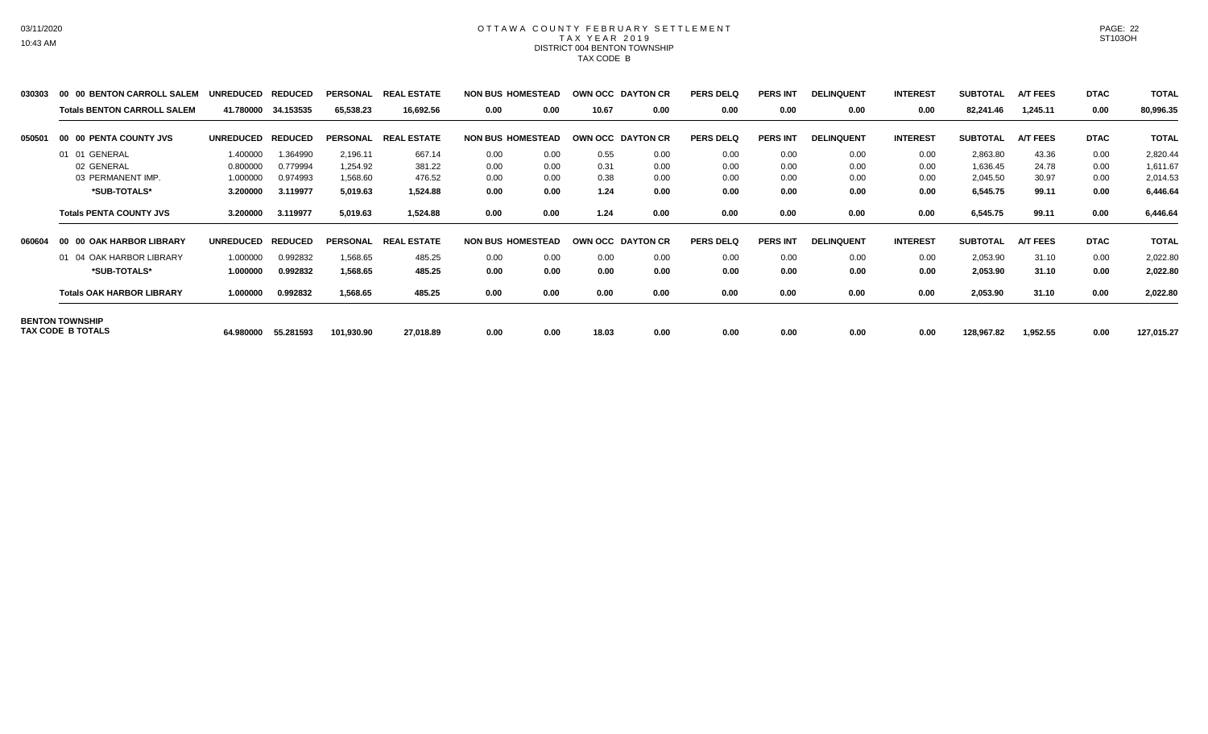### OTTAWA COUNTY FEBRUARY SETTLEMENT TAX YEAR 2019 DISTRICT 004 BENTON TOWNSHIP TAX CODE B

| 030303 | 00 00 BENTON CARROLL SALEM         | <b>UNREDUCED</b> | <b>REDUCED</b> | <b>PERSONAL</b> | <b>REAL ESTATE</b>      | <b>NON BUS HOMESTEAD</b> |      |       | <b>OWN OCC DAYTON CR</b> | <b>PERS DELQ</b> | <b>PERS INT</b> | <b>DELINQUENT</b> | <b>INTEREST</b> | <b>SUBTOTAL</b> | <b>A/T FEES</b> | <b>DTAC</b> | <b>TOTAL</b> |
|--------|------------------------------------|------------------|----------------|-----------------|-------------------------|--------------------------|------|-------|--------------------------|------------------|-----------------|-------------------|-----------------|-----------------|-----------------|-------------|--------------|
|        | <b>Totals BENTON CARROLL SALEM</b> | 41.780000        | 34.153535      | 65,538.23       | 16,692.56               | 0.00                     | 0.00 | 10.67 | 0.00                     | 0.00             | 0.00            | 0.00              | 0.00            | 82,241.46       | 1,245.11        | 0.00        | 80,996.35    |
| 050501 | 00 00 PENTA COUNTY JVS             | <b>UNREDUCED</b> | <b>REDUCED</b> | <b>PERSONAL</b> | <b>L ESTATE</b><br>REAL | <b>NON BUS HOMESTEAD</b> |      |       | OWN OCC DAYTON CR        | <b>PERS DELQ</b> | <b>PERS INT</b> | <b>DELINQUENT</b> | <b>INTEREST</b> | <b>SUBTOTAL</b> | <b>A/T FEES</b> | <b>DTAC</b> | <b>TOTAL</b> |
|        | 01 01 GENERAL                      | 1.400000         | 1.364990       | 2,196.11        | 667.14                  | 0.00                     | 0.00 | 0.55  | 0.00                     | 0.00             | 0.00            | 0.00              | 0.00            | 2,863.80        | 43.36           | 0.00        | 2,820.44     |
|        | 02 GENERAL                         | 0.800000         | 0.779994       | 1,254.92        | 381.22                  | 0.00                     | 0.00 | 0.31  | 0.00                     | 0.00             | 0.00            | 0.00              | 0.00            | 1,636.45        | 24.78           | 0.00        | 1,611.67     |
|        | 03 PERMANENT IMP.                  | 1.000000         | 0.974993       | 1,568.60        | 476.52                  | 0.00                     | 0.00 | 0.38  | 0.00                     | 0.00             | 0.00            | 0.00              | 0.00            | 2,045.50        | 30.97           | 0.00        | 2,014.53     |
|        | *SUB-TOTALS*                       | 3.200000         | 3.119977       | 5,019.63        | 1,524.88                | 0.00                     | 0.00 | 1.24  | 0.00                     | 0.00             | 0.00            | 0.00              | 0.00            | 6,545.75        | 99.11           | 0.00        | 6,446.64     |
|        | <b>Totals PENTA COUNTY JVS</b>     | 3.200000         | 3.119977       | 5,019.63        | 1,524.88                | 0.00                     | 0.00 | 1.24  | 0.00                     | 0.00             | 0.00            | 0.00              | 0.00            | 6,545.75        | 99.11           | 0.00        | 6,446.64     |
| 060604 | 00 00 OAK HARBOR LIBRARY           | <b>UNREDUCED</b> | <b>REDUCED</b> | <b>PERSONAL</b> | <b>REAL ESTATE</b>      | <b>NON BUS HOMESTEAD</b> |      |       | OWN OCC DAYTON CR        | <b>PERS DELQ</b> | <b>PERS INT</b> | <b>DELINQUENT</b> | <b>INTEREST</b> | <b>SUBTOTAL</b> | <b>A/T FEES</b> | <b>DTAC</b> | <b>TOTAL</b> |
|        | 01 04 OAK HARBOR LIBRARY           | 1.000000         | 0.992832       | 1,568.65        | 485.25                  | 0.00                     | 0.00 | 0.00  | 0.00                     | 0.00             | 0.00            | 0.00              | 0.00            | 2,053.90        | 31.10           | 0.00        | 2,022.80     |
|        | *SUB-TOTALS*                       | 1.000000         | 0.992832       | 1,568.65        | 485.25                  | 0.00                     | 0.00 | 0.00  | 0.00                     | 0.00             | 0.00            | 0.00              | 0.00            | 2,053.90        | 31.10           | 0.00        | 2,022.80     |
|        | <b>Totals OAK HARBOR LIBRARY</b>   | 1.000000         | 0.992832       | 1,568.65        | 485.25                  | 0.00                     | 0.00 | 0.00  | 0.00                     | 0.00             | 0.00            | 0.00              | 0.00            | 2,053.90        | 31.10           | 0.00        | 2,022.80     |
|        | <b>BENTON TOWNSHIP</b>             |                  |                |                 |                         |                          |      |       |                          |                  |                 |                   |                 |                 |                 |             |              |
|        | TAX CODE B TOTALS                  | 64.980000        | 55.281593      | 101,930.90      | 27,018.89               | 0.00                     | 0.00 | 18.03 | 0.00                     | 0.00             | 0.00            | 0.00              | 0.00            | 128,967.82      | 1,952.55        | 0.00        | 127,015.27   |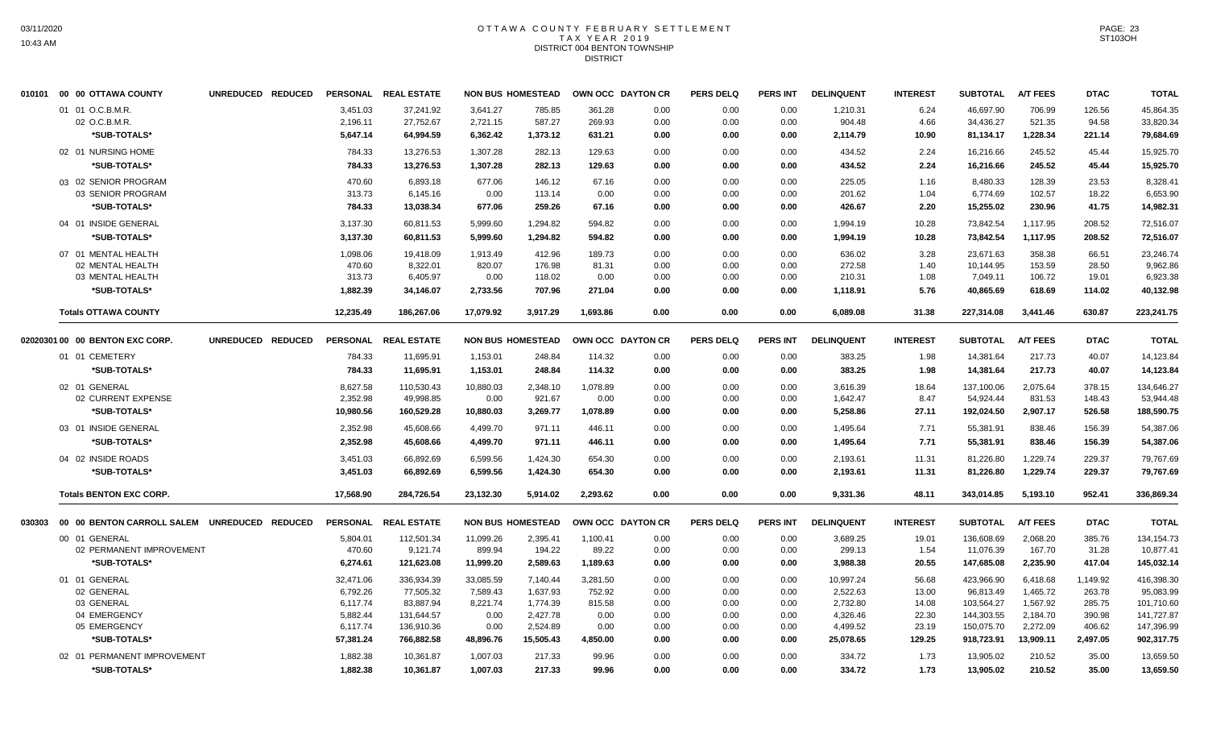#### OTTAWA COUNTY FEBRUARY SETTLEMENT T A X Y E A R 2 0 1 9 DISTRICT 004 BENTON TOWNSHIP **DISTRICT**

|        | 010101 00 00 OTTAWA COUNTY                   | UNREDUCED REDUCED |                 | PERSONAL REAL ESTATE | <b>NON BUS HOMESTEAD</b> |           |          | OWN OCC DAYTON CR | <b>PERS DELQ</b> | PERS INT        | <b>DELINQUENT</b> | <b>INTEREST</b> | <b>SUBTOTAL</b> | <b>A/T FEES</b> | <b>DTAC</b> | <b>TOTAL</b> |
|--------|----------------------------------------------|-------------------|-----------------|----------------------|--------------------------|-----------|----------|-------------------|------------------|-----------------|-------------------|-----------------|-----------------|-----------------|-------------|--------------|
|        | 01 01 O.C.B.M.R.                             |                   | 3,451.03        | 37,241.92            | 3,641.27                 | 785.85    | 361.28   | 0.00              | 0.00             | 0.00            | 1,210.31          | 6.24            | 46.697.90       | 706.99          | 126.56      | 45,864.35    |
|        | 02 O.C.B.M.R.                                |                   | 2,196.11        | 27,752.67            | 2,721.15                 | 587.27    | 269.93   | 0.00              | 0.00             | 0.00            | 904.48            | 4.66            | 34,436.27       | 521.35          | 94.58       | 33,820.34    |
|        | *SUB-TOTALS*                                 |                   | 5,647.14        | 64,994.59            | 6,362.42                 | 1,373.12  | 631.21   | 0.00              | 0.00             | 0.00            | 2,114.79          | 10.90           | 81,134.17       | 1,228.34        | 221.14      | 79,684.69    |
|        | 02 01 NURSING HOME                           |                   | 784.33          | 13,276.53            | 1,307.28                 | 282.13    | 129.63   | 0.00              | 0.00             | 0.00            | 434.52            | 2.24            | 16,216.66       | 245.52          | 45.44       | 15,925.70    |
|        | *SUB-TOTALS*                                 |                   | 784.33          | 13,276.53            | 1,307.28                 | 282.13    | 129.63   | 0.00              | 0.00             | 0.00            | 434.52            | 2.24            | 16,216.66       | 245.52          | 45.44       | 15,925.70    |
|        | 03 02 SENIOR PROGRAM                         |                   | 470.60          | 6,893.18             | 677.06                   | 146.12    | 67.16    | 0.00              | 0.00             | 0.00            | 225.05            | 1.16            | 8,480.33        | 128.39          | 23.53       | 8,328.41     |
|        | 03 SENIOR PROGRAM                            |                   | 313.73          | 6,145.16             | 0.00                     | 113.14    | 0.00     | 0.00              | 0.00             | 0.00            | 201.62            | 1.04            | 6,774.69        | 102.57          | 18.22       | 6,653.90     |
|        | *SUB-TOTALS*                                 |                   | 784.33          | 13,038.34            | 677.06                   | 259.26    | 67.16    | 0.00              | 0.00             | 0.00            | 426.67            | 2.20            | 15,255.02       | 230.96          | 41.75       | 14,982.31    |
|        | 04 01 INSIDE GENERAL                         |                   | 3,137.30        | 60,811.53            | 5,999.60                 | 1,294.82  | 594.82   | 0.00              | 0.00             | 0.00            | 1,994.19          | 10.28           | 73,842.54       | 1,117.95        | 208.52      | 72,516.07    |
|        | *SUB-TOTALS*                                 |                   | 3,137.30        | 60,811.53            | 5,999.60                 | 1,294.82  | 594.82   | 0.00              | 0.00             | 0.00            | 1,994.19          | 10.28           | 73,842.54       | 1,117.95        | 208.52      | 72,516.07    |
|        | 07 01 MENTAL HEALTH                          |                   | 1,098.06        | 19,418.09            | 1,913.49                 | 412.96    | 189.73   | 0.00              | 0.00             | 0.00            | 636.02            | 3.28            | 23,671.63       | 358.38          | 66.51       | 23,246.74    |
|        | 02 MENTAL HEALTH                             |                   | 470.60          | 8,322.01             | 820.07                   | 176.98    | 81.31    | 0.00              | 0.00             | 0.00            | 272.58            | 1.40            | 10,144.95       | 153.59          | 28.50       | 9,962.86     |
|        | 03 MENTAL HEALTH                             |                   | 313.73          | 6,405.97             | 0.00                     | 118.02    | 0.00     | 0.00              | 0.00             | 0.00            | 210.31            | 1.08            | 7,049.11        | 106.72          | 19.01       | 6,923.38     |
|        | *SUB-TOTALS*                                 |                   | 1,882.39        | 34,146.07            | 2,733.56                 | 707.96    | 271.04   | 0.00              | 0.00             | 0.00            | 1,118.91          | 5.76            | 40,865.69       | 618.69          | 114.02      | 40,132.98    |
|        | <b>Totals OTTAWA COUNTY</b>                  |                   | 12,235.49       | 186,267.06           | 17,079.92                | 3,917.29  | 1,693.86 | 0.00              | 0.00             | 0.00            | 6,089.08          | 31.38           | 227,314.08      | 3,441.46        | 630.87      | 223,241.75   |
|        |                                              |                   |                 |                      |                          |           |          |                   |                  |                 |                   |                 |                 |                 |             |              |
|        | 02020301 00 00 BENTON EXC CORP.              | UNREDUCED REDUCED | <b>PERSONAL</b> | <b>REAL ESTATE</b>   | <b>NON BUS HOMESTEAD</b> |           |          | OWN OCC DAYTON CR | <b>PERS DELQ</b> | <b>PERS INT</b> | <b>DELINQUENT</b> | <b>INTEREST</b> | <b>SUBTOTAL</b> | <b>A/T FEES</b> | <b>DTAC</b> | <b>TOTAL</b> |
|        | 01 01 CEMETERY                               |                   | 784.33          | 11,695.91            | 1,153.01                 | 248.84    | 114.32   | 0.00              | 0.00             | 0.00            | 383.25            | 1.98            | 14,381.64       | 217.73          | 40.07       | 14,123.84    |
|        | *SUB-TOTALS*                                 |                   | 784.33          | 11,695.91            | 1,153.01                 | 248.84    | 114.32   | 0.00              | 0.00             | 0.00            | 383.25            | 1.98            | 14,381.64       | 217.73          | 40.07       | 14,123.84    |
|        | 02 01 GENERAL                                |                   | 8,627.58        | 110.530.43           | 10,880.03                | 2,348.10  | 1,078.89 | 0.00              | 0.00             | 0.00            | 3,616.39          | 18.64           | 137,100.06      | 2.075.64        | 378.15      | 134,646.27   |
|        | 02 CURRENT EXPENSE                           |                   | 2,352.98        | 49,998.85            | 0.00                     | 921.67    | 0.00     | 0.00              | 0.00             | 0.00            | 1,642.47          | 8.47            | 54,924.44       | 831.53          | 148.43      | 53,944.48    |
|        | *SUB-TOTALS*                                 |                   | 10,980.56       | 160,529.28           | 10,880.03                | 3,269.77  | 1,078.89 | 0.00              | 0.00             | 0.00            | 5,258.86          | 27.11           | 192,024.50      | 2,907.17        | 526.58      | 188,590.75   |
|        | 03 01 INSIDE GENERAL                         |                   | 2,352.98        | 45.608.66            | 4,499.70                 | 971.11    | 446.11   | 0.00              | 0.00             | 0.00            | 1,495.64          | 7.71            | 55,381.91       | 838.46          | 156.39      | 54,387.06    |
|        | *SUB-TOTALS*                                 |                   | 2,352.98        | 45,608.66            | 4,499.70                 | 971.11    | 446.11   | 0.00              | 0.00             | 0.00            | 1,495.64          | 7.71            | 55,381.91       | 838.46          | 156.39      | 54,387.06    |
|        | 04 02 INSIDE ROADS                           |                   | 3,451.03        | 66,892.69            | 6,599.56                 | 1,424.30  | 654.30   | 0.00              | 0.00             | 0.00            | 2,193.61          | 11.31           | 81,226.80       | 1,229.74        | 229.37      | 79,767.69    |
|        | *SUB-TOTALS*                                 |                   | 3,451.03        | 66,892.69            | 6,599.56                 | 1,424.30  | 654.30   | 0.00              | 0.00             | 0.00            | 2,193.61          | 11.31           | 81,226.80       | 1,229.74        | 229.37      | 79,767.69    |
|        | <b>Totals BENTON EXC CORP.</b>               |                   | 17,568.90       | 284,726.54           | 23,132.30                | 5,914.02  | 2,293.62 | 0.00              | 0.00             | 0.00            | 9,331.36          | 48.11           | 343,014.85      | 5,193.10        | 952.41      | 336,869.34   |
|        |                                              |                   |                 |                      |                          |           |          |                   |                  |                 |                   |                 |                 |                 |             |              |
| 030303 | 00 00 BENTON CARROLL SALEM UNREDUCED REDUCED |                   |                 | PERSONAL REAL ESTATE | <b>NON BUS HOMESTEAD</b> |           |          | OWN OCC DAYTON CR | <b>PERS DELQ</b> | <b>PERS INT</b> | <b>DELINQUENT</b> | <b>INTEREST</b> | <b>SUBTOTAL</b> | <b>A/T FEES</b> | <b>DTAC</b> | <b>TOTAL</b> |
|        | 00 01 GENERAL                                |                   | 5,804.01        | 112,501.34           | 11,099.26                | 2,395.41  | 1,100.41 | 0.00              | 0.00             | 0.00            | 3,689.25          | 19.01           | 136,608.69      | 2,068.20        | 385.76      | 134, 154. 73 |
|        | 02 PERMANENT IMPROVEMENT                     |                   | 470.60          | 9,121.74             | 899.94                   | 194.22    | 89.22    | 0.00              | 0.00             | 0.00            | 299.13            | 1.54            | 11,076.39       | 167.70          | 31.28       | 10,877.41    |
|        | *SUB-TOTALS*                                 |                   | 6,274.61        | 121,623.08           | 11,999.20                | 2,589.63  | 1,189.63 | 0.00              | 0.00             | 0.00            | 3,988.38          | 20.55           | 147,685.08      | 2,235.90        | 417.04      | 145,032.14   |
|        | 01 01 GENERAL                                |                   | 32,471.06       | 336,934.39           | 33,085.59                | 7.140.44  | 3,281.50 | 0.00              | 0.00             | 0.00            | 10,997.24         | 56.68           | 423,966.90      | 6.418.68        | 1,149.92    | 416,398.30   |
|        | 02 GENERAL                                   |                   | 6,792.26        | 77,505.32            | 7,589.43                 | 1,637.93  | 752.92   | 0.00              | 0.00             | 0.00            | 2,522.63          | 13.00           | 96,813.49       | 1,465.72        | 263.78      | 95,083.99    |
|        | 03 GENERAL                                   |                   | 6,117.74        | 83,887.94            | 8,221.74                 | 1,774.39  | 815.58   | 0.00              | 0.00             | 0.00            | 2,732.80          | 14.08           | 103,564.27      | 1,567.92        | 285.75      | 101,710.60   |
|        | 04 EMERGENCY                                 |                   | 5,882.44        | 131,644.57           | 0.00                     | 2,427.78  | 0.00     | 0.00              | 0.00             | 0.00            | 4,326.46          | 22.30           | 144,303.55      | 2,184.70        | 390.98      | 141,727.87   |
|        | 05 EMERGENCY                                 |                   | 6,117.74        | 136,910.36           | 0.00                     | 2,524.89  | 0.00     | 0.00              | 0.00             | 0.00            | 4,499.52          | 23.19           | 150,075.70      | 2,272.09        | 406.62      | 147,396.99   |
|        | *SUB-TOTALS*                                 |                   | 57,381.24       | 766,882.58           | 48,896.76                | 15,505.43 | 4,850.00 | 0.00              | 0.00             | 0.00            | 25,078.65         | 129.25          | 918,723.91      | 13,909.11       | 2,497.05    | 902,317.75   |
|        | 02 01 PERMANENT IMPROVEMENT                  |                   | 1,882.38        | 10,361.87            | 1,007.03                 | 217.33    | 99.96    | 0.00              | 0.00             | 0.00            | 334.72            | 1.73            | 13,905.02       | 210.52          | 35.00       | 13,659.50    |
|        | *SUB-TOTALS*                                 |                   | 1,882.38        | 10,361.87            | 1,007.03                 | 217.33    | 99.96    | 0.00              | 0.00             | 0.00            | 334.72            | 1.73            | 13,905.02       | 210.52          | 35.00       | 13,659.50    |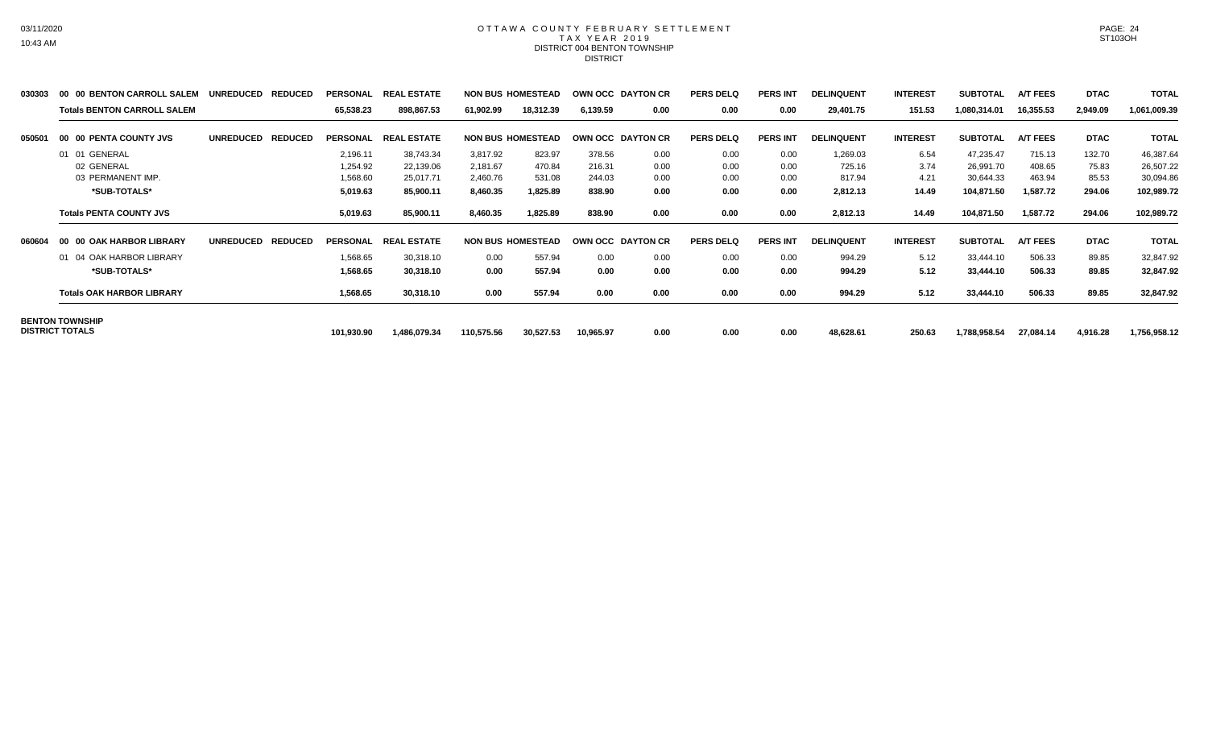### OTTAWA COUNTY FEBRUARY SETTLEMENT TAX YEAR 2019 DISTRICT 004 BENTON TOWNSHIP DISTRICT

| 030303 | 00 00 BENTON CARROLL SALEM         | <b>REDUCED</b><br><b>UNREDUCED</b> | <b>PERSONAL</b> | <b>REAL ESTATE</b> |            | <b>NON BUS HOMESTEAD</b> |           | OWN OCC DAYTON CR | <b>PERS DELQ</b> | <b>PERS INT</b> | <b>DELINQUENT</b> | <b>INTEREST</b> | <b>SUBTOTAL</b> | <b>A/T FEES</b> | <b>DTAC</b> | <b>TOTAL</b> |
|--------|------------------------------------|------------------------------------|-----------------|--------------------|------------|--------------------------|-----------|-------------------|------------------|-----------------|-------------------|-----------------|-----------------|-----------------|-------------|--------------|
|        | <b>Totals BENTON CARROLL SALEM</b> |                                    | 65,538.23       | 898,867.53         | 61,902.99  | 18,312.39                | 6,139.59  | 0.00              | 0.00             | 0.00            | 29,401.75         | 151.53          | 1,080,314.01    | 16,355.53       | 2,949.09    | 1,061,009.39 |
| 050501 | 00 00 PENTA COUNTY JVS             | <b>REDUCED</b><br><b>UNREDUCED</b> | <b>PERSONAL</b> | <b>REAL ESTATE</b> |            | <b>NON BUS HOMESTEAD</b> |           | OWN OCC DAYTON CR | <b>PERS DELQ</b> | <b>PERS INT</b> | <b>DELINQUENT</b> | <b>INTEREST</b> | <b>SUBTOTAL</b> | <b>A/T FEES</b> | <b>DTAC</b> | <b>TOTAL</b> |
|        | 01 01 GENERAL                      |                                    | 2,196.11        | 38,743.34          | 3,817.92   | 823.97                   | 378.56    | 0.00              | 0.00             | 0.00            | 1,269.03          | 6.54            | 47,235.47       | 715.13          | 132.70      | 46,387.64    |
|        | 02 GENERAL                         |                                    | 1,254.92        | 22,139.06          | 2,181.67   | 470.84                   | 216.31    | 0.00              | 0.00             | 0.00            | 725.16            | 3.74            | 26,991.70       | 408.65          | 75.83       | 26,507.22    |
|        | 03 PERMANENT IMP.                  |                                    | 1,568.60        | 25,017.71          | 2,460.76   | 531.08                   | 244.03    | 0.00              | 0.00             | 0.00            | 817.94            | 4.21            | 30,644.33       | 463.94          | 85.53       | 30,094.86    |
|        | *SUB-TOTALS*                       |                                    | 5,019.63        | 85,900.11          | 8,460.35   | 1,825.89                 | 838.90    | 0.00              | 0.00             | 0.00            | 2,812.13          | 14.49           | 104,871.50      | 1,587.72        | 294.06      | 102,989.72   |
|        | <b>Totals PENTA COUNTY JVS</b>     |                                    | 5,019.63        | 85,900.11          | 8,460.35   | 1,825.89                 | 838.90    | 0.00              | 0.00             | 0.00            | 2,812.13          | 14.49           | 104,871.50      | 1,587.72        | 294.06      | 102,989.72   |
| 060604 | 00 00 OAK HARBOR LIBRARY           | <b>UNREDUCED</b><br><b>REDUCED</b> | <b>PERSONAL</b> | <b>REAL ESTATE</b> |            | <b>NON BUS HOMESTEAD</b> |           | OWN OCC DAYTON CR | <b>PERS DELQ</b> | <b>PERS INT</b> | <b>DELINQUENT</b> | <b>INTEREST</b> | <b>SUBTOTAL</b> | <b>A/T FEES</b> | <b>DTAC</b> | <b>TOTAL</b> |
|        | 01 04 OAK HARBOR LIBRARY           |                                    | 1,568.65        | 30,318.10          | 0.00       | 557.94                   | 0.00      | 0.00              | 0.00             | 0.00            | 994.29            | 5.12            | 33,444.10       | 506.33          | 89.85       | 32,847.92    |
|        | *SUB-TOTALS*                       |                                    | 1,568.65        | 30,318.10          | 0.00       | 557.94                   | 0.00      | 0.00              | 0.00             | 0.00            | 994.29            | 5.12            | 33,444.10       | 506.33          | 89.85       | 32,847.92    |
|        | <b>Totals OAK HARBOR LIBRARY</b>   |                                    | 1,568.65        | 30,318.10          | 0.00       | 557.94                   | 0.00      | 0.00              | 0.00             | 0.00            | 994.29            | 5.12            | 33,444.10       | 506.33          | 89.85       | 32,847.92    |
|        | <b>BENTON TOWNSHIP</b>             |                                    |                 |                    |            |                          |           |                   |                  |                 |                   |                 |                 |                 |             |              |
|        | <b>DISTRICT TOTALS</b>             |                                    | 101,930.90      | 1,486,079.34       | 110,575.56 | 30,527.53                | 10,965.97 | 0.00              | 0.00             | 0.00            | 48,628.61         | 250.63          | 1,788,958.54    | 27,084.14       | 4,916.28    | 1,756,958.12 |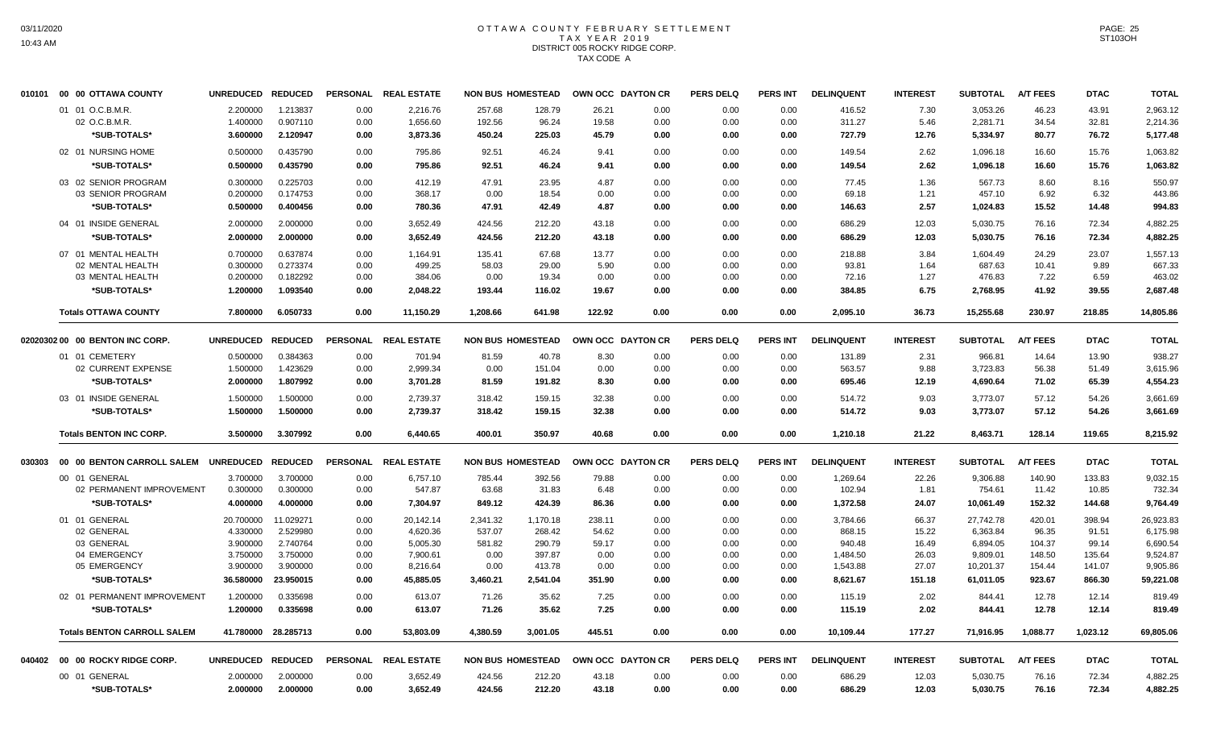#### OTTAWA COUNTY FEBRUARY SETTLEMENT T A X Y E A R 2 0 1 9 DISTRICT 005 ROCKY RIDGE CORP. TAX CODE A

| 010101 | 00 00 OTTAWA COUNTY                | UNREDUCED REDUCED |                     |          | PERSONAL REAL ESTATE | <b>NON BUS HOMESTEAD</b> |          |        | OWN OCC DAYTON CR | <b>PERS DELQ</b> | <b>PERS INT</b> | <b>DELINQUENT</b> | <b>INTEREST</b> | <b>SUBTOTAL</b> | <b>A/T FEES</b> | <b>DTAC</b> | <b>TOTAL</b> |
|--------|------------------------------------|-------------------|---------------------|----------|----------------------|--------------------------|----------|--------|-------------------|------------------|-----------------|-------------------|-----------------|-----------------|-----------------|-------------|--------------|
|        | 01 01 O.C.B.M.R.                   | 2.200000          | 1.213837            | 0.00     | 2,216.76             | 257.68                   | 128.79   | 26.21  | 0.00              | 0.00             | 0.00            | 416.52            | 7.30            | 3,053.26        | 46.23           | 43.91       | 2,963.12     |
|        | 02 O.C.B.M.R.                      | 1.400000          | 0.907110            | 0.00     | 1,656.60             | 192.56                   | 96.24    | 19.58  | 0.00              | 0.00             | 0.00            | 311.27            | 5.46            | 2,281.71        | 34.54           | 32.81       | 2,214.36     |
|        | *SUB-TOTALS*                       | 3.600000          | 2.120947            | 0.00     | 3,873.36             | 450.24                   | 225.03   | 45.79  | 0.00              | 0.00             | 0.00            | 727.79            | 12.76           | 5,334.97        | 80.77           | 76.72       | 5,177.48     |
|        | 02 01 NURSING HOME                 | 0.500000          | 0.435790            | 0.00     | 795.86               | 92.51                    | 46.24    | 9.41   | 0.00              | 0.00             | 0.00            | 149.54            | 2.62            | 1,096.18        | 16.60           | 15.76       | 1,063.82     |
|        | *SUB-TOTALS*                       | 0.500000          | 0.435790            | 0.00     | 795.86               | 92.51                    | 46.24    | 9.41   | 0.00              | 0.00             | 0.00            | 149.54            | 2.62            | 1.096.18        | 16.60           | 15.76       | 1,063.82     |
|        | 03 02 SENIOR PROGRAM               | 0.300000          | 0.225703            | 0.00     | 412.19               | 47.91                    | 23.95    | 4.87   | 0.00              | 0.00             | 0.00            | 77.45             | 1.36            | 567.73          | 8.60            | 8.16        | 550.97       |
|        | 03 SENIOR PROGRAM                  | 0.200000          | 0.174753            | 0.00     | 368.17               | 0.00                     | 18.54    | 0.00   | 0.00              | 0.00             | 0.00            | 69.18             | 1.21            | 457.10          | 6.92            | 6.32        | 443.86       |
|        | *SUB-TOTALS*                       | 0.500000          | 0.400456            | 0.00     | 780.36               | 47.91                    | 42.49    | 4.87   | 0.00              | 0.00             | 0.00            | 146.63            | 2.57            | 1,024.83        | 15.52           | 14.48       | 994.83       |
|        | 04 01 INSIDE GENERAL               | 2.000000          | 2.000000            | 0.00     | 3,652.49             | 424.56                   | 212.20   | 43.18  | 0.00              | 0.00             | 0.00            | 686.29            | 12.03           | 5,030.75        | 76.16           | 72.34       | 4,882.25     |
|        | *SUB-TOTALS*                       | 2.000000          | 2.000000            | 0.00     | 3,652.49             | 424.56                   | 212.20   | 43.18  | 0.00              | 0.00             | 0.00            | 686.29            | 12.03           | 5,030.75        | 76.16           | 72.34       | 4,882.25     |
|        | 07 01 MENTAL HEALTH                | 0.700000          | 0.637874            | 0.00     | 1,164.91             | 135.41                   | 67.68    | 13.77  | 0.00              | 0.00             | 0.00            | 218.88            | 3.84            | 1,604.49        | 24.29           | 23.07       | 1,557.13     |
|        | 02 MENTAL HEALTH                   | 0.300000          | 0.273374            | 0.00     | 499.25               | 58.03                    | 29.00    | 5.90   | 0.00              | 0.00             | 0.00            | 93.81             | 1.64            | 687.63          | 10.41           | 9.89        | 667.33       |
|        | 03 MENTAL HEALTH                   | 0.200000          | 0.182292            | 0.00     | 384.06               | 0.00                     | 19.34    | 0.00   | 0.00              | 0.00             | 0.00            | 72.16             | 1.27            | 476.83          | 7.22            | 6.59        | 463.02       |
|        | *SUB-TOTALS*                       | 1.200000          | 1.093540            | 0.00     | 2,048.22             | 193.44                   | 116.02   | 19.67  | 0.00              | 0.00             | 0.00            | 384.85            | 6.75            | 2,768.95        | 41.92           | 39.55       | 2,687.48     |
|        | <b>Totals OTTAWA COUNTY</b>        | 7.800000          | 6.050733            | 0.00     | 11,150.29            | 1,208.66                 | 641.98   | 122.92 | 0.00              | 0.00             | 0.00            | 2,095.10          | 36.73           | 15,255.68       | 230.97          | 218.85      | 14,805.86    |
|        | 02020302 00 00 BENTON INC CORP.    | <b>UNREDUCED</b>  | <b>REDUCED</b>      | PERSONAL | <b>REAL ESTATE</b>   | <b>NON BUS HOMESTEAD</b> |          |        | OWN OCC DAYTON CR | <b>PERS DELQ</b> | <b>PERS INT</b> | <b>DELINQUENT</b> | <b>INTEREST</b> | <b>SUBTOTAL</b> | <b>A/T FEES</b> | <b>DTAC</b> | <b>TOTAL</b> |
|        | 01 01 CEMETERY                     | 0.500000          | 0.384363            | 0.00     | 701.94               | 81.59                    | 40.78    | 8.30   | 0.00              | 0.00             | 0.00            | 131.89            | 2.31            | 966.81          | 14.64           | 13.90       | 938.27       |
|        | 02 CURRENT EXPENSE                 | 1.500000          | 1.423629            | 0.00     | 2,999.34             | 0.00                     | 151.04   | 0.00   | 0.00              | 0.00             | 0.00            | 563.57            | 9.88            | 3,723.83        | 56.38           | 51.49       | 3,615.96     |
|        | *SUB-TOTALS*                       | 2.000000          | 1.807992            | 0.00     | 3,701.28             | 81.59                    | 191.82   | 8.30   | 0.00              | 0.00             | 0.00            | 695.46            | 12.19           | 4,690.64        | 71.02           | 65.39       | 4,554.23     |
|        | 03 01 INSIDE GENERAL               | 1.500000          | 1.500000            | 0.00     | 2,739.37             | 318.42                   | 159.15   | 32.38  | 0.00              | 0.00             | 0.00            | 514.72            | 9.03            | 3,773.07        | 57.12           | 54.26       | 3,661.69     |
|        | *SUB-TOTALS*                       | 1.500000          | 1.500000            | 0.00     | 2,739.37             | 318.42                   | 159.15   | 32.38  | 0.00              | 0.00             | 0.00            | 514.72            | 9.03            | 3,773.07        | 57.12           | 54.26       | 3,661.69     |
|        | <b>Totals BENTON INC CORP.</b>     | 3.500000          | 3.307992            | 0.00     | 6,440.65             | 400.01                   | 350.97   | 40.68  | 0.00              | 0.00             | 0.00            | 1,210.18          | 21.22           | 8,463.71        | 128.14          | 119.65      | 8,215.92     |
| 030303 | 00 00 BENTON CARROLL SALEM         | <b>UNREDUCED</b>  | <b>REDUCED</b>      |          | PERSONAL REAL ESTATE | <b>NON BUS HOMESTEAD</b> |          |        | OWN OCC DAYTON CR | <b>PERS DELQ</b> | PERS INT        | <b>DELINQUENT</b> | <b>INTEREST</b> | <b>SUBTOTAL</b> | <b>A/T FEES</b> | <b>DTAC</b> | <b>TOTAL</b> |
|        | 00 01 GENERAL                      | 3.700000          | 3.700000            | 0.00     | 6,757.10             | 785.44                   | 392.56   | 79.88  | 0.00              | 0.00             | 0.00            | 1,269.64          | 22.26           | 9,306.88        | 140.90          | 133.83      | 9,032.15     |
|        | 02 PERMANENT IMPROVEMENT           | 0.300000          | 0.300000            | 0.00     | 547.87               | 63.68                    | 31.83    | 6.48   | 0.00              | 0.00             | 0.00            | 102.94            | 1.81            | 754.61          | 11.42           | 10.85       | 732.34       |
|        | *SUB-TOTALS*                       | 4.000000          | 4.000000            | 0.00     | 7,304.97             | 849.12                   | 424.39   | 86.36  | 0.00              | 0.00             | 0.00            | 1,372.58          | 24.07           | 10,061.49       | 152.32          | 144.68      | 9,764.49     |
|        | 01 01 GENERAL                      | 20.700000         | 11.029271           | 0.00     | 20,142.14            | 2,341.32                 | 1,170.18 | 238.11 | 0.00              | 0.00             | 0.00            | 3,784.66          | 66.37           | 27,742.78       | 420.01          | 398.94      | 26,923.83    |
|        | 02 GENERAL                         | 4.330000          | 2.529980            | 0.00     | 4,620.36             | 537.07                   | 268.42   | 54.62  | 0.00              | 0.00             | 0.00            | 868.15            | 15.22           | 6,363.84        | 96.35           | 91.51       | 6,175.98     |
|        | 03 GENERAL                         | 3.900000          | 2.740764            | 0.00     | 5,005.30             | 581.82                   | 290.79   | 59.17  | 0.00              | 0.00             | 0.00            | 940.48            | 16.49           | 6,894.05        | 104.37          | 99.14       | 6,690.54     |
|        | 04 EMERGENCY                       | 3.750000          | 3.750000            | 0.00     | 7,900.61             | 0.00                     | 397.87   | 0.00   | 0.00              | 0.00             | 0.00            | 1,484.50          | 26.03           | 9,809.01        | 148.50          | 135.64      | 9,524.87     |
|        | 05 EMERGENCY                       | 3.900000          | 3.900000            | 0.00     | 8,216.64             | 0.00                     | 413.78   | 0.00   | 0.00              | 0.00             | 0.00            | 1,543.88          | 27.07           | 10,201.37       | 154.44          | 141.07      | 9,905.86     |
|        | *SUB-TOTALS*                       | 36.580000         | 23.950015           | 0.00     | 45,885.05            | 3,460.21                 | 2,541.04 | 351.90 | 0.00              | 0.00             | 0.00            | 8,621.67          | 151.18          | 61,011.05       | 923.67          | 866.30      | 59,221.08    |
|        | 02 01 PERMANENT IMPROVEMENT        | 1.200000          | 0.335698            | 0.00     | 613.07               | 71.26                    | 35.62    | 7.25   | 0.00              | 0.00             | 0.00            | 115.19            | 2.02            | 844.41          | 12.78           | 12.14       | 819.49       |
|        | *SUB-TOTALS*                       | 1.200000          | 0.335698            | 0.00     | 613.07               | 71.26                    | 35.62    | 7.25   | 0.00              | 0.00             | 0.00            | 115.19            | 2.02            | 844.41          | 12.78           | 12.14       | 819.49       |
|        | <b>Totals BENTON CARROLL SALEM</b> |                   | 41.780000 28.285713 | 0.00     | 53,803.09            | 4,380.59                 | 3,001.05 | 445.51 | 0.00              | 0.00             | 0.00            | 10,109.44         | 177.27          | 71,916.95       | 1,088.77        | 1,023.12    | 69,805.06    |
| 040402 | 00 00 ROCKY RIDGE CORP.            | <b>UNREDUCED</b>  | <b>REDUCED</b>      |          | PERSONAL REAL ESTATE | <b>NON BUS HOMESTEAD</b> |          |        | OWN OCC DAYTON CR | <b>PERS DELQ</b> | <b>PERS INT</b> | <b>DELINQUENT</b> | <b>INTEREST</b> | <b>SUBTOTAL</b> | A/T FEES        | <b>DTAC</b> | <b>TOTAL</b> |
|        |                                    |                   |                     |          |                      |                          |          |        |                   |                  |                 |                   |                 |                 |                 |             |              |
|        | 00 01 GENERAL                      | 2.000000          | 2.000000            | 0.00     | 3,652.49             | 424.56                   | 212.20   | 43.18  | 0.00              | 0.00             | 0.00            | 686.29            | 12.03           | 5,030.75        | 76.16           | 72.34       | 4,882.25     |
|        | *SUB-TOTALS*                       | 2.000000          | 2.000000            | 0.00     | 3,652.49             | 424.56                   | 212.20   | 43.18  | 0.00              | 0.00             | 0.00            | 686.29            | 12.03           | 5,030.75        | 76.16           | 72.34       | 4,882.25     |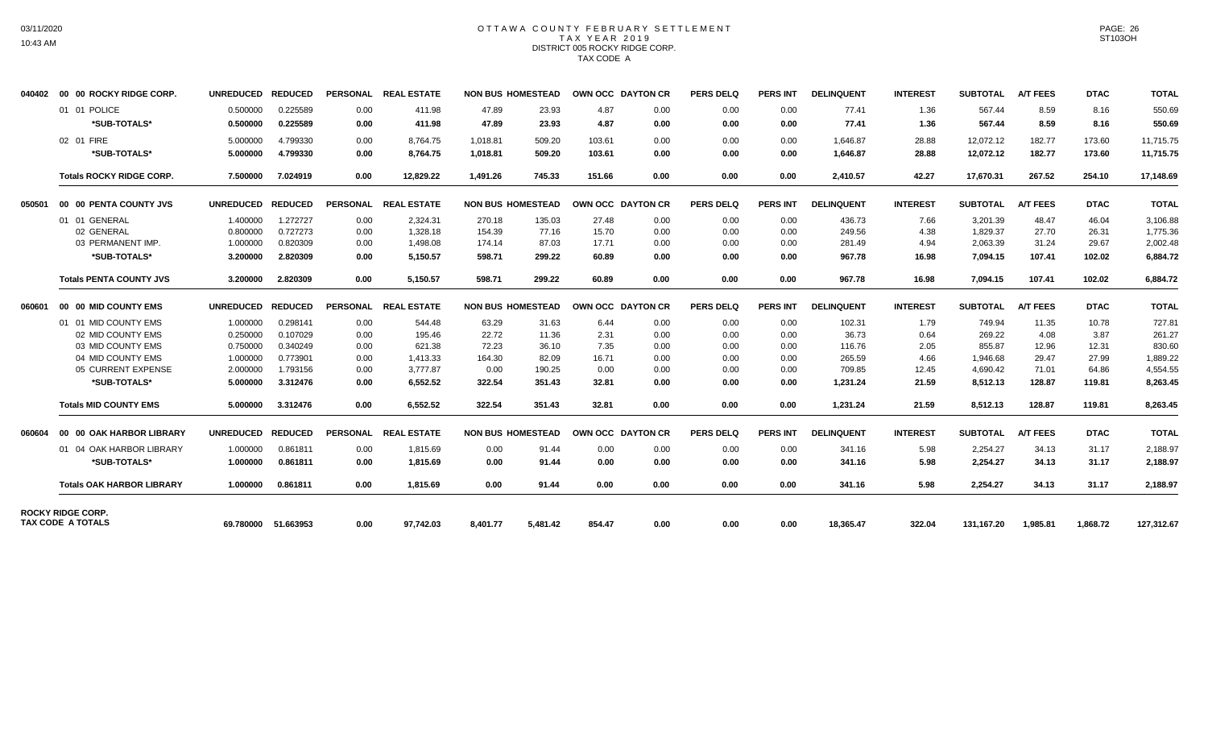# OTTAWA COUNTY FEBRUARY SETTLEMENT TAX YEAR 2019 DISTRICT 005 ROCKY RIDGE CORP. TAX CODE A

|                    |                                                                                                                                                                                                                                                                                                                                                                               |                |                                                                              |           |                                                                                              |        |                                                                                                              |      | <b>PERS DELQ</b>                                                                 | PERS INT        | <b>DELINQUENT</b> | <b>INTEREST</b> | <b>SUBTOTAL</b> | <b>A/T FEES</b> | <b>DTAC</b> | <b>TOTAL</b> |
|--------------------|-------------------------------------------------------------------------------------------------------------------------------------------------------------------------------------------------------------------------------------------------------------------------------------------------------------------------------------------------------------------------------|----------------|------------------------------------------------------------------------------|-----------|----------------------------------------------------------------------------------------------|--------|--------------------------------------------------------------------------------------------------------------|------|----------------------------------------------------------------------------------|-----------------|-------------------|-----------------|-----------------|-----------------|-------------|--------------|
|                    | 0.500000                                                                                                                                                                                                                                                                                                                                                                      | 0.225589       | 0.00                                                                         | 411.98    | 47.89                                                                                        | 23.93  | 4.87                                                                                                         | 0.00 | 0.00                                                                             | 0.00            | 77.41             | 1.36            | 567.44          | 8.59            | 8.16        | 550.69       |
| *SUB-TOTALS*       | 0.500000                                                                                                                                                                                                                                                                                                                                                                      | 0.225589       | 0.00                                                                         | 411.98    | 47.89                                                                                        | 23.93  | 4.87                                                                                                         | 0.00 | 0.00                                                                             | 0.00            | 77.41             | 1.36            | 567.44          | 8.59            | 8.16        | 550.69       |
|                    | 5.000000                                                                                                                                                                                                                                                                                                                                                                      | 4.799330       | 0.00                                                                         | 8,764.75  | 1,018.81                                                                                     | 509.20 | 103.61                                                                                                       | 0.00 | 0.00                                                                             | 0.00            | 1,646.87          | 28.88           | 12,072.12       | 182.77          | 173.60      | 11,715.75    |
| *SUB-TOTALS*       | 5.000000                                                                                                                                                                                                                                                                                                                                                                      | 4.799330       | 0.00                                                                         | 8,764.75  | 1,018.81                                                                                     | 509.20 | 103.61                                                                                                       | 0.00 | 0.00                                                                             | 0.00            | 1,646.87          | 28.88           | 12,072.12       | 182.77          | 173.60      | 11,715.75    |
|                    | 7.500000                                                                                                                                                                                                                                                                                                                                                                      | 7.024919       | 0.00                                                                         | 12.829.22 | 1.491.26                                                                                     | 745.33 | 151.66                                                                                                       | 0.00 | 0.00                                                                             | 0.00            | 2,410.57          | 42.27           | 17,670.31       | 267.52          | 254.10      | 17,148.69    |
|                    |                                                                                                                                                                                                                                                                                                                                                                               |                |                                                                              |           |                                                                                              |        |                                                                                                              |      | <b>PERS DELQ</b>                                                                 | <b>PERS INT</b> | <b>DELINQUENT</b> | <b>INTEREST</b> | <b>SUBTOTAL</b> | <b>A/T FEES</b> | <b>DTAC</b> | <b>TOTAL</b> |
|                    | 1.400000                                                                                                                                                                                                                                                                                                                                                                      | 1.272727       | 0.00                                                                         | 2,324.31  | 270.18                                                                                       | 135.03 | 27.48                                                                                                        | 0.00 | 0.00                                                                             | 0.00            | 436.73            | 7.66            | 3.201.39        | 48.47           | 46.04       | 3,106.88     |
| 02 GENERAL         | 0.800000                                                                                                                                                                                                                                                                                                                                                                      | 0.727273       | 0.00                                                                         | 1,328.18  | 154.39                                                                                       | 77.16  | 15.70                                                                                                        | 0.00 | 0.00                                                                             | 0.00            | 249.56            | 4.38            | 1,829.37        | 27.70           | 26.31       | 1,775.36     |
| 03 PERMANENT IMP.  | 1.000000                                                                                                                                                                                                                                                                                                                                                                      | 0.820309       | 0.00                                                                         | 1,498.08  | 174.14                                                                                       | 87.03  | 17.71                                                                                                        | 0.00 | 0.00                                                                             | 0.00            | 281.49            | 4.94            | 2,063.39        | 31.24           | 29.67       | 2.002.48     |
| *SUB-TOTALS*       | 3.200000                                                                                                                                                                                                                                                                                                                                                                      | 2.820309       | 0.00                                                                         | 5,150.57  | 598.71                                                                                       | 299.22 | 60.89                                                                                                        | 0.00 | 0.00                                                                             | 0.00            | 967.78            | 16.98           | 7,094.15        | 107.41          | 102.02      | 6,884.72     |
|                    | 3.200000                                                                                                                                                                                                                                                                                                                                                                      | 2.820309       | 0.00                                                                         | 5,150.57  | 598.71                                                                                       | 299.22 | 60.89                                                                                                        | 0.00 | 0.00                                                                             | 0.00            | 967.78            | 16.98           | 7,094.15        | 107.41          | 102.02      | 6.884.72     |
|                    | <b>UNREDUCED</b>                                                                                                                                                                                                                                                                                                                                                              | <b>REDUCED</b> |                                                                              |           |                                                                                              |        |                                                                                                              |      | <b>PERS DELQ</b>                                                                 | <b>PERS INT</b> | <b>DELINQUENT</b> | <b>INTEREST</b> | <b>SUBTOTAL</b> | <b>A/T FEES</b> | <b>DTAC</b> | <b>TOTAL</b> |
|                    | 1.000000                                                                                                                                                                                                                                                                                                                                                                      | 0.298141       | 0.00                                                                         | 544.48    | 63.29                                                                                        | 31.63  | 6.44                                                                                                         | 0.00 | 0.00                                                                             | 0.00            | 102.31            | 1.79            | 749.94          | 11.35           | 10.78       | 727.81       |
| 02 MID COUNTY EMS  | 0.250000                                                                                                                                                                                                                                                                                                                                                                      | 0.107029       | 0.00                                                                         | 195.46    | 22.72                                                                                        | 11.36  | 2.31                                                                                                         | 0.00 | 0.00                                                                             | 0.00            | 36.73             | 0.64            | 269.22          | 4.08            | 3.87        | 261.27       |
| 03 MID COUNTY EMS  | 0.750000                                                                                                                                                                                                                                                                                                                                                                      | 0.340249       | 0.00                                                                         | 621.38    | 72.23                                                                                        | 36.10  | 7.35                                                                                                         | 0.00 | 0.00                                                                             | 0.00            | 116.76            | 2.05            | 855.87          | 12.96           | 12.31       | 830.60       |
| 04 MID COUNTY EMS  | 1.000000                                                                                                                                                                                                                                                                                                                                                                      | 0.773901       | 0.00                                                                         | 1,413.33  | 164.30                                                                                       | 82.09  | 16.71                                                                                                        | 0.00 | 0.00                                                                             | 0.00            | 265.59            | 4.66            | 1,946.68        | 29.47           | 27.99       | 1,889.22     |
| 05 CURRENT EXPENSE | 2.000000                                                                                                                                                                                                                                                                                                                                                                      | 1.793156       | 0.00                                                                         | 3.777.87  | 0.00                                                                                         | 190.25 | 0.00                                                                                                         | 0.00 | 0.00                                                                             | 0.00            | 709.85            | 12.45           | 4,690.42        | 71.01           | 64.86       | 4,554.55     |
| *SUB-TOTALS*       | 5.000000                                                                                                                                                                                                                                                                                                                                                                      | 3.312476       | 0.00                                                                         | 6,552.52  | 322.54                                                                                       | 351.43 | 32.81                                                                                                        | 0.00 | 0.00                                                                             | 0.00            | 1,231.24          | 21.59           | 8,512.13        | 128.87          | 119.81      | 8,263.45     |
|                    | 5.000000                                                                                                                                                                                                                                                                                                                                                                      | 3.312476       | 0.00                                                                         | 6,552.52  | 322.54                                                                                       | 351.43 | 32.81                                                                                                        | 0.00 | 0.00                                                                             | 0.00            | 1,231.24          | 21.59           | 8,512.13        | 128.87          | 119.81      | 8,263.45     |
|                    |                                                                                                                                                                                                                                                                                                                                                                               |                |                                                                              |           |                                                                                              |        |                                                                                                              |      | <b>PERS DELQ</b>                                                                 | <b>PERS INT</b> | <b>DELINQUENT</b> | <b>INTEREST</b> | <b>SUBTOTAL</b> | <b>A/T FEES</b> | <b>DTAC</b> | <b>TOTAL</b> |
|                    | 1.000000                                                                                                                                                                                                                                                                                                                                                                      | 0.861811       | 0.00                                                                         | 1.815.69  | 0.00                                                                                         | 91.44  | 0.00                                                                                                         | 0.00 | 0.00                                                                             | 0.00            | 341.16            | 5.98            | 2,254.27        | 34.13           | 31.17       | 2,188.97     |
| *SUB-TOTALS*       | 1.000000                                                                                                                                                                                                                                                                                                                                                                      | 0.861811       | 0.00                                                                         | 1.815.69  | 0.00                                                                                         | 91.44  | 0.00                                                                                                         | 0.00 | 0.00                                                                             | 0.00            | 341.16            | 5.98            | 2.254.27        | 34.13           | 31.17       | 2,188.97     |
|                    | 1.000000                                                                                                                                                                                                                                                                                                                                                                      | 0.861811       | 0.00                                                                         | 1.815.69  | 0.00                                                                                         | 91.44  | 0.00                                                                                                         | 0.00 | 0.00                                                                             | 0.00            | 341.16            | 5.98            | 2.254.27        | 34.13           | 31.17       | 2,188.97     |
| TAX CODE A TOTALS  | 69.780000 51.663953                                                                                                                                                                                                                                                                                                                                                           |                | 0.00                                                                         | 97,742.03 | 8,401.77                                                                                     |        |                                                                                                              |      |                                                                                  |                 |                   |                 |                 |                 |             |              |
|                    | <b>00 00 ROCKY RIDGE CORP.</b><br>01 01 POLICE<br>02 01 FIRE<br><b>Totals ROCKY RIDGE CORP.</b><br>00 00 PENTA COUNTY JVS<br>01 01 GENERAL<br><b>Totals PENTA COUNTY JVS</b><br>00 00 MID COUNTY EMS<br>01 01 MID COUNTY EMS<br><b>Totals MID COUNTY EMS</b><br>00 00 OAK HARBOR LIBRARY<br>01 04 OAK HARBOR LIBRARY<br><b>Totals OAK HARBOR LIBRARY</b><br>ROCKY RIDGE CORP. |                | UNREDUCED REDUCED<br>UNREDUCED REDUCED<br><b>REDUCED</b><br><b>UNREDUCED</b> |           | PERSONAL REAL ESTATE<br>PERSONAL REAL ESTATE<br>PERSONAL REAL ESTATE<br>PERSONAL REAL ESTATE |        | <b>NON BUS HOMESTEAD</b><br><b>NON BUS HOMESTEAD</b><br><b>NON BUS HOMESTEAD</b><br><b>NON BUS HOMESTEAD</b> |      | OWN OCC DAYTON CR<br>OWN OCC DAYTON CR<br>OWN OCC DAYTON CR<br>OWN OCC DAYTON CR |                 |                   |                 |                 |                 |             |              |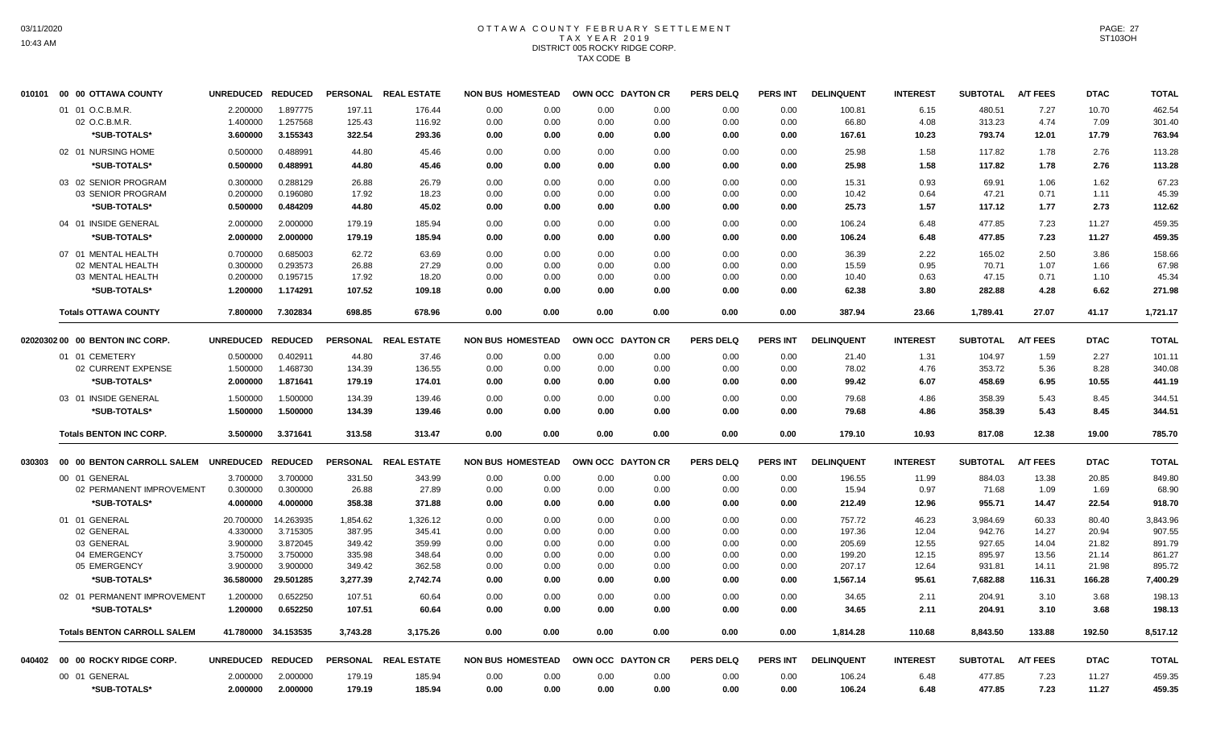# OTTAWA COUNTY FEBRUARY SETTLEMENT TAX YEAR 2019 DISTRICT 005 ROCKY RIDGE CORP. TAX CODE B

| 010101 | 00 00 OTTAWA COUNTY                     | UNREDUCED REDUCED    |                      |                 | PERSONAL REAL ESTATE | <b>NON BUS HOMESTEAD</b>     | OWN OCC DAYTON CR |              | <b>PERS DELQ</b> | PERS INT        | <b>DELINQUENT</b> | <b>INTEREST</b> | <b>SUBTOTAL</b> | <b>A/T FEES</b> | <b>DTAC</b>  | <b>TOTAL</b>    |
|--------|-----------------------------------------|----------------------|----------------------|-----------------|----------------------|------------------------------|-------------------|--------------|------------------|-----------------|-------------------|-----------------|-----------------|-----------------|--------------|-----------------|
|        | 01 01 O.C.B.M.R.                        | 2.200000             | 1.897775             | 197.11          | 176.44               | 0.00<br>0.00                 | 0.00              | 0.00         | 0.00             | 0.00            | 100.81            | 6.15            | 480.51          | 7.27            | 10.70        | 462.54          |
|        | 02 O.C.B.M.R.                           | 1.400000             | 1.257568             | 125.43          | 116.92               | 0.00<br>0.00                 | 0.00              | 0.00         | 0.00             | 0.00            | 66.80             | 4.08            | 313.23          | 4.74            | 7.09         | 301.40          |
|        | *SUB-TOTALS*                            | 3.600000             | 3.155343             | 322.54          | 293.36               | 0.00<br>0.00                 | 0.00              | 0.00         | 0.00             | 0.00            | 167.61            | 10.23           | 793.74          | 12.01           | 17.79        | 763.94          |
|        | 02 01 NURSING HOME                      | 0.500000             | 0.488991             | 44.80           | 45.46                | 0.00<br>0.00                 | 0.00              | 0.00         | 0.00             | 0.00            | 25.98             | 1.58            | 117.82          | 1.78            | 2.76         | 113.28          |
|        | *SUB-TOTALS*                            | 0.500000             | 0.488991             | 44.80           | 45.46                | 0.00<br>0.00                 | 0.00              | 0.00         | 0.00             | 0.00            | 25.98             | 1.58            | 117.82          | 1.78            | 2.76         | 113.28          |
|        | 03 02 SENIOR PROGRAM                    | 0.300000             | 0.288129             | 26.88           | 26.79                | 0.00<br>0.00                 | 0.00              | 0.00         | 0.00             | 0.00            | 15.31             | 0.93            | 69.91           | 1.06            | 1.62         | 67.23           |
|        | 03 SENIOR PROGRAM                       | 0.200000             | 0.196080             | 17.92           | 18.23                | 0.00<br>0.00                 | 0.00              | 0.00         | 0.00             | 0.00            | 10.42             | 0.64            | 47.21           | 0.71            | 1.11         | 45.39           |
|        | *SUB-TOTALS*                            | 0.500000             | 0.484209             | 44.80           | 45.02                | 0.00<br>0.00                 | 0.00              | 0.00         | 0.00             | 0.00            | 25.73             | 1.57            | 117.12          | 1.77            | 2.73         | 112.62          |
|        | 04 01 INSIDE GENERAL                    | 2.000000             | 2.000000             | 179.19          | 185.94               | 0.00<br>0.00                 | 0.00              | 0.00         | 0.00             | 0.00            | 106.24            | 6.48            | 477.85          | 7.23            | 11.27        | 459.35          |
|        | *SUB-TOTALS*                            | 2.000000             | 2.000000             | 179.19          | 185.94               | 0.00<br>0.00                 | 0.00              | 0.00         | 0.00             | 0.00            | 106.24            | 6.48            | 477.85          | 7.23            | 11.27        | 459.35          |
|        |                                         |                      |                      |                 |                      |                              |                   |              |                  |                 |                   |                 |                 |                 |              |                 |
|        | 07 01 MENTAL HEALTH<br>02 MENTAL HEALTH | 0.700000<br>0.300000 | 0.685003             | 62.72<br>26.88  | 63.69<br>27.29       | 0.00<br>0.00<br>0.00<br>0.00 | 0.00<br>0.00      | 0.00<br>0.00 | 0.00<br>0.00     | 0.00<br>0.00    | 36.39<br>15.59    | 2.22<br>0.95    | 165.02<br>70.71 | 2.50<br>1.07    | 3.86<br>1.66 | 158.66<br>67.98 |
|        | 03 MENTAL HEALTH                        | 0.200000             | 0.293573<br>0.195715 | 17.92           | 18.20                | 0.00<br>0.00                 | 0.00              | 0.00         | 0.00             | 0.00            | 10.40             | 0.63            | 47.15           | 0.71            | 1.10         | 45.34           |
|        | *SUB-TOTALS*                            | 1.200000             | 1.174291             | 107.52          |                      | 0.00<br>0.00                 | 0.00              | 0.00         | 0.00             | 0.00            | 62.38             | 3.80            | 282.88          | 4.28            | 6.62         | 271.98          |
|        |                                         |                      |                      |                 | 109.18               |                              |                   |              |                  |                 |                   |                 |                 |                 |              |                 |
|        | <b>Totals OTTAWA COUNTY</b>             | 7.800000             | 7.302834             | 698.85          | 678.96               | 0.00<br>0.00                 | 0.00              | 0.00         | 0.00             | 0.00            | 387.94            | 23.66           | 1,789.41        | 27.07           | 41.17        | 1,721.17        |
|        | 02020302 00 00 BENTON INC CORP.         | <b>UNREDUCED</b>     | <b>REDUCED</b>       | <b>PERSONAL</b> | <b>REAL ESTATE</b>   | <b>NON BUS HOMESTEAD</b>     | OWN OCC DAYTON CR |              | <b>PERS DELQ</b> | <b>PERS INT</b> | <b>DELINQUENT</b> | <b>INTEREST</b> | <b>SUBTOTAL</b> | <b>A/T FEES</b> | <b>DTAC</b>  | <b>TOTAL</b>    |
|        | 01 01 CEMETERY                          | 0.500000             | 0.402911             | 44.80           | 37.46                | 0.00<br>0.00                 | 0.00              | 0.00         | 0.00             | 0.00            | 21.40             | 1.31            | 104.97          | 1.59            | 2.27         | 101.11          |
|        | 02 CURRENT EXPENSE                      | 1.500000             | 1.468730             | 134.39          | 136.55               | 0.00<br>0.00                 | 0.00              | 0.00         | 0.00             | 0.00            | 78.02             | 4.76            | 353.72          | 5.36            | 8.28         | 340.08          |
|        | *SUB-TOTALS*                            | 2.000000             | 1.871641             | 179.19          | 174.01               | 0.00<br>0.00                 | 0.00              | 0.00         | 0.00             | 0.00            | 99.42             | 6.07            | 458.69          | 6.95            | 10.55        | 441.19          |
|        | 03 01 INSIDE GENERAL                    | 1.500000             | 1.500000             | 134.39          | 139.46               | 0.00<br>0.00                 | 0.00              | 0.00         | 0.00             | 0.00            | 79.68             | 4.86            | 358.39          | 5.43            | 8.45         | 344.51          |
|        | *SUB-TOTALS*                            | 1.500000             | 1.500000             | 134.39          | 139.46               | 0.00<br>0.00                 | 0.00              | 0.00         | 0.00             | 0.00            | 79.68             | 4.86            | 358.39          | 5.43            | 8.45         | 344.51          |
|        |                                         |                      |                      |                 |                      |                              |                   |              |                  |                 |                   |                 |                 |                 |              |                 |
|        | <b>Totals BENTON INC CORP.</b>          | 3.500000             | 3.371641             | 313.58          | 313.47               | 0.00<br>0.00                 | 0.00              | 0.00         | 0.00             | 0.00            | 179.10            | 10.93           | 817.08          | 12.38           | 19.00        | 785.70          |
| 030303 | 00 00 BENTON CARROLL SALEM              | UNREDUCED REDUCED    |                      |                 | PERSONAL REAL ESTATE | <b>NON BUS HOMESTEAD</b>     | OWN OCC DAYTON CR |              | <b>PERS DELQ</b> | PERS INT        | <b>DELINQUENT</b> | <b>INTEREST</b> | <b>SUBTOTAL</b> | <b>A/T FEES</b> | <b>DTAC</b>  | <b>TOTAL</b>    |
|        | 00 01 GENERAL                           | 3.700000             | 3.700000             | 331.50          | 343.99               | 0.00<br>0.00                 | 0.00              | 0.00         | 0.00             | 0.00            | 196.55            | 11.99           | 884.03          | 13.38           | 20.85        | 849.80          |
|        | 02 PERMANENT IMPROVEMENT                | 0.300000             | 0.300000             | 26.88           | 27.89                | 0.00<br>0.00                 | 0.00              | 0.00         | 0.00             | 0.00            | 15.94             | 0.97            | 71.68           | 1.09            | 1.69         | 68.90           |
|        | *SUB-TOTALS*                            | 4.000000             | 4.000000             | 358.38          | 371.88               | 0.00<br>0.00                 | 0.00              | 0.00         | 0.00             | 0.00            | 212.49            | 12.96           | 955.71          | 14.47           | 22.54        | 918.70          |
|        | 01 01 GENERAL                           | 20.700000            | 14.263935            | 1,854.62        | 1,326.12             | 0.00<br>0.00                 | 0.00              | 0.00         | 0.00             | 0.00            | 757.72            | 46.23           | 3,984.69        | 60.33           | 80.40        | 3,843.96        |
|        | 02 GENERAL                              | 4.330000             | 3.715305             | 387.95          | 345.41               | 0.00<br>0.00                 | 0.00              | 0.00         | 0.00             | 0.00            | 197.36            | 12.04           | 942.76          | 14.27           | 20.94        | 907.55          |
|        | 03 GENERAL                              | 3.900000             | 3.872045             | 349.42          | 359.99               | 0.00<br>0.00                 | 0.00              | 0.00         | 0.00             | 0.00            | 205.69            | 12.55           | 927.65          | 14.04           | 21.82        | 891.79          |
|        | 04 EMERGENCY                            | 3.750000             | 3.750000             | 335.98          | 348.64               | 0.00<br>0.00                 | 0.00              | 0.00         | 0.00             | 0.00            | 199.20            | 12.15           | 895.97          | 13.56           | 21.14        | 861.27          |
|        | 05 EMERGENCY                            | 3.900000             | 3.900000             | 349.42          | 362.58               | 0.00<br>0.00                 | 0.00              | 0.00         | 0.00             | 0.00            | 207.17            | 12.64           | 931.81          | 14.11           | 21.98        | 895.72          |
|        | *SUB-TOTALS*                            | 36.580000            | 29.501285            | 3,277.39        | 2,742.74             | 0.00<br>0.00                 | 0.00              | 0.00         | 0.00             | 0.00            | 1,567.14          | 95.61           | 7,682.88        | 116.31          | 166.28       | 7,400.29        |
|        | 02 01 PERMANENT IMPROVEMENT             | 1.200000             | 0.652250             | 107.51          | 60.64                | 0.00<br>0.00                 | 0.00              | 0.00         | 0.00             | 0.00            | 34.65             | 2.11            | 204.91          | 3.10            | 3.68         | 198.13          |
|        | *SUB-TOTALS*                            | 1.200000             | 0.652250             | 107.51          | 60.64                | 0.00<br>0.00                 | 0.00              | 0.00         | 0.00             | 0.00            | 34.65             | 2.11            | 204.91          | 3.10            | 3.68         | 198.13          |
|        | <b>Totals BENTON CARROLL SALEM</b>      |                      | 41.780000 34.153535  | 3,743.28        | 3,175.26             | 0.00<br>0.00                 | 0.00              | 0.00         | 0.00             | 0.00            | 1,814.28          | 110.68          | 8,843.50        | 133.88          | 192.50       | 8,517.12        |
|        | 040402 00 00 ROCKY RIDGE CORP.          | UNREDUCED REDUCED    |                      |                 | PERSONAL REAL ESTATE | <b>NON BUS HOMESTEAD</b>     | OWN OCC DAYTON CR |              | <b>PERS DELQ</b> | PERS INT        | <b>DELINQUENT</b> | <b>INTEREST</b> | <b>SUBTOTAL</b> | <b>A/T FEES</b> | <b>DTAC</b>  | <b>TOTAL</b>    |
|        | 00 01 GENERAL                           | 2.000000             | 2.000000             | 179.19          | 185.94               | 0.00<br>0.00                 | 0.00              | 0.00         | 0.00             | 0.00            | 106.24            | 6.48            | 477.85          | 7.23            | 11.27        | 459.35          |
|        | *SUB-TOTALS*                            | 2.000000             | 2.000000             | 179.19          | 185.94               | 0.00<br>0.00                 | 0.00              | 0.00         | 0.00             | 0.00            | 106.24            | 6.48            | 477.85          | 7.23            | 11.27        | 459.35          |
|        |                                         |                      |                      |                 |                      |                              |                   |              |                  |                 |                   |                 |                 |                 |              |                 |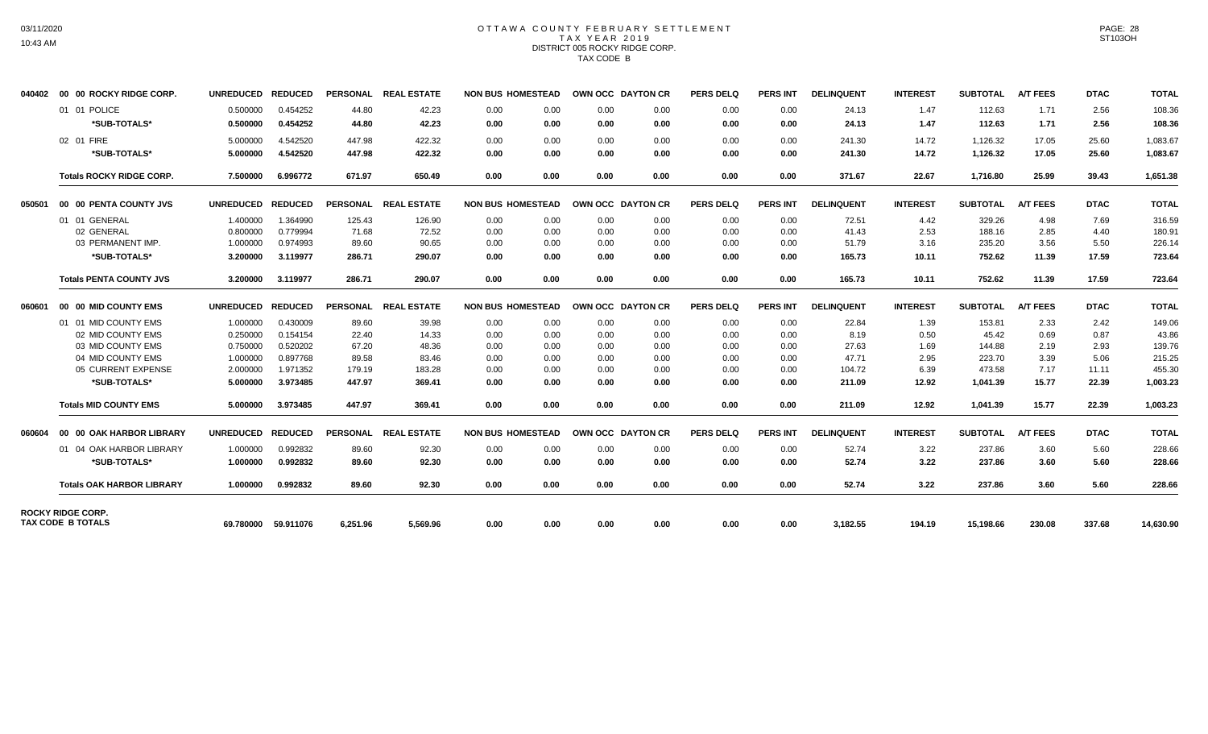# OTTAWA COUNTY FEBRUARY SETTLEMENT TAX YEAR 2019 DISTRICT 005 ROCKY RIDGE CORP. TAX CODE B

|                                  |                                                                                                                                                                                                                                                                                                                                                                       |                      |                                                                                                                  |                    |                                                                                     |                      |                                                                                                                                                                                                                                                                              |              | <b>PERS DELQ</b>                                                                 | <b>PERS INT</b> | <b>DELINQUENT</b> | <b>INTEREST</b>  | <b>SUBTOTAL</b> | <b>A/T FEES</b>      | <b>DTAC</b>                                                                                                  | <b>TOTAL</b>   |
|----------------------------------|-----------------------------------------------------------------------------------------------------------------------------------------------------------------------------------------------------------------------------------------------------------------------------------------------------------------------------------------------------------------------|----------------------|------------------------------------------------------------------------------------------------------------------|--------------------|-------------------------------------------------------------------------------------|----------------------|------------------------------------------------------------------------------------------------------------------------------------------------------------------------------------------------------------------------------------------------------------------------------|--------------|----------------------------------------------------------------------------------|-----------------|-------------------|------------------|-----------------|----------------------|--------------------------------------------------------------------------------------------------------------|----------------|
|                                  | 0.500000                                                                                                                                                                                                                                                                                                                                                              | 0.454252             | 44.80                                                                                                            | 42.23              | 0.00                                                                                |                      | 0.00                                                                                                                                                                                                                                                                         | 0.00         | 0.00                                                                             | 0.00            | 24.13             | 1.47             | 112.63          | 1.71                 | 2.56                                                                                                         | 108.36         |
| *SUB-TOTALS*                     | 0.500000                                                                                                                                                                                                                                                                                                                                                              | 0.454252             | 44.80                                                                                                            | 42.23              | 0.00                                                                                |                      | 0.00                                                                                                                                                                                                                                                                         | 0.00         | 0.00                                                                             | 0.00            | 24.13             | 1.47             | 112.63          | 1.71                 | 2.56                                                                                                         | 108.36         |
|                                  |                                                                                                                                                                                                                                                                                                                                                                       | 4.542520             | 447.98                                                                                                           |                    |                                                                                     |                      |                                                                                                                                                                                                                                                                              | 0.00         |                                                                                  |                 |                   | 14.72            |                 |                      |                                                                                                              | 1,083.67       |
| *SUB-TOTALS*                     |                                                                                                                                                                                                                                                                                                                                                                       |                      | 447.98                                                                                                           |                    |                                                                                     |                      |                                                                                                                                                                                                                                                                              | 0.00         |                                                                                  |                 |                   |                  |                 |                      |                                                                                                              | 1,083.67       |
|                                  |                                                                                                                                                                                                                                                                                                                                                                       |                      |                                                                                                                  |                    |                                                                                     |                      |                                                                                                                                                                                                                                                                              |              |                                                                                  |                 |                   |                  |                 |                      |                                                                                                              |                |
|                                  | 7.500000                                                                                                                                                                                                                                                                                                                                                              | 6.996772             | 671.97                                                                                                           | 650.49             |                                                                                     |                      | 0.00                                                                                                                                                                                                                                                                         | 0.00         | 0.00                                                                             | 0.00            | 371.67            | 22.67            | 1.716.80        |                      | 39.43                                                                                                        | 1,651.38       |
|                                  |                                                                                                                                                                                                                                                                                                                                                                       |                      |                                                                                                                  | <b>REAL ESTATE</b> |                                                                                     |                      |                                                                                                                                                                                                                                                                              |              | <b>PERS DELQ</b>                                                                 | <b>PERS INT</b> | <b>DELINQUENT</b> | <b>INTEREST</b>  | <b>SUBTOTAL</b> | <b>A/T FEES</b>      | <b>DTAC</b>                                                                                                  | <b>TOTAL</b>   |
|                                  | 1.400000                                                                                                                                                                                                                                                                                                                                                              | 1.364990             | 125.43                                                                                                           | 126.90             | 0.00                                                                                |                      | 0.00                                                                                                                                                                                                                                                                         | 0.00         | 0.00                                                                             | 0.00            | 72.51             | 4.42             | 329.26          | 4.98                 | 7.69                                                                                                         | 316.59         |
| 02 GENERAL                       | 0.800000                                                                                                                                                                                                                                                                                                                                                              | 0.779994             | 71.68                                                                                                            | 72.52              | 0.00                                                                                |                      | 0.00                                                                                                                                                                                                                                                                         | 0.00         | 0.00                                                                             | 0.00            | 41.43             | 2.53             | 188.16          | 2.85                 | 4.40                                                                                                         | 180.91         |
| 03 PERMANENT IMP.                | 1.000000                                                                                                                                                                                                                                                                                                                                                              | 0.974993             | 89.60                                                                                                            | 90.65              | 0.00                                                                                |                      | 0.00                                                                                                                                                                                                                                                                         | 0.00         | 0.00                                                                             | 0.00            | 51.79             | 3.16             | 235.20          | 3.56                 | 5.50                                                                                                         | 226.14         |
| *SUB-TOTALS*                     | 3.200000                                                                                                                                                                                                                                                                                                                                                              | 3.119977             | 286.71                                                                                                           | 290.07             | 0.00                                                                                |                      | 0.00                                                                                                                                                                                                                                                                         | 0.00         | 0.00                                                                             | 0.00            | 165.73            | 10.11            | 752.62          | 11.39                | 17.59                                                                                                        | 723.64         |
|                                  | 3.200000                                                                                                                                                                                                                                                                                                                                                              | 3.119977             | 286.71                                                                                                           | 290.07             | 0.00                                                                                |                      | 0.00                                                                                                                                                                                                                                                                         | 0.00         | 0.00                                                                             | 0.00            | 165.73            | 10.11            | 752.62          | 11.39                | 17.59                                                                                                        | 723.64         |
|                                  |                                                                                                                                                                                                                                                                                                                                                                       |                      |                                                                                                                  |                    |                                                                                     |                      |                                                                                                                                                                                                                                                                              |              | <b>PERS DELQ</b>                                                                 | <b>PERS INT</b> | <b>DELINQUENT</b> | <b>INTEREST</b>  | <b>SUBTOTAL</b> | <b>A/T FEES</b>      | <b>DTAC</b>                                                                                                  | <b>TOTAL</b>   |
|                                  | 1.000000                                                                                                                                                                                                                                                                                                                                                              | 0.430009             | 89.60                                                                                                            | 39.98              | 0.00                                                                                |                      | 0.00                                                                                                                                                                                                                                                                         | 0.00         | 0.00                                                                             | 0.00            | 22.84             | 1.39             | 153.81          | 2.33                 | 2.42                                                                                                         | 149.06         |
| 02 MID COUNTY EMS                | 0.250000                                                                                                                                                                                                                                                                                                                                                              | 0.154154             | 22.40                                                                                                            | 14.33              | 0.00                                                                                |                      | 0.00                                                                                                                                                                                                                                                                         | 0.00         | 0.00                                                                             | 0.00            | 8.19              | 0.50             | 45.42           | 0.69                 | 0.87                                                                                                         | 43.86          |
| 03 MID COUNTY EMS                | 0.750000                                                                                                                                                                                                                                                                                                                                                              | 0.520202             | 67.20                                                                                                            | 48.36              | 0.00                                                                                |                      | 0.00                                                                                                                                                                                                                                                                         | 0.00         | 0.00                                                                             | 0.00            | 27.63             | 1.69             | 144.88          | 2.19                 | 2.93                                                                                                         | 139.76         |
| 04 MID COUNTY EMS                | 1.000000                                                                                                                                                                                                                                                                                                                                                              | 0.897768             | 89.58                                                                                                            | 83.46              | 0.00                                                                                |                      | 0.00                                                                                                                                                                                                                                                                         | 0.00         | 0.00                                                                             | 0.00            | 47.71             | 2.95             | 223.70          | 3.39                 | 5.06                                                                                                         | 215.25         |
| 05 CURRENT EXPENSE               | 2.000000                                                                                                                                                                                                                                                                                                                                                              | 1.971352             | 179.19                                                                                                           | 183.28             | 0.00                                                                                |                      | 0.00                                                                                                                                                                                                                                                                         | 0.00         | 0.00                                                                             | 0.00            | 104.72            | 6.39             | 473.58          | 7.17                 | 11.11                                                                                                        | 455.30         |
| *SUB-TOTALS*                     | 5.000000                                                                                                                                                                                                                                                                                                                                                              | 3.973485             | 447.97                                                                                                           | 369.41             | 0.00                                                                                |                      | 0.00                                                                                                                                                                                                                                                                         | 0.00         | 0.00                                                                             | 0.00            | 211.09            | 12.92            | 1,041.39        | 15.77                | 22.39                                                                                                        | 1,003.23       |
|                                  | 5.000000                                                                                                                                                                                                                                                                                                                                                              | 3.973485             | 447.97                                                                                                           | 369.41             | 0.00                                                                                |                      | 0.00                                                                                                                                                                                                                                                                         | 0.00         | 0.00                                                                             | 0.00            | 211.09            | 12.92            | 1,041.39        | 15.77                | 22.39                                                                                                        | 1,003.23       |
|                                  | <b>UNREDUCED</b>                                                                                                                                                                                                                                                                                                                                                      |                      | <b>PERSONAL</b>                                                                                                  | <b>REAL ESTATE</b> |                                                                                     |                      |                                                                                                                                                                                                                                                                              |              | <b>PERS DELQ</b>                                                                 | <b>PERS INT</b> | <b>DELINQUENT</b> | <b>INTEREST</b>  | <b>SUBTOTAL</b> | <b>A/T FEES</b>      | <b>DTAC</b>                                                                                                  | <b>TOTAL</b>   |
|                                  | 1.000000                                                                                                                                                                                                                                                                                                                                                              | 0.992832             | 89.60                                                                                                            | 92.30              | 0.00                                                                                |                      | 0.00                                                                                                                                                                                                                                                                         | 0.00         | 0.00                                                                             | 0.00            | 52.74             | 3.22             | 237.86          | 3.60                 | 5.60                                                                                                         | 228.66         |
| *SUB-TOTALS*                     | 1.000000                                                                                                                                                                                                                                                                                                                                                              | 0.992832             | 89.60                                                                                                            | 92.30              | 0.00                                                                                |                      | 0.00                                                                                                                                                                                                                                                                         | 0.00         | 0.00                                                                             | 0.00            | 52.74             | 3.22             | 237.86          | 3.60                 | 5.60                                                                                                         | 228.66         |
| <b>Totals OAK HARBOR LIBRARY</b> | 1.000000                                                                                                                                                                                                                                                                                                                                                              | 0.992832             | 89.60                                                                                                            | 92.30              | 0.00                                                                                |                      | 0.00                                                                                                                                                                                                                                                                         | 0.00         | 0.00                                                                             | 0.00            | 52.74             | 3.22             | 237.86          | 3.60                 | 5.60                                                                                                         | 228.66         |
|                                  |                                                                                                                                                                                                                                                                                                                                                                       |                      | 6,251.96                                                                                                         | 5,569.96           | 0.00                                                                                |                      |                                                                                                                                                                                                                                                                              |              |                                                                                  |                 |                   |                  |                 |                      | 337.68                                                                                                       | 14,630.90      |
|                                  | 040402 00 00 ROCKY RIDGE CORP.<br>01 01 POLICE<br>02 01 FIRE<br><b>Totals ROCKY RIDGE CORP.</b><br>00 00 PENTA COUNTY JVS<br>01 01 GENERAL<br><b>Totals PENTA COUNTY JVS</b><br>00 00 MID COUNTY EMS<br>01 01 MID COUNTY EMS<br><b>Totals MID COUNTY EMS</b><br>00 00 OAK HARBOR LIBRARY<br>01 04 OAK HARBOR LIBRARY<br><b>ROCKY RIDGE CORP.</b><br>TAX CODE B TOTALS | 5.000000<br>5.000000 | UNREDUCED REDUCED<br>4.542520<br>UNREDUCED REDUCED<br>UNREDUCED REDUCED<br><b>REDUCED</b><br>69.780000 59.911076 |                    | PERSONAL REAL ESTATE<br>422.32<br>422.32<br><b>PERSONAL</b><br>PERSONAL REAL ESTATE | 0.00<br>0.00<br>0.00 | <b>NON BUS HOMESTEAD</b><br>0.00<br>0.00<br>0.00<br>0.00<br>0.00<br><b>NON BUS HOMESTEAD</b><br>0.00<br>0.00<br>0.00<br>0.00<br>0.00<br><b>NON BUS HOMESTEAD</b><br>0.00<br>0.00<br>0.00<br>0.00<br>0.00<br>0.00<br>0.00<br><b>NON BUS HOMESTEAD</b><br>0.00<br>0.00<br>0.00 | 0.00<br>0.00 | OWN OCC DAYTON CR<br>OWN OCC DAYTON CR<br>OWN OCC DAYTON CR<br>OWN OCC DAYTON CR | 0.00<br>0.00    | 0.00<br>0.00      | 241.30<br>241.30 | 14.72           | 1,126.32<br>1,126.32 | 17.05<br>17.05<br>25.99<br>0.00<br>0.00<br>0.00<br>0.00<br>0.00<br>3,182.55<br>194.19<br>15,198.66<br>230.08 | 25.60<br>25.60 |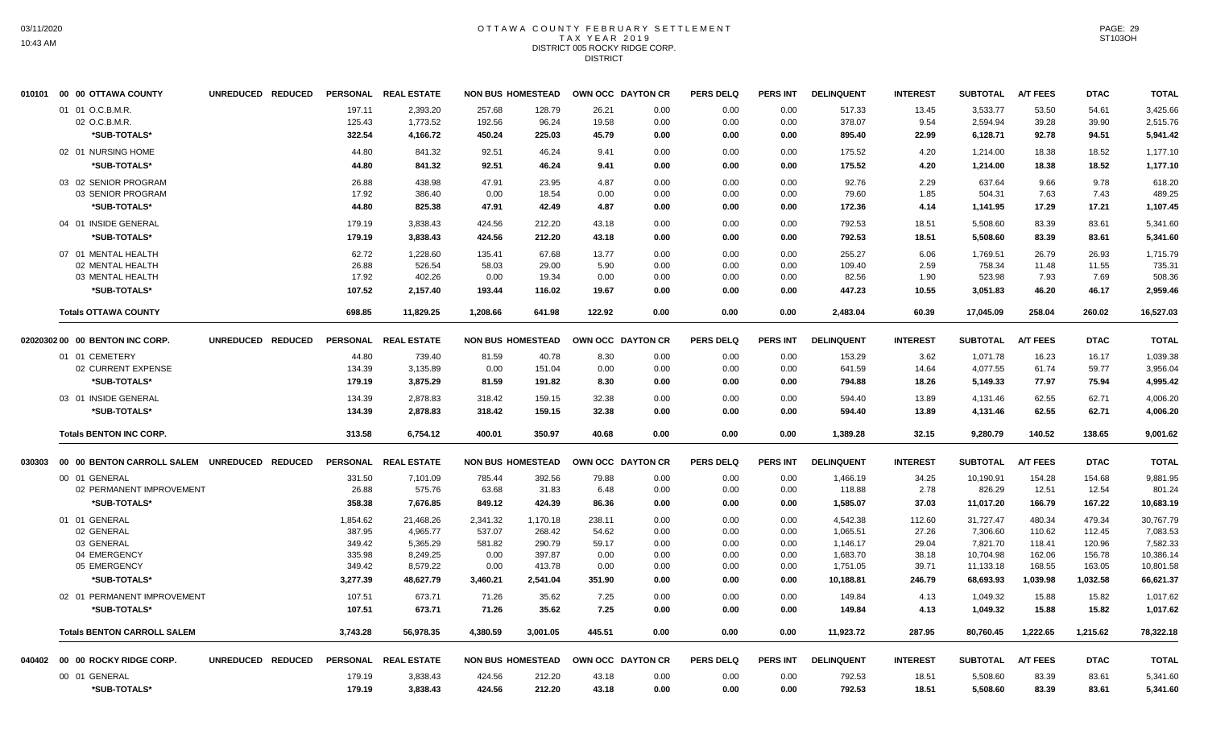#### OTTAWA COUNTY FEBRUARY SETTLEMENT T A X Y E A R 2 0 1 9 DISTRICT 005 ROCKY RIDGE CORP. **DISTRICT**

|        | 010101 00 00 OTTAWA COUNTY                   | UNREDUCED REDUCED |                  | PERSONAL REAL ESTATE | <b>NON BUS HOMESTEAD</b> |                  |                | OWN OCC DAYTON CR | <b>PERS DELQ</b> | <b>PERS INT</b> | <b>DELINQUENT</b> | <b>INTEREST</b> | <b>SUBTOTAL</b>      | <b>A/T FEES</b> | <b>DTAC</b>    | <b>TOTAL</b>         |
|--------|----------------------------------------------|-------------------|------------------|----------------------|--------------------------|------------------|----------------|-------------------|------------------|-----------------|-------------------|-----------------|----------------------|-----------------|----------------|----------------------|
|        | 01 01 O.C.B.M.R.                             |                   | 197.11           | 2,393.20             | 257.68                   | 128.79           | 26.21          | 0.00              | 0.00             | 0.00            | 517.33            | 13.45           | 3,533.77             | 53.50           | 54.61          | 3,425.66             |
|        | 02 O.C.B.M.R.                                |                   | 125.43           | 1,773.52             | 192.56                   | 96.24            | 19.58          | 0.00              | 0.00             | 0.00            | 378.07            | 9.54            | 2,594.94             | 39.28           | 39.90          | 2,515.76             |
|        | *SUB-TOTALS*                                 |                   | 322.54           | 4,166.72             | 450.24                   | 225.03           | 45.79          | 0.00              | 0.00             | 0.00            | 895.40            | 22.99           | 6,128.71             | 92.78           | 94.51          | 5,941.42             |
|        | 02 01 NURSING HOME                           |                   | 44.80            | 841.32               | 92.51                    | 46.24            | 9.41           | 0.00              | 0.00             | 0.00            | 175.52            | 4.20            | 1,214.00             | 18.38           | 18.52          | 1,177.10             |
|        | *SUB-TOTALS*                                 |                   | 44.80            | 841.32               | 92.51                    | 46.24            | 9.41           | 0.00              | 0.00             | 0.00            | 175.52            | 4.20            | 1,214.00             | 18.38           | 18.52          | 1,177.10             |
|        | 03 02 SENIOR PROGRAM                         |                   | 26.88            | 438.98               | 47.91                    | 23.95            | 4.87           | 0.00              | 0.00             | 0.00            | 92.76             | 2.29            | 637.64               | 9.66            | 9.78           | 618.20               |
|        | 03 SENIOR PROGRAM                            |                   | 17.92            | 386.40               | 0.00                     | 18.54            | 0.00           | 0.00              | 0.00             | 0.00            | 79.60             | 1.85            | 504.31               | 7.63            | 7.43           | 489.25               |
|        | *SUB-TOTALS*                                 |                   | 44.80            | 825.38               | 47.91                    | 42.49            | 4.87           | 0.00              | 0.00             | 0.00            | 172.36            | 4.14            | 1,141.95             | 17.29           | 17.21          | 1,107.45             |
|        | 04 01 INSIDE GENERAL                         |                   | 179.19           | 3,838.43             | 424.56                   | 212.20           | 43.18          | 0.00              | 0.00             | 0.00            | 792.53            | 18.51           | 5,508.60             | 83.39           | 83.61          | 5,341.60             |
|        | *SUB-TOTALS*                                 |                   | 179.19           | 3,838.43             | 424.56                   | 212.20           | 43.18          | 0.00              | 0.00             | 0.00            | 792.53            | 18.51           | 5,508.60             | 83.39           | 83.61          | 5,341.60             |
|        | 07 01 MENTAL HEALTH                          |                   | 62.72            | 1,228.60             | 135.41                   | 67.68            | 13.77          | 0.00              | 0.00             | 0.00            | 255.27            | 6.06            | 1,769.51             | 26.79           | 26.93          | 1,715.79             |
|        | 02 MENTAL HEALTH                             |                   | 26.88            | 526.54               | 58.03                    | 29.00            | 5.90           | 0.00              | 0.00             | 0.00            | 109.40            | 2.59            | 758.34               | 11.48           | 11.55          | 735.31               |
|        | 03 MENTAL HEALTH                             |                   | 17.92            | 402.26               | 0.00                     | 19.34            | 0.00           | 0.00              | 0.00             | 0.00            | 82.56             | 1.90            | 523.98               | 7.93            | 7.69           | 508.36               |
|        | *SUB-TOTALS*                                 |                   | 107.52           | 2,157.40             | 193.44                   | 116.02           | 19.67          | 0.00              | 0.00             | 0.00            | 447.23            | 10.55           | 3,051.83             | 46.20           | 46.17          | 2.959.46             |
|        | <b>Totals OTTAWA COUNTY</b>                  |                   | 698.85           | 11.829.25            | 1.208.66                 | 641.98           | 122.92         | 0.00              | 0.00             | 0.00            | 2.483.04          | 60.39           | 17,045.09            | 258.04          | 260.02         | 16,527.03            |
|        | 02020302 00 00 BENTON INC CORP.              | UNREDUCED REDUCED |                  | PERSONAL REAL ESTATE | <b>NON BUS HOMESTEAD</b> |                  |                | OWN OCC DAYTON CR | <b>PERS DELQ</b> | PERS INT        | <b>DELINQUENT</b> | <b>INTEREST</b> | <b>SUBTOTAL</b>      | <b>A/T FEES</b> | <b>DTAC</b>    | <b>TOTAL</b>         |
|        | 01 01 CEMETERY                               |                   | 44.80            | 739.40               | 81.59                    | 40.78            | 8.30           | 0.00              | 0.00             | 0.00            | 153.29            | 3.62            | 1,071.78             | 16.23           | 16.17          | 1,039.38             |
|        | 02 CURRENT EXPENSE                           |                   | 134.39           | 3,135.89             | 0.00                     | 151.04           | 0.00           | 0.00              | 0.00             | 0.00            | 641.59            | 14.64           | 4,077.55             | 61.74           | 59.77          | 3,956.04             |
|        | *SUB-TOTALS*                                 |                   | 179.19           | 3,875.29             | 81.59                    | 191.82           | 8.30           | 0.00              | 0.00             | 0.00            | 794.88            | 18.26           | 5,149.33             | 77.97           | 75.94          | 4,995.42             |
|        | 03 01 INSIDE GENERAL                         |                   | 134.39           | 2,878.83             | 318.42                   | 159.15           | 32.38          | 0.00              | 0.00             | 0.00            | 594.40            | 13.89           | 4,131.46             | 62.55           | 62.71          | 4,006.20             |
|        | *SUB-TOTALS*                                 |                   | 134.39           | 2,878.83             | 318.42                   | 159.15           | 32.38          | 0.00              | 0.00             | 0.00            | 594.40            | 13.89           | 4,131.46             | 62.55           | 62.71          | 4,006.20             |
|        | <b>Totals BENTON INC CORP.</b>               |                   | 313.58           | 6,754.12             | 400.01                   | 350.97           | 40.68          | 0.00              | 0.00             | 0.00            | 1,389.28          | 32.15           | 9,280.79             | 140.52          | 138.65         | 9,001.62             |
| 030303 | 00 00 BENTON CARROLL SALEM UNREDUCED REDUCED |                   |                  | PERSONAL REAL ESTATE | <b>NON BUS HOMESTEAD</b> |                  |                | OWN OCC DAYTON CR | <b>PERS DELQ</b> | <b>PERS INT</b> | <b>DELINQUENT</b> | <b>INTEREST</b> | <b>SUBTOTAL</b>      | <b>A/T FEES</b> | <b>DTAC</b>    | <b>TOTAL</b>         |
|        | 00 01 GENERAL                                |                   | 331.50           | 7,101.09             | 785.44                   | 392.56           | 79.88          | 0.00              | 0.00             | 0.00            | 1,466.19          | 34.25           | 10,190.91            | 154.28          | 154.68         | 9,881.95             |
|        | 02 PERMANENT IMPROVEMENT                     |                   | 26.88            | 575.76               | 63.68                    | 31.83            | 6.48           | 0.00              | 0.00             | 0.00            | 118.88            | 2.78            | 826.29               | 12.51           | 12.54          | 801.24               |
|        | *SUB-TOTALS*                                 |                   | 358.38           | 7,676.85             | 849.12                   | 424.39           | 86.36          | 0.00              | 0.00             | 0.00            | 1,585.07          | 37.03           | 11,017.20            | 166.79          | 167.22         | 10,683.19            |
|        | 01 01 GENERAL                                |                   | 1,854.62         | 21,468.26            | 2,341.32                 | 1,170.18         | 238.11         | 0.00              | 0.00             | 0.00            | 4,542.38          | 112.60          | 31,727.47            | 480.34          | 479.34         | 30,767.79            |
|        | 02 GENERAL                                   |                   | 387.95           | 4,965.77             | 537.07                   | 268.42           | 54.62          | 0.00              | 0.00             | 0.00            | 1,065.51          | 27.26           | 7,306.60             | 110.62          | 112.45         | 7,083.53             |
|        | 03 GENERAL                                   |                   | 349.42           | 5.365.29             | 581.82                   | 290.79           | 59.17          | 0.00              | 0.00             | 0.00            | 1.146.17          | 29.04           | 7.821.70             | 118.41          | 120.96         | 7.582.33             |
|        | 04 EMERGENCY                                 |                   | 335.98           | 8,249.25             | 0.00                     | 397.87           | 0.00           | 0.00              | 0.00             | 0.00            | 1,683.70          | 38.18           | 10,704.98            | 162.06          | 156.78         | 10,386.14            |
|        | 05 EMERGENCY                                 |                   | 349.42           | 8,579.22             | 0.00                     | 413.78           | 0.00           | 0.00              | 0.00             | 0.00            | 1,751.05          | 39.71           | 11,133.18            | 168.55          | 163.05         | 10,801.58            |
|        | *SUB-TOTALS*                                 |                   | 3,277.39         | 48,627.79            | 3,460.21                 | 2,541.04         | 351.90         | 0.00              | 0.00             | 0.00            | 10,188.81         | 246.79          | 68,693.93            | 1,039.98        | 1,032.58       | 66,621.37            |
|        | 02 01 PERMANENT IMPROVEMENT                  |                   | 107.51           | 673.71               | 71.26                    | 35.62            | 7.25           | 0.00              | 0.00             | 0.00            | 149.84            | 4.13            | 1,049.32             | 15.88           | 15.82          | 1.017.62             |
|        | *SUB-TOTALS*                                 |                   | 107.51           | 673.71               | 71.26                    | 35.62            | 7.25           | 0.00              | 0.00             | 0.00            | 149.84            | 4.13            | 1,049.32             | 15.88           | 15.82          | 1,017.62             |
|        | <b>Totals BENTON CARROLL SALEM</b>           |                   | 3,743.28         | 56,978.35            | 4.380.59                 | 3.001.05         | 445.51         | 0.00              | 0.00             | 0.00            | 11,923.72         | 287.95          | 80,760.45            | 1,222.65        | 1,215.62       | 78,322.18            |
| 040402 | 00 00 ROCKY RIDGE CORP.                      | UNREDUCED REDUCED |                  | PERSONAL REAL ESTATE | <b>NON BUS HOMESTEAD</b> |                  |                | OWN OCC DAYTON CR | <b>PERS DELQ</b> | <b>PERS INT</b> | <b>DELINQUENT</b> | <b>INTEREST</b> | <b>SUBTOTAL</b>      | <b>A/T FEES</b> | <b>DTAC</b>    | <b>TOTAL</b>         |
|        |                                              |                   |                  |                      |                          |                  |                |                   |                  |                 |                   |                 |                      |                 |                |                      |
|        |                                              |                   |                  |                      |                          |                  |                |                   |                  |                 |                   |                 |                      |                 |                |                      |
|        | 00 01 GENERAL<br>*SUB-TOTALS*                |                   | 179.19<br>179.19 | 3,838.43<br>3,838.43 | 424.56<br>424.56         | 212.20<br>212.20 | 43.18<br>43.18 | 0.00<br>0.00      | 0.00<br>0.00     | 0.00<br>0.00    | 792.53<br>792.53  | 18.51<br>18.51  | 5,508.60<br>5,508.60 | 83.39<br>83.39  | 83.61<br>83.61 | 5,341.60<br>5,341.60 |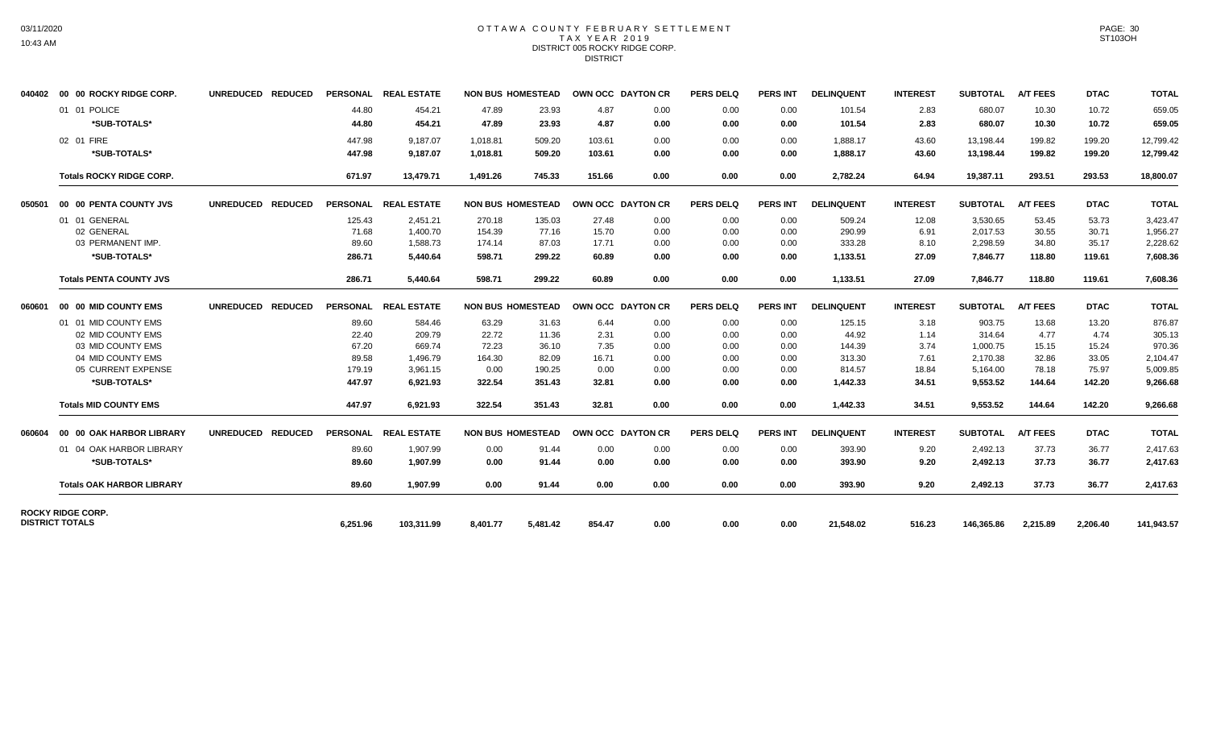# OTTAWA COUNTY FEBRUARY SETTLEMENT TAX YEAR 2019 DISTRICT 005 ROCKY RIDGE CORP. **DISTRICT**

|        | 040402     00   00  ROCKY RIDGE CORP.       | UNREDUCED REDUCED |          | PERSONAL REAL ESTATE | <b>NON BUS HOMESTEAD</b> |        | OWN OCC DAYTON CR |      | <b>PERS DELQ</b> | PERS INT        | <b>DELINQUENT</b> | <b>INTEREST</b> | <b>SUBTOTAL</b> | <b>A/T FEES</b> | <b>DTAC</b> | <b>TOTAL</b> |
|--------|---------------------------------------------|-------------------|----------|----------------------|--------------------------|--------|-------------------|------|------------------|-----------------|-------------------|-----------------|-----------------|-----------------|-------------|--------------|
|        | 01 01 POLICE                                |                   | 44.80    | 454.21               | 47.89                    | 23.93  | 4.87              | 0.00 | 0.00             | 0.00            | 101.54            | 2.83            | 680.07          | 10.30           | 10.72       | 659.05       |
|        | *SUB-TOTALS*                                |                   | 44.80    | 454.21               | 47.89                    | 23.93  | 4.87              | 0.00 | 0.00             | 0.00            | 101.54            | 2.83            | 680.07          | 10.30           | 10.72       | 659.05       |
|        | 02 01 FIRE                                  |                   | 447.98   | 9,187.07             | 1,018.81                 | 509.20 | 103.61            | 0.00 | 0.00             | 0.00            | 1,888.17          | 43.60           | 13,198.44       | 199.82          | 199.20      | 12,799.42    |
|        | *SUB-TOTALS*                                |                   | 447.98   | 9,187.07             | 1,018.81                 | 509.20 | 103.61            | 0.00 | 0.00             | 0.00            | 1,888.17          | 43.60           | 13,198.44       | 199.82          | 199.20      | 12,799.42    |
|        | <b>Totals ROCKY RIDGE CORP.</b>             |                   | 671.97   | 13,479.71            | 1.491.26                 | 745.33 | 151.66            | 0.00 | 0.00             | 0.00            | 2,782.24          | 64.94           | 19,387.11       | 293.51          | 293.53      | 18,800.07    |
| 050501 | 00 00 PENTA COUNTY JVS                      | UNREDUCED REDUCED |          | PERSONAL REAL ESTATE | <b>NON BUS HOMESTEAD</b> |        | OWN OCC DAYTON CR |      | <b>PERS DELQ</b> | <b>PERS INT</b> | <b>DELINQUENT</b> | <b>INTEREST</b> | <b>SUBTOTAL</b> | <b>A/T FEES</b> | <b>DTAC</b> | <b>TOTAL</b> |
|        | 01 01 GENERAL                               |                   | 125.43   | 2.451.21             | 270.18                   | 135.03 | 27.48             | 0.00 | 0.00             | 0.00            | 509.24            | 12.08           | 3,530.65        | 53.45           | 53.73       | 3,423.47     |
|        | 02 GENERAL                                  |                   | 71.68    | 1,400.70             | 154.39                   | 77.16  | 15.70             | 0.00 | 0.00             | 0.00            | 290.99            | 6.91            | 2.017.53        | 30.55           | 30.71       | 1,956.27     |
|        | 03 PERMANENT IMP.                           |                   | 89.60    | 1.588.73             | 174.14                   | 87.03  | 17.71             | 0.00 | 0.00             | 0.00            | 333.28            | 8.10            | 2,298.59        | 34.80           | 35.17       | 2,228.62     |
|        | *SUB-TOTALS*                                |                   | 286.71   | 5.440.64             | 598.71                   | 299.22 | 60.89             | 0.00 | 0.00             | 0.00            | 1,133.51          | 27.09           | 7.846.77        | 118.80          | 119.61      | 7,608.36     |
|        | <b>Totals PENTA COUNTY JVS</b>              |                   | 286.71   | 5,440.64             | 598.71                   | 299.22 | 60.89             | 0.00 | 0.00             | 0.00            | 1,133.51          | 27.09           | 7,846.77        | 118.80          | 119.61      | 7,608.36     |
| 060601 | 00 00 MID COUNTY EMS                        | UNREDUCED REDUCED |          | PERSONAL REAL ESTATE | <b>NON BUS HOMESTEAD</b> |        | OWN OCC DAYTON CR |      | <b>PERS DELQ</b> | <b>PERS INT</b> | <b>DELINQUENT</b> | <b>INTEREST</b> | <b>SUBTOTAL</b> | <b>A/T FEES</b> | <b>DTAC</b> | <b>TOTAL</b> |
|        | 01 01 MID COUNTY EMS                        |                   | 89.60    | 584.46               | 63.29                    | 31.63  | 6.44              | 0.00 | 0.00             | 0.00            | 125.15            | 3.18            | 903.75          | 13.68           | 13.20       | 876.87       |
|        | 02 MID COUNTY EMS                           |                   | 22.40    | 209.79               | 22.72                    | 11.36  | 2.31              | 0.00 | 0.00             | 0.00            | 44.92             | 1.14            | 314.64          | 4.77            | 4.74        | 305.13       |
|        | 03 MID COUNTY EMS                           |                   | 67.20    | 669.74               | 72.23                    | 36.10  | 7.35              | 0.00 | 0.00             | 0.00            | 144.39            | 3.74            | 1,000.75        | 15.15           | 15.24       | 970.36       |
|        | 04 MID COUNTY EMS                           |                   | 89.58    | 1,496.79             | 164.30                   | 82.09  | 16.71             | 0.00 | 0.00             | 0.00            | 313.30            | 7.61            | 2,170.38        | 32.86           | 33.05       | 2,104.47     |
|        | 05 CURRENT EXPENSE                          |                   | 179.19   | 3,961.15             | 0.00                     | 190.25 | 0.00              | 0.00 | 0.00             | 0.00            | 814.57            | 18.84           | 5,164.00        | 78.18           | 75.97       | 5,009.85     |
|        | *SUB-TOTALS*                                |                   | 447.97   | 6.921.93             | 322.54                   | 351.43 | 32.81             | 0.00 | 0.00             | 0.00            | 1,442.33          | 34.51           | 9,553.52        | 144.64          | 142.20      | 9,266.68     |
|        | <b>Totals MID COUNTY EMS</b>                |                   | 447.97   | 6,921.93             | 322.54                   | 351.43 | 32.81             | 0.00 | 0.00             | 0.00            | 1,442.33          | 34.51           | 9,553.52        | 144.64          | 142.20      | 9,266.68     |
| 060604 | 00 00 OAK HARBOR LIBRARY                    | UNREDUCED REDUCED |          | PERSONAL REAL ESTATE | <b>NON BUS HOMESTEAD</b> |        | OWN OCC DAYTON CR |      | <b>PERS DELQ</b> | <b>PERS INT</b> | <b>DELINQUENT</b> | <b>INTEREST</b> | <b>SUBTOTAL</b> | <b>A/T FEES</b> | <b>DTAC</b> | <b>TOTAL</b> |
|        | 01 04 OAK HARBOR LIBRARY                    |                   | 89.60    | 1,907.99             | 0.00                     | 91.44  | 0.00              | 0.00 | 0.00             | 0.00            | 393.90            | 9.20            | 2,492.13        | 37.73           | 36.77       | 2,417.63     |
|        | *SUB-TOTALS*                                |                   | 89.60    | 1.907.99             | 0.00                     | 91.44  | 0.00              | 0.00 | 0.00             | 0.00            | 393.90            | 9.20            | 2,492.13        | 37.73           | 36.77       | 2,417.63     |
|        | <b>Totals OAK HARBOR LIBRARY</b>            |                   | 89.60    | 1.907.99             | 0.00                     | 91.44  | 0.00              | 0.00 | 0.00             | 0.00            | 393.90            | 9.20            | 2.492.13        | 37.73           | 36.77       | 2,417.63     |
|        | ROCKY RIDGE CORP.<br><b>DISTRICT TOTALS</b> |                   | 6,251.96 | 103,311.99           |                          |        |                   |      |                  |                 |                   |                 |                 |                 |             |              |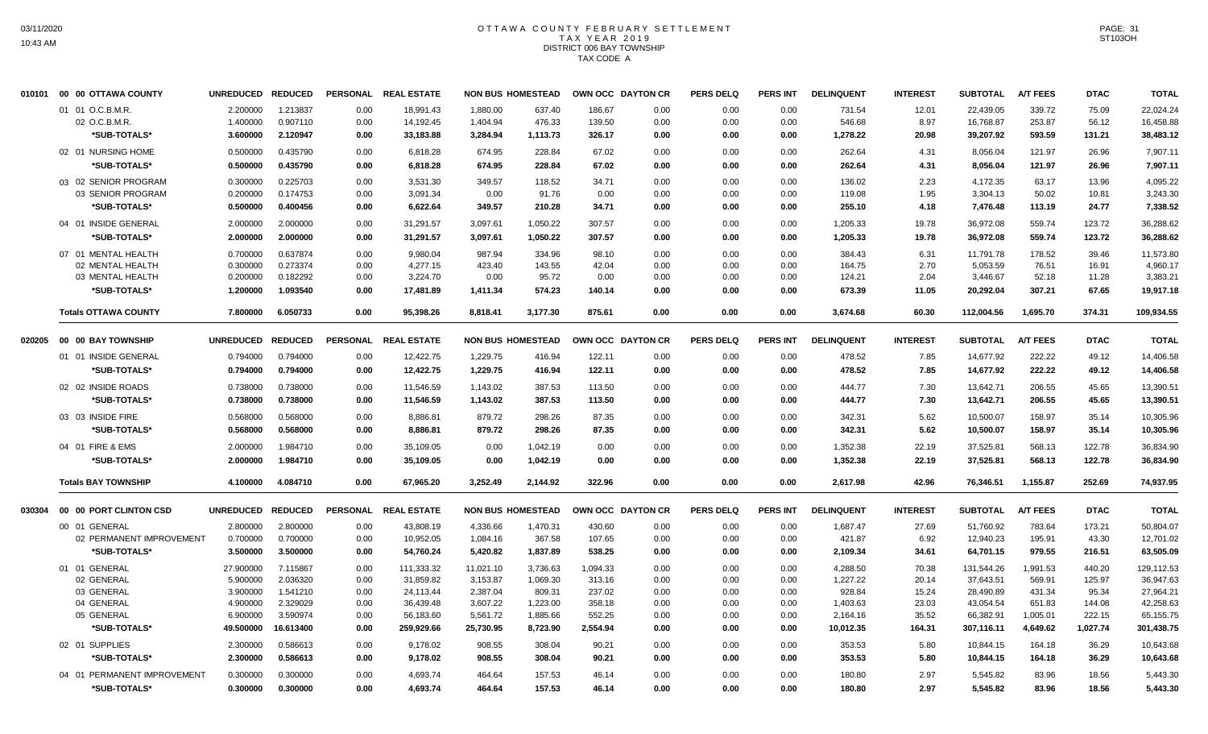# OTTAWA COUNTY FEBRUARY SETTLEMENT TAX YEAR 2019 DISTRICT 006 BAY TOWNSHIP TAX CODE A

|        | 010101 00 00 OTTAWA COUNTY        | UNREDUCED REDUCED    |                      |                 | PERSONAL REAL ESTATE   |                      | <b>NON BUS HOMESTEAD</b> | OWN OCC DAYTON CR |              | <b>PERS DELQ</b> | <b>PERS INT</b> | <b>DELINQUENT</b> | <b>INTEREST</b> | <b>SUBTOTAL</b>        | <b>A/T FEES</b>  | <b>DTAC</b>    | <b>TOTAL</b>           |
|--------|-----------------------------------|----------------------|----------------------|-----------------|------------------------|----------------------|--------------------------|-------------------|--------------|------------------|-----------------|-------------------|-----------------|------------------------|------------------|----------------|------------------------|
|        | 01 01 O.C.B.M.R.<br>02 O.C.B.M.R. | 2.200000<br>1.400000 | 1.213837<br>0.907110 | 0.00<br>0.00    | 18,991.43<br>14,192.45 | 1,880.00<br>1.404.94 | 637.40<br>476.33         | 186.67<br>139.50  | 0.00<br>0.00 | 0.00<br>0.00     | 0.00<br>0.00    | 731.54<br>546.68  | 12.01<br>8.97   | 22,439.05<br>16,768.87 | 339.72<br>253.87 | 75.09<br>56.12 | 22,024.24<br>16,458.88 |
|        | *SUB-TOTALS*                      | 3.600000             | 2.120947             | 0.00            | 33,183.88              | 3,284.94             | 1,113.73                 | 326.17            | 0.00         | 0.00             | 0.00            | 1,278.22          | 20.98           | 39,207.92              | 593.59           | 131.21         | 38,483.12              |
|        | 02 01 NURSING HOME                | 0.500000             | 0.435790             | 0.00            | 6,818.28               | 674.95               | 228.84                   | 67.02             | 0.00         | 0.00             | 0.00            | 262.64            | 4.31            | 8,056.04               | 121.97           | 26.96          | 7.907.11               |
|        | *SUB-TOTALS*                      | 0.500000             | 0.435790             | 0.00            | 6,818.28               | 674.95               | 228.84                   | 67.02             | 0.00         | 0.00             | 0.00            | 262.64            | 4.31            | 8,056.04               | 121.97           | 26.96          | 7,907.11               |
|        | 03 02 SENIOR PROGRAM              | 0.300000             | 0.225703             | 0.00            | 3,531.30               | 349.57               | 118.52                   | 34.71             | 0.00         | 0.00             | 0.00            | 136.02            | 2.23            | 4,172.35               | 63.17            | 13.96          | 4.095.22               |
|        | 03 SENIOR PROGRAM                 | 0.200000             | 0.174753             | 0.00            | 3,091.34               | 0.00                 | 91.76                    | 0.00              | 0.00         | 0.00             | 0.00            | 119.08            | 1.95            | 3,304.13               | 50.02            | 10.81          | 3,243.30               |
|        | *SUB-TOTALS*                      | 0.500000             | 0.400456             | 0.00            | 6,622.64               | 349.57               | 210.28                   | 34.71             | 0.00         | 0.00             | 0.00            | 255.10            | 4.18            | 7,476.48               | 113.19           | 24.77          | 7,338.52               |
|        | 04 01 INSIDE GENERAL              | 2.000000             | 2.000000             | 0.00            | 31.291.57              | 3.097.61             | 1.050.22                 | 307.57            | 0.00         | 0.00             | 0.00            | 1.205.33          | 19.78           | 36.972.08              | 559.74           | 123.72         | 36,288.62              |
|        | *SUB-TOTALS*                      | 2.000000             | 2.000000             | 0.00            | 31,291.57              | 3,097.61             | 1,050.22                 | 307.57            | 0.00         | 0.00             | 0.00            | 1,205.33          | 19.78           | 36,972.08              | 559.74           | 123.72         | 36,288.62              |
|        | 07 01 MENTAL HEALTH               | 0.700000             | 0.637874             | 0.00            | 9,980.04               | 987.94               | 334.96                   | 98.10             | 0.00         | 0.00             | 0.00            | 384.43            | 6.31            | 11,791.78              | 178.52           | 39.46          | 11,573.80              |
|        | 02 MENTAL HEALTH                  | 0.300000             | 0.273374             | 0.00            | 4,277.15               | 423.40               | 143.55                   | 42.04             | 0.00         | 0.00             | 0.00            | 164.75            | 2.70            | 5,053.59               | 76.51            | 16.91          | 4,960.17               |
|        | 03 MENTAL HEALTH                  | 0.200000             | 0.182292             | 0.00            | 3,224.70               | 0.00                 | 95.72                    | 0.00              | 0.00         | 0.00             | 0.00            | 124.21            | 2.04            | 3,446.67               | 52.18            | 11.28          | 3,383.21               |
|        | *SUB-TOTALS*                      | 1.200000             | 1.093540             | 0.00            | 17,481.89              | 1,411.34             | 574.23                   | 140.14            | 0.00         | 0.00             | 0.00            | 673.39            | 11.05           | 20,292.04              | 307.21           | 67.65          | 19,917.18              |
|        | <b>Totals OTTAWA COUNTY</b>       | 7.800000             | 6.050733             | 0.00            | 95,398.26              | 8,818.41             | 3,177.30                 | 875.61            | 0.00         | 0.00             | 0.00            | 3,674.68          | 60.30           | 112,004.56             | 1,695.70         | 374.31         | 109,934.55             |
| 020205 | <b>00 00 BAY TOWNSHIP</b>         | <b>UNREDUCED</b>     | <b>REDUCED</b>       | <b>PERSONAL</b> | <b>REAL ESTATE</b>     |                      | <b>NON BUS HOMESTEAD</b> | OWN OCC DAYTON CR |              | <b>PERS DELQ</b> | <b>PERS INT</b> | <b>DELINQUENT</b> | <b>INTEREST</b> | <b>SUBTOTAL</b>        | <b>A/T FEES</b>  | <b>DTAC</b>    | <b>TOTAL</b>           |
|        | 01 01 INSIDE GENERAL              | 0.794000             | 0.794000             |                 |                        | 1,229.75             | 416.94                   | 122.11            |              |                  |                 |                   |                 | 14,677.92              | 222.22           | 49.12          |                        |
|        | *SUB-TOTALS*                      | 0.794000             | 0.794000             | 0.00<br>0.00    | 12,422.75<br>12,422.75 | 1,229.75             | 416.94                   | 122.11            | 0.00<br>0.00 | 0.00<br>0.00     | 0.00<br>0.00    | 478.52<br>478.52  | 7.85<br>7.85    | 14,677.92              | 222.22           | 49.12          | 14,406.58<br>14,406.58 |
|        |                                   |                      |                      |                 |                        |                      |                          |                   |              |                  |                 |                   |                 |                        |                  |                |                        |
|        | 02 02 INSIDE ROADS                | 0.738000             | 0.738000             | 0.00            | 11,546.59              | 1,143.02             | 387.53                   | 113.50            | 0.00         | 0.00             | 0.00            | 444.77            | 7.30            | 13,642.71              | 206.55           | 45.65          | 13,390.51              |
|        | *SUB-TOTALS*                      | 0.738000             | 0.738000             | 0.00            | 11,546.59              | 1,143.02             | 387.53                   | 113.50            | 0.00         | 0.00             | 0.00            | 444.77            | 7.30            | 13,642.71              | 206.55           | 45.65          | 13,390.51              |
|        | 03 03 INSIDE FIRE                 | 0.568000             | 0.568000             | 0.00            | 8,886.81               | 879.72               | 298.26                   | 87.35             | 0.00         | 0.00             | 0.00            | 342.31            | 5.62            | 10,500.07              | 158.97           | 35.14          | 10,305.96              |
|        | *SUB-TOTALS*                      | 0.568000             | 0.568000             | 0.00            | 8,886.81               | 879.72               | 298.26                   | 87.35             | 0.00         | 0.00             | 0.00            | 342.31            | 5.62            | 10,500.07              | 158.97           | 35.14          | 10,305.96              |
|        | 04 01 FIRE & EMS                  | 2.000000             | 1.984710             | 0.00            | 35,109.05              | 0.00                 | 1,042.19                 | 0.00              | 0.00         | 0.00             | 0.00            | 1,352.38          | 22.19           | 37,525.81              | 568.13           | 122.78         | 36,834.90              |
|        | *SUB-TOTALS*                      | 2.000000             | 1.984710             | 0.00            | 35,109.05              | 0.00                 | 1,042.19                 | 0.00              | 0.00         | 0.00             | 0.00            | 1,352.38          | 22.19           | 37,525.81              | 568.13           | 122.78         | 36,834.90              |
|        | <b>Totals BAY TOWNSHIP</b>        | 4.100000             | 4.084710             | 0.00            | 67,965.20              | 3,252.49             | 2,144.92                 | 322.96            | 0.00         | 0.00             | 0.00            | 2,617.98          | 42.96           | 76,346.51              | 1,155.87         | 252.69         | 74,937.95              |
| 030304 | 00 00 PORT CLINTON CSD            | UNREDUCED REDUCED    |                      |                 | PERSONAL REAL ESTATE   |                      | <b>NON BUS HOMESTEAD</b> | OWN OCC DAYTON CR |              | <b>PERS DELQ</b> | PERS INT        | <b>DELINQUENT</b> | <b>INTEREST</b> | <b>SUBTOTAL</b>        | <b>A/T FEES</b>  | <b>DTAC</b>    | <b>TOTAL</b>           |
|        | 00 01 GENERAL                     | 2.800000             | 2.800000             | 0.00            | 43,808.19              | 4,336.66             | 1,470.31                 | 430.60            | 0.00         | 0.00             | 0.00            | 1,687.47          | 27.69           | 51,760.92              | 783.64           | 173.21         | 50,804.07              |
|        | 02 PERMANENT IMPROVEMENT          | 0.700000             | 0.700000             | 0.00            | 10,952.05              | 1,084.16             | 367.58                   | 107.65            | 0.00         | 0.00             | 0.00            | 421.87            | 6.92            | 12,940.23              | 195.91           | 43.30          | 12,701.02              |
|        | *SUB-TOTALS*                      | 3.500000             | 3.500000             | 0.00            | 54,760.24              | 5,420.82             | 1,837.89                 | 538.25            | 0.00         | 0.00             | 0.00            | 2,109.34          | 34.61           | 64,701.15              | 979.55           | 216.51         | 63,505.09              |
|        | 01 01 GENERAL                     | 27.900000            | 7.115867             | 0.00            | 111,333.32             | 11,021.10            | 3,736.63                 | 1,094.33          | 0.00         | 0.00             | 0.00            | 4,288.50          | 70.38           | 131,544.26             | 1,991.53         | 440.20         | 129,112.53             |
|        | 02 GENERAL                        | 5.900000             | 2.036320             | 0.00            | 31,859.82              | 3,153.87             | 1,069.30                 | 313.16            | 0.00         | 0.00             | 0.00            | 1,227.22          | 20.14           | 37,643.51              | 569.91           | 125.97         | 36,947.63              |
|        | 03 GENERAL                        | 3.900000             | 1.541210             | 0.00            | 24,113.44              | 2,387.04             | 809.31                   | 237.02            | 0.00         | 0.00             | 0.00            | 928.84            | 15.24           | 28,490.89              | 431.34           | 95.34          | 27,964.21              |
|        | 04 GENERAL                        | 4.900000             | 2.329029             | 0.00            | 36,439.48              | 3,607.22             | 1,223.00                 | 358.18            | 0.00         | 0.00             | 0.00            | 1,403.63          | 23.03           | 43,054.54              | 651.83           | 144.08         | 42,258.63              |
|        | 05 GENERAL                        | 6.900000             | 3.590974             | 0.00            | 56,183.60              | 5,561.72             | 1,885.66                 | 552.25            | 0.00         | 0.00             | 0.00            | 2,164.16          | 35.52           | 66,382.91              | 1,005.01         | 222.15         | 65,155.75              |
|        | *SUB-TOTALS*                      | 49.500000            | 16.613400            | 0.00            | 259.929.66             | 25,730.95            | 8,723.90                 | 2,554.94          | 0.00         | 0.00             | 0.00            | 10,012.35         | 164.31          | 307,116.11             | 4,649.62         | 1,027.74       | 301,438.75             |
|        | 02 01 SUPPLIES                    | 2.300000             | 0.586613             | 0.00            | 9,178.02               | 908.55               | 308.04                   | 90.21             | 0.00         | 0.00             | 0.00            | 353.53            | 5.80            | 10,844.15              | 164.18           | 36.29          | 10,643.68              |
|        | *SUB-TOTALS*                      | 2.300000             | 0.586613             | 0.00            | 9,178.02               | 908.55               | 308.04                   | 90.21             | 0.00         | 0.00             | 0.00            | 353.53            | 5.80            | 10,844.15              | 164.18           | 36.29          | 10,643.68              |
|        | 04 01 PERMANENT IMPROVEMENT       | 0.300000             | 0.300000             | 0.00            | 4,693.74               | 464.64               | 157.53                   | 46.14             | 0.00         | 0.00             | 0.00            | 180.80            | 2.97            | 5,545.82               | 83.96            | 18.56          | 5,443.30               |
|        | *SUB-TOTALS*                      | 0.300000             | 0.300000             | 0.00            | 4,693.74               | 464.64               | 157.53                   | 46.14             | 0.00         | 0.00             | 0.00            | 180.80            | 2.97            | 5,545.82               | 83.96            | 18.56          | 5,443.30               |
|        |                                   |                      |                      |                 |                        |                      |                          |                   |              |                  |                 |                   |                 |                        |                  |                |                        |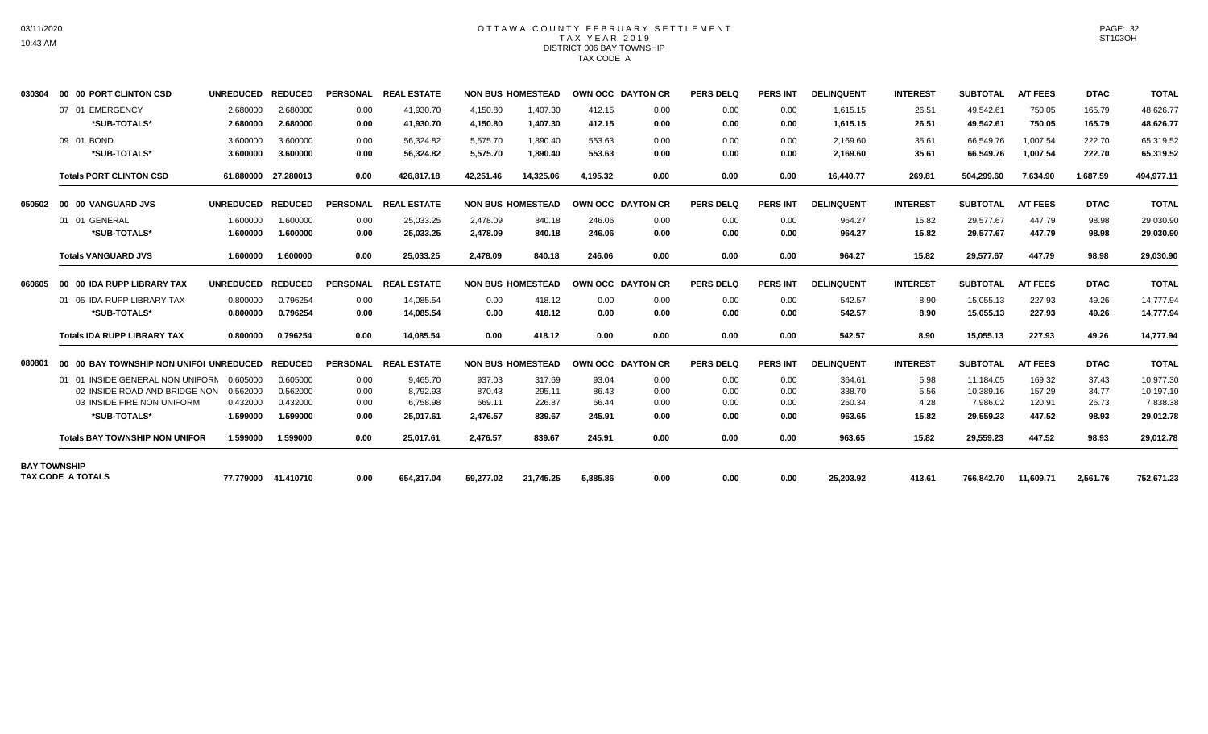# OTTAWA COUNTY FEBRUARY SETTLEMENT TAX YEAR 2019 DISTRICT 006 BAY TOWNSHIP TAX CODE A

| 030304              | 00 00 PORT CLINTON CSD                    | UNREDUCED REDUCED    |                      |                 | PERSONAL REAL ESTATE   |                      | <b>NON BUS HOMESTEAD</b> | OWN OCC DAYTON CR |              | <b>PERS DELQ</b> | <b>PERS INT</b> | <b>DELINQUENT</b>    | <b>INTEREST</b> | <b>SUBTOTAL</b>        | <b>A/T FEES</b>  | <b>DTAC</b>      | <b>TOTAL</b>           |
|---------------------|-------------------------------------------|----------------------|----------------------|-----------------|------------------------|----------------------|--------------------------|-------------------|--------------|------------------|-----------------|----------------------|-----------------|------------------------|------------------|------------------|------------------------|
|                     | 07 01 EMERGENCY<br>*SUB-TOTALS*           | 2.680000<br>2.680000 | 2.680000<br>2.680000 | 0.00<br>0.00    | 41,930.70<br>41,930.70 | 4,150.80<br>4,150.80 | 1,407.30<br>1,407.30     | 412.15<br>412.15  | 0.00<br>0.00 | 0.00<br>0.00     | 0.00<br>0.00    | 1,615.15<br>1,615.15 | 26.51<br>26.51  | 49.542.61<br>49,542.61 | 750.05<br>750.05 | 165.79<br>165.79 | 48,626.77<br>48,626.77 |
|                     | 09 01 BOND                                | 3.600000             | 3.600000             | 0.00            | 56,324.82              | 5,575.70             | 1,890.40                 | 553.63            | 0.00         | 0.00             | 0.00            | 2,169.60             | 35.61           | 66,549.76              | 1,007.54         | 222.70           | 65,319.52              |
|                     | *SUB-TOTALS*                              | 3.600000             | 3.600000             | 0.00            | 56,324.82              | 5,575.70             | 1,890.40                 | 553.63            | 0.00         | 0.00             | 0.00            | 2.169.60             | 35.61           | 66,549.76              | 1.007.54         | 222.70           | 65,319.52              |
|                     | <b>Totals PORT CLINTON CSD</b>            |                      | 61.880000 27.280013  | 0.00            | 426.817.18             | 42,251.46            | 14,325.06                | 4.195.32          | 0.00         | 0.00             | 0.00            | 16.440.77            | 269.81          | 504,299.60             | 7,634.90         | 1,687.59         | 494,977.11             |
| 050502              | 00 00 VANGUARD JVS                        | UNREDUCED REDUCED    |                      | <b>PERSONAL</b> | <b>REAL ESTATE</b>     |                      | <b>NON BUS HOMESTEAD</b> | OWN OCC DAYTON CR |              | PERS DELQ        | <b>PERS INT</b> | <b>DELINQUENT</b>    | <b>INTEREST</b> | <b>SUBTOTAL</b>        | <b>A/T FEES</b>  | <b>DTAC</b>      | <b>TOTAL</b>           |
|                     | 01 01 GENERAL                             | 1.600000             | 1.600000             | 0.00            | 25.033.25              | 2.478.09             | 840.18                   | 246.06            | 0.00         | 0.00             | 0.00            | 964.27               | 15.82           | 29.577.67              | 447.79           | 98.98            | 29,030.90              |
|                     | *SUB-TOTALS*                              | 1.600000             | 1.600000             | 0.00            | 25.033.25              | 2,478.09             | 840.18                   | 246.06            | 0.00         | 0.00             | 0.00            | 964.27               | 15.82           | 29,577.67              | 447.79           | 98.98            | 29,030.90              |
|                     | <b>Totals VANGUARD JVS</b>                | 1.600000             | 1.600000             | 0.00            | 25,033.25              | 2,478.09             | 840.18                   | 246.06            | 0.00         | 0.00             | 0.00            | 964.27               | 15.82           | 29,577.67              | 447.79           | 98.98            | 29,030.90              |
| 060605              | 00 00 IDA RUPP LIBRARY TAX                | <b>UNREDUCED</b>     | <b>REDUCED</b>       | <b>PERSONAL</b> | <b>REAL ESTATE</b>     |                      | <b>NON BUS HOMESTEAD</b> | OWN OCC DAYTON CR |              | <b>PERS DELQ</b> | <b>PERS INT</b> | <b>DELINQUENT</b>    | <b>INTEREST</b> | <b>SUBTOTAL</b>        | <b>A/T FEES</b>  | <b>DTAC</b>      | <b>TOTAL</b>           |
|                     | 01 05 IDA RUPP LIBRARY TAX                | 0.800000             | 0.796254             | 0.00            | 14,085.54              | 0.00                 | 418.12                   | 0.00              | 0.00         | 0.00             | 0.00            | 542.57               | 8.90            | 15,055.13              | 227.93           | 49.26            | 14,777.94              |
|                     | *SUB-TOTALS*                              | 0.800000             | 0.796254             | 0.00            | 14.085.54              | 0.00                 | 418.12                   | 0.00              | 0.00         | 0.00             | 0.00            | 542.57               | 8.90            | 15,055.13              | 227.93           | 49.26            | 14,777.94              |
|                     | <b>Totals IDA RUPP LIBRARY TAX</b>        | 0.800000             | 0.796254             | 0.00            | 14,085.54              | 0.00                 | 418.12                   | 0.00              | 0.00         | 0.00             | 0.00            | 542.57               | 8.90            | 15,055.13              | 227.93           | 49.26            | 14,777.94              |
| 080801              | 00 00 BAY TOWNSHIP NON UNIFOI UNREDUCED   |                      | <b>REDUCED</b>       | <b>PERSONAL</b> | <b>REAL ESTATE</b>     |                      | <b>NON BUS HOMESTEAD</b> | OWN OCC DAYTON CR |              | <b>PERS DELQ</b> | <b>PERS INT</b> | <b>DELINQUENT</b>    | <b>INTEREST</b> | <b>SUBTOTAL</b>        | <b>A/T FEES</b>  | <b>DTAC</b>      | <b>TOTAL</b>           |
|                     | 01 01 INSIDE GENERAL NON UNIFORN 0.605000 |                      | 0.605000             | 0.00            | 9,465.70               | 937.03               | 317.69                   | 93.04             | 0.00         | 0.00             | 0.00            | 364.61               | 5.98            | 11,184.05              | 169.32           | 37.43            | 10,977.30              |
|                     | 02 INSIDE ROAD AND BRIDGE NON             | 0.562000             | 0.562000             | 0.00            | 8,792.93               | 870.43               | 295.11                   | 86.43             | 0.00         | 0.00             | 0.00            | 338.70               | 5.56            | 10,389.16              | 157.29           | 34.77            | 10,197.10              |
|                     | 03 INSIDE FIRE NON UNIFORM                | 0.432000             | 0.432000             | 0.00            | 6.758.98               | 669.11               | 226.87                   | 66.44             | 0.00         | 0.00             | 0.00            | 260.34               | 4.28            | 7,986.02               | 120.91           | 26.73            | 7,838.38               |
|                     | *SUB-TOTALS*                              | 1.599000             | 1.599000             | 0.00            | 25,017.61              | 2.476.57             | 839.67                   | 245.91            | 0.00         | 0.00             | 0.00            | 963.65               | 15.82           | 29,559.23              | 447.52           | 98.93            | 29,012.78              |
|                     | <b>Totals BAY TOWNSHIP NON UNIFOR</b>     | 1.599000             | 1.599000             | 0.00            | 25,017.61              | 2,476.57             | 839.67                   | 245.91            | 0.00         | 0.00             | 0.00            | 963.65               | 15.82           | 29,559.23              | 447.52           | 98.93            | 29,012.78              |
| <b>BAY TOWNSHIP</b> | <b>TAX CODE A TOTALS</b>                  |                      |                      |                 |                        |                      |                          |                   |              |                  |                 |                      |                 |                        |                  |                  |                        |
|                     |                                           |                      | 77.779000 41.410710  | 0.00            | 654.317.04             | 59.277.02            | 21,745.25                | 5.885.86          | 0.00         | 0.00             | 0.00            | 25,203.92            | 413.61          | 766,842.70 11,609.71   |                  | 2,561.76         | 752,671.23             |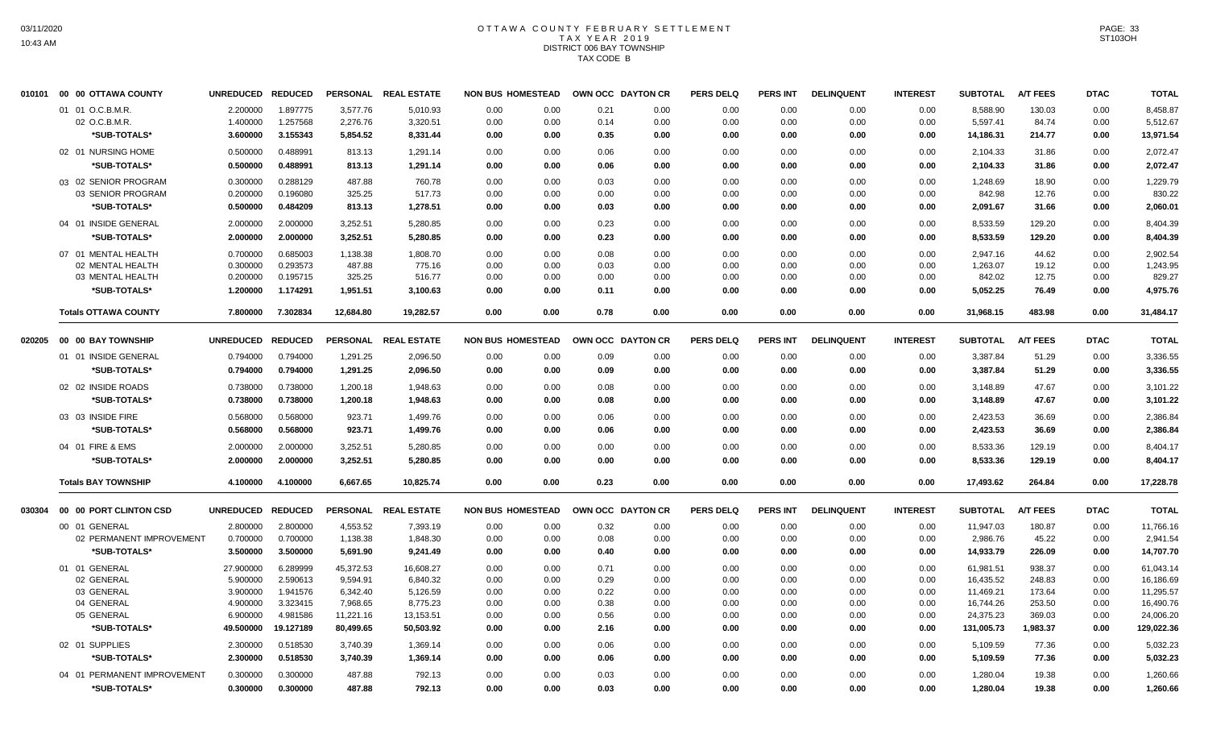#### OTTAWA COUNTY FEBRUARY SETTLEMENT T A X Y E A R 2 0 1 9 DISTRICT 006 BAY TOWNSHIP TAX CODE B

| 010101 | 00 00 OTTAWA COUNTY         | <b>UNREDUCED</b> | <b>REDUCED</b> |                 | PERSONAL REAL ESTATE | <b>NON BUS HOMESTEAD</b> |      |      | OWN OCC DAYTON CR | <b>PERS DELQ</b> | <b>PERS INT</b> | <b>DELINQUENT</b> | <b>INTEREST</b> | <b>SUBTOTAL</b> | <b>A/T FEES</b> | <b>DTAC</b> | <b>TOTAL</b> |
|--------|-----------------------------|------------------|----------------|-----------------|----------------------|--------------------------|------|------|-------------------|------------------|-----------------|-------------------|-----------------|-----------------|-----------------|-------------|--------------|
|        | 01 01 O.C.B.M.R.            | 2.200000         | 1.897775       | 3,577.76        | 5,010.93             | 0.00                     | 0.00 | 0.21 | 0.00              | 0.00             | 0.00            | 0.00              | 0.00            | 8,588.90        | 130.03          | 0.00        | 8,458.87     |
|        | 02 O.C.B.M.R.               | 1.400000         | 1.257568       | 2,276.76        | 3,320.51             | 0.00                     | 0.00 | 0.14 | 0.00              | 0.00             | 0.00            | 0.00              | 0.00            | 5,597.41        | 84.74           | 0.00        | 5,512.67     |
|        | *SUB-TOTALS*                | 3.600000         | 3.155343       | 5,854.52        | 8,331.44             | 0.00                     | 0.00 | 0.35 | 0.00              | 0.00             | 0.00            | 0.00              | 0.00            | 14,186.31       | 214.77          | 0.00        | 13,971.54    |
|        | 02 01 NURSING HOME          | 0.500000         | 0.488991       | 813.13          | 1,291.14             | 0.00                     | 0.00 | 0.06 | 0.00              | 0.00             | 0.00            | 0.00              | 0.00            | 2,104.33        | 31.86           | 0.00        | 2,072.47     |
|        | *SUB-TOTALS*                | 0.500000         | 0.488991       | 813.13          | 1,291.14             | 0.00                     | 0.00 | 0.06 | 0.00              | 0.00             | 0.00            | 0.00              | 0.00            | 2,104.33        | 31.86           | 0.00        | 2,072.47     |
|        | 03 02 SENIOR PROGRAM        | 0.300000         | 0.288129       | 487.88          | 760.78               | 0.00                     | 0.00 | 0.03 | 0.00              | 0.00             | 0.00            | 0.00              | 0.00            | 1,248.69        | 18.90           | 0.00        | 1,229.79     |
|        | 03 SENIOR PROGRAM           | 0.200000         | 0.196080       | 325.25          | 517.73               | 0.00                     | 0.00 | 0.00 | 0.00              | 0.00             | 0.00            | 0.00              | 0.00            | 842.98          | 12.76           | 0.00        | 830.22       |
|        | *SUB-TOTALS*                | 0.500000         | 0.484209       | 813.13          | 1,278.51             | 0.00                     | 0.00 | 0.03 | 0.00              | 0.00             | 0.00            | 0.00              | 0.00            | 2,091.67        | 31.66           | 0.00        | 2,060.01     |
|        | 04 01 INSIDE GENERAL        | 2.000000         | 2.000000       | 3,252.51        | 5,280.85             | 0.00                     | 0.00 | 0.23 | 0.00              | 0.00             | 0.00            | 0.00              | 0.00            | 8,533.59        | 129.20          | 0.00        | 8,404.39     |
|        | *SUB-TOTALS*                | 2.000000         | 2.000000       | 3,252.51        | 5,280.85             | 0.00                     | 0.00 | 0.23 | 0.00              | 0.00             | 0.00            | 0.00              | 0.00            | 8,533.59        | 129.20          | 0.00        | 8,404.39     |
|        | 07 01 MENTAL HEALTH         | 0.700000         | 0.685003       | 1,138.38        | 1,808.70             | 0.00                     | 0.00 | 0.08 | 0.00              | 0.00             | 0.00            | 0.00              | 0.00            | 2,947.16        | 44.62           | 0.00        | 2,902.54     |
|        | 02 MENTAL HEALTH            | 0.300000         | 0.293573       | 487.88          | 775.16               | 0.00                     | 0.00 | 0.03 | 0.00              | 0.00             | 0.00            | 0.00              | 0.00            | 1,263.07        | 19.12           | 0.00        | 1,243.95     |
|        | 03 MENTAL HEALTH            | 0.200000         | 0.195715       | 325.25          | 516.77               | 0.00                     | 0.00 | 0.00 | 0.00              | 0.00             | 0.00            | 0.00              | 0.00            | 842.02          | 12.75           | 0.00        | 829.27       |
|        | *SUB-TOTALS*                | 1.200000         | 1.174291       | 1,951.51        | 3,100.63             | 0.00                     | 0.00 | 0.11 | 0.00              | 0.00             | 0.00            | 0.00              | 0.00            | 5,052.25        | 76.49           | 0.00        | 4,975.76     |
|        | <b>Totals OTTAWA COUNTY</b> | 7.800000         | 7.302834       | 12,684.80       | 19,282.57            | 0.00                     | 0.00 | 0.78 | 0.00              | 0.00             | 0.00            | 0.00              | 0.00            | 31,968.15       | 483.98          | 0.00        | 31,484.17    |
| 020205 | 00 00 BAY TOWNSHIP          | <b>UNREDUCED</b> | <b>REDUCED</b> | <b>PERSONAL</b> | <b>REAL ESTATE</b>   | <b>NON BUS HOMESTEAD</b> |      |      | OWN OCC DAYTON CR | <b>PERS DELQ</b> | <b>PERS INT</b> | <b>DELINQUENT</b> | <b>INTEREST</b> | <b>SUBTOTAL</b> | <b>A/T FEES</b> | <b>DTAC</b> | <b>TOTAL</b> |
|        | 01 01 INSIDE GENERAL        | 0.794000         | 0.794000       | 1,291.25        | 2,096.50             | 0.00                     | 0.00 | 0.09 | 0.00              | 0.00             | 0.00            | 0.00              | 0.00            | 3,387.84        | 51.29           | 0.00        | 3,336.55     |
|        | *SUB-TOTALS*                | 0.794000         | 0.794000       | 1,291.25        | 2,096.50             | 0.00                     | 0.00 | 0.09 | 0.00              | 0.00             | 0.00            | 0.00              | 0.00            | 3,387.84        | 51.29           | 0.00        | 3,336.55     |
|        | 02 02 INSIDE ROADS          | 0.738000         | 0.738000       | 1,200.18        | 1,948.63             | 0.00                     | 0.00 | 0.08 | 0.00              | 0.00             | 0.00            | 0.00              | 0.00            | 3.148.89        | 47.67           | 0.00        | 3,101.22     |
|        | *SUB-TOTALS*                | 0.738000         | 0.738000       | 1,200.18        | 1,948.63             | 0.00                     | 0.00 | 0.08 | 0.00              | 0.00             | 0.00            | 0.00              | 0.00            | 3,148.89        | 47.67           | 0.00        | 3,101.22     |
|        | 03 03 INSIDE FIRE           | 0.568000         | 0.568000       | 923.71          | 1,499.76             | 0.00                     | 0.00 | 0.06 | 0.00              | 0.00             | 0.00            | 0.00              | 0.00            | 2,423.53        | 36.69           | 0.00        | 2,386.84     |
|        | *SUB-TOTALS*                | 0.568000         | 0.568000       | 923.71          | 1,499.76             | 0.00                     | 0.00 | 0.06 | 0.00              | 0.00             | 0.00            | 0.00              | 0.00            | 2,423.53        | 36.69           | 0.00        | 2,386.84     |
|        | 04 01 FIRE & EMS            | 2.000000         | 2.000000       | 3,252.51        | 5,280.85             | 0.00                     | 0.00 | 0.00 | 0.00              | 0.00             | 0.00            | 0.00              | 0.00            | 8,533.36        | 129.19          | 0.00        | 8,404.17     |
|        | *SUB-TOTALS*                | 2.000000         | 2.000000       | 3,252.51        | 5,280.85             | 0.00                     | 0.00 | 0.00 | 0.00              | 0.00             | 0.00            | 0.00              | 0.00            | 8,533.36        | 129.19          | 0.00        | 8,404.17     |
|        | <b>Totals BAY TOWNSHIP</b>  | 4.100000         | 4.100000       | 6,667.65        | 10,825.74            | 0.00                     | 0.00 | 0.23 | 0.00              | 0.00             | 0.00            | 0.00              | 0.00            | 17,493.62       | 264.84          | 0.00        | 17,228.78    |
| 030304 | 00 00 PORT CLINTON CSD      | <b>UNREDUCED</b> | <b>REDUCED</b> | <b>PERSONAL</b> | <b>REAL ESTATE</b>   | <b>NON BUS HOMESTEAD</b> |      |      | OWN OCC DAYTON CR | <b>PERS DELQ</b> | <b>PERS INT</b> | <b>DELINQUENT</b> | <b>INTEREST</b> | <b>SUBTOTAL</b> | <b>A/T FEES</b> | <b>DTAC</b> | <b>TOTAL</b> |
|        | 00 01 GENERAL               | 2.800000         | 2.800000       | 4,553.52        | 7,393.19             | 0.00                     | 0.00 | 0.32 | 0.00              | 0.00             | 0.00            | 0.00              | 0.00            | 11,947.03       | 180.87          | 0.00        | 11,766.16    |
|        | 02 PERMANENT IMPROVEMENT    | 0.700000         | 0.700000       | 1,138.38        | 1,848.30             | 0.00                     | 0.00 | 0.08 | 0.00              | 0.00             | 0.00            | 0.00              | 0.00            | 2,986.76        | 45.22           | 0.00        | 2,941.54     |
|        | *SUB-TOTALS*                | 3.500000         | 3.500000       | 5,691.90        | 9,241.49             | 0.00                     | 0.00 | 0.40 | 0.00              | 0.00             | 0.00            | 0.00              | 0.00            | 14,933.79       | 226.09          | 0.00        | 14,707.70    |
|        | 01 01 GENERAL               | 27.900000        | 6.289999       | 45,372.53       | 16,608.27            | 0.00                     | 0.00 | 0.71 | 0.00              | 0.00             | 0.00            | 0.00              | 0.00            | 61,981.51       | 938.37          | 0.00        | 61,043.14    |
|        | 02 GENERAL                  | 5.900000         | 2.590613       | 9,594.91        | 6,840.32             | 0.00                     | 0.00 | 0.29 | 0.00              | 0.00             | 0.00            | 0.00              | 0.00            | 16,435.52       | 248.83          | 0.00        | 16,186.69    |
|        | 03 GENERAL                  | 3.900000         | 1.941576       | 6,342.40        | 5,126.59             | 0.00                     | 0.00 | 0.22 | 0.00              | 0.00             | 0.00            | 0.00              | 0.00            | 11,469.21       | 173.64          | 0.00        | 11,295.57    |
|        | 04 GENERAL                  | 4.900000         | 3.323415       | 7,968.65        | 8,775.23             | 0.00                     | 0.00 | 0.38 | 0.00              | 0.00             | 0.00            | 0.00              | 0.00            | 16,744.26       | 253.50          | 0.00        | 16,490.76    |
|        | 05 GENERAL                  | 6.900000         | 4.981586       | 11,221.16       | 13,153.51            | 0.00                     | 0.00 | 0.56 | 0.00              | 0.00             | 0.00            | 0.00              | 0.00            | 24,375.23       | 369.03          | 0.00        | 24,006.20    |
|        | *SUB-TOTALS*                | 49.500000        | 19.127189      | 80,499.65       | 50,503.92            | 0.00                     | 0.00 | 2.16 | 0.00              | 0.00             | 0.00            | 0.00              | 0.00            | 131,005.73      | 1,983.37        | 0.00        | 129,022.36   |
|        | 02 01 SUPPLIES              | 2.300000         | 0.518530       | 3,740.39        | 1,369.14             | 0.00                     | 0.00 | 0.06 | 0.00              | 0.00             | 0.00            | 0.00              | 0.00            | 5,109.59        | 77.36           | 0.00        | 5,032.23     |
|        | *SUB-TOTALS*                | 2.300000         | 0.518530       | 3,740.39        | 1,369.14             | 0.00                     | 0.00 | 0.06 | 0.00              | 0.00             | 0.00            | 0.00              | 0.00            | 5,109.59        | 77.36           | 0.00        | 5,032.23     |
|        | 04 01 PERMANENT IMPROVEMENT | 0.300000         | 0.300000       | 487.88          | 792.13               | 0.00                     | 0.00 | 0.03 | 0.00              | 0.00             | 0.00            | 0.00              | 0.00            | 1,280.04        | 19.38           | 0.00        | 1,260.66     |
|        | *SUB-TOTALS*                | 0.300000         | 0.300000       | 487.88          | 792.13               | 0.00                     | 0.00 | 0.03 | 0.00              | 0.00             | 0.00            | 0.00              | 0.00            | 1,280.04        | 19.38           | 0.00        | 1,260.66     |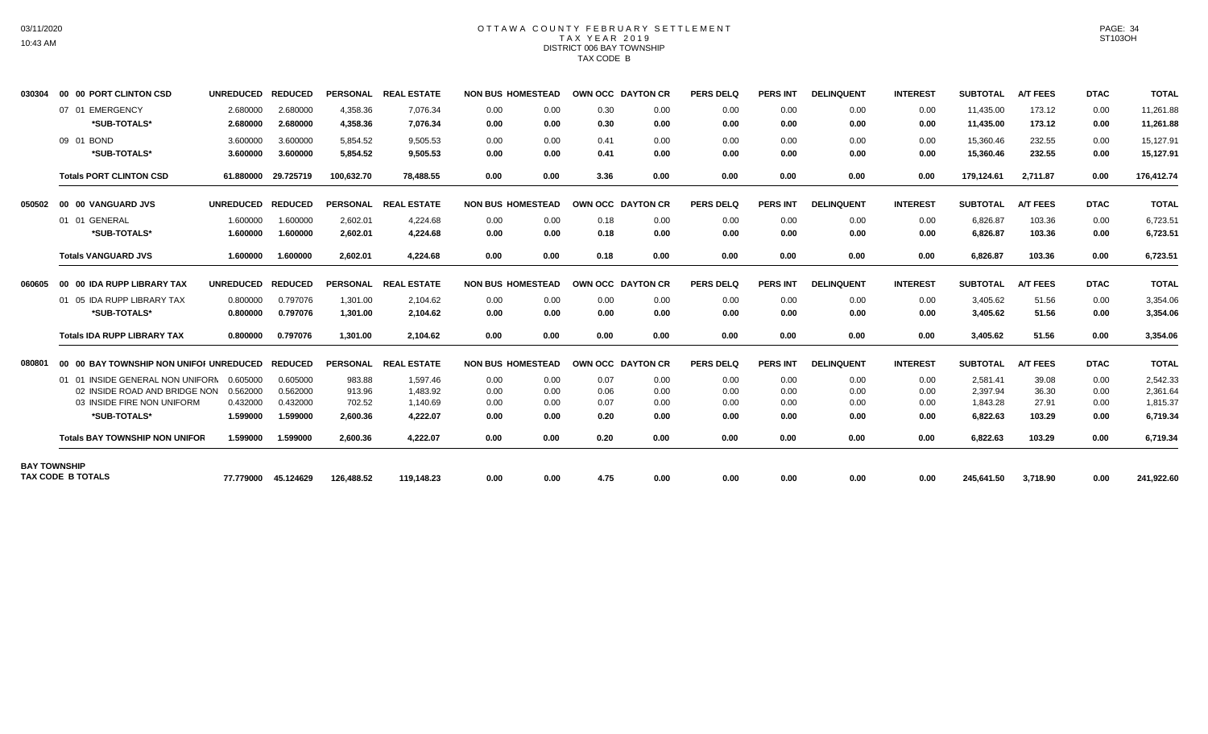# OTTAWA COUNTY FEBRUARY SETTLEMENT TAX YEAR 2019 DISTRICT 006 BAY TOWNSHIP TAX CODE B

| 030304              | 00 00 PORT CLINTON CSD                  | <b>UNREDUCED</b>     | <b>REDUCED</b>       |                      | PERSONAL REAL ESTATE | <b>NON BUS HOMESTEAD</b> |              | OWN OCC DAYTON CR |              | <b>PERS DELQ</b> | <b>PERS INT</b> | <b>DELINQUENT</b> | <b>INTEREST</b> | <b>SUBTOTAL</b>        | <b>A/T FEES</b>  | <b>DTAC</b>  | <b>TOTAL</b>           |
|---------------------|-----------------------------------------|----------------------|----------------------|----------------------|----------------------|--------------------------|--------------|-------------------|--------------|------------------|-----------------|-------------------|-----------------|------------------------|------------------|--------------|------------------------|
|                     | 07 01 EMERGENCY<br>*SUB-TOTALS*         | 2.680000<br>2.680000 | 2.680000<br>2.680000 | 4,358.36<br>4,358.36 | 7,076.34<br>7,076.34 | 0.00<br>0.00             | 0.00<br>0.00 | 0.30<br>0.30      | 0.00<br>0.00 | 0.00<br>0.00     | 0.00<br>0.00    | 0.00<br>0.00      | 0.00<br>0.00    | 11,435.00<br>11,435.00 | 173.12<br>173.12 | 0.00<br>0.00 | 11,261.88<br>11,261.88 |
|                     | 09 01 BOND                              | 3.600000             | 3.600000             | 5,854.52             | 9,505.53             | 0.00                     | 0.00         | 0.41              | 0.00         | 0.00             | 0.00            | 0.00              | 0.00            | 15,360.46              | 232.55           | 0.00         | 15,127.91              |
|                     | *SUB-TOTALS*                            | 3.600000             | 3.600000             | 5,854.52             | 9.505.53             | 0.00                     | 0.00         | 0.41              | 0.00         | 0.00             | 0.00            | 0.00              | 0.00            | 15,360.46              | 232.55           | 0.00         | 15,127.91              |
|                     | <b>Totals PORT CLINTON CSD</b>          | 61.880000            | 29.725719            | 100.632.70           | 78.488.55            | 0.00                     | 0.00         | 3.36              | 0.00         | 0.00             | 0.00            | 0.00              | 0.00            | 179.124.61             | 2.711.87         | 0.00         | 176,412.74             |
| 050502              | 00 00 VANGUARD JVS                      | <b>UNREDUCED</b>     | <b>REDUCED</b>       |                      | PERSONAL REAL ESTATE | <b>NON BUS HOMESTEAD</b> |              | OWN OCC DAYTON CR |              | <b>PERS DELQ</b> | <b>PERS INT</b> | <b>DELINQUENT</b> | <b>INTEREST</b> | <b>SUBTOTAL</b>        | <b>A/T FEES</b>  | <b>DTAC</b>  | <b>TOTAL</b>           |
|                     | 01 01 GENERAL                           | 1.600000             | 1.600000             | 2.602.01             | 4.224.68             | 0.00                     | 0.00         | 0.18              | 0.00         | 0.00             | 0.00            | 0.00              | 0.00            | 6.826.87               | 103.36           | 0.00         | 6,723.51               |
|                     | *SUB-TOTALS*                            | 1.600000             | 1.600000             | 2,602.01             | 4,224.68             | 0.00                     | 0.00         | 0.18              | 0.00         | 0.00             | 0.00            | 0.00              | 0.00            | 6,826.87               | 103.36           | 0.00         | 6,723.51               |
|                     | <b>Totals VANGUARD JVS</b>              | 1.600000             | 1.600000             | 2,602.01             | 4,224.68             | 0.00                     | 0.00         | 0.18              | 0.00         | 0.00             | 0.00            | 0.00              | 0.00            | 6,826.87               | 103.36           | 0.00         | 6,723.51               |
| 060605              | 00 00 IDA RUPP LIBRARY TAX              | <b>UNREDUCED</b>     | <b>REDUCED</b>       |                      | PERSONAL REAL ESTATE | <b>NON BUS HOMESTEAD</b> |              | OWN OCC DAYTON CR |              | <b>PERS DELQ</b> | <b>PERS INT</b> | <b>DELINQUENT</b> | <b>INTEREST</b> | <b>SUBTOTAL</b>        | <b>A/T FEES</b>  | <b>DTAC</b>  | <b>TOTAL</b>           |
|                     | 01 05 IDA RUPP LIBRARY TAX              | 0.800000             | 0.797076             | 1,301.00             | 2,104.62             | 0.00                     | 0.00         | 0.00              | 0.00         | 0.00             | 0.00            | 0.00              | 0.00            | 3,405.62               | 51.56            | 0.00         | 3,354.06               |
|                     | *SUB-TOTALS*                            | 0.800000             | 0.797076             | 1.301.00             | 2.104.62             | 0.00                     | 0.00         | 0.00              | 0.00         | 0.00             | 0.00            | 0.00              | 0.00            | 3.405.62               | 51.56            | 0.00         | 3,354.06               |
|                     | <b>Totals IDA RUPP LIBRARY TAX</b>      | 0.800000             | 0.797076             | 1.301.00             | 2,104.62             | 0.00                     | 0.00         | 0.00              | 0.00         | 0.00             | 0.00            | 0.00              | 0.00            | 3,405.62               | 51.56            | 0.00         | 3,354.06               |
| 080801              | 00 00 BAY TOWNSHIP NON UNIFOI UNREDUCED |                      | <b>REDUCED</b>       | <b>PERSONAL</b>      | <b>REAL ESTATE</b>   | <b>NON BUS HOMESTEAD</b> |              | OWN OCC DAYTON CR |              | <b>PERS DELQ</b> | <b>PERS INT</b> | <b>DELINQUENT</b> | <b>INTEREST</b> | <b>SUBTOTAL</b>        | <b>A/T FEES</b>  | <b>DTAC</b>  | <b>TOTAL</b>           |
|                     | 01 01 INSIDE GENERAL NON UNIFORM        | 0.605000             | 0.605000             | 983.88               | 1,597.46             | 0.00                     | 0.00         | 0.07              | 0.00         | 0.00             | 0.00            | 0.00              | 0.00            | 2,581.41               | 39.08            | 0.00         | 2,542.33               |
|                     | 02 INSIDE ROAD AND BRIDGE NON           | 0.562000             | 0.562000             | 913.96               | 1,483.92             | 0.00                     | 0.00         | 0.06              | 0.00         | 0.00             | 0.00            | 0.00              | 0.00            | 2,397.94               | 36.30            | 0.00         | 2,361.64               |
|                     | 03 INSIDE FIRE NON UNIFORM              | 0.432000             | 0.432000             | 702.52               | 1,140.69             | 0.00                     | 0.00         | 0.07              | 0.00         | 0.00             | 0.00            | 0.00              | 0.00            | 1.843.28               | 27.91            | 0.00         | 1.815.37               |
|                     | *SUB-TOTALS*                            | 1.599000             | 1.599000             | 2,600.36             | 4.222.07             | 0.00                     | 0.00         | 0.20              | 0.00         | 0.00             | 0.00            | 0.00              | 0.00            | 6,822.63               | 103.29           | 0.00         | 6,719.34               |
|                     | <b>Totals BAY TOWNSHIP NON UNIFOR</b>   | 1.599000             | 1.599000             | 2.600.36             | 4,222.07             | 0.00                     | 0.00         | 0.20              | 0.00         | 0.00             | 0.00            | 0.00              | 0.00            | 6,822.63               | 103.29           | 0.00         | 6,719.34               |
| <b>BAY TOWNSHIP</b> | <b>TAX CODE B TOTALS</b>                |                      |                      |                      |                      |                          |              |                   |              |                  |                 |                   |                 |                        |                  |              |                        |
|                     |                                         |                      | 77.779000 45.124629  | 126,488.52           | 119.148.23           | 0.00                     | 0.00         | 4.75              | 0.00         | 0.00             | 0.00            | 0.00              | 0.00            | 245,641.50             | 3,718.90         | 0.00         | 241,922.60             |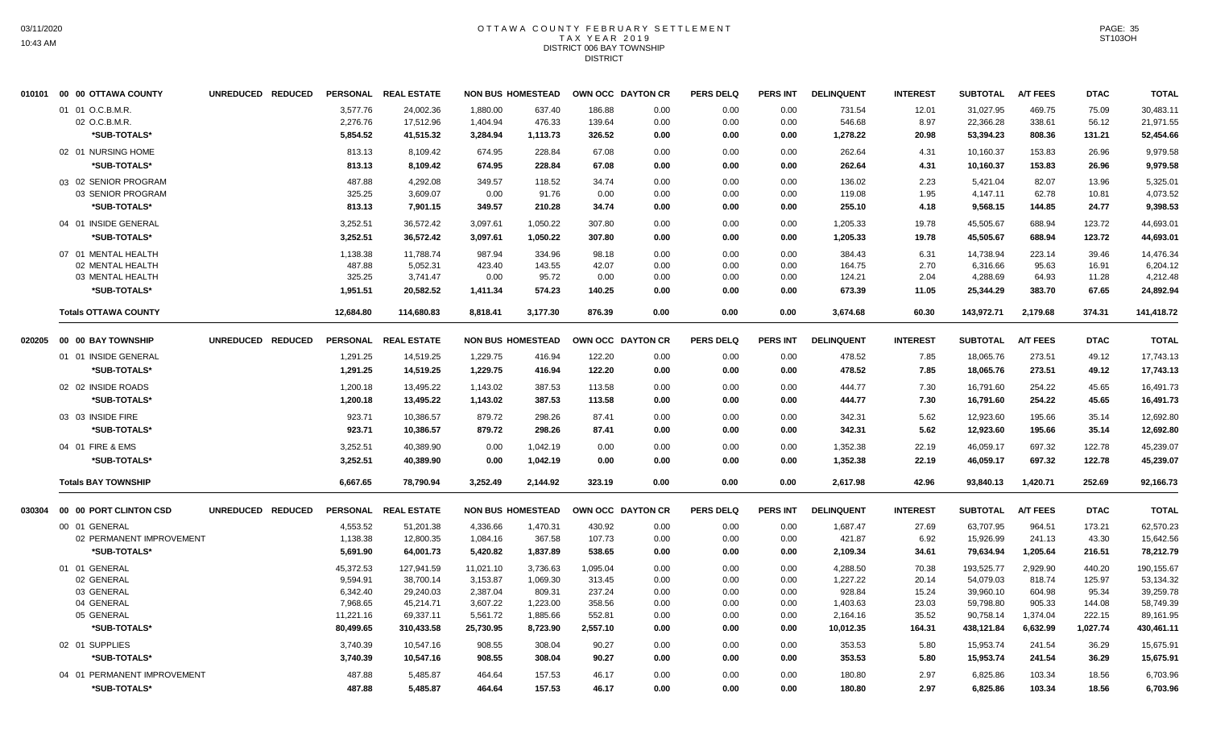#### OTTAWA COUNTY FEBRUARY SETTLEMENT T A X Y E A R 2 0 1 9 DISTRICT 006 BAY TOWNSHIP **DISTRICT**

|        | 010101 00 00 OTTAWA COUNTY  | UNREDUCED REDUCED | <b>PERSONAL</b>  | <b>REAL ESTATE</b>     | <b>NON BUS HOMESTEAD</b> |                  |          | OWN OCC DAYTON CR | <b>PERS DELQ</b> | <b>PERS INT</b> | <b>DELINQUENT</b> | <b>INTEREST</b> | <b>SUBTOTAL</b> | <b>A/T FEES</b>  | <b>DTAC</b>    | <b>TOTAL</b> |
|--------|-----------------------------|-------------------|------------------|------------------------|--------------------------|------------------|----------|-------------------|------------------|-----------------|-------------------|-----------------|-----------------|------------------|----------------|--------------|
|        | 01 01 O.C.B.M.R.            |                   | 3.577.76         | 24,002.36              | 1.880.00                 | 637.40           | 186.88   | 0.00              | 0.00             | 0.00            | 731.54            | 12.01           | 31,027.95       | 469.75           | 75.09          | 30,483.11    |
|        | 02 O.C.B.M.R.               |                   | 2,276.76         | 17,512.96              | 1,404.94                 | 476.33           | 139.64   | 0.00              | 0.00             | 0.00            | 546.68            | 8.97            | 22,366.28       | 338.61           | 56.12          | 21,971.55    |
|        | *SUB-TOTALS*                |                   | 5,854.52         | 41,515.32              | 3,284.94                 | 1,113.73         | 326.52   | 0.00              | 0.00             | 0.00            | 1,278.22          | 20.98           | 53,394.23       | 808.36           | 131.21         | 52,454.66    |
|        | 02 01 NURSING HOME          |                   | 813.13           | 8,109.42               | 674.95                   | 228.84           | 67.08    | 0.00              | 0.00             | 0.00            | 262.64            | 4.31            | 10,160.37       | 153.83           | 26.96          | 9,979.58     |
|        | *SUB-TOTALS*                |                   | 813.13           | 8,109.42               | 674.95                   | 228.84           | 67.08    | 0.00              | 0.00             | 0.00            | 262.64            | 4.31            | 10,160.37       | 153.83           | 26.96          | 9,979.58     |
|        | 03 02 SENIOR PROGRAM        |                   | 487.88           | 4.292.08               | 349.57                   | 118.52           | 34.74    | 0.00              | 0.00             | 0.00            | 136.02            | 2.23            | 5.421.04        | 82.07            | 13.96          | 5.325.01     |
|        | 03 SENIOR PROGRAM           |                   | 325.25           | 3,609.07               | 0.00                     | 91.76            | 0.00     | 0.00              | 0.00             | 0.00            | 119.08            | 1.95            | 4,147.11        | 62.78            | 10.81          | 4,073.52     |
|        | *SUB-TOTALS*                |                   | 813.13           | 7,901.15               | 349.57                   | 210.28           | 34.74    | 0.00              | 0.00             | 0.00            | 255.10            | 4.18            | 9,568.15        | 144.85           | 24.77          | 9,398.53     |
|        | 04 01 INSIDE GENERAL        |                   | 3,252.51         | 36,572.42              | 3,097.61                 | 1,050.22         | 307.80   | 0.00              | 0.00             | 0.00            | 1,205.33          | 19.78           | 45,505.67       | 688.94           | 123.72         | 44,693.01    |
|        | *SUB-TOTALS*                |                   | 3,252.51         | 36,572.42              | 3,097.61                 | 1,050.22         | 307.80   | 0.00              | 0.00             | 0.00            | 1,205.33          | 19.78           | 45,505.67       | 688.94           | 123.72         | 44,693.01    |
|        | 07 01 MENTAL HEALTH         |                   | 1,138.38         | 11,788.74              | 987.94                   | 334.96           | 98.18    | 0.00              | 0.00             | 0.00            | 384.43            | 6.31            | 14,738.94       | 223.14           | 39.46          | 14,476.34    |
|        | 02 MENTAL HEALTH            |                   | 487.88           | 5,052.31               | 423.40                   | 143.55           | 42.07    | 0.00              | 0.00             | 0.00            | 164.75            | 2.70            | 6,316.66        | 95.63            | 16.91          | 6,204.12     |
|        | 03 MENTAL HEALTH            |                   | 325.25           | 3,741.47               | 0.00                     | 95.72            | 0.00     | 0.00              | 0.00             | 0.00            | 124.21            | 2.04            | 4,288.69        | 64.93            | 11.28          | 4,212.48     |
|        | *SUB-TOTALS*                |                   | 1,951.51         | 20,582.52              | 1,411.34                 | 574.23           | 140.25   | 0.00              | 0.00             | 0.00            | 673.39            | 11.05           | 25,344.29       | 383.70           | 67.65          | 24,892.94    |
|        | <b>Totals OTTAWA COUNTY</b> |                   | 12,684.80        | 114,680.83             | 8,818.41                 | 3,177.30         | 876.39   | 0.00              | 0.00             | 0.00            | 3,674.68          | 60.30           | 143,972.71      | 2,179.68         | 374.31         | 141,418.72   |
| 020205 | <b>00 00 BAY TOWNSHIP</b>   | UNREDUCED REDUCED | <b>PERSONAL</b>  | <b>REAL ESTATE</b>     | <b>NON BUS HOMESTEAD</b> |                  |          | OWN OCC DAYTON CR | <b>PERS DELQ</b> | <b>PERS INT</b> | <b>DELINQUENT</b> | <b>INTEREST</b> | <b>SUBTOTAL</b> | <b>A/T FEES</b>  | <b>DTAC</b>    | <b>TOTAL</b> |
|        | 01 01 INSIDE GENERAL        |                   | 1,291.25         | 14,519.25              | 1,229.75                 | 416.94           | 122.20   | 0.00              | 0.00             | 0.00            | 478.52            | 7.85            | 18,065.76       | 273.51           | 49.12          | 17,743.13    |
|        | *SUB-TOTALS*                |                   | 1,291.25         | 14,519.25              | 1,229.75                 | 416.94           | 122.20   | 0.00              | 0.00             | 0.00            | 478.52            | 7.85            | 18,065.76       | 273.51           | 49.12          | 17,743.13    |
|        | 02 02 INSIDE ROADS          |                   | 1,200.18         | 13,495.22              | 1.143.02                 | 387.53           | 113.58   | 0.00              | 0.00             | 0.00            | 444.77            | 7.30            | 16,791.60       | 254.22           | 45.65          | 16,491.73    |
|        | *SUB-TOTALS*                |                   | 1,200.18         | 13,495.22              | 1,143.02                 | 387.53           | 113.58   | 0.00              | 0.00             | 0.00            | 444.77            | 7.30            | 16,791.60       | 254.22           | 45.65          | 16,491.73    |
|        | 03 03 INSIDE FIRE           |                   |                  |                        | 879.72                   |                  |          |                   |                  |                 |                   |                 |                 |                  |                | 12.692.80    |
|        | *SUB-TOTALS*                |                   | 923.71<br>923.71 | 10,386.57<br>10,386.57 | 879.72                   | 298.26<br>298.26 | 87.41    | 0.00              | 0.00             | 0.00            | 342.31            | 5.62<br>5.62    | 12,923.60       | 195.66<br>195.66 | 35.14<br>35.14 |              |
|        |                             |                   |                  |                        |                          |                  | 87.41    | 0.00              | 0.00             | 0.00            | 342.31            |                 | 12,923.60       |                  |                | 12,692.80    |
|        | 04 01 FIRE & EMS            |                   | 3,252.51         | 40,389.90              | 0.00                     | 1,042.19         | 0.00     | 0.00              | 0.00             | 0.00            | 1,352.38          | 22.19           | 46,059.17       | 697.32           | 122.78         | 45,239.07    |
|        | *SUB-TOTALS*                |                   | 3,252.51         | 40,389.90              | 0.00                     | 1,042.19         | 0.00     | 0.00              | 0.00             | 0.00            | 1,352.38          | 22.19           | 46,059.17       | 697.32           | 122.78         | 45,239.07    |
|        | <b>Totals BAY TOWNSHIP</b>  |                   | 6,667.65         | 78,790.94              | 3,252.49                 | 2,144.92         | 323.19   | 0.00              | 0.00             | 0.00            | 2,617.98          | 42.96           | 93,840.13       | 1,420.71         | 252.69         | 92,166.73    |
| 030304 | 00 00 PORT CLINTON CSD      | UNREDUCED REDUCED | <b>PERSONAL</b>  | <b>REAL ESTATE</b>     | <b>NON BUS HOMESTEAD</b> |                  |          | OWN OCC DAYTON CR | <b>PERS DELQ</b> | PERS INT        | <b>DELINQUENT</b> | <b>INTEREST</b> | <b>SUBTOTAL</b> | <b>A/T FEES</b>  | <b>DTAC</b>    | <b>TOTAL</b> |
|        | 00 01 GENERAL               |                   | 4,553.52         | 51,201.38              | 4,336.66                 | 1,470.31         | 430.92   | 0.00              | 0.00             | 0.00            | 1,687.47          | 27.69           | 63,707.95       | 964.51           | 173.21         | 62,570.23    |
|        | 02 PERMANENT IMPROVEMENT    |                   | 1,138.38         | 12,800.35              | 1,084.16                 | 367.58           | 107.73   | 0.00              | 0.00             | 0.00            | 421.87            | 6.92            | 15,926.99       | 241.13           | 43.30          | 15,642.56    |
|        | *SUB-TOTALS*                |                   | 5,691.90         | 64,001.73              | 5,420.82                 | 1,837.89         | 538.65   | 0.00              | 0.00             | 0.00            | 2,109.34          | 34.61           | 79,634.94       | 1,205.64         | 216.51         | 78,212.79    |
|        | 01 01 GENERAL               |                   | 45,372.53        | 127,941.59             | 11,021.10                | 3,736.63         | 1,095.04 | 0.00              | 0.00             | 0.00            | 4,288.50          | 70.38           | 193,525.77      | 2,929.90         | 440.20         | 190,155.67   |
|        | 02 GENERAL                  |                   | 9,594.91         | 38,700.14              | 3,153.87                 | 1,069.30         | 313.45   | 0.00              | 0.00             | 0.00            | 1,227.22          | 20.14           | 54,079.03       | 818.74           | 125.97         | 53,134.32    |
|        | 03 GENERAL                  |                   | 6,342.40         | 29,240.03              | 2,387.04                 | 809.31           | 237.24   | 0.00              | 0.00             | 0.00            | 928.84            | 15.24           | 39,960.10       | 604.98           | 95.34          | 39,259.78    |
|        | 04 GENERAL                  |                   | 7,968.65         | 45,214.71              | 3,607.22                 | 1,223.00         | 358.56   | 0.00              | 0.00             | 0.00            | 1,403.63          | 23.03           | 59,798.80       | 905.33           | 144.08         | 58,749.39    |
|        | 05 GENERAL                  |                   | 11,221.16        | 69,337.11              | 5,561.72                 | 1,885.66         | 552.81   | 0.00              | 0.00             | 0.00            | 2,164.16          | 35.52           | 90,758.14       | 1,374.04         | 222.15         | 89,161.95    |
|        | *SUB-TOTALS*                |                   | 80,499.65        | 310,433.58             | 25,730.95                | 8,723.90         | 2,557.10 | 0.00              | 0.00             | 0.00            | 10,012.35         | 164.31          | 438,121.84      | 6,632.99         | 1,027.74       | 430,461.11   |
|        | 02 01 SUPPLIES              |                   | 3.740.39         | 10.547.16              | 908.55                   | 308.04           | 90.27    | 0.00              | 0.00             | 0.00            | 353.53            | 5.80            | 15.953.74       | 241.54           | 36.29          | 15.675.91    |
|        | *SUB-TOTALS*                |                   | 3,740.39         | 10,547.16              | 908.55                   | 308.04           | 90.27    | 0.00              | 0.00             | 0.00            | 353.53            | 5.80            | 15,953.74       | 241.54           | 36.29          | 15,675.91    |
|        | 04 01 PERMANENT IMPROVEMENT |                   | 487.88           | 5,485.87               | 464.64                   | 157.53           | 46.17    | 0.00              | 0.00             | 0.00            | 180.80            | 2.97            | 6,825.86        | 103.34           | 18.56          | 6,703.96     |
|        | *SUB-TOTALS*                |                   | 487.88           | 5,485.87               | 464.64                   | 157.53           | 46.17    | 0.00              | 0.00             | 0.00            | 180.80            | 2.97            | 6,825.86        | 103.34           | 18.56          | 6,703.96     |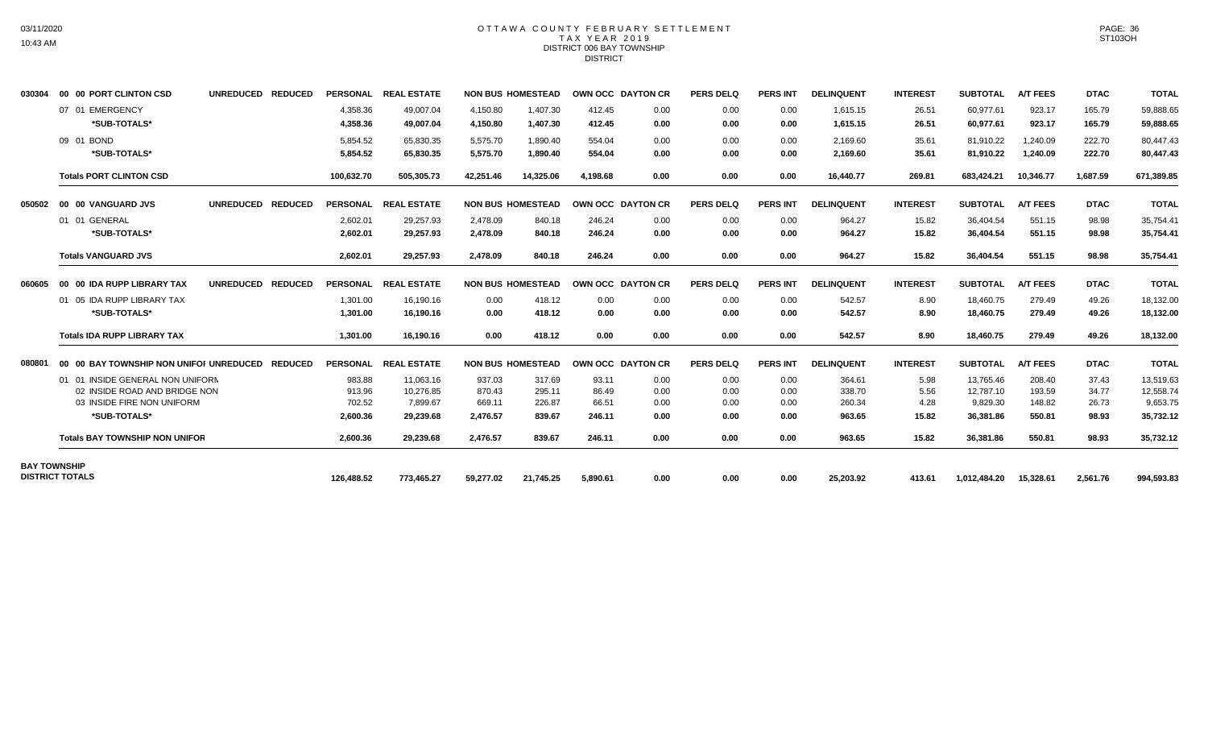### OTTAWA COUNTY FEBRUARY SETTLEMENT TAX YEAR 2019 DISTRICT 006 BAY TOWNSHIP DISTRICT

| 030304              | 00 00 PORT CLINTON CSD                          | UNREDUCED REDUCED |                      | PERSONAL REAL ESTATE   |                      | <b>NON BUS HOMESTEAD</b> | OWN OCC DAYTON CR |              | <b>PERS DELQ</b> | <b>PERS INT</b> | <b>DELINQUENT</b>    | <b>INTEREST</b> | <b>SUBTOTAL</b>        | <b>A/T FEES</b>      | <b>DTAC</b>      | <b>TOTAL</b>           |
|---------------------|-------------------------------------------------|-------------------|----------------------|------------------------|----------------------|--------------------------|-------------------|--------------|------------------|-----------------|----------------------|-----------------|------------------------|----------------------|------------------|------------------------|
|                     | 07 01 EMERGENCY<br>*SUB-TOTALS*                 |                   | 4,358.36<br>4,358.36 | 49,007.04<br>49,007.04 | 4,150.80<br>4,150.80 | 1,407.30<br>1,407.30     | 412.45<br>412.45  | 0.00<br>0.00 | 0.00<br>0.00     | 0.00<br>0.00    | 1,615.15<br>1,615.15 | 26.51<br>26.51  | 60.977.61<br>60,977.61 | 923.17<br>923.17     | 165.79<br>165.79 | 59,888.65<br>59,888.65 |
|                     | 09 01 BOND<br>*SUB-TOTALS*                      |                   | 5,854.52<br>5.854.52 | 65,830.35<br>65.830.35 | 5,575.70<br>5,575.70 | 1,890.40<br>1,890.40     | 554.04<br>554.04  | 0.00<br>0.00 | 0.00<br>0.00     | 0.00<br>0.00    | 2,169.60<br>2.169.60 | 35.61<br>35.61  | 81,910.22<br>81,910.22 | 1,240.09<br>1,240.09 | 222.70<br>222.70 | 80,447.43<br>80,447.43 |
|                     | <b>Totals PORT CLINTON CSD</b>                  |                   | 100,632.70           | 505,305.73             | 42,251.46            | 14,325.06                | 4.198.68          | 0.00         | 0.00             | 0.00            | 16,440.77            | 269.81          | 683,424.21             | 10,346.77            | 1,687.59         | 671,389.85             |
| 050502              | 00 00 VANGUARD JVS                              | UNREDUCED REDUCED |                      | PERSONAL REAL ESTATE   |                      | <b>NON BUS HOMESTEAD</b> | OWN OCC DAYTON CR |              | <b>PERS DELQ</b> | <b>PERS INT</b> | <b>DELINQUENT</b>    | <b>INTEREST</b> | <b>SUBTOTAL</b>        | <b>A/T FEES</b>      | <b>DTAC</b>      | <b>TOTAL</b>           |
|                     | 01 01 GENERAL<br>*SUB-TOTALS*                   |                   | 2,602.01<br>2,602.01 | 29,257.93<br>29,257.93 | 2,478.09<br>2,478.09 | 840.18<br>840.18         | 246.24<br>246.24  | 0.00<br>0.00 | 0.00<br>0.00     | 0.00<br>0.00    | 964.27<br>964.27     | 15.82<br>15.82  | 36,404.54<br>36,404.54 | 551.15<br>551.15     | 98.98<br>98.98   | 35,754.41<br>35,754.41 |
|                     | <b>Totals VANGUARD JVS</b>                      |                   | 2,602.01             | 29,257.93              | 2,478.09             | 840.18                   | 246.24            | 0.00         | 0.00             | 0.00            | 964.27               | 15.82           | 36,404.54              | 551.15               | 98.98            | 35,754.41              |
| 060605              | 00 00 IDA RUPP LIBRARY TAX                      | UNREDUCED REDUCED |                      | PERSONAL REAL ESTATE   |                      | <b>NON BUS HOMESTEAD</b> | OWN OCC DAYTON CR |              | <b>PERS DELQ</b> | <b>PERS INT</b> | <b>DELINQUENT</b>    | <b>INTEREST</b> | <b>SUBTOTAL</b>        | <b>A/T FEES</b>      | <b>DTAC</b>      | <b>TOTAL</b>           |
|                     | 01 05 IDA RUPP LIBRARY TAX<br>*SUB-TOTALS*      |                   | 1,301.00<br>1,301.00 | 16,190.16<br>16,190.16 | 0.00<br>0.00         | 418.12<br>418.12         | 0.00<br>0.00      | 0.00<br>0.00 | 0.00<br>0.00     | 0.00<br>0.00    | 542.57<br>542.57     | 8.90<br>8.90    | 18,460.75<br>18,460.75 | 279.49<br>279.49     | 49.26<br>49.26   | 18,132.00<br>18,132.00 |
|                     | <b>Totals IDA RUPP LIBRARY TAX</b>              |                   | 1,301.00             | 16.190.16              | 0.00                 | 418.12                   | 0.00              | 0.00         | 0.00             | 0.00            | 542.57               | 8.90            | 18.460.75              | 279.49               | 49.26            | 18,132.00              |
| 080801              | 00 00 BAY TOWNSHIP NON UNIFOI UNREDUCED REDUCED |                   |                      | PERSONAL REAL ESTATE   |                      | <b>NON BUS HOMESTEAD</b> | OWN OCC DAYTON CR |              | <b>PERS DELQ</b> | <b>PERS INT</b> | <b>DELINQUENT</b>    | <b>INTEREST</b> | <b>SUBTOTAL</b>        | <b>A/T FEES</b>      | <b>DTAC</b>      | <b>TOTAL</b>           |
|                     | 01 01 INSIDE GENERAL NON UNIFORM                |                   | 983.88               | 11.063.16              | 937.03               | 317.69                   | 93.11             | 0.00         | 0.00             | 0.00            | 364.61               | 5.98            | 13.765.46              | 208.40               | 37.43            | 13,519.63              |
|                     | 02 INSIDE ROAD AND BRIDGE NON                   |                   | 913.96               | 10,276.85              | 870.43               | 295.11                   | 86.49             | 0.00         | 0.00             | 0.00            | 338.70               | 5.56            | 12,787.10              | 193.59               | 34.77            | 12,558.74              |
|                     | 03 INSIDE FIRE NON UNIFORM                      |                   | 702.52               | 7.899.67               | 669.11               | 226.87                   | 66.51             | 0.00         | 0.00             | 0.00            | 260.34               | 4.28            | 9,829.30               | 148.82               | 26.73            | 9,653.75               |
|                     | *SUB-TOTALS*                                    |                   | 2,600.36             | 29.239.68              | 2.476.57             | 839.67                   | 246.11            | 0.00         | 0.00             | 0.00            | 963.65               | 15.82           | 36,381.86              | 550.81               | 98.93            | 35,732.12              |
|                     | <b>Totals BAY TOWNSHIP NON UNIFOR</b>           |                   | 2,600.36             | 29,239.68              | 2,476.57             | 839.67                   | 246.11            | 0.00         | 0.00             | 0.00            | 963.65               | 15.82           | 36,381.86              | 550.81               | 98.93            | 35,732.12              |
| <b>BAY TOWNSHIP</b> |                                                 |                   |                      |                        |                      |                          |                   |              |                  |                 |                      |                 |                        |                      |                  |                        |
|                     | <b>DISTRICT TOTALS</b>                          |                   | 126,488.52           | 773,465.27             | 59,277.02            | 21,745.25                | 5,890.61          | 0.00         | 0.00             | 0.00            | 25,203.92            | 413.61          | 1,012,484.20           | 15,328.61            | 2,561.76         | 994,593.83             |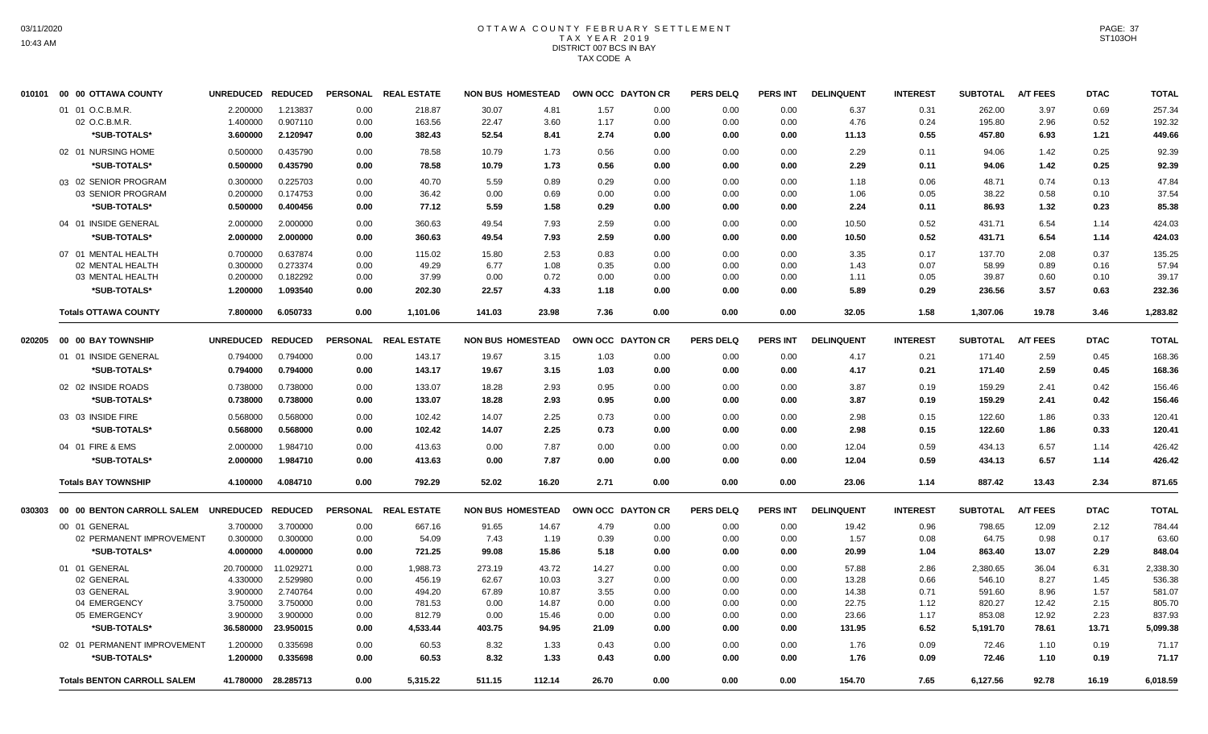# OTTAWA COUNTY FEBRUARY SETTLEMENT TAX YEAR 2019 DISTRICT 007 BCS IN BAY TAX CODE A

|        | 010101 00 00 OTTAWA COUNTY         | UNREDUCED REDUCED |                     |      | PERSONAL REAL ESTATE | <b>NON BUS HOMESTEAD</b> |        | OWN OCC DAYTON CR |      | <b>PERS DELQ</b> | PERS INT        | <b>DELINQUENT</b> | <b>INTEREST</b> | <b>SUBTOTAL</b> | <b>A/T FEES</b> | <b>DTAC</b> | <b>TOTAL</b> |
|--------|------------------------------------|-------------------|---------------------|------|----------------------|--------------------------|--------|-------------------|------|------------------|-----------------|-------------------|-----------------|-----------------|-----------------|-------------|--------------|
|        | 01 01 O.C.B.M.R.                   | 2.200000          | 1.213837            | 0.00 | 218.87               | 30.07                    | 4.81   | 1.57              | 0.00 | 0.00             | 0.00            | 6.37              | 0.31            | 262.00          | 3.97            | 0.69        | 257.34       |
|        | 02 O.C.B.M.R.                      | 1.400000          | 0.907110            | 0.00 | 163.56               | 22.47                    | 3.60   | 1.17              | 0.00 | 0.00             | 0.00            | 4.76              | 0.24            | 195.80          | 2.96            | 0.52        | 192.32       |
|        | *SUB-TOTALS*                       | 3.600000          | 2.120947            | 0.00 | 382.43               | 52.54                    | 8.41   | 2.74              | 0.00 | 0.00             | 0.00            | 11.13             | 0.55            | 457.80          | 6.93            | 1.21        | 449.66       |
|        | 02 01 NURSING HOME                 | 0.500000          | 0.435790            | 0.00 | 78.58                | 10.79                    | 1.73   | 0.56              | 0.00 | 0.00             | 0.00            | 2.29              | 0.11            | 94.06           | 1.42            | 0.25        | 92.39        |
|        | *SUB-TOTALS*                       | 0.500000          | 0.435790            | 0.00 | 78.58                | 10.79                    | 1.73   | 0.56              | 0.00 | 0.00             | 0.00            | 2.29              | 0.11            | 94.06           | 1.42            | 0.25        | 92.39        |
|        | 03 02 SENIOR PROGRAM               | 0.300000          | 0.225703            | 0.00 | 40.70                | 5.59                     | 0.89   | 0.29              | 0.00 | 0.00             | 0.00            | 1.18              | 0.06            | 48.71           | 0.74            | 0.13        | 47.84        |
|        | 03 SENIOR PROGRAM                  | 0.200000          | 0.174753            | 0.00 | 36.42                | 0.00                     | 0.69   | 0.00              | 0.00 | 0.00             | 0.00            | 1.06              | 0.05            | 38.22           | 0.58            | 0.10        | 37.54        |
|        | *SUB-TOTALS*                       | 0.500000          | 0.400456            | 0.00 | 77.12                | 5.59                     | 1.58   | 0.29              | 0.00 | 0.00             | 0.00            | 2.24              | 0.11            | 86.93           | 1.32            | 0.23        | 85.38        |
|        | 04 01 INSIDE GENERAL               | 2.000000          | 2.000000            | 0.00 | 360.63               | 49.54                    | 7.93   | 2.59              | 0.00 | 0.00             | 0.00            | 10.50             | 0.52            | 431.71          | 6.54            | 1.14        | 424.03       |
|        | *SUB-TOTALS*                       | 2.000000          | 2.000000            | 0.00 | 360.63               | 49.54                    | 7.93   | 2.59              | 0.00 | 0.00             | 0.00            | 10.50             | 0.52            | 431.71          | 6.54            | 1.14        | 424.03       |
|        | 07 01 MENTAL HEALTH                | 0.700000          | 0.637874            | 0.00 | 115.02               | 15.80                    | 2.53   | 0.83              | 0.00 | 0.00             | 0.00            | 3.35              | 0.17            | 137.70          | 2.08            | 0.37        | 135.25       |
|        | 02 MENTAL HEALTH                   | 0.300000          | 0.273374            | 0.00 | 49.29                | 6.77                     | 1.08   | 0.35              | 0.00 | 0.00             | 0.00            | 1.43              | 0.07            | 58.99           | 0.89            | 0.16        | 57.94        |
|        | 03 MENTAL HEALTH                   | 0.200000          | 0.182292            | 0.00 | 37.99                | 0.00                     | 0.72   | 0.00              | 0.00 | 0.00             | 0.00            | 1.11              | 0.05            | 39.87           | 0.60            | 0.10        | 39.17        |
|        | *SUB-TOTALS*                       | 1.200000          | 1.093540            | 0.00 | 202.30               | 22.57                    | 4.33   | 1.18              | 0.00 | 0.00             | 0.00            | 5.89              | 0.29            | 236.56          | 3.57            | 0.63        | 232.36       |
|        | <b>Totals OTTAWA COUNTY</b>        | 7.800000          | 6.050733            | 0.00 | 1,101.06             | 141.03                   | 23.98  | 7.36              | 0.00 | 0.00             | 0.00            | 32.05             | 1.58            | 1,307.06        | 19.78           | 3.46        | 1,283.82     |
|        |                                    | UNREDUCED REDUCED |                     |      | PERSONAL REAL ESTATE | <b>NON BUS HOMESTEAD</b> |        | OWN OCC DAYTON CR |      | <b>PERS DELQ</b> | <b>PERS INT</b> | <b>DELINQUENT</b> | <b>INTEREST</b> | <b>SUBTOTAL</b> | <b>A/T FEES</b> | <b>DTAC</b> | <b>TOTAL</b> |
|        | 01 01 INSIDE GENERAL               | 0.794000          | 0.794000            | 0.00 | 143.17               | 19.67                    | 3.15   | 1.03              | 0.00 | 0.00             | 0.00            | 4.17              | 0.21            | 171.40          | 2.59            | 0.45        | 168.36       |
|        | *SUB-TOTALS*                       | 0.794000          | 0.794000            | 0.00 | 143.17               | 19.67                    | 3.15   | 1.03              | 0.00 | 0.00             | 0.00            | 4.17              | 0.21            | 171.40          | 2.59            | 0.45        | 168.36       |
|        | 02 02 INSIDE ROADS                 | 0.738000          | 0.738000            | 0.00 | 133.07               | 18.28                    | 2.93   | 0.95              | 0.00 | 0.00             | 0.00            | 3.87              | 0.19            | 159.29          | 2.41            | 0.42        | 156.46       |
|        | *SUB-TOTALS*                       | 0.738000          | 0.738000            | 0.00 | 133.07               | 18.28                    | 2.93   | 0.95              | 0.00 | 0.00             | 0.00            | 3.87              | 0.19            | 159.29          | 2.41            | 0.42        | 156.46       |
|        | 03 03 INSIDE FIRE                  | 0.568000          | 0.568000            | 0.00 | 102.42               | 14.07                    | 2.25   | 0.73              | 0.00 | 0.00             | 0.00            | 2.98              | 0.15            | 122.60          | 1.86            | 0.33        | 120.41       |
|        | *SUB-TOTALS*                       | 0.568000          | 0.568000            | 0.00 | 102.42               | 14.07                    | 2.25   | 0.73              | 0.00 | 0.00             | 0.00            | 2.98              | 0.15            | 122.60          | 1.86            | 0.33        | 120.41       |
|        | 04 01 FIRE & EMS                   | 2.000000          | 1.984710            | 0.00 | 413.63               | 0.00                     | 7.87   | 0.00              | 0.00 | 0.00             | 0.00            | 12.04             | 0.59            | 434.13          | 6.57            | 1.14        | 426.42       |
|        | *SUB-TOTALS*                       | 2.000000          | 1.984710            | 0.00 | 413.63               | 0.00                     | 7.87   | 0.00              | 0.00 | 0.00             | 0.00            | 12.04             | 0.59            | 434.13          | 6.57            | 1.14        | 426.42       |
|        | <b>Totals BAY TOWNSHIP</b>         | 4.100000          | 4.084710            | 0.00 | 792.29               | 52.02                    | 16.20  | 2.71              | 0.00 | 0.00             | 0.00            | 23.06             | 1.14            | 887.42          | 13.43           | 2.34        | 871.65       |
| 030303 | 00 00 BENTON CARROLL SALEM         | UNREDUCED REDUCED |                     |      | PERSONAL REAL ESTATE | <b>NON BUS HOMESTEAD</b> |        | OWN OCC DAYTON CR |      | <b>PERS DELQ</b> | <b>PERS INT</b> | <b>DELINQUENT</b> | <b>INTEREST</b> | <b>SUBTOTAL</b> | <b>A/T FEES</b> | <b>DTAC</b> | <b>TOTAL</b> |
|        | 00 01 GENERAL                      | 3.700000          | 3.700000            | 0.00 | 667.16               | 91.65                    | 14.67  | 4.79              | 0.00 | 0.00             | 0.00            | 19.42             | 0.96            | 798.65          | 12.09           | 2.12        | 784.44       |
|        | 02 PERMANENT IMPROVEMENT           | 0.300000          | 0.300000            | 0.00 | 54.09                | 7.43                     | 1.19   | 0.39              | 0.00 | 0.00             | 0.00            | 1.57              | 0.08            | 64.75           | 0.98            | 0.17        | 63.60        |
|        | *SUB-TOTALS*                       | 4.000000          | 4.000000            | 0.00 | 721.25               | 99.08                    | 15.86  | 5.18              | 0.00 | 0.00             | 0.00            | 20.99             | 1.04            | 863.40          | 13.07           | 2.29        | 848.04       |
|        | 01 01 GENERAL                      | 20.700000         | 11.029271           | 0.00 | 1,988.73             | 273.19                   | 43.72  | 14.27             | 0.00 | 0.00             | 0.00            | 57.88             | 2.86            | 2,380.65        | 36.04           | 6.31        | 2,338.30     |
|        | 02 GENERAL                         | 4.330000          | 2.529980            | 0.00 | 456.19               | 62.67                    | 10.03  | 3.27              | 0.00 | 0.00             | 0.00            | 13.28             | 0.66            | 546.10          | 8.27            | 1.45        | 536.38       |
|        | 03 GENERAL                         | 3.900000          | 2.740764            | 0.00 | 494.20               | 67.89                    | 10.87  | 3.55              | 0.00 | 0.00             | 0.00            | 14.38             | 0.71            | 591.60          | 8.96            | 1.57        | 581.07       |
|        | 04 EMERGENCY                       | 3.750000          | 3.750000            | 0.00 | 781.53               | 0.00                     | 14.87  | 0.00              | 0.00 | 0.00             | 0.00            | 22.75             | 1.12            | 820.27          | 12.42           | 2.15        | 805.70       |
|        | 05 EMERGENCY                       | 3.900000          | 3.900000            | 0.00 | 812.79               | 0.00                     | 15.46  | 0.00              | 0.00 | 0.00             | 0.00            | 23.66             | 1.17            | 853.08          | 12.92           | 2.23        | 837.93       |
|        | *SUB-TOTALS*                       | 36.580000         | 23.950015           | 0.00 | 4,533.44             | 403.75                   | 94.95  | 21.09             | 0.00 | 0.00             | 0.00            | 131.95            | 6.52            | 5,191.70        | 78.61           | 13.71       | 5,099.38     |
|        | 02 01 PERMANENT IMPROVEMENT        | 1.200000          | 0.335698            | 0.00 | 60.53                | 8.32                     | 1.33   | 0.43              | 0.00 | 0.00             | 0.00            | 1.76              | 0.09            | 72.46           | 1.10            | 0.19        | 71.17        |
|        | *SUB-TOTALS*                       | 1.200000          | 0.335698            | 0.00 | 60.53                | 8.32                     | 1.33   | 0.43              | 0.00 | 0.00             | 0.00            | 1.76              | 0.09            | 72.46           | 1.10            | 0.19        | 71.17        |
|        | <b>Totals BENTON CARROLL SALEM</b> |                   | 41.780000 28.285713 | 0.00 | 5,315.22             | 511.15                   | 112.14 | 26.70             | 0.00 | 0.00             | 0.00            | 154.70            | 7.65            | 6,127.56        | 92.78           | 16.19       | 6,018.59     |
|        |                                    |                   |                     |      |                      |                          |        |                   |      |                  |                 |                   |                 |                 |                 |             |              |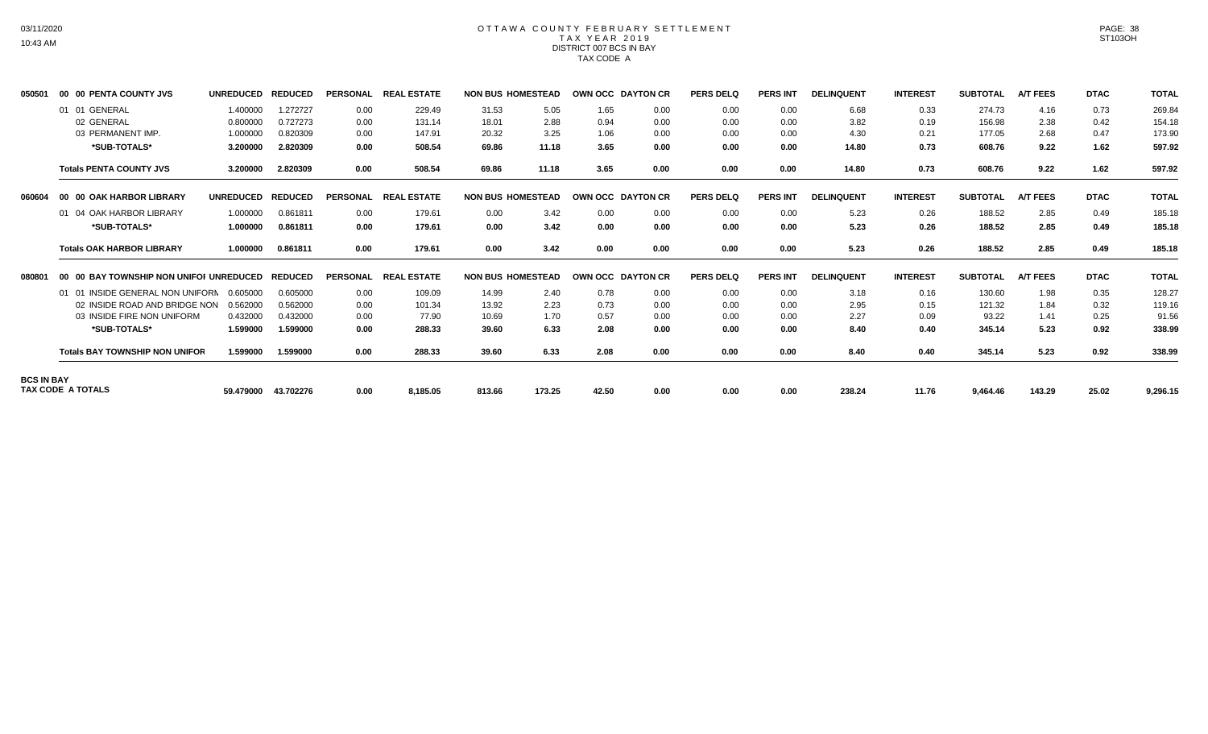# OTTAWA COUNTY FEBRUARY SETTLEMENT TAX YEAR 2019 DISTRICT 007 BCS IN BAY TAX CODE A

| 050501            | 00 00 PENTA COUNTY JVS                  | <b>UNREDUCED</b> | <b>REDUCED</b> | <b>PERSONAL</b> | <b>REAL ESTATE</b> | <b>NON BUS HOMESTEAD</b> |        | <b>OWN OCC DAYTON CR</b> |      | <b>PERS DELQ</b> | <b>PERS INT</b> | <b>DELINQUENT</b> | <b>INTEREST</b> | <b>SUBTOTAL</b> | <b>A/T FEES</b> | <b>DTAC</b> | <b>TOTAL</b> |
|-------------------|-----------------------------------------|------------------|----------------|-----------------|--------------------|--------------------------|--------|--------------------------|------|------------------|-----------------|-------------------|-----------------|-----------------|-----------------|-------------|--------------|
|                   | 01 01 GENERAL                           | 1.400000         | 1.272727       | 0.00            | 229.49             | 31.53                    | 5.05   | 1.65                     | 0.00 | 0.00             | 0.00            | 6.68              | 0.33            | 274.73          | 4.16            | 0.73        | 269.84       |
|                   | 02 GENERAL                              | 0.800000         | 0.727273       | 0.00            | 131.14             | 18.01                    | 2.88   | 0.94                     | 0.00 | 0.00             | 0.00            | 3.82              | 0.19            | 156.98          | 2.38            | 0.42        | 154.18       |
|                   | 03 PERMANENT IMP                        | 1.000000         | 0.820309       | 0.00            | 147.91             | 20.32                    | 3.25   | 1.06                     | 0.00 | 0.00             | 0.00            | 4.30              | 0.21            | 177.05          | 2.68            | 0.47        | 173.90       |
|                   | *SUB-TOTALS*                            | 3.200000         | 2.820309       | 0.00            | 508.54             | 69.86                    | 11.18  | 3.65                     | 0.00 | 0.00             | 0.00            | 14.80             | 0.73            | 608.76          | 9.22            | 1.62        | 597.92       |
|                   | <b>Totals PENTA COUNTY JVS</b>          | 3.200000         | 2.820309       | 0.00            | 508.54             | 69.86                    | 11.18  | 3.65                     | 0.00 | 0.00             | 0.00            | 14.80             | 0.73            | 608.76          | 9.22            | 1.62        | 597.92       |
| 060604            | 00 00 OAK HARBOR LIBRARY                | <b>UNREDUCED</b> | <b>REDUCED</b> | <b>PERSONAL</b> | <b>REAL ESTATE</b> | <b>NON BUS HOMESTEAD</b> |        | OWN OCC DAYTON CR        |      | <b>PERS DELO</b> | <b>PERS INT</b> | <b>DELINQUENT</b> | <b>INTEREST</b> | <b>SUBTOTAL</b> | <b>A/T FEES</b> | <b>DTAC</b> | <b>TOTAL</b> |
|                   | 01 04 OAK HARBOR LIBRARY                | 1.000000         | 0.861811       | 0.00            | 179.61             | 0.00                     | 3.42   | 0.00                     | 0.00 | 0.00             | 0.00            | 5.23              | 0.26            | 188.52          | 2.85            | 0.49        | 185.18       |
|                   | *SUB-TOTALS*                            | 1.000000         | 0.861811       | 0.00            | 179.61             | 0.00                     | 3.42   | 0.00                     | 0.00 | 0.00             | 0.00            | 5.23              | 0.26            | 188.52          | 2.85            | 0.49        | 185.18       |
|                   | <b>Totals OAK HARBOR LIBRARY</b>        | 1.000000         | 0.861811       | 0.00            | 179.61             | 0.00                     | 3.42   | 0.00                     | 0.00 | 0.00             | 0.00            | 5.23              | 0.26            | 188.52          | 2.85            | 0.49        | 185.18       |
| 080801            | 00 00 BAY TOWNSHIP NON UNIFOI UNREDUCED |                  | <b>REDUCED</b> | <b>PERSONAL</b> | <b>REAL ESTATE</b> | <b>NON BUS HOMESTEAD</b> |        | <b>OWN OCC DAYTON CR</b> |      | <b>PERS DELQ</b> | <b>PERS INT</b> | <b>DELINQUENT</b> | <b>INTEREST</b> | <b>SUBTOTAL</b> | <b>A/T FEES</b> | <b>DTAC</b> | <b>TOTAL</b> |
|                   | 01 01 INSIDE GENERAL NON UNIFORN        | 0.605000         | 0.605000       | 0.00            | 109.09             | 14.99                    | 2.40   | 0.78                     | 0.00 | 0.00             | 0.00            | 3.18              | 0.16            | 130.60          | 1.98            | 0.35        | 128.27       |
|                   | 02 INSIDE ROAD AND BRIDGE NON           | 0.562000         | 0.562000       | 0.00            | 101.34             | 13.92                    | 2.23   | 0.73                     | 0.00 | 0.00             | 0.00            | 2.95              | 0.15            | 121.32          | 1.84            | 0.32        | 119.16       |
|                   | 03 INSIDE FIRE NON UNIFORM              | 0.432000         | 0.432000       | 0.00            | 77.90              | 10.69                    | 1.70   | 0.57                     | 0.00 | 0.00             | 0.00            | 2.27              | 0.09            | 93.22           | 1.41            | 0.25        | 91.56        |
|                   | *SUB-TOTALS*                            | 1.599000         | 1.599000       | 0.00            | 288.33             | 39.60                    | 6.33   | 2.08                     | 0.00 | 0.00             | 0.00            | 8.40              | 0.40            | 345.14          | 5.23            | 0.92        | 338.99       |
|                   | <b>Totals BAY TOWNSHIP NON UNIFOR</b>   | 1.599000         | 1.599000       | 0.00            | 288.33             | 39.60                    | 6.33   | 2.08                     | 0.00 | 0.00             | 0.00            | 8.40              | 0.40            | 345.14          | 5.23            | 0.92        | 338.99       |
| <b>BCS IN BAY</b> |                                         |                  |                |                 |                    |                          |        |                          |      |                  |                 |                   |                 |                 |                 |             |              |
|                   | <b>TAX CODE A TOTALS</b>                | 59.479000        | 43.702276      | 0.00            | 8,185.05           | 813.66                   | 173.25 | 42.50                    | 0.00 | 0.00             | 0.00            | 238.24            | 11.76           | 9,464.46        | 143.29          | 25.02       | 9,296.15     |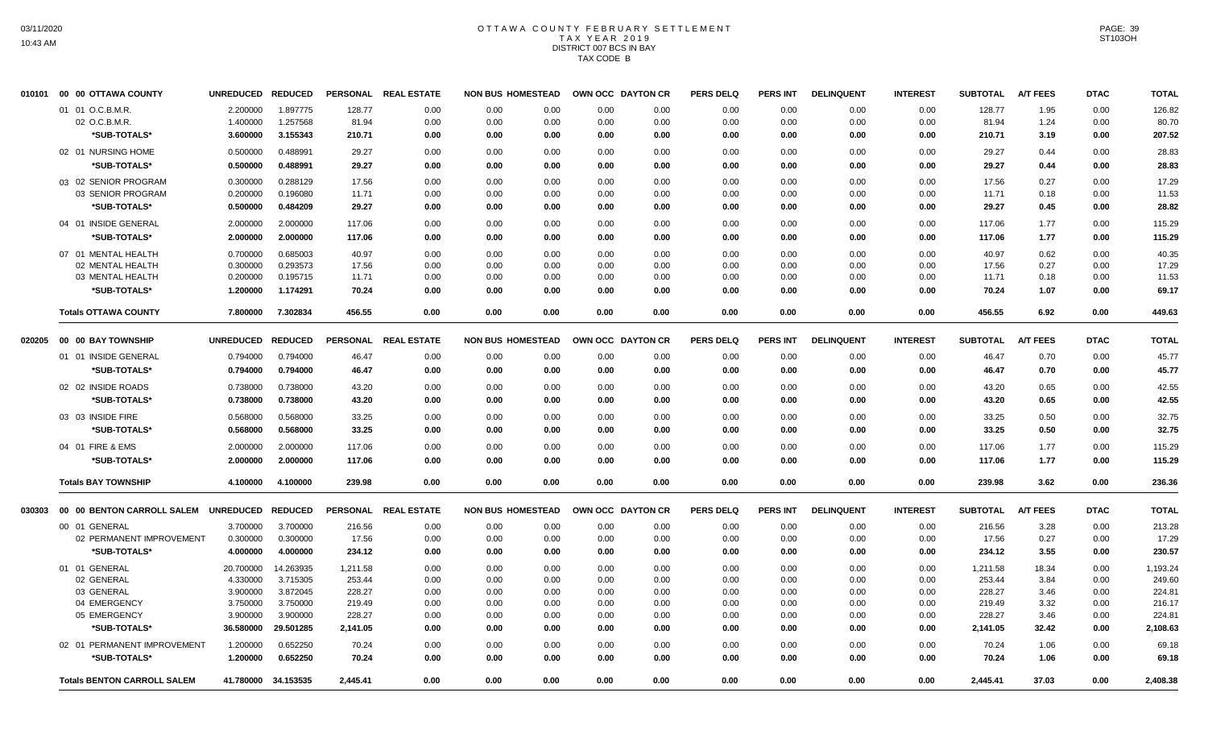# OTTAWA COUNTY FEBRUARY SETTLEMENT TAX YEAR 2019 DISTRICT 007 BCS IN BAY TAX CODE B

| 010101 | 00 00 OTTAWA COUNTY                | <b>UNREDUCED</b>  | <b>REDUCED</b>      |          | PERSONAL REAL ESTATE | <b>NON BUS HOMESTEAD</b> |      | OWN OCC DAYTON CR |      | <b>PERS DELQ</b> | PERS INT        | <b>DELINQUENT</b> | <b>INTEREST</b> | <b>SUBTOTAL</b> | <b>A/T FEES</b> | <b>DTAC</b> | <b>TOTAL</b> |
|--------|------------------------------------|-------------------|---------------------|----------|----------------------|--------------------------|------|-------------------|------|------------------|-----------------|-------------------|-----------------|-----------------|-----------------|-------------|--------------|
|        | 01 01 O.C.B.M.R.                   | 2.200000          | 1.897775            | 128.77   | 0.00                 | 0.00                     | 0.00 | 0.00              | 0.00 | 0.00             | 0.00            | 0.00              | 0.00            | 128.77          | 1.95            | 0.00        | 126.82       |
|        | 02 O.C.B.M.R.                      | 1.400000          | 1.257568            | 81.94    | 0.00                 | 0.00                     | 0.00 | 0.00              | 0.00 | 0.00             | 0.00            | 0.00              | 0.00            | 81.94           | 1.24            | 0.00        | 80.70        |
|        | *SUB-TOTALS*                       | 3.600000          | 3.155343            | 210.71   | 0.00                 | 0.00                     | 0.00 | 0.00              | 0.00 | 0.00             | 0.00            | 0.00              | 0.00            | 210.71          | 3.19            | 0.00        | 207.52       |
|        | 02 01 NURSING HOME                 | 0.500000          | 0.488991            | 29.27    | 0.00                 | 0.00                     | 0.00 | 0.00              | 0.00 | 0.00             | 0.00            | 0.00              | 0.00            | 29.27           | 0.44            | 0.00        | 28.83        |
|        | *SUB-TOTALS*                       | 0.500000          | 0.488991            | 29.27    | 0.00                 | 0.00                     | 0.00 | 0.00              | 0.00 | 0.00             | 0.00            | 0.00              | 0.00            | 29.27           | 0.44            | 0.00        | 28.83        |
|        | 03 02 SENIOR PROGRAM               | 0.300000          | 0.288129            | 17.56    | 0.00                 | 0.00                     | 0.00 | 0.00              | 0.00 | 0.00             | 0.00            | 0.00              | 0.00            | 17.56           | 0.27            | 0.00        | 17.29        |
|        | 03 SENIOR PROGRAM                  | 0.200000          | 0.196080            | 11.71    | 0.00                 | 0.00                     | 0.00 | 0.00              | 0.00 | 0.00             | 0.00            | 0.00              | 0.00            | 11.71           | 0.18            | 0.00        | 11.53        |
|        | *SUB-TOTALS*                       | 0.500000          | 0.484209            | 29.27    | 0.00                 | 0.00                     | 0.00 | 0.00              | 0.00 | 0.00             | 0.00            | 0.00              | 0.00            | 29.27           | 0.45            | 0.00        | 28.82        |
|        | 04 01 INSIDE GENERAL               | 2.000000          | 2.000000            | 117.06   | 0.00                 | 0.00                     | 0.00 | 0.00              | 0.00 | 0.00             | 0.00            | 0.00              | 0.00            | 117.06          | 1.77            | 0.00        | 115.29       |
|        | *SUB-TOTALS*                       | 2.000000          | 2.000000            | 117.06   | 0.00                 | 0.00                     | 0.00 | 0.00              | 0.00 | 0.00             | 0.00            | 0.00              | 0.00            | 117.06          | 1.77            | 0.00        | 115.29       |
|        | 07 01 MENTAL HEALTH                | 0.700000          | 0.685003            | 40.97    | 0.00                 | 0.00                     | 0.00 | 0.00              | 0.00 | 0.00             | 0.00            | 0.00              | 0.00            | 40.97           | 0.62            | 0.00        | 40.35        |
|        | 02 MENTAL HEALTH                   | 0.300000          | 0.293573            | 17.56    | 0.00                 | 0.00                     | 0.00 | 0.00              | 0.00 | 0.00             | 0.00            | 0.00              | 0.00            | 17.56           | 0.27            | 0.00        | 17.29        |
|        | 03 MENTAL HEALTH                   | 0.200000          | 0.195715            | 11.71    | 0.00                 | 0.00                     | 0.00 | 0.00              | 0.00 | 0.00             | 0.00            | 0.00              | 0.00            | 11.71           | 0.18            | 0.00        | 11.53        |
|        | *SUB-TOTALS*                       | 1.200000          | 1.174291            | 70.24    | 0.00                 | 0.00                     | 0.00 | 0.00              | 0.00 | 0.00             | 0.00            | 0.00              | 0.00            | 70.24           | 1.07            | 0.00        | 69.17        |
|        | <b>Totals OTTAWA COUNTY</b>        | 7.800000          | 7.302834            | 456.55   | 0.00                 | 0.00                     | 0.00 | 0.00              | 0.00 | 0.00             | 0.00            | 0.00              | 0.00            | 456.55          | 6.92            | 0.00        | 449.63       |
|        |                                    | UNREDUCED REDUCED |                     |          | PERSONAL REAL ESTATE | <b>NON BUS HOMESTEAD</b> |      | OWN OCC DAYTON CR |      | <b>PERS DELQ</b> | <b>PERS INT</b> | <b>DELINQUENT</b> | <b>INTEREST</b> | <b>SUBTOTAL</b> | <b>A/T FEES</b> | <b>DTAC</b> | <b>TOTAL</b> |
|        | 01 01 INSIDE GENERAL               | 0.794000          | 0.794000            | 46.47    | 0.00                 | 0.00                     | 0.00 | 0.00              | 0.00 | 0.00             | 0.00            | 0.00              | 0.00            | 46.47           | 0.70            | 0.00        | 45.77        |
|        | *SUB-TOTALS*                       | 0.794000          | 0.794000            | 46.47    | 0.00                 | 0.00                     | 0.00 | 0.00              | 0.00 | 0.00             | 0.00            | 0.00              | 0.00            | 46.47           | 0.70            | 0.00        | 45.77        |
|        | 02 02 INSIDE ROADS                 | 0.738000          | 0.738000            | 43.20    | 0.00                 | 0.00                     | 0.00 | 0.00              | 0.00 | 0.00             | 0.00            | 0.00              | 0.00            | 43.20           | 0.65            | 0.00        | 42.55        |
|        | *SUB-TOTALS*                       | 0.738000          | 0.738000            | 43.20    | 0.00                 | 0.00                     | 0.00 | 0.00              | 0.00 | 0.00             | 0.00            | 0.00              | 0.00            | 43.20           | 0.65            | 0.00        | 42.55        |
|        | 03 03 INSIDE FIRE                  | 0.568000          | 0.568000            | 33.25    | 0.00                 | 0.00                     | 0.00 | 0.00              | 0.00 | 0.00             | 0.00            | 0.00              | 0.00            | 33.25           | 0.50            | 0.00        | 32.75        |
|        | *SUB-TOTALS*                       | 0.568000          | 0.568000            | 33.25    | 0.00                 | 0.00                     | 0.00 | 0.00              | 0.00 | 0.00             | 0.00            | 0.00              | 0.00            | 33.25           | 0.50            | 0.00        | 32.75        |
|        | 04 01 FIRE & EMS                   | 2.000000          | 2.000000            | 117.06   | 0.00                 | 0.00                     | 0.00 | 0.00              | 0.00 | 0.00             | 0.00            | 0.00              | 0.00            | 117.06          | 1.77            | 0.00        | 115.29       |
|        | *SUB-TOTALS*                       | 2.000000          | 2.000000            | 117.06   | 0.00                 | 0.00                     | 0.00 | 0.00              | 0.00 | 0.00             | 0.00            | 0.00              | 0.00            | 117.06          | 1.77            | 0.00        | 115.29       |
|        | <b>Totals BAY TOWNSHIP</b>         | 4.100000          | 4.100000            | 239.98   | 0.00                 | 0.00                     | 0.00 | 0.00              | 0.00 | 0.00             | 0.00            | 0.00              | 0.00            | 239.98          | 3.62            | 0.00        | 236.36       |
| 030303 | 00 00 BENTON CARROLL SALEM         | UNREDUCED REDUCED |                     |          | PERSONAL REAL ESTATE | <b>NON BUS HOMESTEAD</b> |      | OWN OCC DAYTON CR |      | <b>PERS DELQ</b> | <b>PERS INT</b> | <b>DELINQUENT</b> | <b>INTEREST</b> | <b>SUBTOTAL</b> | <b>A/T FEES</b> | <b>DTAC</b> | <b>TOTAL</b> |
|        | 00 01 GENERAL                      | 3.700000          | 3.700000            | 216.56   | 0.00                 | 0.00                     | 0.00 | 0.00              | 0.00 | 0.00             | 0.00            | 0.00              | 0.00            | 216.56          | 3.28            | 0.00        | 213.28       |
|        | 02 PERMANENT IMPROVEMENT           | 0.300000          | 0.300000            | 17.56    | 0.00                 | 0.00                     | 0.00 | 0.00              | 0.00 | 0.00             | 0.00            | 0.00              | 0.00            | 17.56           | 0.27            | 0.00        | 17.29        |
|        | *SUB-TOTALS*                       | 4.000000          | 4.000000            | 234.12   | 0.00                 | 0.00                     | 0.00 | 0.00              | 0.00 | 0.00             | 0.00            | 0.00              | 0.00            | 234.12          | 3.55            | 0.00        | 230.57       |
|        | 01 01 GENERAL                      | 20.700000         | 14.263935           | 1,211.58 | 0.00                 | 0.00                     | 0.00 | 0.00              | 0.00 | 0.00             | 0.00            | 0.00              | 0.00            | 1,211.58        | 18.34           | 0.00        | 1,193.24     |
|        | 02 GENERAL                         | 4.330000          | 3.715305            | 253.44   | 0.00                 | 0.00                     | 0.00 | 0.00              | 0.00 | 0.00             | 0.00            | 0.00              | 0.00            | 253.44          | 3.84            | 0.00        | 249.60       |
|        | 03 GENERAL                         | 3.900000          | 3.872045            | 228.27   | 0.00                 | 0.00                     | 0.00 | 0.00              | 0.00 | 0.00             | 0.00            | 0.00              | 0.00            | 228.27          | 3.46            | 0.00        | 224.81       |
|        | 04 EMERGENCY                       | 3.750000          | 3.750000            | 219.49   | 0.00                 | 0.00                     | 0.00 | 0.00              | 0.00 | 0.00             | 0.00            | 0.00              | 0.00            | 219.49          | 3.32            | 0.00        | 216.17       |
|        | 05 EMERGENCY                       | 3.900000          | 3.900000            | 228.27   | 0.00                 | 0.00                     | 0.00 | 0.00              | 0.00 | 0.00             | 0.00            | 0.00              | 0.00            | 228.27          | 3.46            | 0.00        | 224.81       |
|        | *SUB-TOTALS*                       | 36.580000         | 29.501285           | 2,141.05 | 0.00                 | 0.00                     | 0.00 | 0.00              | 0.00 | 0.00             | 0.00            | 0.00              | 0.00            | 2,141.05        | 32.42           | 0.00        | 2,108.63     |
|        | 02 01 PERMANENT IMPROVEMENT        | 1.200000          | 0.652250            | 70.24    | 0.00                 | 0.00                     | 0.00 | 0.00              | 0.00 | 0.00             | 0.00            | 0.00              | 0.00            | 70.24           | 1.06            | 0.00        | 69.18        |
|        | *SUB-TOTALS*                       | 1.200000          | 0.652250            | 70.24    | 0.00                 | 0.00                     | 0.00 | 0.00              | 0.00 | 0.00             | 0.00            | 0.00              | 0.00            | 70.24           | 1.06            | 0.00        | 69.18        |
|        | <b>Totals BENTON CARROLL SALEM</b> |                   | 41.780000 34.153535 | 2.445.41 | 0.00                 | 0.00                     | 0.00 | 0.00              | 0.00 | 0.00             | 0.00            | 0.00              | 0.00            | 2,445.41        | 37.03           | 0.00        | 2,408.38     |
|        |                                    |                   |                     |          |                      |                          |      |                   |      |                  |                 |                   |                 |                 |                 |             |              |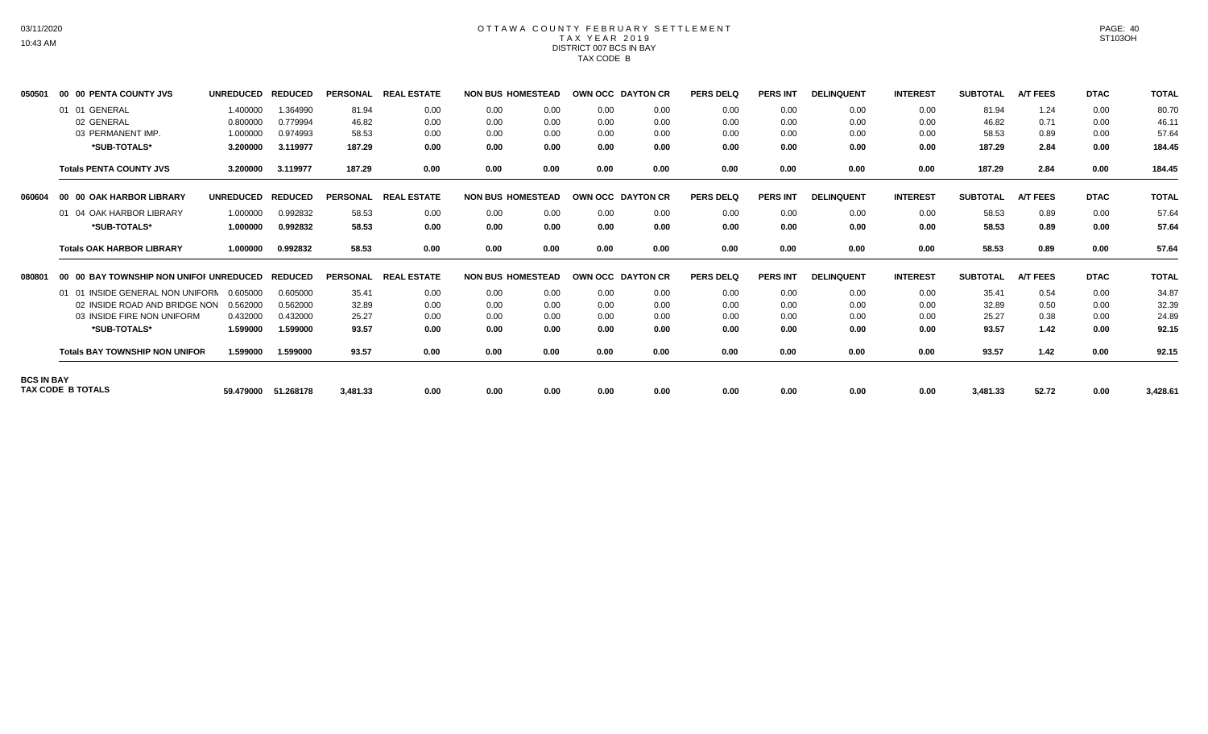# OTTAWA COUNTY FEBRUARY SETTLEMENT TAX YEAR 2019 DISTRICT 007 BCS IN BAY TAX CODE B

| 050501            | 00 00 PENTA COUNTY JVS                  | <b>UNREDUCED</b> | <b>REDUCED</b> | <b>PERSONAL</b> | <b>REAL ESTATE</b> | <b>NON BUS HOMESTEAD</b> |      | OWN OCC DAYTON CR        |      | <b>PERS DELQ</b> | <b>PERS INT</b> | <b>DELINQUENT</b> | <b>INTEREST</b> | <b>SUBTOTAL</b> | <b>A/T FEES</b> | <b>DTAC</b> | <b>TOTAL</b> |
|-------------------|-----------------------------------------|------------------|----------------|-----------------|--------------------|--------------------------|------|--------------------------|------|------------------|-----------------|-------------------|-----------------|-----------------|-----------------|-------------|--------------|
|                   | 01 01 GENERAL                           | 1.400000         | 1.364990       | 81.94           | 0.00               | 0.00                     | 0.00 | 0.00                     | 0.00 | 0.00             | 0.00            | 0.00              | 0.00            | 81.94           | 1.24            | 0.00        | 80.70        |
|                   | 02 GENERAL                              | 0.800000         | 0.779994       | 46.82           | 0.00               | 0.00                     | 0.00 | 0.00                     | 0.00 | 0.00             | 0.00            | 0.00              | 0.00            | 46.82           | 0.71            | 0.00        | 46.11        |
|                   | 03 PERMANENT IMP                        | 1.000000         | 0.974993       | 58.53           | 0.00               | 0.00                     | 0.00 | 0.00                     | 0.00 | 0.00             | 0.00            | 0.00              | 0.00            | 58.53           | 0.89            | 0.00        | 57.64        |
|                   | *SUB-TOTALS*                            | 3.200000         | 3.119977       | 187.29          | 0.00               | 0.00                     | 0.00 | 0.00                     | 0.00 | 0.00             | 0.00            | 0.00              | 0.00            | 187.29          | 2.84            | 0.00        | 184.45       |
|                   | <b>Totals PENTA COUNTY JVS</b>          | 3.200000         | 3.119977       | 187.29          | 0.00               | 0.00                     | 0.00 | 0.00                     | 0.00 | 0.00             | 0.00            | 0.00              | 0.00            | 187.29          | 2.84            | 0.00        | 184.45       |
| 060604            | 00 00 OAK HARBOR LIBRARY                | <b>UNREDUCED</b> | <b>REDUCED</b> | <b>PERSONAL</b> | <b>REAL ESTATE</b> | <b>NON BUS HOMESTEAD</b> |      | <b>OWN OCC DAYTON CR</b> |      | <b>PERS DELQ</b> | <b>PERS INT</b> | <b>DELINQUENT</b> | <b>INTEREST</b> | <b>SUBTOTAL</b> | <b>A/T FEES</b> | <b>DTAC</b> | <b>TOTAL</b> |
|                   | 01 04 OAK HARBOR LIBRARY                | 1.000000         | 0.992832       | 58.53           | 0.00               | 0.00                     | 0.00 | 0.00                     | 0.00 | 0.00             | 0.00            | 0.00              | 0.00            | 58.53           | 0.89            | 0.00        | 57.64        |
|                   | *SUB-TOTALS*                            | 1.000000         | 0.992832       | 58.53           | 0.00               | 0.00                     | 0.00 | 0.00                     | 0.00 | 0.00             | 0.00            | 0.00              | 0.00            | 58.53           | 0.89            | 0.00        | 57.64        |
|                   | <b>Totals OAK HARBOR LIBRARY</b>        | 1.000000         | 0.992832       | 58.53           | 0.00               | 0.00                     | 0.00 | 0.00                     | 0.00 | 0.00             | 0.00            | 0.00              | 0.00            | 58.53           | 0.89            | 0.00        | 57.64        |
| 080801            | 00 00 BAY TOWNSHIP NON UNIFOI UNREDUCED |                  | <b>REDUCED</b> | <b>PERSONAL</b> | <b>REAL ESTATE</b> | <b>NON BUS HOMESTEAD</b> |      | OWN OCC DAYTON CR        |      | <b>PERS DELQ</b> | <b>PERS INT</b> | <b>DELINQUENT</b> | <b>INTEREST</b> | <b>SUBTOTAL</b> | <b>A/T FEES</b> | <b>DTAC</b> | <b>TOTAL</b> |
|                   | 01 01 INSIDE GENERAL NON UNIFORN        | 0.605000         | 0.605000       | 35.41           | 0.00               | 0.00                     | 0.00 | 0.00                     | 0.00 | 0.00             | 0.00            | 0.00              | 0.00            | 35.41           | 0.54            | 0.00        | 34.87        |
|                   | 02 INSIDE ROAD AND BRIDGE NON           | 0.562000         | 0.562000       | 32.89           | 0.00               | 0.00                     | 0.00 | 0.00                     | 0.00 | 0.00             | 0.00            | 0.00              | 0.00            | 32.89           | 0.50            | 0.00        | 32.39        |
|                   | 03 INSIDE FIRE NON UNIFORM              | 0.432000         | 0.432000       | 25.27           | 0.00               | 0.00                     | 0.00 | 0.00                     | 0.00 | 0.00             | 0.00            | 0.00              | 0.00            | 25.27           | 0.38            | 0.00        | 24.89        |
|                   | *SUB-TOTALS*                            | 1.599000         | 1.599000       | 93.57           | 0.00               | 0.00                     | 0.00 | 0.00                     | 0.00 | 0.00             | 0.00            | 0.00              | 0.00            | 93.57           | 1.42            | 0.00        | 92.15        |
|                   | <b>Totals BAY TOWNSHIP NON UNIFOR</b>   | 1.599000         | 1.599000       | 93.57           | 0.00               | 0.00                     | 0.00 | 0.00                     | 0.00 | 0.00             | 0.00            | 0.00              | 0.00            | 93.57           | 1.42            | 0.00        | 92.15        |
| <b>BCS IN BAY</b> |                                         |                  |                |                 |                    |                          |      |                          |      |                  |                 |                   |                 |                 |                 |             |              |
|                   | <b>TAX CODE B TOTALS</b>                | 59.479000        | 51.268178      | 3,481.33        | 0.00               | 0.00                     | 0.00 | 0.00                     | 0.00 | 0.00             | 0.00            | 0.00              | 0.00            | 3,481.33        | 52.72           | 0.00        | 3,428.61     |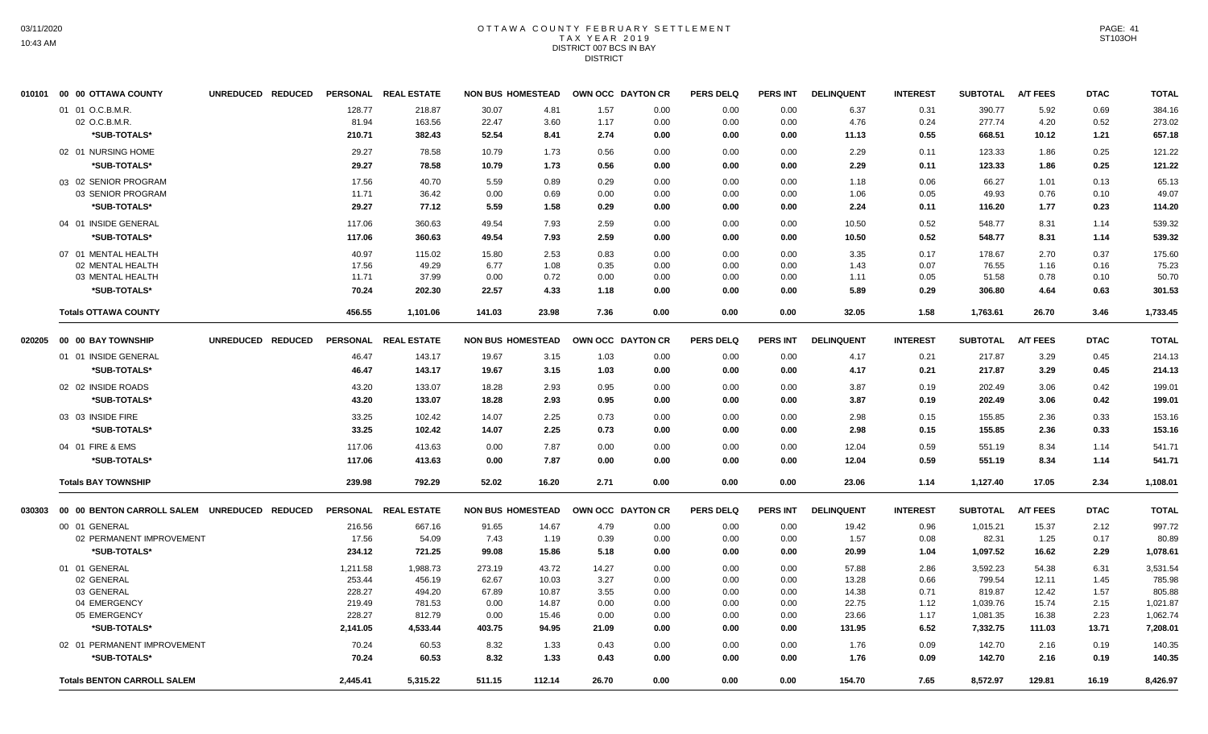#### OTTAWA COUNTY FEBRUARY SETTLEMENT T A X Y E A R 2 0 1 9 DISTRICT 007 BCS IN BAY **DISTRICT**

| 1.57<br>01 01 O.C.B.M.R.<br>128.77<br>218.87<br>30.07<br>4.81<br>0.00<br>0.00<br>6.37<br>0.31<br>390.77<br>5.92<br>0.69<br>0.00<br>02 O.C.B.M.R.<br>81.94<br>163.56<br>22.47<br>3.60<br>1.17<br>0.00<br>0.00<br>0.00<br>4.76<br>0.24<br>277.74<br>4.20<br>0.52<br>*SUB-TOTALS*<br>210.71<br>382.43<br>52.54<br>8.41<br>2.74<br>0.00<br>0.00<br>0.00<br>11.13<br>0.55<br>668.51<br>10.12<br>1.21<br>02 01 NURSING HOME<br>29.27<br>78.58<br>10.79<br>1.73<br>0.56<br>0.00<br>0.00<br>0.00<br>2.29<br>0.11<br>123.33<br>1.86<br>0.25<br>78.58<br>1.73<br>1.86<br>0.25<br>*SUB-TOTALS*<br>29.27<br>10.79<br>0.56<br>0.00<br>0.00<br>0.00<br>2.29<br>0.11<br>123.33<br>03 02 SENIOR PROGRAM<br>17.56<br>40.70<br>5.59<br>0.89<br>0.29<br>0.00<br>0.00<br>0.06<br>66.27<br>1.01<br>0.13<br>0.00<br>1.18<br>0.00<br>03 SENIOR PROGRAM<br>11.71<br>36.42<br>0.69<br>0.00<br>0.00<br>0.00<br>0.00<br>1.06<br>0.05<br>49.93<br>0.76<br>0.10<br>*SUB-TOTALS*<br>29.27<br>77.12<br>5.59<br>1.58<br>0.29<br>0.00<br>0.00<br>116.20<br>1.77<br>0.23<br>0.00<br>2.24<br>0.11<br>04 01 INSIDE GENERAL<br>360.63<br>49.54<br>7.93<br>548.77<br>117.06<br>2.59<br>0.00<br>0.00<br>0.00<br>10.50<br>0.52<br>8.31<br>1.14<br>*SUB-TOTALS*<br>7.93<br>0.52<br>8.31<br>117.06<br>360.63<br>49.54<br>2.59<br>0.00<br>0.00<br>0.00<br>10.50<br>548.77<br>1.14<br>07 01 MENTAL HEALTH<br>2.53<br>0.17<br>178.67<br>2.70<br>0.37<br>40.97<br>115.02<br>15.80<br>0.83<br>0.00<br>0.00<br>0.00<br>3.35<br>02 MENTAL HEALTH<br>17.56<br>49.29<br>6.77<br>1.08<br>76.55<br>1.16<br>0.35<br>0.00<br>0.00<br>0.00<br>1.43<br>0.07<br>0.16<br>03 MENTAL HEALTH<br>11.71<br>37.99<br>0.00<br>0.72<br>0.00<br>0.00<br>0.00<br>0.05<br>51.58<br>0.78<br>0.10<br>0.00<br>1.11<br>*SUB-TOTALS*<br>0.63<br>70.24<br>202.30<br>22.57<br>4.33<br>1.18<br>0.00<br>0.00<br>0.00<br>5.89<br>0.29<br>306.80<br>4.64<br>456.55<br><b>Totals OTTAWA COUNTY</b><br>1,101.06<br>141.03<br>23.98<br>7.36<br>0.00<br>0.00<br>0.00<br>32.05<br>1.58<br>1,763.61<br>26.70<br>3.46<br>UNREDUCED REDUCED<br>PERSONAL REAL ESTATE<br><b>NON BUS HOMESTEAD</b><br>OWN OCC DAYTON CR<br><b>PERS DELQ</b><br><b>PERS INT</b><br><b>DELINQUENT</b><br><b>INTEREST</b><br><b>SUBTOTAL</b><br><b>A/T FEES</b><br><b>DTAC</b><br>00 00 BAY TOWNSHIP<br>020205<br>4.17<br>217.87<br>01 01 INSIDE GENERAL<br>46.47<br>143.17<br>19.67<br>3.15<br>1.03<br>0.00<br>0.00<br>0.00<br>0.21<br>3.29<br>0.45<br>*SUB-TOTALS*<br>46.47<br>143.17<br>19.67<br>3.15<br>1.03<br>0.00<br>0.00<br>0.00<br>4.17<br>0.21<br>217.87<br>3.29<br>0.45<br>02 02 INSIDE ROADS<br>43.20<br>133.07<br>18.28<br>2.93<br>0.95<br>0.00<br>0.00<br>3.87<br>0.19<br>202.49<br>3.06<br>0.42<br>0.00<br>*SUB-TOTALS*<br>2.93<br>0.95<br>202.49<br>3.06<br>0.42<br>43.20<br>133.07<br>18.28<br>0.00<br>0.00<br>0.00<br>3.87<br>0.19<br>2.25<br>2.36<br>03 03 INSIDE FIRE<br>33.25<br>102.42<br>14.07<br>0.73<br>0.00<br>0.00<br>0.00<br>2.98<br>0.15<br>155.85<br>0.33<br>153.16<br>33.25<br>2.25<br>2.36<br>0.33<br>*SUB-TOTALS*<br>102.42<br>14.07<br>0.73<br>0.00<br>0.00<br>2.98<br>0.15<br>155.85<br>0.00<br>04 01 FIRE & EMS<br>7.87<br>117.06<br>413.63<br>0.00<br>0.00<br>0.00<br>0.00<br>0.00<br>12.04<br>0.59<br>551.19<br>8.34<br>1.14<br>541.71<br>*SUB-TOTALS*<br>117.06<br>7.87<br>0.59<br>551.19<br>8.34<br>1.14<br>541.71<br>413.63<br>0.00<br>0.00<br>0.00<br>0.00<br>0.00<br>12.04<br><b>Totals BAY TOWNSHIP</b><br>239.98<br>792.29<br>52.02<br>16.20<br>2.71<br>0.00<br>1,127.40<br>17.05<br>2.34<br>0.00<br>0.00<br>23.06<br>1.14<br>00 00 BENTON CARROLL SALEM UNREDUCED REDUCED<br>PERSONAL REAL ESTATE<br><b>NON BUS HOMESTEAD</b><br>OWN OCC DAYTON CR<br><b>PERS DELQ</b><br><b>PERS INT</b><br><b>DELINQUENT</b><br><b>INTEREST</b><br><b>SUBTOTAL</b><br><b>A/T FEES</b><br><b>DTAC</b><br>030303<br>216.56<br>667.16<br>91.65<br>14.67<br>0.00<br>0.00<br>0.96<br>1,015.21<br>15.37<br>2.12<br>00 01 GENERAL<br>4.79<br>0.00<br>19.42<br>02 PERMANENT IMPROVEMENT<br>17.56<br>54.09<br>7.43<br>1.19<br>0.39<br>0.00<br>0.00<br>0.08<br>82.31<br>1.25<br>0.17<br>0.00<br>1.57<br>*SUB-TOTALS*<br>234.12<br>15.86<br>1,097.52<br>16.62<br>2.29<br>721.25<br>99.08<br>5.18<br>0.00<br>0.00<br>0.00<br>20.99<br>1.04<br>01 01 GENERAL<br>273.19<br>43.72<br>14.27<br>3,592.23<br>54.38<br>1,211.58<br>1,988.73<br>0.00<br>0.00<br>0.00<br>57.88<br>2.86<br>6.31<br>02 GENERAL<br>253.44<br>456.19<br>62.67<br>3.27<br>0.00<br>0.00<br>0.66<br>799.54<br>12.11<br>1.45<br>10.03<br>0.00<br>13.28<br>228.27<br>10.87<br>3.55<br>0.00<br>0.00<br>14.38<br>0.71<br>12.42<br>1.57<br>03 GENERAL<br>494.20<br>67.89<br>0.00<br>819.87<br>04 EMERGENCY<br>219.49<br>781.53<br>0.00<br>14.87<br>0.00<br>0.00<br>0.00<br>0.00<br>22.75<br>1.12<br>1,039.76<br>15.74<br>2.15<br>05 EMERGENCY<br>228.27<br>812.79<br>0.00<br>15.46<br>0.00<br>0.00<br>0.00<br>0.00<br>1.17<br>16.38<br>2.23<br>23.66<br>1,081.35<br>*SUB-TOTALS*<br>2,141.05<br>4,533.44<br>94.95<br>6.52<br>7,332.75<br>111.03<br>403.75<br>21.09<br>0.00<br>0.00<br>0.00<br>131.95<br>13.71<br>02 01 PERMANENT IMPROVEMENT<br>70.24<br>60.53<br>8.32<br>1.33<br>0.00<br>0.00<br>0.09<br>142.70<br>0.19<br>0.43<br>0.00<br>1.76<br>2.16<br>*SUB-TOTALS*<br>70.24<br>60.53<br>8.32<br>1.33<br>0.43<br>0.00<br>0.00<br>1.76<br>0.09<br>142.70<br>2.16<br>0.19<br>0.00<br>154.70<br>7.65<br>8,572.97<br>129.81<br>16.19<br><b>Totals BENTON CARROLL SALEM</b><br>2,445.41<br>5,315.22<br>511.15<br>112.14<br>26.70<br>0.00<br>0.00<br>0.00 | 010101 | 00 00 OTTAWA COUNTY | UNREDUCED REDUCED | PERSONAL REAL ESTATE | <b>NON BUS HOMESTEAD</b> |  | OWN OCC DAYTON CR | <b>PERS DELQ</b> | <b>PERS INT</b> | <b>DELINQUENT</b> | <b>INTEREST</b> | <b>SUBTOTAL</b> | <b>A/T FEES</b> | <b>DTAC</b> | <b>TOTAL</b> |
|--------------------------------------------------------------------------------------------------------------------------------------------------------------------------------------------------------------------------------------------------------------------------------------------------------------------------------------------------------------------------------------------------------------------------------------------------------------------------------------------------------------------------------------------------------------------------------------------------------------------------------------------------------------------------------------------------------------------------------------------------------------------------------------------------------------------------------------------------------------------------------------------------------------------------------------------------------------------------------------------------------------------------------------------------------------------------------------------------------------------------------------------------------------------------------------------------------------------------------------------------------------------------------------------------------------------------------------------------------------------------------------------------------------------------------------------------------------------------------------------------------------------------------------------------------------------------------------------------------------------------------------------------------------------------------------------------------------------------------------------------------------------------------------------------------------------------------------------------------------------------------------------------------------------------------------------------------------------------------------------------------------------------------------------------------------------------------------------------------------------------------------------------------------------------------------------------------------------------------------------------------------------------------------------------------------------------------------------------------------------------------------------------------------------------------------------------------------------------------------------------------------------------------------------------------------------------------------------------------------------------------------------------------------------------------------------------------------------------------------------------------------------------------------------------------------------------------------------------------------------------------------------------------------------------------------------------------------------------------------------------------------------------------------------------------------------------------------------------------------------------------------------------------------------------------------------------------------------------------------------------------------------------------------------------------------------------------------------------------------------------------------------------------------------------------------------------------------------------------------------------------------------------------------------------------------------------------------------------------------------------------------------------------------------------------------------------------------------------------------------------------------------------------------------------------------------------------------------------------------------------------------------------------------------------------------------------------------------------------------------------------------------------------------------------------------------------------------------------------------------------------------------------------------------------------------------------------------------------------------------------------------------------------------------------------------------------------------------------------------------------------------------------------------------------------------------------------------------------------------------------------------------------------------------------------------------------------------------------------------------------------------------------------------------------------------------------------------------------------------------------------------------------------------------------------------------------------------------------------------------------------------------------------------------------------------------------------------------------------------------------------------------------------------------------------------------------------------------------------------------------------------------------------------------------------------------------------------------------------------------------------------------------------------------------------------------------------------------------------------------------------------------------------------------------------------------------------------------------------------------------------------------------|--------|---------------------|-------------------|----------------------|--------------------------|--|-------------------|------------------|-----------------|-------------------|-----------------|-----------------|-----------------|-------------|--------------|
|                                                                                                                                                                                                                                                                                                                                                                                                                                                                                                                                                                                                                                                                                                                                                                                                                                                                                                                                                                                                                                                                                                                                                                                                                                                                                                                                                                                                                                                                                                                                                                                                                                                                                                                                                                                                                                                                                                                                                                                                                                                                                                                                                                                                                                                                                                                                                                                                                                                                                                                                                                                                                                                                                                                                                                                                                                                                                                                                                                                                                                                                                                                                                                                                                                                                                                                                                                                                                                                                                                                                                                                                                                                                                                                                                                                                                                                                                                                                                                                                                                                                                                                                                                                                                                                                                                                                                                                                                                                                                                                                                                                                                                                                                                                                                                                                                                                                                                                                                                                                                                                                                                                                                                                                                                                                                                                                                                                                                                                                                                                          |        |                     |                   |                      |                          |  |                   |                  |                 |                   |                 |                 |                 |             | 384.16       |
|                                                                                                                                                                                                                                                                                                                                                                                                                                                                                                                                                                                                                                                                                                                                                                                                                                                                                                                                                                                                                                                                                                                                                                                                                                                                                                                                                                                                                                                                                                                                                                                                                                                                                                                                                                                                                                                                                                                                                                                                                                                                                                                                                                                                                                                                                                                                                                                                                                                                                                                                                                                                                                                                                                                                                                                                                                                                                                                                                                                                                                                                                                                                                                                                                                                                                                                                                                                                                                                                                                                                                                                                                                                                                                                                                                                                                                                                                                                                                                                                                                                                                                                                                                                                                                                                                                                                                                                                                                                                                                                                                                                                                                                                                                                                                                                                                                                                                                                                                                                                                                                                                                                                                                                                                                                                                                                                                                                                                                                                                                                          |        |                     |                   |                      |                          |  |                   |                  |                 |                   |                 |                 |                 |             | 273.02       |
|                                                                                                                                                                                                                                                                                                                                                                                                                                                                                                                                                                                                                                                                                                                                                                                                                                                                                                                                                                                                                                                                                                                                                                                                                                                                                                                                                                                                                                                                                                                                                                                                                                                                                                                                                                                                                                                                                                                                                                                                                                                                                                                                                                                                                                                                                                                                                                                                                                                                                                                                                                                                                                                                                                                                                                                                                                                                                                                                                                                                                                                                                                                                                                                                                                                                                                                                                                                                                                                                                                                                                                                                                                                                                                                                                                                                                                                                                                                                                                                                                                                                                                                                                                                                                                                                                                                                                                                                                                                                                                                                                                                                                                                                                                                                                                                                                                                                                                                                                                                                                                                                                                                                                                                                                                                                                                                                                                                                                                                                                                                          |        |                     |                   |                      |                          |  |                   |                  |                 |                   |                 |                 |                 |             | 657.18       |
|                                                                                                                                                                                                                                                                                                                                                                                                                                                                                                                                                                                                                                                                                                                                                                                                                                                                                                                                                                                                                                                                                                                                                                                                                                                                                                                                                                                                                                                                                                                                                                                                                                                                                                                                                                                                                                                                                                                                                                                                                                                                                                                                                                                                                                                                                                                                                                                                                                                                                                                                                                                                                                                                                                                                                                                                                                                                                                                                                                                                                                                                                                                                                                                                                                                                                                                                                                                                                                                                                                                                                                                                                                                                                                                                                                                                                                                                                                                                                                                                                                                                                                                                                                                                                                                                                                                                                                                                                                                                                                                                                                                                                                                                                                                                                                                                                                                                                                                                                                                                                                                                                                                                                                                                                                                                                                                                                                                                                                                                                                                          |        |                     |                   |                      |                          |  |                   |                  |                 |                   |                 |                 |                 |             | 121.22       |
|                                                                                                                                                                                                                                                                                                                                                                                                                                                                                                                                                                                                                                                                                                                                                                                                                                                                                                                                                                                                                                                                                                                                                                                                                                                                                                                                                                                                                                                                                                                                                                                                                                                                                                                                                                                                                                                                                                                                                                                                                                                                                                                                                                                                                                                                                                                                                                                                                                                                                                                                                                                                                                                                                                                                                                                                                                                                                                                                                                                                                                                                                                                                                                                                                                                                                                                                                                                                                                                                                                                                                                                                                                                                                                                                                                                                                                                                                                                                                                                                                                                                                                                                                                                                                                                                                                                                                                                                                                                                                                                                                                                                                                                                                                                                                                                                                                                                                                                                                                                                                                                                                                                                                                                                                                                                                                                                                                                                                                                                                                                          |        |                     |                   |                      |                          |  |                   |                  |                 |                   |                 |                 |                 |             | 121.22       |
|                                                                                                                                                                                                                                                                                                                                                                                                                                                                                                                                                                                                                                                                                                                                                                                                                                                                                                                                                                                                                                                                                                                                                                                                                                                                                                                                                                                                                                                                                                                                                                                                                                                                                                                                                                                                                                                                                                                                                                                                                                                                                                                                                                                                                                                                                                                                                                                                                                                                                                                                                                                                                                                                                                                                                                                                                                                                                                                                                                                                                                                                                                                                                                                                                                                                                                                                                                                                                                                                                                                                                                                                                                                                                                                                                                                                                                                                                                                                                                                                                                                                                                                                                                                                                                                                                                                                                                                                                                                                                                                                                                                                                                                                                                                                                                                                                                                                                                                                                                                                                                                                                                                                                                                                                                                                                                                                                                                                                                                                                                                          |        |                     |                   |                      |                          |  |                   |                  |                 |                   |                 |                 |                 |             | 65.13        |
|                                                                                                                                                                                                                                                                                                                                                                                                                                                                                                                                                                                                                                                                                                                                                                                                                                                                                                                                                                                                                                                                                                                                                                                                                                                                                                                                                                                                                                                                                                                                                                                                                                                                                                                                                                                                                                                                                                                                                                                                                                                                                                                                                                                                                                                                                                                                                                                                                                                                                                                                                                                                                                                                                                                                                                                                                                                                                                                                                                                                                                                                                                                                                                                                                                                                                                                                                                                                                                                                                                                                                                                                                                                                                                                                                                                                                                                                                                                                                                                                                                                                                                                                                                                                                                                                                                                                                                                                                                                                                                                                                                                                                                                                                                                                                                                                                                                                                                                                                                                                                                                                                                                                                                                                                                                                                                                                                                                                                                                                                                                          |        |                     |                   |                      |                          |  |                   |                  |                 |                   |                 |                 |                 |             | 49.07        |
|                                                                                                                                                                                                                                                                                                                                                                                                                                                                                                                                                                                                                                                                                                                                                                                                                                                                                                                                                                                                                                                                                                                                                                                                                                                                                                                                                                                                                                                                                                                                                                                                                                                                                                                                                                                                                                                                                                                                                                                                                                                                                                                                                                                                                                                                                                                                                                                                                                                                                                                                                                                                                                                                                                                                                                                                                                                                                                                                                                                                                                                                                                                                                                                                                                                                                                                                                                                                                                                                                                                                                                                                                                                                                                                                                                                                                                                                                                                                                                                                                                                                                                                                                                                                                                                                                                                                                                                                                                                                                                                                                                                                                                                                                                                                                                                                                                                                                                                                                                                                                                                                                                                                                                                                                                                                                                                                                                                                                                                                                                                          |        |                     |                   |                      |                          |  |                   |                  |                 |                   |                 |                 |                 |             | 114.20       |
|                                                                                                                                                                                                                                                                                                                                                                                                                                                                                                                                                                                                                                                                                                                                                                                                                                                                                                                                                                                                                                                                                                                                                                                                                                                                                                                                                                                                                                                                                                                                                                                                                                                                                                                                                                                                                                                                                                                                                                                                                                                                                                                                                                                                                                                                                                                                                                                                                                                                                                                                                                                                                                                                                                                                                                                                                                                                                                                                                                                                                                                                                                                                                                                                                                                                                                                                                                                                                                                                                                                                                                                                                                                                                                                                                                                                                                                                                                                                                                                                                                                                                                                                                                                                                                                                                                                                                                                                                                                                                                                                                                                                                                                                                                                                                                                                                                                                                                                                                                                                                                                                                                                                                                                                                                                                                                                                                                                                                                                                                                                          |        |                     |                   |                      |                          |  |                   |                  |                 |                   |                 |                 |                 |             | 539.32       |
|                                                                                                                                                                                                                                                                                                                                                                                                                                                                                                                                                                                                                                                                                                                                                                                                                                                                                                                                                                                                                                                                                                                                                                                                                                                                                                                                                                                                                                                                                                                                                                                                                                                                                                                                                                                                                                                                                                                                                                                                                                                                                                                                                                                                                                                                                                                                                                                                                                                                                                                                                                                                                                                                                                                                                                                                                                                                                                                                                                                                                                                                                                                                                                                                                                                                                                                                                                                                                                                                                                                                                                                                                                                                                                                                                                                                                                                                                                                                                                                                                                                                                                                                                                                                                                                                                                                                                                                                                                                                                                                                                                                                                                                                                                                                                                                                                                                                                                                                                                                                                                                                                                                                                                                                                                                                                                                                                                                                                                                                                                                          |        |                     |                   |                      |                          |  |                   |                  |                 |                   |                 |                 |                 |             | 539.32       |
|                                                                                                                                                                                                                                                                                                                                                                                                                                                                                                                                                                                                                                                                                                                                                                                                                                                                                                                                                                                                                                                                                                                                                                                                                                                                                                                                                                                                                                                                                                                                                                                                                                                                                                                                                                                                                                                                                                                                                                                                                                                                                                                                                                                                                                                                                                                                                                                                                                                                                                                                                                                                                                                                                                                                                                                                                                                                                                                                                                                                                                                                                                                                                                                                                                                                                                                                                                                                                                                                                                                                                                                                                                                                                                                                                                                                                                                                                                                                                                                                                                                                                                                                                                                                                                                                                                                                                                                                                                                                                                                                                                                                                                                                                                                                                                                                                                                                                                                                                                                                                                                                                                                                                                                                                                                                                                                                                                                                                                                                                                                          |        |                     |                   |                      |                          |  |                   |                  |                 |                   |                 |                 |                 |             | 175.60       |
|                                                                                                                                                                                                                                                                                                                                                                                                                                                                                                                                                                                                                                                                                                                                                                                                                                                                                                                                                                                                                                                                                                                                                                                                                                                                                                                                                                                                                                                                                                                                                                                                                                                                                                                                                                                                                                                                                                                                                                                                                                                                                                                                                                                                                                                                                                                                                                                                                                                                                                                                                                                                                                                                                                                                                                                                                                                                                                                                                                                                                                                                                                                                                                                                                                                                                                                                                                                                                                                                                                                                                                                                                                                                                                                                                                                                                                                                                                                                                                                                                                                                                                                                                                                                                                                                                                                                                                                                                                                                                                                                                                                                                                                                                                                                                                                                                                                                                                                                                                                                                                                                                                                                                                                                                                                                                                                                                                                                                                                                                                                          |        |                     |                   |                      |                          |  |                   |                  |                 |                   |                 |                 |                 |             | 75.23        |
|                                                                                                                                                                                                                                                                                                                                                                                                                                                                                                                                                                                                                                                                                                                                                                                                                                                                                                                                                                                                                                                                                                                                                                                                                                                                                                                                                                                                                                                                                                                                                                                                                                                                                                                                                                                                                                                                                                                                                                                                                                                                                                                                                                                                                                                                                                                                                                                                                                                                                                                                                                                                                                                                                                                                                                                                                                                                                                                                                                                                                                                                                                                                                                                                                                                                                                                                                                                                                                                                                                                                                                                                                                                                                                                                                                                                                                                                                                                                                                                                                                                                                                                                                                                                                                                                                                                                                                                                                                                                                                                                                                                                                                                                                                                                                                                                                                                                                                                                                                                                                                                                                                                                                                                                                                                                                                                                                                                                                                                                                                                          |        |                     |                   |                      |                          |  |                   |                  |                 |                   |                 |                 |                 |             | 50.70        |
|                                                                                                                                                                                                                                                                                                                                                                                                                                                                                                                                                                                                                                                                                                                                                                                                                                                                                                                                                                                                                                                                                                                                                                                                                                                                                                                                                                                                                                                                                                                                                                                                                                                                                                                                                                                                                                                                                                                                                                                                                                                                                                                                                                                                                                                                                                                                                                                                                                                                                                                                                                                                                                                                                                                                                                                                                                                                                                                                                                                                                                                                                                                                                                                                                                                                                                                                                                                                                                                                                                                                                                                                                                                                                                                                                                                                                                                                                                                                                                                                                                                                                                                                                                                                                                                                                                                                                                                                                                                                                                                                                                                                                                                                                                                                                                                                                                                                                                                                                                                                                                                                                                                                                                                                                                                                                                                                                                                                                                                                                                                          |        |                     |                   |                      |                          |  |                   |                  |                 |                   |                 |                 |                 |             | 301.53       |
|                                                                                                                                                                                                                                                                                                                                                                                                                                                                                                                                                                                                                                                                                                                                                                                                                                                                                                                                                                                                                                                                                                                                                                                                                                                                                                                                                                                                                                                                                                                                                                                                                                                                                                                                                                                                                                                                                                                                                                                                                                                                                                                                                                                                                                                                                                                                                                                                                                                                                                                                                                                                                                                                                                                                                                                                                                                                                                                                                                                                                                                                                                                                                                                                                                                                                                                                                                                                                                                                                                                                                                                                                                                                                                                                                                                                                                                                                                                                                                                                                                                                                                                                                                                                                                                                                                                                                                                                                                                                                                                                                                                                                                                                                                                                                                                                                                                                                                                                                                                                                                                                                                                                                                                                                                                                                                                                                                                                                                                                                                                          |        |                     |                   |                      |                          |  |                   |                  |                 |                   |                 |                 |                 |             | 1,733.45     |
|                                                                                                                                                                                                                                                                                                                                                                                                                                                                                                                                                                                                                                                                                                                                                                                                                                                                                                                                                                                                                                                                                                                                                                                                                                                                                                                                                                                                                                                                                                                                                                                                                                                                                                                                                                                                                                                                                                                                                                                                                                                                                                                                                                                                                                                                                                                                                                                                                                                                                                                                                                                                                                                                                                                                                                                                                                                                                                                                                                                                                                                                                                                                                                                                                                                                                                                                                                                                                                                                                                                                                                                                                                                                                                                                                                                                                                                                                                                                                                                                                                                                                                                                                                                                                                                                                                                                                                                                                                                                                                                                                                                                                                                                                                                                                                                                                                                                                                                                                                                                                                                                                                                                                                                                                                                                                                                                                                                                                                                                                                                          |        |                     |                   |                      |                          |  |                   |                  |                 |                   |                 |                 |                 |             | <b>TOTAL</b> |
|                                                                                                                                                                                                                                                                                                                                                                                                                                                                                                                                                                                                                                                                                                                                                                                                                                                                                                                                                                                                                                                                                                                                                                                                                                                                                                                                                                                                                                                                                                                                                                                                                                                                                                                                                                                                                                                                                                                                                                                                                                                                                                                                                                                                                                                                                                                                                                                                                                                                                                                                                                                                                                                                                                                                                                                                                                                                                                                                                                                                                                                                                                                                                                                                                                                                                                                                                                                                                                                                                                                                                                                                                                                                                                                                                                                                                                                                                                                                                                                                                                                                                                                                                                                                                                                                                                                                                                                                                                                                                                                                                                                                                                                                                                                                                                                                                                                                                                                                                                                                                                                                                                                                                                                                                                                                                                                                                                                                                                                                                                                          |        |                     |                   |                      |                          |  |                   |                  |                 |                   |                 |                 |                 |             | 214.13       |
|                                                                                                                                                                                                                                                                                                                                                                                                                                                                                                                                                                                                                                                                                                                                                                                                                                                                                                                                                                                                                                                                                                                                                                                                                                                                                                                                                                                                                                                                                                                                                                                                                                                                                                                                                                                                                                                                                                                                                                                                                                                                                                                                                                                                                                                                                                                                                                                                                                                                                                                                                                                                                                                                                                                                                                                                                                                                                                                                                                                                                                                                                                                                                                                                                                                                                                                                                                                                                                                                                                                                                                                                                                                                                                                                                                                                                                                                                                                                                                                                                                                                                                                                                                                                                                                                                                                                                                                                                                                                                                                                                                                                                                                                                                                                                                                                                                                                                                                                                                                                                                                                                                                                                                                                                                                                                                                                                                                                                                                                                                                          |        |                     |                   |                      |                          |  |                   |                  |                 |                   |                 |                 |                 |             | 214.13       |
|                                                                                                                                                                                                                                                                                                                                                                                                                                                                                                                                                                                                                                                                                                                                                                                                                                                                                                                                                                                                                                                                                                                                                                                                                                                                                                                                                                                                                                                                                                                                                                                                                                                                                                                                                                                                                                                                                                                                                                                                                                                                                                                                                                                                                                                                                                                                                                                                                                                                                                                                                                                                                                                                                                                                                                                                                                                                                                                                                                                                                                                                                                                                                                                                                                                                                                                                                                                                                                                                                                                                                                                                                                                                                                                                                                                                                                                                                                                                                                                                                                                                                                                                                                                                                                                                                                                                                                                                                                                                                                                                                                                                                                                                                                                                                                                                                                                                                                                                                                                                                                                                                                                                                                                                                                                                                                                                                                                                                                                                                                                          |        |                     |                   |                      |                          |  |                   |                  |                 |                   |                 |                 |                 |             | 199.01       |
|                                                                                                                                                                                                                                                                                                                                                                                                                                                                                                                                                                                                                                                                                                                                                                                                                                                                                                                                                                                                                                                                                                                                                                                                                                                                                                                                                                                                                                                                                                                                                                                                                                                                                                                                                                                                                                                                                                                                                                                                                                                                                                                                                                                                                                                                                                                                                                                                                                                                                                                                                                                                                                                                                                                                                                                                                                                                                                                                                                                                                                                                                                                                                                                                                                                                                                                                                                                                                                                                                                                                                                                                                                                                                                                                                                                                                                                                                                                                                                                                                                                                                                                                                                                                                                                                                                                                                                                                                                                                                                                                                                                                                                                                                                                                                                                                                                                                                                                                                                                                                                                                                                                                                                                                                                                                                                                                                                                                                                                                                                                          |        |                     |                   |                      |                          |  |                   |                  |                 |                   |                 |                 |                 |             | 199.01       |
|                                                                                                                                                                                                                                                                                                                                                                                                                                                                                                                                                                                                                                                                                                                                                                                                                                                                                                                                                                                                                                                                                                                                                                                                                                                                                                                                                                                                                                                                                                                                                                                                                                                                                                                                                                                                                                                                                                                                                                                                                                                                                                                                                                                                                                                                                                                                                                                                                                                                                                                                                                                                                                                                                                                                                                                                                                                                                                                                                                                                                                                                                                                                                                                                                                                                                                                                                                                                                                                                                                                                                                                                                                                                                                                                                                                                                                                                                                                                                                                                                                                                                                                                                                                                                                                                                                                                                                                                                                                                                                                                                                                                                                                                                                                                                                                                                                                                                                                                                                                                                                                                                                                                                                                                                                                                                                                                                                                                                                                                                                                          |        |                     |                   |                      |                          |  |                   |                  |                 |                   |                 |                 |                 |             |              |
|                                                                                                                                                                                                                                                                                                                                                                                                                                                                                                                                                                                                                                                                                                                                                                                                                                                                                                                                                                                                                                                                                                                                                                                                                                                                                                                                                                                                                                                                                                                                                                                                                                                                                                                                                                                                                                                                                                                                                                                                                                                                                                                                                                                                                                                                                                                                                                                                                                                                                                                                                                                                                                                                                                                                                                                                                                                                                                                                                                                                                                                                                                                                                                                                                                                                                                                                                                                                                                                                                                                                                                                                                                                                                                                                                                                                                                                                                                                                                                                                                                                                                                                                                                                                                                                                                                                                                                                                                                                                                                                                                                                                                                                                                                                                                                                                                                                                                                                                                                                                                                                                                                                                                                                                                                                                                                                                                                                                                                                                                                                          |        |                     |                   |                      |                          |  |                   |                  |                 |                   |                 |                 |                 |             | 153.16       |
|                                                                                                                                                                                                                                                                                                                                                                                                                                                                                                                                                                                                                                                                                                                                                                                                                                                                                                                                                                                                                                                                                                                                                                                                                                                                                                                                                                                                                                                                                                                                                                                                                                                                                                                                                                                                                                                                                                                                                                                                                                                                                                                                                                                                                                                                                                                                                                                                                                                                                                                                                                                                                                                                                                                                                                                                                                                                                                                                                                                                                                                                                                                                                                                                                                                                                                                                                                                                                                                                                                                                                                                                                                                                                                                                                                                                                                                                                                                                                                                                                                                                                                                                                                                                                                                                                                                                                                                                                                                                                                                                                                                                                                                                                                                                                                                                                                                                                                                                                                                                                                                                                                                                                                                                                                                                                                                                                                                                                                                                                                                          |        |                     |                   |                      |                          |  |                   |                  |                 |                   |                 |                 |                 |             |              |
|                                                                                                                                                                                                                                                                                                                                                                                                                                                                                                                                                                                                                                                                                                                                                                                                                                                                                                                                                                                                                                                                                                                                                                                                                                                                                                                                                                                                                                                                                                                                                                                                                                                                                                                                                                                                                                                                                                                                                                                                                                                                                                                                                                                                                                                                                                                                                                                                                                                                                                                                                                                                                                                                                                                                                                                                                                                                                                                                                                                                                                                                                                                                                                                                                                                                                                                                                                                                                                                                                                                                                                                                                                                                                                                                                                                                                                                                                                                                                                                                                                                                                                                                                                                                                                                                                                                                                                                                                                                                                                                                                                                                                                                                                                                                                                                                                                                                                                                                                                                                                                                                                                                                                                                                                                                                                                                                                                                                                                                                                                                          |        |                     |                   |                      |                          |  |                   |                  |                 |                   |                 |                 |                 |             |              |
|                                                                                                                                                                                                                                                                                                                                                                                                                                                                                                                                                                                                                                                                                                                                                                                                                                                                                                                                                                                                                                                                                                                                                                                                                                                                                                                                                                                                                                                                                                                                                                                                                                                                                                                                                                                                                                                                                                                                                                                                                                                                                                                                                                                                                                                                                                                                                                                                                                                                                                                                                                                                                                                                                                                                                                                                                                                                                                                                                                                                                                                                                                                                                                                                                                                                                                                                                                                                                                                                                                                                                                                                                                                                                                                                                                                                                                                                                                                                                                                                                                                                                                                                                                                                                                                                                                                                                                                                                                                                                                                                                                                                                                                                                                                                                                                                                                                                                                                                                                                                                                                                                                                                                                                                                                                                                                                                                                                                                                                                                                                          |        |                     |                   |                      |                          |  |                   |                  |                 |                   |                 |                 |                 |             |              |
|                                                                                                                                                                                                                                                                                                                                                                                                                                                                                                                                                                                                                                                                                                                                                                                                                                                                                                                                                                                                                                                                                                                                                                                                                                                                                                                                                                                                                                                                                                                                                                                                                                                                                                                                                                                                                                                                                                                                                                                                                                                                                                                                                                                                                                                                                                                                                                                                                                                                                                                                                                                                                                                                                                                                                                                                                                                                                                                                                                                                                                                                                                                                                                                                                                                                                                                                                                                                                                                                                                                                                                                                                                                                                                                                                                                                                                                                                                                                                                                                                                                                                                                                                                                                                                                                                                                                                                                                                                                                                                                                                                                                                                                                                                                                                                                                                                                                                                                                                                                                                                                                                                                                                                                                                                                                                                                                                                                                                                                                                                                          |        |                     |                   |                      |                          |  |                   |                  |                 |                   |                 |                 |                 |             | 1,108.01     |
|                                                                                                                                                                                                                                                                                                                                                                                                                                                                                                                                                                                                                                                                                                                                                                                                                                                                                                                                                                                                                                                                                                                                                                                                                                                                                                                                                                                                                                                                                                                                                                                                                                                                                                                                                                                                                                                                                                                                                                                                                                                                                                                                                                                                                                                                                                                                                                                                                                                                                                                                                                                                                                                                                                                                                                                                                                                                                                                                                                                                                                                                                                                                                                                                                                                                                                                                                                                                                                                                                                                                                                                                                                                                                                                                                                                                                                                                                                                                                                                                                                                                                                                                                                                                                                                                                                                                                                                                                                                                                                                                                                                                                                                                                                                                                                                                                                                                                                                                                                                                                                                                                                                                                                                                                                                                                                                                                                                                                                                                                                                          |        |                     |                   |                      |                          |  |                   |                  |                 |                   |                 |                 |                 |             | <b>TOTAL</b> |
|                                                                                                                                                                                                                                                                                                                                                                                                                                                                                                                                                                                                                                                                                                                                                                                                                                                                                                                                                                                                                                                                                                                                                                                                                                                                                                                                                                                                                                                                                                                                                                                                                                                                                                                                                                                                                                                                                                                                                                                                                                                                                                                                                                                                                                                                                                                                                                                                                                                                                                                                                                                                                                                                                                                                                                                                                                                                                                                                                                                                                                                                                                                                                                                                                                                                                                                                                                                                                                                                                                                                                                                                                                                                                                                                                                                                                                                                                                                                                                                                                                                                                                                                                                                                                                                                                                                                                                                                                                                                                                                                                                                                                                                                                                                                                                                                                                                                                                                                                                                                                                                                                                                                                                                                                                                                                                                                                                                                                                                                                                                          |        |                     |                   |                      |                          |  |                   |                  |                 |                   |                 |                 |                 |             | 997.72       |
|                                                                                                                                                                                                                                                                                                                                                                                                                                                                                                                                                                                                                                                                                                                                                                                                                                                                                                                                                                                                                                                                                                                                                                                                                                                                                                                                                                                                                                                                                                                                                                                                                                                                                                                                                                                                                                                                                                                                                                                                                                                                                                                                                                                                                                                                                                                                                                                                                                                                                                                                                                                                                                                                                                                                                                                                                                                                                                                                                                                                                                                                                                                                                                                                                                                                                                                                                                                                                                                                                                                                                                                                                                                                                                                                                                                                                                                                                                                                                                                                                                                                                                                                                                                                                                                                                                                                                                                                                                                                                                                                                                                                                                                                                                                                                                                                                                                                                                                                                                                                                                                                                                                                                                                                                                                                                                                                                                                                                                                                                                                          |        |                     |                   |                      |                          |  |                   |                  |                 |                   |                 |                 |                 |             | 80.89        |
|                                                                                                                                                                                                                                                                                                                                                                                                                                                                                                                                                                                                                                                                                                                                                                                                                                                                                                                                                                                                                                                                                                                                                                                                                                                                                                                                                                                                                                                                                                                                                                                                                                                                                                                                                                                                                                                                                                                                                                                                                                                                                                                                                                                                                                                                                                                                                                                                                                                                                                                                                                                                                                                                                                                                                                                                                                                                                                                                                                                                                                                                                                                                                                                                                                                                                                                                                                                                                                                                                                                                                                                                                                                                                                                                                                                                                                                                                                                                                                                                                                                                                                                                                                                                                                                                                                                                                                                                                                                                                                                                                                                                                                                                                                                                                                                                                                                                                                                                                                                                                                                                                                                                                                                                                                                                                                                                                                                                                                                                                                                          |        |                     |                   |                      |                          |  |                   |                  |                 |                   |                 |                 |                 |             | 1,078.61     |
|                                                                                                                                                                                                                                                                                                                                                                                                                                                                                                                                                                                                                                                                                                                                                                                                                                                                                                                                                                                                                                                                                                                                                                                                                                                                                                                                                                                                                                                                                                                                                                                                                                                                                                                                                                                                                                                                                                                                                                                                                                                                                                                                                                                                                                                                                                                                                                                                                                                                                                                                                                                                                                                                                                                                                                                                                                                                                                                                                                                                                                                                                                                                                                                                                                                                                                                                                                                                                                                                                                                                                                                                                                                                                                                                                                                                                                                                                                                                                                                                                                                                                                                                                                                                                                                                                                                                                                                                                                                                                                                                                                                                                                                                                                                                                                                                                                                                                                                                                                                                                                                                                                                                                                                                                                                                                                                                                                                                                                                                                                                          |        |                     |                   |                      |                          |  |                   |                  |                 |                   |                 |                 |                 |             | 3,531.54     |
|                                                                                                                                                                                                                                                                                                                                                                                                                                                                                                                                                                                                                                                                                                                                                                                                                                                                                                                                                                                                                                                                                                                                                                                                                                                                                                                                                                                                                                                                                                                                                                                                                                                                                                                                                                                                                                                                                                                                                                                                                                                                                                                                                                                                                                                                                                                                                                                                                                                                                                                                                                                                                                                                                                                                                                                                                                                                                                                                                                                                                                                                                                                                                                                                                                                                                                                                                                                                                                                                                                                                                                                                                                                                                                                                                                                                                                                                                                                                                                                                                                                                                                                                                                                                                                                                                                                                                                                                                                                                                                                                                                                                                                                                                                                                                                                                                                                                                                                                                                                                                                                                                                                                                                                                                                                                                                                                                                                                                                                                                                                          |        |                     |                   |                      |                          |  |                   |                  |                 |                   |                 |                 |                 |             | 785.98       |
|                                                                                                                                                                                                                                                                                                                                                                                                                                                                                                                                                                                                                                                                                                                                                                                                                                                                                                                                                                                                                                                                                                                                                                                                                                                                                                                                                                                                                                                                                                                                                                                                                                                                                                                                                                                                                                                                                                                                                                                                                                                                                                                                                                                                                                                                                                                                                                                                                                                                                                                                                                                                                                                                                                                                                                                                                                                                                                                                                                                                                                                                                                                                                                                                                                                                                                                                                                                                                                                                                                                                                                                                                                                                                                                                                                                                                                                                                                                                                                                                                                                                                                                                                                                                                                                                                                                                                                                                                                                                                                                                                                                                                                                                                                                                                                                                                                                                                                                                                                                                                                                                                                                                                                                                                                                                                                                                                                                                                                                                                                                          |        |                     |                   |                      |                          |  |                   |                  |                 |                   |                 |                 |                 |             | 805.88       |
|                                                                                                                                                                                                                                                                                                                                                                                                                                                                                                                                                                                                                                                                                                                                                                                                                                                                                                                                                                                                                                                                                                                                                                                                                                                                                                                                                                                                                                                                                                                                                                                                                                                                                                                                                                                                                                                                                                                                                                                                                                                                                                                                                                                                                                                                                                                                                                                                                                                                                                                                                                                                                                                                                                                                                                                                                                                                                                                                                                                                                                                                                                                                                                                                                                                                                                                                                                                                                                                                                                                                                                                                                                                                                                                                                                                                                                                                                                                                                                                                                                                                                                                                                                                                                                                                                                                                                                                                                                                                                                                                                                                                                                                                                                                                                                                                                                                                                                                                                                                                                                                                                                                                                                                                                                                                                                                                                                                                                                                                                                                          |        |                     |                   |                      |                          |  |                   |                  |                 |                   |                 |                 |                 |             | 1,021.87     |
|                                                                                                                                                                                                                                                                                                                                                                                                                                                                                                                                                                                                                                                                                                                                                                                                                                                                                                                                                                                                                                                                                                                                                                                                                                                                                                                                                                                                                                                                                                                                                                                                                                                                                                                                                                                                                                                                                                                                                                                                                                                                                                                                                                                                                                                                                                                                                                                                                                                                                                                                                                                                                                                                                                                                                                                                                                                                                                                                                                                                                                                                                                                                                                                                                                                                                                                                                                                                                                                                                                                                                                                                                                                                                                                                                                                                                                                                                                                                                                                                                                                                                                                                                                                                                                                                                                                                                                                                                                                                                                                                                                                                                                                                                                                                                                                                                                                                                                                                                                                                                                                                                                                                                                                                                                                                                                                                                                                                                                                                                                                          |        |                     |                   |                      |                          |  |                   |                  |                 |                   |                 |                 |                 |             | 1,062.74     |
|                                                                                                                                                                                                                                                                                                                                                                                                                                                                                                                                                                                                                                                                                                                                                                                                                                                                                                                                                                                                                                                                                                                                                                                                                                                                                                                                                                                                                                                                                                                                                                                                                                                                                                                                                                                                                                                                                                                                                                                                                                                                                                                                                                                                                                                                                                                                                                                                                                                                                                                                                                                                                                                                                                                                                                                                                                                                                                                                                                                                                                                                                                                                                                                                                                                                                                                                                                                                                                                                                                                                                                                                                                                                                                                                                                                                                                                                                                                                                                                                                                                                                                                                                                                                                                                                                                                                                                                                                                                                                                                                                                                                                                                                                                                                                                                                                                                                                                                                                                                                                                                                                                                                                                                                                                                                                                                                                                                                                                                                                                                          |        |                     |                   |                      |                          |  |                   |                  |                 |                   |                 |                 |                 |             | 7,208.01     |
|                                                                                                                                                                                                                                                                                                                                                                                                                                                                                                                                                                                                                                                                                                                                                                                                                                                                                                                                                                                                                                                                                                                                                                                                                                                                                                                                                                                                                                                                                                                                                                                                                                                                                                                                                                                                                                                                                                                                                                                                                                                                                                                                                                                                                                                                                                                                                                                                                                                                                                                                                                                                                                                                                                                                                                                                                                                                                                                                                                                                                                                                                                                                                                                                                                                                                                                                                                                                                                                                                                                                                                                                                                                                                                                                                                                                                                                                                                                                                                                                                                                                                                                                                                                                                                                                                                                                                                                                                                                                                                                                                                                                                                                                                                                                                                                                                                                                                                                                                                                                                                                                                                                                                                                                                                                                                                                                                                                                                                                                                                                          |        |                     |                   |                      |                          |  |                   |                  |                 |                   |                 |                 |                 |             | 140.35       |
|                                                                                                                                                                                                                                                                                                                                                                                                                                                                                                                                                                                                                                                                                                                                                                                                                                                                                                                                                                                                                                                                                                                                                                                                                                                                                                                                                                                                                                                                                                                                                                                                                                                                                                                                                                                                                                                                                                                                                                                                                                                                                                                                                                                                                                                                                                                                                                                                                                                                                                                                                                                                                                                                                                                                                                                                                                                                                                                                                                                                                                                                                                                                                                                                                                                                                                                                                                                                                                                                                                                                                                                                                                                                                                                                                                                                                                                                                                                                                                                                                                                                                                                                                                                                                                                                                                                                                                                                                                                                                                                                                                                                                                                                                                                                                                                                                                                                                                                                                                                                                                                                                                                                                                                                                                                                                                                                                                                                                                                                                                                          |        |                     |                   |                      |                          |  |                   |                  |                 |                   |                 |                 |                 |             | 140.35       |
|                                                                                                                                                                                                                                                                                                                                                                                                                                                                                                                                                                                                                                                                                                                                                                                                                                                                                                                                                                                                                                                                                                                                                                                                                                                                                                                                                                                                                                                                                                                                                                                                                                                                                                                                                                                                                                                                                                                                                                                                                                                                                                                                                                                                                                                                                                                                                                                                                                                                                                                                                                                                                                                                                                                                                                                                                                                                                                                                                                                                                                                                                                                                                                                                                                                                                                                                                                                                                                                                                                                                                                                                                                                                                                                                                                                                                                                                                                                                                                                                                                                                                                                                                                                                                                                                                                                                                                                                                                                                                                                                                                                                                                                                                                                                                                                                                                                                                                                                                                                                                                                                                                                                                                                                                                                                                                                                                                                                                                                                                                                          |        |                     |                   |                      |                          |  |                   |                  |                 |                   |                 |                 |                 |             | 8,426.97     |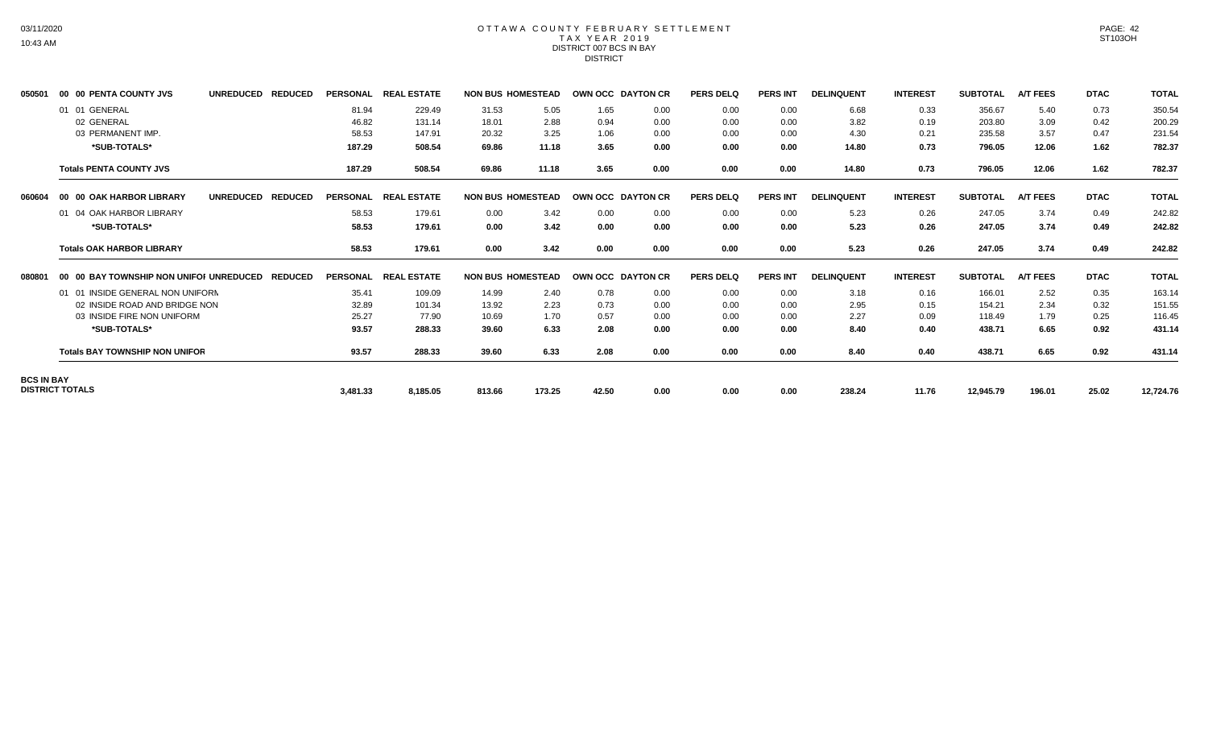#### OTTAWA COUNTY FEBRUARY SETTLEMENT TAX YEAR 2019 DISTRICT 007 BCS IN BAY DISTRICT

| 050501            | 00 00 PENTA COUNTY JVS         |                                                 | UNREDUCED REDUCED |                |                 | PERSONAL REAL ESTATE |        | <b>NON BUS HOMESTEAD</b> | OWN OCC DAYTON CR |      | <b>PERS DELQ</b> | <b>PERS INT</b> | <b>DELINQUENT</b> | <b>INTEREST</b> | <b>SUBTOTAL</b> | <b>A/T FEES</b> | <b>DTAC</b> | <b>TOTAL</b> |
|-------------------|--------------------------------|-------------------------------------------------|-------------------|----------------|-----------------|----------------------|--------|--------------------------|-------------------|------|------------------|-----------------|-------------------|-----------------|-----------------|-----------------|-------------|--------------|
|                   | 01 01 GENERAL                  |                                                 |                   |                | 81.94           | 229.49               | 31.53  | 5.05                     | 1.65              | 0.00 | 0.00             | 0.00            | 6.68              | 0.33            | 356.67          | 5.40            | 0.73        | 350.54       |
|                   | 02 GENERAL                     |                                                 |                   |                | 46.82           | 131.14               | 18.01  | 2.88                     | 0.94              | 0.00 | 0.00             | 0.00            | 3.82              | 0.19            | 203.80          | 3.09            | 0.42        | 200.29       |
|                   | 03 PERMANENT IMP.              |                                                 |                   |                | 58.53           | 147.91               | 20.32  | 3.25                     | 1.06              | 0.00 | 0.00             | 0.00            | 4.30              | 0.21            | 235.58          | 3.57            | 0.47        | 231.54       |
|                   |                                | *SUB-TOTALS*                                    |                   |                | 187.29          | 508.54               | 69.86  | 11.18                    | 3.65              | 0.00 | 0.00             | 0.00            | 14.80             | 0.73            | 796.05          | 12.06           | 1.62        | 782.37       |
|                   | <b>Totals PENTA COUNTY JVS</b> |                                                 |                   |                | 187.29          | 508.54               | 69.86  | 11.18                    | 3.65              | 0.00 | 0.00             | 0.00            | 14.80             | 0.73            | 796.05          | 12.06           | 1.62        | 782.37       |
| 060604            |                                | 00 00 OAK HARBOR LIBRARY                        | <b>UNREDUCED</b>  | <b>REDUCED</b> | <b>PERSONAL</b> | <b>REAL ESTATE</b>   |        | <b>NON BUS HOMESTEAD</b> | OWN OCC DAYTON CR |      | PERS DELQ        | <b>PERS INT</b> | <b>DELINQUENT</b> | <b>INTEREST</b> | <b>SUBTOTAL</b> | <b>A/T FEES</b> | <b>DTAC</b> | <b>TOTAL</b> |
|                   |                                | 01 04 OAK HARBOR LIBRARY                        |                   |                | 58.53           | 179.61               | 0.00   | 3.42                     | 0.00              | 0.00 | 0.00             | 0.00            | 5.23              | 0.26            | 247.05          | 3.74            | 0.49        | 242.82       |
|                   |                                | *SUB-TOTALS*                                    |                   |                | 58.53           | 179.61               | 0.00   | 3.42                     | 0.00              | 0.00 | 0.00             | 0.00            | 5.23              | 0.26            | 247.05          | 3.74            | 0.49        | 242.82       |
|                   |                                | <b>Totals OAK HARBOR LIBRARY</b>                |                   |                | 58.53           | 179.61               | 0.00   | 3.42                     | 0.00              | 0.00 | 0.00             | 0.00            | 5.23              | 0.26            | 247.05          | 3.74            | 0.49        | 242.82       |
| 080801            |                                | 00 00 BAY TOWNSHIP NON UNIFOI UNREDUCED REDUCED |                   |                |                 | PERSONAL REAL ESTATE |        | <b>NON BUS HOMESTEAD</b> | OWN OCC DAYTON CR |      | <b>PERS DELQ</b> | <b>PERS INT</b> | <b>DELINQUENT</b> | <b>INTEREST</b> | <b>SUBTOTAL</b> | <b>A/T FEES</b> | <b>DTAC</b> | <b>TOTAL</b> |
|                   |                                | 01 01 INSIDE GENERAL NON UNIFORM                |                   |                | 35.41           | 109.09               | 14.99  | 2.40                     | 0.78              | 0.00 | 0.00             | 0.00            | 3.18              | 0.16            | 166.01          | 2.52            | 0.35        | 163.14       |
|                   |                                | 02 INSIDE ROAD AND BRIDGE NON                   |                   |                | 32.89           | 101.34               | 13.92  | 2.23                     | 0.73              | 0.00 | 0.00             | 0.00            | 2.95              | 0.15            | 154.21          | 2.34            | 0.32        | 151.55       |
|                   |                                | 03 INSIDE FIRE NON UNIFORM                      |                   |                | 25.27           | 77.90                | 10.69  | 1.70                     | 0.57              | 0.00 | 0.00             | 0.00            | 2.27              | 0.09            | 118.49          | 1.79            | 0.25        | 116.45       |
|                   |                                | *SUB-TOTALS*                                    |                   |                | 93.57           | 288.33               | 39.60  | 6.33                     | 2.08              | 0.00 | 0.00             | 0.00            | 8.40              | 0.40            | 438.71          | 6.65            | 0.92        | 431.14       |
|                   |                                | <b>Totals BAY TOWNSHIP NON UNIFOR</b>           |                   |                | 93.57           | 288.33               | 39.60  | 6.33                     | 2.08              | 0.00 | 0.00             | 0.00            | 8.40              | 0.40            | 438.71          | 6.65            | 0.92        | 431.14       |
| <b>BCS IN BAY</b> |                                |                                                 |                   |                |                 |                      |        |                          |                   |      |                  |                 |                   |                 |                 |                 |             |              |
|                   | <b>DISTRICT TOTALS</b>         |                                                 |                   |                | 3,481.33        | 8,185.05             | 813.66 | 173.25                   | 42.50             | 0.00 | 0.00             | 0.00            | 238.24            | 11.76           | 12,945.79       | 196.01          | 25.02       | 12,724.76    |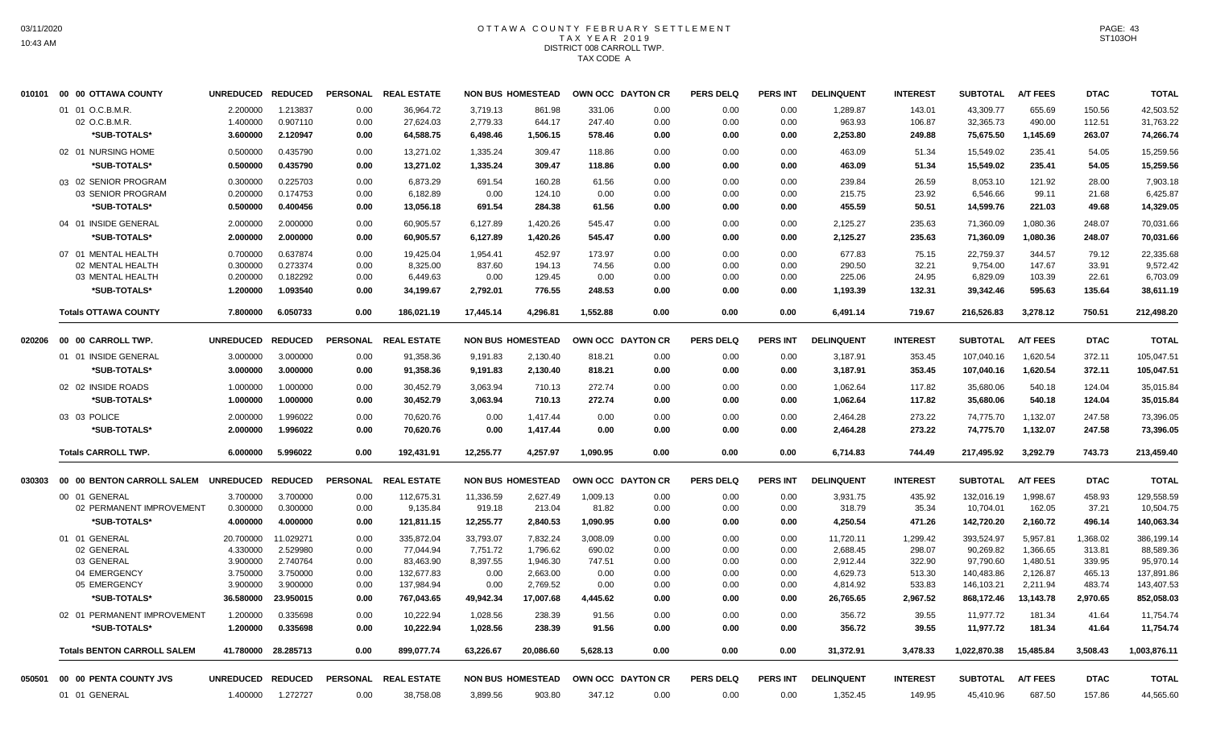# OTTAWA COUNTY FEBRUARY SETTLEMENT TAX YEAR 2019 DISTRICT 008 CARROLL TWP. TAX CODE A

|        | 010101 00 00 OTTAWA COUNTY         | UNREDUCED REDUCED |           | <b>PERSONAL</b> | <b>REAL ESTATE</b>   |           | <b>NON BUS HOMESTEAD</b> | OWN OCC DAYTON CR |      | <b>PERS DELQ</b> | PERS INT        | <b>DELINQUENT</b> | <b>INTEREST</b> | <b>SUBTOTAL</b> | <b>A/T FEES</b> | <b>DTAC</b> | <b>TOTAL</b> |
|--------|------------------------------------|-------------------|-----------|-----------------|----------------------|-----------|--------------------------|-------------------|------|------------------|-----------------|-------------------|-----------------|-----------------|-----------------|-------------|--------------|
|        | 01 01 O.C.B.M.R.                   | 2.200000          | 1.213837  | 0.00            | 36,964.72            | 3,719.13  | 861.98                   | 331.06            | 0.00 | 0.00             | 0.00            | 1,289.87          | 143.01          | 43,309.77       | 655.69          | 150.56      | 42,503.52    |
|        | 02 O.C.B.M.R.                      | 1.400000          | 0.907110  | 0.00            | 27,624.03            | 2,779.33  | 644.17                   | 247.40            | 0.00 | 0.00             | 0.00            | 963.93            | 106.87          | 32,365.73       | 490.00          | 112.51      | 31,763.22    |
|        | *SUB-TOTALS*                       | 3.600000          | 2.120947  | 0.00            | 64,588.75            | 6,498.46  | 1,506.15                 | 578.46            | 0.00 | 0.00             | 0.00            | 2,253.80          | 249.88          | 75,675.50       | 1,145.69        | 263.07      | 74,266.74    |
|        | 02 01 NURSING HOME                 | 0.500000          | 0.435790  | 0.00            | 13,271.02            | 1,335.24  | 309.47                   | 118.86            | 0.00 | 0.00             | 0.00            | 463.09            | 51.34           | 15,549.02       | 235.41          | 54.05       | 15,259.56    |
|        | <b>SUB-TOTALS*</b>                 | 0.500000          | 0.435790  | 0.00            | 13,271.02            | 1,335.24  | 309.47                   | 118.86            | 0.00 | 0.00             | 0.00            | 463.09            | 51.34           | 15,549.02       | 235.41          | 54.05       | 15,259.56    |
|        | 03 02 SENIOR PROGRAM               | 0.300000          | 0.225703  | 0.00            | 6,873.29             | 691.54    | 160.28                   | 61.56             | 0.00 | 0.00             | 0.00            | 239.84            | 26.59           | 8,053.10        | 121.92          | 28.00       | 7,903.18     |
|        | 03 SENIOR PROGRAM                  | 0.200000          | 0.174753  | 0.00            | 6,182.89             | 0.00      | 124.10                   | 0.00              | 0.00 | 0.00             | 0.00            | 215.75            | 23.92           | 6,546.66        | 99.11           | 21.68       | 6.425.87     |
|        | *SUB-TOTALS*                       | 0.500000          | 0.400456  | 0.00            | 13,056.18            | 691.54    | 284.38                   | 61.56             | 0.00 | 0.00             | 0.00            | 455.59            | 50.51           | 14,599.76       | 221.03          | 49.68       | 14,329.05    |
|        | 04 01 INSIDE GENERAL               | 2.000000          | 2.000000  | 0.00            | 60,905.57            | 6,127.89  | 1,420.26                 | 545.47            | 0.00 | 0.00             | 0.00            | 2,125.27          | 235.63          | 71,360.09       | 1,080.36        | 248.07      | 70,031.66    |
|        | *SUB-TOTALS*                       | 2.000000          | 2.000000  | 0.00            | 60,905.57            | 6,127.89  | 1,420.26                 | 545.47            | 0.00 | 0.00             | 0.00            | 2,125.27          | 235.63          | 71,360.09       | 1,080.36        | 248.07      | 70,031.66    |
|        | 07 01 MENTAL HEALTH                | 0.700000          | 0.637874  | 0.00            | 19.425.04            | 1.954.41  | 452.97                   | 173.97            | 0.00 | 0.00             | 0.00            | 677.83            | 75.15           | 22.759.37       | 344.57          | 79.12       | 22,335.68    |
|        | 02 MENTAL HEALTH                   | 0.300000          | 0.273374  | 0.00            | 8,325.00             | 837.60    | 194.13                   | 74.56             | 0.00 | 0.00             | 0.00            | 290.50            | 32.21           | 9,754.00        | 147.67          | 33.91       | 9,572.42     |
|        | 03 MENTAL HEALTH                   | 0.200000          | 0.182292  | 0.00            | 6,449.63             | 0.00      | 129.45                   | 0.00              | 0.00 | 0.00             | 0.00            | 225.06            | 24.95           | 6,829.09        | 103.39          | 22.61       | 6,703.09     |
|        | *SUB-TOTALS*                       | 1.200000          | 1.093540  | 0.00            | 34,199.67            | 2,792.01  | 776.55                   | 248.53            | 0.00 | 0.00             | 0.00            | 1,193.39          | 132.31          | 39,342.46       | 595.63          | 135.64      | 38,611.19    |
|        | <b>Totals OTTAWA COUNTY</b>        | 7.800000          | 6.050733  | 0.00            | 186.021.19           | 17.445.14 | 4.296.81                 | 1,552.88          | 0.00 | 0.00             | 0.00            | 6,491.14          | 719.67          | 216.526.83      | 3.278.12        | 750.51      | 212,498.20   |
| 020206 | 00 00 CARROLL TWP.                 | UNREDUCED REDUCED |           | <b>PERSONAL</b> | <b>REAL ESTATE</b>   |           | <b>NON BUS HOMESTEAD</b> | OWN OCC DAYTON CR |      | <b>PERS DELQ</b> | <b>PERS INT</b> | <b>DELINQUENT</b> | <b>INTEREST</b> | <b>SUBTOTAL</b> | <b>A/T FEES</b> | <b>DTAC</b> | <b>TOTAL</b> |
|        | 01 01 INSIDE GENERAL               | 3.000000          | 3.000000  | 0.00            | 91,358.36            | 9,191.83  | 2,130.40                 | 818.21            | 0.00 | 0.00             | 0.00            | 3,187.91          | 353.45          | 107,040.16      | 1,620.54        | 372.11      | 105,047.51   |
|        | *SUB-TOTALS*                       | 3.000000          | 3.000000  | 0.00            | 91,358.36            | 9,191.83  | 2,130.40                 | 818.21            | 0.00 | 0.00             | 0.00            | 3,187.91          | 353.45          | 107,040.16      | 1,620.54        | 372.11      | 105,047.51   |
|        | 02 02 INSIDE ROADS                 | 1.000000          | 1.000000  | 0.00            | 30,452.79            | 3,063.94  | 710.13                   | 272.74            | 0.00 | 0.00             | 0.00            | 1,062.64          | 117.82          | 35,680.06       | 540.18          | 124.04      | 35,015.84    |
|        | *SUB-TOTALS*                       | 1.000000          | 1.000000  | 0.00            | 30,452.79            | 3,063.94  | 710.13                   | 272.74            | 0.00 | 0.00             | 0.00            | 1,062.64          | 117.82          | 35,680.06       | 540.18          | 124.04      | 35,015.84    |
|        | 03 03 POLICE                       | 2.000000          | 1.996022  | 0.00            | 70,620.76            | 0.00      | 1,417.44                 | 0.00              | 0.00 | 0.00             | 0.00            | 2,464.28          | 273.22          | 74,775.70       | 1.132.07        | 247.58      | 73,396.05    |
|        | *SUB-TOTALS*                       | 2.000000          | 1.996022  | 0.00            | 70,620.76            | 0.00      | 1,417.44                 | 0.00              | 0.00 | 0.00             | 0.00            | 2,464.28          | 273.22          | 74,775.70       | 1,132.07        | 247.58      | 73,396.05    |
|        | <b>Totals CARROLL TWP.</b>         | 6.000000          | 5.996022  | 0.00            | 192,431.91           | 12,255.77 | 4,257.97                 | 1,090.95          | 0.00 | 0.00             | 0.00            | 6,714.83          | 744.49          | 217,495.92      | 3,292.79        | 743.73      | 213,459.40   |
| 030303 | 00 00 BENTON CARROLL SALEM         | UNREDUCED REDUCED |           | <b>PERSONAL</b> | <b>REAL ESTATE</b>   |           | <b>NON BUS HOMESTEAD</b> | OWN OCC DAYTON CR |      | <b>PERS DELQ</b> | PERS INT        | <b>DELINQUENT</b> | <b>INTEREST</b> | <b>SUBTOTAL</b> | <b>A/T FEES</b> | <b>DTAC</b> | <b>TOTAL</b> |
|        | 00 01 GENERAL                      | 3.700000          | 3.700000  | 0.00            | 112,675.31           | 11,336.59 | 2,627.49                 | 1,009.13          | 0.00 | 0.00             | 0.00            | 3,931.75          | 435.92          | 132,016.19      | 1,998.67        | 458.93      | 129,558.59   |
|        | 02 PERMANENT IMPROVEMENT           | 0.300000          | 0.300000  | 0.00            | 9,135.84             | 919.18    | 213.04                   | 81.82             | 0.00 | 0.00             | 0.00            | 318.79            | 35.34           | 10,704.01       | 162.05          | 37.21       | 10,504.75    |
|        | *SUB-TOTALS*                       | 4.000000          | 4.000000  | 0.00            | 121,811.15           | 12,255.77 | 2,840.53                 | 1,090.95          | 0.00 | 0.00             | 0.00            | 4,250.54          | 471.26          | 142,720.20      | 2,160.72        | 496.14      | 140,063.34   |
|        | 01 01 GENERAL                      | 20.700000         | 11.029271 | 0.00            | 335,872.04           | 33,793.07 | 7,832.24                 | 3,008.09          | 0.00 | 0.00             | 0.00            | 11,720.11         | 1,299.42        | 393,524.97      | 5,957.81        | 1,368.02    | 386,199.14   |
|        | 02 GENERAL                         | 4.330000          | 2.529980  | 0.00            | 77,044.94            | 7,751.72  | 1,796.62                 | 690.02            | 0.00 | 0.00             | 0.00            | 2,688.45          | 298.07          | 90,269.82       | 1,366.65        | 313.81      | 88,589.36    |
|        | 03 GENERAL                         | 3.900000          | 2.740764  | 0.00            | 83,463.90            | 8,397.55  | 1,946.30                 | 747.51            | 0.00 | 0.00             | 0.00            | 2,912.44          | 322.90          | 97,790.60       | 1,480.51        | 339.95      | 95,970.14    |
|        | 04 EMERGENCY                       | 3.750000          | 3.750000  | 0.00            | 132,677.83           | 0.00      | 2,663.00                 | 0.00              | 0.00 | 0.00             | 0.00            | 4,629.73          | 513.30          | 140,483.86      | 2,126.87        | 465.13      | 137,891.86   |
|        | 05 EMERGENCY                       | 3.900000          | 3.900000  | 0.00            | 137,984.94           | 0.00      | 2,769.52                 | 0.00              | 0.00 | 0.00             | 0.00            | 4,814.92          | 533.83          | 146,103.21      | 2,211.94        | 483.74      | 143,407.53   |
|        | *SUB-TOTALS*                       | 36.580000         | 23.950015 | 0.00            | 767,043.65           | 49,942.34 | 17,007.68                | 4,445.62          | 0.00 | 0.00             | 0.00            | 26,765.65         | 2,967.52        | 868,172.46      | 13,143.78       | 2,970.65    | 852,058.03   |
|        | 02 01 PERMANENT IMPROVEMENT        | 1.200000          | 0.335698  | 0.00            | 10.222.94            | 1,028.56  | 238.39                   | 91.56             | 0.00 | 0.00             | 0.00            | 356.72            | 39.55           | 11,977.72       | 181.34          | 41.64       | 11,754.74    |
|        | *SUB-TOTALS*                       | 1.200000          | 0.335698  | 0.00            | 10,222.94            | 1,028.56  | 238.39                   | 91.56             | 0.00 | 0.00             | 0.00            | 356.72            | 39.55           | 11,977.72       | 181.34          | 41.64       | 11,754.74    |
|        | <b>Totals BENTON CARROLL SALEM</b> | 41.780000         | 28.285713 | 0.00            | 899.077.74           | 63,226.67 | 20.086.60                | 5.628.13          | 0.00 | 0.00             | 0.00            | 31,372.91         | 3,478.33        | 1,022,870.38    | 15.485.84       | 3,508.43    | 1,003,876.11 |
| 050501 | 00 00 PENTA COUNTY JVS             | UNREDUCED REDUCED |           |                 | PERSONAL REAL ESTATE |           | <b>NON BUS HOMESTEAD</b> | OWN OCC DAYTON CR |      | <b>PERS DELQ</b> | <b>PERS INT</b> | <b>DELINQUENT</b> | <b>INTEREST</b> | <b>SUBTOTAL</b> | <b>A/T FEES</b> | <b>DTAC</b> | <b>TOTAL</b> |
|        | 01 01 GENERAL                      | 1.400000          | 1.272727  | 0.00            | 38,758.08            | 3.899.56  | 903.80                   | 347.12            | 0.00 | 0.00             | 0.00            | 1,352.45          | 149.95          | 45.410.96       | 687.50          | 157.86      | 44,565.60    |
|        |                                    |                   |           |                 |                      |           |                          |                   |      |                  |                 |                   |                 |                 |                 |             |              |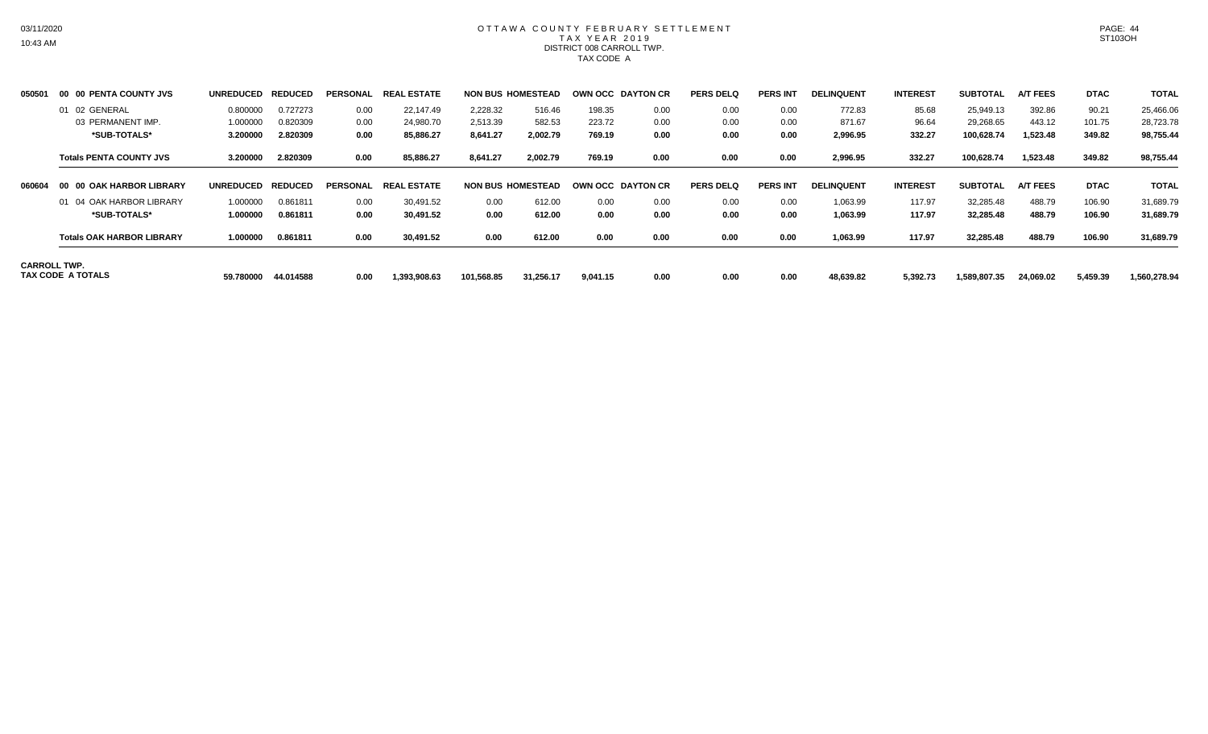## OTTAWA COUNTY FEBRUARY SETTLEMENT TAX YEAR 2019 DISTRICT 008 CARROLL TWP. TAX CODE A

| 050501 | 00 00 PENTA COUNTY JVS                          | <b>UNREDUCED</b> | <b>REDUCED</b> | <b>PERSONAL</b> | . ESTATE<br><b>REAL</b> |            | <b>NON BUS HOMESTEAD</b> | OWN OCC DAYTON CR |      | <b>PERS DELQ</b> | <b>PERS INT</b> | <b>DELINQUENT</b> | <b>INTEREST</b> | <b>SUBTOTAL</b> | <b>A/T FEES</b> | <b>DTAC</b> | <b>TOTAL</b> |
|--------|-------------------------------------------------|------------------|----------------|-----------------|-------------------------|------------|--------------------------|-------------------|------|------------------|-----------------|-------------------|-----------------|-----------------|-----------------|-------------|--------------|
|        | 01 02 GENERAL                                   | 0.800000         | 0.727273       | 0.00            | 22.147.49               | 2,228.32   | 516.46                   | 198.35            | 0.00 | 0.00             | 0.00            | 772.83            | 85.68           | 25,949.13       | 392.86          | 90.21       | 25,466.06    |
|        | 03 PERMANENT IMP.                               | 1.000000         | 0.820309       | 0.00            | 24,980.70               | 2,513.39   | 582.53                   | 223.72            | 0.00 | 0.00             | 0.00            | 871.67            | 96.64           | 29,268.65       | 443.12          | 101.75      | 28,723.78    |
|        | *SUB-TOTALS*                                    | 3.200000         | 2.820309       | 0.00            | 85,886.27               | 8,641.27   | 2,002.79                 | 769.19            | 0.00 | 0.00             | 0.00            | 2,996.95          | 332.27          | 100,628.74      | 1,523.48        | 349.82      | 98,755.44    |
|        | <b>Totals PENTA COUNTY JVS</b>                  | 3.200000         | 2.820309       | 0.00            | 85,886.27               | 8,641.27   | 2,002.79                 | 769.19            | 0.00 | 0.00             | 0.00            | 2,996.95          | 332.27          | 100,628.74      | 1,523.48        | 349.82      | 98,755.44    |
| 060604 | <b>00 OAK HARBOR LIBRARY</b><br>-00             | <b>UNREDUCED</b> | <b>REDUCED</b> | PERSONAL        | <b>REAL ESTATE</b>      |            | <b>NON BUS HOMESTEAD</b> | OWN OCC DAYTON CR |      | <b>PERS DELQ</b> | <b>PERS INT</b> | <b>DELINQUENT</b> | <b>INTEREST</b> | <b>SUBTOTAL</b> | <b>A/T FEES</b> | <b>DTAC</b> | <b>TOTAL</b> |
|        | 01 04 OAK HARBOR LIBRARY                        | 1.000000         | 0.861811       | 0.00            | 30,491.52               | 0.00       | 612.00                   | 0.00              | 0.00 | 0.00             | 0.00            | 1,063.99          | 117.97          | 32,285.48       | 488.79          | 106.90      | 31,689.79    |
|        | *SUB-TOTALS*                                    | 1.000000         | 0.861811       | 0.00            | 30.491.52               | 0.00       | 612.00                   | 0.00              | 0.00 | 0.00             | 0.00            | 1,063.99          | 117.97          | 32,285.48       | 488.79          | 106.90      | 31,689.79    |
|        | <b>Totals OAK HARBOR LIBRARY</b>                | 1.000000         | 0.861811       | 0.00            | 30,491.52               | 0.00       | 612.00                   | 0.00              | 0.00 | 0.00             | 0.00            | 1,063.99          | 117.97          | 32,285.48       | 488.79          | 106.90      | 31,689.79    |
|        | <b>CARROLL TWP.</b><br><b>TAX CODE A TOTALS</b> | 59.780000        | 44.014588      | 0.00            | 1,393,908.63            | 101.568.85 | 31,256.17                | 9,041.15          | 0.00 | 0.00             | 0.00            | 48,639.82         | 5,392.73        | 1,589,807.35    | 24,069.02       | 5,459.39    | 1,560,278.94 |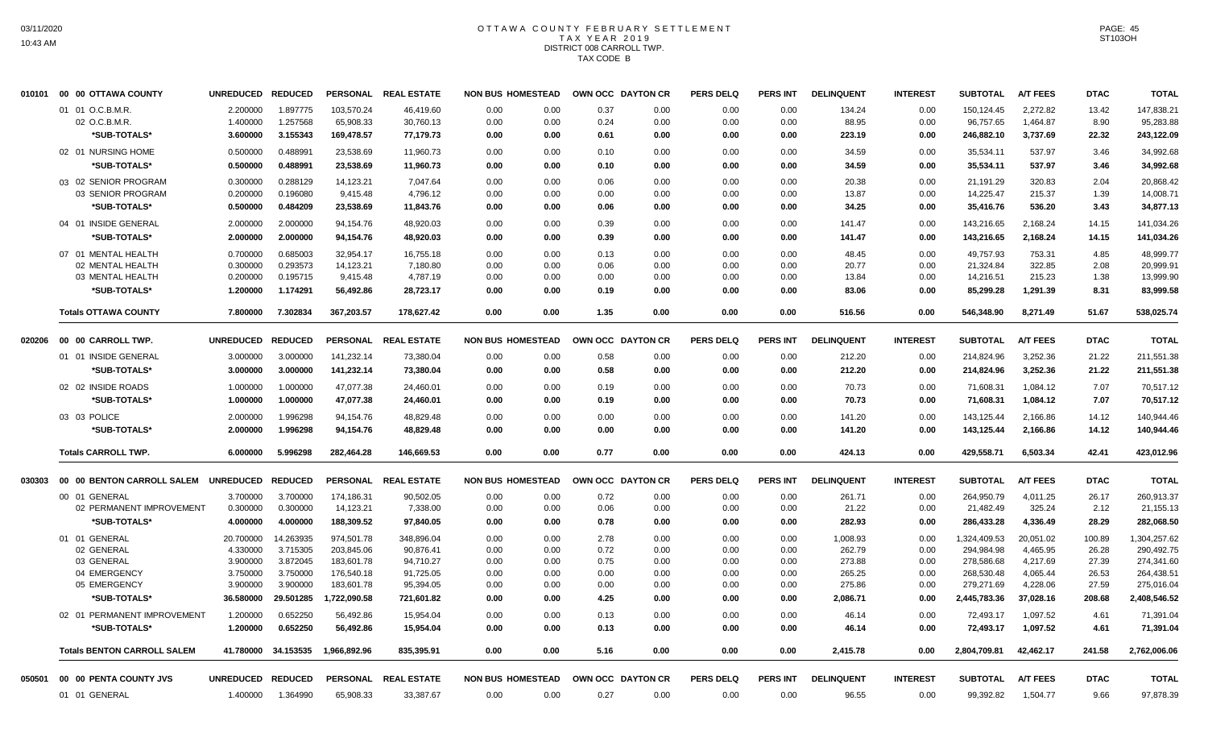# OTTAWA COUNTY FEBRUARY SETTLEMENT TAX YEAR 2019 DISTRICT 008 CARROLL TWP. TAX CODE B

| 010101 | 00 00 OTTAWA COUNTY                | UNREDUCED REDUCED |           |              | PERSONAL REAL ESTATE | <b>NON BUS HOMESTEAD</b> |              | OWN OCC DAYTON CR | <b>PERS DELQ</b> | <b>PERS INT</b> | <b>DELINQUENT</b> | <b>INTEREST</b> | <b>SUBTOTAL</b> | <b>A/T FEES</b> | <b>DTAC</b> | <b>TOTAL</b> |
|--------|------------------------------------|-------------------|-----------|--------------|----------------------|--------------------------|--------------|-------------------|------------------|-----------------|-------------------|-----------------|-----------------|-----------------|-------------|--------------|
|        | 01 01 O.C.B.M.R.                   | 2.200000          | 1.897775  | 103,570.24   | 46,419.60            | 0.00<br>0.00             | 0.37         | 0.00              | 0.00             | 0.00            | 134.24            | 0.00            | 150,124.45      | 2,272.82        | 13.42       | 147,838.21   |
|        | 02 O.C.B.M.R.                      | 1.400000          | 1.257568  | 65,908.33    | 30,760.13            | 0.00<br>0.00             | 0.24         | 0.00              | 0.00             | 0.00            | 88.95             | 0.00            | 96,757.65       | 1,464.87        | 8.90        | 95,283.88    |
|        | *SUB-TOTALS*                       | 3.600000          | 3.155343  | 169,478.57   | 77,179.73            | 0.00                     | 0.00<br>0.61 | 0.00              | 0.00             | 0.00            | 223.19            | 0.00            | 246,882.10      | 3,737.69        | 22.32       | 243,122.09   |
|        | 02 01 NURSING HOME                 | 0.500000          | 0.488991  | 23,538.69    | 11,960.73            | 0.00<br>0.00             | 0.10         | 0.00              | 0.00             | 0.00            | 34.59             | 0.00            | 35,534.11       | 537.97          | 3.46        | 34,992.68    |
|        | *SUB-TOTALS*                       | 0.500000          | 0.488991  | 23,538.69    | 11,960.73            | 0.00                     | 0.00<br>0.10 | 0.00              | 0.00             | 0.00            | 34.59             | 0.00            | 35,534.11       | 537.97          | 3.46        | 34,992.68    |
|        | 03 02 SENIOR PROGRAM               | 0.300000          | 0.288129  | 14,123.21    | 7.047.64             | 0.00                     | 0.00<br>0.06 | 0.00              | 0.00             | 0.00            | 20.38             | 0.00            | 21,191.29       | 320.83          | 2.04        | 20.868.42    |
|        | 03 SENIOR PROGRAM                  | 0.200000          | 0.196080  | 9,415.48     | 4,796.12             | 0.00                     | 0.00<br>0.00 | 0.00              | 0.00             | 0.00            | 13.87             | 0.00            | 14,225.47       | 215.37          | 1.39        | 14,008.71    |
|        | *SUB-TOTALS*                       | 0.500000          | 0.484209  | 23,538.69    | 11,843.76            | 0.00                     | 0.00<br>0.06 | 0.00              | 0.00             | 0.00            | 34.25             | 0.00            | 35,416.76       | 536.20          | 3.43        | 34,877.13    |
|        | 04 01 INSIDE GENERAL               | 2.000000          | 2.000000  | 94,154.76    | 48,920.03            | 0.00<br>0.00             | 0.39         | 0.00              | 0.00             | 0.00            | 141.47            | 0.00            | 143,216.65      | 2,168.24        | 14.15       | 141,034.26   |
|        | *SUB-TOTALS*                       | 2.000000          | 2.000000  | 94,154.76    | 48,920.03            | 0.00                     | 0.00<br>0.39 | 0.00              | 0.00             | 0.00            | 141.47            | 0.00            | 143,216.65      | 2,168.24        | 14.15       | 141,034.26   |
|        | 07 01 MENTAL HEALTH                | 0.700000          | 0.685003  | 32,954.17    | 16,755.18            | 0.00                     | 0.00<br>0.13 | 0.00              | 0.00             | 0.00            | 48.45             | 0.00            | 49,757.93       | 753.31          | 4.85        | 48,999.77    |
|        | 02 MENTAL HEALTH                   | 0.300000          | 0.293573  | 14,123.21    | 7,180.80             | 0.00<br>0.00             | 0.06         | 0.00              | 0.00             | 0.00            | 20.77             | 0.00            | 21,324.84       | 322.85          | 2.08        | 20,999.91    |
|        | 03 MENTAL HEALTH                   | 0.200000          | 0.195715  | 9,415.48     | 4,787.19             | 0.00                     | 0.00<br>0.00 | 0.00              | 0.00             | 0.00            | 13.84             | 0.00            | 14,216.51       | 215.23          | 1.38        | 13,999.90    |
|        | *SUB-TOTALS*                       | 1.200000          | 1.174291  | 56,492.86    | 28,723.17            | 0.00                     | 0.00<br>0.19 | 0.00              | 0.00             | 0.00            | 83.06             | 0.00            | 85,299.28       | 1,291.39        | 8.31        | 83,999.58    |
|        | <b>Totals OTTAWA COUNTY</b>        | 7.800000          | 7.302834  | 367,203.57   | 178,627.42           | 0.00<br>0.00             | 1.35         | 0.00              | 0.00             | 0.00            | 516.56            | 0.00            | 546,348.90      | 8,271.49        | 51.67       | 538,025.74   |
| 020206 | 00 00 CARROLL TWP.                 | UNREDUCED REDUCED |           |              | PERSONAL REAL ESTATE | <b>NON BUS HOMESTEAD</b> |              | OWN OCC DAYTON CR | <b>PERS DELQ</b> | <b>PERS INT</b> | <b>DELINQUENT</b> | <b>INTEREST</b> | <b>SUBTOTAL</b> | <b>A/T FEES</b> | <b>DTAC</b> | <b>TOTAL</b> |
|        | 01 01 INSIDE GENERAL               | 3.000000          | 3.000000  | 141,232.14   | 73,380.04            | 0.00<br>0.00             | 0.58         | 0.00              | 0.00             | 0.00            | 212.20            | 0.00            | 214,824.96      | 3,252.36        | 21.22       | 211,551.38   |
|        | *SUB-TOTALS*                       | 3.000000          | 3.000000  | 141,232.14   | 73,380.04            | 0.00                     | 0.00<br>0.58 | 0.00              | 0.00             | 0.00            | 212.20            | 0.00            | 214,824.96      | 3,252.36        | 21.22       | 211,551.38   |
|        | 02 02 INSIDE ROADS                 | 1.000000          | 1.000000  | 47,077.38    | 24,460.01            | 0.00<br>0.00             | 0.19         | 0.00              | 0.00             | 0.00            | 70.73             | 0.00            | 71,608.31       | 1,084.12        | 7.07        | 70,517.12    |
|        | *SUB-TOTALS*                       | 1.000000          | 1.000000  | 47,077.38    | 24,460.01            | 0.00                     | 0.00<br>0.19 | 0.00              | 0.00             | 0.00            | 70.73             | 0.00            | 71,608.31       | 1,084.12        | 7.07        | 70,517.12    |
|        | 03 03 POLICE                       | 2.000000          | 1.996298  | 94,154.76    | 48,829.48            | 0.00                     | 0.00<br>0.00 | 0.00              | 0.00             | 0.00            | 141.20            | 0.00            | 143,125.44      | 2,166.86        | 14.12       | 140,944.46   |
|        | *SUB-TOTALS*                       | 2.000000          | 1.996298  | 94,154.76    | 48,829.48            | 0.00                     | 0.00<br>0.00 | 0.00              | 0.00             | 0.00            | 141.20            | 0.00            | 143,125.44      | 2,166.86        | 14.12       | 140,944.46   |
|        | <b>Totals CARROLL TWP.</b>         | 6.000000          | 5.996298  | 282,464.28   | 146,669.53           | 0.00<br>0.00             | 0.77         | 0.00              | 0.00             | 0.00            | 424.13            | 0.00            | 429,558.71      | 6,503.34        | 42.41       | 423,012.96   |
| 030303 | 00 00 BENTON CARROLL SALEM         | UNREDUCED REDUCED |           |              | PERSONAL REAL ESTATE | <b>NON BUS HOMESTEAD</b> |              | OWN OCC DAYTON CR | <b>PERS DELQ</b> | <b>PERS INT</b> | <b>DELINQUENT</b> | <b>INTEREST</b> | <b>SUBTOTAL</b> | <b>A/T FEES</b> | <b>DTAC</b> | <b>TOTAL</b> |
|        | 00 01 GENERAL                      | 3.700000          | 3.700000  | 174,186.31   | 90,502.05            | 0.00                     | 0.00<br>0.72 | 0.00              | 0.00             | 0.00            | 261.71            | 0.00            | 264,950.79      | 4,011.25        | 26.17       | 260,913.37   |
|        | 02 PERMANENT IMPROVEMENT           | 0.300000          | 0.300000  | 14,123.21    | 7,338.00             | 0.00<br>0.00             | 0.06         | 0.00              | 0.00             | 0.00            | 21.22             | 0.00            | 21,482.49       | 325.24          | 2.12        | 21,155.13    |
|        | *SUB-TOTALS*                       | 4.000000          | 4.000000  | 188,309.52   | 97,840.05            | 0.00                     | 0.00<br>0.78 | 0.00              | 0.00             | 0.00            | 282.93            | 0.00            | 286,433.28      | 4,336.49        | 28.29       | 282,068.50   |
|        | 01 01 GENERAL                      | 20.700000         | 14.263935 | 974,501.78   | 348,896.04           | 0.00                     | 2.78<br>0.00 | 0.00              | 0.00             | 0.00            | 1,008.93          | 0.00            | 1,324,409.53    | 20,051.02       | 100.89      | 1,304,257.62 |
|        | 02 GENERAL                         | 4.330000          | 3.715305  | 203,845.06   | 90,876.41            | 0.00<br>0.00             | 0.72         | 0.00              | 0.00             | 0.00            | 262.79            | 0.00            | 294,984.98      | 4,465.95        | 26.28       | 290,492.75   |
|        | 03 GENERAL                         | 3.900000          | 3.872045  | 183,601.78   | 94,710.27            | 0.00<br>0.00             | 0.75         | 0.00              | 0.00             | 0.00            | 273.88            | 0.00            | 278,586.68      | 4,217.69        | 27.39       | 274,341.60   |
|        | 04 EMERGENCY                       | 3.750000          | 3.750000  | 176,540.18   | 91,725.05            | 0.00                     | 0.00<br>0.00 | 0.00              | 0.00             | 0.00            | 265.25            | 0.00            | 268,530.48      | 4,065.44        | 26.53       | 264,438.51   |
|        | 05 EMERGENCY                       | 3.900000          | 3.900000  | 183,601.78   | 95,394.05            | 0.00<br>0.00             | 0.00         | 0.00              | 0.00             | 0.00            | 275.86            | 0.00            | 279,271.69      | 4,228.06        | 27.59       | 275,016.04   |
|        | *SUB-TOTALS*                       | 36.580000         | 29.501285 | 1,722,090.58 | 721,601.82           | 0.00                     | 4.25<br>0.00 | 0.00              | 0.00             | 0.00            | 2,086.71          | 0.00            | 2,445,783.36    | 37.028.16       | 208.68      | 2,408,546.52 |
|        | 02 01 PERMANENT IMPROVEMENT        | 1.200000          | 0.652250  | 56,492.86    | 15,954.04            | 0.00                     | 0.00<br>0.13 | 0.00              | 0.00             | 0.00            | 46.14             | 0.00            | 72.493.17       | 1.097.52        | 4.61        | 71,391.04    |
|        | *SUB-TOTALS*                       | 1.200000          | 0.652250  | 56,492.86    | 15,954.04            | 0.00                     | 0.00<br>0.13 | 0.00              | 0.00             | 0.00            | 46.14             | 0.00            | 72,493.17       | 1,097.52        | 4.61        | 71,391.04    |
|        | <b>Totals BENTON CARROLL SALEM</b> | 41.780000         | 34.153535 | 1,966,892.96 | 835,395.91           | 0.00<br>0.00             | 5.16         | 0.00              | 0.00             | 0.00            | 2,415.78          | 0.00            | 2,804,709.81    | 42,462.17       | 241.58      | 2,762,006.06 |
| 050501 | 00 00 PENTA COUNTY JVS             | UNREDUCED REDUCED |           |              | PERSONAL REAL ESTATE | <b>NON BUS HOMESTEAD</b> |              | OWN OCC DAYTON CR | <b>PERS DELQ</b> | PERS INT        | <b>DELINQUENT</b> | <b>INTEREST</b> | <b>SUBTOTAL</b> | <b>A/T FEES</b> | <b>DTAC</b> | <b>TOTAL</b> |
|        | 01 01 GENERAL                      | 1.400000          | 1.364990  | 65,908.33    | 33,387.67            | 0.00<br>0.00             | 0.27         | 0.00              | 0.00             | 0.00            | 96.55             | 0.00            | 99,392.82       | 1,504.77        | 9.66        | 97,878.39    |
|        |                                    |                   |           |              |                      |                          |              |                   |                  |                 |                   |                 |                 |                 |             |              |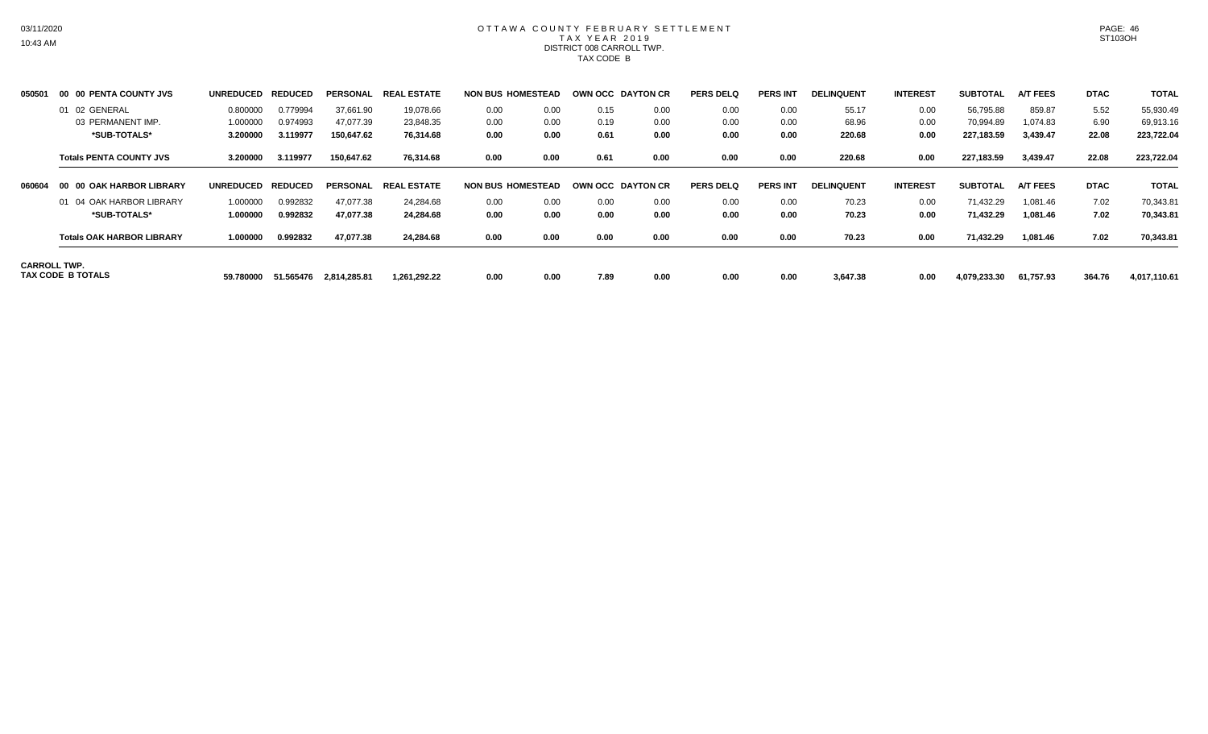# OTTAWA COUNTY FEBRUARY SETTLEMENT TAX YEAR 2019 DISTRICT 008 CARROLL TWP. TAX CODE B

| 050501 | 00 00 PENTA COUNTY JVS                          | <b>UNREDUCED</b> | <b>REDUCED</b> | <b>PERSONAL</b> | . ESTATE<br>REAI     | <b>NON BUS HOMESTEAD</b> |      | OWN OCC DAYTON CR |      | <b>PERS DELQ</b> | <b>PERS INT</b> | <b>DELINQUENT</b> | <b>INTEREST</b> | <b>SUBTOTAL</b> | <b>A/T FEES</b> | <b>DTAC</b> | <b>TOTAL</b> |
|--------|-------------------------------------------------|------------------|----------------|-----------------|----------------------|--------------------------|------|-------------------|------|------------------|-----------------|-------------------|-----------------|-----------------|-----------------|-------------|--------------|
|        | 01 02 GENERAL                                   | 0.800000         | 0.779994       | 37,661.90       | 19,078.66            | 0.00                     | 0.00 | 0.15              | 0.00 | 0.00             | 0.00            | 55.17             | 0.00            | 56,795.88       | 859.87          | 5.52        | 55,930.49    |
|        | 03 PERMANENT IMP.                               | 1.000000         | 0.974993       | 47,077.39       | 23,848.35            | 0.00                     | 0.00 | 0.19              | 0.00 | 0.00             | 0.00            | 68.96             | 0.00            | 70,994.89       | 1,074.83        | 6.90        | 69,913.16    |
|        | *SUB-TOTALS*                                    | 3.200000         | 3.119977       | 150,647.62      | 76,314.68            | 0.00                     | 0.00 | 0.61              | 0.00 | 0.00             | 0.00            | 220.68            | 0.00            | 227,183.59      | 3,439.47        | 22.08       | 223,722.04   |
|        | <b>Totals PENTA COUNTY JVS</b>                  | 3.200000         | 3.119977       | 150,647.62      | 76,314.68            | 0.00                     | 0.00 | 0.61              | 0.00 | 0.00             | 0.00            | 220.68            | 0.00            | 227,183.59      | 3,439.47        | 22.08       | 223,722.04   |
| 060604 | <b>00 OAK HARBOR LIBRARY</b><br>-00             | <b>UNREDUCED</b> | <b>REDUCED</b> |                 | PERSONAL REAL ESTATE | <b>NON BUS HOMESTEAD</b> |      | OWN OCC DAYTON CR |      | <b>PERS DELQ</b> | <b>PERS INT</b> | <b>DELINQUENT</b> | <b>INTEREST</b> | <b>SUBTOTAL</b> | <b>A/T FEES</b> | <b>DTAC</b> | <b>TOTAL</b> |
|        | 01 04 OAK HARBOR LIBRARY                        | 1.000000         | 0.992832       | 47,077.38       | 24.284.68            | 0.00                     | 0.00 | 0.00              | 0.00 | 0.00             | 0.00            | 70.23             | 0.00            | 71,432.29       | 1,081.46        | 7.02        | 70,343.81    |
|        | *SUB-TOTALS*                                    | 1.000000         | 0.992832       | 47,077.38       | 24.284.68            | 0.00                     | 0.00 | 0.00              | 0.00 | 0.00             | 0.00            | 70.23             | 0.00            | 71,432.29       | 1,081.46        | 7.02        | 70,343.81    |
|        | <b>Totals OAK HARBOR LIBRARY</b>                | 1.000000         | 0.992832       | 47,077.38       | 24,284.68            | 0.00                     | 0.00 | 0.00              | 0.00 | 0.00             | 0.00            | 70.23             | 0.00            | 71,432.29       | 1,081.46        | 7.02        | 70,343.81    |
|        | <b>CARROLL TWP.</b><br><b>TAX CODE B TOTALS</b> | 59.780000        | 51.565476      | 2,814,285.81    | 1.261.292.22         | 0.00                     | 0.00 | 7.89              | 0.00 | 0.00             | 0.00            | 3,647.38          | 0.00            | 4,079,233.30    | 61,757.93       | 364.76      | 4,017,110.61 |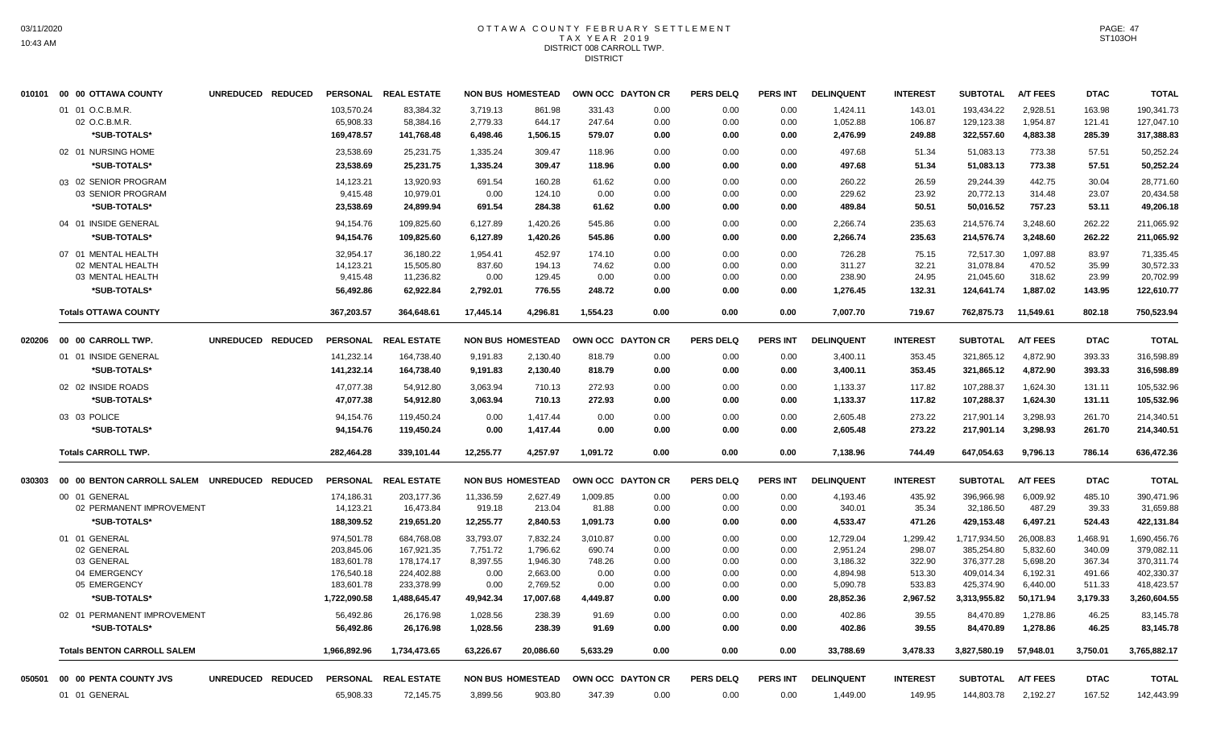# OTTAWA COUNTY FEBRUARY SETTLEMENT TAX YEAR 2019 DISTRICT 008 CARROLL TWP. **DISTRICT**

|        | 010101 00 00 OTTAWA COUNTY                   | UNREDUCED REDUCED |              | PERSONAL REAL ESTATE |           | <b>NON BUS HOMESTEAD</b> | OWN OCC DAYTON CR |      | <b>PERS DELQ</b> | <b>PERS INT</b> | <b>DELINQUENT</b> | <b>INTEREST</b> | <b>SUBTOTAL</b> | <b>A/T FEES</b> | <b>DTAC</b> | <b>TOTAL</b> |
|--------|----------------------------------------------|-------------------|--------------|----------------------|-----------|--------------------------|-------------------|------|------------------|-----------------|-------------------|-----------------|-----------------|-----------------|-------------|--------------|
|        | 01 01 O.C.B.M.R.                             |                   | 103,570.24   | 83,384.32            | 3,719.13  | 861.98                   | 331.43            | 0.00 | 0.00             | 0.00            | 1,424.11          | 143.01          | 193,434.22      | 2,928.51        | 163.98      | 190,341.73   |
|        | 02 O.C.B.M.R.                                |                   | 65,908.33    | 58,384.16            | 2,779.33  | 644.17                   | 247.64            | 0.00 | 0.00             | 0.00            | 1,052.88          | 106.87          | 129,123.38      | 1,954.87        | 121.41      | 127,047.10   |
|        | *SUB-TOTALS*                                 |                   | 169,478.57   | 141,768.48           | 6,498.46  | 1,506.15                 | 579.07            | 0.00 | 0.00             | 0.00            | 2,476.99          | 249.88          | 322,557.60      | 4,883.38        | 285.39      | 317,388.83   |
|        | 02 01 NURSING HOME                           |                   | 23,538.69    | 25,231.75            | 1,335.24  | 309.47                   | 118.96            | 0.00 | 0.00             | 0.00            | 497.68            | 51.34           | 51,083.13       | 773.38          | 57.51       | 50,252.24    |
|        | *SUB-TOTALS*                                 |                   | 23,538.69    | 25,231.75            | 1,335.24  | 309.47                   | 118.96            | 0.00 | 0.00             | 0.00            | 497.68            | 51.34           | 51,083.13       | 773.38          | 57.51       | 50,252.24    |
|        | 03 02 SENIOR PROGRAM                         |                   | 14,123.21    | 13,920.93            | 691.54    | 160.28                   | 61.62             | 0.00 | 0.00             | 0.00            | 260.22            | 26.59           | 29,244.39       | 442.75          | 30.04       | 28,771.60    |
|        | 03 SENIOR PROGRAM                            |                   | 9,415.48     | 10,979.01            | 0.00      | 124.10                   | 0.00              | 0.00 | 0.00             | 0.00            | 229.62            | 23.92           | 20,772.13       | 314.48          | 23.07       | 20,434.58    |
|        | *SUB-TOTALS*                                 |                   | 23,538.69    | 24,899.94            | 691.54    | 284.38                   | 61.62             | 0.00 | 0.00             | 0.00            | 489.84            | 50.51           | 50,016.52       | 757.23          | 53.11       | 49,206.18    |
|        | 04 01 INSIDE GENERAL                         |                   | 94,154.76    | 109,825.60           | 6,127.89  | 1,420.26                 | 545.86            | 0.00 | 0.00             | 0.00            | 2,266.74          | 235.63          | 214,576.74      | 3,248.60        | 262.22      | 211,065.92   |
|        | *SUB-TOTALS*                                 |                   | 94,154.76    | 109,825.60           | 6,127.89  | 1,420.26                 | 545.86            | 0.00 | 0.00             | 0.00            | 2,266.74          | 235.63          | 214,576.74      | 3,248.60        | 262.22      | 211,065.92   |
|        | 07 01 MENTAL HEALTH                          |                   | 32,954.17    | 36,180.22            | 1,954.41  | 452.97                   | 174.10            | 0.00 | 0.00             | 0.00            | 726.28            | 75.15           | 72,517.30       | 1,097.88        | 83.97       | 71,335.45    |
|        | 02 MENTAL HEALTH                             |                   | 14,123.21    | 15,505.80            | 837.60    | 194.13                   | 74.62             | 0.00 | 0.00             | 0.00            | 311.27            | 32.21           | 31,078.84       | 470.52          | 35.99       | 30,572.33    |
|        | 03 MENTAL HEALTH                             |                   | 9,415.48     | 11,236.82            | 0.00      | 129.45                   | 0.00              | 0.00 | 0.00             | 0.00            | 238.90            | 24.95           | 21,045.60       | 318.62          | 23.99       | 20,702.99    |
|        | *SUB-TOTALS*                                 |                   | 56,492.86    | 62,922.84            | 2,792.01  | 776.55                   | 248.72            | 0.00 | 0.00             | 0.00            | 1,276.45          | 132.31          | 124,641.74      | 1,887.02        | 143.95      | 122,610.77   |
|        | <b>Totals OTTAWA COUNTY</b>                  |                   | 367,203.57   | 364,648.61           | 17,445.14 | 4,296.81                 | 1,554.23          | 0.00 | 0.00             | 0.00            | 7,007.70          | 719.67          | 762,875.73      | 11,549.61       | 802.18      | 750,523.94   |
|        |                                              | UNREDUCED REDUCED |              | PERSONAL REAL ESTATE |           | <b>NON BUS HOMESTEAD</b> | OWN OCC DAYTON CR |      | <b>PERS DELQ</b> | <b>PERS INT</b> | <b>DELINQUENT</b> | <b>INTEREST</b> | <b>SUBTOTAL</b> | <b>A/T FEES</b> | <b>DTAC</b> | <b>TOTAL</b> |
|        | 01 01 INSIDE GENERAL                         |                   | 141,232.14   | 164,738.40           | 9,191.83  | 2,130.40                 | 818.79            | 0.00 | 0.00             | 0.00            | 3,400.11          | 353.45          | 321,865.12      | 4,872.90        | 393.33      | 316,598.89   |
|        | *SUB-TOTALS*                                 |                   | 141,232.14   | 164,738.40           | 9,191.83  | 2,130.40                 | 818.79            | 0.00 | 0.00             | 0.00            | 3,400.11          | 353.45          | 321,865.12      | 4,872.90        | 393.33      | 316,598.89   |
|        | 02 02 INSIDE ROADS                           |                   | 47,077.38    | 54,912.80            | 3,063.94  | 710.13                   | 272.93            | 0.00 | 0.00             | 0.00            | 1,133.37          | 117.82          | 107,288.37      | 1,624.30        | 131.11      | 105,532.96   |
|        | *SUB-TOTALS*                                 |                   | 47,077.38    | 54,912.80            | 3,063.94  | 710.13                   | 272.93            | 0.00 | 0.00             | 0.00            | 1,133.37          | 117.82          | 107,288.37      | 1,624.30        | 131.11      | 105,532.96   |
|        | 03 03 POLICE                                 |                   | 94,154.76    | 119,450.24           | 0.00      | 1,417.44                 | 0.00              | 0.00 | 0.00             | 0.00            | 2,605.48          | 273.22          | 217,901.14      | 3,298.93        | 261.70      | 214,340.51   |
|        | *SUB-TOTALS*                                 |                   | 94,154.76    | 119,450.24           | 0.00      | 1,417.44                 | 0.00              | 0.00 | 0.00             | 0.00            | 2,605.48          | 273.22          | 217,901.14      | 3,298.93        | 261.70      | 214,340.51   |
|        | <b>Totals CARROLL TWP.</b>                   |                   | 282,464.28   | 339,101.44           | 12,255.77 | 4,257.97                 | 1,091.72          | 0.00 | 0.00             | 0.00            | 7,138.96          | 744.49          | 647,054.63      | 9,796.13        | 786.14      | 636,472.36   |
|        |                                              |                   |              |                      |           |                          |                   |      |                  |                 |                   |                 |                 |                 |             |              |
| 030303 | 00 00 BENTON CARROLL SALEM UNREDUCED REDUCED |                   |              | PERSONAL REAL ESTATE |           | <b>NON BUS HOMESTEAD</b> | OWN OCC DAYTON CR |      | <b>PERS DELQ</b> | <b>PERS INT</b> | <b>DELINQUENT</b> | <b>INTEREST</b> | <b>SUBTOTAL</b> | <b>A/T FEES</b> | <b>DTAC</b> | <b>TOTAL</b> |
|        | 00 01 GENERAL                                |                   | 174,186.31   | 203,177.36           | 11,336.59 | 2,627.49                 | 1,009.85          | 0.00 | 0.00             | 0.00            | 4,193.46          | 435.92          | 396,966.98      | 6,009.92        | 485.10      | 390,471.96   |
|        | 02 PERMANENT IMPROVEMENT                     |                   | 14,123.21    | 16,473.84            | 919.18    | 213.04                   | 81.88             | 0.00 | 0.00             | 0.00            | 340.01            | 35.34           | 32,186.50       | 487.29          | 39.33       | 31,659.88    |
|        | *SUB-TOTALS*                                 |                   | 188,309.52   | 219,651.20           | 12,255.77 | 2,840.53                 | 1,091.73          | 0.00 | 0.00             | 0.00            | 4,533.47          | 471.26          | 429,153.48      | 6,497.21        | 524.43      | 422,131.84   |
|        | 01 01 GENERAL                                |                   | 974,501.78   | 684,768.08           | 33,793.07 | 7,832.24                 | 3,010.87          | 0.00 | 0.00             | 0.00            | 12,729.04         | 1,299.42        | 1,717,934.50    | 26,008.83       | 1,468.91    | 1,690,456.76 |
|        | 02 GENERAL                                   |                   | 203,845.06   | 167,921.35           | 7,751.72  | 1,796.62                 | 690.74            | 0.00 | 0.00             | 0.00            | 2,951.24          | 298.07          | 385,254.80      | 5,832.60        | 340.09      | 379,082.11   |
|        | 03 GENERAL                                   |                   | 183,601.78   | 178,174.17           | 8,397.55  | 1,946.30                 | 748.26            | 0.00 | 0.00             | 0.00            | 3,186.32          | 322.90          | 376,377.28      | 5,698.20        | 367.34      | 370,311.74   |
|        | 04 EMERGENCY                                 |                   | 176,540.18   | 224,402.88           | 0.00      | 2,663.00                 | 0.00              | 0.00 | 0.00             | 0.00            | 4,894.98          | 513.30          | 409,014.34      | 6,192.31        | 491.66      | 402,330.37   |
|        | 05 EMERGENCY                                 |                   | 183,601.78   | 233,378.99           | 0.00      | 2,769.52                 | 0.00              | 0.00 | 0.00             | 0.00            | 5,090.78          | 533.83          | 425,374.90      | 6,440.00        | 511.33      | 418,423.57   |
|        | *SUB-TOTALS*                                 |                   | 1,722,090.58 | 1,488,645.47         | 49,942.34 | 17,007.68                | 4,449.87          | 0.00 | 0.00             | 0.00            | 28,852.36         | 2,967.52        | 3,313,955.82    | 50,171.94       | 3,179.33    | 3,260,604.55 |
|        | 02 01 PERMANENT IMPROVEMENT                  |                   | 56,492.86    | 26,176.98            | 1,028.56  | 238.39                   | 91.69             | 0.00 | 0.00             | 0.00            | 402.86            | 39.55           | 84,470.89       | 1,278.86        | 46.25       | 83,145.78    |
|        | *SUB-TOTALS*                                 |                   | 56,492.86    | 26,176.98            | 1,028.56  | 238.39                   | 91.69             | 0.00 | 0.00             | 0.00            | 402.86            | 39.55           | 84,470.89       | 1,278.86        | 46.25       | 83,145.78    |
|        | <b>Totals BENTON CARROLL SALEM</b>           |                   | 1,966,892.96 | 1,734,473.65         | 63,226.67 | 20,086.60                | 5,633.29          | 0.00 | 0.00             | 0.00            | 33,788.69         | 3,478.33        | 3,827,580.19    | 57,948.01       | 3,750.01    | 3,765,882.17 |
| 050501 | 00 00 PENTA COUNTY JVS                       | UNREDUCED REDUCED |              | PERSONAL REAL ESTATE |           | <b>NON BUS HOMESTEAD</b> | OWN OCC DAYTON CR |      | <b>PERS DELQ</b> | <b>PERS INT</b> | <b>DELINQUENT</b> | <b>INTEREST</b> | <b>SUBTOTAL</b> | <b>A/T FEES</b> | <b>DTAC</b> | <b>TOTAL</b> |
|        | 01 01 GENERAL                                |                   | 65,908.33    | 72,145.75            | 3,899.56  | 903.80                   | 347.39            | 0.00 | 0.00             | 0.00            | 1,449.00          | 149.95          | 144,803.78      | 2,192.27        | 167.52      | 142,443.99   |
|        |                                              |                   |              |                      |           |                          |                   |      |                  |                 |                   |                 |                 |                 |             |              |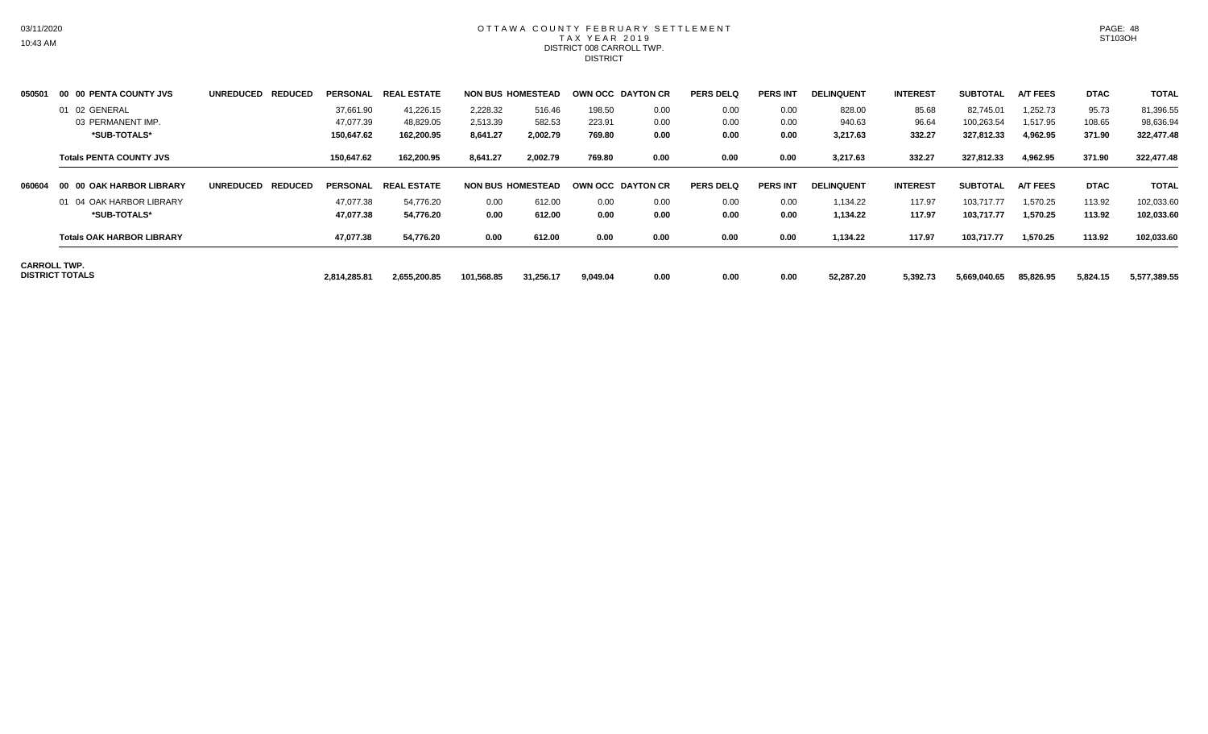#### OTTAWA COUNTY FEBRUARY SETTLEMENT TAX YEAR 2019 DISTRICT 008 CARROLL TWP. **DISTRICT**

| 050501 | 00 00 PENTA COUNTY JVS                        | <b>UNREDUCED</b><br><b>REDUCED</b> | PERSONAL     | . ESTATE<br><b>REAL</b> |            | <b>NON BUS HOMESTEAD</b> | OWN OCC DAYTON CR |      | <b>PERS DELQ</b> | <b>PERS INT</b> | <b>DELINQUENT</b> | <b>INTEREST</b> | <b>SUBTOTAL</b> | <b>A/T FEES</b> | <b>DTAC</b> | <b>TOTAL</b> |
|--------|-----------------------------------------------|------------------------------------|--------------|-------------------------|------------|--------------------------|-------------------|------|------------------|-----------------|-------------------|-----------------|-----------------|-----------------|-------------|--------------|
|        | 01 02 GENERAL                                 |                                    | 37,661.90    | 41,226.15               | 2,228.32   | 516.46                   | 198.50            | 0.00 | 0.00             | 0.00            | 828.00            | 85.68           | 82.745.01       | 1.252.73        | 95.73       | 81,396.55    |
|        | 03 PERMANENT IMP.                             |                                    | 47,077.39    | 48,829.05               | 2,513.39   | 582.53                   | 223.91            | 0.00 | 0.00             | 0.00            | 940.63            | 96.64           | 100,263.54      | 1,517.95        | 108.65      | 98,636.94    |
|        | *SUB-TOTALS*                                  |                                    | 150,647.62   | 162,200.95              | 8,641.27   | 2,002.79                 | 769.80            | 0.00 | 0.00             | 0.00            | 3,217.63          | 332.27          | 327,812.33      | 4,962.95        | 371.90      | 322,477.48   |
|        | <b>Totals PENTA COUNTY JVS</b>                |                                    | 150,647.62   | 162,200.95              | 8,641.27   | 2,002.79                 | 769.80            | 0.00 | 0.00             | 0.00            | 3,217.63          | 332.27          | 327,812.33      | 4,962.95        | 371.90      | 322,477.48   |
| 060604 | <b>00 OAK HARBOR LIBRARY</b><br>- 00          | <b>REDUCED</b><br><b>UNREDUCED</b> | PERSONAL     | <b>REAL ESTATE</b>      |            | <b>NON BUS HOMESTEAD</b> | OWN OCC DAYTON CR |      | <b>PERS DELQ</b> | <b>PERS INT</b> | <b>DELINQUENT</b> | <b>INTEREST</b> | <b>SUBTOTAL</b> | <b>A/T FEES</b> | <b>DTAC</b> | <b>TOTAL</b> |
|        | 01 04 OAK HARBOR LIBRARY                      |                                    | 47,077.38    | 54,776.20               | 0.00       | 612.00                   | 0.00              | 0.00 | 0.00             | 0.00            | 1.134.22          | 117.97          | 103,717.77      | 1,570.25        | 113.92      | 102,033.60   |
|        | *SUB-TOTALS*                                  |                                    | 47,077.38    | 54,776.20               | 0.00       | 612.00                   | 0.00              | 0.00 | 0.00             | 0.00            | 1,134.22          | 117.97          | 103,717.77      | 1,570.25        | 113.92      | 102,033.60   |
|        | <b>Totals OAK HARBOR LIBRARY</b>              |                                    | 47,077.38    | 54,776.20               | 0.00       | 612.00                   | 0.00              | 0.00 | 0.00             | 0.00            | 1,134.22          | 117.97          | 103,717.77      | 1,570.25        | 113.92      | 102,033.60   |
|        | <b>CARROLL TWP.</b><br><b>DISTRICT TOTALS</b> |                                    | 2,814,285.81 | 2,655,200.85            | 101,568.85 | 31,256.17                | 9,049.04          | 0.00 | 0.00             | 0.00            | 52,287.20         | 5,392.73        | 5,669,040.65    | 85,826.95       | 5,824.15    | 5,577,389.55 |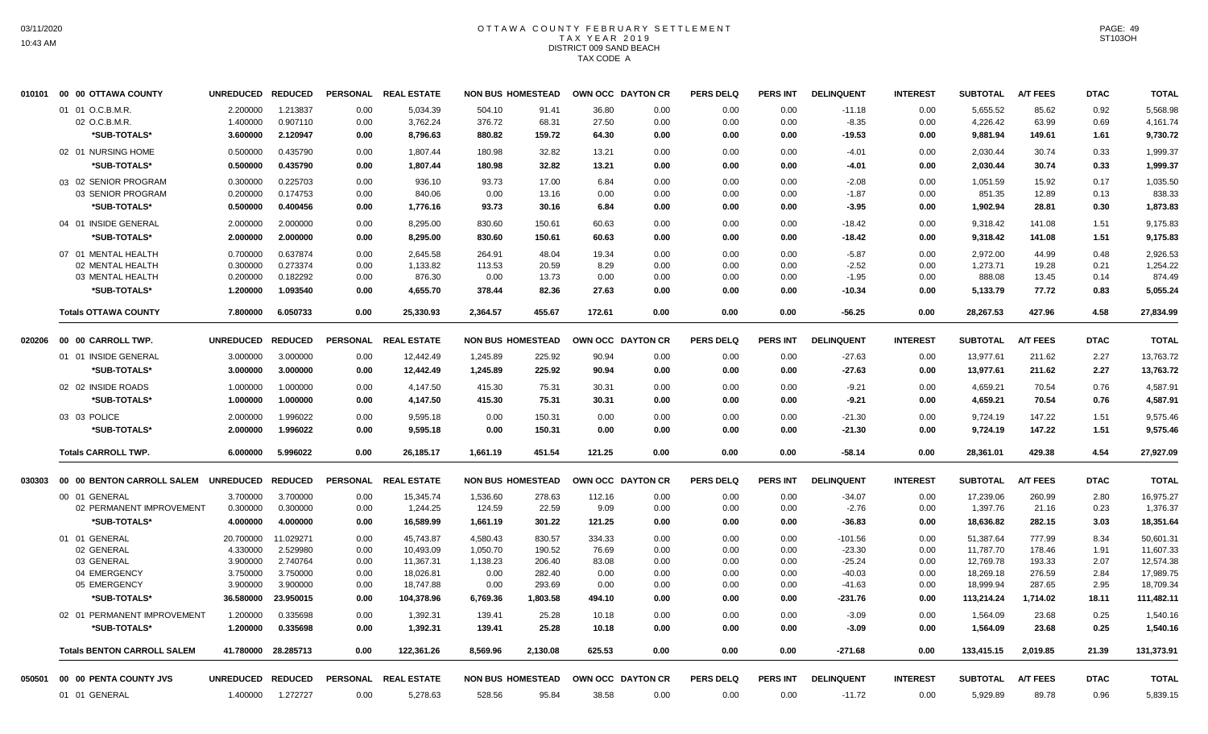# OTTAWA COUNTY FEBRUARY SETTLEMENT TAX YEAR 2019 DISTRICT 009 SAND BEACH TAX CODE A

|        | 010101 00 00 OTTAWA COUNTY         | UNREDUCED REDUCED |                     | <b>PERSONAL</b> | <b>REAL ESTATE</b>   |          | <b>NON BUS HOMESTEAD</b> | OWN OCC DAYTON CR |      | <b>PERS DELQ</b> | <b>PERS INT</b> | <b>DELINQUENT</b> | <b>INTEREST</b> | <b>SUBTOTAL</b> | <b>A/T FEES</b> | <b>DTAC</b> | <b>TOTAL</b> |
|--------|------------------------------------|-------------------|---------------------|-----------------|----------------------|----------|--------------------------|-------------------|------|------------------|-----------------|-------------------|-----------------|-----------------|-----------------|-------------|--------------|
|        | 01 01 O.C.B.M.R.                   | 2.200000          | 1.213837            | 0.00            | 5,034.39             | 504.10   | 91.41                    | 36.80             | 0.00 | 0.00             | 0.00            | $-11.18$          | 0.00            | 5,655.52        | 85.62           | 0.92        | 5,568.98     |
|        | 02 O.C.B.M.R.                      | 1.400000          | 0.907110            | 0.00            | 3,762.24             | 376.72   | 68.31                    | 27.50             | 0.00 | 0.00             | 0.00            | $-8.35$           | 0.00            | 4,226.42        | 63.99           | 0.69        | 4,161.74     |
|        | *SUB-TOTALS*                       | 3.600000          | 2.120947            | 0.00            | 8,796.63             | 880.82   | 159.72                   | 64.30             | 0.00 | 0.00             | 0.00            | $-19.53$          | 0.00            | 9,881.94        | 149.61          | 1.61        | 9,730.72     |
|        | 02 01 NURSING HOME                 | 0.500000          | 0.435790            | 0.00            | 1,807.44             | 180.98   | 32.82                    | 13.21             | 0.00 | 0.00             | 0.00            | $-4.01$           | 0.00            | 2,030.44        | 30.74           | 0.33        | 1,999.37     |
|        | *SUB-TOTALS*                       | 0.500000          | 0.435790            | 0.00            | 1,807.44             | 180.98   | 32.82                    | 13.21             | 0.00 | 0.00             | 0.00            | -4.01             | 0.00            | 2,030.44        | 30.74           | 0.33        | 1,999.37     |
|        | 03 02 SENIOR PROGRAM               | 0.300000          | 0.225703            | 0.00            | 936.10               | 93.73    | 17.00                    | 6.84              | 0.00 | 0.00             | 0.00            | $-2.08$           | 0.00            | 1,051.59        | 15.92           | 0.17        | 1,035.50     |
|        | 03 SENIOR PROGRAM                  | 0.200000          | 0.174753            | 0.00            | 840.06               | 0.00     | 13.16                    | 0.00              | 0.00 | 0.00             | 0.00            | $-1.87$           | 0.00            | 851.35          | 12.89           | 0.13        | 838.33       |
|        | *SUB-TOTALS*                       | 0.500000          | 0.400456            | 0.00            | 1,776.16             | 93.73    | 30.16                    | 6.84              | 0.00 | 0.00             | 0.00            | $-3.95$           | 0.00            | 1,902.94        | 28.81           | 0.30        | 1,873.83     |
|        | 04 01 INSIDE GENERAL               | 2.000000          | 2.000000            | 0.00            | 8,295.00             | 830.60   | 150.61                   | 60.63             | 0.00 | 0.00             | 0.00            | $-18.42$          | 0.00            | 9,318.42        | 141.08          | 1.51        | 9,175.83     |
|        | *SUB-TOTALS*                       | 2.000000          | 2.000000            | 0.00            | 8,295.00             | 830.60   | 150.61                   | 60.63             | 0.00 | 0.00             | 0.00            | -18.42            | 0.00            | 9,318.42        | 141.08          | 1.51        | 9,175.83     |
|        | 07 01 MENTAL HEALTH                | 0.700000          | 0.637874            | 0.00            | 2.645.58             | 264.91   | 48.04                    | 19.34             | 0.00 | 0.00             | 0.00            | $-5.87$           | 0.00            | 2.972.00        | 44.99           | 0.48        | 2,926.53     |
|        | 02 MENTAL HEALTH                   | 0.300000          | 0.273374            | 0.00            | 1,133.82             | 113.53   | 20.59                    | 8.29              | 0.00 | 0.00             | 0.00            | $-2.52$           | 0.00            | 1,273.71        | 19.28           | 0.21        | 1.254.22     |
|        | 03 MENTAL HEALTH                   | 0.200000          | 0.182292            | 0.00            | 876.30               | 0.00     | 13.73                    | 0.00              | 0.00 | 0.00             | 0.00            | $-1.95$           | 0.00            | 888.08          | 13.45           | 0.14        | 874.49       |
|        | *SUB-TOTALS*                       | 1.200000          | 1.093540            | 0.00            | 4,655.70             | 378.44   | 82.36                    | 27.63             | 0.00 | 0.00             | 0.00            | $-10.34$          | 0.00            | 5,133.79        | 77.72           | 0.83        | 5,055.24     |
|        | <b>Totals OTTAWA COUNTY</b>        | 7.800000          | 6.050733            | 0.00            | 25,330.93            | 2,364.57 | 455.67                   | 172.61            | 0.00 | 0.00             | 0.00            | $-56.25$          | 0.00            | 28,267.53       | 427.96          | 4.58        | 27,834.99    |
| 020206 | 00 00 CARROLL TWP.                 | <b>UNREDUCED</b>  | <b>REDUCED</b>      |                 | PERSONAL REAL ESTATE |          | <b>NON BUS HOMESTEAD</b> | OWN OCC DAYTON CR |      | <b>PERS DELQ</b> | <b>PERS INT</b> | <b>DELINQUENT</b> | <b>INTEREST</b> | <b>SUBTOTAL</b> | <b>A/T FEES</b> | <b>DTAC</b> | <b>TOTAL</b> |
|        | 01 01 INSIDE GENERAL               | 3.000000          | 3.000000            | 0.00            | 12,442.49            | 1,245.89 | 225.92                   | 90.94             | 0.00 | 0.00             | 0.00            | $-27.63$          | 0.00            | 13,977.61       | 211.62          | 2.27        | 13,763.72    |
|        | *SUB-TOTALS*                       | 3.000000          | 3.000000            | 0.00            | 12,442.49            | 1,245.89 | 225.92                   | 90.94             | 0.00 | 0.00             | 0.00            | $-27.63$          | 0.00            | 13,977.61       | 211.62          | 2.27        | 13,763.72    |
|        | 02 02 INSIDE ROADS                 | 1.000000          | 1.000000            | 0.00            | 4,147.50             | 415.30   | 75.31                    | 30.31             | 0.00 | 0.00             | 0.00            | $-9.21$           | 0.00            | 4,659.21        | 70.54           | 0.76        | 4,587.91     |
|        | *SUB-TOTALS*                       | 1.000000          | 1.000000            | 0.00            | 4,147.50             | 415.30   | 75.31                    | 30.31             | 0.00 | 0.00             | 0.00            | $-9.21$           | 0.00            | 4,659.21        | 70.54           | 0.76        | 4,587.91     |
|        | 03 03 POLICE                       | 2.000000          | 1.996022            | 0.00            | 9,595.18             | 0.00     | 150.31                   | 0.00              | 0.00 | 0.00             | 0.00            | $-21.30$          | 0.00            | 9,724.19        | 147.22          | 1.51        | 9,575.46     |
|        | *SUB-TOTALS*                       | 2.000000          | 1.996022            | 0.00            | 9,595.18             | 0.00     | 150.31                   | 0.00              | 0.00 | 0.00             | 0.00            | $-21.30$          | 0.00            | 9,724.19        | 147.22          | 1.51        | 9,575.46     |
|        | <b>Totals CARROLL TWP.</b>         | 6.000000          | 5.996022            | 0.00            | 26,185.17            | 1,661.19 | 451.54                   | 121.25            | 0.00 | 0.00             | 0.00            | -58.14            | 0.00            | 28,361.01       | 429.38          | 4.54        | 27,927.09    |
| 030303 | 00 00 BENTON CARROLL SALEM         | <b>UNREDUCED</b>  | <b>REDUCED</b>      |                 | PERSONAL REAL ESTATE |          | <b>NON BUS HOMESTEAD</b> | OWN OCC DAYTON CR |      | <b>PERS DELQ</b> | <b>PERS INT</b> | <b>DELINQUENT</b> | <b>INTEREST</b> | <b>SUBTOTAL</b> | <b>A/T FEES</b> | <b>DTAC</b> | <b>TOTAL</b> |
|        | 00 01 GENERAL                      | 3.700000          | 3.700000            | 0.00            | 15,345.74            | 1,536.60 | 278.63                   | 112.16            | 0.00 | 0.00             | 0.00            | $-34.07$          | 0.00            | 17,239.06       | 260.99          | 2.80        | 16,975.27    |
|        | 02 PERMANENT IMPROVEMENT           | 0.300000          | 0.300000            | 0.00            | 1,244.25             | 124.59   | 22.59                    | 9.09              | 0.00 | 0.00             | 0.00            | $-2.76$           | 0.00            | 1,397.76        | 21.16           | 0.23        | 1,376.37     |
|        | *SUB-TOTALS*                       | 4.000000          | 4.000000            | 0.00            | 16,589.99            | 1,661.19 | 301.22                   | 121.25            | 0.00 | 0.00             | 0.00            | $-36.83$          | 0.00            | 18,636.82       | 282.15          | 3.03        | 18,351.64    |
|        | 01 01 GENERAL                      | 20.700000         | 11.029271           | 0.00            | 45,743.87            | 4,580.43 | 830.57                   | 334.33            | 0.00 | 0.00             | 0.00            | $-101.56$         | 0.00            | 51,387.64       | 777.99          | 8.34        | 50,601.31    |
|        | 02 GENERAL                         | 4.330000          | 2.529980            | 0.00            | 10,493.09            | 1,050.70 | 190.52                   | 76.69             | 0.00 | 0.00             | 0.00            | $-23.30$          | 0.00            | 11,787.70       | 178.46          | 1.91        | 11,607.33    |
|        | 03 GENERAL                         | 3.900000          | 2.740764            | 0.00            | 11,367.31            | 1,138.23 | 206.40                   | 83.08             | 0.00 | 0.00             | 0.00            | $-25.24$          | 0.00            | 12,769.78       | 193.33          | 2.07        | 12,574.38    |
|        | 04 EMERGENCY                       | 3.750000          | 3.750000            | 0.00            | 18,026.81            | 0.00     | 282.40                   | 0.00              | 0.00 | 0.00             | 0.00            | $-40.03$          | 0.00            | 18,269.18       | 276.59          | 2.84        | 17,989.75    |
|        | 05 EMERGENCY                       | 3.900000          | 3.900000            | 0.00            | 18,747.88            | 0.00     | 293.69                   | 0.00              | 0.00 | 0.00             | 0.00            | $-41.63$          | 0.00            | 18,999.94       | 287.65          | 2.95        | 18,709.34    |
|        | *SUB-TOTALS*                       | 36,580000         | 23.950015           | 0.00            | 104,378.96           | 6,769.36 | 1,803.58                 | 494.10            | 0.00 | 0.00             | 0.00            | $-231.76$         | 0.00            | 113,214.24      | 1,714.02        | 18.11       | 111,482.11   |
|        | 02 01 PERMANENT IMPROVEMENT        | 1.200000          | 0.335698            | 0.00            | 1,392.31             | 139.41   | 25.28                    | 10.18             | 0.00 | 0.00             | 0.00            | $-3.09$           | 0.00            | 1,564.09        | 23.68           | 0.25        | 1,540.16     |
|        | *SUB-TOTALS*                       | 1.200000          | 0.335698            | 0.00            | 1,392.31             | 139.41   | 25.28                    | 10.18             | 0.00 | 0.00             | 0.00            | $-3.09$           | 0.00            | 1,564.09        | 23.68           | 0.25        | 1,540.16     |
|        | <b>Totals BENTON CARROLL SALEM</b> |                   | 41.780000 28.285713 | 0.00            | 122,361.26           | 8,569.96 | 2,130.08                 | 625.53            | 0.00 | 0.00             | 0.00            | $-271.68$         | 0.00            | 133,415.15      | 2,019.85        | 21.39       | 131,373.91   |
| 050501 | 00 00 PENTA COUNTY JVS             | UNREDUCED REDUCED |                     |                 | PERSONAL REAL ESTATE |          | <b>NON BUS HOMESTEAD</b> | OWN OCC DAYTON CR |      | <b>PERS DELQ</b> | <b>PERS INT</b> | <b>DELINQUENT</b> | <b>INTEREST</b> | <b>SUBTOTAL</b> | <b>A/T FEES</b> | <b>DTAC</b> | <b>TOTAL</b> |
|        | 01 01 GENERAL                      | 1.400000          | 1.272727            | 0.00            | 5,278.63             | 528.56   | 95.84                    | 38.58             | 0.00 | 0.00             | 0.00            | $-11.72$          | 0.00            | 5,929.89        | 89.78           | 0.96        | 5,839.15     |
|        |                                    |                   |                     |                 |                      |          |                          |                   |      |                  |                 |                   |                 |                 |                 |             |              |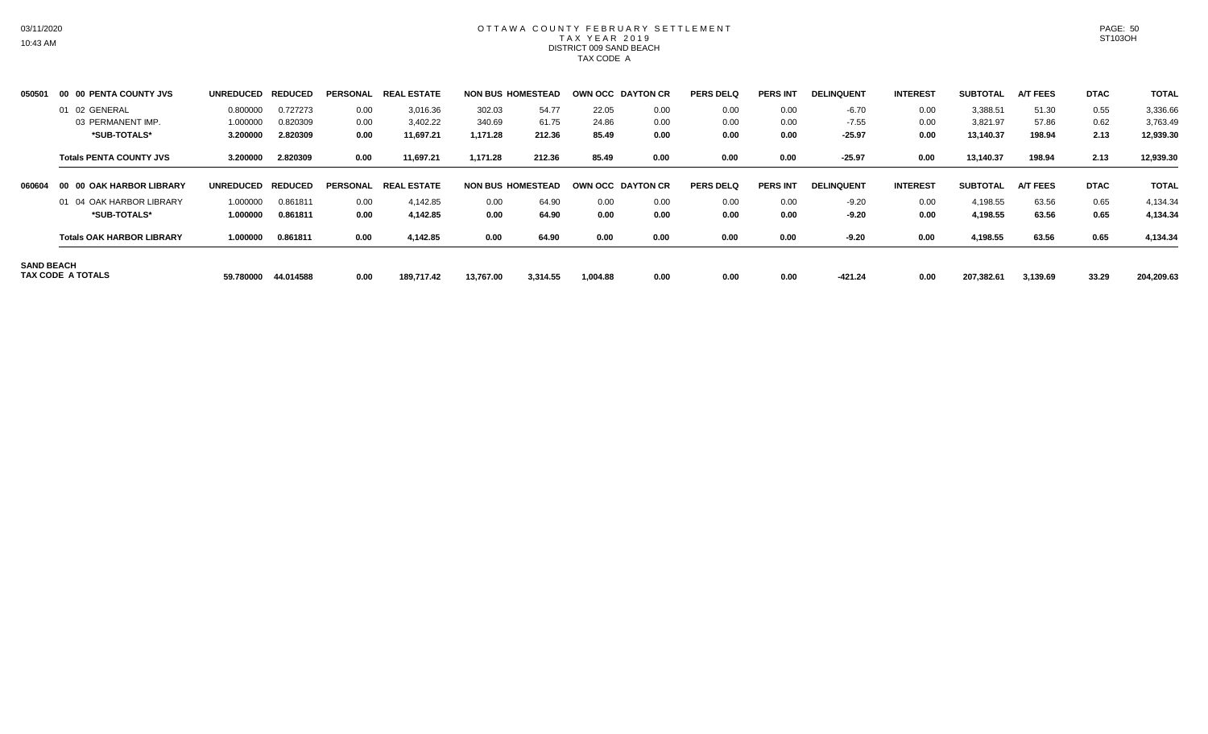# OTTAWA COUNTY FEBRUARY SETTLEMENT TAX YEAR 2019 DISTRICT 009 SAND BEACH TAX CODE A

| 050501            | 00 00 PENTA COUNTY JVS           | <b>UNREDUCED</b> | <b>REDUCED</b> | <b>PERSONAL</b> | <b>REAL ESTATE</b> |           | <b>NON BUS HOMESTEAD</b> |          | <b>OWN OCC DAYTON CR</b> | <b>PERS DELQ</b> | <b>PERS INT</b> | <b>DELINQUENT</b> | <b>INTEREST</b> | <b>SUBTOTAL</b> | <b>A/T FEES</b> | <b>DTAC</b> | <b>TOTAL</b> |
|-------------------|----------------------------------|------------------|----------------|-----------------|--------------------|-----------|--------------------------|----------|--------------------------|------------------|-----------------|-------------------|-----------------|-----------------|-----------------|-------------|--------------|
|                   | 01 02 GENERAL                    | 0.800000         | 0.727273       | 0.00            | 3,016.36           | 302.03    | 54.77                    | 22.05    | 0.00                     | 0.00             | 0.00            | $-6.70$           | 0.00            | 3,388.51        | 51.30           | 0.55        | 3,336.66     |
|                   | 03 PERMANENT IMP.                | 1.000000         | 0.820309       | 0.00            | 3,402.22           | 340.69    | 61.75                    | 24.86    | 0.00                     | 0.00             | 0.00            | $-7.55$           | 0.00            | 3,821.97        | 57.86           | 0.62        | 3,763.49     |
|                   | *SUB-TOTALS*                     | 3.200000         | 2.820309       | 0.00            | 11,697.21          | 1,171.28  | 212.36                   | 85.49    | 0.00                     | 0.00             | 0.00            | $-25.97$          | 0.00            | 13,140.37       | 198.94          | 2.13        | 12,939.30    |
|                   | <b>Totals PENTA COUNTY JVS</b>   | 3.200000         | 2.820309       | 0.00            | 11,697.21          | 1,171.28  | 212.36                   | 85.49    | 0.00                     | 0.00             | 0.00            | $-25.97$          | 0.00            | 13,140.37       | 198.94          | 2.13        | 12,939.30    |
| 060604            | 00 00 OAK HARBOR LIBRARY         | <b>UNREDUCED</b> | <b>REDUCED</b> | <b>PERSONAL</b> | <b>REAL ESTATE</b> |           | <b>NON BUS HOMESTEAD</b> |          | OWN OCC DAYTON CR        | <b>PERS DELQ</b> | <b>PERS INT</b> | <b>DELINQUENT</b> | <b>INTEREST</b> | <b>SUBTOTAL</b> | <b>A/T FEES</b> | <b>DTAC</b> | <b>TOTAL</b> |
|                   | 01 04 OAK HARBOR LIBRARY         | 1.000000         | 0.861811       | 0.00            | 4,142.85           | 0.00      | 64.90                    | 0.00     | 0.00                     | 0.00             | 0.00            | $-9.20$           | 0.00            | 4,198.55        | 63.56           | 0.65        | 4,134.34     |
|                   | *SUB-TOTALS*                     | 1.000000         | 0.861811       | 0.00            | 4,142.85           | 0.00      | 64.90                    | 0.00     | 0.00                     | 0.00             | 0.00            | $-9.20$           | 0.00            | 4,198.55        | 63.56           | 0.65        | 4,134.34     |
|                   | <b>Totals OAK HARBOR LIBRARY</b> | 1.000000         | 0.861811       | 0.00            | 4,142.85           | 0.00      | 64.90                    | 0.00     | 0.00                     | 0.00             | 0.00            | $-9.20$           | 0.00            | 4,198.55        | 63.56           | 0.65        | 4,134.34     |
| <b>SAND BEACH</b> | TAX CODE A TOTALS                | 59.780000        | 44.014588      | 0.00            | 189.717.42         | 13,767.00 | 3,314.55                 | 1,004.88 | 0.00                     | 0.00             | 0.00            | $-421.24$         | 0.00            | 207,382.61      | 3,139.69        | 33.29       | 204,209.63   |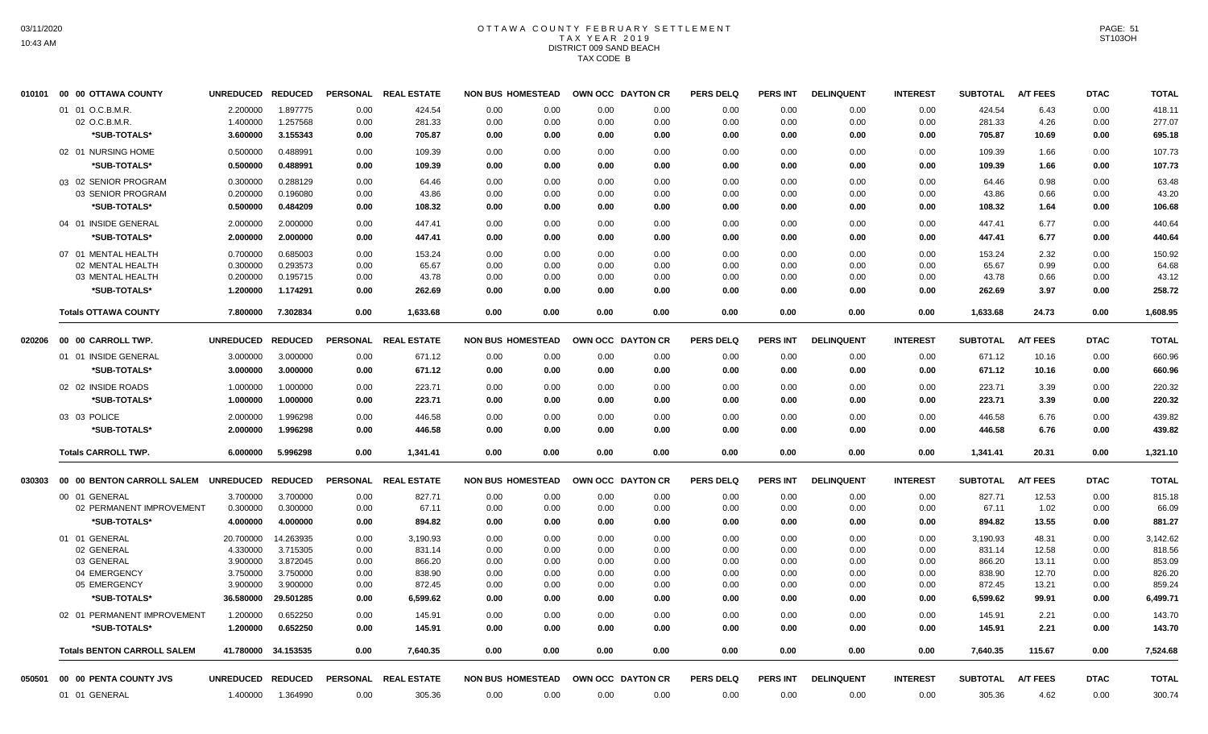# OTTAWA COUNTY FEBRUARY SETTLEMENT TAX YEAR 2019 DISTRICT 009 SAND BEACH TAX CODE B

| 010101 | 00 00 OTTAWA COUNTY                | <b>UNREDUCED</b>  | <b>REDUCED</b>      | <b>PERSONAL</b> | <b>REAL ESTATE</b>   | <b>NON BUS HOMESTEAD</b> |      | OWN OCC DAYTON CR |      | <b>PERS DELQ</b> | <b>PERS INT</b> | <b>DELINQUENT</b> | <b>INTEREST</b> | <b>SUBTOTAL</b> | <b>A/T FEES</b> | <b>DTAC</b> | <b>TOTAL</b> |
|--------|------------------------------------|-------------------|---------------------|-----------------|----------------------|--------------------------|------|-------------------|------|------------------|-----------------|-------------------|-----------------|-----------------|-----------------|-------------|--------------|
|        | 01 01 O.C.B.M.R.                   | 2.200000          | 1.897775            | 0.00            | 424.54               | 0.00                     | 0.00 | 0.00              | 0.00 | 0.00             | 0.00            | 0.00              | 0.00            | 424.54          | 6.43            | 0.00        | 418.11       |
|        | 02 O.C.B.M.R.                      | 1.400000          | 1.257568            | 0.00            | 281.33               | 0.00                     | 0.00 | 0.00              | 0.00 | 0.00             | 0.00            | 0.00              | 0.00            | 281.33          | 4.26            | 0.00        | 277.07       |
|        | *SUB-TOTALS*                       | 3.600000          | 3.155343            | 0.00            | 705.87               | 0.00                     | 0.00 | 0.00              | 0.00 | 0.00             | 0.00            | 0.00              | 0.00            | 705.87          | 10.69           | 0.00        | 695.18       |
|        | 02 01 NURSING HOME                 | 0.500000          | 0.488991            | 0.00            | 109.39               | 0.00                     | 0.00 | 0.00              | 0.00 | 0.00             | 0.00            | 0.00              | 0.00            | 109.39          | 1.66            | 0.00        | 107.73       |
|        | *SUB-TOTALS*                       | 0.500000          | 0.488991            | 0.00            | 109.39               | 0.00                     | 0.00 | 0.00              | 0.00 | 0.00             | 0.00            | 0.00              | 0.00            | 109.39          | 1.66            | 0.00        | 107.73       |
|        | 03 02 SENIOR PROGRAM               | 0.300000          | 0.288129            | 0.00            | 64.46                | 0.00                     | 0.00 | 0.00              | 0.00 | 0.00             | 0.00            | 0.00              | 0.00            | 64.46           | 0.98            | 0.00        | 63.48        |
|        | 03 SENIOR PROGRAM                  | 0.200000          | 0.196080            | 0.00            | 43.86                | 0.00                     | 0.00 | 0.00              | 0.00 | 0.00             | 0.00            | 0.00              | 0.00            | 43.86           | 0.66            | 0.00        | 43.20        |
|        | *SUB-TOTALS*                       | 0.500000          | 0.484209            | 0.00            | 108.32               | 0.00                     | 0.00 | 0.00              | 0.00 | 0.00             | 0.00            | 0.00              | 0.00            | 108.32          | 1.64            | 0.00        | 106.68       |
|        | 04 01 INSIDE GENERAL               | 2.000000          | 2.000000            | 0.00            | 447.41               | 0.00                     | 0.00 | 0.00              | 0.00 | 0.00             | 0.00            | 0.00              | 0.00            | 447.41          | 6.77            | 0.00        | 440.64       |
|        | *SUB-TOTALS*                       | 2.000000          | 2.000000            | 0.00            | 447.41               | 0.00                     | 0.00 | 0.00              | 0.00 | 0.00             | 0.00            | 0.00              | 0.00            | 447.41          | 6.77            | 0.00        | 440.64       |
|        | 07 01 MENTAL HEALTH                | 0.700000          | 0.685003            | 0.00            | 153.24               | 0.00                     | 0.00 | 0.00              | 0.00 | 0.00             | 0.00            | 0.00              | 0.00            | 153.24          | 2.32            | 0.00        | 150.92       |
|        | 02 MENTAL HEALTH                   | 0.300000          | 0.293573            | 0.00            | 65.67                | 0.00                     | 0.00 | 0.00              | 0.00 | 0.00             | 0.00            | 0.00              | 0.00            | 65.67           | 0.99            | 0.00        | 64.68        |
|        | 03 MENTAL HEALTH                   | 0.200000          | 0.195715            | 0.00            | 43.78                | 0.00                     | 0.00 | 0.00              | 0.00 | 0.00             | 0.00            | 0.00              | 0.00            | 43.78           | 0.66            | 0.00        | 43.12        |
|        | *SUB-TOTALS*                       | 1.200000          | 1.174291            | 0.00            | 262.69               | 0.00                     | 0.00 | 0.00              | 0.00 | 0.00             | 0.00            | 0.00              | 0.00            | 262.69          | 3.97            | 0.00        | 258.72       |
|        | <b>Totals OTTAWA COUNTY</b>        | 7.800000          | 7.302834            | 0.00            | 1,633.68             | 0.00                     | 0.00 | 0.00              | 0.00 | 0.00             | 0.00            | 0.00              | 0.00            | 1,633.68        | 24.73           | 0.00        | 1,608.95     |
| 020206 | 00 00 CARROLL TWP.                 | <b>UNREDUCED</b>  | <b>REDUCED</b>      |                 | PERSONAL REAL ESTATE | <b>NON BUS HOMESTEAD</b> |      | OWN OCC DAYTON CR |      | <b>PERS DELQ</b> | <b>PERS INT</b> | <b>DELINQUENT</b> | <b>INTEREST</b> | <b>SUBTOTAL</b> | <b>A/T FEES</b> | <b>DTAC</b> | <b>TOTAL</b> |
|        | 01 01 INSIDE GENERAL               | 3.000000          | 3.000000            | 0.00            | 671.12               | 0.00                     | 0.00 | 0.00              | 0.00 | 0.00             | 0.00            | 0.00              | 0.00            | 671.12          | 10.16           | 0.00        | 660.96       |
|        | *SUB-TOTALS*                       | 3.000000          | 3.000000            | 0.00            | 671.12               | 0.00                     | 0.00 | 0.00              | 0.00 | 0.00             | 0.00            | 0.00              | 0.00            | 671.12          | 10.16           | 0.00        | 660.96       |
|        | 02 02 INSIDE ROADS                 | 1.000000          | 1.000000            | 0.00            | 223.71               | 0.00                     | 0.00 | 0.00              | 0.00 | 0.00             | 0.00            | 0.00              | 0.00            | 223.71          | 3.39            | 0.00        | 220.32       |
|        | *SUB-TOTALS*                       | 1.000000          | 1.000000            | 0.00            | 223.71               | 0.00                     | 0.00 | 0.00              | 0.00 | 0.00             | 0.00            | 0.00              | 0.00            | 223.71          | 3.39            | 0.00        | 220.32       |
|        | 03 03 POLICE                       | 2.000000          | 1.996298            | 0.00            | 446.58               | 0.00                     | 0.00 | 0.00              | 0.00 | 0.00             | 0.00            | 0.00              | 0.00            | 446.58          | 6.76            | 0.00        | 439.82       |
|        | *SUB-TOTALS*                       | 2.000000          | 1.996298            | 0.00            | 446.58               | 0.00                     | 0.00 | 0.00              | 0.00 | 0.00             | 0.00            | 0.00              | 0.00            | 446.58          | 6.76            | 0.00        | 439.82       |
|        | <b>Totals CARROLL TWP.</b>         | 6.000000          | 5.996298            | 0.00            | 1,341.41             | 0.00                     | 0.00 | 0.00              | 0.00 | 0.00             | 0.00            | 0.00              | 0.00            | 1,341.41        | 20.31           | 0.00        | 1,321.10     |
| 030303 | 00 00 BENTON CARROLL SALEM         | UNREDUCED REDUCED |                     |                 | PERSONAL REAL ESTATE | <b>NON BUS HOMESTEAD</b> |      | OWN OCC DAYTON CR |      | <b>PERS DELQ</b> | PERS INT        | <b>DELINQUENT</b> | <b>INTEREST</b> | <b>SUBTOTAL</b> | <b>A/T FEES</b> | <b>DTAC</b> | <b>TOTAL</b> |
|        | 00 01 GENERAL                      | 3.700000          | 3.700000            | 0.00            | 827.71               | 0.00                     | 0.00 | 0.00              | 0.00 | 0.00             | 0.00            | 0.00              | 0.00            | 827.71          | 12.53           | 0.00        | 815.18       |
|        | 02 PERMANENT IMPROVEMENT           | 0.300000          | 0.300000            | 0.00            | 67.11                | 0.00                     | 0.00 | 0.00              | 0.00 | 0.00             | 0.00            | 0.00              | 0.00            | 67.11           | 1.02            | 0.00        | 66.09        |
|        | *SUB-TOTALS*                       | 4.000000          | 4.000000            | 0.00            | 894.82               | 0.00                     | 0.00 | 0.00              | 0.00 | 0.00             | 0.00            | 0.00              | 0.00            | 894.82          | 13.55           | 0.00        | 881.27       |
|        | 01 01 GENERAL                      | 20.700000         | 14.263935           | 0.00            | 3,190.93             | 0.00                     | 0.00 | 0.00              | 0.00 | 0.00             | 0.00            | 0.00              | 0.00            | 3,190.93        | 48.31           | 0.00        | 3,142.62     |
|        | 02 GENERAL                         | 4.330000          | 3.715305            | 0.00            | 831.14               | 0.00                     | 0.00 | 0.00              | 0.00 | 0.00             | 0.00            | 0.00              | 0.00            | 831.14          | 12.58           | 0.00        | 818.56       |
|        | 03 GENERAL                         | 3.900000          | 3.872045            | 0.00            | 866.20               | 0.00                     | 0.00 | 0.00              | 0.00 | 0.00             | 0.00            | 0.00              | 0.00            | 866.20          | 13.11           | 0.00        | 853.09       |
|        | 04 EMERGENCY                       | 3.750000          | 3.750000            | 0.00            | 838.90               | 0.00                     | 0.00 | 0.00              | 0.00 | 0.00             | 0.00            | 0.00              | 0.00            | 838.90          | 12.70           | 0.00        | 826.20       |
|        | 05 EMERGENCY                       | 3.900000          | 3.900000            | 0.00            | 872.45               | 0.00                     | 0.00 | 0.00              | 0.00 | 0.00             | 0.00            | 0.00              | 0.00            | 872.45          | 13.21           | 0.00        | 859.24       |
|        | *SUB-TOTALS*                       | 36,580000         | 29.501285           | 0.00            | 6,599.62             | 0.00                     | 0.00 | 0.00              | 0.00 | 0.00             | 0.00            | 0.00              | 0.00            | 6,599.62        | 99.91           | 0.00        | 6,499.71     |
|        | 02 01 PERMANENT IMPROVEMENT        | 1.200000          | 0.652250            | 0.00            | 145.91               | 0.00                     | 0.00 | 0.00              | 0.00 | 0.00             | 0.00            | 0.00              | 0.00            | 145.91          | 2.21            | 0.00        | 143.70       |
|        | *SUB-TOTALS*                       | 1.200000          | 0.652250            | 0.00            | 145.91               | 0.00                     | 0.00 | 0.00              | 0.00 | 0.00             | 0.00            | 0.00              | 0.00            | 145.91          | 2.21            | 0.00        | 143.70       |
|        | <b>Totals BENTON CARROLL SALEM</b> |                   | 41.780000 34.153535 | 0.00            | 7,640.35             | 0.00                     | 0.00 | 0.00              | 0.00 | 0.00             | 0.00            | 0.00              | 0.00            | 7,640.35        | 115.67          | 0.00        | 7,524.68     |
| 050501 | 00 00 PENTA COUNTY JVS             | UNREDUCED REDUCED |                     |                 | PERSONAL REAL ESTATE | <b>NON BUS HOMESTEAD</b> |      | OWN OCC DAYTON CR |      | <b>PERS DELQ</b> | <b>PERS INT</b> | <b>DELINQUENT</b> | <b>INTEREST</b> | <b>SUBTOTAL</b> | A/T FEES        | <b>DTAC</b> | <b>TOTAL</b> |
|        | 01 01 GENERAL                      | 1.400000          | 1.364990            | 0.00            | 305.36               | 0.00                     | 0.00 | 0.00              | 0.00 | 0.00             | 0.00            | 0.00              | 0.00            | 305.36          | 4.62            | 0.00        | 300.74       |
|        |                                    |                   |                     |                 |                      |                          |      |                   |      |                  |                 |                   |                 |                 |                 |             |              |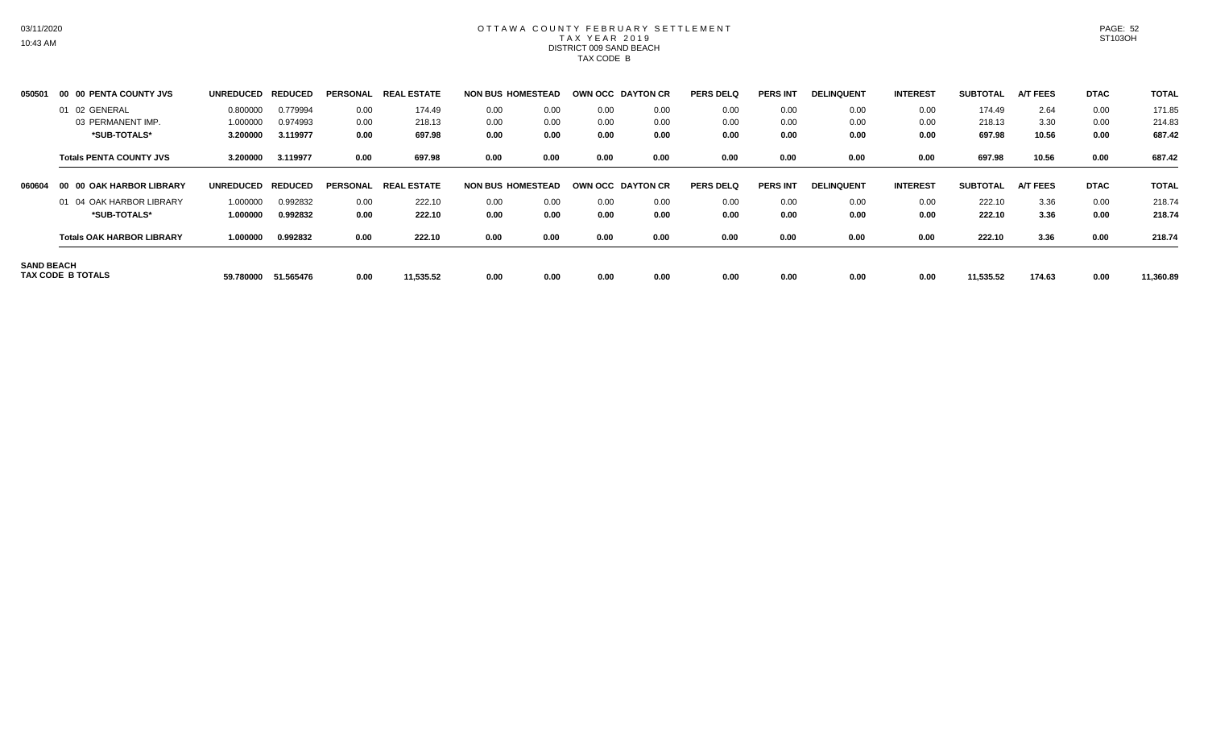# OTTAWA COUNTY FEBRUARY SETTLEMENT TAX YEAR 2019 DISTRICT 009 SAND BEACH TAX CODE B

| 050501            | 00 00 PENTA COUNTY JVS           | <b>UNREDUCED</b> | <b>REDU</b><br>UCED | <b>PERSONAL</b> | . ESTATE<br><b>REA</b> |      | <b>NON BUS HOMESTEAD</b> |      | OWN OCC DAYTON CR | <b>PERS DELQ</b> | <b>PERS INT</b> | <b>DELINQUENT</b> | <b>INTEREST</b> | <b>SUBTOTAL</b> | <b>A/T FEES</b> | <b>DTAC</b> | <b>TOTAL</b> |
|-------------------|----------------------------------|------------------|---------------------|-----------------|------------------------|------|--------------------------|------|-------------------|------------------|-----------------|-------------------|-----------------|-----------------|-----------------|-------------|--------------|
|                   | 01 02 GENERAL                    | 0.800000         | 0.779994            | 0.00            | 174.49                 | 0.00 | 0.00                     | 0.00 | 0.00              | 0.00             | 0.00            | 0.00              | 0.00            | 174.49          | 2.64            | 0.00        | 171.85       |
|                   | 03 PERMANENT IMP.                | 1.000000         | 0.974993            | 0.00            | 218.13                 | 0.00 | 0.00                     | 0.00 | 0.00              | 0.00             | 0.00            | 0.00              | 0.00            | 218.13          | 3.30            | 0.00        | 214.83       |
|                   | *SUB-TOTALS*                     | 3.200000         | 3.119977            | 0.00            | 697.98                 | 0.00 | 0.00                     | 0.00 | 0.00              | 0.00             | 0.00            | 0.00              | 0.00            | 697.98          | 10.56           | 0.00        | 687.42       |
|                   | <b>Totals PENTA COUNTY JVS</b>   | 3.200000         | 3.119977            | 0.00            | 697.98                 | 0.00 | 0.00                     | 0.00 | 0.00              | 0.00             | 0.00            | 0.00              | 0.00            | 697.98          | 10.56           | 0.00        | 687.42       |
| 060604            | 00 00 OAK HARBOR LIBRARY         | <b>UNREDUCED</b> | <b>REDUCED</b>      | <b>PERSONAL</b> | . ESTATE<br><b>REA</b> |      | <b>NON BUS HOMESTEAD</b> |      | OWN OCC DAYTON CR | <b>PERS DELQ</b> | <b>PERS INT</b> | <b>DELINQUENT</b> | <b>INTEREST</b> | <b>SUBTOTAL</b> | <b>A/T FEES</b> | <b>DTAC</b> | <b>TOTAL</b> |
|                   | 01 04 OAK HARBOR LIBRARY         | 1.000000         | 0.992832            | 0.00            | 222.10                 | 0.00 | 0.00                     | 0.00 | 0.00              | 0.00             | 0.00            | 0.00              | 0.00            | 222.10          | 3.36            | 0.00        | 218.74       |
|                   | *SUB-TOTALS*                     | 1.000000         | 0.992832            | 0.00            | 222.10                 | 0.00 | 0.00                     | 0.00 | 0.00              | 0.00             | 0.00            | 0.00              | 0.00            | 222.10          | 3.36            | 0.00        | 218.74       |
|                   | <b>Totals OAK HARBOR LIBRARY</b> | 1.000000         | 0.992832            | 0.00            | 222.10                 | 0.00 | 0.00                     | 0.00 | 0.00              | 0.00             | 0.00            | 0.00              | 0.00            | 222.10          | 3.36            | 0.00        | 218.74       |
| <b>SAND BEACH</b> | TAX CODE B TOTALS                | 59.780000        | 51.565476           | 0.00            | 11,535.52              | 0.00 | 0.00                     | 0.00 | 0.00              | 0.00             | 0.00            | 0.00              | 0.00            | 11,535.52       | 174.63          | 0.00        | 11,360.89    |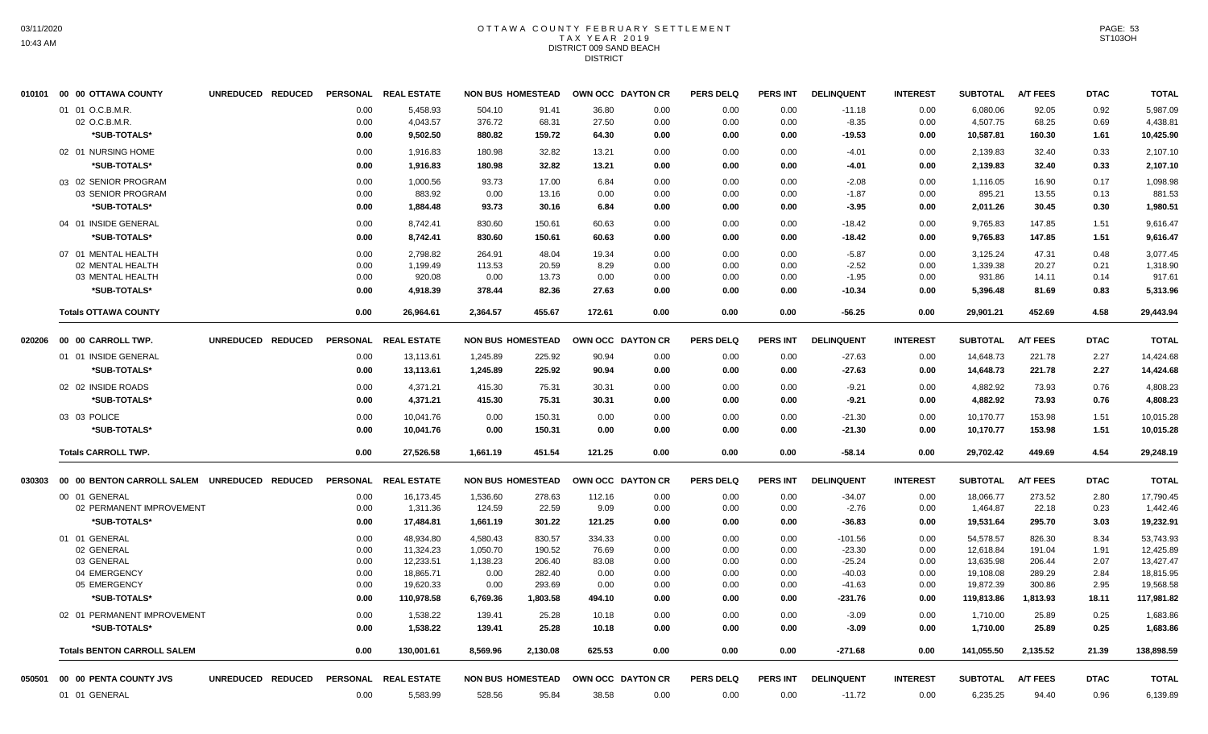#### OTTAWA COUNTY FEBRUARY SETTLEMENT T A X Y E A R 2 0 1 9 DISTRICT 009 SAND BEACH DISTRICT

|        | 010101 00 00 OTTAWA COUNTY                   | UNREDUCED REDUCED |                 | PERSONAL REAL ESTATE   |                          | <b>NON BUS HOMESTEAD</b> |              | OWN OCC DAYTON CR | <b>PERS DELQ</b> | <b>PERS INT</b> | <b>DELINQUENT</b>  | <b>INTEREST</b> | <b>SUBTOTAL</b>        | <b>A/T FEES</b>  | <b>DTAC</b>  | <b>TOTAL</b>           |
|--------|----------------------------------------------|-------------------|-----------------|------------------------|--------------------------|--------------------------|--------------|-------------------|------------------|-----------------|--------------------|-----------------|------------------------|------------------|--------------|------------------------|
|        | 01 01 O.C.B.M.R.                             |                   | 0.00            | 5,458.93               | 504.10                   | 91.41                    | 36.80        | 0.00              | 0.00             | 0.00            | $-11.18$           | 0.00            | 6,080.06               | 92.05            | 0.92         | 5,987.09               |
|        | 02 O.C.B.M.R.                                |                   | 0.00            | 4,043.57               | 376.72                   | 68.31                    | 27.50        | 0.00              | 0.00             | 0.00            | $-8.35$            | 0.00            | 4,507.75               | 68.25            | 0.69         | 4,438.81               |
|        | *SUB-TOTALS*                                 |                   | 0.00            | 9,502.50               | 880.82                   | 159.72                   | 64.30        | 0.00              | 0.00             | 0.00            | $-19.53$           | 0.00            | 10,587.81              | 160.30           | 1.61         | 10,425.90              |
|        | 02 01 NURSING HOME                           |                   | 0.00            | 1,916.83               | 180.98                   | 32.82                    | 13.21        | 0.00              | 0.00             | 0.00            | $-4.01$            | 0.00            | 2,139.83               | 32.40            | 0.33         | 2,107.10               |
|        | *SUB-TOTALS*                                 |                   | 0.00            | 1,916.83               | 180.98                   | 32.82                    | 13.21        | 0.00              | 0.00             | 0.00            | $-4.01$            | 0.00            | 2,139.83               | 32.40            | 0.33         | 2,107.10               |
|        | 03 02 SENIOR PROGRAM                         |                   | 0.00            | 1,000.56               | 93.73                    | 17.00                    | 6.84         | 0.00              | 0.00             | 0.00            | $-2.08$            | 0.00            | 1,116.05               | 16.90            | 0.17         | 1,098.98               |
|        | 03 SENIOR PROGRAM                            |                   | 0.00            | 883.92                 | 0.00                     | 13.16                    | 0.00         | 0.00              | 0.00             | 0.00            | $-1.87$            | 0.00            | 895.21                 | 13.55            | 0.13         | 881.53                 |
|        | *SUB-TOTALS*                                 |                   | 0.00            | 1,884.48               | 93.73                    | 30.16                    | 6.84         | 0.00              | 0.00             | 0.00            | $-3.95$            | 0.00            | 2,011.26               | 30.45            | 0.30         | 1,980.51               |
|        | 04 01 INSIDE GENERAL                         |                   | 0.00            | 8,742.41               | 830.60                   | 150.61                   | 60.63        | 0.00              | 0.00             | 0.00            | $-18.42$           | 0.00            | 9,765.83               | 147.85           | 1.51         | 9,616.47               |
|        | *SUB-TOTALS*                                 |                   | 0.00            | 8,742.41               | 830.60                   | 150.61                   | 60.63        | 0.00              | 0.00             | 0.00            | $-18.42$           | 0.00            | 9,765.83               | 147.85           | 1.51         | 9,616.47               |
|        | 07 01 MENTAL HEALTH                          |                   | 0.00            | 2,798.82               | 264.91                   | 48.04                    | 19.34        | 0.00              | 0.00             | 0.00            | $-5.87$            | 0.00            | 3,125.24               | 47.31            | 0.48         | 3,077.45               |
|        | 02 MENTAL HEALTH                             |                   | 0.00            | 1,199.49               | 113.53                   | 20.59                    | 8.29         | 0.00              | 0.00             | 0.00            | $-2.52$            | 0.00            | 1,339.38               | 20.27            | 0.21         | 1,318.90               |
|        | 03 MENTAL HEALTH                             |                   | 0.00            | 920.08                 | 0.00                     | 13.73                    | 0.00         | 0.00              | 0.00             | 0.00            | $-1.95$            | 0.00            | 931.86                 | 14.11            | 0.14         | 917.61                 |
|        | *SUB-TOTALS*                                 |                   | 0.00            | 4,918.39               | 378.44                   | 82.36                    | 27.63        | 0.00              | 0.00             | 0.00            | $-10.34$           | 0.00            | 5,396.48               | 81.69            | 0.83         | 5,313.96               |
|        | <b>Totals OTTAWA COUNTY</b>                  |                   | 0.00            | 26,964.61              | 2,364.57                 | 455.67                   | 172.61       | 0.00              | 0.00             | 0.00            | $-56.25$           | 0.00            | 29,901.21              | 452.69           | 4.58         | 29,443.94              |
| 020206 | 00 00 CARROLL TWP.                           | UNREDUCED REDUCED | <b>PERSONAL</b> | <b>REAL ESTATE</b>     |                          | <b>NON BUS HOMESTEAD</b> |              | OWN OCC DAYTON CR | <b>PERS DELQ</b> | <b>PERS INT</b> | <b>DELINQUENT</b>  | <b>INTEREST</b> | <b>SUBTOTAL</b>        | <b>A/T FEES</b>  | <b>DTAC</b>  | <b>TOTAL</b>           |
|        | 01 01 INSIDE GENERAL                         |                   | 0.00            | 13,113.61              | 1,245.89                 | 225.92                   | 90.94        | 0.00              | 0.00             | 0.00            | $-27.63$           | 0.00            | 14,648.73              | 221.78           | 2.27         | 14,424.68              |
|        | *SUB-TOTALS*                                 |                   | 0.00            | 13,113.61              | 1,245.89                 | 225.92                   | 90.94        | 0.00              | 0.00             | 0.00            | $-27.63$           | 0.00            | 14,648.73              | 221.78           | 2.27         | 14,424.68              |
|        | 02 02 INSIDE ROADS                           |                   | 0.00            | 4,371.21               | 415.30                   | 75.31                    | 30.31        | 0.00              | 0.00             | 0.00            | $-9.21$            | 0.00            | 4,882.92               | 73.93            | 0.76         | 4,808.23               |
|        | *SUB-TOTALS*                                 |                   | 0.00            | 4,371.21               | 415.30                   | 75.31                    | 30.31        | 0.00              | 0.00             | 0.00            | $-9.21$            | 0.00            | 4,882.92               | 73.93            | 0.76         | 4,808.23               |
|        | 03 03 POLICE                                 |                   | 0.00            | 10,041.76              | 0.00                     | 150.31                   | 0.00         | 0.00              | 0.00             | 0.00            | $-21.30$           | 0.00            | 10,170.77              | 153.98           | 1.51         | 10,015.28              |
|        | *SUB-TOTALS*                                 |                   | 0.00            | 10,041.76              | 0.00                     | 150.31                   | 0.00         | 0.00              | 0.00             | 0.00            | $-21.30$           | 0.00            | 10,170.77              | 153.98           | 1.51         | 10,015.28              |
|        |                                              |                   |                 |                        |                          |                          |              |                   |                  |                 |                    |                 |                        |                  |              |                        |
|        | <b>Totals CARROLL TWP.</b>                   |                   | 0.00            | 27.526.58              | 1.661.19                 | 451.54                   | 121.25       | 0.00              | 0.00             | 0.00            | $-58.14$           | 0.00            | 29.702.42              | 449.69           | 4.54         | 29.248.19              |
| 030303 | 00 00 BENTON CARROLL SALEM UNREDUCED REDUCED |                   |                 | PERSONAL REAL ESTATE   |                          | <b>NON BUS HOMESTEAD</b> |              | OWN OCC DAYTON CR | <b>PERS DELQ</b> | <b>PERS INT</b> | <b>DELINQUENT</b>  | <b>INTEREST</b> | <b>SUBTOTAL</b>        | <b>A/T FEES</b>  | <b>DTAC</b>  | <b>TOTAL</b>           |
|        | 00 01 GENERAL                                |                   | 0.00            | 16,173.45              | 1,536.60                 | 278.63                   | 112.16       | 0.00              | 0.00             | 0.00            | $-34.07$           | 0.00            | 18,066.77              | 273.52           | 2.80         | 17,790.45              |
|        | 02 PERMANENT IMPROVEMENT                     |                   | 0.00            | 1,311.36               | 124.59                   | 22.59                    | 9.09         | 0.00              | 0.00             | 0.00            | $-2.76$            | 0.00            | 1,464.87               | 22.18            | 0.23         | 1,442.46               |
|        | *SUB-TOTALS*                                 |                   | 0.00            | 17,484.81              | 1,661.19                 | 301.22                   | 121.25       | 0.00              | 0.00             | 0.00            | $-36.83$           | 0.00            | 19,531.64              | 295.70           | 3.03         | 19,232.91              |
|        | 01 01 GENERAL                                |                   | 0.00            | 48,934.80              | 4,580.43                 | 830.57                   | 334.33       | 0.00              | 0.00             | 0.00            | $-101.56$          | 0.00            | 54,578.57              | 826.30           | 8.34         | 53,743.93              |
|        | 02 GENERAL                                   |                   | 0.00            | 11,324.23              | 1,050.70                 | 190.52                   | 76.69        | 0.00              | 0.00             | 0.00            | $-23.30$           | 0.00            | 12,618.84              | 191.04           | 1.91         | 12,425.89              |
|        | 03 GENERAL                                   |                   | 0.00            | 12,233.51              | 1,138.23                 | 206.40                   | 83.08        | 0.00              | 0.00             | 0.00            | $-25.24$           | 0.00            | 13,635.98              | 206.44           | 2.07         | 13,427.47              |
|        | 04 EMERGENCY<br>05 EMERGENCY                 |                   | 0.00<br>0.00    | 18,865.71<br>19,620.33 | 0.00<br>0.00             | 282.40<br>293.69         | 0.00<br>0.00 | 0.00<br>0.00      | 0.00<br>0.00     | 0.00<br>0.00    | -40.03<br>$-41.63$ | 0.00<br>0.00    | 19,108.08<br>19,872.39 | 289.29<br>300.86 | 2.84<br>2.95 | 18,815.95<br>19,568.58 |
|        | *SUB-TOTALS*                                 |                   | 0.00            | 110,978.58             | 6,769.36                 | 1,803.58                 | 494.10       | 0.00              | 0.00             | 0.00            | $-231.76$          | 0.00            | 119,813.86             | 1,813.93         | 18.11        | 117,981.82             |
|        |                                              |                   |                 |                        |                          |                          |              |                   |                  |                 |                    |                 |                        |                  |              |                        |
|        | 02 01 PERMANENT IMPROVEMENT                  |                   | 0.00            | 1,538.22               | 139.41                   | 25.28                    | 10.18        | 0.00              | 0.00             | 0.00            | $-3.09$            | 0.00            | 1,710.00               | 25.89            | 0.25         | 1,683.86               |
|        | *SUB-TOTALS*                                 |                   | 0.00            | 1,538.22               | 139.41                   | 25.28                    | 10.18        | 0.00              | 0.00             | 0.00            | $-3.09$            | 0.00            | 1,710.00               | 25.89            | 0.25         | 1,683.86               |
|        | <b>Totals BENTON CARROLL SALEM</b>           |                   | 0.00            | 130,001.61             | 8,569.96                 | 2,130.08                 | 625.53       | 0.00              | 0.00             | 0.00            | $-271.68$          | 0.00            | 141,055.50             | 2,135.52         | 21.39        | 138,898.59             |
| 050501 | 00 00 PENTA COUNTY JVS                       | UNREDUCED REDUCED |                 | PERSONAL REAL ESTATE   | <b>NON BUS HOMESTEAD</b> |                          |              | OWN OCC DAYTON CR | <b>PERS DELQ</b> | <b>PERS INT</b> | <b>DELINQUENT</b>  | <b>INTEREST</b> | <b>SUBTOTAL</b>        | <b>A/T FEES</b>  | <b>DTAC</b>  | <b>TOTAL</b>           |
|        | 01 01 GENERAL                                |                   | 0.00            | 5,583.99               | 528.56                   | 95.84                    | 38.58        | 0.00              | 0.00             | 0.00            | $-11.72$           | 0.00            | 6,235.25               | 94.40            | 0.96         | 6,139.89               |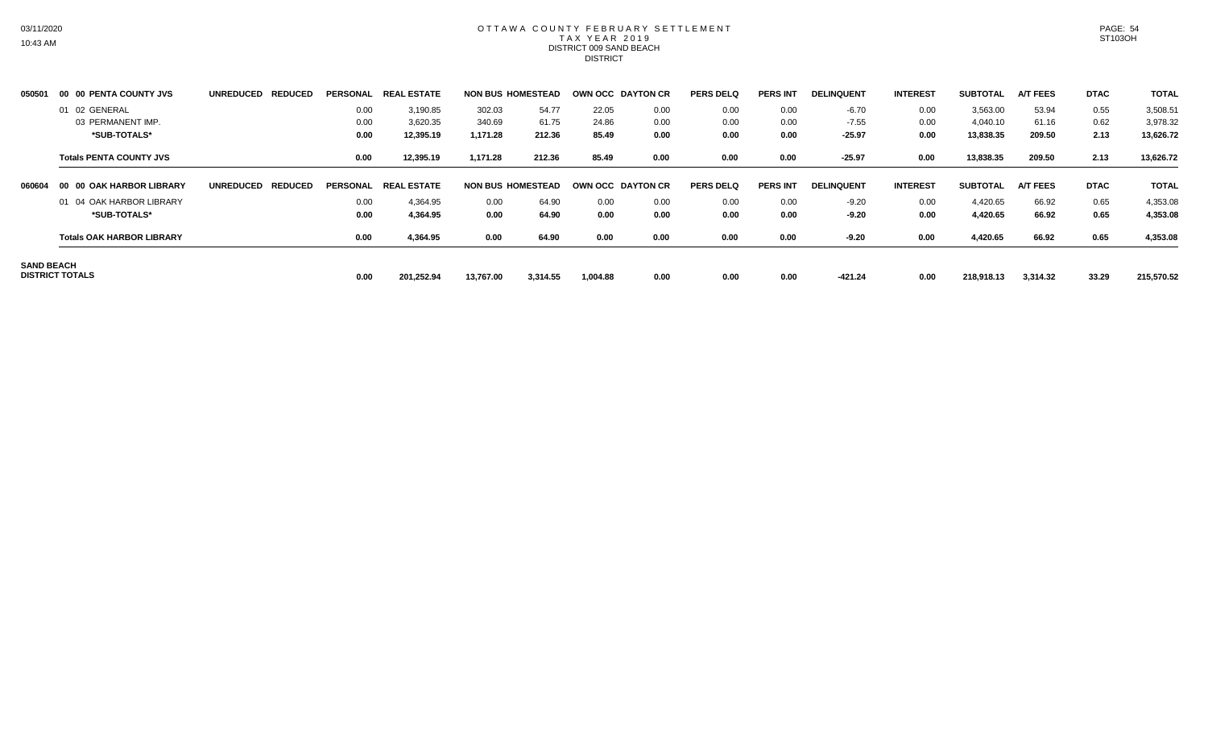#### OTTAWA COUNTY FEBRUARY SETTLEMENT TAX YEAR 2019 DISTRICT 009 SAND BEACH DISTRICT

| 050501            | 00 00 PENTA COUNTY JVS           | <b>UNREDUCED</b><br><b>REDUCED</b> | PERSONAL        | . ESTATE<br><b>REAL</b> |           | <b>NON BUS HOMESTEAD</b> |          | OWN OCC DAYTON CR | <b>PERS DELQ</b> | <b>PERS INT</b> | <b>DELINQUENT</b> | <b>INTEREST</b> | <b>SUBTOTAL</b> | <b>A/T FEES</b> | <b>DTAC</b> | <b>TOTAL</b> |
|-------------------|----------------------------------|------------------------------------|-----------------|-------------------------|-----------|--------------------------|----------|-------------------|------------------|-----------------|-------------------|-----------------|-----------------|-----------------|-------------|--------------|
|                   | 01 02 GENERAL                    |                                    | 0.00            | 3,190.85                | 302.03    | 54.77                    | 22.05    | 0.00              | 0.00             | 0.00            | $-6.70$           | 0.00            | 3,563.00        | 53.94           | 0.55        | 3,508.51     |
|                   | 03 PERMANENT IMP.                |                                    | 0.00            | 3,620.35                | 340.69    | 61.75                    | 24.86    | 0.00              | 0.00             | 0.00            | $-7.55$           | 0.00            | 4,040.10        | 61.16           | 0.62        | 3,978.32     |
|                   | *SUB-TOTALS*                     |                                    | 0.00            | 12,395.19               | 1,171.28  | 212.36                   | 85.49    | 0.00              | 0.00             | 0.00            | $-25.97$          | 0.00            | 13,838.35       | 209.50          | 2.13        | 13,626.72    |
|                   | <b>Totals PENTA COUNTY JVS</b>   |                                    | 0.00            | 12,395.19               | 1,171.28  | 212.36                   | 85.49    | 0.00              | 0.00             | 0.00            | $-25.97$          | 0.00            | 13,838.35       | 209.50          | 2.13        | 13,626.72    |
| 060604            | 00 00 OAK HARBOR LIBRARY         | <b>REDUCED</b><br><b>UNREDUCED</b> | <b>PERSONAL</b> | <b>REAL ESTATE</b>      |           | <b>NON BUS HOMESTEAD</b> |          | OWN OCC DAYTON CR | <b>PERS DELQ</b> | <b>PERS INT</b> | <b>DELINQUENT</b> | <b>INTEREST</b> | <b>SUBTOTAL</b> | <b>A/T FEES</b> | <b>DTAC</b> | <b>TOTAL</b> |
|                   | 01 04 OAK HARBOR LIBRARY         |                                    | 0.00            | 4,364.95                | 0.00      | 64.90                    | 0.00     | 0.00              | 0.00             | 0.00            | $-9.20$           | 0.00            | 4,420.65        | 66.92           | 0.65        | 4,353.08     |
|                   | *SUB-TOTALS*                     |                                    | 0.00            | 4,364.95                | 0.00      | 64.90                    | 0.00     | 0.00              | 0.00             | 0.00            | $-9.20$           | 0.00            | 4,420.65        | 66.92           | 0.65        | 4,353.08     |
|                   | <b>Totals OAK HARBOR LIBRARY</b> |                                    | 0.00            | 4,364.95                | 0.00      | 64.90                    | 0.00     | 0.00              | 0.00             | 0.00            | $-9.20$           | 0.00            | 4,420.65        | 66.92           | 0.65        | 4,353.08     |
| <b>SAND BEACH</b> | <b>DISTRICT TOTALS</b>           |                                    | 0.00            | 201,252.94              | 13,767.00 | 3,314.55                 | 1,004.88 | 0.00              | 0.00             | 0.00            | $-421.24$         | 0.00            | 218,918.13      | 3,314.32        | 33.29       | 215,570.52   |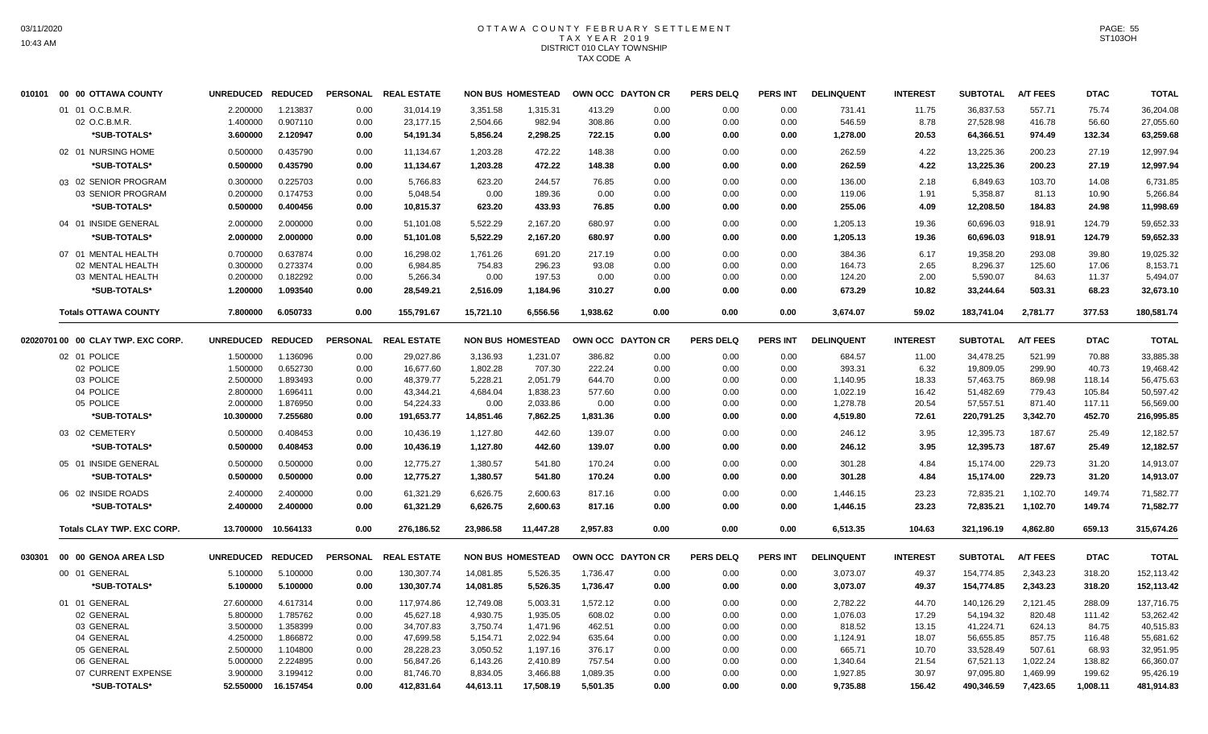# OTTAWA COUNTY FEBRUARY SETTLEMENT TAX YEAR 2019 DISTRICT 010 CLAY TOWNSHIP TAX CODE A

| 010101 | 00 00 OTTAWA COUNTY                  | UNREDUCED REDUCED    |                      |                 | PERSONAL REAL ESTATE |                | <b>NON BUS HOMESTEAD</b> | OWN OCC DAYTON CR |              | <b>PERS DELQ</b> | PERS INT        | <b>DELINQUENT</b> | <b>INTEREST</b> | <b>SUBTOTAL</b>      | <b>A/T FEES</b> | <b>DTAC</b>    | <b>TOTAL</b>         |
|--------|--------------------------------------|----------------------|----------------------|-----------------|----------------------|----------------|--------------------------|-------------------|--------------|------------------|-----------------|-------------------|-----------------|----------------------|-----------------|----------------|----------------------|
|        | 01 01 O.C.B.M.R.                     | 2.200000             | 1.213837             | 0.00            | 31,014.19            | 3,351.58       | 1,315.31                 | 413.29            | 0.00         | 0.00             | 0.00            | 731.41            | 11.75           | 36,837.53            | 557.71          | 75.74          | 36,204.08            |
|        | 02 O.C.B.M.R.                        | 1.400000             | 0.907110             | 0.00            | 23,177.15            | 2,504.66       | 982.94                   | 308.86            | 0.00         | 0.00             | 0.00            | 546.59            | 8.78            | 27,528.98            | 416.78          | 56.60          | 27,055.60            |
|        | *SUB-TOTALS*                         | 3.600000             | 2.120947             | 0.00            | 54,191.34            | 5,856.24       | 2,298.25                 | 722.15            | 0.00         | 0.00             | 0.00            | 1,278.00          | 20.53           | 64,366.51            | 974.49          | 132.34         | 63,259.68            |
|        | 02 01 NURSING HOME                   | 0.500000             | 0.435790             | 0.00            | 11,134.67            | 1,203.28       | 472.22                   | 148.38            | 0.00         | 0.00             | 0.00            | 262.59            | 4.22            | 13,225.36            | 200.23          | 27.19          | 12.997.94            |
|        | *SUB-TOTALS*                         | 0.500000             | 0.435790             | 0.00            | 11,134.67            | 1,203.28       | 472.22                   | 148.38            | 0.00         | 0.00             | 0.00            | 262.59            | 4.22            | 13,225.36            | 200.23          | 27.19          | 12,997.94            |
|        | 03 02 SENIOR PROGRAM                 | 0.300000             | 0.225703             | 0.00            | 5.766.83             | 623.20         | 244.57                   | 76.85             | 0.00         | 0.00             | 0.00            | 136.00            | 2.18            | 6.849.63             | 103.70          | 14.08          | 6,731.85             |
|        | 03 SENIOR PROGRAM                    | 0.200000             | 0.174753             | 0.00            | 5,048.54             | 0.00           | 189.36                   | 0.00              | 0.00         | 0.00             | 0.00            | 119.06            | 1.91            | 5,358.87             | 81.13           | 10.90          | 5,266.84             |
|        | *SUB-TOTALS*                         | 0.500000             | 0.400456             | 0.00            | 10,815.37            | 623.20         | 433.93                   | 76.85             | 0.00         | 0.00             | 0.00            | 255.06            | 4.09            | 12,208.50            | 184.83          | 24.98          | 11,998.69            |
|        | 04 01 INSIDE GENERAL                 | 2.000000             | 2.000000             | 0.00            | 51,101.08            | 5,522.29       | 2,167.20                 | 680.97            | 0.00         | 0.00             | 0.00            | 1,205.13          | 19.36           | 60,696.03            | 918.91          | 124.79         | 59,652.33            |
|        | *SUB-TOTALS*                         | 2.000000             | 2.000000             | 0.00            | 51,101.08            | 5,522.29       | 2,167.20                 | 680.97            | 0.00         | 0.00             | 0.00            | 1,205.13          | 19.36           | 60,696.03            | 918.91          | 124.79         | 59,652.33            |
|        |                                      |                      |                      |                 |                      |                |                          |                   |              |                  |                 |                   |                 |                      |                 |                |                      |
|        | 07 01 MENTAL HEALTH                  | 0.700000             | 0.637874             | 0.00            | 16,298.02            | 1,761.26       | 691.20                   | 217.19            | 0.00         | 0.00             | 0.00            | 384.36            | 6.17            | 19,358.20            | 293.08          | 39.80          | 19,025.32            |
|        | 02 MENTAL HEALTH<br>03 MENTAL HEALTH | 0.300000<br>0.200000 | 0.273374<br>0.182292 | 0.00<br>0.00    | 6,984.85<br>5,266.34 | 754.83<br>0.00 | 296.23<br>197.53         | 93.08<br>0.00     | 0.00<br>0.00 | 0.00<br>0.00     | 0.00<br>0.00    | 164.73<br>124.20  | 2.65<br>2.00    | 8,296.37<br>5,590.07 | 125.60<br>84.63 | 17.06<br>11.37 | 8,153.71<br>5,494.07 |
|        | *SUB-TOTALS*                         | 1.200000             | 1.093540             | 0.00            | 28,549.21            | 2.516.09       | 1,184.96                 | 310.27            | 0.00         | 0.00             | 0.00            | 673.29            | 10.82           | 33,244.64            | 503.31          | 68.23          | 32,673.10            |
|        |                                      |                      |                      |                 |                      |                |                          |                   |              |                  |                 |                   |                 |                      |                 |                |                      |
|        | <b>Totals OTTAWA COUNTY</b>          | 7.800000             | 6.050733             | 0.00            | 155,791.67           | 15,721.10      | 6,556.56                 | 1,938.62          | 0.00         | 0.00             | 0.00            | 3,674.07          | 59.02           | 183,741.04           | 2,781.77        | 377.53         | 180,581.74           |
|        | 02020701 00 00 CLAY TWP. EXC CORP.   | UNREDUCED REDUCED    |                      |                 | PERSONAL REAL ESTATE |                | <b>NON BUS HOMESTEAD</b> | OWN OCC DAYTON CR |              | <b>PERS DELQ</b> | <b>PERS INT</b> | <b>DELINQUENT</b> | <b>INTEREST</b> | <b>SUBTOTAL</b>      | <b>A/T FEES</b> | <b>DTAC</b>    | <b>TOTAL</b>         |
|        | 02 01 POLICE                         | 1.500000             | 1.136096             | 0.00            | 29,027.86            | 3,136.93       | 1,231.07                 | 386.82            | 0.00         | 0.00             | 0.00            | 684.57            | 11.00           | 34,478.25            | 521.99          | 70.88          | 33,885.38            |
|        | 02 POLICE                            | 1.500000             | 0.652730             | 0.00            | 16,677.60            | 1,802.28       | 707.30                   | 222.24            | 0.00         | 0.00             | 0.00            | 393.31            | 6.32            | 19,809.05            | 299.90          | 40.73          | 19,468.42            |
|        | 03 POLICE                            | 2.500000             | 1.893493             | 0.00            | 48,379.77            | 5,228.21       | 2,051.79                 | 644.70            | 0.00         | 0.00             | 0.00            | 1,140.95          | 18.33           | 57,463.75            | 869.98          | 118.14         | 56,475.63            |
|        | 04 POLICE                            | 2.800000             | 1.696411             | 0.00            | 43,344.21            | 4,684.04       | 1,838.23                 | 577.60            | 0.00         | 0.00             | 0.00            | 1,022.19          | 16.42           | 51,482.69            | 779.43          | 105.84         | 50,597.42            |
|        | 05 POLICE                            | 2.000000             | 1.876950             | 0.00            | 54,224.33            | 0.00           | 2,033.86                 | 0.00              | 0.00         | 0.00             | 0.00            | 1,278.78          | 20.54           | 57,557.51            | 871.40          | 117.11         | 56,569.00            |
|        | *SUB-TOTALS*                         | 10.300000            | 7.255680             | 0.00            | 191,653.77           | 14,851.46      | 7,862.25                 | 1,831.36          | 0.00         | 0.00             | 0.00            | 4,519.80          | 72.61           | 220,791.25           | 3,342.70        | 452.70         | 216,995.85           |
|        | 03 02 CEMETERY                       | 0.500000             | 0.408453             | 0.00            | 10,436.19            | 1,127.80       | 442.60                   | 139.07            | 0.00         | 0.00             | 0.00            | 246.12            | 3.95            | 12,395.73            | 187.67          | 25.49          | 12,182.57            |
|        | *SUB-TOTALS*                         | 0.500000             | 0.408453             | 0.00            | 10,436.19            | 1,127.80       | 442.60                   | 139.07            | 0.00         | 0.00             | 0.00            | 246.12            | 3.95            | 12,395.73            | 187.67          | 25.49          | 12,182.57            |
|        | 05 01 INSIDE GENERAL                 | 0.500000             | 0.500000             | 0.00            | 12.775.27            | 1,380.57       | 541.80                   | 170.24            | 0.00         | 0.00             | 0.00            | 301.28            | 4.84            | 15,174.00            | 229.73          | 31.20          | 14.913.07            |
|        | *SUB-TOTALS*                         | 0.500000             | 0.500000             | 0.00            | 12,775.27            | 1,380.57       | 541.80                   | 170.24            | 0.00         | 0.00             | 0.00            | 301.28            | 4.84            | 15,174.00            | 229.73          | 31.20          | 14,913.07            |
|        | 06 02 INSIDE ROADS                   | 2.400000             | 2.400000             | 0.00            | 61,321.29            | 6,626.75       | 2,600.63                 | 817.16            | 0.00         | 0.00             | 0.00            | 1,446.15          | 23.23           | 72,835.21            | 1,102.70        | 149.74         | 71.582.77            |
|        | *SUB-TOTALS*                         | 2.400000             | 2.400000             | 0.00            | 61,321.29            | 6,626.75       | 2,600.63                 | 817.16            | 0.00         | 0.00             | 0.00            | 1,446.15          | 23.23           | 72,835.21            | 1,102.70        | 149.74         | 71,582.77            |
|        | <b>Totals CLAY TWP. EXC CORP.</b>    |                      | 13.700000 10.564133  | 0.00            | 276,186.52           | 23,986.58      | 11,447.28                | 2,957.83          | 0.00         | 0.00             | 0.00            | 6,513.35          | 104.63          | 321,196.19           | 4,862.80        | 659.13         | 315,674.26           |
| 030301 | 00 00 GENOA AREA LSD                 | UNREDUCED REDUCED    |                      | <b>PERSONAL</b> | <b>REAL ESTATE</b>   |                | <b>NON BUS HOMESTEAD</b> | OWN OCC DAYTON CR |              | <b>PERS DELQ</b> | PERS INT        | <b>DELINQUENT</b> | <b>INTEREST</b> | <b>SUBTOTAL</b>      | <b>A/T FEES</b> | <b>DTAC</b>    | <b>TOTAL</b>         |
|        | 00 01 GENERAL                        | 5.100000             | 5.100000             | 0.00            | 130,307.74           | 14,081.85      | 5,526.35                 | 1,736.47          | 0.00         | 0.00             | 0.00            | 3,073.07          | 49.37           | 154,774.85           | 2,343.23        | 318.20         | 152,113.42           |
|        | *SUB-TOTALS*                         | 5.100000             | 5.100000             | 0.00            | 130,307.74           | 14,081.85      | 5,526.35                 | 1,736.47          | 0.00         | 0.00             | 0.00            | 3,073.07          | 49.37           | 154,774.85           | 2,343.23        | 318.20         | 152,113.42           |
|        | 01 01 GENERAL                        | 27.600000            | 4.617314             | 0.00            | 117,974.86           | 12,749.08      | 5,003.31                 | 1,572.12          | 0.00         | 0.00             | 0.00            | 2,782.22          | 44.70           | 140,126.29           | 2,121.45        | 288.09         | 137,716.75           |
|        | 02 GENERAL                           | 5.800000             | 1.785762             | 0.00            | 45,627.18            | 4,930.75       | 1,935.05                 | 608.02            | 0.00         | 0.00             | 0.00            | 1,076.03          | 17.29           | 54,194.32            | 820.48          | 111.42         | 53,262.42            |
|        | 03 GENERAL                           | 3.500000             | 1.358399             | 0.00            | 34,707.83            | 3,750.74       | 1,471.96                 | 462.51            | 0.00         | 0.00             | 0.00            | 818.52            | 13.15           | 41,224.71            | 624.13          | 84.75          | 40,515.83            |
|        | 04 GENERAL                           | 4.250000             | 1.866872             | 0.00            | 47,699.58            | 5,154.71       | 2,022.94                 | 635.64            | 0.00         | 0.00             | 0.00            | 1,124.91          | 18.07           | 56,655.85            | 857.75          | 116.48         | 55,681.62            |
|        | 05 GENERAL                           | 2.500000             | 1.104800             | 0.00            | 28,228.23            | 3,050.52       | 1,197.16                 | 376.17            | 0.00         | 0.00             | 0.00            | 665.71            | 10.70           | 33,528.49            | 507.61          | 68.93          | 32,951.95            |
|        | 06 GENERAL                           | 5.000000             | 2.224895             | 0.00            | 56,847.26            | 6,143.26       | 2,410.89                 | 757.54            | 0.00         | 0.00             | 0.00            | 1,340.64          | 21.54           | 67,521.13            | 1,022.24        | 138.82         | 66,360.07            |
|        | 07 CURRENT EXPENSE                   | 3.900000             | 3.199412             | 0.00            | 81,746.70            | 8,834.05       | 3,466.88                 | 1,089.35          | 0.00         | 0.00             | 0.00            | 1,927.85          | 30.97           | 97,095.80            | 1,469.99        | 199.62         | 95,426.19            |
|        | *SUB-TOTALS*                         | 52,550000            | 16.157454            | 0.00            | 412,831.64           | 44,613.11      | 17,508.19                | 5,501.35          | 0.00         | 0.00             | 0.00            | 9,735.88          | 156.42          | 490,346.59           | 7,423.65        | 1,008.11       | 481,914.83           |
|        |                                      |                      |                      |                 |                      |                |                          |                   |              |                  |                 |                   |                 |                      |                 |                |                      |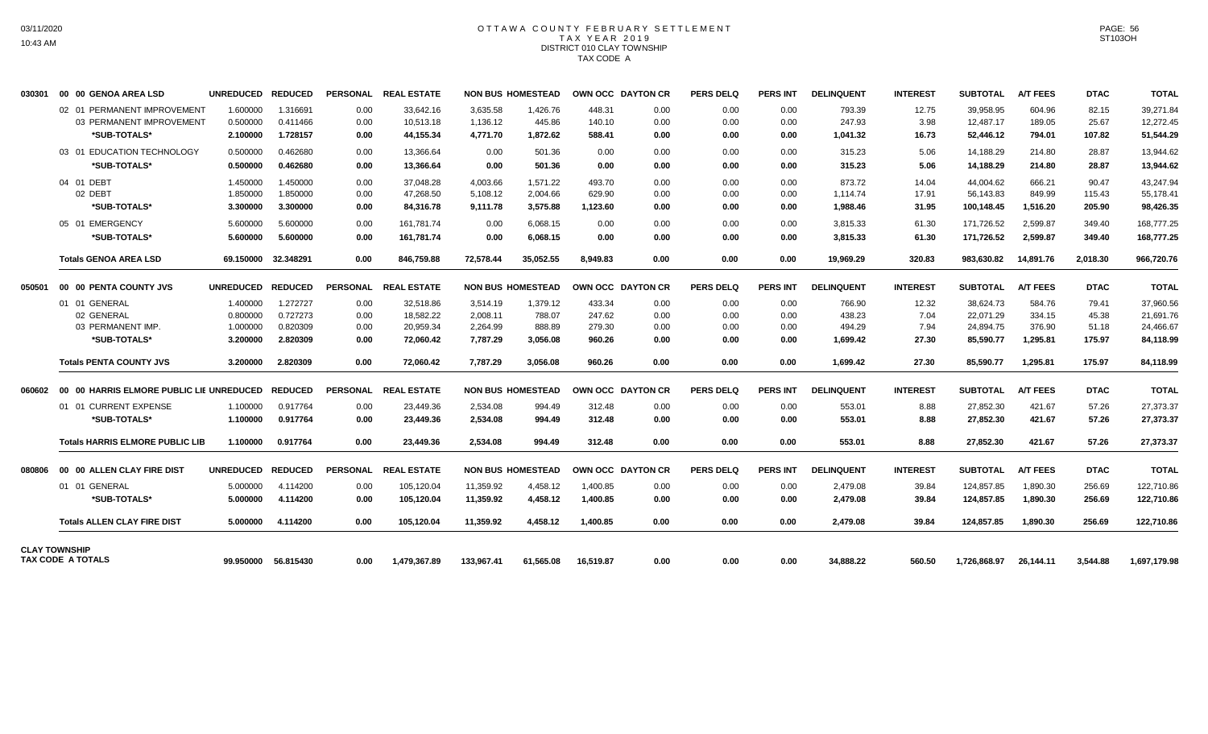# OTTAWA COUNTY FEBRUARY SETTLEMENT TAX YEAR 2019 DISTRICT 010 CLAY TOWNSHIP TAX CODE A

| 030301 | 00 00 GENOA AREA LSD                   | UNREDUCED REDUCED |                     |                 | PERSONAL REAL ESTATE |            | <b>NON BUS HOMESTEAD</b> |           | OWN OCC DAYTON CR | <b>PERS DELQ</b> | <b>PERS INT</b> | <b>DELINQUENT</b> | <b>INTEREST</b> | SUBTOTAL        | <b>A/T FEES</b> | <b>DTAC</b> | <b>TOTAL</b> |
|--------|----------------------------------------|-------------------|---------------------|-----------------|----------------------|------------|--------------------------|-----------|-------------------|------------------|-----------------|-------------------|-----------------|-----------------|-----------------|-------------|--------------|
|        | 02 01 PERMANENT IMPROVEMENT            | 1.600000          | 1.316691            | 0.00            | 33.642.16            | 3,635.58   | 1,426.76                 | 448.31    | 0.00              | 0.00             | 0.00            | 793.39            | 12.75           | 39,958.95       | 604.96          | 82.15       | 39,271.84    |
|        | 03 PERMANENT IMPROVEMENT               | 0.500000          | 0.411466            | 0.00            | 10,513.18            | 1,136.12   | 445.86                   | 140.10    | 0.00              | 0.00             | 0.00            | 247.93            | 3.98            | 12,487.17       | 189.05          | 25.67       | 12,272.45    |
|        | *SUB-TOTALS*                           | 2.100000          | 1.728157            | 0.00            | 44,155.34            | 4,771.70   | 1,872.62                 | 588.41    | 0.00              | 0.00             | 0.00            | 1,041.32          | 16.73           | 52,446.12       | 794.01          | 107.82      | 51,544.29    |
|        | 03 01 EDUCATION TECHNOLOGY             | 0.500000          | 0.462680            | 0.00            | 13,366.64            | 0.00       | 501.36                   | 0.00      | 0.00              | 0.00             | 0.00            | 315.23            | 5.06            | 14,188.29       | 214.80          | 28.87       | 13,944.62    |
|        | *SUB-TOTALS*                           | 0.500000          | 0.462680            | 0.00            | 13,366.64            | 0.00       | 501.36                   | 0.00      | 0.00              | 0.00             | 0.00            | 315.23            | 5.06            | 14,188.29       | 214.80          | 28.87       | 13,944.62    |
|        | 04 01 DEBT                             | 1.450000          | 1.450000            | 0.00            | 37.048.28            | 4.003.66   | 1.571.22                 | 493.70    | 0.00              | 0.00             | 0.00            | 873.72            | 14.04           | 44.004.62       | 666.21          | 90.47       | 43.247.94    |
|        | 02 DEBT                                | 1.850000          | 1.850000            | 0.00            | 47.268.50            | 5.108.12   | 2.004.66                 | 629.90    | 0.00              | 0.00             | 0.00            | 1.114.74          | 17.91           | 56.143.83       | 849.99          | 115.43      | 55,178.41    |
|        | *SUB-TOTALS*                           | 3.300000          | 3.300000            | 0.00            | 84,316.78            | 9,111.78   | 3,575.88                 | 1,123.60  | 0.00              | 0.00             | 0.00            | 1,988.46          | 31.95           | 100,148.45      | 1,516.20        | 205.90      | 98,426.35    |
|        | 05 01 EMERGENCY                        | 5.600000          | 5.600000            | 0.00            | 161,781.74           | 0.00       | 6.068.15                 | 0.00      | 0.00              | 0.00             | 0.00            | 3,815.33          | 61.30           | 171,726.52      | 2.599.87        | 349.40      | 168,777.25   |
|        | *SUB-TOTALS*                           | 5.600000          | 5.600000            | 0.00            | 161,781.74           | 0.00       | 6,068.15                 | 0.00      | 0.00              | 0.00             | 0.00            | 3,815.33          | 61.30           | 171,726.52      | 2,599.87        | 349.40      | 168,777.25   |
|        | <b>Totals GENOA AREA LSD</b>           | 69.150000         | 32.348291           | 0.00            | 846,759.88           | 72,578.44  | 35,052.55                | 8,949.83  | 0.00              | 0.00             | 0.00            | 19,969.29         | 320.83          | 983,630.82      | 14,891.76       | 2,018.30    | 966,720.76   |
| 050501 | 00 00 PENTA COUNTY JVS                 | <b>UNREDUCED</b>  | <b>REDUCED</b>      | <b>PERSONAL</b> | <b>REAL ESTATE</b>   |            | <b>NON BUS HOMESTEAD</b> |           | OWN OCC DAYTON CR | <b>PERS DELQ</b> | <b>PERS INT</b> | <b>DELINQUENT</b> | <b>INTEREST</b> | <b>SUBTOTAL</b> | <b>A/T FEES</b> | <b>DTAC</b> | <b>TOTAL</b> |
|        | 01 01 GENERAL                          | 1.400000          | 1.272727            | 0.00            | 32,518.86            | 3,514.19   | 1,379.12                 | 433.34    | 0.00              | 0.00             | 0.00            | 766.90            | 12.32           | 38,624.73       | 584.76          | 79.41       | 37,960.56    |
|        | 02 GENERAL                             | 0.800000          | 0.727273            | 0.00            | 18,582.22            | 2,008.11   | 788.07                   | 247.62    | 0.00              | 0.00             | 0.00            | 438.23            | 7.04            | 22,071.29       | 334.15          | 45.38       | 21,691.76    |
|        | 03 PERMANENT IMP.                      | 1.000000          | 0.820309            | 0.00            | 20,959.34            | 2,264.99   | 888.89                   | 279.30    | 0.00              | 0.00             | 0.00            | 494.29            | 7.94            | 24,894.75       | 376.90          | 51.18       | 24,466.67    |
|        | *SUB-TOTALS*                           | 3.200000          | 2.820309            | 0.00            | 72.060.42            | 7,787.29   | 3,056.08                 | 960.26    | 0.00              | 0.00             | 0.00            | 1,699.42          | 27.30           | 85,590.77       | 1,295.81        | 175.97      | 84,118.99    |
|        | <b>Totals PENTA COUNTY JVS</b>         | 3.200000          | 2.820309            | 0.00            | 72.060.42            | 7.787.29   | 3,056.08                 | 960.26    | 0.00              | 0.00             | 0.00            | 1,699.42          | 27.30           | 85,590.77       | 1,295.81        | 175.97      | 84,118.99    |
|        |                                        |                   |                     | <b>PERSONAL</b> | <b>REAL ESTATE</b>   |            | <b>NON BUS HOMESTEAD</b> |           | OWN OCC DAYTON CR | <b>PERS DELQ</b> | <b>PERS INT</b> | <b>DELINQUENT</b> | <b>INTEREST</b> | <b>SUBTOTAL</b> | <b>A/T FEES</b> | <b>DTAC</b> | <b>TOTAL</b> |
|        | 01 01 CURRENT EXPENSE                  | 1.100000          | 0.917764            | 0.00            | 23,449.36            | 2,534.08   | 994.49                   | 312.48    | 0.00              | 0.00             | 0.00            | 553.01            | 8.88            | 27,852.30       | 421.67          | 57.26       | 27,373.37    |
|        | *SUB-TOTALS*                           | 1.100000          | 0.917764            | 0.00            | 23,449.36            | 2,534.08   | 994.49                   | 312.48    | 0.00              | 0.00             | 0.00            | 553.01            | 8.88            | 27,852.30       | 421.67          | 57.26       | 27,373.37    |
|        | <b>Totals HARRIS ELMORE PUBLIC LIB</b> | 1.100000          | 0.917764            | 0.00            | 23.449.36            | 2.534.08   | 994.49                   | 312.48    | 0.00              | 0.00             | 0.00            | 553.01            | 8.88            | 27,852.30       | 421.67          | 57.26       | 27,373.37    |
| 080806 | 00 00 ALLEN CLAY FIRE DIST             | UNREDUCED REDUCED |                     | <b>PERSONAL</b> | <b>REAL ESTATE</b>   |            | <b>NON BUS HOMESTEAD</b> |           | OWN OCC DAYTON CR | <b>PERS DELQ</b> | <b>PERS INT</b> | <b>DELINQUENT</b> | <b>INTEREST</b> | <b>SUBTOTAL</b> | <b>A/T FEES</b> | <b>DTAC</b> | <b>TOTAL</b> |
|        | 01 01 GENERAL                          | 5.000000          | 4.114200            | 0.00            | 105,120.04           | 11,359.92  | 4,458.12                 | 1,400.85  | 0.00              | 0.00             | 0.00            | 2,479.08          | 39.84           | 124,857.85      | 1,890.30        | 256.69      | 122,710.86   |
|        | *SUB-TOTALS*                           | 5.000000          | 4.114200            | 0.00            | 105.120.04           | 11,359.92  | 4,458.12                 | 1.400.85  | 0.00              | 0.00             | 0.00            | 2,479.08          | 39.84           | 124,857.85      | 1.890.30        | 256.69      | 122,710.86   |
|        | <b>Totals ALLEN CLAY FIRE DIST</b>     | 5.000000          | 4.114200            | 0.00            | 105,120.04           | 11,359.92  | 4,458.12                 | 1,400.85  | 0.00              | 0.00             | 0.00            | 2,479.08          | 39.84           | 124.857.85      | 1,890.30        | 256.69      | 122,710.86   |
|        | <b>CLAY TOWNSHIP</b>                   |                   |                     |                 |                      |            |                          |           |                   |                  |                 |                   |                 |                 |                 |             |              |
|        | TAX CODE A TOTALS                      |                   | 99.950000 56.815430 | 0.00            | 1.479.367.89         | 133.967.41 | 61.565.08                | 16.519.87 | 0.00              | 0.00             | 0.00            | 34.888.22         | 560.50          | 1.726.868.97    | 26.144.11       | 3.544.88    | 1.697.179.98 |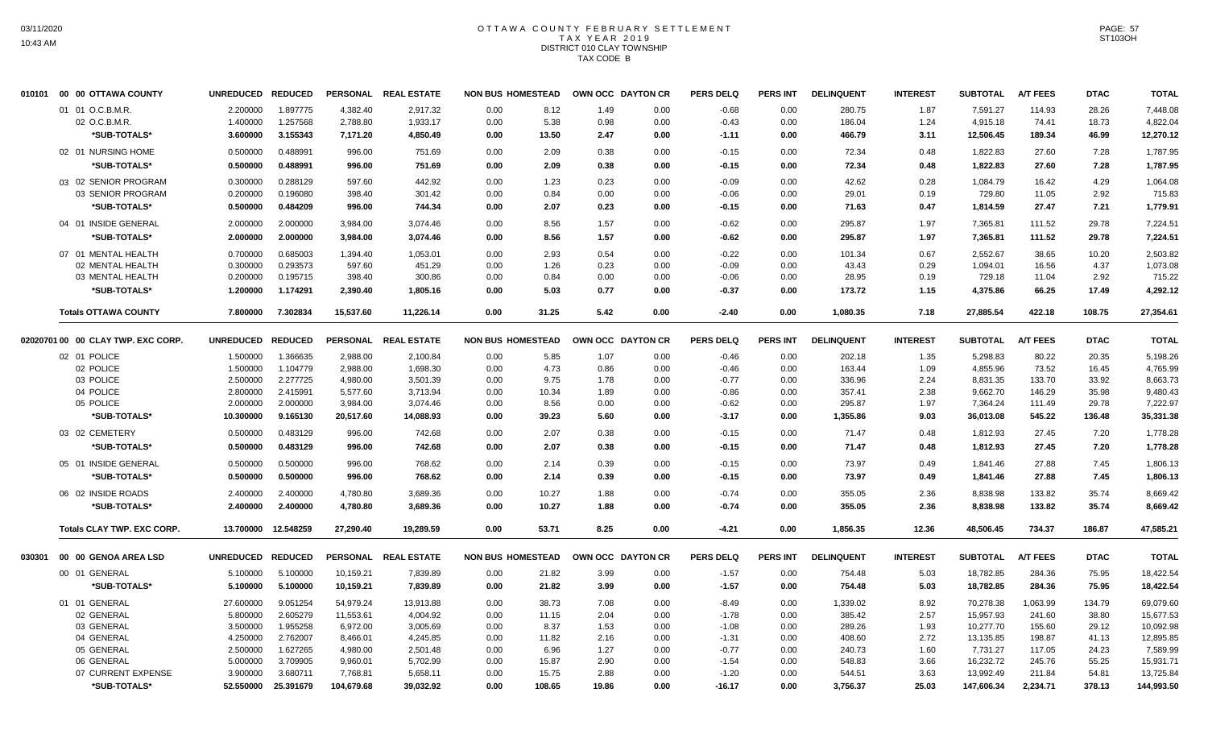# OTTAWA COUNTY FEBRUARY SETTLEMENT TAX YEAR 2019 DISTRICT 010 CLAY TOWNSHIP TAX CODE B

| 010101 | 00 00 OTTAWA COUNTY                | <b>UNREDUCED</b>  | <b>REDUCED</b> |            | PERSONAL REAL ESTATE | <b>NON BUS HOMESTEAD</b> |        | OWN OCC DAYTON CR |      | <b>PERS DELQ</b> | <b>PERS INT</b> | <b>DELINQUENT</b> | <b>INTEREST</b> | <b>SUBTOTAL</b> | <b>A/T FEES</b> | <b>DTAC</b> | <b>TOTAL</b> |
|--------|------------------------------------|-------------------|----------------|------------|----------------------|--------------------------|--------|-------------------|------|------------------|-----------------|-------------------|-----------------|-----------------|-----------------|-------------|--------------|
|        | 01 01 O.C.B.M.R.                   | 2.200000          | 1.897775       | 4,382.40   | 2.917.32             | 0.00                     | 8.12   | 1.49              | 0.00 | $-0.68$          | 0.00            | 280.75            | 1.87            | 7,591.27        | 114.93          | 28.26       | 7,448.08     |
|        | 02 O.C.B.M.R.                      | 1.400000          | 1.257568       | 2,788.80   | 1,933.17             | 0.00                     | 5.38   | 0.98              | 0.00 | $-0.43$          | 0.00            | 186.04            | 1.24            | 4,915.18        | 74.41           | 18.73       | 4,822.04     |
|        | *SUB-TOTALS*                       | 3.600000          | 3.155343       | 7,171.20   | 4,850.49             | 0.00                     | 13.50  | 2.47              | 0.00 | $-1.11$          | 0.00            | 466.79            | 3.11            | 12,506.45       | 189.34          | 46.99       | 12,270.12    |
|        | 02 01 NURSING HOME                 | 0.500000          | 0.488991       | 996.00     | 751.69               | 0.00                     | 2.09   | 0.38              | 0.00 | $-0.15$          | 0.00            | 72.34             | 0.48            | 1,822.83        | 27.60           | 7.28        | 1,787.95     |
|        | *SUB-TOTALS*                       | 0.500000          | 0.488991       | 996.00     | 751.69               | 0.00                     | 2.09   | 0.38              | 0.00 | $-0.15$          | 0.00            | 72.34             | 0.48            | 1,822.83        | 27.60           | 7.28        | 1,787.95     |
|        | 03 02 SENIOR PROGRAM               | 0.300000          | 0.288129       | 597.60     | 442.92               | 0.00                     | 1.23   | 0.23              | 0.00 | $-0.09$          | 0.00            | 42.62             | 0.28            | 1,084.79        | 16.42           | 4.29        | 1,064.08     |
|        | 03 SENIOR PROGRAM                  | 0.200000          | 0.196080       | 398.40     | 301.42               | 0.00                     | 0.84   | 0.00              | 0.00 | $-0.06$          | 0.00            | 29.01             | 0.19            | 729.80          | 11.05           | 2.92        | 715.83       |
|        | *SUB-TOTALS*                       | 0.500000          | 0.484209       | 996.00     | 744.34               | 0.00                     | 2.07   | 0.23              | 0.00 | $-0.15$          | 0.00            | 71.63             | 0.47            | 1,814.59        | 27.47           | 7.21        | 1,779.91     |
|        | 04 01 INSIDE GENERAL               | 2.000000          | 2.000000       | 3,984.00   | 3,074.46             | 0.00                     | 8.56   | 1.57              | 0.00 | $-0.62$          | 0.00            | 295.87            | 1.97            | 7,365.81        | 111.52          | 29.78       | 7,224.51     |
|        | *SUB-TOTALS*                       | 2.000000          | 2.000000       | 3,984.00   | 3,074.46             | 0.00                     | 8.56   | 1.57              | 0.00 | $-0.62$          | 0.00            | 295.87            | 1.97            | 7,365.81        | 111.52          | 29.78       | 7,224.51     |
|        | 07 01 MENTAL HEALTH                | 0.700000          | 0.685003       | 1,394.40   | 1,053.01             | 0.00                     | 2.93   | 0.54              | 0.00 | $-0.22$          | 0.00            | 101.34            | 0.67            | 2,552.67        | 38.65           | 10.20       | 2,503.82     |
|        | 02 MENTAL HEALTH                   | 0.300000          | 0.293573       | 597.60     | 451.29               | 0.00                     | 1.26   | 0.23              | 0.00 | $-0.09$          | 0.00            | 43.43             | 0.29            | 1.094.01        | 16.56           | 4.37        | 1,073.08     |
|        | 03 MENTAL HEALTH                   | 0.200000          | 0.195715       | 398.40     | 300.86               | 0.00                     | 0.84   | 0.00              | 0.00 | $-0.06$          | 0.00            | 28.95             | 0.19            | 729.18          | 11.04           | 2.92        | 715.22       |
|        | *SUB-TOTALS*                       | 1.200000          | 1.174291       | 2,390.40   | 1,805.16             | 0.00                     | 5.03   | 0.77              | 0.00 | $-0.37$          | 0.00            | 173.72            | 1.15            | 4,375.86        | 66.25           | 17.49       | 4,292.12     |
|        | <b>Totals OTTAWA COUNTY</b>        | 7.800000          | 7.302834       | 15,537.60  | 11.226.14            | 0.00                     | 31.25  | 5.42              | 0.00 | $-2.40$          | 0.00            | 1,080.35          | 7.18            | 27,885.54       | 422.18          | 108.75      | 27,354.61    |
|        | 02020701 00 00 CLAY TWP. EXC CORP. | <b>UNREDUCED</b>  | <b>REDUCED</b> |            | PERSONAL REAL ESTATE | <b>NON BUS HOMESTEAD</b> |        | OWN OCC DAYTON CR |      | <b>PERS DELQ</b> | <b>PERS INT</b> | <b>DELINQUENT</b> | <b>INTEREST</b> | <b>SUBTOTAL</b> | <b>A/T FEES</b> | <b>DTAC</b> | <b>TOTAL</b> |
|        | 02 01 POLICE                       | 1.500000          | 1.366635       | 2,988.00   | 2,100.84             | 0.00                     | 5.85   | 1.07              | 0.00 | $-0.46$          | 0.00            | 202.18            | 1.35            | 5,298.83        | 80.22           | 20.35       | 5,198.26     |
|        | 02 POLICE                          | 1.500000          | 1.104779       | 2,988.00   | 1,698.30             | 0.00                     | 4.73   | 0.86              | 0.00 | $-0.46$          | 0.00            | 163.44            | 1.09            | 4,855.96        | 73.52           | 16.45       | 4,765.99     |
|        | 03 POLICE                          | 2.500000          | 2.277725       | 4,980.00   | 3,501.39             | 0.00                     | 9.75   | 1.78              | 0.00 | $-0.77$          | 0.00            | 336.96            | 2.24            | 8,831.35        | 133.70          | 33.92       | 8,663.73     |
|        | 04 POLICE                          | 2.800000          | 2.415991       | 5,577.60   | 3,713.94             | 0.00                     | 10.34  | 1.89              | 0.00 | $-0.86$          | 0.00            | 357.41            | 2.38            | 9,662.70        | 146.29          | 35.98       | 9,480.43     |
|        | 05 POLICE                          | 2.000000          | 2.000000       | 3,984.00   | 3,074.46             | 0.00                     | 8.56   | 0.00              | 0.00 | $-0.62$          | 0.00            | 295.87            | 1.97            | 7,364.24        | 111.49          | 29.78       | 7,222.97     |
|        | *SUB-TOTALS*                       | 10.300000         | 9.165130       | 20,517.60  | 14,088.93            | 0.00                     | 39.23  | 5.60              | 0.00 | $-3.17$          | 0.00            | 1,355.86          | 9.03            | 36,013.08       | 545.22          | 136.48      | 35,331.38    |
|        | 03 02 CEMETERY                     | 0.500000          | 0.483129       | 996.00     | 742.68               | 0.00                     | 2.07   | 0.38              | 0.00 | $-0.15$          | 0.00            | 71.47             | 0.48            | 1,812.93        | 27.45           | 7.20        | 1,778.28     |
|        | *SUB-TOTALS*                       | 0.500000          | 0.483129       | 996.00     | 742.68               | 0.00                     | 2.07   | 0.38              | 0.00 | $-0.15$          | 0.00            | 71.47             | 0.48            | 1,812.93        | 27.45           | 7.20        | 1,778.28     |
|        | 05 01 INSIDE GENERAL               | 0.500000          | 0.500000       | 996.00     | 768.62               | 0.00                     | 2.14   | 0.39              | 0.00 | $-0.15$          | 0.00            | 73.97             | 0.49            | 1,841.46        | 27.88           | 7.45        | 1,806.13     |
|        | *SUB-TOTALS*                       | 0.500000          | 0.500000       | 996.00     | 768.62               | 0.00                     | 2.14   | 0.39              | 0.00 | $-0.15$          | 0.00            | 73.97             | 0.49            | 1,841.46        | 27.88           | 7.45        | 1,806.13     |
|        | 06 02 INSIDE ROADS                 | 2.400000          | 2.400000       | 4,780.80   | 3,689.36             | 0.00                     | 10.27  | 1.88              | 0.00 | $-0.74$          | 0.00            | 355.05            | 2.36            | 8,838.98        | 133.82          | 35.74       | 8,669.42     |
|        | *SUB-TOTALS*                       | 2.400000          | 2.400000       | 4,780.80   | 3,689.36             | 0.00                     | 10.27  | 1.88              | 0.00 | $-0.74$          | 0.00            | 355.05            | 2.36            | 8,838.98        | 133.82          | 35.74       | 8,669.42     |
|        | <b>Totals CLAY TWP. EXC CORP.</b>  | 13.700000         | 12.548259      | 27,290.40  | 19,289.59            | 0.00                     | 53.71  | 8.25              | 0.00 | $-4.21$          | 0.00            | 1,856.35          | 12.36           | 48,506.45       | 734.37          | 186.87      | 47,585.21    |
| 030301 | 00 00 GENOA AREA LSD               | UNREDUCED REDUCED |                |            | PERSONAL REAL ESTATE | <b>NON BUS HOMESTEAD</b> |        | OWN OCC DAYTON CR |      | <b>PERS DELQ</b> | <b>PERS INT</b> | <b>DELINQUENT</b> | <b>INTEREST</b> | <b>SUBTOTAL</b> | <b>A/T FEES</b> | <b>DTAC</b> | <b>TOTAL</b> |
|        | 00 01 GENERAL                      | 5.100000          | 5.100000       | 10,159.21  | 7,839.89             | 0.00                     | 21.82  | 3.99              | 0.00 | $-1.57$          | 0.00            | 754.48            | 5.03            | 18,782.85       | 284.36          | 75.95       | 18,422.54    |
|        | *SUB-TOTALS*                       | 5.100000          | 5.100000       | 10,159.21  | 7,839.89             | 0.00                     | 21.82  | 3.99              | 0.00 | $-1.57$          | 0.00            | 754.48            | 5.03            | 18,782.85       | 284.36          | 75.95       | 18,422.54    |
|        | 01 01 GENERAL                      | 27.600000         | 9.051254       | 54,979.24  | 13,913.88            | 0.00                     | 38.73  | 7.08              | 0.00 | $-8.49$          | 0.00            | 1,339.02          | 8.92            | 70,278.38       | 1,063.99        | 134.79      | 69,079.60    |
|        | 02 GENERAL                         | 5.800000          | 2.605279       | 11,553.61  | 4,004.92             | 0.00                     | 11.15  | 2.04              | 0.00 | $-1.78$          | 0.00            | 385.42            | 2.57            | 15,957.93       | 241.60          | 38.80       | 15,677.53    |
|        | 03 GENERAL                         | 3.500000          | 1.955258       | 6,972.00   | 3,005.69             | 0.00                     | 8.37   | 1.53              | 0.00 | $-1.08$          | 0.00            | 289.26            | 1.93            | 10,277.70       | 155.60          | 29.12       | 10,092.98    |
|        | 04 GENERAL                         | 4.250000          | 2.762007       | 8,466.01   | 4,245.85             | 0.00                     | 11.82  | 2.16              | 0.00 | $-1.31$          | 0.00            | 408.60            | 2.72            | 13,135.85       | 198.87          | 41.13       | 12,895.85    |
|        | 05 GENERAL                         | 2.500000          | 1.627265       | 4,980.00   | 2,501.48             | 0.00                     | 6.96   | 1.27              | 0.00 | $-0.77$          | 0.00            | 240.73            | 1.60            | 7,731.27        | 117.05          | 24.23       | 7,589.99     |
|        | 06 GENERAL                         | 5.000000          | 3.709905       | 9,960.01   | 5,702.99             | 0.00                     | 15.87  | 2.90              | 0.00 | $-1.54$          | 0.00            | 548.83            | 3.66            | 16,232.72       | 245.76          | 55.25       | 15,931.71    |
|        | 07 CURRENT EXPENSE                 | 3.900000          | 3.680711       | 7,768.81   | 5,658.11             | 0.00                     | 15.75  | 2.88              | 0.00 | $-1.20$          | 0.00            | 544.51            | 3.63            | 13,992.49       | 211.84          | 54.81       | 13,725.84    |
|        | *SUB-TOTALS*                       | 52.550000         | 25.391679      | 104,679.68 | 39,032.92            | 0.00                     | 108.65 | 19.86             | 0.00 | $-16.17$         | 0.00            | 3,756.37          | 25.03           | 147,606.34      | 2,234.71        | 378.13      | 144,993.50   |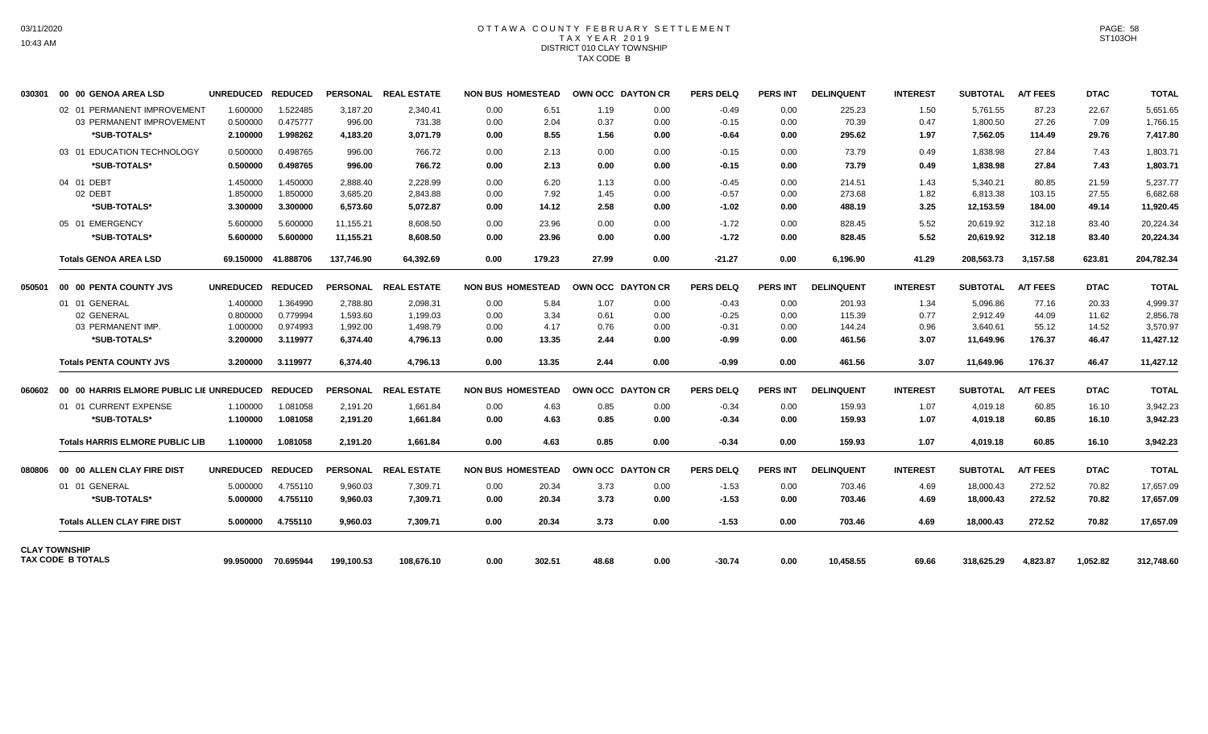# OTTAWA COUNTY FEBRUARY SETTLEMENT TAX YEAR 2019 DISTRICT 010 CLAY TOWNSHIP TAX CODE B

| 030301 | 00 00 GENOA AREA LSD                   | UNREDUCED REDUCED |                     |            | PERSONAL REAL ESTATE | <b>NON BUS HOMESTEAD</b> |        | <b>OWN OCC DAYTON CR</b> |      | <b>PERS DELQ</b> | <b>PERS INT</b> | <b>DELINQUENT</b> | <b>INTEREST</b> | <b>SUBTOTAL</b> | <b>A/T FEES</b> | <b>DTAC</b> | <b>TOTAL</b> |
|--------|----------------------------------------|-------------------|---------------------|------------|----------------------|--------------------------|--------|--------------------------|------|------------------|-----------------|-------------------|-----------------|-----------------|-----------------|-------------|--------------|
|        | 02 01 PERMANENT IMPROVEMENT            | 1.600000          | 1.522485            | 3,187.20   | 2,340.41             | 0.00                     | 6.51   | 1.19                     | 0.00 | $-0.49$          | 0.00            | 225.23            | 1.50            | 5,761.55        | 87.23           | 22.67       | 5,651.65     |
|        | 03 PERMANENT IMPROVEMENT               | 0.500000          | 0.475777            | 996.00     | 731.38               | 0.00                     | 2.04   | 0.37                     | 0.00 | $-0.15$          | 0.00            | 70.39             | 0.47            | 1,800.50        | 27.26           | 7.09        | 1,766.15     |
|        | *SUB-TOTALS*                           | 2.100000          | 1.998262            | 4,183.20   | 3,071.79             | 0.00                     | 8.55   | 1.56                     | 0.00 | $-0.64$          | 0.00            | 295.62            | 1.97            | 7,562.05        | 114.49          | 29.76       | 7,417.80     |
|        | 03 01 EDUCATION TECHNOLOGY             | 0.500000          | 0.498765            | 996.00     | 766.72               | 0.00                     | 2.13   | 0.00                     | 0.00 | $-0.15$          | 0.00            | 73.79             | 0.49            | 1,838.98        | 27.84           | 7.43        | 1,803.71     |
|        | *SUB-TOTALS*                           | 0.500000          | 0.498765            | 996.00     | 766.72               | 0.00                     | 2.13   | 0.00                     | 0.00 | $-0.15$          | 0.00            | 73.79             | 0.49            | 1,838.98        | 27.84           | 7.43        | 1,803.71     |
|        | 04 01 DEBT                             | 1.450000          | 1.450000            | 2.888.40   | 2.228.99             | 0.00                     | 6.20   | 1.13                     | 0.00 | $-0.45$          | 0.00            | 214.51            | 1.43            | 5.340.21        | 80.85           | 21.59       | 5.237.77     |
|        | 02 DEBT                                | 1.850000          | 1.850000            | 3.685.20   | 2.843.88             | 0.00                     | 7.92   | 1.45                     | 0.00 | $-0.57$          | 0.00            | 273.68            | 1.82            | 6.813.38        | 103.15          | 27.55       | 6.682.68     |
|        | *SUB-TOTALS*                           | 3.300000          | 3.300000            | 6,573.60   | 5,072.87             | 0.00                     | 14.12  | 2.58                     | 0.00 | $-1.02$          | 0.00            | 488.19            | 3.25            | 12,153.59       | 184.00          | 49.14       | 11,920.45    |
|        | 05 01 EMERGENCY                        | 5.600000          | 5.600000            | 11,155.21  | 8.608.50             | 0.00                     | 23.96  | 0.00                     | 0.00 | $-1.72$          | 0.00            | 828.45            | 5.52            | 20,619.92       | 312.18          | 83.40       | 20,224.34    |
|        | *SUB-TOTALS*                           | 5.600000          | 5.600000            | 11,155.21  | 8,608.50             | 0.00                     | 23.96  | 0.00                     | 0.00 | $-1.72$          | 0.00            | 828.45            | 5.52            | 20,619.92       | 312.18          | 83.40       | 20,224.34    |
|        | <b>Totals GENOA AREA LSD</b>           | 69.150000         | 41.888706           | 137,746.90 | 64,392.69            | 0.00                     | 179.23 | 27.99                    | 0.00 | $-21.27$         | 0.00            | 6,196.90          | 41.29           | 208,563.73      | 3,157.58        | 623.81      | 204,782.34   |
| 050501 | 00 00 PENTA COUNTY JVS                 | <b>UNREDUCED</b>  | <b>REDUCED</b>      |            | PERSONAL REAL ESTATE | <b>NON BUS HOMESTEAD</b> |        | OWN OCC DAYTON CR        |      | <b>PERS DELQ</b> | <b>PERS INT</b> | <b>DELINQUENT</b> | <b>INTEREST</b> | <b>SUBTOTAL</b> | <b>A/T FEES</b> | <b>DTAC</b> | <b>TOTAL</b> |
|        | 01 01 GENERAL                          | 1.400000          | 1.364990            | 2,788.80   | 2,098.31             | 0.00                     | 5.84   | 1.07                     | 0.00 | $-0.43$          | 0.00            | 201.93            | 1.34            | 5,096.86        | 77.16           | 20.33       | 4,999.37     |
|        | 02 GENERAL                             | 0.800000          | 0.779994            | 1,593.60   | 1,199.03             | 0.00                     | 3.34   | 0.61                     | 0.00 | $-0.25$          | 0.00            | 115.39            | 0.77            | 2,912.49        | 44.09           | 11.62       | 2,856.78     |
|        | 03 PERMANENT IMP.                      | 1.000000          | 0.974993            | 1,992.00   | 1,498.79             | 0.00                     | 4.17   | 0.76                     | 0.00 | $-0.31$          | 0.00            | 144.24            | 0.96            | 3,640.61        | 55.12           | 14.52       | 3,570.97     |
|        | *SUB-TOTALS*                           | 3.200000          | 3.119977            | 6,374.40   | 4,796.13             | 0.00                     | 13.35  | 2.44                     | 0.00 | $-0.99$          | 0.00            | 461.56            | 3.07            | 11.649.96       | 176.37          | 46.47       | 11,427.12    |
|        | <b>Totals PENTA COUNTY JVS</b>         | 3.200000          | 3.119977            | 6.374.40   | 4,796.13             | 0.00                     | 13.35  | 2.44                     | 0.00 | $-0.99$          | 0.00            | 461.56            | 3.07            | 11,649.96       | 176.37          | 46.47       | 11,427.12    |
|        |                                        |                   |                     |            | PERSONAL REAL ESTATE | <b>NON BUS HOMESTEAD</b> |        | <b>OWN OCC DAYTON CR</b> |      | <b>PERS DELQ</b> | <b>PERS INT</b> | <b>DELINQUENT</b> | <b>INTEREST</b> | <b>SUBTOTAL</b> | <b>A/T FEES</b> | <b>DTAC</b> | <b>TOTAL</b> |
|        | 01 01 CURRENT EXPENSE                  | 1.100000          | 1.081058            | 2,191.20   | 1,661.84             | 0.00                     | 4.63   | 0.85                     | 0.00 | $-0.34$          | 0.00            | 159.93            | 1.07            | 4,019.18        | 60.85           | 16.10       | 3,942.23     |
|        | *SUB-TOTALS*                           | 1.100000          | 1.081058            | 2,191.20   | 1,661.84             | 0.00                     | 4.63   | 0.85                     | 0.00 | $-0.34$          | 0.00            | 159.93            | 1.07            | 4,019.18        | 60.85           | 16.10       | 3,942.23     |
|        | <b>Totals HARRIS ELMORE PUBLIC LIB</b> | 1.100000          | 1.081058            | 2.191.20   | 1.661.84             | 0.00                     | 4.63   | 0.85                     | 0.00 | $-0.34$          | 0.00            | 159.93            | 1.07            | 4,019.18        | 60.85           | 16.10       | 3,942.23     |
| 080806 | 00 00 ALLEN CLAY FIRE DIST             | <b>UNREDUCED</b>  | <b>REDUCED</b>      |            | PERSONAL REAL ESTATE | <b>NON BUS HOMESTEAD</b> |        | <b>OWN OCC DAYTON CR</b> |      | <b>PERS DELQ</b> | <b>PERS INT</b> | <b>DELINQUENT</b> | <b>INTEREST</b> | <b>SUBTOTAL</b> | <b>A/T FEES</b> | <b>DTAC</b> | <b>TOTAL</b> |
|        | 01 01 GENERAL                          | 5.000000          | 4.755110            | 9,960.03   | 7,309.71             | 0.00                     | 20.34  | 3.73                     | 0.00 | $-1.53$          | 0.00            | 703.46            | 4.69            | 18,000.43       | 272.52          | 70.82       | 17,657.09    |
|        | *SUB-TOTALS*                           | 5.000000          | 4.755110            | 9.960.03   | 7.309.71             | 0.00                     | 20.34  | 3.73                     | 0.00 | $-1.53$          | 0.00            | 703.46            | 4.69            | 18.000.43       | 272.52          | 70.82       | 17,657.09    |
|        | <b>Totals ALLEN CLAY FIRE DIST</b>     | 5.000000          | 4.755110            | 9,960.03   | 7.309.71             | 0.00                     | 20.34  | 3.73                     | 0.00 | $-1.53$          | 0.00            | 703.46            | 4.69            | 18,000.43       | 272.52          | 70.82       | 17,657.09    |
|        | <b>CLAY TOWNSHIP</b>                   |                   |                     |            |                      |                          |        |                          |      |                  |                 |                   |                 |                 |                 |             |              |
|        | TAX CODE B TOTALS                      |                   | 99.950000 70.695944 | 199.100.53 | 108.676.10           | 0.00                     | 302.51 | 48.68                    | 0.00 | $-30.74$         | 0.00            | 10.458.55         | 69.66           | 318.625.29      | 4.823.87        | 1.052.82    | 312,748.60   |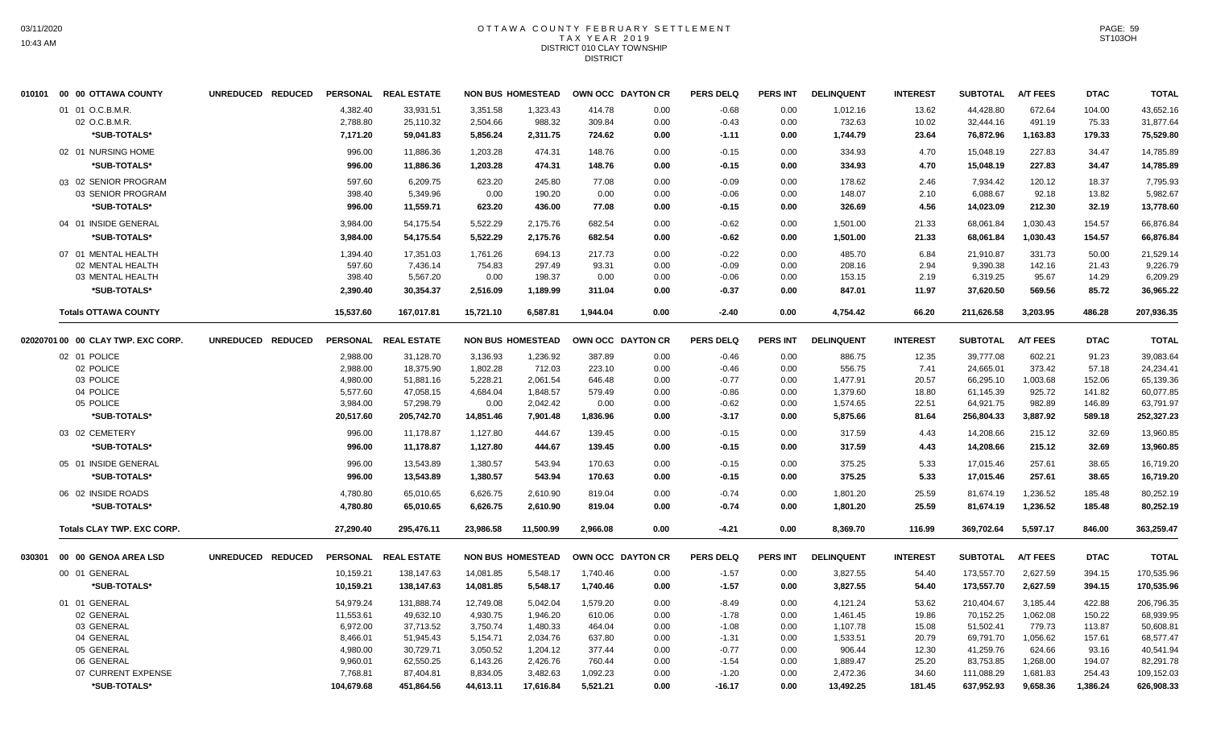# OTTAWA COUNTY FEBRUARY SETTLEMENT TAX YEAR 2019 DISTRICT 010 CLAY TOWNSHIP **DISTRICT**

|        | 010101 00 00 OTTAWA COUNTY         | UNREDUCED REDUCED |            | PERSONAL REAL ESTATE |           | <b>NON BUS HOMESTEAD</b> | OWN OCC DAYTON CR |      | <b>PERS DELQ</b> | PERS INT        | <b>DELINQUENT</b> | <b>INTEREST</b> | <b>SUBTOTAL</b> | <b>A/T FEES</b> | <b>DTAC</b> | <b>TOTAL</b> |
|--------|------------------------------------|-------------------|------------|----------------------|-----------|--------------------------|-------------------|------|------------------|-----------------|-------------------|-----------------|-----------------|-----------------|-------------|--------------|
|        | 01 01 O.C.B.M.R.                   |                   | 4,382.40   | 33,931.51            | 3,351.58  | 1,323.43                 | 414.78            | 0.00 | $-0.68$          | 0.00            | 1,012.16          | 13.62           | 44,428.80       | 672.64          | 104.00      | 43,652.16    |
|        | 02 O.C.B.M.R.                      |                   | 2,788.80   | 25,110.32            | 2,504.66  | 988.32                   | 309.84            | 0.00 | $-0.43$          | 0.00            | 732.63            | 10.02           | 32,444.16       | 491.19          | 75.33       | 31,877.64    |
|        | *SUB-TOTALS*                       |                   | 7,171.20   | 59,041.83            | 5,856.24  | 2,311.75                 | 724.62            | 0.00 | $-1.11$          | 0.00            | 1,744.79          | 23.64           | 76,872.96       | 1,163.83        | 179.33      | 75,529.80    |
|        | 02 01 NURSING HOME                 |                   | 996.00     | 11,886.36            | 1,203.28  | 474.31                   | 148.76            | 0.00 | $-0.15$          | 0.00            | 334.93            | 4.70            | 15,048.19       | 227.83          | 34.47       | 14,785.89    |
|        | *SUB-TOTALS*                       |                   | 996.00     | 11.886.36            | 1.203.28  | 474.31                   | 148.76            | 0.00 | $-0.15$          | 0.00            | 334.93            | 4.70            | 15.048.19       | 227.83          | 34.47       | 14,785.89    |
|        | 03 02 SENIOR PROGRAM               |                   | 597.60     | 6,209.75             | 623.20    | 245.80                   | 77.08             | 0.00 | $-0.09$          | 0.00            | 178.62            | 2.46            | 7,934.42        | 120.12          | 18.37       | 7,795.93     |
|        | 03 SENIOR PROGRAM                  |                   | 398.40     | 5,349.96             | 0.00      | 190.20                   | 0.00              | 0.00 | $-0.06$          | 0.00            | 148.07            | 2.10            | 6,088.67        | 92.18           | 13.82       | 5,982.67     |
|        | *SUB-TOTALS*                       |                   | 996.00     | 11,559.71            | 623.20    | 436.00                   | 77.08             | 0.00 | $-0.15$          | 0.00            | 326.69            | 4.56            | 14,023.09       | 212.30          | 32.19       | 13,778.60    |
|        | 04 01 INSIDE GENERAL               |                   | 3,984.00   | 54,175.54            | 5,522.29  | 2,175.76                 | 682.54            | 0.00 | $-0.62$          | 0.00            | 1,501.00          | 21.33           | 68,061.84       | 1,030.43        | 154.57      | 66,876.84    |
|        | *SUB-TOTALS*                       |                   | 3.984.00   | 54,175.54            | 5,522.29  | 2,175.76                 | 682.54            | 0.00 | $-0.62$          | 0.00            | 1,501.00          | 21.33           | 68,061.84       | 1,030.43        | 154.57      | 66,876.84    |
|        | 07 01 MENTAL HEALTH                |                   | 1,394.40   | 17,351.03            | 1,761.26  | 694.13                   | 217.73            | 0.00 | $-0.22$          | 0.00            | 485.70            | 6.84            | 21,910.87       | 331.73          | 50.00       | 21,529.14    |
|        | 02 MENTAL HEALTH                   |                   | 597.60     | 7,436.14             | 754.83    | 297.49                   | 93.31             | 0.00 | $-0.09$          | 0.00            | 208.16            | 2.94            | 9,390.38        | 142.16          | 21.43       | 9,226.79     |
|        | 03 MENTAL HEALTH                   |                   | 398.40     | 5,567.20             | 0.00      | 198.37                   | 0.00              | 0.00 | $-0.06$          | 0.00            | 153.15            | 2.19            | 6,319.25        | 95.67           | 14.29       | 6,209.29     |
|        | *SUB-TOTALS*                       |                   | 2,390.40   | 30,354.37            | 2,516.09  | 1.189.99                 | 311.04            | 0.00 | $-0.37$          | 0.00            | 847.01            | 11.97           | 37,620.50       | 569.56          | 85.72       | 36,965.22    |
|        | <b>Totals OTTAWA COUNTY</b>        |                   | 15,537.60  | 167.017.81           | 15.721.10 | 6.587.81                 | 1.944.04          | 0.00 | $-2.40$          | 0.00            | 4,754.42          | 66.20           | 211,626.58      | 3,203.95        | 486.28      | 207,936.35   |
|        | 02020701 00 00 CLAY TWP. EXC CORP. | UNREDUCED REDUCED |            | PERSONAL REAL ESTATE |           | <b>NON BUS HOMESTEAD</b> | OWN OCC DAYTON CR |      | <b>PERS DELQ</b> | <b>PERS INT</b> | <b>DELINQUENT</b> | <b>INTEREST</b> | <b>SUBTOTAL</b> | <b>A/T FEES</b> | <b>DTAC</b> | <b>TOTAL</b> |
|        | 02 01 POLICE                       |                   | 2,988.00   | 31,128.70            | 3,136.93  | 1,236.92                 | 387.89            | 0.00 | $-0.46$          | 0.00            | 886.75            | 12.35           | 39,777.08       | 602.21          | 91.23       | 39,083.64    |
|        | 02 POLICE                          |                   | 2,988.00   | 18,375.90            | 1,802.28  | 712.03                   | 223.10            | 0.00 | $-0.46$          | 0.00            | 556.75            | 7.41            | 24,665.01       | 373.42          | 57.18       | 24,234.41    |
|        | 03 POLICE                          |                   | 4,980.00   | 51,881.16            | 5,228.21  | 2,061.54                 | 646.48            | 0.00 | $-0.77$          | 0.00            | 1,477.91          | 20.57           | 66,295.10       | 1,003.68        | 152.06      | 65,139.36    |
|        | 04 POLICE                          |                   | 5,577.60   | 47,058.15            | 4,684.04  | 1,848.57                 | 579.49            | 0.00 | $-0.86$          | 0.00            | 1,379.60          | 18.80           | 61,145.39       | 925.72          | 141.82      | 60,077.85    |
|        | 05 POLICE                          |                   | 3,984.00   | 57,298.79            | 0.00      | 2,042.42                 | 0.00              | 0.00 | $-0.62$          | 0.00            | 1,574.65          | 22.51           | 64,921.75       | 982.89          | 146.89      | 63,791.97    |
|        | *SUB-TOTALS*                       |                   | 20,517.60  | 205,742.70           | 14,851.46 | 7,901.48                 | 1,836.96          | 0.00 | $-3.17$          | 0.00            | 5,875.66          | 81.64           | 256,804.33      | 3,887.92        | 589.18      | 252,327.23   |
|        | 03 02 CEMETERY                     |                   | 996.00     | 11,178.87            | 1,127.80  | 444.67                   | 139.45            | 0.00 | $-0.15$          | 0.00            | 317.59            | 4.43            | 14,208.66       | 215.12          | 32.69       | 13,960.85    |
|        | *SUB-TOTALS*                       |                   | 996.00     | 11,178.87            | 1,127.80  | 444.67                   | 139.45            | 0.00 | $-0.15$          | 0.00            | 317.59            | 4.43            | 14,208.66       | 215.12          | 32.69       | 13,960.85    |
|        | 05 01 INSIDE GENERAL               |                   | 996.00     | 13,543.89            | 1,380.57  | 543.94                   | 170.63            | 0.00 | $-0.15$          | 0.00            | 375.25            | 5.33            | 17,015.46       | 257.61          | 38.65       | 16,719.20    |
|        | *SUB-TOTALS*                       |                   | 996.00     | 13,543.89            | 1,380.57  | 543.94                   | 170.63            | 0.00 | $-0.15$          | 0.00            | 375.25            | 5.33            | 17,015.46       | 257.61          | 38.65       | 16,719.20    |
|        | 06 02 INSIDE ROADS                 |                   | 4,780.80   | 65,010.65            | 6,626.75  | 2,610.90                 | 819.04            | 0.00 | $-0.74$          | 0.00            | 1,801.20          | 25.59           | 81,674.19       | 1,236.52        | 185.48      | 80,252.19    |
|        | *SUB-TOTALS*                       |                   | 4,780.80   | 65,010.65            | 6,626.75  | 2,610.90                 | 819.04            | 0.00 | $-0.74$          | 0.00            | 1,801.20          | 25.59           | 81,674.19       | 1,236.52        | 185.48      | 80,252.19    |
|        | <b>Totals CLAY TWP, EXC CORP.</b>  |                   | 27,290.40  | 295,476.11           | 23,986.58 | 11,500.99                | 2,966.08          | 0.00 | -4.21            | 0.00            | 8,369.70          | 116.99          | 369,702.64      | 5,597.17        | 846.00      | 363,259.47   |
| 030301 | 00 00 GENOA AREA LSD               | UNREDUCED REDUCED |            | PERSONAL REAL ESTATE |           | <b>NON BUS HOMESTEAD</b> | OWN OCC DAYTON CR |      | <b>PERS DELQ</b> | PERS INT        | <b>DELINQUENT</b> | <b>INTEREST</b> | <b>SUBTOTAL</b> | <b>A/T FEES</b> | <b>DTAC</b> | <b>TOTAL</b> |
|        | 00 01 GENERAL                      |                   | 10,159.21  | 138,147.63           | 14,081.85 | 5,548.17                 | 1,740.46          | 0.00 | $-1.57$          | 0.00            | 3,827.55          | 54.40           | 173,557.70      | 2,627.59        | 394.15      | 170,535.96   |
|        | *SUB-TOTALS*                       |                   | 10,159.21  | 138,147.63           | 14,081.85 | 5,548.17                 | 1,740.46          | 0.00 | $-1.57$          | 0.00            | 3,827.55          | 54.40           | 173,557.70      | 2,627.59        | 394.15      | 170,535.96   |
|        | 01 01 GENERAL                      |                   | 54,979.24  | 131,888.74           | 12,749.08 | 5,042.04                 | 1,579.20          | 0.00 | $-8.49$          | 0.00            | 4,121.24          | 53.62           | 210,404.67      | 3,185.44        | 422.88      | 206,796.35   |
|        | 02 GENERAL                         |                   | 11,553.61  | 49,632.10            | 4,930.75  | 1,946.20                 | 610.06            | 0.00 | $-1.78$          | 0.00            | 1,461.45          | 19.86           | 70,152.25       | 1,062.08        | 150.22      | 68,939.95    |
|        | 03 GENERAL                         |                   | 6.972.00   | 37.713.52            | 3.750.74  | 1.480.33                 | 464.04            | 0.00 | $-1.08$          | 0.00            | 1.107.78          | 15.08           | 51.502.41       | 779.73          | 113.87      | 50.608.81    |
|        | 04 GENERAL                         |                   | 8,466.01   | 51,945.43            | 5,154.71  | 2,034.76                 | 637.80            | 0.00 | $-1.31$          | 0.00            | 1,533.51          | 20.79           | 69,791.70       | 1,056.62        | 157.61      | 68,577.47    |
|        | 05 GENERAL                         |                   | 4,980.00   | 30,729.71            | 3,050.52  | 1,204.12                 | 377.44            | 0.00 | $-0.77$          | 0.00            | 906.44            | 12.30           | 41,259.76       | 624.66          | 93.16       | 40.541.94    |
|        | 06 GENERAL                         |                   | 9,960.01   | 62,550.25            | 6,143.26  | 2,426.76                 | 760.44            | 0.00 | $-1.54$          | 0.00            | 1,889.47          | 25.20           | 83,753.85       | 1,268.00        | 194.07      | 82,291.78    |
|        | 07 CURRENT EXPENSE                 |                   | 7,768.81   | 87,404.81            | 8,834.05  | 3,482.63                 | 1,092.23          | 0.00 | $-1.20$          | 0.00            | 2,472.36          | 34.60           | 111,088.29      | 1,681.83        | 254.43      | 109,152.03   |
|        | *SUB-TOTALS*                       |                   | 104,679.68 | 451,864.56           | 44,613.11 | 17,616.84                | 5,521.21          | 0.00 | $-16.17$         | 0.00            | 13,492.25         | 181.45          | 637,952.93      | 9,658.36        | 1,386.24    | 626,908.33   |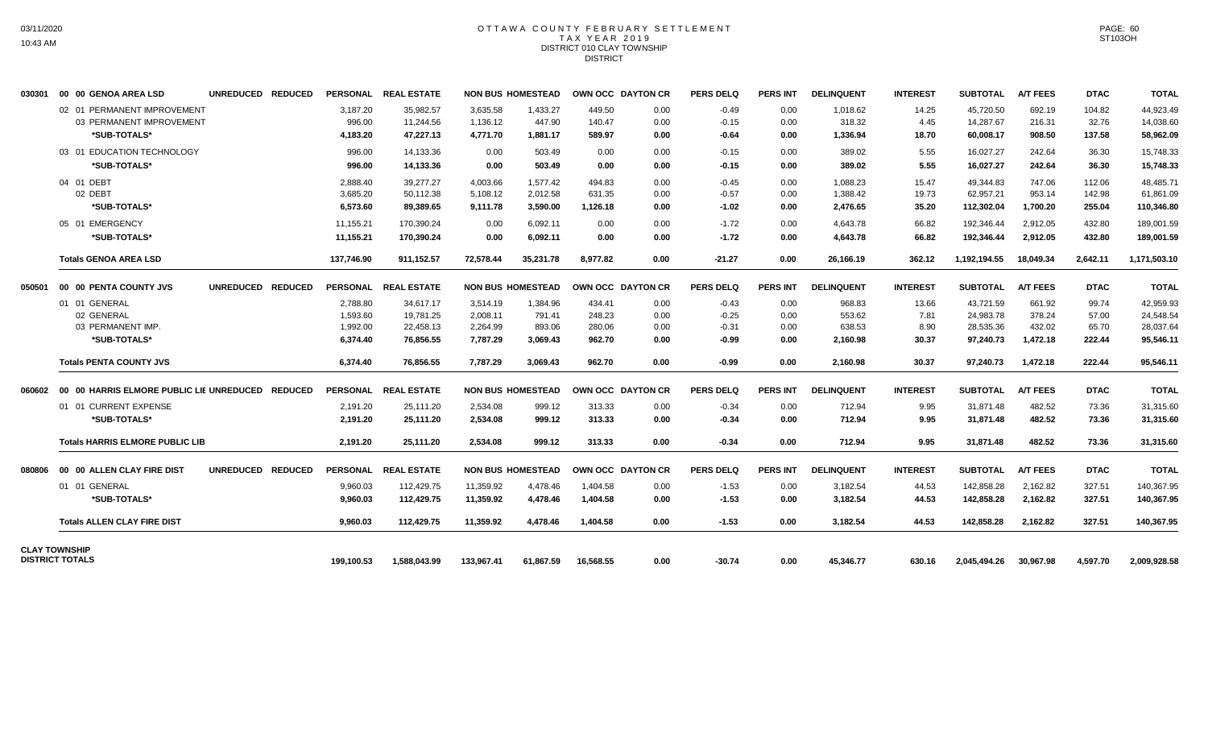#### OTTAWA COUNTY FEBRUARY SETTLEMENT T A X Y E A R 2 0 1 9 DISTRICT 010 CLAY TOWNSHIP **DISTRICT**

| 030301 | 00 00 GENOA AREA LSD                             | UNREDUCED REDUCED |            | PERSONAL REAL ESTATE |            | <b>NON BUS HOMESTEAD</b> |           | OWN OCC DAYTON CR | <b>PERS DELQ</b> | <b>PERS INT</b> | <b>DELINQUENT</b> | <b>INTEREST</b> | <b>SUBTOTAL</b> | <b>A/T FEES</b> | <b>DTAC</b> | <b>TOTAL</b> |
|--------|--------------------------------------------------|-------------------|------------|----------------------|------------|--------------------------|-----------|-------------------|------------------|-----------------|-------------------|-----------------|-----------------|-----------------|-------------|--------------|
|        | 02 01 PERMANENT IMPROVEMENT                      |                   | 3,187.20   | 35,982.57            | 3,635.58   | 1,433.27                 | 449.50    | 0.00              | $-0.49$          | 0.00            | 1,018.62          | 14.25           | 45,720.50       | 692.19          | 104.82      | 44,923.49    |
|        | 03 PERMANENT IMPROVEMENT                         |                   | 996.00     | 11,244.56            | 1,136.12   | 447.90                   | 140.47    | 0.00              | $-0.15$          | 0.00            | 318.32            | 4.45            | 14,287.67       | 216.31          | 32.76       | 14,038.60    |
|        | *SUB-TOTALS*                                     |                   | 4,183.20   | 47,227.13            | 4,771.70   | 1,881.17                 | 589.97    | 0.00              | $-0.64$          | 0.00            | 1,336.94          | 18.70           | 60,008.17       | 908.50          | 137.58      | 58,962.09    |
|        | 03 01 EDUCATION TECHNOLOGY                       |                   | 996.00     | 14,133.36            | 0.00       | 503.49                   | 0.00      | 0.00              | $-0.15$          | 0.00            | 389.02            | 5.55            | 16,027.27       | 242.64          | 36.30       | 15,748.33    |
|        | *SUB-TOTALS*                                     |                   | 996.00     | 14,133.36            | 0.00       | 503.49                   | 0.00      | 0.00              | $-0.15$          | 0.00            | 389.02            | 5.55            | 16,027.27       | 242.64          | 36.30       | 15,748.33    |
|        | 04 01 DEBT                                       |                   | 2,888.40   | 39,277.27            | 4,003.66   | 1,577.42                 | 494.83    | 0.00              | $-0.45$          | 0.00            | 1,088.23          | 15.47           | 49,344.83       | 747.06          | 112.06      | 48,485.71    |
|        | 02 DEBT                                          |                   | 3,685.20   | 50,112.38            | 5,108.12   | 2,012.58                 | 631.35    | 0.00              | $-0.57$          | 0.00            | 1,388.42          | 19.73           | 62,957.21       | 953.14          | 142.98      | 61,861.09    |
|        | *SUB-TOTALS*                                     |                   | 6,573.60   | 89,389.65            | 9,111.78   | 3,590.00                 | 1,126.18  | 0.00              | $-1.02$          | 0.00            | 2,476.65          | 35.20           | 112,302.04      | 1,700.20        | 255.04      | 110,346.80   |
|        | 05 01 EMERGENCY                                  |                   | 11,155.21  | 170,390.24           | 0.00       | 6,092.11                 | 0.00      | 0.00              | $-1.72$          | 0.00            | 4,643.78          | 66.82           | 192,346.44      | 2,912.05        | 432.80      | 189,001.59   |
|        | *SUB-TOTALS*                                     |                   | 11.155.21  | 170.390.24           | 0.00       | 6.092.11                 | 0.00      | 0.00              | $-1.72$          | 0.00            | 4.643.78          | 66.82           | 192,346.44      | 2.912.05        | 432.80      | 189.001.59   |
|        | <b>Totals GENOA AREA LSD</b>                     |                   | 137.746.90 | 911.152.57           | 72.578.44  | 35.231.78                | 8.977.82  | 0.00              | $-21.27$         | 0.00            | 26.166.19         | 362.12          | 1.192.194.55    | 18.049.34       | 2.642.11    | 1,171,503.10 |
| 050501 | 00 00 PENTA COUNTY JVS                           | UNREDUCED REDUCED |            | PERSONAL REAL ESTATE |            | <b>NON BUS HOMESTEAD</b> |           | OWN OCC DAYTON CR | <b>PERS DELQ</b> | <b>PERS INT</b> | <b>DELINQUENT</b> | <b>INTEREST</b> | <b>SUBTOTAL</b> | <b>A/T FEES</b> | <b>DTAC</b> | <b>TOTAL</b> |
|        | 01 01 GENERAL                                    |                   | 2,788.80   | 34,617.17            | 3,514.19   | 1,384.96                 | 434.41    | 0.00              | $-0.43$          | 0.00            | 968.83            | 13.66           | 43,721.59       | 661.92          | 99.74       | 42,959.93    |
|        | 02 GENERAL                                       |                   | 1,593.60   | 19,781.25            | 2,008.11   | 791.41                   | 248.23    | 0.00              | $-0.25$          | 0.00            | 553.62            | 7.81            | 24,983.78       | 378.24          | 57.00       | 24,548.54    |
|        | 03 PERMANENT IMP.                                |                   | 1,992.00   | 22,458.13            | 2,264.99   | 893.06                   | 280.06    | 0.00              | $-0.31$          | 0.00            | 638.53            | 8.90            | 28,535.36       | 432.02          | 65.70       | 28,037.64    |
|        | *SUB-TOTALS*                                     |                   | 6,374.40   | 76,856.55            | 7,787.29   | 3,069.43                 | 962.70    | 0.00              | -0.99            | 0.00            | 2,160.98          | 30.37           | 97,240.73       | 1,472.18        | 222.44      | 95,546.11    |
|        | <b>Totals PENTA COUNTY JVS</b>                   |                   | 6.374.40   | 76,856.55            | 7,787.29   | 3,069.43                 | 962.70    | 0.00              | $-0.99$          | 0.00            | 2,160.98          | 30.37           | 97,240.73       | 1,472.18        | 222.44      | 95,546.11    |
| 060602 | 00 00 HARRIS ELMORE PUBLIC LIE UNREDUCED REDUCED |                   |            | PERSONAL REAL ESTATE |            | <b>NON BUS HOMESTEAD</b> |           | OWN OCC DAYTON CR | <b>PERS DELQ</b> | <b>PERS INT</b> | <b>DELINQUENT</b> | <b>INTEREST</b> | <b>SUBTOTAL</b> | <b>A/T FEES</b> | <b>DTAC</b> | <b>TOTAL</b> |
|        | 01 01 CURRENT EXPENSE                            |                   | 2,191.20   | 25,111.20            | 2,534.08   | 999.12                   | 313.33    | 0.00              | $-0.34$          | 0.00            | 712.94            | 9.95            | 31,871.48       | 482.52          | 73.36       | 31,315.60    |
|        | *SUB-TOTALS*                                     |                   | 2,191.20   | 25,111.20            | 2,534.08   | 999.12                   | 313.33    | 0.00              | -0.34            | 0.00            | 712.94            | 9.95            | 31,871.48       | 482.52          | 73.36       | 31,315.60    |
|        | <b>Totals HARRIS ELMORE PUBLIC LIB</b>           |                   | 2,191.20   | 25,111.20            | 2,534.08   | 999.12                   | 313.33    | 0.00              | $-0.34$          | 0.00            | 712.94            | 9.95            | 31.871.48       | 482.52          | 73.36       | 31,315.60    |
| 080806 | 00 00 ALLEN CLAY FIRE DIST                       | UNREDUCED REDUCED |            | PERSONAL REAL ESTATE |            | <b>NON BUS HOMESTEAD</b> |           | OWN OCC DAYTON CR | <b>PERS DELQ</b> | <b>PERS INT</b> | <b>DELINQUENT</b> | <b>INTEREST</b> | <b>SUBTOTAL</b> | <b>A/T FEES</b> | <b>DTAC</b> | <b>TOTAL</b> |
|        | 01 01 GENERAL                                    |                   | 9.960.03   | 112,429.75           | 11,359.92  | 4,478.46                 | 1.404.58  | 0.00              | $-1.53$          | 0.00            | 3,182.54          | 44.53           | 142.858.28      | 2.162.82        | 327.51      | 140,367.95   |
|        | *SUB-TOTALS*                                     |                   | 9,960.03   | 112,429.75           | 11,359.92  | 4,478.46                 | 1,404.58  | 0.00              | $-1.53$          | 0.00            | 3,182.54          | 44.53           | 142,858.28      | 2,162.82        | 327.51      | 140,367.95   |
|        | <b>Totals ALLEN CLAY FIRE DIST</b>               |                   | 9,960.03   | 112,429.75           | 11,359.92  | 4.478.46                 | 1,404.58  | 0.00              | $-1.53$          | 0.00            | 3,182.54          | 44.53           | 142,858.28      | 2,162.82        | 327.51      | 140,367.95   |
|        | <b>CLAY TOWNSHIP</b>                             |                   |            |                      |            |                          |           |                   |                  |                 |                   |                 |                 |                 |             |              |
|        | <b>DISTRICT TOTALS</b>                           |                   | 199.100.53 | 1.588.043.99         | 133,967.41 | 61.867.59                | 16.568.55 | 0.00              | $-30.74$         | 0.00            | 45.346.77         | 630.16          | 2.045.494.26    | 30.967.98       | 4.597.70    | 2.009.928.58 |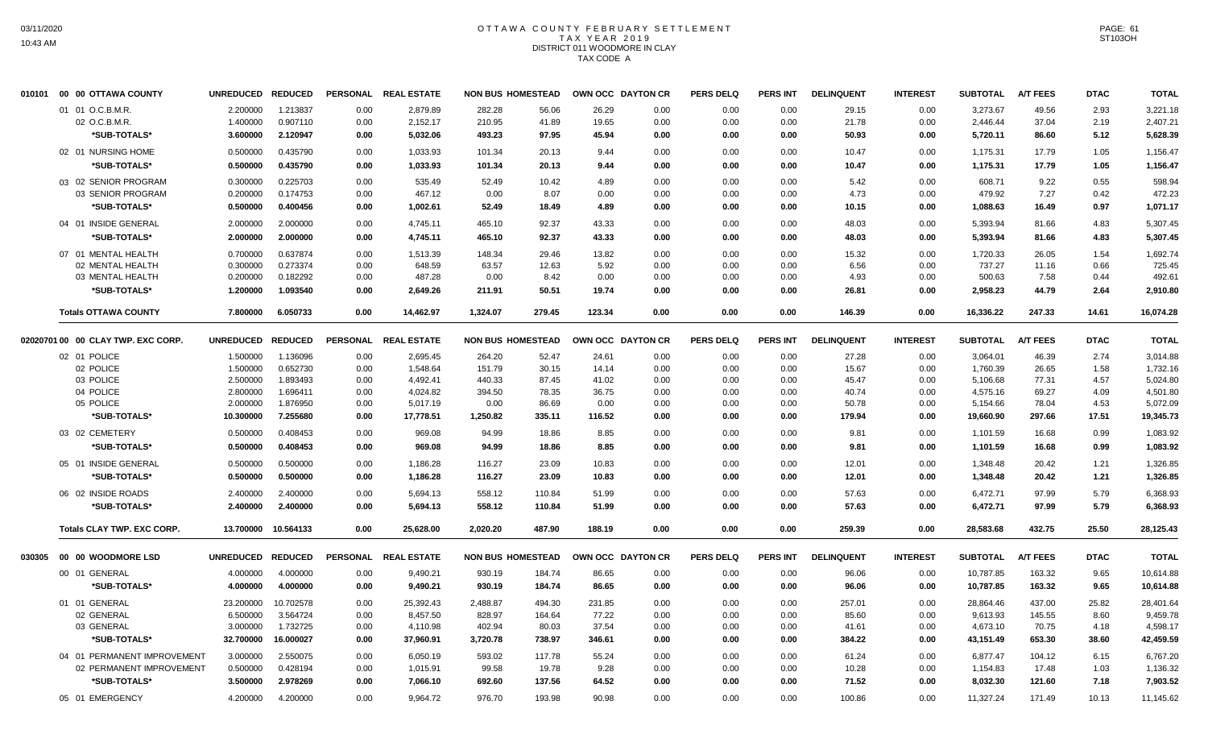# OTTAWA COUNTY FEBRUARY SETTLEMENT TAX YEAR 2019 DISTRICT 011 WOODMORE IN CLAY TAX CODE A

| 010101 00 00 OTTAWA COUNTY         | <b>UNREDUCED</b>  | <b>REDUCED</b>      |      | PERSONAL REAL ESTATE |          | <b>NON BUS HOMESTEAD</b> | OWN OCC DAYTON CR |      | <b>PERS DELQ</b> | <b>PERS INT</b> | <b>DELINQUENT</b> | <b>INTEREST</b> | <b>SUBTOTAL</b> | <b>A/T FEES</b> | <b>DTAC</b> | <b>TOTAL</b> |
|------------------------------------|-------------------|---------------------|------|----------------------|----------|--------------------------|-------------------|------|------------------|-----------------|-------------------|-----------------|-----------------|-----------------|-------------|--------------|
| 01 01 O.C.B.M.R.                   | 2.200000          | 1.213837            | 0.00 | 2,879.89             | 282.28   | 56.06                    | 26.29             | 0.00 | 0.00             | 0.00            | 29.15             | 0.00            | 3.273.67        | 49.56           | 2.93        | 3,221.18     |
| 02 O.C.B.M.R.                      | 1.400000          | 0.907110            | 0.00 | 2,152.17             | 210.95   | 41.89                    | 19.65             | 0.00 | 0.00             | 0.00            | 21.78             | 0.00            | 2,446.44        | 37.04           | 2.19        | 2,407.21     |
| *SUB-TOTALS*                       | 3.600000          | 2.120947            | 0.00 | 5,032.06             | 493.23   | 97.95                    | 45.94             | 0.00 | 0.00             | 0.00            | 50.93             | 0.00            | 5,720.11        | 86.60           | 5.12        | 5,628.39     |
| 02 01 NURSING HOME                 | 0.500000          | 0.435790            | 0.00 | 1,033.93             | 101.34   | 20.13                    | 9.44              | 0.00 | 0.00             | 0.00            | 10.47             | 0.00            | 1,175.31        | 17.79           | 1.05        | 1,156.47     |
| *SUB-TOTALS*                       | 0.500000          | 0.435790            | 0.00 | 1,033.93             | 101.34   | 20.13                    | 9.44              | 0.00 | 0.00             | 0.00            | 10.47             | 0.00            | 1,175.31        | 17.79           | 1.05        | 1,156.47     |
| 03 02 SENIOR PROGRAM               | 0.300000          | 0.225703            | 0.00 | 535.49               | 52.49    | 10.42                    | 4.89              | 0.00 | 0.00             | 0.00            | 5.42              | 0.00            | 608.71          | 9.22            | 0.55        | 598.94       |
| 03 SENIOR PROGRAM                  | 0.200000          | 0.174753            | 0.00 | 467.12               | 0.00     | 8.07                     | 0.00              | 0.00 | 0.00             | 0.00            | 4.73              | 0.00            | 479.92          | 7.27            | 0.42        | 472.23       |
| *SUB-TOTALS*                       | 0.500000          | 0.400456            | 0.00 | 1,002.61             | 52.49    | 18.49                    | 4.89              | 0.00 | 0.00             | 0.00            | 10.15             | 0.00            | 1,088.63        | 16.49           | 0.97        | 1,071.17     |
| 04 01 INSIDE GENERAL               | 2.000000          | 2.000000            | 0.00 | 4,745.11             | 465.10   | 92.37                    | 43.33             | 0.00 | 0.00             | 0.00            | 48.03             | 0.00            | 5,393.94        | 81.66           | 4.83        | 5,307.45     |
| *SUB-TOTALS*                       | 2.000000          | 2.000000            | 0.00 | 4,745.11             | 465.10   | 92.37                    | 43.33             | 0.00 | 0.00             | 0.00            | 48.03             | 0.00            | 5,393.94        | 81.66           | 4.83        | 5,307.45     |
| 07 01 MENTAL HEALTH                | 0.700000          | 0.637874            | 0.00 | 1,513.39             | 148.34   | 29.46                    | 13.82             | 0.00 | 0.00             | 0.00            | 15.32             | 0.00            | 1,720.33        | 26.05           | 1.54        | 1,692.74     |
| 02 MENTAL HEALTH                   | 0.300000          | 0.273374            | 0.00 | 648.59               | 63.57    | 12.63                    | 5.92              | 0.00 | 0.00             | 0.00            | 6.56              | 0.00            | 737.27          | 11.16           | 0.66        | 725.45       |
| 03 MENTAL HEALTH                   | 0.200000          | 0.182292            | 0.00 | 487.28               | 0.00     | 8.42                     | 0.00              | 0.00 | 0.00             | 0.00            | 4.93              | 0.00            | 500.63          | 7.58            | 0.44        | 492.61       |
| *SUB-TOTALS*                       | 1.200000          | 1.093540            | 0.00 | 2,649.26             | 211.91   | 50.51                    | 19.74             | 0.00 | 0.00             | 0.00            | 26.81             | 0.00            | 2,958.23        | 44.79           | 2.64        | 2,910.80     |
| <b>Totals OTTAWA COUNTY</b>        | 7.800000          | 6.050733            | 0.00 | 14.462.97            | 1.324.07 | 279.45                   | 123.34            | 0.00 | 0.00             | 0.00            | 146.39            | 0.00            | 16.336.22       | 247.33          | 14.61       | 16.074.28    |
| 02020701 00 00 CLAY TWP. EXC CORP. | UNREDUCED REDUCED |                     |      | PERSONAL REAL ESTATE |          | <b>NON BUS HOMESTEAD</b> | OWN OCC DAYTON CR |      | <b>PERS DELQ</b> | <b>PERS INT</b> | <b>DELINQUENT</b> | <b>INTEREST</b> | <b>SUBTOTAL</b> | <b>A/T FEES</b> | <b>DTAC</b> | <b>TOTAL</b> |
| 02 01 POLICE                       | 1.500000          | 1.136096            | 0.00 | 2,695.45             | 264.20   | 52.47                    | 24.61             | 0.00 | 0.00             | 0.00            | 27.28             | 0.00            | 3,064.01        | 46.39           | 2.74        | 3,014.88     |
| 02 POLICE                          | 1.500000          | 0.652730            | 0.00 | 1,548.64             | 151.79   | 30.15                    | 14.14             | 0.00 | 0.00             | 0.00            | 15.67             | 0.00            | 1,760.39        | 26.65           | 1.58        | 1,732.16     |
| 03 POLICE                          | 2.500000          | 1.893493            | 0.00 | 4,492.41             | 440.33   | 87.45                    | 41.02             | 0.00 | 0.00             | 0.00            | 45.47             | 0.00            | 5,106.68        | 77.31           | 4.57        | 5,024.80     |
| 04 POLICE                          | 2.800000          | 1.696411            | 0.00 | 4,024.82             | 394.50   | 78.35                    | 36.75             | 0.00 | 0.00             | 0.00            | 40.74             | 0.00            | 4,575.16        | 69.27           | 4.09        | 4,501.80     |
| 05 POLICE                          | 2.000000          | 1.876950            | 0.00 | 5,017.19             | 0.00     | 86.69                    | 0.00              | 0.00 | 0.00             | 0.00            | 50.78             | 0.00            | 5,154.66        | 78.04           | 4.53        | 5,072.09     |
| *SUB-TOTALS*                       | 10.300000         | 7.255680            | 0.00 | 17,778.51            | 1,250.82 | 335.11                   | 116.52            | 0.00 | 0.00             | 0.00            | 179.94            | 0.00            | 19,660.90       | 297.66          | 17.51       | 19,345.73    |
| 03 02 CEMETERY                     | 0.500000          | 0.408453            | 0.00 | 969.08               | 94.99    | 18.86                    | 8.85              | 0.00 | 0.00             | 0.00            | 9.81              | 0.00            | 1,101.59        | 16.68           | 0.99        | 1,083.92     |
| *SUB-TOTALS*                       | 0.500000          | 0.408453            | 0.00 | 969.08               | 94.99    | 18.86                    | 8.85              | 0.00 | 0.00             | 0.00            | 9.81              | 0.00            | 1,101.59        | 16.68           | 0.99        | 1,083.92     |
| 05 01 INSIDE GENERAL               | 0.500000          | 0.500000            | 0.00 | 1,186.28             | 116.27   | 23.09                    | 10.83             | 0.00 | 0.00             | 0.00            | 12.01             | 0.00            | 1,348.48        | 20.42           | 1.21        | 1,326.85     |
| *SUB-TOTALS*                       | 0.500000          | 0.500000            | 0.00 | 1,186.28             | 116.27   | 23.09                    | 10.83             | 0.00 | 0.00             | 0.00            | 12.01             | 0.00            | 1,348.48        | 20.42           | 1.21        | 1,326.85     |
| 06 02 INSIDE ROADS                 | 2.400000          | 2.400000            | 0.00 | 5,694.13             | 558.12   | 110.84                   | 51.99             | 0.00 | 0.00             | 0.00            | 57.63             | 0.00            | 6,472.71        | 97.99           | 5.79        | 6,368.93     |
| *SUB-TOTALS*                       | 2.400000          | 2.400000            | 0.00 | 5,694.13             | 558.12   | 110.84                   | 51.99             | 0.00 | 0.00             | 0.00            | 57.63             | 0.00            | 6,472.71        | 97.99           | 5.79        | 6,368.93     |
| <b>Totals CLAY TWP. EXC CORP.</b>  |                   | 13.700000 10.564133 | 0.00 | 25,628.00            | 2,020.20 | 487.90                   | 188.19            | 0.00 | 0.00             | 0.00            | 259.39            | 0.00            | 28,583.68       | 432.75          | 25.50       | 28,125.43    |
|                                    | UNREDUCED REDUCED |                     |      | PERSONAL REAL ESTATE |          | <b>NON BUS HOMESTEAD</b> | OWN OCC DAYTON CR |      | <b>PERS DELQ</b> | <b>PERS INT</b> | <b>DELINQUENT</b> | <b>INTEREST</b> | <b>SUBTOTAL</b> | <b>A/T FEES</b> | <b>DTAC</b> | <b>TOTAL</b> |
| 00 01 GENERAL                      | 4.000000          | 4.000000            | 0.00 | 9,490.21             | 930.19   | 184.74                   | 86.65             | 0.00 | 0.00             | 0.00            | 96.06             | 0.00            | 10,787.85       | 163.32          | 9.65        | 10,614.88    |
| *SUB-TOTALS*                       | 4.000000          | 4.000000            | 0.00 | 9,490.21             | 930.19   | 184.74                   | 86.65             | 0.00 | 0.00             | 0.00            | 96.06             | 0.00            | 10,787.85       | 163.32          | 9.65        | 10,614.88    |
|                                    |                   |                     |      |                      |          |                          |                   |      |                  |                 |                   |                 |                 |                 |             |              |
| 01 01 GENERAL                      | 23.200000         | 10.702578           | 0.00 | 25,392.43            | 2,488.87 | 494.30                   | 231.85            | 0.00 | 0.00             | 0.00            | 257.01            | 0.00            | 28,864.46       | 437.00          | 25.82       | 28,401.64    |
| 02 GENERAL                         | 6.500000          | 3.564724            | 0.00 | 8,457.50             | 828.97   | 164.64                   | 77.22             | 0.00 | 0.00             | 0.00            | 85.60             | 0.00            | 9,613.93        | 145.55          | 8.60        | 9,459.78     |
| 03 GENERAL                         | 3.000000          | 1.732725            | 0.00 | 4,110.98             | 402.94   | 80.03                    | 37.54             | 0.00 | 0.00             | 0.00            | 41.61             | 0.00            | 4,673.10        | 70.75           | 4.18        | 4,598.17     |
| *SUB-TOTALS*                       | 32.700000         | 16.000027           | 0.00 | 37,960.91            | 3,720.78 | 738.97                   | 346.61            | 0.00 | 0.00             | 0.00            | 384.22            | 0.00            | 43,151.49       | 653.30          | 38.60       | 42,459.59    |
| 04 01 PERMANENT IMPROVEMENT        | 3.000000          | 2.550075            | 0.00 | 6,050.19             | 593.02   | 117.78                   | 55.24             | 0.00 | 0.00             | 0.00            | 61.24             | 0.00            | 6,877.47        | 104.12          | 6.15        | 6,767.20     |
| 02 PERMANENT IMPROVEMENT           | 0.500000          | 0.428194            | 0.00 | 1,015.91             | 99.58    | 19.78                    | 9.28              | 0.00 | 0.00             | 0.00            | 10.28             | 0.00            | 1,154.83        | 17.48           | 1.03        | 1,136.32     |
| *SUB-TOTALS*                       | 3.500000          | 2.978269            | 0.00 | 7,066.10             | 692.60   | 137.56                   | 64.52             | 0.00 | 0.00             | 0.00            | 71.52             | 0.00            | 8,032.30        | 121.60          | 7.18        | 7,903.52     |
| 05 01 EMERGENCY                    | 4.200000          | 4.200000            | 0.00 | 9,964.72             | 976.70   | 193.98                   | 90.98             | 0.00 | 0.00             | 0.00            | 100.86            | 0.00            | 11,327.24       | 171.49          | 10.13       | 11,145.62    |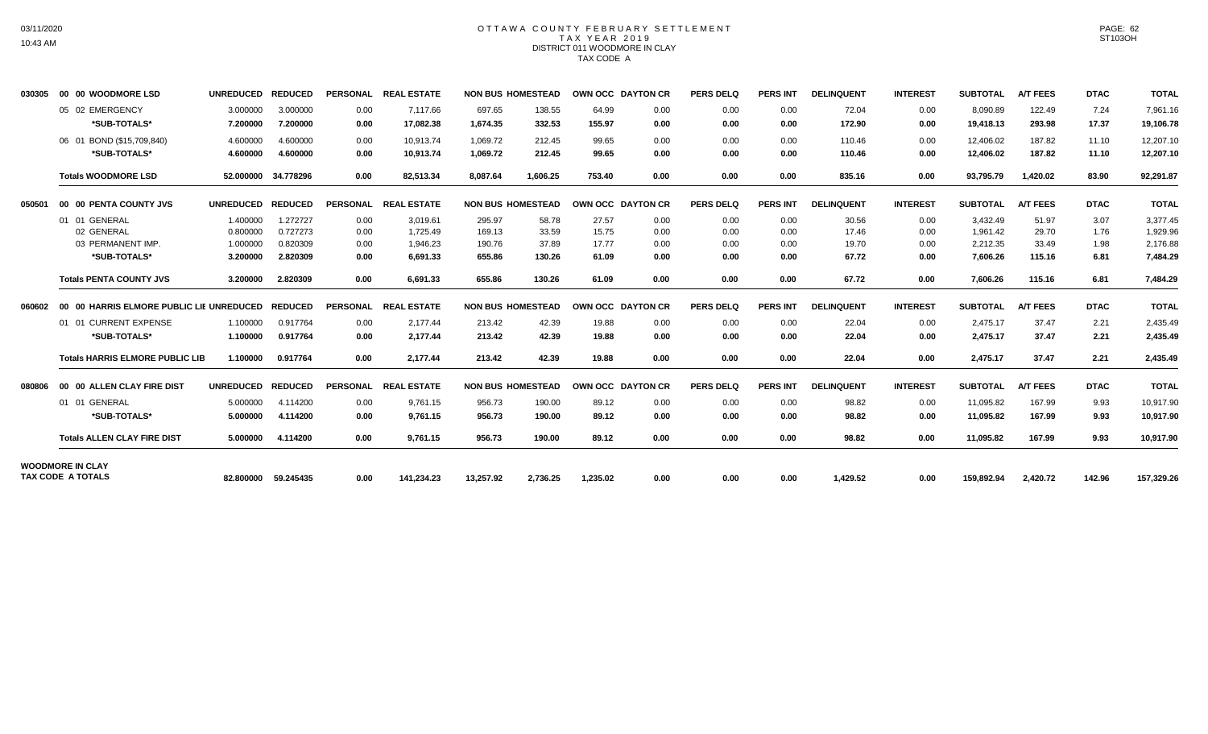#### OTTAWA COUNTY FEBRUARY SETTLEMENT TAX YEAR 2019 DISTRICT 011 WOODMORE IN CLAY TAX CODE A

| 030305 | 00 00 WOODMORE LSD                               | UNREDUCED REDUCED    |                      |                 | PERSONAL REAL ESTATE   | <b>NON BUS HOMESTEAD</b> |                  | OWN OCC DAYTON CR |              | <b>PERS DELQ</b> | <b>PERS INT</b> | <b>DELINQUENT</b> | <b>INTEREST</b> | <b>SUBTOTAL</b>        | <b>A/T FEES</b>  | <b>DTAC</b>    | <b>TOTAL</b>           |
|--------|--------------------------------------------------|----------------------|----------------------|-----------------|------------------------|--------------------------|------------------|-------------------|--------------|------------------|-----------------|-------------------|-----------------|------------------------|------------------|----------------|------------------------|
|        | 05 02 EMERGENCY<br>*SUB-TOTALS*                  | 3.000000<br>7.200000 | 3.000000<br>7.200000 | 0.00<br>0.00    | 7.117.66<br>17,082.38  | 697.65<br>1.674.35       | 138.55<br>332.53 | 64.99<br>155.97   | 0.00<br>0.00 | 0.00<br>0.00     | 0.00<br>0.00    | 72.04<br>172.90   | 0.00<br>0.00    | 8,090.89<br>19,418.13  | 122.49<br>293.98 | 7.24<br>17.37  | 7,961.16<br>19,106.78  |
|        | 06 01 BOND (\$15,709,840)<br>*SUB-TOTALS*        | 4.600000<br>4.600000 | 4.600000<br>4.600000 | 0.00<br>0.00    | 10.913.74<br>10.913.74 | 1,069.72<br>1.069.72     | 212.45<br>212.45 | 99.65<br>99.65    | 0.00<br>0.00 | 0.00<br>0.00     | 0.00<br>0.00    | 110.46<br>110.46  | 0.00<br>0.00    | 12,406.02<br>12,406.02 | 187.82<br>187.82 | 11.10<br>11.10 | 12,207.10<br>12,207.10 |
|        | <b>Totals WOODMORE LSD</b>                       |                      | 52.000000 34.778296  | 0.00            | 82,513.34              | 8.087.64                 | 1.606.25         | 753.40            | 0.00         | 0.00             | 0.00            | 835.16            | 0.00            | 93.795.79              | 1.420.02         | 83.90          | 92,291.87              |
| 050501 | 00 00 PENTA COUNTY JVS                           | UNREDUCED REDUCED    |                      | <b>PERSONAL</b> | <b>REAL ESTATE</b>     | <b>NON BUS HOMESTEAD</b> |                  | OWN OCC DAYTON CR |              | <b>PERS DELQ</b> | <b>PERS INT</b> | <b>DELINQUENT</b> | <b>INTEREST</b> | <b>SUBTOTAL</b>        | <b>A/T FEES</b>  | <b>DTAC</b>    | <b>TOTAL</b>           |
|        | 01 01 GENERAL                                    | 1.400000             | 1.272727             | 0.00            | 3.019.61               | 295.97                   | 58.78            | 27.57             | 0.00         | 0.00             | 0.00            | 30.56             | 0.00            | 3.432.49               | 51.97            | 3.07           | 3,377.45               |
|        | 02 GENERAL                                       | 0.800000             | 0.727273             | 0.00            | 1,725.49               | 169.13                   | 33.59            | 15.75             | 0.00         | 0.00             | 0.00            | 17.46             | 0.00            | 1,961.42               | 29.70            | 1.76           | 1,929.96               |
|        | 03 PERMANENT IMP.                                | 1.000000             | 0.820309             | 0.00            | 1,946.23               | 190.76                   | 37.89            | 17.77             | 0.00         | 0.00             | 0.00            | 19.70             | 0.00            | 2,212.35               | 33.49            | 1.98           | 2,176.88               |
|        | *SUB-TOTALS*                                     | 3.200000             | 2.820309             | 0.00            | 6.691.33               | 655.86                   | 130.26           | 61.09             | 0.00         | 0.00             | 0.00            | 67.72             | 0.00            | 7,606.26               | 115.16           | 6.81           | 7,484.29               |
|        | <b>Totals PENTA COUNTY JVS</b>                   | 3.200000             | 2.820309             | 0.00            | 6,691.33               | 655.86                   | 130.26           | 61.09             | 0.00         | 0.00             | 0.00            | 67.72             | 0.00            | 7,606.26               | 115.16           | 6.81           | 7,484.29               |
| 060602 | 00 00 HARRIS ELMORE PUBLIC LIE UNREDUCED REDUCED |                      |                      |                 | PERSONAL REAL ESTATE   | <b>NON BUS HOMESTEAD</b> |                  | OWN OCC DAYTON CR |              | <b>PERS DELQ</b> | <b>PERS INT</b> | <b>DELINQUENT</b> | <b>INTEREST</b> | <b>SUBTOTAL</b>        | <b>A/T FEES</b>  | <b>DTAC</b>    | <b>TOTAL</b>           |
|        | 01 01 CURRENT EXPENSE                            | 1.100000             | 0.917764             | 0.00            | 2.177.44               | 213.42                   | 42.39            | 19.88             | 0.00         | 0.00             | 0.00            | 22.04             | 0.00            | 2.475.17               | 37.47            | 2.21           | 2,435.49               |
|        | *SUB-TOTALS*                                     | 1.100000             | 0.917764             | 0.00            | 2.177.44               | 213.42                   | 42.39            | 19.88             | 0.00         | 0.00             | 0.00            | 22.04             | 0.00            | 2,475.17               | 37.47            | 2.21           | 2,435.49               |
|        | <b>Totals HARRIS ELMORE PUBLIC LIB</b>           | 1.100000             | 0.917764             | 0.00            | 2,177.44               | 213.42                   | 42.39            | 19.88             | 0.00         | 0.00             | 0.00            | 22.04             | 0.00            | 2,475.17               | 37.47            | 2.21           | 2,435.49               |
| 080806 | 00 00 ALLEN CLAY FIRE DIST                       | <b>UNREDUCED</b>     | <b>REDUCED</b>       |                 | PERSONAL REAL ESTATE   | <b>NON BUS HOMESTEAD</b> |                  | OWN OCC DAYTON CR |              | <b>PERS DELQ</b> | <b>PERS INT</b> | <b>DELINQUENT</b> | <b>INTEREST</b> | <b>SUBTOTAL</b>        | <b>A/T FEES</b>  | <b>DTAC</b>    | <b>TOTAL</b>           |
|        | 01 01 GENERAL                                    | 5.000000             | 4.114200             | 0.00            | 9.761.15               | 956.73                   | 190.00           | 89.12             | 0.00         | 0.00             | 0.00            | 98.82             | 0.00            | 11.095.82              | 167.99           | 9.93           | 10,917.90              |
|        | *SUB-TOTALS*                                     | 5.000000             | 4.114200             | 0.00            | 9,761.15               | 956.73                   | 190.00           | 89.12             | 0.00         | 0.00             | 0.00            | 98.82             | 0.00            | 11,095.82              | 167.99           | 9.93           | 10,917.90              |
|        | <b>Totals ALLEN CLAY FIRE DIST</b>               | 5.000000             | 4.114200             | 0.00            | 9,761.15               | 956.73                   | 190.00           | 89.12             | 0.00         | 0.00             | 0.00            | 98.82             | 0.00            | 11,095.82              | 167.99           | 9.93           | 10,917.90              |
|        | <b>WOODMORE IN CLAY</b><br>TAX CODE A TOTALS     |                      |                      |                 |                        |                          |                  |                   |              |                  |                 |                   |                 |                        |                  |                |                        |
|        |                                                  |                      | 82.800000 59.245435  | 0.00            | 141.234.23             | 13,257.92                | 2,736.25         | 1,235.02          | 0.00         | 0.00             | 0.00            | 1,429.52          | 0.00            | 159,892.94             | 2.420.72         | 142.96         | 157,329.26             |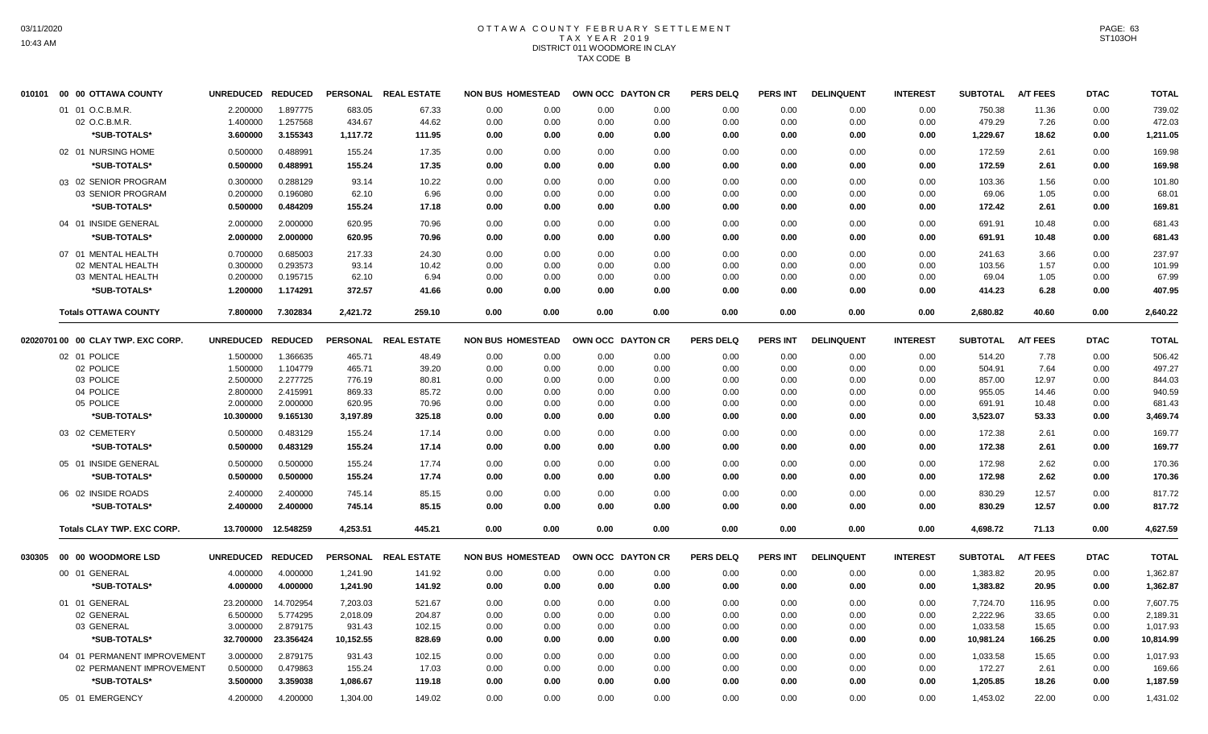## OTTAWA COUNTY FEBRUARY SETTLEMENT TAX YEAR 2019 DISTRICT 011 WOODMORE IN CLAY TAX CODE B

| 010101 | 00 00 OTTAWA COUNTY                | UNREDUCED REDUCED |                     |           | PERSONAL REAL ESTATE | <b>NON BUS HOMESTEAD</b> |      | OWN OCC DAYTON CR |      | <b>PERS DELQ</b> | PERS INT        | <b>DELINQUENT</b> | <b>INTEREST</b> | <b>SUBTOTAL</b> | <b>A/T FEES</b> | <b>DTAC</b> | <b>TOTAL</b> |
|--------|------------------------------------|-------------------|---------------------|-----------|----------------------|--------------------------|------|-------------------|------|------------------|-----------------|-------------------|-----------------|-----------------|-----------------|-------------|--------------|
|        | 01 01 O.C.B.M.R.                   | 2.200000          | 1.897775            | 683.05    | 67.33                | 0.00                     | 0.00 | 0.00              | 0.00 | 0.00             | 0.00            | 0.00              | 0.00            | 750.38          | 11.36           | 0.00        | 739.02       |
|        | 02 O.C.B.M.R.                      | 1.400000          | 1.257568            | 434.67    | 44.62                | 0.00                     | 0.00 | 0.00              | 0.00 | 0.00             | 0.00            | 0.00              | 0.00            | 479.29          | 7.26            | 0.00        | 472.03       |
|        | *SUB-TOTALS*                       | 3.600000          | 3.155343            | 1,117.72  | 111.95               | 0.00                     | 0.00 | 0.00              | 0.00 | 0.00             | 0.00            | 0.00              | 0.00            | 1,229.67        | 18.62           | 0.00        | 1,211.05     |
|        | 02 01 NURSING HOME                 | 0.500000          | 0.488991            | 155.24    | 17.35                | 0.00                     | 0.00 | 0.00              | 0.00 | 0.00             | 0.00            | 0.00              | 0.00            | 172.59          | 2.61            | 0.00        | 169.98       |
|        | *SUB-TOTALS*                       | 0.500000          | 0.488991            | 155.24    | 17.35                | 0.00                     | 0.00 | 0.00              | 0.00 | 0.00             | 0.00            | 0.00              | 0.00            | 172.59          | 2.61            | 0.00        | 169.98       |
|        | 03 02 SENIOR PROGRAM               | 0.300000          | 0.288129            | 93.14     | 10.22                | 0.00                     | 0.00 | 0.00              | 0.00 | 0.00             | 0.00            | 0.00              | 0.00            | 103.36          | 1.56            | 0.00        | 101.80       |
|        | 03 SENIOR PROGRAM                  | 0.200000          | 0.196080            | 62.10     | 6.96                 | 0.00                     | 0.00 | 0.00              | 0.00 | 0.00             | 0.00            | 0.00              | 0.00            | 69.06           | 1.05            | 0.00        | 68.01        |
|        | *SUB-TOTALS*                       | 0.500000          | 0.484209            | 155.24    | 17.18                | 0.00                     | 0.00 | 0.00              | 0.00 | 0.00             | 0.00            | 0.00              | 0.00            | 172.42          | 2.61            | 0.00        | 169.81       |
|        | 04 01 INSIDE GENERAL               | 2.000000          | 2.000000            | 620.95    | 70.96                | 0.00                     | 0.00 | 0.00              | 0.00 | 0.00             | 0.00            | 0.00              | 0.00            | 691.91          | 10.48           | 0.00        | 681.43       |
|        | *SUB-TOTALS*                       | 2.000000          | 2.000000            | 620.95    | 70.96                | 0.00                     | 0.00 | 0.00              | 0.00 | 0.00             | 0.00            | 0.00              | 0.00            | 691.91          | 10.48           | 0.00        | 681.43       |
|        | 07 01 MENTAL HEALTH                | 0.700000          | 0.685003            | 217.33    | 24.30                | 0.00                     | 0.00 | 0.00              | 0.00 | 0.00             | 0.00            | 0.00              | 0.00            | 241.63          | 3.66            | 0.00        | 237.97       |
|        | 02 MENTAL HEALTH                   | 0.300000          | 0.293573            | 93.14     | 10.42                | 0.00                     | 0.00 | 0.00              | 0.00 | 0.00             | 0.00            | 0.00              | 0.00            | 103.56          | 1.57            | 0.00        | 101.99       |
|        | 03 MENTAL HEALTH                   | 0.200000          | 0.195715            | 62.10     | 6.94                 | 0.00                     | 0.00 | 0.00              | 0.00 | 0.00             | 0.00            | 0.00              | 0.00            | 69.04           | 1.05            | 0.00        | 67.99        |
|        | *SUB-TOTALS*                       | 1.200000          | 1.174291            | 372.57    | 41.66                | 0.00                     | 0.00 | 0.00              | 0.00 | 0.00             | 0.00            | 0.00              | 0.00            | 414.23          | 6.28            | 0.00        | 407.95       |
|        | <b>Totals OTTAWA COUNTY</b>        | 7.800000          | 7.302834            | 2,421.72  | 259.10               | 0.00                     | 0.00 | 0.00              | 0.00 | 0.00             | 0.00            | 0.00              | 0.00            | 2,680.82        | 40.60           | 0.00        | 2,640.22     |
|        | 02020701 00 00 CLAY TWP. EXC CORP. | UNREDUCED REDUCED |                     |           | PERSONAL REAL ESTATE | <b>NON BUS HOMESTEAD</b> |      | OWN OCC DAYTON CR |      | <b>PERS DELQ</b> | PERS INT        | <b>DELINQUENT</b> | <b>INTEREST</b> | <b>SUBTOTAL</b> | <b>A/T FEES</b> | <b>DTAC</b> | <b>TOTAL</b> |
|        | 02 01 POLICE                       | 1.500000          | 1.366635            | 465.71    | 48.49                | 0.00                     | 0.00 | 0.00              | 0.00 | 0.00             | 0.00            | 0.00              | 0.00            | 514.20          | 7.78            | 0.00        | 506.42       |
|        | 02 POLICE                          | 1.500000          | 1.104779            | 465.71    | 39.20                | 0.00                     | 0.00 | 0.00              | 0.00 | 0.00             | 0.00            | 0.00              | 0.00            | 504.91          | 7.64            | 0.00        | 497.27       |
|        | 03 POLICE                          | 2.500000          | 2.277725            | 776.19    | 80.81                | 0.00                     | 0.00 | 0.00              | 0.00 | 0.00             | 0.00            | 0.00              | 0.00            | 857.00          | 12.97           | 0.00        | 844.03       |
|        | 04 POLICE                          | 2.800000          | 2.415991            | 869.33    | 85.72                | 0.00                     | 0.00 | 0.00              | 0.00 | 0.00             | 0.00            | 0.00              | 0.00            | 955.05          | 14.46           | 0.00        | 940.59       |
|        | 05 POLICE                          | 2.000000          | 2.000000            | 620.95    | 70.96                | 0.00                     | 0.00 | 0.00              | 0.00 | 0.00             | 0.00            | 0.00              | 0.00            | 691.91          | 10.48           | 0.00        | 681.43       |
|        | *SUB-TOTALS*                       | 10.300000         | 9.165130            | 3,197.89  | 325.18               | 0.00                     | 0.00 | 0.00              | 0.00 | 0.00             | 0.00            | 0.00              | 0.00            | 3,523.07        | 53.33           | 0.00        | 3,469.74     |
|        | 03 02 CEMETERY                     | 0.500000          | 0.483129            | 155.24    | 17.14                | 0.00                     | 0.00 | 0.00              | 0.00 | 0.00             | 0.00            | 0.00              | 0.00            | 172.38          | 2.61            | 0.00        | 169.77       |
|        | *SUB-TOTALS*                       | 0.500000          | 0.483129            | 155.24    | 17.14                | 0.00                     | 0.00 | 0.00              | 0.00 | 0.00             | 0.00            | 0.00              | 0.00            | 172.38          | 2.61            | 0.00        | 169.77       |
|        | 05 01 INSIDE GENERAL               | 0.500000          | 0.500000            | 155.24    | 17.74                | 0.00                     | 0.00 | 0.00              | 0.00 | 0.00             | 0.00            | 0.00              | 0.00            | 172.98          | 2.62            | 0.00        | 170.36       |
|        | *SUB-TOTALS*                       | 0.500000          | 0.500000            | 155.24    | 17.74                | 0.00                     | 0.00 | 0.00              | 0.00 | 0.00             | 0.00            | 0.00              | 0.00            | 172.98          | 2.62            | 0.00        | 170.36       |
|        | 06 02 INSIDE ROADS                 | 2.400000          | 2.400000            | 745.14    | 85.15                | 0.00                     | 0.00 | 0.00              | 0.00 | 0.00             | 0.00            | 0.00              | 0.00            | 830.29          | 12.57           | 0.00        | 817.72       |
|        | *SUB-TOTALS*                       | 2.400000          | 2.400000            | 745.14    | 85.15                | 0.00                     | 0.00 | 0.00              | 0.00 | 0.00             | 0.00            | 0.00              | 0.00            | 830.29          | 12.57           | 0.00        | 817.72       |
|        | <b>Totals CLAY TWP. EXC CORP.</b>  |                   | 13.700000 12.548259 | 4,253.51  | 445.21               | 0.00                     | 0.00 | 0.00              | 0.00 | 0.00             | 0.00            | 0.00              | 0.00            | 4,698.72        | 71.13           | 0.00        | 4,627.59     |
|        | 030305 00 00 WOODMORE LSD          | UNREDUCED REDUCED |                     |           | PERSONAL REAL ESTATE | <b>NON BUS HOMESTEAD</b> |      | OWN OCC DAYTON CR |      | <b>PERS DELQ</b> | <b>PERS INT</b> | <b>DELINQUENT</b> | <b>INTEREST</b> | <b>SUBTOTAL</b> | <b>A/T FEES</b> | <b>DTAC</b> | <b>TOTAL</b> |
|        | 00 01 GENERAL                      | 4.000000          | 4.000000            | 1,241.90  | 141.92               | 0.00                     | 0.00 | 0.00              | 0.00 | 0.00             | 0.00            | 0.00              | 0.00            | 1,383.82        | 20.95           | 0.00        | 1,362.87     |
|        | *SUB-TOTALS*                       | 4.000000          | 4.000000            | 1,241.90  | 141.92               | 0.00                     | 0.00 | 0.00              | 0.00 | 0.00             | 0.00            | 0.00              | 0.00            | 1,383.82        | 20.95           | 0.00        | 1,362.87     |
|        | 01 01 GENERAL                      | 23.200000         | 14.702954           | 7,203.03  | 521.67               | 0.00                     | 0.00 | 0.00              | 0.00 | 0.00             | 0.00            | 0.00              | 0.00            | 7,724.70        | 116.95          | 0.00        | 7,607.75     |
|        | 02 GENERAL                         | 6.500000          | 5.774295            | 2,018.09  | 204.87               | 0.00                     | 0.00 | 0.00              | 0.00 | 0.00             | 0.00            | 0.00              | 0.00            | 2,222.96        | 33.65           | 0.00        | 2,189.31     |
|        | 03 GENERAL                         | 3.000000          | 2.879175            | 931.43    | 102.15               | 0.00                     | 0.00 | 0.00              | 0.00 | 0.00             | 0.00            | 0.00              | 0.00            | 1,033.58        | 15.65           | 0.00        | 1,017.93     |
|        | *SUB-TOTALS*                       | 32.700000         | 23.356424           | 10,152.55 | 828.69               | 0.00                     | 0.00 | 0.00              | 0.00 | 0.00             | 0.00            | 0.00              | 0.00            | 10,981.24       | 166.25          | 0.00        | 10,814.99    |
|        | 04 01 PERMANENT IMPROVEMENT        | 3.000000          | 2.879175            | 931.43    | 102.15               | 0.00                     | 0.00 | 0.00              | 0.00 | 0.00             | 0.00            | 0.00              | 0.00            | 1,033.58        | 15.65           | 0.00        | 1,017.93     |
|        | 02 PERMANENT IMPROVEMENT           | 0.500000          | 0.479863            | 155.24    | 17.03                | 0.00                     | 0.00 | 0.00              | 0.00 | 0.00             | 0.00            | 0.00              | 0.00            | 172.27          | 2.61            | 0.00        | 169.66       |
|        | *SUB-TOTALS*                       | 3.500000          | 3.359038            | 1,086.67  | 119.18               | 0.00                     | 0.00 | 0.00              | 0.00 | 0.00             | 0.00            | 0.00              | 0.00            | 1,205.85        | 18.26           | 0.00        | 1,187.59     |
|        | 05 01 EMERGENCY                    | 4.200000          | 4.200000            | 1,304.00  | 149.02               | 0.00                     | 0.00 | 0.00              | 0.00 | 0.00             | 0.00            | 0.00              | 0.00            | 1,453.02        | 22.00           | 0.00        | 1,431.02     |
|        |                                    |                   |                     |           |                      |                          |      |                   |      |                  |                 |                   |                 |                 |                 |             |              |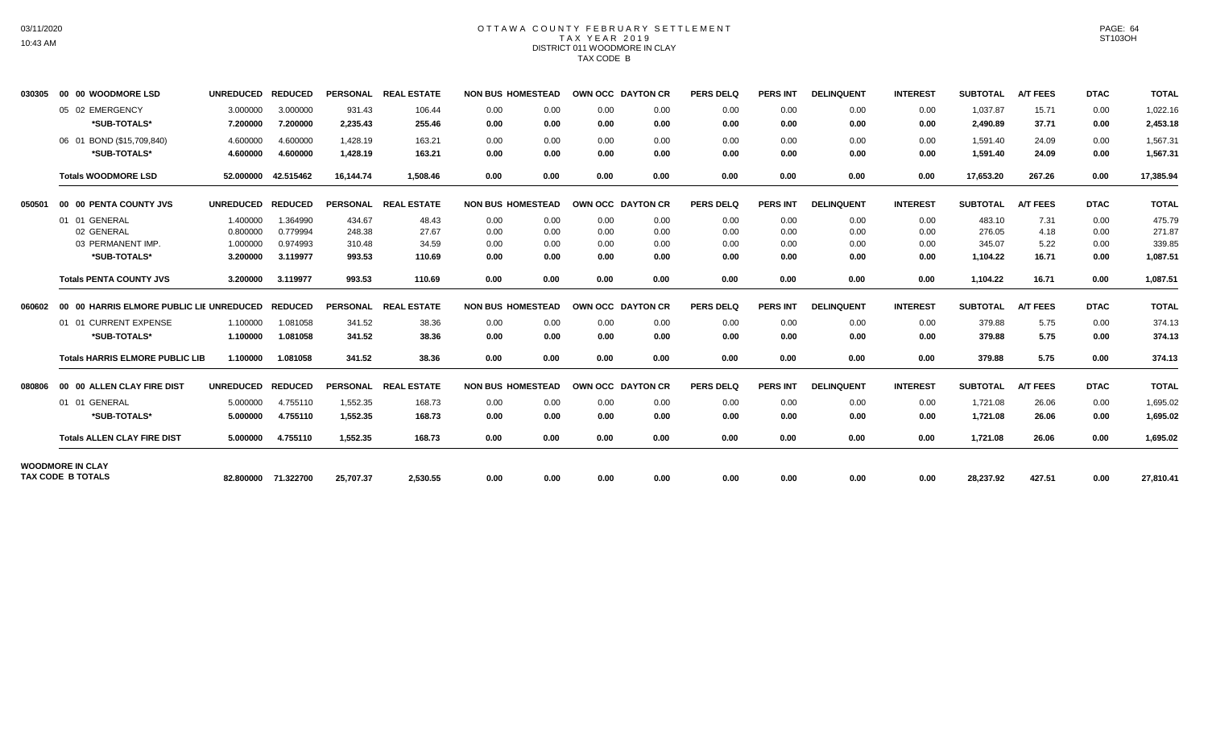#### OTTAWA COUNTY FEBRUARY SETTLEMENT TAX YEAR 2019 DISTRICT 011 WOODMORE IN CLAY TAX CODE B

| 030305 | 00 00 WOODMORE LSD                               | <b>UNREDUCED</b>  | <b>REDUCED</b>      |           | PERSONAL REAL ESTATE | <b>NON BUS HOMESTEAD</b> |      | OWN OCC DAYTON CR |      | <b>PERS DELQ</b> | <b>PERS INT</b> | <b>DELINQUENT</b> | <b>INTEREST</b> | <b>SUBTOTAL</b> | <b>A/T FEES</b> | <b>DTAC</b> | <b>TOTAL</b> |
|--------|--------------------------------------------------|-------------------|---------------------|-----------|----------------------|--------------------------|------|-------------------|------|------------------|-----------------|-------------------|-----------------|-----------------|-----------------|-------------|--------------|
|        | 05 02 EMERGENCY                                  | 3.000000          | 3.000000            | 931.43    | 106.44               | 0.00                     | 0.00 | 0.00              | 0.00 | 0.00             | 0.00            | 0.00              | 0.00            | 1,037.87        | 15.71           | 0.00        | 1,022.16     |
|        | *SUB-TOTALS*                                     | 7.200000          | 7.200000            | 2,235.43  | 255.46               | 0.00                     | 0.00 | 0.00              | 0.00 | 0.00             | 0.00            | 0.00              | 0.00            | 2,490.89        | 37.71           | 0.00        | 2,453.18     |
|        | 06 01 BOND (\$15,709,840)                        | 4.600000          | 4.600000            | 1,428.19  | 163.21               | 0.00                     | 0.00 | 0.00              | 0.00 | 0.00             | 0.00            | 0.00              | 0.00            | 1,591.40        | 24.09           | 0.00        | 1,567.31     |
|        | *SUB-TOTALS*                                     | 4.600000          | 4.600000            | 1,428.19  | 163.21               | 0.00                     | 0.00 | 0.00              | 0.00 | 0.00             | 0.00            | 0.00              | 0.00            | 1,591.40        | 24.09           | 0.00        | 1,567.31     |
|        | <b>Totals WOODMORE LSD</b>                       | 52.000000         | 42.515462           | 16,144.74 | 1,508.46             | 0.00                     | 0.00 | 0.00              | 0.00 | 0.00             | 0.00            | 0.00              | 0.00            | 17,653.20       | 267.26          | 0.00        | 17,385.94    |
| 050501 | 00 00 PENTA COUNTY JVS                           | UNREDUCED REDUCED |                     |           | PERSONAL REAL ESTATE | <b>NON BUS HOMESTEAD</b> |      | OWN OCC DAYTON CR |      | <b>PERS DELQ</b> | <b>PERS INT</b> | <b>DELINQUENT</b> | <b>INTEREST</b> | <b>SUBTOTAL</b> | <b>A/T FEES</b> | <b>DTAC</b> | <b>TOTAL</b> |
|        | 01 01 GENERAL                                    | 1.400000          | 1.364990            | 434.67    | 48.43                | 0.00                     | 0.00 | 0.00              | 0.00 | 0.00             | 0.00            | 0.00              | 0.00            | 483.10          | 7.31            | 0.00        | 475.79       |
|        | 02 GENERAL                                       | 0.800000          | 0.779994            | 248.38    | 27.67                | 0.00                     | 0.00 | 0.00              | 0.00 | 0.00             | 0.00            | 0.00              | 0.00            | 276.05          | 4.18            | 0.00        | 271.87       |
|        | 03 PERMANENT IMP.                                | 1.000000          | 0.974993            | 310.48    | 34.59                | 0.00                     | 0.00 | 0.00              | 0.00 | 0.00             | 0.00            | 0.00              | 0.00            | 345.07          | 5.22            | 0.00        | 339.85       |
|        | *SUB-TOTALS*                                     | 3.200000          | 3.119977            | 993.53    | 110.69               | 0.00                     | 0.00 | 0.00              | 0.00 | 0.00             | 0.00            | 0.00              | 0.00            | 1,104.22        | 16.71           | 0.00        | 1,087.51     |
|        | <b>Totals PENTA COUNTY JVS</b>                   | 3.200000          | 3.119977            | 993.53    | 110.69               | 0.00                     | 0.00 | 0.00              | 0.00 | 0.00             | 0.00            | 0.00              | 0.00            | 1,104.22        | 16.71           | 0.00        | 1,087.51     |
| 060602 | 00 00 HARRIS ELMORE PUBLIC LIE UNREDUCED REDUCED |                   |                     |           | PERSONAL REAL ESTATE | <b>NON BUS HOMESTEAD</b> |      | OWN OCC DAYTON CR |      | <b>PERS DELQ</b> | <b>PERS INT</b> | <b>DELINQUENT</b> | <b>INTEREST</b> | <b>SUBTOTAL</b> | <b>A/T FEES</b> | <b>DTAC</b> | <b>TOTAL</b> |
|        | 01 01 CURRENT EXPENSE                            | 1.100000          | 1.081058            | 341.52    | 38.36                | 0.00                     | 0.00 | 0.00              | 0.00 | 0.00             | 0.00            | 0.00              | 0.00            | 379.88          | 5.75            | 0.00        | 374.13       |
|        | *SUB-TOTALS*                                     | 1.100000          | 1.081058            | 341.52    | 38.36                | 0.00                     | 0.00 | 0.00              | 0.00 | 0.00             | 0.00            | 0.00              | 0.00            | 379.88          | 5.75            | 0.00        | 374.13       |
|        | <b>Totals HARRIS ELMORE PUBLIC LIB</b>           | 1.100000          | 1.081058            | 341.52    | 38.36                | 0.00                     | 0.00 | 0.00              | 0.00 | 0.00             | 0.00            | 0.00              | 0.00            | 379.88          | 5.75            | 0.00        | 374.13       |
| 080806 | 00 00 ALLEN CLAY FIRE DIST                       | UNREDUCED REDUCED |                     |           | PERSONAL REAL ESTATE | <b>NON BUS HOMESTEAD</b> |      | OWN OCC DAYTON CR |      | <b>PERS DELQ</b> | <b>PERS INT</b> | <b>DELINQUENT</b> | <b>INTEREST</b> | <b>SUBTOTAL</b> | <b>A/T FEES</b> | <b>DTAC</b> | <b>TOTAL</b> |
|        | 01 01 GENERAL                                    | 5.000000          | 4.755110            | 1,552.35  | 168.73               | 0.00                     | 0.00 | 0.00              | 0.00 | 0.00             | 0.00            | 0.00              | 0.00            | 1,721.08        | 26.06           | 0.00        | 1,695.02     |
|        | *SUB-TOTALS*                                     | 5.000000          | 4.755110            | 1,552.35  | 168.73               | 0.00                     | 0.00 | 0.00              | 0.00 | 0.00             | 0.00            | 0.00              | 0.00            | 1.721.08        | 26.06           | 0.00        | 1,695.02     |
|        | <b>Totals ALLEN CLAY FIRE DIST</b>               | 5.000000          | 4.755110            | 1.552.35  | 168.73               | 0.00                     | 0.00 | 0.00              | 0.00 | 0.00             | 0.00            | 0.00              | 0.00            | 1,721.08        | 26.06           | 0.00        | 1,695.02     |
|        | <b>WOODMORE IN CLAY</b>                          |                   |                     |           |                      |                          |      |                   |      |                  |                 |                   |                 |                 |                 |             |              |
|        | <b>TAX CODE B TOTALS</b>                         |                   | 82.800000 71.322700 | 25,707.37 | 2,530.55             | 0.00                     | 0.00 | 0.00              | 0.00 | 0.00             | 0.00            | 0.00              | 0.00            | 28,237.92       | 427.51          | 0.00        | 27,810.41    |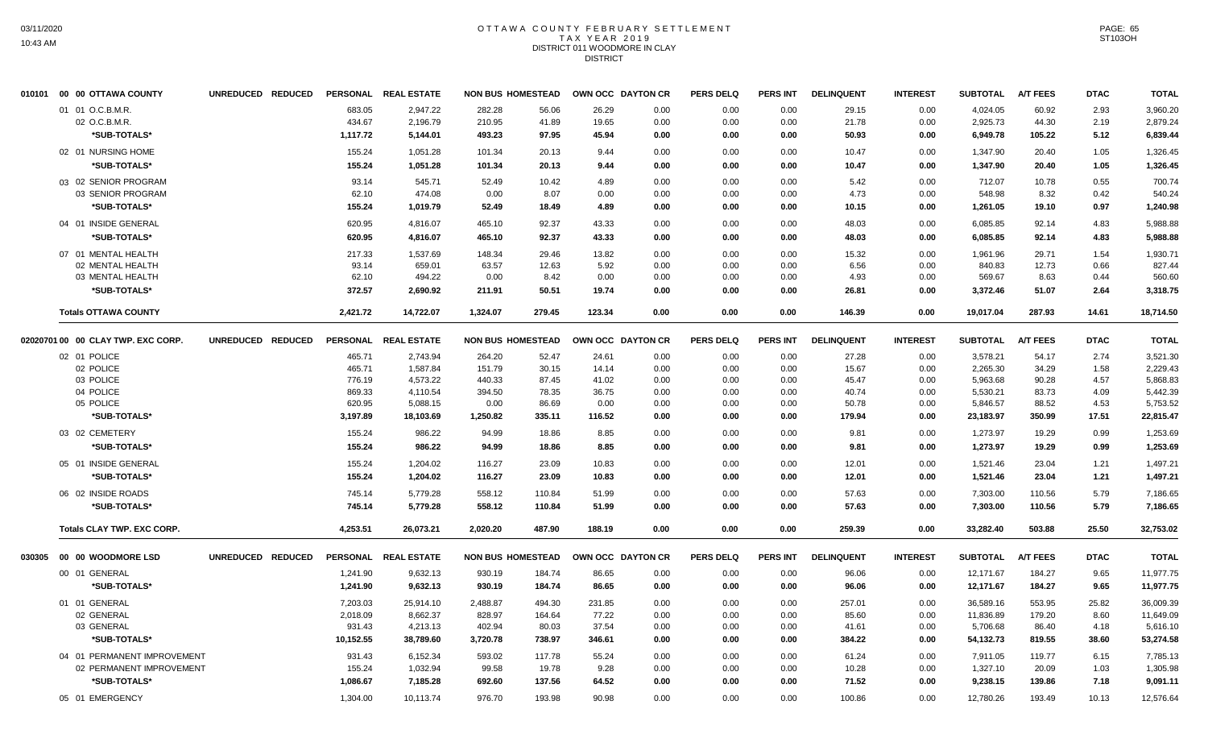# OTTAWA COUNTY FEBRUARY SETTLEMENT TAX YEAR 2019 DISTRICT 011 WOODMORE IN CLAY DISTRICT

| 010101 00 00 OTTAWA COUNTY              | UNREDUCED REDUCED |                    | PERSONAL REAL ESTATE | <b>NON BUS HOMESTEAD</b> |                 | OWN OCC DAYTON CR |              | <b>PERS DELQ</b> | <b>PERS INT</b> | <b>DELINQUENT</b> | <b>INTEREST</b> | <b>SUBTOTAL</b>       | <b>A/T FEES</b>  | <b>DTAC</b>  | <b>TOTAL</b>           |
|-----------------------------------------|-------------------|--------------------|----------------------|--------------------------|-----------------|-------------------|--------------|------------------|-----------------|-------------------|-----------------|-----------------------|------------------|--------------|------------------------|
| 01 01 O.C.B.M.R.                        |                   | 683.05             | 2,947.22             | 282.28                   | 56.06           | 26.29             | 0.00         | 0.00             | 0.00            | 29.15             | 0.00            | 4,024.05              | 60.92            | 2.93         | 3,960.20               |
| 02 O.C.B.M.R.                           |                   | 434.67             | 2,196.79             | 210.95                   | 41.89           | 19.65             | 0.00         | 0.00             | 0.00            | 21.78             | 0.00            | 2,925.73              | 44.30            | 2.19         | 2,879.24               |
| *SUB-TOTALS*                            |                   | 1,117.72           | 5,144.01             | 493.23                   | 97.95           | 45.94             | 0.00         | 0.00             | 0.00            | 50.93             | 0.00            | 6,949.78              | 105.22           | 5.12         | 6,839.44               |
| 02 01 NURSING HOME                      |                   | 155.24             | 1,051.28             | 101.34                   | 20.13           | 9.44              | 0.00         | 0.00             | 0.00            | 10.47             | 0.00            | 1,347.90              | 20.40            | 1.05         | 1,326.45               |
| *SUB-TOTALS*                            |                   | 155.24             | 1,051.28             | 101.34                   | 20.13           | 9.44              | 0.00         | 0.00             | 0.00            | 10.47             | 0.00            | 1,347.90              | 20.40            | 1.05         | 1,326.45               |
| 03 02 SENIOR PROGRAM                    |                   | 93.14              | 545.71               | 52.49                    | 10.42           | 4.89              | 0.00         | 0.00             | 0.00            | 5.42              | 0.00            | 712.07                | 10.78            | 0.55         | 700.74                 |
| 03 SENIOR PROGRAM                       |                   | 62.10              | 474.08               | 0.00                     | 8.07            | 0.00              | 0.00         | 0.00             | 0.00            | 4.73              | 0.00            | 548.98                | 8.32             | 0.42         | 540.24                 |
| *SUB-TOTALS*                            |                   | 155.24             | 1,019.79             | 52.49                    | 18.49           | 4.89              | 0.00         | 0.00             | 0.00            | 10.15             | 0.00            | 1,261.05              | 19.10            | 0.97         | 1,240.98               |
| 04 01 INSIDE GENERAL                    |                   | 620.95             | 4,816.07             | 465.10                   | 92.37           | 43.33             | 0.00         | 0.00             | 0.00            | 48.03             | 0.00            | 6,085.85              | 92.14            | 4.83         | 5,988.88               |
| *SUB-TOTALS*                            |                   | 620.95             | 4,816.07             | 465.10                   | 92.37           | 43.33             | 0.00         | 0.00             | 0.00            | 48.03             | 0.00            | 6,085.85              | 92.14            | 4.83         | 5,988.88               |
|                                         |                   |                    |                      |                          |                 |                   |              |                  |                 |                   |                 |                       |                  |              |                        |
| 07 01 MENTAL HEALTH<br>02 MENTAL HEALTH |                   | 217.33<br>93.14    | 1.537.69<br>659.01   | 148.34<br>63.57          | 29.46<br>12.63  | 13.82<br>5.92     | 0.00<br>0.00 | 0.00<br>0.00     | 0.00<br>0.00    | 15.32<br>6.56     | 0.00<br>0.00    | 1.961.96<br>840.83    | 29.71<br>12.73   | 1.54<br>0.66 | 1,930.71<br>827.44     |
| 03 MENTAL HEALTH                        |                   | 62.10              | 494.22               | 0.00                     | 8.42            | 0.00              | 0.00         | 0.00             | 0.00            | 4.93              | 0.00            | 569.67                | 8.63             | 0.44         | 560.60                 |
| *SUB-TOTALS*                            |                   | 372.57             | 2,690.92             | 211.91                   | 50.51           | 19.74             | 0.00         | 0.00             | 0.00            | 26.81             | 0.00            | 3,372.46              | 51.07            | 2.64         | 3,318.75               |
|                                         |                   |                    |                      |                          |                 |                   |              |                  |                 |                   |                 |                       |                  |              |                        |
| <b>Totals OTTAWA COUNTY</b>             |                   | 2,421.72           | 14,722.07            | 1,324.07                 | 279.45          | 123.34            | 0.00         | 0.00             | 0.00            | 146.39            | 0.00            | 19,017.04             | 287.93           | 14.61        | 18,714.50              |
| 02020701 00 00 CLAY TWP. EXC CORP.      | UNREDUCED REDUCED |                    | PERSONAL REAL ESTATE | <b>NON BUS HOMESTEAD</b> |                 | OWN OCC DAYTON CR |              | <b>PERS DELQ</b> | <b>PERS INT</b> | <b>DELINQUENT</b> | <b>INTEREST</b> | <b>SUBTOTAL</b>       | <b>A/T FEES</b>  | <b>DTAC</b>  | <b>TOTAL</b>           |
| 02 01 POLICE                            |                   | 465.71             | 2,743.94             | 264.20                   | 52.47           | 24.61             | 0.00         | 0.00             | 0.00            | 27.28             | 0.00            | 3,578.21              | 54.17            | 2.74         | 3,521.30               |
| 02 POLICE                               |                   | 465.71             | 1,587.84             | 151.79                   | 30.15           | 14.14             | 0.00         | 0.00             | 0.00            | 15.67             | 0.00            | 2,265.30              | 34.29            | 1.58         | 2,229.43               |
| 03 POLICE                               |                   | 776.19             | 4,573.22             | 440.33                   | 87.45           | 41.02             | 0.00         | 0.00             | 0.00            | 45.47             | 0.00            | 5,963.68              | 90.28            | 4.57         | 5,868.83               |
| 04 POLICE                               |                   | 869.33             | 4,110.54             | 394.50                   | 78.35           | 36.75             | 0.00         | 0.00             | 0.00            | 40.74             | 0.00            | 5,530.21              | 83.73            | 4.09         | 5,442.39               |
| 05 POLICE                               |                   | 620.95             | 5,088.15             | 0.00                     | 86.69           | 0.00              | 0.00         | 0.00             | 0.00            | 50.78             | 0.00            | 5,846.57              | 88.52            | 4.53         | 5,753.52               |
| *SUB-TOTALS*                            |                   | 3,197.89           | 18,103.69            | 1,250.82                 | 335.11          | 116.52            | 0.00         | 0.00             | 0.00            | 179.94            | 0.00            | 23,183.97             | 350.99           | 17.51        | 22,815.47              |
| 03 02 CEMETERY                          |                   | 155.24             | 986.22               | 94.99                    | 18.86           | 8.85              | 0.00         | 0.00             | 0.00            | 9.81              | 0.00            | 1,273.97              | 19.29            | 0.99         | 1,253.69               |
| *SUB-TOTALS*                            |                   | 155.24             | 986.22               | 94.99                    | 18.86           | 8.85              | 0.00         | 0.00             | 0.00            | 9.81              | 0.00            | 1,273.97              | 19.29            | 0.99         | 1,253.69               |
| 05 01 INSIDE GENERAL                    |                   | 155.24             | 1,204.02             | 116.27                   | 23.09           | 10.83             | 0.00         | 0.00             | 0.00            | 12.01             | 0.00            | 1,521.46              | 23.04            | 1.21         | 1,497.21               |
| *SUB-TOTALS*                            |                   | 155.24             | 1,204.02             | 116.27                   | 23.09           | 10.83             | 0.00         | 0.00             | 0.00            | 12.01             | 0.00            | 1,521.46              | 23.04            | 1.21         | 1,497.21               |
|                                         |                   |                    |                      |                          |                 |                   |              |                  |                 |                   |                 |                       |                  |              |                        |
| 06 02 INSIDE ROADS                      |                   | 745.14             | 5,779.28             | 558.12                   | 110.84          | 51.99             | 0.00         | 0.00             | 0.00            | 57.63             | 0.00            | 7,303.00              | 110.56           | 5.79         | 7,186.65               |
| *SUB-TOTALS*                            |                   | 745.14             | 5,779.28             | 558.12                   | 110.84          | 51.99             | 0.00         | 0.00             | 0.00            | 57.63             | 0.00            | 7,303.00              | 110.56           | 5.79         | 7,186.65               |
| <b>Totals CLAY TWP, EXC CORP.</b>       |                   | 4,253.51           | 26,073.21            | 2,020.20                 | 487.90          | 188.19            | 0.00         | 0.00             | 0.00            | 259.39            | 0.00            | 33,282.40             | 503.88           | 25.50        | 32,753.02              |
|                                         | UNREDUCED REDUCED |                    | PERSONAL REAL ESTATE | <b>NON BUS HOMESTEAD</b> |                 | OWN OCC DAYTON CR |              | <b>PERS DELQ</b> | <b>PERS INT</b> | <b>DELINQUENT</b> | <b>INTEREST</b> | <b>SUBTOTAL</b>       | <b>A/T FEES</b>  | <b>DTAC</b>  | <b>TOTAL</b>           |
| 00 01 GENERAL                           |                   | 1,241.90           | 9,632.13             | 930.19                   | 184.74          | 86.65             | 0.00         | 0.00             | 0.00            | 96.06             | 0.00            | 12,171.67             | 184.27           | 9.65         | 11,977.75              |
| *SUB-TOTALS*                            |                   | 1,241.90           | 9,632.13             | 930.19                   | 184.74          | 86.65             | 0.00         | 0.00             | 0.00            | 96.06             | 0.00            | 12,171.67             | 184.27           | 9.65         | 11,977.75              |
|                                         |                   |                    |                      |                          |                 |                   |              |                  |                 |                   |                 |                       |                  |              |                        |
| 01 01 GENERAL<br>02 GENERAL             |                   | 7,203.03           | 25,914.10            | 2,488.87                 | 494.30          | 231.85            | 0.00<br>0.00 | 0.00             | 0.00<br>0.00    | 257.01            | 0.00<br>0.00    | 36,589.16             | 553.95<br>179.20 | 25.82        | 36.009.39<br>11,649.09 |
| 03 GENERAL                              |                   | 2,018.09<br>931.43 | 8,662.37<br>4,213.13 | 828.97<br>402.94         | 164.64<br>80.03 | 77.22<br>37.54    | 0.00         | 0.00<br>0.00     | 0.00            | 85.60<br>41.61    | 0.00            | 11,836.89<br>5,706.68 | 86.40            | 8.60<br>4.18 | 5,616.10               |
| *SUB-TOTALS*                            |                   | 10,152.55          | 38,789.60            | 3,720.78                 | 738.97          | 346.61            | 0.00         | 0.00             | 0.00            | 384.22            | 0.00            | 54,132.73             | 819.55           | 38.60        | 53,274.58              |
|                                         |                   |                    |                      |                          |                 |                   |              |                  |                 |                   |                 |                       |                  |              |                        |
| 04 01 PERMANENT IMPROVEMENT             |                   | 931.43             | 6,152.34             | 593.02                   | 117.78          | 55.24             | 0.00         | 0.00             | 0.00            | 61.24             | 0.00            | 7,911.05              | 119.77           | 6.15         | 7,785.13               |
| 02 PERMANENT IMPROVEMENT                |                   | 155.24             | 1,032.94             | 99.58                    | 19.78           | 9.28              | 0.00         | 0.00             | 0.00            | 10.28             | 0.00            | 1,327.10              | 20.09            | 1.03         | 1,305.98               |
| *SUB-TOTALS*                            |                   | 1,086.67           | 7,185.28             | 692.60                   | 137.56          | 64.52             | 0.00         | 0.00             | 0.00            | 71.52             | 0.00            | 9,238.15              | 139.86           | 7.18         | 9,091.11               |
| 05 01 EMERGENCY                         |                   | 1,304.00           | 10,113.74            | 976.70                   | 193.98          | 90.98             | 0.00         | 0.00             | 0.00            | 100.86            | 0.00            | 12,780.26             | 193.49           | 10.13        | 12,576.64              |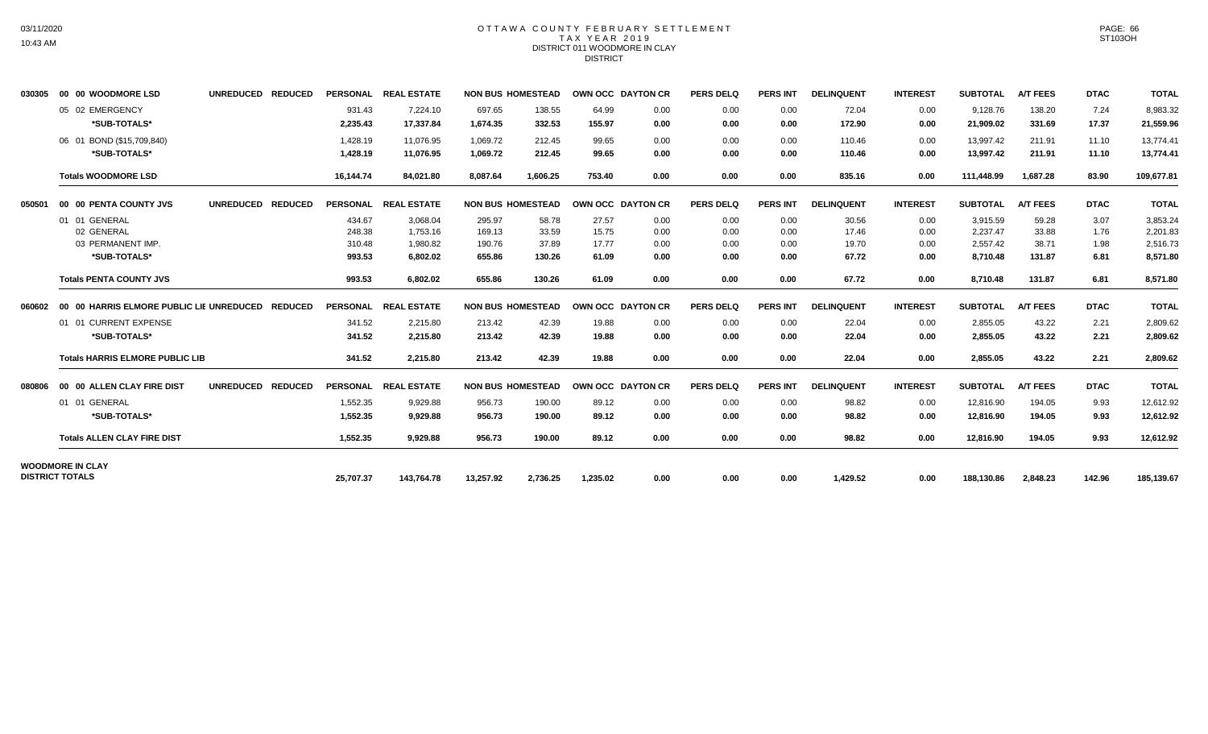## OTTAWA COUNTY FEBRUARY SETTLEMENT TAX YEAR 2019 DISTRICT 011 WOODMORE IN CLAY DISTRICT

| 030305 | 00 00 WOODMORE LSD                               | UNREDUCED REDUCED |           | PERSONAL REAL ESTATE |           | <b>NON BUS HOMESTEAD</b> | OWN OCC DAYTON CR |      | <b>PERS DELQ</b> | <b>PERS INT</b> | <b>DELINQUENT</b> | <b>INTEREST</b> | <b>SUBTOTAL</b> | <b>A/T FEES</b> | <b>DTAC</b> | <b>TOTAL</b> |
|--------|--------------------------------------------------|-------------------|-----------|----------------------|-----------|--------------------------|-------------------|------|------------------|-----------------|-------------------|-----------------|-----------------|-----------------|-------------|--------------|
|        | 05 02 EMERGENCY                                  |                   | 931.43    | 7,224.10             | 697.65    | 138.55                   | 64.99             | 0.00 | 0.00             | 0.00            | 72.04             | 0.00            | 9,128.76        | 138.20          | 7.24        | 8,983.32     |
|        | *SUB-TOTALS*                                     |                   | 2,235.43  | 17,337.84            | 1,674.35  | 332.53                   | 155.97            | 0.00 | 0.00             | 0.00            | 172.90            | 0.00            | 21,909.02       | 331.69          | 17.37       | 21,559.96    |
|        | 06 01 BOND (\$15,709,840)                        |                   | 1,428.19  | 11.076.95            | 1,069.72  | 212.45                   | 99.65             | 0.00 | 0.00             | 0.00            | 110.46            | 0.00            | 13,997.42       | 211.91          | 11.10       | 13.774.41    |
|        | *SUB-TOTALS*                                     |                   | 1,428.19  | 11,076.95            | 1,069.72  | 212.45                   | 99.65             | 0.00 | 0.00             | 0.00            | 110.46            | 0.00            | 13,997.42       | 211.91          | 11.10       | 13,774.41    |
|        | <b>Totals WOODMORE LSD</b>                       |                   | 16,144.74 | 84,021.80            | 8,087.64  | 1,606.25                 | 753.40            | 0.00 | 0.00             | 0.00            | 835.16            | 0.00            | 111,448.99      | 1,687.28        | 83.90       | 109,677.81   |
| 050501 | 00 00 PENTA COUNTY JVS                           | UNREDUCED REDUCED |           | PERSONAL REAL ESTATE |           | <b>NON BUS HOMESTEAD</b> | OWN OCC DAYTON CR |      | <b>PERS DELQ</b> | <b>PERS INT</b> | <b>DELINQUENT</b> | <b>INTEREST</b> | <b>SUBTOTAL</b> | <b>A/T FEES</b> | <b>DTAC</b> | <b>TOTAL</b> |
|        | 01 01 GENERAL                                    |                   | 434.67    | 3,068.04             | 295.97    | 58.78                    | 27.57             | 0.00 | 0.00             | 0.00            | 30.56             | 0.00            | 3,915.59        | 59.28           | 3.07        | 3,853.24     |
|        | 02 GENERAL                                       |                   | 248.38    | 1,753.16             | 169.13    | 33.59                    | 15.75             | 0.00 | 0.00             | 0.00            | 17.46             | 0.00            | 2,237.47        | 33.88           | 1.76        | 2,201.83     |
|        | 03 PERMANENT IMP.                                |                   | 310.48    | 1,980.82             | 190.76    | 37.89                    | 17.77             | 0.00 | 0.00             | 0.00            | 19.70             | 0.00            | 2,557.42        | 38.71           | 1.98        | 2,516.73     |
|        | *SUB-TOTALS*                                     |                   | 993.53    | 6,802.02             | 655.86    | 130.26                   | 61.09             | 0.00 | 0.00             | 0.00            | 67.72             | 0.00            | 8,710.48        | 131.87          | 6.81        | 8,571.80     |
|        | <b>Totals PENTA COUNTY JVS</b>                   |                   | 993.53    | 6.802.02             | 655.86    | 130.26                   | 61.09             | 0.00 | 0.00             | 0.00            | 67.72             | 0.00            | 8,710.48        | 131.87          | 6.81        | 8,571.80     |
| 060602 | 00 00 HARRIS ELMORE PUBLIC LIE UNREDUCED REDUCED |                   |           | PERSONAL REAL ESTATE |           | <b>NON BUS HOMESTEAD</b> | OWN OCC DAYTON CR |      | <b>PERS DELQ</b> | <b>PERS INT</b> | <b>DELINQUENT</b> | <b>INTEREST</b> | <b>SUBTOTAL</b> | <b>A/T FEES</b> | <b>DTAC</b> | <b>TOTAL</b> |
|        | 01 01 CURRENT EXPENSE                            |                   | 341.52    | 2,215.80             | 213.42    | 42.39                    | 19.88             | 0.00 | 0.00             | 0.00            | 22.04             | 0.00            | 2,855.05        | 43.22           | 2.21        | 2,809.62     |
|        | *SUB-TOTALS*                                     |                   | 341.52    | 2,215.80             | 213.42    | 42.39                    | 19.88             | 0.00 | 0.00             | 0.00            | 22.04             | 0.00            | 2,855.05        | 43.22           | 2.21        | 2,809.62     |
|        | <b>Totals HARRIS ELMORE PUBLIC LIB</b>           |                   | 341.52    | 2,215.80             | 213.42    | 42.39                    | 19.88             | 0.00 | 0.00             | 0.00            | 22.04             | 0.00            | 2,855.05        | 43.22           | 2.21        | 2,809.62     |
| 080806 | 00 00 ALLEN CLAY FIRE DIST                       | UNREDUCED REDUCED |           | PERSONAL REAL ESTATE |           | <b>NON BUS HOMESTEAD</b> | OWN OCC DAYTON CR |      | <b>PERS DELQ</b> | <b>PERS INT</b> | <b>DELINQUENT</b> | <b>INTEREST</b> | <b>SUBTOTAL</b> | <b>A/T FEES</b> | <b>DTAC</b> | <b>TOTAL</b> |
|        | 01 01 GENERAL                                    |                   | 1,552.35  | 9,929.88             | 956.73    | 190.00                   | 89.12             | 0.00 | 0.00             | 0.00            | 98.82             | 0.00            | 12.816.90       | 194.05          | 9.93        | 12,612.92    |
|        | *SUB-TOTALS*                                     |                   | 1,552.35  | 9,929.88             | 956.73    | 190.00                   | 89.12             | 0.00 | 0.00             | 0.00            | 98.82             | 0.00            | 12,816.90       | 194.05          | 9.93        | 12,612.92    |
|        | <b>Totals ALLEN CLAY FIRE DIST</b>               |                   | 1.552.35  | 9,929.88             | 956.73    | 190.00                   | 89.12             | 0.00 | 0.00             | 0.00            | 98.82             | 0.00            | 12,816.90       | 194.05          | 9.93        | 12,612.92    |
|        | <b>WOODMORE IN CLAY</b>                          |                   |           |                      |           |                          |                   |      |                  |                 |                   |                 |                 |                 |             |              |
|        | <b>DISTRICT TOTALS</b>                           |                   | 25,707.37 | 143,764.78           | 13,257.92 | 2,736.25                 | 1,235.02          | 0.00 | 0.00             | 0.00            | 1,429.52          | 0.00            | 188,130.86      | 2,848.23        | 142.96      | 185,139.67   |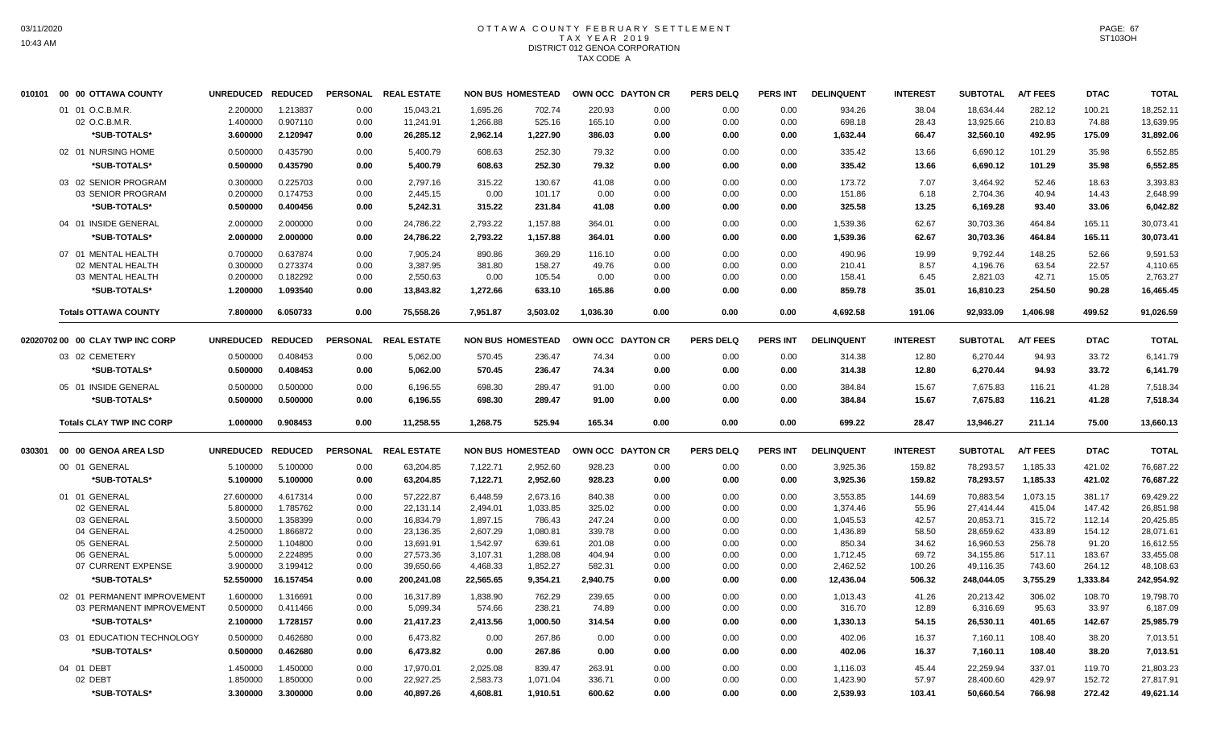#### OTTAWA COUNTY FEBRUARY SETTLEMENT T A X Y E A R 2 0 1 9 DISTRICT 012 GENOA CORPORATION TAX CODE A

| 010101 | 00 00 OTTAWA COUNTY              | <b>UNREDUCED</b> | <b>REDUCED</b> |      | PERSONAL REAL ESTATE |           | <b>NON BUS HOMESTEAD</b> |          | OWN OCC DAYTON CR | <b>PERS DELQ</b> | <b>PERS INT</b> | <b>DELINQUENT</b> | <b>INTEREST</b> | <b>SUBTOTAL</b> | <b>A/T FEES</b> | <b>DTAC</b>      | <b>TOTAL</b> |
|--------|----------------------------------|------------------|----------------|------|----------------------|-----------|--------------------------|----------|-------------------|------------------|-----------------|-------------------|-----------------|-----------------|-----------------|------------------|--------------|
|        | 01 01 O.C.B.M.R.                 | 2.200000         | 1.213837       | 0.00 | 15,043.21            | 1,695.26  | 702.74                   | 220.93   | 0.00              | 0.00             | 0.00            | 934.26            | 38.04           | 18,634.44       | 282.12          | 100.21           | 18,252.11    |
|        | 02 O.C.B.M.R.                    | 1.400000         | 0.907110       | 0.00 | 11,241.91            | 1,266.88  | 525.16                   | 165.10   | 0.00              | 0.00             | 0.00            | 698.18            | 28.43           | 13,925.66       | 210.83          | 74.88            | 13,639.95    |
|        | *SUB-TOTALS*                     | 3.600000         | 2.120947       | 0.00 | 26,285.12            | 2,962.14  | 1,227.90                 | 386.03   | 0.00              | 0.00             | 0.00            | 1,632.44          | 66.47           | 32,560.10       | 492.95          | 175.09           | 31,892.06    |
|        | 02 01 NURSING HOME               | 0.500000         | 0.435790       | 0.00 | 5,400.79             | 608.63    | 252.30                   | 79.32    | 0.00              | 0.00             | 0.00            | 335.42            | 13.66           | 6,690.12        | 101.29          | 35.98            | 6,552.85     |
|        | <b>SUB-TOTALS*</b>               | 0.500000         | 0.435790       | 0.00 | 5,400.79             | 608.63    | 252.30                   | 79.32    | 0.00              | 0.00             | 0.00            | 335.42            | 13.66           | 6.690.12        | 101.29          | 35.98            | 6,552.85     |
|        | 03 02 SENIOR PROGRAM             | 0.300000         | 0.225703       | 0.00 | 2,797.16             | 315.22    | 130.67                   | 41.08    | 0.00              | 0.00             | 0.00            | 173.72            | 7.07            | 3,464.92        | 52.46           | 18.63            | 3,393.83     |
|        | 03 SENIOR PROGRAM                | 0.200000         | 0.174753       | 0.00 | 2,445.15             | 0.00      | 101.17                   | 0.00     | 0.00              | 0.00             | 0.00            | 151.86            | 6.18            | 2,704.36        | 40.94           | 14.43            | 2.648.99     |
|        | *SUB-TOTALS*                     | 0.500000         | 0.400456       | 0.00 | 5,242.31             | 315.22    | 231.84                   | 41.08    | 0.00              | 0.00             | 0.00            | 325.58            | 13.25           | 6,169.28        | 93.40           | 33.06            | 6,042.82     |
|        | 04 01 INSIDE GENERAL             | 2.000000         | 2.000000       | 0.00 | 24,786.22            | 2,793.22  | 1,157.88                 | 364.01   | 0.00              | 0.00             | 0.00            | 1,539.36          | 62.67           | 30,703.36       | 464.84          | 165.11           | 30,073.41    |
|        | *SUB-TOTALS*                     | 2.000000         | 2.000000       | 0.00 | 24,786.22            | 2,793.22  | 1,157.88                 | 364.01   | 0.00              | 0.00             | 0.00            | 1,539.36          | 62.67           | 30,703.36       | 464.84          | 165.11           | 30,073.41    |
|        | 07 01 MENTAL HEALTH              | 0.700000         | 0.637874       | 0.00 | 7,905.24             | 890.86    | 369.29                   | 116.10   | 0.00              | 0.00             | 0.00            | 490.96            | 19.99           | 9.792.44        | 148.25          | 52.66            | 9,591.53     |
|        | 02 MENTAL HEALTH                 | 0.300000         | 0.273374       | 0.00 | 3,387.95             | 381.80    | 158.27                   | 49.76    | 0.00              | 0.00             | 0.00            | 210.41            | 8.57            | 4,196.76        | 63.54           | 22.57            | 4,110.65     |
|        | 03 MENTAL HEALTH                 | 0.200000         | 0.182292       | 0.00 | 2,550.63             | 0.00      | 105.54                   | 0.00     | 0.00              | 0.00             | 0.00            | 158.41            | 6.45            | 2,821.03        | 42.71           | 15.05            | 2,763.27     |
|        | *SUB-TOTALS*                     | 1.200000         | 1.093540       | 0.00 | 13,843.82            | 1,272.66  | 633.10                   | 165.86   | 0.00              | 0.00             | 0.00            | 859.78            | 35.01           | 16,810.23       | 254.50          | 90.28            | 16,465.45    |
|        | <b>Totals OTTAWA COUNTY</b>      | 7.800000         | 6.050733       | 0.00 | 75,558.26            | 7,951.87  | 3,503.02                 | 1,036.30 | 0.00              | 0.00             | 0.00            | 4,692.58          | 191.06          | 92,933.09       | 1,406.98        | 499.52           | 91,026.59    |
|        | 02020702 00 00 CLAY TWP INC CORP | <b>UNREDUCED</b> | <b>REDUCED</b> |      | PERSONAL REAL ESTATE |           | <b>NON BUS HOMESTEAD</b> |          | OWN OCC DAYTON CR | <b>PERS DELQ</b> | <b>PERS INT</b> | <b>DELINQUENT</b> | <b>INTEREST</b> | <b>SUBTOTAL</b> | <b>A/T FEES</b> | <b>DTAC</b>      | <b>TOTAL</b> |
|        | 03 02 CEMETERY                   | 0.500000         | 0.408453       | 0.00 | 5,062.00             | 570.45    | 236.47                   | 74.34    | 0.00              | 0.00             | 0.00            | 314.38            | 12.80           | 6,270.44        | 94.93           | 33.72            | 6,141.79     |
|        | *SUB-TOTALS*                     | 0.500000         | 0.408453       | 0.00 | 5,062.00             | 570.45    | 236.47                   | 74.34    | 0.00              | 0.00             | 0.00            | 314.38            | 12.80           | 6,270.44        | 94.93           | 33.72            | 6,141.79     |
|        |                                  |                  |                |      |                      |           |                          |          |                   |                  |                 |                   |                 |                 |                 |                  |              |
|        | 05 01 INSIDE GENERAL             | 0.500000         | 0.500000       | 0.00 | 6,196.55             | 698.30    | 289.47                   | 91.00    | 0.00              | 0.00             | 0.00            | 384.84            | 15.67           | 7,675.83        | 116.21          | 41.28            | 7,518.34     |
|        |                                  |                  |                |      |                      |           |                          |          |                   |                  |                 |                   |                 |                 |                 |                  |              |
|        | *SUB-TOTALS*                     | 0.500000         | 0.500000       | 0.00 | 6,196.55             | 698.30    | 289.47                   | 91.00    | 0.00              | 0.00             | 0.00            | 384.84            | 15.67           | 7,675.83        | 116.21          | 41.28            | 7,518.34     |
|        | <b>Totals CLAY TWP INC CORP</b>  | 1.000000         | 0.908453       | 0.00 | 11.258.55            | 1.268.75  | 525.94                   | 165.34   | 0.00              | 0.00             | 0.00            | 699.22            | 28.47           | 13.946.27       | 211.14          | 75.00            | 13,660.13    |
| 030301 | 00 00 GENOA AREA LSD             | <b>UNREDUCED</b> | <b>REDUCED</b> |      | PERSONAL REAL ESTATE |           | <b>NON BUS HOMESTEAD</b> |          | OWN OCC DAYTON CR | <b>PERS DELQ</b> | <b>PERS INT</b> | <b>DELINQUENT</b> | <b>INTEREST</b> | <b>SUBTOTAL</b> | <b>A/T FEES</b> | <b>DTAC</b>      | <b>TOTAL</b> |
|        | 00 01 GENERAL                    | 5.100000         | 5.100000       | 0.00 | 63,204.85            | 7,122.71  | 2,952.60                 | 928.23   | 0.00              | 0.00             | 0.00            | 3,925.36          | 159.82          | 78,293.57       | 1,185.33        | 421.02           | 76,687.22    |
|        | *SUB-TOTALS*                     | 5.100000         | 5.100000       | 0.00 | 63,204.85            | 7,122.71  | 2,952.60                 | 928.23   | 0.00              | 0.00             | 0.00            | 3,925.36          | 159.82          | 78,293.57       | 1,185.33        | 421.02           | 76,687.22    |
|        | 01 01 GENERAL                    | 27.600000        | 4.617314       | 0.00 | 57,222.87            | 6,448.59  | 2,673.16                 | 840.38   | 0.00              | 0.00             | 0.00            | 3.553.85          | 144.69          | 70,883.54       | 1,073.15        |                  | 69,429.22    |
|        | 02 GENERAL                       | 5.800000         | 1.785762       | 0.00 | 22,131.14            | 2,494.01  | 1,033.85                 | 325.02   | 0.00              | 0.00             | 0.00            | 1,374.46          | 55.96           | 27,414.44       | 415.04          | 381.17<br>147.42 | 26,851.98    |
|        | 03 GENERAL                       | 3.500000         | 1.358399       | 0.00 | 16,834.79            | 1,897.15  | 786.43                   | 247.24   | 0.00              | 0.00             | 0.00            | 1,045.53          | 42.57           | 20,853.71       | 315.72          | 112.14           | 20,425.85    |
|        | 04 GENERAL                       | 4.250000         | 1.866872       | 0.00 | 23,136.35            | 2,607.29  | 1,080.81                 | 339.78   | 0.00              | 0.00             | 0.00            | 1,436.89          | 58.50           | 28,659.62       | 433.89          | 154.12           | 28,071.61    |
|        | 05 GENERAL                       | 2.500000         | 1.104800       | 0.00 | 13,691.91            | 1,542.97  | 639.61                   | 201.08   | 0.00              | 0.00             | 0.00            | 850.34            | 34.62           | 16,960.53       | 256.78          | 91.20            | 16,612.55    |
|        | 06 GENERAL                       | 5.000000         | 2.224895       | 0.00 | 27,573.36            | 3,107.31  | 1,288.08                 | 404.94   | 0.00              | 0.00             | 0.00            | 1,712.45          | 69.72           | 34,155.86       | 517.11          | 183.67           | 33,455.08    |
|        | 07 CURRENT EXPENSE               | 3.900000         | 3.199412       | 0.00 | 39,650.66            | 4,468.33  | 1,852.27                 | 582.31   | 0.00              | 0.00             | 0.00            | 2,462.52          | 100.26          | 49,116.35       | 743.60          | 264.12           | 48,108.63    |
|        | *SUB-TOTALS*                     | 52.550000        | 16.157454      | 0.00 | 200,241.08           | 22,565.65 | 9,354.21                 | 2,940.75 | 0.00              | 0.00             | 0.00            | 12,436.04         | 506.32          | 248,044.05      | 3,755.29        | 1,333.84         | 242,954.92   |
|        | 02 01 PERMANENT IMPROVEMENT      | 1.600000         | 1.316691       | 0.00 | 16,317.89            | 1,838.90  | 762.29                   | 239.65   | 0.00              | 0.00             | 0.00            | 1,013.43          | 41.26           | 20,213.42       | 306.02          | 108.70           | 19,798.70    |
|        | 03 PERMANENT IMPROVEMENT         | 0.500000         | 0.411466       | 0.00 | 5,099.34             | 574.66    | 238.21                   | 74.89    | 0.00              | 0.00             | 0.00            | 316.70            | 12.89           | 6,316.69        | 95.63           | 33.97            | 6,187.09     |
|        | *SUB-TOTALS*                     | 2.100000         | 1.728157       | 0.00 | 21,417.23            | 2,413.56  | 1,000.50                 | 314.54   | 0.00              | 0.00             | 0.00            | 1,330.13          | 54.15           | 26,530.11       | 401.65          | 142.67           | 25,985.79    |
|        | 03 01 EDUCATION TECHNOLOGY       | 0.500000         | 0.462680       | 0.00 | 6,473.82             | 0.00      | 267.86                   | 0.00     | 0.00              | 0.00             | 0.00            | 402.06            | 16.37           | 7,160.11        | 108.40          | 38.20            | 7,013.51     |
|        | *SUB-TOTALS*                     | 0.500000         | 0.462680       | 0.00 | 6,473.82             | 0.00      | 267.86                   | 0.00     | 0.00              | 0.00             | 0.00            | 402.06            | 16.37           | 7,160.11        | 108.40          | 38.20            | 7,013.51     |
|        | 04 01 DEBT                       | 1.450000         | 1.450000       | 0.00 | 17,970.01            | 2,025.08  | 839.47                   | 263.91   | 0.00              | 0.00             | 0.00            | 1,116.03          | 45.44           | 22,259.94       | 337.01          | 119.70           | 21,803.23    |
|        | 02 DEBT                          | 1.850000         | 1.850000       | 0.00 | 22,927.25            | 2,583.73  | 1,071.04                 | 336.71   | 0.00              | 0.00             | 0.00            | 1,423.90          | 57.97           | 28,400.60       | 429.97          | 152.72           | 27,817.91    |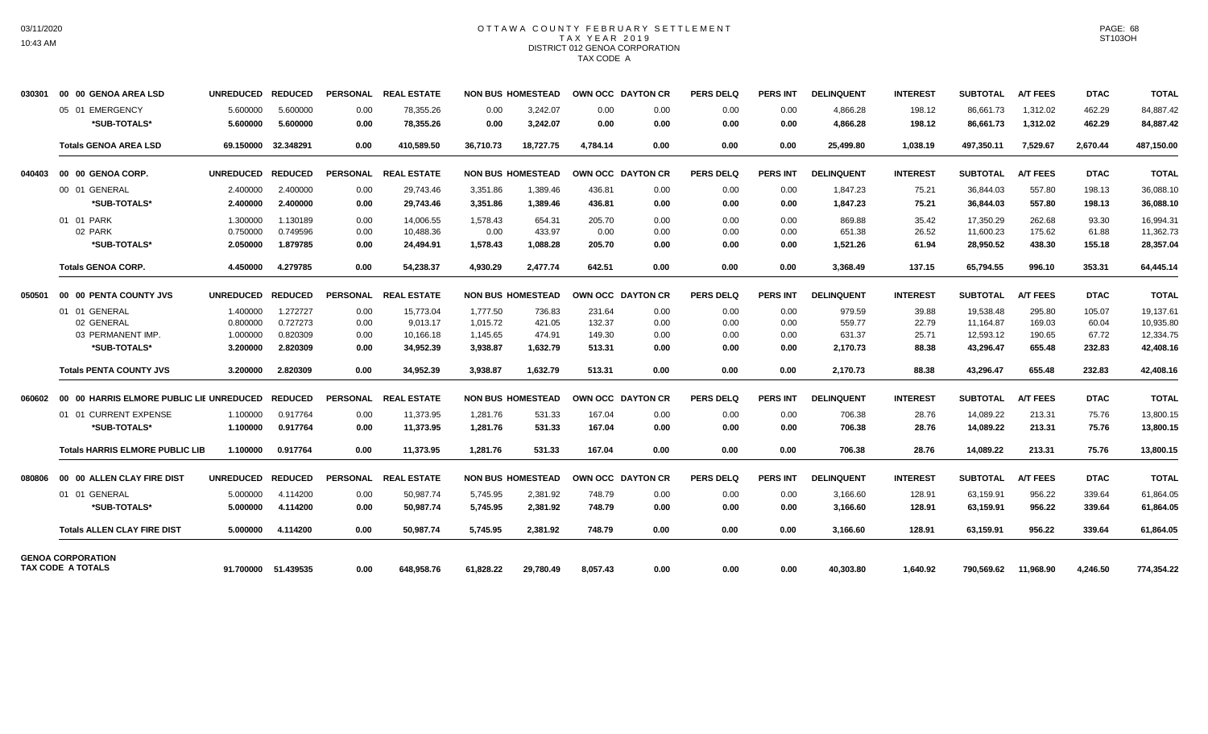# OTTAWA COUNTY FEBRUARY SETTLEMENT TAX YEAR 2019 DISTRICT 012 GENOA CORPORATION TAX CODE A

| 030301 | 00 00 GENOA AREA LSD                          | <b>UNREDUCED</b> | <b>REDUCED</b>      |      | PERSONAL REAL ESTATE |           | <b>NON BUS HOMESTEAD</b> |          | OWN OCC DAYTON CR | <b>PERS DELQ</b> | <b>PERS INT</b> | <b>DELINQUENT</b> | <b>INTEREST</b> | <b>SUBTOTAL</b> | <b>A/T FEES</b> | <b>DTAC</b> | <b>TOTAL</b> |
|--------|-----------------------------------------------|------------------|---------------------|------|----------------------|-----------|--------------------------|----------|-------------------|------------------|-----------------|-------------------|-----------------|-----------------|-----------------|-------------|--------------|
|        | 05 01 EMERGENCY                               | 5.600000         | 5.600000            | 0.00 | 78.355.26            | 0.00      | 3.242.07                 | 0.00     | 0.00              | 0.00             | 0.00            | 4,866.28          | 198.12          | 86,661.73       | 1,312.02        | 462.29      | 84,887.42    |
|        | *SUB-TOTALS*                                  | 5.600000         | 5.600000            | 0.00 | 78,355.26            | 0.00      | 3,242.07                 | 0.00     | 0.00              | 0.00             | 0.00            | 4,866.28          | 198.12          | 86,661.73       | 1,312.02        | 462.29      | 84,887.42    |
|        | <b>Totals GENOA AREA LSD</b>                  |                  | 69.150000 32.348291 | 0.00 | 410,589.50           | 36,710.73 | 18,727.75                | 4,784.14 | 0.00              | 0.00             | 0.00            | 25,499.80         | 1,038.19        | 497,350.11      | 7,529.67        | 2,670.44    | 487,150.00   |
| 040403 | 00 00 GENOA CORP.                             | <b>UNREDUCED</b> | <b>REDUCED</b>      |      | PERSONAL REAL ESTATE |           | <b>NON BUS HOMESTEAD</b> |          | OWN OCC DAYTON CR | <b>PERS DELQ</b> | <b>PERS INT</b> | <b>DELINQUENT</b> | <b>INTEREST</b> | <b>SUBTOTAL</b> | <b>A/T FEES</b> | <b>DTAC</b> | <b>TOTAL</b> |
|        | 00 01 GENERAL                                 | 2.400000         | 2.400000            | 0.00 | 29,743.46            | 3,351.86  | 1,389.46                 | 436.81   | 0.00              | 0.00             | 0.00            | 1,847.23          | 75.21           | 36,844.03       | 557.80          | 198.13      | 36,088.10    |
|        | *SUB-TOTALS*                                  | 2.400000         | 2.400000            | 0.00 | 29,743.46            | 3,351.86  | 1,389.46                 | 436.81   | 0.00              | 0.00             | 0.00            | 1,847.23          | 75.21           | 36,844.03       | 557.80          | 198.13      | 36,088.10    |
|        | 01 01 PARK                                    | 1.300000         | 1.130189            | 0.00 | 14.006.55            | 1,578.43  | 654.31                   | 205.70   | 0.00              | 0.00             | 0.00            | 869.88            | 35.42           | 17.350.29       | 262.68          | 93.30       | 16.994.31    |
|        | 02 PARK                                       | 0.750000         | 0.749596            | 0.00 | 10,488.36            | 0.00      | 433.97                   | 0.00     | 0.00              | 0.00             | 0.00            | 651.38            | 26.52           | 11,600.23       | 175.62          | 61.88       | 11,362.73    |
|        | *SUB-TOTALS*                                  | 2.050000         | 1.879785            | 0.00 | 24,494.91            | 1,578.43  | 1,088.28                 | 205.70   | 0.00              | 0.00             | 0.00            | 1,521.26          | 61.94           | 28,950.52       | 438.30          | 155.18      | 28,357.04    |
|        | <b>Totals GENOA CORP.</b>                     | 4.450000         | 4.279785            | 0.00 | 54,238.37            | 4,930.29  | 2,477.74                 | 642.51   | 0.00              | 0.00             | 0.00            | 3,368.49          | 137.15          | 65,794.55       | 996.10          | 353.31      | 64,445.14    |
| 050501 | 00 00 PENTA COUNTY JVS                        | <b>UNREDUCED</b> | <b>REDUCED</b>      |      | PERSONAL REAL ESTATE |           | <b>NON BUS HOMESTEAD</b> |          | OWN OCC DAYTON CR | <b>PERS DELQ</b> | <b>PERS INT</b> | <b>DELINQUENT</b> | <b>INTEREST</b> | <b>SUBTOTAL</b> | <b>A/T FEES</b> | <b>DTAC</b> | <b>TOTAL</b> |
|        | 01 01 GENERAL                                 | 1.400000         | 1.272727            | 0.00 | 15,773.04            | 1,777.50  | 736.83                   | 231.64   | 0.00              | 0.00             | 0.00            | 979.59            | 39.88           | 19,538.48       | 295.80          | 105.07      | 19,137.61    |
|        | 02 GENERAL                                    | 0.800000         | 0.727273            | 0.00 | 9,013.17             | 1,015.72  | 421.05                   | 132.37   | 0.00              | 0.00             | 0.00            | 559.77            | 22.79           | 11,164.87       | 169.03          | 60.04       | 10,935.80    |
|        | 03 PERMANENT IMP.                             | 1.000000         | 0.820309            | 0.00 | 10,166.18            | 1,145.65  | 474.91                   | 149.30   | 0.00              | 0.00             | 0.00            | 631.37            | 25.71           | 12,593.12       | 190.65          | 67.72       | 12,334.75    |
|        | *SUB-TOTALS*                                  | 3.200000         | 2.820309            | 0.00 | 34,952.39            | 3,938.87  | 1,632.79                 | 513.31   | 0.00              | 0.00             | 0.00            | 2,170.73          | 88.38           | 43,296.47       | 655.48          | 232.83      | 42,408.16    |
|        | <b>Totals PENTA COUNTY JVS</b>                | 3.200000         | 2.820309            | 0.00 | 34.952.39            | 3.938.87  | 1.632.79                 | 513.31   | 0.00              | 0.00             | 0.00            | 2,170.73          | 88.38           | 43,296.47       | 655.48          | 232.83      | 42,408.16    |
| 060602 | 00 00 HARRIS ELMORE PUBLIC LIE UNREDUCED      |                  | <b>REDUCED</b>      |      | PERSONAL REAL ESTATE |           | <b>NON BUS HOMESTEAD</b> |          | OWN OCC DAYTON CR | <b>PERS DELQ</b> | <b>PERS INT</b> | <b>DELINQUENT</b> | <b>INTEREST</b> | <b>SUBTOTAL</b> | <b>A/T FEES</b> | <b>DTAC</b> | <b>TOTAL</b> |
|        | 01 01 CURRENT EXPENSE                         | 1.100000         | 0.917764            | 0.00 | 11.373.95            | 1,281.76  | 531.33                   | 167.04   | 0.00              | 0.00             | 0.00            | 706.38            | 28.76           | 14,089.22       | 213.31          | 75.76       | 13,800.15    |
|        | *SUB-TOTALS*                                  | 1.100000         | 0.917764            | 0.00 | 11,373.95            | 1,281.76  | 531.33                   | 167.04   | 0.00              | 0.00             | 0.00            | 706.38            | 28.76           | 14,089.22       | 213.31          | 75.76       | 13,800.15    |
|        | <b>Totals HARRIS ELMORE PUBLIC LIB</b>        | 1.100000         | 0.917764            | 0.00 | 11,373.95            | 1,281.76  | 531.33                   | 167.04   | 0.00              | 0.00             | 0.00            | 706.38            | 28.76           | 14,089.22       | 213.31          | 75.76       | 13,800.15    |
| 080806 | 00 00 ALLEN CLAY FIRE DIST                    | <b>UNREDUCED</b> | <b>REDUCED</b>      |      | PERSONAL REAL ESTATE |           | <b>NON BUS HOMESTEAD</b> |          | OWN OCC DAYTON CR | <b>PERS DELQ</b> | <b>PERS INT</b> | <b>DELINQUENT</b> | <b>INTEREST</b> | <b>SUBTOTAL</b> | <b>A/T FEES</b> | <b>DTAC</b> | <b>TOTAL</b> |
|        | 01 01 GENERAL                                 | 5.000000         | 4.114200            | 0.00 | 50,987.74            | 5,745.95  | 2,381.92                 | 748.79   | 0.00              | 0.00             | 0.00            | 3,166.60          | 128.91          | 63,159.91       | 956.22          | 339.64      | 61,864.05    |
|        | *SUB-TOTALS*                                  | 5.000000         | 4.114200            | 0.00 | 50.987.74            | 5,745.95  | 2.381.92                 | 748.79   | 0.00              | 0.00             | 0.00            | 3.166.60          | 128.91          | 63,159.91       | 956.22          | 339.64      | 61,864.05    |
|        | <b>Totals ALLEN CLAY FIRE DIST</b>            | 5.000000         | 4.114200            | 0.00 | 50.987.74            | 5.745.95  | 2,381.92                 | 748.79   | 0.00              | 0.00             | 0.00            | 3.166.60          | 128.91          | 63,159.91       | 956.22          | 339.64      | 61.864.05    |
|        | <b>GENOA CORPORATION</b><br>TAX CODE A TOTALS | 91.700000        | 51.439535           | 0.00 | 648,958.76           | 61.828.22 | 29.780.49                | 8.057.43 | 0.00              | 0.00             | 0.00            | 40,303.80         | 1.640.92        | 790.569.62      | 11.968.90       | 4.246.50    | 774,354.22   |
|        |                                               |                  |                     |      |                      |           |                          |          |                   |                  |                 |                   |                 |                 |                 |             |              |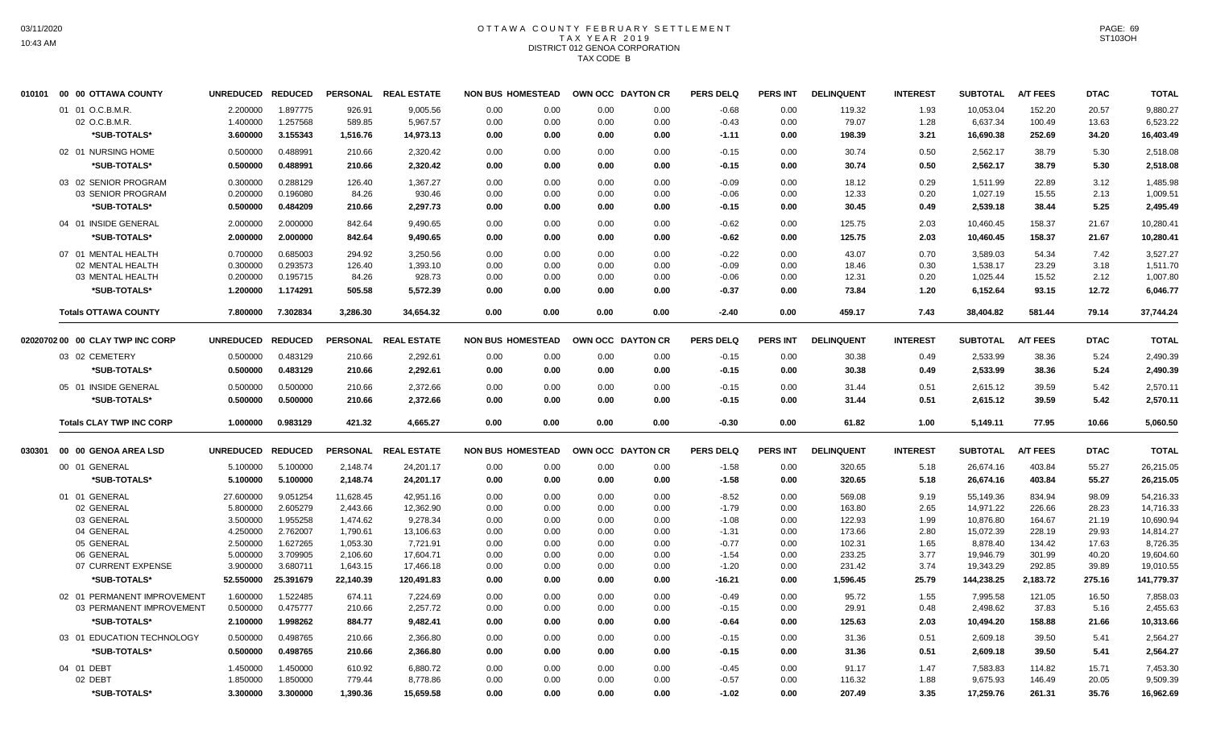#### OTTAWA COUNTY FEBRUARY SETTLEMENT T A X Y E A R 2 0 1 9 DISTRICT 012 GENOA CORPORATION TAX CODE B

| 010101 | 00 00 OTTAWA COUNTY              | <b>UNREDUCED</b> | <b>REDUCED</b> |                 | PERSONAL REAL ESTATE | <b>NON BUS HOMESTEAD</b> |      |      | OWN OCC DAYTON CR | <b>PERS DELQ</b> | <b>PERS INT</b> | <b>DELINQUENT</b> | <b>INTEREST</b> | <b>SUBTOTAL</b> | <b>A/T FEES</b> | <b>DTAC</b> | <b>TOTAL</b> |
|--------|----------------------------------|------------------|----------------|-----------------|----------------------|--------------------------|------|------|-------------------|------------------|-----------------|-------------------|-----------------|-----------------|-----------------|-------------|--------------|
|        | 01 01 O.C.B.M.R.                 | 2.200000         | 1.897775       | 926.91          | 9,005.56             | 0.00                     | 0.00 | 0.00 | 0.00              | $-0.68$          | 0.00            | 119.32            | 1.93            | 10,053.04       | 152.20          | 20.57       | 9,880.27     |
|        | 02 O.C.B.M.R.                    | 1.400000         | 1.257568       | 589.85          | 5,967.57             | 0.00                     | 0.00 | 0.00 | 0.00              | $-0.43$          | 0.00            | 79.07             | 1.28            | 6,637.34        | 100.49          | 13.63       | 6,523.22     |
|        | *SUB-TOTALS*                     | 3.600000         | 3.155343       | 1,516.76        | 14,973.13            | 0.00                     | 0.00 | 0.00 | 0.00              | $-1.11$          | 0.00            | 198.39            | 3.21            | 16,690.38       | 252.69          | 34.20       | 16,403.49    |
|        | 02 01 NURSING HOME               | 0.500000         | 0.488991       | 210.66          | 2,320.42             | 0.00                     | 0.00 | 0.00 | 0.00              | $-0.15$          | 0.00            | 30.74             | 0.50            | 2,562.17        | 38.79           | 5.30        | 2,518.08     |
|        | *SUB-TOTALS*                     | 0.500000         | 0.488991       | 210.66          | 2,320.42             | 0.00                     | 0.00 | 0.00 | 0.00              | $-0.15$          | 0.00            | 30.74             | 0.50            | 2,562.17        | 38.79           | 5.30        | 2,518.08     |
|        | 03 02 SENIOR PROGRAM             | 0.300000         | 0.288129       | 126.40          | 1,367.27             | 0.00                     | 0.00 | 0.00 | 0.00              | $-0.09$          | 0.00            | 18.12             | 0.29            | 1,511.99        | 22.89           | 3.12        | 1,485.98     |
|        | 03 SENIOR PROGRAM                | 0.200000         | 0.196080       | 84.26           | 930.46               | 0.00                     | 0.00 | 0.00 | 0.00              | $-0.06$          | 0.00            | 12.33             | 0.20            | 1,027.19        | 15.55           | 2.13        | 1,009.51     |
|        | *SUB-TOTALS*                     | 0.500000         | 0.484209       | 210.66          | 2,297.73             | 0.00                     | 0.00 | 0.00 | 0.00              | $-0.15$          | 0.00            | 30.45             | 0.49            | 2,539.18        | 38.44           | 5.25        | 2,495.49     |
|        | 04 01 INSIDE GENERAL             | 2.000000         | 2.000000       | 842.64          | 9,490.65             | 0.00                     | 0.00 | 0.00 | 0.00              | $-0.62$          | 0.00            | 125.75            | 2.03            | 10,460.45       | 158.37          | 21.67       | 10,280.41    |
|        | *SUB-TOTALS*                     | 2.000000         | 2.000000       | 842.64          | 9,490.65             | 0.00                     | 0.00 | 0.00 | 0.00              | $-0.62$          | 0.00            | 125.75            | 2.03            | 10,460.45       | 158.37          | 21.67       | 10,280.41    |
|        | 07 01 MENTAL HEALTH              | 0.700000         | 0.685003       | 294.92          | 3,250.56             | 0.00                     | 0.00 | 0.00 | 0.00              | $-0.22$          | 0.00            | 43.07             | 0.70            | 3,589.03        | 54.34           | 7.42        | 3,527.27     |
|        | 02 MENTAL HEALTH                 | 0.300000         | 0.293573       | 126.40          | 1,393.10             | 0.00                     | 0.00 | 0.00 | 0.00              | $-0.09$          | 0.00            | 18.46             | 0.30            | 1,538.17        | 23.29           | 3.18        | 1,511.70     |
|        | 03 MENTAL HEALTH                 | 0.200000         | 0.195715       | 84.26           | 928.73               | 0.00                     | 0.00 | 0.00 | 0.00              | $-0.06$          | 0.00            | 12.31             | 0.20            | 1,025.44        | 15.52           | 2.12        | 1,007.80     |
|        | *SUB-TOTALS*                     | 1.200000         | 1.174291       | 505.58          | 5,572.39             | 0.00                     | 0.00 | 0.00 | 0.00              | $-0.37$          | 0.00            | 73.84             | 1.20            | 6,152.64        | 93.15           | 12.72       | 6,046.77     |
|        | <b>Totals OTTAWA COUNTY</b>      | 7.800000         | 7.302834       | 3,286.30        | 34,654.32            | 0.00                     | 0.00 | 0.00 | 0.00              | $-2.40$          | 0.00            | 459.17            | 7.43            | 38,404.82       | 581.44          | 79.14       | 37,744.24    |
|        |                                  |                  |                |                 |                      |                          |      |      |                   |                  |                 |                   |                 |                 |                 |             |              |
|        | 02020702 00 00 CLAY TWP INC CORP | <b>UNREDUCED</b> | <b>REDUCED</b> | <b>PERSONAL</b> | <b>REAL ESTATE</b>   | <b>NON BUS HOMESTEAD</b> |      |      | OWN OCC DAYTON CR | <b>PERS DELQ</b> | <b>PERS INT</b> | <b>DELINQUENT</b> | <b>INTEREST</b> | <b>SUBTOTAL</b> | <b>A/T FEES</b> | <b>DTAC</b> | <b>TOTAL</b> |
|        | 03 02 CEMETERY                   | 0.500000         | 0.483129       | 210.66          | 2,292.61             | 0.00                     | 0.00 | 0.00 | 0.00              | $-0.15$          | 0.00            | 30.38             | 0.49            | 2,533.99        | 38.36           | 5.24        | 2,490.39     |
|        | *SUB-TOTALS*                     | 0.500000         | 0.483129       | 210.66          | 2,292.61             | 0.00                     | 0.00 | 0.00 | 0.00              | $-0.15$          | 0.00            | 30.38             | 0.49            | 2,533.99        | 38.36           | 5.24        | 2,490.39     |
|        | 05 01 INSIDE GENERAL             | 0.500000         | 0.500000       | 210.66          | 2,372.66             | 0.00                     | 0.00 | 0.00 | 0.00              | $-0.15$          | 0.00            | 31.44             | 0.51            | 2,615.12        | 39.59           | 5.42        | 2,570.11     |
|        | *SUB-TOTALS*                     | 0.500000         | 0.500000       | 210.66          | 2,372.66             | 0.00                     | 0.00 | 0.00 | 0.00              | $-0.15$          | 0.00            | 31.44             | 0.51            | 2,615.12        | 39.59           | 5.42        | 2,570.11     |
|        | <b>Totals CLAY TWP INC CORP</b>  | 1.000000         | 0.983129       | 421.32          | 4,665.27             | 0.00                     | 0.00 | 0.00 | 0.00              | $-0.30$          | 0.00            | 61.82             | 1.00            | 5,149.11        | 77.95           | 10.66       | 5,060.50     |
| 030301 | 00 00 GENOA AREA LSD             | <b>UNREDUCED</b> | <b>REDUCED</b> |                 | PERSONAL REAL ESTATE | <b>NON BUS HOMESTEAD</b> |      |      | OWN OCC DAYTON CR | <b>PERS DELQ</b> | <b>PERS INT</b> | <b>DELINQUENT</b> | <b>INTEREST</b> | <b>SUBTOTAL</b> | <b>A/T FEES</b> | <b>DTAC</b> | <b>TOTAL</b> |
|        | 00 01 GENERAL                    | 5.100000         | 5.100000       | 2,148.74        | 24,201.17            | 0.00                     | 0.00 | 0.00 | 0.00              | $-1.58$          | 0.00            | 320.65            | 5.18            | 26,674.16       | 403.84          | 55.27       | 26,215.05    |
|        | *SUB-TOTALS*                     | 5.100000         | 5.100000       | 2,148.74        | 24,201.17            | 0.00                     | 0.00 | 0.00 | 0.00              | $-1.58$          | 0.00            | 320.65            | 5.18            | 26,674.16       | 403.84          | 55.27       | 26,215.05    |
|        | 01 01 GENERAL                    | 27.600000        | 9.051254       | 11,628.45       | 42,951.16            | 0.00                     | 0.00 | 0.00 | 0.00              | $-8.52$          | 0.00            | 569.08            | 9.19            | 55,149.36       | 834.94          | 98.09       | 54,216.33    |
|        | 02 GENERAL                       | 5.800000         | 2.605279       | 2,443.66        | 12,362.90            | 0.00                     | 0.00 | 0.00 | 0.00              | $-1.79$          | 0.00            | 163.80            | 2.65            | 14,971.22       | 226.66          | 28.23       | 14,716.33    |
|        | 03 GENERAL                       | 3.500000         | 1.955258       | 1,474.62        | 9,278.34             | 0.00                     | 0.00 | 0.00 | 0.00              | $-1.08$          | 0.00            | 122.93            | 1.99            | 10,876.80       | 164.67          | 21.19       | 10,690.94    |
|        | 04 GENERAL                       | 4.250000         | 2.762007       | 1,790.61        | 13,106.63            | 0.00                     | 0.00 | 0.00 | 0.00              | $-1.31$          | 0.00            | 173.66            | 2.80            | 15,072.39       | 228.19          | 29.93       | 14,814.27    |
|        | 05 GENERAL                       | 2.500000         | 1.627265       | 1,053.30        | 7,721.91             | 0.00                     | 0.00 | 0.00 | 0.00              | $-0.77$          | 0.00            | 102.31            | 1.65            | 8,878.40        | 134.42          | 17.63       | 8,726.35     |
|        | 06 GENERAL                       | 5.000000         | 3.709905       | 2,106.60        | 17,604.71            | 0.00                     | 0.00 | 0.00 | 0.00              | $-1.54$          | 0.00            | 233.25            | 3.77            | 19,946.79       | 301.99          | 40.20       | 19,604.60    |
|        | 07 CURRENT EXPENSE               | 3.900000         | 3.680711       | 1,643.15        | 17,466.18            | 0.00                     | 0.00 | 0.00 | 0.00              | $-1.20$          | 0.00            | 231.42            | 3.74            | 19,343.29       | 292.85          | 39.89       | 19,010.55    |
|        | *SUB-TOTALS*                     | 52.550000        | 25.391679      | 22,140.39       | 120,491.83           | 0.00                     | 0.00 | 0.00 | 0.00              | $-16.21$         | 0.00            | 1,596.45          | 25.79           | 144,238.25      | 2,183.72        | 275.16      | 141,779.37   |
|        | 02 01 PERMANENT IMPROVEMENT      | 1.600000         | 1.522485       | 674.11          | 7,224.69             | 0.00                     | 0.00 | 0.00 | 0.00              | $-0.49$          | 0.00            | 95.72             | 1.55            | 7,995.58        | 121.05          | 16.50       | 7,858.03     |
|        | 03 PERMANENT IMPROVEMENT         | 0.500000         | 0.475777       | 210.66          | 2,257.72             | 0.00                     | 0.00 | 0.00 | 0.00              | $-0.15$          | 0.00            | 29.91             | 0.48            | 2,498.62        | 37.83           | 5.16        | 2,455.63     |
|        | *SUB-TOTALS*                     | 2.100000         | 1.998262       | 884.77          | 9,482.41             | 0.00                     | 0.00 | 0.00 | 0.00              | $-0.64$          | 0.00            | 125.63            | 2.03            | 10,494.20       | 158.88          | 21.66       | 10,313.66    |
|        | 03 01 EDUCATION TECHNOLOGY       | 0.500000         | 0.498765       | 210.66          | 2,366.80             | 0.00                     | 0.00 | 0.00 | 0.00              | $-0.15$          | 0.00            | 31.36             | 0.51            | 2,609.18        | 39.50           | 5.41        | 2,564.27     |
|        | *SUB-TOTALS*                     | 0.500000         | 0.498765       | 210.66          | 2,366.80             | 0.00                     | 0.00 | 0.00 | 0.00              | $-0.15$          | 0.00            | 31.36             | 0.51            | 2,609.18        | 39.50           | 5.41        | 2,564.27     |
|        | 04 01 DEBT                       | 1.450000         | 1.450000       | 610.92          | 6,880.72             | 0.00                     | 0.00 | 0.00 | 0.00              | $-0.45$          | 0.00            | 91.17             | 1.47            | 7,583.83        | 114.82          | 15.71       | 7,453.30     |
|        | 02 DEBT                          | 1.850000         | 1.850000       | 779.44          | 8,778.86             | 0.00                     | 0.00 | 0.00 | 0.00              | $-0.57$          | 0.00            | 116.32            | 1.88            | 9,675.93        | 146.49          | 20.05       | 9,509.39     |
|        | *SUB-TOTALS*                     | 3.300000         | 3.300000       | 1,390.36        | 15,659.58            | 0.00                     | 0.00 | 0.00 | 0.00              | $-1.02$          | 0.00            | 207.49            | 3.35            | 17,259.76       | 261.31          | 35.76       | 16,962.69    |
|        |                                  |                  |                |                 |                      |                          |      |      |                   |                  |                 |                   |                 |                 |                 |             |              |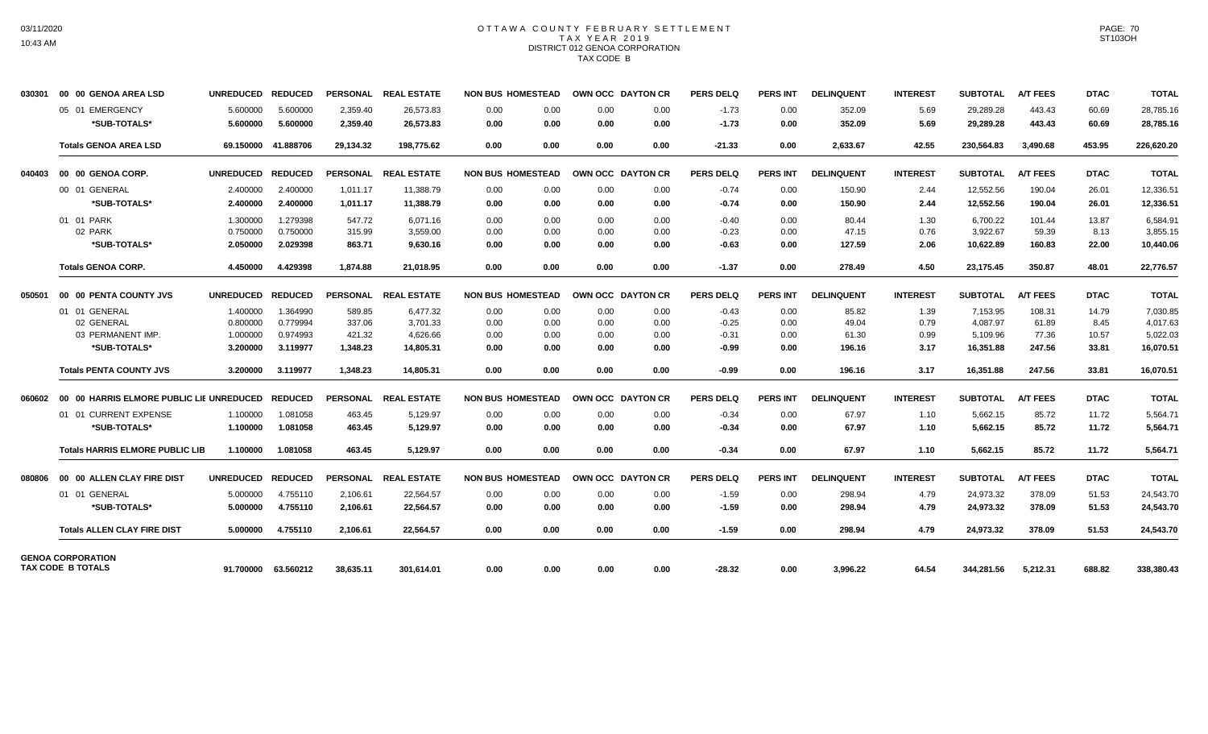## OTTAWA COUNTY FEBRUARY SETTLEMENT TAX YEAR 2019 DISTRICT 012 GENOA CORPORATION TAX CODE B

| 030301 | 00 00 GENOA AREA LSD                          | <b>UNREDUCED</b> | <b>REDUCED</b>      |           | PERSONAL REAL ESTATE | <b>NON BUS HOMESTEAD</b> |      | OWN OCC DAYTON CR | <b>PERS DELQ</b> | <b>PERS INT</b> | <b>DELINQUENT</b> | <b>INTEREST</b> | <b>SUBTOTAL</b> | <b>A/T FEES</b> | <b>DTAC</b> | <b>TOTAL</b> |
|--------|-----------------------------------------------|------------------|---------------------|-----------|----------------------|--------------------------|------|-------------------|------------------|-----------------|-------------------|-----------------|-----------------|-----------------|-------------|--------------|
|        | 05 01 EMERGENCY                               | 5.600000         | 5.600000            | 2,359.40  | 26,573.83            | 0.00<br>0.00             | 0.00 | 0.00              | $-1.73$          | 0.00            | 352.09            | 5.69            | 29,289.28       | 443.43          | 60.69       | 28,785.16    |
|        | *SUB-TOTALS*                                  | 5.600000         | 5.600000            | 2,359.40  | 26,573.83            | 0.00<br>0.00             | 0.00 | 0.00              | $-1.73$          | 0.00            | 352.09            | 5.69            | 29,289.28       | 443.43          | 60.69       | 28,785.16    |
|        | <b>Totals GENOA AREA LSD</b>                  |                  | 69.150000 41.888706 | 29,134.32 | 198,775.62           | 0.00<br>0.00             | 0.00 | 0.00              | $-21.33$         | 0.00            | 2,633.67          | 42.55           | 230,564.83      | 3,490.68        | 453.95      | 226,620.20   |
| 040403 | 00 00 GENOA CORP.                             | <b>UNREDUCED</b> | <b>REDUCED</b>      |           | PERSONAL REAL ESTATE | <b>NON BUS HOMESTEAD</b> |      | OWN OCC DAYTON CR | <b>PERS DELQ</b> | <b>PERS INT</b> | <b>DELINQUENT</b> | <b>INTEREST</b> | <b>SUBTOTAL</b> | <b>A/T FEES</b> | <b>DTAC</b> | <b>TOTAL</b> |
|        | 00 01 GENERAL                                 | 2.400000         | 2.400000            | 1.011.17  | 11.388.79            | 0.00<br>0.00             | 0.00 | 0.00              | $-0.74$          | 0.00            | 150.90            | 2.44            | 12,552.56       | 190.04          | 26.01       | 12,336.51    |
|        | *SUB-TOTALS*                                  | 2.400000         | 2.400000            | 1.011.17  | 11,388.79            | 0.00<br>0.00             | 0.00 | 0.00              | $-0.74$          | 0.00            | 150.90            | 2.44            | 12,552.56       | 190.04          | 26.01       | 12,336.51    |
|        | 01 01 PARK                                    | 1.300000         | 1.279398            | 547.72    | 6,071.16             | 0.00<br>0.00             | 0.00 | 0.00              | $-0.40$          | 0.00            | 80.44             | 1.30            | 6,700.22        | 101.44          | 13.87       | 6,584.91     |
|        | 02 PARK                                       | 0.750000         | 0.750000            | 315.99    | 3,559.00             | 0.00<br>0.00             | 0.00 | 0.00              | $-0.23$          | 0.00            | 47.15             | 0.76            | 3,922.67        | 59.39           | 8.13        | 3,855.15     |
|        | *SUB-TOTALS*                                  | 2.050000         | 2.029398            | 863.71    | 9,630.16             | 0.00<br>0.00             | 0.00 | 0.00              | $-0.63$          | 0.00            | 127.59            | 2.06            | 10,622.89       | 160.83          | 22.00       | 10,440.06    |
|        | <b>Totals GENOA CORP.</b>                     | 4.450000         | 4.429398            | 1.874.88  | 21.018.95            | 0.00<br>0.00             | 0.00 | 0.00              | $-1.37$          | 0.00            | 278.49            | 4.50            | 23.175.45       | 350.87          | 48.01       | 22,776.57    |
| 050501 | 00 00 PENTA COUNTY JVS                        | <b>UNREDUCED</b> | <b>REDUCED</b>      |           | PERSONAL REAL ESTATE | <b>NON BUS HOMESTEAD</b> |      | OWN OCC DAYTON CR | <b>PERS DELQ</b> | <b>PERS INT</b> | <b>DELINQUENT</b> | <b>INTEREST</b> | <b>SUBTOTAL</b> | <b>A/T FEES</b> | <b>DTAC</b> | <b>TOTAL</b> |
|        | 01 01 GENERAL                                 | 1.400000         | 1.364990            | 589.85    | 6,477.32             | 0.00<br>0.00             | 0.00 | 0.00              | $-0.43$          | 0.00            | 85.82             | 1.39            | 7,153.95        | 108.31          | 14.79       | 7,030.85     |
|        | 02 GENERAL                                    | 0.800000         | 0.779994            | 337.06    | 3,701.33             | 0.00<br>0.00             | 0.00 | 0.00              | $-0.25$          | 0.00            | 49.04             | 0.79            | 4,087.97        | 61.89           | 8.45        | 4.017.63     |
|        | 03 PERMANENT IMP.                             | 1.000000         | 0.974993            | 421.32    | 4,626.66             | 0.00<br>0.00             | 0.00 | 0.00              | $-0.31$          | 0.00            | 61.30             | 0.99            | 5,109.96        | 77.36           | 10.57       | 5,022.03     |
|        | *SUB-TOTALS*                                  | 3.200000         | 3.119977            | 1,348.23  | 14,805.31            | 0.00<br>0.00             | 0.00 | 0.00              | $-0.99$          | 0.00            | 196.16            | 3.17            | 16,351.88       | 247.56          | 33.81       | 16,070.51    |
|        | <b>Totals PENTA COUNTY JVS</b>                | 3.200000         | 3.119977            | 1,348.23  | 14.805.31            | 0.00<br>0.00             | 0.00 | 0.00              | -0.99            | 0.00            | 196.16            | 3.17            | 16,351.88       | 247.56          | 33.81       | 16,070.51    |
| 060602 | 00 00 HARRIS ELMORE PUBLIC LIE UNREDUCED      |                  | <b>REDUCED</b>      |           | PERSONAL REAL ESTATE | <b>NON BUS HOMESTEAD</b> |      | OWN OCC DAYTON CR | <b>PERS DELQ</b> | <b>PERS INT</b> | <b>DELINQUENT</b> | <b>INTEREST</b> | <b>SUBTOTAL</b> | <b>A/T FEES</b> | <b>DTAC</b> | <b>TOTAL</b> |
|        | 01 01 CURRENT EXPENSE                         | 1.100000         | 1.081058            | 463.45    | 5,129.97             | 0.00<br>0.00             | 0.00 | 0.00              | $-0.34$          | 0.00            | 67.97             | 1.10            | 5,662.15        | 85.72           | 11.72       | 5,564.71     |
|        | *SUB-TOTALS*                                  | 1.100000         | 1.081058            | 463.45    | 5,129.97             | 0.00<br>0.00             | 0.00 | 0.00              | $-0.34$          | 0.00            | 67.97             | 1.10            | 5,662.15        | 85.72           | 11.72       | 5,564.71     |
|        | <b>Totals HARRIS ELMORE PUBLIC LIB</b>        | 1.100000         | 1.081058            | 463.45    | 5,129.97             | 0.00<br>0.00             | 0.00 | 0.00              | $-0.34$          | 0.00            | 67.97             | 1.10            | 5,662.15        | 85.72           | 11.72       | 5,564.71     |
| 080806 | 00 00 ALLEN CLAY FIRE DIST                    | <b>UNREDUCED</b> | <b>REDUCED</b>      |           | PERSONAL REAL ESTATE | <b>NON BUS HOMESTEAD</b> |      | OWN OCC DAYTON CR | PERS DELO        | <b>PERS INT</b> | <b>DELINQUENT</b> | <b>INTEREST</b> | <b>SUBTOTAL</b> | <b>A/T FEES</b> | <b>DTAC</b> | <b>TOTAL</b> |
|        | 01 01 GENERAL                                 | 5.000000         | 4.755110            | 2,106.61  | 22,564.57            | 0.00<br>0.00             | 0.00 | 0.00              | $-1.59$          | 0.00            | 298.94            | 4.79            | 24,973.32       | 378.09          | 51.53       | 24,543.70    |
|        | *SUB-TOTALS*                                  | 5.000000         | 4.755110            | 2,106.61  | 22,564.57            | 0.00<br>0.00             | 0.00 | 0.00              | $-1.59$          | 0.00            | 298.94            | 4.79            | 24,973.32       | 378.09          | 51.53       | 24,543.70    |
|        | <b>Totals ALLEN CLAY FIRE DIST</b>            | 5.000000         | 4.755110            | 2,106.61  | 22,564.57            | 0.00<br>0.00             | 0.00 | 0.00              | $-1.59$          | 0.00            | 298.94            | 4.79            | 24,973.32       | 378.09          | 51.53       | 24,543.70    |
|        | <b>GENOA CORPORATION</b><br>TAX CODE B TOTALS | 91.700000        | 63.560212           | 38,635.11 | 301.614.01           | 0.00<br>0.00             | 0.00 | 0.00              | $-28.32$         | 0.00            | 3,996.22          | 64.54           | 344.281.56      | 5,212.31        | 688.82      | 338,380.43   |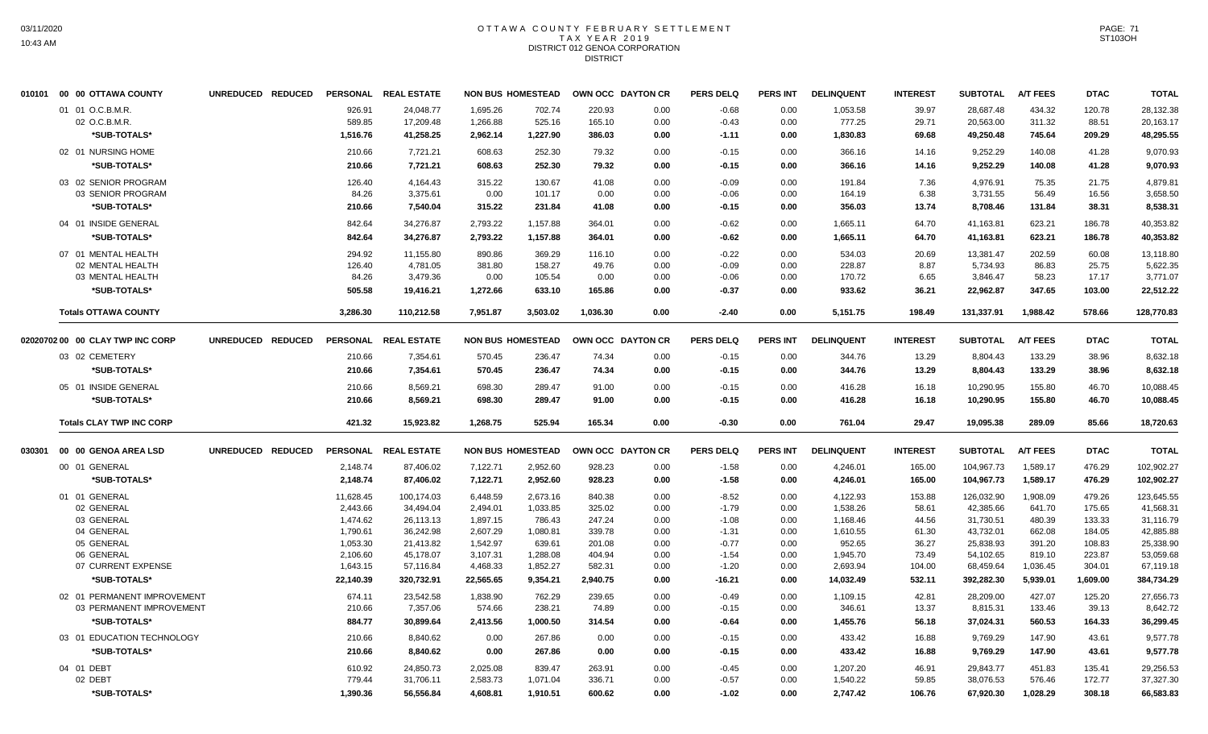#### OTTAWA COUNTY FEBRUARY SETTLEMENT T A X Y E A R 2 0 1 9 DISTRICT 012 GENOA CORPORATION **DISTRICT**

|        | 010101 00 00 OTTAWA COUNTY       | UNREDUCED REDUCED |                    | PERSONAL REAL ESTATE   | <b>NON BUS HOMESTEAD</b> |                      |                  | OWN OCC DAYTON CR | <b>PERS DELQ</b>   | PERS INT        | <b>DELINQUENT</b>    | <b>INTEREST</b> | <b>SUBTOTAL</b>        | <b>A/T FEES</b>    | <b>DTAC</b>      | <b>TOTAL</b>           |
|--------|----------------------------------|-------------------|--------------------|------------------------|--------------------------|----------------------|------------------|-------------------|--------------------|-----------------|----------------------|-----------------|------------------------|--------------------|------------------|------------------------|
|        | 01 01 O.C.B.M.R.                 |                   | 926.91             | 24,048.77              | 1,695.26                 | 702.74               | 220.93           | 0.00              | $-0.68$            | 0.00            | 1,053.58             | 39.97           | 28,687.48              | 434.32             | 120.78           | 28,132.38              |
|        | 02 O.C.B.M.R.                    |                   | 589.85             | 17,209.48              | 1,266.88                 | 525.16               | 165.10           | 0.00              | $-0.43$            | 0.00            | 777.25               | 29.71           | 20,563.00              | 311.32             | 88.51            | 20,163.17              |
|        | *SUB-TOTALS*                     |                   | 1,516.76           | 41,258.25              | 2,962.14                 | 1,227.90             | 386.03           | 0.00              | $-1.11$            | 0.00            | 1,830.83             | 69.68           | 49,250.48              | 745.64             | 209.29           | 48,295.55              |
|        | 02 01 NURSING HOME               |                   | 210.66             | 7,721.21               | 608.63                   | 252.30               | 79.32            | 0.00              | $-0.15$            | 0.00            | 366.16               | 14.16           | 9,252.29               | 140.08             | 41.28            | 9,070.93               |
|        | *SUB-TOTALS*                     |                   | 210.66             | 7,721.21               | 608.63                   | 252.30               | 79.32            | 0.00              | $-0.15$            | 0.00            | 366.16               | 14.16           | 9.252.29               | 140.08             | 41.28            | 9,070.93               |
|        | 03 02 SENIOR PROGRAM             |                   | 126.40             | 4,164.43               | 315.22                   | 130.67               | 41.08            | 0.00              | $-0.09$            | 0.00            | 191.84               | 7.36            | 4,976.91               | 75.35              | 21.75            | 4,879.81               |
|        | 03 SENIOR PROGRAM                |                   | 84.26              | 3.375.61               | 0.00                     | 101.17               | 0.00             | 0.00              | $-0.06$            | 0.00            | 164.19               | 6.38            | 3,731.55               | 56.49              | 16.56            | 3,658.50               |
|        | *SUB-TOTALS*                     |                   | 210.66             | 7,540.04               | 315.22                   | 231.84               | 41.08            | 0.00              | $-0.15$            | 0.00            | 356.03               | 13.74           | 8,708.46               | 131.84             | 38.31            | 8,538.31               |
|        | 04 01 INSIDE GENERAL             |                   | 842.64             | 34,276.87              | 2,793.22                 | 1,157.88             | 364.01           | 0.00              | $-0.62$            | 0.00            | 1,665.11             | 64.70           | 41,163.81              | 623.21             | 186.78           | 40,353.82              |
|        | *SUB-TOTALS*                     |                   | 842.64             | 34,276.87              | 2,793.22                 | 1,157.88             | 364.01           | 0.00              | $-0.62$            | 0.00            | 1,665.11             | 64.70           | 41,163.81              | 623.21             | 186.78           | 40,353.82              |
|        | 07 01 MENTAL HEALTH              |                   | 294.92             | 11,155.80              | 890.86                   | 369.29               | 116.10           | 0.00              | $-0.22$            | 0.00            | 534.03               | 20.69           | 13,381.47              | 202.59             | 60.08            | 13,118.80              |
|        | 02 MENTAL HEALTH                 |                   | 126.40             | 4,781.05               | 381.80                   | 158.27               | 49.76            | 0.00              | $-0.09$            | 0.00            | 228.87               | 8.87            | 5,734.93               | 86.83              | 25.75            | 5,622.35               |
|        | 03 MENTAL HEALTH                 |                   | 84.26              | 3,479.36               | 0.00                     | 105.54               | 0.00             | 0.00              | $-0.06$            | 0.00            | 170.72               | 6.65            | 3,846.47               | 58.23              | 17.17            | 3,771.07               |
|        | *SUB-TOTALS*                     |                   | 505.58             | 19,416.21              | 1,272.66                 | 633.10               | 165.86           | 0.00              | -0.37              | 0.00            | 933.62               | 36.21           | 22,962.87              | 347.65             | 103.00           | 22,512.22              |
|        | <b>Totals OTTAWA COUNTY</b>      |                   | 3,286.30           | 110,212.58             | 7,951.87                 | 3,503.02             | 1,036.30         | 0.00              | $-2.40$            | 0.00            | 5,151.75             | 198.49          | 131,337.91             | 1.988.42           | 578.66           | 128,770.83             |
|        | 02020702 00 00 CLAY TWP INC CORP | UNREDUCED REDUCED |                    | PERSONAL REAL ESTATE   | <b>NON BUS HOMESTEAD</b> |                      |                  | OWN OCC DAYTON CR | <b>PERS DELQ</b>   | <b>PERS INT</b> | <b>DELINQUENT</b>    | <b>INTEREST</b> | <b>SUBTOTAL</b>        | <b>A/T FEES</b>    | <b>DTAC</b>      | <b>TOTAL</b>           |
|        | 03 02 CEMETERY                   |                   | 210.66             | 7,354.61               | 570.45                   | 236.47               | 74.34            | 0.00              | $-0.15$            | 0.00            | 344.76               | 13.29           | 8,804.43               | 133.29             | 38.96            | 8,632.18               |
|        | *SUB-TOTALS*                     |                   | 210.66             | 7,354.61               | 570.45                   | 236.47               | 74.34            | 0.00              | $-0.15$            | 0.00            | 344.76               | 13.29           | 8,804.43               | 133.29             | 38.96            | 8,632.18               |
|        | 05 01 INSIDE GENERAL             |                   | 210.66             | 8.569.21               | 698.30                   | 289.47               | 91.00            | 0.00              | $-0.15$            | 0.00            | 416.28               | 16.18           | 10,290.95              | 155.80             | 46.70            | 10,088.45              |
|        |                                  |                   |                    |                        |                          |                      |                  |                   |                    |                 |                      |                 |                        |                    |                  |                        |
|        |                                  |                   |                    |                        |                          |                      |                  |                   |                    |                 |                      |                 |                        |                    |                  |                        |
|        | *SUB-TOTALS*                     |                   | 210.66             | 8,569.21               | 698.30                   | 289.47               | 91.00            | 0.00              | $-0.15$            | 0.00            | 416.28               | 16.18           | 10,290.95              | 155.80             | 46.70            | 10.088.45              |
|        | <b>Totals CLAY TWP INC CORP</b>  |                   | 421.32             | 15.923.82              | 1.268.75                 | 525.94               | 165.34           | 0.00              | $-0.30$            | 0.00            | 761.04               | 29.47           | 19.095.38              | 289.09             | 85.66            | 18,720.63              |
| 030301 | 00 00 GENOA AREA LSD             | UNREDUCED REDUCED |                    | PERSONAL REAL ESTATE   | <b>NON BUS HOMESTEAD</b> |                      |                  | OWN OCC DAYTON CR | <b>PERS DELQ</b>   | <b>PERS INT</b> | <b>DELINQUENT</b>    | <b>INTEREST</b> | <b>SUBTOTAL</b>        | <b>A/T FEES</b>    | <b>DTAC</b>      | <b>TOTAL</b>           |
|        | 00 01 GENERAL                    |                   | 2,148.74           | 87,406.02              | 7,122.71                 | 2,952.60             | 928.23           | 0.00              | $-1.58$            | 0.00            | 4,246.01             | 165.00          | 104,967.73             | 1,589.17           | 476.29           | 102,902.27             |
|        | *SUB-TOTALS*                     |                   | 2,148.74           | 87,406.02              | 7,122.71                 | 2,952.60             | 928.23           | 0.00              | $-1.58$            | 0.00            | 4,246.01             | 165.00          | 104,967.73             | 1,589.17           | 476.29           | 102,902.27             |
|        | 01 01 GENERAL                    |                   | 11,628.45          | 100,174.03             | 6,448.59                 | 2,673.16             | 840.38           | 0.00              | $-8.52$            | 0.00            | 4,122.93             | 153.88          | 126,032.90             | 1,908.09           | 479.26           | 123,645.55             |
|        | 02 GENERAL                       |                   | 2,443.66           | 34,494.04              | 2,494.01                 | 1,033.85             | 325.02           | 0.00              | $-1.79$            | 0.00            | 1,538.26             | 58.61           | 42,385.66              | 641.70             | 175.65           | 41,568.31              |
|        | 03 GENERAL                       |                   | 1,474.62           | 26,113.13              | 1,897.15                 | 786.43               | 247.24           | 0.00              | $-1.08$            | 0.00            | 1,168.46             | 44.56           | 31,730.51              | 480.39             | 133.33           | 31,116.79              |
|        | 04 GENERAL                       |                   | 1,790.61           | 36,242.98              | 2,607.29                 | 1,080.81             | 339.78           | 0.00              | $-1.31$            | 0.00            | 1,610.55             | 61.30           | 43,732.01              | 662.08             | 184.05           | 42,885.88              |
|        | 05 GENERAL                       |                   | 1,053.30           | 21,413.82              | 1,542.97                 | 639.61               | 201.08           | 0.00              | $-0.77$            | 0.00            | 952.65               | 36.27           | 25,838.93              | 391.20             | 108.83           | 25,338.90              |
|        | 06 GENERAL                       |                   | 2,106.60           | 45,178.07              | 3,107.31                 | 1,288.08             | 404.94           | 0.00              | $-1.54$            | 0.00            | 1,945.70             | 73.49           | 54,102.65              | 819.10             | 223.87           | 53,059.68              |
|        | 07 CURRENT EXPENSE               |                   | 1,643.15           | 57,116.84              | 4,468.33                 | 1,852.27             | 582.31           | 0.00              | $-1.20$            | 0.00            | 2,693.94             | 104.00          | 68,459.64              | 1,036.45           | 304.01           | 67,119.18              |
|        | *SUB-TOTALS*                     |                   | 22,140.39          | 320,732.91             | 22,565.65                | 9,354.21             | 2,940.75         | 0.00              | $-16.21$           | 0.00            | 14,032.49            | 532.11          | 392,282.30             | 5,939.01           | 1,609.00         | 384,734.29             |
|        | 02 01 PERMANENT IMPROVEMENT      |                   | 674.11             | 23,542.58              | 1,838.90                 | 762.29               | 239.65           | 0.00              | $-0.49$            | 0.00            | 1,109.15             | 42.81           | 28,209.00              | 427.07             | 125.20           | 27,656.73              |
|        | 03 PERMANENT IMPROVEMENT         |                   | 210.66             | 7,357.06               | 574.66                   | 238.21               | 74.89            | 0.00              | $-0.15$            | 0.00            | 346.61               | 13.37           | 8,815.31               | 133.46             | 39.13            | 8,642.72               |
|        | *SUB-TOTALS*                     |                   | 884.77             | 30,899.64              | 2,413.56                 | 1,000.50             | 314.54           | 0.00              | $-0.64$            | 0.00            | 1,455.76             | 56.18           | 37,024.31              | 560.53             | 164.33           | 36,299.45              |
|        | 03 01 EDUCATION TECHNOLOGY       |                   | 210.66             | 8,840.62               | 0.00                     | 267.86               | 0.00             | 0.00              | $-0.15$            | 0.00            | 433.42               | 16.88           | 9,769.29               | 147.90             | 43.61            | 9,577.78               |
|        | *SUB-TOTALS*                     |                   | 210.66             | 8,840.62               | 0.00                     | 267.86               | 0.00             | 0.00              | $-0.15$            | 0.00            | 433.42               | 16.88           | 9,769.29               | 147.90             | 43.61            | 9,577.78               |
|        | 04 01 DEBT                       |                   | 610.92             | 24.850.73              | 2.025.08                 | 839.47               | 263.91           | 0.00              | $-0.45$            | 0.00            | 1.207.20             | 46.91           | 29.843.77              | 451.83             | 135.41           | 29.256.53              |
|        | 02 DEBT<br>*SUB-TOTALS*          |                   | 779.44<br>1.390.36 | 31,706.11<br>56.556.84 | 2,583.73<br>4.608.81     | 1,071.04<br>1.910.51 | 336.71<br>600.62 | 0.00<br>0.00      | $-0.57$<br>$-1.02$ | 0.00<br>0.00    | 1,540.22<br>2.747.42 | 59.85<br>106.76 | 38,076.53<br>67.920.30 | 576.46<br>1.028.29 | 172.77<br>308.18 | 37,327.30<br>66.583.83 |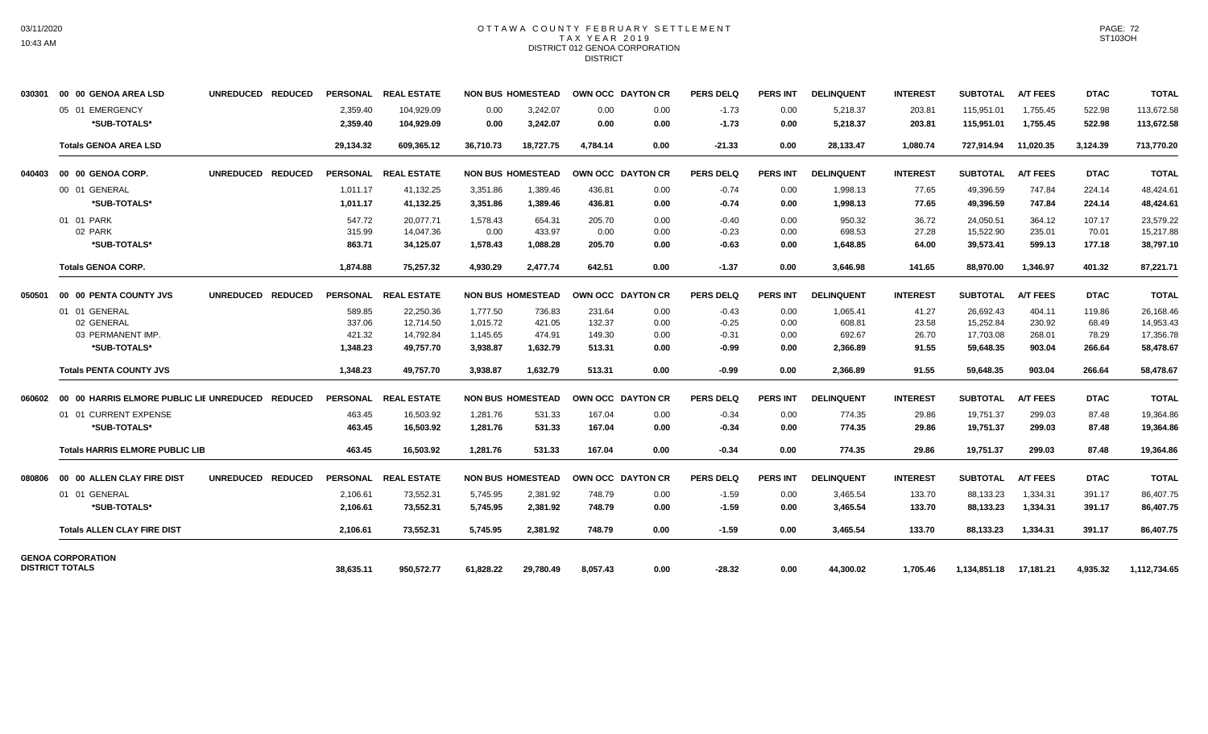### OTTAWA COUNTY FEBRUARY SETTLEMENT TAX YEAR 2019 DISTRICT 012 GENOA CORPORATION **DISTRICT**

| 030301 | 00 00 GENOA AREA LSD                                             | <b>UNREDUCED</b><br><b>REDUCED</b> | <b>PERSONAL</b>                        | <b>REAL ESTATE</b>                               |                                              | <b>NON BUS HOMESTEAD</b>               |                                      | <b>OWN OCC DAYTON CR</b>     | <b>PERS DELQ</b>                         | <b>PERS INT</b>              | <b>DELINQUENT</b>                        | <b>INTEREST</b>                  | <b>SUBTOTAL</b>                                  | <b>A/T FEES</b>                      | <b>DTAC</b>                        | <b>TOTAL</b>                                     |
|--------|------------------------------------------------------------------|------------------------------------|----------------------------------------|--------------------------------------------------|----------------------------------------------|----------------------------------------|--------------------------------------|------------------------------|------------------------------------------|------------------------------|------------------------------------------|----------------------------------|--------------------------------------------------|--------------------------------------|------------------------------------|--------------------------------------------------|
|        | 05 01 EMERGENCY<br>*SUB-TOTALS*                                  |                                    | 2,359.40<br>2,359.40                   | 104,929.09<br>104,929.09                         | 0.00<br>0.00                                 | 3,242.07<br>3,242.07                   | 0.00<br>0.00                         | 0.00<br>0.00                 | $-1.73$<br>$-1.73$                       | 0.00<br>0.00                 | 5,218.37<br>5,218.37                     | 203.81<br>203.81                 | 115,951.01<br>115,951.01                         | 1,755.45<br>1,755.45                 | 522.98<br>522.98                   | 113,672.58<br>113,672.58                         |
|        | <b>Totals GENOA AREA LSD</b>                                     |                                    | 29,134.32                              | 609.365.12                                       | 36.710.73                                    | 18.727.75                              | 4.784.14                             | 0.00                         | $-21.33$                                 | 0.00                         | 28,133.47                                | 1.080.74                         | 727.914.94                                       | 11.020.35                            | 3.124.39                           | 713,770.20                                       |
| 040403 | 00 00 GENOA CORP.                                                | <b>UNREDUCED</b><br><b>REDUCED</b> | <b>PERSONAL</b>                        | <b>REAL ESTATE</b>                               |                                              | <b>NON BUS HOMESTEAD</b>               |                                      | OWN OCC DAYTON CR            | <b>PERS DELQ</b>                         | <b>PERS INT</b>              | <b>DELINQUENT</b>                        | <b>INTEREST</b>                  | <b>SUBTOTAL</b>                                  | <b>A/T FEES</b>                      | <b>DTAC</b>                        | <b>TOTAL</b>                                     |
|        | 00 01 GENERAL<br>*SUB-TOTALS*                                    |                                    | 1,011.17<br>1,011.17                   | 41,132.25<br>41,132.25                           | 3,351.86<br>3,351.86                         | 1,389.46<br>1,389.46                   | 436.81<br>436.81                     | 0.00<br>0.00                 | $-0.74$<br>$-0.74$                       | 0.00<br>0.00                 | 1,998.13<br>1,998.13                     | 77.65<br>77.65                   | 49,396.59<br>49,396.59                           | 747.84<br>747.84                     | 224.14<br>224.14                   | 48,424.61<br>48,424.61                           |
|        | 01 01 PARK<br>02 PARK<br>*SUB-TOTALS*                            |                                    | 547.72<br>315.99<br>863.71             | 20.077.71<br>14,047.36<br>34,125.07              | 1.578.43<br>0.00<br>1,578.43                 | 654.31<br>433.97<br>1,088.28           | 205.70<br>0.00<br>205.70             | 0.00<br>0.00<br>0.00         | $-0.40$<br>$-0.23$<br>$-0.63$            | 0.00<br>0.00<br>0.00         | 950.32<br>698.53<br>1,648.85             | 36.72<br>27.28<br>64.00          | 24.050.51<br>15,522.90<br>39,573.41              | 364.12<br>235.01<br>599.13           | 107.17<br>70.01<br>177.18          | 23.579.22<br>15,217.88<br>38,797.10              |
|        | <b>Totals GENOA CORP.</b>                                        |                                    | 1,874.88                               | 75,257.32                                        | 4,930.29                                     | 2,477.74                               | 642.51                               | 0.00                         | $-1.37$                                  | 0.00                         | 3,646.98                                 | 141.65                           | 88,970.00                                        | 1,346.97                             | 401.32                             | 87,221.71                                        |
| 050501 | 00 00 PENTA COUNTY JVS                                           | UNREDUCED REDUCED                  | PERSONAL                               | <b>REAL ESTATE</b>                               |                                              | <b>NON BUS HOMESTEAD</b>               |                                      | OWN OCC DAYTON CR            | <b>PERS DELQ</b>                         | <b>PERS INT</b>              | <b>DELINQUENT</b>                        | <b>INTEREST</b>                  | <b>SUBTOTAL</b>                                  | <b>A/T FEES</b>                      | <b>DTAC</b>                        | <b>TOTAL</b>                                     |
|        | 01 01 GENERAL<br>02 GENERAL<br>03 PERMANENT IMP.<br>*SUB-TOTALS* |                                    | 589.85<br>337.06<br>421.32<br>1.348.23 | 22,250.36<br>12.714.50<br>14,792.84<br>49.757.70 | 1,777.50<br>1,015.72<br>1,145.65<br>3,938.87 | 736.83<br>421.05<br>474.91<br>1.632.79 | 231.64<br>132.37<br>149.30<br>513.31 | 0.00<br>0.00<br>0.00<br>0.00 | $-0.43$<br>$-0.25$<br>$-0.31$<br>$-0.99$ | 0.00<br>0.00<br>0.00<br>0.00 | 1,065.41<br>608.81<br>692.67<br>2.366.89 | 41.27<br>23.58<br>26.70<br>91.55 | 26,692.43<br>15,252.84<br>17,703.08<br>59.648.35 | 404.11<br>230.92<br>268.01<br>903.04 | 119.86<br>68.49<br>78.29<br>266.64 | 26,168.46<br>14,953.43<br>17,356.78<br>58,478.67 |
|        | <b>Totals PENTA COUNTY JVS</b>                                   |                                    | 1.348.23                               | 49.757.70                                        | 3,938.87                                     | 1,632.79                               | 513.31                               | 0.00                         | $-0.99$                                  | 0.00                         | 2.366.89                                 | 91.55                            | 59,648.35                                        | 903.04                               | 266.64                             | 58,478.67                                        |
| 060602 | 00 00 HARRIS ELMORE PUBLIC LIE UNREDUCED REDUCED                 |                                    |                                        | PERSONAL REAL ESTATE                             |                                              | <b>NON BUS HOMESTEAD</b>               |                                      | OWN OCC DAYTON CR            | <b>PERS DELQ</b>                         | <b>PERS INT</b>              | <b>DELINQUENT</b>                        | <b>INTEREST</b>                  | <b>SUBTOTAL</b>                                  | <b>A/T FEES</b>                      | <b>DTAC</b>                        | <b>TOTAL</b>                                     |
|        | 01 01 CURRENT EXPENSE<br>*SUB-TOTALS*                            |                                    | 463.45<br>463.45                       | 16,503.92<br>16,503.92                           | 1,281.76<br>1,281.76                         | 531.33<br>531.33                       | 167.04<br>167.04                     | 0.00<br>0.00                 | $-0.34$<br>$-0.34$                       | 0.00<br>0.00                 | 774.35<br>774.35                         | 29.86<br>29.86                   | 19,751.37<br>19,751.37                           | 299.03<br>299.03                     | 87.48<br>87.48                     | 19,364.86<br>19,364.86                           |
|        | <b>Totals HARRIS ELMORE PUBLIC LIB</b>                           |                                    | 463.45                                 | 16,503.92                                        | 1.281.76                                     | 531.33                                 | 167.04                               | 0.00                         | $-0.34$                                  | 0.00                         | 774.35                                   | 29.86                            | 19,751.37                                        | 299.03                               | 87.48                              | 19,364.86                                        |
| 080806 | 00 00 ALLEN CLAY FIRE DIST                                       | UNREDUCED REDUCED                  |                                        | PERSONAL REAL ESTATE                             |                                              | <b>NON BUS HOMESTEAD</b>               |                                      | <b>OWN OCC DAYTON CR</b>     | PERS DELO                                | <b>PERS INT</b>              | <b>DELINQUENT</b>                        | <b>INTEREST</b>                  | <b>SUBTOTAL</b>                                  | <b>A/T FEES</b>                      | <b>DTAC</b>                        | <b>TOTAL</b>                                     |
|        | 01 01 GENERAL<br>*SUB-TOTALS*                                    |                                    | 2.106.61<br>2,106.61                   | 73,552.31<br>73,552.31                           | 5,745.95<br>5,745.95                         | 2,381.92<br>2,381.92                   | 748.79<br>748.79                     | 0.00<br>0.00                 | $-1.59$<br>$-1.59$                       | 0.00<br>0.00                 | 3,465.54<br>3,465.54                     | 133.70<br>133.70                 | 88,133.23<br>88,133.23                           | 1,334.31<br>1,334.31                 | 391.17<br>391.17                   | 86,407.75<br>86,407.75                           |
|        | <b>Totals ALLEN CLAY FIRE DIST</b>                               |                                    | 2,106.61                               | 73,552.31                                        | 5.745.95                                     | 2.381.92                               | 748.79                               | 0.00                         | $-1.59$                                  | 0.00                         | 3.465.54                                 | 133.70                           | 88,133.23                                        | 1,334.31                             | 391.17                             | 86,407.75                                        |
|        | <b>GENOA CORPORATION</b><br><b>DISTRICT TOTALS</b>               |                                    | 38,635.11                              | 950,572.77                                       | 61,828.22                                    | 29,780.49                              | 8,057.43                             | 0.00                         | $-28.32$                                 | 0.00                         | 44,300.02                                | 1.705.46                         | 1,134,851.18                                     | 17,181.21                            | 4,935.32                           | 1,112,734.65                                     |

PAGE: 72 ST103OH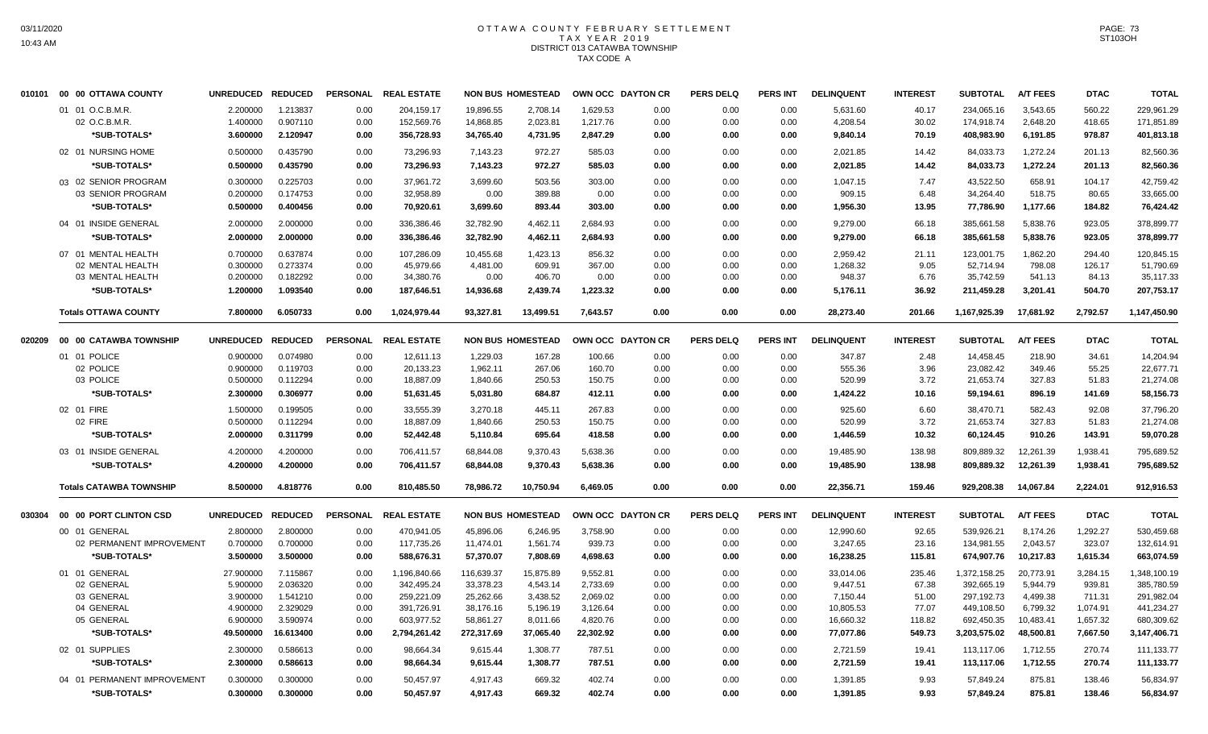## OTTAWA COUNTY FEBRUARY SETTLEMENT T A X Y E A R 2 0 1 9 DISTRICT 013 CATAWBA TOWNSHIP TAX CODE A

| 010101 | 00 00 OTTAWA COUNTY            | <b>UNREDUCED</b> | <b>REDUCED</b> | <b>PERSONAL</b> | <b>REAL ESTATE</b> |            | <b>NON BUS HOMESTEAD</b> |           | OWN OCC DAYTON CR | <b>PERS DELQ</b> | <b>PERS INT</b> | <b>DELINQUENT</b> | <b>INTEREST</b> | <b>SUBTOTAL</b> | <b>A/T FEES</b> | <b>DTAC</b> | <b>TOTAL</b> |
|--------|--------------------------------|------------------|----------------|-----------------|--------------------|------------|--------------------------|-----------|-------------------|------------------|-----------------|-------------------|-----------------|-----------------|-----------------|-------------|--------------|
|        | 01 01 O.C.B.M.R.               | 2.200000         | 1.213837       | 0.00            | 204,159.17         | 19,896.55  | 2,708.14                 | 1,629.53  | 0.00              | 0.00             | 0.00            | 5,631.60          | 40.17           | 234,065.16      | 3,543.65        | 560.22      | 229,961.29   |
|        | 02 O.C.B.M.R.                  | 1.400000         | 0.907110       | 0.00            | 152,569.76         | 14,868.85  | 2,023.81                 | 1,217.76  | 0.00              | 0.00             | 0.00            | 4,208.54          | 30.02           | 174,918.74      | 2,648.20        | 418.65      | 171,851.89   |
|        | *SUB-TOTALS*                   | 3.600000         | 2.120947       | 0.00            | 356,728.93         | 34,765.40  | 4,731.95                 | 2,847.29  | 0.00              | 0.00             | 0.00            | 9,840.14          | 70.19           | 408,983.90      | 6,191.85        | 978.87      | 401,813.18   |
|        | 02 01 NURSING HOME             | 0.500000         | 0.435790       | 0.00            | 73,296.93          | 7,143.23   | 972.27                   | 585.03    | 0.00              | 0.00             | 0.00            | 2,021.85          | 14.42           | 84,033.73       | 1,272.24        | 201.13      | 82,560.36    |
|        | *SUB-TOTALS*                   | 0.500000         | 0.435790       | 0.00            | 73,296.93          | 7,143.23   | 972.27                   | 585.03    | 0.00              | 0.00             | 0.00            | 2,021.85          | 14.42           | 84,033.73       | 1,272.24        | 201.13      | 82,560.36    |
|        | 03 02 SENIOR PROGRAM           | 0.300000         | 0.225703       | 0.00            | 37,961.72          | 3,699.60   | 503.56                   | 303.00    | 0.00              | 0.00             | 0.00            | 1,047.15          | 7.47            | 43,522.50       | 658.91          | 104.17      | 42,759.42    |
|        | 03 SENIOR PROGRAM              | 0.200000         | 0.174753       | 0.00            | 32,958.89          | 0.00       | 389.88                   | 0.00      | 0.00              | 0.00             | 0.00            | 909.15            | 6.48            | 34,264.40       | 518.75          | 80.65       | 33,665.00    |
|        | *SUB-TOTALS*                   | 0.500000         | 0.400456       | 0.00            | 70,920.61          | 3,699.60   | 893.44                   | 303.00    | 0.00              | 0.00             | 0.00            | 1,956.30          | 13.95           | 77,786.90       | 1,177.66        | 184.82      | 76,424.42    |
|        | 04 01 INSIDE GENERAL           | 2.000000         | 2.000000       | 0.00            | 336,386.46         | 32,782.90  | 4,462.11                 | 2,684.93  | 0.00              | 0.00             | 0.00            | 9,279.00          | 66.18           | 385,661.58      | 5,838.76        | 923.05      | 378,899.77   |
|        | *SUB-TOTALS*                   | 2.000000         | 2.000000       | 0.00            | 336,386.46         | 32,782.90  | 4,462.11                 | 2,684.93  | 0.00              | 0.00             | 0.00            | 9,279.00          | 66.18           | 385,661.58      | 5,838.76        | 923.05      | 378,899.77   |
|        | 07 01 MENTAL HEALTH            | 0.700000         | 0.637874       | 0.00            | 107,286.09         | 10,455.68  | 1,423.13                 | 856.32    | 0.00              | 0.00             | 0.00            | 2,959.42          | 21.11           | 123,001.75      | 1,862.20        | 294.40      | 120,845.15   |
|        | 02 MENTAL HEALTH               | 0.300000         | 0.273374       | 0.00            | 45,979.66          | 4,481.00   | 609.91                   | 367.00    | 0.00              | 0.00             | 0.00            | 1,268.32          | 9.05            | 52,714.94       | 798.08          | 126.17      | 51,790.69    |
|        | 03 MENTAL HEALTH               | 0.200000         | 0.182292       | 0.00            | 34,380.76          | 0.00       | 406.70                   | 0.00      | 0.00              | 0.00             | 0.00            | 948.37            | 6.76            | 35,742.59       | 541.13          | 84.13       | 35,117.33    |
|        | *SUB-TOTALS*                   | 1.200000         | 1.093540       | 0.00            | 187,646.51         | 14,936.68  | 2,439.74                 | 1,223.32  | 0.00              | 0.00             | 0.00            | 5,176.11          | 36.92           | 211,459.28      | 3,201.41        | 504.70      | 207,753.17   |
|        | <b>Totals OTTAWA COUNTY</b>    | 7.800000         | 6.050733       | 0.00            | 1,024,979.44       | 93,327.81  | 13,499.51                | 7,643.57  | 0.00              | 0.00             | 0.00            | 28,273.40         | 201.66          | 1,167,925.39    | 17,681.92       | 2,792.57    | 1,147,450.90 |
| 020209 | 00 00 CATAWBA TOWNSHIP         | <b>UNREDUCED</b> | <b>REDUCED</b> | <b>PERSONAL</b> | <b>REAL ESTATE</b> |            | <b>NON BUS HOMESTEAD</b> |           | OWN OCC DAYTON CR | <b>PERS DELQ</b> | <b>PERS INT</b> | <b>DELINQUENT</b> | <b>INTEREST</b> | <b>SUBTOTAL</b> | <b>A/T FEES</b> | <b>DTAC</b> | <b>TOTAL</b> |
|        | 01 01 POLICE                   | 0.900000         | 0.074980       | 0.00            | 12,611.13          | 1,229.03   | 167.28                   | 100.66    | 0.00              | 0.00             | 0.00            | 347.87            | 2.48            | 14,458.45       | 218.90          | 34.61       | 14,204.94    |
|        | 02 POLICE                      | 0.900000         | 0.119703       | 0.00            | 20,133.23          | 1,962.11   | 267.06                   | 160.70    | 0.00              | 0.00             | 0.00            | 555.36            | 3.96            | 23,082.42       | 349.46          | 55.25       | 22,677.71    |
|        | 03 POLICE                      | 0.500000         | 0.112294       | 0.00            | 18,887.09          | 1,840.66   | 250.53                   | 150.75    | 0.00              | 0.00             | 0.00            | 520.99            | 3.72            | 21,653.74       | 327.83          | 51.83       | 21,274.08    |
|        | *SUB-TOTALS*                   | 2.300000         | 0.306977       | 0.00            | 51,631.45          | 5,031.80   | 684.87                   | 412.11    | 0.00              | 0.00             | 0.00            | 1,424.22          | 10.16           | 59,194.61       | 896.19          | 141.69      | 58,156.73    |
|        | 02 01 FIRE                     | 1.500000         | 0.199505       | 0.00            | 33,555.39          | 3,270.18   | 445.11                   | 267.83    | 0.00              | 0.00             | 0.00            | 925.60            | 6.60            | 38,470.71       | 582.43          | 92.08       | 37,796.20    |
|        | 02 FIRE                        | 0.500000         | 0.112294       | 0.00            | 18,887.09          | 1,840.66   | 250.53                   | 150.75    | 0.00              | 0.00             | 0.00            | 520.99            | 3.72            | 21,653.74       | 327.83          | 51.83       | 21,274.08    |
|        | *SUB-TOTALS*                   | 2.000000         | 0.311799       | 0.00            | 52,442.48          | 5,110.84   | 695.64                   | 418.58    | 0.00              | 0.00             | 0.00            | 1,446.59          | 10.32           | 60,124.45       | 910.26          | 143.91      | 59,070.28    |
|        | 03 01 INSIDE GENERAL           | 4.200000         | 4.200000       | 0.00            | 706,411.57         | 68,844.08  | 9,370.43                 | 5,638.36  | 0.00              | 0.00             | 0.00            | 19,485.90         | 138.98          | 809,889.32      | 12,261.39       | 1,938.41    | 795,689.52   |
|        | *SUB-TOTALS*                   | 4.200000         | 4.200000       | 0.00            | 706,411.57         | 68,844.08  | 9,370.43                 | 5,638.36  | 0.00              | 0.00             | 0.00            | 19,485.90         | 138.98          | 809,889.32      | 12,261.39       | 1,938.41    | 795,689.52   |
|        | <b>Totals CATAWBA TOWNSHIP</b> | 8.500000         | 4.818776       | 0.00            | 810.485.50         | 78,986.72  | 10,750.94                | 6,469.05  | 0.00              | 0.00             | 0.00            | 22,356.71         | 159.46          | 929.208.38      | 14,067.84       | 2,224.01    | 912,916.53   |
| 030304 | 00 00 PORT CLINTON CSD         | <b>UNREDUCED</b> | <b>REDUCED</b> | <b>PERSONAL</b> | <b>REAL ESTATE</b> |            | <b>NON BUS HOMESTEAD</b> |           | OWN OCC DAYTON CR | <b>PERS DELQ</b> | <b>PERS INT</b> | <b>DELINQUENT</b> | <b>INTEREST</b> | <b>SUBTOTAL</b> | <b>A/T FEES</b> | <b>DTAC</b> | <b>TOTAL</b> |
|        | 00 01 GENERAL                  | 2.800000         | 2.800000       | 0.00            | 470.941.05         | 45.896.06  | 6.246.95                 | 3,758.90  | 0.00              | 0.00             | 0.00            | 12,990.60         | 92.65           | 539.926.21      | 8,174.26        | 1,292.27    | 530,459.68   |
|        | 02 PERMANENT IMPROVEMENT       | 0.700000         | 0.700000       | 0.00            | 117,735.26         | 11,474.01  | 1,561.74                 | 939.73    | 0.00              | 0.00             | 0.00            | 3,247.65          | 23.16           | 134,981.55      | 2,043.57        | 323.07      | 132,614.91   |
|        | *SUB-TOTALS*                   | 3.500000         | 3.500000       | 0.00            | 588,676.31         | 57,370.07  | 7,808.69                 | 4,698.63  | 0.00              | 0.00             | 0.00            | 16,238.25         | 115.81          | 674,907.76      | 10,217.83       | 1,615.34    | 663,074.59   |
|        | 01 01 GENERAL                  | 27.900000        | 7.115867       | 0.00            | 1,196,840.66       | 116,639.37 | 15,875.89                | 9,552.81  | 0.00              | 0.00             | 0.00            | 33,014.06         | 235.46          | 1,372,158.25    | 20,773.91       | 3,284.15    | 1,348,100.19 |
|        | 02 GENERAL                     | 5.900000         | 2.036320       | 0.00            | 342,495.24         | 33,378.23  | 4,543.14                 | 2,733.69  | 0.00              | 0.00             | 0.00            | 9,447.51          | 67.38           | 392,665.19      | 5,944.79        | 939.81      | 385,780.59   |
|        | 03 GENERAL                     | 3.900000         | 1.541210       | 0.00            | 259,221.09         | 25,262.66  | 3,438.52                 | 2,069.02  | 0.00              | 0.00             | 0.00            | 7,150.44          | 51.00           | 297,192.73      | 4,499.38        | 711.31      | 291,982.04   |
|        | 04 GENERAL                     | 4.900000         | 2.329029       | 0.00            | 391,726.91         | 38,176.16  | 5,196.19                 | 3,126.64  | 0.00              | 0.00             | 0.00            | 10,805.53         | 77.07           | 449,108.50      | 6,799.32        | 1,074.91    | 441,234.27   |
|        | 05 GENERAL                     | 6.900000         | 3.590974       | 0.00            | 603,977.52         | 58,861.27  | 8,011.66                 | 4,820.76  | 0.00              | 0.00             | 0.00            | 16,660.32         | 118.82          | 692,450.35      | 10,483.41       | 1,657.32    | 680,309.62   |
|        | *SUB-TOTALS*                   | 49.500000        | 16.613400      | 0.00            | 2,794,261.42       | 272,317.69 | 37,065.40                | 22,302.92 | 0.00              | 0.00             | 0.00            | 77,077.86         | 549.73          | 3,203,575.02    | 48,500.81       | 7,667.50    | 3,147,406.71 |
|        | 02 01 SUPPLIES                 | 2.300000         | 0.586613       | 0.00            | 98,664.34          | 9,615.44   | 1,308.77                 | 787.51    | 0.00              | 0.00             | 0.00            | 2,721.59          | 19.41           | 113,117.06      | 1,712.55        | 270.74      | 111,133.77   |
|        | *SUB-TOTALS*                   | 2.300000         | 0.586613       | 0.00            | 98,664.34          | 9,615.44   | 1,308.77                 | 787.51    | 0.00              | 0.00             | 0.00            | 2,721.59          | 19.41           | 113,117.06      | 1,712.55        | 270.74      | 111,133.77   |
|        | 04 01 PERMANENT IMPROVEMENT    | 0.300000         | 0.300000       | 0.00            | 50,457.97          | 4,917.43   | 669.32                   | 402.74    | 0.00              | 0.00             | 0.00            | 1,391.85          | 9.93            | 57,849.24       | 875.81          | 138.46      | 56,834.97    |
|        | *SUB-TOTALS*                   | 0.300000         | 0.300000       | 0.00            | 50,457.97          | 4,917.43   | 669.32                   | 402.74    | 0.00              | 0.00             | 0.00            | 1,391.85          | 9.93            | 57,849.24       | 875.81          | 138.46      | 56,834.97    |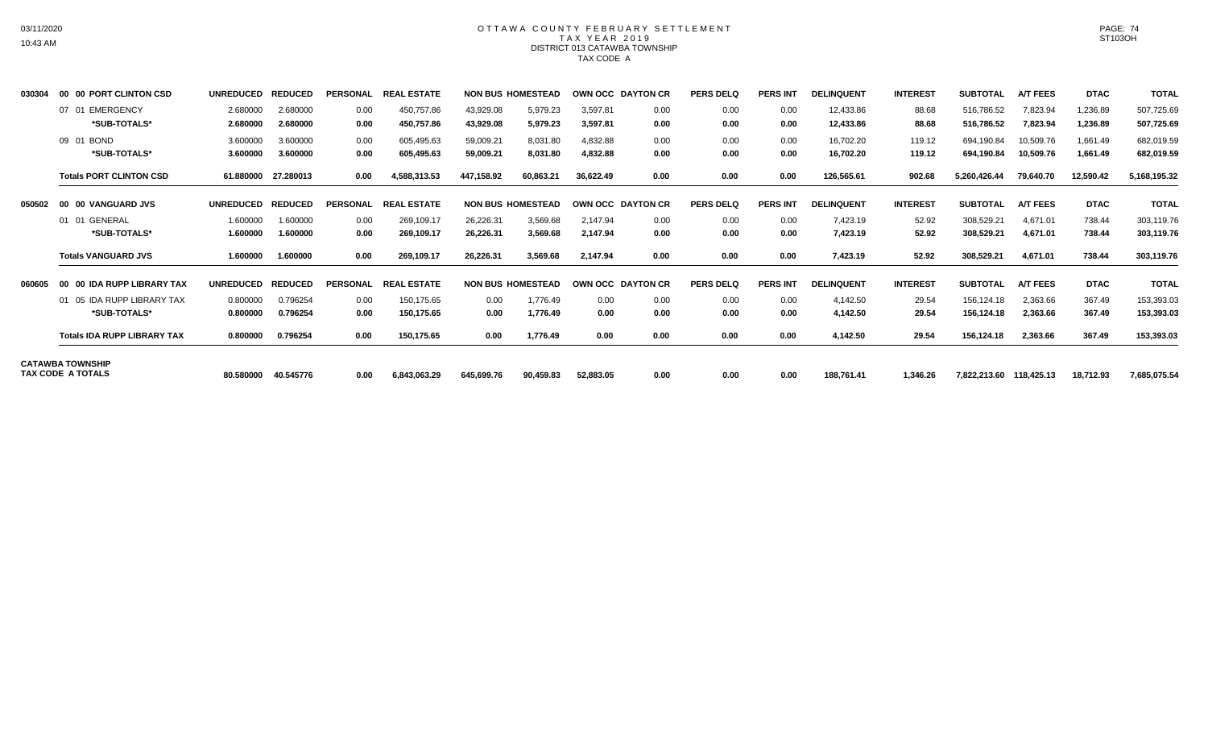# OTTAWA COUNTY FEBRUARY SETTLEMENT TAX YEAR 2019 DISTRICT 013 CATAWBA TOWNSHIP TAX CODE A

| 030304 | 00 00 PORT CLINTON CSD             | <b>UNREDUCED</b>     | <b>REDUCED</b>       | <b>PERSONAL</b> | <b>REAL ESTATE</b>       |                        | <b>NON BUS HOMESTEAD</b> | <b>OWN OCC DAYTON CR</b> |              | <b>PERS DELQ</b> | <b>PERS INT</b> | <b>DELINQUENT</b>      | <b>INTEREST</b>  | <b>SUBTOTAL</b>          | <b>A/T FEES</b>        | <b>DTAC</b>          | <b>TOTAL</b>             |
|--------|------------------------------------|----------------------|----------------------|-----------------|--------------------------|------------------------|--------------------------|--------------------------|--------------|------------------|-----------------|------------------------|------------------|--------------------------|------------------------|----------------------|--------------------------|
|        | 07 01 EMERGENCY<br>*SUB-TOTALS*    | 2.680000<br>2.680000 | 2.680000<br>2.680000 | 0.00<br>0.00    | 450,757.86<br>450,757.86 | 43.929.08<br>43,929.08 | 5,979.23<br>5,979.23     | 3.597.81<br>3,597.81     | 0.00<br>0.00 | 0.00<br>0.00     | 0.00<br>0.00    | 12,433.86<br>12,433.86 | 88.68<br>88.68   | 516,786.52<br>516,786.52 | 7,823.94<br>7,823.94   | 1,236.89<br>1,236.89 | 507,725.69<br>507,725.69 |
|        | 09 01 BOND<br>*SUB-TOTALS*         | 3.600000<br>3.600000 | 3.600000<br>3.600000 | 0.00<br>0.00    | 605,495.63<br>605,495.63 | 59.009.21<br>59,009.21 | 8,031.80<br>8,031.80     | 4.832.88<br>4.832.88     | 0.00<br>0.00 | 0.00<br>0.00     | 0.00<br>0.00    | 16.702.20<br>16,702.20 | 119.12<br>119.12 | 694.190.84<br>694,190.84 | 10.509.76<br>10,509.76 | 1.661.49<br>1,661.49 | 682,019.59<br>682,019.59 |
|        | <b>Totals PORT CLINTON CSD</b>     | 61.880000            | 27.280013            | 0.00            | 4,588,313.53             | 447,158.92             | 60,863.21                | 36.622.49                | 0.00         | 0.00             | 0.00            | 126,565.61             | 902.68           | 5.260.426.44             | 79.640.70              | 12,590.42            | 5,168,195.32             |
| 050502 | 00 00 VANGUARD JVS                 | <b>UNREDUCED</b>     | <b>REDUCED</b>       | <b>PERSONAL</b> | <b>REAL ESTATE</b>       |                        | <b>NON BUS HOMESTEAD</b> | OWN OCC DAYTON CR        |              | <b>PERS DELQ</b> | <b>PERS INT</b> | <b>DELINQUENT</b>      | <b>INTEREST</b>  | <b>SUBTOTAL</b>          | <b>A/T FEES</b>        | <b>DTAC</b>          | <b>TOTAL</b>             |
|        | 01 01 GENERAL                      | 1.600000             | 1.600000             | 0.00            | 269.109.17               | 26.226.31              | 3,569.68                 | 2.147.94                 | 0.00         | 0.00             | 0.00            | 7,423.19               | 52.92            | 308,529.21               | 4,671.01               | 738.44               | 303,119.76               |
|        | *SUB-TOTALS*                       | 1.600000             | 1.600000             | 0.00            | 269,109.17               | 26,226.31              | 3,569.68                 | 2,147.94                 | 0.00         | 0.00             | 0.00            | 7,423.19               | 52.92            | 308,529.21               | 4,671.01               | 738.44               | 303,119.76               |
|        | <b>Totals VANGUARD JVS</b>         | 1.600000             | 1.600000             | 0.00            | 269,109.17               | 26,226.31              | 3,569.68                 | 2,147.94                 | 0.00         | 0.00             | 0.00            | 7,423.19               | 52.92            | 308,529.21               | 4,671.01               | 738.44               | 303,119.76               |
| 060605 | 00 00 IDA RUPP LIBRARY TAX         | <b>UNREDUCED</b>     | <b>REDUCED</b>       | <b>PERSONAL</b> | <b>REAL ESTATE</b>       |                        | <b>NON BUS HOMESTEAD</b> | OWN OCC DAYTON CR        |              | <b>PERS DELQ</b> | <b>PERS INT</b> | <b>DELINQUENT</b>      | <b>INTEREST</b>  | <b>SUBTOTAL</b>          | <b>A/T FEES</b>        | <b>DTAC</b>          | <b>TOTAL</b>             |
|        | 01 05 IDA RUPP LIBRARY TAX         | 0.800000             | 0.796254             | 0.00            | 150,175.65               | 0.00                   | 1.776.49                 | 0.00                     | 0.00         | 0.00             | 0.00            | 4,142.50               | 29.54            | 156,124.18               | 2,363.66               | 367.49               | 153,393.03               |
|        | *SUB-TOTALS*                       | 0.800000             | 0.796254             | 0.00            | 150,175.65               | 0.00                   | 1,776.49                 | 0.00                     | 0.00         | 0.00             | 0.00            | 4,142.50               | 29.54            | 156,124.18               | 2,363.66               | 367.49               | 153,393.03               |
|        | <b>Totals IDA RUPP LIBRARY TAX</b> | 0.800000             | 0.796254             | 0.00            | 150,175.65               | 0.00                   | 1,776.49                 | 0.00                     | 0.00         | 0.00             | 0.00            | 4,142.50               | 29.54            | 156,124.18               | 2,363.66               | 367.49               | 153,393.03               |
|        | <b>CATAWBA TOWNSHIP</b>            |                      |                      |                 |                          |                        |                          |                          |              |                  |                 |                        |                  |                          |                        |                      |                          |
|        | TAX CODE A TOTALS                  | 80.580000            | 40.545776            | 0.00            | 6,843,063.29             | 645,699.76             | 90,459.83                | 52,883.05                | 0.00         | 0.00             | 0.00            | 188,761.41             | 1,346.26         | 7,822,213.60             | 118,425.13             | 18,712.93            | 7,685,075.54             |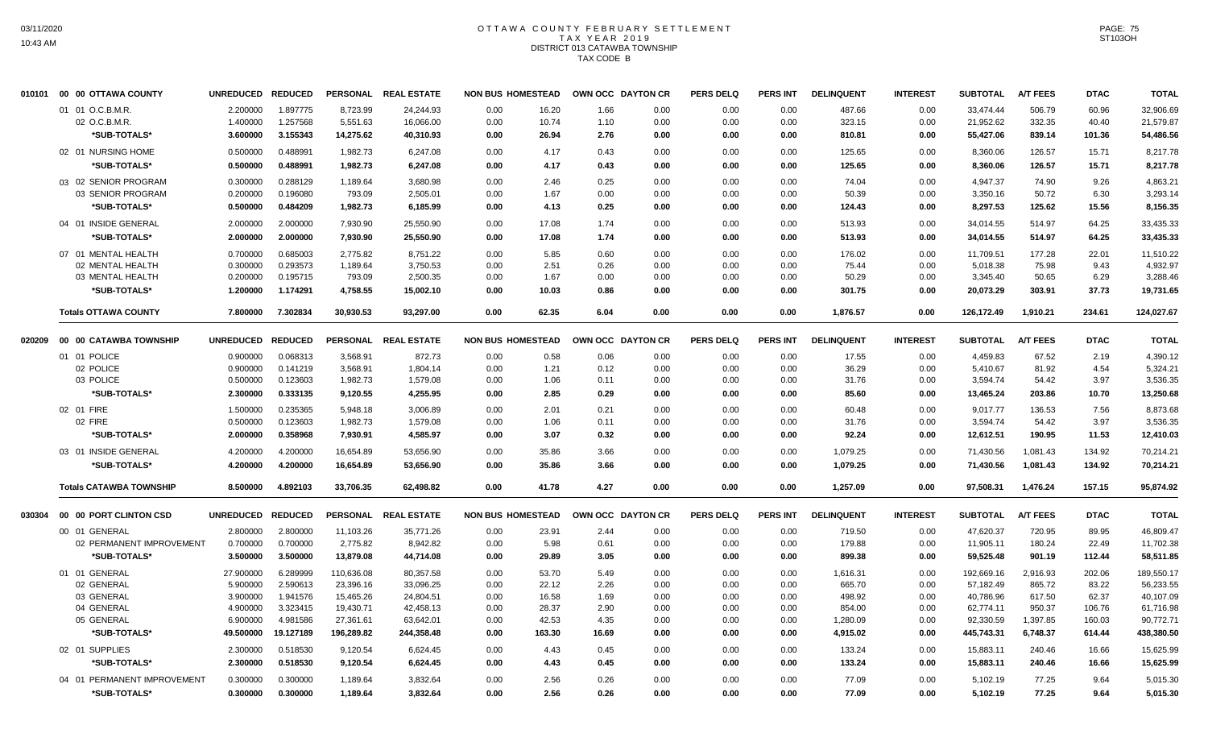## OTTAWA COUNTY FEBRUARY SETTLEMENT T A X Y E A R 2 0 1 9 DISTRICT 013 CATAWBA TOWNSHIP TAX CODE B

|        | 010101 00 00 OTTAWA COUNTY     | <b>UNREDUCED</b> | <b>REDUCED</b> |            | PERSONAL REAL ESTATE | <b>NON BUS HOMESTEAD</b> |        |       | OWN OCC DAYTON CR | <b>PERS DELQ</b> | <b>PERS INT</b> | <b>DELINQUENT</b> | <b>INTEREST</b> | <b>SUBTOTAL</b> | <b>A/T FEES</b> | <b>DTAC</b> | <b>TOTAL</b> |
|--------|--------------------------------|------------------|----------------|------------|----------------------|--------------------------|--------|-------|-------------------|------------------|-----------------|-------------------|-----------------|-----------------|-----------------|-------------|--------------|
|        | 01 01 O.C.B.M.R.               | 2.200000         | 1.897775       | 8,723.99   | 24,244.93            | 0.00                     | 16.20  | 1.66  | 0.00              | 0.00             | 0.00            | 487.66            | 0.00            | 33,474.44       | 506.79          | 60.96       | 32,906.69    |
|        | 02 O.C.B.M.R.                  | 1.400000         | 1.257568       | 5,551.63   | 16,066.00            | 0.00                     | 10.74  | 1.10  | 0.00              | 0.00             | 0.00            | 323.15            | 0.00            | 21,952.62       | 332.35          | 40.40       | 21,579.87    |
|        | *SUB-TOTALS*                   | 3.600000         | 3.155343       | 14,275.62  | 40,310.93            | 0.00                     | 26.94  | 2.76  | 0.00              | 0.00             | 0.00            | 810.81            | 0.00            | 55,427.06       | 839.14          | 101.36      | 54,486.56    |
|        | 02 01 NURSING HOME             | 0.500000         | 0.488991       | 1,982.73   | 6,247.08             | 0.00                     | 4.17   | 0.43  | 0.00              | 0.00             | 0.00            | 125.65            | 0.00            | 8,360.06        | 126.57          | 15.71       | 8,217.78     |
|        | *SUB-TOTALS*                   | 0.500000         | 0.488991       | 1,982.73   | 6,247.08             | 0.00                     | 4.17   | 0.43  | 0.00              | 0.00             | 0.00            | 125.65            | 0.00            | 8,360.06        | 126.57          | 15.71       | 8,217.78     |
|        | 03 02 SENIOR PROGRAM           | 0.300000         | 0.288129       | 1,189.64   | 3,680.98             | 0.00                     | 2.46   | 0.25  | 0.00              | 0.00             | 0.00            | 74.04             | 0.00            | 4,947.37        | 74.90           | 9.26        | 4,863.21     |
|        | 03 SENIOR PROGRAM              | 0.200000         | 0.196080       | 793.09     | 2,505.01             | 0.00                     | 1.67   | 0.00  | 0.00              | 0.00             | 0.00            | 50.39             | 0.00            | 3,350.16        | 50.72           | 6.30        | 3,293.14     |
|        | *SUB-TOTALS*                   | 0.500000         | 0.484209       | 1,982.73   | 6,185.99             | 0.00                     | 4.13   | 0.25  | 0.00              | 0.00             | 0.00            | 124.43            | 0.00            | 8,297.53        | 125.62          | 15.56       | 8,156.35     |
|        | 04 01 INSIDE GENERAL           | 2.000000         | 2.000000       | 7,930.90   | 25,550.90            | 0.00                     | 17.08  | 1.74  | 0.00              | 0.00             | 0.00            | 513.93            | 0.00            | 34,014.55       | 514.97          | 64.25       | 33,435.33    |
|        | *SUB-TOTALS*                   | 2.000000         | 2.000000       | 7,930.90   | 25,550.90            | 0.00                     | 17.08  | 1.74  | 0.00              | 0.00             | 0.00            | 513.93            | 0.00            | 34,014.55       | 514.97          | 64.25       | 33,435.33    |
|        | 07 01 MENTAL HEALTH            | 0.700000         | 0.685003       | 2,775.82   | 8,751.22             | 0.00                     | 5.85   | 0.60  | 0.00              | 0.00             | 0.00            | 176.02            | 0.00            | 11,709.51       | 177.28          | 22.01       | 11,510.22    |
|        | 02 MENTAL HEALTH               | 0.300000         | 0.293573       | 1,189.64   | 3,750.53             | 0.00                     | 2.51   | 0.26  | 0.00              | 0.00             | 0.00            | 75.44             | 0.00            | 5,018.38        | 75.98           | 9.43        | 4,932.97     |
|        | 03 MENTAL HEALTH               | 0.200000         | 0.195715       | 793.09     | 2,500.35             | 0.00                     | 1.67   | 0.00  | 0.00              | 0.00             | 0.00            | 50.29             | 0.00            | 3,345.40        | 50.65           | 6.29        | 3,288.46     |
|        | *SUB-TOTALS*                   | 1.200000         | 1.174291       | 4,758.55   | 15,002.10            | 0.00                     | 10.03  | 0.86  | 0.00              | 0.00             | 0.00            | 301.75            | 0.00            | 20,073.29       | 303.91          | 37.73       | 19,731.65    |
|        | <b>Totals OTTAWA COUNTY</b>    | 7.800000         | 7.302834       | 30,930.53  | 93,297.00            | 0.00                     | 62.35  | 6.04  | 0.00              | 0.00             | 0.00            | 1,876.57          | 0.00            | 126,172.49      | 1,910.21        | 234.61      | 124,027.67   |
| 020209 | 00 00 CATAWBA TOWNSHIP         | <b>UNREDUCED</b> | <b>REDUCED</b> |            | PERSONAL REAL ESTATE | <b>NON BUS HOMESTEAD</b> |        |       | OWN OCC DAYTON CR | <b>PERS DELQ</b> | <b>PERS INT</b> | <b>DELINQUENT</b> | <b>INTEREST</b> | <b>SUBTOTAL</b> | <b>A/T FEES</b> | <b>DTAC</b> | <b>TOTAL</b> |
|        | 01 01 POLICE                   | 0.900000         | 0.068313       | 3,568.91   | 872.73               | 0.00                     | 0.58   | 0.06  | 0.00              | 0.00             | 0.00            | 17.55             | 0.00            | 4,459.83        | 67.52           | 2.19        | 4,390.12     |
|        | 02 POLICE                      | 0.900000         | 0.141219       | 3,568.91   | 1,804.14             | 0.00                     | 1.21   | 0.12  | 0.00              | 0.00             | 0.00            | 36.29             | 0.00            | 5,410.67        | 81.92           | 4.54        | 5,324.21     |
|        | 03 POLICE                      | 0.500000         | 0.123603       | 1,982.73   | 1,579.08             | 0.00                     | 1.06   | 0.11  | 0.00              | 0.00             | 0.00            | 31.76             | 0.00            | 3,594.74        | 54.42           | 3.97        | 3,536.35     |
|        | *SUB-TOTALS*                   | 2.300000         | 0.333135       | 9,120.55   | 4,255.95             | 0.00                     | 2.85   | 0.29  | 0.00              | 0.00             | 0.00            | 85.60             | 0.00            | 13,465.24       | 203.86          | 10.70       | 13,250.68    |
|        | 02 01 FIRE                     | 1.500000         | 0.235365       | 5,948.18   | 3,006.89             | 0.00                     | 2.01   | 0.21  | 0.00              | 0.00             | 0.00            | 60.48             | 0.00            | 9,017.77        | 136.53          | 7.56        | 8,873.68     |
|        | 02 FIRE                        | 0.500000         | 0.123603       | 1,982.73   | 1,579.08             | 0.00                     | 1.06   | 0.11  | 0.00              | 0.00             | 0.00            | 31.76             | 0.00            | 3,594.74        | 54.42           | 3.97        | 3,536.35     |
|        | *SUB-TOTALS*                   | 2.000000         | 0.358968       | 7,930.91   | 4,585.97             | 0.00                     | 3.07   | 0.32  | 0.00              | 0.00             | 0.00            | 92.24             | 0.00            | 12,612.51       | 190.95          | 11.53       | 12,410.03    |
|        | 03 01 INSIDE GENERAL           | 4.200000         | 4.200000       | 16,654.89  | 53,656.90            | 0.00                     | 35.86  | 3.66  | 0.00              | 0.00             | 0.00            | 1,079.25          | 0.00            | 71,430.56       | 1,081.43        | 134.92      | 70,214.21    |
|        | *SUB-TOTALS*                   | 4.200000         | 4.200000       | 16,654.89  | 53,656.90            | 0.00                     | 35.86  | 3.66  | 0.00              | 0.00             | 0.00            | 1,079.25          | 0.00            | 71,430.56       | 1,081.43        | 134.92      | 70,214.21    |
|        | <b>Totals CATAWBA TOWNSHIP</b> | 8.500000         | 4.892103       | 33,706.35  | 62,498.82            | 0.00                     | 41.78  | 4.27  | 0.00              | 0.00             | 0.00            | 1,257.09          | 0.00            | 97,508.31       | 1,476.24        | 157.15      | 95,874.92    |
| 030304 | 00 00 PORT CLINTON CSD         | <b>UNREDUCED</b> | <b>REDUCED</b> |            | PERSONAL REAL ESTATE | <b>NON BUS HOMESTEAD</b> |        |       | OWN OCC DAYTON CR | <b>PERS DELQ</b> | <b>PERS INT</b> | <b>DELINQUENT</b> | <b>INTEREST</b> | <b>SUBTOTAL</b> | <b>A/T FEES</b> | <b>DTAC</b> | <b>TOTAL</b> |
|        | 00 01 GENERAL                  | 2.800000         | 2.800000       | 11,103.26  | 35.771.26            | 0.00                     | 23.91  | 2.44  | 0.00              | 0.00             | 0.00            | 719.50            | 0.00            | 47,620.37       | 720.95          | 89.95       | 46,809.47    |
|        | 02 PERMANENT IMPROVEMENT       | 0.700000         | 0.700000       | 2,775.82   | 8,942.82             | 0.00                     | 5.98   | 0.61  | 0.00              | 0.00             | 0.00            | 179.88            | 0.00            | 11,905.11       | 180.24          | 22.49       | 11,702.38    |
|        | *SUB-TOTALS*                   | 3.500000         | 3.500000       | 13,879.08  | 44,714.08            | 0.00                     | 29.89  | 3.05  | 0.00              | 0.00             | 0.00            | 899.38            | 0.00            | 59,525.48       | 901.19          | 112.44      | 58,511.85    |
|        | 01 01 GENERAL                  | 27.900000        | 6.289999       | 110,636.08 | 80,357.58            | 0.00                     | 53.70  | 5.49  | 0.00              | 0.00             | 0.00            | 1,616.31          | 0.00            | 192,669.16      | 2,916.93        | 202.06      | 189,550.17   |
|        | 02 GENERAL                     | 5.900000         | 2.590613       | 23,396.16  | 33,096.25            | 0.00                     | 22.12  | 2.26  | 0.00              | 0.00             | 0.00            | 665.70            | 0.00            | 57,182.49       | 865.72          | 83.22       | 56,233.55    |
|        | 03 GENERAL                     | 3.900000         | 1.941576       | 15,465.26  | 24,804.51            | 0.00                     | 16.58  | 1.69  | 0.00              | 0.00             | 0.00            | 498.92            | 0.00            | 40,786.96       | 617.50          | 62.37       | 40,107.09    |
|        | 04 GENERAL                     | 4.900000         | 3.323415       | 19,430.71  | 42,458.13            | 0.00                     | 28.37  | 2.90  | 0.00              | 0.00             | 0.00            | 854.00            | 0.00            | 62,774.11       | 950.37          | 106.76      | 61,716.98    |
|        | 05 GENERAL                     | 6.900000         | 4.981586       | 27,361.61  | 63,642.01            | 0.00                     | 42.53  | 4.35  | 0.00              | 0.00             | 0.00            | 1,280.09          | 0.00            | 92,330.59       | 1,397.85        | 160.03      | 90,772.71    |
|        | *SUB-TOTALS*                   | 49.500000        | 19.127189      | 196,289.82 | 244,358.48           | 0.00                     | 163.30 | 16.69 | 0.00              | 0.00             | 0.00            | 4,915.02          | 0.00            | 445,743.31      | 6,748.37        | 614.44      | 438,380.50   |
|        | 02 01 SUPPLIES                 | 2.300000         | 0.518530       | 9,120.54   | 6,624.45             | 0.00                     | 4.43   | 0.45  | 0.00              | 0.00             | 0.00            | 133.24            | 0.00            | 15,883.11       | 240.46          | 16.66       | 15,625.99    |
|        | *SUB-TOTALS*                   | 2.300000         | 0.518530       | 9,120.54   | 6,624.45             | 0.00                     | 4.43   | 0.45  | 0.00              | 0.00             | 0.00            | 133.24            | 0.00            | 15,883.11       | 240.46          | 16.66       | 15,625.99    |
|        | 04 01 PERMANENT IMPROVEMENT    | 0.300000         | 0.300000       | 1,189.64   | 3,832.64             | 0.00                     | 2.56   | 0.26  | 0.00              | 0.00             | 0.00            | 77.09             | 0.00            | 5,102.19        | 77.25           | 9.64        | 5,015.30     |
|        | *SUB-TOTALS*                   | 0.300000         | 0.300000       | 1,189.64   | 3,832.64             | 0.00                     | 2.56   | 0.26  | 0.00              | 0.00             | 0.00            | 77.09             | 0.00            | 5,102.19        | 77.25           | 9.64        | 5,015.30     |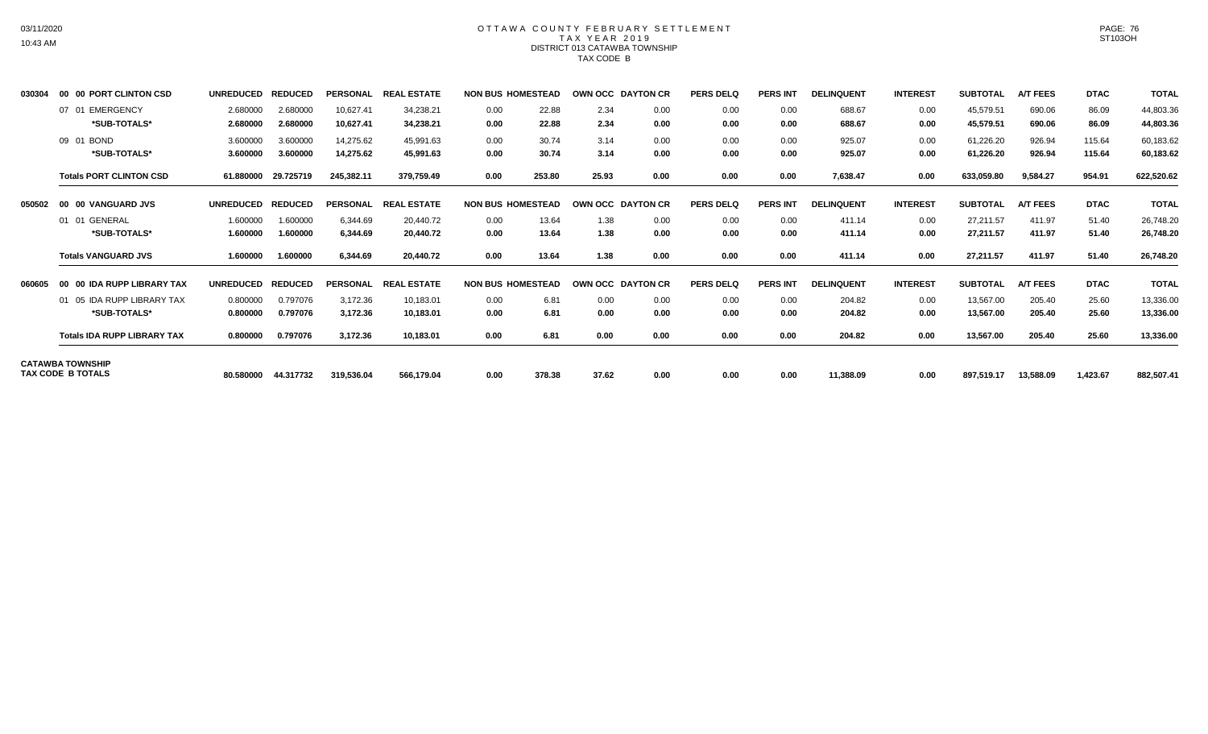# OTTAWA COUNTY FEBRUARY SETTLEMENT TAX YEAR 2019 DISTRICT 013 CATAWBA TOWNSHIP TAX CODE B

| 030304 | 00 00 PORT CLINTON CSD                              | <b>UNREDUCED</b>     | <b>REDUCED</b>       | <b>PERSONAL</b>        | <b>REAL ESTATE</b>     | <b>NON BUS HOMESTEAD</b> |                | OWN OCC DAYTON CR |              | <b>PERS DELQ</b> | <b>PERS INT</b> | <b>DELINQUENT</b> | <b>INTEREST</b> | <b>SUBTOTAL</b>        | <b>A/T FEES</b>  | <b>DTAC</b>      | <b>TOTAL</b>           |
|--------|-----------------------------------------------------|----------------------|----------------------|------------------------|------------------------|--------------------------|----------------|-------------------|--------------|------------------|-----------------|-------------------|-----------------|------------------------|------------------|------------------|------------------------|
|        | 07 01 EMERGENCY<br>*SUB-TOTALS*                     | 2.680000<br>2.680000 | 2.680000<br>2.680000 | 10,627.41<br>10,627.41 | 34,238.21<br>34.238.21 | 0.00<br>0.00             | 22.88<br>22.88 | 2.34<br>2.34      | 0.00<br>0.00 | 0.00<br>0.00     | 0.00<br>0.00    | 688.67<br>688.67  | 0.00<br>0.00    | 45,579.51<br>45,579.51 | 690.06<br>690.06 | 86.09<br>86.09   | 44,803.36<br>44,803.36 |
|        | 09 01 BOND<br>*SUB-TOTALS*                          | 3.600000<br>3.600000 | 3.600000<br>3.600000 | 14,275.62<br>14,275.62 | 45,991.63<br>45,991.63 | 0.00<br>0.00             | 30.74<br>30.74 | 3.14<br>3.14      | 0.00<br>0.00 | 0.00<br>0.00     | 0.00<br>0.00    | 925.07<br>925.07  | 0.00<br>0.00    | 61,226.20<br>61,226.20 | 926.94<br>926.94 | 115.64<br>115.64 | 60,183.62<br>60,183.62 |
|        | <b>Totals PORT CLINTON CSD</b>                      | 61.880000            | 29.725719            | 245,382.11             | 379.759.49             | 0.00                     | 253.80         | 25.93             | 0.00         | 0.00             | 0.00            | 7,638.47          | 0.00            | 633,059.80             | 9,584.27         | 954.91           | 622,520.62             |
| 050502 | <b>00 VANGUARD JVS</b><br>00                        | <b>UNREDUCED</b>     | <b>REDUCED</b>       | <b>PERSONAL</b>        | <b>REAL ESTATE</b>     | <b>NON BUS HOMESTEAD</b> |                | OWN OCC DAYTON CR |              | <b>PERS DELQ</b> | <b>PERS INT</b> | <b>DELINQUENT</b> | <b>INTEREST</b> | <b>SUBTOTAL</b>        | <b>A/T FEES</b>  | <b>DTAC</b>      | <b>TOTAL</b>           |
|        | 01 01 GENERAL                                       | 1.600000             | 1.600000             | 6.344.69               | 20.440.72              | 0.00                     | 13.64          | 1.38              | 0.00         | 0.00             | 0.00            | 411.14            | 0.00            | 27,211.57              | 411.97           | 51.40            | 26,748.20              |
|        | *SUB-TOTALS*                                        | 1.600000             | 1.600000             | 6,344.69               | 20,440.72              | 0.00                     | 13.64          | 1.38              | 0.00         | 0.00             | 0.00            | 411.14            | 0.00            | 27,211.57              | 411.97           | 51.40            | 26,748.20              |
|        | <b>Totals VANGUARD JVS</b>                          | 1.600000             | 1.600000             | 6,344.69               | 20,440.72              | 0.00                     | 13.64          | 1.38              | 0.00         | 0.00             | 0.00            | 411.14            | 0.00            | 27,211.57              | 411.97           | 51.40            | 26,748.20              |
| 060605 | 00 IDA RUPP LIBRARY TAX<br>00                       | <b>UNREDUCED</b>     | <b>REDUCED</b>       | <b>PERSONAL</b>        | <b>REAL ESTATE</b>     | <b>NON BUS HOMESTEAD</b> |                | OWN OCC DAYTON CR |              | <b>PERS DELQ</b> | <b>PERS INT</b> | <b>DELINQUENT</b> | <b>INTEREST</b> | <b>SUBTOTAL</b>        | <b>A/T FEES</b>  | <b>DTAC</b>      | <b>TOTAL</b>           |
|        | 01 05 IDA RUPP LIBRARY TAX                          | 0.800000             | 0.797076             | 3,172.36               | 10,183.01              | 0.00                     | 6.81           | 0.00              | 0.00         | 0.00             | 0.00            | 204.82            | 0.00            | 13,567.00              | 205.40           | 25.60            | 13,336.00              |
|        | *SUB-TOTALS*                                        | 0.800000             | 0.797076             | 3,172.36               | 10,183.01              | 0.00                     | 6.81           | 0.00              | 0.00         | 0.00             | 0.00            | 204.82            | 0.00            | 13,567.00              | 205.40           | 25.60            | 13,336.00              |
|        | <b>Totals IDA RUPP LIBRARY TAX</b>                  | 0.800000             | 0.797076             | 3,172.36               | 10,183.01              | 0.00                     | 6.81           | 0.00              | 0.00         | 0.00             | 0.00            | 204.82            | 0.00            | 13,567.00              | 205.40           | 25.60            | 13,336.00              |
|        | <b>CATAWBA TOWNSHIP</b><br><b>TAX CODE B TOTALS</b> | 80.580000            | 44.317732            | 319,536.04             | 566,179.04             | 0.00                     | 378.38         | 37.62             | 0.00         | 0.00             | 0.00            | 11,388.09         | 0.00            | 897,519.17             | 13,588.09        | 1,423.67         | 882,507.41             |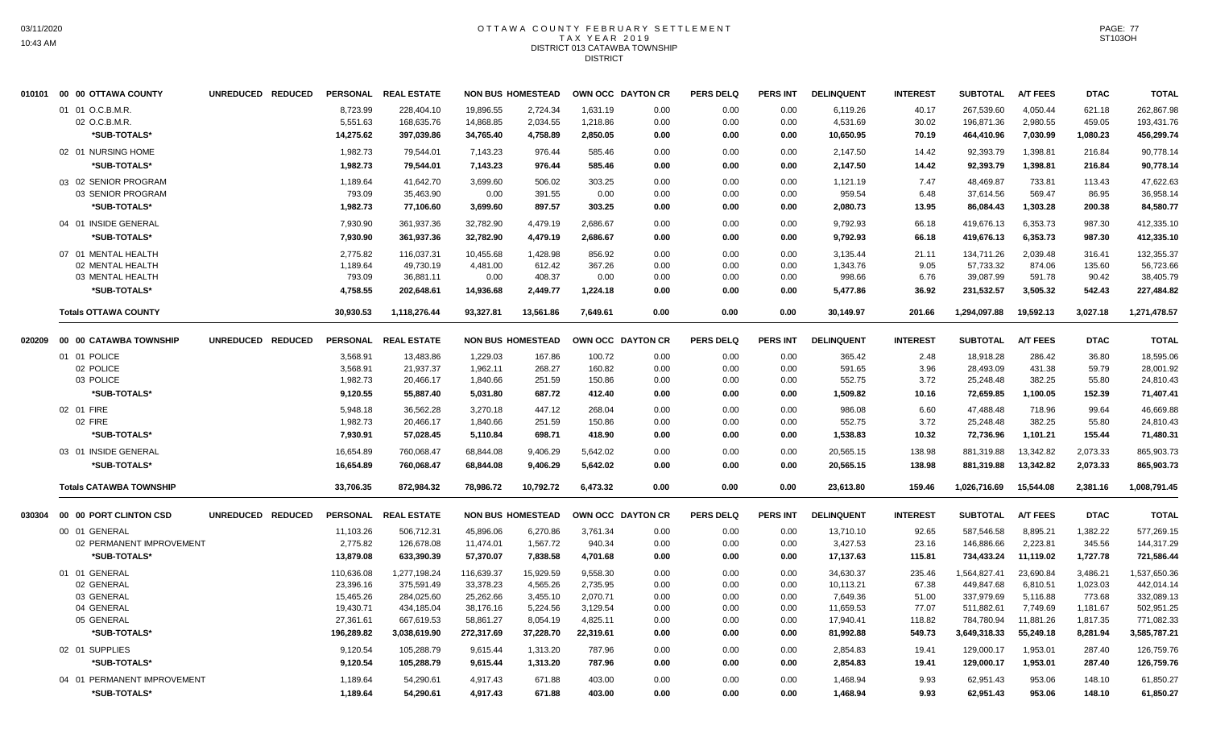#### OTTAWA COUNTY FEBRUARY SETTLEMENT T A X Y E A R 2 0 1 9 DISTRICT 013 CATAWBA TOWNSHIP DISTRICT

|        | 010101 00 00 OTTAWA COUNTY     | UNREDUCED REDUCED | <b>PERSONAL</b> | <b>REAL ESTATE</b> |            | <b>NON BUS HOMESTEAD</b> |           | OWN OCC DAYTON CR | <b>PERS DELQ</b> | <b>PERS INT</b> | <b>DELINQUENT</b> | <b>INTEREST</b> | <b>SUBTOTAL</b> | <b>A/T FEES</b> | <b>DTAC</b> | <b>TOTAL</b> |
|--------|--------------------------------|-------------------|-----------------|--------------------|------------|--------------------------|-----------|-------------------|------------------|-----------------|-------------------|-----------------|-----------------|-----------------|-------------|--------------|
|        | 01 01 O.C.B.M.R.               |                   | 8,723.99        | 228,404.10         | 19,896.55  | 2,724.34                 | 1,631.19  | 0.00              | 0.00             | 0.00            | 6,119.26          | 40.17           | 267,539.60      | 4,050.44        | 621.18      | 262,867.98   |
|        | 02 O.C.B.M.R.                  |                   | 5,551.63        | 168,635.76         | 14,868.85  | 2,034.55                 | 1,218.86  | 0.00              | 0.00             | 0.00            | 4,531.69          | 30.02           | 196,871.36      | 2,980.55        | 459.05      | 193,431.76   |
|        | *SUB-TOTALS*                   |                   | 14,275.62       | 397,039.86         | 34,765.40  | 4,758.89                 | 2,850.05  | 0.00              | 0.00             | 0.00            | 10,650.95         | 70.19           | 464,410.96      | 7,030.99        | 1,080.23    | 456,299.74   |
|        | 02 01 NURSING HOME             |                   | 1,982.73        | 79,544.01          | 7,143.23   | 976.44                   | 585.46    | 0.00              | 0.00             | 0.00            | 2,147.50          | 14.42           | 92,393.79       | 1,398.81        | 216.84      | 90,778.14    |
|        | *SUB-TOTALS*                   |                   | 1.982.73        | 79.544.01          | 7,143.23   | 976.44                   | 585.46    | 0.00              | 0.00             | 0.00            | 2,147.50          | 14.42           | 92,393.79       | 1.398.81        | 216.84      | 90,778.14    |
|        | 03 02 SENIOR PROGRAM           |                   | 1,189.64        | 41.642.70          | 3.699.60   | 506.02                   | 303.25    | 0.00              | 0.00             | 0.00            | 1,121.19          | 7.47            | 48,469.87       | 733.81          | 113.43      | 47,622.63    |
|        | 03 SENIOR PROGRAM              |                   | 793.09          | 35,463.90          | 0.00       | 391.55                   | 0.00      | 0.00              | 0.00             | 0.00            | 959.54            | 6.48            | 37,614.56       | 569.47          | 86.95       | 36,958.14    |
|        | *SUB-TOTALS*                   |                   | 1.982.73        | 77,106.60          | 3,699.60   | 897.57                   | 303.25    | 0.00              | 0.00             | 0.00            | 2,080.73          | 13.95           | 86,084.43       | 1,303.28        | 200.38      | 84,580.77    |
|        | 04 01 INSIDE GENERAL           |                   | 7,930.90        | 361,937.36         | 32,782.90  | 4,479.19                 | 2,686.67  | 0.00              | 0.00             | 0.00            | 9,792.93          | 66.18           | 419,676.13      | 6,353.73        | 987.30      | 412,335.10   |
|        | *SUB-TOTALS*                   |                   | 7,930.90        | 361,937.36         | 32,782.90  | 4,479.19                 | 2,686.67  | 0.00              | 0.00             | 0.00            | 9,792.93          | 66.18           | 419,676.13      | 6,353.73        | 987.30      | 412,335.10   |
|        | 07 01 MENTAL HEALTH            |                   | 2,775.82        | 116,037.31         | 10,455.68  | 1,428.98                 | 856.92    | 0.00              | 0.00             | 0.00            | 3,135.44          | 21.11           | 134,711.26      | 2,039.48        | 316.41      | 132,355.37   |
|        | 02 MENTAL HEALTH               |                   | 1,189.64        | 49,730.19          | 4,481.00   | 612.42                   | 367.26    | 0.00              | 0.00             | 0.00            | 1,343.76          | 9.05            | 57,733.32       | 874.06          | 135.60      | 56,723.66    |
|        | 03 MENTAL HEALTH               |                   | 793.09          | 36,881.11          | 0.00       | 408.37                   | 0.00      | 0.00              | 0.00             | 0.00            | 998.66            | 6.76            | 39,087.99       | 591.78          | 90.42       | 38,405.79    |
|        | *SUB-TOTALS*                   |                   | 4,758.55        | 202,648.61         | 14,936.68  | 2,449.77                 | 1,224.18  | 0.00              | 0.00             | 0.00            | 5,477.86          | 36.92           | 231,532.57      | 3,505.32        | 542.43      | 227,484.82   |
|        | <b>Totals OTTAWA COUNTY</b>    |                   | 30,930.53       | 1,118,276.44       | 93,327.81  | 13.561.86                | 7.649.61  | 0.00              | 0.00             | 0.00            | 30,149.97         | 201.66          | 1.294.097.88    | 19,592.13       | 3,027.18    | 1,271,478.57 |
| 020209 | 00 00 CATAWBA TOWNSHIP         | UNREDUCED REDUCED | <b>PERSONAL</b> | <b>REAL ESTATE</b> |            | <b>NON BUS HOMESTEAD</b> |           | OWN OCC DAYTON CR | <b>PERS DELQ</b> | <b>PERS INT</b> | <b>DELINQUENT</b> | <b>INTEREST</b> | <b>SUBTOTAL</b> | <b>A/T FEES</b> | <b>DTAC</b> | <b>TOTAL</b> |
|        | 01 01 POLICE                   |                   | 3,568.91        | 13,483.86          | 1,229.03   | 167.86                   | 100.72    | 0.00              | 0.00             | 0.00            | 365.42            | 2.48            | 18,918.28       | 286.42          | 36.80       | 18,595.06    |
|        | 02 POLICE                      |                   | 3,568.91        | 21,937.37          | 1,962.11   | 268.27                   | 160.82    | 0.00              | 0.00             | 0.00            | 591.65            | 3.96            | 28,493.09       | 431.38          | 59.79       | 28,001.92    |
|        | 03 POLICE                      |                   | 1,982.73        | 20,466.17          | 1,840.66   | 251.59                   | 150.86    | 0.00              | 0.00             | 0.00            | 552.75            | 3.72            | 25,248.48       | 382.25          | 55.80       | 24,810.43    |
|        | *SUB-TOTALS*                   |                   | 9,120.55        | 55,887.40          | 5,031.80   | 687.72                   | 412.40    | 0.00              | 0.00             | 0.00            | 1,509.82          | 10.16           | 72,659.85       | 1,100.05        | 152.39      | 71,407.41    |
|        | 02 01 FIRE                     |                   | 5,948.18        | 36,562.28          | 3,270.18   | 447.12                   | 268.04    | 0.00              | 0.00             | 0.00            | 986.08            | 6.60            | 47,488.48       | 718.96          | 99.64       | 46,669.88    |
|        | 02 FIRE                        |                   | 1,982.73        | 20,466.17          | 1,840.66   | 251.59                   | 150.86    | 0.00              | 0.00             | 0.00            | 552.75            | 3.72            | 25,248.48       | 382.25          | 55.80       | 24,810.43    |
|        | *SUB-TOTALS*                   |                   | 7,930.91        | 57,028.45          | 5,110.84   | 698.71                   | 418.90    | 0.00              | 0.00             | 0.00            | 1,538.83          | 10.32           | 72,736.96       | 1,101.21        | 155.44      | 71,480.31    |
|        | 03 01 INSIDE GENERAL           |                   | 16,654.89       | 760,068.47         | 68,844.08  | 9,406.29                 | 5,642.02  | 0.00              | 0.00             | 0.00            | 20,565.15         | 138.98          | 881,319.88      | 13,342.82       | 2,073.33    | 865,903.73   |
|        | *SUB-TOTALS*                   |                   | 16,654.89       | 760,068.47         | 68,844.08  | 9,406.29                 | 5,642.02  | 0.00              | 0.00             | 0.00            | 20,565.15         | 138.98          | 881,319.88      | 13,342.82       | 2,073.33    | 865,903.73   |
|        | <b>Totals CATAWBA TOWNSHIP</b> |                   | 33.706.35       | 872.984.32         | 78.986.72  | 10.792.72                | 6.473.32  | 0.00              | 0.00             | 0.00            | 23.613.80         | 159.46          | 1.026.716.69    | 15.544.08       | 2,381.16    | 1,008,791.45 |
| 030304 | 00 00 PORT CLINTON CSD         | UNREDUCED REDUCED | <b>PERSONAL</b> | <b>REAL ESTATE</b> |            | <b>NON BUS HOMESTEAD</b> |           | OWN OCC DAYTON CR | <b>PERS DELQ</b> | <b>PERS INT</b> | <b>DELINQUENT</b> | <b>INTEREST</b> | <b>SUBTOTAL</b> | <b>A/T FEES</b> | <b>DTAC</b> | <b>TOTAL</b> |
|        | 00 01 GENERAL                  |                   | 11,103.26       | 506,712.31         | 45,896.06  | 6,270.86                 | 3,761.34  | 0.00              | 0.00             | 0.00            | 13,710.10         | 92.65           | 587,546.58      | 8,895.21        | 1,382.22    | 577,269.15   |
|        | 02 PERMANENT IMPROVEMENT       |                   | 2,775.82        | 126,678.08         | 11,474.01  | 1,567.72                 | 940.34    | 0.00              | 0.00             | 0.00            | 3,427.53          | 23.16           | 146,886.66      | 2,223.81        | 345.56      | 144,317.29   |
|        | *SUB-TOTALS*                   |                   | 13,879.08       | 633,390.39         | 57,370.07  | 7,838.58                 | 4,701.68  | 0.00              | 0.00             | 0.00            | 17,137.63         | 115.81          | 734,433.24      | 11,119.02       | 1,727.78    | 721,586.44   |
|        | 01 01 GENERAL                  |                   | 110,636.08      | 1,277,198.24       | 116,639.37 | 15,929.59                | 9,558.30  | 0.00              | 0.00             | 0.00            | 34,630.37         | 235.46          | 1,564,827.41    | 23,690.84       | 3,486.21    | 1,537,650.36 |
|        | 02 GENERAL                     |                   | 23,396.16       | 375,591.49         | 33,378.23  | 4,565.26                 | 2,735.95  | 0.00              | 0.00             | 0.00            | 10,113.21         | 67.38           | 449,847.68      | 6,810.51        | 1,023.03    | 442,014.14   |
|        | 03 GENERAL                     |                   | 15,465.26       | 284,025.60         | 25,262.66  | 3,455.10                 | 2,070.71  | 0.00              | 0.00             | 0.00            | 7,649.36          | 51.00           | 337,979.69      | 5,116.88        | 773.68      | 332,089.13   |
|        | 04 GENERAL                     |                   | 19,430.71       | 434,185.04         | 38,176.16  | 5,224.56                 | 3,129.54  | 0.00              | 0.00             | 0.00            | 11,659.53         | 77.07           | 511,882.61      | 7,749.69        | 1,181.67    | 502,951.25   |
|        | 05 GENERAL                     |                   | 27,361.61       | 667,619.53         | 58,861.27  | 8,054.19                 | 4,825.11  | 0.00              | 0.00             | 0.00            | 17,940.41         | 118.82          | 784,780.94      | 11,881.26       | 1,817.35    | 771,082.33   |
|        | *SUB-TOTALS*                   |                   | 196,289.82      | 3,038,619.90       | 272,317.69 | 37,228.70                | 22,319.61 | 0.00              | 0.00             | 0.00            | 81,992.88         | 549.73          | 3,649,318.33    | 55,249.18       | 8,281.94    | 3,585,787.21 |
|        | 02 01 SUPPLIES                 |                   | 9,120.54        | 105,288.79         | 9,615.44   | 1,313.20                 | 787.96    | 0.00              | 0.00             | 0.00            | 2,854.83          | 19.41           | 129,000.17      | 1,953.01        | 287.40      | 126,759.76   |
|        | *SUB-TOTALS*                   |                   | 9,120.54        | 105,288.79         | 9,615.44   | 1,313.20                 | 787.96    | 0.00              | 0.00             | 0.00            | 2,854.83          | 19.41           | 129,000.17      | 1,953.01        | 287.40      | 126,759.76   |
|        | 04 01 PERMANENT IMPROVEMENT    |                   | 1,189.64        | 54.290.61          | 4,917.43   | 671.88                   | 403.00    | 0.00              | 0.00             | 0.00            | 1.468.94          | 9.93            | 62.951.43       | 953.06          | 148.10      | 61,850.27    |
|        | *SUB-TOTALS*                   |                   | 1,189.64        | 54,290.61          | 4,917.43   | 671.88                   | 403.00    | 0.00              | 0.00             | 0.00            | 1,468.94          | 9.93            | 62,951.43       | 953.06          | 148.10      | 61,850.27    |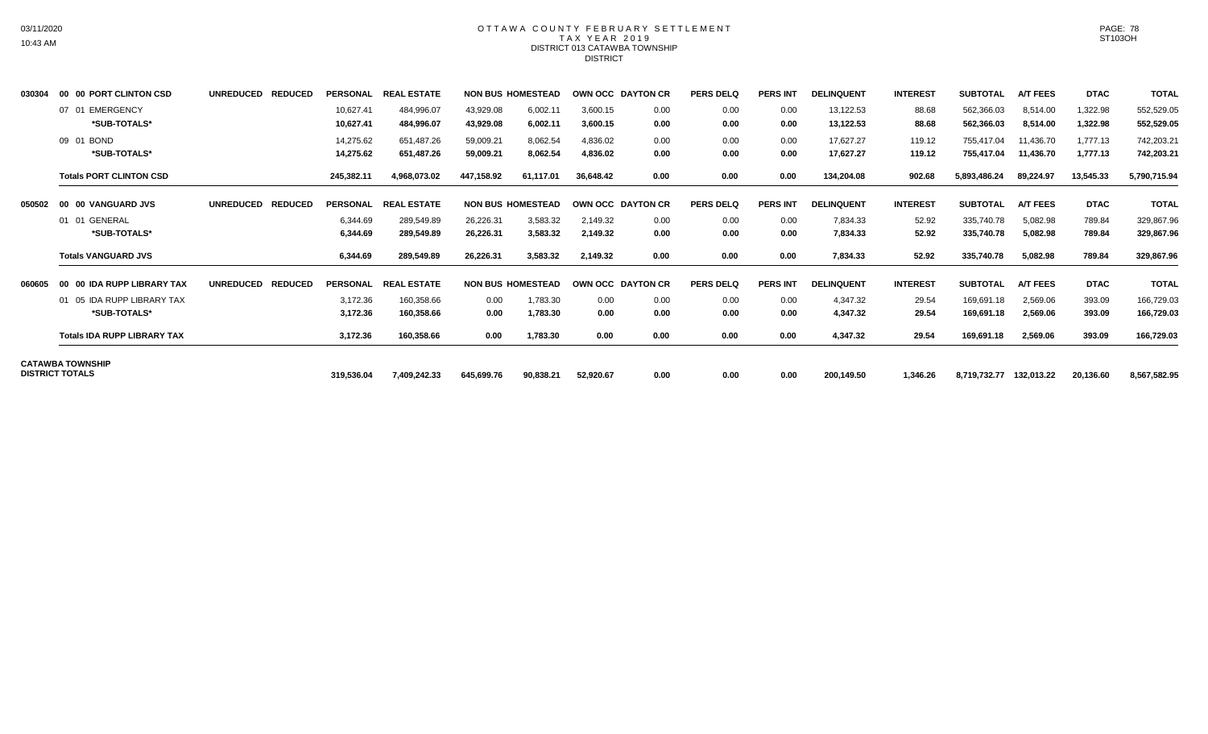# OTTAWA COUNTY FEBRUARY SETTLEMENT TAX YEAR 2019 DISTRICT 013 CATAWBA TOWNSHIP DISTRICT

| 030304 | 00 00 PORT CLINTON CSD                            | UNREDUCED REDUCED | PERSONAL               | <b>REAL ESTATE</b>       |                        | <b>NON BUS HOMESTEAD</b> |                      | OWN OCC DAYTON CR | <b>PERS DELQ</b> | <b>PERS INT</b> | <b>DELINQUENT</b>      | <b>INTEREST</b>  | <b>SUBTOTAL</b>          | <b>A/T FEES</b>        | <b>DTAC</b>          | <b>TOTAL</b>             |
|--------|---------------------------------------------------|-------------------|------------------------|--------------------------|------------------------|--------------------------|----------------------|-------------------|------------------|-----------------|------------------------|------------------|--------------------------|------------------------|----------------------|--------------------------|
|        | 07 01 EMERGENCY<br>*SUB-TOTALS*                   |                   | 10,627.41<br>10,627.41 | 484,996.07<br>484,996.07 | 43,929.08<br>43,929.08 | 6,002.11<br>6,002.11     | 3,600.15<br>3,600.15 | 0.00<br>0.00      | 0.00<br>0.00     | 0.00<br>0.00    | 13,122.53<br>13,122.53 | 88.68<br>88.68   | 562,366.03<br>562,366.03 | 8,514.00<br>8,514.00   | 1,322.98<br>1,322.98 | 552,529.05<br>552,529.05 |
|        | 09 01 BOND<br>*SUB-TOTALS*                        |                   | 14,275.62<br>14,275.62 | 651.487.26<br>651,487.26 | 59,009.21<br>59,009.21 | 8,062.54<br>8,062.54     | 4.836.02<br>4,836.02 | 0.00<br>0.00      | 0.00<br>0.00     | 0.00<br>0.00    | 17.627.27<br>17,627.27 | 119.12<br>119.12 | 755,417.04<br>755,417.04 | 11,436.70<br>11,436.70 | 1.777.13<br>1,777.13 | 742,203.21<br>742,203.21 |
|        | <b>Totals PORT CLINTON CSD</b>                    |                   | 245,382.11             | 4,968,073.02             | 447,158.92             | 61,117.01                | 36,648.42            | 0.00              | 0.00             | 0.00            | 134,204.08             | 902.68           | 5,893,486.24             | 89,224.97              | 13,545.33            | 5,790,715.94             |
| 050502 | 00 00 VANGUARD JVS                                | UNREDUCED REDUCED | <b>PERSONAL</b>        | <b>REAL ESTATE</b>       |                        | <b>NON BUS HOMESTEAD</b> |                      | OWN OCC DAYTON CR | <b>PERS DELQ</b> | <b>PERS INT</b> | <b>DELINQUENT</b>      | <b>INTEREST</b>  | <b>SUBTOTAL</b>          | <b>A/T FEES</b>        | <b>DTAC</b>          | <b>TOTAL</b>             |
|        | 01 01 GENERAL<br>*SUB-TOTALS*                     |                   | 6,344.69<br>6,344.69   | 289,549.89<br>289,549.89 | 26,226.31<br>26,226.31 | 3,583.32<br>3,583.32     | 2,149.32<br>2,149.32 | 0.00<br>0.00      | 0.00<br>0.00     | 0.00<br>0.00    | 7,834.33<br>7,834.33   | 52.92<br>52.92   | 335,740.78<br>335,740.78 | 5,082.98<br>5,082.98   | 789.84<br>789.84     | 329,867.96<br>329,867.96 |
|        | <b>Totals VANGUARD JVS</b>                        |                   | 6,344.69               | 289,549.89               | 26,226.31              | 3,583.32                 | 2,149.32             | 0.00              | 0.00             | 0.00            | 7,834.33               | 52.92            | 335,740.78               | 5,082.98               | 789.84               | 329,867.96               |
| 060605 | 00 00 IDA RUPP LIBRARY TAX                        | UNREDUCED REDUCED | <b>PERSONAL</b>        | <b>REAL ESTATE</b>       |                        | <b>NON BUS HOMESTEAD</b> |                      | OWN OCC DAYTON CR | <b>PERS DELQ</b> | <b>PERS INT</b> | <b>DELINQUENT</b>      | <b>INTEREST</b>  | <b>SUBTOTAL</b>          | <b>A/T FEES</b>        | <b>DTAC</b>          | <b>TOTAL</b>             |
|        | 01 05 IDA RUPP LIBRARY TAX<br>*SUB-TOTALS*        |                   | 3,172.36<br>3,172.36   | 160,358.66<br>160,358.66 | 0.00<br>0.00           | 1,783.30<br>1,783.30     | 0.00<br>0.00         | 0.00<br>0.00      | 0.00<br>0.00     | 0.00<br>0.00    | 4,347.32<br>4,347.32   | 29.54<br>29.54   | 169,691.18<br>169,691.18 | 2,569.06<br>2,569.06   | 393.09<br>393.09     | 166,729.03<br>166,729.03 |
|        | <b>Totals IDA RUPP LIBRARY TAX</b>                |                   | 3,172.36               | 160,358.66               | 0.00                   | 1,783.30                 | 0.00                 | 0.00              | 0.00             | 0.00            | 4,347.32               | 29.54            | 169,691.18               | 2,569.06               | 393.09               | 166,729.03               |
|        | <b>CATAWBA TOWNSHIP</b><br><b>DISTRICT TOTALS</b> |                   | 319,536.04             | 7,409,242.33             | 645,699.76             | 90,838.21                | 52,920.67            | 0.00              | 0.00             | 0.00            | 200,149.50             | 1,346.26         | 8,719,732.77 132,013.22  |                        | 20,136.60            | 8,567,582.95             |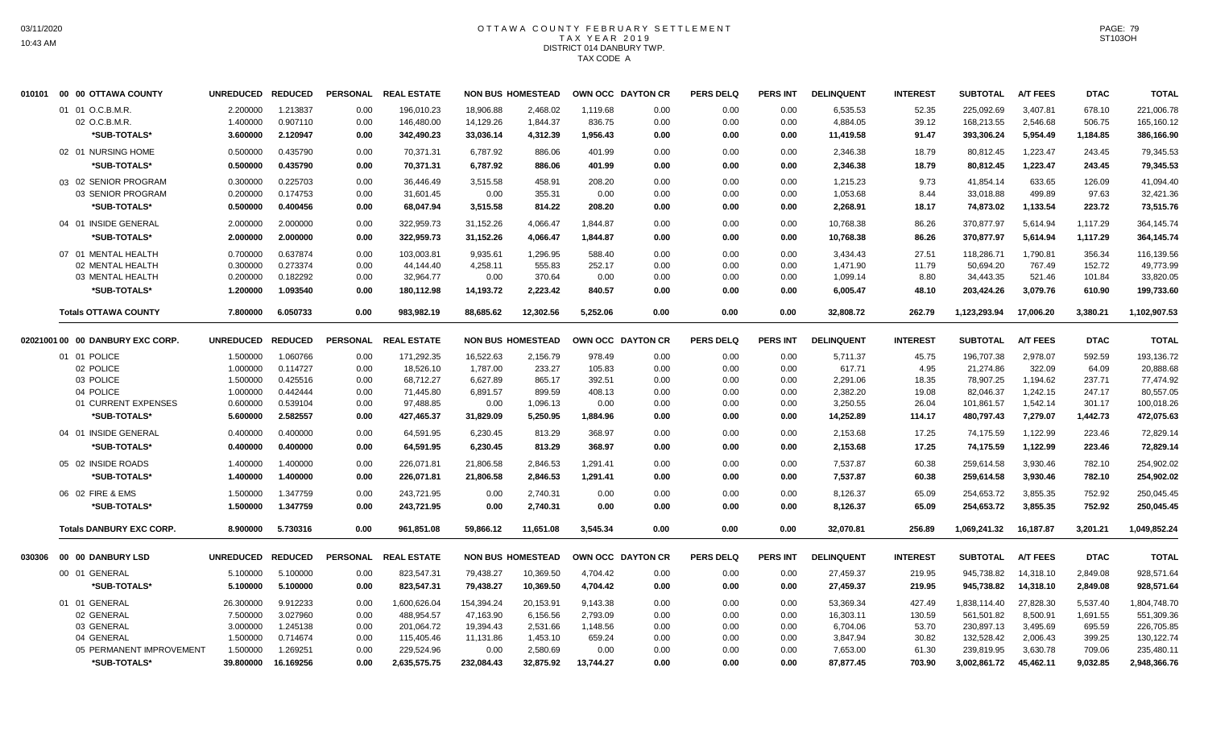# OTTAWA COUNTY FEBRUARY SETTLEMENT TAX YEAR 2019 DISTRICT 014 DANBURY TWP. TAX CODE A

|        | 010101 00 00 OTTAWA COUNTY       | <b>UNREDUCED</b> | <b>REDUCED</b> | <b>PERSONAL</b> | <b>REAL ESTATE</b> |            | <b>NON BUS HOMESTEAD</b> | OWN OCC DAYTON CR |      | <b>PERS DELQ</b> | <b>PERS INT</b> | <b>DELINQUENT</b> | <b>INTEREST</b> | <b>SUBTOTAL</b> | <b>A/T FEES</b> | <b>DTAC</b> | <b>TOTAL</b> |
|--------|----------------------------------|------------------|----------------|-----------------|--------------------|------------|--------------------------|-------------------|------|------------------|-----------------|-------------------|-----------------|-----------------|-----------------|-------------|--------------|
|        | 01 01 O.C.B.M.R.                 | 2.200000         | 1.213837       | 0.00            | 196,010.23         | 18,906.88  | 2.468.02                 | 1,119.68          | 0.00 | 0.00             | 0.00            | 6,535.53          | 52.35           | 225.092.69      | 3,407.81        | 678.10      | 221,006.78   |
|        | 02 O.C.B.M.R.                    | 1.400000         | 0.907110       | 0.00            | 146,480.00         | 14,129.26  | 1,844.37                 | 836.75            | 0.00 | 0.00             | 0.00            | 4,884.05          | 39.12           | 168,213.55      | 2,546.68        | 506.75      | 165,160.12   |
|        | *SUB-TOTALS*                     | 3.600000         | 2.120947       | 0.00            | 342,490.23         | 33,036.14  | 4,312.39                 | 1,956.43          | 0.00 | 0.00             | 0.00            | 11,419.58         | 91.47           | 393,306.24      | 5,954.49        | 1,184.85    | 386,166.90   |
|        | 02 01 NURSING HOME               | 0.500000         | 0.435790       | 0.00            | 70,371.31          | 6,787.92   | 886.06                   | 401.99            | 0.00 | 0.00             | 0.00            | 2,346.38          | 18.79           | 80,812.45       | 1,223.47        | 243.45      | 79,345.53    |
|        | *SUB-TOTALS*                     | 0.500000         | 0.435790       | 0.00            | 70,371.31          | 6,787.92   | 886.06                   | 401.99            | 0.00 | 0.00             | 0.00            | 2,346.38          | 18.79           | 80,812.45       | 1,223.47        | 243.45      | 79,345.53    |
|        | 03 02 SENIOR PROGRAM             | 0.300000         | 0.225703       | 0.00            | 36,446.49          | 3,515.58   | 458.91                   | 208.20            | 0.00 | 0.00             | 0.00            | 1,215.23          | 9.73            | 41,854.14       | 633.65          | 126.09      | 41,094.40    |
|        | 03 SENIOR PROGRAM                | 0.200000         | 0.174753       | 0.00            | 31,601.45          | 0.00       | 355.31                   | 0.00              | 0.00 | 0.00             | 0.00            | 1,053.68          | 8.44            | 33,018.88       | 499.89          | 97.63       | 32,421.36    |
|        | *SUB-TOTALS*                     | 0.500000         | 0.400456       | 0.00            | 68,047.94          | 3,515.58   | 814.22                   | 208.20            | 0.00 | 0.00             | 0.00            | 2,268.91          | 18.17           | 74,873.02       | 1,133.54        | 223.72      | 73,515.76    |
|        | 04 01 INSIDE GENERAL             | 2.000000         | 2.000000       | 0.00            | 322,959.73         | 31,152.26  | 4,066.47                 | 1,844.87          | 0.00 | 0.00             | 0.00            | 10,768.38         | 86.26           | 370,877.97      | 5,614.94        | 1,117.29    | 364,145.74   |
|        | *SUB-TOTALS*                     | 2.000000         | 2.000000       | 0.00            | 322,959.73         | 31,152.26  | 4,066.47                 | 1,844.87          | 0.00 | 0.00             | 0.00            | 10,768.38         | 86.26           | 370.877.97      | 5,614.94        | 1,117.29    | 364,145.74   |
|        | 07 01 MENTAL HEALTH              | 0.700000         | 0.637874       | 0.00            | 103,003.81         | 9,935.61   | 1,296.95                 | 588.40            | 0.00 | 0.00             | 0.00            | 3,434.43          | 27.51           | 118,286.71      | 1,790.81        | 356.34      | 116,139.56   |
|        | 02 MENTAL HEALTH                 | 0.300000         | 0.273374       | 0.00            | 44,144.40          | 4,258.11   | 555.83                   | 252.17            | 0.00 | 0.00             | 0.00            | 1,471.90          | 11.79           | 50,694.20       | 767.49          | 152.72      | 49,773.99    |
|        | 03 MENTAL HEALTH                 | 0.200000         | 0.182292       | 0.00            | 32,964.77          | 0.00       | 370.64                   | 0.00              | 0.00 | 0.00             | 0.00            | 1,099.14          | 8.80            | 34,443.35       | 521.46          | 101.84      | 33,820.05    |
|        | *SUB-TOTALS*                     | 1.200000         | 1.093540       | 0.00            | 180,112.98         | 14,193.72  | 2,223.42                 | 840.57            | 0.00 | 0.00             | 0.00            | 6,005.47          | 48.10           | 203,424.26      | 3,079.76        | 610.90      | 199,733.60   |
|        | <b>Totals OTTAWA COUNTY</b>      | 7.800000         | 6.050733       | 0.00            | 983,982.19         | 88,685.62  | 12,302.56                | 5,252.06          | 0.00 | 0.00             | 0.00            | 32,808.72         | 262.79          | 1,123,293.94    | 17,006.20       | 3,380.21    | 1,102,907.53 |
|        |                                  |                  |                |                 |                    |            |                          |                   |      |                  |                 |                   |                 |                 |                 |             |              |
|        | 02021001 00 00 DANBURY EXC CORP. | <b>UNREDUCED</b> | <b>REDUCED</b> | <b>PERSONAL</b> | <b>REAL ESTATE</b> |            | <b>NON BUS HOMESTEAD</b> | OWN OCC DAYTON CR |      | <b>PERS DELQ</b> | <b>PERS INT</b> | <b>DELINQUENT</b> | <b>INTEREST</b> | <b>SUBTOTAL</b> | <b>A/T FEES</b> | <b>DTAC</b> | <b>TOTAL</b> |
|        | 01 01 POLICE                     | 1.500000         | 1.060766       | 0.00            | 171,292.35         | 16,522.63  | 2,156.79                 | 978.49            | 0.00 | 0.00             | 0.00            | 5,711.37          | 45.75           | 196,707.38      | 2,978.07        | 592.59      | 193,136.72   |
|        | 02 POLICE                        | 1.000000         | 0.114727       | 0.00            | 18,526.10          | 1,787.00   | 233.27                   | 105.83            | 0.00 | 0.00             | 0.00            | 617.71            | 4.95            | 21,274.86       | 322.09          | 64.09       | 20,888.68    |
|        | 03 POLICE                        | 1.500000         | 0.425516       | 0.00            | 68,712.27          | 6,627.89   | 865.17                   | 392.51            | 0.00 | 0.00             | 0.00            | 2,291.06          | 18.35           | 78,907.25       | 1,194.62        | 237.71      | 77,474.92    |
|        | 04 POLICE                        | 1.000000         | 0.442444       | 0.00            | 71,445.80          | 6,891.57   | 899.59                   | 408.13            | 0.00 | 0.00             | 0.00            | 2,382.20          | 19.08           | 82,046.37       | 1,242.15        | 247.17      | 80,557.05    |
|        | 01 CURRENT EXPENSES              | 0.600000         | 0.539104       | 0.00            | 97,488.85          | 0.00       | 1,096.13                 | 0.00              | 0.00 | 0.00             | 0.00            | 3,250.55          | 26.04           | 101,861.57      | 1,542.14        | 301.17      | 100,018.26   |
|        | *SUB-TOTALS*                     | 5.600000         | 2.582557       | 0.00            | 427,465.37         | 31,829.09  | 5,250.95                 | 1,884.96          | 0.00 | 0.00             | 0.00            | 14,252.89         | 114.17          | 480,797.43      | 7,279.07        | 1,442.73    | 472,075.63   |
|        | 04 01 INSIDE GENERAL             | 0.400000         | 0.400000       | 0.00            | 64,591.95          | 6,230.45   | 813.29                   | 368.97            | 0.00 | 0.00             | 0.00            | 2,153.68          | 17.25           | 74,175.59       | 1,122.99        | 223.46      | 72,829.14    |
|        | *SUB-TOTALS*                     | 0.400000         | 0.400000       | 0.00            | 64,591.95          | 6,230.45   | 813.29                   | 368.97            | 0.00 | 0.00             | 0.00            | 2,153.68          | 17.25           | 74,175.59       | 1,122.99        | 223.46      | 72,829.14    |
|        | 05 02 INSIDE ROADS               | 1.400000         | 1.400000       | 0.00            | 226,071.81         | 21,806.58  | 2.846.53                 | 1,291.41          | 0.00 | 0.00             | 0.00            | 7,537.87          | 60.38           | 259.614.58      | 3,930.46        | 782.10      | 254,902.02   |
|        | *SUB-TOTALS*                     | 1.400000         | 1.400000       | 0.00            | 226,071.81         | 21,806.58  | 2,846.53                 | 1,291.41          | 0.00 | 0.00             | 0.00            | 7,537.87          | 60.38           | 259,614.58      | 3,930.46        | 782.10      | 254,902.02   |
|        | 06 02 FIRE & EMS                 | 1.500000         | 1.347759       | 0.00            | 243,721.95         | 0.00       | 2,740.31                 | 0.00              | 0.00 | 0.00             | 0.00            | 8,126.37          | 65.09           | 254,653.72      | 3,855.35        | 752.92      | 250,045.45   |
|        | *SUB-TOTALS*                     | 1.500000         | 1.347759       | 0.00            | 243,721.95         | 0.00       | 2,740.31                 | 0.00              | 0.00 | 0.00             | 0.00            | 8,126.37          | 65.09           | 254,653.72      | 3,855.35        | 752.92      | 250,045.45   |
|        | <b>Totals DANBURY EXC CORP.</b>  | 8.900000         | 5.730316       | 0.00            | 961,851.08         | 59,866.12  | 11,651.08                | 3,545.34          | 0.00 | 0.00             | 0.00            | 32,070.81         | 256.89          | 1,069,241.32    | 16,187.87       | 3,201.21    | 1,049,852.24 |
|        |                                  |                  |                |                 |                    |            |                          |                   |      |                  |                 |                   |                 |                 |                 |             |              |
| 030306 | 00 00 DANBURY LSD                | <b>UNREDUCED</b> | <b>REDUCED</b> | <b>PERSONAL</b> | <b>REAL ESTATE</b> |            | <b>NON BUS HOMESTEAD</b> | OWN OCC DAYTON CR |      | <b>PERS DELQ</b> | <b>PERS INT</b> | <b>DELINQUENT</b> | <b>INTEREST</b> | <b>SUBTOTAL</b> | <b>A/T FEES</b> | <b>DTAC</b> | <b>TOTAL</b> |
|        | 00 01 GENERAL                    | 5.100000         | 5.100000       | 0.00            | 823,547.31         | 79,438.27  | 10,369.50                | 4,704.42          | 0.00 | 0.00             | 0.00            | 27,459.37         | 219.95          | 945,738.82      | 14,318.10       | 2,849.08    | 928,571.64   |
|        | *SUB-TOTALS*                     | 5.100000         | 5.100000       | 0.00            | 823,547.31         | 79,438.27  | 10,369.50                | 4,704.42          | 0.00 | 0.00             | 0.00            | 27,459.37         | 219.95          | 945,738.82      | 14,318.10       | 2,849.08    | 928,571.64   |
|        | 01 01 GENERAL                    | 26.300000        | 9.912233       | 0.00            | 1,600,626.04       | 154,394.24 | 20,153.91                | 9,143.38          | 0.00 | 0.00             | 0.00            | 53,369.34         | 427.49          | 1,838,114.40    | 27,828.30       | 5,537.40    | 1,804,748.70 |
|        | 02 GENERAL                       | 7.500000         | 3.027960       | 0.00            | 488,954.57         | 47,163.90  | 6,156.56                 | 2,793.09          | 0.00 | 0.00             | 0.00            | 16,303.11         | 130.59          | 561,501.82      | 8,500.91        | 1,691.55    | 551,309.36   |
|        | 03 GENERAL                       | 3.000000         | 1.245138       | 0.00            | 201,064.72         | 19,394.43  | 2,531.66                 | 1,148.56          | 0.00 | 0.00             | 0.00            | 6,704.06          | 53.70           | 230,897.13      | 3,495.69        | 695.59      | 226,705.85   |
|        | 04 GENERAL                       | 1.500000         | 0.714674       | 0.00            | 115,405.46         | 11,131.86  | 1,453.10                 | 659.24            | 0.00 | 0.00             | 0.00            | 3,847.94          | 30.82           | 132,528.42      | 2,006.43        | 399.25      | 130,122.74   |
|        | 05 PERMANENT IMPROVEMENT         | 1.500000         | 1.269251       | 0.00            | 229,524.96         | 0.00       | 2,580.69                 | 0.00              | 0.00 | 0.00             | 0.00            | 7,653.00          | 61.30           | 239,819.95      | 3,630.78        | 709.06      | 235,480.11   |
|        | *SUB-TOTALS*                     | 39.800000        | 16.169256      | 0.00            | 2,635,575.75       | 232,084.43 | 32,875.92                | 13,744.27         | 0.00 | 0.00             | 0.00            | 87,877.45         | 703.90          | 3,002,861.72    | 45.462.11       | 9,032.85    | 2,948,366.76 |
|        |                                  |                  |                |                 |                    |            |                          |                   |      |                  |                 |                   |                 |                 |                 |             |              |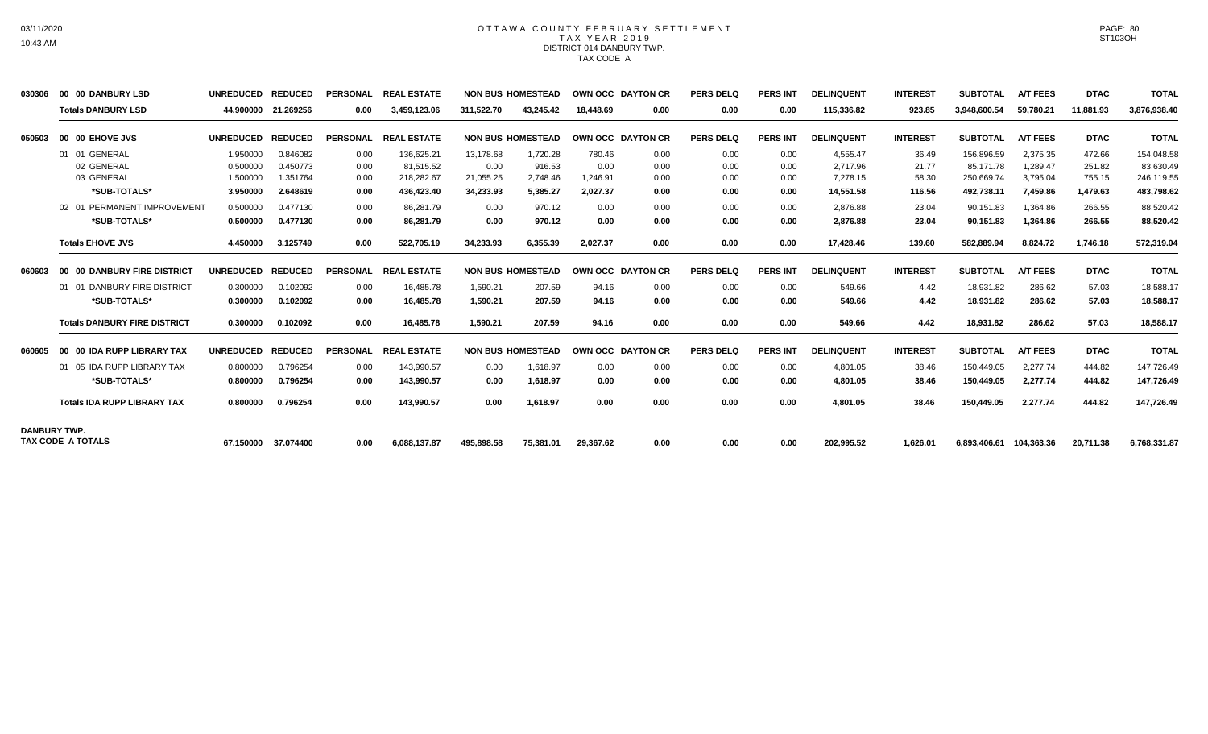# OTTAWA COUNTY FEBRUARY SETTLEMENT TAX YEAR 2019 DISTRICT 014 DANBURY TWP. TAX CODE A

| 030306              | 00 00 DANBURY LSD                   | <b>UNREDUCED</b> | <b>REDUCED</b>      | <b>PERSONAL</b> | <b>REAL ESTATE</b> |            | <b>NON BUS HOMESTEAD</b> |           | <b>OWN OCC DAYTON CR</b> | <b>PERS DELQ</b> | <b>PERS INT</b> | <b>DELINQUENT</b> | <b>INTEREST</b> | <b>SUBTOTAL</b>         | <b>A/T FEES</b> | <b>DTAC</b> | <b>TOTAL</b> |
|---------------------|-------------------------------------|------------------|---------------------|-----------------|--------------------|------------|--------------------------|-----------|--------------------------|------------------|-----------------|-------------------|-----------------|-------------------------|-----------------|-------------|--------------|
|                     | <b>Totals DANBURY LSD</b>           | 44.900000        | 21.269256           | 0.00            | 3,459,123.06       | 311,522.70 | 43.245.42                | 18.448.69 | 0.00                     | 0.00             | 0.00            | 115,336.82        | 923.85          | 3,948,600.54            | 59,780.21       | 11,881.93   | 3,876,938.40 |
| 050503              | 00 00 EHOVE JVS                     | <b>UNREDUCED</b> | <b>REDUCED</b>      | <b>PERSONAL</b> | <b>REAL ESTATE</b> |            | <b>NON BUS HOMESTEAD</b> |           | <b>OWN OCC DAYTON CR</b> | <b>PERS DELQ</b> | <b>PERS INT</b> | <b>DELINQUENT</b> | <b>INTEREST</b> | <b>SUBTOTAL</b>         | <b>A/T FEES</b> | <b>DTAC</b> | <b>TOTAL</b> |
|                     | 01 01 GENERAL                       | 1.950000         | 0.846082            | 0.00            | 136,625.21         | 13,178.68  | 1,720.28                 | 780.46    | 0.00                     | 0.00             | 0.00            | 4,555.47          | 36.49           | 156,896.59              | 2,375.35        | 472.66      | 154,048.58   |
|                     | 02 GENERAL                          | 0.500000         | 0.450773            | 0.00            | 81,515.52          | 0.00       | 916.53                   | 0.00      | 0.00                     | 0.00             | 0.00            | 2,717.96          | 21.77           | 85,171.78               | 1,289.47        | 251.82      | 83,630.49    |
|                     | 03 GENERAL                          | 1.500000         | 1.351764            | 0.00            | 218,282.67         | 21,055.25  | 2,748.46                 | 1.246.91  | 0.00                     | 0.00             | 0.00            | 7.278.15          | 58.30           | 250,669.74              | 3,795.04        | 755.15      | 246,119.55   |
|                     | *SUB-TOTALS*                        | 3.950000         | 2.648619            | 0.00            | 436.423.40         | 34.233.93  | 5.385.27                 | 2.027.37  | 0.00                     | 0.00             | 0.00            | 14.551.58         | 116.56          | 492,738.11              | 7.459.86        | 1,479.63    | 483,798.62   |
|                     | 02 01 PERMANENT IMPROVEMENT         | 0.500000         | 0.477130            | 0.00            | 86,281.79          | 0.00       | 970.12                   | 0.00      | 0.00                     | 0.00             | 0.00            | 2,876.88          | 23.04           | 90,151.83               | 1,364.86        | 266.55      | 88,520.42    |
|                     | *SUB-TOTALS*                        | 0.500000         | 0.477130            | 0.00            | 86.281.79          | 0.00       | 970.12                   | 0.00      | 0.00                     | 0.00             | 0.00            | 2,876.88          | 23.04           | 90,151.83               | 1,364.86        | 266.55      | 88,520.42    |
|                     | <b>Totals EHOVE JVS</b>             | 4.450000         | 3.125749            | 0.00            | 522,705.19         | 34,233.93  | 6,355.39                 | 2,027.37  | 0.00                     | 0.00             | 0.00            | 17,428.46         | 139.60          | 582,889.94              | 8,824.72        | 1,746.18    | 572,319.04   |
| 060603              | 00 00 DANBURY FIRE DISTRICT         | <b>UNREDUCED</b> | <b>REDUCED</b>      | <b>PERSONAL</b> | <b>REAL ESTATE</b> |            | <b>NON BUS HOMESTEAD</b> |           | OWN OCC DAYTON CR        | <b>PERS DELQ</b> | <b>PERS INT</b> | <b>DELINQUENT</b> | <b>INTEREST</b> | <b>SUBTOTAL</b>         | <b>A/T FEES</b> | <b>DTAC</b> | <b>TOTAL</b> |
|                     | 01 01 DANBURY FIRE DISTRICT         | 0.300000         | 0.102092            | 0.00            | 16.485.78          | 1.590.21   | 207.59                   | 94.16     | 0.00                     | 0.00             | 0.00            | 549.66            | 4.42            | 18.931.82               | 286.62          | 57.03       | 18,588.17    |
|                     | *SUB-TOTALS*                        | 0.300000         | 0.102092            | 0.00            | 16,485.78          | 1,590.21   | 207.59                   | 94.16     | 0.00                     | 0.00             | 0.00            | 549.66            | 4.42            | 18,931.82               | 286.62          | 57.03       | 18,588.17    |
|                     | <b>Totals DANBURY FIRE DISTRICT</b> | 0.300000         | 0.102092            | 0.00            | 16,485.78          | 1,590.21   | 207.59                   | 94.16     | 0.00                     | 0.00             | 0.00            | 549.66            | 4.42            | 18,931.82               | 286.62          | 57.03       | 18,588.17    |
| 060605              | 00 00 IDA RUPP LIBRARY TAX          | <b>UNREDUCED</b> | <b>REDUCED</b>      | <b>PERSONAL</b> | <b>REAL ESTATE</b> |            | <b>NON BUS HOMESTEAD</b> |           | OWN OCC DAYTON CR        | <b>PERS DELQ</b> | <b>PERS INT</b> | <b>DELINQUENT</b> | <b>INTEREST</b> | <b>SUBTOTAL</b>         | <b>A/T FEES</b> | <b>DTAC</b> | <b>TOTAL</b> |
|                     | 01 05 IDA RUPP LIBRARY TAX          | 0.800000         | 0.796254            | 0.00            | 143,990.57         | 0.00       | 1.618.97                 | 0.00      | 0.00                     | 0.00             | 0.00            | 4,801.05          | 38.46           | 150,449.05              | 2.277.74        | 444.82      | 147,726.49   |
|                     | *SUB-TOTALS*                        | 0.800000         | 0.796254            | 0.00            | 143.990.57         | 0.00       | 1.618.97                 | 0.00      | 0.00                     | 0.00             | 0.00            | 4.801.05          | 38.46           | 150.449.05              | 2.277.74        | 444.82      | 147,726.49   |
|                     | <b>Totals IDA RUPP LIBRARY TAX</b>  | 0.800000         | 0.796254            | 0.00            | 143.990.57         | 0.00       | 1.618.97                 | 0.00      | 0.00                     | 0.00             | 0.00            | 4,801.05          | 38.46           | 150,449.05              | 2,277.74        | 444.82      | 147,726.49   |
| <b>DANBURY TWP.</b> |                                     |                  |                     |                 |                    |            |                          |           |                          |                  |                 |                   |                 |                         |                 |             |              |
|                     | <b>TAX CODE A TOTALS</b>            |                  | 67.150000 37.074400 | 0.00            | 6,088,137.87       | 495.898.58 | 75,381.01                | 29,367.62 | 0.00                     | 0.00             | 0.00            | 202,995.52        | 1.626.01        | 6,893,406.61 104,363.36 |                 | 20,711.38   | 6,768,331.87 |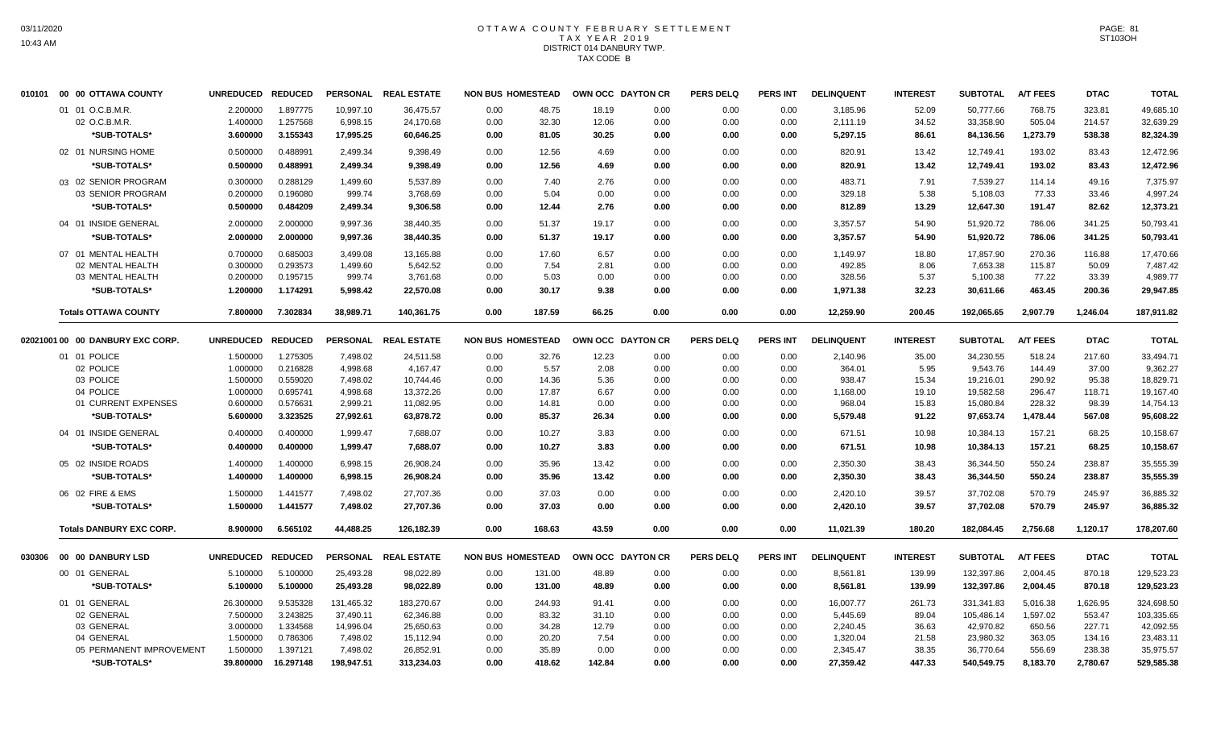# OTTAWA COUNTY FEBRUARY SETTLEMENT TAX YEAR 2019 DISTRICT 014 DANBURY TWP. TAX CODE B

| 010101 00 00 OTTAWA COUNTY       | UNREDUCED REDUCED |                |            | PERSONAL REAL ESTATE | <b>NON BUS HOMESTEAD</b> |        | OWN OCC DAYTON CR |      | <b>PERS DELQ</b> | <b>PERS INT</b> | <b>DELINQUENT</b> | <b>INTEREST</b> | <b>SUBTOTAL</b> | <b>A/T FEES</b> | <b>DTAC</b> | <b>TOTAL</b> |
|----------------------------------|-------------------|----------------|------------|----------------------|--------------------------|--------|-------------------|------|------------------|-----------------|-------------------|-----------------|-----------------|-----------------|-------------|--------------|
| 01 01 O.C.B.M.R.                 | 2.200000          | 1.897775       | 10,997.10  | 36,475.57            | 0.00                     | 48.75  | 18.19             | 0.00 | 0.00             | 0.00            | 3,185.96          | 52.09           | 50.777.66       | 768.75          | 323.81      | 49,685.10    |
| 02 O.C.B.M.R.                    | 1.400000          | 1.257568       | 6,998.15   | 24,170.68            | 0.00                     | 32.30  | 12.06             | 0.00 | 0.00             | 0.00            | 2,111.19          | 34.52           | 33,358.90       | 505.04          | 214.57      | 32,639.29    |
| *SUB-TOTALS*                     | 3.600000          | 3.155343       | 17,995.25  | 60,646.25            | 0.00                     | 81.05  | 30.25             | 0.00 | 0.00             | 0.00            | 5,297.15          | 86.61           | 84,136.56       | 1,273.79        | 538.38      | 82,324.39    |
| 02 01 NURSING HOME               | 0.500000          | 0.488991       | 2,499.34   | 9,398.49             | 0.00                     | 12.56  | 4.69              | 0.00 | 0.00             | 0.00            | 820.91            | 13.42           | 12,749.41       | 193.02          | 83.43       | 12,472.96    |
| *SUB-TOTALS*                     | 0.500000          | 0.488991       | 2,499.34   | 9.398.49             | 0.00                     | 12.56  | 4.69              | 0.00 | 0.00             | 0.00            | 820.91            | 13.42           | 12,749.41       | 193.02          | 83.43       | 12.472.96    |
| 03 02 SENIOR PROGRAM             | 0.300000          | 0.288129       | 1,499.60   | 5,537.89             | 0.00                     | 7.40   | 2.76              | 0.00 | 0.00             | 0.00            | 483.71            | 7.91            | 7,539.27        | 114.14          | 49.16       | 7.375.97     |
| 03 SENIOR PROGRAM                | 0.200000          | 0.196080       | 999.74     | 3,768.69             | 0.00                     | 5.04   | 0.00              | 0.00 | 0.00             | 0.00            | 329.18            | 5.38            | 5,108.03        | 77.33           | 33.46       | 4,997.24     |
| *SUB-TOTALS*                     | 0.500000          | 0.484209       | 2,499.34   | 9,306.58             | 0.00                     | 12.44  | 2.76              | 0.00 | 0.00             | 0.00            | 812.89            | 13.29           | 12,647.30       | 191.47          | 82.62       | 12,373.21    |
| 04 01 INSIDE GENERAL             | 2.000000          | 2.000000       | 9,997.36   | 38,440.35            | 0.00                     | 51.37  | 19.17             | 0.00 | 0.00             | 0.00            | 3,357.57          | 54.90           | 51,920.72       | 786.06          | 341.25      | 50,793.41    |
| *SUB-TOTALS*                     | 2.000000          | 2.000000       | 9,997.36   | 38,440.35            | 0.00                     | 51.37  | 19.17             | 0.00 | 0.00             | 0.00            | 3,357.57          | 54.90           | 51,920.72       | 786.06          | 341.25      | 50,793.41    |
| 07 01 MENTAL HEALTH              | 0.700000          | 0.685003       | 3,499.08   | 13,165.88            | 0.00                     | 17.60  | 6.57              | 0.00 | 0.00             | 0.00            | 1,149.97          | 18.80           | 17,857.90       | 270.36          | 116.88      | 17,470.66    |
| 02 MENTAL HEALTH                 | 0.300000          | 0.293573       | 1,499.60   | 5,642.52             | 0.00                     | 7.54   | 2.81              | 0.00 | 0.00             | 0.00            | 492.85            | 8.06            | 7,653.38        | 115.87          | 50.09       | 7,487.42     |
| 03 MENTAL HEALTH                 | 0.200000          | 0.195715       | 999.74     | 3,761.68             | 0.00                     | 5.03   | 0.00              | 0.00 | 0.00             | 0.00            | 328.56            | 5.37            | 5,100.38        | 77.22           | 33.39       | 4,989.77     |
| *SUB-TOTALS*                     | 1.200000          | 1.174291       | 5,998.42   | 22,570.08            | 0.00                     | 30.17  | 9.38              | 0.00 | 0.00             | 0.00            | 1,971.38          | 32.23           | 30,611.66       | 463.45          | 200.36      | 29,947.85    |
| <b>Totals OTTAWA COUNTY</b>      | 7.800000          | 7.302834       | 38,989.71  | 140,361.75           | 0.00                     | 187.59 | 66.25             | 0.00 | 0.00             | 0.00            | 12,259.90         | 200.45          | 192,065.65      | 2,907.79        | 1,246.04    | 187,911.82   |
|                                  |                   |                |            |                      |                          |        |                   |      |                  |                 |                   |                 |                 |                 |             |              |
| 02021001 00 00 DANBURY EXC CORP. | UNREDUCED REDUCED |                |            | PERSONAL REAL ESTATE | <b>NON BUS HOMESTEAD</b> |        | OWN OCC DAYTON CR |      | <b>PERS DELQ</b> | <b>PERS INT</b> | <b>DELINQUENT</b> | <b>INTEREST</b> | <b>SUBTOTAL</b> | <b>A/T FEES</b> | <b>DTAC</b> | <b>TOTAL</b> |
| 01 01 POLICE                     | 1.500000          | 1.275305       | 7,498.02   | 24,511.58            | 0.00                     | 32.76  | 12.23             | 0.00 | 0.00             | 0.00            | 2,140.96          | 35.00           | 34,230.55       | 518.24          | 217.60      | 33,494.71    |
| 02 POLICE                        | 1.000000          | 0.216828       | 4,998.68   | 4,167.47             | 0.00                     | 5.57   | 2.08              | 0.00 | 0.00             | 0.00            | 364.01            | 5.95            | 9,543.76        | 144.49          | 37.00       | 9,362.27     |
| 03 POLICE                        | 1.500000          | 0.559020       | 7,498.02   | 10,744.46            | 0.00                     | 14.36  | 5.36              | 0.00 | 0.00             | 0.00            | 938.47            | 15.34           | 19,216.01       | 290.92          | 95.38       | 18,829.71    |
| 04 POLICE                        | 1.000000          | 0.695741       | 4,998.68   | 13,372.26            | 0.00                     | 17.87  | 6.67              | 0.00 | 0.00             | 0.00            | 1,168.00          | 19.10           | 19,582.58       | 296.47          | 118.71      | 19,167.40    |
| 01 CURRENT EXPENSES              | 0.600000          | 0.576631       | 2,999.21   | 11,082.95            | 0.00                     | 14.81  | 0.00              | 0.00 | 0.00             | 0.00            | 968.04            | 15.83           | 15,080.84       | 228.32          | 98.39       | 14,754.13    |
| *SUB-TOTALS*                     | 5.600000          | 3.323525       | 27,992.61  | 63,878.72            | 0.00                     | 85.37  | 26.34             | 0.00 | 0.00             | 0.00            | 5,579.48          | 91.22           | 97,653.74       | 1,478.44        | 567.08      | 95.608.22    |
| 04 01 INSIDE GENERAL             | 0.400000          | 0.400000       | 1,999.47   | 7,688.07             | 0.00                     | 10.27  | 3.83              | 0.00 | 0.00             | 0.00            | 671.51            | 10.98           | 10,384.13       | 157.21          | 68.25       | 10,158.67    |
| *SUB-TOTALS*                     | 0.400000          | 0.400000       | 1,999.47   | 7,688.07             | 0.00                     | 10.27  | 3.83              | 0.00 | 0.00             | 0.00            | 671.51            | 10.98           | 10,384.13       | 157.21          | 68.25       | 10,158.67    |
| 05 02 INSIDE ROADS               | 1.400000          | 1.400000       | 6,998.15   | 26,908.24            | 0.00                     | 35.96  | 13.42             | 0.00 | 0.00             | 0.00            | 2,350.30          | 38.43           | 36,344.50       | 550.24          | 238.87      | 35,555.39    |
| *SUB-TOTALS*                     | 1.400000          | 1.400000       | 6,998.15   | 26,908.24            | 0.00                     | 35.96  | 13.42             | 0.00 | 0.00             | 0.00            | 2,350.30          | 38.43           | 36,344.50       | 550.24          | 238.87      | 35,555.39    |
| 06 02 FIRE & EMS                 | 1.500000          | 1.441577       | 7,498.02   | 27,707.36            | 0.00                     | 37.03  | 0.00              | 0.00 | 0.00             | 0.00            | 2,420.10          | 39.57           | 37,702.08       | 570.79          | 245.97      | 36,885.32    |
| *SUB-TOTALS*                     | 1.500000          | 1.441577       | 7,498.02   | 27,707.36            | 0.00                     | 37.03  | 0.00              | 0.00 | 0.00             | 0.00            | 2,420.10          | 39.57           | 37,702.08       | 570.79          | 245.97      | 36,885.32    |
| <b>Totals DANBURY EXC CORP.</b>  | 8.900000          | 6.565102       | 44,488.25  | 126,182.39           | 0.00                     | 168.63 | 43.59             | 0.00 | 0.00             | 0.00            | 11,021.39         | 180.20          | 182,084.45      | 2,756.68        | 1,120.17    | 178,207.60   |
|                                  |                   |                |            |                      |                          |        |                   |      |                  |                 |                   |                 |                 |                 |             |              |
|                                  | <b>UNREDUCED</b>  | <b>REDUCED</b> |            | PERSONAL REAL ESTATE | <b>NON BUS HOMESTEAD</b> |        | OWN OCC DAYTON CR |      | <b>PERS DELQ</b> | <b>PERS INT</b> | <b>DELINQUENT</b> | <b>INTEREST</b> | <b>SUBTOTAL</b> | <b>A/T FEES</b> | <b>DTAC</b> | <b>TOTAL</b> |
| 00 01 GENERAL                    | 5.100000          | 5.100000       | 25,493.28  | 98,022.89            | 0.00                     | 131.00 | 48.89             | 0.00 | 0.00             | 0.00            | 8,561.81          | 139.99          | 132,397.86      | 2,004.45        | 870.18      | 129,523.23   |
| *SUB-TOTALS*                     | 5.100000          | 5.100000       | 25,493.28  | 98,022.89            | 0.00                     | 131.00 | 48.89             | 0.00 | 0.00             | 0.00            | 8,561.81          | 139.99          | 132,397.86      | 2,004.45        | 870.18      | 129,523.23   |
| 01 01 GENERAL                    | 26.300000         | 9.535328       | 131,465.32 | 183,270.67           | 0.00                     | 244.93 | 91.41             | 0.00 | 0.00             | 0.00            | 16,007.77         | 261.73          | 331.341.83      | 5,016.38        | 1,626.95    | 324,698.50   |
| 02 GENERAL                       | 7.500000          | 3.243825       | 37,490.11  | 62,346.88            | 0.00                     | 83.32  | 31.10             | 0.00 | 0.00             | 0.00            | 5,445.69          | 89.04           | 105,486.14      | 1,597.02        | 553.47      | 103,335.65   |
| 03 GENERAL                       | 3.000000          | 1.334568       | 14,996.04  | 25,650.63            | 0.00                     | 34.28  | 12.79             | 0.00 | 0.00             | 0.00            | 2,240.45          | 36.63           | 42,970.82       | 650.56          | 227.71      | 42,092.55    |
| 04 GENERAL                       | 1.500000          | 0.786306       | 7,498.02   | 15,112.94            | 0.00                     | 20.20  | 7.54              | 0.00 | 0.00             | 0.00            | 1,320.04          | 21.58           | 23,980.32       | 363.05          | 134.16      | 23,483.11    |
| 05 PERMANENT IMPROVEMENT         | 1.500000          | 1.397121       | 7,498.02   | 26,852.91            | 0.00                     | 35.89  | 0.00              | 0.00 | 0.00             | 0.00            | 2,345.47          | 38.35           | 36,770.64       | 556.69          | 238.38      | 35,975.57    |
| *SUB-TOTALS*                     | 39.800000         | 16.297148      | 198,947.51 | 313,234.03           | 0.00                     | 418.62 | 142.84            | 0.00 | 0.00             | 0.00            | 27,359.42         | 447.33          | 540,549.75      | 8,183.70        | 2,780.67    | 529,585.38   |
|                                  |                   |                |            |                      |                          |        |                   |      |                  |                 |                   |                 |                 |                 |             |              |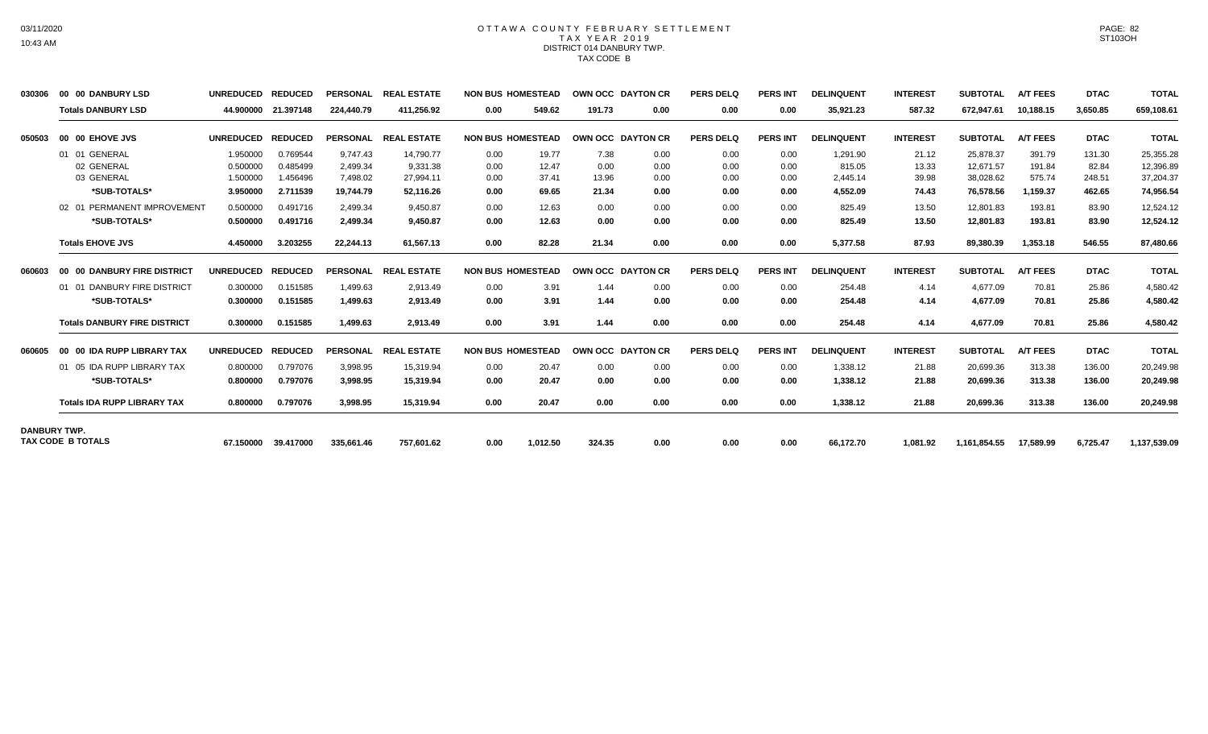# OTTAWA COUNTY FEBRUARY SETTLEMENT TAX YEAR 2019 DISTRICT 014 DANBURY TWP. TAX CODE B

| 030306              | 00 00 DANBURY LSD                   | <b>UNREDUCED</b> | <b>REDUCED</b> | <b>PERSONAL</b> | <b>REAL ESTATE</b> |      | <b>NON BUS HOMESTEAD</b> |        | OWN OCC DAYTON CR | <b>PERS DELQ</b> | <b>PERS INT</b> | <b>DELINQUENT</b> | <b>INTEREST</b> | <b>SUBTOTAL</b> | <b>A/T FEES</b> | <b>DTAC</b> | <b>TOTAL</b> |
|---------------------|-------------------------------------|------------------|----------------|-----------------|--------------------|------|--------------------------|--------|-------------------|------------------|-----------------|-------------------|-----------------|-----------------|-----------------|-------------|--------------|
|                     | <b>Totals DANBURY LSD</b>           | 44.900000        | 21.397148      | 224,440.79      | 411.256.92         | 0.00 | 549.62                   | 191.73 | 0.00              | 0.00             | 0.00            | 35,921.23         | 587.32          | 672,947.61      | 10,188.15       | 3,650.85    | 659,108.61   |
| 050503              | 00 00 EHOVE JVS                     | <b>UNREDUCED</b> | <b>REDUCED</b> | <b>PERSONAL</b> | <b>REAL ESTATE</b> |      | <b>NON BUS HOMESTEAD</b> |        | OWN OCC DAYTON CR | <b>PERS DELQ</b> | <b>PERS INT</b> | <b>DELINQUENT</b> | <b>INTEREST</b> | <b>SUBTOTAL</b> | <b>A/T FEES</b> | <b>DTAC</b> | <b>TOTAL</b> |
|                     | 01 01 GENERAL                       | 1.950000         | 0.769544       | 9.747.43        | 14.790.77          | 0.00 | 19.77                    | 7.38   | 0.00              | 0.00             | 0.00            | 1.291.90          | 21.12           | 25,878.37       | 391.79          | 131.30      | 25,355.28    |
|                     | 02 GENERAL                          | 0.500000         | 0.485499       | 2.499.34        | 9.331.38           | 0.00 | 12.47                    | 0.00   | 0.00              | 0.00             | 0.00            | 815.05            | 13.33           | 12.671.57       | 191.84          | 82.84       | 12,396.89    |
|                     | 03 GENERAL                          | 1.500000         | 1.456496       | 7.498.02        | 27.994.11          | 0.00 | 37.41                    | 13.96  | 0.00              | 0.00             | 0.00            | 2.445.14          | 39.98           | 38,028.62       | 575.74          | 248.51      | 37,204.37    |
|                     | *SUB-TOTALS*                        | 3.950000         | 2.711539       | 19,744.79       | 52.116.26          | 0.00 | 69.65                    | 21.34  | 0.00              | 0.00             | 0.00            | 4.552.09          | 74.43           | 76,578.56       | 1,159.37        | 462.65      | 74,956.54    |
|                     | 02 01 PERMANENT IMPROVEMENT         | 0.500000         | 0.491716       | 2,499.34        | 9,450.87           | 0.00 | 12.63                    | 0.00   | 0.00              | 0.00             | 0.00            | 825.49            | 13.50           | 12,801.83       | 193.81          | 83.90       | 12,524.12    |
|                     | *SUB-TOTALS*                        | 0.500000         | 0.491716       | 2,499.34        | 9,450.87           | 0.00 | 12.63                    | 0.00   | 0.00              | 0.00             | 0.00            | 825.49            | 13.50           | 12,801.83       | 193.81          | 83.90       | 12,524.12    |
|                     | <b>Totals EHOVE JVS</b>             | 4.450000         | 3.203255       | 22,244.13       | 61.567.13          | 0.00 | 82.28                    | 21.34  | 0.00              | 0.00             | 0.00            | 5,377.58          | 87.93           | 89,380.39       | 1,353.18        | 546.55      | 87,480.66    |
| 060603              | 00 00 DANBURY FIRE DISTRICT         | <b>UNREDUCED</b> | <b>REDUCED</b> | <b>PERSONAL</b> | <b>REAL ESTATE</b> |      | <b>NON BUS HOMESTEAD</b> |        | OWN OCC DAYTON CR | <b>PERS DELQ</b> | <b>PERS INT</b> | <b>DELINQUENT</b> | <b>INTEREST</b> | <b>SUBTOTAL</b> | <b>A/T FEES</b> | <b>DTAC</b> | <b>TOTAL</b> |
|                     | 01 01 DANBURY FIRE DISTRICT         | 0.300000         | 0.151585       | 1,499.63        | 2,913.49           | 0.00 | 3.91                     | 1.44   | 0.00              | 0.00             | 0.00            | 254.48            | 4.14            | 4.677.09        | 70.81           | 25.86       | 4,580.42     |
|                     | *SUB-TOTALS*                        | 0.300000         | 0.151585       | 1,499.63        | 2,913.49           | 0.00 | 3.91                     | 1.44   | 0.00              | 0.00             | 0.00            | 254.48            | 4.14            | 4,677.09        | 70.81           | 25.86       | 4,580.42     |
|                     | <b>Totals DANBURY FIRE DISTRICT</b> | 0.300000         | 0.151585       | 1.499.63        | 2,913.49           | 0.00 | 3.91                     | 1.44   | 0.00              | 0.00             | 0.00            | 254.48            | 4.14            | 4,677.09        | 70.81           | 25.86       | 4,580.42     |
| 060605              | 00 00 IDA RUPP LIBRARY TAX          | <b>UNREDUCED</b> | <b>REDUCED</b> | <b>PERSONAL</b> | <b>REAL ESTATE</b> |      | <b>NON BUS HOMESTEAD</b> |        | OWN OCC DAYTON CR | <b>PERS DELQ</b> | <b>PERS INT</b> | <b>DELINQUENT</b> | <b>INTEREST</b> | <b>SUBTOTAL</b> | <b>A/T FEES</b> | <b>DTAC</b> | <b>TOTAL</b> |
|                     | 01 05 IDA RUPP LIBRARY TAX          | 0.800000         | 0.797076       | 3,998.95        | 15,319.94          | 0.00 | 20.47                    | 0.00   | 0.00              | 0.00             | 0.00            | 1,338.12          | 21.88           | 20,699.36       | 313.38          | 136.00      | 20,249.98    |
|                     | *SUB-TOTALS*                        | 0.800000         | 0.797076       | 3.998.95        | 15.319.94          | 0.00 | 20.47                    | 0.00   | 0.00              | 0.00             | 0.00            | 1.338.12          | 21.88           | 20,699.36       | 313.38          | 136.00      | 20,249.98    |
|                     | <b>Totals IDA RUPP LIBRARY TAX</b>  | 0.800000         | 0.797076       | 3.998.95        | 15.319.94          | 0.00 | 20.47                    | 0.00   | 0.00              | 0.00             | 0.00            | 1,338.12          | 21.88           | 20,699.36       | 313.38          | 136.00      | 20,249.98    |
| <b>DANBURY TWP.</b> |                                     |                  |                |                 |                    |      |                          |        |                   |                  |                 |                   |                 |                 |                 |             |              |
|                     | <b>TAX CODE B TOTALS</b>            | 67.150000        | 39.417000      | 335,661.46      | 757.601.62         | 0.00 | 1,012.50                 | 324.35 | 0.00              | 0.00             | 0.00            | 66,172.70         | 1.081.92        | 1,161,854.55    | 17,589.99       | 6.725.47    | 1,137,539.09 |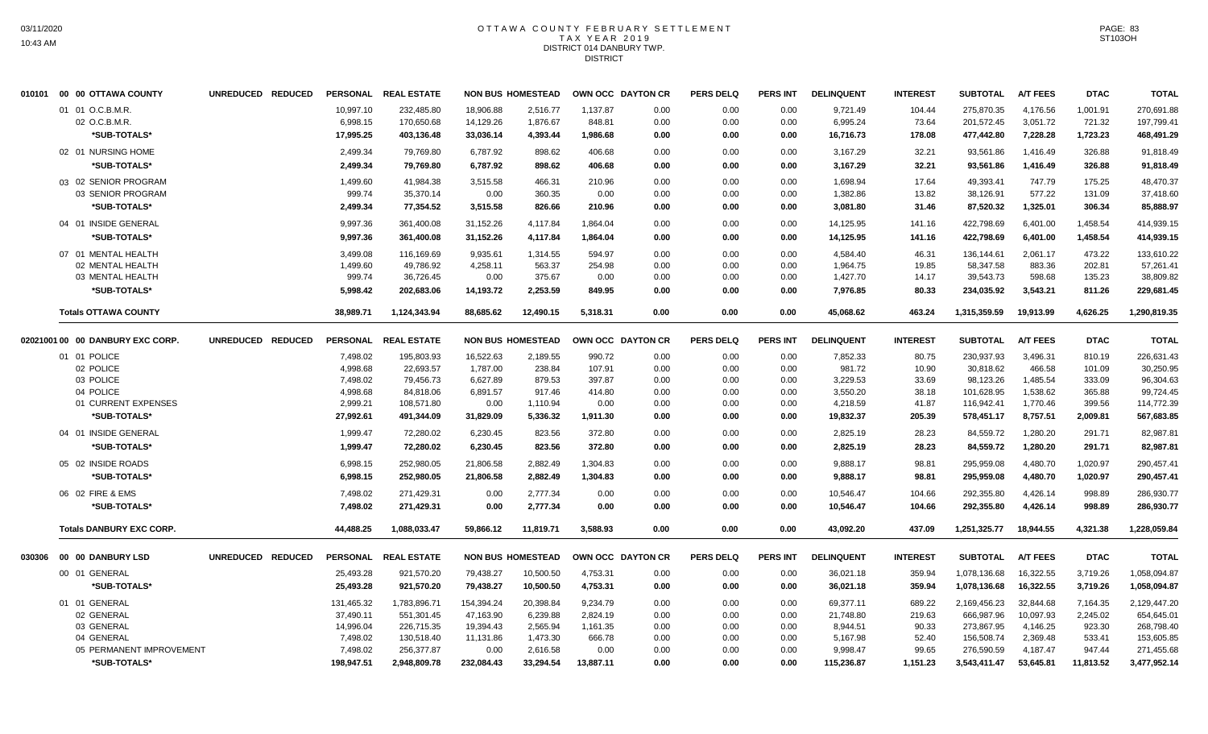# OTTAWA COUNTY FEBRUARY SETTLEMENT TAX YEAR 2019 DISTRICT 014 DANBURY TWP. DISTRICT

|        | 010101 00 00 OTTAWA COUNTY       | UNREDUCED REDUCED |            | PERSONAL REAL ESTATE |            | <b>NON BUS HOMESTEAD</b> | OWN OCC DAYTON CR |      | <b>PERS DELQ</b> | <b>PERS INT</b> | <b>DELINQUENT</b> | <b>INTEREST</b> | <b>SUBTOTAL</b> | <b>A/T FEES</b> | <b>DTAC</b> | <b>TOTAL</b> |
|--------|----------------------------------|-------------------|------------|----------------------|------------|--------------------------|-------------------|------|------------------|-----------------|-------------------|-----------------|-----------------|-----------------|-------------|--------------|
|        | 01 01 O.C.B.M.R.                 |                   | 10,997.10  | 232,485.80           | 18,906.88  | 2,516.77                 | 1,137.87          | 0.00 | 0.00             | 0.00            | 9,721.49          | 104.44          | 275,870.35      | 4,176.56        | 1,001.91    | 270,691.88   |
|        | 02 O.C.B.M.R.                    |                   | 6,998.15   | 170,650.68           | 14,129.26  | 1,876.67                 | 848.81            | 0.00 | 0.00             | 0.00            | 6,995.24          | 73.64           | 201,572.45      | 3,051.72        | 721.32      | 197,799.41   |
|        | *SUB-TOTALS*                     |                   | 17,995.25  | 403,136.48           | 33,036.14  | 4,393.44                 | 1,986.68          | 0.00 | 0.00             | 0.00            | 16,716.73         | 178.08          | 477,442.80      | 7,228.28        | 1,723.23    | 468,491.29   |
|        | 02 01 NURSING HOME               |                   | 2,499.34   | 79,769.80            | 6,787.92   | 898.62                   | 406.68            | 0.00 | 0.00             | 0.00            | 3,167.29          | 32.21           | 93,561.86       | 1,416.49        | 326.88      | 91,818.49    |
|        | *SUB-TOTALS*                     |                   | 2,499.34   | 79,769.80            | 6,787.92   | 898.62                   | 406.68            | 0.00 | 0.00             | 0.00            | 3,167.29          | 32.21           | 93,561.86       | 1,416.49        | 326.88      | 91,818.49    |
|        | 03 02 SENIOR PROGRAM             |                   | 1,499.60   | 41,984.38            | 3,515.58   | 466.31                   | 210.96            | 0.00 | 0.00             | 0.00            | 1,698.94          | 17.64           | 49,393.41       | 747.79          | 175.25      | 48,470.37    |
|        | 03 SENIOR PROGRAM                |                   | 999.74     | 35,370.14            | 0.00       | 360.35                   | 0.00              | 0.00 | 0.00             | 0.00            | 1,382.86          | 13.82           | 38,126.91       | 577.22          | 131.09      | 37,418.60    |
|        | *SUB-TOTALS*                     |                   | 2,499.34   | 77,354.52            | 3,515.58   | 826.66                   | 210.96            | 0.00 | 0.00             | 0.00            | 3,081.80          | 31.46           | 87,520.32       | 1,325.01        | 306.34      | 85,888.97    |
|        | 04 01 INSIDE GENERAL             |                   | 9,997.36   | 361,400.08           | 31,152.26  | 4,117.84                 | 1,864.04          | 0.00 | 0.00             | 0.00            | 14,125.95         | 141.16          | 422,798.69      | 6,401.00        | 1,458.54    | 414,939.15   |
|        | *SUB-TOTALS*                     |                   | 9,997.36   | 361,400.08           | 31,152.26  | 4,117.84                 | 1,864.04          | 0.00 | 0.00             | 0.00            | 14,125.95         | 141.16          | 422,798.69      | 6.401.00        | 1,458.54    | 414,939.15   |
|        | 07 01 MENTAL HEALTH              |                   | 3,499.08   | 116,169.69           | 9,935.61   | 1,314.55                 | 594.97            | 0.00 | 0.00             | 0.00            | 4,584.40          | 46.31           | 136,144.61      | 2,061.17        | 473.22      | 133,610.22   |
|        | 02 MENTAL HEALTH                 |                   | 1,499.60   | 49,786.92            | 4,258.11   | 563.37                   | 254.98            | 0.00 | 0.00             | 0.00            | 1,964.75          | 19.85           | 58,347.58       | 883.36          | 202.81      | 57,261.41    |
|        | 03 MENTAL HEALTH                 |                   | 999.74     | 36,726.45            | 0.00       | 375.67                   | 0.00              | 0.00 | 0.00             | 0.00            | 1,427.70          | 14.17           | 39,543.73       | 598.68          | 135.23      | 38,809.82    |
|        | *SUB-TOTALS*                     |                   | 5,998.42   | 202,683.06           | 14,193.72  | 2,253.59                 | 849.95            | 0.00 | 0.00             | 0.00            | 7,976.85          | 80.33           | 234,035.92      | 3,543.21        | 811.26      | 229,681.45   |
|        | <b>Totals OTTAWA COUNTY</b>      |                   | 38,989.71  | 1,124,343.94         | 88,685.62  | 12,490.15                | 5,318.31          | 0.00 | 0.00             | 0.00            | 45,068.62         | 463.24          | 1,315,359.59    | 19,913.99       | 4,626.25    | 1,290,819.35 |
|        | 02021001 00 00 DANBURY EXC CORP. | UNREDUCED REDUCED |            | PERSONAL REAL ESTATE |            | <b>NON BUS HOMESTEAD</b> | OWN OCC DAYTON CR |      | <b>PERS DELQ</b> | <b>PERS INT</b> | <b>DELINQUENT</b> | <b>INTEREST</b> | <b>SUBTOTAL</b> | <b>A/T FEES</b> | <b>DTAC</b> | <b>TOTAL</b> |
|        | 01 01 POLICE                     |                   | 7,498.02   | 195,803.93           | 16,522.63  | 2,189.55                 | 990.72            | 0.00 | 0.00             | 0.00            | 7,852.33          | 80.75           | 230,937.93      | 3,496.31        | 810.19      | 226,631.43   |
|        | 02 POLICE                        |                   | 4,998.68   | 22,693.57            | 1,787.00   | 238.84                   | 107.91            | 0.00 | 0.00             | 0.00            | 981.72            | 10.90           | 30,818.62       | 466.58          | 101.09      | 30,250.95    |
|        | 03 POLICE                        |                   | 7,498.02   | 79,456.73            | 6,627.89   | 879.53                   | 397.87            | 0.00 | 0.00             | 0.00            | 3,229.53          | 33.69           | 98,123.26       | 1,485.54        | 333.09      | 96,304.63    |
|        | 04 POLICE                        |                   | 4,998.68   | 84,818.06            | 6,891.57   | 917.46                   | 414.80            | 0.00 | 0.00             | 0.00            | 3,550.20          | 38.18           | 101,628.95      | 1,538.62        | 365.88      | 99,724.45    |
|        | 01 CURRENT EXPENSES              |                   | 2,999.21   | 108,571.80           | 0.00       | 1,110.94                 | 0.00              | 0.00 | 0.00             | 0.00            | 4,218.59          | 41.87           | 116,942.41      | 1,770.46        | 399.56      | 114,772.39   |
|        | *SUB-TOTALS*                     |                   | 27,992.61  | 491,344.09           | 31,829.09  | 5,336.32                 | 1,911.30          | 0.00 | 0.00             | 0.00            | 19,832.37         | 205.39          | 578,451.17      | 8,757.51        | 2,009.81    | 567,683.85   |
|        | 04 01 INSIDE GENERAL             |                   | 1,999.47   | 72,280.02            | 6,230.45   | 823.56                   | 372.80            | 0.00 | 0.00             | 0.00            | 2,825.19          | 28.23           | 84,559.72       | 1,280.20        | 291.71      | 82,987.81    |
|        | *SUB-TOTALS*                     |                   | 1,999.47   | 72,280.02            | 6,230.45   | 823.56                   | 372.80            | 0.00 | 0.00             | 0.00            | 2,825.19          | 28.23           | 84,559.72       | 1,280.20        | 291.71      | 82,987.81    |
|        | 05 02 INSIDE ROADS               |                   | 6,998.15   | 252,980.05           | 21,806.58  | 2.882.49                 | 1,304.83          | 0.00 | 0.00             | 0.00            | 9,888.17          | 98.81           | 295.959.08      | 4,480.70        | 1,020.97    | 290,457.41   |
|        | *SUB-TOTALS*                     |                   | 6,998.15   | 252,980.05           | 21,806.58  | 2,882.49                 | 1,304.83          | 0.00 | 0.00             | 0.00            | 9,888.17          | 98.81           | 295,959.08      | 4,480.70        | 1,020.97    | 290,457.41   |
|        | 06 02 FIRE & EMS                 |                   | 7,498.02   | 271,429.31           | 0.00       | 2,777.34                 | 0.00              | 0.00 | 0.00             | 0.00            | 10,546.47         | 104.66          | 292,355.80      | 4,426.14        | 998.89      | 286,930.77   |
|        | *SUB-TOTALS*                     |                   | 7,498.02   | 271,429.31           | 0.00       | 2,777.34                 | 0.00              | 0.00 | 0.00             | 0.00            | 10,546.47         | 104.66          | 292,355.80      | 4,426.14        | 998.89      | 286,930.77   |
|        | <b>Totals DANBURY EXC CORP.</b>  |                   | 44,488.25  | 1,088,033.47         | 59,866.12  | 11,819.71                | 3,588.93          | 0.00 | 0.00             | 0.00            | 43,092.20         | 437.09          | 1,251,325.77    | 18,944.55       | 4,321.38    | 1,228,059.84 |
|        | 00 00 DANBURY LSD                | UNREDUCED REDUCED |            | PERSONAL REAL ESTATE |            | <b>NON BUS HOMESTEAD</b> | OWN OCC DAYTON CR |      | <b>PERS DELQ</b> | <b>PERS INT</b> | <b>DELINQUENT</b> | <b>INTEREST</b> | <b>SUBTOTAL</b> | <b>A/T FEES</b> | <b>DTAC</b> | <b>TOTAL</b> |
| 030306 |                                  |                   |            |                      |            |                          |                   |      |                  |                 |                   |                 |                 |                 |             |              |
|        | 00 01 GENERAL                    |                   | 25,493.28  | 921,570.20           | 79,438.27  | 10,500.50                | 4,753.31          | 0.00 | 0.00             | 0.00            | 36,021.18         | 359.94          | 1,078,136.68    | 16,322.55       | 3,719.26    | 1,058,094.87 |
|        | *SUB-TOTALS*                     |                   | 25,493.28  | 921,570.20           | 79,438.27  | 10,500.50                | 4,753.31          | 0.00 | 0.00             | 0.00            | 36,021.18         | 359.94          | 1,078,136.68    | 16,322.55       | 3,719.26    | 1,058,094.87 |
|        | 01 01 GENERAL                    |                   | 131,465.32 | 1,783,896.71         | 154,394.24 | 20,398.84                | 9,234.79          | 0.00 | 0.00             | 0.00            | 69,377.11         | 689.22          | 2,169,456.23    | 32,844.68       | 7,164.35    | 2,129,447.20 |
|        | 02 GENERAL                       |                   | 37,490.11  | 551,301.45           | 47,163.90  | 6,239.88                 | 2,824.19          | 0.00 | 0.00             | 0.00            | 21,748.80         | 219.63          | 666,987.96      | 10,097.93       | 2,245.02    | 654,645.01   |
|        | 03 GENERAL                       |                   | 14,996.04  | 226,715.35           | 19,394.43  | 2,565.94                 | 1,161.35          | 0.00 | 0.00             | 0.00            | 8,944.51          | 90.33           | 273,867.95      | 4,146.25        | 923.30      | 268,798.40   |
|        | 04 GENERAL                       |                   | 7,498.02   | 130,518.40           | 11,131.86  | 1,473.30                 | 666.78            | 0.00 | 0.00             | 0.00            | 5,167.98          | 52.40           | 156,508.74      | 2,369.48        | 533.41      | 153,605.85   |
|        | 05 PERMANENT IMPROVEMENT         |                   | 7,498.02   | 256,377.87           | 0.00       | 2,616.58                 | 0.00              | 0.00 | 0.00             | 0.00            | 9,998.47          | 99.65           | 276,590.59      | 4,187.47        | 947.44      | 271,455.68   |
|        | *SUB-TOTALS*                     |                   | 198,947.51 | 2,948,809.78         | 232,084.43 | 33,294.54                | 13,887.11         | 0.00 | 0.00             | 0.00            | 115,236.87        | 1.151.23        | 3,543,411.47    | 53,645.81       | 11,813.52   | 3,477,952.14 |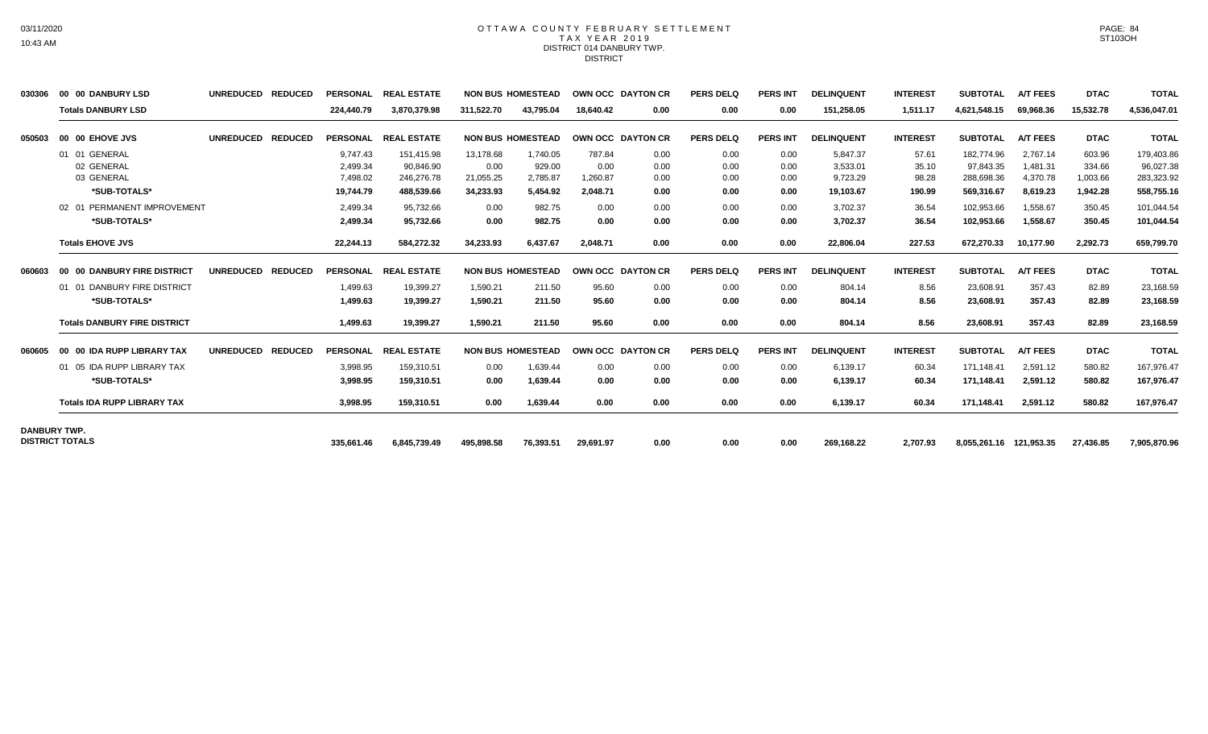## OTTAWA COUNTY FEBRUARY SETTLEMENT TAX YEAR 2019 DISTRICT 014 DANBURY TWP. DISTRICT

| 030306              | 00 00 DANBURY LSD                   | <b>UNREDUCED</b> | <b>REDUCED</b> | <b>PERSONAL</b> | <b>REAL ESTATE</b> |            | <b>NON BUS HOMESTEAD</b> |           | <b>OWN OCC DAYTON CR</b> | <b>PERS DELQ</b> | <b>PERS INT</b> | <b>DELINQUENT</b> | <b>INTEREST</b> | <b>SUBTOTAL</b>         | <b>A/T FEES</b> | <b>DTAC</b> | <b>TOTAL</b> |
|---------------------|-------------------------------------|------------------|----------------|-----------------|--------------------|------------|--------------------------|-----------|--------------------------|------------------|-----------------|-------------------|-----------------|-------------------------|-----------------|-------------|--------------|
|                     | <b>Totals DANBURY LSD</b>           |                  |                | 224,440.79      | 3,870,379.98       | 311,522.70 | 43.795.04                | 18,640.42 | 0.00                     | 0.00             | 0.00            | 151,258.05        | 1,511.17        | 4,621,548.15            | 69,968.36       | 15,532.78   | 4,536,047.01 |
| 050503              | 00 00 EHOVE JVS                     | <b>UNREDUCED</b> | <b>REDUCED</b> | <b>PERSONAL</b> | <b>REAL ESTATE</b> |            | <b>NON BUS HOMESTEAD</b> |           | OWN OCC DAYTON CR        | <b>PERS DELQ</b> | <b>PERS INT</b> | <b>DELINQUENT</b> | <b>INTEREST</b> | <b>SUBTOTAL</b>         | <b>A/T FEES</b> | <b>DTAC</b> | <b>TOTAL</b> |
|                     | 01 01 GENERAL                       |                  |                | 9.747.43        | 151,415.98         | 13,178.68  | 1,740.05                 | 787.84    | 0.00                     | 0.00             | 0.00            | 5,847.37          | 57.61           | 182,774.96              | 2,767.14        | 603.96      | 179,403.86   |
|                     | 02 GENERAL                          |                  |                | 2,499.34        | 90,846.90          | 0.00       | 929.00                   | 0.00      | 0.00                     | 0.00             | 0.00            | 3,533.01          | 35.10           | 97,843.35               | 1,481.31        | 334.66      | 96,027.38    |
|                     | 03 GENERAL                          |                  |                | 7,498.02        | 246,276.78         | 21,055.25  | 2,785.87                 | 1,260.87  | 0.00                     | 0.00             | 0.00            | 9,723.29          | 98.28           | 288,698.36              | 4,370.78        | 1,003.66    | 283,323.92   |
|                     | *SUB-TOTALS*                        |                  |                | 19.744.79       | 488.539.66         | 34.233.93  | 5.454.92                 | 2.048.71  | 0.00                     | 0.00             | 0.00            | 19.103.67         | 190.99          | 569,316.67              | 8.619.23        | 1.942.28    | 558,755.16   |
|                     | 02 01 PERMANENT IMPROVEMENT         |                  |                | 2,499.34        | 95,732.66          | 0.00       | 982.75                   | 0.00      | 0.00                     | 0.00             | 0.00            | 3,702.37          | 36.54           | 102,953.66              | 1,558.67        | 350.45      | 101,044.54   |
|                     | *SUB-TOTALS*                        |                  |                | 2,499.34        | 95,732.66          | 0.00       | 982.75                   | 0.00      | 0.00                     | 0.00             | 0.00            | 3,702.37          | 36.54           | 102,953.66              | 1,558.67        | 350.45      | 101,044.54   |
|                     | <b>Totals EHOVE JVS</b>             |                  |                | 22,244.13       | 584,272.32         | 34,233.93  | 6,437.67                 | 2,048.71  | 0.00                     | 0.00             | 0.00            | 22,806.04         | 227.53          | 672,270.33              | 10,177.90       | 2,292.73    | 659,799.70   |
| 060603              | 00 00 DANBURY FIRE DISTRICT         | <b>UNREDUCED</b> | <b>REDUCED</b> | <b>PERSONAL</b> | <b>REAL ESTATE</b> |            | <b>NON BUS HOMESTEAD</b> |           | OWN OCC DAYTON CR        | <b>PERS DELQ</b> | <b>PERS INT</b> | <b>DELINQUENT</b> | <b>INTEREST</b> | <b>SUBTOTAL</b>         | <b>A/T FEES</b> | <b>DTAC</b> | <b>TOTAL</b> |
|                     | 01 01 DANBURY FIRE DISTRICT         |                  |                | 1.499.63        | 19.399.27          | 1.590.21   | 211.50                   | 95.60     | 0.00                     | 0.00             | 0.00            | 804.14            | 8.56            | 23.608.91               | 357.43          | 82.89       | 23,168.59    |
|                     | *SUB-TOTALS*                        |                  |                | 1,499.63        | 19,399.27          | 1,590.21   | 211.50                   | 95.60     | 0.00                     | 0.00             | 0.00            | 804.14            | 8.56            | 23,608.91               | 357.43          | 82.89       | 23,168.59    |
|                     | <b>Totals DANBURY FIRE DISTRICT</b> |                  |                | 1,499.63        | 19,399.27          | 1,590.21   | 211.50                   | 95.60     | 0.00                     | 0.00             | 0.00            | 804.14            | 8.56            | 23,608.91               | 357.43          | 82.89       | 23,168.59    |
| 060605              | 00 00 IDA RUPP LIBRARY TAX          | <b>UNREDUCED</b> | <b>REDUCED</b> | <b>PERSONAL</b> | <b>REAL ESTATE</b> |            | <b>NON BUS HOMESTEAD</b> |           | OWN OCC DAYTON CR        | <b>PERS DELQ</b> | <b>PERS INT</b> | <b>DELINQUENT</b> | <b>INTEREST</b> | <b>SUBTOTAL</b>         | <b>A/T FEES</b> | <b>DTAC</b> | <b>TOTAL</b> |
|                     | 01 05 IDA RUPP LIBRARY TAX          |                  |                | 3,998.95        | 159,310.51         | 0.00       | 1,639.44                 | 0.00      | 0.00                     | 0.00             | 0.00            | 6,139.17          | 60.34           | 171.148.41              | 2,591.12        | 580.82      | 167,976.47   |
|                     | *SUB-TOTALS*                        |                  |                | 3.998.95        | 159.310.51         | 0.00       | 1,639.44                 | 0.00      | 0.00                     | 0.00             | 0.00            | 6.139.17          | 60.34           | 171,148.41              | 2,591.12        | 580.82      | 167,976.47   |
|                     | <b>Totals IDA RUPP LIBRARY TAX</b>  |                  |                | 3,998.95        | 159,310.51         | 0.00       | 1,639.44                 | 0.00      | 0.00                     | 0.00             | 0.00            | 6,139.17          | 60.34           | 171,148.41              | 2,591.12        | 580.82      | 167,976.47   |
| <b>DANBURY TWP.</b> |                                     |                  |                |                 |                    |            |                          |           |                          |                  |                 |                   |                 |                         |                 |             |              |
|                     | <b>DISTRICT TOTALS</b>              |                  |                | 335.661.46      | 6,845,739.49       | 495.898.58 | 76,393.51                | 29,691.97 | 0.00                     | 0.00             | 0.00            | 269,168.22        | 2.707.93        | 8,055,261.16 121,953.35 |                 | 27,436.85   | 7,905,870.96 |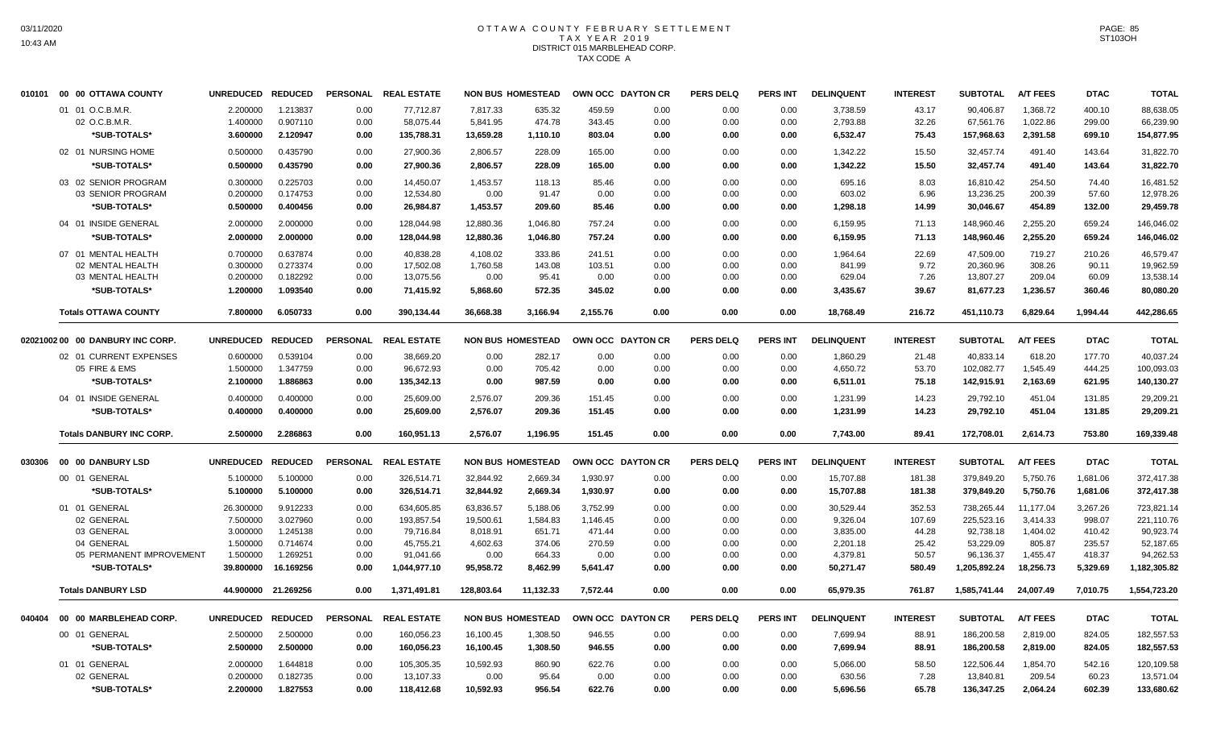# OTTAWA COUNTY FEBRUARY SETTLEMENT TAX YEAR 2019 DISTRICT 015 MARBLEHEAD CORP. TAX CODE A

|        | 010101 00 00 OTTAWA COUNTY       | <b>UNREDUCED</b> | <b>REDUCED</b>      | <b>PERSONAL</b> | <b>REAL ESTATE</b>   |            | <b>NON BUS HOMESTEAD</b> |          | OWN OCC DAYTON CR | <b>PERS DELQ</b> | <b>PERS INT</b> | <b>DELINQUENT</b> | <b>INTEREST</b> | <b>SUBTOTAL</b> | <b>A/T FEES</b> | <b>DTAC</b> | <b>TOTAL</b> |
|--------|----------------------------------|------------------|---------------------|-----------------|----------------------|------------|--------------------------|----------|-------------------|------------------|-----------------|-------------------|-----------------|-----------------|-----------------|-------------|--------------|
|        | 01 01 O.C.B.M.R.                 | 2.200000         | 1.213837            | 0.00            | 77.712.87            | 7,817.33   | 635.32                   | 459.59   | 0.00              | 0.00             | 0.00            | 3,738.59          | 43.17           | 90.406.87       | 1,368.72        | 400.10      | 88,638.05    |
|        | 02 O.C.B.M.R.                    | 1.400000         | 0.907110            | 0.00            | 58,075.44            | 5,841.95   | 474.78                   | 343.45   | 0.00              | 0.00             | 0.00            | 2,793.88          | 32.26           | 67,561.76       | 1,022.86        | 299.00      | 66,239.90    |
|        | *SUB-TOTALS*                     | 3.600000         | 2.120947            | 0.00            | 135,788.31           | 13,659.28  | 1,110.10                 | 803.04   | 0.00              | 0.00             | 0.00            | 6,532.47          | 75.43           | 157,968.63      | 2,391.58        | 699.10      | 154,877.95   |
|        | 02 01 NURSING HOME               | 0.500000         | 0.435790            | 0.00            | 27,900.36            | 2,806.57   | 228.09                   | 165.00   | 0.00              | 0.00             | 0.00            | 1,342.22          | 15.50           | 32,457.74       | 491.40          | 143.64      | 31,822.70    |
|        | *SUB-TOTALS*                     | 0.500000         | 0.435790            | 0.00            | 27,900.36            | 2,806.57   | 228.09                   | 165.00   | 0.00              | 0.00             | 0.00            | 1,342.22          | 15.50           | 32,457.74       | 491.40          | 143.64      | 31,822.70    |
|        | 03 02 SENIOR PROGRAM             | 0.300000         | 0.225703            | 0.00            | 14.450.07            | 1,453.57   | 118.13                   | 85.46    | 0.00              | 0.00             | 0.00            | 695.16            | 8.03            | 16.810.42       | 254.50          | 74.40       | 16,481.52    |
|        | 03 SENIOR PROGRAM                | 0.200000         | 0.174753            | 0.00            | 12,534.80            | 0.00       | 91.47                    | 0.00     | 0.00              | 0.00             | 0.00            | 603.02            | 6.96            | 13,236.25       | 200.39          | 57.60       | 12,978.26    |
|        | *SUB-TOTALS*                     | 0.500000         | 0.400456            | 0.00            | 26,984.87            | 1,453.57   | 209.60                   | 85.46    | 0.00              | 0.00             | 0.00            | 1,298.18          | 14.99           | 30,046.67       | 454.89          | 132.00      | 29,459.78    |
|        | 04 01 INSIDE GENERAL             | 2.000000         | 2.000000            | 0.00            | 128,044.98           | 12,880.36  | 1.046.80                 | 757.24   | 0.00              | 0.00             | 0.00            | 6,159.95          | 71.13           | 148,960.46      | 2,255.20        | 659.24      | 146,046.02   |
|        | *SUB-TOTALS*                     | 2.000000         | 2.000000            | 0.00            | 128,044.98           | 12,880.36  | 1,046.80                 | 757.24   | 0.00              | 0.00             | 0.00            | 6,159.95          | 71.13           | 148,960.46      | 2,255.20        | 659.24      | 146,046.02   |
|        | 07 01 MENTAL HEALTH              | 0.700000         | 0.637874            | 0.00            | 40,838.28            | 4.108.02   | 333.86                   | 241.51   | 0.00              | 0.00             | 0.00            | 1,964.64          | 22.69           | 47,509.00       | 719.27          | 210.26      | 46.579.47    |
|        | 02 MENTAL HEALTH                 | 0.300000         | 0.273374            | 0.00            | 17.502.08            | 1.760.58   | 143.08                   | 103.51   | 0.00              | 0.00             | 0.00            | 841.99            | 9.72            | 20.360.96       | 308.26          | 90.11       | 19.962.59    |
|        | 03 MENTAL HEALTH                 | 0.200000         | 0.182292            | 0.00            | 13,075.56            | 0.00       | 95.41                    | 0.00     | 0.00              | 0.00             | 0.00            | 629.04            | 7.26            | 13,807.27       | 209.04          | 60.09       | 13,538.14    |
|        | *SUB-TOTALS*                     | 1.200000         | 1.093540            | 0.00            | 71,415.92            | 5,868.60   | 572.35                   | 345.02   | 0.00              | 0.00             | 0.00            | 3,435.67          | 39.67           | 81,677.23       | 1,236.57        | 360.46      | 80,080.20    |
|        | <b>Totals OTTAWA COUNTY</b>      | 7.800000         | 6.050733            | 0.00            | 390,134.44           | 36,668.38  | 3,166.94                 | 2,155.76 | 0.00              | 0.00             | 0.00            | 18,768.49         | 216.72          | 451,110.73      | 6,829.64        | 1,994.44    | 442,286.65   |
|        | 02021002 00 00 DANBURY INC CORP. | <b>UNREDUCED</b> | <b>REDUCED</b>      |                 | PERSONAL REAL ESTATE |            | <b>NON BUS HOMESTEAD</b> |          | OWN OCC DAYTON CR | <b>PERS DELQ</b> | <b>PERS INT</b> | <b>DELINQUENT</b> | <b>INTEREST</b> | <b>SUBTOTAL</b> | <b>A/T FEES</b> | <b>DTAC</b> | <b>TOTAL</b> |
|        | 02 01 CURRENT EXPENSES           | 0.600000         | 0.539104            | 0.00            | 38,669.20            | 0.00       | 282.17                   | 0.00     | 0.00              | 0.00             | 0.00            | 1,860.29          | 21.48           | 40,833.14       | 618.20          | 177.70      | 40,037.24    |
|        | 05 FIRE & EMS                    | 1.500000         | 1.347759            | 0.00            | 96,672.93            | 0.00       | 705.42                   | 0.00     | 0.00              | 0.00             | 0.00            | 4,650.72          | 53.70           | 102,082.77      | 1,545.49        | 444.25      | 100,093.03   |
|        | *SUB-TOTALS*                     | 2.100000         | 1.886863            | 0.00            | 135,342.13           | 0.00       | 987.59                   | 0.00     | 0.00              | 0.00             | 0.00            | 6,511.01          | 75.18           | 142,915.91      | 2,163.69        | 621.95      | 140,130.27   |
|        | 04 01 INSIDE GENERAL             | 0.400000         | 0.400000            | 0.00            | 25,609.00            | 2,576.07   | 209.36                   | 151.45   | 0.00              | 0.00             | 0.00            | 1,231.99          | 14.23           | 29,792.10       | 451.04          | 131.85      | 29,209.21    |
|        | *SUB-TOTALS*                     | 0.400000         | 0.400000            | 0.00            | 25,609.00            | 2,576.07   | 209.36                   | 151.45   | 0.00              | 0.00             | 0.00            | 1,231.99          | 14.23           | 29,792.10       | 451.04          | 131.85      | 29,209.21    |
|        | <b>Totals DANBURY INC CORP.</b>  | 2.500000         | 2.286863            | 0.00            | 160.951.13           | 2.576.07   | 1.196.95                 | 151.45   | 0.00              | 0.00             | 0.00            | 7,743.00          | 89.41           | 172.708.01      | 2.614.73        | 753.80      | 169,339.48   |
| 030306 | 00 00 DANBURY LSD                | <b>UNREDUCED</b> | <b>REDUCED</b>      | <b>PERSONAL</b> | <b>REAL ESTATE</b>   |            | <b>NON BUS HOMESTEAD</b> |          | OWN OCC DAYTON CR | <b>PERS DELQ</b> | <b>PERS INT</b> | <b>DELINQUENT</b> | <b>INTEREST</b> | <b>SUBTOTAL</b> | <b>A/T FEES</b> | <b>DTAC</b> | <b>TOTAL</b> |
|        | 00 01 GENERAL                    | 5.100000         | 5.100000            | 0.00            | 326,514.71           | 32,844.92  | 2.669.34                 | 1,930.97 | 0.00              | 0.00             | 0.00            | 15,707.88         | 181.38          | 379.849.20      | 5,750.76        | 1,681.06    | 372,417.38   |
|        | *SUB-TOTALS*                     | 5.100000         | 5.100000            | 0.00            | 326,514.71           | 32,844.92  | 2,669.34                 | 1,930.97 | 0.00              | 0.00             | 0.00            | 15,707.88         | 181.38          | 379,849.20      | 5,750.76        | 1,681.06    | 372,417.38   |
|        | 01 01 GENERAL                    | 26.300000        | 9.912233            | 0.00            | 634,605.85           | 63,836.57  | 5.188.06                 | 3,752.99 | 0.00              | 0.00             | 0.00            | 30,529.44         | 352.53          | 738,265.44      | 11.177.04       | 3,267.26    | 723,821.14   |
|        | 02 GENERAL                       | 7.500000         | 3.027960            | 0.00            | 193,857.54           | 19,500.61  | 1,584.83                 | 1,146.45 | 0.00              | 0.00             | 0.00            | 9,326.04          | 107.69          | 225,523.16      | 3.414.33        | 998.07      | 221,110.76   |
|        | 03 GENERAL                       | 3.000000         | 1.245138            | 0.00            | 79,716.84            | 8,018.91   | 651.71                   | 471.44   | 0.00              | 0.00             | 0.00            | 3,835.00          | 44.28           | 92,738.18       | 1.404.02        | 410.42      | 90.923.74    |
|        | 04 GENERAL                       | 1.500000         | 0.714674            | 0.00            | 45,755.21            | 4,602.63   | 374.06                   | 270.59   | 0.00              | 0.00             | 0.00            | 2,201.18          | 25.42           | 53,229.09       | 805.87          | 235.57      | 52,187.65    |
|        | 05 PERMANENT IMPROVEMENT         | 1.500000         | 1.269251            | 0.00            | 91,041.66            | 0.00       | 664.33                   | 0.00     | 0.00              | 0.00             | 0.00            | 4,379.81          | 50.57           | 96,136.37       | 1,455.47        | 418.37      | 94,262.53    |
|        | *SUB-TOTALS*                     | 39.800000        | 16.169256           | 0.00            | 1,044,977.10         | 95,958.72  | 8.462.99                 | 5,641.47 | 0.00              | 0.00             | 0.00            | 50,271.47         | 580.49          | 1,205,892.24    | 18,256.73       | 5,329.69    | 1,182,305.82 |
|        | <b>Totals DANBURY LSD</b>        |                  | 44.900000 21.269256 | 0.00            | 1,371,491.81         | 128,803.64 | 11,132.33                | 7.572.44 | 0.00              | 0.00             | 0.00            | 65,979.35         | 761.87          | 1,585,741.44    | 24.007.49       | 7.010.75    | 1,554,723.20 |
| 040404 | 00 00 MARBLEHEAD CORP.           | <b>UNREDUCED</b> | <b>REDUCED</b>      | <b>PERSONAL</b> | <b>REAL ESTATE</b>   |            | <b>NON BUS HOMESTEAD</b> |          | OWN OCC DAYTON CR | <b>PERS DELQ</b> | <b>PERS INT</b> | <b>DELINQUENT</b> | <b>INTEREST</b> | <b>SUBTOTAL</b> | <b>A/T FEES</b> | <b>DTAC</b> | <b>TOTAL</b> |
|        | 00 01 GENERAL                    | 2.500000         | 2.500000            | 0.00            | 160,056.23           | 16,100.45  | 1,308.50                 | 946.55   | 0.00              | 0.00             | 0.00            | 7,699.94          | 88.91           | 186,200.58      | 2,819.00        | 824.05      | 182,557.53   |
|        | *SUB-TOTALS*                     | 2.500000         | 2.500000            | 0.00            | 160,056.23           | 16,100.45  | 1,308.50                 | 946.55   | 0.00              | 0.00             | 0.00            | 7,699.94          | 88.91           | 186,200.58      | 2,819.00        | 824.05      | 182,557.53   |
|        | 01 01 GENERAL                    | 2.000000         | 1.644818            | 0.00            | 105,305.35           | 10,592.93  | 860.90                   | 622.76   | 0.00              | 0.00             | 0.00            | 5,066.00          | 58.50           | 122.506.44      | 1,854.70        | 542.16      | 120,109.58   |
|        | 02 GENERAL                       | 0.200000         | 0.182735            | 0.00            | 13,107.33            | 0.00       | 95.64                    | 0.00     | 0.00              | 0.00             | 0.00            | 630.56            | 7.28            | 13,840.81       | 209.54          | 60.23       | 13,571.04    |
|        | *SUB-TOTALS*                     | 2.200000         | 1.827553            | 0.00            | 118,412.68           | 10,592.93  | 956.54                   | 622.76   | 0.00              | 0.00             | 0.00            | 5,696.56          | 65.78           | 136,347.25      | 2,064.24        | 602.39      | 133,680.62   |
|        |                                  |                  |                     |                 |                      |            |                          |          |                   |                  |                 |                   |                 |                 |                 |             |              |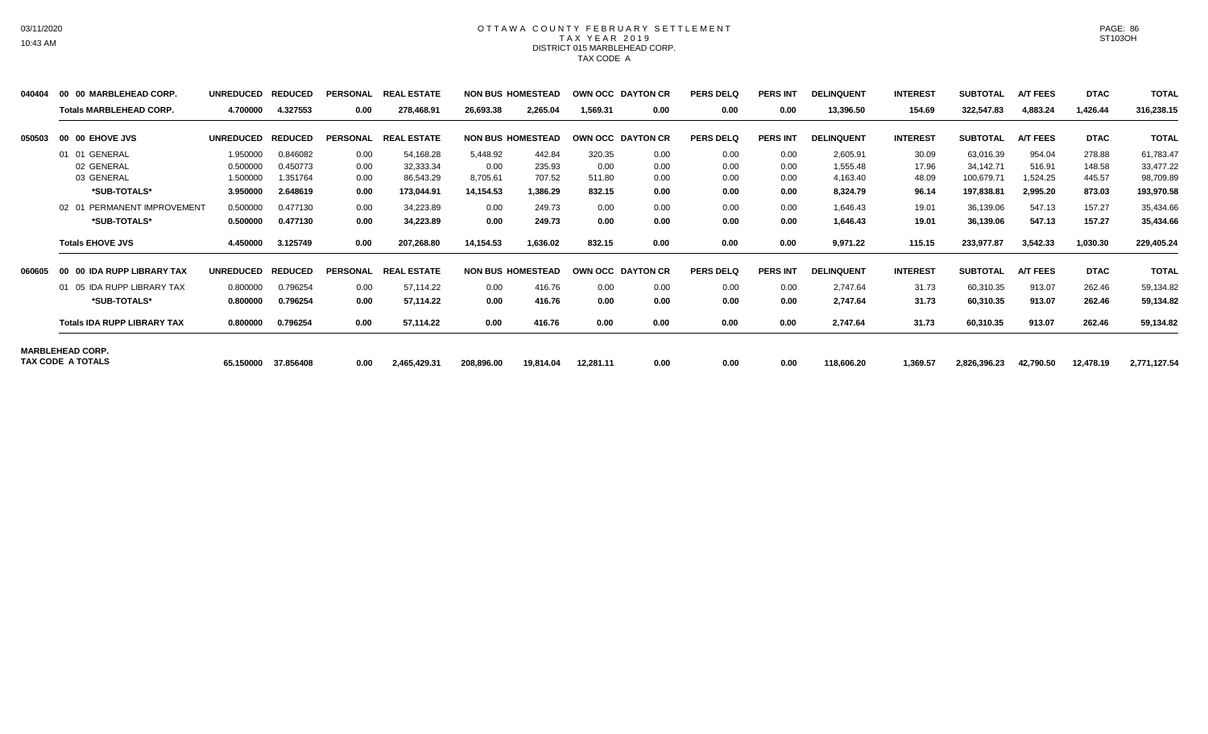## OTTAWA COUNTY FEBRUARY SETTLEMENT TAX YEAR 2019 DISTRICT 015 MARBLEHEAD CORP. TAX CODE A

| 040404 | 00 00 MARBLEHEAD CORP.                 | <b>UNREDUCED</b> | <b>REDUCED</b> | <b>PERSONAL</b> | <b>REAL ESTATE</b> |            | <b>NON BUS HOMESTEAD</b> |           | OWN OCC DAYTON CR | <b>PERS DELQ</b> | <b>PERS INT</b> | <b>DELINQUENT</b> | <b>INTEREST</b> | <b>SUBTOTAL</b> | <b>A/T FEES</b> | <b>DTAC</b> | <b>TOTAL</b> |
|--------|----------------------------------------|------------------|----------------|-----------------|--------------------|------------|--------------------------|-----------|-------------------|------------------|-----------------|-------------------|-----------------|-----------------|-----------------|-------------|--------------|
|        | <b>Totals MARBLEHEAD CORP.</b>         | 4.700000         | 4.327553       | 0.00            | 278,468.91         | 26,693.38  | 2,265.04                 | 1,569.31  | 0.00              | 0.00             | 0.00            | 13,396.50         | 154.69          | 322,547.83      | 4,883.24        | 1,426.44    | 316,238.15   |
| 050503 | 00 00 EHOVE JVS                        | <b>UNREDUCED</b> | <b>REDUCED</b> | <b>PERSONAL</b> | <b>REAL ESTATE</b> |            | <b>NON BUS HOMESTEAD</b> |           | OWN OCC DAYTON CR | <b>PERS DELQ</b> | <b>PERS INT</b> | <b>DELINQUENT</b> | <b>INTEREST</b> | <b>SUBTOTAL</b> | <b>A/T FEES</b> | <b>DTAC</b> | <b>TOTAL</b> |
|        | 01 01 GENERAL                          | 1.950000         | 0.846082       | 0.00            | 54,168.28          | 5,448.92   | 442.84                   | 320.35    | 0.00              | 0.00             | 0.00            | 2,605.91          | 30.09           | 63,016.39       | 954.04          | 278.88      | 61,783.47    |
|        | 02 GENERAL                             | 0.500000         | 0.450773       | 0.00            | 32,333.34          | 0.00       | 235.93                   | 0.00      | 0.00              | 0.00             | 0.00            | 1,555.48          | 17.96           | 34.142.71       | 516.91          | 148.58      | 33,477.22    |
|        | 03 GENERAL                             | 1.500000         | 1.351764       | 0.00            | 86,543.29          | 8,705.61   | 707.52                   | 511.80    | 0.00              | 0.00             | 0.00            | 4,163.40          | 48.09           | 100,679.71      | 1.524.25        | 445.57      | 98,709.89    |
|        | *SUB-TOTALS*                           | 3.950000         | 2.648619       | 0.00            | 173,044.91         | 14,154.53  | 1,386.29                 | 832.15    | 0.00              | 0.00             | 0.00            | 8,324.79          | 96.14           | 197,838.81      | 2,995.20        | 873.03      | 193,970.58   |
|        | PERMANENT IMPROVEMENT<br>$02 \quad 01$ | 0.500000         | 0.477130       | 0.00            | 34,223.89          | 0.00       | 249.73                   | 0.00      | 0.00              | 0.00             | 0.00            | 1,646.43          | 19.01           | 36,139.06       | 547.13          | 157.27      | 35,434.66    |
|        | *SUB-TOTALS*                           | 0.500000         | 0.477130       | 0.00            | 34,223.89          | 0.00       | 249.73                   | 0.00      | 0.00              | 0.00             | 0.00            | 1,646.43          | 19.01           | 36,139.06       | 547.13          | 157.27      | 35,434.66    |
|        | <b>Totals EHOVE JVS</b>                | 4.450000         | 3.125749       | 0.00            | 207,268.80         | 14,154.53  | 1,636.02                 | 832.15    | 0.00              | 0.00             | 0.00            | 9,971.22          | 115.15          | 233,977.87      | 3,542.33        | 1,030.30    | 229,405.24   |
| 060605 | 00 IDA RUPP LIBRARY TAX                | <b>UNREDUCED</b> | <b>REDUCED</b> | <b>PERSONAL</b> | <b>REAL ESTATE</b> |            | <b>NON BUS HOMESTEAD</b> |           | OWN OCC DAYTON CR | <b>PERS DELQ</b> | <b>PERS INT</b> | <b>DELINQUENT</b> | <b>INTEREST</b> | <b>SUBTOTAL</b> | <b>A/T FEES</b> | <b>DTAC</b> | <b>TOTAL</b> |
|        | 01 05 IDA RUPP LIBRARY TAX             | 0.800000         | 0.796254       | 0.00            | 57,114.22          | 0.00       | 416.76                   | 0.00      | 0.00              | 0.00             | 0.00            | 2,747.64          | 31.73           | 60,310.35       | 913.07          | 262.46      | 59,134.82    |
|        | *SUB-TOTALS*                           | 0.800000         | 0.796254       | 0.00            | 57,114.22          | 0.00       | 416.76                   | 0.00      | 0.00              | 0.00             | 0.00            | 2,747.64          | 31.73           | 60,310.35       | 913.07          | 262.46      | 59,134.82    |
|        | <b>Totals IDA RUPP LIBRARY TAX</b>     | 0.800000         | 0.796254       | 0.00            | 57,114.22          | 0.00       | 416.76                   | 0.00      | 0.00              | 0.00             | 0.00            | 2,747.64          | 31.73           | 60,310.35       | 913.07          | 262.46      | 59,134.82    |
|        | <b>MARBLEHEAD CORP.</b>                |                  |                |                 |                    |            |                          |           |                   |                  |                 |                   |                 |                 |                 |             |              |
|        | TAX CODE A TOTALS                      | 65.150000        | 37.856408      | 0.00            | 2,465,429.31       | 208,896.00 | 19,814.04                | 12,281.11 | 0.00              | 0.00             | 0.00            | 118,606.20        | 1,369.57        | 2,826,396.23    | 42,790.50       | 12,478.19   | 2,771,127.54 |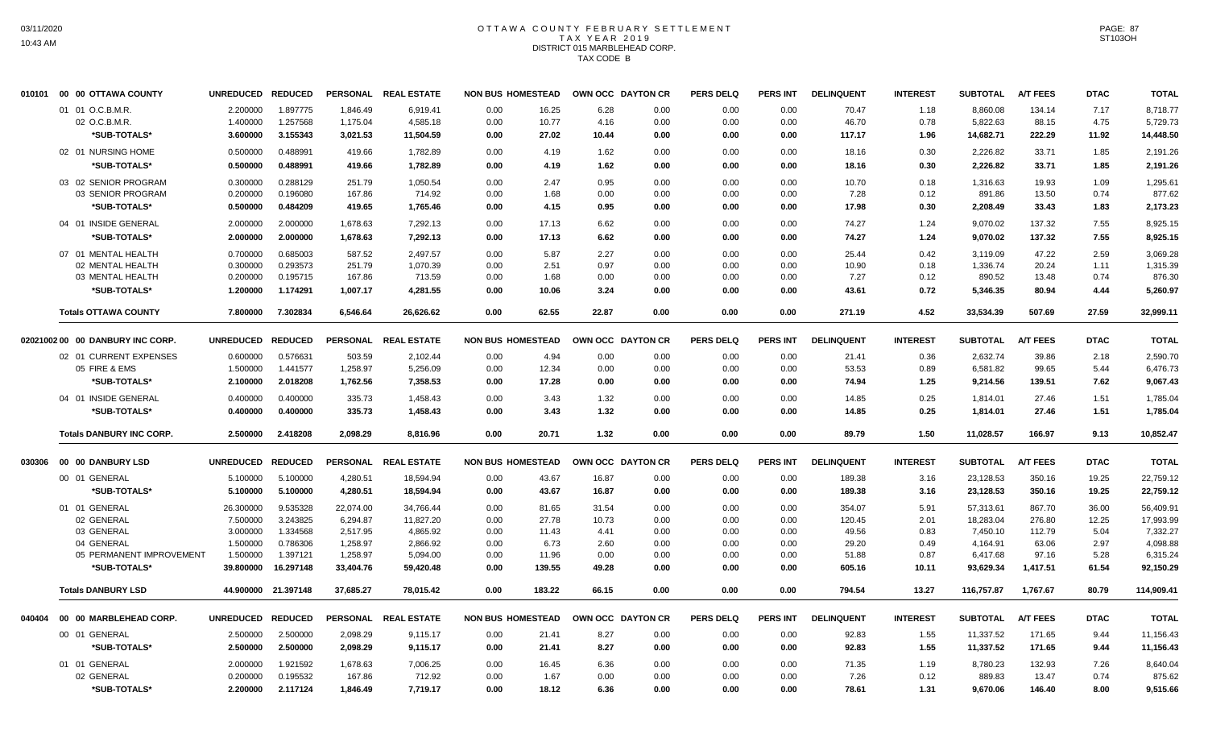# OTTAWA COUNTY FEBRUARY SETTLEMENT TAX YEAR 2019 DISTRICT 015 MARBLEHEAD CORP. TAX CODE B

| 1.897775<br>2.200000<br>1.846.49<br>0.00<br>16.25<br>6.28<br>0.00<br>0.00<br>70.47<br>8,860.08<br>134.14<br>7.17<br>8,718.77<br>01 01 O.C.B.M.R.<br>6.919.41<br>0.00<br>1.18<br>1.257568<br>0.00<br>10.77<br>0.78<br>88.15<br>02 O.C.B.M.R.<br>1.400000<br>1,175.04<br>4,585.18<br>4.16<br>0.00<br>0.00<br>0.00<br>46.70<br>5,822.63<br>4.75<br>5,729.73<br>3.155343<br>*SUB-TOTALS*<br>3.600000<br>27.02<br>10.44<br>0.00<br>117.17<br>14,682.71<br>222.29<br>11.92<br>14,448.50<br>3,021.53<br>11,504.59<br>0.00<br>0.00<br>0.00<br>1.96<br>02 01 NURSING HOME<br>0.500000<br>0.488991<br>419.66<br>1,782.89<br>0.00<br>4.19<br>1.62<br>0.00<br>0.00<br>0.00<br>18.16<br>0.30<br>2,226.82<br>33.71<br>1.85<br>2,191.26<br>*SUB-TOTALS*<br>0.488991<br>0.500000<br>419.66<br>1,782.89<br>0.00<br>4.19<br>1.62<br>0.00<br>0.00<br>0.00<br>18.16<br>0.30<br>2,226.82<br>33.71<br>1.85<br>2,191.26<br>03 02 SENIOR PROGRAM<br>0.300000<br>0.288129<br>2.47<br>0.95<br>251.79<br>1,050.54<br>0.00<br>0.00<br>0.00<br>0.00<br>10.70<br>0.18<br>1,316.63<br>19.93<br>1.09<br>1.295.61<br>03 SENIOR PROGRAM<br>0.200000<br>0.196080<br>167.86<br>714.92<br>0.00<br>1.68<br>0.00<br>0.00<br>0.00<br>0.00<br>7.28<br>0.12<br>891.86<br>13.50<br>0.74<br>877.62<br>0.484209<br>4.15<br>*SUB-TOTALS*<br>0.500000<br>419.65<br>0.00<br>0.95<br>0.00<br>0.00<br>0.00<br>17.98<br>0.30<br>2,208.49<br>33.43<br>1.83<br>2,173.23<br>1,765.46<br>04 01 INSIDE GENERAL<br>2.000000<br>2.000000<br>1,678.63<br>7,292.13<br>0.00<br>17.13<br>6.62<br>0.00<br>0.00<br>0.00<br>74.27<br>1.24<br>9,070.02<br>137.32<br>7.55<br>8,925.15<br>*SUB-TOTALS*<br>2.000000<br>2.000000<br>1,678.63<br>17.13<br>6.62<br>137.32<br>7.55<br>7,292.13<br>0.00<br>0.00<br>0.00<br>0.00<br>74.27<br>1.24<br>9,070.02<br>8,925.15<br>0.685003<br>07 01 MENTAL HEALTH<br>0.700000<br>587.52<br>2.497.57<br>0.00<br>5.87<br>2.27<br>0.00<br>0.00<br>0.00<br>0.42<br>3,119.09<br>47.22<br>2.59<br>25.44<br>3.069.28<br>0.293573<br>0.97<br>02 MENTAL HEALTH<br>0.300000<br>251.79<br>1.070.39<br>0.00<br>2.51<br>0.00<br>0.00<br>0.00<br>10.90<br>0.18<br>1,336.74<br>20.24<br>1.11<br>1.315.39<br>0.200000<br>0.195715<br>0.00<br>1.68<br>0.00<br>0.00<br>0.00<br>0.00<br>0.12<br>890.52<br>13.48<br>0.74<br>876.30<br>03 MENTAL HEALTH<br>167.86<br>713.59<br>7.27<br>*SUB-TOTALS*<br>1.174291<br>43.61<br>0.72<br>5,346.35<br>4.44<br>1.200000<br>1,007.17<br>4,281.55<br>0.00<br>10.06<br>3.24<br>0.00<br>0.00<br>0.00<br>80.94<br>5.260.97<br>7.800000<br>7.302834<br>6,546.64<br>26,626.62<br>0.00<br>62.55<br>22.87<br>0.00<br>0.00<br>0.00<br>271.19<br>4.52<br>33,534.39<br>507.69<br>27.59<br>32,999.11<br><b>Totals OTTAWA COUNTY</b><br>PERSONAL REAL ESTATE<br>OWN OCC DAYTON CR<br><b>PERS DELQ</b><br><b>PERS INT</b><br><b>DELINQUENT</b><br><b>SUBTOTAL</b><br><b>A/T FEES</b><br><b>DTAC</b><br>02021002 00 00 DANBURY INC CORP.<br>UNREDUCED REDUCED<br><b>NON BUS HOMESTEAD</b><br><b>INTEREST</b><br><b>TOTAL</b><br>0.576631<br>503.59<br>4.94<br>0.36<br>2,632.74<br>2,590.70<br>02 01 CURRENT EXPENSES<br>0.600000<br>2,102.44<br>0.00<br>0.00<br>0.00<br>0.00<br>0.00<br>21.41<br>39.86<br>2.18<br>1.441577<br>0.00<br>53.53<br>0.89<br>5.44<br>05 FIRE & EMS<br>1.500000<br>1,258.97<br>5,256.09<br>12.34<br>0.00<br>0.00<br>0.00<br>0.00<br>6,581.82<br>99.65<br>6,476.73<br>2.018208<br>*SUB-TOTALS*<br>2.100000<br>1,762.56<br>7,358.53<br>0.00<br>17.28<br>0.00<br>0.00<br>0.00<br>0.00<br>74.94<br>1.25<br>9,214.56<br>139.51<br>7.62<br>9,067.43<br>0.400000<br>0.400000<br>335.73<br>3.43<br>1.32<br>0.25<br>27.46<br>1.51<br>04 01 INSIDE GENERAL<br>1,458.43<br>0.00<br>0.00<br>0.00<br>0.00<br>14.85<br>1,814.01<br>1,785.04<br>*SUB-TOTALS*<br>0.400000<br>0.400000<br>335.73<br>1,458.43<br>0.00<br>3.43<br>1.32<br>0.00<br>0.00<br>0.00<br>14.85<br>0.25<br>1,814.01<br>27.46<br>1.51<br>1,785.04<br><b>Totals DANBURY INC CORP.</b><br>2.500000<br>2.418208<br>2.098.29<br>0.00<br>20.71<br>1.32<br>0.00<br>0.00<br>0.00<br>89.79<br>1.50<br>11.028.57<br>166.97<br>9.13<br>10.852.47<br>8.816.96<br>UNREDUCED REDUCED<br>PERSONAL REAL ESTATE<br><b>NON BUS HOMESTEAD</b><br>OWN OCC DAYTON CR<br><b>PERS DELQ</b><br>PERS INT<br><b>DELINQUENT</b><br><b>A/T FEES</b><br><b>DTAC</b><br>030306 00 00 DANBURY LSD<br><b>INTEREST</b><br><b>SUBTOTAL</b><br><b>TOTAL</b><br>00 01 GENERAL<br>5.100000<br>43.67<br>19.25<br>5.100000<br>4,280.51<br>18,594.94<br>0.00<br>16.87<br>0.00<br>0.00<br>0.00<br>189.38<br>3.16<br>23,128.53<br>350.16<br>22,759.12<br>*SUB-TOTALS*<br>5.100000<br>5.100000<br>4,280.51<br>18,594.94<br>0.00<br>43.67<br>16.87<br>0.00<br>0.00<br>0.00<br>189.38<br>3.16<br>23,128.53<br>350.16<br>19.25<br>22,759.12<br>01 01 GENERAL<br>26.300000<br>9.535328<br>22,074.00<br>34,766.44<br>0.00<br>81.65<br>31.54<br>0.00<br>0.00<br>0.00<br>354.07<br>5.91<br>57,313.61<br>867.70<br>36.00<br>56.409.91<br>3.243825<br>02 GENERAL<br>7.500000<br>6,294.87<br>0.00<br>27.78<br>0.00<br>0.00<br>18,283.04<br>12.25<br>17,993.99<br>11,827.20<br>10.73<br>0.00<br>120.45<br>2.01<br>276.80<br>03 GENERAL<br>3.000000<br>1.334568<br>2,517.95<br>4.865.92<br>0.00<br>11.43<br>4.41<br>0.00<br>0.00<br>0.00<br>49.56<br>0.83<br>7,450.10<br>112.79<br>5.04<br>7.332.27<br>04 GENERAL<br>1.500000<br>0.786306<br>1,258.97<br>2,866.92<br>0.00<br>6.73<br>2.60<br>0.00<br>0.00<br>0.00<br>29.20<br>0.49<br>4,164.91<br>63.06<br>2.97<br>4,098.88<br>05 PERMANENT IMPROVEMENT<br>1.500000<br>1.397121<br>1,258.97<br>5,094.00<br>0.00<br>11.96<br>0.00<br>0.00<br>0.00<br>0.00<br>51.88<br>0.87<br>6,417.68<br>97.16<br>5.28<br>6,315.24<br>*SUB-TOTALS*<br>39.800000<br>16.297148<br>33,404.76<br>139.55<br>49.28<br>0.00<br>605.16<br>10.11<br>1,417.51<br>61.54<br>59,420.48<br>0.00<br>0.00<br>0.00<br>93,629.34<br>92,150.29<br><b>Totals DANBURY LSD</b><br>44.900000 21.397148<br>37,685.27<br>78,015.42<br>0.00<br>183.22<br>66.15<br>0.00<br>0.00<br>0.00<br>794.54<br>13.27<br>116,757.87<br>1,767.67<br>80.79<br>114,909.41<br>UNREDUCED REDUCED<br>PERSONAL REAL ESTATE<br><b>NON BUS HOMESTEAD</b><br>OWN OCC DAYTON CR<br><b>PERS DELQ</b><br><b>PERS INT</b><br><b>DELINQUENT</b><br><b>INTEREST</b><br><b>SUBTOTAL</b><br><b>A/T FEES</b><br><b>DTAC</b><br>00 00 MARBLEHEAD CORP.<br><b>TOTAL</b><br>2.500000<br>00 01 GENERAL<br>2.500000<br>2,098.29<br>9,115.17<br>0.00<br>21.41<br>8.27<br>0.00<br>0.00<br>0.00<br>92.83<br>1.55<br>11,337.52<br>171.65<br>9.44<br>11,156.43<br>*SUB-TOTALS*<br>2.500000<br>8.27<br>1.55<br>11,337.52<br>2.500000<br>2,098.29<br>9,115.17<br>0.00<br>21.41<br>0.00<br>0.00<br>0.00<br>92.83<br>171.65<br>9.44<br>11,156.43<br>01 01 GENERAL<br>1.921592<br>1.678.63<br>8.780.23<br>2.000000<br>7,006.25<br>0.00<br>16.45<br>6.36<br>0.00<br>0.00<br>0.00<br>71.35<br>1.19<br>132.93<br>7.26<br>8.640.04<br>02 GENERAL<br>0.195532<br>167.86<br>712.92<br>0.00<br>1.67<br>0.00<br>0.00<br>0.00<br>0.12<br>889.83<br>13.47<br>0.74<br>0.200000<br>0.00<br>7.26<br>875.62<br>2.117124<br>6.36<br>8.00<br>*SUB-TOTALS*<br>2.200000<br>1,846.49<br>7,719.17<br>0.00<br>18.12<br>0.00<br>0.00<br>0.00<br>78.61<br>1.31<br>9,670.06<br>146.40<br>9,515.66 |        | 010101 00 00 OTTAWA COUNTY | UNREDUCED REDUCED |  | PERSONAL REAL ESTATE | <b>NON BUS HOMESTEAD</b> | OWN OCC DAYTON CR | <b>PERS DELQ</b> | PERS INT | <b>DELINQUENT</b> | <b>INTEREST</b> | <b>SUBTOTAL</b> | <b>A/T FEES</b> | <b>DTAC</b> | <b>TOTAL</b> |
|------------------------------------------------------------------------------------------------------------------------------------------------------------------------------------------------------------------------------------------------------------------------------------------------------------------------------------------------------------------------------------------------------------------------------------------------------------------------------------------------------------------------------------------------------------------------------------------------------------------------------------------------------------------------------------------------------------------------------------------------------------------------------------------------------------------------------------------------------------------------------------------------------------------------------------------------------------------------------------------------------------------------------------------------------------------------------------------------------------------------------------------------------------------------------------------------------------------------------------------------------------------------------------------------------------------------------------------------------------------------------------------------------------------------------------------------------------------------------------------------------------------------------------------------------------------------------------------------------------------------------------------------------------------------------------------------------------------------------------------------------------------------------------------------------------------------------------------------------------------------------------------------------------------------------------------------------------------------------------------------------------------------------------------------------------------------------------------------------------------------------------------------------------------------------------------------------------------------------------------------------------------------------------------------------------------------------------------------------------------------------------------------------------------------------------------------------------------------------------------------------------------------------------------------------------------------------------------------------------------------------------------------------------------------------------------------------------------------------------------------------------------------------------------------------------------------------------------------------------------------------------------------------------------------------------------------------------------------------------------------------------------------------------------------------------------------------------------------------------------------------------------------------------------------------------------------------------------------------------------------------------------------------------------------------------------------------------------------------------------------------------------------------------------------------------------------------------------------------------------------------------------------------------------------------------------------------------------------------------------------------------------------------------------------------------------------------------------------------------------------------------------------------------------------------------------------------------------------------------------------------------------------------------------------------------------------------------------------------------------------------------------------------------------------------------------------------------------------------------------------------------------------------------------------------------------------------------------------------------------------------------------------------------------------------------------------------------------------------------------------------------------------------------------------------------------------------------------------------------------------------------------------------------------------------------------------------------------------------------------------------------------------------------------------------------------------------------------------------------------------------------------------------------------------------------------------------------------------------------------------------------------------------------------------------------------------------------------------------------------------------------------------------------------------------------------------------------------------------------------------------------------------------------------------------------------------------------------------------------------------------------------------------------------------------------------------------------------------------------------------------------------------------------------------------------------------------------------------------------------------------------------------------------------------------------------------------------------------------------------------------------------------------------------------------------------------------------------------------------------------------------------------------------------------------------------------------------------------------------------------------------------------------------------------------------------------------------------------------------------------------------------------------------------------------------------------------------------------------------------------------------------------------------------------------------------------------------------------------------------------------------------------------------------------------------------------------------------------------------------------------------------------------------------------------------------------------------------------------------------------------------------------------------------------------------------------------------------------------------------------------------------------------------------------------------------------------------------------------------------------------------------------------------------------------------------------------------------------------------------------------------------------------------------------------------------------------------------------------------------------------------------------------------------------------------------------------------------------------------------------------------------------------------------------------------------------------------------------------|--------|----------------------------|-------------------|--|----------------------|--------------------------|-------------------|------------------|----------|-------------------|-----------------|-----------------|-----------------|-------------|--------------|
|                                                                                                                                                                                                                                                                                                                                                                                                                                                                                                                                                                                                                                                                                                                                                                                                                                                                                                                                                                                                                                                                                                                                                                                                                                                                                                                                                                                                                                                                                                                                                                                                                                                                                                                                                                                                                                                                                                                                                                                                                                                                                                                                                                                                                                                                                                                                                                                                                                                                                                                                                                                                                                                                                                                                                                                                                                                                                                                                                                                                                                                                                                                                                                                                                                                                                                                                                                                                                                                                                                                                                                                                                                                                                                                                                                                                                                                                                                                                                                                                                                                                                                                                                                                                                                                                                                                                                                                                                                                                                                                                                                                                                                                                                                                                                                                                                                                                                                                                                                                                                                                                                                                                                                                                                                                                                                                                                                                                                                                                                                                                                                                                                                                                                                                                                                                                                                                                                                                                                                                                                                                                                                                                                                                                                                                                                                                                                                                                                                                                                                                                                                                                                                                                                                                                                                                                                                                                                                                                                                                                                                                                                                                                                                                                                              |        |                            |                   |  |                      |                          |                   |                  |          |                   |                 |                 |                 |             |              |
|                                                                                                                                                                                                                                                                                                                                                                                                                                                                                                                                                                                                                                                                                                                                                                                                                                                                                                                                                                                                                                                                                                                                                                                                                                                                                                                                                                                                                                                                                                                                                                                                                                                                                                                                                                                                                                                                                                                                                                                                                                                                                                                                                                                                                                                                                                                                                                                                                                                                                                                                                                                                                                                                                                                                                                                                                                                                                                                                                                                                                                                                                                                                                                                                                                                                                                                                                                                                                                                                                                                                                                                                                                                                                                                                                                                                                                                                                                                                                                                                                                                                                                                                                                                                                                                                                                                                                                                                                                                                                                                                                                                                                                                                                                                                                                                                                                                                                                                                                                                                                                                                                                                                                                                                                                                                                                                                                                                                                                                                                                                                                                                                                                                                                                                                                                                                                                                                                                                                                                                                                                                                                                                                                                                                                                                                                                                                                                                                                                                                                                                                                                                                                                                                                                                                                                                                                                                                                                                                                                                                                                                                                                                                                                                                                              |        |                            |                   |  |                      |                          |                   |                  |          |                   |                 |                 |                 |             |              |
|                                                                                                                                                                                                                                                                                                                                                                                                                                                                                                                                                                                                                                                                                                                                                                                                                                                                                                                                                                                                                                                                                                                                                                                                                                                                                                                                                                                                                                                                                                                                                                                                                                                                                                                                                                                                                                                                                                                                                                                                                                                                                                                                                                                                                                                                                                                                                                                                                                                                                                                                                                                                                                                                                                                                                                                                                                                                                                                                                                                                                                                                                                                                                                                                                                                                                                                                                                                                                                                                                                                                                                                                                                                                                                                                                                                                                                                                                                                                                                                                                                                                                                                                                                                                                                                                                                                                                                                                                                                                                                                                                                                                                                                                                                                                                                                                                                                                                                                                                                                                                                                                                                                                                                                                                                                                                                                                                                                                                                                                                                                                                                                                                                                                                                                                                                                                                                                                                                                                                                                                                                                                                                                                                                                                                                                                                                                                                                                                                                                                                                                                                                                                                                                                                                                                                                                                                                                                                                                                                                                                                                                                                                                                                                                                                              |        |                            |                   |  |                      |                          |                   |                  |          |                   |                 |                 |                 |             |              |
|                                                                                                                                                                                                                                                                                                                                                                                                                                                                                                                                                                                                                                                                                                                                                                                                                                                                                                                                                                                                                                                                                                                                                                                                                                                                                                                                                                                                                                                                                                                                                                                                                                                                                                                                                                                                                                                                                                                                                                                                                                                                                                                                                                                                                                                                                                                                                                                                                                                                                                                                                                                                                                                                                                                                                                                                                                                                                                                                                                                                                                                                                                                                                                                                                                                                                                                                                                                                                                                                                                                                                                                                                                                                                                                                                                                                                                                                                                                                                                                                                                                                                                                                                                                                                                                                                                                                                                                                                                                                                                                                                                                                                                                                                                                                                                                                                                                                                                                                                                                                                                                                                                                                                                                                                                                                                                                                                                                                                                                                                                                                                                                                                                                                                                                                                                                                                                                                                                                                                                                                                                                                                                                                                                                                                                                                                                                                                                                                                                                                                                                                                                                                                                                                                                                                                                                                                                                                                                                                                                                                                                                                                                                                                                                                                              |        |                            |                   |  |                      |                          |                   |                  |          |                   |                 |                 |                 |             |              |
|                                                                                                                                                                                                                                                                                                                                                                                                                                                                                                                                                                                                                                                                                                                                                                                                                                                                                                                                                                                                                                                                                                                                                                                                                                                                                                                                                                                                                                                                                                                                                                                                                                                                                                                                                                                                                                                                                                                                                                                                                                                                                                                                                                                                                                                                                                                                                                                                                                                                                                                                                                                                                                                                                                                                                                                                                                                                                                                                                                                                                                                                                                                                                                                                                                                                                                                                                                                                                                                                                                                                                                                                                                                                                                                                                                                                                                                                                                                                                                                                                                                                                                                                                                                                                                                                                                                                                                                                                                                                                                                                                                                                                                                                                                                                                                                                                                                                                                                                                                                                                                                                                                                                                                                                                                                                                                                                                                                                                                                                                                                                                                                                                                                                                                                                                                                                                                                                                                                                                                                                                                                                                                                                                                                                                                                                                                                                                                                                                                                                                                                                                                                                                                                                                                                                                                                                                                                                                                                                                                                                                                                                                                                                                                                                                              |        |                            |                   |  |                      |                          |                   |                  |          |                   |                 |                 |                 |             |              |
|                                                                                                                                                                                                                                                                                                                                                                                                                                                                                                                                                                                                                                                                                                                                                                                                                                                                                                                                                                                                                                                                                                                                                                                                                                                                                                                                                                                                                                                                                                                                                                                                                                                                                                                                                                                                                                                                                                                                                                                                                                                                                                                                                                                                                                                                                                                                                                                                                                                                                                                                                                                                                                                                                                                                                                                                                                                                                                                                                                                                                                                                                                                                                                                                                                                                                                                                                                                                                                                                                                                                                                                                                                                                                                                                                                                                                                                                                                                                                                                                                                                                                                                                                                                                                                                                                                                                                                                                                                                                                                                                                                                                                                                                                                                                                                                                                                                                                                                                                                                                                                                                                                                                                                                                                                                                                                                                                                                                                                                                                                                                                                                                                                                                                                                                                                                                                                                                                                                                                                                                                                                                                                                                                                                                                                                                                                                                                                                                                                                                                                                                                                                                                                                                                                                                                                                                                                                                                                                                                                                                                                                                                                                                                                                                                              |        |                            |                   |  |                      |                          |                   |                  |          |                   |                 |                 |                 |             |              |
|                                                                                                                                                                                                                                                                                                                                                                                                                                                                                                                                                                                                                                                                                                                                                                                                                                                                                                                                                                                                                                                                                                                                                                                                                                                                                                                                                                                                                                                                                                                                                                                                                                                                                                                                                                                                                                                                                                                                                                                                                                                                                                                                                                                                                                                                                                                                                                                                                                                                                                                                                                                                                                                                                                                                                                                                                                                                                                                                                                                                                                                                                                                                                                                                                                                                                                                                                                                                                                                                                                                                                                                                                                                                                                                                                                                                                                                                                                                                                                                                                                                                                                                                                                                                                                                                                                                                                                                                                                                                                                                                                                                                                                                                                                                                                                                                                                                                                                                                                                                                                                                                                                                                                                                                                                                                                                                                                                                                                                                                                                                                                                                                                                                                                                                                                                                                                                                                                                                                                                                                                                                                                                                                                                                                                                                                                                                                                                                                                                                                                                                                                                                                                                                                                                                                                                                                                                                                                                                                                                                                                                                                                                                                                                                                                              |        |                            |                   |  |                      |                          |                   |                  |          |                   |                 |                 |                 |             |              |
|                                                                                                                                                                                                                                                                                                                                                                                                                                                                                                                                                                                                                                                                                                                                                                                                                                                                                                                                                                                                                                                                                                                                                                                                                                                                                                                                                                                                                                                                                                                                                                                                                                                                                                                                                                                                                                                                                                                                                                                                                                                                                                                                                                                                                                                                                                                                                                                                                                                                                                                                                                                                                                                                                                                                                                                                                                                                                                                                                                                                                                                                                                                                                                                                                                                                                                                                                                                                                                                                                                                                                                                                                                                                                                                                                                                                                                                                                                                                                                                                                                                                                                                                                                                                                                                                                                                                                                                                                                                                                                                                                                                                                                                                                                                                                                                                                                                                                                                                                                                                                                                                                                                                                                                                                                                                                                                                                                                                                                                                                                                                                                                                                                                                                                                                                                                                                                                                                                                                                                                                                                                                                                                                                                                                                                                                                                                                                                                                                                                                                                                                                                                                                                                                                                                                                                                                                                                                                                                                                                                                                                                                                                                                                                                                                              |        |                            |                   |  |                      |                          |                   |                  |          |                   |                 |                 |                 |             |              |
|                                                                                                                                                                                                                                                                                                                                                                                                                                                                                                                                                                                                                                                                                                                                                                                                                                                                                                                                                                                                                                                                                                                                                                                                                                                                                                                                                                                                                                                                                                                                                                                                                                                                                                                                                                                                                                                                                                                                                                                                                                                                                                                                                                                                                                                                                                                                                                                                                                                                                                                                                                                                                                                                                                                                                                                                                                                                                                                                                                                                                                                                                                                                                                                                                                                                                                                                                                                                                                                                                                                                                                                                                                                                                                                                                                                                                                                                                                                                                                                                                                                                                                                                                                                                                                                                                                                                                                                                                                                                                                                                                                                                                                                                                                                                                                                                                                                                                                                                                                                                                                                                                                                                                                                                                                                                                                                                                                                                                                                                                                                                                                                                                                                                                                                                                                                                                                                                                                                                                                                                                                                                                                                                                                                                                                                                                                                                                                                                                                                                                                                                                                                                                                                                                                                                                                                                                                                                                                                                                                                                                                                                                                                                                                                                                              |        |                            |                   |  |                      |                          |                   |                  |          |                   |                 |                 |                 |             |              |
|                                                                                                                                                                                                                                                                                                                                                                                                                                                                                                                                                                                                                                                                                                                                                                                                                                                                                                                                                                                                                                                                                                                                                                                                                                                                                                                                                                                                                                                                                                                                                                                                                                                                                                                                                                                                                                                                                                                                                                                                                                                                                                                                                                                                                                                                                                                                                                                                                                                                                                                                                                                                                                                                                                                                                                                                                                                                                                                                                                                                                                                                                                                                                                                                                                                                                                                                                                                                                                                                                                                                                                                                                                                                                                                                                                                                                                                                                                                                                                                                                                                                                                                                                                                                                                                                                                                                                                                                                                                                                                                                                                                                                                                                                                                                                                                                                                                                                                                                                                                                                                                                                                                                                                                                                                                                                                                                                                                                                                                                                                                                                                                                                                                                                                                                                                                                                                                                                                                                                                                                                                                                                                                                                                                                                                                                                                                                                                                                                                                                                                                                                                                                                                                                                                                                                                                                                                                                                                                                                                                                                                                                                                                                                                                                                              |        |                            |                   |  |                      |                          |                   |                  |          |                   |                 |                 |                 |             |              |
|                                                                                                                                                                                                                                                                                                                                                                                                                                                                                                                                                                                                                                                                                                                                                                                                                                                                                                                                                                                                                                                                                                                                                                                                                                                                                                                                                                                                                                                                                                                                                                                                                                                                                                                                                                                                                                                                                                                                                                                                                                                                                                                                                                                                                                                                                                                                                                                                                                                                                                                                                                                                                                                                                                                                                                                                                                                                                                                                                                                                                                                                                                                                                                                                                                                                                                                                                                                                                                                                                                                                                                                                                                                                                                                                                                                                                                                                                                                                                                                                                                                                                                                                                                                                                                                                                                                                                                                                                                                                                                                                                                                                                                                                                                                                                                                                                                                                                                                                                                                                                                                                                                                                                                                                                                                                                                                                                                                                                                                                                                                                                                                                                                                                                                                                                                                                                                                                                                                                                                                                                                                                                                                                                                                                                                                                                                                                                                                                                                                                                                                                                                                                                                                                                                                                                                                                                                                                                                                                                                                                                                                                                                                                                                                                                              |        |                            |                   |  |                      |                          |                   |                  |          |                   |                 |                 |                 |             |              |
|                                                                                                                                                                                                                                                                                                                                                                                                                                                                                                                                                                                                                                                                                                                                                                                                                                                                                                                                                                                                                                                                                                                                                                                                                                                                                                                                                                                                                                                                                                                                                                                                                                                                                                                                                                                                                                                                                                                                                                                                                                                                                                                                                                                                                                                                                                                                                                                                                                                                                                                                                                                                                                                                                                                                                                                                                                                                                                                                                                                                                                                                                                                                                                                                                                                                                                                                                                                                                                                                                                                                                                                                                                                                                                                                                                                                                                                                                                                                                                                                                                                                                                                                                                                                                                                                                                                                                                                                                                                                                                                                                                                                                                                                                                                                                                                                                                                                                                                                                                                                                                                                                                                                                                                                                                                                                                                                                                                                                                                                                                                                                                                                                                                                                                                                                                                                                                                                                                                                                                                                                                                                                                                                                                                                                                                                                                                                                                                                                                                                                                                                                                                                                                                                                                                                                                                                                                                                                                                                                                                                                                                                                                                                                                                                                              |        |                            |                   |  |                      |                          |                   |                  |          |                   |                 |                 |                 |             |              |
|                                                                                                                                                                                                                                                                                                                                                                                                                                                                                                                                                                                                                                                                                                                                                                                                                                                                                                                                                                                                                                                                                                                                                                                                                                                                                                                                                                                                                                                                                                                                                                                                                                                                                                                                                                                                                                                                                                                                                                                                                                                                                                                                                                                                                                                                                                                                                                                                                                                                                                                                                                                                                                                                                                                                                                                                                                                                                                                                                                                                                                                                                                                                                                                                                                                                                                                                                                                                                                                                                                                                                                                                                                                                                                                                                                                                                                                                                                                                                                                                                                                                                                                                                                                                                                                                                                                                                                                                                                                                                                                                                                                                                                                                                                                                                                                                                                                                                                                                                                                                                                                                                                                                                                                                                                                                                                                                                                                                                                                                                                                                                                                                                                                                                                                                                                                                                                                                                                                                                                                                                                                                                                                                                                                                                                                                                                                                                                                                                                                                                                                                                                                                                                                                                                                                                                                                                                                                                                                                                                                                                                                                                                                                                                                                                              |        |                            |                   |  |                      |                          |                   |                  |          |                   |                 |                 |                 |             |              |
|                                                                                                                                                                                                                                                                                                                                                                                                                                                                                                                                                                                                                                                                                                                                                                                                                                                                                                                                                                                                                                                                                                                                                                                                                                                                                                                                                                                                                                                                                                                                                                                                                                                                                                                                                                                                                                                                                                                                                                                                                                                                                                                                                                                                                                                                                                                                                                                                                                                                                                                                                                                                                                                                                                                                                                                                                                                                                                                                                                                                                                                                                                                                                                                                                                                                                                                                                                                                                                                                                                                                                                                                                                                                                                                                                                                                                                                                                                                                                                                                                                                                                                                                                                                                                                                                                                                                                                                                                                                                                                                                                                                                                                                                                                                                                                                                                                                                                                                                                                                                                                                                                                                                                                                                                                                                                                                                                                                                                                                                                                                                                                                                                                                                                                                                                                                                                                                                                                                                                                                                                                                                                                                                                                                                                                                                                                                                                                                                                                                                                                                                                                                                                                                                                                                                                                                                                                                                                                                                                                                                                                                                                                                                                                                                                              |        |                            |                   |  |                      |                          |                   |                  |          |                   |                 |                 |                 |             |              |
|                                                                                                                                                                                                                                                                                                                                                                                                                                                                                                                                                                                                                                                                                                                                                                                                                                                                                                                                                                                                                                                                                                                                                                                                                                                                                                                                                                                                                                                                                                                                                                                                                                                                                                                                                                                                                                                                                                                                                                                                                                                                                                                                                                                                                                                                                                                                                                                                                                                                                                                                                                                                                                                                                                                                                                                                                                                                                                                                                                                                                                                                                                                                                                                                                                                                                                                                                                                                                                                                                                                                                                                                                                                                                                                                                                                                                                                                                                                                                                                                                                                                                                                                                                                                                                                                                                                                                                                                                                                                                                                                                                                                                                                                                                                                                                                                                                                                                                                                                                                                                                                                                                                                                                                                                                                                                                                                                                                                                                                                                                                                                                                                                                                                                                                                                                                                                                                                                                                                                                                                                                                                                                                                                                                                                                                                                                                                                                                                                                                                                                                                                                                                                                                                                                                                                                                                                                                                                                                                                                                                                                                                                                                                                                                                                              |        |                            |                   |  |                      |                          |                   |                  |          |                   |                 |                 |                 |             |              |
|                                                                                                                                                                                                                                                                                                                                                                                                                                                                                                                                                                                                                                                                                                                                                                                                                                                                                                                                                                                                                                                                                                                                                                                                                                                                                                                                                                                                                                                                                                                                                                                                                                                                                                                                                                                                                                                                                                                                                                                                                                                                                                                                                                                                                                                                                                                                                                                                                                                                                                                                                                                                                                                                                                                                                                                                                                                                                                                                                                                                                                                                                                                                                                                                                                                                                                                                                                                                                                                                                                                                                                                                                                                                                                                                                                                                                                                                                                                                                                                                                                                                                                                                                                                                                                                                                                                                                                                                                                                                                                                                                                                                                                                                                                                                                                                                                                                                                                                                                                                                                                                                                                                                                                                                                                                                                                                                                                                                                                                                                                                                                                                                                                                                                                                                                                                                                                                                                                                                                                                                                                                                                                                                                                                                                                                                                                                                                                                                                                                                                                                                                                                                                                                                                                                                                                                                                                                                                                                                                                                                                                                                                                                                                                                                                              |        |                            |                   |  |                      |                          |                   |                  |          |                   |                 |                 |                 |             |              |
|                                                                                                                                                                                                                                                                                                                                                                                                                                                                                                                                                                                                                                                                                                                                                                                                                                                                                                                                                                                                                                                                                                                                                                                                                                                                                                                                                                                                                                                                                                                                                                                                                                                                                                                                                                                                                                                                                                                                                                                                                                                                                                                                                                                                                                                                                                                                                                                                                                                                                                                                                                                                                                                                                                                                                                                                                                                                                                                                                                                                                                                                                                                                                                                                                                                                                                                                                                                                                                                                                                                                                                                                                                                                                                                                                                                                                                                                                                                                                                                                                                                                                                                                                                                                                                                                                                                                                                                                                                                                                                                                                                                                                                                                                                                                                                                                                                                                                                                                                                                                                                                                                                                                                                                                                                                                                                                                                                                                                                                                                                                                                                                                                                                                                                                                                                                                                                                                                                                                                                                                                                                                                                                                                                                                                                                                                                                                                                                                                                                                                                                                                                                                                                                                                                                                                                                                                                                                                                                                                                                                                                                                                                                                                                                                                              |        |                            |                   |  |                      |                          |                   |                  |          |                   |                 |                 |                 |             |              |
|                                                                                                                                                                                                                                                                                                                                                                                                                                                                                                                                                                                                                                                                                                                                                                                                                                                                                                                                                                                                                                                                                                                                                                                                                                                                                                                                                                                                                                                                                                                                                                                                                                                                                                                                                                                                                                                                                                                                                                                                                                                                                                                                                                                                                                                                                                                                                                                                                                                                                                                                                                                                                                                                                                                                                                                                                                                                                                                                                                                                                                                                                                                                                                                                                                                                                                                                                                                                                                                                                                                                                                                                                                                                                                                                                                                                                                                                                                                                                                                                                                                                                                                                                                                                                                                                                                                                                                                                                                                                                                                                                                                                                                                                                                                                                                                                                                                                                                                                                                                                                                                                                                                                                                                                                                                                                                                                                                                                                                                                                                                                                                                                                                                                                                                                                                                                                                                                                                                                                                                                                                                                                                                                                                                                                                                                                                                                                                                                                                                                                                                                                                                                                                                                                                                                                                                                                                                                                                                                                                                                                                                                                                                                                                                                                              |        |                            |                   |  |                      |                          |                   |                  |          |                   |                 |                 |                 |             |              |
|                                                                                                                                                                                                                                                                                                                                                                                                                                                                                                                                                                                                                                                                                                                                                                                                                                                                                                                                                                                                                                                                                                                                                                                                                                                                                                                                                                                                                                                                                                                                                                                                                                                                                                                                                                                                                                                                                                                                                                                                                                                                                                                                                                                                                                                                                                                                                                                                                                                                                                                                                                                                                                                                                                                                                                                                                                                                                                                                                                                                                                                                                                                                                                                                                                                                                                                                                                                                                                                                                                                                                                                                                                                                                                                                                                                                                                                                                                                                                                                                                                                                                                                                                                                                                                                                                                                                                                                                                                                                                                                                                                                                                                                                                                                                                                                                                                                                                                                                                                                                                                                                                                                                                                                                                                                                                                                                                                                                                                                                                                                                                                                                                                                                                                                                                                                                                                                                                                                                                                                                                                                                                                                                                                                                                                                                                                                                                                                                                                                                                                                                                                                                                                                                                                                                                                                                                                                                                                                                                                                                                                                                                                                                                                                                                              |        |                            |                   |  |                      |                          |                   |                  |          |                   |                 |                 |                 |             |              |
|                                                                                                                                                                                                                                                                                                                                                                                                                                                                                                                                                                                                                                                                                                                                                                                                                                                                                                                                                                                                                                                                                                                                                                                                                                                                                                                                                                                                                                                                                                                                                                                                                                                                                                                                                                                                                                                                                                                                                                                                                                                                                                                                                                                                                                                                                                                                                                                                                                                                                                                                                                                                                                                                                                                                                                                                                                                                                                                                                                                                                                                                                                                                                                                                                                                                                                                                                                                                                                                                                                                                                                                                                                                                                                                                                                                                                                                                                                                                                                                                                                                                                                                                                                                                                                                                                                                                                                                                                                                                                                                                                                                                                                                                                                                                                                                                                                                                                                                                                                                                                                                                                                                                                                                                                                                                                                                                                                                                                                                                                                                                                                                                                                                                                                                                                                                                                                                                                                                                                                                                                                                                                                                                                                                                                                                                                                                                                                                                                                                                                                                                                                                                                                                                                                                                                                                                                                                                                                                                                                                                                                                                                                                                                                                                                              |        |                            |                   |  |                      |                          |                   |                  |          |                   |                 |                 |                 |             |              |
|                                                                                                                                                                                                                                                                                                                                                                                                                                                                                                                                                                                                                                                                                                                                                                                                                                                                                                                                                                                                                                                                                                                                                                                                                                                                                                                                                                                                                                                                                                                                                                                                                                                                                                                                                                                                                                                                                                                                                                                                                                                                                                                                                                                                                                                                                                                                                                                                                                                                                                                                                                                                                                                                                                                                                                                                                                                                                                                                                                                                                                                                                                                                                                                                                                                                                                                                                                                                                                                                                                                                                                                                                                                                                                                                                                                                                                                                                                                                                                                                                                                                                                                                                                                                                                                                                                                                                                                                                                                                                                                                                                                                                                                                                                                                                                                                                                                                                                                                                                                                                                                                                                                                                                                                                                                                                                                                                                                                                                                                                                                                                                                                                                                                                                                                                                                                                                                                                                                                                                                                                                                                                                                                                                                                                                                                                                                                                                                                                                                                                                                                                                                                                                                                                                                                                                                                                                                                                                                                                                                                                                                                                                                                                                                                                              |        |                            |                   |  |                      |                          |                   |                  |          |                   |                 |                 |                 |             |              |
|                                                                                                                                                                                                                                                                                                                                                                                                                                                                                                                                                                                                                                                                                                                                                                                                                                                                                                                                                                                                                                                                                                                                                                                                                                                                                                                                                                                                                                                                                                                                                                                                                                                                                                                                                                                                                                                                                                                                                                                                                                                                                                                                                                                                                                                                                                                                                                                                                                                                                                                                                                                                                                                                                                                                                                                                                                                                                                                                                                                                                                                                                                                                                                                                                                                                                                                                                                                                                                                                                                                                                                                                                                                                                                                                                                                                                                                                                                                                                                                                                                                                                                                                                                                                                                                                                                                                                                                                                                                                                                                                                                                                                                                                                                                                                                                                                                                                                                                                                                                                                                                                                                                                                                                                                                                                                                                                                                                                                                                                                                                                                                                                                                                                                                                                                                                                                                                                                                                                                                                                                                                                                                                                                                                                                                                                                                                                                                                                                                                                                                                                                                                                                                                                                                                                                                                                                                                                                                                                                                                                                                                                                                                                                                                                                              |        |                            |                   |  |                      |                          |                   |                  |          |                   |                 |                 |                 |             |              |
|                                                                                                                                                                                                                                                                                                                                                                                                                                                                                                                                                                                                                                                                                                                                                                                                                                                                                                                                                                                                                                                                                                                                                                                                                                                                                                                                                                                                                                                                                                                                                                                                                                                                                                                                                                                                                                                                                                                                                                                                                                                                                                                                                                                                                                                                                                                                                                                                                                                                                                                                                                                                                                                                                                                                                                                                                                                                                                                                                                                                                                                                                                                                                                                                                                                                                                                                                                                                                                                                                                                                                                                                                                                                                                                                                                                                                                                                                                                                                                                                                                                                                                                                                                                                                                                                                                                                                                                                                                                                                                                                                                                                                                                                                                                                                                                                                                                                                                                                                                                                                                                                                                                                                                                                                                                                                                                                                                                                                                                                                                                                                                                                                                                                                                                                                                                                                                                                                                                                                                                                                                                                                                                                                                                                                                                                                                                                                                                                                                                                                                                                                                                                                                                                                                                                                                                                                                                                                                                                                                                                                                                                                                                                                                                                                              |        |                            |                   |  |                      |                          |                   |                  |          |                   |                 |                 |                 |             |              |
|                                                                                                                                                                                                                                                                                                                                                                                                                                                                                                                                                                                                                                                                                                                                                                                                                                                                                                                                                                                                                                                                                                                                                                                                                                                                                                                                                                                                                                                                                                                                                                                                                                                                                                                                                                                                                                                                                                                                                                                                                                                                                                                                                                                                                                                                                                                                                                                                                                                                                                                                                                                                                                                                                                                                                                                                                                                                                                                                                                                                                                                                                                                                                                                                                                                                                                                                                                                                                                                                                                                                                                                                                                                                                                                                                                                                                                                                                                                                                                                                                                                                                                                                                                                                                                                                                                                                                                                                                                                                                                                                                                                                                                                                                                                                                                                                                                                                                                                                                                                                                                                                                                                                                                                                                                                                                                                                                                                                                                                                                                                                                                                                                                                                                                                                                                                                                                                                                                                                                                                                                                                                                                                                                                                                                                                                                                                                                                                                                                                                                                                                                                                                                                                                                                                                                                                                                                                                                                                                                                                                                                                                                                                                                                                                                              |        |                            |                   |  |                      |                          |                   |                  |          |                   |                 |                 |                 |             |              |
|                                                                                                                                                                                                                                                                                                                                                                                                                                                                                                                                                                                                                                                                                                                                                                                                                                                                                                                                                                                                                                                                                                                                                                                                                                                                                                                                                                                                                                                                                                                                                                                                                                                                                                                                                                                                                                                                                                                                                                                                                                                                                                                                                                                                                                                                                                                                                                                                                                                                                                                                                                                                                                                                                                                                                                                                                                                                                                                                                                                                                                                                                                                                                                                                                                                                                                                                                                                                                                                                                                                                                                                                                                                                                                                                                                                                                                                                                                                                                                                                                                                                                                                                                                                                                                                                                                                                                                                                                                                                                                                                                                                                                                                                                                                                                                                                                                                                                                                                                                                                                                                                                                                                                                                                                                                                                                                                                                                                                                                                                                                                                                                                                                                                                                                                                                                                                                                                                                                                                                                                                                                                                                                                                                                                                                                                                                                                                                                                                                                                                                                                                                                                                                                                                                                                                                                                                                                                                                                                                                                                                                                                                                                                                                                                                              |        |                            |                   |  |                      |                          |                   |                  |          |                   |                 |                 |                 |             |              |
|                                                                                                                                                                                                                                                                                                                                                                                                                                                                                                                                                                                                                                                                                                                                                                                                                                                                                                                                                                                                                                                                                                                                                                                                                                                                                                                                                                                                                                                                                                                                                                                                                                                                                                                                                                                                                                                                                                                                                                                                                                                                                                                                                                                                                                                                                                                                                                                                                                                                                                                                                                                                                                                                                                                                                                                                                                                                                                                                                                                                                                                                                                                                                                                                                                                                                                                                                                                                                                                                                                                                                                                                                                                                                                                                                                                                                                                                                                                                                                                                                                                                                                                                                                                                                                                                                                                                                                                                                                                                                                                                                                                                                                                                                                                                                                                                                                                                                                                                                                                                                                                                                                                                                                                                                                                                                                                                                                                                                                                                                                                                                                                                                                                                                                                                                                                                                                                                                                                                                                                                                                                                                                                                                                                                                                                                                                                                                                                                                                                                                                                                                                                                                                                                                                                                                                                                                                                                                                                                                                                                                                                                                                                                                                                                                              |        |                            |                   |  |                      |                          |                   |                  |          |                   |                 |                 |                 |             |              |
|                                                                                                                                                                                                                                                                                                                                                                                                                                                                                                                                                                                                                                                                                                                                                                                                                                                                                                                                                                                                                                                                                                                                                                                                                                                                                                                                                                                                                                                                                                                                                                                                                                                                                                                                                                                                                                                                                                                                                                                                                                                                                                                                                                                                                                                                                                                                                                                                                                                                                                                                                                                                                                                                                                                                                                                                                                                                                                                                                                                                                                                                                                                                                                                                                                                                                                                                                                                                                                                                                                                                                                                                                                                                                                                                                                                                                                                                                                                                                                                                                                                                                                                                                                                                                                                                                                                                                                                                                                                                                                                                                                                                                                                                                                                                                                                                                                                                                                                                                                                                                                                                                                                                                                                                                                                                                                                                                                                                                                                                                                                                                                                                                                                                                                                                                                                                                                                                                                                                                                                                                                                                                                                                                                                                                                                                                                                                                                                                                                                                                                                                                                                                                                                                                                                                                                                                                                                                                                                                                                                                                                                                                                                                                                                                                              |        |                            |                   |  |                      |                          |                   |                  |          |                   |                 |                 |                 |             |              |
|                                                                                                                                                                                                                                                                                                                                                                                                                                                                                                                                                                                                                                                                                                                                                                                                                                                                                                                                                                                                                                                                                                                                                                                                                                                                                                                                                                                                                                                                                                                                                                                                                                                                                                                                                                                                                                                                                                                                                                                                                                                                                                                                                                                                                                                                                                                                                                                                                                                                                                                                                                                                                                                                                                                                                                                                                                                                                                                                                                                                                                                                                                                                                                                                                                                                                                                                                                                                                                                                                                                                                                                                                                                                                                                                                                                                                                                                                                                                                                                                                                                                                                                                                                                                                                                                                                                                                                                                                                                                                                                                                                                                                                                                                                                                                                                                                                                                                                                                                                                                                                                                                                                                                                                                                                                                                                                                                                                                                                                                                                                                                                                                                                                                                                                                                                                                                                                                                                                                                                                                                                                                                                                                                                                                                                                                                                                                                                                                                                                                                                                                                                                                                                                                                                                                                                                                                                                                                                                                                                                                                                                                                                                                                                                                                              |        |                            |                   |  |                      |                          |                   |                  |          |                   |                 |                 |                 |             |              |
|                                                                                                                                                                                                                                                                                                                                                                                                                                                                                                                                                                                                                                                                                                                                                                                                                                                                                                                                                                                                                                                                                                                                                                                                                                                                                                                                                                                                                                                                                                                                                                                                                                                                                                                                                                                                                                                                                                                                                                                                                                                                                                                                                                                                                                                                                                                                                                                                                                                                                                                                                                                                                                                                                                                                                                                                                                                                                                                                                                                                                                                                                                                                                                                                                                                                                                                                                                                                                                                                                                                                                                                                                                                                                                                                                                                                                                                                                                                                                                                                                                                                                                                                                                                                                                                                                                                                                                                                                                                                                                                                                                                                                                                                                                                                                                                                                                                                                                                                                                                                                                                                                                                                                                                                                                                                                                                                                                                                                                                                                                                                                                                                                                                                                                                                                                                                                                                                                                                                                                                                                                                                                                                                                                                                                                                                                                                                                                                                                                                                                                                                                                                                                                                                                                                                                                                                                                                                                                                                                                                                                                                                                                                                                                                                                              |        |                            |                   |  |                      |                          |                   |                  |          |                   |                 |                 |                 |             |              |
|                                                                                                                                                                                                                                                                                                                                                                                                                                                                                                                                                                                                                                                                                                                                                                                                                                                                                                                                                                                                                                                                                                                                                                                                                                                                                                                                                                                                                                                                                                                                                                                                                                                                                                                                                                                                                                                                                                                                                                                                                                                                                                                                                                                                                                                                                                                                                                                                                                                                                                                                                                                                                                                                                                                                                                                                                                                                                                                                                                                                                                                                                                                                                                                                                                                                                                                                                                                                                                                                                                                                                                                                                                                                                                                                                                                                                                                                                                                                                                                                                                                                                                                                                                                                                                                                                                                                                                                                                                                                                                                                                                                                                                                                                                                                                                                                                                                                                                                                                                                                                                                                                                                                                                                                                                                                                                                                                                                                                                                                                                                                                                                                                                                                                                                                                                                                                                                                                                                                                                                                                                                                                                                                                                                                                                                                                                                                                                                                                                                                                                                                                                                                                                                                                                                                                                                                                                                                                                                                                                                                                                                                                                                                                                                                                              |        |                            |                   |  |                      |                          |                   |                  |          |                   |                 |                 |                 |             |              |
|                                                                                                                                                                                                                                                                                                                                                                                                                                                                                                                                                                                                                                                                                                                                                                                                                                                                                                                                                                                                                                                                                                                                                                                                                                                                                                                                                                                                                                                                                                                                                                                                                                                                                                                                                                                                                                                                                                                                                                                                                                                                                                                                                                                                                                                                                                                                                                                                                                                                                                                                                                                                                                                                                                                                                                                                                                                                                                                                                                                                                                                                                                                                                                                                                                                                                                                                                                                                                                                                                                                                                                                                                                                                                                                                                                                                                                                                                                                                                                                                                                                                                                                                                                                                                                                                                                                                                                                                                                                                                                                                                                                                                                                                                                                                                                                                                                                                                                                                                                                                                                                                                                                                                                                                                                                                                                                                                                                                                                                                                                                                                                                                                                                                                                                                                                                                                                                                                                                                                                                                                                                                                                                                                                                                                                                                                                                                                                                                                                                                                                                                                                                                                                                                                                                                                                                                                                                                                                                                                                                                                                                                                                                                                                                                                              |        |                            |                   |  |                      |                          |                   |                  |          |                   |                 |                 |                 |             |              |
|                                                                                                                                                                                                                                                                                                                                                                                                                                                                                                                                                                                                                                                                                                                                                                                                                                                                                                                                                                                                                                                                                                                                                                                                                                                                                                                                                                                                                                                                                                                                                                                                                                                                                                                                                                                                                                                                                                                                                                                                                                                                                                                                                                                                                                                                                                                                                                                                                                                                                                                                                                                                                                                                                                                                                                                                                                                                                                                                                                                                                                                                                                                                                                                                                                                                                                                                                                                                                                                                                                                                                                                                                                                                                                                                                                                                                                                                                                                                                                                                                                                                                                                                                                                                                                                                                                                                                                                                                                                                                                                                                                                                                                                                                                                                                                                                                                                                                                                                                                                                                                                                                                                                                                                                                                                                                                                                                                                                                                                                                                                                                                                                                                                                                                                                                                                                                                                                                                                                                                                                                                                                                                                                                                                                                                                                                                                                                                                                                                                                                                                                                                                                                                                                                                                                                                                                                                                                                                                                                                                                                                                                                                                                                                                                                              |        |                            |                   |  |                      |                          |                   |                  |          |                   |                 |                 |                 |             |              |
|                                                                                                                                                                                                                                                                                                                                                                                                                                                                                                                                                                                                                                                                                                                                                                                                                                                                                                                                                                                                                                                                                                                                                                                                                                                                                                                                                                                                                                                                                                                                                                                                                                                                                                                                                                                                                                                                                                                                                                                                                                                                                                                                                                                                                                                                                                                                                                                                                                                                                                                                                                                                                                                                                                                                                                                                                                                                                                                                                                                                                                                                                                                                                                                                                                                                                                                                                                                                                                                                                                                                                                                                                                                                                                                                                                                                                                                                                                                                                                                                                                                                                                                                                                                                                                                                                                                                                                                                                                                                                                                                                                                                                                                                                                                                                                                                                                                                                                                                                                                                                                                                                                                                                                                                                                                                                                                                                                                                                                                                                                                                                                                                                                                                                                                                                                                                                                                                                                                                                                                                                                                                                                                                                                                                                                                                                                                                                                                                                                                                                                                                                                                                                                                                                                                                                                                                                                                                                                                                                                                                                                                                                                                                                                                                                              | 040404 |                            |                   |  |                      |                          |                   |                  |          |                   |                 |                 |                 |             |              |
|                                                                                                                                                                                                                                                                                                                                                                                                                                                                                                                                                                                                                                                                                                                                                                                                                                                                                                                                                                                                                                                                                                                                                                                                                                                                                                                                                                                                                                                                                                                                                                                                                                                                                                                                                                                                                                                                                                                                                                                                                                                                                                                                                                                                                                                                                                                                                                                                                                                                                                                                                                                                                                                                                                                                                                                                                                                                                                                                                                                                                                                                                                                                                                                                                                                                                                                                                                                                                                                                                                                                                                                                                                                                                                                                                                                                                                                                                                                                                                                                                                                                                                                                                                                                                                                                                                                                                                                                                                                                                                                                                                                                                                                                                                                                                                                                                                                                                                                                                                                                                                                                                                                                                                                                                                                                                                                                                                                                                                                                                                                                                                                                                                                                                                                                                                                                                                                                                                                                                                                                                                                                                                                                                                                                                                                                                                                                                                                                                                                                                                                                                                                                                                                                                                                                                                                                                                                                                                                                                                                                                                                                                                                                                                                                                              |        |                            |                   |  |                      |                          |                   |                  |          |                   |                 |                 |                 |             |              |
|                                                                                                                                                                                                                                                                                                                                                                                                                                                                                                                                                                                                                                                                                                                                                                                                                                                                                                                                                                                                                                                                                                                                                                                                                                                                                                                                                                                                                                                                                                                                                                                                                                                                                                                                                                                                                                                                                                                                                                                                                                                                                                                                                                                                                                                                                                                                                                                                                                                                                                                                                                                                                                                                                                                                                                                                                                                                                                                                                                                                                                                                                                                                                                                                                                                                                                                                                                                                                                                                                                                                                                                                                                                                                                                                                                                                                                                                                                                                                                                                                                                                                                                                                                                                                                                                                                                                                                                                                                                                                                                                                                                                                                                                                                                                                                                                                                                                                                                                                                                                                                                                                                                                                                                                                                                                                                                                                                                                                                                                                                                                                                                                                                                                                                                                                                                                                                                                                                                                                                                                                                                                                                                                                                                                                                                                                                                                                                                                                                                                                                                                                                                                                                                                                                                                                                                                                                                                                                                                                                                                                                                                                                                                                                                                                              |        |                            |                   |  |                      |                          |                   |                  |          |                   |                 |                 |                 |             |              |
|                                                                                                                                                                                                                                                                                                                                                                                                                                                                                                                                                                                                                                                                                                                                                                                                                                                                                                                                                                                                                                                                                                                                                                                                                                                                                                                                                                                                                                                                                                                                                                                                                                                                                                                                                                                                                                                                                                                                                                                                                                                                                                                                                                                                                                                                                                                                                                                                                                                                                                                                                                                                                                                                                                                                                                                                                                                                                                                                                                                                                                                                                                                                                                                                                                                                                                                                                                                                                                                                                                                                                                                                                                                                                                                                                                                                                                                                                                                                                                                                                                                                                                                                                                                                                                                                                                                                                                                                                                                                                                                                                                                                                                                                                                                                                                                                                                                                                                                                                                                                                                                                                                                                                                                                                                                                                                                                                                                                                                                                                                                                                                                                                                                                                                                                                                                                                                                                                                                                                                                                                                                                                                                                                                                                                                                                                                                                                                                                                                                                                                                                                                                                                                                                                                                                                                                                                                                                                                                                                                                                                                                                                                                                                                                                                              |        |                            |                   |  |                      |                          |                   |                  |          |                   |                 |                 |                 |             |              |
|                                                                                                                                                                                                                                                                                                                                                                                                                                                                                                                                                                                                                                                                                                                                                                                                                                                                                                                                                                                                                                                                                                                                                                                                                                                                                                                                                                                                                                                                                                                                                                                                                                                                                                                                                                                                                                                                                                                                                                                                                                                                                                                                                                                                                                                                                                                                                                                                                                                                                                                                                                                                                                                                                                                                                                                                                                                                                                                                                                                                                                                                                                                                                                                                                                                                                                                                                                                                                                                                                                                                                                                                                                                                                                                                                                                                                                                                                                                                                                                                                                                                                                                                                                                                                                                                                                                                                                                                                                                                                                                                                                                                                                                                                                                                                                                                                                                                                                                                                                                                                                                                                                                                                                                                                                                                                                                                                                                                                                                                                                                                                                                                                                                                                                                                                                                                                                                                                                                                                                                                                                                                                                                                                                                                                                                                                                                                                                                                                                                                                                                                                                                                                                                                                                                                                                                                                                                                                                                                                                                                                                                                                                                                                                                                                              |        |                            |                   |  |                      |                          |                   |                  |          |                   |                 |                 |                 |             |              |
|                                                                                                                                                                                                                                                                                                                                                                                                                                                                                                                                                                                                                                                                                                                                                                                                                                                                                                                                                                                                                                                                                                                                                                                                                                                                                                                                                                                                                                                                                                                                                                                                                                                                                                                                                                                                                                                                                                                                                                                                                                                                                                                                                                                                                                                                                                                                                                                                                                                                                                                                                                                                                                                                                                                                                                                                                                                                                                                                                                                                                                                                                                                                                                                                                                                                                                                                                                                                                                                                                                                                                                                                                                                                                                                                                                                                                                                                                                                                                                                                                                                                                                                                                                                                                                                                                                                                                                                                                                                                                                                                                                                                                                                                                                                                                                                                                                                                                                                                                                                                                                                                                                                                                                                                                                                                                                                                                                                                                                                                                                                                                                                                                                                                                                                                                                                                                                                                                                                                                                                                                                                                                                                                                                                                                                                                                                                                                                                                                                                                                                                                                                                                                                                                                                                                                                                                                                                                                                                                                                                                                                                                                                                                                                                                                              |        |                            |                   |  |                      |                          |                   |                  |          |                   |                 |                 |                 |             |              |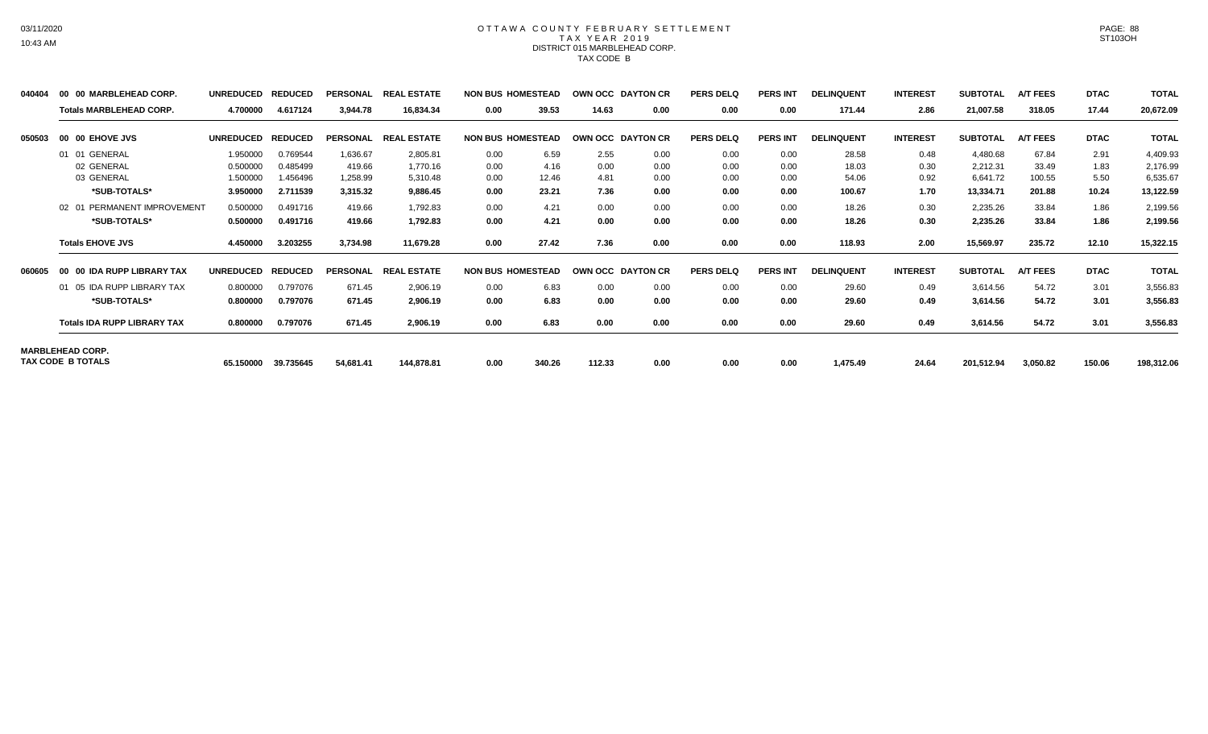## OTTAWA COUNTY FEBRUARY SETTLEMENT TAX YEAR 2019 DISTRICT 015 MARBLEHEAD CORP. TAX CODE B

| 040404 | 00 00 MARBLEHEAD CORP.             | <b>UNREDUCED</b> | <b>REDUCED</b> | <b>PERSONAL</b> | <b>REAL ESTATE</b> |      | <b>NON BUS HOMESTEAD</b> |        | OWN OCC DAYTON CR        | <b>PERS DELQ</b> | <b>PERS INT</b> | <b>DELINQUENT</b> | <b>INTEREST</b> | <b>SUBTOTAL</b> | A/T FEES        | <b>DTAC</b> | <b>TOTAL</b> |
|--------|------------------------------------|------------------|----------------|-----------------|--------------------|------|--------------------------|--------|--------------------------|------------------|-----------------|-------------------|-----------------|-----------------|-----------------|-------------|--------------|
|        | <b>Totals MARBLEHEAD CORP.</b>     | 4.700000         | 4.617124       | 3,944.78        | 16,834.34          | 0.00 | 39.53                    | 14.63  | 0.00                     | 0.00             | 0.00            | 171.44            | 2.86            | 21,007.58       | 318.05          | 17.44       | 20,672.09    |
| 050503 | 00 00 EHOVE JVS                    | <b>UNREDUCED</b> | <b>REDUCED</b> | <b>PERSONAL</b> | <b>REAL ESTATE</b> |      | <b>NON BUS HOMESTEAD</b> |        | <b>OWN OCC DAYTON CR</b> | <b>PERS DELQ</b> | <b>PERS INT</b> | <b>DELINQUENT</b> | <b>INTEREST</b> | <b>SUBTOTAL</b> | <b>A/T FEES</b> | <b>DTAC</b> | <b>TOTAL</b> |
|        | 01 01 GENERAL                      | 1.950000         | 0.769544       | 1,636.67        | 2,805.81           | 0.00 | 6.59                     | 2.55   | 0.00                     | 0.00             | 0.00            | 28.58             | 0.48            | 4,480.68        | 67.84           | 2.91        | 4,409.93     |
|        | 02 GENERAL                         | 0.500000         | 0.485499       | 419.66          | 1,770.16           | 0.00 | 4.16                     | 0.00   | 0.00                     | 0.00             | 0.00            | 18.03             | 0.30            | 2,212.31        | 33.49           | 1.83        | 2,176.99     |
|        | 03 GENERAL                         | 1.500000         | 1.456496       | 1,258.99        | 5,310.48           | 0.00 | 12.46                    | 4.81   | 0.00                     | 0.00             | 0.00            | 54.06             | 0.92            | 6,641.72        | 100.55          | 5.50        | 6,535.67     |
|        | *SUB-TOTALS*                       | 3.950000         | 2.711539       | 3,315.32        | 9,886.45           | 0.00 | 23.21                    | 7.36   | 0.00                     | 0.00             | 0.00            | 100.67            | 1.70            | 13,334.71       | 201.88          | 10.24       | 13,122.59    |
|        | PERMANENT IMPROVEMENT<br>02 01     | 0.500000         | 0.491716       | 419.66          | 1,792.83           | 0.00 | 4.21                     | 0.00   | 0.00                     | 0.00             | 0.00            | 18.26             | 0.30            | 2,235.26        | 33.84           | 1.86        | 2,199.56     |
|        | *SUB-TOTALS*                       | 0.500000         | 0.491716       | 419.66          | 1,792.83           | 0.00 | 4.21                     | 0.00   | 0.00                     | 0.00             | 0.00            | 18.26             | 0.30            | 2,235.26        | 33.84           | 1.86        | 2,199.56     |
|        | <b>Totals EHOVE JVS</b>            | 4.450000         | 3.203255       | 3,734.98        | 11,679.28          | 0.00 | 27.42                    | 7.36   | 0.00                     | 0.00             | 0.00            | 118.93            | 2.00            | 15,569.97       | 235.72          | 12.10       | 15,322.15    |
| 060605 | 00 00 IDA RUPP LIBRARY TAX         | <b>UNREDUCED</b> | <b>REDUCED</b> | <b>PERSONAL</b> | <b>REAL ESTATE</b> |      | <b>NON BUS HOMESTEAD</b> |        | OWN OCC DAYTON CR        | <b>PERS DELQ</b> | <b>PERS INT</b> | <b>DELINQUENT</b> | <b>INTEREST</b> | <b>SUBTOTAL</b> | <b>A/T FEES</b> | <b>DTAC</b> | <b>TOTAL</b> |
|        | 01 05 IDA RUPP LIBRARY TAX         | 0.800000         | 0.797076       | 671.45          | 2,906.19           | 0.00 | 6.83                     | 0.00   | 0.00                     | 0.00             | 0.00            | 29.60             | 0.49            | 3,614.56        | 54.72           | 3.01        | 3,556.83     |
|        | *SUB-TOTALS*                       | 0.800000         | 0.797076       | 671.45          | 2,906.19           | 0.00 | 6.83                     | 0.00   | 0.00                     | 0.00             | 0.00            | 29.60             | 0.49            | 3,614.56        | 54.72           | 3.01        | 3,556.83     |
|        | <b>Totals IDA RUPP LIBRARY TAX</b> | 0.800000         | 0.797076       | 671.45          | 2,906.19           | 0.00 | 6.83                     | 0.00   | 0.00                     | 0.00             | 0.00            | 29.60             | 0.49            | 3,614.56        | 54.72           | 3.01        | 3,556.83     |
|        | <b>MARBLEHEAD CORP.</b>            |                  |                |                 |                    |      |                          |        |                          |                  |                 |                   |                 |                 |                 |             |              |
|        | <b>TAX CODE B TOTALS</b>           | 65.150000        | 39.735645      | 54,681.41       | 144,878.81         | 0.00 | 340.26                   | 112.33 | 0.00                     | 0.00             | 0.00            | 1,475.49          | 24.64           | 201,512.94      | 3,050.82        | 150.06      | 198,312.06   |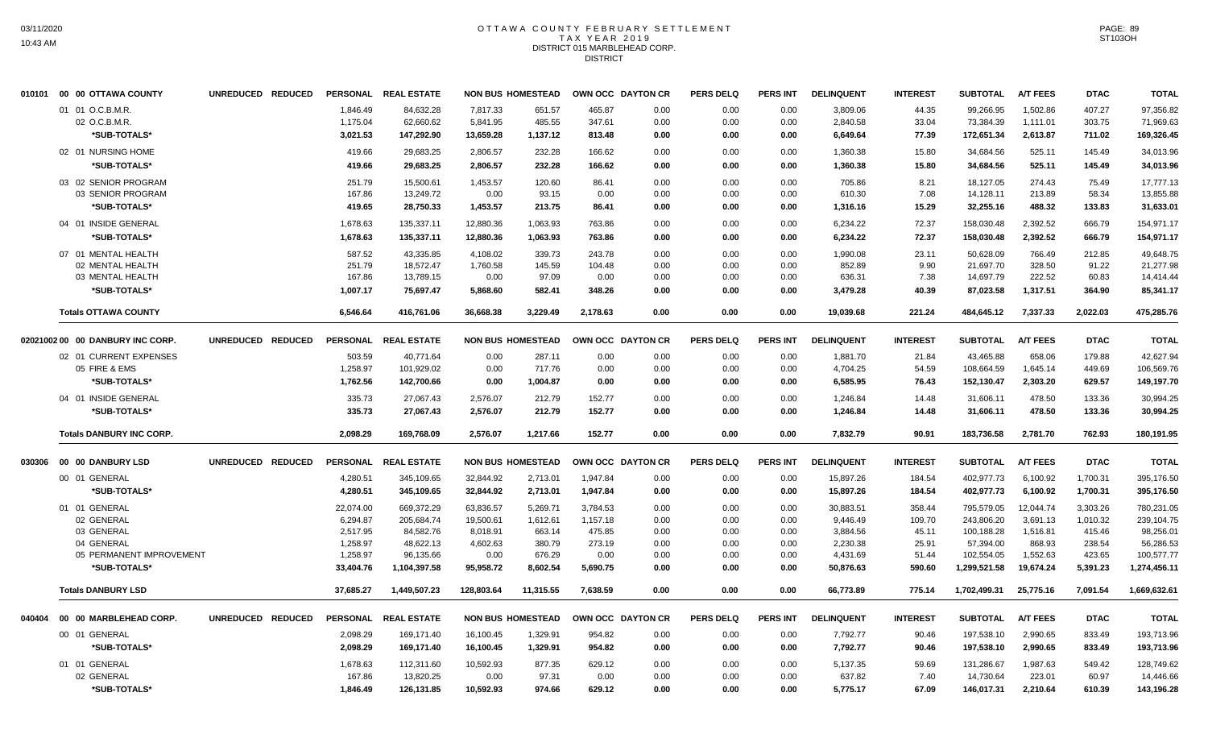# OTTAWA COUNTY FEBRUARY SETTLEMENT TAX YEAR 2019 DISTRICT 015 MARBLEHEAD CORP. DISTRICT

|        | 010101 00 00 OTTAWA COUNTY       | UNREDUCED REDUCED |                 | PERSONAL REAL ESTATE |            | <b>NON BUS HOMESTEAD</b> | OWN OCC DAYTON CR |      | <b>PERS DELQ</b> | <b>PERS INT</b> | <b>DELINQUENT</b> | <b>INTEREST</b> | <b>SUBTOTAL</b> | <b>A/T FEES</b> | <b>DTAC</b> | <b>TOTAL</b> |
|--------|----------------------------------|-------------------|-----------------|----------------------|------------|--------------------------|-------------------|------|------------------|-----------------|-------------------|-----------------|-----------------|-----------------|-------------|--------------|
|        | 01 01 O.C.B.M.R.                 |                   | 1.846.49        | 84,632.28            | 7.817.33   | 651.57                   | 465.87            | 0.00 | 0.00             | 0.00            | 3,809.06          | 44.35           | 99.266.95       | 1,502.86        | 407.27      | 97,356.82    |
|        | 02 O.C.B.M.R.                    |                   | 1,175.04        | 62,660.62            | 5,841.95   | 485.55                   | 347.61            | 0.00 | 0.00             | 0.00            | 2,840.58          | 33.04           | 73,384.39       | 1,111.01        | 303.75      | 71,969.63    |
|        | *SUB-TOTALS*                     |                   | 3,021.53        | 147,292.90           | 13,659.28  | 1,137.12                 | 813.48            | 0.00 | 0.00             | 0.00            | 6,649.64          | 77.39           | 172,651.34      | 2,613.87        | 711.02      | 169,326.45   |
|        | 02 01 NURSING HOME               |                   | 419.66          | 29,683.25            | 2,806.57   | 232.28                   | 166.62            | 0.00 | 0.00             | 0.00            | 1,360.38          | 15.80           | 34,684.56       | 525.11          | 145.49      | 34,013.96    |
|        | *SUB-TOTALS*                     |                   | 419.66          | 29,683.25            | 2.806.57   | 232.28                   | 166.62            | 0.00 | 0.00             | 0.00            | 1,360.38          | 15.80           | 34,684.56       | 525.11          | 145.49      | 34,013.96    |
|        | 03 02 SENIOR PROGRAM             |                   | 251.79          | 15.500.61            | 1.453.57   | 120.60                   | 86.41             | 0.00 | 0.00             | 0.00            | 705.86            | 8.21            | 18.127.05       | 274.43          | 75.49       | 17.777.13    |
|        | 03 SENIOR PROGRAM                |                   | 167.86          | 13,249.72            | 0.00       | 93.15                    | 0.00              | 0.00 | 0.00             | 0.00            | 610.30            | 7.08            | 14,128.11       | 213.89          | 58.34       | 13,855.88    |
|        | *SUB-TOTALS*                     |                   | 419.65          | 28,750.33            | 1,453.57   | 213.75                   | 86.41             | 0.00 | 0.00             | 0.00            | 1,316.16          | 15.29           | 32,255.16       | 488.32          | 133.83      | 31,633.01    |
|        | 04 01 INSIDE GENERAL             |                   | 1,678.63        | 135,337.11           | 12,880.36  | 1,063.93                 | 763.86            | 0.00 | 0.00             | 0.00            | 6,234.22          | 72.37           | 158,030.48      | 2,392.52        | 666.79      | 154,971.17   |
|        | *SUB-TOTALS*                     |                   | 1.678.63        | 135,337.11           | 12,880.36  | 1.063.93                 | 763.86            | 0.00 | 0.00             | 0.00            | 6,234.22          | 72.37           | 158,030.48      | 2,392.52        | 666.79      | 154,971.17   |
|        | 07 01 MENTAL HEALTH              |                   | 587.52          | 43,335.85            | 4,108.02   | 339.73                   | 243.78            | 0.00 | 0.00             | 0.00            | 1,990.08          | 23.11           | 50,628.09       | 766.49          | 212.85      | 49,648.75    |
|        | 02 MENTAL HEALTH                 |                   | 251.79          | 18,572.47            | 1,760.58   | 145.59                   | 104.48            | 0.00 | 0.00             | 0.00            | 852.89            | 9.90            | 21,697.70       | 328.50          | 91.22       | 21,277.98    |
|        | 03 MENTAL HEALTH                 |                   | 167.86          | 13,789.15            | 0.00       | 97.09                    | 0.00              | 0.00 | 0.00             | 0.00            | 636.31            | 7.38            | 14,697.79       | 222.52          | 60.83       | 14,414.44    |
|        | *SUB-TOTALS*                     |                   | 1,007.17        | 75,697.47            | 5,868.60   | 582.41                   | 348.26            | 0.00 | 0.00             | 0.00            | 3,479.28          | 40.39           | 87,023.58       | 1,317.51        | 364.90      | 85,341.17    |
|        | <b>Totals OTTAWA COUNTY</b>      |                   | 6,546.64        | 416,761.06           | 36,668.38  | 3,229.49                 | 2,178.63          | 0.00 | 0.00             | 0.00            | 19,039.68         | 221.24          | 484,645.12      | 7,337.33        | 2,022.03    | 475,285.76   |
|        | 02021002 00 00 DANBURY INC CORP. | UNREDUCED REDUCED |                 | PERSONAL REAL ESTATE |            | <b>NON BUS HOMESTEAD</b> | OWN OCC DAYTON CR |      | <b>PERS DELQ</b> | <b>PERS INT</b> | <b>DELINQUENT</b> | <b>INTEREST</b> | <b>SUBTOTAL</b> | <b>A/T FEES</b> | <b>DTAC</b> | <b>TOTAL</b> |
|        | 02 01 CURRENT EXPENSES           |                   | 503.59          | 40,771.64            | 0.00       | 287.11                   | 0.00              | 0.00 | 0.00             | 0.00            | 1,881.70          | 21.84           | 43,465.88       | 658.06          | 179.88      | 42,627.94    |
|        | 05 FIRE & EMS                    |                   | 1,258.97        | 101,929.02           | 0.00       | 717.76                   | 0.00              | 0.00 | 0.00             | 0.00            | 4,704.25          | 54.59           | 108,664.59      | 1,645.14        | 449.69      | 106,569.76   |
|        | *SUB-TOTALS*                     |                   | 1,762.56        | 142,700.66           | 0.00       | 1,004.87                 | 0.00              | 0.00 | 0.00             | 0.00            | 6,585.95          | 76.43           | 152,130.47      | 2,303.20        | 629.57      | 149,197.70   |
|        | 04 01 INSIDE GENERAL             |                   | 335.73          | 27,067.43            | 2,576.07   | 212.79                   | 152.77            | 0.00 | 0.00             | 0.00            | 1,246.84          | 14.48           | 31,606.11       | 478.50          | 133.36      | 30,994.25    |
|        | *SUB-TOTALS*                     |                   | 335.73          | 27,067.43            | 2,576.07   | 212.79                   | 152.77            | 0.00 | 0.00             | 0.00            | 1,246.84          | 14.48           | 31,606.11       | 478.50          | 133.36      | 30,994.25    |
|        | <b>Totals DANBURY INC CORP.</b>  |                   | 2,098.29        | 169,768.09           | 2,576.07   | 1,217.66                 | 152.77            | 0.00 | 0.00             | 0.00            | 7,832.79          | 90.91           | 183,736.58      | 2,781.70        | 762.93      | 180,191.95   |
|        | 030306 00 00 DANBURY LSD         | UNREDUCED REDUCED |                 | PERSONAL REAL ESTATE |            | <b>NON BUS HOMESTEAD</b> | OWN OCC DAYTON CR |      | <b>PERS DELQ</b> | PERS INT        | <b>DELINQUENT</b> | <b>INTEREST</b> | <b>SUBTOTAL</b> | <b>A/T FEES</b> | <b>DTAC</b> | <b>TOTAL</b> |
|        | 00 01 GENERAL                    |                   | 4,280.51        | 345,109.65           | 32,844.92  | 2,713.01                 | 1,947.84          | 0.00 | 0.00             | 0.00            | 15,897.26         | 184.54          | 402,977.73      | 6,100.92        | 1,700.31    | 395,176.50   |
|        | *SUB-TOTALS*                     |                   | 4,280.51        | 345,109.65           | 32,844.92  | 2,713.01                 | 1,947.84          | 0.00 | 0.00             | 0.00            | 15,897.26         | 184.54          | 402,977.73      | 6,100.92        | 1,700.31    | 395,176.50   |
|        | 01 01 GENERAL                    |                   | 22,074.00       | 669,372.29           | 63,836.57  | 5,269.71                 | 3,784.53          | 0.00 | 0.00             | 0.00            | 30,883.51         | 358.44          | 795,579.05      | 12,044.74       | 3,303.26    | 780,231.05   |
|        | 02 GENERAL                       |                   | 6,294.87        | 205,684.74           | 19,500.61  | 1,612.61                 | 1,157.18          | 0.00 | 0.00             | 0.00            | 9,446.49          | 109.70          | 243,806.20      | 3,691.13        | 1,010.32    | 239,104.75   |
|        | 03 GENERAL                       |                   | 2,517.95        | 84,582.76            | 8,018.91   | 663.14                   | 475.85            | 0.00 | 0.00             | 0.00            | 3,884.56          | 45.11           | 100,188.28      | 1,516.81        | 415.46      | 98,256.01    |
|        | 04 GENERAL                       |                   | 1,258.97        | 48,622.13            | 4,602.63   | 380.79                   | 273.19            | 0.00 | 0.00             | 0.00            | 2,230.38          | 25.91           | 57,394.00       | 868.93          | 238.54      | 56,286.53    |
|        | 05 PERMANENT IMPROVEMENT         |                   | 1,258.97        | 96,135.66            | 0.00       | 676.29                   | 0.00              | 0.00 | 0.00             | 0.00            | 4,431.69          | 51.44           | 102,554.05      | 1,552.63        | 423.65      | 100,577.77   |
|        | *SUB-TOTALS*                     |                   | 33,404.76       | 1,104,397.58         | 95,958.72  | 8,602.54                 | 5,690.75          | 0.00 | 0.00             | 0.00            | 50,876.63         | 590.60          | 1,299,521.58    | 19,674.24       | 5,391.23    | 1,274,456.11 |
|        | <b>Totals DANBURY LSD</b>        |                   | 37,685.27       | 1,449,507.23         | 128,803.64 | 11,315.55                | 7,638.59          | 0.00 | 0.00             | 0.00            | 66,773.89         | 775.14          | 1,702,499.31    | 25,775.16       | 7,091.54    | 1,669,632.61 |
| 040404 | 00 00 MARBLEHEAD CORP.           | UNREDUCED REDUCED | <b>PERSONAL</b> | <b>REAL ESTATE</b>   |            | <b>NON BUS HOMESTEAD</b> | OWN OCC DAYTON CR |      | <b>PERS DELQ</b> | <b>PERS INT</b> | <b>DELINQUENT</b> | <b>INTEREST</b> | <b>SUBTOTAL</b> | <b>A/T FEES</b> | <b>DTAC</b> | <b>TOTAL</b> |
|        | 00 01 GENERAL                    |                   | 2,098.29        | 169,171.40           | 16,100.45  | 1,329.91                 | 954.82            | 0.00 | 0.00             | 0.00            | 7,792.77          | 90.46           | 197,538.10      | 2,990.65        | 833.49      | 193,713.96   |
|        | *SUB-TOTALS*                     |                   | 2.098.29        | 169,171.40           | 16.100.45  | 1,329.91                 | 954.82            | 0.00 | 0.00             | 0.00            | 7,792.77          | 90.46           | 197,538.10      | 2.990.65        | 833.49      | 193,713.96   |
|        | 01 01 GENERAL                    |                   | 1,678.63        | 112,311.60           | 10,592.93  | 877.35                   | 629.12            | 0.00 | 0.00             | 0.00            | 5,137.35          | 59.69           | 131,286.67      | 1,987.63        | 549.42      | 128,749.62   |
|        | 02 GENERAL                       |                   | 167.86          | 13,820.25            | 0.00       | 97.31                    | 0.00              | 0.00 | 0.00             | 0.00            | 637.82            | 7.40            | 14,730.64       | 223.01          | 60.97       | 14,446.66    |
|        | *SUB-TOTALS*                     |                   | 1,846.49        | 126,131.85           | 10,592.93  | 974.66                   | 629.12            | 0.00 | 0.00             | 0.00            | 5,775.17          | 67.09           | 146,017.31      | 2,210.64        | 610.39      | 143,196.28   |
|        |                                  |                   |                 |                      |            |                          |                   |      |                  |                 |                   |                 |                 |                 |             |              |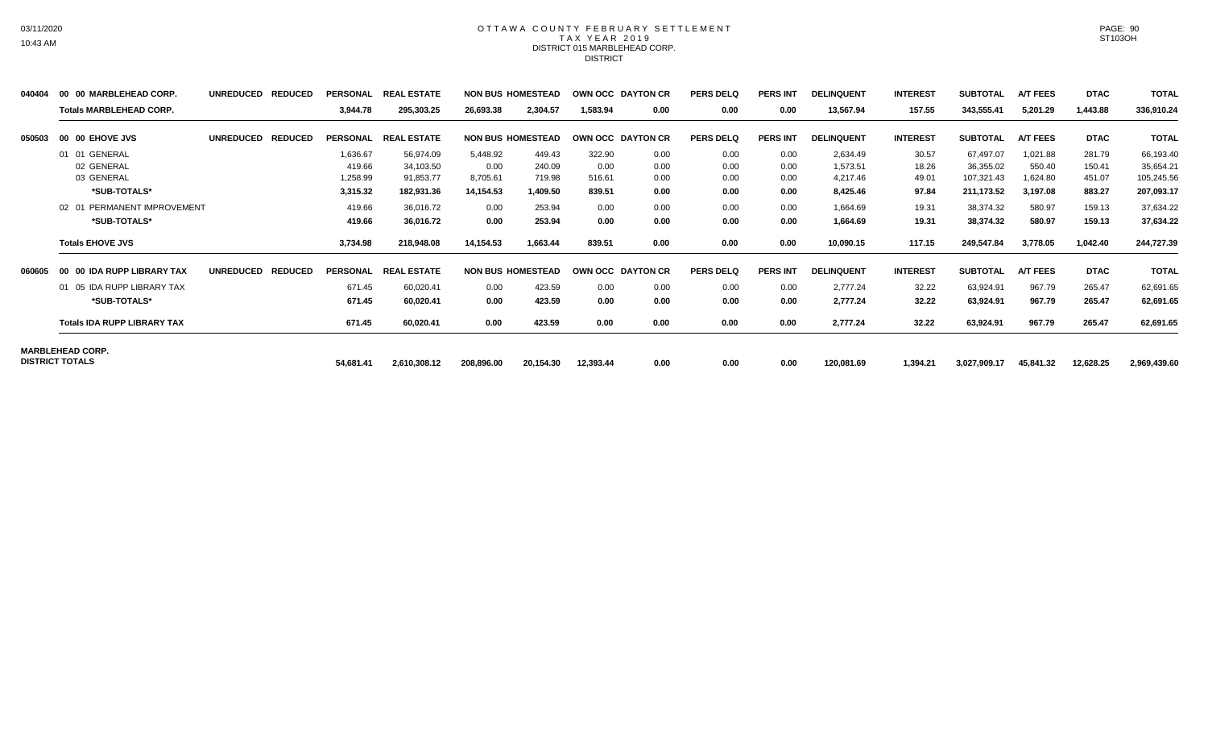# OTTAWA COUNTY FEBRUARY SETTLEMENT TAX YEAR 2019 DISTRICT 015 MARBLEHEAD CORP. DISTRICT

| 040404 | 00 00 MARBLEHEAD CORP.             | <b>UNREDUCED</b> | <b>REDUCED</b> |                 | PERSONAL REAL ESTATE |            | <b>NON BUS HOMESTEAD</b> |           | OWN OCC DAYTON CR | <b>PERS DELQ</b> | <b>PERS INT</b> | <b>DELINQUENT</b> | <b>INTEREST</b> | <b>SUBTOTAL</b> | <b>A/T FEES</b> | <b>DTAC</b> | <b>TOTAL</b> |
|--------|------------------------------------|------------------|----------------|-----------------|----------------------|------------|--------------------------|-----------|-------------------|------------------|-----------------|-------------------|-----------------|-----------------|-----------------|-------------|--------------|
|        | <b>Totals MARBLEHEAD CORP.</b>     |                  |                | 3,944.78        | 295,303.25           | 26,693.38  | 2,304.57                 | 1,583.94  | 0.00              | 0.00             | 0.00            | 13,567.94         | 157.55          | 343,555.41      | 5,201.29        | 1,443.88    | 336,910.24   |
| 050503 | 00 00 EHOVE JVS                    | <b>UNREDUCED</b> | <b>REDUCED</b> |                 | PERSONAL REAL ESTATE |            | <b>NON BUS HOMESTEAD</b> |           | OWN OCC DAYTON CR | <b>PERS DELQ</b> | <b>PERS INT</b> | <b>DELINQUENT</b> | <b>INTEREST</b> | <b>SUBTOTAL</b> | <b>A/T FEES</b> | <b>DTAC</b> | <b>TOTAL</b> |
|        | 01 01 GENERAL                      |                  |                | 1,636.67        | 56,974.09            | 5,448.92   | 449.43                   | 322.90    | 0.00              | 0.00             | 0.00            | 2,634.49          | 30.57           | 67,497.07       | 1,021.88        | 281.79      | 66,193.40    |
|        | 02 GENERAL                         |                  |                | 419.66          | 34,103.50            | 0.00       | 240.09                   | 0.00      | 0.00              | 0.00             | 0.00            | 1,573.51          | 18.26           | 36,355.02       | 550.40          | 150.41      | 35,654.21    |
|        | 03 GENERAL                         |                  |                | 1,258.99        | 91,853.77            | 8,705.61   | 719.98                   | 516.61    | 0.00              | 0.00             | 0.00            | 4,217.46          | 49.01           | 107,321.43      | 1,624.80        | 451.07      | 105,245.56   |
|        | *SUB-TOTALS*                       |                  |                | 3,315.32        | 182,931.36           | 14,154.53  | 1,409.50                 | 839.51    | 0.00              | 0.00             | 0.00            | 8,425.46          | 97.84           | 211,173.52      | 3,197.08        | 883.27      | 207,093.17   |
|        | 02 01 PERMANENT IMPROVEMENT        |                  |                | 419.66          | 36,016.72            | 0.00       | 253.94                   | 0.00      | 0.00              | 0.00             | 0.00            | 1,664.69          | 19.31           | 38,374.32       | 580.97          | 159.13      | 37,634.22    |
|        | *SUB-TOTALS*                       |                  |                | 419.66          | 36,016.72            | 0.00       | 253.94                   | 0.00      | 0.00              | 0.00             | 0.00            | 1,664.69          | 19.31           | 38,374.32       | 580.97          | 159.13      | 37,634.22    |
|        | <b>Totals EHOVE JVS</b>            |                  |                | 3,734.98        | 218,948.08           | 14,154.53  | 1,663.44                 | 839.51    | 0.00              | 0.00             | 0.00            | 10,090.15         | 117.15          | 249,547.84      | 3,778.05        | 1,042.40    | 244,727.39   |
| 060605 | 00 00 IDA RUPP LIBRARY TAX         | <b>UNREDUCED</b> | <b>REDUCED</b> | <b>PERSONAL</b> | <b>REAL ESTATE</b>   |            | <b>NON BUS HOMESTEAD</b> |           | OWN OCC DAYTON CR | <b>PERS DELQ</b> | <b>PERS INT</b> | <b>DELINQUENT</b> | <b>INTEREST</b> | <b>SUBTOTAL</b> | <b>A/T FEES</b> | <b>DTAC</b> | <b>TOTAL</b> |
|        | 01 05 IDA RUPP LIBRARY TAX         |                  |                | 671.45          | 60,020.41            | 0.00       | 423.59                   | 0.00      | 0.00              | 0.00             | 0.00            | 2.777.24          | 32.22           | 63,924.91       | 967.79          | 265.47      | 62,691.65    |
|        | *SUB-TOTALS*                       |                  |                | 671.45          | 60,020.41            | 0.00       | 423.59                   | 0.00      | 0.00              | 0.00             | 0.00            | 2,777.24          | 32.22           | 63,924.91       | 967.79          | 265.47      | 62,691.65    |
|        | <b>Totals IDA RUPP LIBRARY TAX</b> |                  |                | 671.45          | 60,020.41            | 0.00       | 423.59                   | 0.00      | 0.00              | 0.00             | 0.00            | 2,777.24          | 32.22           | 63,924.91       | 967.79          | 265.47      | 62,691.65    |
|        | <b>MARBLEHEAD CORP.</b>            |                  |                |                 |                      |            |                          |           |                   |                  |                 |                   |                 |                 |                 |             |              |
|        | <b>DISTRICT TOTALS</b>             |                  |                | 54,681.41       | 2,610,308.12         | 208,896.00 | 20,154.30                | 12,393.44 | 0.00              | 0.00             | 0.00            | 120,081.69        | 1,394.21        | 3,027,909.17    | 45,841.32       | 12,628.25   | 2,969,439.60 |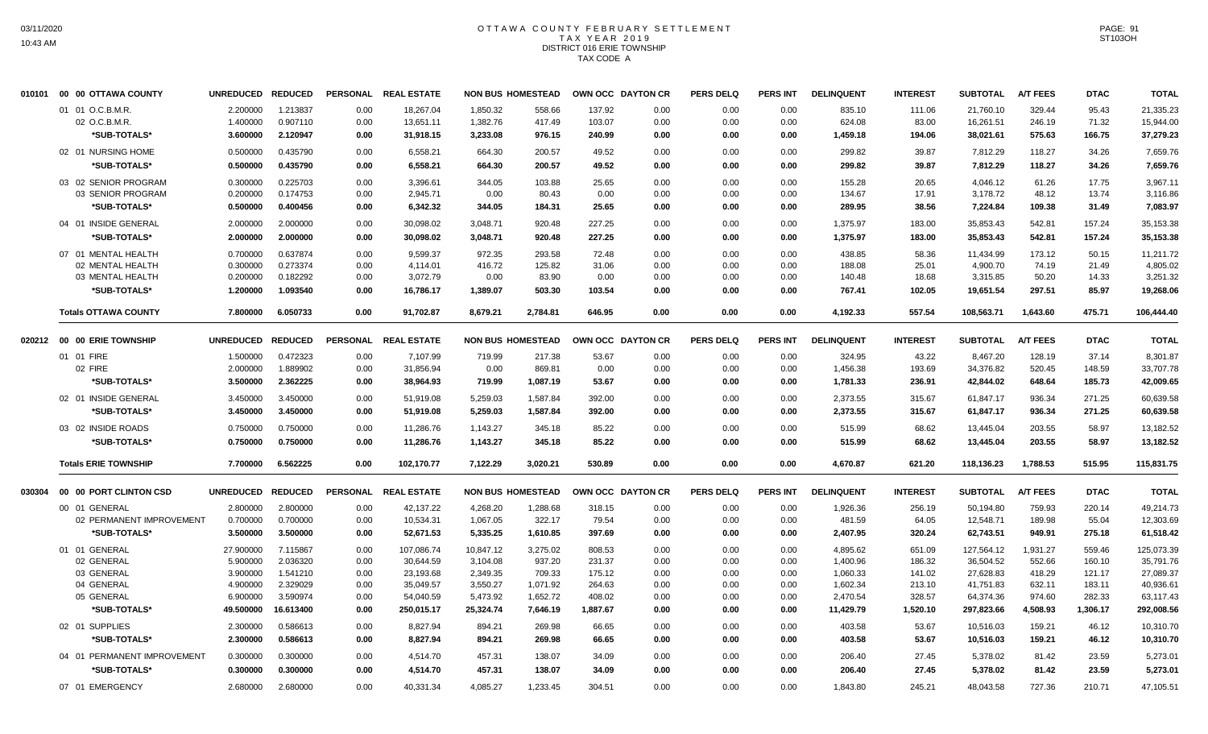#### OTTAWA COUNTY FEBRUARY SETTLEMENT T A X Y E A R 2 0 1 9 DISTRICT 016 ERIE TOWNSHIP TAX CODE A

| 010101 | 00 00 OTTAWA COUNTY         | UNREDUCED REDUCED |                | <b>PERSONAL</b> | <b>REAL ESTATE</b> |           | <b>NON BUS HOMESTEAD</b> |          | OWN OCC DAYTON CR | <b>PERS DELQ</b> | <b>PERS INT</b> | <b>DELINQUENT</b> | <b>INTEREST</b> | <b>SUBTOTAL</b> | <b>A/T FEES</b> | <b>DTAC</b> | <b>TOTAL</b> |
|--------|-----------------------------|-------------------|----------------|-----------------|--------------------|-----------|--------------------------|----------|-------------------|------------------|-----------------|-------------------|-----------------|-----------------|-----------------|-------------|--------------|
|        | 01 01 O.C.B.M.R.            | 2.200000          | 1.213837       | 0.00            | 18,267.04          | 1,850.32  | 558.66                   | 137.92   | 0.00              | 0.00             | 0.00            | 835.10            | 111.06          | 21,760.10       | 329.44          | 95.43       | 21,335.23    |
|        | 02 O.C.B.M.R.               | 1.400000          | 0.907110       | 0.00            | 13,651.11          | 1,382.76  | 417.49                   | 103.07   | 0.00              | 0.00             | 0.00            | 624.08            | 83.00           | 16,261.51       | 246.19          | 71.32       | 15,944.00    |
|        | *SUB-TOTALS*                | 3.600000          | 2.120947       | 0.00            | 31,918.15          | 3,233.08  | 976.15                   | 240.99   | 0.00              | 0.00             | 0.00            | 1,459.18          | 194.06          | 38,021.61       | 575.63          | 166.75      | 37,279.23    |
|        | 02 01 NURSING HOME          | 0.500000          | 0.435790       | 0.00            | 6,558.21           | 664.30    | 200.57                   | 49.52    | 0.00              | 0.00             | 0.00            | 299.82            | 39.87           | 7,812.29        | 118.27          | 34.26       | 7,659.76     |
|        | *SUB-TOTALS*                | 0.500000          | 0.435790       | 0.00            | 6,558.21           | 664.30    | 200.57                   | 49.52    | 0.00              | 0.00             | 0.00            | 299.82            | 39.87           | 7,812.29        | 118.27          | 34.26       | 7,659.76     |
|        | 03 02 SENIOR PROGRAM        | 0.300000          | 0.225703       | 0.00            | 3,396.61           | 344.05    | 103.88                   | 25.65    | 0.00              | 0.00             | 0.00            | 155.28            | 20.65           | 4,046.12        | 61.26           | 17.75       | 3,967.11     |
|        | 03 SENIOR PROGRAM           | 0.200000          | 0.174753       | 0.00            | 2,945.71           | 0.00      | 80.43                    | 0.00     | 0.00              | 0.00             | 0.00            | 134.67            | 17.91           | 3,178.72        | 48.12           | 13.74       | 3,116.86     |
|        | *SUB-TOTALS*                | 0.500000          | 0.400456       | 0.00            | 6,342.32           | 344.05    | 184.31                   | 25.65    | 0.00              | 0.00             | 0.00            | 289.95            | 38.56           | 7,224.84        | 109.38          | 31.49       | 7,083.97     |
|        | 04 01 INSIDE GENERAL        | 2.000000          | 2.000000       | 0.00            | 30,098.02          | 3,048.71  | 920.48                   | 227.25   | 0.00              | 0.00             | 0.00            | 1,375.97          | 183.00          | 35,853.43       | 542.81          | 157.24      | 35,153.38    |
|        | *SUB-TOTALS*                | 2.000000          | 2.000000       | 0.00            | 30,098.02          | 3,048.71  | 920.48                   | 227.25   | 0.00              | 0.00             | 0.00            | 1,375.97          | 183.00          | 35,853.43       | 542.81          | 157.24      | 35,153.38    |
|        | 07 01 MENTAL HEALTH         | 0.700000          | 0.637874       | 0.00            | 9,599.37           | 972.35    | 293.58                   | 72.48    | 0.00              | 0.00             | 0.00            | 438.85            | 58.36           | 11,434.99       | 173.12          | 50.15       | 11,211.72    |
|        | 02 MENTAL HEALTH            | 0.300000          | 0.273374       | 0.00            | 4,114.01           | 416.72    | 125.82                   | 31.06    | 0.00              | 0.00             | 0.00            | 188.08            | 25.01           | 4,900.70        | 74.19           | 21.49       | 4,805.02     |
|        | 03 MENTAL HEALTH            | 0.200000          | 0.182292       | 0.00            | 3,072.79           | 0.00      | 83.90                    | 0.00     | 0.00              | 0.00             | 0.00            | 140.48            | 18.68           | 3,315.85        | 50.20           | 14.33       | 3,251.32     |
|        | *SUB-TOTALS*                | 1.200000          | 1.093540       | 0.00            | 16,786.17          | 1,389.07  | 503.30                   | 103.54   | 0.00              | 0.00             | 0.00            | 767.41            | 102.05          | 19,651.54       | 297.51          | 85.97       | 19,268.06    |
|        | <b>Totals OTTAWA COUNTY</b> | 7.800000          | 6.050733       | 0.00            | 91,702.87          | 8,679.21  | 2,784.81                 | 646.95   | 0.00              | 0.00             | 0.00            | 4,192.33          | 557.54          | 108,563.71      | 1,643.60        | 475.71      | 106,444.40   |
|        | 020212 00 00 ERIE TOWNSHIP  | <b>UNREDUCED</b>  | <b>REDUCED</b> | <b>PERSONAL</b> | <b>REAL ESTATE</b> |           | <b>NON BUS HOMESTEAD</b> |          | OWN OCC DAYTON CR | <b>PERS DELQ</b> | PERS INT        | <b>DELINQUENT</b> | <b>INTEREST</b> | <b>SUBTOTAL</b> | <b>A/T FEES</b> | <b>DTAC</b> | <b>TOTAL</b> |
|        | 01 01 FIRE                  | 1.500000          | 0.472323       | 0.00            | 7,107.99           | 719.99    | 217.38                   | 53.67    | 0.00              | 0.00             | 0.00            | 324.95            | 43.22           | 8,467.20        | 128.19          | 37.14       | 8,301.87     |
|        | 02 FIRE                     | 2.000000          | 1.889902       | 0.00            | 31,856.94          | 0.00      | 869.81                   | 0.00     | 0.00              | 0.00             | 0.00            | 1,456.38          | 193.69          | 34,376.82       | 520.45          | 148.59      | 33,707.78    |
|        | *SUB-TOTALS*                | 3.500000          | 2.362225       | 0.00            | 38,964.93          | 719.99    | 1,087.19                 | 53.67    | 0.00              | 0.00             | 0.00            | 1,781.33          | 236.91          | 42,844.02       | 648.64          | 185.73      | 42,009.65    |
|        | 02 01 INSIDE GENERAL        | 3.450000          | 3.450000       | 0.00            | 51,919.08          | 5,259.03  | 1,587.84                 | 392.00   | 0.00              | 0.00             | 0.00            | 2,373.55          | 315.67          | 61,847.17       | 936.34          | 271.25      | 60,639.58    |
|        | *SUB-TOTALS*                | 3.450000          | 3.450000       | 0.00            | 51,919.08          | 5,259.03  | 1,587.84                 | 392.00   | 0.00              | 0.00             | 0.00            | 2,373.55          | 315.67          | 61,847.17       | 936.34          | 271.25      | 60,639.58    |
|        | 03 02 INSIDE ROADS          | 0.750000          | 0.750000       | 0.00            | 11,286.76          | 1,143.27  | 345.18                   | 85.22    | 0.00              | 0.00             | 0.00            | 515.99            | 68.62           | 13,445.04       | 203.55          | 58.97       | 13,182.52    |
|        | *SUB-TOTALS*                | 0.750000          | 0.750000       | 0.00            | 11,286.76          | 1,143.27  | 345.18                   | 85.22    | 0.00              | 0.00             | 0.00            | 515.99            | 68.62           | 13,445.04       | 203.55          | 58.97       | 13,182.52    |
|        | <b>Totals ERIE TOWNSHIP</b> | 7.700000          | 6.562225       | 0.00            | 102,170.77         | 7,122.29  | 3,020.21                 | 530.89   | 0.00              | 0.00             | 0.00            | 4,670.87          | 621.20          | 118,136.23      | 1,788.53        | 515.95      | 115,831.75   |
| 030304 | 00 00 PORT CLINTON CSD      | <b>UNREDUCED</b>  | <b>REDUCED</b> | <b>PERSONAL</b> | <b>REAL ESTATE</b> |           | <b>NON BUS HOMESTEAD</b> |          | OWN OCC DAYTON CR | <b>PERS DELQ</b> | <b>PERS INT</b> | <b>DELINQUENT</b> | <b>INTEREST</b> | <b>SUBTOTAL</b> | <b>A/T FEES</b> | <b>DTAC</b> | <b>TOTAL</b> |
|        | 00 01 GENERAL               | 2.800000          | 2.800000       | 0.00            | 42,137.22          | 4,268.20  | 1,288.68                 | 318.15   | 0.00              | 0.00             | 0.00            | 1,926.36          | 256.19          | 50,194.80       | 759.93          | 220.14      | 49,214.73    |
|        | 02 PERMANENT IMPROVEMENT    | 0.700000          | 0.700000       | 0.00            | 10,534.31          | 1,067.05  | 322.17                   | 79.54    | 0.00              | 0.00             | 0.00            | 481.59            | 64.05           | 12,548.71       | 189.98          | 55.04       | 12,303.69    |
|        | *SUB-TOTALS*                | 3.500000          | 3.500000       | 0.00            | 52,671.53          | 5,335.25  | 1,610.85                 | 397.69   | 0.00              | 0.00             | 0.00            | 2,407.95          | 320.24          | 62,743.51       | 949.91          | 275.18      | 61,518.42    |
|        | 01 01 GENERAL               | 27.900000         | 7.115867       | 0.00            | 107.086.74         | 10,847.12 | 3,275.02                 | 808.53   | 0.00              | 0.00             | 0.00            | 4,895.62          | 651.09          | 127,564.12      | 1,931.27        | 559.46      | 125,073.39   |
|        | 02 GENERAL                  | 5.900000          | 2.036320       | 0.00            | 30,644.59          | 3,104.08  | 937.20                   | 231.37   | 0.00              | 0.00             | 0.00            | 1,400.96          | 186.32          | 36,504.52       | 552.66          | 160.10      | 35,791.76    |
|        | 03 GENERAL                  | 3.900000          | 1.541210       | 0.00            | 23,193.68          | 2,349.35  | 709.33                   | 175.12   | 0.00              | 0.00             | 0.00            | 1,060.33          | 141.02          | 27,628.83       | 418.29          | 121.17      | 27,089.37    |
|        | 04 GENERAL                  | 4.900000          | 2.329029       | 0.00            | 35,049.57          | 3,550.27  | 1,071.92                 | 264.63   | 0.00              | 0.00             | 0.00            | 1,602.34          | 213.10          | 41,751.83       | 632.11          | 183.11      | 40,936.61    |
|        | 05 GENERAL                  | 6.900000          | 3.590974       | 0.00            | 54,040.59          | 5,473.92  | 1,652.72                 | 408.02   | 0.00              | 0.00             | 0.00            | 2,470.54          | 328.57          | 64,374.36       | 974.60          | 282.33      | 63,117.43    |
|        | *SUB-TOTALS*                | 49.500000         | 16.613400      | 0.00            | 250,015.17         | 25,324.74 | 7,646.19                 | 1,887.67 | 0.00              | 0.00             | 0.00            | 11,429.79         | 1,520.10        | 297,823.66      | 4,508.93        | 1,306.17    | 292,008.56   |
|        | 02 01 SUPPLIES              | 2.300000          | 0.586613       | 0.00            | 8,827.94           | 894.21    | 269.98                   | 66.65    | 0.00              | 0.00             | 0.00            | 403.58            | 53.67           | 10,516.03       | 159.21          | 46.12       | 10,310.70    |
|        | *SUB-TOTALS*                | 2.300000          | 0.586613       | 0.00            | 8,827.94           | 894.21    | 269.98                   | 66.65    | 0.00              | 0.00             | 0.00            | 403.58            | 53.67           | 10,516.03       | 159.21          | 46.12       | 10,310.70    |
|        | 04 01 PERMANENT IMPROVEMENT | 0.300000          | 0.300000       | 0.00            | 4,514.70           | 457.31    | 138.07                   | 34.09    | 0.00              | 0.00             | 0.00            | 206.40            | 27.45           | 5,378.02        | 81.42           | 23.59       | 5,273.01     |
|        | *SUB-TOTALS*                | 0.300000          | 0.300000       | 0.00            | 4,514.70           | 457.31    | 138.07                   | 34.09    | 0.00              | 0.00             | 0.00            | 206.40            | 27.45           | 5,378.02        | 81.42           | 23.59       | 5,273.01     |
|        | 07 01 EMERGENCY             | 2.680000          | 2.680000       | 0.00            | 40,331.34          | 4,085.27  | 1,233.45                 | 304.51   | 0.00              | 0.00             | 0.00            | 1,843.80          | 245.21          | 48,043.58       | 727.36          | 210.71      | 47,105.51    |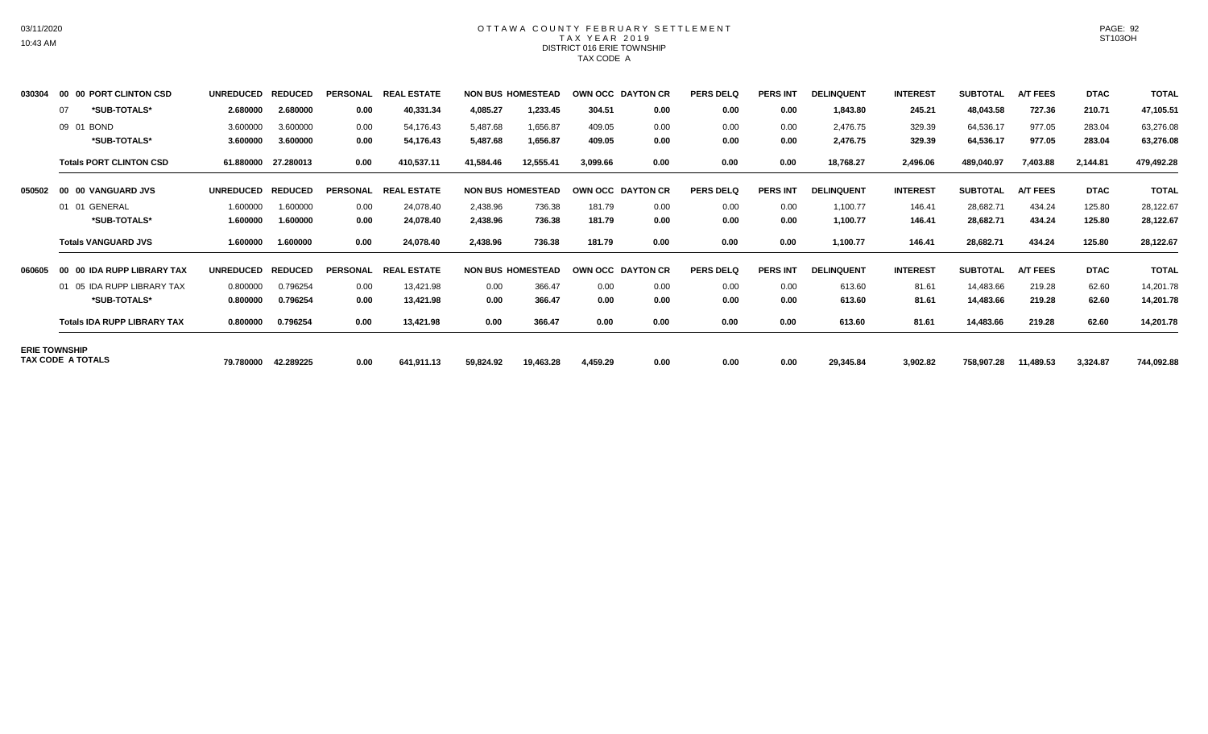## OTTAWA COUNTY FEBRUARY SETTLEMENT TAX YEAR 2019 DISTRICT 016 ERIE TOWNSHIP TAX CODE A

| 030304 | 00 00 PORT CLINTON CSD             | <b>UNREDUCED</b> | <b>REDUCED</b> | <b>PERSONAL</b> | <b>REAL</b><br>. ESTATE      |           | <b>NON BUS HOMESTEAD</b> |          | OWN OCC DAYTON CR | <b>PERS DELQ</b> | <b>PERS INT</b> | <b>DELINQUENT</b> | <b>INTEREST</b> | <b>SUBTOTAL</b> | <b>A/T FEES</b> | <b>DTAC</b> | <b>TOTAL</b> |
|--------|------------------------------------|------------------|----------------|-----------------|------------------------------|-----------|--------------------------|----------|-------------------|------------------|-----------------|-------------------|-----------------|-----------------|-----------------|-------------|--------------|
|        | *SUB-TOTALS*<br>07                 | 2.680000         | 2.680000       | 0.00            | 40,331.34                    | 4,085.27  | 1,233.45                 | 304.51   | 0.00              | 0.00             | 0.00            | 1,843.80          | 245.21          | 48,043.58       | 727.36          | 210.71      | 47,105.51    |
|        | 09 01 BOND                         | 3.600000         | 3.600000       | 0.00            | 54,176.43                    | 5,487.68  | 1,656.87                 | 409.05   | 0.00              | 0.00             | 0.00            | 2,476.75          | 329.39          | 64,536.17       | 977.05          | 283.04      | 63,276.08    |
|        | *SUB-TOTALS*                       | 3.600000         | 3.600000       | 0.00            | 54,176.43                    | 5,487.68  | 1,656.87                 | 409.05   | 0.00              | 0.00             | 0.00            | 2,476.75          | 329.39          | 64,536.17       | 977.05          | 283.04      | 63,276.08    |
|        | <b>Totals PORT CLINTON CSD</b>     | 61.880000        | 27.280013      | 0.00            | 410,537.11                   | 41,584.46 | 12,555.41                | 3,099.66 | 0.00              | 0.00             | 0.00            | 18,768.27         | 2,496.06        | 489,040.97      | 7,403.88        | 2,144.81    | 479,492.28   |
| 050502 | 00 00 VANGUARD JVS                 | <b>UNREDUCED</b> | <b>REDUCED</b> | <b>PERSONAL</b> | <b>REAL ESTATE</b>           |           | <b>NON BUS HOMESTEAD</b> |          | OWN OCC DAYTON CR | <b>PERS DELQ</b> | <b>PERS INT</b> | <b>DELINQUENT</b> | <b>INTEREST</b> | <b>SUBTOTAL</b> | <b>A/T FEES</b> | <b>DTAC</b> | <b>TOTAL</b> |
|        | 01 01 GENERAL                      | 1.600000         | 1.600000       | 0.00            | 24,078.40                    | 2,438.96  | 736.38                   | 181.79   | 0.00              | 0.00             | 0.00            | 1,100.77          | 146.41          | 28,682.71       | 434.24          | 125.80      | 28,122.67    |
|        | *SUB-TOTALS*                       | 1.600000         | 1.600000       | 0.00            | 24,078.40                    | 2,438.96  | 736.38                   | 181.79   | 0.00              | 0.00             | 0.00            | 1,100.77          | 146.41          | 28,682.71       | 434.24          | 125.80      | 28,122.67    |
|        | <b>Totals VANGUARD JVS</b>         | 1.600000         | 1.600000       | 0.00            | 24,078.40                    | 2,438.96  | 736.38                   | 181.79   | 0.00              | 0.00             | 0.00            | 1,100.77          | 146.41          | 28,682.71       | 434.24          | 125.80      | 28,122.67    |
| 060605 | 00 00 IDA RUPP LIBRARY TAX         | <b>UNREDUCED</b> | <b>REDUCED</b> | <b>PERSONAL</b> | <b>ESTATE</b><br><b>REAI</b> |           | <b>NON BUS HOMESTEAD</b> |          | OWN OCC DAYTON CR | <b>PERS DELQ</b> | <b>PERS INT</b> | <b>DELINQUENT</b> | <b>INTEREST</b> | <b>SUBTOTAL</b> | <b>A/T FEES</b> | <b>DTAC</b> | <b>TOTAL</b> |
|        | 01 05 IDA RUPP LIBRARY TAX         | 0.800000         | 0.796254       | 0.00            | 13,421.98                    | 0.00      | 366.47                   | 0.00     | 0.00              | 0.00             | 0.00            | 613.60            | 81.61           | 14,483.66       | 219.28          | 62.60       | 14,201.78    |
|        | *SUB-TOTALS*                       | 0.800000         | 0.796254       | 0.00            | 13,421.98                    | 0.00      | 366.47                   | 0.00     | 0.00              | 0.00             | 0.00            | 613.60            | 81.61           | 14,483.66       | 219.28          | 62.60       | 14,201.78    |
|        | <b>Totals IDA RUPP LIBRARY TAX</b> | 0.800000         | 0.796254       | 0.00            | 13,421.98                    | 0.00      | 366.47                   | 0.00     | 0.00              | 0.00             | 0.00            | 613.60            | 81.61           | 14,483.66       | 219.28          | 62.60       | 14,201.78    |
|        | <b>ERIE TOWNSHIP</b>               |                  |                |                 |                              |           |                          |          |                   |                  |                 |                   |                 |                 |                 |             |              |
|        | TAX CODE A TOTALS                  | 79.780000        | 42.289225      | 0.00            | 641,911.13                   | 59,824.92 | 19,463.28                | 4,459.29 | 0.00              | 0.00             | 0.00            | 29,345.84         | 3,902.82        | 758,907.28      | 11,489.53       | 3,324.87    | 744,092.88   |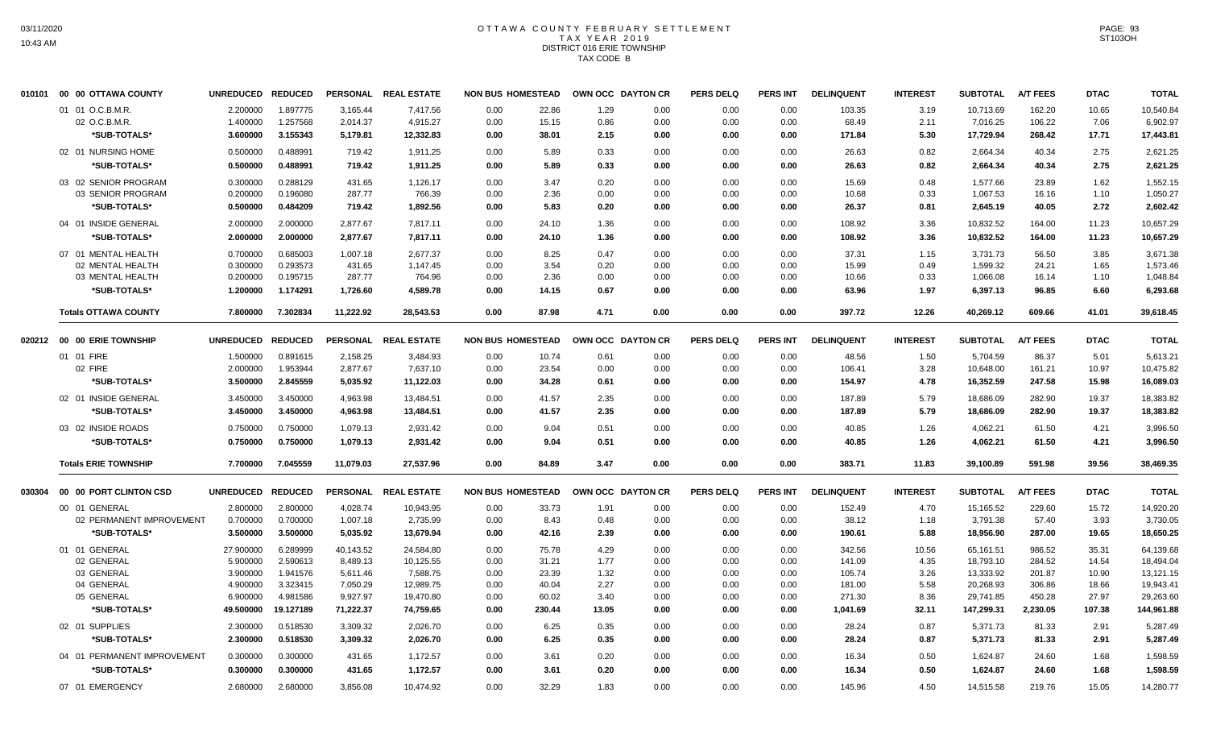#### OTTAWA COUNTY FEBRUARY SETTLEMENT T A X Y E A R 2 0 1 9 DISTRICT 016 ERIE TOWNSHIP TAX CODE B

| 010101 | 00 00 OTTAWA COUNTY         | UNREDUCED REDUCED    |                      | <b>PERSONAL</b>      | <b>REAL ESTATE</b> | <b>NON BUS HOMESTEAD</b> |                |              | OWN OCC DAYTON CR | <b>PERS DELQ</b> | <b>PERS INT</b> | <b>DELINQUENT</b> | <b>INTEREST</b> | <b>SUBTOTAL</b>        | <b>A/T FEES</b>  | <b>DTAC</b>     | <b>TOTAL</b> |
|--------|-----------------------------|----------------------|----------------------|----------------------|--------------------|--------------------------|----------------|--------------|-------------------|------------------|-----------------|-------------------|-----------------|------------------------|------------------|-----------------|--------------|
|        | 01 01 O.C.B.M.R.            | 2.200000             | 1.897775             | 3,165.44             | 7,417.56           | 0.00                     | 22.86          | 1.29         | 0.00              | 0.00             | 0.00            | 103.35            | 3.19            | 10.713.69              | 162.20           | 10.65           | 10,540.84    |
|        | 02 O.C.B.M.R.               | 1.400000             | 1.257568             | 2,014.37             | 4,915.27           | 0.00                     | 15.15          | 0.86         | 0.00              | 0.00             | 0.00            | 68.49             | 2.11            | 7,016.25               | 106.22           | 7.06            | 6,902.97     |
|        | *SUB-TOTALS*                | 3.600000             | 3.155343             | 5,179.81             | 12,332.83          | 0.00                     | 38.01          | 2.15         | 0.00              | 0.00             | 0.00            | 171.84            | 5.30            | 17,729.94              | 268.42           | 17.71           | 17,443.81    |
|        | 02 01 NURSING HOME          | 0.500000             | 0.488991             | 719.42               | 1,911.25           | 0.00                     | 5.89           | 0.33         | 0.00              | 0.00             | 0.00            | 26.63             | 0.82            | 2,664.34               | 40.34            | 2.75            | 2,621.25     |
|        | *SUB-TOTALS*                | 0.500000             | 0.488991             | 719.42               | 1,911.25           | 0.00                     | 5.89           | 0.33         | 0.00              | 0.00             | 0.00            | 26.63             | 0.82            | 2,664.34               | 40.34            | 2.75            | 2,621.25     |
|        | 03 02 SENIOR PROGRAM        | 0.300000             | 0.288129             | 431.65               | 1,126.17           | 0.00                     | 3.47           | 0.20         | 0.00              | 0.00             | 0.00            | 15.69             | 0.48            | 1,577.66               | 23.89            | 1.62            | 1,552.15     |
|        | 03 SENIOR PROGRAM           | 0.200000             | 0.196080             | 287.77               | 766.39             | 0.00                     | 2.36           | 0.00         | 0.00              | 0.00             | 0.00            | 10.68             | 0.33            | 1,067.53               | 16.16            | 1.10            | 1,050.27     |
|        | *SUB-TOTALS*                | 0.500000             | 0.484209             | 719.42               | 1,892.56           | 0.00                     | 5.83           | 0.20         | 0.00              | 0.00             | 0.00            | 26.37             | 0.81            | 2,645.19               | 40.05            | 2.72            | 2,602.42     |
|        | 04 01 INSIDE GENERAL        | 2.000000             | 2.000000             | 2,877.67             | 7,817.11           | 0.00                     | 24.10          | 1.36         | 0.00              | 0.00             | 0.00            | 108.92            | 3.36            | 10,832.52              | 164.00           | 11.23           | 10,657.29    |
|        | *SUB-TOTALS*                | 2.000000             | 2.000000             | 2,877.67             | 7,817.11           | 0.00                     | 24.10          | 1.36         | 0.00              | 0.00             | 0.00            | 108.92            | 3.36            | 10,832.52              | 164.00           | 11.23           | 10,657.29    |
|        | 07 01 MENTAL HEALTH         | 0.700000             | 0.685003             | 1,007.18             | 2,677.37           | 0.00                     | 8.25           | 0.47         | 0.00              | 0.00             | 0.00            | 37.31             | 1.15            | 3,731.73               | 56.50            | 3.85            | 3,671.38     |
|        | 02 MENTAL HEALTH            | 0.300000             | 0.293573             | 431.65               | 1,147.45           | 0.00                     | 3.54           | 0.20         | 0.00              | 0.00             | 0.00            | 15.99             | 0.49            | 1,599.32               | 24.21            | 1.65            | 1,573.46     |
|        | 03 MENTAL HEALTH            | 0.200000             | 0.195715             | 287.77               | 764.96             | 0.00                     | 2.36           | 0.00         | 0.00              | 0.00             | 0.00            | 10.66             | 0.33            | 1,066.08               | 16.14            | 1.10            | 1,048.84     |
|        | *SUB-TOTALS*                | 1.200000             | 1.174291             | 1,726.60             | 4,589.78           | 0.00                     | 14.15          | 0.67         | 0.00              | 0.00             | 0.00            | 63.96             | 1.97            | 6,397.13               | 96.85            | 6.60            | 6,293.68     |
|        | <b>Totals OTTAWA COUNTY</b> | 7.800000             | 7.302834             | 11,222.92            | 28,543.53          | 0.00                     | 87.98          | 4.71         | 0.00              | 0.00             | 0.00            | 397.72            | 12.26           | 40,269.12              | 609.66           | 41.01           | 39,618.45    |
|        | 020212 00 00 ERIE TOWNSHIP  | <b>UNREDUCED</b>     | <b>REDUCED</b>       | <b>PERSONAL</b>      | <b>REAL ESTATE</b> | <b>NON BUS HOMESTEAD</b> |                |              | OWN OCC DAYTON CR | <b>PERS DELQ</b> | <b>PERS INT</b> | <b>DELINQUENT</b> | <b>INTEREST</b> | <b>SUBTOTAL</b>        | <b>A/T FEES</b>  | <b>DTAC</b>     | <b>TOTAL</b> |
|        | 01 01 FIRE                  | 1.500000             | 0.891615             | 2,158.25             | 3,484.93           | 0.00                     | 10.74          | 0.61         | 0.00              | 0.00             | 0.00            | 48.56             | 1.50            | 5,704.59               | 86.37            | 5.01            | 5,613.21     |
|        | 02 FIRE                     | 2.000000             | 1.953944             | 2,877.67             | 7,637.10           | 0.00                     | 23.54          | 0.00         | 0.00              | 0.00             | 0.00            | 106.41            | 3.28            | 10,648.00              | 161.21           | 10.97           | 10,475.82    |
|        | *SUB-TOTALS*                | 3.500000             | 2.845559             | 5,035.92             | 11,122.03          | 0.00                     | 34.28          | 0.61         | 0.00              | 0.00             | 0.00            | 154.97            | 4.78            | 16,352.59              | 247.58           | 15.98           | 16,089.03    |
|        | 02 01 INSIDE GENERAL        | 3.450000             | 3.450000             | 4,963.98             | 13,484.51          | 0.00                     | 41.57          | 2.35         | 0.00              | 0.00             | 0.00            | 187.89            | 5.79            | 18,686.09              | 282.90           | 19.37           | 18,383.82    |
|        | *SUB-TOTALS*                | 3.450000             | 3.450000             | 4,963.98             | 13,484.51          | 0.00                     | 41.57          | 2.35         | 0.00              | 0.00             | 0.00            | 187.89            | 5.79            | 18,686.09              | 282.90           | 19.37           | 18,383.82    |
|        | 03 02 INSIDE ROADS          | 0.750000             | 0.750000             | 1,079.13             | 2,931.42           | 0.00                     | 9.04           | 0.51         | 0.00              | 0.00             | 0.00            | 40.85             | 1.26            | 4,062.21               | 61.50            | 4.21            | 3,996.50     |
|        | *SUB-TOTALS*                | 0.750000             | 0.750000             | 1,079.13             | 2,931.42           | 0.00                     | 9.04           | 0.51         | 0.00              | 0.00             | 0.00            | 40.85             | 1.26            | 4,062.21               | 61.50            | 4.21            | 3,996.50     |
|        | <b>Totals ERIE TOWNSHIP</b> | 7.700000             | 7.045559             | 11,079.03            | 27,537.96          | 0.00                     | 84.89          | 3.47         | 0.00              | 0.00             | 0.00            | 383.71            | 11.83           | 39,100.89              | 591.98           | 39.56           | 38,469.35    |
| 030304 | 00 00 PORT CLINTON CSD      | <b>UNREDUCED</b>     | <b>REDUCED</b>       | <b>PERSONAL</b>      | <b>REAL ESTATE</b> | <b>NON BUS HOMESTEAD</b> |                |              | OWN OCC DAYTON CR | <b>PERS DELQ</b> | <b>PERS INT</b> | <b>DELINQUENT</b> | <b>INTEREST</b> | <b>SUBTOTAL</b>        | <b>A/T FEES</b>  | <b>DTAC</b>     | <b>TOTAL</b> |
|        | 00 01 GENERAL               | 2.800000             | 2.800000             | 4,028.74             | 10,943.95          | 0.00                     | 33.73          | 1.91         | 0.00              | 0.00             | 0.00            | 152.49            | 4.70            | 15,165.52              | 229.60           | 15.72           | 14,920.20    |
|        | 02 PERMANENT IMPROVEMENT    | 0.700000             | 0.700000             | 1,007.18             | 2,735.99           | 0.00                     | 8.43           | 0.48         | 0.00              | 0.00             | 0.00            | 38.12             | 1.18            | 3,791.38               | 57.40            | 3.93            | 3,730.05     |
|        | *SUB-TOTALS*                | 3.500000             | 3.500000             | 5,035.92             | 13,679.94          | 0.00                     | 42.16          | 2.39         | 0.00              | 0.00             | 0.00            | 190.61            | 5.88            | 18,956.90              | 287.00           | 19.65           | 18,650.25    |
|        | 01 01 GENERAL               | 27,900000            | 6.289999             | 40.143.52            | 24,584.80          | 0.00                     | 75.78          | 4.29         | 0.00              | 0.00             | 0.00            | 342.56            | 10.56           | 65,161.51              | 986.52           | 35.31           | 64,139.68    |
|        | 02 GENERAL                  | 5.900000             | 2.590613             | 8,489.13             | 10,125.55          | 0.00                     | 31.21          | 1.77         | 0.00              | 0.00             | 0.00            | 141.09            | 4.35            | 18,793.10              | 284.52           | 14.54           | 18,494.04    |
|        | 03 GENERAL                  | 3.900000             | 1.941576             | 5,611.46             | 7,588.75           | 0.00                     | 23.39          | 1.32         | 0.00              | 0.00             | 0.00            | 105.74            | 3.26            | 13,333.92              | 201.87           | 10.90           | 13,121.15    |
|        | 04 GENERAL<br>05 GENERAL    | 4.900000<br>6.900000 | 3.323415<br>4.981586 | 7,050.29<br>9,927.97 | 12,989.75          | 0.00<br>0.00             | 40.04<br>60.02 | 2.27<br>3.40 | 0.00<br>0.00      | 0.00<br>0.00     | 0.00<br>0.00    | 181.00<br>271.30  | 5.58<br>8.36    | 20,268.93<br>29,741.85 | 306.86<br>450.28 | 18.66           | 19,943.41    |
|        | *SUB-TOTALS*                | 49.500000            | 19.127189            |                      | 19,470.80          |                          | 230.44         | 13.05        |                   | 0.00             | 0.00            |                   |                 | 147,299.31             |                  | 27.97<br>107.38 | 29,263.60    |
|        |                             |                      |                      | 71,222.37            | 74,759.65          | 0.00                     |                |              | 0.00              |                  |                 | 1,041.69          | 32.11           |                        | 2,230.05         |                 | 144,961.88   |
|        | 02 01 SUPPLIES              | 2.300000             | 0.518530             | 3,309.32             | 2,026.70           | 0.00                     | 6.25           | 0.35         | 0.00              | 0.00             | 0.00            | 28.24             | 0.87            | 5,371.73               | 81.33            | 2.91            | 5,287.49     |
|        | *SUB-TOTALS*                | 2.300000             | 0.518530             | 3,309.32             | 2,026.70           | 0.00                     | 6.25           | 0.35         | 0.00              | 0.00             | 0.00            | 28.24             | 0.87            | 5,371.73               | 81.33            | 2.91            | 5,287.49     |
|        | 04 01 PERMANENT IMPROVEMENT | 0.300000             | 0.300000             | 431.65               | 1,172.57           | 0.00                     | 3.61           | 0.20         | 0.00              | 0.00             | 0.00            | 16.34             | 0.50            | 1,624.87               | 24.60            | 1.68            | 1,598.59     |
|        | *SUB-TOTALS*                | 0.300000             | 0.300000             | 431.65               | 1,172.57           | 0.00                     | 3.61           | 0.20         | 0.00              | 0.00             | 0.00            | 16.34             | 0.50            | 1,624.87               | 24.60            | 1.68            | 1,598.59     |
|        | 07 01 EMERGENCY             | 2.680000             | 2.680000             | 3,856.08             | 10,474.92          | 0.00                     | 32.29          | 1.83         | 0.00              | 0.00             | 0.00            | 145.96            | 4.50            | 14,515.58              | 219.76           | 15.05           | 14,280.77    |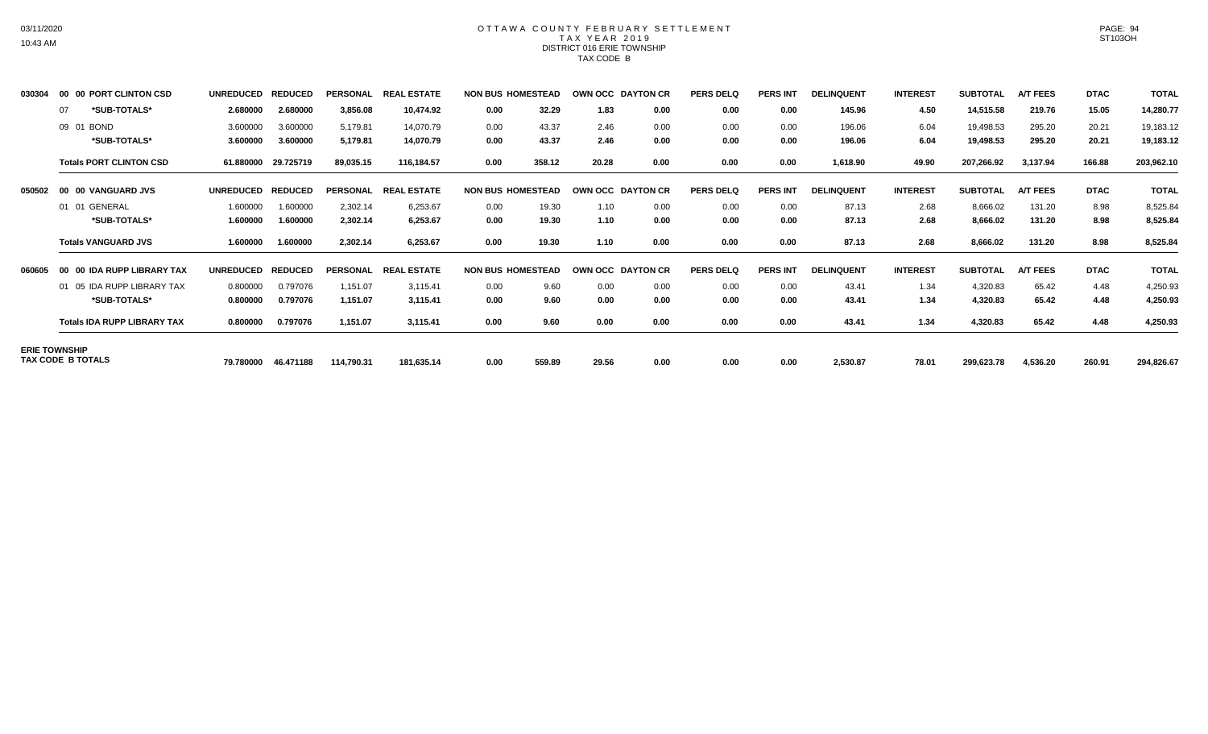## OTTAWA COUNTY FEBRUARY SETTLEMENT TAX YEAR 2019 DISTRICT 016 ERIE TOWNSHIP TAX CODE B

| 030304 | 00 00 PORT CLINTON CSD             | <b>UNREDUCED</b> | <b>REDUCED</b> | <b>PERSONAL</b> | . ESTATE<br><b>REA</b>      |      | <b>NON BUS HOMESTEAD</b> |       | OWN OCC DAYTON CR | <b>PERS DELQ</b> | <b>PERS INT</b> | <b>DELINQUENT</b> | <b>INTEREST</b> | <b>SUBTOTAL</b> | <b>A/T FEES</b> | <b>DTAC</b> | <b>TOTAL</b> |
|--------|------------------------------------|------------------|----------------|-----------------|-----------------------------|------|--------------------------|-------|-------------------|------------------|-----------------|-------------------|-----------------|-----------------|-----------------|-------------|--------------|
|        | *SUB-TOTALS*<br>07                 | 2.680000         | 2.680000       | 3,856.08        | 10,474.92                   | 0.00 | 32.29                    | 1.83  | 0.00              | 0.00             | 0.00            | 145.96            | 4.50            | 14,515.58       | 219.76          | 15.05       | 14,280.77    |
|        | 09 01 BOND                         | 3.600000         | 3.600000       | 5,179.81        | 14,070.79                   | 0.00 | 43.37                    | 2.46  | 0.00              | 0.00             | 0.00            | 196.06            | 6.04            | 19,498.53       | 295.20          | 20.21       | 19,183.12    |
|        | *SUB-TOTALS*                       | 3.600000         | 3.600000       | 5,179.81        | 14,070.79                   | 0.00 | 43.37                    | 2.46  | 0.00              | 0.00             | 0.00            | 196.06            | 6.04            | 19,498.53       | 295.20          | 20.21       | 19,183.12    |
|        | <b>Totals PORT CLINTON CSD</b>     | 61.880000        | 29.725719      | 89,035.15       | 116.184.57                  | 0.00 | 358.12                   | 20.28 | 0.00              | 0.00             | 0.00            | 1,618.90          | 49.90           | 207,266.92      | 3,137.94        | 166.88      | 203,962.10   |
| 050502 | 00 00 VANGUARD JVS                 | <b>UNREDUCED</b> | <b>REDUCED</b> | <b>PERSONAL</b> | . ESTATE<br><b>REAL</b>     |      | <b>NON BUS HOMESTEAD</b> |       | OWN OCC DAYTON CR | <b>PERS DELQ</b> | <b>PERS INT</b> | <b>DELINQUENT</b> | <b>INTEREST</b> | <b>SUBTOTAL</b> | <b>A/T FEES</b> | <b>DTAC</b> | <b>TOTAL</b> |
|        | 01 01 GENERAL                      | 1.600000         | 1.600000       | 2,302.14        | 6,253.67                    | 0.00 | 19.30                    | 1.10  | 0.00              | 0.00             | 0.00            | 87.13             | 2.68            | 8,666.02        | 131.20          | 8.98        | 8,525.84     |
|        | *SUB-TOTALS*                       | 1.600000         | 1.600000       | 2,302.14        | 6,253.67                    | 0.00 | 19.30                    | 1.10  | 0.00              | 0.00             | 0.00            | 87.13             | 2.68            | 8,666.02        | 131.20          | 8.98        | 8,525.84     |
|        | <b>Totals VANGUARD JVS</b>         | 1.600000         | 1.600000       | 2,302.14        | 6,253.67                    | 0.00 | 19.30                    | 1.10  | 0.00              | 0.00             | 0.00            | 87.13             | 2.68            | 8,666.02        | 131.20          | 8.98        | 8,525.84     |
| 060605 | 00 00 IDA RUPP LIBRARY TAX         | <b>UNREDUCED</b> | <b>REDUCED</b> | <b>PERSONAL</b> | <b>ESTATE</b><br><b>REA</b> |      | <b>NON BUS HOMESTEAD</b> |       | OWN OCC DAYTON CR | <b>PERS DELQ</b> | <b>PERS INT</b> | <b>DELINQUENT</b> | <b>INTEREST</b> | <b>SUBTOTAL</b> | <b>A/T FEES</b> | <b>DTAC</b> | <b>TOTAL</b> |
|        | 01 05 IDA RUPP LIBRARY TAX         | 0.800000         | 0.797076       | 1,151.07        | 3,115.41                    | 0.00 | 9.60                     | 0.00  | 0.00              | 0.00             | 0.00            | 43.41             | 1.34            | 4,320.83        | 65.42           | 4.48        | 4,250.93     |
|        | *SUB-TOTALS*                       | 0.800000         | 0.797076       | 1,151.07        | 3,115.41                    | 0.00 | 9.60                     | 0.00  | 0.00              | 0.00             | 0.00            | 43.41             | 1.34            | 4,320.83        | 65.42           | 4.48        | 4,250.93     |
|        | <b>Totals IDA RUPP LIBRARY TAX</b> | 0.800000         | 0.797076       | 1,151.07        | 3,115.41                    | 0.00 | 9.60                     | 0.00  | 0.00              | 0.00             | 0.00            | 43.41             | 1.34            | 4,320.83        | 65.42           | 4.48        | 4,250.93     |
|        | <b>ERIE TOWNSHIP</b>               |                  |                |                 |                             |      |                          |       |                   |                  |                 |                   |                 |                 |                 |             |              |
|        | TAX CODE B TOTALS                  | 79.780000        | 46.471188      | 114,790.31      | 181,635.14                  | 0.00 | 559.89                   | 29.56 | 0.00              | 0.00             | 0.00            | 2,530.87          | 78.01           | 299,623.78      | 4,536.20        | 260.91      | 294,826.67   |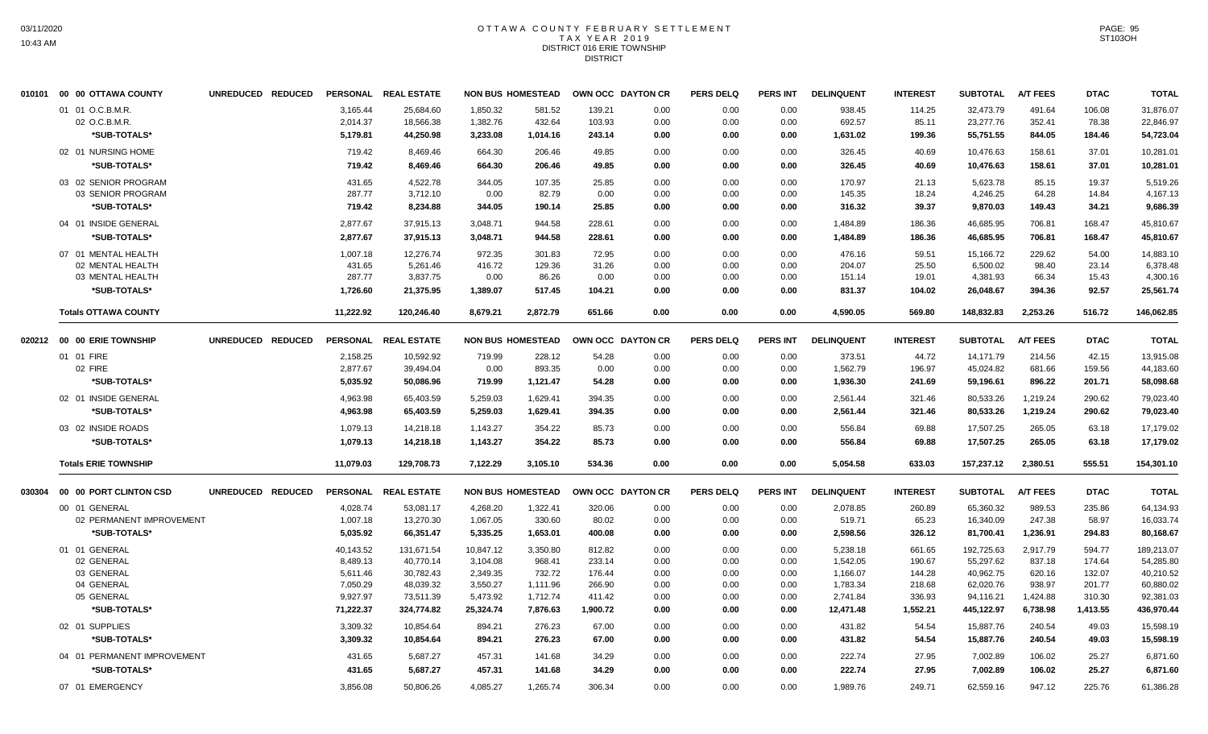#### OTTAWA COUNTY FEBRUARY SETTLEMENT T A X Y E A R 2 0 1 9 DISTRICT 016 ERIE TOWNSHIP DISTRICT

|        | 010101 00 00 OTTAWA COUNTY  | UNREDUCED REDUCED |           | PERSONAL REAL ESTATE |           | <b>NON BUS HOMESTEAD</b> |          | OWN OCC DAYTON CR | <b>PERS DELQ</b> | <b>PERS INT</b> | <b>DELINQUENT</b> | <b>INTEREST</b> | <b>SUBTOTAL</b> | <b>A/T FEES</b> | <b>DTAC</b> | <b>TOTAL</b> |
|--------|-----------------------------|-------------------|-----------|----------------------|-----------|--------------------------|----------|-------------------|------------------|-----------------|-------------------|-----------------|-----------------|-----------------|-------------|--------------|
|        | 01 01 O.C.B.M.R.            |                   | 3,165.44  | 25,684.60            | 1,850.32  | 581.52                   | 139.21   | 0.00              | 0.00             | 0.00            | 938.45            | 114.25          | 32,473.79       | 491.64          | 106.08      | 31,876.07    |
|        | 02 O.C.B.M.R.               |                   | 2,014.37  | 18,566.38            | 1,382.76  | 432.64                   | 103.93   | 0.00              | 0.00             | 0.00            | 692.57            | 85.11           | 23,277.76       | 352.41          | 78.38       | 22,846.97    |
|        | *SUB-TOTALS*                |                   | 5,179.81  | 44,250.98            | 3,233.08  | 1,014.16                 | 243.14   | 0.00              | 0.00             | 0.00            | 1,631.02          | 199.36          | 55,751.55       | 844.05          | 184.46      | 54,723.04    |
|        | 02 01 NURSING HOME          |                   | 719.42    | 8,469.46             | 664.30    | 206.46                   | 49.85    | 0.00              | 0.00             | 0.00            | 326.45            | 40.69           | 10,476.63       | 158.61          | 37.01       | 10,281.01    |
|        | *SUB-TOTALS*                |                   | 719.42    | 8,469.46             | 664.30    | 206.46                   | 49.85    | 0.00              | 0.00             | 0.00            | 326.45            | 40.69           | 10,476.63       | 158.61          | 37.01       | 10,281.01    |
|        | 03 02 SENIOR PROGRAM        |                   | 431.65    | 4,522.78             | 344.05    | 107.35                   | 25.85    | 0.00              | 0.00             | 0.00            | 170.97            | 21.13           | 5,623.78        | 85.15           | 19.37       | 5,519.26     |
|        | 03 SENIOR PROGRAM           |                   | 287.77    | 3,712.10             | 0.00      | 82.79                    | 0.00     | 0.00              | 0.00             | 0.00            | 145.35            | 18.24           | 4,246.25        | 64.28           | 14.84       | 4,167.13     |
|        | *SUB-TOTALS*                |                   | 719.42    | 8,234.88             | 344.05    | 190.14                   | 25.85    | 0.00              | 0.00             | 0.00            | 316.32            | 39.37           | 9,870.03        | 149.43          | 34.21       | 9,686.39     |
|        | 04 01 INSIDE GENERAL        |                   | 2.877.67  | 37,915.13            | 3,048.71  | 944.58                   | 228.61   | 0.00              | 0.00             | 0.00            | 1,484.89          | 186.36          | 46,685.95       | 706.81          | 168.47      | 45.810.67    |
|        | *SUB-TOTALS*                |                   | 2,877.67  | 37,915.13            | 3,048.71  | 944.58                   | 228.61   | 0.00              | 0.00             | 0.00            | 1,484.89          | 186.36          | 46,685.95       | 706.81          | 168.47      | 45,810.67    |
|        | 07 01 MENTAL HEALTH         |                   | 1,007.18  | 12,276.74            | 972.35    | 301.83                   | 72.95    | 0.00              | 0.00             | 0.00            | 476.16            | 59.51           | 15,166.72       | 229.62          | 54.00       | 14,883.10    |
|        | 02 MENTAL HEALTH            |                   | 431.65    | 5,261.46             | 416.72    | 129.36                   | 31.26    | 0.00              | 0.00             | 0.00            | 204.07            | 25.50           | 6,500.02        | 98.40           | 23.14       | 6,378.48     |
|        | 03 MENTAL HEALTH            |                   | 287.77    | 3,837.75             | 0.00      | 86.26                    | 0.00     | 0.00              | 0.00             | 0.00            | 151.14            | 19.01           | 4,381.93        | 66.34           | 15.43       | 4,300.16     |
|        | *SUB-TOTALS*                |                   | 1,726.60  | 21,375.95            | 1,389.07  | 517.45                   | 104.21   | 0.00              | 0.00             | 0.00            | 831.37            | 104.02          | 26,048.67       | 394.36          | 92.57       | 25,561.74    |
|        | <b>Totals OTTAWA COUNTY</b> |                   | 11,222.92 | 120,246.40           | 8,679.21  | 2,872.79                 | 651.66   | 0.00              | 0.00             | 0.00            | 4,590.05          | 569.80          | 148,832.83      | 2,253.26        | 516.72      | 146,062.85   |
|        | 020212 00 00 ERIE TOWNSHIP  | UNREDUCED REDUCED |           | PERSONAL REAL ESTATE |           | <b>NON BUS HOMESTEAD</b> |          | OWN OCC DAYTON CR | <b>PERS DELQ</b> | <b>PERS INT</b> | <b>DELINQUENT</b> | <b>INTEREST</b> | <b>SUBTOTAL</b> | <b>A/T FEES</b> | <b>DTAC</b> | <b>TOTAL</b> |
|        | 01 01 FIRE                  |                   | 2,158.25  | 10,592.92            | 719.99    | 228.12                   | 54.28    | 0.00              | 0.00             | 0.00            | 373.51            | 44.72           | 14,171.79       | 214.56          | 42.15       | 13,915.08    |
|        | 02 FIRE                     |                   | 2,877.67  | 39,494.04            | 0.00      | 893.35                   | 0.00     | 0.00              | 0.00             | 0.00            | 1,562.79          | 196.97          | 45,024.82       | 681.66          | 159.56      | 44,183.60    |
|        | *SUB-TOTALS*                |                   | 5,035.92  | 50,086.96            | 719.99    | 1,121.47                 | 54.28    | 0.00              | 0.00             | 0.00            | 1,936.30          | 241.69          | 59,196.61       | 896.22          | 201.71      | 58,098.68    |
|        | 02 01 INSIDE GENERAL        |                   | 4,963.98  | 65,403.59            | 5,259.03  | 1,629.41                 | 394.35   | 0.00              | 0.00             | 0.00            | 2,561.44          | 321.46          | 80,533.26       | 1,219.24        | 290.62      | 79,023.40    |
|        | *SUB-TOTALS*                |                   | 4,963.98  | 65,403.59            | 5,259.03  | 1,629.41                 | 394.35   | 0.00              | 0.00             | 0.00            | 2,561.44          | 321.46          | 80,533.26       | 1,219.24        | 290.62      | 79,023.40    |
|        | 03 02 INSIDE ROADS          |                   | 1,079.13  | 14,218.18            | 1,143.27  | 354.22                   | 85.73    | 0.00              | 0.00             | 0.00            | 556.84            | 69.88           | 17,507.25       | 265.05          | 63.18       | 17,179.02    |
|        | *SUB-TOTALS*                |                   | 1,079.13  | 14,218.18            | 1,143.27  | 354.22                   | 85.73    | 0.00              | 0.00             | 0.00            | 556.84            | 69.88           | 17,507.25       | 265.05          | 63.18       | 17,179.02    |
|        | <b>Totals ERIE TOWNSHIP</b> |                   | 11,079.03 | 129,708.73           | 7,122.29  | 3,105.10                 | 534.36   | 0.00              | 0.00             | 0.00            | 5,054.58          | 633.03          | 157,237.12      | 2,380.51        | 555.51      | 154,301.10   |
| 030304 | 00 00 PORT CLINTON CSD      | UNREDUCED REDUCED |           | PERSONAL REAL ESTATE |           | <b>NON BUS HOMESTEAD</b> |          | OWN OCC DAYTON CR | <b>PERS DELQ</b> | <b>PERS INT</b> | <b>DELINQUENT</b> | <b>INTEREST</b> | <b>SUBTOTAL</b> | <b>A/T FEES</b> | <b>DTAC</b> | <b>TOTAL</b> |
|        | 00 01 GENERAL               |                   | 4,028.74  | 53,081.17            | 4,268.20  | 1,322.41                 | 320.06   | 0.00              | 0.00             | 0.00            | 2,078.85          | 260.89          | 65,360.32       | 989.53          | 235.86      | 64,134.93    |
|        | 02 PERMANENT IMPROVEMENT    |                   | 1,007.18  | 13,270.30            | 1,067.05  | 330.60                   | 80.02    | 0.00              | 0.00             | 0.00            | 519.71            | 65.23           | 16,340.09       | 247.38          | 58.97       | 16,033.74    |
|        | *SUB-TOTALS*                |                   | 5,035.92  | 66,351.47            | 5,335.25  | 1,653.01                 | 400.08   | 0.00              | 0.00             | 0.00            | 2,598.56          | 326.12          | 81,700.41       | 1,236.91        | 294.83      | 80,168.67    |
|        | 01 01 GENERAL               |                   | 40,143.52 | 131,671.54           | 10,847.12 | 3,350.80                 | 812.82   | 0.00              | 0.00             | 0.00            | 5,238.18          | 661.65          | 192,725.63      | 2,917.79        | 594.77      | 189,213.07   |
|        | 02 GENERAL                  |                   | 8,489.13  | 40,770.14            | 3,104.08  | 968.41                   | 233.14   | 0.00              | 0.00             | 0.00            | 1,542.05          | 190.67          | 55,297.62       | 837.18          | 174.64      | 54,285.80    |
|        | 03 GENERAL                  |                   | 5,611.46  | 30,782.43            | 2,349.35  | 732.72                   | 176.44   | 0.00              | 0.00             | 0.00            | 1,166.07          | 144.28          | 40,962.75       | 620.16          | 132.07      | 40,210.52    |
|        | 04 GENERAL                  |                   | 7,050.29  | 48,039.32            | 3,550.27  | 1,111.96                 | 266.90   | 0.00              | 0.00             | 0.00            | 1,783.34          | 218.68          | 62,020.76       | 938.97          | 201.77      | 60,880.02    |
|        | 05 GENERAL                  |                   | 9,927.97  | 73,511.39            | 5,473.92  | 1,712.74                 | 411.42   | 0.00              | 0.00             | 0.00            | 2,741.84          | 336.93          | 94,116.21       | 1,424.88        | 310.30      | 92,381.03    |
|        | *SUB-TOTALS*                |                   | 71,222.37 | 324,774.82           | 25,324.74 | 7,876.63                 | 1,900.72 | 0.00              | 0.00             | 0.00            | 12,471.48         | 1,552.21        | 445,122.97      | 6,738.98        | 1,413.55    | 436,970.44   |
|        | 02 01 SUPPLIES              |                   | 3.309.32  | 10.854.64            | 894.21    | 276.23                   | 67.00    | 0.00              | 0.00             | 0.00            | 431.82            | 54.54           | 15,887.76       | 240.54          | 49.03       | 15.598.19    |
|        | *SUB-TOTALS*                |                   | 3,309.32  | 10,854.64            | 894.21    | 276.23                   | 67.00    | 0.00              | 0.00             | 0.00            | 431.82            | 54.54           | 15,887.76       | 240.54          | 49.03       | 15,598.19    |
|        | 04 01 PERMANENT IMPROVEMENT |                   | 431.65    | 5,687.27             | 457.31    | 141.68                   | 34.29    | 0.00              | 0.00             | 0.00            | 222.74            | 27.95           | 7,002.89        | 106.02          | 25.27       | 6,871.60     |
|        | *SUB-TOTALS*                |                   | 431.65    | 5,687.27             | 457.31    | 141.68                   | 34.29    | 0.00              | 0.00             | 0.00            | 222.74            | 27.95           | 7,002.89        | 106.02          | 25.27       | 6,871.60     |
|        | 07 01 EMERGENCY             |                   | 3,856.08  | 50,806.26            | 4,085.27  | 1,265.74                 | 306.34   | 0.00              | 0.00             | 0.00            | 1,989.76          | 249.71          | 62,559.16       | 947.12          | 225.76      | 61,386.28    |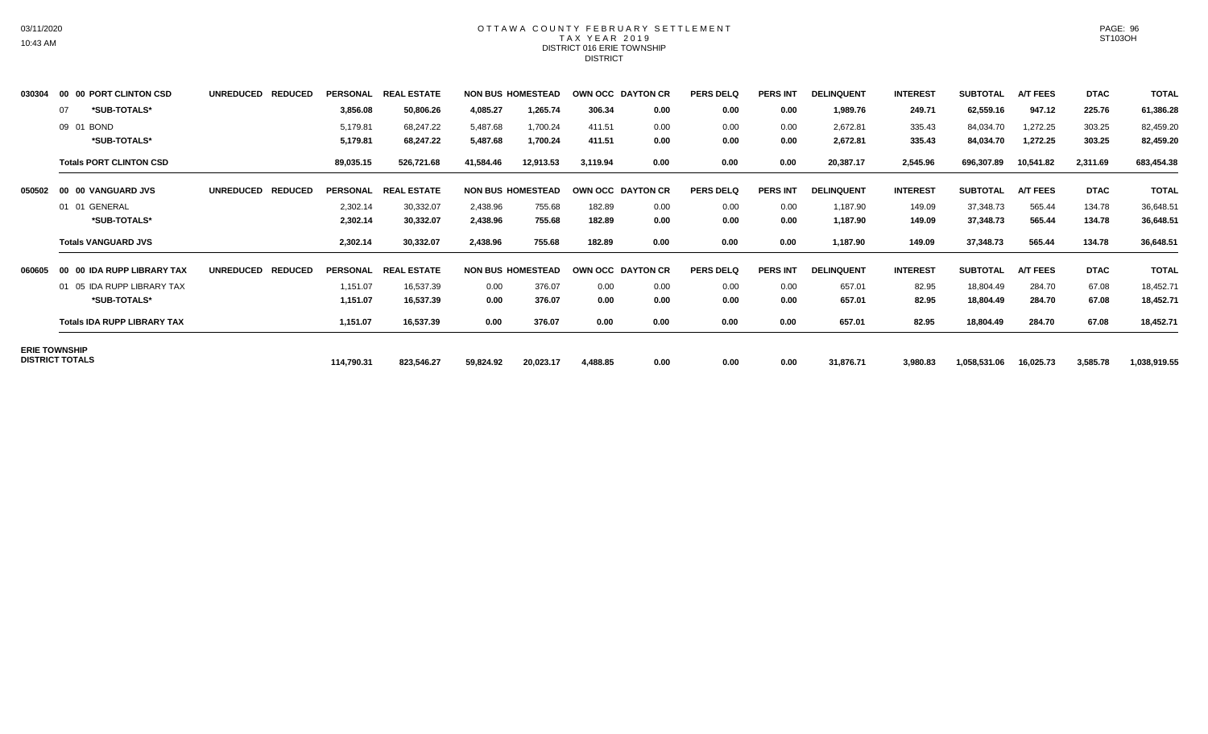## OTTAWA COUNTY FEBRUARY SETTLEMENT TAX YEAR 2019 DISTRICT 016 ERIE TOWNSHIP DISTRICT

| 030304 | 00 00 PORT CLINTON CSD             | <b>UNREDUCED</b><br><b>REDUCED</b> |                 | PERSONAL REAL ESTATE |           | <b>NON BUS HOMESTEAD</b> | OWN OCC DAYTON CR |      | <b>PERS DELQ</b> | <b>PERS INT</b> | <b>DELINQUENT</b> | <b>INTEREST</b> | <b>SUBTOTAL</b> | <b>A/T FEES</b> | <b>DTAC</b> | <b>TOTAL</b> |
|--------|------------------------------------|------------------------------------|-----------------|----------------------|-----------|--------------------------|-------------------|------|------------------|-----------------|-------------------|-----------------|-----------------|-----------------|-------------|--------------|
|        | *SUB-TOTALS*<br>07                 |                                    | 3,856.08        | 50,806.26            | 4,085.27  | 1,265.74                 | 306.34            | 0.00 | 0.00             | 0.00            | 1,989.76          | 249.71          | 62,559.16       | 947.12          | 225.76      | 61,386.28    |
|        | 09 01 BOND                         |                                    | 5,179.81        | 68,247.22            | 5,487.68  | 1,700.24                 | 411.51            | 0.00 | 0.00             | 0.00            | 2,672.81          | 335.43          | 84,034.70       | 1,272.25        | 303.25      | 82,459.20    |
|        | *SUB-TOTALS*                       |                                    | 5,179.81        | 68,247.22            | 5,487.68  | 1,700.24                 | 411.51            | 0.00 | 0.00             | 0.00            | 2,672.81          | 335.43          | 84,034.70       | 1,272.25        | 303.25      | 82,459.20    |
|        | <b>Totals PORT CLINTON CSD</b>     |                                    | 89,035.15       | 526,721.68           | 41,584.46 | 12,913.53                | 3.119.94          | 0.00 | 0.00             | 0.00            | 20,387.17         | 2,545.96        | 696,307.89      | 10,541.82       | 2,311.69    | 683,454.38   |
| 050502 | 00 00 VANGUARD JVS                 | <b>UNREDUCED</b><br><b>REDUCED</b> | <b>PERSONAL</b> | <b>REAL ESTATE</b>   |           | <b>NON BUS HOMESTEAD</b> | OWN OCC DAYTON CR |      | <b>PERS DELQ</b> | <b>PERS INT</b> | <b>DELINQUENT</b> | <b>INTEREST</b> | <b>SUBTOTAL</b> | <b>A/T FEES</b> | <b>DTAC</b> | <b>TOTAL</b> |
|        | 01 01 GENERAL                      |                                    | 2,302.14        | 30,332.07            | 2,438.96  | 755.68                   | 182.89            | 0.00 | 0.00             | 0.00            | 1,187.90          | 149.09          | 37,348.73       | 565.44          | 134.78      | 36,648.51    |
|        | *SUB-TOTALS*                       |                                    | 2,302.14        | 30,332.07            | 2,438.96  | 755.68                   | 182.89            | 0.00 | 0.00             | 0.00            | 1,187.90          | 149.09          | 37,348.73       | 565.44          | 134.78      | 36,648.51    |
|        | <b>Totals VANGUARD JVS</b>         |                                    | 2,302.14        | 30,332.07            | 2,438.96  | 755.68                   | 182.89            | 0.00 | 0.00             | 0.00            | 1,187.90          | 149.09          | 37,348.73       | 565.44          | 134.78      | 36,648.51    |
| 060605 | 00 00 IDA RUPP LIBRARY TAX         | <b>UNREDUCED</b><br><b>REDUCED</b> | <b>PERSONAL</b> | <b>REAL ESTATE</b>   |           | <b>NON BUS HOMESTEAD</b> | OWN OCC DAYTON CR |      | <b>PERS DELQ</b> | <b>PERS INT</b> | <b>DELINQUENT</b> | <b>INTEREST</b> | <b>SUBTOTAL</b> | <b>A/T FEES</b> | <b>DTAC</b> | <b>TOTAL</b> |
|        | 01 05 IDA RUPP LIBRARY TAX         |                                    | 1,151.07        | 16,537.39            | 0.00      | 376.07                   | 0.00              | 0.00 | 0.00             | 0.00            | 657.01            | 82.95           | 18,804.49       | 284.70          | 67.08       | 18,452.71    |
|        | *SUB-TOTALS*                       |                                    | 1,151.07        | 16,537.39            | 0.00      | 376.07                   | 0.00              | 0.00 | 0.00             | 0.00            | 657.01            | 82.95           | 18,804.49       | 284.70          | 67.08       | 18,452.71    |
|        | <b>Totals IDA RUPP LIBRARY TAX</b> |                                    | 1,151.07        | 16,537.39            | 0.00      | 376.07                   | 0.00              | 0.00 | 0.00             | 0.00            | 657.01            | 82.95           | 18,804.49       | 284.70          | 67.08       | 18,452.71    |
|        | <b>ERIE TOWNSHIP</b>               |                                    |                 |                      |           |                          |                   |      |                  |                 |                   |                 |                 |                 |             |              |
|        | <b>DISTRICT TOTALS</b>             |                                    | 114,790.31      | 823,546.27           | 59,824.92 | 20,023.17                | 4,488.85          | 0.00 | 0.00             | 0.00            | 31,876.71         | 3,980.83        | 1,058,531.06    | 16,025.73       | 3,585.78    | 1,038,919.55 |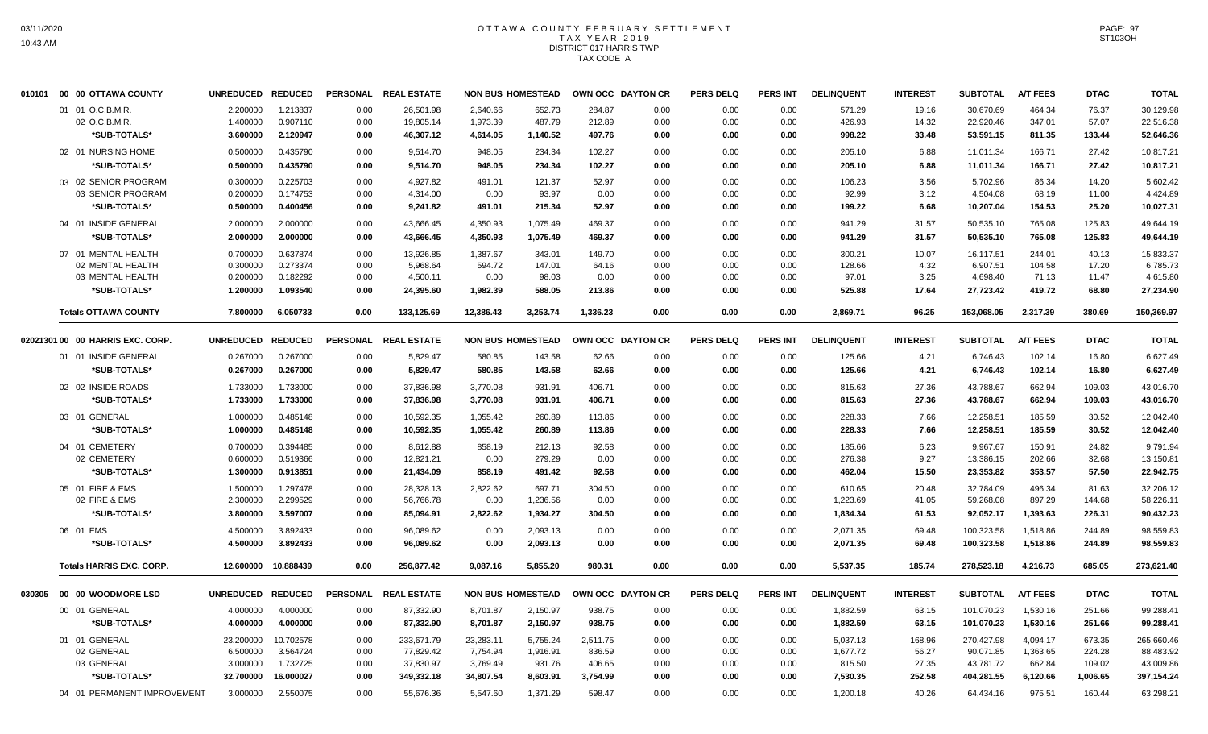# OTTAWA COUNTY FEBRUARY SETTLEMENT TAX YEAR 2019 DISTRICT 017 HARRIS TWP TAX CODE A

| 010101 00 00 OTTAWA COUNTY       | UNREDUCED REDUCED |           |                 | PERSONAL REAL ESTATE |           | <b>NON BUS HOMESTEAD</b> | OWN OCC DAYTON CR |      | <b>PERS DELQ</b> | PERS INT        | <b>DELINQUENT</b> | <b>INTEREST</b> | <b>SUBTOTAL</b> | <b>A/T FEES</b> | <b>DTAC</b> | <b>TOTAL</b> |
|----------------------------------|-------------------|-----------|-----------------|----------------------|-----------|--------------------------|-------------------|------|------------------|-----------------|-------------------|-----------------|-----------------|-----------------|-------------|--------------|
| 01 01 O.C.B.M.R.                 | 2.200000          | 1.213837  | 0.00            | 26,501.98            | 2,640.66  | 652.73                   | 284.87            | 0.00 | 0.00             | 0.00            | 571.29            | 19.16           | 30,670.69       | 464.34          | 76.37       | 30,129.98    |
| 02 O.C.B.M.R.                    | 1.400000          | 0.907110  | 0.00            | 19,805.14            | 1,973.39  | 487.79                   | 212.89            | 0.00 | 0.00             | 0.00            | 426.93            | 14.32           | 22,920.46       | 347.01          | 57.07       | 22,516.38    |
| *SUB-TOTALS*                     | 3.600000          | 2.120947  | 0.00            | 46,307.12            | 4,614.05  | 1,140.52                 | 497.76            | 0.00 | 0.00             | 0.00            | 998.22            | 33.48           | 53,591.15       | 811.35          | 133.44      | 52,646.36    |
| 02 01 NURSING HOME               | 0.500000          | 0.435790  | 0.00            | 9,514.70             | 948.05    | 234.34                   | 102.27            | 0.00 | 0.00             | 0.00            | 205.10            | 6.88            | 11,011.34       | 166.71          | 27.42       | 10,817.21    |
| *SUB-TOTALS*                     | 0.500000          | 0.435790  | 0.00            | 9.514.70             | 948.05    | 234.34                   | 102.27            | 0.00 | 0.00             | 0.00            | 205.10            | 6.88            | 11,011.34       | 166.71          | 27.42       | 10,817.21    |
| 03 02 SENIOR PROGRAM             | 0.300000          | 0.225703  | 0.00            | 4,927.82             | 491.01    | 121.37                   | 52.97             | 0.00 | 0.00             | 0.00            | 106.23            | 3.56            | 5,702.96        | 86.34           | 14.20       | 5,602.42     |
| 03 SENIOR PROGRAM                | 0.200000          | 0.174753  | 0.00            | 4,314.00             | 0.00      | 93.97                    | 0.00              | 0.00 | 0.00             | 0.00            | 92.99             | 3.12            | 4,504.08        | 68.19           | 11.00       | 4,424.89     |
| *SUB-TOTALS*                     | 0.500000          | 0.400456  | 0.00            | 9,241.82             | 491.01    | 215.34                   | 52.97             | 0.00 | 0.00             | 0.00            | 199.22            | 6.68            | 10,207.04       | 154.53          | 25.20       | 10,027.31    |
| 04 01 INSIDE GENERAL             | 2.000000          | 2.000000  | 0.00            | 43,666.45            | 4,350.93  | 1,075.49                 | 469.37            | 0.00 | 0.00             | 0.00            | 941.29            | 31.57           | 50,535.10       | 765.08          | 125.83      | 49,644.19    |
| *SUB-TOTALS*                     | 2.000000          | 2.000000  | 0.00            | 43,666.45            | 4,350.93  | 1,075.49                 | 469.37            | 0.00 | 0.00             | 0.00            | 941.29            | 31.57           | 50,535.10       | 765.08          | 125.83      | 49,644.19    |
| 07 01 MENTAL HEALTH              | 0.700000          | 0.637874  | 0.00            | 13,926.85            | 1,387.67  | 343.01                   | 149.70            | 0.00 | 0.00             | 0.00            | 300.21            | 10.07           | 16,117.51       | 244.01          | 40.13       | 15,833.37    |
| 02 MENTAL HEALTH                 | 0.300000          | 0.273374  | 0.00            | 5,968.64             | 594.72    | 147.01                   | 64.16             | 0.00 | 0.00             | 0.00            | 128.66            | 4.32            | 6,907.51        | 104.58          | 17.20       | 6,785.73     |
| 03 MENTAL HEALTH                 | 0.200000          | 0.182292  | 0.00            | 4,500.11             | 0.00      | 98.03                    | 0.00              | 0.00 | 0.00             | 0.00            | 97.01             | 3.25            | 4,698.40        | 71.13           | 11.47       | 4,615.80     |
| *SUB-TOTALS*                     | 1.200000          | 1.093540  | 0.00            | 24,395.60            | 1,982.39  | 588.05                   | 213.86            | 0.00 | 0.00             | 0.00            | 525.88            | 17.64           | 27,723.42       | 419.72          | 68.80       | 27,234.90    |
| <b>Totals OTTAWA COUNTY</b>      | 7.800000          | 6.050733  | 0.00            | 133,125.69           | 12,386.43 | 3,253.74                 | 1,336.23          | 0.00 | 0.00             | 0.00            | 2,869.71          | 96.25           | 153,068.05      | 2,317.39        | 380.69      | 150,369.97   |
| 02021301 00 00 HARRIS EXC. CORP. | UNREDUCED REDUCED |           | <b>PERSONAL</b> | <b>REAL ESTATE</b>   |           | <b>NON BUS HOMESTEAD</b> | OWN OCC DAYTON CR |      | <b>PERS DELQ</b> | <b>PERS INT</b> | <b>DELINQUENT</b> | <b>INTEREST</b> | <b>SUBTOTAL</b> | <b>A/T FEES</b> | <b>DTAC</b> | <b>TOTAL</b> |
| 01 01 INSIDE GENERAL             | 0.267000          | 0.267000  | 0.00            | 5,829.47             | 580.85    | 143.58                   | 62.66             | 0.00 | 0.00             | 0.00            | 125.66            | 4.21            | 6,746.43        | 102.14          | 16.80       | 6,627.49     |
| *SUB-TOTALS*                     | 0.267000          | 0.267000  | 0.00            | 5,829.47             | 580.85    | 143.58                   | 62.66             | 0.00 | 0.00             | 0.00            | 125.66            | 4.21            | 6,746.43        | 102.14          | 16.80       | 6,627.49     |
| 02 02 INSIDE ROADS               | 1.733000          | 1.733000  | 0.00            | 37,836.98            | 3.770.08  | 931.91                   | 406.71            | 0.00 | 0.00             | 0.00            | 815.63            | 27.36           | 43,788.67       | 662.94          | 109.03      | 43.016.70    |
| *SUB-TOTALS*                     | 1.733000          | 1.733000  | 0.00            | 37,836.98            | 3,770.08  | 931.91                   | 406.71            | 0.00 | 0.00             | 0.00            | 815.63            | 27.36           | 43,788.67       | 662.94          | 109.03      | 43,016.70    |
| 03 01 GENERAL                    | 1.000000          | 0.485148  | 0.00            | 10,592.35            | 1,055.42  | 260.89                   | 113.86            | 0.00 | 0.00             | 0.00            | 228.33            | 7.66            | 12,258.51       | 185.59          | 30.52       | 12,042.40    |
| *SUB-TOTALS*                     | 1.000000          | 0.485148  | 0.00            | 10,592.35            | 1,055.42  | 260.89                   | 113.86            | 0.00 | 0.00             | 0.00            | 228.33            | 7.66            | 12,258.51       | 185.59          | 30.52       | 12,042.40    |
| 04 01 CEMETERY                   | 0.700000          | 0.394485  | 0.00            | 8.612.88             | 858.19    | 212.13                   | 92.58             | 0.00 | 0.00             | 0.00            | 185.66            | 6.23            | 9,967.67        | 150.91          | 24.82       | 9,791.94     |
| 02 CEMETERY                      | 0.600000          | 0.519366  | 0.00            | 12,821.21            | 0.00      | 279.29                   | 0.00              | 0.00 | 0.00             | 0.00            | 276.38            | 9.27            | 13,386.15       | 202.66          | 32.68       | 13,150.81    |
| *SUB-TOTALS*                     | 1.300000          | 0.913851  | 0.00            | 21,434.09            | 858.19    | 491.42                   | 92.58             | 0.00 | 0.00             | 0.00            | 462.04            | 15.50           | 23,353.82       | 353.57          | 57.50       | 22.942.75    |
| 05 01 FIRE & EMS                 | 1.500000          | 1.297478  | 0.00            | 28,328.13            | 2,822.62  | 697.71                   | 304.50            | 0.00 | 0.00             | 0.00            | 610.65            | 20.48           | 32,784.09       | 496.34          | 81.63       | 32.206.12    |
| 02 FIRE & EMS                    | 2.300000          | 2.299529  | 0.00            | 56,766.78            | 0.00      | 1,236.56                 | 0.00              | 0.00 | 0.00             | 0.00            | 1,223.69          | 41.05           | 59,268.08       | 897.29          | 144.68      | 58,226.11    |
| *SUB-TOTALS*                     | 3.800000          | 3.597007  | 0.00            | 85,094.91            | 2,822.62  | 1,934.27                 | 304.50            | 0.00 | 0.00             | 0.00            | 1,834.34          | 61.53           | 92,052.17       | 1,393.63        | 226.31      | 90,432.23    |
| 06 01 EMS                        | 4.500000          | 3.892433  | 0.00            | 96,089.62            | 0.00      | 2,093.13                 | 0.00              | 0.00 | 0.00             | 0.00            | 2,071.35          | 69.48           | 100,323.58      | 1,518.86        | 244.89      | 98,559.83    |
| *SUB-TOTALS*                     | 4.500000          | 3.892433  | 0.00            | 96,089.62            | 0.00      | 2,093.13                 | 0.00              | 0.00 | 0.00             | 0.00            | 2,071.35          | 69.48           | 100,323.58      | 1,518.86        | 244.89      | 98,559.83    |
| <b>Totals HARRIS EXC. CORP.</b>  | 12.600000         | 10.888439 | 0.00            | 256,877.42           | 9,087.16  | 5,855.20                 | 980.31            | 0.00 | 0.00             | 0.00            | 5,537.35          | 185.74          | 278,523.18      | 4,216.73        | 685.05      | 273,621.40   |
|                                  | UNREDUCED REDUCED |           |                 | PERSONAL REAL ESTATE |           | <b>NON BUS HOMESTEAD</b> | OWN OCC DAYTON CR |      | <b>PERS DELQ</b> | PERS INT        | <b>DELINQUENT</b> | <b>INTEREST</b> | <b>SUBTOTAL</b> | <b>A/T FEES</b> | <b>DTAC</b> | <b>TOTAL</b> |
| 00 01 GENERAL                    | 4.000000          | 4.000000  | 0.00            | 87,332.90            | 8.701.87  | 2,150.97                 | 938.75            | 0.00 | 0.00             | 0.00            | 1,882.59          | 63.15           | 101.070.23      | 1,530.16        | 251.66      | 99,288.41    |
| *SUB-TOTALS*                     | 4.000000          | 4.000000  | 0.00            | 87,332.90            | 8,701.87  | 2,150.97                 | 938.75            | 0.00 | 0.00             | 0.00            | 1,882.59          | 63.15           | 101,070.23      | 1,530.16        | 251.66      | 99,288.41    |
| 01 01 GENERAL                    | 23.200000         | 10.702578 | 0.00            | 233,671.79           | 23,283.11 | 5,755.24                 | 2,511.75          | 0.00 | 0.00             | 0.00            | 5,037.13          | 168.96          | 270,427.98      | 4,094.17        | 673.35      | 265,660.46   |
| 02 GENERAL                       | 6.500000          | 3.564724  | 0.00            | 77,829.42            | 7,754.94  | 1,916.91                 | 836.59            | 0.00 | 0.00             | 0.00            | 1,677.72          | 56.27           | 90,071.85       | 1,363.65        | 224.28      | 88,483.92    |
| 03 GENERAL                       | 3.000000          | 1.732725  | 0.00            | 37,830.97            | 3,769.49  | 931.76                   | 406.65            | 0.00 | 0.00             | 0.00            | 815.50            | 27.35           | 43,781.72       | 662.84          | 109.02      | 43,009.86    |
| *SUB-TOTALS*                     | 32.700000         | 16.000027 | 0.00            | 349,332.18           | 34,807.54 | 8,603.91                 | 3,754.99          | 0.00 | 0.00             | 0.00            | 7,530.35          | 252.58          | 404,281.55      | 6,120.66        | 1,006.65    | 397,154.24   |
| 04 01 PERMANENT IMPROVEMENT      | 3.000000          | 2.550075  | 0.00            | 55,676.36            | 5,547.60  | 1,371.29                 | 598.47            | 0.00 | 0.00             | 0.00            | 1,200.18          | 40.26           | 64,434.16       | 975.51          | 160.44      | 63,298.21    |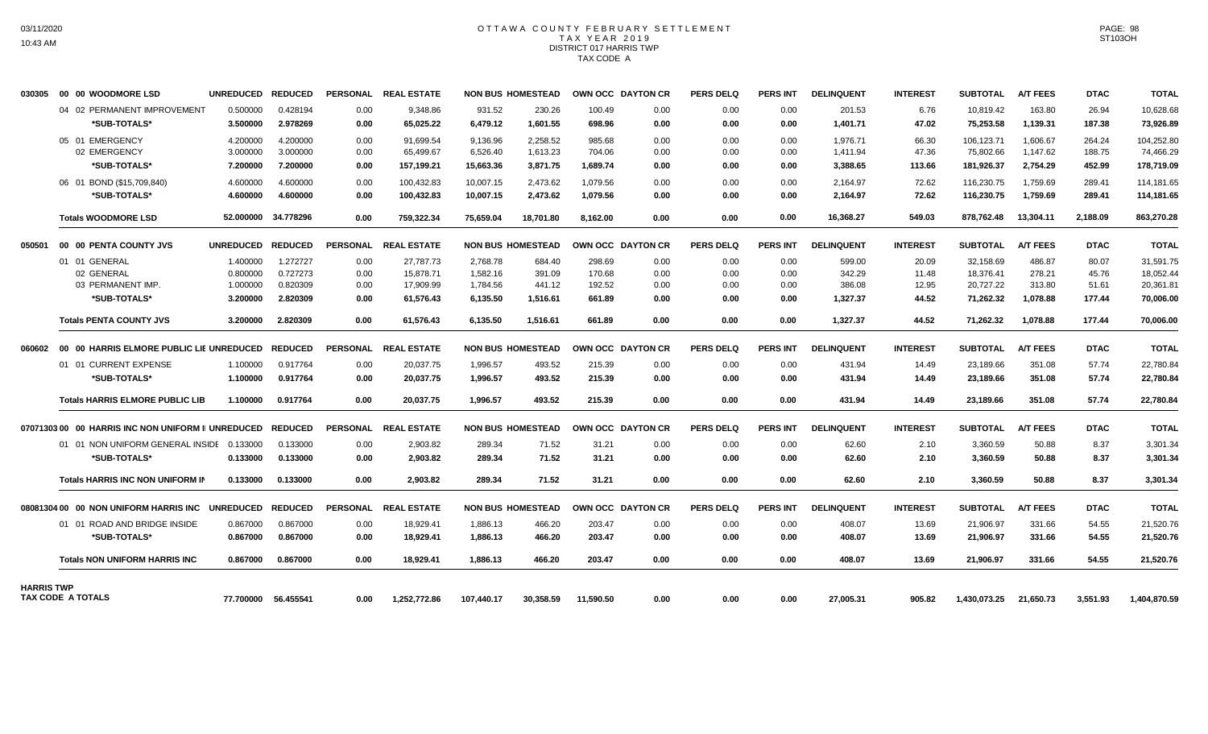## OTTAWA COUNTY FEBRUARY SETTLEMENT TAX YEAR 2019 DISTRICT 017 HARRIS TWP TAX CODE A

| 030305            | 00 00 WOODMORE LSD                                               | UNREDUCED REDUCED                            |                                              |                              | PERSONAL REAL ESTATE                             |                                              | <b>NON BUS HOMESTEAD</b>               |                                      | OWN OCC DAYTON CR            | <b>PERS DELQ</b>             | <b>PERS INT</b>              | <b>DELINQUENT</b>                      | <b>INTEREST</b>                  | <b>SUBTOTAL</b>                                  | <b>A/T FEES</b>                        | <b>DTAC</b>                       | <b>TOTAL</b>                                     |
|-------------------|------------------------------------------------------------------|----------------------------------------------|----------------------------------------------|------------------------------|--------------------------------------------------|----------------------------------------------|----------------------------------------|--------------------------------------|------------------------------|------------------------------|------------------------------|----------------------------------------|----------------------------------|--------------------------------------------------|----------------------------------------|-----------------------------------|--------------------------------------------------|
|                   | 04 02 PERMANENT IMPROVEMENT<br>*SUB-TOTALS*                      | 0.500000<br>3.500000                         | 0.428194<br>2.978269                         | 0.00<br>0.00                 | 9.348.86<br>65,025.22                            | 931.52<br>6,479.12                           | 230.26<br>1,601.55                     | 100.49<br>698.96                     | 0.00<br>0.00                 | 0.00<br>0.00                 | 0.00<br>0.00                 | 201.53<br>1,401.71                     | 6.76<br>47.02                    | 10.819.42<br>75,253.58                           | 163.80<br>1,139.31                     | 26.94<br>187.38                   | 10,628.68<br>73,926.89                           |
|                   | 05 01 EMERGENCY<br>02 EMERGENCY<br>*SUB-TOTALS*                  | 4.200000<br>3.000000<br>7.200000             | 4.200000<br>3.000000<br>7.200000             | 0.00<br>0.00<br>0.00         | 91.699.54<br>65.499.67<br>157,199.21             | 9,136.96<br>6,526.40<br>15,663.36            | 2,258.52<br>1,613.23<br>3,871.75       | 985.68<br>704.06<br>1,689.74         | 0.00<br>0.00<br>0.00         | 0.00<br>0.00<br>0.00         | 0.00<br>0.00<br>0.00         | 1.976.71<br>1,411.94<br>3,388.65       | 66.30<br>47.36<br>113.66         | 106,123.71<br>75,802.66<br>181,926.37            | 1.606.67<br>1,147.62<br>2,754.29       | 264.24<br>188.75<br>452.99        | 104,252.80<br>74,466.29<br>178,719.09            |
|                   | 06 01 BOND (\$15,709,840)<br>*SUB-TOTALS*                        | 4.600000<br>4.600000                         | 4.600000<br>4.600000                         | 0.00<br>0.00                 | 100,432.83<br>100,432.83                         | 10,007.15<br>10,007.15                       | 2,473.62<br>2,473.62                   | 1,079.56<br>1,079.56                 | 0.00<br>0.00                 | 0.00<br>0.00                 | 0.00<br>0.00                 | 2,164.97<br>2,164.97                   | 72.62<br>72.62                   | 116,230.75<br>116,230.75                         | 1,759.69<br>1,759.69                   | 289.41<br>289.41                  | 114,181.65<br>114,181.65                         |
|                   | <b>Totals WOODMORE LSD</b>                                       | 52.000000                                    | 34.778296                                    | 0.00                         | 759.322.34                                       | 75.659.04                                    | 18.701.80                              | 8.162.00                             | 0.00                         | 0.00                         | 0.00                         | 16.368.27                              | 549.03                           | 878.762.48                                       | 13.304.11                              | 2.188.09                          | 863.270.28                                       |
| 050501            | 00 00 PENTA COUNTY JVS                                           | UNREDUCED REDUCED                            |                                              | <b>PERSONAL</b>              | <b>REAL ESTATE</b>                               |                                              | <b>NON BUS HOMESTEAD</b>               |                                      | OWN OCC DAYTON CR            | <b>PERS DELQ</b>             | <b>PERS INT</b>              | <b>DELINQUENT</b>                      | <b>INTEREST</b>                  | <b>SUBTOTAL</b>                                  | <b>A/T FEES</b>                        | <b>DTAC</b>                       | <b>TOTAL</b>                                     |
|                   | 01 01 GENERAL<br>02 GENERAL<br>03 PERMANENT IMP.<br>*SUB-TOTALS* | 1.400000<br>0.800000<br>1.000000<br>3.200000 | 1.272727<br>0.727273<br>0.820309<br>2.820309 | 0.00<br>0.00<br>0.00<br>0.00 | 27,787.73<br>15.878.71<br>17.909.99<br>61,576.43 | 2,768.78<br>1.582.16<br>1.784.56<br>6,135.50 | 684.40<br>391.09<br>441.12<br>1,516.61 | 298.69<br>170.68<br>192.52<br>661.89 | 0.00<br>0.00<br>0.00<br>0.00 | 0.00<br>0.00<br>0.00<br>0.00 | 0.00<br>0.00<br>0.00<br>0.00 | 599.00<br>342.29<br>386.08<br>1,327.37 | 20.09<br>11.48<br>12.95<br>44.52 | 32,158.69<br>18.376.41<br>20.727.22<br>71,262.32 | 486.87<br>278.21<br>313.80<br>1,078.88 | 80.07<br>45.76<br>51.61<br>177.44 | 31,591.75<br>18.052.44<br>20,361.81<br>70,006.00 |
|                   | <b>Totals PENTA COUNTY JVS</b>                                   | 3.200000                                     | 2.820309                                     | 0.00                         | 61.576.43                                        | 6.135.50                                     | 1.516.61                               | 661.89                               | 0.00                         | 0.00                         | 0.00                         | 1.327.37                               | 44.52                            | 71.262.32                                        | 1.078.88                               | 177.44                            | 70,006.00                                        |
| 060602            | 00 00 HARRIS ELMORE PUBLIC LIE UNREDUCED                         |                                              | <b>REDUCED</b>                               |                              | PERSONAL REAL ESTATE                             |                                              | <b>NON BUS HOMESTEAD</b>               |                                      | <b>OWN OCC DAYTON CR</b>     | <b>PERS DELQ</b>             | <b>PERS INT</b>              | <b>DELINQUENT</b>                      | <b>INTEREST</b>                  | <b>SUBTOTAL</b>                                  | <b>A/T FEES</b>                        | <b>DTAC</b>                       | <b>TOTAL</b>                                     |
|                   | 01 01 CURRENT EXPENSE                                            | 1.100000                                     | 0.917764                                     | 0.00                         | 20,037.75                                        | 1,996.57                                     | 493.52                                 | 215.39                               | 0.00                         | 0.00                         | 0.00                         | 431.94                                 | 14.49                            | 23,189.66                                        | 351.08                                 | 57.74                             | 22,780.84                                        |
|                   | *SUB-TOTALS*                                                     | 1.100000                                     | 0.917764                                     | 0.00                         | 20,037.75                                        | 1,996.57                                     | 493.52                                 | 215.39                               | 0.00                         | 0.00                         | 0.00                         | 431.94                                 | 14.49                            | 23,189.66                                        | 351.08                                 | 57.74                             | 22,780.84                                        |
|                   | <b>Totals HARRIS ELMORE PUBLIC LIB</b>                           | 1.100000                                     | 0.917764                                     | 0.00                         | 20,037.75                                        | 1.996.57                                     | 493.52                                 | 215.39                               | 0.00                         | 0.00                         | 0.00                         | 431.94                                 | 14.49                            | 23,189.66                                        | 351.08                                 | 57.74                             | 22,780.84                                        |
|                   | 07071303 00 00 HARRIS INC NON UNIFORM II UNREDUCED REDUCED       |                                              |                                              |                              | PERSONAL REAL ESTATE                             |                                              | <b>NON BUS HOMESTEAD</b>               |                                      | OWN OCC DAYTON CR            | <b>PERS DELQ</b>             | <b>PERS INT</b>              | <b>DELINQUENT</b>                      | <b>INTEREST</b>                  | <b>SUBTOTAL</b>                                  | <b>A/T FEES</b>                        | <b>DTAC</b>                       | <b>TOTAL</b>                                     |
|                   | 01 01 NON UNIFORM GENERAL INSIDE 0.133000<br>*SUB-TOTALS*        | 0.133000                                     | 0.133000<br>0.133000                         | 0.00<br>0.00                 | 2,903.82<br>2.903.82                             | 289.34<br>289.34                             | 71.52<br>71.52                         | 31.21<br>31.21                       | 0.00<br>0.00                 | 0.00<br>0.00                 | 0.00<br>0.00                 | 62.60<br>62.60                         | 2.10<br>2.10                     | 3,360.59<br>3.360.59                             | 50.88<br>50.88                         | 8.37<br>8.37                      | 3,301.34<br>3,301.34                             |
|                   | Totals HARRIS INC NON UNIFORM IN                                 | 0.133000                                     | 0.133000                                     | 0.00                         | 2.903.82                                         | 289.34                                       | 71.52                                  | 31.21                                | 0.00                         | 0.00                         | 0.00                         | 62.60                                  | 2.10                             | 3,360.59                                         | 50.88                                  | 8.37                              | 3,301.34                                         |
|                   | 08081304 00   00  NON UNIFORM HARRIS INC                         | UNREDUCED REDUCED                            |                                              | PERSONAL                     | <b>REAL ESTATE</b>                               |                                              | <b>NON BUS HOMESTEAD</b>               |                                      | OWN OCC DAYTON CR            | <b>PERS DELQ</b>             | <b>PERS INT</b>              | <b>DELINQUENT</b>                      | <b>INTEREST</b>                  | <b>SUBTOTAL</b>                                  | <b>A/T FEES</b>                        | <b>DTAC</b>                       | <b>TOTAL</b>                                     |
|                   | 01 01 ROAD AND BRIDGE INSIDE<br>*SUB-TOTALS*                     | 0.867000<br>0.867000                         | 0.867000<br>0.867000                         | 0.00<br>0.00                 | 18.929.41<br>18,929.41                           | 1.886.13<br>1,886.13                         | 466.20<br>466.20                       | 203.47<br>203.47                     | 0.00<br>0.00                 | 0.00<br>0.00                 | 0.00<br>0.00                 | 408.07<br>408.07                       | 13.69<br>13.69                   | 21.906.97<br>21,906.97                           | 331.66<br>331.66                       | 54.55<br>54.55                    | 21,520.76<br>21,520.76                           |
|                   | <b>Totals NON UNIFORM HARRIS INC</b>                             | 0.867000                                     | 0.867000                                     | 0.00                         | 18.929.41                                        | 1,886.13                                     | 466.20                                 | 203.47                               | 0.00                         | 0.00                         | 0.00                         | 408.07                                 | 13.69                            | 21,906.97                                        | 331.66                                 | 54.55                             | 21,520.76                                        |
| <b>HARRIS TWP</b> |                                                                  |                                              |                                              |                              |                                                  |                                              |                                        |                                      |                              |                              |                              |                                        |                                  |                                                  |                                        |                                   |                                                  |
|                   | TAX CODE A TOTALS                                                |                                              | 77.700000 56.455541                          | 0.00                         | 1,252,772.86                                     | 107.440.17                                   | 30.358.59                              | 11.590.50                            | 0.00                         | 0.00                         | 0.00                         | 27,005.31                              | 905.82                           | 1.430.073.25                                     | 21,650.73                              | 3.551.93                          | 1,404,870.59                                     |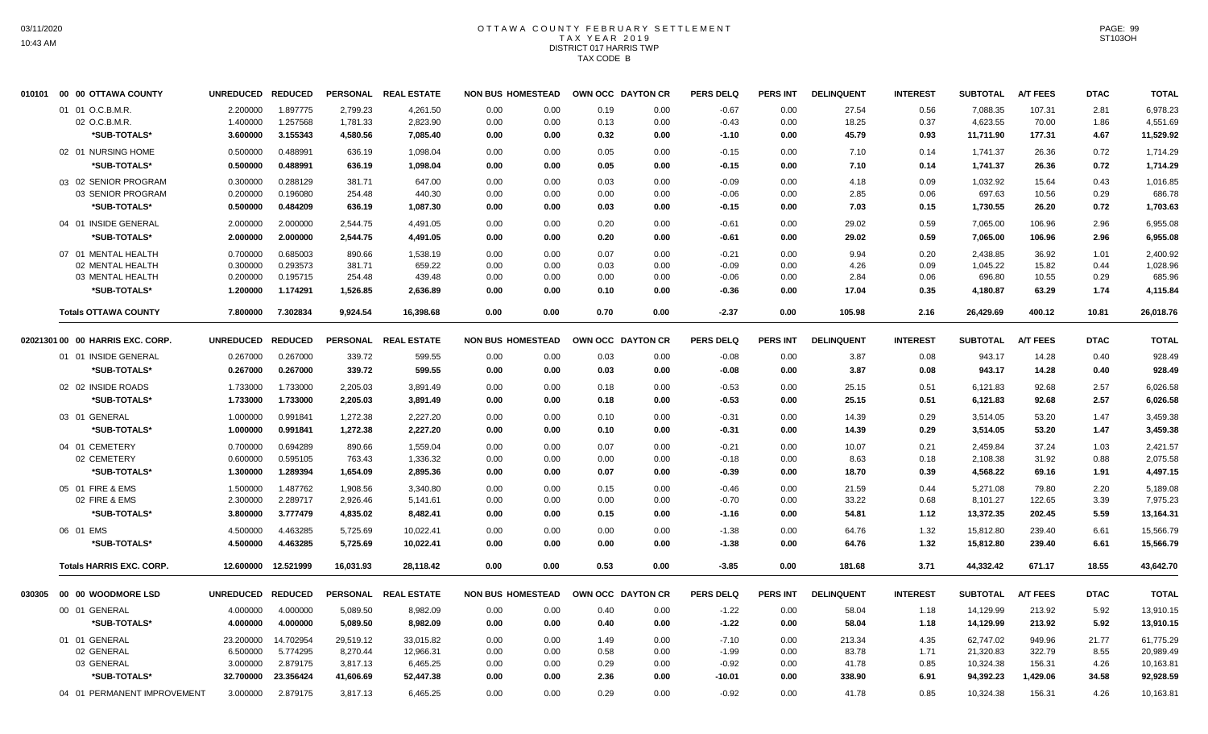# OTTAWA COUNTY FEBRUARY SETTLEMENT TAX YEAR 2019 DISTRICT 017 HARRIS TWP TAX CODE B

| 010101 | 00 00 OTTAWA COUNTY              | UNREDUCED REDUCED |                     |                 | PERSONAL REAL ESTATE | <b>NON BUS HOMESTEAD</b> |      | OWN OCC DAYTON CR |      | <b>PERS DELQ</b> | <b>PERS INT</b> | <b>DELINQUENT</b> | <b>INTEREST</b> | <b>SUBTOTAL</b> | <b>A/T FEES</b> | <b>DTAC</b> | <b>TOTAL</b> |
|--------|----------------------------------|-------------------|---------------------|-----------------|----------------------|--------------------------|------|-------------------|------|------------------|-----------------|-------------------|-----------------|-----------------|-----------------|-------------|--------------|
|        | 01 01 O.C.B.M.R                  | 2.200000          | 1.897775            | 2.799.23        | 4.261.50             | 0.00                     | 0.00 | 0.19              | 0.00 | $-0.67$          | 0.00            | 27.54             | 0.56            | 7.088.35        | 107.31          | 2.81        | 6,978.23     |
|        | 02 O.C.B.M.R                     | 1.400000          | 1.257568            | 1,781.33        | 2,823.90             | 0.00                     | 0.00 | 0.13              | 0.00 | $-0.43$          | 0.00            | 18.25             | 0.37            | 4,623.55        | 70.00           | 1.86        | 4,551.69     |
|        | *SUB-TOTALS*                     | 3.600000          | 3.155343            | 4,580.56        | 7,085.40             | 0.00                     | 0.00 | 0.32              | 0.00 | $-1.10$          | 0.00            | 45.79             | 0.93            | 11,711.90       | 177.31          | 4.67        | 11,529.92    |
|        | 02 01 NURSING HOME               | 0.500000          | 0.488991            | 636.19          | 1,098.04             | 0.00                     | 0.00 | 0.05              | 0.00 | $-0.15$          | 0.00            | 7.10              | 0.14            | 1,741.37        | 26.36           | 0.72        | 1,714.29     |
|        | *SUB-TOTALS*                     | 0.500000          | 0.488991            | 636.19          | 1,098.04             | 0.00                     | 0.00 | 0.05              | 0.00 | $-0.15$          | 0.00            | 7.10              | 0.14            | 1,741.37        | 26.36           | 0.72        | 1,714.29     |
|        | 03 02 SENIOR PROGRAM             | 0.300000          | 0.288129            | 381.71          | 647.00               | 0.00                     | 0.00 | 0.03              | 0.00 | $-0.09$          | 0.00            | 4.18              | 0.09            | 1,032.92        | 15.64           | 0.43        | 1,016.85     |
|        | 03 SENIOR PROGRAM                | 0.200000          | 0.196080            | 254.48          | 440.30               | 0.00                     | 0.00 | 0.00              | 0.00 | $-0.06$          | 0.00            | 2.85              | 0.06            | 697.63          | 10.56           | 0.29        | 686.78       |
|        | *SUB-TOTALS*                     | 0.500000          | 0.484209            | 636.19          | 1,087.30             | 0.00                     | 0.00 | 0.03              | 0.00 | $-0.15$          | 0.00            | 7.03              | 0.15            | 1,730.55        | 26.20           | 0.72        | 1,703.63     |
|        | 04 01 INSIDE GENERAL             | 2.000000          | 2.000000            | 2,544.75        | 4,491.05             | 0.00                     | 0.00 | 0.20              | 0.00 | $-0.61$          | 0.00            | 29.02             | 0.59            | 7,065.00        | 106.96          | 2.96        | 6,955.08     |
|        | *SUB-TOTALS*                     | 2.000000          | 2.000000            | 2,544.75        | 4,491.05             | 0.00                     | 0.00 | 0.20              | 0.00 | $-0.61$          | 0.00            | 29.02             | 0.59            | 7,065.00        | 106.96          | 2.96        | 6,955.08     |
|        | 07 01 MENTAL HEALTH              | 0.700000          | 0.685003            | 890.66          | 1,538.19             | 0.00                     | 0.00 | 0.07              | 0.00 | $-0.21$          | 0.00            | 9.94              | 0.20            | 2,438.85        | 36.92           | 1.01        | 2,400.92     |
|        | 02 MENTAL HEALTH                 | 0.300000          | 0.293573            | 381.71          | 659.22               | 0.00                     | 0.00 | 0.03              | 0.00 | $-0.09$          | 0.00            | 4.26              | 0.09            | 1,045.22        | 15.82           | 0.44        | 1,028.96     |
|        | 03 MENTAL HEALTH                 | 0.200000          | 0.195715            | 254.48          | 439.48               | 0.00                     | 0.00 | 0.00              | 0.00 | $-0.06$          | 0.00            | 2.84              | 0.06            | 696.80          | 10.55           | 0.29        | 685.96       |
|        | *SUB-TOTALS*                     | 1.200000          | 1.174291            | 1,526.85        | 2,636.89             | 0.00                     | 0.00 | 0.10              | 0.00 | $-0.36$          | 0.00            | 17.04             | 0.35            | 4,180.87        | 63.29           | 1.74        | 4,115.84     |
|        | <b>Totals OTTAWA COUNTY</b>      | 7.800000          | 7.302834            | 9,924.54        | 16,398.68            | 0.00                     | 0.00 | 0.70              | 0.00 | $-2.37$          | 0.00            | 105.98            | 2.16            | 26,429.69       | 400.12          | 10.81       | 26,018.76    |
|        | 02021301 00 00 HARRIS EXC. CORP. | <b>UNREDUCED</b>  | <b>REDUCED</b>      | <b>PERSONAL</b> | <b>REAL ESTATE</b>   | <b>NON BUS HOMESTEAD</b> |      | OWN OCC DAYTON CR |      | <b>PERS DELQ</b> | <b>PERS INT</b> | <b>DELINQUENT</b> | <b>INTEREST</b> | <b>SUBTOTAL</b> | <b>A/T FEES</b> | <b>DTAC</b> | <b>TOTAL</b> |
|        | 01 01 INSIDE GENERAL             | 0.267000          | 0.267000            | 339.72          | 599.55               | 0.00                     | 0.00 | 0.03              | 0.00 | $-0.08$          | 0.00            | 3.87              | 0.08            | 943.17          | 14.28           | 0.40        | 928.49       |
|        | *SUB-TOTALS*                     | 0.267000          | 0.267000            | 339.72          | 599.55               | 0.00                     | 0.00 | 0.03              | 0.00 | $-0.08$          | 0.00            | 3.87              | 0.08            | 943.17          | 14.28           | 0.40        | 928.49       |
|        | 02 02 INSIDE ROADS               | 1.733000          | 1.733000            | 2,205.03        | 3,891.49             | 0.00                     | 0.00 | 0.18              | 0.00 | $-0.53$          | 0.00            | 25.15             | 0.51            | 6,121.83        | 92.68           | 2.57        | 6,026.58     |
|        | *SUB-TOTALS*                     | 1.733000          | 1.733000            | 2,205.03        | 3,891.49             | 0.00                     | 0.00 | 0.18              | 0.00 | $-0.53$          | 0.00            | 25.15             | 0.51            | 6,121.83        | 92.68           | 2.57        | 6,026.58     |
|        | 03 01 GENERAL                    | 1.000000          | 0.991841            | 1,272.38        | 2,227.20             | 0.00                     | 0.00 | 0.10              | 0.00 | $-0.31$          | 0.00            | 14.39             | 0.29            | 3,514.05        | 53.20           | 1.47        | 3,459.38     |
|        | *SUB-TOTALS*                     | 1.000000          | 0.991841            | 1,272.38        | 2,227.20             | 0.00                     | 0.00 | 0.10              | 0.00 | $-0.31$          | 0.00            | 14.39             | 0.29            | 3,514.05        | 53.20           | 1.47        | 3,459.38     |
|        | 04 01 CEMETERY                   | 0.700000          | 0.694289            | 890.66          | 1,559.04             | 0.00                     | 0.00 | 0.07              | 0.00 | $-0.21$          | 0.00            | 10.07             | 0.21            | 2,459.84        | 37.24           | 1.03        | 2,421.57     |
|        | 02 CEMETERY                      | 0.600000          | 0.595105            | 763.43          | 1,336.32             | 0.00                     | 0.00 | 0.00              | 0.00 | $-0.18$          | 0.00            | 8.63              | 0.18            | 2,108.38        | 31.92           | 0.88        | 2,075.58     |
|        | *SUB-TOTALS*                     | 1.300000          | 1.289394            | 1,654.09        | 2,895.36             | 0.00                     | 0.00 | 0.07              | 0.00 | $-0.39$          | 0.00            | 18.70             | 0.39            | 4,568.22        | 69.16           | 1.91        | 4,497.15     |
|        | 05 01 FIRE & EMS                 | 1.500000          | 1.487762            | 1,908.56        | 3,340.80             | 0.00                     | 0.00 | 0.15              | 0.00 | $-0.46$          | 0.00            | 21.59             | 0.44            | 5.271.08        | 79.80           | 2.20        | 5,189.08     |
|        | 02 FIRE & EMS                    | 2.300000          | 2.289717            | 2,926.46        | 5,141.61             | 0.00                     | 0.00 | 0.00              | 0.00 | $-0.70$          | 0.00            | 33.22             | 0.68            | 8,101.27        | 122.65          | 3.39        | 7,975.23     |
|        | *SUB-TOTALS*                     | 3.800000          | 3.777479            | 4,835.02        | 8,482.41             | 0.00                     | 0.00 | 0.15              | 0.00 | $-1.16$          | 0.00            | 54.81             | 1.12            | 13,372.35       | 202.45          | 5.59        | 13,164.31    |
|        | 06 01 EMS                        | 4.500000          | 4.463285            | 5,725.69        | 10,022.41            | 0.00                     | 0.00 | 0.00              | 0.00 | $-1.38$          | 0.00            | 64.76             | 1.32            | 15,812.80       | 239.40          | 6.61        | 15,566.79    |
|        | *SUB-TOTALS*                     | 4.500000          | 4.463285            | 5,725.69        | 10,022.41            | 0.00                     | 0.00 | 0.00              | 0.00 | $-1.38$          | 0.00            | 64.76             | 1.32            | 15,812.80       | 239.40          | 6.61        | 15,566.79    |
|        | <b>Totals HARRIS EXC. CORP.</b>  |                   | 12.600000 12.521999 | 16,031.93       | 28,118.42            | 0.00                     | 0.00 | 0.53              | 0.00 | $-3.85$          | 0.00            | 181.68            | 3.71            | 44,332.42       | 671.17          | 18.55       | 43,642.70    |
| 030305 | 00 00 WOODMORE LSD               | UNREDUCED REDUCED |                     |                 | PERSONAL REAL ESTATE | <b>NON BUS HOMESTEAD</b> |      | OWN OCC DAYTON CR |      | <b>PERS DELQ</b> | PERS INT        | <b>DELINQUENT</b> | <b>INTEREST</b> | <b>SUBTOTAL</b> | <b>A/T FEES</b> | <b>DTAC</b> | <b>TOTAL</b> |
|        | 00 01 GENERAL                    | 4.000000          | 4.000000            | 5,089.50        | 8,982.09             | 0.00                     | 0.00 | 0.40              | 0.00 | $-1.22$          | 0.00            | 58.04             | 1.18            | 14,129.99       | 213.92          | 5.92        | 13,910.15    |
|        | *SUB-TOTALS*                     | 4.000000          | 4.000000            | 5,089.50        | 8,982.09             | 0.00                     | 0.00 | 0.40              | 0.00 | $-1.22$          | 0.00            | 58.04             | 1.18            | 14,129.99       | 213.92          | 5.92        | 13,910.15    |
|        | 01 01 GENERAL                    | 23.200000         | 14.702954           | 29,519.12       | 33,015.82            | 0.00                     | 0.00 | 1.49              | 0.00 | $-7.10$          | 0.00            | 213.34            | 4.35            | 62,747.02       | 949.96          | 21.77       | 61,775.29    |
|        | 02 GENERAL                       | 6.500000          | 5.774295            | 8,270.44        | 12,966.31            | 0.00                     | 0.00 | 0.58              | 0.00 | $-1.99$          | 0.00            | 83.78             | 1.71            | 21,320.83       | 322.79          | 8.55        | 20,989.49    |
|        | 03 GENERAL                       | 3.000000          | 2.879175            | 3,817.13        | 6,465.25             | 0.00                     | 0.00 | 0.29              | 0.00 | $-0.92$          | 0.00            | 41.78             | 0.85            | 10,324.38       | 156.31          | 4.26        | 10,163.81    |
|        | *SUB-TOTALS*                     | 32.700000         | 23.356424           | 41,606.69       | 52,447.38            | 0.00                     | 0.00 | 2.36              | 0.00 | $-10.01$         | 0.00            | 338.90            | 6.91            | 94,392.23       | 1,429.06        | 34.58       | 92,928.59    |
|        | 04 01 PERMANENT IMPROVEMENT      | 3.000000          | 2.879175            | 3,817.13        | 6,465.25             | 0.00                     | 0.00 | 0.29              | 0.00 | $-0.92$          | 0.00            | 41.78             | 0.85            | 10,324.38       | 156.31          | 4.26        | 10,163.81    |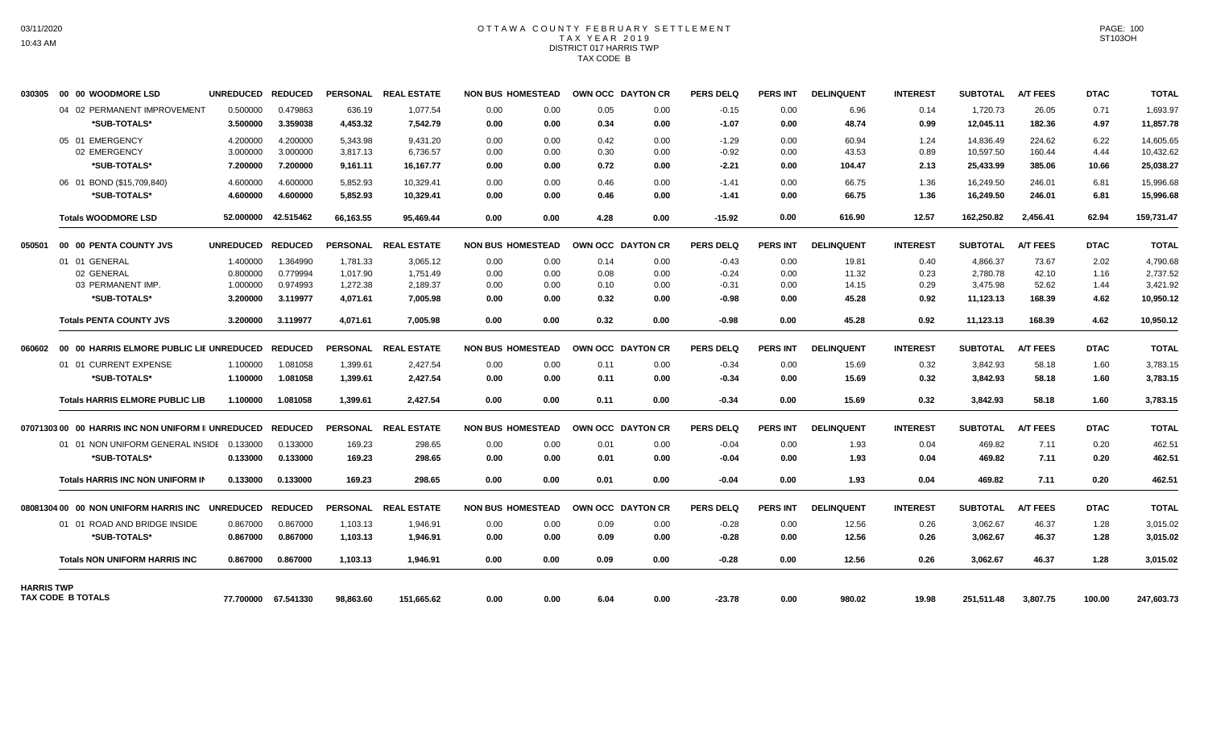## OTTAWA COUNTY FEBRUARY SETTLEMENT TAX YEAR 2019 DISTRICT 017 HARRIS TWP TAX CODE B

| 030305            | 00 00 WOODMORE LSD                                 | UNREDUCED REDUCED |                     |           | PERSONAL REAL ESTATE | <b>NON BUS HOMESTEAD</b> |      | OWN OCC DAYTON CR | <b>PERS DELQ</b> | <b>PERS INT</b> | <b>DELINQUENT</b> | <b>INTEREST</b> | <b>SUBTOTAL</b> | <b>A/T FEES</b> | <b>DTAC</b> | <b>TOTAL</b> |
|-------------------|----------------------------------------------------|-------------------|---------------------|-----------|----------------------|--------------------------|------|-------------------|------------------|-----------------|-------------------|-----------------|-----------------|-----------------|-------------|--------------|
|                   | 04 02 PERMANENT IMPROVEMENT                        | 0.500000          | 0.479863            | 636.19    | 1,077.54             | 0.00<br>0.00             | 0.05 | 0.00              | $-0.15$          | 0.00            | 6.96              | 0.14            | 1,720.73        | 26.05           | 0.71        | 1,693.97     |
|                   | *SUB-TOTALS*                                       | 3.500000          | 3.359038            | 4,453.32  | 7,542.79             | 0.00<br>0.00             | 0.34 | 0.00              | $-1.07$          | 0.00            | 48.74             | 0.99            | 12,045.11       | 182.36          | 4.97        | 11,857.78    |
|                   | 05 01 EMERGENCY                                    | 4.200000          | 4.200000            | 5,343.98  | 9,431.20             | 0.00<br>0.00             | 0.42 | 0.00              | $-1.29$          | 0.00            | 60.94             | 1.24            | 14,836.49       | 224.62          | 6.22        | 14,605.65    |
|                   | 02 EMERGENCY                                       | 3.000000          | 3.000000            | 3,817.13  | 6,736.57             | 0.00<br>0.00             | 0.30 | 0.00              | $-0.92$          | 0.00            | 43.53             | 0.89            | 10,597.50       | 160.44          | 4.44        | 10,432.62    |
|                   | *SUB-TOTALS*                                       | 7.200000          | 7.200000            | 9,161.11  | 16,167.77            | 0.00<br>0.00             | 0.72 | 0.00              | $-2.21$          | 0.00            | 104.47            | 2.13            | 25,433.99       | 385.06          | 10.66       | 25,038.27    |
|                   | 06 01 BOND (\$15,709,840)                          | 4.600000          | 4.600000            | 5,852.93  | 10.329.41            | 0.00<br>0.00             | 0.46 | 0.00              | $-1.41$          | 0.00            | 66.75             | 1.36            | 16,249.50       | 246.01          | 6.81        | 15,996.68    |
|                   | *SUB-TOTALS*                                       | 4.600000          | 4.600000            | 5.852.93  | 10.329.41            | 0.00<br>0.00             | 0.46 | 0.00              | $-1.41$          | 0.00            | 66.75             | 1.36            | 16.249.50       | 246.01          | 6.81        | 15.996.68    |
|                   | <b>Totals WOODMORE LSD</b>                         | 52.000000         | 42.515462           | 66,163.55 | 95,469.44            | 0.00<br>0.00             | 4.28 | 0.00              | $-15.92$         | 0.00            | 616.90            | 12.57           | 162,250.82      | 2.456.41        | 62.94       | 159,731.47   |
| 050501            | 00 00 PENTA COUNTY JVS                             | UNREDUCED REDUCED |                     |           | PERSONAL REAL ESTATE | <b>NON BUS HOMESTEAD</b> |      | OWN OCC DAYTON CR | <b>PERS DELQ</b> | <b>PERS INT</b> | <b>DELINQUENT</b> | <b>INTEREST</b> | <b>SUBTOTAL</b> | <b>A/T FEES</b> | <b>DTAC</b> | <b>TOTAL</b> |
|                   | 01 01 GENERAL                                      | 1.400000          | 1.364990            | 1,781.33  | 3.065.12             | 0.00<br>0.00             | 0.14 | 0.00              | $-0.43$          | 0.00            | 19.81             | 0.40            | 4.866.37        | 73.67           | 2.02        | 4.790.68     |
|                   | 02 GENERAL                                         | 0.800000          | 0.779994            | 1.017.90  | 1.751.49             | 0.00<br>0.00             | 0.08 | 0.00              | $-0.24$          | 0.00            | 11.32             | 0.23            | 2.780.78        | 42.10           | 1.16        | 2.737.52     |
|                   | 03 PERMANENT IMP.                                  | 1.000000          | 0.974993            | 1,272.38  | 2,189.37             | 0.00<br>0.00             | 0.10 | 0.00              | $-0.31$          | 0.00            | 14.15             | 0.29            | 3,475.98        | 52.62           | 1.44        | 3,421.92     |
|                   | *SUB-TOTALS*                                       | 3.200000          | 3.119977            | 4,071.61  | 7,005.98             | 0.00<br>0.00             | 0.32 | 0.00              | -0.98            | 0.00            | 45.28             | 0.92            | 11,123.13       | 168.39          | 4.62        | 10,950.12    |
|                   | <b>Totals PENTA COUNTY JVS</b>                     | 3.200000          | 3.119977            | 4,071.61  | 7,005.98             | 0.00<br>0.00             | 0.32 | 0.00              | $-0.98$          | 0.00            | 45.28             | 0.92            | 11,123.13       | 168.39          | 4.62        | 10,950.12    |
| 060602            | 00 00 HARRIS ELMORE PUBLIC LIE UNREDUCED           |                   | <b>REDUCED</b>      |           | PERSONAL REAL ESTATE | <b>NON BUS HOMESTEAD</b> |      | OWN OCC DAYTON CR | <b>PERS DELQ</b> | <b>PERS INT</b> | <b>DELINQUENT</b> | <b>INTEREST</b> | <b>SUBTOTAL</b> | <b>A/T FEES</b> | <b>DTAC</b> | <b>TOTAL</b> |
|                   | 01 01 CURRENT EXPENSE                              | 1.100000          | 1.081058            | 1,399.61  | 2,427.54             | 0.00<br>0.00             | 0.11 | 0.00              | $-0.34$          | 0.00            | 15.69             | 0.32            | 3,842.93        | 58.18           | 1.60        | 3,783.15     |
|                   | *SUB-TOTALS*                                       | 1.100000          | 1.081058            | 1,399.61  | 2,427.54             | 0.00<br>0.00             | 0.11 | 0.00              | $-0.34$          | 0.00            | 15.69             | 0.32            | 3,842.93        | 58.18           | 1.60        | 3,783.15     |
|                   | <b>Totals HARRIS ELMORE PUBLIC LIB</b>             | 1.100000          | 1.081058            | 1,399.61  | 2,427.54             | 0.00<br>0.00             | 0.11 | 0.00              | $-0.34$          | 0.00            | 15.69             | 0.32            | 3,842.93        | 58.18           | 1.60        | 3,783.15     |
|                   | 07071303 00 00 HARRIS INC NON UNIFORM II UNREDUCED |                   | <b>REDUCED</b>      |           | PERSONAL REAL ESTATE | <b>NON BUS HOMESTEAD</b> |      | OWN OCC DAYTON CR | <b>PERS DELQ</b> | <b>PERS INT</b> | <b>DELINQUENT</b> | <b>INTEREST</b> | <b>SUBTOTAL</b> | <b>A/T FEES</b> | <b>DTAC</b> | <b>TOTAL</b> |
|                   | 01 01 NON UNIFORM GENERAL INSIDE 0.133000          |                   | 0.133000            | 169.23    | 298.65               | 0.00<br>0.00             | 0.01 | 0.00              | $-0.04$          | 0.00            | 1.93              | 0.04            | 469.82          | 7.11            | 0.20        | 462.51       |
|                   | *SUB-TOTALS*                                       | 0.133000          | 0.133000            | 169.23    | 298.65               | 0.00<br>0.00             | 0.01 | 0.00              | $-0.04$          | 0.00            | 1.93              | 0.04            | 469.82          | 7.11            | 0.20        | 462.51       |
|                   | <b>Totals HARRIS INC NON UNIFORM IN</b>            | 0.133000          | 0.133000            | 169.23    | 298.65               | 0.00<br>0.00             | 0.01 | 0.00              | $-0.04$          | 0.00            | 1.93              | 0.04            | 469.82          | 7.11            | 0.20        | 462.51       |
|                   | 08081304 00 00 NON UNIFORM HARRIS INC              | UNREDUCED REDUCED |                     |           | PERSONAL REAL ESTATE | <b>NON BUS HOMESTEAD</b> |      | OWN OCC DAYTON CR | <b>PERS DELQ</b> | <b>PERS INT</b> | <b>DELINQUENT</b> | <b>INTEREST</b> | <b>SUBTOTAL</b> | <b>A/T FEES</b> | <b>DTAC</b> | <b>TOTAL</b> |
|                   | 01 01 ROAD AND BRIDGE INSIDE                       | 0.867000          | 0.867000            | 1,103.13  | 1,946.91             | 0.00<br>0.00             | 0.09 | 0.00              | $-0.28$          | 0.00            | 12.56             | 0.26            | 3,062.67        | 46.37           | 1.28        | 3,015.02     |
|                   | *SUB-TOTALS*                                       | 0.867000          | 0.867000            | 1,103.13  | 1,946.91             | 0.00<br>0.00             | 0.09 | 0.00              | $-0.28$          | 0.00            | 12.56             | 0.26            | 3,062.67        | 46.37           | 1.28        | 3,015.02     |
|                   | <b>Totals NON UNIFORM HARRIS INC</b>               | 0.867000          | 0.867000            | 1.103.13  | 1.946.91             | 0.00<br>0.00             | 0.09 | 0.00              | $-0.28$          | 0.00            | 12.56             | 0.26            | 3,062.67        | 46.37           | 1.28        | 3,015.02     |
| <b>HARRIS TWP</b> |                                                    |                   |                     |           |                      |                          |      |                   |                  |                 |                   |                 |                 |                 |             |              |
|                   | TAX CODE B TOTALS                                  |                   | 77.700000 67.541330 | 98,863.60 | 151.665.62           | 0.00<br>0.00             | 6.04 | 0.00              | $-23.78$         | 0.00            | 980.02            | 19.98           | 251,511.48      | 3.807.75        | 100.00      | 247,603.73   |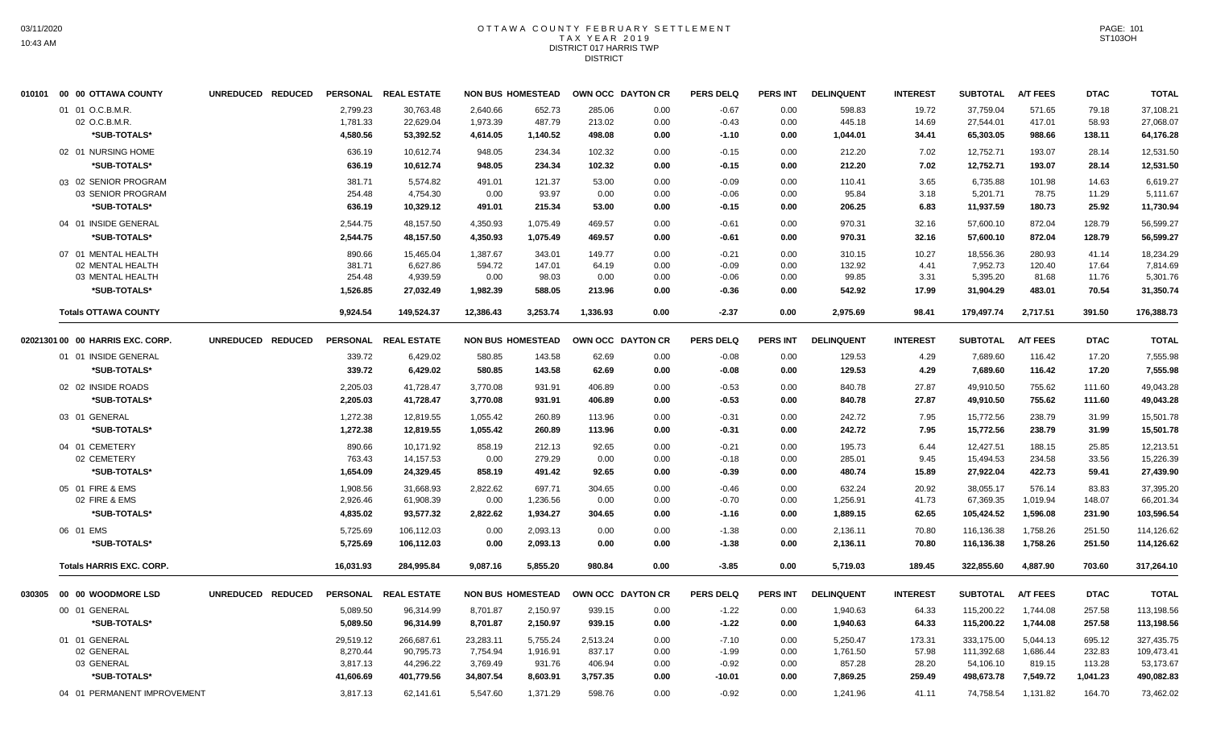# OTTAWA COUNTY FEBRUARY SETTLEMENT TAX YEAR 2019 DISTRICT 017 HARRIS TWP DISTRICT

| 010101 00 00 OTTAWA COUNTY       | UNREDUCED REDUCED |                      | PERSONAL REAL ESTATE   |                      | <b>NON BUS HOMESTEAD</b> | OWN OCC DAYTON CR |              | <b>PERS DELQ</b>   | <b>PERS INT</b> | <b>DELINQUENT</b>    | <b>INTEREST</b> | <b>SUBTOTAL</b>         | <b>A/T FEES</b>      | <b>DTAC</b>      | <b>TOTAL</b>            |
|----------------------------------|-------------------|----------------------|------------------------|----------------------|--------------------------|-------------------|--------------|--------------------|-----------------|----------------------|-----------------|-------------------------|----------------------|------------------|-------------------------|
| 01 01 O.C.B.M.R.                 |                   | 2,799.23             | 30,763.48              | 2,640.66             | 652.73                   | 285.06            | 0.00         | $-0.67$            | 0.00            | 598.83               | 19.72           | 37,759.04               | 571.65               | 79.18            | 37,108.21               |
| 02 O.C.B.M.R.                    |                   | 1,781.33             | 22,629.04              | 1,973.39             | 487.79                   | 213.02            | 0.00         | $-0.43$            | 0.00            | 445.18               | 14.69           | 27,544.01               | 417.01               | 58.93            | 27,068.07               |
| *SUB-TOTALS*                     |                   | 4,580.56             | 53,392.52              | 4,614.05             | 1,140.52                 | 498.08            | 0.00         | $-1.10$            | 0.00            | 1,044.01             | 34.41           | 65,303.05               | 988.66               | 138.11           | 64,176.28               |
| 02 01 NURSING HOME               |                   | 636.19               | 10,612.74              | 948.05               | 234.34                   | 102.32            | 0.00         | $-0.15$            | 0.00            | 212.20               | 7.02            | 12,752.71               | 193.07               | 28.14            | 12,531.50               |
| *SUB-TOTALS*                     |                   | 636.19               | 10,612.74              | 948.05               | 234.34                   | 102.32            | 0.00         | $-0.15$            | 0.00            | 212.20               | 7.02            | 12,752.71               | 193.07               | 28.14            | 12,531.50               |
| 03 02 SENIOR PROGRAM             |                   | 381.71               | 5,574.82               | 491.01               | 121.37                   | 53.00             | 0.00         | $-0.09$            | 0.00            | 110.41               | 3.65            | 6,735.88                | 101.98               | 14.63            | 6,619.27                |
| 03 SENIOR PROGRAM                |                   | 254.48               | 4,754.30               | 0.00                 | 93.97                    | 0.00              | 0.00         | $-0.06$            | 0.00            | 95.84                | 3.18            | 5,201.71                | 78.75                | 11.29            | 5,111.67                |
| *SUB-TOTALS*                     |                   | 636.19               | 10,329.12              | 491.01               | 215.34                   | 53.00             | 0.00         | $-0.15$            | 0.00            | 206.25               | 6.83            | 11,937.59               | 180.73               | 25.92            | 11,730.94               |
| 04 01 INSIDE GENERAL             |                   | 2,544.75             | 48,157.50              | 4,350.93             | 1,075.49                 | 469.57            | 0.00         | $-0.61$            | 0.00            | 970.31               | 32.16           | 57,600.10               | 872.04               | 128.79           | 56,599.27               |
| *SUB-TOTALS*                     |                   | 2,544.75             | 48,157.50              | 4,350.93             | 1,075.49                 | 469.57            | 0.00         | $-0.61$            | 0.00            | 970.31               | 32.16           | 57,600.10               | 872.04               | 128.79           | 56,599.27               |
| 07 01 MENTAL HEALTH              |                   | 890.66               | 15,465.04              | 1,387.67             | 343.01                   | 149.77            | 0.00         | $-0.21$            | 0.00            | 310.15               | 10.27           | 18,556.36               | 280.93               | 41.14            | 18,234.29               |
| 02 MENTAL HEALTH                 |                   | 381.71               | 6,627.86               | 594.72               | 147.01                   | 64.19             | 0.00         | $-0.09$            | 0.00            | 132.92               | 4.41            | 7,952.73                | 120.40               | 17.64            | 7,814.69                |
| 03 MENTAL HEALTH                 |                   | 254.48               | 4,939.59               | 0.00                 | 98.03                    | 0.00              | 0.00         | $-0.06$            | 0.00            | 99.85                | 3.31            | 5,395.20                | 81.68                | 11.76            | 5,301.76                |
| *SUB-TOTALS*                     |                   | 1,526.85             | 27,032.49              | 1,982.39             | 588.05                   | 213.96            | 0.00         | $-0.36$            | 0.00            | 542.92               | 17.99           | 31,904.29               | 483.01               | 70.54            | 31,350.74               |
| <b>Totals OTTAWA COUNTY</b>      |                   | 9,924.54             | 149,524.37             | 12,386.43            | 3,253.74                 | 1,336.93          | 0.00         | $-2.37$            | 0.00            | 2,975.69             | 98.41           | 179,497.74              | 2,717.51             | 391.50           | 176,388.73              |
| 02021301 00 00 HARRIS EXC. CORP. | UNREDUCED REDUCED | <b>PERSONAL</b>      | <b>REAL ESTATE</b>     |                      | <b>NON BUS HOMESTEAD</b> | OWN OCC DAYTON CR |              | <b>PERS DELQ</b>   | <b>PERS INT</b> | <b>DELINQUENT</b>    | <b>INTEREST</b> | <b>SUBTOTAL</b>         | <b>A/T FEES</b>      | <b>DTAC</b>      | <b>TOTAL</b>            |
| 01 01 INSIDE GENERAL             |                   | 339.72               | 6,429.02               | 580.85               | 143.58                   | 62.69             | 0.00         | $-0.08$            | 0.00            | 129.53               | 4.29            | 7,689.60                | 116.42               | 17.20            | 7,555.98                |
| *SUB-TOTALS*                     |                   | 339.72               | 6,429.02               | 580.85               | 143.58                   | 62.69             | 0.00         | $-0.08$            | 0.00            | 129.53               | 4.29            | 7,689.60                | 116.42               | 17.20            | 7,555.98                |
| 02 02 INSIDE ROADS               |                   | 2,205.03             | 41,728.47              | 3,770.08             | 931.91                   | 406.89            | 0.00         | $-0.53$            | 0.00            | 840.78               | 27.87           | 49,910.50               | 755.62               | 111.60           | 49,043.28               |
| *SUB-TOTALS*                     |                   | 2,205.03             | 41,728.47              | 3,770.08             | 931.91                   | 406.89            | 0.00         | $-0.53$            | 0.00            | 840.78               | 27.87           | 49,910.50               | 755.62               | 111.60           | 49,043.28               |
|                                  |                   |                      |                        |                      |                          |                   |              |                    |                 |                      |                 |                         |                      |                  |                         |
| 03 01 GENERAL<br>*SUB-TOTALS*    |                   | 1,272.38<br>1,272.38 | 12,819.55<br>12,819.55 | 1,055.42<br>1,055.42 | 260.89<br>260.89         | 113.96<br>113.96  | 0.00<br>0.00 | $-0.31$<br>$-0.31$ | 0.00<br>0.00    | 242.72<br>242.72     | 7.95<br>7.95    | 15,772.56<br>15,772.56  | 238.79<br>238.79     | 31.99<br>31.99   | 15,501.78<br>15,501.78  |
|                                  |                   |                      |                        |                      |                          |                   |              |                    |                 |                      |                 |                         |                      |                  |                         |
| 04 01 CEMETERY<br>02 CEMETERY    |                   | 890.66<br>763.43     | 10,171.92<br>14,157.53 | 858.19<br>0.00       | 212.13<br>279.29         | 92.65<br>0.00     | 0.00<br>0.00 | $-0.21$            | 0.00<br>0.00    | 195.73<br>285.01     | 6.44<br>9.45    | 12,427.51               | 188.15               | 25.85            | 12,213.51               |
| *SUB-TOTALS*                     |                   | 1,654.09             | 24,329.45              | 858.19               | 491.42                   | 92.65             | 0.00         | $-0.18$<br>$-0.39$ | 0.00            | 480.74               | 15.89           | 15,494.53<br>27,922.04  | 234.58<br>422.73     | 33.56<br>59.41   | 15,226.39<br>27,439.90  |
|                                  |                   |                      |                        |                      |                          |                   |              |                    |                 |                      |                 |                         |                      |                  |                         |
| 05 01 FIRE & EMS                 |                   | 1,908.56             | 31,668.93              | 2,822.62             | 697.71                   | 304.65            | 0.00         | $-0.46$            | 0.00            | 632.24               | 20.92           | 38,055.17               | 576.14               | 83.83            | 37,395.20               |
| 02 FIRE & EMS<br>*SUB-TOTALS*    |                   | 2,926.46<br>4,835.02 | 61,908.39<br>93,577.32 | 0.00<br>2,822.62     | 1,236.56<br>1,934.27     | 0.00<br>304.65    | 0.00<br>0.00 | $-0.70$<br>$-1.16$ | 0.00<br>0.00    | 1,256.91<br>1,889.15 | 41.73<br>62.65  | 67,369.35<br>105,424.52 | 1,019.94<br>1,596.08 | 148.07<br>231.90 | 66,201.34<br>103,596.54 |
|                                  |                   |                      |                        |                      |                          |                   |              |                    |                 |                      |                 |                         |                      |                  |                         |
| 06 01 EMS                        |                   | 5,725.69             | 106,112.03             | 0.00                 | 2,093.13                 | 0.00              | 0.00         | $-1.38$            | 0.00            | 2,136.11             | 70.80           | 116,136.38              | 1,758.26             | 251.50           | 114,126.62              |
| *SUB-TOTALS*                     |                   | 5,725.69             | 106,112.03             | 0.00                 | 2,093.13                 | 0.00              | 0.00         | $-1.38$            | 0.00            | 2,136.11             | 70.80           | 116,136.38              | 1,758.26             | 251.50           | 114,126.62              |
| <b>Totals HARRIS EXC. CORP.</b>  |                   | 16,031.93            | 284,995.84             | 9,087.16             | 5,855.20                 | 980.84            | 0.00         | $-3.85$            | 0.00            | 5,719.03             | 189.45          | 322,855.60              | 4,887.90             | 703.60           | 317,264.10              |
| 030305 00 00 WOODMORE LSD        | UNREDUCED REDUCED |                      | PERSONAL REAL ESTATE   |                      | <b>NON BUS HOMESTEAD</b> | OWN OCC DAYTON CR |              | <b>PERS DELQ</b>   | <b>PERS INT</b> | <b>DELINQUENT</b>    | <b>INTEREST</b> | <b>SUBTOTAL</b>         | <b>A/T FEES</b>      | <b>DTAC</b>      | <b>TOTAL</b>            |
| 00 01 GENERAL                    |                   | 5,089.50             | 96,314.99              | 8,701.87             | 2,150.97                 | 939.15            | 0.00         | $-1.22$            | 0.00            | 1,940.63             | 64.33           | 115,200.22              | 1,744.08             | 257.58           | 113,198.56              |
| *SUB-TOTALS*                     |                   | 5,089.50             | 96,314.99              | 8,701.87             | 2,150.97                 | 939.15            | 0.00         | $-1.22$            | 0.00            | 1,940.63             | 64.33           | 115,200.22              | 1,744.08             | 257.58           | 113,198.56              |
| 01 01 GENERAL                    |                   | 29,519.12            | 266,687.61             | 23,283.11            | 5,755.24                 | 2,513.24          | 0.00         | $-7.10$            | 0.00            | 5,250.47             | 173.31          | 333,175.00              | 5,044.13             | 695.12           | 327,435.75              |
| 02 GENERAL                       |                   | 8,270.44             | 90,795.73              | 7,754.94             | 1,916.91                 | 837.17            | 0.00         | $-1.99$            | 0.00            | 1,761.50             | 57.98           | 111,392.68              | 1,686.44             | 232.83           | 109,473.41              |
| 03 GENERAL                       |                   | 3,817.13             | 44,296.22              | 3,769.49             | 931.76                   | 406.94            | 0.00         | $-0.92$            | 0.00            | 857.28               | 28.20           | 54,106.10               | 819.15               | 113.28           | 53,173.67               |
| *SUB-TOTALS*                     |                   | 41,606.69            | 401,779.56             | 34,807.54            | 8,603.91                 | 3,757.35          | 0.00         | $-10.01$           | 0.00            | 7,869.25             | 259.49          | 498,673.78              | 7,549.72             | 1,041.23         | 490,082.83              |
| 04 01 PERMANENT IMPROVEMENT      |                   | 3,817.13             | 62,141.61              | 5,547.60             | 1,371.29                 | 598.76            | 0.00         | $-0.92$            | 0.00            | 1,241.96             | 41.11           | 74,758.54               | 1,131.82             | 164.70           | 73,462.02               |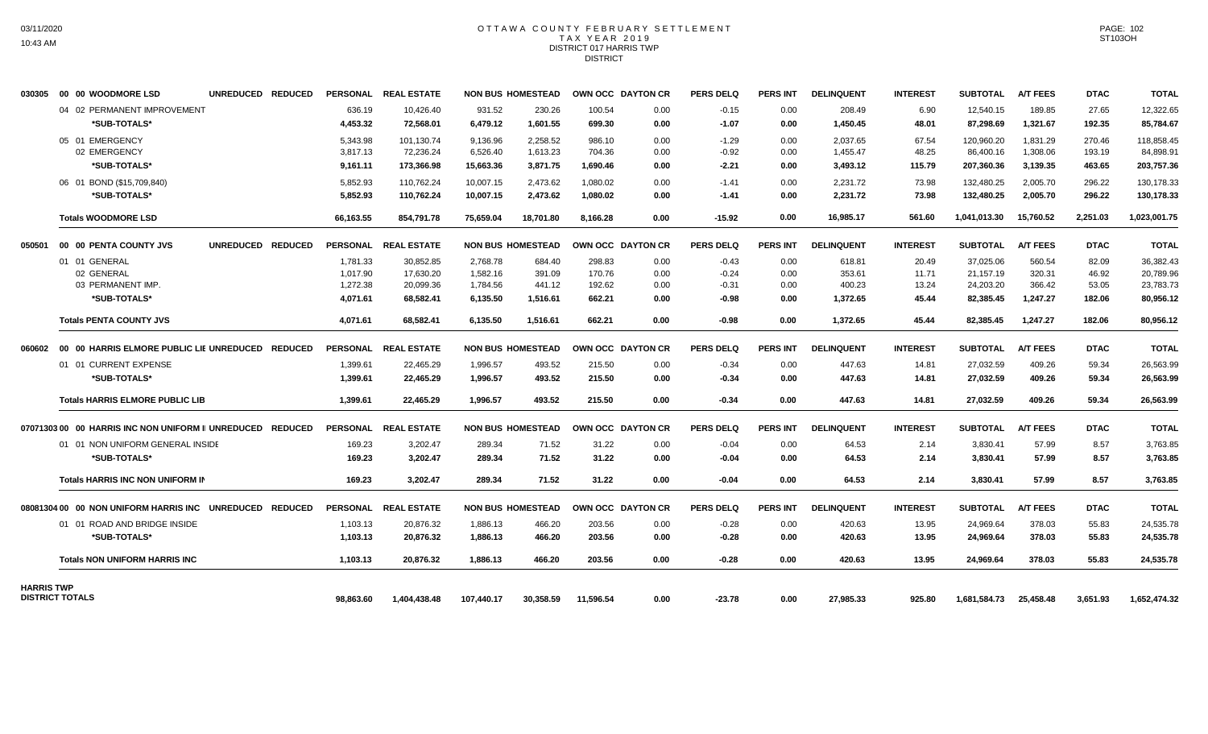#### OTTAWA COUNTY FEBRUARY SETTLEMENT T A X Y E A R 2 0 1 9 DISTRICT 017 HARRIS TWP DISTRICT

| 030305            | 00 00 WOODMORE LSD                                         | UNREDUCED REDUCED |                 | PERSONAL REAL ESTATE |            | <b>NON BUS HOMESTEAD</b> |           | OWN OCC DAYTON CR | <b>PERS DELQ</b> | PERS INT        | <b>DELINQUENT</b> | <b>INTEREST</b> | <b>SUBTOTAL</b> | <b>A/T FEES</b> | <b>DTAC</b> | <b>TOTAL</b> |
|-------------------|------------------------------------------------------------|-------------------|-----------------|----------------------|------------|--------------------------|-----------|-------------------|------------------|-----------------|-------------------|-----------------|-----------------|-----------------|-------------|--------------|
|                   | 04 02 PERMANENT IMPROVEMENT                                |                   | 636.19          | 10,426.40            | 931.52     | 230.26                   | 100.54    | 0.00              | $-0.15$          | 0.00            | 208.49            | 6.90            | 12,540.15       | 189.85          | 27.65       | 12,322.65    |
|                   | *SUB-TOTALS*                                               |                   | 4,453.32        | 72,568.01            | 6,479.12   | 1,601.55                 | 699.30    | 0.00              | $-1.07$          | 0.00            | 1,450.45          | 48.01           | 87,298.69       | 1,321.67        | 192.35      | 85,784.67    |
|                   | 05 01 EMERGENCY                                            |                   | 5.343.98        | 101,130.74           | 9,136.96   | 2,258.52                 | 986.10    | 0.00              | $-1.29$          | 0.00            | 2.037.65          | 67.54           | 120,960.20      | 1,831.29        | 270.46      | 118,858.45   |
|                   | 02 EMERGENCY                                               |                   | 3,817.13        | 72,236.24            | 6,526.40   | 1,613.23                 | 704.36    | 0.00              | $-0.92$          | 0.00            | 1,455.47          | 48.25           | 86,400.16       | 1,308.06        | 193.19      | 84,898.91    |
|                   | *SUB-TOTALS*                                               |                   | 9,161.11        | 173,366.98           | 15,663.36  | 3,871.75                 | 1,690.46  | 0.00              | $-2.21$          | 0.00            | 3,493.12          | 115.79          | 207,360.36      | 3,139.35        | 463.65      | 203,757.36   |
|                   | 06 01 BOND (\$15,709,840)                                  |                   | 5,852.93        | 110,762.24           | 10,007.15  | 2,473.62                 | 1,080.02  | 0.00              | $-1.41$          | 0.00            | 2,231.72          | 73.98           | 132,480.25      | 2,005.70        | 296.22      | 130,178.33   |
|                   | *SUB-TOTALS*                                               |                   | 5,852.93        | 110,762.24           | 10,007.15  | 2,473.62                 | 1.080.02  | 0.00              | $-1.41$          | 0.00            | 2,231.72          | 73.98           | 132,480.25      | 2,005.70        | 296.22      | 130,178.33   |
|                   | <b>Totals WOODMORE LSD</b>                                 |                   | 66.163.55       | 854.791.78           | 75.659.04  | 18.701.80                | 8.166.28  | 0.00              | $-15.92$         | 0.00            | 16.985.17         | 561.60          | 1.041.013.30    | 15.760.52       | 2.251.03    | 1,023,001.75 |
| 050501            | 00 00 PENTA COUNTY JVS                                     | UNREDUCED REDUCED |                 | PERSONAL REAL ESTATE |            | <b>NON BUS HOMESTEAD</b> |           | OWN OCC DAYTON CR | <b>PERS DELQ</b> | <b>PERS INT</b> | <b>DELINQUENT</b> | <b>INTEREST</b> | <b>SUBTOTAL</b> | <b>A/T FEES</b> | <b>DTAC</b> | <b>TOTAL</b> |
|                   | 01 01 GENERAL                                              |                   | 1,781.33        | 30,852.85            | 2,768.78   | 684.40                   | 298.83    | 0.00              | $-0.43$          | 0.00            | 618.81            | 20.49           | 37,025.06       | 560.54          | 82.09       | 36,382.43    |
|                   | 02 GENERAL                                                 |                   | 1.017.90        | 17,630.20            | 1,582.16   | 391.09                   | 170.76    | 0.00              | $-0.24$          | 0.00            | 353.61            | 11.71           | 21,157.19       | 320.31          | 46.92       | 20,789.96    |
|                   | 03 PERMANENT IMP.                                          |                   | 1,272.38        | 20,099.36            | 1,784.56   | 441.12                   | 192.62    | 0.00              | $-0.31$          | 0.00            | 400.23            | 13.24           | 24,203.20       | 366.42          | 53.05       | 23,783.73    |
|                   | *SUB-TOTALS*                                               |                   | 4,071.61        | 68,582.41            | 6,135.50   | 1,516.61                 | 662.21    | 0.00              | $-0.98$          | 0.00            | 1,372.65          | 45.44           | 82,385.45       | 1,247.27        | 182.06      | 80,956.12    |
|                   | <b>Totals PENTA COUNTY JVS</b>                             |                   | 4.071.61        | 68.582.41            | 6,135.50   | 1,516.61                 | 662.21    | 0.00              | $-0.98$          | 0.00            | 1.372.65          | 45.44           | 82.385.45       | 1.247.27        | 182.06      | 80,956.12    |
| 060602            | 00 00 HARRIS ELMORE PUBLIC LIE UNREDUCED REDUCED           |                   | <b>PERSONAL</b> | <b>REAL ESTATE</b>   |            | <b>NON BUS HOMESTEAD</b> |           | OWN OCC DAYTON CR | <b>PERS DELQ</b> | <b>PERS INT</b> | <b>DELINQUENT</b> | <b>INTEREST</b> | <b>SUBTOTAL</b> | <b>A/T FEES</b> | <b>DTAC</b> | <b>TOTAL</b> |
|                   | 01 01 CURRENT EXPENSE                                      |                   | 1,399.61        | 22,465.29            | 1,996.57   | 493.52                   | 215.50    | 0.00              | $-0.34$          | 0.00            | 447.63            | 14.81           | 27,032.59       | 409.26          | 59.34       | 26,563.99    |
|                   | *SUB-TOTALS*                                               |                   | 1.399.61        | 22,465.29            | 1,996.57   | 493.52                   | 215.50    | 0.00              | $-0.34$          | 0.00            | 447.63            | 14.81           | 27,032.59       | 409.26          | 59.34       | 26,563.99    |
|                   | <b>Totals HARRIS ELMORE PUBLIC LIB</b>                     |                   | 1,399.61        | 22,465.29            | 1.996.57   | 493.52                   | 215.50    | 0.00              | $-0.34$          | 0.00            | 447.63            | 14.81           | 27,032.59       | 409.26          | 59.34       | 26,563.99    |
|                   | 07071303 00 00 HARRIS INC NON UNIFORM II UNREDUCED REDUCED |                   | <b>PERSONAL</b> | <b>REAL ESTATE</b>   |            | <b>NON BUS HOMESTEAD</b> |           | OWN OCC DAYTON CR | <b>PERS DELQ</b> | <b>PERS INT</b> | <b>DELINQUENT</b> | <b>INTEREST</b> | <b>SUBTOTAL</b> | <b>A/T FEES</b> | <b>DTAC</b> | <b>TOTAL</b> |
|                   | 01 01 NON UNIFORM GENERAL INSIDE                           |                   | 169.23          | 3,202.47             | 289.34     | 71.52                    | 31.22     | 0.00              | $-0.04$          | 0.00            | 64.53             | 2.14            | 3,830.41        | 57.99           | 8.57        | 3,763.85     |
|                   | *SUB-TOTALS*                                               |                   | 169.23          | 3,202.47             | 289.34     | 71.52                    | 31.22     | 0.00              | $-0.04$          | 0.00            | 64.53             | 2.14            | 3,830.41        | 57.99           | 8.57        | 3,763.85     |
|                   | Totals HARRIS INC NON UNIFORM IN                           |                   | 169.23          | 3,202.47             | 289.34     | 71.52                    | 31.22     | 0.00              | $-0.04$          | 0.00            | 64.53             | 2.14            | 3,830.41        | 57.99           | 8.57        | 3,763.85     |
|                   | 08081304 00 00 NON UNIFORM HARRIS INC UNREDUCED REDUCED    |                   |                 | PERSONAL REAL ESTATE |            | <b>NON BUS HOMESTEAD</b> |           | OWN OCC DAYTON CR | <b>PERS DELQ</b> | PERS INT        | <b>DELINQUENT</b> | <b>INTEREST</b> | <b>SUBTOTAL</b> | <b>A/T FEES</b> | <b>DTAC</b> | <b>TOTAL</b> |
|                   | 01 01 ROAD AND BRIDGE INSIDE                               |                   | 1,103.13        | 20,876.32            | 1,886.13   | 466.20                   | 203.56    | 0.00              | $-0.28$          | 0.00            | 420.63            | 13.95           | 24,969.64       | 378.03          | 55.83       | 24,535.78    |
|                   | *SUB-TOTALS*                                               |                   | 1,103.13        | 20,876.32            | 1,886.13   | 466.20                   | 203.56    | 0.00              | $-0.28$          | 0.00            | 420.63            | 13.95           | 24,969.64       | 378.03          | 55.83       | 24,535.78    |
|                   | <b>Totals NON UNIFORM HARRIS INC</b>                       |                   | 1.103.13        | 20,876.32            | 1,886.13   | 466.20                   | 203.56    | 0.00              | $-0.28$          | 0.00            | 420.63            | 13.95           | 24,969.64       | 378.03          | 55.83       | 24,535.78    |
| <b>HARRIS TWP</b> |                                                            |                   |                 |                      |            |                          |           |                   |                  |                 |                   |                 |                 |                 |             |              |
|                   | <b>DISTRICT TOTALS</b>                                     |                   | 98.863.60       | 1,404,438.48         | 107,440.17 | 30,358.59                | 11,596.54 | 0.00              | $-23.78$         | 0.00            | 27,985.33         | 925.80          | 1,681,584.73    | 25,458.48       | 3,651.93    | 1,652,474.32 |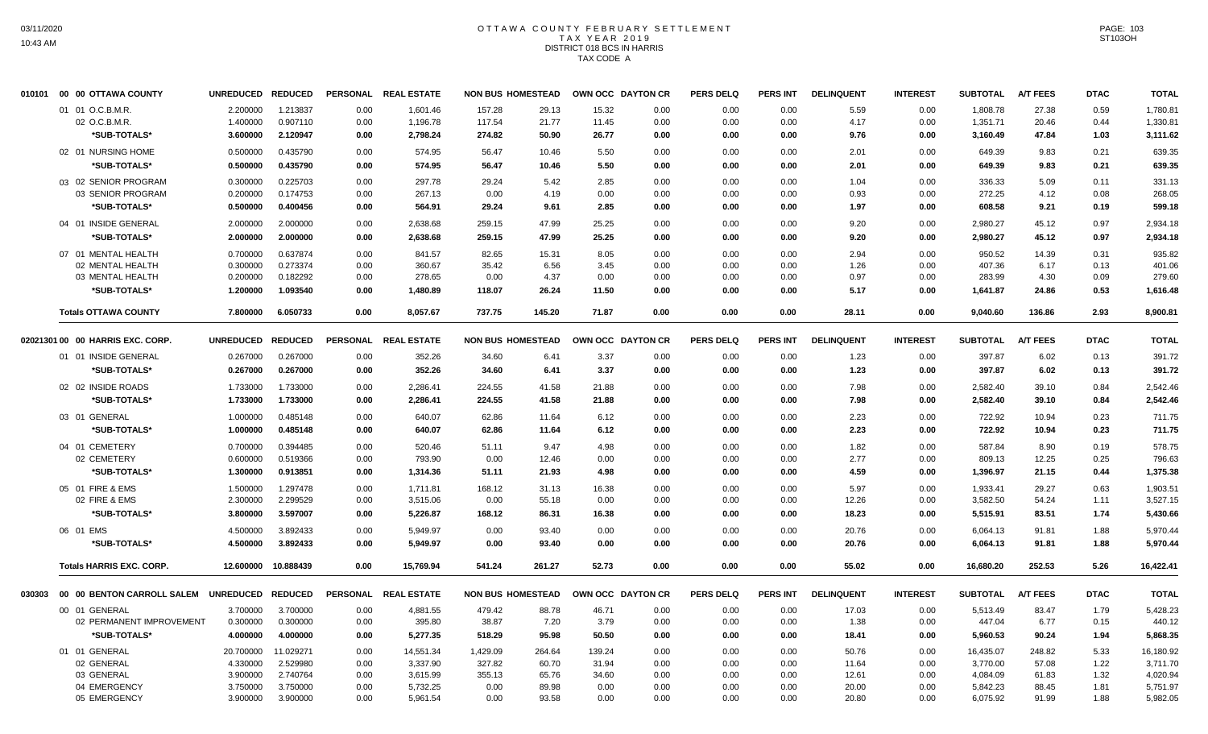# OTTAWA COUNTY FEBRUARY SETTLEMENT TAX YEAR 2019 DISTRICT 018 BCS IN HARRIS TAX CODE A

| 010101 | 00 00 OTTAWA COUNTY                                 | UNREDUCED REDUCED |           |      | PERSONAL REAL ESTATE | <b>NON BUS HOMESTEAD</b> |        | OWN OCC DAYTON CR |      | <b>PERS DELQ</b> | <b>PERS INT</b> | <b>DELINQUENT</b> | <b>INTEREST</b> | <b>SUBTOTAL</b> | <b>A/T FEES</b> | <b>DTAC</b> | <b>TOTAL</b> |
|--------|-----------------------------------------------------|-------------------|-----------|------|----------------------|--------------------------|--------|-------------------|------|------------------|-----------------|-------------------|-----------------|-----------------|-----------------|-------------|--------------|
|        | 01 01 O.C.B.M.R.                                    | 2.200000          | 1.213837  | 0.00 | 1,601.46             | 157.28                   | 29.13  | 15.32             | 0.00 | 0.00             | 0.00            | 5.59              | 0.00            | 1,808.78        | 27.38           | 0.59        | 1,780.81     |
|        | 02 O.C.B.M.R.                                       | 1.400000          | 0.907110  | 0.00 | 1,196.78             | 117.54                   | 21.77  | 11.45             | 0.00 | 0.00             | 0.00            | 4.17              | 0.00            | 1,351.71        | 20.46           | 0.44        | 1,330.81     |
|        | *SUB-TOTALS*                                        | 3.600000          | 2.120947  | 0.00 | 2,798.24             | 274.82                   | 50.90  | 26.77             | 0.00 | 0.00             | 0.00            | 9.76              | 0.00            | 3,160.49        | 47.84           | 1.03        | 3,111.62     |
|        | 02 01 NURSING HOME                                  | 0.500000          | 0.435790  | 0.00 | 574.95               | 56.47                    | 10.46  | 5.50              | 0.00 | 0.00             | 0.00            | 2.01              | 0.00            | 649.39          | 9.83            | 0.21        | 639.35       |
|        | *SUB-TOTALS*                                        | 0.500000          | 0.435790  | 0.00 | 574.95               | 56.47                    | 10.46  | 5.50              | 0.00 | 0.00             | 0.00            | 2.01              | 0.00            | 649.39          | 9.83            | 0.21        | 639.35       |
|        | 03 02 SENIOR PROGRAM                                | 0.300000          | 0.225703  | 0.00 | 297.78               | 29.24                    | 5.42   | 2.85              | 0.00 | 0.00             | 0.00            | 1.04              | 0.00            | 336.33          | 5.09            | 0.11        | 331.13       |
|        | 03 SENIOR PROGRAM                                   | 0.200000          | 0.174753  | 0.00 | 267.13               | 0.00                     | 4.19   | 0.00              | 0.00 | 0.00             | 0.00            | 0.93              | 0.00            | 272.25          | 4.12            | 0.08        | 268.05       |
|        | *SUB-TOTALS*                                        | 0.500000          | 0.400456  | 0.00 | 564.91               | 29.24                    | 9.61   | 2.85              | 0.00 | 0.00             | 0.00            | 1.97              | 0.00            | 608.58          | 9.21            | 0.19        | 599.18       |
|        | 04 01 INSIDE GENERAL                                | 2.000000          | 2.000000  | 0.00 | 2,638.68             | 259.15                   | 47.99  | 25.25             | 0.00 | 0.00             | 0.00            | 9.20              | 0.00            | 2,980.27        | 45.12           | 0.97        | 2,934.18     |
|        | *SUB-TOTALS*                                        | 2.000000          | 2.000000  | 0.00 | 2,638.68             | 259.15                   | 47.99  | 25.25             | 0.00 | 0.00             | 0.00            | 9.20              | 0.00            | 2,980.27        | 45.12           | 0.97        | 2,934.18     |
|        | 07 01 MENTAL HEALTH                                 | 0.700000          | 0.637874  | 0.00 | 841.57               | 82.65                    | 15.31  | 8.05              | 0.00 | 0.00             | 0.00            | 2.94              | 0.00            | 950.52          | 14.39           | 0.31        | 935.82       |
|        | 02 MENTAL HEALTH                                    | 0.300000          | 0.273374  | 0.00 | 360.67               | 35.42                    | 6.56   | 3.45              | 0.00 | 0.00             | 0.00            | 1.26              | 0.00            | 407.36          | 6.17            | 0.13        | 401.06       |
|        | 03 MENTAL HEALTH                                    | 0.200000          | 0.182292  | 0.00 | 278.65               | 0.00                     | 4.37   | 0.00              | 0.00 | 0.00             | 0.00            | 0.97              | 0.00            | 283.99          | 4.30            | 0.09        | 279.60       |
|        | *SUB-TOTALS*                                        | 1.200000          | 1.093540  | 0.00 | 1,480.89             | 118.07                   | 26.24  | 11.50             | 0.00 | 0.00             | 0.00            | 5.17              | 0.00            | 1,641.87        | 24.86           | 0.53        | 1,616.48     |
|        | <b>Totals OTTAWA COUNTY</b>                         | 7.800000          | 6.050733  | 0.00 | 8,057.67             | 737.75                   | 145.20 | 71.87             | 0.00 | 0.00             | 0.00            | 28.11             | 0.00            | 9,040.60        | 136.86          | 2.93        | 8,900.81     |
|        | 02021301 00 00 HARRIS EXC. CORP.                    | UNREDUCED REDUCED |           |      | PERSONAL REAL ESTATE | <b>NON BUS HOMESTEAD</b> |        | OWN OCC DAYTON CR |      | <b>PERS DELQ</b> | <b>PERS INT</b> | <b>DELINQUENT</b> | <b>INTEREST</b> | <b>SUBTOTAL</b> | <b>A/T FEES</b> | <b>DTAC</b> | <b>TOTAL</b> |
|        | 01 01 INSIDE GENERAL                                | 0.267000          | 0.267000  | 0.00 | 352.26               | 34.60                    | 6.41   | 3.37              | 0.00 | 0.00             | 0.00            | 1.23              | 0.00            | 397.87          | 6.02            | 0.13        | 391.72       |
|        | *SUB-TOTALS*                                        | 0.267000          | 0.267000  | 0.00 | 352.26               | 34.60                    | 6.41   | 3.37              | 0.00 | 0.00             | 0.00            | 1.23              | 0.00            | 397.87          | 6.02            | 0.13        | 391.72       |
|        | 02 02 INSIDE ROADS                                  | 1.733000          | 1.733000  | 0.00 | 2,286.41             | 224.55                   | 41.58  | 21.88             | 0.00 | 0.00             | 0.00            | 7.98              | 0.00            | 2,582.40        | 39.10           | 0.84        | 2,542.46     |
|        | *SUB-TOTALS*                                        | 1.733000          | 1.733000  | 0.00 | 2,286.41             | 224.55                   | 41.58  | 21.88             | 0.00 | 0.00             | 0.00            | 7.98              | 0.00            | 2,582.40        | 39.10           | 0.84        | 2,542.46     |
|        | 03 01 GENERAL                                       | 1.000000          | 0.485148  | 0.00 | 640.07               | 62.86                    | 11.64  | 6.12              | 0.00 | 0.00             | 0.00            | 2.23              | 0.00            | 722.92          | 10.94           | 0.23        | 711.75       |
|        | <b>*SUB-TOTALS*</b>                                 | 1.000000          | 0.485148  | 0.00 | 640.07               | 62.86                    | 11.64  | 6.12              | 0.00 | 0.00             | 0.00            | 2.23              | 0.00            | 722.92          | 10.94           | 0.23        | 711.75       |
|        | 04 01 CEMETERY                                      | 0.700000          | 0.394485  | 0.00 | 520.46               | 51.11                    | 9.47   | 4.98              | 0.00 | 0.00             | 0.00            | 1.82              | 0.00            | 587.84          | 8.90            | 0.19        | 578.75       |
|        | 02 CEMETERY                                         | 0.600000          | 0.519366  | 0.00 | 793.90               | 0.00                     | 12.46  | 0.00              | 0.00 | 0.00             | 0.00            | 2.77              | 0.00            | 809.13          | 12.25           | 0.25        | 796.63       |
|        | *SUB-TOTALS*                                        | 1.300000          | 0.913851  | 0.00 | 1,314.36             | 51.11                    | 21.93  | 4.98              | 0.00 | 0.00             | 0.00            | 4.59              | 0.00            | 1,396.97        | 21.15           | 0.44        | 1,375.38     |
|        | 05 01 FIRE & EMS                                    | 1.500000          | 1.297478  | 0.00 | 1.711.81             | 168.12                   | 31.13  | 16.38             | 0.00 | 0.00             | 0.00            | 5.97              | 0.00            | 1,933.41        | 29.27           | 0.63        | 1.903.51     |
|        | 02 FIRE & EMS                                       | 2.300000          | 2.299529  | 0.00 | 3,515.06             | 0.00                     | 55.18  | 0.00              | 0.00 | 0.00             | 0.00            | 12.26             | 0.00            | 3,582.50        | 54.24           | 1.11        | 3,527.15     |
|        | *SUB-TOTALS*                                        | 3.800000          | 3.597007  | 0.00 | 5,226.87             | 168.12                   | 86.31  | 16.38             | 0.00 | 0.00             | 0.00            | 18.23             | 0.00            | 5,515.91        | 83.51           | 1.74        | 5,430.66     |
|        | 06 01 EMS                                           | 4.500000          | 3.892433  | 0.00 | 5.949.97             | 0.00                     | 93.40  | 0.00              | 0.00 | 0.00             | 0.00            | 20.76             | 0.00            | 6,064.13        | 91.81           | 1.88        | 5.970.44     |
|        | <b>*SUB-TOTALS*</b>                                 | 4.500000          | 3.892433  | 0.00 | 5,949.97             | 0.00                     | 93.40  | 0.00              | 0.00 | 0.00             | 0.00            | 20.76             | 0.00            | 6,064.13        | 91.81           | 1.88        | 5,970.44     |
|        | <b>Totals HARRIS EXC. CORP.</b>                     | 12.600000         | 10.888439 | 0.00 | 15.769.94            | 541.24                   | 261.27 | 52.73             | 0.00 | 0.00             | 0.00            | 55.02             | 0.00            | 16.680.20       | 252.53          | 5.26        | 16,422.41    |
|        | 030303 00 00 BENTON CARROLL SALEM UNREDUCED REDUCED |                   |           |      | PERSONAL REAL ESTATE | <b>NON BUS HOMESTEAD</b> |        | OWN OCC DAYTON CR |      | <b>PERS DELQ</b> | PERS INT        | <b>DELINQUENT</b> | <b>INTEREST</b> | <b>SUBTOTAL</b> | <b>A/T FEES</b> | <b>DTAC</b> | <b>TOTAL</b> |
|        | 00 01 GENERAL                                       | 3.700000          | 3.700000  | 0.00 | 4,881.55             | 479.42                   | 88.78  | 46.71             | 0.00 | 0.00             | 0.00            | 17.03             | 0.00            | 5,513.49        | 83.47           | 1.79        | 5,428.23     |
|        | 02 PERMANENT IMPROVEMENT                            | 0.300000          | 0.300000  | 0.00 | 395.80               | 38.87                    | 7.20   | 3.79              | 0.00 | 0.00             | 0.00            | 1.38              | 0.00            | 447.04          | 6.77            | 0.15        | 440.12       |
|        | *SUB-TOTALS*                                        | 4.000000          | 4.000000  | 0.00 | 5,277.35             | 518.29                   | 95.98  | 50.50             | 0.00 | 0.00             | 0.00            | 18.41             | 0.00            | 5,960.53        | 90.24           | 1.94        | 5,868.35     |
|        | 01 01 GENERAL                                       | 20.700000         | 11.029271 | 0.00 | 14,551.34            | 1,429.09                 | 264.64 | 139.24            | 0.00 | 0.00             | 0.00            | 50.76             | 0.00            | 16,435.07       | 248.82          | 5.33        | 16,180.92    |
|        | 02 GENERAL                                          | 4.330000          | 2.529980  | 0.00 | 3,337.90             | 327.82                   | 60.70  | 31.94             | 0.00 | 0.00             | 0.00            | 11.64             | 0.00            | 3,770.00        | 57.08           | 1.22        | 3,711.70     |
|        | 03 GENERAL                                          | 3.900000          | 2.740764  | 0.00 | 3,615.99             | 355.13                   | 65.76  | 34.60             | 0.00 | 0.00             | 0.00            | 12.61             | 0.00            | 4,084.09        | 61.83           | 1.32        | 4,020.94     |
|        | 04 EMERGENCY                                        | 3.750000          | 3.750000  | 0.00 | 5,732.25             | 0.00                     | 89.98  | 0.00              | 0.00 | 0.00             | 0.00            | 20.00             | 0.00            | 5,842.23        | 88.45           | 1.81        | 5,751.97     |
|        | 05 EMERGENCY                                        | 3.900000          | 3.900000  | 0.00 | 5,961.54             | 0.00                     | 93.58  | 0.00              | 0.00 | 0.00             | 0.00            | 20.80             | 0.00            | 6,075.92        | 91.99           | 1.88        | 5,982.05     |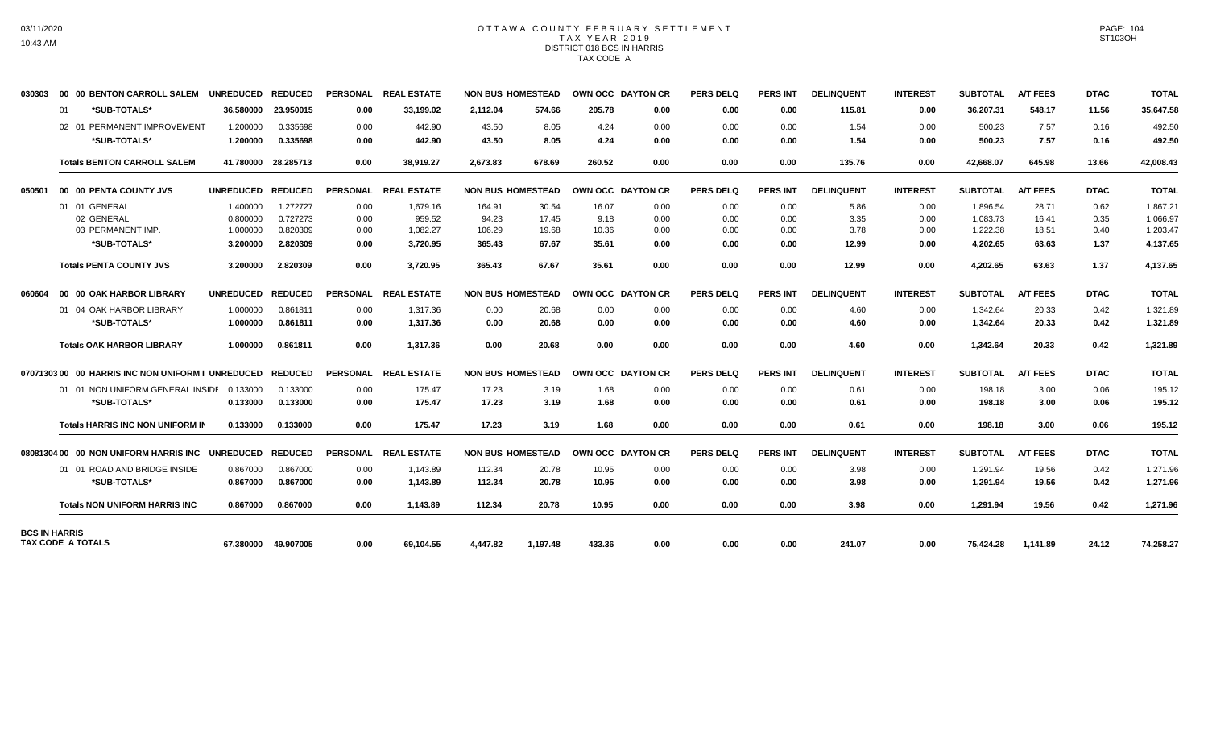## OTTAWA COUNTY FEBRUARY SETTLEMENT TAX YEAR 2019 DISTRICT 018 BCS IN HARRIS TAX CODE A

| 030303               | 00 00 BENTON CARROLL SALEM                                 | UNREDUCED REDUCED |                     | <b>PERSONAL</b> | <b>REAL ESTATE</b>   | <b>NON BUS HOMESTEAD</b> |          | OWN OCC DAYTON CR |      | <b>PERS DELQ</b> | <b>PERS INT</b> | <b>DELINQUENT</b> | <b>INTEREST</b> | <b>SUBTOTAL</b> | <b>A/T FEES</b> | <b>DTAC</b> | <b>TOTAL</b> |
|----------------------|------------------------------------------------------------|-------------------|---------------------|-----------------|----------------------|--------------------------|----------|-------------------|------|------------------|-----------------|-------------------|-----------------|-----------------|-----------------|-------------|--------------|
|                      | *SUB-TOTALS*<br>01                                         | 36.580000         | 23.950015           | 0.00            | 33,199.02            | 2,112.04                 | 574.66   | 205.78            | 0.00 | 0.00             | 0.00            | 115.81            | 0.00            | 36,207.31       | 548.17          | 11.56       | 35,647.58    |
|                      | 02 01 PERMANENT IMPROVEMENT                                | 1.200000          | 0.335698            | 0.00            | 442.90               | 43.50                    | 8.05     | 4.24              | 0.00 | 0.00             | 0.00            | 1.54              | 0.00            | 500.23          | 7.57            | 0.16        | 492.50       |
|                      | *SUB-TOTALS*                                               | 1.200000          | 0.335698            | 0.00            | 442.90               | 43.50                    | 8.05     | 4.24              | 0.00 | 0.00             | 0.00            | 1.54              | 0.00            | 500.23          | 7.57            | 0.16        | 492.50       |
|                      | <b>Totals BENTON CARROLL SALEM</b>                         |                   | 41.780000 28.285713 | 0.00            | 38.919.27            | 2.673.83                 | 678.69   | 260.52            | 0.00 | 0.00             | 0.00            | 135.76            | 0.00            | 42.668.07       | 645.98          | 13.66       | 42,008.43    |
| 050501               | 00 00 PENTA COUNTY JVS                                     | <b>UNREDUCED</b>  | <b>REDUCED</b>      | <b>PERSONAL</b> | <b>REAL ESTATE</b>   | <b>NON BUS HOMESTEAD</b> |          | OWN OCC DAYTON CR |      | <b>PERS DELQ</b> | <b>PERS INT</b> | <b>DELINQUENT</b> | <b>INTEREST</b> | <b>SUBTOTAL</b> | <b>A/T FEES</b> | <b>DTAC</b> | <b>TOTAL</b> |
|                      | 01 01 GENERAL                                              | 1.400000          | 1.272727            | 0.00            | 1,679.16             | 164.91                   | 30.54    | 16.07             | 0.00 | 0.00             | 0.00            | 5.86              | 0.00            | 1,896.54        | 28.71           | 0.62        | 1,867.21     |
|                      | 02 GENERAL                                                 | 0.800000          | 0.727273            | 0.00            | 959.52               | 94.23                    | 17.45    | 9.18              | 0.00 | 0.00             | 0.00            | 3.35              | 0.00            | 1,083.73        | 16.41           | 0.35        | 1,066.97     |
|                      | 03 PERMANENT IMP.                                          | 1.000000          | 0.820309            | 0.00            | 1,082.27             | 106.29                   | 19.68    | 10.36             | 0.00 | 0.00             | 0.00            | 3.78              | 0.00            | 1,222.38        | 18.51           | 0.40        | 1,203.47     |
|                      | *SUB-TOTALS*                                               | 3.200000          | 2.820309            | 0.00            | 3,720.95             | 365.43                   | 67.67    | 35.61             | 0.00 | 0.00             | 0.00            | 12.99             | 0.00            | 4,202.65        | 63.63           | 1.37        | 4,137.65     |
|                      | <b>Totals PENTA COUNTY JVS</b>                             | 3.200000          | 2.820309            | 0.00            | 3,720.95             | 365.43                   | 67.67    | 35.61             | 0.00 | 0.00             | 0.00            | 12.99             | 0.00            | 4,202.65        | 63.63           | 1.37        | 4,137.65     |
| 060604               | 00 00 OAK HARBOR LIBRARY                                   | UNREDUCED REDUCED |                     |                 | PERSONAL REAL ESTATE | <b>NON BUS HOMESTEAD</b> |          | OWN OCC DAYTON CR |      | <b>PERS DELQ</b> | PERS INT        | <b>DELINQUENT</b> | <b>INTEREST</b> | <b>SUBTOTAL</b> | <b>A/T FEES</b> | <b>DTAC</b> | <b>TOTAL</b> |
|                      | 01 04 OAK HARBOR LIBRARY                                   | 1.000000          | 0.861811            | 0.00            | 1,317.36             | 0.00                     | 20.68    | 0.00              | 0.00 | 0.00             | 0.00            | 4.60              | 0.00            | 1,342.64        | 20.33           | 0.42        | 1,321.89     |
|                      | *SUB-TOTALS*                                               | 1.000000          | 0.861811            | 0.00            | 1,317.36             | 0.00                     | 20.68    | 0.00              | 0.00 | 0.00             | 0.00            | 4.60              | 0.00            | 1,342.64        | 20.33           | 0.42        | 1,321.89     |
|                      | <b>Totals OAK HARBOR LIBRARY</b>                           | 1.000000          | 0.861811            | 0.00            | 1,317.36             | 0.00                     | 20.68    | 0.00              | 0.00 | 0.00             | 0.00            | 4.60              | 0.00            | 1,342.64        | 20.33           | 0.42        | 1,321.89     |
|                      | 07071303 00 00 HARRIS INC NON UNIFORM II UNREDUCED REDUCED |                   |                     | <b>PERSONAL</b> | <b>REAL ESTATE</b>   | <b>NON BUS HOMESTEAD</b> |          | OWN OCC DAYTON CR |      | <b>PERS DELQ</b> | <b>PERS INT</b> | <b>DELINQUENT</b> | <b>INTEREST</b> | <b>SUBTOTAL</b> | <b>A/T FEES</b> | <b>DTAC</b> | <b>TOTAL</b> |
|                      | 01 01 NON UNIFORM GENERAL INSIDE 0.133000                  |                   | 0.133000            | 0.00            | 175.47               | 17.23                    | 3.19     | 1.68              | 0.00 | 0.00             | 0.00            | 0.61              | 0.00            | 198.18          | 3.00            | 0.06        | 195.12       |
|                      | *SUB-TOTALS*                                               | 0.133000          | 0.133000            | 0.00            | 175.47               | 17.23                    | 3.19     | 1.68              | 0.00 | 0.00             | 0.00            | 0.61              | 0.00            | 198.18          | 3.00            | 0.06        | 195.12       |
|                      | Totals HARRIS INC NON UNIFORM IN                           | 0.133000          | 0.133000            | 0.00            | 175.47               | 17.23                    | 3.19     | 1.68              | 0.00 | 0.00             | 0.00            | 0.61              | 0.00            | 198.18          | 3.00            | 0.06        | 195.12       |
|                      | 08081304 00 00 NON UNIFORM HARRIS INC UNREDUCED REDUCED    |                   |                     |                 | PERSONAL REAL ESTATE | <b>NON BUS HOMESTEAD</b> |          | OWN OCC DAYTON CR |      | <b>PERS DELQ</b> | PERS INT        | <b>DELINQUENT</b> | <b>INTEREST</b> | <b>SUBTOTAL</b> | <b>A/T FEES</b> | <b>DTAC</b> | <b>TOTAL</b> |
|                      | 01 01 ROAD AND BRIDGE INSIDE                               | 0.867000          | 0.867000            | 0.00            | 1,143.89             | 112.34                   | 20.78    | 10.95             | 0.00 | 0.00             | 0.00            | 3.98              | 0.00            | 1,291.94        | 19.56           | 0.42        | 1,271.96     |
|                      | *SUB-TOTALS*                                               | 0.867000          | 0.867000            | 0.00            | 1,143.89             | 112.34                   | 20.78    | 10.95             | 0.00 | 0.00             | 0.00            | 3.98              | 0.00            | 1,291.94        | 19.56           | 0.42        | 1,271.96     |
|                      | <b>Totals NON UNIFORM HARRIS INC</b>                       | 0.867000          | 0.867000            | 0.00            | 1,143.89             | 112.34                   | 20.78    | 10.95             | 0.00 | 0.00             | 0.00            | 3.98              | 0.00            | 1,291.94        | 19.56           | 0.42        | 1,271.96     |
| <b>BCS IN HARRIS</b> | <b>TAX CODE A TOTALS</b>                                   |                   | 67.380000 49.907005 |                 | 69,104.55            | 4.447.82                 |          |                   |      | 0.00             | 0.00            |                   |                 |                 |                 |             | 74.258.27    |
|                      |                                                            |                   |                     | 0.00            |                      |                          | 1.197.48 | 433.36            | 0.00 |                  |                 | 241.07            | 0.00            | 75.424.28       | 1.141.89        | 24.12       |              |

03/11/2020 10:43 AM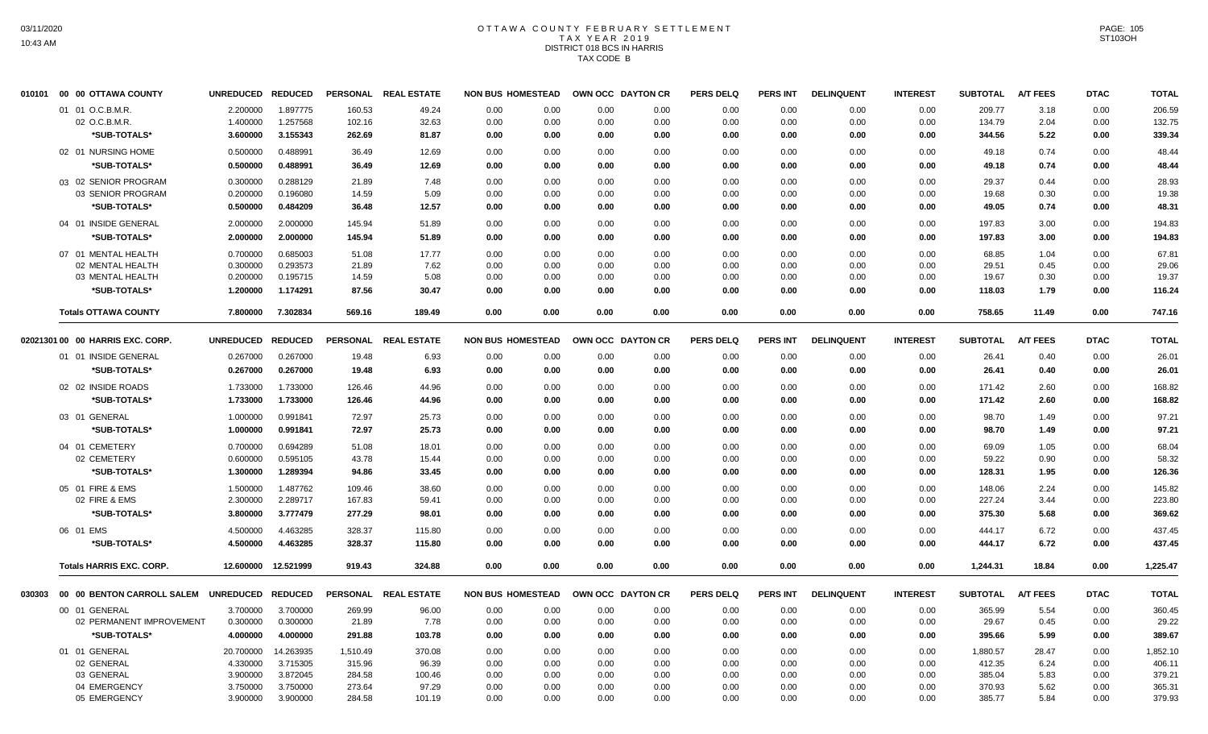# OTTAWA COUNTY FEBRUARY SETTLEMENT TAX YEAR 2019 DISTRICT 018 BCS IN HARRIS TAX CODE B

| 010101 | 00 00 OTTAWA COUNTY                                 | UNREDUCED REDUCED |                |                 | PERSONAL REAL ESTATE | <b>NON BUS HOMESTEAD</b> | OWN OCC DAYTON CR |      | <b>PERS DELQ</b> | <b>PERS INT</b> | <b>DELINQUENT</b> | <b>INTEREST</b> | <b>SUBTOTAL</b>   | <b>A/T FEES</b> | <b>DTAC</b> | <b>TOTAL</b> |
|--------|-----------------------------------------------------|-------------------|----------------|-----------------|----------------------|--------------------------|-------------------|------|------------------|-----------------|-------------------|-----------------|-------------------|-----------------|-------------|--------------|
|        | 01 01 O.C.B.M.R.                                    | 2.200000          | 1.897775       | 160.53          | 49.24                | 0.00<br>0.00             | 0.00              | 0.00 | 0.00             | 0.00            | 0.00              | 0.00            | 209.77            | 3.18            | 0.00        | 206.59       |
|        | 02 O.C.B.M.R.                                       | 1.400000          | 1.257568       | 102.16          | 32.63                | 0.00<br>0.00             | 0.00              | 0.00 | 0.00             | 0.00            | 0.00              | 0.00            | 134.79            | 2.04            | 0.00        | 132.75       |
|        | *SUB-TOTALS*                                        | 3.600000          | 3.155343       | 262.69          | 81.87                | 0.00<br>0.00             | 0.00              | 0.00 | 0.00             | 0.00            | 0.00              | 0.00            | 344.56            | 5.22            | 0.00        | 339.34       |
|        | 02 01 NURSING HOME                                  | 0.500000          | 0.488991       | 36.49           | 12.69                | 0.00<br>0.00             | 0.00              | 0.00 | 0.00             | 0.00            | 0.00              | 0.00            | 49.18             | 0.74            | 0.00        | 48.44        |
|        | *SUB-TOTALS*                                        | 0.500000          | 0.488991       | 36.49           | 12.69                | 0.00<br>0.00             | 0.00              | 0.00 | 0.00             | 0.00            | 0.00              | 0.00            | 49.18             | 0.74            | 0.00        | 48.44        |
|        | 03 02 SENIOR PROGRAM                                | 0.300000          | 0.288129       | 21.89           | 7.48                 | 0.00<br>0.00             | 0.00              | 0.00 | 0.00             | 0.00            | 0.00              | 0.00            | 29.37             | 0.44            | 0.00        | 28.93        |
|        | 03 SENIOR PROGRAM                                   | 0.200000          | 0.196080       | 14.59           | 5.09                 | 0.00<br>0.00             | 0.00              | 0.00 | 0.00             | 0.00            | 0.00              | 0.00            | 19.68             | 0.30            | 0.00        | 19.38        |
|        | *SUB-TOTALS*                                        | 0.500000          | 0.484209       | 36.48           | 12.57                | 0.00<br>0.00             | 0.00              | 0.00 | 0.00             | 0.00            | 0.00              | 0.00            | 49.05             | 0.74            | 0.00        | 48.31        |
|        | 04 01 INSIDE GENERAL                                | 2.000000          | 2.000000       | 145.94          | 51.89                | 0.00<br>0.00             | 0.00              | 0.00 | 0.00             | 0.00            | 0.00              | 0.00            | 197.83            | 3.00            | 0.00        | 194.83       |
|        | *SUB-TOTALS*                                        | 2.000000          | 2.000000       | 145.94          | 51.89                | 0.00<br>0.00             | 0.00              | 0.00 | 0.00             | 0.00            | 0.00              | 0.00            | 197.83            | 3.00            | 0.00        | 194.83       |
|        | 07 01 MENTAL HEALTH                                 | 0.700000          | 0.685003       | 51.08           | 17.77                | 0.00<br>0.00             | 0.00              | 0.00 | 0.00             | 0.00            | 0.00              | 0.00            | 68.85             | 1.04            | 0.00        | 67.81        |
|        | 02 MENTAL HEALTH                                    | 0.300000          | 0.293573       | 21.89           | 7.62                 | 0.00<br>0.00             | 0.00              | 0.00 | 0.00             | 0.00            | 0.00              | 0.00            | 29.51             | 0.45            | 0.00        | 29.06        |
|        | 03 MENTAL HEALTH                                    | 0.200000          | 0.195715       | 14.59           | 5.08                 | 0.00<br>0.00             | 0.00              | 0.00 | 0.00             | 0.00            | 0.00              | 0.00            | 19.67             | 0.30            | 0.00        | 19.37        |
|        | *SUB-TOTALS*                                        | 1.200000          | 1.174291       | 87.56           | 30.47                | 0.00<br>0.00             | 0.00              | 0.00 | 0.00             | 0.00            | 0.00              | 0.00            | 118.03            | 1.79            | 0.00        | 116.24       |
|        | <b>Totals OTTAWA COUNTY</b>                         | 7.800000          | 7.302834       | 569.16          | 189.49               | 0.00<br>0.00             | 0.00              | 0.00 | 0.00             | 0.00            | 0.00              | 0.00            | 758.65            | 11.49           | 0.00        | 747.16       |
|        | 02021301 00 00 HARRIS EXC. CORP.                    | <b>UNREDUCED</b>  | <b>REDUCED</b> | <b>PERSONAL</b> | <b>REAL ESTATE</b>   | <b>NON BUS HOMESTEAD</b> | OWN OCC DAYTON CR |      | <b>PERS DELQ</b> | PERS INT        | <b>DELINQUENT</b> | <b>INTEREST</b> | <b>SUBTOTAL</b>   | <b>A/T FEES</b> | <b>DTAC</b> | <b>TOTAL</b> |
|        | 01 01 INSIDE GENERAL                                | 0.267000          | 0.267000       | 19.48           | 6.93                 | 0.00<br>0.00             | 0.00              | 0.00 | 0.00             | 0.00            | 0.00              | 0.00            | 26.41             | 0.40            | 0.00        | 26.01        |
|        | *SUB-TOTALS*                                        | 0.267000          | 0.267000       | 19.48           | 6.93                 | 0.00<br>0.00             | 0.00              | 0.00 | 0.00             | 0.00            | 0.00              | 0.00            | 26.41             | 0.40            | 0.00        | 26.01        |
|        | 02 02 INSIDE ROADS                                  | 1.733000          | 1.733000       | 126.46          | 44.96                | 0.00<br>0.00             | 0.00              | 0.00 | 0.00             | 0.00            | 0.00              | 0.00            | 171.42            | 2.60            | 0.00        | 168.82       |
|        | *SUB-TOTALS*                                        | 1.733000          | 1.733000       | 126.46          | 44.96                | 0.00<br>0.00             | 0.00              | 0.00 | 0.00             | 0.00            | 0.00              | 0.00            | 171.42            | 2.60            | 0.00        | 168.82       |
|        | 03 01 GENERAL                                       | 1.000000          | 0.991841       | 72.97           | 25.73                | 0.00<br>0.00             | 0.00              | 0.00 | 0.00             | 0.00            | 0.00              | 0.00            | 98.70             | 1.49            | 0.00        | 97.21        |
|        | *SUB-TOTALS*                                        | 1.000000          | 0.991841       | 72.97           | 25.73                | 0.00<br>0.00             | 0.00              | 0.00 | 0.00             | 0.00            | 0.00              | 0.00            | 98.70             | 1.49            | 0.00        | 97.21        |
|        | 04 01 CEMETERY                                      | 0.700000          | 0.694289       | 51.08           | 18.01                | 0.00<br>0.00             | 0.00              | 0.00 | 0.00             | 0.00            | 0.00              | 0.00            | 69.09             | 1.05            | 0.00        | 68.04        |
|        | 02 CEMETERY                                         | 0.600000          | 0.595105       | 43.78           | 15.44                | 0.00<br>0.00             | 0.00              | 0.00 | 0.00             | 0.00            | 0.00              | 0.00            | 59.22             | 0.90            | 0.00        | 58.32        |
|        | *SUB-TOTALS*                                        | 1.300000          | 1.289394       | 94.86           | 33.45                | 0.00<br>0.00             | 0.00              | 0.00 | 0.00             | 0.00            | 0.00              | 0.00            | 128.31            | 1.95            | 0.00        | 126.36       |
|        | 05 01 FIRE & EMS                                    | 1.500000          | 1.487762       | 109.46          | 38.60                | 0.00<br>0.00             | 0.00              | 0.00 | 0.00             | 0.00            | 0.00              | 0.00            | 148.06            | 2.24            | 0.00        | 145.82       |
|        | 02 FIRE & EMS                                       | 2.300000          | 2.289717       | 167.83          | 59.41                | 0.00<br>0.00             | 0.00              | 0.00 | 0.00             | 0.00            | 0.00              | 0.00            | 227.24            | 3.44            | 0.00        | 223.80       |
|        | *SUB-TOTALS*                                        | 3.800000          | 3.777479       | 277.29          | 98.01                | 0.00<br>0.00             | 0.00              | 0.00 | 0.00             | 0.00            | 0.00              | 0.00            | 375.30            | 5.68            | 0.00        | 369.62       |
|        | 06 01 EMS                                           | 4.500000          | 4.463285       | 328.37          | 115.80               | 0.00<br>0.00             | 0.00              | 0.00 | 0.00             | 0.00            | 0.00              | 0.00            | 444.17            | 6.72            | 0.00        | 437.45       |
|        | *SUB-TOTALS*                                        | 4.500000          | 4.463285       | 328.37          | 115.80               | 0.00<br>0.00             | 0.00              | 0.00 | 0.00             | 0.00            | 0.00              | 0.00            | 444.17            | 6.72            | 0.00        | 437.45       |
|        | <b>Totals HARRIS EXC. CORP.</b>                     | 12.600000         | 12.521999      | 919.43          | 324.88               | 0.00<br>0.00             | 0.00              | 0.00 | 0.00             | 0.00            | 0.00              | 0.00            | 1.244.31          | 18.84           | 0.00        | 1,225.47     |
|        | 030303 00 00 BENTON CARROLL SALEM UNREDUCED REDUCED |                   |                |                 | PERSONAL REAL ESTATE | <b>NON BUS HOMESTEAD</b> | OWN OCC DAYTON CR |      | <b>PERS DELQ</b> | PERS INT        | <b>DELINQUENT</b> | <b>INTEREST</b> | SUBTOTAL A/T FEES |                 | <b>DTAC</b> | <b>TOTAL</b> |
|        | 00 01 GENERAL                                       | 3.700000          | 3.700000       | 269.99          | 96.00                | 0.00<br>0.00             | 0.00              | 0.00 | 0.00             | 0.00            | 0.00              | 0.00            | 365.99            | 5.54            | 0.00        | 360.45       |
|        | 02 PERMANENT IMPROVEMENT                            | 0.300000          | 0.300000       | 21.89           | 7.78                 | 0.00<br>0.00             | 0.00              | 0.00 | 0.00             | 0.00            | 0.00              | 0.00            | 29.67             | 0.45            | 0.00        | 29.22        |
|        | *SUB-TOTALS*                                        | 4.000000          | 4.000000       | 291.88          | 103.78               | 0.00<br>0.00             | 0.00              | 0.00 | 0.00             | 0.00            | 0.00              | 0.00            | 395.66            | 5.99            | 0.00        | 389.67       |
|        | 01 01 GENERAL                                       | 20.700000         | 14.263935      | 1,510.49        | 370.08               | 0.00<br>0.00             | 0.00              | 0.00 | 0.00             | 0.00            | 0.00              | 0.00            | 1,880.57          | 28.47           | 0.00        | 1,852.10     |
|        | 02 GENERAL                                          | 4.330000          | 3.715305       | 315.96          | 96.39                | 0.00<br>0.00             | 0.00              | 0.00 | 0.00             | 0.00            | 0.00              | 0.00            | 412.35            | 6.24            | 0.00        | 406.11       |
|        | 03 GENERAL                                          | 3.900000          | 3.872045       | 284.58          | 100.46               | 0.00<br>0.00             | 0.00              | 0.00 | 0.00             | 0.00            | 0.00              | 0.00            | 385.04            | 5.83            | 0.00        | 379.21       |
|        | 04 EMERGENCY                                        | 3.750000          | 3.750000       | 273.64          | 97.29                | 0.00<br>0.00             | 0.00              | 0.00 | 0.00             | 0.00            | 0.00              | 0.00            | 370.93            | 5.62            | 0.00        | 365.31       |
|        | 05 EMERGENCY                                        | 3.900000          | 3.900000       | 284.58          | 101.19               | 0.00<br>0.00             | 0.00              | 0.00 | 0.00             | 0.00            | 0.00              | 0.00            | 385.77            | 5.84            | 0.00        | 379.93       |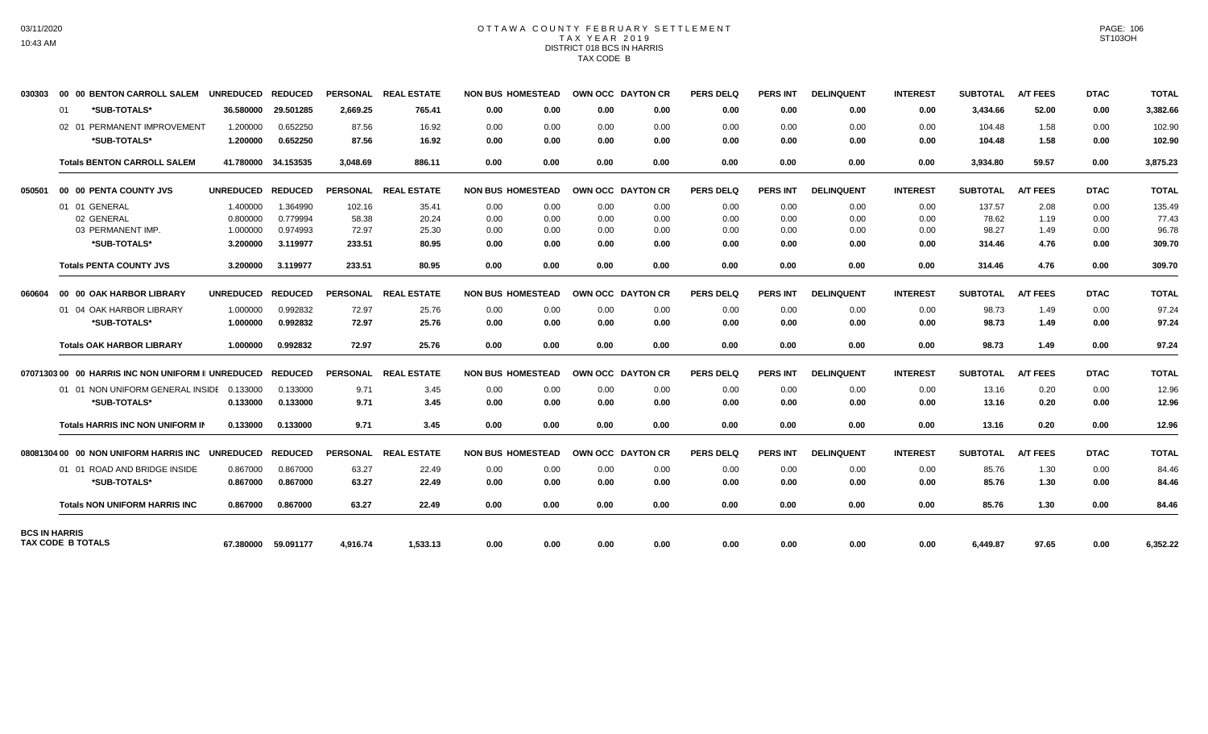# OTTAWA COUNTY FEBRUARY SETTLEMENT TAX YEAR 2019 DISTRICT 018 BCS IN HARRIS TAX CODE B

| 030303               | 00 00 BENTON CARROLL SALEM                                       | UNREDUCED REDUCED |                     |                 | PERSONAL REAL ESTATE | <b>NON BUS HOMESTEAD</b> |      |      | OWN OCC DAYTON CR | <b>PERS DELQ</b> | <b>PERS INT</b> | <b>DELINQUENT</b> | <b>INTEREST</b> | <b>SUBTOTAL</b> | <b>A/T FEES</b> | <b>DTAC</b> | <b>TOTAL</b> |
|----------------------|------------------------------------------------------------------|-------------------|---------------------|-----------------|----------------------|--------------------------|------|------|-------------------|------------------|-----------------|-------------------|-----------------|-----------------|-----------------|-------------|--------------|
|                      | *SUB-TOTALS*<br>01                                               | 36.580000         | 29.501285           | 2.669.25        | 765.41               | 0.00                     | 0.00 | 0.00 | 0.00              | 0.00             | 0.00            | 0.00              | 0.00            | 3,434.66        | 52.00           | 0.00        | 3,382.66     |
|                      | 02 01 PERMANENT IMPROVEMENT                                      | 1.200000          | 0.652250            | 87.56           | 16.92                | 0.00                     | 0.00 | 0.00 | 0.00              | 0.00             | 0.00            | 0.00              | 0.00            | 104.48          | 1.58            | 0.00        | 102.90       |
|                      | *SUB-TOTALS*                                                     | 1.200000          | 0.652250            | 87.56           | 16.92                | 0.00                     | 0.00 | 0.00 | 0.00              | 0.00             | 0.00            | 0.00              | 0.00            | 104.48          | 1.58            | 0.00        | 102.90       |
|                      | <b>Totals BENTON CARROLL SALEM</b>                               |                   | 41.780000 34.153535 | 3.048.69        | 886.11               | 0.00                     | 0.00 | 0.00 | 0.00              | 0.00             | 0.00            | 0.00              | 0.00            | 3.934.80        | 59.57           | 0.00        | 3,875.23     |
| 050501               | 00 00 PENTA COUNTY JVS                                           | <b>UNREDUCED</b>  | <b>REDUCED</b>      | <b>PERSONAL</b> | <b>REAL ESTATE</b>   | <b>NON BUS HOMESTEAD</b> |      |      | OWN OCC DAYTON CR | <b>PERS DELQ</b> | <b>PERS INT</b> | <b>DELINQUENT</b> | <b>INTEREST</b> | <b>SUBTOTAL</b> | <b>A/T FEES</b> | <b>DTAC</b> | <b>TOTAL</b> |
|                      | 01 01 GENERAL                                                    | 1.400000          | 1.364990            | 102.16          | 35.41                | 0.00                     | 0.00 | 0.00 | 0.00              | 0.00             | 0.00            | 0.00              | 0.00            | 137.57          | 2.08            | 0.00        | 135.49       |
|                      | 02 GENERAL                                                       | 0.800000          | 0.779994            | 58.38           | 20.24                | 0.00                     | 0.00 | 0.00 | 0.00              | 0.00             | 0.00            | 0.00              | 0.00            | 78.62           | 1.19            | 0.00        | 77.43        |
|                      | 03 PERMANENT IMP.                                                | 1.000000          | 0.974993            | 72.97           | 25.30                | 0.00                     | 0.00 | 0.00 | 0.00              | 0.00             | 0.00            | 0.00              | 0.00            | 98.27           | 1.49            | 0.00        | 96.78        |
|                      | *SUB-TOTALS*                                                     | 3.200000          | 3.119977            | 233.51          | 80.95                | 0.00                     | 0.00 | 0.00 | 0.00              | 0.00             | 0.00            | 0.00              | 0.00            | 314.46          | 4.76            | 0.00        | 309.70       |
|                      | <b>Totals PENTA COUNTY JVS</b>                                   | 3.200000          | 3.119977            | 233.51          | 80.95                | 0.00                     | 0.00 | 0.00 | 0.00              | 0.00             | 0.00            | 0.00              | 0.00            | 314.46          | 4.76            | 0.00        | 309.70       |
| 060604               | 00 00 OAK HARBOR LIBRARY                                         | UNREDUCED REDUCED |                     |                 | PERSONAL REAL ESTATE | <b>NON BUS HOMESTEAD</b> |      |      | OWN OCC DAYTON CR | <b>PERS DELQ</b> | <b>PERS INT</b> | <b>DELINQUENT</b> | <b>INTEREST</b> | <b>SUBTOTAL</b> | <b>A/T FEES</b> | <b>DTAC</b> | <b>TOTAL</b> |
|                      | 01 04 OAK HARBOR LIBRARY                                         | 1.000000          | 0.992832            | 72.97           | 25.76                | 0.00                     | 0.00 | 0.00 | 0.00              | 0.00             | 0.00            | 0.00              | 0.00            | 98.73           | 1.49            | 0.00        | 97.24        |
|                      | *SUB-TOTALS*                                                     | 1.000000          | 0.992832            | 72.97           | 25.76                | 0.00                     | 0.00 | 0.00 | 0.00              | 0.00             | 0.00            | 0.00              | 0.00            | 98.73           | 1.49            | 0.00        | 97.24        |
|                      | <b>Totals OAK HARBOR LIBRARY</b>                                 | 1.000000          | 0.992832            | 72.97           | 25.76                | 0.00                     | 0.00 | 0.00 | 0.00              | 0.00             | 0.00            | 0.00              | 0.00            | 98.73           | 1.49            | 0.00        | 97.24        |
|                      | 07071303 00   00  HARRIS INC NON UNIFORM II UNREDUCED    REDUCED |                   |                     | <b>PERSONAL</b> | <b>REAL ESTATE</b>   | <b>NON BUS HOMESTEAD</b> |      |      | OWN OCC DAYTON CR | <b>PERS DELQ</b> | <b>PERS INT</b> | <b>DELINQUENT</b> | <b>INTEREST</b> | <b>SUBTOTAL</b> | <b>A/T FEES</b> | <b>DTAC</b> | <b>TOTAL</b> |
|                      | 01 01 NON UNIFORM GENERAL INSIDE 0.133000                        |                   | 0.133000            | 9.71            | 3.45                 | 0.00                     | 0.00 | 0.00 | 0.00              | 0.00             | 0.00            | 0.00              | 0.00            | 13.16           | 0.20            | 0.00        | 12.96        |
|                      | *SUB-TOTALS*                                                     | 0.133000          | 0.133000            | 9.71            | 3.45                 | 0.00                     | 0.00 | 0.00 | 0.00              | 0.00             | 0.00            | 0.00              | 0.00            | 13.16           | 0.20            | 0.00        | 12.96        |
|                      | Totals HARRIS INC NON UNIFORM IN                                 | 0.133000          | 0.133000            | 9.71            | 3.45                 | 0.00                     | 0.00 | 0.00 | 0.00              | 0.00             | 0.00            | 0.00              | 0.00            | 13.16           | 0.20            | 0.00        | 12.96        |
|                      | 08081304 00 00 NON UNIFORM HARRIS INC                            | <b>UNREDUCED</b>  | <b>REDUCED</b>      | <b>PERSONAL</b> | <b>REAL ESTATE</b>   | <b>NON BUS HOMESTEAD</b> |      |      | OWN OCC DAYTON CR | <b>PERS DELQ</b> | <b>PERS INT</b> | <b>DELINQUENT</b> | <b>INTEREST</b> | <b>SUBTOTAL</b> | <b>A/T FEES</b> | <b>DTAC</b> | <b>TOTAL</b> |
|                      | 01 01 ROAD AND BRIDGE INSIDE                                     | 0.867000          | 0.867000            | 63.27           | 22.49                | 0.00                     | 0.00 | 0.00 | 0.00              | 0.00             | 0.00            | 0.00              | 0.00            | 85.76           | 1.30            | 0.00        | 84.46        |
|                      | *SUB-TOTALS*                                                     | 0.867000          | 0.867000            | 63.27           | 22.49                | 0.00                     | 0.00 | 0.00 | 0.00              | 0.00             | 0.00            | 0.00              | 0.00            | 85.76           | 1.30            | 0.00        | 84.46        |
|                      | <b>Totals NON UNIFORM HARRIS INC</b>                             | 0.867000          | 0.867000            | 63.27           | 22.49                | 0.00                     | 0.00 | 0.00 | 0.00              | 0.00             | 0.00            | 0.00              | 0.00            | 85.76           | 1.30            | 0.00        | 84.46        |
| <b>BCS IN HARRIS</b> | <b>TAX CODE B TOTALS</b>                                         |                   | 67.380000 59.091177 | 4.916.74        | 1,533.13             | 0.00                     | 0.00 | 0.00 | 0.00              | 0.00             | 0.00            | 0.00              | 0.00            | 6.449.87        | 97.65           | 0.00        | 6,352.22     |
|                      |                                                                  |                   |                     |                 |                      |                          |      |      |                   |                  |                 |                   |                 |                 |                 |             |              |

PAGE: 106 ST103OH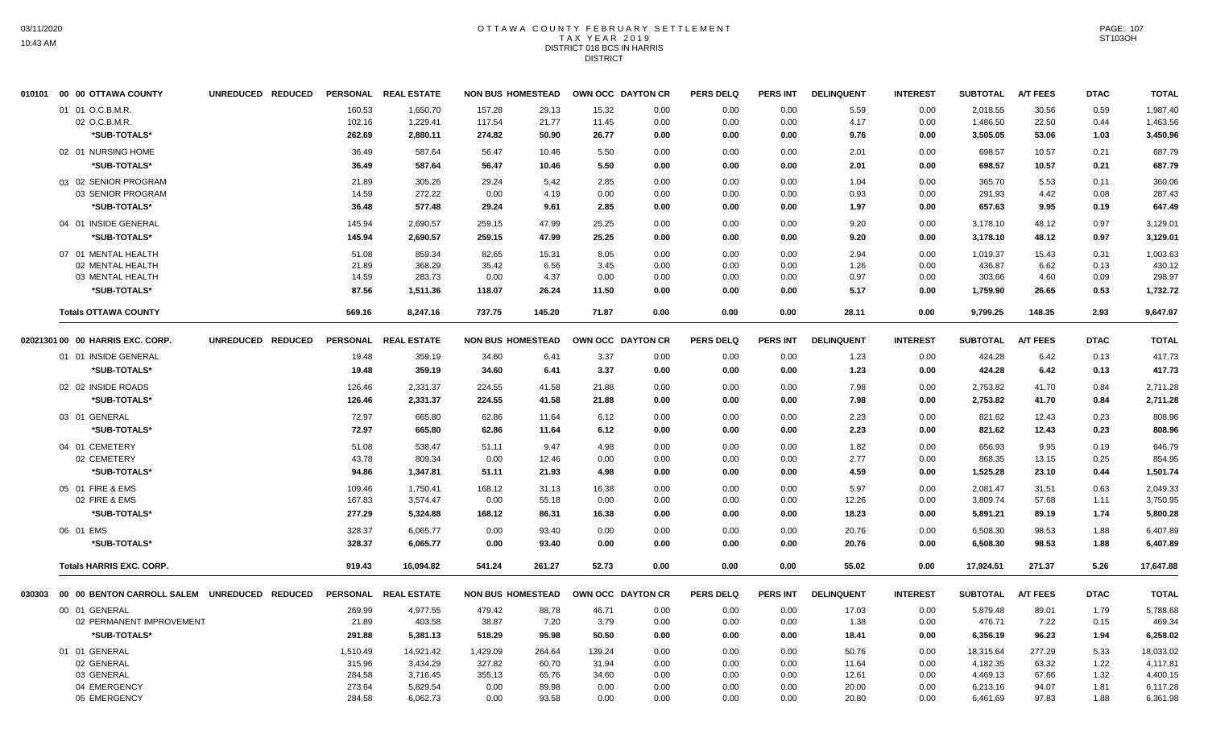# OTTAWA COUNTY FEBRUARY SETTLEMENT TAX YEAR 2019 DISTRICT 018 BCS IN HARRIS DISTRICT

| 010101 00 00 OTTAWA COUNTY       |                   | UNREDUCED REDUCED |          | PERSONAL REAL ESTATE |          | <b>NON BUS HOMESTEAD</b> | OWN OCC DAYTON CR |      | <b>PERS DELQ</b> | <b>PERS INT</b> | <b>DELINQUENT</b> | <b>INTEREST</b> | SUBTOTAL A/T FEES |                 | <b>DTAC</b> | <b>TOTAL</b> |
|----------------------------------|-------------------|-------------------|----------|----------------------|----------|--------------------------|-------------------|------|------------------|-----------------|-------------------|-----------------|-------------------|-----------------|-------------|--------------|
| 01 01 O.C.B.M.R.                 |                   |                   | 160.53   | 1,650.70             | 157.28   | 29.13                    | 15.32             | 0.00 | 0.00             | 0.00            | 5.59              | 0.00            | 2,018.55          | 30.56           | 0.59        | 1,987.40     |
| 02 O.C.B.M.R.                    |                   |                   | 102.16   | 1,229.41             | 117.54   | 21.77                    | 11.45             | 0.00 | 0.00             | 0.00            | 4.17              | 0.00            | 1,486.50          | 22.50           | 0.44        | 1,463.56     |
| *SUB-TOTALS*                     |                   |                   | 262.69   | 2,880.11             | 274.82   | 50.90                    | 26.77             | 0.00 | 0.00             | 0.00            | 9.76              | 0.00            | 3,505.05          | 53.06           | 1.03        | 3,450.96     |
| 02 01 NURSING HOME               |                   |                   | 36.49    | 587.64               | 56.47    | 10.46                    | 5.50              | 0.00 | 0.00             | 0.00            | 2.01              | 0.00            | 698.57            | 10.57           | 0.21        | 687.79       |
| *SUB-TOTALS*                     |                   |                   | 36.49    | 587.64               | 56.47    | 10.46                    | 5.50              | 0.00 | 0.00             | 0.00            | 2.01              | 0.00            | 698.57            | 10.57           | 0.21        | 687.79       |
| 03 02 SENIOR PROGRAM             |                   |                   | 21.89    | 305.26               | 29.24    | 5.42                     | 2.85              | 0.00 | 0.00             | 0.00            | 1.04              | 0.00            | 365.70            | 5.53            | 0.11        | 360.06       |
| 03 SENIOR PROGRAM                |                   |                   | 14.59    | 272.22               | 0.00     | 4.19                     | 0.00              | 0.00 | 0.00             | 0.00            | 0.93              | 0.00            | 291.93            | 4.42            | 0.08        | 287.43       |
| *SUB-TOTALS*                     |                   |                   | 36.48    | 577.48               | 29.24    | 9.61                     | 2.85              | 0.00 | 0.00             | 0.00            | 1.97              | 0.00            | 657.63            | 9.95            | 0.19        | 647.49       |
| 04 01 INSIDE GENERAL             |                   |                   | 145.94   | 2,690.57             | 259.15   | 47.99                    | 25.25             | 0.00 | 0.00             | 0.00            | 9.20              | 0.00            | 3,178.10          | 48.12           | 0.97        | 3,129.01     |
| *SUB-TOTALS*                     |                   |                   | 145.94   | 2,690.57             | 259.15   | 47.99                    | 25.25             | 0.00 | 0.00             | 0.00            | 9.20              | 0.00            | 3,178.10          | 48.12           | 0.97        | 3,129.01     |
| 07 01 MENTAL HEALTH              |                   |                   | 51.08    | 859.34               | 82.65    | 15.31                    | 8.05              | 0.00 | 0.00             | 0.00            | 2.94              | 0.00            | 1,019.37          | 15.43           | 0.31        | 1,003.63     |
| 02 MENTAL HEALTH                 |                   |                   | 21.89    | 368.29               | 35.42    | 6.56                     | 3.45              | 0.00 | 0.00             | 0.00            | 1.26              | 0.00            | 436.87            | 6.62            | 0.13        | 430.12       |
| 03 MENTAL HEALTH                 |                   |                   | 14.59    | 283.73               | 0.00     | 4.37                     | 0.00              | 0.00 | 0.00             | 0.00            | 0.97              | 0.00            | 303.66            | 4.60            | 0.09        | 298.97       |
| *SUB-TOTALS*                     |                   |                   | 87.56    | 1,511.36             | 118.07   | 26.24                    | 11.50             | 0.00 | 0.00             | 0.00            | 5.17              | 0.00            | 1,759.90          | 26.65           | 0.53        | 1,732.72     |
| <b>Totals OTTAWA COUNTY</b>      |                   |                   | 569.16   | 8.247.16             | 737.75   | 145.20                   | 71.87             | 0.00 | 0.00             | 0.00            | 28.11             | 0.00            | 9,799.25          | 148.35          | 2.93        | 9.647.97     |
| 02021301 00 00 HARRIS EXC. CORP. | UNREDUCED REDUCED |                   |          | PERSONAL REAL ESTATE |          | <b>NON BUS HOMESTEAD</b> | OWN OCC DAYTON CR |      | <b>PERS DELQ</b> | PERS INT        | <b>DELINQUENT</b> | <b>INTEREST</b> | <b>SUBTOTAL</b>   | <b>A/T FEES</b> | <b>DTAC</b> | <b>TOTAL</b> |
| 01 01 INSIDE GENERAL             |                   |                   | 19.48    | 359.19               | 34.60    | 6.41                     | 3.37              | 0.00 | 0.00             | 0.00            | 1.23              | 0.00            | 424.28            | 6.42            | 0.13        | 417.73       |
| *SUB-TOTALS*                     |                   |                   | 19.48    | 359.19               | 34.60    | 6.41                     | 3.37              | 0.00 | 0.00             | 0.00            | 1.23              | 0.00            | 424.28            | 6.42            | 0.13        | 417.73       |
| 02 02 INSIDE ROADS               |                   |                   | 126.46   | 2,331.37             | 224.55   | 41.58                    | 21.88             | 0.00 | 0.00             | 0.00            | 7.98              | 0.00            | 2,753.82          | 41.70           | 0.84        | 2,711.28     |
| *SUB-TOTALS*                     |                   |                   | 126.46   | 2,331.37             | 224.55   | 41.58                    | 21.88             | 0.00 | 0.00             | 0.00            | 7.98              | 0.00            | 2,753.82          | 41.70           | 0.84        | 2,711.28     |
| 03 01 GENERAL                    |                   |                   | 72.97    | 665.80               | 62.86    | 11.64                    | 6.12              | 0.00 | 0.00             | 0.00            | 2.23              | 0.00            | 821.62            | 12.43           | 0.23        | 808.96       |
| *SUB-TOTALS*                     |                   |                   | 72.97    | 665.80               | 62.86    | 11.64                    | 6.12              | 0.00 | 0.00             | 0.00            | 2.23              | 0.00            | 821.62            | 12.43           | 0.23        | 808.96       |
| 04 01 CEMETERY                   |                   |                   | 51.08    | 538.47               | 51.11    | 9.47                     | 4.98              | 0.00 | 0.00             | 0.00            | 1.82              | 0.00            | 656.93            | 9.95            | 0.19        | 646.79       |
| 02 CEMETERY                      |                   |                   | 43.78    | 809.34               | 0.00     | 12.46                    | 0.00              | 0.00 | 0.00             | 0.00            | 2.77              | 0.00            | 868.35            | 13.15           | 0.25        | 854.95       |
| *SUB-TOTALS*                     |                   |                   | 94.86    | 1,347.81             | 51.11    | 21.93                    | 4.98              | 0.00 | 0.00             | 0.00            | 4.59              | 0.00            | 1,525.28          | 23.10           | 0.44        | 1,501.74     |
| 05 01 FIRE & EMS                 |                   |                   | 109.46   | 1,750.41             | 168.12   | 31.13                    | 16.38             | 0.00 | 0.00             | 0.00            | 5.97              | 0.00            | 2,081.47          | 31.51           | 0.63        | 2,049.33     |
| 02 FIRE & EMS                    |                   |                   | 167.83   | 3,574.47             | 0.00     | 55.18                    | 0.00              | 0.00 | 0.00             | 0.00            | 12.26             | 0.00            | 3,809.74          | 57.68           | 1.11        | 3,750.95     |
| *SUB-TOTALS*                     |                   |                   | 277.29   | 5,324.88             | 168.12   | 86.31                    | 16.38             | 0.00 | 0.00             | 0.00            | 18.23             | 0.00            | 5,891.21          | 89.19           | 1.74        | 5,800.28     |
| 06 01 EMS                        |                   |                   | 328.37   | 6,065.77             | 0.00     | 93.40                    | 0.00              | 0.00 | 0.00             | 0.00            | 20.76             | 0.00            | 6,508.30          | 98.53           | 1.88        | 6,407.89     |
| *SUB-TOTALS*                     |                   |                   | 328.37   | 6,065.77             | 0.00     | 93.40                    | 0.00              | 0.00 | 0.00             | 0.00            | 20.76             | 0.00            | 6,508.30          | 98.53           | 1.88        | 6,407.89     |
| <b>Totals HARRIS EXC. CORP.</b>  |                   |                   | 919.43   | 16,094.82            | 541.24   | 261.27                   | 52.73             | 0.00 | 0.00             | 0.00            | 55.02             | 0.00            | 17,924.51         | 271.37          | 5.26        | 17,647.88    |
|                                  |                   |                   |          | PERSONAL REAL ESTATE |          | <b>NON BUS HOMESTEAD</b> | OWN OCC DAYTON CR |      | <b>PERS DELQ</b> | <b>PERS INT</b> | <b>DELINQUENT</b> | <b>INTEREST</b> | <b>SUBTOTAL</b>   | <b>A/T FEES</b> | <b>DTAC</b> | <b>TOTAL</b> |
| 00 01 GENERAL                    |                   |                   | 269.99   | 4,977.55             | 479.42   | 88.78                    | 46.71             | 0.00 | 0.00             | 0.00            | 17.03             | 0.00            | 5,879.48          | 89.01           | 1.79        | 5,788.68     |
| 02 PERMANENT IMPROVEMENT         |                   |                   | 21.89    | 403.58               | 38.87    | 7.20                     | 3.79              | 0.00 | 0.00             | 0.00            | 1.38              | 0.00            | 476.71            | 7.22            | 0.15        | 469.34       |
| *SUB-TOTALS*                     |                   |                   | 291.88   | 5,381.13             | 518.29   | 95.98                    | 50.50             | 0.00 | 0.00             | 0.00            | 18.41             | 0.00            | 6,356.19          | 96.23           | 1.94        | 6,258.02     |
| 01 01 GENERAL                    |                   |                   | 1,510.49 | 14,921.42            | 1,429.09 | 264.64                   | 139.24            | 0.00 | 0.00             | 0.00            | 50.76             | 0.00            | 18,315.64         | 277.29          | 5.33        | 18,033.02    |
| 02 GENERAL                       |                   |                   | 315.96   | 3,434.29             | 327.82   | 60.70                    | 31.94             | 0.00 | 0.00             | 0.00            | 11.64             | 0.00            | 4,182.35          | 63.32           | 1.22        | 4,117.81     |
| 03 GENERAL                       |                   |                   | 284.58   | 3,716.45             | 355.13   | 65.76                    | 34.60             | 0.00 | 0.00             | 0.00            | 12.61             | 0.00            | 4,469.13          | 67.66           | 1.32        | 4,400.15     |
| 04 EMERGENCY                     |                   |                   | 273.64   | 5,829.54             | 0.00     | 89.98                    | 0.00              | 0.00 | 0.00             | 0.00            | 20.00             | 0.00            | 6,213.16          | 94.07           | 1.81        | 6,117.28     |
| 05 EMERGENCY                     |                   |                   | 284.58   | 6,062.73             | 0.00     | 93.58                    | 0.00              | 0.00 | 0.00             | 0.00            | 20.80             | 0.00            | 6,461.69          | 97.83           | 1.88        | 6,361.98     |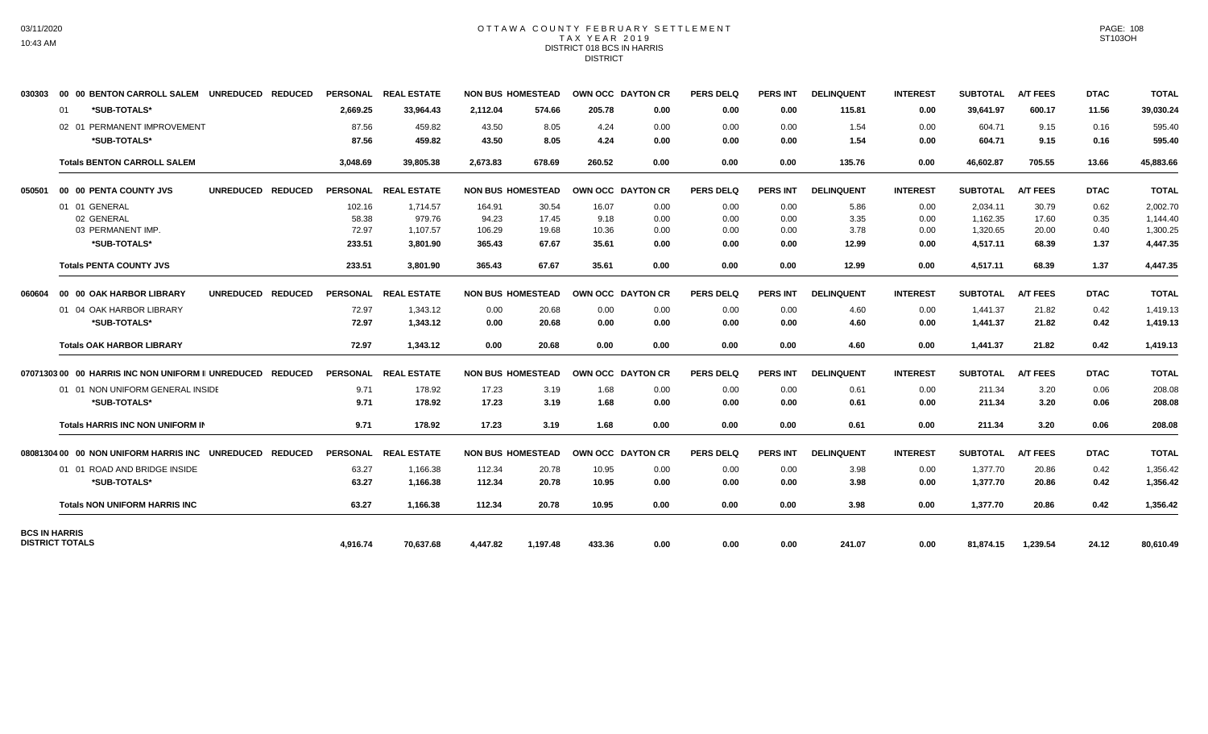# 03/11/2020 10:43 AM

## OTTAWA COUNTY FEBRUARY SETTLEMENT TAX YEAR 2019 DISTRICT 018 BCS IN HARRIS DISTRICT

| 030303               | 00 00 BENTON CARROLL SALEM UNREDUCED REDUCED               |          | PERSONAL REAL ESTATE | <b>NON BUS HOMESTEAD</b> |          | OWN OCC DAYTON CR |      | <b>PERS DELQ</b> | <b>PERS INT</b> | <b>DELINQUENT</b> | <b>INTEREST</b> | <b>SUBTOTAL</b> | <b>A/T FEES</b> | <b>DTAC</b> | <b>TOTAL</b> |
|----------------------|------------------------------------------------------------|----------|----------------------|--------------------------|----------|-------------------|------|------------------|-----------------|-------------------|-----------------|-----------------|-----------------|-------------|--------------|
|                      | *SUB-TOTALS*<br>01                                         | 2,669.25 | 33,964.43            | 2,112.04                 | 574.66   | 205.78            | 0.00 | 0.00             | 0.00            | 115.81            | 0.00            | 39,641.97       | 600.17          | 11.56       | 39,030.24    |
|                      | 02 01 PERMANENT IMPROVEMENT                                | 87.56    | 459.82               | 43.50                    | 8.05     | 4.24              | 0.00 | 0.00             | 0.00            | 1.54              | 0.00            | 604.71          | 9.15            | 0.16        | 595.40       |
|                      | *SUB-TOTALS*                                               | 87.56    | 459.82               | 43.50                    | 8.05     | 4.24              | 0.00 | 0.00             | 0.00            | 1.54              | 0.00            | 604.71          | 9.15            | 0.16        | 595.40       |
|                      | <b>Totals BENTON CARROLL SALEM</b>                         | 3,048.69 | 39,805.38            | 2,673.83                 | 678.69   | 260.52            | 0.00 | 0.00             | 0.00            | 135.76            | 0.00            | 46,602.87       | 705.55          | 13.66       | 45,883.66    |
| 050501               | UNREDUCED REDUCED<br>00 00 PENTA COUNTY JVS                |          | PERSONAL REAL ESTATE | <b>NON BUS HOMESTEAD</b> |          | OWN OCC DAYTON CR |      | <b>PERS DELQ</b> | <b>PERS INT</b> | <b>DELINQUENT</b> | <b>INTEREST</b> | <b>SUBTOTAL</b> | <b>A/T FEES</b> | <b>DTAC</b> | <b>TOTAL</b> |
|                      | 01 01 GENERAL                                              | 102.16   | 1.714.57             | 164.91                   | 30.54    | 16.07             | 0.00 | 0.00             | 0.00            | 5.86              | 0.00            | 2,034.11        | 30.79           | 0.62        | 2,002.70     |
|                      | 02 GENERAL                                                 | 58.38    | 979.76               | 94.23                    | 17.45    | 9.18              | 0.00 | 0.00             | 0.00            | 3.35              | 0.00            | 1,162.35        | 17.60           | 0.35        | 1,144.40     |
|                      | 03 PERMANENT IMP.                                          | 72.97    | 1,107.57             | 106.29                   | 19.68    | 10.36             | 0.00 | 0.00             | 0.00            | 3.78              | 0.00            | 1,320.65        | 20.00           | 0.40        | 1,300.25     |
|                      | *SUB-TOTALS*                                               | 233.51   | 3,801.90             | 365.43                   | 67.67    | 35.61             | 0.00 | 0.00             | 0.00            | 12.99             | 0.00            | 4,517.11        | 68.39           | 1.37        | 4,447.35     |
|                      | <b>Totals PENTA COUNTY JVS</b>                             | 233.51   | 3,801.90             | 365.43                   | 67.67    | 35.61             | 0.00 | 0.00             | 0.00            | 12.99             | 0.00            | 4,517.11        | 68.39           | 1.37        | 4,447.35     |
| 060604               | UNREDUCED REDUCED<br>00 00 OAK HARBOR LIBRARY              |          | PERSONAL REAL ESTATE | <b>NON BUS HOMESTEAD</b> |          | OWN OCC DAYTON CR |      | <b>PERS DELQ</b> | PERS INT        | <b>DELINQUENT</b> | <b>INTEREST</b> | <b>SUBTOTAL</b> | <b>A/T FEES</b> | <b>DTAC</b> | <b>TOTAL</b> |
|                      | 01 04 OAK HARBOR LIBRARY                                   | 72.97    | 1,343.12             | 0.00                     | 20.68    | 0.00              | 0.00 | 0.00             | 0.00            | 4.60              | 0.00            | 1,441.37        | 21.82           | 0.42        | 1,419.13     |
|                      | *SUB-TOTALS*                                               | 72.97    | 1,343.12             | 0.00                     | 20.68    | 0.00              | 0.00 | 0.00             | 0.00            | 4.60              | 0.00            | 1,441.37        | 21.82           | 0.42        | 1,419.13     |
|                      | <b>Totals OAK HARBOR LIBRARY</b>                           | 72.97    | 1,343.12             | 0.00                     | 20.68    | 0.00              | 0.00 | 0.00             | 0.00            | 4.60              | 0.00            | 1,441.37        | 21.82           | 0.42        | 1,419.13     |
|                      | 07071303 00 00 HARRIS INC NON UNIFORM II UNREDUCED REDUCED |          | PERSONAL REAL ESTATE | <b>NON BUS HOMESTEAD</b> |          | OWN OCC DAYTON CR |      | <b>PERS DELO</b> | <b>PERS INT</b> | <b>DELINQUENT</b> | <b>INTEREST</b> | <b>SUBTOTAL</b> | <b>A/T FEES</b> | <b>DTAC</b> | <b>TOTAL</b> |
|                      | 01 01 NON UNIFORM GENERAL INSIDE                           | 9.71     | 178.92               | 17.23                    | 3.19     | 1.68              | 0.00 | 0.00             | 0.00            | 0.61              | 0.00            | 211.34          | 3.20            | 0.06        | 208.08       |
|                      | *SUB-TOTALS*                                               | 9.71     | 178.92               | 17.23                    | 3.19     | 1.68              | 0.00 | 0.00             | 0.00            | 0.61              | 0.00            | 211.34          | 3.20            | 0.06        | 208.08       |
|                      | <b>Totals HARRIS INC NON UNIFORM IN</b>                    | 9.71     | 178.92               | 17.23                    | 3.19     | 1.68              | 0.00 | 0.00             | 0.00            | 0.61              | 0.00            | 211.34          | 3.20            | 0.06        | 208.08       |
|                      | 08081304 00 00 NON UNIFORM HARRIS INC UNREDUCED REDUCED    |          | PERSONAL REAL ESTATE | <b>NON BUS HOMESTEAD</b> |          | OWN OCC DAYTON CR |      | <b>PERS DELQ</b> | <b>PERS INT</b> | <b>DELINQUENT</b> | <b>INTEREST</b> | <b>SUBTOTAL</b> | <b>A/T FEES</b> | <b>DTAC</b> | <b>TOTAL</b> |
|                      | 01 01 ROAD AND BRIDGE INSIDE                               | 63.27    | 1.166.38             | 112.34                   | 20.78    | 10.95             | 0.00 | 0.00             | 0.00            | 3.98              | 0.00            | 1.377.70        | 20.86           | 0.42        | 1,356.42     |
|                      | *SUB-TOTALS*                                               | 63.27    | 1,166.38             | 112.34                   | 20.78    | 10.95             | 0.00 | 0.00             | 0.00            | 3.98              | 0.00            | 1,377.70        | 20.86           | 0.42        | 1,356.42     |
|                      | <b>Totals NON UNIFORM HARRIS INC</b>                       | 63.27    | 1,166.38             | 112.34                   | 20.78    | 10.95             | 0.00 | 0.00             | 0.00            | 3.98              | 0.00            | 1,377.70        | 20.86           | 0.42        | 1,356.42     |
| <b>BCS IN HARRIS</b> |                                                            |          |                      |                          |          |                   |      |                  |                 |                   |                 |                 |                 |             |              |
|                      | <b>DISTRICT TOTALS</b>                                     | 4,916.74 | 70,637.68            | 4,447.82                 | 1,197.48 | 433.36            | 0.00 | 0.00             | 0.00            | 241.07            | 0.00            | 81,874.15       | 1,239.54        | 24.12       | 80,610.49    |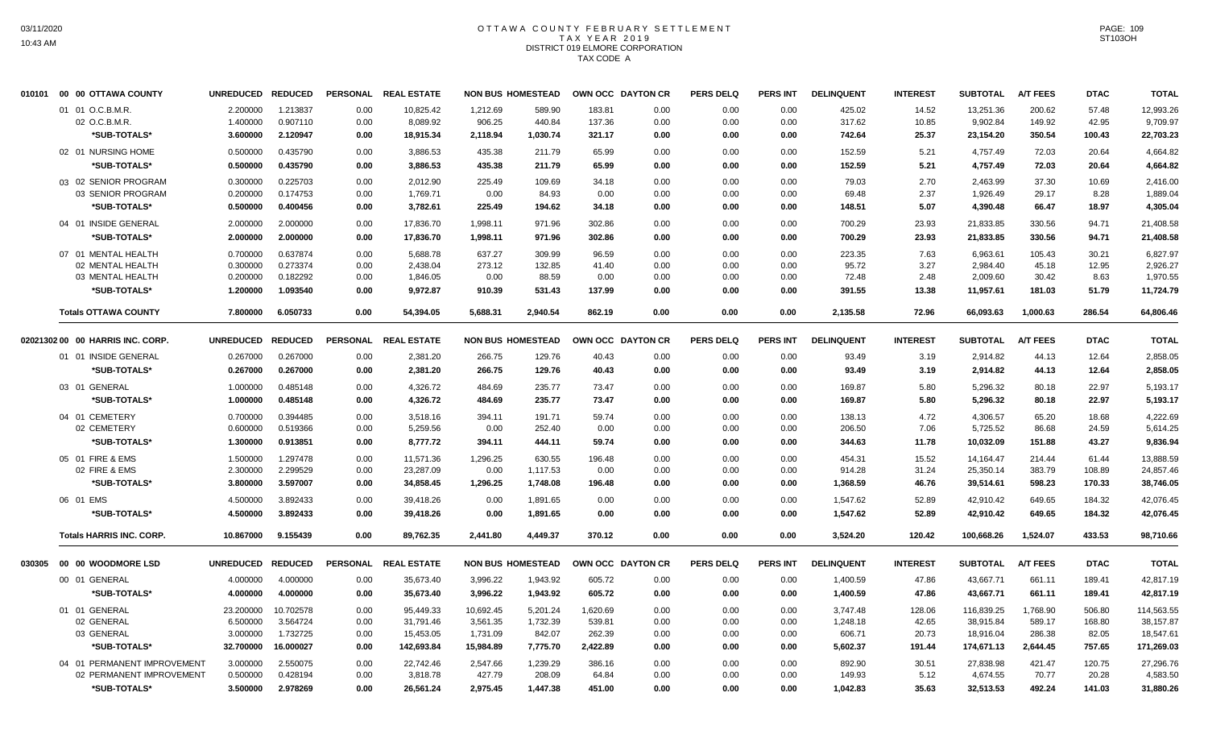# OTTAWA COUNTY FEBRUARY SETTLEMENT TAX YEAR 2019 DISTRICT 019 ELMORE CORPORATION TAX CODE A

| 010101 | 00 00 OTTAWA COUNTY              | UNREDUCED REDUCED |           | <b>PERSONAL</b> | <b>REAL ESTATE</b> |           | <b>NON BUS HOMESTEAD</b> | OWN OCC DAYTON CR |      | <b>PERS DELQ</b> | <b>PERS INT</b> | <b>DELINQUENT</b> | <b>INTEREST</b> | <b>SUBTOTAL</b> | <b>A/T FEES</b> | <b>DTAC</b> | <b>TOTAL</b> |
|--------|----------------------------------|-------------------|-----------|-----------------|--------------------|-----------|--------------------------|-------------------|------|------------------|-----------------|-------------------|-----------------|-----------------|-----------------|-------------|--------------|
|        | 01 01 O.C.B.M.R.                 | 2.200000          | 1.213837  | 0.00            | 10,825.42          | 1,212.69  | 589.90                   | 183.81            | 0.00 | 0.00             | 0.00            | 425.02            | 14.52           | 13,251.36       | 200.62          | 57.48       | 12,993.26    |
|        | 02 O.C.B.M.R.                    | 1.400000          | 0.907110  | 0.00            | 8,089.92           | 906.25    | 440.84                   | 137.36            | 0.00 | 0.00             | 0.00            | 317.62            | 10.85           | 9,902.84        | 149.92          | 42.95       | 9,709.97     |
|        | *SUB-TOTALS*                     | 3.600000          | 2.120947  | 0.00            | 18,915.34          | 2,118.94  | 1,030.74                 | 321.17            | 0.00 | 0.00             | 0.00            | 742.64            | 25.37           | 23,154.20       | 350.54          | 100.43      | 22,703.23    |
|        | 02 01 NURSING HOME               | 0.500000          | 0.435790  | 0.00            | 3,886.53           | 435.38    | 211.79                   | 65.99             | 0.00 | 0.00             | 0.00            | 152.59            | 5.21            | 4,757.49        | 72.03           | 20.64       | 4,664.82     |
|        | *SUB-TOTALS*                     | 0.500000          | 0.435790  | 0.00            | 3,886.53           | 435.38    | 211.79                   | 65.99             | 0.00 | 0.00             | 0.00            | 152.59            | 5.21            | 4,757.49        | 72.03           | 20.64       | 4,664.82     |
|        | 03 02 SENIOR PROGRAM             | 0.300000          | 0.225703  | 0.00            | 2.012.90           | 225.49    | 109.69                   | 34.18             | 0.00 | 0.00             | 0.00            | 79.03             | 2.70            | 2.463.99        | 37.30           | 10.69       | 2,416.00     |
|        | 03 SENIOR PROGRAM                | 0.200000          | 0.174753  | 0.00            | 1,769.71           | 0.00      | 84.93                    | 0.00              | 0.00 | 0.00             | 0.00            | 69.48             | 2.37            | 1,926.49        | 29.17           | 8.28        | 1,889.04     |
|        | *SUB-TOTALS*                     | 0.500000          | 0.400456  | 0.00            | 3,782.61           | 225.49    | 194.62                   | 34.18             | 0.00 | 0.00             | 0.00            | 148.51            | 5.07            | 4,390.48        | 66.47           | 18.97       | 4,305.04     |
|        | 04 01 INSIDE GENERAL             | 2.000000          | 2.000000  | 0.00            | 17,836.70          | 1,998.11  | 971.96                   | 302.86            | 0.00 | 0.00             | 0.00            | 700.29            | 23.93           | 21,833.85       | 330.56          | 94.71       | 21,408.58    |
|        | *SUB-TOTALS*                     | 2.000000          | 2.000000  | 0.00            | 17,836.70          | 1,998.11  | 971.96                   | 302.86            | 0.00 | 0.00             | 0.00            | 700.29            | 23.93           | 21,833.85       | 330.56          | 94.71       | 21,408.58    |
|        | 07 01 MENTAL HEALTH              | 0.700000          | 0.637874  | 0.00            | 5,688.78           | 637.27    | 309.99                   | 96.59             | 0.00 | 0.00             | 0.00            | 223.35            | 7.63            | 6,963.61        | 105.43          | 30.21       | 6,827.97     |
|        | 02 MENTAL HEALTH                 | 0.300000          | 0.273374  | 0.00            | 2,438.04           | 273.12    | 132.85                   | 41.40             | 0.00 | 0.00             | 0.00            | 95.72             | 3.27            | 2,984.40        | 45.18           | 12.95       | 2,926.27     |
|        | 03 MENTAL HEALTH                 | 0.200000          | 0.182292  | 0.00            | 1,846.05           | 0.00      | 88.59                    | 0.00              | 0.00 | 0.00             | 0.00            | 72.48             | 2.48            | 2,009.60        | 30.42           | 8.63        | 1,970.55     |
|        | *SUB-TOTALS*                     | 1.200000          | 1.093540  | 0.00            | 9.972.87           | 910.39    | 531.43                   | 137.99            | 0.00 | 0.00             | 0.00            | 391.55            | 13.38           | 11,957.61       | 181.03          | 51.79       | 11,724.79    |
|        | <b>Totals OTTAWA COUNTY</b>      | 7.800000          | 6.050733  | 0.00            | 54,394.05          | 5,688.31  | 2,940.54                 | 862.19            | 0.00 | 0.00             | 0.00            | 2,135.58          | 72.96           | 66,093.63       | 1,000.63        | 286.54      | 64,806.46    |
|        | 02021302 00 00 HARRIS INC. CORP. | UNREDUCED REDUCED |           | <b>PERSONAL</b> | <b>REAL ESTATE</b> |           | <b>NON BUS HOMESTEAD</b> | OWN OCC DAYTON CR |      | <b>PERS DELQ</b> | <b>PERS INT</b> | <b>DELINQUENT</b> | <b>INTEREST</b> | <b>SUBTOTAL</b> | <b>A/T FEES</b> | <b>DTAC</b> | <b>TOTAL</b> |
|        | 01 01 INSIDE GENERAL             | 0.267000          | 0.267000  | 0.00            | 2,381.20           | 266.75    | 129.76                   | 40.43             | 0.00 | 0.00             | 0.00            | 93.49             | 3.19            | 2,914.82        | 44.13           | 12.64       | 2,858.05     |
|        | *SUB-TOTALS*                     | 0.267000          | 0.267000  | 0.00            | 2,381.20           | 266.75    | 129.76                   | 40.43             | 0.00 | 0.00             | 0.00            | 93.49             | 3.19            | 2,914.82        | 44.13           | 12.64       | 2,858.05     |
|        | 03 01 GENERAL                    | 1.000000          | 0.485148  | 0.00            | 4,326.72           | 484.69    | 235.77                   | 73.47             | 0.00 | 0.00             | 0.00            | 169.87            | 5.80            | 5,296.32        | 80.18           | 22.97       | 5,193.17     |
|        | *SUB-TOTALS*                     | 1.000000          | 0.485148  | 0.00            | 4,326.72           | 484.69    | 235.77                   | 73.47             | 0.00 | 0.00             | 0.00            | 169.87            | 5.80            | 5,296.32        | 80.18           | 22.97       | 5,193.17     |
|        | 04 01 CEMETERY                   | 0.700000          | 0.394485  | 0.00            | 3.518.16           | 394.11    | 191.71                   | 59.74             | 0.00 | 0.00             | 0.00            | 138.13            | 4.72            | 4.306.57        | 65.20           | 18.68       | 4.222.69     |
|        | 02 CEMETERY                      | 0.600000          | 0.519366  | 0.00            | 5,259.56           | 0.00      | 252.40                   | 0.00              | 0.00 | 0.00             | 0.00            | 206.50            | 7.06            | 5,725.52        | 86.68           | 24.59       | 5,614.25     |
|        | *SUB-TOTALS*                     | 1.300000          | 0.913851  | 0.00            | 8,777.72           | 394.11    | 444.11                   | 59.74             | 0.00 | 0.00             | 0.00            | 344.63            | 11.78           | 10,032.09       | 151.88          | 43.27       | 9,836.94     |
|        | 05 01 FIRE & EMS                 | 1.500000          | 1.297478  | 0.00            | 11,571.36          | 1,296.25  | 630.55                   | 196.48            | 0.00 | 0.00             | 0.00            | 454.31            | 15.52           | 14,164.47       | 214.44          | 61.44       | 13,888.59    |
|        | 02 FIRE & EMS                    | 2.300000          | 2.299529  | 0.00            | 23,287.09          | 0.00      | 1,117.53                 | 0.00              | 0.00 | 0.00             | 0.00            | 914.28            | 31.24           | 25,350.14       | 383.79          | 108.89      | 24,857.46    |
|        | *SUB-TOTALS*                     | 3.800000          | 3.597007  | 0.00            | 34,858.45          | 1,296.25  | 1,748.08                 | 196.48            | 0.00 | 0.00             | 0.00            | 1,368.59          | 46.76           | 39,514.61       | 598.23          | 170.33      | 38,746.05    |
|        | 06 01 EMS                        | 4.500000          | 3.892433  | 0.00            | 39,418.26          | 0.00      | 1,891.65                 | 0.00              | 0.00 | 0.00             | 0.00            | 1,547.62          | 52.89           | 42,910.42       | 649.65          | 184.32      | 42,076.45    |
|        | *SUB-TOTALS*                     | 4.500000          | 3.892433  | 0.00            | 39,418.26          | 0.00      | 1,891.65                 | 0.00              | 0.00 | 0.00             | 0.00            | 1,547.62          | 52.89           | 42,910.42       | 649.65          | 184.32      | 42,076.45    |
|        | <b>Totals HARRIS INC. CORP.</b>  | 10.867000         | 9.155439  | 0.00            | 89,762.35          | 2,441.80  | 4,449.37                 | 370.12            | 0.00 | 0.00             | 0.00            | 3,524.20          | 120.42          | 100,668.26      | 1,524.07        | 433.53      | 98,710.66    |
| 030305 | 00 00 WOODMORE LSD               | UNREDUCED REDUCED |           | <b>PERSONAL</b> | <b>REAL ESTATE</b> |           | <b>NON BUS HOMESTEAD</b> | OWN OCC DAYTON CR |      | <b>PERS DELQ</b> | <b>PERS INT</b> | <b>DELINQUENT</b> | <b>INTEREST</b> | <b>SUBTOTAL</b> | <b>A/T FEES</b> | <b>DTAC</b> | <b>TOTAL</b> |
|        | 00 01 GENERAL                    | 4.000000          | 4.000000  | 0.00            | 35,673.40          | 3,996.22  | 1,943.92                 | 605.72            | 0.00 | 0.00             | 0.00            | 1,400.59          | 47.86           | 43,667.71       | 661.11          | 189.41      | 42,817.19    |
|        | *SUB-TOTALS*                     | 4.000000          | 4.000000  | 0.00            | 35,673.40          | 3,996.22  | 1,943.92                 | 605.72            | 0.00 | 0.00             | 0.00            | 1,400.59          | 47.86           | 43,667.71       | 661.11          | 189.41      | 42,817.19    |
|        | 01 01 GENERAL                    | 23.200000         | 10.702578 | 0.00            | 95,449.33          | 10,692.45 | 5,201.24                 | 1,620.69          | 0.00 | 0.00             | 0.00            | 3,747.48          | 128.06          | 116,839.25      | 1,768.90        | 506.80      | 114,563.55   |
|        | 02 GENERAL                       | 6.500000          | 3.564724  | 0.00            | 31,791.46          | 3,561.35  | 1,732.39                 | 539.81            | 0.00 | 0.00             | 0.00            | 1,248.18          | 42.65           | 38,915.84       | 589.17          | 168.80      | 38,157.87    |
|        | 03 GENERAL                       | 3.000000          | 1.732725  | 0.00            | 15,453.05          | 1,731.09  | 842.07                   | 262.39            | 0.00 | 0.00             | 0.00            | 606.71            | 20.73           | 18,916.04       | 286.38          | 82.05       | 18,547.61    |
|        | *SUB-TOTALS*                     | 32.700000         | 16.000027 | 0.00            | 142,693.84         | 15,984.89 | 7,775.70                 | 2,422.89          | 0.00 | 0.00             | 0.00            | 5,602.37          | 191.44          | 174,671.13      | 2,644.45        | 757.65      | 171,269.03   |
|        | 04 01 PERMANENT IMPROVEMENT      | 3.000000          | 2.550075  | 0.00            | 22,742.46          | 2,547.66  | 1,239.29                 | 386.16            | 0.00 | 0.00             | 0.00            | 892.90            | 30.51           | 27,838.98       | 421.47          | 120.75      | 27,296.76    |
|        | 02 PERMANENT IMPROVEMENT         | 0.500000          | 0.428194  | 0.00            | 3,818.78           | 427.79    | 208.09                   | 64.84             | 0.00 | 0.00             | 0.00            | 149.93            | 5.12            | 4,674.55        | 70.77           | 20.28       | 4,583.50     |
|        | *SUB-TOTALS*                     | 3.500000          | 2.978269  | 0.00            | 26,561.24          | 2,975.45  | 1,447.38                 | 451.00            | 0.00 | 0.00             | 0.00            | 1,042.83          | 35.63           | 32,513.53       | 492.24          | 141.03      | 31,880.26    |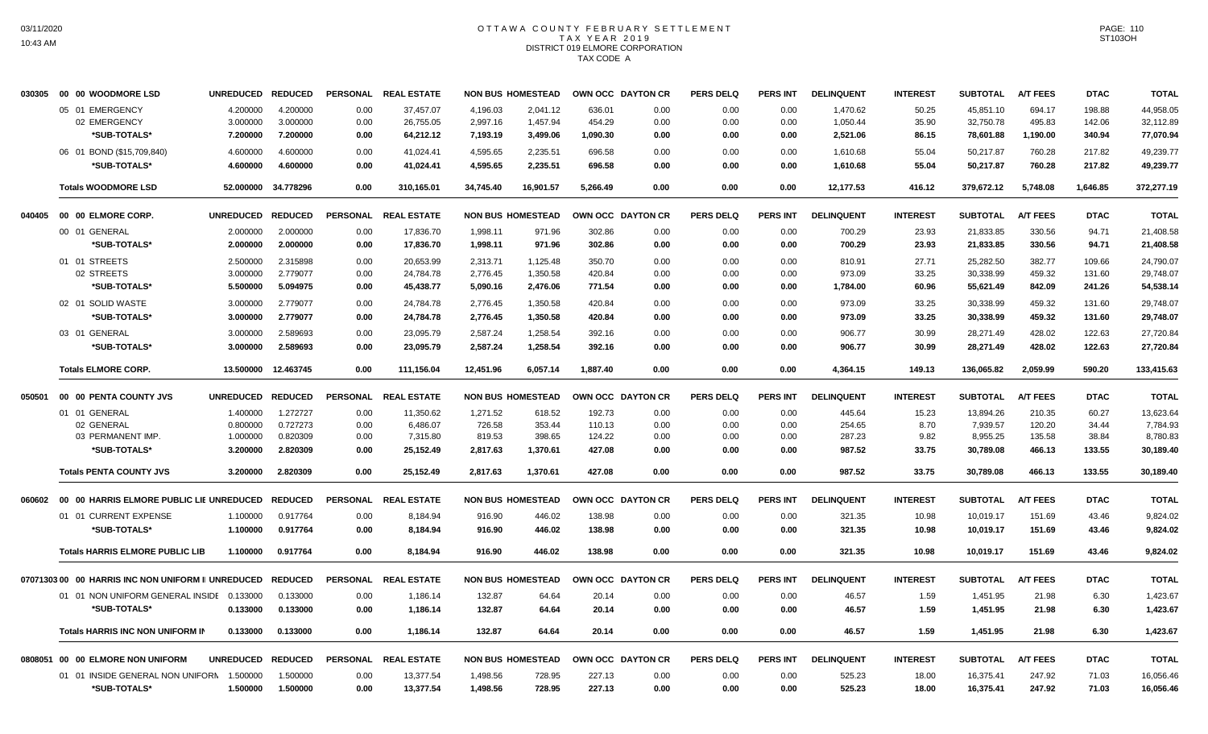# OTTAWA COUNTY FEBRUARY SETTLEMENT TAX YEAR 2019 DISTRICT 019 ELMORE CORPORATION TAX CODE A

|        | 030305 00 00 WOODMORE LSD                          | UNREDUCED REDUCED |                     | <b>PERSONAL</b> | <b>REAL ESTATE</b>   |           | <b>NON BUS HOMESTEAD</b> | OWN OCC DAYTON CR |      | <b>PERS DELQ</b> | <b>PERS INT</b> | <b>DELINQUENT</b> | <b>INTEREST</b> | <b>SUBTOTAL</b> | <b>A/T FEES</b> | <b>DTAC</b> | <b>TOTAL</b> |
|--------|----------------------------------------------------|-------------------|---------------------|-----------------|----------------------|-----------|--------------------------|-------------------|------|------------------|-----------------|-------------------|-----------------|-----------------|-----------------|-------------|--------------|
|        | 05 01 EMERGENCY                                    | 4.200000          | 4.200000            | 0.00            | 37.457.07            | 4.196.03  | 2,041.12                 | 636.01            | 0.00 | 0.00             | 0.00            | 1.470.62          | 50.25           | 45.851.10       | 694.17          | 198.88      | 44,958.05    |
|        | 02 EMERGENCY                                       | 3.000000          | 3.000000            | 0.00            | 26,755.05            | 2,997.16  | 1,457.94                 | 454.29            | 0.00 | 0.00             | 0.00            | 1,050.44          | 35.90           | 32,750.78       | 495.83          | 142.06      | 32,112.89    |
|        | *SUB-TOTALS*                                       | 7.200000          | 7.200000            | 0.00            | 64,212.12            | 7,193.19  | 3,499.06                 | 1,090.30          | 0.00 | 0.00             | 0.00            | 2,521.06          | 86.15           | 78,601.88       | 1,190.00        | 340.94      | 77,070.94    |
|        | 06 01 BOND (\$15,709,840)                          | 4.600000          | 4.600000            | 0.00            | 41,024.41            | 4,595.65  | 2,235.51                 | 696.58            | 0.00 | 0.00             | 0.00            | 1,610.68          | 55.04           | 50,217.87       | 760.28          | 217.82      | 49.239.77    |
|        | *SUB-TOTALS*                                       | 4.600000          | 4.600000            | 0.00            | 41,024.41            | 4,595.65  | 2,235.51                 | 696.58            | 0.00 | 0.00             | 0.00            | 1,610.68          | 55.04           | 50,217.87       | 760.28          | 217.82      | 49,239.77    |
|        | <b>Totals WOODMORE LSD</b>                         |                   | 52.000000 34.778296 | 0.00            | 310,165.01           | 34,745.40 | 16,901.57                | 5,266.49          | 0.00 | 0.00             | 0.00            | 12,177.53         | 416.12          | 379,672.12      | 5,748.08        | 1,646.85    | 372,277.19   |
| 040405 | 00 00 ELMORE CORP.                                 | UNREDUCED REDUCED |                     | <b>PERSONAL</b> | <b>REAL ESTATE</b>   |           | <b>NON BUS HOMESTEAD</b> | OWN OCC DAYTON CR |      | <b>PERS DELQ</b> | <b>PERS INT</b> | <b>DELINQUENT</b> | <b>INTEREST</b> | <b>SUBTOTAL</b> | <b>A/T FEES</b> | <b>DTAC</b> | <b>TOTAL</b> |
|        | 00 01 GENERAL                                      | 2.000000          | 2.000000            | 0.00            | 17,836.70            | 1,998.11  | 971.96                   | 302.86            | 0.00 | 0.00             | 0.00            | 700.29            | 23.93           | 21,833.85       | 330.56          | 94.71       | 21,408.58    |
|        | *SUB-TOTALS*                                       | 2.000000          | 2.000000            | 0.00            | 17,836.70            | 1,998.11  | 971.96                   | 302.86            | 0.00 | 0.00             | 0.00            | 700.29            | 23.93           | 21,833.85       | 330.56          | 94.71       | 21,408.58    |
|        | 01 01 STREETS                                      | 2.500000          | 2.315898            | 0.00            | 20,653.99            | 2,313.71  | 1,125.48                 | 350.70            | 0.00 | 0.00             | 0.00            | 810.91            | 27.71           | 25,282.50       | 382.77          | 109.66      | 24.790.07    |
|        | 02 STREETS                                         | 3.000000          | 2.779077            | 0.00            | 24,784.78            | 2,776.45  | 1,350.58                 | 420.84            | 0.00 | 0.00             | 0.00            | 973.09            | 33.25           | 30,338.99       | 459.32          | 131.60      | 29,748.07    |
|        | *SUB-TOTALS*                                       | 5.500000          | 5.094975            | 0.00            | 45,438.77            | 5,090.16  | 2,476.06                 | 771.54            | 0.00 | 0.00             | 0.00            | 1,784.00          | 60.96           | 55,621.49       | 842.09          | 241.26      | 54,538.14    |
|        | 02 01 SOLID WASTE                                  | 3.000000          | 2.779077            | 0.00            | 24,784.78            | 2,776.45  | 1,350.58                 | 420.84            | 0.00 | 0.00             | 0.00            | 973.09            | 33.25           | 30,338.99       | 459.32          | 131.60      | 29,748.07    |
|        | *SUB-TOTALS*                                       | 3.000000          | 2.779077            | 0.00            | 24,784.78            | 2,776.45  | 1,350.58                 | 420.84            | 0.00 | 0.00             | 0.00            | 973.09            | 33.25           | 30,338.99       | 459.32          | 131.60      | 29,748.07    |
|        | 03 01 GENERAL                                      | 3.000000          | 2.589693            | 0.00            | 23,095.79            | 2,587.24  | 1,258.54                 | 392.16            | 0.00 | 0.00             | 0.00            | 906.77            | 30.99           | 28,271.49       | 428.02          | 122.63      | 27,720.84    |
|        | *SUB-TOTALS*                                       | 3.000000          | 2.589693            | 0.00            | 23,095.79            | 2,587.24  | 1,258.54                 | 392.16            | 0.00 | 0.00             | 0.00            | 906.77            | 30.99           | 28,271.49       | 428.02          | 122.63      | 27,720.84    |
|        | <b>Totals ELMORE CORP.</b>                         |                   | 13.500000 12.463745 | 0.00            | 111,156.04           | 12,451.96 | 6,057.14                 | 1,887.40          | 0.00 | 0.00             | 0.00            | 4,364.15          | 149.13          | 136,065.82      | 2,059.99        | 590.20      | 133,415.63   |
| 050501 | 00 00 PENTA COUNTY JVS                             | UNREDUCED REDUCED |                     | <b>PERSONAL</b> | <b>REAL ESTATE</b>   |           | <b>NON BUS HOMESTEAD</b> | OWN OCC DAYTON CR |      | <b>PERS DELQ</b> | <b>PERS INT</b> | <b>DELINQUENT</b> | <b>INTEREST</b> | <b>SUBTOTAL</b> | <b>A/T FEES</b> | <b>DTAC</b> | <b>TOTAL</b> |
|        | 01 01 GENERAL                                      | 1.400000          | 1.272727            | 0.00            | 11,350.62            | 1,271.52  | 618.52                   | 192.73            | 0.00 | 0.00             | 0.00            | 445.64            | 15.23           | 13,894.26       | 210.35          | 60.27       | 13,623.64    |
|        | 02 GENERAL                                         | 0.800000          | 0.727273            | 0.00            | 6,486.07             | 726.58    | 353.44                   | 110.13            | 0.00 | 0.00             | 0.00            | 254.65            | 8.70            | 7,939.57        | 120.20          | 34.44       | 7,784.93     |
|        | 03 PERMANENT IMP.                                  | 1.000000          | 0.820309            | 0.00            | 7,315.80             | 819.53    | 398.65                   | 124.22            | 0.00 | 0.00             | 0.00            | 287.23            | 9.82            | 8,955.25        | 135.58          | 38.84       | 8,780.83     |
|        | *SUB-TOTALS*                                       | 3.200000          | 2.820309            | 0.00            | 25,152.49            | 2,817.63  | 1,370.61                 | 427.08            | 0.00 | 0.00             | 0.00            | 987.52            | 33.75           | 30,789.08       | 466.13          | 133.55      | 30,189.40    |
|        | <b>Totals PENTA COUNTY JVS</b>                     | 3.200000          | 2.820309            | 0.00            | 25,152.49            | 2,817.63  | 1,370.61                 | 427.08            | 0.00 | 0.00             | 0.00            | 987.52            | 33.75           | 30,789.08       | 466.13          | 133.55      | 30,189.40    |
| 060602 | 00 00 HARRIS ELMORE PUBLIC LIE UNREDUCED REDUCED   |                   |                     |                 | PERSONAL REAL ESTATE |           | <b>NON BUS HOMESTEAD</b> | OWN OCC DAYTON CR |      | <b>PERS DELQ</b> | <b>PERS INT</b> | <b>DELINQUENT</b> | <b>INTEREST</b> | <b>SUBTOTAL</b> | <b>A/T FEES</b> | <b>DTAC</b> | <b>TOTAL</b> |
|        | 01 01 CURRENT EXPENSE                              | 1.100000          | 0.917764            | 0.00            | 8,184.94             | 916.90    | 446.02                   | 138.98            | 0.00 | 0.00             | 0.00            | 321.35            | 10.98           | 10,019.17       | 151.69          | 43.46       | 9,824.02     |
|        | *SUB-TOTALS*                                       | 1.100000          | 0.917764            | 0.00            | 8,184.94             | 916.90    | 446.02                   | 138.98            | 0.00 | 0.00             | 0.00            | 321.35            | 10.98           | 10,019.17       | 151.69          | 43.46       | 9,824.02     |
|        | <b>Totals HARRIS ELMORE PUBLIC LIB</b>             | 1.100000          | 0.917764            | 0.00            | 8,184.94             | 916.90    | 446.02                   | 138.98            | 0.00 | 0.00             | 0.00            | 321.35            | 10.98           | 10,019.17       | 151.69          | 43.46       | 9,824.02     |
|        | 07071303 00 00 HARRIS INC NON UNIFORM II UNREDUCED |                   | <b>REDUCED</b>      | <b>PERSONAL</b> | <b>REAL ESTATE</b>   |           | <b>NON BUS HOMESTEAD</b> | OWN OCC DAYTON CR |      | <b>PERS DELQ</b> | <b>PERS INT</b> | <b>DELINQUENT</b> | <b>INTEREST</b> | <b>SUBTOTAL</b> | <b>A/T FEES</b> | <b>DTAC</b> | <b>TOTAL</b> |
|        | 01 01 NON UNIFORM GENERAL INSIDE 0.133000          |                   | 0.133000            | 0.00            | 1,186.14             | 132.87    | 64.64                    | 20.14             | 0.00 | 0.00             | 0.00            | 46.57             | 1.59            | 1,451.95        | 21.98           | 6.30        | 1,423.67     |
|        | *SUB-TOTALS*                                       | 0.133000          | 0.133000            | 0.00            | 1,186.14             | 132.87    | 64.64                    | 20.14             | 0.00 | 0.00             | 0.00            | 46.57             | 1.59            | 1,451.95        | 21.98           | 6.30        | 1,423.67     |
|        | <b>Totals HARRIS INC NON UNIFORM IN</b>            | 0.133000          | 0.133000            | 0.00            | 1.186.14             | 132.87    | 64.64                    | 20.14             | 0.00 | 0.00             | 0.00            | 46.57             | 1.59            | 1,451.95        | 21.98           | 6.30        | 1,423.67     |
|        | 0808051 00 00 ELMORE NON UNIFORM                   | UNREDUCED REDUCED |                     | <b>PERSONAL</b> | <b>REAL ESTATE</b>   |           | <b>NON BUS HOMESTEAD</b> | OWN OCC DAYTON CR |      | <b>PERS DELQ</b> | <b>PERS INT</b> | <b>DELINQUENT</b> | <b>INTEREST</b> | <b>SUBTOTAL</b> | <b>A/T FEES</b> | <b>DTAC</b> | <b>TOTAL</b> |
|        | 01 01 INSIDE GENERAL NON UNIFORN                   | 1.500000          | 1.500000            | 0.00            | 13,377.54            | 1,498.56  | 728.95                   | 227.13            | 0.00 | 0.00             | 0.00            | 525.23            | 18.00           | 16,375.41       | 247.92          | 71.03       | 16,056.46    |
|        | *SUB-TOTALS*                                       | 1.500000          | 1.500000            | 0.00            | 13,377.54            | 1,498.56  | 728.95                   | 227.13            | 0.00 | 0.00             | 0.00            | 525.23            | 18.00           | 16,375.41       | 247.92          | 71.03       | 16,056.46    |
|        |                                                    |                   |                     |                 |                      |           |                          |                   |      |                  |                 |                   |                 |                 |                 |             |              |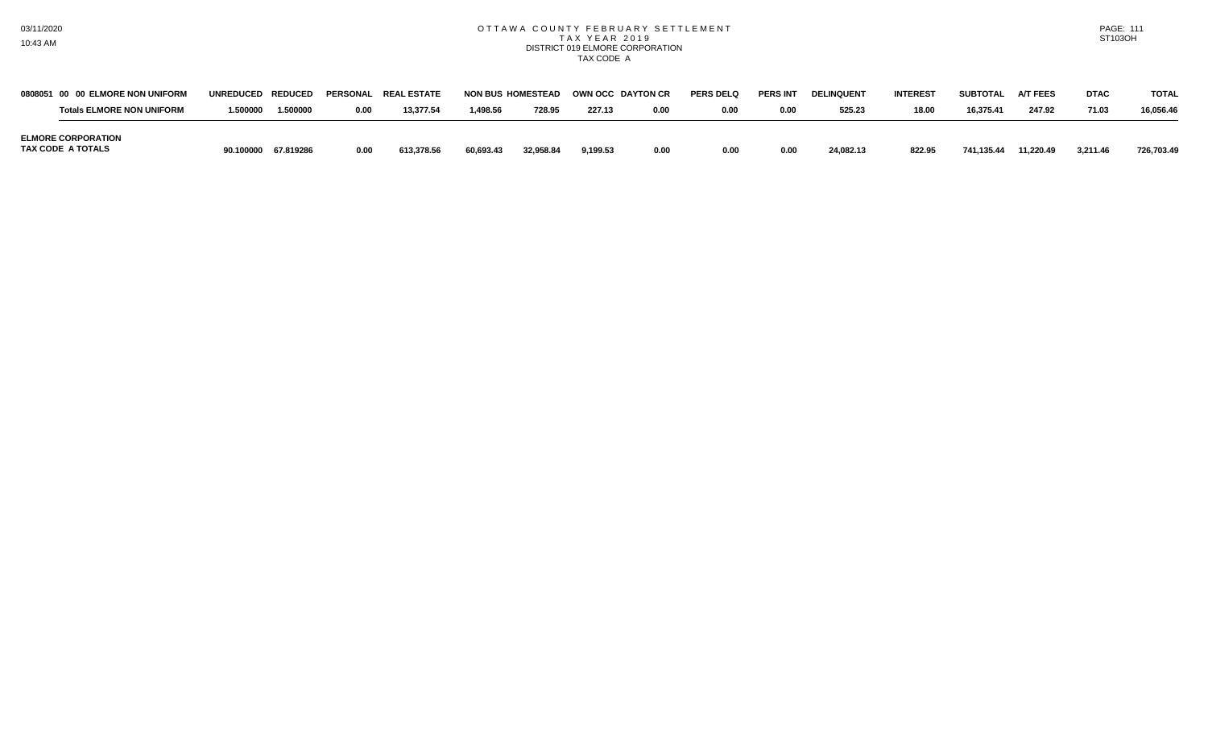## OTTAWA COUNTY FEBRUARY SETTLEMENT TAX YEAR 2019 DISTRICT 019 ELMORE CORPORATION TAX CODE A

| <b>PAGE: 111</b>     |  |
|----------------------|--|
| ST <sub>103</sub> OH |  |

| 0808051 00 00 ELMORE NON UNIFORM               | UNREDUCED REDUCED |                     | PERSONAL | <b>REAL ESTATE</b> | <b>NON BUS HOMESTEAD</b> |           | OWN OCC DAYTON CR |      | <b>PERS DELQ</b> | <b>PERS INT</b> | <b>DELINQUENT</b> | <b>INTEREST</b> | <b>SUBTOTAL</b> | <b>A/T FEES</b> | <b>DTAC</b> | <b>TOTAL</b> |
|------------------------------------------------|-------------------|---------------------|----------|--------------------|--------------------------|-----------|-------------------|------|------------------|-----------------|-------------------|-----------------|-----------------|-----------------|-------------|--------------|
| <b>Totals ELMORE NON UNIFORM</b>               | .500000           | 1.500000            | 0.00     | 13,377.54          | 1,498.56                 | 728.95    | 227.13            | 0.00 | 0.00             | 0.00            | 525.23            | 18.00           | 16.375.41       | 247.92          | 71.03       | 16.056.46    |
| <b>ELMORE CORPORATION</b><br>TAX CODE A TOTALS |                   | 90.100000 67.819286 | 0.00     | 613.378.56         | 60.693.43                | 32.958.84 | 9.199.53          | 0.00 | 0.00             | 0.00            | 24.082.13         | 822.95          | 741.135.44      | 11.220.49       | 3.211.46    | 726.703.49   |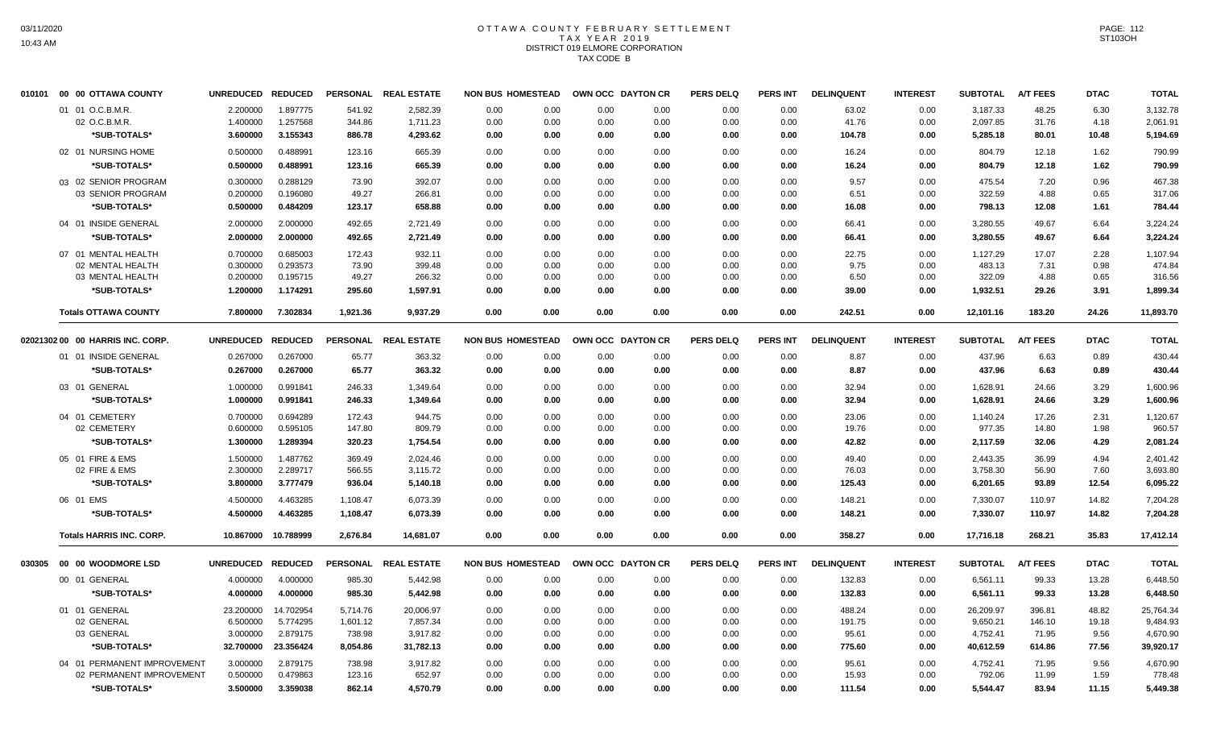# OTTAWA COUNTY FEBRUARY SETTLEMENT TAX YEAR 2019 DISTRICT 019 ELMORE CORPORATION TAX CODE B

| 010101 | 00 00 OTTAWA COUNTY              | UNREDUCED REDUCED |                     | <b>PERSONAL</b> | <b>REAL ESTATE</b>   | <b>NON BUS HOMESTEAD</b> |      | OWN OCC DAYTON CR | <b>PERS DELQ</b> | <b>PERS INT</b> | <b>DELINQUENT</b> | <b>INTEREST</b> | <b>SUBTOTAL</b> | <b>A/T FEES</b> | <b>DTAC</b> | <b>TOTAL</b> |
|--------|----------------------------------|-------------------|---------------------|-----------------|----------------------|--------------------------|------|-------------------|------------------|-----------------|-------------------|-----------------|-----------------|-----------------|-------------|--------------|
|        | 01 01 O.C.B.M.R.                 | 2.200000          | 1.897775            | 541.92          | 2,582.39             | 0.00<br>0.00             | 0.00 | 0.00              | 0.00             | 0.00            | 63.02             | 0.00            | 3,187.33        | 48.25           | 6.30        | 3,132.78     |
|        | 02 O.C.B.M.R.                    | 1.400000          | 1.257568            | 344.86          | 1,711.23             | 0.00<br>0.00             | 0.00 | 0.00              | 0.00             | 0.00            | 41.76             | 0.00            | 2,097.85        | 31.76           | 4.18        | 2,061.91     |
|        | *SUB-TOTALS*                     | 3.600000          | 3.155343            | 886.78          | 4,293.62             | 0.00<br>0.00             | 0.00 | 0.00              | 0.00             | 0.00            | 104.78            | 0.00            | 5,285.18        | 80.01           | 10.48       | 5,194.69     |
|        | 02 01 NURSING HOME               | 0.500000          | 0.488991            | 123.16          | 665.39               | 0.00<br>0.00             | 0.00 | 0.00              | 0.00             | 0.00            | 16.24             | 0.00            | 804.79          | 12.18           | 1.62        | 790.99       |
|        | *SUB-TOTALS*                     | 0.500000          | 0.488991            | 123.16          | 665.39               | 0.00<br>0.00             | 0.00 | 0.00              | 0.00             | 0.00            | 16.24             | 0.00            | 804.79          | 12.18           | 1.62        | 790.99       |
|        | 03 02 SENIOR PROGRAM             | 0.300000          | 0.288129            | 73.90           | 392.07               | 0.00<br>0.00             | 0.00 | 0.00              | 0.00             | 0.00            | 9.57              | 0.00            | 475.54          | 7.20            | 0.96        | 467.38       |
|        | 03 SENIOR PROGRAM                | 0.200000          | 0.196080            | 49.27           | 266.81               | 0.00<br>0.00             | 0.00 | 0.00              | 0.00             | 0.00            | 6.51              | 0.00            | 322.59          | 4.88            | 0.65        | 317.06       |
|        | *SUB-TOTALS*                     | 0.500000          | 0.484209            | 123.17          | 658.88               | 0.00<br>0.00             | 0.00 | 0.00              | 0.00             | 0.00            | 16.08             | 0.00            | 798.13          | 12.08           | 1.61        | 784.44       |
|        | 04 01 INSIDE GENERAL             | 2.000000          | 2.000000            | 492.65          | 2,721.49             | 0.00<br>0.00             | 0.00 | 0.00              | 0.00             | 0.00            | 66.41             | 0.00            | 3,280.55        | 49.67           | 6.64        | 3,224.24     |
|        | *SUB-TOTALS*                     | 2.000000          | 2.000000            | 492.65          | 2,721.49             | 0.00<br>0.00             | 0.00 | 0.00              | 0.00             | 0.00            | 66.41             | 0.00            | 3,280.55        | 49.67           | 6.64        | 3,224.24     |
|        | 07 01 MENTAL HEALTH              | 0.700000          | 0.685003            | 172.43          | 932.11               | 0.00<br>0.00             | 0.00 | 0.00              | 0.00             | 0.00            | 22.75             | 0.00            | 1,127.29        | 17.07           | 2.28        | 1,107.94     |
|        | 02 MENTAL HEALTH                 | 0.300000          | 0.293573            | 73.90           | 399.48               | 0.00<br>0.00             | 0.00 | 0.00              | 0.00             | 0.00            | 9.75              | 0.00            | 483.13          | 7.31            | 0.98        | 474.84       |
|        | 03 MENTAL HEALTH                 | 0.200000          | 0.195715            | 49.27           | 266.32               | 0.00<br>0.00             | 0.00 | 0.00              | 0.00             | 0.00            | 6.50              | 0.00            | 322.09          | 4.88            | 0.65        | 316.56       |
|        | *SUB-TOTALS*                     | 1.200000          | 1.174291            | 295.60          | 1,597.91             | 0.00<br>0.00             | 0.00 | 0.00              | 0.00             | 0.00            | 39.00             | 0.00            | 1,932.51        | 29.26           | 3.91        | 1,899.34     |
|        | <b>Totals OTTAWA COUNTY</b>      | 7.800000          | 7.302834            | 1,921.36        | 9,937.29             | 0.00<br>0.00             | 0.00 | 0.00              | 0.00             | 0.00            | 242.51            | 0.00            | 12,101.16       | 183.20          | 24.26       | 11,893.70    |
|        | 02021302 00 00 HARRIS INC. CORP. | UNREDUCED REDUCED |                     | <b>PERSONAL</b> | <b>REAL ESTATE</b>   | <b>NON BUS HOMESTEAD</b> |      | OWN OCC DAYTON CR | <b>PERS DELQ</b> | <b>PERS INT</b> | <b>DELINQUENT</b> | <b>INTEREST</b> | <b>SUBTOTAL</b> | <b>A/T FEES</b> | <b>DTAC</b> | <b>TOTAL</b> |
|        | 01 01 INSIDE GENERAL             | 0.267000          | 0.267000            | 65.77           | 363.32               | 0.00<br>0.00             | 0.00 | 0.00              | 0.00             | 0.00            | 8.87              | 0.00            | 437.96          | 6.63            | 0.89        | 430.44       |
|        | *SUB-TOTALS*                     | 0.267000          | 0.267000            | 65.77           | 363.32               | 0.00<br>0.00             | 0.00 | 0.00              | 0.00             | 0.00            | 8.87              | 0.00            | 437.96          | 6.63            | 0.89        | 430.44       |
|        | 03 01 GENERAL                    | 1.000000          | 0.991841            | 246.33          | 1,349.64             | 0.00<br>0.00             | 0.00 | 0.00              | 0.00             | 0.00            | 32.94             | 0.00            | 1,628.91        | 24.66           | 3.29        | 1,600.96     |
|        | *SUB-TOTALS*                     | 1.000000          | 0.991841            | 246.33          | 1,349.64             | 0.00<br>0.00             | 0.00 | 0.00              | 0.00             | 0.00            | 32.94             | 0.00            | 1,628.91        | 24.66           | 3.29        | 1,600.96     |
|        | 04 01 CEMETERY                   | 0.700000          | 0.694289            | 172.43          | 944.75               | 0.00<br>0.00             | 0.00 | 0.00              | 0.00             | 0.00            | 23.06             | 0.00            | 1,140.24        | 17.26           | 2.31        | 1,120.67     |
|        | 02 CEMETERY                      | 0.600000          | 0.595105            | 147.80          | 809.79               | 0.00<br>0.00             | 0.00 | 0.00              | 0.00             | 0.00            | 19.76             | 0.00            | 977.35          | 14.80           | 1.98        | 960.57       |
|        | *SUB-TOTALS*                     | 1.300000          | 1.289394            | 320.23          | 1,754.54             | 0.00<br>0.00             | 0.00 | 0.00              | 0.00             | 0.00            | 42.82             | 0.00            | 2,117.59        | 32.06           | 4.29        | 2,081.24     |
|        | 05 01 FIRE & EMS                 | 1.500000          | 1.487762            | 369.49          | 2,024.46             | 0.00<br>0.00             | 0.00 | 0.00              | 0.00             | 0.00            | 49.40             | 0.00            | 2,443.35        | 36.99           | 4.94        | 2,401.42     |
|        | 02 FIRE & EMS                    | 2.300000          | 2.289717            | 566.55          | 3,115.72             | 0.00<br>0.00             | 0.00 | 0.00              | 0.00             | 0.00            | 76.03             | 0.00            | 3,758.30        | 56.90           | 7.60        | 3,693.80     |
|        | *SUB-TOTALS*                     | 3.800000          | 3.777479            | 936.04          | 5,140.18             | 0.00<br>0.00             | 0.00 | 0.00              | 0.00             | 0.00            | 125.43            | 0.00            | 6,201.65        | 93.89           | 12.54       | 6,095.22     |
|        | 06 01 EMS                        | 4.500000          | 4.463285            | 1,108.47        | 6,073.39             | 0.00<br>0.00             | 0.00 | 0.00              | 0.00             | 0.00            | 148.21            | 0.00            | 7,330.07        | 110.97          | 14.82       | 7,204.28     |
|        | *SUB-TOTALS*                     | 4.500000          | 4.463285            | 1,108.47        | 6,073.39             | 0.00<br>0.00             | 0.00 | 0.00              | 0.00             | 0.00            | 148.21            | 0.00            | 7,330.07        | 110.97          | 14.82       | 7,204.28     |
|        | <b>Totals HARRIS INC. CORP.</b>  |                   | 10.867000 10.788999 | 2,676.84        | 14,681.07            | 0.00<br>0.00             | 0.00 | 0.00              | 0.00             | 0.00            | 358.27            | 0.00            | 17,716.18       | 268.21          | 35.83       | 17,412.14    |
| 030305 | 00 00 WOODMORE LSD               | UNREDUCED REDUCED |                     |                 | PERSONAL REAL ESTATE | <b>NON BUS HOMESTEAD</b> |      | OWN OCC DAYTON CR | <b>PERS DELQ</b> | <b>PERS INT</b> | <b>DELINQUENT</b> | <b>INTEREST</b> | <b>SUBTOTAL</b> | <b>A/T FEES</b> | <b>DTAC</b> | <b>TOTAL</b> |
|        | 00 01 GENERAL                    | 4.000000          | 4.000000            | 985.30          | 5,442.98             | 0.00<br>0.00             | 0.00 | 0.00              | 0.00             | 0.00            | 132.83            | 0.00            | 6,561.11        | 99.33           | 13.28       | 6,448.50     |
|        | *SUB-TOTALS*                     | 4.000000          | 4.000000            | 985.30          | 5,442.98             | 0.00<br>0.00             | 0.00 | 0.00              | 0.00             | 0.00            | 132.83            | 0.00            | 6,561.11        | 99.33           | 13.28       | 6,448.50     |
|        | 01 01 GENERAL                    | 23.200000         | 14.702954           | 5,714.76        | 20,006.97            | 0.00<br>0.00             | 0.00 | 0.00              | 0.00             | 0.00            | 488.24            | 0.00            | 26,209.97       | 396.81          | 48.82       | 25,764.34    |
|        | 02 GENERAL                       | 6.500000          | 5.774295            | 1,601.12        | 7,857.34             | 0.00<br>0.00             | 0.00 | 0.00              | 0.00             | 0.00            | 191.75            | 0.00            | 9,650.21        | 146.10          | 19.18       | 9,484.93     |
|        | 03 GENERAL                       | 3.000000          | 2.879175            | 738.98          | 3,917.82             | 0.00<br>0.00             | 0.00 | 0.00              | 0.00             | 0.00            | 95.61             | 0.00            | 4,752.41        | 71.95           | 9.56        | 4,670.90     |
|        | *SUB-TOTALS*                     | 32.700000         | 23.356424           | 8,054.86        | 31,782.13            | 0.00<br>0.00             | 0.00 | 0.00              | 0.00             | 0.00            | 775.60            | 0.00            | 40,612.59       | 614.86          | 77.56       | 39,920.17    |
|        | 04 01 PERMANENT IMPROVEMENT      | 3.000000          | 2.879175            | 738.98          | 3,917.82             | 0.00<br>0.00             | 0.00 | 0.00              | 0.00             | 0.00            | 95.61             | 0.00            | 4,752.41        | 71.95           | 9.56        | 4,670.90     |
|        | 02 PERMANENT IMPROVEMENT         | 0.500000          | 0.479863            | 123.16          | 652.97               | 0.00<br>0.00             | 0.00 | 0.00              | 0.00             | 0.00            | 15.93             | 0.00            | 792.06          | 11.99           | 1.59        | 778.48       |
|        | *SUB-TOTALS*                     | 3.500000          | 3.359038            | 862.14          | 4.570.79             | 0.00<br>0.00             | 0.00 | 0.00              | 0.00             | 0.00            | 111.54            | 0.00            | 5,544.47        | 83.94           | 11.15       | 5,449.38     |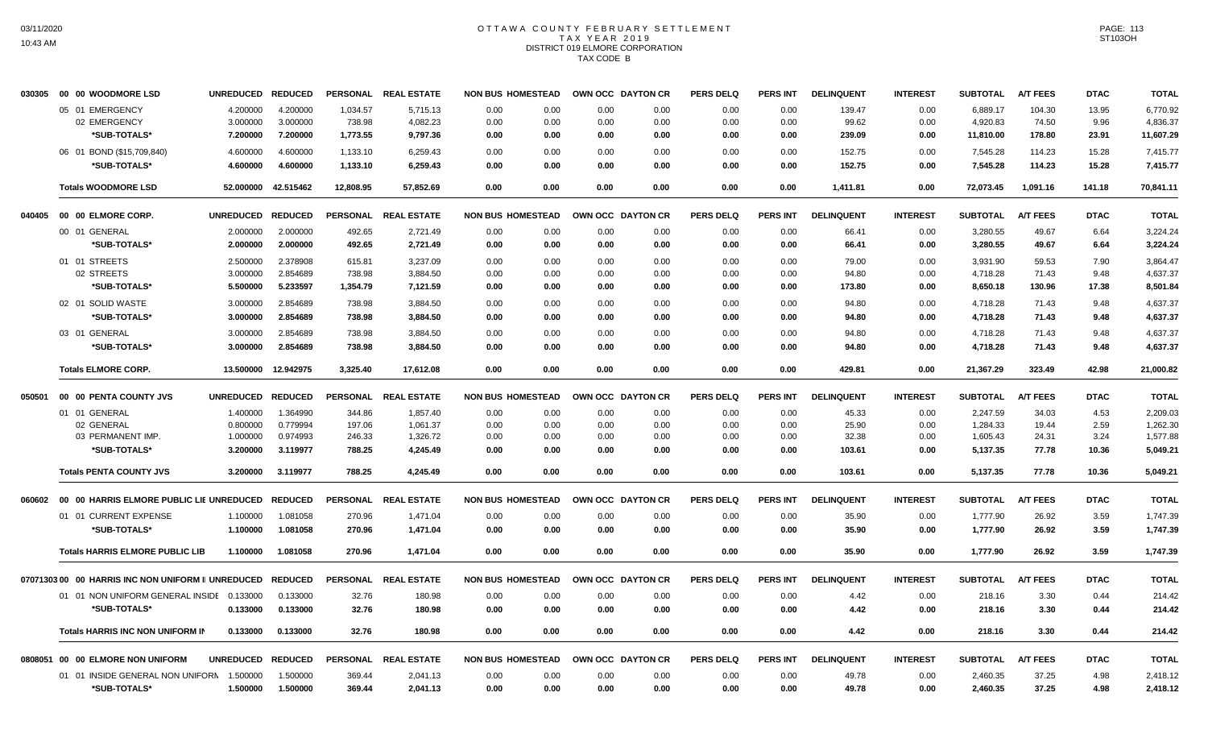# OTTAWA COUNTY FEBRUARY SETTLEMENT TAX YEAR 2019 DISTRICT 019 ELMORE CORPORATION TAX CODE B

| 030305 | 00 00 WOODMORE LSD                                | <b>UNREDUCED</b>     | <b>REDUCED</b>       |                  | PERSONAL REAL ESTATE | <b>NON BUS HOMESTEAD</b> |              |                   | OWN OCC DAYTON CR | <b>PERS DELQ</b> | <b>PERS INT</b> | <b>DELINQUENT</b> | <b>INTEREST</b> | <b>SUBTOTAL</b>      | <b>A/T FEES</b> | <b>DTAC</b>  | <b>TOTAL</b>         |
|--------|---------------------------------------------------|----------------------|----------------------|------------------|----------------------|--------------------------|--------------|-------------------|-------------------|------------------|-----------------|-------------------|-----------------|----------------------|-----------------|--------------|----------------------|
|        | 05 01 EMERGENCY                                   | 4.200000             | 4.200000             | 1,034.57         | 5,715.13             | 0.00                     | 0.00         | 0.00              | 0.00              | 0.00             | 0.00            | 139.47            | 0.00            | 6,889.17             | 104.30          | 13.95        | 6,770.92             |
|        | 02 EMERGENCY                                      | 3.000000             | 3.000000             | 738.98           | 4,082.23             | 0.00                     | 0.00         | 0.00              | 0.00              | 0.00             | 0.00            | 99.62             | 0.00            | 4,920.83             | 74.50           | 9.96         | 4,836.37             |
|        | *SUB-TOTALS*                                      | 7.200000             | 7.200000             | 1,773.55         | 9,797.36             | 0.00                     | 0.00         | 0.00              | 0.00              | 0.00             | 0.00            | 239.09            | 0.00            | 11,810.00            | 178.80          | 23.91        | 11,607.29            |
|        | 06 01 BOND (\$15,709,840)                         | 4.600000             | 4.600000             | 1,133.10         | 6,259.43             | 0.00                     | 0.00         | 0.00              | 0.00              | 0.00             | 0.00            | 152.75            | 0.00            | 7.545.28             | 114.23          | 15.28        | 7.415.77             |
|        | *SUB-TOTALS*                                      | 4.600000             | 4.600000             | 1,133.10         | 6,259.43             | 0.00                     | 0.00         | 0.00              | 0.00              | 0.00             | 0.00            | 152.75            | 0.00            | 7,545.28             | 114.23          | 15.28        | 7,415.77             |
|        | <b>Totals WOODMORE LSD</b>                        | 52.000000            | 42.515462            | 12,808.95        | 57,852.69            | 0.00                     | 0.00         | 0.00              | 0.00              | 0.00             | 0.00            | 1,411.81          | 0.00            | 72,073.45            | 1,091.16        | 141.18       | 70,841.11            |
| 040405 | 00 00 ELMORE CORP.                                | <b>UNREDUCED</b>     | <b>REDUCED</b>       |                  | PERSONAL REAL ESTATE | <b>NON BUS HOMESTEAD</b> |              | OWN OCC DAYTON CR |                   | <b>PERS DELQ</b> | PERS INT        | <b>DELINQUENT</b> | <b>INTEREST</b> | <b>SUBTOTAL</b>      | <b>A/T FEES</b> | <b>DTAC</b>  | <b>TOTAL</b>         |
|        | 00 01 GENERAL                                     | 2.000000             | 2.000000             | 492.65           | 2,721.49             | 0.00                     | 0.00         | 0.00              | 0.00              | 0.00             | 0.00            | 66.41             | 0.00            | 3,280.55             | 49.67           | 6.64         | 3,224.24             |
|        | *SUB-TOTALS*                                      | 2.000000             | 2.000000             | 492.65           | 2,721.49             | 0.00                     | 0.00         | 0.00              | 0.00              | 0.00             | 0.00            | 66.41             | 0.00            | 3,280.55             | 49.67           | 6.64         | 3,224.24             |
|        | 01 01 STREETS                                     | 2.500000             | 2.378908             | 615.81           | 3,237.09             | 0.00                     | 0.00         | 0.00              | 0.00              | 0.00             | 0.00            | 79.00             | 0.00            | 3,931.90             | 59.53           | 7.90         | 3,864.47             |
|        | 02 STREETS                                        | 3.000000             | 2.854689             | 738.98           | 3,884.50             | 0.00                     | 0.00         | 0.00              | 0.00              | 0.00             | 0.00            | 94.80             | 0.00            | 4,718.28             | 71.43           | 9.48         | 4,637.37             |
|        | *SUB-TOTALS*                                      | 5.500000             | 5.233597             | 1,354.79         | 7,121.59             | 0.00                     | 0.00         | 0.00              | 0.00              | 0.00             | 0.00            | 173.80            | 0.00            | 8,650.18             | 130.96          | 17.38        | 8,501.84             |
|        | 02 01 SOLID WASTE                                 | 3.000000             | 2.854689             | 738.98           | 3,884.50             | 0.00                     | 0.00         | 0.00              | 0.00              | 0.00             | 0.00            | 94.80             | 0.00            | 4,718.28             | 71.43           | 9.48         | 4,637.37             |
|        | *SUB-TOTALS*                                      | 3.000000             | 2.854689             | 738.98           | 3,884.50             | 0.00                     | 0.00         | 0.00              | 0.00              | 0.00             | 0.00            | 94.80             | 0.00            | 4,718.28             | 71.43           | 9.48         | 4,637.37             |
|        | 03 01 GENERAL                                     | 3.000000             | 2.854689             | 738.98           | 3,884.50             | 0.00                     | 0.00         | 0.00              | 0.00              | 0.00             | 0.00            | 94.80             | 0.00            | 4,718.28             | 71.43           | 9.48         | 4,637.37             |
|        | *SUB-TOTALS*                                      | 3.000000             | 2.854689             | 738.98           | 3,884.50             | 0.00                     | 0.00         | 0.00              | 0.00              | 0.00             | 0.00            | 94.80             | 0.00            | 4,718.28             | 71.43           | 9.48         | 4,637.37             |
|        | <b>Totals ELMORE CORP.</b>                        | 13.500000            | 12.942975            | 3,325.40         | 17,612.08            | 0.00                     | 0.00         | 0.00              | 0.00              | 0.00             | 0.00            | 429.81            | 0.00            | 21,367.29            | 323.49          | 42.98        | 21,000.82            |
| 050501 | 00 00 PENTA COUNTY JVS                            | <b>UNREDUCED</b>     | <b>REDUCED</b>       |                  | PERSONAL REAL ESTATE | <b>NON BUS HOMESTEAD</b> |              |                   | OWN OCC DAYTON CR | <b>PERS DELQ</b> | <b>PERS INT</b> | <b>DELINQUENT</b> | <b>INTEREST</b> | <b>SUBTOTAL</b>      | <b>A/T FEES</b> | <b>DTAC</b>  | <b>TOTAL</b>         |
|        | 01 01 GENERAL                                     | 1.400000             | 1.364990             | 344.86           | 1,857.40             | 0.00                     | 0.00         | 0.00              | 0.00              | 0.00             | 0.00            | 45.33             | 0.00            | 2,247.59             | 34.03           | 4.53         | 2,209.03             |
|        | 02 GENERAL                                        | 0.800000             | 0.779994             | 197.06           | 1,061.37             | 0.00                     | 0.00         | 0.00              | 0.00              | 0.00             | 0.00            | 25.90             | 0.00            | 1,284.33             | 19.44           | 2.59         | 1,262.30             |
|        | 03 PERMANENT IMP.                                 | 1.000000             | 0.974993             | 246.33           | 1,326.72             | 0.00                     | 0.00         | 0.00              | 0.00              | 0.00             | 0.00            | 32.38             | 0.00            | 1,605.43             | 24.31           | 3.24         | 1,577.88             |
|        | *SUB-TOTALS*                                      | 3.200000             | 3.119977             | 788.25           | 4,245.49             | 0.00                     | 0.00         | 0.00              | 0.00              | 0.00             | 0.00            | 103.61            | 0.00            | 5,137.35             | 77.78           | 10.36        | 5,049.21             |
|        | <b>Totals PENTA COUNTY JVS</b>                    | 3.200000             | 3.119977             | 788.25           | 4,245.49             | 0.00                     | 0.00         | 0.00              | 0.00              | 0.00             | 0.00            | 103.61            | 0.00            | 5,137.35             | 77.78           | 10.36        | 5,049.21             |
| 060602 | 00 00 HARRIS ELMORE PUBLIC LIE UNREDUCED          |                      | <b>REDUCED</b>       |                  | PERSONAL REAL ESTATE | <b>NON BUS HOMESTEAD</b> |              |                   | OWN OCC DAYTON CR | <b>PERS DELQ</b> | <b>PERS INT</b> | <b>DELINQUENT</b> | <b>INTEREST</b> | <b>SUBTOTAL</b>      | <b>A/T FEES</b> | <b>DTAC</b>  | <b>TOTAL</b>         |
|        | 01 01 CURRENT EXPENSE                             | 1.100000             | 1.081058             | 270.96           | 1,471.04             | 0.00                     | 0.00         | 0.00              | 0.00              | 0.00             | 0.00            | 35.90             | 0.00            | 1,777.90             | 26.92           | 3.59         | 1,747.39             |
|        | *SUB-TOTALS*                                      | 1.100000             | 1.081058             | 270.96           | 1,471.04             | 0.00                     | 0.00         | 0.00              | 0.00              | 0.00             | 0.00            | 35.90             | 0.00            | 1,777.90             | 26.92           | 3.59         | 1,747.39             |
|        | <b>Totals HARRIS ELMORE PUBLIC LIB</b>            | 1.100000             | 1.081058             | 270.96           | 1.471.04             | 0.00                     | 0.00         | 0.00              | 0.00              | 0.00             | 0.00            | 35.90             | 0.00            | 1.777.90             | 26.92           | 3.59         | 1,747.39             |
|        | 0707130300 00 HARRIS INC NON UNIFORM II UNREDUCED |                      | <b>REDUCED</b>       | <b>PERSONAL</b>  | <b>REAL ESTATE</b>   | <b>NON BUS HOMESTEAD</b> |              |                   | OWN OCC DAYTON CR | <b>PERS DELQ</b> | <b>PERS INT</b> | <b>DELINQUENT</b> | <b>INTEREST</b> | <b>SUBTOTAL</b>      | <b>A/T FEES</b> | <b>DTAC</b>  | <b>TOTAL</b>         |
|        | 01 01 NON UNIFORM GENERAL INSIDE 0.133000         |                      | 0.133000             | 32.76            | 180.98               | 0.00                     | 0.00         | 0.00              | 0.00              | 0.00             | 0.00            | 4.42              | 0.00            | 218.16               | 3.30            | 0.44         | 214.42               |
|        | *SUB-TOTALS*                                      | 0.133000             | 0.133000             | 32.76            | 180.98               | 0.00                     | 0.00         | 0.00              | 0.00              | 0.00             | 0.00            | 4.42              | 0.00            | 218.16               | 3.30            | 0.44         | 214.42               |
|        | <b>Totals HARRIS INC NON UNIFORM IN</b>           | 0.133000             | 0.133000             | 32.76            | 180.98               | 0.00                     | 0.00         | 0.00              | 0.00              | 0.00             | 0.00            | 4.42              | 0.00            | 218.16               | 3.30            | 0.44         | 214.42               |
|        | 0808051 00 00 ELMORE NON UNIFORM                  | <b>UNREDUCED</b>     | <b>REDUCED</b>       | <b>PERSONAL</b>  | <b>REAL ESTATE</b>   | <b>NON BUS HOMESTEAD</b> |              |                   | OWN OCC DAYTON CR | <b>PERS DELQ</b> | <b>PERS INT</b> | <b>DELINQUENT</b> | <b>INTEREST</b> | <b>SUBTOTAL</b>      | <b>A/T FEES</b> | <b>DTAC</b>  | <b>TOTAL</b>         |
|        |                                                   |                      |                      |                  |                      |                          |              |                   |                   |                  |                 |                   |                 |                      |                 |              |                      |
|        | 01 01 INSIDE GENERAL NON UNIFORN<br>*SUB-TOTALS*  | 1.500000<br>1.500000 | 1.500000<br>1.500000 | 369.44<br>369.44 | 2,041.13<br>2,041.13 | 0.00<br>0.00             | 0.00<br>0.00 | 0.00<br>0.00      | 0.00<br>0.00      | 0.00<br>0.00     | 0.00<br>0.00    | 49.78<br>49.78    | 0.00<br>0.00    | 2,460.35<br>2,460.35 | 37.25<br>37.25  | 4.98<br>4.98 | 2,418.12<br>2,418.12 |
|        |                                                   |                      |                      |                  |                      |                          |              |                   |                   |                  |                 |                   |                 |                      |                 |              |                      |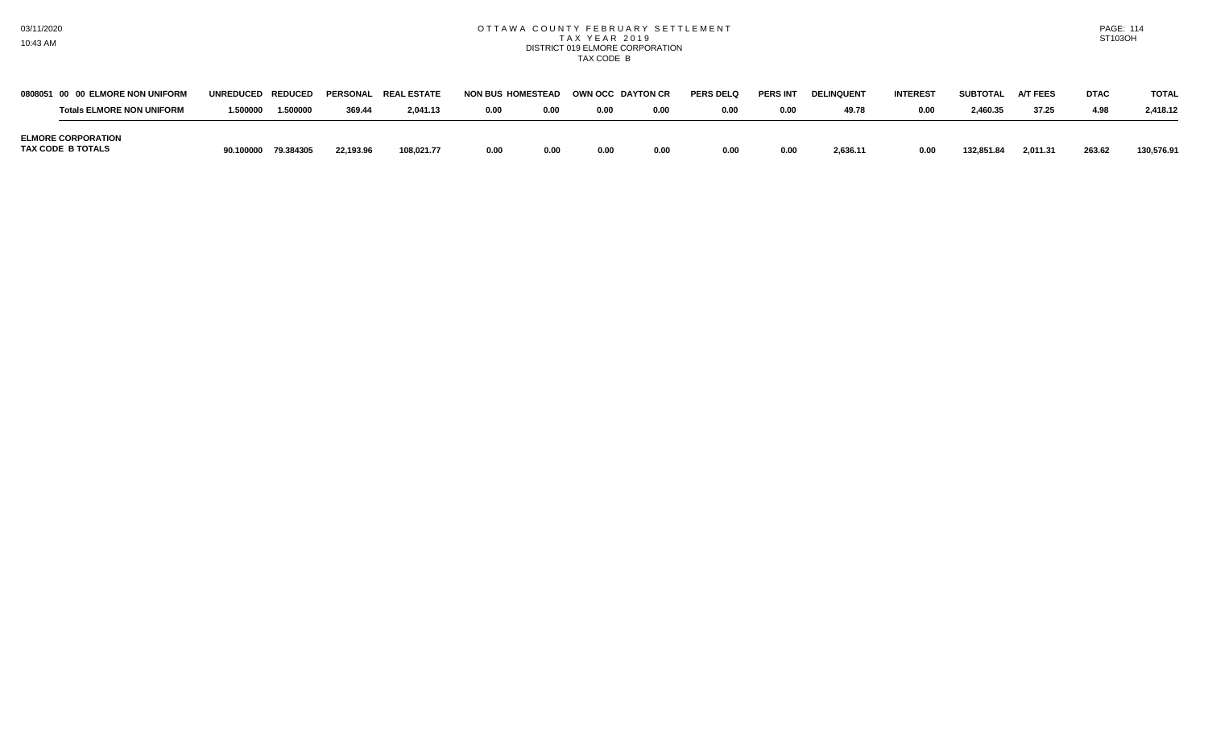#### OTTAWA COUNTY FEBRUARY SETTLEMENT T A X Y E A R 2 0 1 9 DISTRICT 019 ELMORE CORPORATION TAX CODE B

| 0808051 00 00 ELMORE NON UNIFORM               | <b>UNREDUCED</b> | <b>REDUCED</b> |           | <b>PERSONAL REAL ESTATE</b> | <b>NON BUS HOMESTEAD</b> |      | OWN OCC DAYTON CR |      | <b>PERS DELQ</b> | <b>PERS INT</b> | <b>DELINQUENT</b> | <b>INTEREST</b> | <b>SUBTOTAL</b> | <b>A/T FEES</b> | <b>DTAC</b> | <b>TOTAL</b> |
|------------------------------------------------|------------------|----------------|-----------|-----------------------------|--------------------------|------|-------------------|------|------------------|-----------------|-------------------|-----------------|-----------------|-----------------|-------------|--------------|
| <b>Totals ELMORE NON UNIFORM</b>               | '.500000         | 1.500000       | 369.44    | 2,041.13                    | 0.00                     | 0.00 | 0.00              | 0.00 | 0.00             | 0.00            | 49.78             | 0.00            | 2,460.35        | 37.25           | 4.98        | 2,418.12     |
| <b>ELMORE CORPORATION</b><br>TAX CODE B TOTALS | 90.100000        | 79.384305      | 22.193.96 | 108,021.77                  | 0.00                     | 0.00 | 0.00              | 0.00 | 0.00             | 0.00            | 2,636.11          | 0.00            | 132.851.84      | 2,011.31        | 263.62      | 130,576.91   |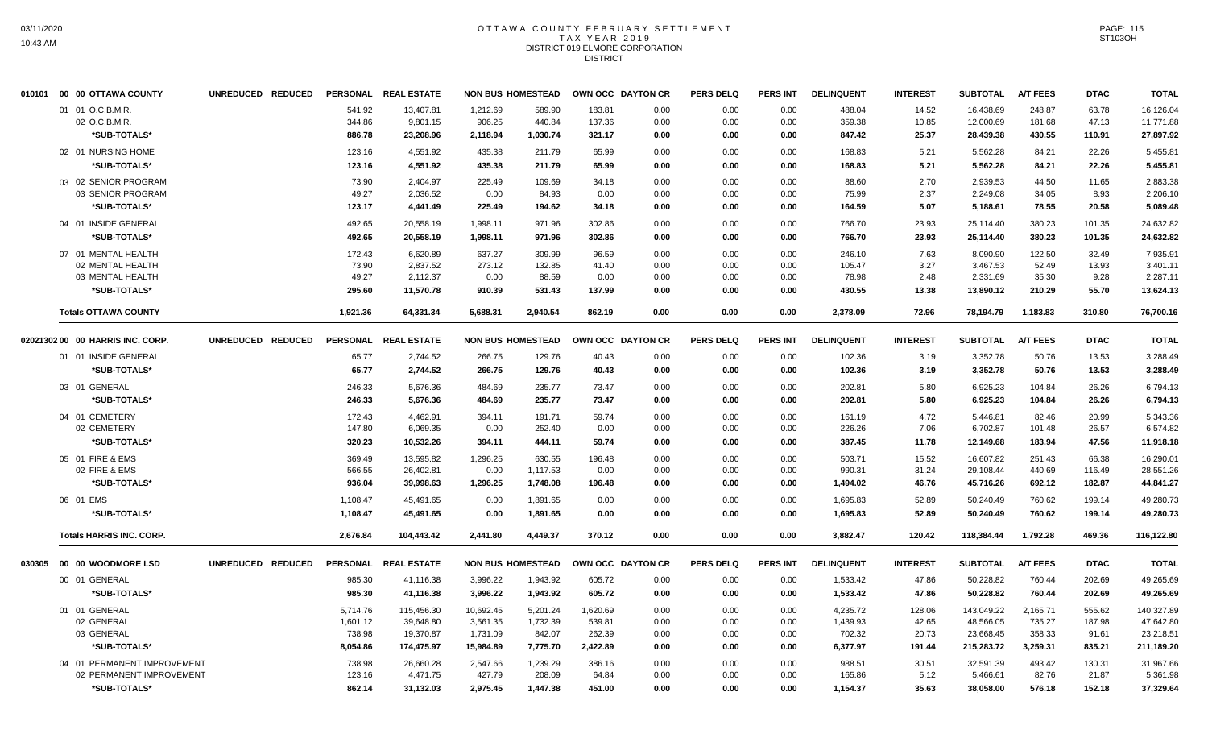# OTTAWA COUNTY FEBRUARY SETTLEMENT TAX YEAR 2019 DISTRICT 019 ELMORE CORPORATION DISTRICT

| 010101 00 00 OTTAWA COUNTY       | UNREDUCED REDUCED |          | PERSONAL REAL ESTATE |           | <b>NON BUS HOMESTEAD</b> | OWN OCC DAYTON CR |      | <b>PERS DELQ</b> | PERS INT        | <b>DELINQUENT</b> | <b>INTEREST</b> | <b>SUBTOTAL</b> | <b>A/T FEES</b> | <b>DTAC</b> | <b>TOTAL</b> |
|----------------------------------|-------------------|----------|----------------------|-----------|--------------------------|-------------------|------|------------------|-----------------|-------------------|-----------------|-----------------|-----------------|-------------|--------------|
| 01 01 O.C.B.M.R.                 |                   | 541.92   | 13,407.81            | 1,212.69  | 589.90                   | 183.81            | 0.00 | 0.00             | 0.00            | 488.04            | 14.52           | 16,438.69       | 248.87          | 63.78       | 16,126.04    |
| 02 O.C.B.M.R.                    |                   | 344.86   | 9,801.15             | 906.25    | 440.84                   | 137.36            | 0.00 | 0.00             | 0.00            | 359.38            | 10.85           | 12,000.69       | 181.68          | 47.13       | 11,771.88    |
| *SUB-TOTALS*                     |                   | 886.78   | 23,208.96            | 2,118.94  | 1,030.74                 | 321.17            | 0.00 | 0.00             | 0.00            | 847.42            | 25.37           | 28,439.38       | 430.55          | 110.91      | 27,897.92    |
| 02 01 NURSING HOME               |                   | 123.16   | 4,551.92             | 435.38    | 211.79                   | 65.99             | 0.00 | 0.00             | 0.00            | 168.83            | 5.21            | 5,562.28        | 84.21           | 22.26       | 5,455.81     |
| *SUB-TOTALS*                     |                   | 123.16   | 4,551.92             | 435.38    | 211.79                   | 65.99             | 0.00 | 0.00             | 0.00            | 168.83            | 5.21            | 5,562.28        | 84.21           | 22.26       | 5,455.81     |
| 03 02 SENIOR PROGRAM             |                   | 73.90    | 2.404.97             | 225.49    | 109.69                   | 34.18             | 0.00 | 0.00             | 0.00            | 88.60             | 2.70            | 2,939.53        | 44.50           | 11.65       | 2,883.38     |
| 03 SENIOR PROGRAM                |                   | 49.27    | 2,036.52             | 0.00      | 84.93                    | 0.00              | 0.00 | 0.00             | 0.00            | 75.99             | 2.37            | 2,249.08        | 34.05           | 8.93        | 2,206.10     |
| *SUB-TOTALS*                     |                   | 123.17   | 4,441.49             | 225.49    | 194.62                   | 34.18             | 0.00 | 0.00             | 0.00            | 164.59            | 5.07            | 5,188.61        | 78.55           | 20.58       | 5,089.48     |
| 04 01 INSIDE GENERAL             |                   | 492.65   | 20,558.19            | 1,998.11  | 971.96                   | 302.86            | 0.00 | 0.00             | 0.00            | 766.70            | 23.93           | 25,114.40       | 380.23          | 101.35      | 24,632.82    |
| *SUB-TOTALS*                     |                   | 492.65   | 20,558.19            | 1,998.11  | 971.96                   | 302.86            | 0.00 | 0.00             | 0.00            | 766.70            | 23.93           | 25,114.40       | 380.23          | 101.35      | 24,632.82    |
| 07 01 MENTAL HEALTH              |                   | 172.43   | 6,620.89             | 637.27    | 309.99                   | 96.59             | 0.00 | 0.00             | 0.00            | 246.10            | 7.63            | 8,090.90        | 122.50          | 32.49       | 7,935.91     |
| 02 MENTAL HEALTH                 |                   | 73.90    | 2,837.52             | 273.12    | 132.85                   | 41.40             | 0.00 | 0.00             | 0.00            | 105.47            | 3.27            | 3,467.53        | 52.49           | 13.93       | 3,401.11     |
| 03 MENTAL HEALTH                 |                   | 49.27    | 2,112.37             | 0.00      | 88.59                    | 0.00              | 0.00 | 0.00             | 0.00            | 78.98             | 2.48            | 2,331.69        | 35.30           | 9.28        | 2,287.11     |
| *SUB-TOTALS*                     |                   | 295.60   | 11,570.78            | 910.39    | 531.43                   | 137.99            | 0.00 | 0.00             | 0.00            | 430.55            | 13.38           | 13,890.12       | 210.29          | 55.70       | 13,624.13    |
| <b>Totals OTTAWA COUNTY</b>      |                   | 1,921.36 | 64,331.34            | 5,688.31  | 2,940.54                 | 862.19            | 0.00 | 0.00             | 0.00            | 2,378.09          | 72.96           | 78,194.79       | 1,183.83        | 310.80      | 76,700.16    |
| 02021302 00 00 HARRIS INC. CORP. | UNREDUCED REDUCED |          | PERSONAL REAL ESTATE |           | <b>NON BUS HOMESTEAD</b> | OWN OCC DAYTON CR |      | <b>PERS DELQ</b> | <b>PERS INT</b> | <b>DELINQUENT</b> | <b>INTEREST</b> | <b>SUBTOTAL</b> | <b>A/T FEES</b> | <b>DTAC</b> | <b>TOTAL</b> |
| 01 01 INSIDE GENERAL             |                   | 65.77    | 2,744.52             | 266.75    | 129.76                   | 40.43             | 0.00 | 0.00             | 0.00            | 102.36            | 3.19            | 3,352.78        | 50.76           | 13.53       | 3.288.49     |
| *SUB-TOTALS*                     |                   | 65.77    | 2,744.52             | 266.75    | 129.76                   | 40.43             | 0.00 | 0.00             | 0.00            | 102.36            | 3.19            | 3,352.78        | 50.76           | 13.53       | 3,288.49     |
| 03 01 GENERAL                    |                   | 246.33   | 5,676.36             | 484.69    | 235.77                   | 73.47             | 0.00 | 0.00             | 0.00            | 202.81            | 5.80            | 6,925.23        | 104.84          | 26.26       | 6,794.13     |
| *SUB-TOTALS*                     |                   | 246.33   | 5,676.36             | 484.69    | 235.77                   | 73.47             | 0.00 | 0.00             | 0.00            | 202.81            | 5.80            | 6,925.23        | 104.84          | 26.26       | 6,794.13     |
| 04 01 CEMETERY                   |                   | 172.43   | 4,462.91             | 394.11    | 191.71                   | 59.74             | 0.00 | 0.00             | 0.00            | 161.19            | 4.72            | 5,446.81        | 82.46           | 20.99       | 5,343.36     |
| 02 CEMETERY                      |                   | 147.80   | 6,069.35             | 0.00      | 252.40                   | 0.00              | 0.00 | 0.00             | 0.00            | 226.26            | 7.06            | 6,702.87        | 101.48          | 26.57       | 6,574.82     |
| *SUB-TOTALS*                     |                   | 320.23   | 10,532.26            | 394.11    | 444.11                   | 59.74             | 0.00 | 0.00             | 0.00            | 387.45            | 11.78           | 12,149.68       | 183.94          | 47.56       | 11,918.18    |
| 05 01 FIRE & EMS                 |                   | 369.49   | 13,595.82            | 1,296.25  | 630.55                   | 196.48            | 0.00 | 0.00             | 0.00            | 503.71            | 15.52           | 16,607.82       | 251.43          | 66.38       | 16,290.01    |
| 02 FIRE & EMS                    |                   | 566.55   | 26,402.81            | 0.00      | 1,117.53                 | 0.00              | 0.00 | 0.00             | 0.00            | 990.31            | 31.24           | 29,108.44       | 440.69          | 116.49      | 28,551.26    |
| *SUB-TOTALS*                     |                   | 936.04   | 39,998.63            | 1,296.25  | 1,748.08                 | 196.48            | 0.00 | 0.00             | 0.00            | 1,494.02          | 46.76           | 45,716.26       | 692.12          | 182.87      | 44,841.27    |
| 06 01 EMS                        |                   | 1,108.47 | 45,491.65            | 0.00      | 1,891.65                 | 0.00              | 0.00 | 0.00             | 0.00            | 1,695.83          | 52.89           | 50,240.49       | 760.62          | 199.14      | 49,280.73    |
| *SUB-TOTALS*                     |                   | 1,108.47 | 45,491.65            | 0.00      | 1,891.65                 | 0.00              | 0.00 | 0.00             | 0.00            | 1,695.83          | 52.89           | 50,240.49       | 760.62          | 199.14      | 49,280.73    |
| <b>Totals HARRIS INC. CORP.</b>  |                   | 2,676.84 | 104,443.42           | 2.441.80  | 4.449.37                 | 370.12            | 0.00 | 0.00             | 0.00            | 3,882.47          | 120.42          | 118,384,44      | 1.792.28        | 469.36      | 116,122.80   |
|                                  | UNREDUCED REDUCED |          | PERSONAL REAL ESTATE |           | <b>NON BUS HOMESTEAD</b> | OWN OCC DAYTON CR |      | <b>PERS DELQ</b> | <b>PERS INT</b> | <b>DELINQUENT</b> | <b>INTEREST</b> | <b>SUBTOTAL</b> | <b>A/T FEES</b> | <b>DTAC</b> | <b>TOTAL</b> |
| 00 01 GENERAL                    |                   | 985.30   | 41,116.38            | 3,996.22  | 1,943.92                 | 605.72            | 0.00 | 0.00             | 0.00            | 1,533.42          | 47.86           | 50,228.82       | 760.44          | 202.69      | 49,265.69    |
| *SUB-TOTALS*                     |                   | 985.30   | 41,116.38            | 3,996.22  | 1,943.92                 | 605.72            | 0.00 | 0.00             | 0.00            | 1,533.42          | 47.86           | 50,228.82       | 760.44          | 202.69      | 49,265.69    |
| 01 01 GENERAL                    |                   | 5,714.76 | 115,456.30           | 10,692.45 | 5,201.24                 | 1,620.69          | 0.00 | 0.00             | 0.00            | 4,235.72          | 128.06          | 143,049.22      | 2,165.71        | 555.62      | 140,327.89   |
| 02 GENERAL                       |                   | 1,601.12 | 39,648.80            | 3,561.35  | 1,732.39                 | 539.81            | 0.00 | 0.00             | 0.00            | 1,439.93          | 42.65           | 48,566.05       | 735.27          | 187.98      | 47,642.80    |
| 03 GENERAL                       |                   | 738.98   | 19,370.87            | 1,731.09  | 842.07                   | 262.39            | 0.00 | 0.00             | 0.00            | 702.32            | 20.73           | 23,668.45       | 358.33          | 91.61       | 23,218.51    |
| *SUB-TOTALS*                     |                   | 8,054.86 | 174,475.97           | 15,984.89 | 7,775.70                 | 2,422.89          | 0.00 | 0.00             | 0.00            | 6,377.97          | 191.44          | 215,283.72      | 3,259.31        | 835.21      | 211,189.20   |
| 04 01 PERMANENT IMPROVEMENT      |                   | 738.98   | 26,660.28            | 2,547.66  | 1,239.29                 | 386.16            | 0.00 | 0.00             | 0.00            | 988.51            | 30.51           | 32,591.39       | 493.42          | 130.31      | 31,967.66    |
| 02 PERMANENT IMPROVEMENT         |                   | 123.16   | 4,471.75             | 427.79    | 208.09                   | 64.84             | 0.00 | 0.00             | 0.00            | 165.86            | 5.12            | 5,466.61        | 82.76           | 21.87       | 5,361.98     |
| *SUB-TOTALS*                     |                   | 862.14   | 31,132.03            | 2,975.45  | 1,447.38                 | 451.00            | 0.00 | 0.00             | 0.00            | 1,154.37          | 35.63           | 38,058.00       | 576.18          | 152.18      | 37,329.64    |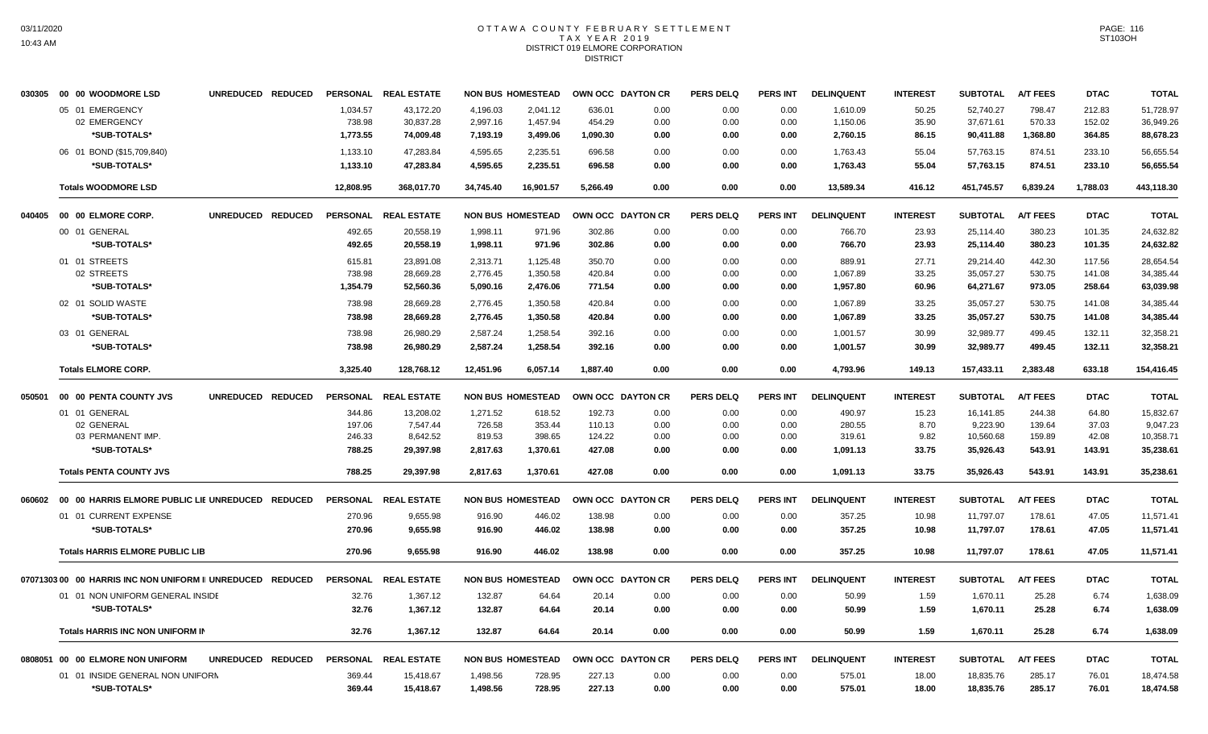# OTTAWA COUNTY FEBRUARY SETTLEMENT TAX YEAR 2019 DISTRICT 019 ELMORE CORPORATION DISTRICT

|        | 030305 00 00 WOODMORE LSD                                  | UNREDUCED REDUCED |                 | PERSONAL REAL ESTATE |           | <b>NON BUS HOMESTEAD</b> | OWN OCC DAYTON CR |      | <b>PERS DELQ</b> | PERS INT        | <b>DELINQUENT</b> | <b>INTEREST</b> | <b>SUBTOTAL</b> | <b>A/T FEES</b> | <b>DTAC</b> | <b>TOTAL</b> |
|--------|------------------------------------------------------------|-------------------|-----------------|----------------------|-----------|--------------------------|-------------------|------|------------------|-----------------|-------------------|-----------------|-----------------|-----------------|-------------|--------------|
|        | 05 01 EMERGENCY                                            |                   | 1,034.57        | 43,172.20            | 4,196.03  | 2,041.12                 | 636.01            | 0.00 | 0.00             | 0.00            | 1,610.09          | 50.25           | 52,740.27       | 798.47          | 212.83      | 51,728.97    |
|        | 02 EMERGENCY                                               |                   | 738.98          | 30,837.28            | 2,997.16  | 1,457.94                 | 454.29            | 0.00 | 0.00             | 0.00            | 1,150.06          | 35.90           | 37,671.61       | 570.33          | 152.02      | 36,949.26    |
|        | *SUB-TOTALS*                                               |                   | 1,773.55        | 74,009.48            | 7,193.19  | 3,499.06                 | 1,090.30          | 0.00 | 0.00             | 0.00            | 2,760.15          | 86.15           | 90,411.88       | 1,368.80        | 364.85      | 88,678.23    |
|        | 06 01 BOND (\$15,709,840)                                  |                   | 1,133.10        | 47,283.84            | 4,595.65  | 2,235.51                 | 696.58            | 0.00 | 0.00             | 0.00            | 1,763.43          | 55.04           | 57,763.15       | 874.51          | 233.10      | 56,655.54    |
|        | *SUB-TOTALS*                                               |                   | 1,133.10        | 47,283.84            | 4,595.65  | 2,235.51                 | 696.58            | 0.00 | 0.00             | 0.00            | 1,763.43          | 55.04           | 57,763.15       | 874.51          | 233.10      | 56,655.54    |
|        | <b>Totals WOODMORE LSD</b>                                 |                   | 12,808.95       | 368,017.70           | 34,745.40 | 16,901.57                | 5,266.49          | 0.00 | 0.00             | 0.00            | 13,589.34         | 416.12          | 451,745.57      | 6,839.24        | 1,788.03    | 443,118.30   |
|        | 040405 00 00 ELMORE CORP.                                  | UNREDUCED REDUCED |                 | PERSONAL REAL ESTATE |           | <b>NON BUS HOMESTEAD</b> | OWN OCC DAYTON CR |      | <b>PERS DELQ</b> | <b>PERS INT</b> | <b>DELINQUENT</b> | <b>INTEREST</b> | <b>SUBTOTAL</b> | <b>A/T FEES</b> | <b>DTAC</b> | <b>TOTAL</b> |
|        | 00 01 GENERAL                                              |                   | 492.65          | 20,558.19            | 1.998.11  | 971.96                   | 302.86            | 0.00 | 0.00             | 0.00            | 766.70            | 23.93           | 25.114.40       | 380.23          | 101.35      | 24,632.82    |
|        | *SUB-TOTALS*                                               |                   | 492.65          | 20,558.19            | 1,998.11  | 971.96                   | 302.86            | 0.00 | 0.00             | 0.00            | 766.70            | 23.93           | 25,114.40       | 380.23          | 101.35      | 24,632.82    |
|        | 01 01 STREETS                                              |                   | 615.81          | 23,891.08            | 2,313.71  | 1,125.48                 | 350.70            | 0.00 | 0.00             | 0.00            | 889.91            | 27.71           | 29,214.40       | 442.30          | 117.56      | 28,654.54    |
|        | 02 STREETS                                                 |                   | 738.98          | 28,669.28            | 2,776.45  | 1,350.58                 | 420.84            | 0.00 | 0.00             | 0.00            | 1,067.89          | 33.25           | 35,057.27       | 530.75          | 141.08      | 34,385.44    |
|        | *SUB-TOTALS*                                               |                   | 1,354.79        | 52,560.36            | 5,090.16  | 2,476.06                 | 771.54            | 0.00 | 0.00             | 0.00            | 1,957.80          | 60.96           | 64,271.67       | 973.05          | 258.64      | 63,039.98    |
|        | 02 01 SOLID WASTE                                          |                   | 738.98          | 28,669.28            | 2,776.45  | 1,350.58                 | 420.84            | 0.00 | 0.00             | 0.00            | 1,067.89          | 33.25           | 35,057.27       | 530.75          | 141.08      | 34,385.44    |
|        | *SUB-TOTALS*                                               |                   | 738.98          | 28,669.28            | 2,776.45  | 1,350.58                 | 420.84            | 0.00 | 0.00             | 0.00            | 1,067.89          | 33.25           | 35,057.27       | 530.75          | 141.08      | 34,385.44    |
|        | 03 01 GENERAL                                              |                   | 738.98          | 26,980.29            | 2,587.24  | 1,258.54                 | 392.16            | 0.00 | 0.00             | 0.00            | 1,001.57          | 30.99           | 32,989.77       | 499.45          | 132.11      | 32,358.21    |
|        | *SUB-TOTALS*                                               |                   | 738.98          | 26,980.29            | 2,587.24  | 1,258.54                 | 392.16            | 0.00 | 0.00             | 0.00            | 1,001.57          | 30.99           | 32,989.77       | 499.45          | 132.11      | 32,358.21    |
|        | <b>Totals ELMORE CORP.</b>                                 |                   | 3,325.40        | 128,768.12           | 12,451.96 | 6,057.14                 | 1,887.40          | 0.00 | 0.00             | 0.00            | 4,793.96          | 149.13          | 157,433.11      | 2,383.48        | 633.18      | 154,416.45   |
| 050501 | 00 00 PENTA COUNTY JVS                                     | UNREDUCED REDUCED |                 | PERSONAL REAL ESTATE |           | <b>NON BUS HOMESTEAD</b> | OWN OCC DAYTON CR |      | <b>PERS DELQ</b> | <b>PERS INT</b> | <b>DELINQUENT</b> | <b>INTEREST</b> | <b>SUBTOTAL</b> | <b>A/T FEES</b> | <b>DTAC</b> | <b>TOTAL</b> |
|        | 01 01 GENERAL                                              |                   | 344.86          | 13,208.02            | 1,271.52  | 618.52                   | 192.73            | 0.00 | 0.00             | 0.00            | 490.97            | 15.23           | 16,141.85       | 244.38          | 64.80       | 15,832.67    |
|        | 02 GENERAL                                                 |                   | 197.06          | 7,547.44             | 726.58    | 353.44                   | 110.13            | 0.00 | 0.00             | 0.00            | 280.55            | 8.70            | 9,223.90        | 139.64          | 37.03       | 9,047.23     |
|        | 03 PERMANENT IMP.                                          |                   | 246.33          | 8,642.52             | 819.53    | 398.65                   | 124.22            | 0.00 | 0.00             | 0.00            | 319.61            | 9.82            | 10,560.68       | 159.89          | 42.08       | 10,358.71    |
|        | *SUB-TOTALS*                                               |                   | 788.25          | 29,397.98            | 2,817.63  | 1,370.61                 | 427.08            | 0.00 | 0.00             | 0.00            | 1,091.13          | 33.75           | 35,926.43       | 543.91          | 143.91      | 35,238.61    |
|        | <b>Totals PENTA COUNTY JVS</b>                             |                   | 788.25          | 29.397.98            | 2.817.63  | 1,370.61                 | 427.08            | 0.00 | 0.00             | 0.00            | 1,091.13          | 33.75           | 35,926.43       | 543.91          | 143.91      | 35,238.61    |
| 060602 | 00 00 HARRIS ELMORE PUBLIC LIE UNREDUCED REDUCED           |                   |                 | PERSONAL REAL ESTATE |           | <b>NON BUS HOMESTEAD</b> | OWN OCC DAYTON CR |      | <b>PERS DELQ</b> | <b>PERS INT</b> | <b>DELINQUENT</b> | <b>INTEREST</b> | <b>SUBTOTAL</b> | <b>A/T FEES</b> | <b>DTAC</b> | <b>TOTAL</b> |
|        | 01 01 CURRENT EXPENSE                                      |                   | 270.96          | 9,655.98             | 916.90    | 446.02                   | 138.98            | 0.00 | 0.00             | 0.00            | 357.25            | 10.98           | 11,797.07       | 178.61          | 47.05       | 11,571.41    |
|        | *SUB-TOTALS*                                               |                   | 270.96          | 9,655.98             | 916.90    | 446.02                   | 138.98            | 0.00 | 0.00             | 0.00            | 357.25            | 10.98           | 11,797.07       | 178.61          | 47.05       | 11,571.41    |
|        | <b>Totals HARRIS ELMORE PUBLIC LIB</b>                     |                   | 270.96          | 9,655.98             | 916.90    | 446.02                   | 138.98            | 0.00 | 0.00             | 0.00            | 357.25            | 10.98           | 11,797.07       | 178.61          | 47.05       | 11,571.41    |
|        | 07071303 00 00 HARRIS INC NON UNIFORM II UNREDUCED REDUCED |                   | <b>PERSONAL</b> | <b>REAL ESTATE</b>   |           | <b>NON BUS HOMESTEAD</b> | OWN OCC DAYTON CR |      | <b>PERS DELQ</b> | <b>PERS INT</b> | <b>DELINQUENT</b> | <b>INTEREST</b> | <b>SUBTOTAL</b> | <b>A/T FEES</b> | <b>DTAC</b> | <b>TOTAL</b> |
|        | 01 01 NON UNIFORM GENERAL INSIDE                           |                   | 32.76           | 1,367.12             | 132.87    | 64.64                    | 20.14             | 0.00 | 0.00             | 0.00            | 50.99             | 1.59            | 1,670.11        | 25.28           | 6.74        | 1,638.09     |
|        | *SUB-TOTALS*                                               |                   | 32.76           | 1,367.12             | 132.87    | 64.64                    | 20.14             | 0.00 | 0.00             | 0.00            | 50.99             | 1.59            | 1,670.11        | 25.28           | 6.74        | 1,638.09     |
|        | <b>Totals HARRIS INC NON UNIFORM IN</b>                    |                   | 32.76           | 1.367.12             | 132.87    | 64.64                    | 20.14             | 0.00 | 0.00             | 0.00            | 50.99             | 1.59            | 1,670.11        | 25.28           | 6.74        | 1,638.09     |
|        | 0808051 00 00 ELMORE NON UNIFORM                           | UNREDUCED REDUCED | <b>PERSONAL</b> | <b>REAL ESTATE</b>   |           | <b>NON BUS HOMESTEAD</b> | OWN OCC DAYTON CR |      | <b>PERS DELQ</b> | <b>PERS INT</b> | <b>DELINQUENT</b> | <b>INTEREST</b> | <b>SUBTOTAL</b> | <b>A/T FEES</b> | <b>DTAC</b> | <b>TOTAL</b> |
|        | 01 01 INSIDE GENERAL NON UNIFORM                           |                   | 369.44          | 15,418.67            | 1,498.56  | 728.95                   | 227.13            | 0.00 | 0.00             | 0.00            | 575.01            | 18.00           | 18,835.76       | 285.17          | 76.01       | 18,474.58    |
|        | *SUB-TOTALS*                                               |                   | 369.44          | 15,418.67            | 1,498.56  | 728.95                   | 227.13            | 0.00 | 0.00             | 0.00            | 575.01            | 18.00           | 18,835.76       | 285.17          | 76.01       | 18,474.58    |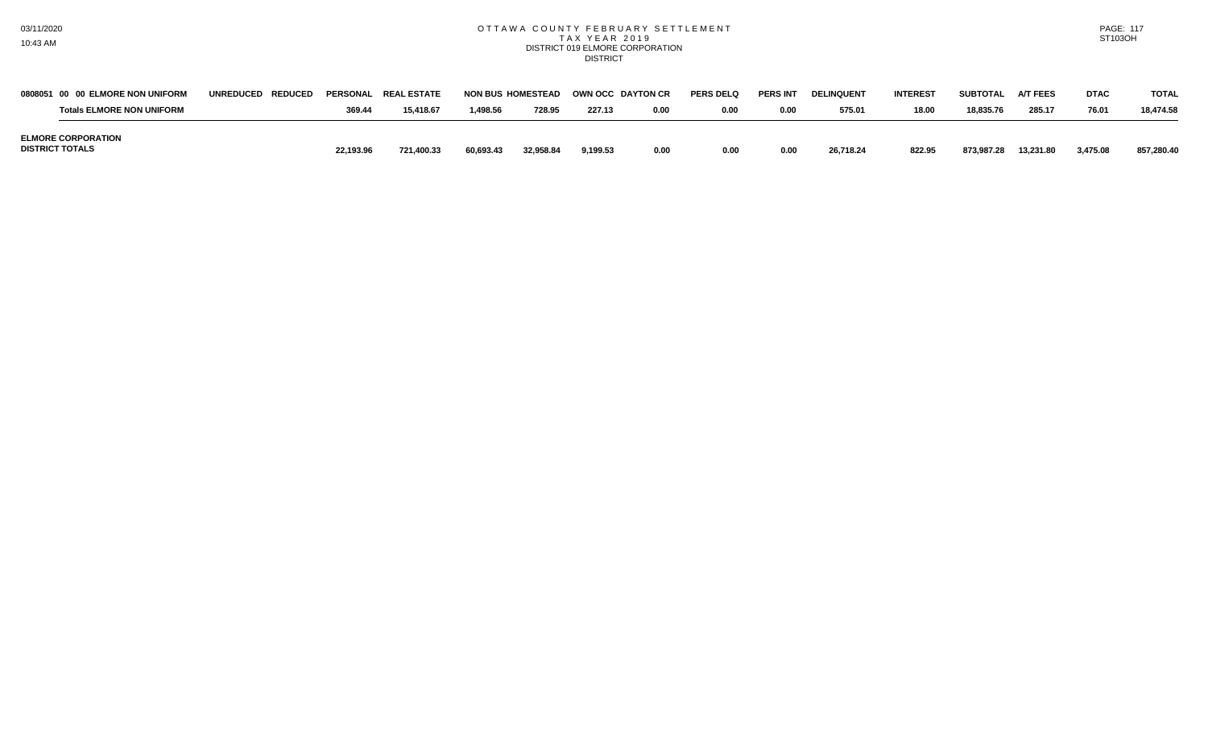## OTTAWA COUNTY FEBRUARY SETTLEMENT TAX YEAR 2019 DISTRICT 019 ELMORE CORPORATION DISTRICT

PAGE: 117 ST103OH

| 0808051 00 00 ELMORE NON UNIFORM                    | UNREDUCED REDUCED |           | PERSONAL REAL ESTATE |           | <b>NON BUS HOMESTEAD</b> | <b>OWN OCC DAYTON CR</b> |      | <b>PERS DELQ</b> | <b>PERS INT</b> | <b>DELINQUENT</b> | <b>INTEREST</b> | <b>SUBTOTAL</b> | <b>A/T FEES</b> | <b>DTAC</b> | <b>TOTAL</b> |
|-----------------------------------------------------|-------------------|-----------|----------------------|-----------|--------------------------|--------------------------|------|------------------|-----------------|-------------------|-----------------|-----------------|-----------------|-------------|--------------|
| <b>Totals ELMORE NON UNIFORM</b>                    |                   | 369.44    | 15,418.67            | 1,498.56  | 728.95                   | 227.13                   | 0.00 | 0.00             | 0.00            | 575.01            | 18.00           | 18,835.76       | 285.17          | 76.01       | 18.474.58    |
| <b>ELMORE CORPORATION</b><br><b>DISTRICT TOTALS</b> |                   | 22.193.96 | 721,400.33           | 60,693.43 | 32.958.84                | 9.199.53                 | 0.00 | 0.00             | 0.00            | 26.718.24         | 822.95          | 873.987.28      | 13.231.80       | 3,475.08    | 857,280.40   |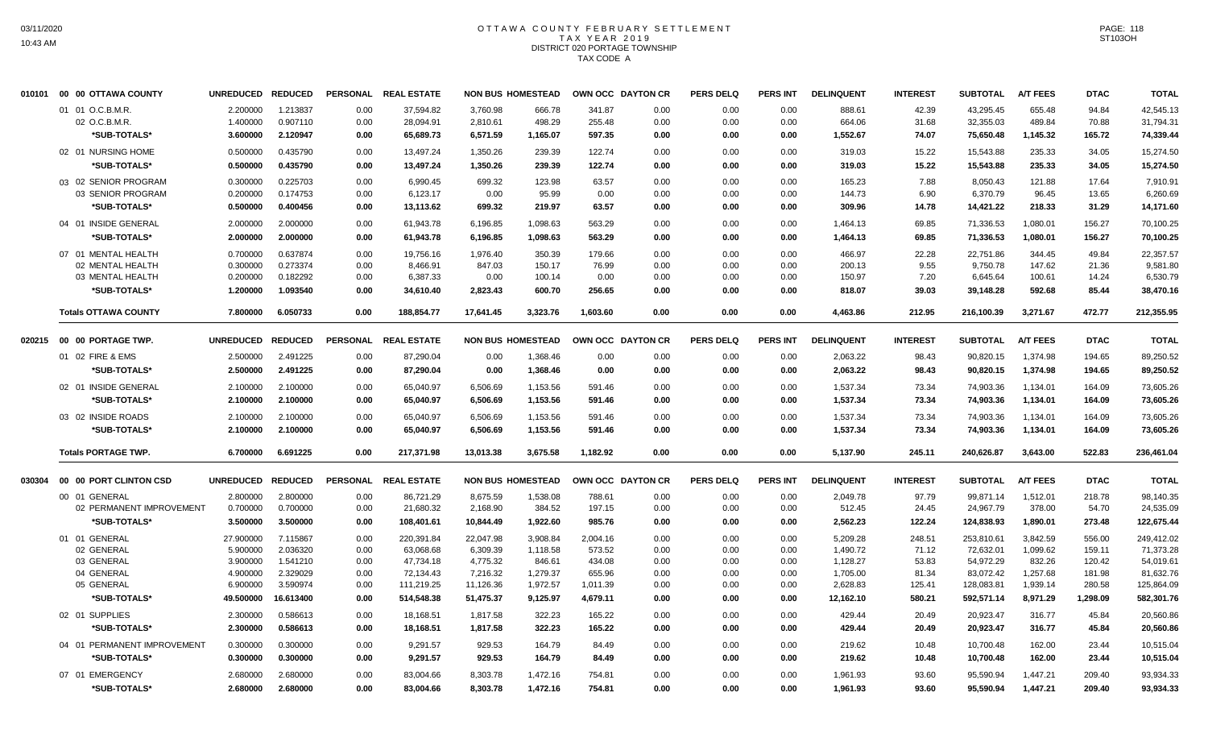## OTTAWA COUNTY FEBRUARY SETTLEMENT TAX YEAR 2019 DISTRICT 020 PORTAGE TOWNSHIP TAX CODE A

| 010101 | 00 00 OTTAWA COUNTY                | UNREDUCED REDUCED    |                      |                 | PERSONAL REAL ESTATE    |                       | <b>NON BUS HOMESTEAD</b> | OWN OCC DAYTON CR  |              | <b>PERS DELQ</b> | <b>PERS INT</b> | <b>DELINQUENT</b>    | <b>INTEREST</b> | <b>SUBTOTAL</b>         | <b>A/T FEES</b>      | <b>DTAC</b>      | <b>TOTAL</b>            |
|--------|------------------------------------|----------------------|----------------------|-----------------|-------------------------|-----------------------|--------------------------|--------------------|--------------|------------------|-----------------|----------------------|-----------------|-------------------------|----------------------|------------------|-------------------------|
|        | 01 01 O.C.B.M.R.                   | 2.200000             | 1.213837             | 0.00            | 37,594.82               | 3,760.98              | 666.78                   | 341.87             | 0.00         | 0.00             | 0.00            | 888.61               | 42.39           | 43,295.45               | 655.48               | 94.84            | 42,545.13               |
|        | 02 O.C.B.M.R.                      | 1.400000             | 0.907110             | 0.00            | 28,094.91               | 2,810.61              | 498.29                   | 255.48             | 0.00         | 0.00             | 0.00            | 664.06               | 31.68           | 32,355.03               | 489.84               | 70.88            | 31,794.31               |
|        | *SUB-TOTALS*                       | 3.600000             | 2.120947             | 0.00            | 65,689.73               | 6,571.59              | 1,165.07                 | 597.35             | 0.00         | 0.00             | 0.00            | 1,552.67             | 74.07           | 75,650.48               | 1,145.32             | 165.72           | 74,339.44               |
|        | 02 01 NURSING HOME                 | 0.500000             | 0.435790             | 0.00            | 13,497.24               | 1,350.26              | 239.39                   | 122.74             | 0.00         | 0.00             | 0.00            | 319.03               | 15.22           | 15,543.88               | 235.33               | 34.05            | 15,274.50               |
|        | *SUB-TOTALS*                       | 0.500000             | 0.435790             | 0.00            | 13,497.24               | 1,350.26              | 239.39                   | 122.74             | 0.00         | 0.00             | 0.00            | 319.03               | 15.22           | 15,543.88               | 235.33               | 34.05            | 15,274.50               |
|        | 03 02 SENIOR PROGRAM               | 0.300000             | 0.225703             | 0.00            | 6,990.45                | 699.32                | 123.98                   | 63.57              | 0.00         | 0.00             | 0.00            | 165.23               | 7.88            | 8,050.43                | 121.88               | 17.64            | 7,910.91                |
|        | 03 SENIOR PROGRAM                  | 0.200000             | 0.174753             | 0.00            | 6,123.17                | 0.00                  | 95.99                    | 0.00               | 0.00         | 0.00             | 0.00            | 144.73               | 6.90            | 6,370.79                | 96.45                | 13.65            | 6,260.69                |
|        | *SUB-TOTALS*                       | 0.500000             | 0.400456             | 0.00            | 13,113.62               | 699.32                | 219.97                   | 63.57              | 0.00         | 0.00             | 0.00            | 309.96               | 14.78           | 14,421.22               | 218.33               | 31.29            | 14,171.60               |
|        | 04 01 INSIDE GENERAL               | 2.000000             | 2.000000             | 0.00            | 61,943.78               | 6,196.85              | 1,098.63                 | 563.29             | 0.00         | 0.00             | 0.00            | 1,464.13             | 69.85           | 71,336.53               | 1,080.01             | 156.27           | 70,100.25               |
|        | *SUB-TOTALS*                       | 2.000000             | 2.000000             | 0.00            | 61,943.78               | 6,196.85              | 1,098.63                 | 563.29             | 0.00         | 0.00             | 0.00            | 1,464.13             | 69.85           | 71,336.53               | 1,080.01             | 156.27           | 70,100.25               |
|        | 07 01 MENTAL HEALTH                | 0.700000             | 0.637874             | 0.00            | 19,756.16               | 1,976.40              | 350.39                   | 179.66             | 0.00         | 0.00             | 0.00            | 466.97               | 22.28           | 22,751.86               | 344.45               | 49.84            | 22,357.57               |
|        | 02 MENTAL HEALTH                   | 0.300000             | 0.273374             | 0.00            | 8,466.91                | 847.03                | 150.17                   | 76.99              | 0.00         | 0.00             | 0.00            | 200.13               | 9.55            | 9,750.78                | 147.62               | 21.36            | 9,581.80                |
|        | 03 MENTAL HEALTH                   | 0.200000             | 0.182292             | 0.00            | 6,387.33                | 0.00                  | 100.14                   | 0.00               | 0.00         | 0.00             | 0.00            | 150.97               | 7.20            | 6,645.64                | 100.61               | 14.24            | 6,530.79                |
|        | *SUB-TOTALS*                       | 1.200000             | 1.093540             | 0.00            | 34,610.40               | 2,823.43              | 600.70                   | 256.65             | 0.00         | 0.00             | 0.00            | 818.07               | 39.03           | 39,148.28               | 592.68               | 85.44            | 38,470.16               |
|        | <b>Totals OTTAWA COUNTY</b>        | 7.800000             | 6.050733             | 0.00            | 188,854.77              | 17,641.45             | 3,323.76                 | 1,603.60           | 0.00         | 0.00             | 0.00            | 4,463.86             | 212.95          | 216,100.39              | 3,271.67             | 472.77           | 212,355.95              |
|        | 020215    00    00    PORTAGE TWP. | UNREDUCED REDUCED    |                      | <b>PERSONAL</b> | <b>REAL ESTATE</b>      |                       | <b>NON BUS HOMESTEAD</b> | OWN OCC DAYTON CR  |              | <b>PERS DELQ</b> | <b>PERS INT</b> | <b>DELINQUENT</b>    | <b>INTEREST</b> | <b>SUBTOTAL</b>         | <b>A/T FEES</b>      | <b>DTAC</b>      | <b>TOTAL</b>            |
|        | 01 02 FIRE & EMS                   | 2.500000             | 2.491225             | 0.00            | 87,290.04               | 0.00                  | 1,368.46                 | 0.00               | 0.00         | 0.00             | 0.00            | 2,063.22             | 98.43           | 90,820.15               | 1,374.98             | 194.65           | 89,250.52               |
|        | *SUB-TOTALS*                       | 2.500000             | 2.491225             | 0.00            | 87.290.04               | 0.00                  | 1,368.46                 | 0.00               | 0.00         | 0.00             | 0.00            | 2,063.22             | 98.43           | 90,820.15               | 1,374.98             | 194.65           | 89,250.52               |
|        | 02 01 INSIDE GENERAL               | 2.100000             | 2.100000             | 0.00            | 65,040.97               | 6,506.69              | 1,153.56                 | 591.46             | 0.00         | 0.00             | 0.00            | 1,537.34             | 73.34           | 74,903.36               | 1,134.01             | 164.09           | 73,605.26               |
|        | *SUB-TOTALS*                       | 2.100000             | 2.100000             | 0.00            | 65,040.97               | 6,506.69              | 1,153.56                 | 591.46             | 0.00         | 0.00             | 0.00            | 1,537.34             | 73.34           | 74,903.36               | 1,134.01             | 164.09           | 73,605.26               |
|        | 03 02 INSIDE ROADS                 | 2.100000             | 2.100000             | 0.00            | 65,040.97               | 6,506.69              | 1,153.56                 | 591.46             | 0.00         | 0.00             | 0.00            | 1,537.34             | 73.34           | 74,903.36               | 1,134.01             | 164.09           | 73,605.26               |
|        | *SUB-TOTALS*                       | 2.100000             | 2.100000             | 0.00            | 65,040.97               | 6,506.69              | 1,153.56                 | 591.46             | 0.00         | 0.00             | 0.00            | 1,537.34             | 73.34           | 74,903.36               | 1,134.01             | 164.09           | 73,605.26               |
|        | <b>Totals PORTAGE TWP.</b>         | 6.700000             | 6.691225             | 0.00            | 217.371.98              | 13,013.38             | 3,675.58                 | 1,182.92           | 0.00         | 0.00             | 0.00            | 5,137.90             | 245.11          | 240,626.87              | 3,643.00             | 522.83           | 236,461.04              |
| 030304 | 00 00 PORT CLINTON CSD             | UNREDUCED REDUCED    |                      |                 | PERSONAL REAL ESTATE    |                       | <b>NON BUS HOMESTEAD</b> | OWN OCC DAYTON CR  |              | <b>PERS DELQ</b> | <b>PERS INT</b> | <b>DELINQUENT</b>    | <b>INTEREST</b> | <b>SUBTOTAL</b>         | <b>A/T FEES</b>      | <b>DTAC</b>      | <b>TOTAL</b>            |
|        | 00 01 GENERAL                      | 2.800000             | 2.800000             | 0.00            | 86,721.29               | 8,675.59              | 1,538.08                 | 788.61             | 0.00         | 0.00             | 0.00            | 2,049.78             | 97.79           | 99,871.14               | 1,512.01             | 218.78           | 98,140.35               |
|        | 02 PERMANENT IMPROVEMENT           | 0.700000             | 0.700000             | 0.00            | 21,680.32               | 2,168.90              | 384.52                   | 197.15             | 0.00         | 0.00             | 0.00            | 512.45               | 24.45           | 24,967.79               | 378.00               | 54.70            | 24,535.09               |
|        | *SUB-TOTALS*                       | 3.500000             | 3.500000             | 0.00            | 108,401.61              | 10.844.49             | 1,922.60                 | 985.76             | 0.00         | 0.00             | 0.00            | 2,562.23             | 122.24          | 124,838.93              | 1.890.01             | 273.48           | 122,675.44              |
|        | 01 01 GENERAL                      | 27.900000            | 7.115867             | 0.00            | 220,391.84              | 22,047.98             | 3,908.84                 | 2,004.16           | 0.00         | 0.00             | 0.00            | 5,209.28             | 248.51          | 253,810.61              | 3,842.59             | 556.00           | 249,412.02              |
|        | 02 GENERAL                         | 5.900000             | 2.036320             | 0.00            | 63,068.68               | 6,309.39              | 1,118.58                 | 573.52             | 0.00         | 0.00             | 0.00            | 1,490.72             | 71.12           | 72,632.01               | 1,099.62             | 159.11           | 71,373.28               |
|        | 03 GENERAL                         | 3.900000             | 1.541210             | 0.00            | 47,734.18               | 4,775.32              | 846.61                   | 434.08             | 0.00         | 0.00             | 0.00            | 1,128.27             | 53.83           | 54,972.29               | 832.26               | 120.42           | 54,019.61               |
|        | 04 GENERAL<br>05 GENERAL           | 4.900000<br>6.900000 | 2.329029<br>3.590974 | 0.00<br>0.00    | 72,134.43<br>111,219.25 | 7,216.32<br>11,126.36 | 1,279.37<br>1,972.57     | 655.96<br>1,011.39 | 0.00<br>0.00 | 0.00<br>0.00     | 0.00<br>0.00    | 1,705.00<br>2,628.83 | 81.34<br>125.41 | 83,072.42<br>128,083.81 | 1,257.68<br>1,939.14 | 181.98<br>280.58 | 81,632.76<br>125,864.09 |
|        | *SUB-TOTALS*                       | 49.500000            | 16.613400            | 0.00            | 514,548.38              | 51,475.37             | 9,125.97                 | 4,679.11           | 0.00         | 0.00             | 0.00            | 12,162.10            | 580.21          | 592,571.14              | 8,971.29             | 1,298.09         | 582,301.76              |
|        | 02 01 SUPPLIES                     | 2.300000             | 0.586613             | 0.00            | 18,168.51               | 1,817.58              | 322.23                   | 165.22             | 0.00         | 0.00             | 0.00            | 429.44               | 20.49           | 20,923.47               | 316.77               | 45.84            | 20,560.86               |
|        | *SUB-TOTALS*                       | 2.300000             | 0.586613             | 0.00            | 18,168.51               | 1,817.58              | 322.23                   | 165.22             | 0.00         | 0.00             | 0.00            | 429.44               | 20.49           | 20,923.47               | 316.77               | 45.84            | 20,560.86               |
|        | 04 01 PERMANENT IMPROVEMENT        | 0.300000             | 0.300000             | 0.00            | 9,291.57                | 929.53                | 164.79                   | 84.49              | 0.00         | 0.00             | 0.00            | 219.62               | 10.48           | 10,700.48               | 162.00               | 23.44            | 10,515.04               |
|        | *SUB-TOTALS*                       | 0.300000             | 0.300000             | 0.00            | 9,291.57                | 929.53                | 164.79                   | 84.49              | 0.00         | 0.00             | 0.00            | 219.62               | 10.48           | 10,700.48               | 162.00               | 23.44            | 10,515.04               |
|        | 07 01 EMERGENCY                    | 2.680000             | 2.680000             | 0.00            | 83,004.66               | 8,303.78              | 1,472.16                 | 754.81             | 0.00         | 0.00             | 0.00            | 1,961.93             | 93.60           | 95,590.94               | 1,447.21             | 209.40           | 93,934.33               |
|        | *SUB-TOTALS*                       | 2.680000             | 2.680000             | 0.00            | 83.004.66               | 8,303.78              | 1,472.16                 | 754.81             | 0.00         | 0.00             | 0.00            | 1,961.93             | 93.60           | 95,590.94               | 1,447.21             | 209.40           | 93,934.33               |
|        |                                    |                      |                      |                 |                         |                       |                          |                    |              |                  |                 |                      |                 |                         |                      |                  |                         |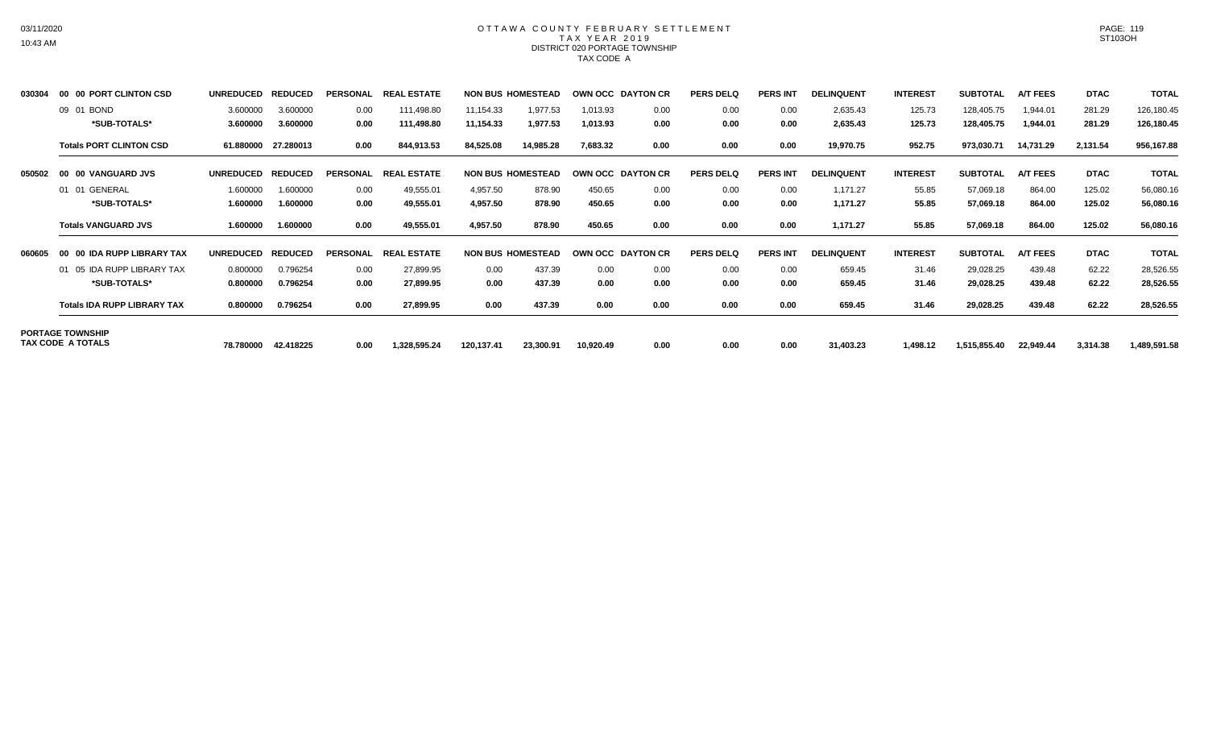### OTTAWA COUNTY FEBRUARY SETTLEMENT TAX YEAR 2019 DISTRICT 020 PORTAGE TOWNSHIP TAX CODE A

| 030304 | 00 00 PORT CLINTON CSD                       | <b>UNREDUCED</b> | <b>REDUCED</b> | <b>PERSONAL</b> | <b>REAL ESTATE</b> |            | <b>NON BUS HOMESTEAD</b> | <b>OWN OCC DAYTON CR</b> |      | <b>PERS DELQ</b> | <b>PERS INT</b> | <b>DELINQUENT</b> | <b>INTEREST</b> | <b>SUBTOTAL</b> | <b>A/T FEES</b> | <b>DTAC</b> | <b>TOTAL</b> |
|--------|----------------------------------------------|------------------|----------------|-----------------|--------------------|------------|--------------------------|--------------------------|------|------------------|-----------------|-------------------|-----------------|-----------------|-----------------|-------------|--------------|
|        | 09 01 BOND                                   | 3.600000         | 3.600000       | 0.00            | 111,498.80         | 11,154.33  | 1,977.53                 | 1,013.93                 | 0.00 | 0.00             | 0.00            | 2,635.43          | 125.73          | 128,405.75      | 1,944.01        | 281.29      | 126,180.45   |
|        | *SUB-TOTALS*                                 | 3.600000         | 3.600000       | 0.00            | 111,498.80         | 11,154.33  | 1,977.53                 | 1,013.93                 | 0.00 | 0.00             | 0.00            | 2,635.43          | 125.73          | 128,405.75      | 1,944.01        | 281.29      | 126,180.45   |
|        | <b>Totals PORT CLINTON CSD</b>               | 61.880000        | 27.280013      | 0.00            | 844,913.53         | 84,525.08  | 14,985.28                | 7,683.32                 | 0.00 | 0.00             | 0.00            | 19,970.75         | 952.75          | 973,030.71      | 14,731.29       | 2,131.54    | 956,167.88   |
| 050502 | 00 00 VANGUARD JVS                           | <b>UNREDUCED</b> | <b>REDUCED</b> | <b>PERSONAL</b> | <b>REAL ESTATE</b> |            | <b>NON BUS HOMESTEAD</b> | <b>OWN OCC DAYTON CR</b> |      | <b>PERS DELQ</b> | <b>PERS INT</b> | <b>DELINQUENT</b> | <b>INTEREST</b> | <b>SUBTOTAL</b> | <b>A/T FEES</b> | <b>DTAC</b> | <b>TOTAL</b> |
|        | 01 01 GENERAL                                | 1.600000         | 1.600000       | 0.00            | 49,555.01          | 4,957.50   | 878.90                   | 450.65                   | 0.00 | 0.00             | 0.00            | 1,171.27          | 55.85           | 57,069.18       | 864.00          | 125.02      | 56,080.16    |
|        | *SUB-TOTALS*                                 | 1.600000         | 1.600000       | 0.00            | 49,555.01          | 4,957.50   | 878.90                   | 450.65                   | 0.00 | 0.00             | 0.00            | 1,171.27          | 55.85           | 57,069.18       | 864.00          | 125.02      | 56,080.16    |
|        | <b>Totals VANGUARD JVS</b>                   | 1.600000         | 1.600000       | 0.00            | 49,555.01          | 4,957.50   | 878.90                   | 450.65                   | 0.00 | 0.00             | 0.00            | 1,171.27          | 55.85           | 57,069.18       | 864.00          | 125.02      | 56,080.16    |
| 060605 | 00 00 IDA RUPP LIBRARY TAX                   | <b>UNREDUCED</b> | <b>REDUCED</b> | <b>PERSONAL</b> | <b>REAL ESTATE</b> |            | <b>NON BUS HOMESTEAD</b> | OWN OCC DAYTON CR        |      | <b>PERS DELQ</b> | <b>PERS INT</b> | <b>DELINQUENT</b> | <b>INTEREST</b> | <b>SUBTOTAL</b> | <b>A/T FEES</b> | <b>DTAC</b> | <b>TOTAL</b> |
|        | 01 05 IDA RUPP LIBRARY TAX                   | 0.800000         | 0.796254       | 0.00            | 27,899.95          | 0.00       | 437.39                   | 0.00                     | 0.00 | 0.00             | 0.00            | 659.45            | 31.46           | 29,028.25       | 439.48          | 62.22       | 28,526.55    |
|        | *SUB-TOTALS*                                 | 0.800000         | 0.796254       | 0.00            | 27,899.95          | 0.00       | 437.39                   | 0.00                     | 0.00 | 0.00             | 0.00            | 659.45            | 31.46           | 29,028.25       | 439.48          | 62.22       | 28,526.55    |
|        | <b>Totals IDA RUPP LIBRARY TAX</b>           | 0.800000         | 0.796254       | 0.00            | 27,899.95          | 0.00       | 437.39                   | 0.00                     | 0.00 | 0.00             | 0.00            | 659.45            | 31.46           | 29,028.25       | 439.48          | 62.22       | 28,526.55    |
|        | <b>PORTAGE TOWNSHIP</b><br>TAX CODE A TOTALS |                  | 42.418225      |                 |                    |            |                          |                          | 0.00 |                  |                 |                   |                 |                 |                 |             |              |
|        |                                              | 78.780000        |                | 0.00            | 1,328,595.24       | 120,137.41 | 23,300.91                | 10,920.49                |      | 0.00             | 0.00            | 31,403.23         | 1,498.12        | 1,515,855.40    | 22,949.44       | 3,314.38    | 1,489,591.58 |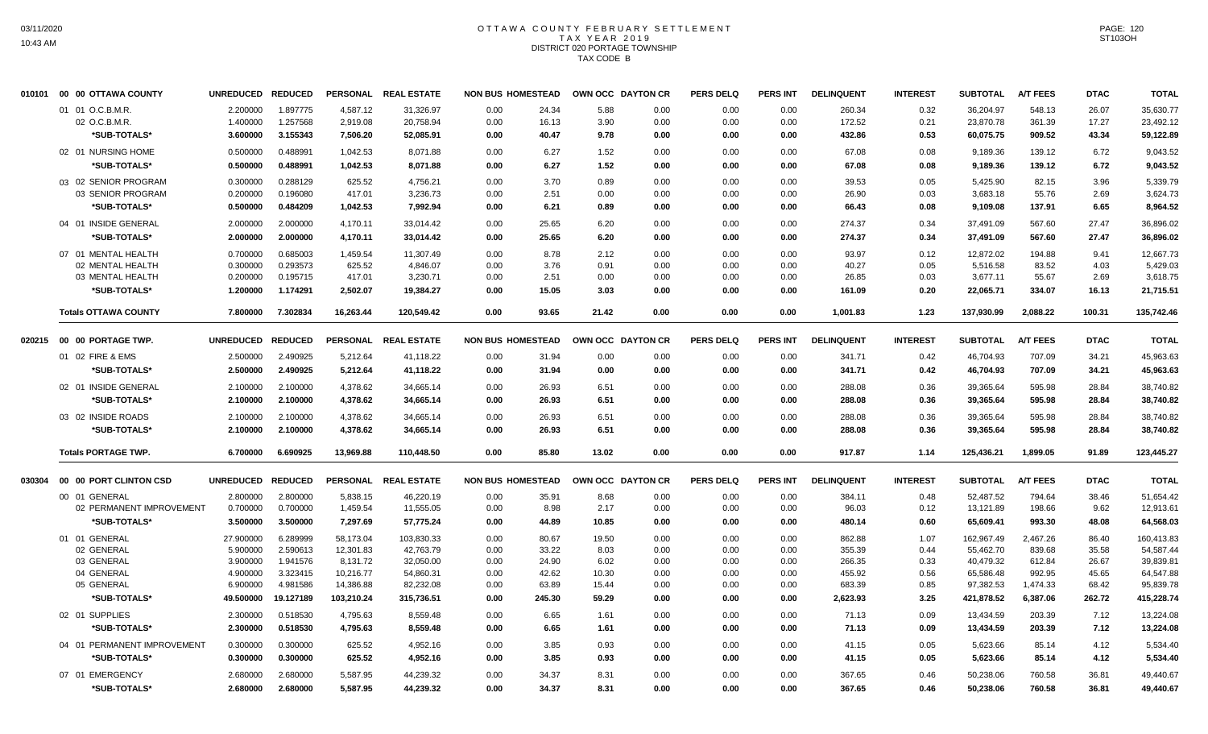#### OTTAWA COUNTY FEBRUARY SETTLEMENT T A X Y E A R 2 0 1 9 DISTRICT 020 PORTAGE TOWNSHIP TAX CODE B

| 010101 | 00 00 OTTAWA COUNTY         | UNREDUCED REDUCED |                |                 | PERSONAL REAL ESTATE | <b>NON BUS HOMESTEAD</b> |        |       | OWN OCC DAYTON CR | <b>PERS DELQ</b> | <b>PERS INT</b> | <b>DELINQUENT</b> | <b>INTEREST</b> | <b>SUBTOTAL</b> | <b>A/T FEES</b> | <b>DTAC</b> | <b>TOTAL</b> |
|--------|-----------------------------|-------------------|----------------|-----------------|----------------------|--------------------------|--------|-------|-------------------|------------------|-----------------|-------------------|-----------------|-----------------|-----------------|-------------|--------------|
|        | 01 01 O.C.B.M.R.            | 2.200000          | 1.897775       | 4,587.12        | 31,326.97            | 0.00                     | 24.34  | 5.88  | 0.00              | 0.00             | 0.00            | 260.34            | 0.32            | 36,204.97       | 548.13          | 26.07       | 35,630.77    |
|        | 02 O.C.B.M.R.               | 1.400000          | 1.257568       | 2,919.08        | 20,758.94            | 0.00                     | 16.13  | 3.90  | 0.00              | 0.00             | 0.00            | 172.52            | 0.21            | 23,870.78       | 361.39          | 17.27       | 23,492.12    |
|        | *SUB-TOTALS*                | 3.600000          | 3.155343       | 7,506.20        | 52,085.91            | 0.00                     | 40.47  | 9.78  | 0.00              | 0.00             | 0.00            | 432.86            | 0.53            | 60,075.75       | 909.52          | 43.34       | 59,122.89    |
|        | 02 01 NURSING HOME          | 0.500000          | 0.488991       | 1.042.53        | 8,071.88             | 0.00                     | 6.27   | 1.52  | 0.00              | 0.00             | 0.00            | 67.08             | 0.08            | 9.189.36        | 139.12          | 6.72        | 9,043.52     |
|        | *SUB-TOTALS*                | 0.500000          | 0.488991       | 1,042.53        | 8,071.88             | 0.00                     | 6.27   | 1.52  | 0.00              | 0.00             | 0.00            | 67.08             | 0.08            | 9,189.36        | 139.12          | 6.72        | 9,043.52     |
|        | 03 02 SENIOR PROGRAM        | 0.300000          | 0.288129       | 625.52          | 4,756.21             | 0.00                     | 3.70   | 0.89  | 0.00              | 0.00             | 0.00            | 39.53             | 0.05            | 5.425.90        | 82.15           | 3.96        | 5,339.79     |
|        | 03 SENIOR PROGRAM           | 0.200000          | 0.196080       | 417.01          | 3,236.73             | 0.00                     | 2.51   | 0.00  | 0.00              | 0.00             | 0.00            | 26.90             | 0.03            | 3,683.18        | 55.76           | 2.69        | 3,624.73     |
|        | *SUB-TOTALS*                | 0.500000          | 0.484209       | 1,042.53        | 7,992.94             | 0.00                     | 6.21   | 0.89  | 0.00              | 0.00             | 0.00            | 66.43             | 0.08            | 9,109.08        | 137.91          | 6.65        | 8,964.52     |
|        | 04 01 INSIDE GENERAL        | 2.000000          | 2.000000       | 4.170.11        | 33,014.42            | 0.00                     | 25.65  | 6.20  | 0.00              | 0.00             | 0.00            | 274.37            | 0.34            | 37,491.09       | 567.60          | 27.47       | 36,896.02    |
|        | *SUB-TOTALS*                | 2.000000          | 2.000000       | 4,170.11        | 33,014.42            | 0.00                     | 25.65  | 6.20  | 0.00              | 0.00             | 0.00            | 274.37            | 0.34            | 37,491.09       | 567.60          | 27.47       | 36,896.02    |
|        | 07 01 MENTAL HEALTH         | 0.700000          | 0.685003       | 1,459.54        | 11,307.49            | 0.00                     | 8.78   | 2.12  | 0.00              | 0.00             | 0.00            | 93.97             | 0.12            | 12,872.02       | 194.88          | 9.41        | 12,667.73    |
|        | 02 MENTAL HEALTH            | 0.300000          | 0.293573       | 625.52          | 4,846.07             | 0.00                     | 3.76   | 0.91  | 0.00              | 0.00             | 0.00            | 40.27             | 0.05            | 5,516.58        | 83.52           | 4.03        | 5,429.03     |
|        | 03 MENTAL HEALTH            | 0.200000          | 0.195715       | 417.01          | 3,230.71             | 0.00                     | 2.51   | 0.00  | 0.00              | 0.00             | 0.00            | 26.85             | 0.03            | 3,677.11        | 55.67           | 2.69        | 3,618.75     |
|        | *SUB-TOTALS*                | 1.200000          | 1.174291       | 2,502.07        | 19,384.27            | 0.00                     | 15.05  | 3.03  | 0.00              | 0.00             | 0.00            | 161.09            | 0.20            | 22,065.71       | 334.07          | 16.13       | 21,715.51    |
|        | <b>Totals OTTAWA COUNTY</b> | 7.800000          | 7.302834       | 16,263.44       | 120,549.42           | 0.00                     | 93.65  | 21.42 | 0.00              | 0.00             | 0.00            | 1,001.83          | 1.23            | 137,930.99      | 2,088.22        | 100.31      | 135,742.46   |
| 020215 | 00 00 PORTAGE TWP.          | <b>UNREDUCED</b>  | <b>REDUCED</b> | <b>PERSONAL</b> | <b>REAL ESTATE</b>   | <b>NON BUS HOMESTEAD</b> |        |       | OWN OCC DAYTON CR | <b>PERS DELQ</b> | <b>PERS INT</b> | <b>DELINQUENT</b> | <b>INTEREST</b> | <b>SUBTOTAL</b> | <b>A/T FEES</b> | <b>DTAC</b> | <b>TOTAL</b> |
|        | 01 02 FIRE & EMS            | 2.500000          | 2.490925       | 5,212.64        | 41,118.22            | 0.00                     | 31.94  | 0.00  | 0.00              | 0.00             | 0.00            | 341.71            | 0.42            | 46,704.93       | 707.09          | 34.21       | 45,963.63    |
|        | *SUB-TOTALS*                | 2.500000          | 2.490925       | 5,212.64        | 41,118.22            | 0.00                     | 31.94  | 0.00  | 0.00              | 0.00             | 0.00            | 341.71            | 0.42            | 46,704.93       | 707.09          | 34.21       | 45,963.63    |
|        | 02 01 INSIDE GENERAL        | 2.100000          | 2.100000       | 4.378.62        | 34,665.14            | 0.00                     | 26.93  | 6.51  | 0.00              | 0.00             | 0.00            | 288.08            | 0.36            | 39,365.64       | 595.98          | 28.84       | 38,740.82    |
|        | *SUB-TOTALS*                | 2.100000          | 2.100000       | 4,378.62        | 34,665.14            | 0.00                     | 26.93  | 6.51  | 0.00              | 0.00             | 0.00            | 288.08            | 0.36            | 39,365.64       | 595.98          | 28.84       | 38,740.82    |
|        | 03 02 INSIDE ROADS          | 2.100000          | 2.100000       | 4,378.62        | 34,665.14            | 0.00                     | 26.93  | 6.51  | 0.00              | 0.00             | 0.00            | 288.08            | 0.36            | 39,365.64       | 595.98          | 28.84       | 38,740.82    |
|        | *SUB-TOTALS*                | 2.100000          | 2.100000       | 4,378.62        | 34,665.14            | 0.00                     | 26.93  | 6.51  | 0.00              | 0.00             | 0.00            | 288.08            | 0.36            | 39,365.64       | 595.98          | 28.84       | 38,740.82    |
|        | <b>Totals PORTAGE TWP.</b>  | 6.700000          | 6.690925       | 13,969.88       | 110,448.50           | 0.00                     | 85.80  | 13.02 | 0.00              | 0.00             | 0.00            | 917.87            | 1.14            | 125,436.21      | 1,899.05        | 91.89       | 123,445.27   |
| 030304 | 00 00 PORT CLINTON CSD      | UNREDUCED REDUCED |                |                 | PERSONAL REAL ESTATE | <b>NON BUS HOMESTEAD</b> |        |       | OWN OCC DAYTON CR | <b>PERS DELQ</b> | <b>PERS INT</b> | <b>DELINQUENT</b> | <b>INTEREST</b> | <b>SUBTOTAL</b> | <b>A/T FEES</b> | <b>DTAC</b> | <b>TOTAL</b> |
|        | 00 01 GENERAL               | 2.800000          | 2.800000       | 5,838.15        | 46,220.19            | 0.00                     | 35.91  | 8.68  | 0.00              | 0.00             | 0.00            | 384.11            | 0.48            | 52.487.52       | 794.64          | 38.46       | 51,654.42    |
|        | 02 PERMANENT IMPROVEMENT    | 0.700000          | 0.700000       | 1,459.54        | 11,555.05            | 0.00                     | 8.98   | 2.17  | 0.00              | 0.00             | 0.00            | 96.03             | 0.12            | 13,121.89       | 198.66          | 9.62        | 12,913.61    |
|        | *SUB-TOTALS*                | 3.500000          | 3.500000       | 7,297.69        | 57,775.24            | 0.00                     | 44.89  | 10.85 | 0.00              | 0.00             | 0.00            | 480.14            | 0.60            | 65,609.41       | 993.30          | 48.08       | 64,568.03    |
|        | 01 01 GENERAL               | 27.900000         | 6.289999       | 58,173.04       | 103,830.33           | 0.00                     | 80.67  | 19.50 | 0.00              | 0.00             | 0.00            | 862.88            | 1.07            | 162,967.49      | 2,467.26        | 86.40       | 160,413.83   |
|        | 02 GENERAL                  | 5.900000          | 2.590613       | 12,301.83       | 42,763.79            | 0.00                     | 33.22  | 8.03  | 0.00              | 0.00             | 0.00            | 355.39            | 0.44            | 55,462.70       | 839.68          | 35.58       | 54,587.44    |
|        | 03 GENERAL                  | 3.900000          | 1.941576       | 8,131.72        | 32,050.00            | 0.00                     | 24.90  | 6.02  | 0.00              | 0.00             | 0.00            | 266.35            | 0.33            | 40,479.32       | 612.84          | 26.67       | 39,839.81    |
|        | 04 GENERAL                  | 4.900000          | 3.323415       | 10,216.77       | 54,860.31            | 0.00                     | 42.62  | 10.30 | 0.00              | 0.00             | 0.00            | 455.92            | 0.56            | 65,586.48       | 992.95          | 45.65       | 64,547.88    |
|        | 05 GENERAL                  | 6.900000          | 4.981586       | 14,386.88       | 82,232.08            | 0.00                     | 63.89  | 15.44 | 0.00              | 0.00             | 0.00            | 683.39            | 0.85            | 97,382.53       | 1,474.33        | 68.42       | 95,839.78    |
|        | *SUB-TOTALS*                | 49.500000         | 19.127189      | 103,210.24      | 315,736.51           | 0.00                     | 245.30 | 59.29 | 0.00              | 0.00             | 0.00            | 2,623.93          | 3.25            | 421,878.52      | 6,387.06        | 262.72      | 415,228.74   |
|        | 02 01 SUPPLIES              | 2.300000          | 0.518530       | 4,795.63        | 8,559.48             | 0.00                     | 6.65   | 1.61  | 0.00              | 0.00             | 0.00            | 71.13             | 0.09            | 13,434.59       | 203.39          | 7.12        | 13,224.08    |
|        | *SUB-TOTALS*                | 2.300000          | 0.518530       | 4,795.63        | 8,559.48             | 0.00                     | 6.65   | 1.61  | 0.00              | 0.00             | 0.00            | 71.13             | 0.09            | 13,434.59       | 203.39          | 7.12        | 13,224.08    |
|        | 04 01 PERMANENT IMPROVEMENT | 0.300000          | 0.300000       | 625.52          | 4,952.16             | 0.00                     | 3.85   | 0.93  | 0.00              | 0.00             | 0.00            | 41.15             | 0.05            | 5,623.66        | 85.14           | 4.12        | 5,534.40     |
|        | *SUB-TOTALS*                | 0.300000          | 0.300000       | 625.52          | 4,952.16             | 0.00                     | 3.85   | 0.93  | 0.00              | 0.00             | 0.00            | 41.15             | 0.05            | 5,623.66        | 85.14           | 4.12        | 5,534.40     |
|        | 07 01 EMERGENCY             | 2.680000          | 2.680000       | 5,587.95        | 44,239.32            | 0.00                     | 34.37  | 8.31  | 0.00              | 0.00             | 0.00            | 367.65            | 0.46            | 50,238.06       | 760.58          | 36.81       | 49,440.67    |
|        | *SUB-TOTALS*                | 2.680000          | 2.680000       | 5,587.95        | 44,239.32            | 0.00                     | 34.37  | 8.31  | 0.00              | 0.00             | 0.00            | 367.65            | 0.46            | 50,238.06       | 760.58          | 36.81       | 49,440.67    |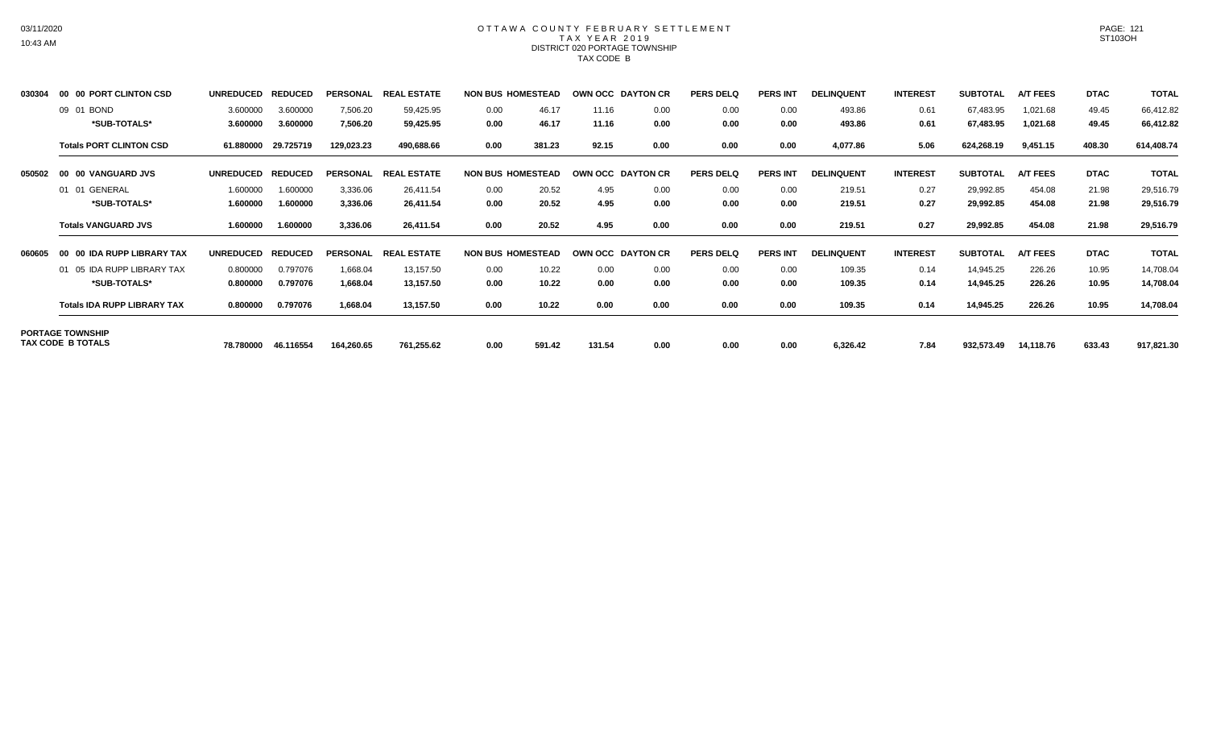### OTTAWA COUNTY FEBRUARY SETTLEMENT TAX YEAR 2019 DISTRICT 020 PORTAGE TOWNSHIP TAX CODE B

| 030304 | 00 00 PORT CLINTON CSD             | <b>UNREDUCED</b> | <b>REDUCED</b> | <b>PERSONAL</b> | <b>REAL ESTATE</b> | <b>NON BUS HOMESTEAD</b> |        | OWN OCC DAYTON CR |      | <b>PERS DELQ</b> | <b>PERS INT</b> | <b>DELINQUENT</b> | <b>INTEREST</b> | <b>SUBTOTAL</b> | <b>A/T FEES</b> | <b>DTAC</b> | <b>TOTAL</b> |
|--------|------------------------------------|------------------|----------------|-----------------|--------------------|--------------------------|--------|-------------------|------|------------------|-----------------|-------------------|-----------------|-----------------|-----------------|-------------|--------------|
|        | 09 01 BOND                         | 3.600000         | 3.600000       | 7,506.20        | 59,425.95          | 0.00                     | 46.17  | 11.16             | 0.00 | 0.00             | 0.00            | 493.86            | 0.61            | 67,483.95       | 1,021.68        | 49.45       | 66,412.82    |
|        | *SUB-TOTALS*                       | 3.600000         | 3.600000       | 7,506.20        | 59,425.95          | 0.00                     | 46.17  | 11.16             | 0.00 | 0.00             | 0.00            | 493.86            | 0.61            | 67,483.95       | 1,021.68        | 49.45       | 66,412.82    |
|        | <b>Totals PORT CLINTON CSD</b>     | 61.880000        | 29.725719      | 129,023.23      | 490,688.66         | 0.00                     | 381.23 | 92.15             | 0.00 | 0.00             | 0.00            | 4,077.86          | 5.06            | 624,268.19      | 9,451.15        | 408.30      | 614,408.74   |
| 050502 | 00 00 VANGUARD JVS                 | <b>UNREDUCED</b> | <b>REDUCED</b> | <b>PERSONAL</b> | <b>REAL ESTATE</b> | <b>NON BUS HOMESTEAD</b> |        | OWN OCC DAYTON CR |      | <b>PERS DELQ</b> | <b>PERS INT</b> | <b>DELINQUENT</b> | <b>INTEREST</b> | <b>SUBTOTAL</b> | <b>A/T FEES</b> | <b>DTAC</b> | <b>TOTAL</b> |
|        | 01 01 GENERAL                      | 1.600000         | 1.600000       | 3,336.06        | 26,411.54          | 0.00                     | 20.52  | 4.95              | 0.00 | 0.00             | 0.00            | 219.51            | 0.27            | 29,992.85       | 454.08          | 21.98       | 29,516.79    |
|        | *SUB-TOTALS*                       | 1.600000         | 1.600000       | 3,336.06        | 26,411.54          | 0.00                     | 20.52  | 4.95              | 0.00 | 0.00             | 0.00            | 219.51            | 0.27            | 29,992.85       | 454.08          | 21.98       | 29,516.79    |
|        | <b>Totals VANGUARD JVS</b>         | 1.600000         | 1.600000       | 3,336.06        | 26,411.54          | 0.00                     | 20.52  | 4.95              | 0.00 | 0.00             | 0.00            | 219.51            | 0.27            | 29,992.85       | 454.08          | 21.98       | 29,516.79    |
| 060605 | 00 00 IDA RUPP LIBRARY TAX         | <b>UNREDUCED</b> | <b>REDUCED</b> | <b>PERSONAL</b> | <b>REAL ESTATE</b> | <b>NON BUS HOMESTEAD</b> |        | OWN OCC DAYTON CR |      | <b>PERS DELQ</b> | <b>PERS INT</b> | <b>DELINQUENT</b> | <b>INTEREST</b> | <b>SUBTOTAL</b> | <b>A/T FEES</b> | <b>DTAC</b> | <b>TOTAL</b> |
|        | 01 05 IDA RUPP LIBRARY TAX         | 0.800000         | 0.797076       | 1,668.04        | 13,157.50          | 0.00                     | 10.22  | 0.00              | 0.00 | 0.00             | 0.00            | 109.35            | 0.14            | 14,945.25       | 226.26          | 10.95       | 14,708.04    |
|        | *SUB-TOTALS*                       | 0.800000         | 0.797076       | 1,668.04        | 13,157.50          | 0.00                     | 10.22  | 0.00              | 0.00 | 0.00             | 0.00            | 109.35            | 0.14            | 14,945.25       | 226.26          | 10.95       | 14,708.04    |
|        | <b>Totals IDA RUPP LIBRARY TAX</b> | 0.800000         | 0.797076       | 1,668.04        | 13,157.50          | 0.00                     | 10.22  | 0.00              | 0.00 | 0.00             | 0.00            | 109.35            | 0.14            | 14,945.25       | 226.26          | 10.95       | 14,708.04    |
|        | <b>PORTAGE TOWNSHIP</b>            |                  |                |                 |                    |                          |        |                   |      |                  |                 |                   |                 |                 |                 |             |              |
|        | TAX CODE B TOTALS                  | 78.780000        | 46.116554      | 164,260.65      | 761,255.62         | 0.00                     | 591.42 | 131.54            | 0.00 | 0.00             | 0.00            | 6,326.42          | 7.84            | 932,573.49      | 14,118.76       | 633.43      | 917,821.30   |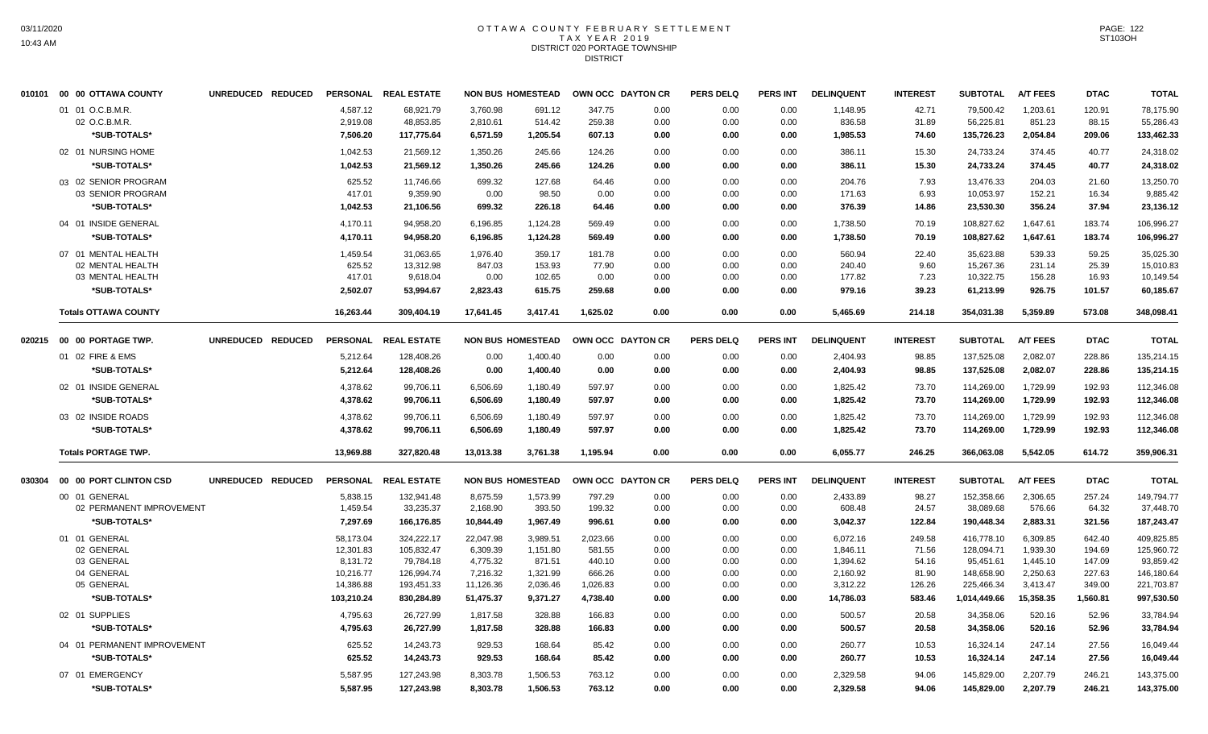#### OTTAWA COUNTY FEBRUARY SETTLEMENT T A X Y E A R 2 0 1 9 DISTRICT 020 PORTAGE TOWNSHIP **DISTRICT**

|        | 010101 00 00 OTTAWA COUNTY  | UNREDUCED REDUCED |                 | PERSONAL REAL ESTATE | <b>NON BUS HOMESTEAD</b> |          |          | OWN OCC DAYTON CR | <b>PERS DELQ</b> | <b>PERS INT</b> | <b>DELINQUENT</b> | <b>INTEREST</b> | <b>SUBTOTAL</b> | <b>A/T FEES</b> | <b>DTAC</b> | <b>TOTAL</b> |
|--------|-----------------------------|-------------------|-----------------|----------------------|--------------------------|----------|----------|-------------------|------------------|-----------------|-------------------|-----------------|-----------------|-----------------|-------------|--------------|
|        | 01 01 O.C.B.M.R.            |                   | 4,587.12        | 68,921.79            | 3,760.98                 | 691.12   | 347.75   | 0.00              | 0.00             | 0.00            | 1,148.95          | 42.71           | 79,500.42       | 1,203.61        | 120.91      | 78,175.90    |
|        | 02 O.C.B.M.R.               |                   | 2,919.08        | 48,853.85            | 2,810.61                 | 514.42   | 259.38   | 0.00              | 0.00             | 0.00            | 836.58            | 31.89           | 56,225.81       | 851.23          | 88.15       | 55,286.43    |
|        | *SUB-TOTALS*                |                   | 7,506.20        | 117,775.64           | 6,571.59                 | 1,205.54 | 607.13   | 0.00              | 0.00             | 0.00            | 1,985.53          | 74.60           | 135,726.23      | 2,054.84        | 209.06      | 133,462.33   |
|        | 02 01 NURSING HOME          |                   | 1,042.53        | 21,569.12            | 1,350.26                 | 245.66   | 124.26   | 0.00              | 0.00             | 0.00            | 386.11            | 15.30           | 24,733.24       | 374.45          | 40.77       | 24,318.02    |
|        | *SUB-TOTALS*                |                   | 1,042.53        | 21,569.12            | 1,350.26                 | 245.66   | 124.26   | 0.00              | 0.00             | 0.00            | 386.11            | 15.30           | 24,733.24       | 374.45          | 40.77       | 24,318.02    |
|        | 03 02 SENIOR PROGRAM        |                   | 625.52          | 11.746.66            | 699.32                   | 127.68   | 64.46    | 0.00              | 0.00             | 0.00            | 204.76            | 7.93            | 13.476.33       | 204.03          | 21.60       | 13.250.70    |
|        | 03 SENIOR PROGRAM           |                   | 417.01          | 9,359.90             | 0.00                     | 98.50    | 0.00     | 0.00              | 0.00             | 0.00            | 171.63            | 6.93            | 10,053.97       | 152.21          | 16.34       | 9,885.42     |
|        | *SUB-TOTALS*                |                   | 1,042.53        | 21,106.56            | 699.32                   | 226.18   | 64.46    | 0.00              | 0.00             | 0.00            | 376.39            | 14.86           | 23,530.30       | 356.24          | 37.94       | 23,136.12    |
|        | 04 01 INSIDE GENERAL        |                   | 4,170.11        | 94,958.20            | 6,196.85                 | 1,124.28 | 569.49   | 0.00              | 0.00             | 0.00            | 1,738.50          | 70.19           | 108,827.62      | 1,647.61        | 183.74      | 106,996.27   |
|        | *SUB-TOTALS*                |                   | 4,170.11        | 94,958.20            | 6,196.85                 | 1,124.28 | 569.49   | 0.00              | 0.00             | 0.00            | 1,738.50          | 70.19           | 108,827.62      | 1,647.61        | 183.74      | 106,996.27   |
|        | 07 01 MENTAL HEALTH         |                   | 1,459.54        | 31,063.65            | 1,976.40                 | 359.17   | 181.78   | 0.00              | 0.00             | 0.00            | 560.94            | 22.40           | 35,623.88       | 539.33          | 59.25       | 35,025.30    |
|        | 02 MENTAL HEALTH            |                   | 625.52          | 13,312.98            | 847.03                   | 153.93   | 77.90    | 0.00              | 0.00             | 0.00            | 240.40            | 9.60            | 15,267.36       | 231.14          | 25.39       | 15,010.83    |
|        | 03 MENTAL HEALTH            |                   | 417.01          | 9,618.04             | 0.00                     | 102.65   | 0.00     | 0.00              | 0.00             | 0.00            | 177.82            | 7.23            | 10,322.75       | 156.28          | 16.93       | 10,149.54    |
|        | *SUB-TOTALS*                |                   | 2.502.07        | 53.994.67            | 2,823.43                 | 615.75   | 259.68   | 0.00              | 0.00             | 0.00            | 979.16            | 39.23           | 61,213.99       | 926.75          | 101.57      | 60,185.67    |
|        | <b>Totals OTTAWA COUNTY</b> |                   | 16,263.44       | 309,404.19           | 17,641.45                | 3,417.41 | 1,625.02 | 0.00              | 0.00             | 0.00            | 5,465.69          | 214.18          | 354,031.38      | 5,359.89        | 573.08      | 348,098.41   |
| 020215 | 00 00 PORTAGE TWP.          | UNREDUCED REDUCED | <b>PERSONAL</b> | <b>REAL ESTATE</b>   | <b>NON BUS HOMESTEAD</b> |          |          | OWN OCC DAYTON CR | <b>PERS DELQ</b> | <b>PERS INT</b> | <b>DELINQUENT</b> | <b>INTEREST</b> | <b>SUBTOTAL</b> | <b>A/T FEES</b> | <b>DTAC</b> | <b>TOTAL</b> |
|        | 01 02 FIRE & EMS            |                   | 5,212.64        | 128,408.26           | 0.00                     | 1,400.40 | 0.00     | 0.00              | 0.00             | 0.00            | 2,404.93          | 98.85           | 137,525.08      | 2,082.07        | 228.86      | 135,214.15   |
|        | *SUB-TOTALS*                |                   | 5,212.64        | 128,408.26           | 0.00                     | 1,400.40 | 0.00     | 0.00              | 0.00             | 0.00            | 2,404.93          | 98.85           | 137,525.08      | 2,082.07        | 228.86      | 135,214.15   |
|        | 02 01 INSIDE GENERAL        |                   | 4,378.62        | 99,706.11            | 6,506.69                 | 1,180.49 | 597.97   | 0.00              | 0.00             | 0.00            | 1,825.42          | 73.70           | 114,269.00      | 1,729.99        | 192.93      | 112,346.08   |
|        | *SUB-TOTALS*                |                   | 4,378.62        | 99,706.11            | 6,506.69                 | 1,180.49 | 597.97   | 0.00              | 0.00             | 0.00            | 1,825.42          | 73.70           | 114,269.00      | 1,729.99        | 192.93      | 112,346.08   |
|        | 03 02 INSIDE ROADS          |                   | 4,378.62        | 99,706.11            | 6,506.69                 | 1,180.49 | 597.97   | 0.00              | 0.00             | 0.00            | 1,825.42          | 73.70           | 114,269.00      | 1,729.99        | 192.93      | 112,346.08   |
|        | *SUB-TOTALS*                |                   | 4,378.62        | 99,706.11            | 6,506.69                 | 1,180.49 | 597.97   | 0.00              | 0.00             | 0.00            | 1,825.42          | 73.70           | 114,269.00      | 1,729.99        | 192.93      | 112,346.08   |
|        | <b>Totals PORTAGE TWP.</b>  |                   | 13,969.88       | 327,820.48           | 13,013.38                | 3,761.38 | 1,195.94 | 0.00              | 0.00             | 0.00            | 6,055.77          | 246.25          | 366,063.08      | 5,542.05        | 614.72      | 359,906.31   |
| 030304 | 00 00 PORT CLINTON CSD      | UNREDUCED REDUCED | <b>PERSONAL</b> | <b>REAL ESTATE</b>   | <b>NON BUS HOMESTEAD</b> |          |          | OWN OCC DAYTON CR | <b>PERS DELQ</b> | <b>PERS INT</b> | <b>DELINQUENT</b> | <b>INTEREST</b> | <b>SUBTOTAL</b> | <b>A/T FEES</b> | <b>DTAC</b> | <b>TOTAL</b> |
|        | 00 01 GENERAL               |                   | 5,838.15        | 132,941.48           | 8,675.59                 | 1,573.99 | 797.29   | 0.00              | 0.00             | 0.00            | 2,433.89          | 98.27           | 152,358.66      | 2,306.65        | 257.24      | 149,794.77   |
|        | 02 PERMANENT IMPROVEMENT    |                   | 1,459.54        | 33,235.37            | 2,168.90                 | 393.50   | 199.32   | 0.00              | 0.00             | 0.00            | 608.48            | 24.57           | 38,089.68       | 576.66          | 64.32       | 37,448.70    |
|        | *SUB-TOTALS*                |                   | 7.297.69        | 166.176.85           | 10.844.49                | 1.967.49 | 996.61   | 0.00              | 0.00             | 0.00            | 3,042.37          | 122.84          | 190,448.34      | 2.883.31        | 321.56      | 187,243.47   |
|        | 01 01 GENERAL               |                   | 58,173.04       | 324,222.17           | 22,047.98                | 3,989.51 | 2,023.66 | 0.00              | 0.00             | 0.00            | 6,072.16          | 249.58          | 416,778.10      | 6,309.85        | 642.40      | 409,825.85   |
|        | 02 GENERAL                  |                   | 12,301.83       | 105,832.47           | 6,309.39                 | 1,151.80 | 581.55   | 0.00              | 0.00             | 0.00            | 1,846.11          | 71.56           | 128,094.71      | 1,939.30        | 194.69      | 125,960.72   |
|        | 03 GENERAL                  |                   | 8,131.72        | 79,784.18            | 4,775.32                 | 871.51   | 440.10   | 0.00              | 0.00             | 0.00            | 1,394.62          | 54.16           | 95,451.61       | 1,445.10        | 147.09      | 93,859.42    |
|        | 04 GENERAL                  |                   | 10,216.77       | 126,994.74           | 7,216.32                 | 1,321.99 | 666.26   | 0.00              | 0.00             | 0.00            | 2,160.92          | 81.90           | 148,658.90      | 2,250.63        | 227.63      | 146,180.64   |
|        | 05 GENERAL                  |                   | 14,386.88       | 193,451.33           | 11,126.36                | 2,036.46 | 1,026.83 | 0.00              | 0.00             | 0.00            | 3,312.22          | 126.26          | 225,466.34      | 3,413.47        | 349.00      | 221,703.87   |
|        | *SUB-TOTALS*                |                   | 103,210.24      | 830,284.89           | 51,475.37                | 9,371.27 | 4,738.40 | 0.00              | 0.00             | 0.00            | 14,786.03         | 583.46          | 1,014,449.66    | 15,358.35       | 1,560.81    | 997,530.50   |
|        | 02 01 SUPPLIES              |                   | 4,795.63        | 26,727.99            | 1,817.58                 | 328.88   | 166.83   | 0.00              | 0.00             | 0.00            | 500.57            | 20.58           | 34,358.06       | 520.16          | 52.96       | 33,784.94    |
|        | *SUB-TOTALS*                |                   | 4,795.63        | 26,727.99            | 1,817.58                 | 328.88   | 166.83   | 0.00              | 0.00             | 0.00            | 500.57            | 20.58           | 34,358.06       | 520.16          | 52.96       | 33,784.94    |
|        | 04 01 PERMANENT IMPROVEMENT |                   | 625.52          | 14,243.73            | 929.53                   | 168.64   | 85.42    | 0.00              | 0.00             | 0.00            | 260.77            | 10.53           | 16,324.14       | 247.14          | 27.56       | 16,049.44    |
|        | *SUB-TOTALS*                |                   | 625.52          | 14,243.73            | 929.53                   | 168.64   | 85.42    | 0.00              | 0.00             | 0.00            | 260.77            | 10.53           | 16,324.14       | 247.14          | 27.56       | 16,049.44    |
|        | 07 01 EMERGENCY             |                   | 5,587.95        | 127,243.98           | 8,303.78                 | 1,506.53 | 763.12   | 0.00              | 0.00             | 0.00            | 2,329.58          | 94.06           | 145,829.00      | 2,207.79        | 246.21      | 143,375.00   |
|        | *SUB-TOTALS*                |                   | 5,587.95        | 127,243.98           | 8,303.78                 | 1,506.53 | 763.12   | 0.00              | 0.00             | 0.00            | 2,329.58          | 94.06           | 145,829.00      | 2,207.79        | 246.21      | 143,375.00   |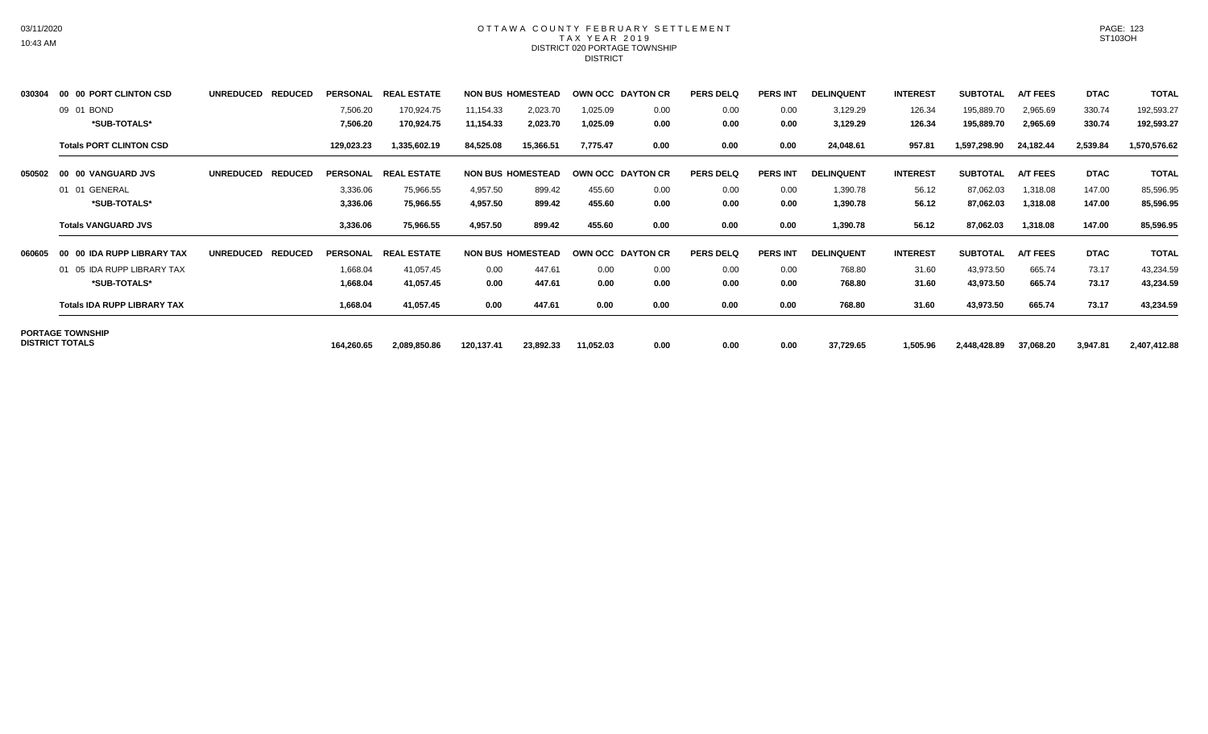## OTTAWA COUNTY FEBRUARY SETTLEMENT TAX YEAR 2019 DISTRICT 020 PORTAGE TOWNSHIP **DISTRICT**

| 030304 | 00 00 PORT CLINTON CSD             | <b>UNREDUCED</b> | <b>REDUCED</b> | <b>PERSONAL</b> | <b>REAL</b><br><b>ESTATE</b>  |            | <b>NON BUS HOMESTEAD</b> |           | OWN OCC DAYTON CR | <b>PERS DELQ</b> | <b>PERS INT</b> | <b>DELINQUENT</b> | <b>INTEREST</b> | <b>SUBTOTAL</b> | <b>A/T FEES</b> | <b>DTAC</b> | <b>TOTAL</b> |
|--------|------------------------------------|------------------|----------------|-----------------|-------------------------------|------------|--------------------------|-----------|-------------------|------------------|-----------------|-------------------|-----------------|-----------------|-----------------|-------------|--------------|
|        | 09 01 BOND                         |                  |                | 7,506.20        | 170,924.75                    | 11,154.33  | 2,023.70                 | 1,025.09  | 0.00              | 0.00             | 0.00            | 3,129.29          | 126.34          | 195,889.70      | 2,965.69        | 330.74      | 192,593.27   |
|        | *SUB-TOTALS*                       |                  |                | 7,506.20        | 170,924.75                    | 11,154.33  | 2,023.70                 | 1,025.09  | 0.00              | 0.00             | 0.00            | 3,129.29          | 126.34          | 195,889.70      | 2,965.69        | 330.74      | 192,593.27   |
|        | <b>Totals PORT CLINTON CSD</b>     |                  |                | 129,023.23      | 1,335,602.19                  | 84,525.08  | 15,366.51                | 7,775.47  | 0.00              | 0.00             | 0.00            | 24,048.61         | 957.81          | 1,597,298.90    | 24,182.44       | 2,539.84    | 1,570,576.62 |
| 050502 | 00 00 VANGUARD JVS                 | <b>UNREDUCED</b> | <b>REDUCED</b> | <b>PERSONAL</b> | <b>REAL ESTATE</b>            |            | <b>NON BUS HOMESTEAD</b> |           | OWN OCC DAYTON CR | <b>PERS DELQ</b> | <b>PERS INT</b> | <b>DELINQUENT</b> | <b>INTEREST</b> | <b>SUBTOTAL</b> | <b>A/T FEES</b> | <b>DTAC</b> | <b>TOTAL</b> |
|        | 01 01 GENERAL                      |                  |                | 3,336.06        | 75,966.55                     | 4,957.50   | 899.42                   | 455.60    | 0.00              | 0.00             | 0.00            | 1,390.78          | 56.12           | 87,062.03       | 1,318.08        | 147.00      | 85,596.95    |
|        | *SUB-TOTALS*                       |                  |                | 3,336.06        | 75,966.55                     | 4,957.50   | 899.42                   | 455.60    | 0.00              | 0.00             | 0.00            | 1,390.78          | 56.12           | 87,062.03       | 1,318.08        | 147.00      | 85,596.95    |
|        | <b>Totals VANGUARD JVS</b>         |                  |                | 3,336.06        | 75,966.55                     | 4,957.50   | 899.42                   | 455.60    | 0.00              | 0.00             | 0.00            | 1,390.78          | 56.12           | 87,062.03       | 1,318.08        | 147.00      | 85,596.95    |
| 060605 | 00 00 IDA RUPP LIBRARY TAX         | <b>UNREDUCED</b> | <b>REDUCED</b> | <b>PERSONAL</b> | <b>REAL</b><br><b>LESTATE</b> |            | <b>NON BUS HOMESTEAD</b> |           | OWN OCC DAYTON CR | <b>PERS DELQ</b> | <b>PERS INT</b> | <b>DELINQUENT</b> | <b>INTEREST</b> | <b>SUBTOTAL</b> | <b>A/T FEES</b> | <b>DTAC</b> | <b>TOTAL</b> |
|        | 01 05 IDA RUPP LIBRARY TAX         |                  |                | 1,668.04        | 41,057.45                     | 0.00       | 447.61                   | 0.00      | 0.00              | 0.00             | 0.00            | 768.80            | 31.60           | 43,973.50       | 665.74          | 73.17       | 43,234.59    |
|        | *SUB-TOTALS*                       |                  |                | 1,668.04        | 41,057.45                     | 0.00       | 447.61                   | 0.00      | 0.00              | 0.00             | 0.00            | 768.80            | 31.60           | 43,973.50       | 665.74          | 73.17       | 43,234.59    |
|        | <b>Totals IDA RUPP LIBRARY TAX</b> |                  |                | 1,668.04        | 41,057.45                     | 0.00       | 447.61                   | 0.00      | 0.00              | 0.00             | 0.00            | 768.80            | 31.60           | 43,973.50       | 665.74          | 73.17       | 43,234.59    |
|        | <b>PORTAGE TOWNSHIP</b>            |                  |                |                 |                               |            |                          |           |                   |                  |                 |                   |                 |                 |                 |             |              |
|        | <b>DISTRICT TOTALS</b>             |                  |                | 164,260.65      | 2,089,850.86                  | 120,137.41 | 23,892.33                | 11,052.03 | 0.00              | 0.00             | 0.00            | 37,729.65         | 1,505.96        | 2,448,428.89    | 37,068.20       | 3,947.81    | 2,407,412.88 |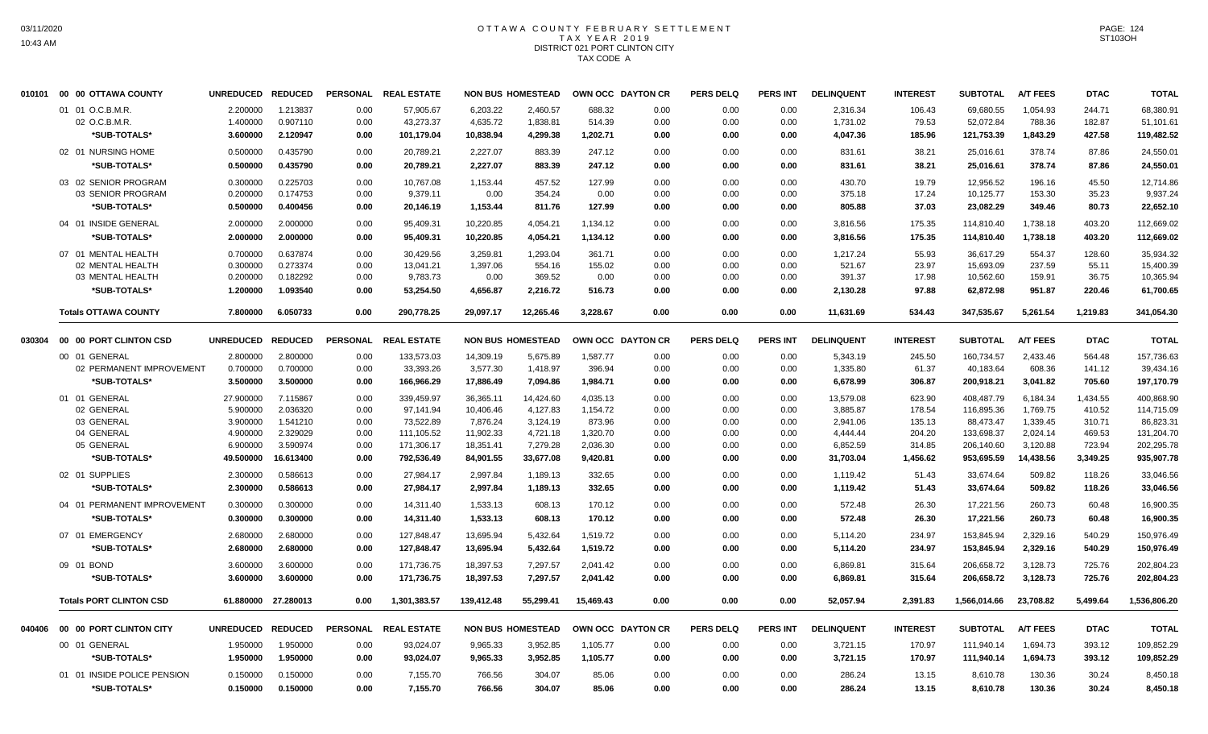## OTTAWA COUNTY FEBRUARY SETTLEMENT TAX YEAR 2019 DISTRICT 021 PORT CLINTON CITY TAX CODE A

|        | 010101 00 00 OTTAWA COUNTY     | UNREDUCED REDUCED |                     | <b>PERSONAL</b> | <b>REAL ESTATE</b>   |            | <b>NON BUS HOMESTEAD</b> | OWN OCC DAYTON CR |      | <b>PERS DELQ</b> | <b>PERS INT</b> | <b>DELINQUENT</b> | <b>INTEREST</b> | <b>SUBTOTAL</b> | <b>A/T FEES</b> | <b>DTAC</b> | <b>TOTAL</b> |
|--------|--------------------------------|-------------------|---------------------|-----------------|----------------------|------------|--------------------------|-------------------|------|------------------|-----------------|-------------------|-----------------|-----------------|-----------------|-------------|--------------|
|        | 01 01 O.C.B.M.R.               | 2.200000          | 1.213837            | 0.00            | 57,905.67            | 6,203.22   | 2.460.57                 | 688.32            | 0.00 | 0.00             | 0.00            | 2,316.34          | 106.43          | 69,680.55       | 1,054.93        | 244.71      | 68,380.91    |
|        | 02 O.C.B.M.R.                  | 1.400000          | 0.907110            | 0.00            | 43,273.37            | 4,635.72   | 1,838.81                 | 514.39            | 0.00 | 0.00             | 0.00            | 1,731.02          | 79.53           | 52,072.84       | 788.36          | 182.87      | 51,101.61    |
|        | *SUB-TOTALS*                   | 3.600000          | 2.120947            | 0.00            | 101,179.04           | 10,838.94  | 4,299.38                 | 1,202.71          | 0.00 | 0.00             | 0.00            | 4,047.36          | 185.96          | 121,753.39      | 1.843.29        | 427.58      | 119,482.52   |
|        | 02 01 NURSING HOME             | 0.500000          | 0.435790            | 0.00            | 20,789.21            | 2,227.07   | 883.39                   | 247.12            | 0.00 | 0.00             | 0.00            | 831.61            | 38.21           | 25,016.61       | 378.74          | 87.86       | 24,550.01    |
|        | *SUB-TOTALS*                   | 0.500000          | 0.435790            | 0.00            | 20.789.21            | 2.227.07   | 883.39                   | 247.12            | 0.00 | 0.00             | 0.00            | 831.61            | 38.21           | 25,016.61       | 378.74          | 87.86       | 24.550.01    |
|        | 03 02 SENIOR PROGRAM           | 0.300000          | 0.225703            | 0.00            | 10,767.08            | 1,153.44   | 457.52                   | 127.99            | 0.00 | 0.00             | 0.00            | 430.70            | 19.79           | 12,956.52       | 196.16          | 45.50       | 12,714.86    |
|        | 03 SENIOR PROGRAM              | 0.200000          | 0.174753            | 0.00            | 9,379.11             | 0.00       | 354.24                   | 0.00              | 0.00 | 0.00             | 0.00            | 375.18            | 17.24           | 10,125.77       | 153.30          | 35.23       | 9,937.24     |
|        | *SUB-TOTALS*                   | 0.500000          | 0.400456            | 0.00            | 20,146.19            | 1,153.44   | 811.76                   | 127.99            | 0.00 | 0.00             | 0.00            | 805.88            | 37.03           | 23,082.29       | 349.46          | 80.73       | 22,652.10    |
|        | 04 01 INSIDE GENERAL           | 2.000000          | 2.000000            | 0.00            | 95,409.31            | 10,220.85  | 4,054.21                 | 1,134.12          | 0.00 | 0.00             | 0.00            | 3,816.56          | 175.35          | 114,810.40      | 1,738.18        | 403.20      | 112,669.02   |
|        | *SUB-TOTALS*                   | 2.000000          | 2.000000            | 0.00            | 95,409.31            | 10,220.85  | 4,054.21                 | 1,134.12          | 0.00 | 0.00             | 0.00            | 3,816.56          | 175.35          | 114,810.40      | 1,738.18        | 403.20      | 112,669.02   |
|        | 07 01 MENTAL HEALTH            | 0.700000          | 0.637874            | 0.00            | 30,429.56            | 3,259.81   | 1,293.04                 | 361.71            | 0.00 | 0.00             | 0.00            | 1,217.24          | 55.93           | 36,617.29       | 554.37          | 128.60      | 35,934.32    |
|        | 02 MENTAL HEALTH               | 0.300000          | 0.273374            | 0.00            | 13,041.21            | 1,397.06   | 554.16                   | 155.02            | 0.00 | 0.00             | 0.00            | 521.67            | 23.97           | 15,693.09       | 237.59          | 55.11       | 15,400.39    |
|        | 03 MENTAL HEALTH               | 0.200000          | 0.182292            | 0.00            | 9,783.73             | 0.00       | 369.52                   | 0.00              | 0.00 | 0.00             | 0.00            | 391.37            | 17.98           | 10,562.60       | 159.91          | 36.75       | 10,365.94    |
|        | *SUB-TOTALS*                   | 1.200000          | 1.093540            | 0.00            | 53,254.50            | 4,656.87   | 2,216.72                 | 516.73            | 0.00 | 0.00             | 0.00            | 2,130.28          | 97.88           | 62,872.98       | 951.87          | 220.46      | 61,700.65    |
|        | <b>Totals OTTAWA COUNTY</b>    | 7.800000          | 6.050733            | 0.00            | 290.778.25           | 29.097.17  | 12,265.46                | 3,228.67          | 0.00 | 0.00             | 0.00            | 11,631.69         | 534.43          | 347,535.67      | 5,261.54        | 1,219.83    | 341,054.30   |
| 030304 | 00 00 PORT CLINTON CSD         | UNREDUCED REDUCED |                     | <b>PERSONAL</b> | <b>REAL ESTATE</b>   |            | <b>NON BUS HOMESTEAD</b> | OWN OCC DAYTON CR |      | <b>PERS DELQ</b> | <b>PERS INT</b> | <b>DELINQUENT</b> | <b>INTEREST</b> | <b>SUBTOTAL</b> | <b>A/T FEES</b> | <b>DTAC</b> | <b>TOTAL</b> |
|        | 00 01 GENERAL                  | 2.800000          | 2.800000            | 0.00            | 133,573.03           | 14,309.19  | 5,675.89                 | 1,587.77          | 0.00 | 0.00             | 0.00            | 5,343.19          | 245.50          | 160,734.57      | 2,433.46        | 564.48      | 157,736.63   |
|        | 02 PERMANENT IMPROVEMENT       | 0.700000          | 0.700000            | 0.00            | 33,393.26            | 3,577.30   | 1,418.97                 | 396.94            | 0.00 | 0.00             | 0.00            | 1,335.80          | 61.37           | 40,183.64       | 608.36          | 141.12      | 39,434.16    |
|        | *SUB-TOTALS*                   | 3.500000          | 3.500000            | 0.00            | 166,966.29           | 17,886.49  | 7,094.86                 | 1,984.71          | 0.00 | 0.00             | 0.00            | 6,678.99          | 306.87          | 200,918.21      | 3,041.82        | 705.60      | 197,170.79   |
|        | 01 01 GENERAL                  | 27.900000         | 7.115867            | 0.00            | 339,459.97           | 36,365.11  | 14,424.60                | 4,035.13          | 0.00 | 0.00             | 0.00            | 13,579.08         | 623.90          | 408,487.79      | 6,184.34        | 1,434.55    | 400,868.90   |
|        | 02 GENERAL                     | 5.900000          | 2.036320            | 0.00            | 97,141.94            | 10,406.46  | 4,127.83                 | 1,154.72          | 0.00 | 0.00             | 0.00            | 3,885.87          | 178.54          | 116,895.36      | 1,769.75        | 410.52      | 114,715.09   |
|        | 03 GENERAL                     | 3.900000          | 1.541210            | 0.00            | 73,522.89            | 7,876.24   | 3,124.19                 | 873.96            | 0.00 | 0.00             | 0.00            | 2,941.06          | 135.13          | 88,473.47       | 1,339.45        | 310.71      | 86,823.31    |
|        | 04 GENERAL                     | 4.900000          | 2.329029            | 0.00            | 111,105.52           | 11,902.33  | 4,721.18                 | 1,320.70          | 0.00 | 0.00             | 0.00            | 4,444.44          | 204.20          | 133,698.37      | 2,024.14        | 469.53      | 131,204.70   |
|        | 05 GENERAL                     | 6.900000          | 3.590974            | 0.00            | 171,306.17           | 18,351.41  | 7,279.28                 | 2,036.30          | 0.00 | 0.00             | 0.00            | 6,852.59          | 314.85          | 206,140.60      | 3.120.88        | 723.94      | 202,295.78   |
|        | *SUB-TOTALS*                   | 49.500000         | 16.613400           | 0.00            | 792,536.49           | 84,901.55  | 33,677.08                | 9,420.81          | 0.00 | 0.00             | 0.00            | 31,703.04         | 1,456.62        | 953,695.59      | 14,438.56       | 3,349.25    | 935,907.78   |
|        | 02 01 SUPPLIES                 | 2.300000          | 0.586613            | 0.00            | 27.984.17            | 2.997.84   | 1,189.13                 | 332.65            | 0.00 | 0.00             | 0.00            | 1,119.42          | 51.43           | 33,674.64       | 509.82          | 118.26      | 33,046.56    |
|        | *SUB-TOTALS*                   | 2.300000          | 0.586613            | 0.00            | 27,984.17            | 2,997.84   | 1,189.13                 | 332.65            | 0.00 | 0.00             | 0.00            | 1,119.42          | 51.43           | 33,674.64       | 509.82          | 118.26      | 33,046.56    |
|        | 04 01 PERMANENT IMPROVEMENT    | 0.300000          | 0.300000            | 0.00            | 14,311.40            | 1,533.13   | 608.13                   | 170.12            | 0.00 | 0.00             | 0.00            | 572.48            | 26.30           | 17,221.56       | 260.73          | 60.48       | 16,900.35    |
|        | *SUB-TOTALS*                   | 0.300000          | 0.300000            | 0.00            | 14,311.40            | 1,533.13   | 608.13                   | 170.12            | 0.00 | 0.00             | 0.00            | 572.48            | 26.30           | 17,221.56       | 260.73          | 60.48       | 16,900.35    |
|        | 07 01 EMERGENCY                | 2.680000          | 2.680000            | 0.00            | 127,848.47           | 13,695.94  | 5,432.64                 | 1,519.72          | 0.00 | 0.00             | 0.00            | 5,114.20          | 234.97          | 153.845.94      | 2.329.16        | 540.29      | 150,976.49   |
|        | *SUB-TOTALS*                   | 2.680000          | 2.680000            | 0.00            | 127,848.47           | 13,695.94  | 5,432.64                 | 1,519.72          | 0.00 | 0.00             | 0.00            | 5,114.20          | 234.97          | 153,845.94      | 2,329.16        | 540.29      | 150,976.49   |
|        | 09 01 BOND                     | 3.600000          | 3.600000            | 0.00            | 171,736.75           | 18,397.53  | 7,297.57                 | 2,041.42          | 0.00 | 0.00             | 0.00            | 6,869.81          | 315.64          | 206,658.72      | 3,128.73        | 725.76      | 202,804.23   |
|        | *SUB-TOTALS*                   | 3.600000          | 3.600000            | 0.00            | 171,736.75           | 18,397.53  | 7,297.57                 | 2,041.42          | 0.00 | 0.00             | 0.00            | 6,869.81          | 315.64          | 206,658.72      | 3,128.73        | 725.76      | 202,804.23   |
|        | <b>Totals PORT CLINTON CSD</b> |                   | 61.880000 27.280013 | 0.00            | 1,301,383.57         | 139,412.48 | 55,299.41                | 15,469.43         | 0.00 | 0.00             | 0.00            | 52,057.94         | 2,391.83        | 1,566,014.66    | 23,708.82       | 5,499.64    | 1,536,806.20 |
| 040406 | 00 00 PORT CLINTON CITY        | UNREDUCED REDUCED |                     |                 | PERSONAL REAL ESTATE |            | <b>NON BUS HOMESTEAD</b> | OWN OCC DAYTON CR |      | <b>PERS DELQ</b> | <b>PERS INT</b> | <b>DELINQUENT</b> | <b>INTEREST</b> | <b>SUBTOTAL</b> | <b>A/T FEES</b> | <b>DTAC</b> | <b>TOTAL</b> |
|        | 00 01 GENERAL                  | 1.950000          | 1.950000            | 0.00            | 93,024.07            | 9,965.33   | 3,952.85                 | 1,105.77          | 0.00 | 0.00             | 0.00            | 3,721.15          | 170.97          | 111,940.14      | 1.694.73        | 393.12      | 109,852.29   |
|        | *SUB-TOTALS*                   | 1.950000          | 1.950000            | 0.00            | 93,024.07            | 9,965.33   | 3,952.85                 | 1,105.77          | 0.00 | 0.00             | 0.00            | 3,721.15          | 170.97          | 111,940.14      | 1,694.73        | 393.12      | 109,852.29   |
|        |                                |                   |                     |                 |                      |            |                          |                   |      |                  |                 |                   |                 |                 |                 |             |              |
|        | 01 01 INSIDE POLICE PENSION    | 0.150000          | 0.150000            | 0.00            | 7,155.70             | 766.56     | 304.07                   | 85.06             | 0.00 | 0.00             | 0.00            | 286.24            | 13.15           | 8,610.78        | 130.36          | 30.24       | 8,450.18     |
|        | *SUB-TOTALS*                   | 0.150000          | 0.150000            | 0.00            | 7,155.70             | 766.56     | 304.07                   | 85.06             | 0.00 | 0.00             | 0.00            | 286.24            | 13.15           | 8,610.78        | 130.36          | 30.24       | 8,450.18     |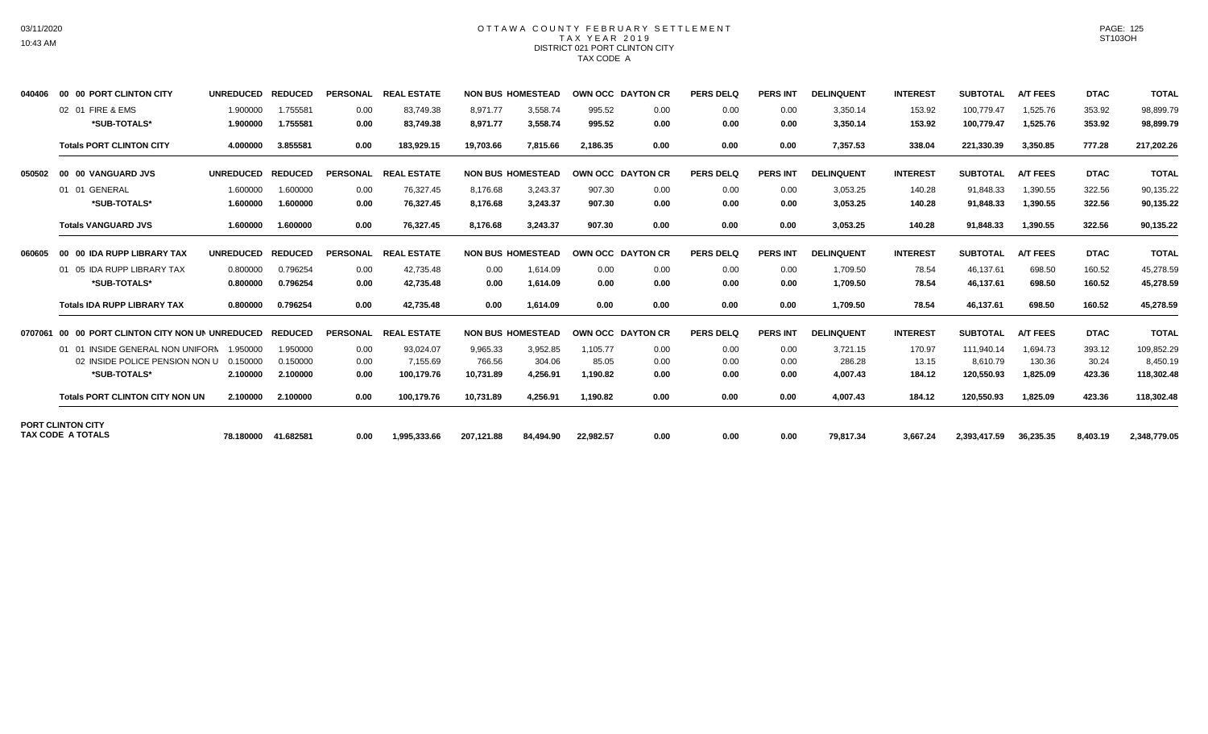### OTTAWA COUNTY FEBRUARY SETTLEMENT TAX YEAR 2019 DISTRICT 021 PORT CLINTON CITY TAX CODE A

| 040406  | 00 00 PORT CLINTON CITY                              | <b>UNREDUCED</b> | <b>REDUCED</b> | <b>PERSONAL</b> | <b>REAL ESTATE</b> | <b>NON BUS HOMESTEAD</b> |           | OWN OCC DAYTON CR |      | <b>PERS DELQ</b> | <b>PERS INT</b> | <b>DELINQUENT</b> | <b>INTEREST</b> | <b>SUBTOTAL</b> | <b>A/T FEES</b> | <b>DTAC</b> | <b>TOTAL</b> |
|---------|------------------------------------------------------|------------------|----------------|-----------------|--------------------|--------------------------|-----------|-------------------|------|------------------|-----------------|-------------------|-----------------|-----------------|-----------------|-------------|--------------|
|         | 02 01 FIRE & EMS                                     | 1.900000         | 1.755581       | 0.00            | 83,749.38          | 8,971.77                 | 3,558.74  | 995.52            | 0.00 | 0.00             | 0.00            | 3,350.14          | 153.92          | 100,779.47      | 1,525.76        | 353.92      | 98,899.79    |
|         | *SUB-TOTALS*                                         | 1.900000         | 1.755581       | 0.00            | 83,749.38          | 8,971.77                 | 3,558.74  | 995.52            | 0.00 | 0.00             | 0.00            | 3,350.14          | 153.92          | 100,779.47      | 1,525.76        | 353.92      | 98,899.79    |
|         | <b>Totals PORT CLINTON CITY</b>                      | 4.000000         | 3.855581       | 0.00            | 183,929.15         | 19,703.66                | 7,815.66  | 2,186.35          | 0.00 | 0.00             | 0.00            | 7,357.53          | 338.04          | 221,330.39      | 3,350.85        | 777.28      | 217,202.26   |
| 050502  | 00 00 VANGUARD JVS                                   | <b>UNREDUCED</b> | <b>REDUCED</b> | <b>PERSONAL</b> | <b>REAL ESTATE</b> | <b>NON BUS HOMESTEAD</b> |           | OWN OCC DAYTON CR |      | <b>PERS DELQ</b> | <b>PERS INT</b> | <b>DELINQUENT</b> | <b>INTEREST</b> | <b>SUBTOTAL</b> | <b>A/T FEES</b> | <b>DTAC</b> | <b>TOTAL</b> |
|         | 01 01 GENERAL                                        | 1.600000         | 1.600000       | 0.00            | 76.327.45          | 8.176.68                 | 3.243.37  | 907.30            | 0.00 | 0.00             | 0.00            | 3,053.25          | 140.28          | 91.848.33       | 1,390.55        | 322.56      | 90,135.22    |
|         | *SUB-TOTALS*                                         | 1.600000         | 1.600000       | 0.00            | 76,327.45          | 8,176.68                 | 3,243.37  | 907.30            | 0.00 | 0.00             | 0.00            | 3,053.25          | 140.28          | 91,848.33       | 1,390.55        | 322.56      | 90,135.22    |
|         | <b>Totals VANGUARD JVS</b>                           | 1.600000         | 1.600000       | 0.00            | 76.327.45          | 8.176.68                 | 3.243.37  | 907.30            | 0.00 | 0.00             | 0.00            | 3.053.25          | 140.28          | 91,848.33       | 1.390.55        | 322.56      | 90,135.22    |
| 060605  | 00 00 IDA RUPP LIBRARY TAX                           | <b>UNREDUCED</b> | <b>REDUCED</b> | <b>PERSONAL</b> | <b>REAL ESTATE</b> | <b>NON BUS HOMESTEAD</b> |           | OWN OCC DAYTON CR |      | <b>PERS DELQ</b> | <b>PERS INT</b> | <b>DELINQUENT</b> | <b>INTEREST</b> | <b>SUBTOTAL</b> | <b>A/T FEES</b> | <b>DTAC</b> | <b>TOTAL</b> |
|         | 01 05 IDA RUPP LIBRARY TAX                           | 0.800000         | 0.796254       | 0.00            | 42.735.48          | 0.00                     | 1.614.09  | 0.00              | 0.00 | 0.00             | 0.00            | 1.709.50          | 78.54           | 46.137.61       | 698.50          | 160.52      | 45,278.59    |
|         | *SUB-TOTALS*                                         | 0.800000         | 0.796254       | 0.00            | 42,735.48          | 0.00                     | 1,614.09  | 0.00              | 0.00 | 0.00             | 0.00            | 1,709.50          | 78.54           | 46,137.61       | 698.50          | 160.52      | 45,278.59    |
|         | <b>Totals IDA RUPP LIBRARY TAX</b>                   | 0.800000         | 0.796254       | 0.00            | 42,735.48          | 0.00                     | 1,614.09  | 0.00              | 0.00 | 0.00             | 0.00            | 1,709.50          | 78.54           | 46,137.61       | 698.50          | 160.52      | 45,278.59    |
| 0707061 | 00 00 PORT CLINTON CITY NON UN UNREDUCED             |                  | <b>REDUCED</b> | PERSONAL        | <b>REAL ESTATE</b> | <b>NON BUS HOMESTEAD</b> |           | OWN OCC DAYTON CR |      | <b>PERS DELQ</b> | <b>PERS INT</b> | <b>DELINQUENT</b> | <b>INTEREST</b> | <b>SUBTOTAL</b> | <b>A/T FEES</b> | <b>DTAC</b> | <b>TOTAL</b> |
|         | 01 01 INSIDE GENERAL NON UNIFORN                     | 1.950000         | 1.950000       | 0.00            | 93.024.07          | 9.965.33                 | 3.952.85  | 1.105.77          | 0.00 | 0.00             | 0.00            | 3.721.15          | 170.97          | 111.940.14      | 1.694.73        | 393.12      | 109,852.29   |
|         | 02 INSIDE POLICE PENSION NON U                       | 0.150000         | 0.150000       | 0.00            | 7,155.69           | 766.56                   | 304.06    | 85.05             | 0.00 | 0.00             | 0.00            | 286.28            | 13.15           | 8.610.79        | 130.36          | 30.24       | 8,450.19     |
|         | *SUB-TOTALS*                                         | 2.100000         | 2.100000       | 0.00            | 100,179.76         | 10.731.89                | 4.256.91  | 1,190.82          | 0.00 | 0.00             | 0.00            | 4.007.43          | 184.12          | 120.550.93      | 1.825.09        | 423.36      | 118,302.48   |
|         | <b>Totals PORT CLINTON CITY NON UN</b>               | 2.100000         | 2.100000       | 0.00            | 100,179.76         | 10,731.89                | 4,256.91  | 1,190.82          | 0.00 | 0.00             | 0.00            | 4,007.43          | 184.12          | 120,550.93      | 1,825.09        | 423.36      | 118,302.48   |
|         | <b>PORT CLINTON CITY</b><br><b>TAX CODE A TOTALS</b> | 78.180000        | 41.682581      | 0.00            | 1.995.333.66       | 207.121.88               | 84,494.90 | 22.982.57         | 0.00 | 0.00             | 0.00            | 79,817.34         | 3.667.24        | 2.393.417.59    | 36.235.35       | 8,403.19    | 2,348,779.05 |
|         |                                                      |                  |                |                 |                    |                          |           |                   |      |                  |                 |                   |                 |                 |                 |             |              |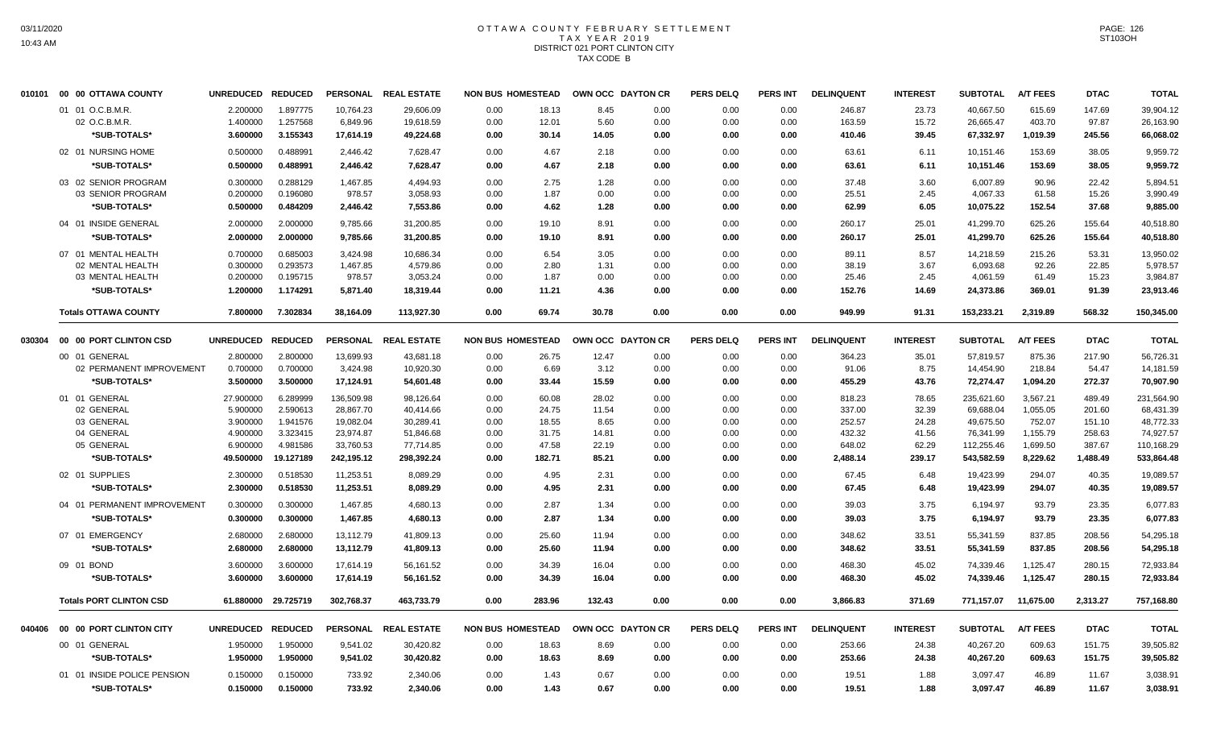#### OTTAWA COUNTY FEBRUARY SETTLEMENT T A X Y E A R 2 0 1 9 DISTRICT 021 PORT CLINTON CITY TAX CODE B

| 010101 | 00 00 OTTAWA COUNTY            | <b>UNREDUCED</b> | <b>REDUCED</b> |            | PERSONAL REAL ESTATE | <b>NON BUS HOMESTEAD</b> |        |        | OWN OCC DAYTON CR | <b>PERS DELQ</b> | <b>PERS INT</b> | <b>DELINQUENT</b> | <b>INTEREST</b> | <b>SUBTOTAL</b> | <b>A/T FEES</b> | <b>DTAC</b> | <b>TOTAL</b> |
|--------|--------------------------------|------------------|----------------|------------|----------------------|--------------------------|--------|--------|-------------------|------------------|-----------------|-------------------|-----------------|-----------------|-----------------|-------------|--------------|
|        | 01 01 O.C.B.M.R.               | 2.200000         | 1.897775       | 10,764.23  | 29,606.09            | 0.00                     | 18.13  | 8.45   | 0.00              | 0.00             | 0.00            | 246.87            | 23.73           | 40,667.50       | 615.69          | 147.69      | 39,904.12    |
|        | 02 O.C.B.M.R.                  | 1.400000         | 1.257568       | 6,849.96   | 19,618.59            | 0.00                     | 12.01  | 5.60   | 0.00              | 0.00             | 0.00            | 163.59            | 15.72           | 26,665.47       | 403.70          | 97.87       | 26,163.90    |
|        | *SUB-TOTALS*                   | 3.600000         | 3.155343       | 17,614.19  | 49,224.68            | 0.00                     | 30.14  | 14.05  | 0.00              | 0.00             | 0.00            | 410.46            | 39.45           | 67,332.97       | 1,019.39        | 245.56      | 66,068.02    |
|        | 02 01 NURSING HOME             | 0.500000         | 0.488991       | 2,446.42   | 7,628.47             | 0.00                     | 4.67   | 2.18   | 0.00              | 0.00             | 0.00            | 63.61             | 6.11            | 10,151.46       | 153.69          | 38.05       | 9,959.72     |
|        | *SUB-TOTALS*                   | 0.500000         | 0.488991       | 2,446.42   | 7,628.47             | 0.00                     | 4.67   | 2.18   | 0.00              | 0.00             | 0.00            | 63.61             | 6.11            | 10,151.46       | 153.69          | 38.05       | 9,959.72     |
|        | 03 02 SENIOR PROGRAM           | 0.300000         | 0.288129       | 1,467.85   | 4,494.93             | 0.00                     | 2.75   | 1.28   | 0.00              | 0.00             | 0.00            | 37.48             | 3.60            | 6,007.89        | 90.96           | 22.42       | 5,894.51     |
|        | 03 SENIOR PROGRAM              | 0.200000         | 0.196080       | 978.57     | 3,058.93             | 0.00                     | 1.87   | 0.00   | 0.00              | 0.00             | 0.00            | 25.51             | 2.45            | 4,067.33        | 61.58           | 15.26       | 3,990.49     |
|        | *SUB-TOTALS*                   | 0.500000         | 0.484209       | 2,446.42   | 7,553.86             | 0.00                     | 4.62   | 1.28   | 0.00              | 0.00             | 0.00            | 62.99             | 6.05            | 10,075.22       | 152.54          | 37.68       | 9,885.00     |
|        | 04 01 INSIDE GENERAL           | 2.000000         | 2.000000       | 9,785.66   | 31,200.85            | 0.00                     | 19.10  | 8.91   | 0.00              | 0.00             | 0.00            | 260.17            | 25.01           | 41,299.70       | 625.26          | 155.64      | 40,518.80    |
|        | *SUB-TOTALS*                   | 2.000000         | 2.000000       | 9,785.66   | 31,200.85            | 0.00                     | 19.10  | 8.91   | 0.00              | 0.00             | 0.00            | 260.17            | 25.01           | 41,299.70       | 625.26          | 155.64      | 40,518.80    |
|        | 07 01 MENTAL HEALTH            | 0.700000         | 0.685003       | 3,424.98   | 10,686.34            | 0.00                     | 6.54   | 3.05   | 0.00              | 0.00             | 0.00            | 89.11             | 8.57            | 14,218.59       | 215.26          | 53.31       | 13,950.02    |
|        | 02 MENTAL HEALTH               | 0.300000         | 0.293573       | 1,467.85   | 4,579.86             | 0.00                     | 2.80   | 1.31   | 0.00              | 0.00             | 0.00            | 38.19             | 3.67            | 6,093.68        | 92.26           | 22.85       | 5,978.57     |
|        | 03 MENTAL HEALTH               | 0.200000         | 0.195715       | 978.57     | 3,053.24             | 0.00                     | 1.87   | 0.00   | 0.00              | 0.00             | 0.00            | 25.46             | 2.45            | 4,061.59        | 61.49           | 15.23       | 3,984.87     |
|        | *SUB-TOTALS*                   | 1.200000         | 1.174291       | 5,871.40   | 18,319.44            | 0.00                     | 11.21  | 4.36   | 0.00              | 0.00             | 0.00            | 152.76            | 14.69           | 24,373.86       | 369.01          | 91.39       | 23,913.46    |
|        | <b>Totals OTTAWA COUNTY</b>    | 7.800000         | 7.302834       | 38,164.09  | 113,927.30           | 0.00                     | 69.74  | 30.78  | 0.00              | 0.00             | 0.00            | 949.99            | 91.31           | 153,233.21      | 2,319.89        | 568.32      | 150,345.00   |
| 030304 | 00 00 PORT CLINTON CSD         | <b>UNREDUCED</b> | <b>REDUCED</b> |            | PERSONAL REAL ESTATE | <b>NON BUS HOMESTEAD</b> |        |        | OWN OCC DAYTON CR | <b>PERS DELQ</b> | <b>PERS INT</b> | <b>DELINQUENT</b> | <b>INTEREST</b> | <b>SUBTOTAL</b> | <b>A/T FEES</b> | <b>DTAC</b> | <b>TOTAL</b> |
|        | 00 01 GENERAL                  | 2.800000         | 2.800000       | 13,699.93  | 43,681.18            | 0.00                     | 26.75  | 12.47  | 0.00              | 0.00             | 0.00            | 364.23            | 35.01           | 57,819.57       | 875.36          | 217.90      | 56,726.31    |
|        | 02 PERMANENT IMPROVEMENT       | 0.700000         | 0.700000       | 3,424.98   | 10,920.30            | 0.00                     | 6.69   | 3.12   | 0.00              | 0.00             | 0.00            | 91.06             | 8.75            | 14,454.90       | 218.84          | 54.47       | 14,181.59    |
|        | *SUB-TOTALS*                   | 3.500000         | 3.500000       | 17,124.91  | 54,601.48            | 0.00                     | 33.44  | 15.59  | 0.00              | 0.00             | 0.00            | 455.29            | 43.76           | 72,274.47       | 1,094.20        | 272.37      | 70,907.90    |
|        | 01 01 GENERAL                  | 27.900000        | 6.289999       | 136,509.98 | 98,126.64            | 0.00                     | 60.08  | 28.02  | 0.00              | 0.00             | 0.00            | 818.23            | 78.65           | 235,621.60      | 3,567.21        | 489.49      | 231,564.90   |
|        | 02 GENERAL                     | 5.900000         | 2.590613       | 28,867.70  | 40,414.66            | 0.00                     | 24.75  | 11.54  | 0.00              | 0.00             | 0.00            | 337.00            | 32.39           | 69,688.04       | 1,055.05        | 201.60      | 68,431.39    |
|        | 03 GENERAL                     | 3.900000         | 1.941576       | 19,082.04  | 30,289.41            | 0.00                     | 18.55  | 8.65   | 0.00              | 0.00             | 0.00            | 252.57            | 24.28           | 49,675.50       | 752.07          | 151.10      | 48,772.33    |
|        | 04 GENERAL                     | 4.900000         | 3.323415       | 23,974.87  | 51,846.68            | 0.00                     | 31.75  | 14.81  | 0.00              | 0.00             | 0.00            | 432.32            | 41.56           | 76,341.99       | 1,155.79        | 258.63      | 74,927.57    |
|        | 05 GENERAL                     | 6.900000         | 4.981586       | 33,760.53  | 77,714.85            | 0.00                     | 47.58  | 22.19  | 0.00              | 0.00             | 0.00            | 648.02            | 62.29           | 112,255.46      | 1,699.50        | 387.67      | 110,168.29   |
|        | *SUB-TOTALS*                   | 49.500000        | 19.127189      | 242,195.12 | 298,392.24           | 0.00                     | 182.71 | 85.21  | 0.00              | 0.00             | 0.00            | 2,488.14          | 239.17          | 543,582.59      | 8,229.62        | 1,488.49    | 533,864.48   |
|        | 02 01 SUPPLIES                 | 2.300000         | 0.518530       | 11,253.51  | 8,089.29             | 0.00                     | 4.95   | 2.31   | 0.00              | 0.00             | 0.00            | 67.45             | 6.48            | 19,423.99       | 294.07          | 40.35       | 19,089.57    |
|        | *SUB-TOTALS*                   | 2.300000         | 0.518530       | 11,253.51  | 8,089.29             | 0.00                     | 4.95   | 2.31   | 0.00              | 0.00             | 0.00            | 67.45             | 6.48            | 19,423.99       | 294.07          | 40.35       | 19,089.57    |
|        | 04 01 PERMANENT IMPROVEMENT    | 0.300000         | 0.300000       | 1,467.85   | 4,680.13             | 0.00                     | 2.87   | 1.34   | 0.00              | 0.00             | 0.00            | 39.03             | 3.75            | 6,194.97        | 93.79           | 23.35       | 6,077.83     |
|        | *SUB-TOTALS*                   | 0.300000         | 0.300000       | 1,467.85   | 4,680.13             | 0.00                     | 2.87   | 1.34   | 0.00              | 0.00             | 0.00            | 39.03             | 3.75            | 6,194.97        | 93.79           | 23.35       | 6,077.83     |
|        | 07 01 EMERGENCY                | 2.680000         | 2.680000       | 13,112.79  | 41,809.13            | 0.00                     | 25.60  | 11.94  | 0.00              | 0.00             | 0.00            | 348.62            | 33.51           | 55,341.59       | 837.85          | 208.56      | 54,295.18    |
|        | *SUB-TOTALS*                   | 2.680000         | 2.680000       | 13,112.79  | 41,809.13            | 0.00                     | 25.60  | 11.94  | 0.00              | 0.00             | 0.00            | 348.62            | 33.51           | 55,341.59       | 837.85          | 208.56      | 54,295.18    |
|        | 09 01 BOND                     | 3.600000         | 3.600000       | 17.614.19  | 56,161.52            | 0.00                     | 34.39  | 16.04  | 0.00              | 0.00             | 0.00            | 468.30            | 45.02           | 74.339.46       | 1,125.47        | 280.15      | 72.933.84    |
|        | *SUB-TOTALS*                   | 3.600000         | 3.600000       | 17,614.19  | 56,161.52            | 0.00                     | 34.39  | 16.04  | 0.00              | 0.00             | 0.00            | 468.30            | 45.02           | 74,339.46       | 1,125.47        | 280.15      | 72,933.84    |
|        | <b>Totals PORT CLINTON CSD</b> | 61.880000        | 29.725719      | 302,768.37 | 463,733.79           | 0.00                     | 283.96 | 132.43 | 0.00              | 0.00             | 0.00            | 3,866.83          | 371.69          | 771,157.07      | 11,675.00       | 2,313.27    | 757,168.80   |
| 040406 | 00 00 PORT CLINTON CITY        | <b>UNREDUCED</b> | <b>REDUCED</b> |            | PERSONAL REAL ESTATE | <b>NON BUS HOMESTEAD</b> |        |        | OWN OCC DAYTON CR | <b>PERS DELQ</b> | <b>PERS INT</b> | <b>DELINQUENT</b> | <b>INTEREST</b> | <b>SUBTOTAL</b> | <b>A/T FEES</b> | <b>DTAC</b> | <b>TOTAL</b> |
|        |                                |                  |                |            |                      |                          |        |        |                   |                  |                 |                   |                 |                 |                 |             |              |
|        | 00 01 GENERAL                  | 1.950000         | 1.950000       | 9,541.02   | 30,420.82            | 0.00                     | 18.63  | 8.69   | 0.00              | 0.00             | 0.00            | 253.66            | 24.38           | 40,267.20       | 609.63          | 151.75      | 39,505.82    |
|        | *SUB-TOTALS*                   | 1.950000         | 1.950000       | 9,541.02   | 30,420.82            | 0.00                     | 18.63  | 8.69   | 0.00              | 0.00             | 0.00            | 253.66            | 24.38           | 40,267.20       | 609.63          | 151.75      | 39,505.82    |
|        | 01 01 INSIDE POLICE PENSION    | 0.150000         | 0.150000       | 733.92     | 2,340.06             | 0.00                     | 1.43   | 0.67   | 0.00              | 0.00             | 0.00            | 19.51             | 1.88            | 3,097.47        | 46.89           | 11.67       | 3,038.91     |
|        | *SUB-TOTALS*                   | 0.150000         | 0.150000       | 733.92     | 2,340.06             | 0.00                     | 1.43   | 0.67   | 0.00              | 0.00             | 0.00            | 19.51             | 1.88            | 3,097.47        | 46.89           | 11.67       | 3,038.91     |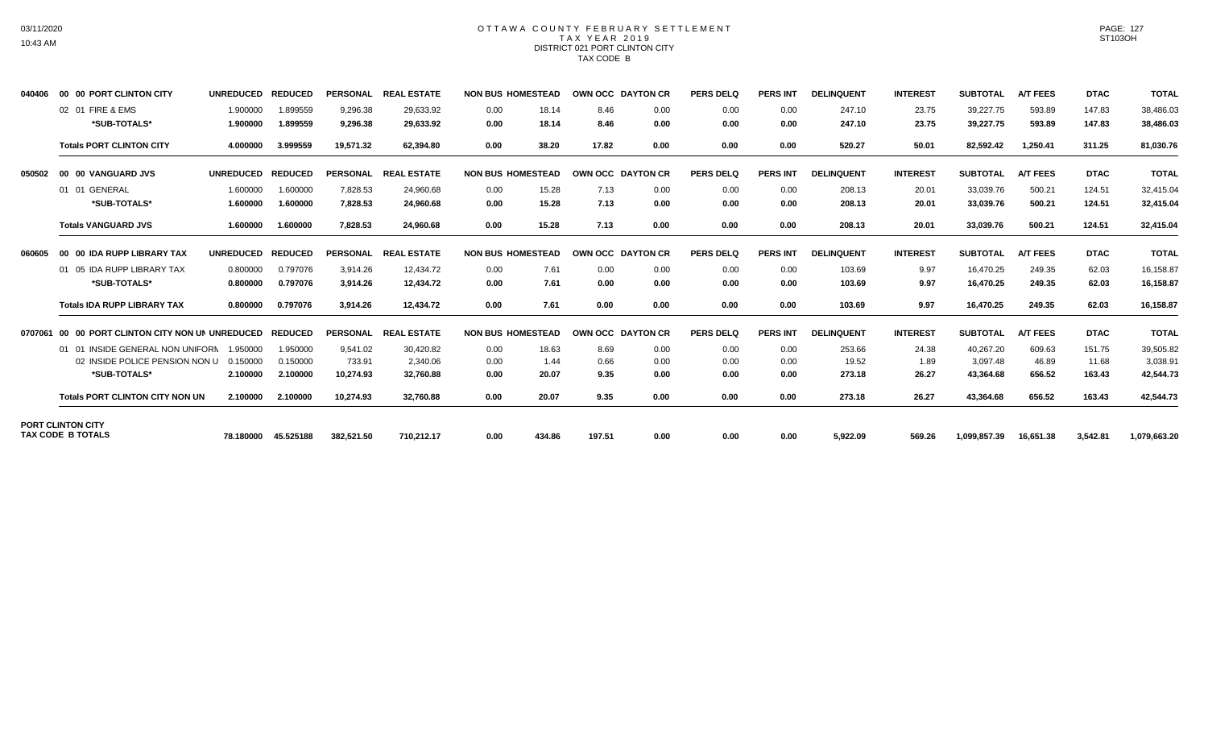### OTTAWA COUNTY FEBRUARY SETTLEMENT TAX YEAR 2019 DISTRICT 021 PORT CLINTON CITY TAX CODE B

| 040406  | 00 00 PORT CLINTON CITY                              | <b>UNREDUCED</b> | <b>REDUCED</b> | <b>PERSONAL</b> | <b>REAL ESTATE</b>   | <b>NON BUS HOMESTEAD</b> |        | OWN OCC DAYTON CR |                   | <b>PERS DELQ</b> | <b>PERS INT</b> | <b>DELINQUENT</b> | <b>INTEREST</b> | <b>SUBTOTAL</b> | <b>A/T FEES</b> | <b>DTAC</b> | <b>TOTAL</b> |
|---------|------------------------------------------------------|------------------|----------------|-----------------|----------------------|--------------------------|--------|-------------------|-------------------|------------------|-----------------|-------------------|-----------------|-----------------|-----------------|-------------|--------------|
|         | 02 01 FIRE & EMS                                     | 1.900000         | 1.899559       | 9,296.38        | 29,633.92            | 0.00                     | 18.14  | 8.46              | 0.00              | 0.00             | 0.00            | 247.10            | 23.75           | 39,227.75       | 593.89          | 147.83      | 38,486.03    |
|         | *SUB-TOTALS*                                         | 1.900000         | 1.899559       | 9,296.38        | 29,633.92            | 0.00                     | 18.14  | 8.46              | 0.00              | 0.00             | 0.00            | 247.10            | 23.75           | 39,227.75       | 593.89          | 147.83      | 38,486.03    |
|         | <b>Totals PORT CLINTON CITY</b>                      | 4.000000         | 3.999559       | 19,571.32       | 62,394.80            | 0.00                     | 38.20  | 17.82             | 0.00              | 0.00             | 0.00            | 520.27            | 50.01           | 82,592.42       | 1,250.41        | 311.25      | 81,030.76    |
| 050502  | 00 00 VANGUARD JVS                                   | <b>UNREDUCED</b> | <b>REDUCED</b> | <b>PERSONAL</b> | <b>REAL ESTATE</b>   | <b>NON BUS HOMESTEAD</b> |        |                   | OWN OCC DAYTON CR | <b>PERS DELQ</b> | <b>PERS INT</b> | <b>DELINQUENT</b> | <b>INTEREST</b> | <b>SUBTOTAL</b> | <b>A/T FEES</b> | <b>DTAC</b> | <b>TOTAL</b> |
|         | 01 01 GENERAL                                        | 1.600000         | 1.600000       | 7,828.53        | 24,960.68            | 0.00                     | 15.28  | 7.13              | 0.00              | 0.00             | 0.00            | 208.13            | 20.01           | 33,039.76       | 500.21          | 124.51      | 32,415.04    |
|         | *SUB-TOTALS*                                         | 1.600000         | 1.600000       | 7,828.53        | 24,960.68            | 0.00                     | 15.28  | 7.13              | 0.00              | 0.00             | 0.00            | 208.13            | 20.01           | 33,039.76       | 500.21          | 124.51      | 32,415.04    |
|         | <b>Totals VANGUARD JVS</b>                           | 1.600000         | 1.600000       | 7.828.53        | 24.960.68            | 0.00                     | 15.28  | 7.13              | 0.00              | 0.00             | 0.00            | 208.13            | 20.01           | 33,039.76       | 500.21          | 124.51      | 32,415.04    |
| 060605  | 00 00 IDA RUPP LIBRARY TAX                           | <b>UNREDUCED</b> | <b>REDUCED</b> | <b>PERSONAL</b> | <b>REAL ESTATE</b>   | <b>NON BUS HOMESTEAD</b> |        | OWN OCC DAYTON CR |                   | <b>PERS DELQ</b> | <b>PERS INT</b> | <b>DELINQUENT</b> | <b>INTEREST</b> | <b>SUBTOTAL</b> | <b>A/T FEES</b> | <b>DTAC</b> | <b>TOTAL</b> |
|         | 01 05 IDA RUPP LIBRARY TAX                           | 0.800000         | 0.797076       | 3,914.26        | 12,434.72            | 0.00                     | 7.61   | 0.00              | 0.00              | 0.00             | 0.00            | 103.69            | 9.97            | 16,470.25       | 249.35          | 62.03       | 16,158.87    |
|         | *SUB-TOTALS*                                         | 0.800000         | 0.797076       | 3.914.26        | 12.434.72            | 0.00                     | 7.61   | 0.00              | 0.00              | 0.00             | 0.00            | 103.69            | 9.97            | 16,470.25       | 249.35          | 62.03       | 16,158.87    |
|         | <b>Totals IDA RUPP LIBRARY TAX</b>                   | 0.800000         | 0.797076       | 3,914.26        | 12,434.72            | 0.00                     | 7.61   | 0.00              | 0.00              | 0.00             | 0.00            | 103.69            | 9.97            | 16,470.25       | 249.35          | 62.03       | 16,158.87    |
| 0707061 | 00 00 PORT CLINTON CITY NON UN UNREDUCED             |                  | <b>REDUCED</b> |                 | PERSONAL REAL ESTATE | <b>NON BUS HOMESTEAD</b> |        | OWN OCC DAYTON CR |                   | <b>PERS DELQ</b> | PERS INT        | <b>DELINQUENT</b> | <b>INTEREST</b> | <b>SUBTOTAL</b> | <b>A/T FEES</b> | <b>DTAC</b> | <b>TOTAL</b> |
|         | 01 01 INSIDE GENERAL NON UNIFORN                     | 1.950000         | 1.950000       | 9.541.02        | 30.420.82            | 0.00                     | 18.63  | 8.69              | 0.00              | 0.00             | 0.00            | 253.66            | 24.38           | 40.267.20       | 609.63          | 151.75      | 39,505.82    |
|         | 02 INSIDE POLICE PENSION NON U                       | 0.150000         | 0.150000       | 733.91          | 2,340.06             | 0.00                     | 1.44   | 0.66              | 0.00              | 0.00             | 0.00            | 19.52             | 1.89            | 3,097.48        | 46.89           | 11.68       | 3,038.91     |
|         | *SUB-TOTALS*                                         | 2.100000         | 2.100000       | 10,274.93       | 32,760.88            | 0.00                     | 20.07  | 9.35              | 0.00              | 0.00             | 0.00            | 273.18            | 26.27           | 43,364.68       | 656.52          | 163.43      | 42,544.73    |
|         | <b>Totals PORT CLINTON CITY NON UN</b>               | 2.100000         | 2.100000       | 10,274.93       | 32,760.88            | 0.00                     | 20.07  | 9.35              | 0.00              | 0.00             | 0.00            | 273.18            | 26.27           | 43,364.68       | 656.52          | 163.43      | 42,544.73    |
|         | <b>PORT CLINTON CITY</b><br><b>TAX CODE B TOTALS</b> |                  |                |                 |                      |                          |        |                   |                   |                  |                 |                   |                 |                 |                 |             |              |
|         |                                                      | 78.180000        | 45.525188      | 382,521.50      | 710,212.17           | 0.00                     | 434.86 | 197.51            | 0.00              | 0.00             | 0.00            | 5,922.09          | 569.26          | 1,099,857.39    | 16,651.38       | 3,542.81    | 1,079,663.20 |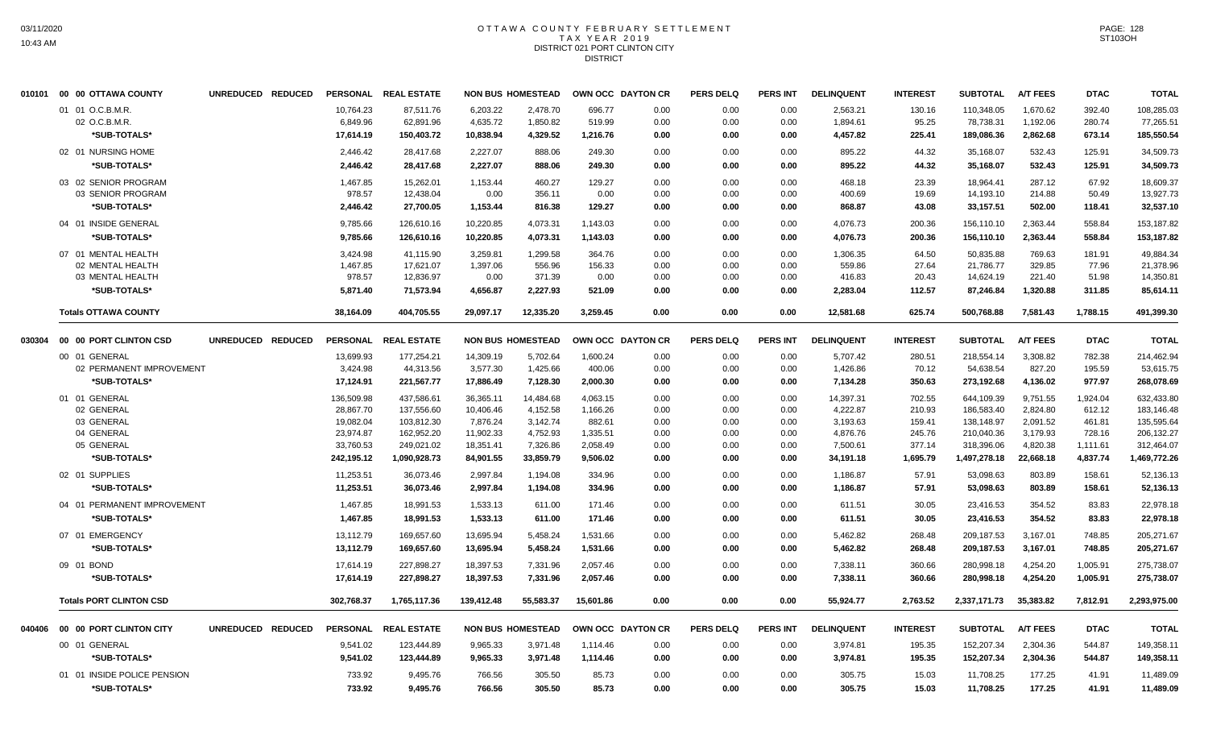#### OTTAWA COUNTY FEBRUARY SETTLEMENT T A X Y E A R 2 0 1 9 DISTRICT 021 PORT CLINTON CITY **DISTRICT**

|        | 010101 00 00 OTTAWA COUNTY     | UNREDUCED REDUCED |            | PERSONAL REAL ESTATE |            | <b>NON BUS HOMESTEAD</b> |           | OWN OCC DAYTON CR | <b>PERS DELQ</b> | <b>PERS INT</b> | <b>DELINQUENT</b> | <b>INTEREST</b> | <b>SUBTOTAL</b> | <b>A/T FEES</b> | <b>DTAC</b> | <b>TOTAL</b> |
|--------|--------------------------------|-------------------|------------|----------------------|------------|--------------------------|-----------|-------------------|------------------|-----------------|-------------------|-----------------|-----------------|-----------------|-------------|--------------|
|        | 01 01 O.C.B.M.R                |                   | 10,764.23  | 87,511.76            | 6,203.22   | 2,478.70                 | 696.77    | 0.00              | 0.00             | 0.00            | 2,563.21          | 130.16          | 110,348.05      | 1,670.62        | 392.40      | 108,285.03   |
|        | 02 O.C.B.M.R.                  |                   | 6,849.96   | 62,891.96            | 4,635.72   | 1,850.82                 | 519.99    | 0.00              | 0.00             | 0.00            | 1,894.61          | 95.25           | 78,738.31       | 1,192.06        | 280.74      | 77,265.51    |
|        | *SUB-TOTALS*                   |                   | 17,614.19  | 150,403.72           | 10,838.94  | 4,329.52                 | 1,216.76  | 0.00              | 0.00             | 0.00            | 4,457.82          | 225.41          | 189,086.36      | 2,862.68        | 673.14      | 185,550.54   |
|        | 02 01 NURSING HOME             |                   | 2,446.42   | 28,417.68            | 2,227.07   | 888.06                   | 249.30    | 0.00              | 0.00             | 0.00            | 895.22            | 44.32           | 35,168.07       | 532.43          | 125.91      | 34,509.73    |
|        | *SUB-TOTALS*                   |                   | 2,446.42   | 28,417.68            | 2,227.07   | 888.06                   | 249.30    | 0.00              | 0.00             | 0.00            | 895.22            | 44.32           | 35,168.07       | 532.43          | 125.91      | 34,509.73    |
|        | 03 02 SENIOR PROGRAM           |                   | 1,467.85   | 15,262.01            | 1,153.44   | 460.27                   | 129.27    | 0.00              | 0.00             | 0.00            | 468.18            | 23.39           | 18,964.41       | 287.12          | 67.92       | 18,609.37    |
|        | 03 SENIOR PROGRAM              |                   | 978.57     | 12,438.04            | 0.00       | 356.11                   | 0.00      | 0.00              | 0.00             | 0.00            | 400.69            | 19.69           | 14,193.10       | 214.88          | 50.49       | 13,927.73    |
|        | *SUB-TOTALS*                   |                   | 2,446.42   | 27,700.05            | 1,153.44   | 816.38                   | 129.27    | 0.00              | 0.00             | 0.00            | 868.87            | 43.08           | 33,157.51       | 502.00          | 118.41      | 32,537.10    |
|        | 04 01 INSIDE GENERAL           |                   | 9,785.66   | 126,610.16           | 10,220.85  | 4,073.31                 | 1,143.03  | 0.00              | 0.00             | 0.00            | 4,076.73          | 200.36          | 156,110.10      | 2,363.44        | 558.84      | 153,187.82   |
|        | *SUB-TOTALS*                   |                   | 9,785.66   | 126,610.16           | 10,220.85  | 4,073.31                 | 1,143.03  | 0.00              | 0.00             | 0.00            | 4,076.73          | 200.36          | 156,110.10      | 2,363.44        | 558.84      | 153,187.82   |
|        | 07 01 MENTAL HEALTH            |                   | 3,424.98   | 41,115.90            | 3,259.81   | 1,299.58                 | 364.76    | 0.00              | 0.00             | 0.00            | 1,306.35          | 64.50           | 50,835.88       | 769.63          | 181.91      | 49,884.34    |
|        | 02 MENTAL HEALTH               |                   | 1,467.85   | 17,621.07            | 1,397.06   | 556.96                   | 156.33    | 0.00              | 0.00             | 0.00            | 559.86            | 27.64           | 21,786.77       | 329.85          | 77.96       | 21,378.96    |
|        | 03 MENTAL HEALTH               |                   | 978.57     | 12,836.97            | 0.00       | 371.39                   | 0.00      | 0.00              | 0.00             | 0.00            | 416.83            | 20.43           | 14,624.19       | 221.40          | 51.98       | 14,350.81    |
|        | *SUB-TOTALS*                   |                   | 5,871.40   | 71,573.94            | 4,656.87   | 2,227.93                 | 521.09    | 0.00              | 0.00             | 0.00            | 2,283.04          | 112.57          | 87,246.84       | 1,320.88        | 311.85      | 85,614.11    |
|        | <b>Totals OTTAWA COUNTY</b>    |                   | 38,164.09  | 404,705.55           | 29,097.17  | 12,335.20                | 3,259.45  | 0.00              | 0.00             | 0.00            | 12,581.68         | 625.74          | 500,768.88      | 7,581.43        | 1,788.15    | 491,399.30   |
| 030304 | 00 00 PORT CLINTON CSD         | UNREDUCED REDUCED |            | PERSONAL REAL ESTATE |            | <b>NON BUS HOMESTEAD</b> |           | OWN OCC DAYTON CR | <b>PERS DELQ</b> | PERS INT        | <b>DELINQUENT</b> | <b>INTEREST</b> | <b>SUBTOTAL</b> | <b>A/T FEES</b> | <b>DTAC</b> | <b>TOTAL</b> |
|        | 00 01 GENERAL                  |                   | 13,699.93  | 177,254.21           | 14,309.19  | 5,702.64                 | 1,600.24  | 0.00              | 0.00             | 0.00            | 5,707.42          | 280.51          | 218,554.14      | 3,308.82        | 782.38      | 214,462.94   |
|        | 02 PERMANENT IMPROVEMENT       |                   | 3,424.98   | 44,313.56            | 3,577.30   | 1,425.66                 | 400.06    | 0.00              | 0.00             | 0.00            | 1,426.86          | 70.12           | 54,638.54       | 827.20          | 195.59      | 53,615.75    |
|        | *SUB-TOTALS*                   |                   | 17,124.91  | 221,567.77           | 17,886.49  | 7,128.30                 | 2,000.30  | 0.00              | 0.00             | 0.00            | 7,134.28          | 350.63          | 273,192.68      | 4,136.02        | 977.97      | 268,078.69   |
|        | 01 01 GENERAL                  |                   | 136,509.98 | 437,586.61           | 36,365.11  | 14,484.68                | 4,063.15  | 0.00              | 0.00             | 0.00            | 14,397.31         | 702.55          | 644,109.39      | 9,751.55        | 1,924.04    | 632,433.80   |
|        | 02 GENERAL                     |                   | 28,867.70  | 137,556.60           | 10,406.46  | 4,152.58                 | 1,166.26  | 0.00              | 0.00             | 0.00            | 4,222.87          | 210.93          | 186,583.40      | 2,824.80        | 612.12      | 183,146.48   |
|        | 03 GENERAL                     |                   | 19,082.04  | 103,812.30           | 7,876.24   | 3,142.74                 | 882.61    | 0.00              | 0.00             | 0.00            | 3,193.63          | 159.41          | 138,148.97      | 2,091.52        | 461.81      | 135,595.64   |
|        | 04 GENERAL                     |                   | 23,974.87  | 162,952.20           | 11,902.33  | 4,752.93                 | 1,335.51  | 0.00              | 0.00             | 0.00            | 4,876.76          | 245.76          | 210,040.36      | 3,179.93        | 728.16      | 206,132.27   |
|        | 05 GENERAL                     |                   | 33,760.53  | 249,021.02           | 18,351.41  | 7,326.86                 | 2,058.49  | 0.00              | 0.00             | 0.00            | 7,500.61          | 377.14          | 318,396.06      | 4,820.38        | 1,111.61    | 312,464.07   |
|        | *SUB-TOTALS*                   |                   | 242,195.12 | 1,090,928.73         | 84,901.55  | 33,859.79                | 9,506.02  | 0.00              | 0.00             | 0.00            | 34,191.18         | 1,695.79        | 1,497,278.18    | 22,668.18       | 4,837.74    | 1,469,772.26 |
|        | 02 01 SUPPLIES                 |                   | 11,253.51  | 36,073.46            | 2,997.84   | 1,194.08                 | 334.96    | 0.00              | 0.00             | 0.00            | 1,186.87          | 57.91           | 53,098.63       | 803.89          | 158.61      | 52,136.13    |
|        | *SUB-TOTALS*                   |                   | 11,253.51  | 36.073.46            | 2.997.84   | 1.194.08                 | 334.96    | 0.00              | 0.00             | 0.00            | 1.186.87          | 57.91           | 53.098.63       | 803.89          | 158.61      | 52,136.13    |
|        | 04 01 PERMANENT IMPROVEMENT    |                   | 1,467.85   | 18,991.53            | 1,533.13   | 611.00                   | 171.46    | 0.00              | 0.00             | 0.00            | 611.51            | 30.05           | 23,416.53       | 354.52          | 83.83       | 22,978.18    |
|        | *SUB-TOTALS*                   |                   | 1,467.85   | 18,991.53            | 1,533.13   | 611.00                   | 171.46    | 0.00              | 0.00             | 0.00            | 611.51            | 30.05           | 23,416.53       | 354.52          | 83.83       | 22,978.18    |
|        | 07 01 EMERGENCY                |                   | 13,112.79  | 169,657.60           | 13,695.94  | 5,458.24                 | 1,531.66  | 0.00              | 0.00             | 0.00            | 5,462.82          | 268.48          | 209,187.53      | 3,167.01        | 748.85      | 205,271.67   |
|        | *SUB-TOTALS*                   |                   | 13,112.79  | 169,657.60           | 13,695.94  | 5,458.24                 | 1,531.66  | 0.00              | 0.00             | 0.00            | 5,462.82          | 268.48          | 209,187.53      | 3,167.01        | 748.85      | 205,271.67   |
|        | 09 01 BOND                     |                   | 17,614.19  | 227,898.27           | 18,397.53  | 7,331.96                 | 2,057.46  | 0.00              | 0.00             | 0.00            | 7,338.11          | 360.66          | 280,998.18      | 4,254.20        | 1,005.91    | 275,738.07   |
|        | *SUB-TOTALS*                   |                   | 17,614.19  | 227,898.27           | 18,397.53  | 7,331.96                 | 2,057.46  | 0.00              | 0.00             | 0.00            | 7,338.11          | 360.66          | 280,998.18      | 4,254.20        | 1,005.91    | 275,738.07   |
|        | <b>Totals PORT CLINTON CSD</b> |                   | 302,768.37 | 1,765,117.36         | 139.412.48 | 55.583.37                | 15.601.86 | 0.00              | 0.00             | 0.00            | 55,924.77         | 2.763.52        | 2.337.171.73    | 35,383.82       | 7.812.91    | 2,293,975.00 |
| 040406 | 00 00 PORT CLINTON CITY        | UNREDUCED REDUCED |            | PERSONAL REAL ESTATE |            | <b>NON BUS HOMESTEAD</b> |           | OWN OCC DAYTON CR | <b>PERS DELQ</b> | <b>PERS INT</b> | <b>DELINQUENT</b> | <b>INTEREST</b> | <b>SUBTOTAL</b> | <b>A/T FEES</b> | <b>DTAC</b> | <b>TOTAL</b> |
|        | 00 01 GENERAL                  |                   | 9.541.02   | 123,444.89           | 9,965.33   | 3,971.48                 | 1,114.46  | 0.00              | 0.00             | 0.00            | 3,974.81          | 195.35          | 152,207.34      | 2,304.36        | 544.87      | 149,358.11   |
|        | *SUB-TOTALS*                   |                   | 9,541.02   | 123,444.89           | 9,965.33   | 3,971.48                 | 1,114.46  | 0.00              | 0.00             | 0.00            | 3,974.81          | 195.35          | 152,207.34      | 2,304.36        | 544.87      | 149,358.11   |
|        |                                |                   |            |                      |            |                          |           |                   |                  |                 |                   |                 |                 |                 |             |              |
|        | 01 01 INSIDE POLICE PENSION    |                   | 733.92     | 9,495.76             | 766.56     | 305.50                   | 85.73     | 0.00              | 0.00             | 0.00            | 305.75            | 15.03           | 11,708.25       | 177.25          | 41.91       | 11,489.09    |
|        | *SUB-TOTALS*                   |                   | 733.92     | 9,495.76             | 766.56     | 305.50                   | 85.73     | 0.00              | 0.00             | 0.00            | 305.75            | 15.03           | 11,708.25       | 177.25          | 41.91       | 11,489.09    |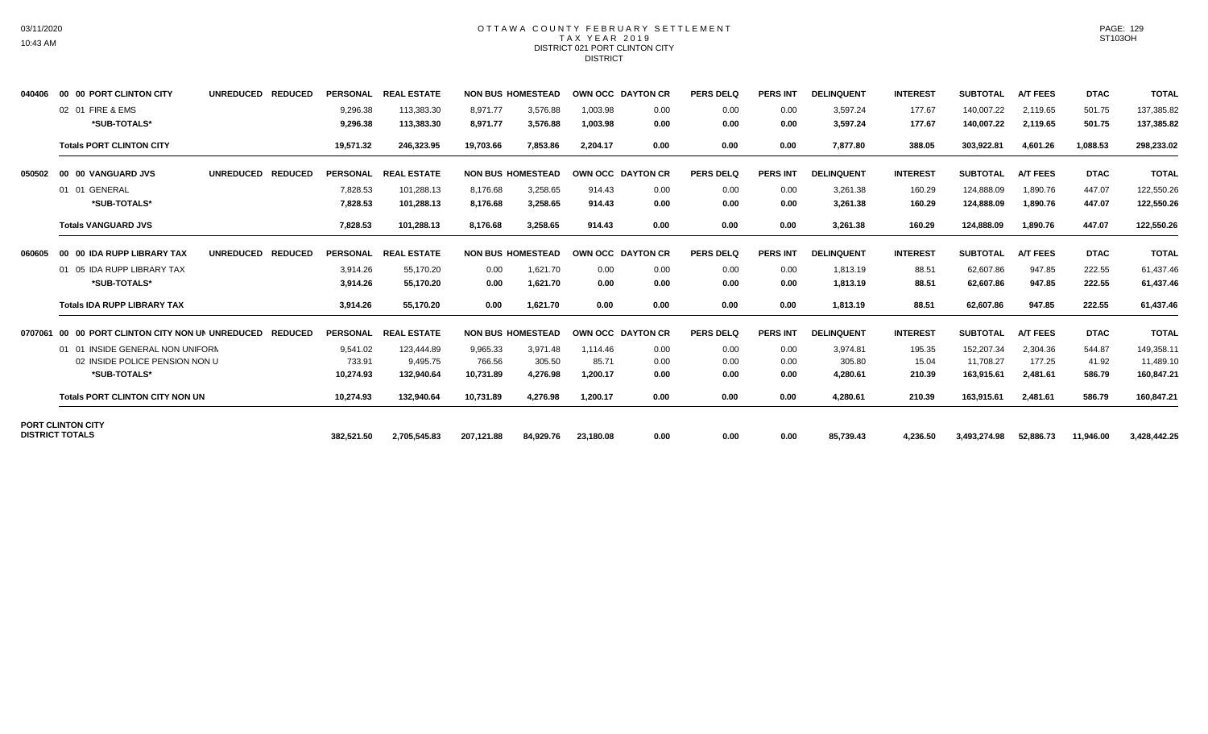## OTTAWA COUNTY FEBRUARY SETTLEMENT TAX YEAR 2019 DISTRICT 021 PORT CLINTON CITY **DISTRICT**

| 040406  | 00 00 PORT CLINTON CITY                            | <b>UNREDUCED</b> | <b>REDUCED</b> | <b>PERSONAL</b>      | <b>REAL ESTATE</b>       |                      | <b>NON BUS HOMESTEAD</b> |                      | <b>OWN OCC DAYTON CR</b> | <b>PERS DELQ</b> | <b>PERS INT</b> | <b>DELINQUENT</b>    | <b>INTEREST</b>  | <b>SUBTOTAL</b>          | <b>A/T FEES</b>      | <b>DTAC</b>      | <b>TOTAL</b>             |
|---------|----------------------------------------------------|------------------|----------------|----------------------|--------------------------|----------------------|--------------------------|----------------------|--------------------------|------------------|-----------------|----------------------|------------------|--------------------------|----------------------|------------------|--------------------------|
|         | 02 01 FIRE & EMS<br>*SUB-TOTALS*                   |                  |                | 9.296.38<br>9,296.38 | 113.383.30<br>113,383.30 | 8.971.77<br>8,971.77 | 3.576.88<br>3,576.88     | 1.003.98<br>1,003.98 | 0.00<br>0.00             | 0.00<br>0.00     | 0.00<br>0.00    | 3.597.24<br>3,597.24 | 177.67<br>177.67 | 140.007.22<br>140,007.22 | 2.119.65<br>2,119.65 | 501.75<br>501.75 | 137,385.82<br>137,385.82 |
|         | <b>Totals PORT CLINTON CITY</b>                    |                  |                | 19,571.32            | 246,323.95               | 19,703.66            | 7,853.86                 | 2,204.17             | 0.00                     | 0.00             | 0.00            | 7,877.80             | 388.05           | 303,922.81               | 4,601.26             | 1,088.53         | 298,233.02               |
| 050502  | 00 00 VANGUARD JVS                                 | <b>UNREDUCED</b> | <b>REDUCED</b> | <b>PERSONAL</b>      | <b>REAL ESTATE</b>       |                      | <b>NON BUS HOMESTEAD</b> |                      | OWN OCC DAYTON CR        | <b>PERS DELQ</b> | <b>PERS INT</b> | <b>DELINQUENT</b>    | <b>INTEREST</b>  | <b>SUBTOTAL</b>          | <b>A/T FEES</b>      | <b>DTAC</b>      | <b>TOTAL</b>             |
|         | 01 01 GENERAL                                      |                  |                | 7.828.53             | 101.288.13               | 8.176.68             | 3.258.65                 | 914.43               | 0.00                     | 0.00             | 0.00            | 3.261.38             | 160.29           | 124.888.09               | 1,890.76             | 447.07           | 122,550.26               |
|         | *SUB-TOTALS*                                       |                  |                | 7,828.53             | 101,288.13               | 8,176.68             | 3,258.65                 | 914.43               | 0.00                     | 0.00             | 0.00            | 3,261.38             | 160.29           | 124,888.09               | 1,890.76             | 447.07           | 122,550.26               |
|         | <b>Totals VANGUARD JVS</b>                         |                  |                | 7,828.53             | 101,288.13               | 8,176.68             | 3,258.65                 | 914.43               | 0.00                     | 0.00             | 0.00            | 3,261.38             | 160.29           | 124,888.09               | 1,890.76             | 447.07           | 122,550.26               |
| 060605  | 00 00 IDA RUPP LIBRARY TAX                         | <b>UNREDUCED</b> | <b>REDUCED</b> | <b>PERSONAL</b>      | <b>REAL ESTATE</b>       |                      | <b>NON BUS HOMESTEAD</b> |                      | OWN OCC DAYTON CR        | <b>PERS DELQ</b> | <b>PERS INT</b> | <b>DELINQUENT</b>    | <b>INTEREST</b>  | <b>SUBTOTAL</b>          | <b>A/T FEES</b>      | <b>DTAC</b>      | <b>TOTAL</b>             |
|         | 01 05 IDA RUPP LIBRARY TAX                         |                  |                | 3,914.26             | 55,170.20                | 0.00                 | 1,621.70                 | 0.00                 | 0.00                     | 0.00             | 0.00            | 1,813.19             | 88.51            | 62,607.86                | 947.85               | 222.55           | 61,437.46                |
|         | *SUB-TOTALS*                                       |                  |                | 3,914.26             | 55,170.20                | 0.00                 | 1,621.70                 | 0.00                 | 0.00                     | 0.00             | 0.00            | 1,813.19             | 88.51            | 62,607.86                | 947.85               | 222.55           | 61,437.46                |
|         | <b>Totals IDA RUPP LIBRARY TAX</b>                 |                  |                | 3,914.26             | 55.170.20                | 0.00                 | 1,621.70                 | 0.00                 | 0.00                     | 0.00             | 0.00            | 1,813.19             | 88.51            | 62,607.86                | 947.85               | 222.55           | 61,437.46                |
| 0707061 | 00 00 PORT CLINTON CITY NON UN UNREDUCED           |                  | <b>REDUCED</b> | <b>PERSONAL</b>      | <b>REAL ESTATE</b>       |                      | <b>NON BUS HOMESTEAD</b> |                      | OWN OCC DAYTON CR        | <b>PERS DELQ</b> | <b>PERS INT</b> | <b>DELINQUENT</b>    | <b>INTEREST</b>  | <b>SUBTOTAL</b>          | <b>A/T FEES</b>      | <b>DTAC</b>      | <b>TOTAL</b>             |
|         | 01 01 INSIDE GENERAL NON UNIFORN                   |                  |                | 9.541.02             | 123.444.89               | 9,965.33             | 3.971.48                 | 1.114.46             | 0.00                     | 0.00             | 0.00            | 3.974.81             | 195.35           | 152,207.34               | 2,304.36             | 544.87           | 149,358.11               |
|         | 02 INSIDE POLICE PENSION NON U                     |                  |                | 733.91               | 9,495.75                 | 766.56               | 305.50                   | 85.71                | 0.00                     | 0.00             | 0.00            | 305.80               | 15.04            | 11,708.27                | 177.25               | 41.92            | 11,489.10                |
|         | *SUB-TOTALS*                                       |                  |                | 10.274.93            | 132,940.64               | 10,731.89            | 4,276.98                 | 1,200.17             | 0.00                     | 0.00             | 0.00            | 4,280.61             | 210.39           | 163,915.61               | 2,481.61             | 586.79           | 160,847.21               |
|         | <b>Totals PORT CLINTON CITY NON UN</b>             |                  |                | 10,274.93            | 132,940.64               | 10,731.89            | 4,276.98                 | 1,200.17             | 0.00                     | 0.00             | 0.00            | 4,280.61             | 210.39           | 163,915.61               | 2,481.61             | 586.79           | 160,847.21               |
|         | <b>PORT CLINTON CITY</b><br><b>DISTRICT TOTALS</b> |                  |                |                      |                          |                      |                          |                      |                          |                  |                 |                      |                  |                          |                      |                  |                          |
|         |                                                    |                  |                | 382.521.50           | 2,705,545.83             | 207.121.88           | 84.929.76                | 23.180.08            | 0.00                     | 0.00             | 0.00            | 85.739.43            | 4.236.50         | 3.493.274.98             | 52.886.73            | 11,946.00        | 3.428.442.25             |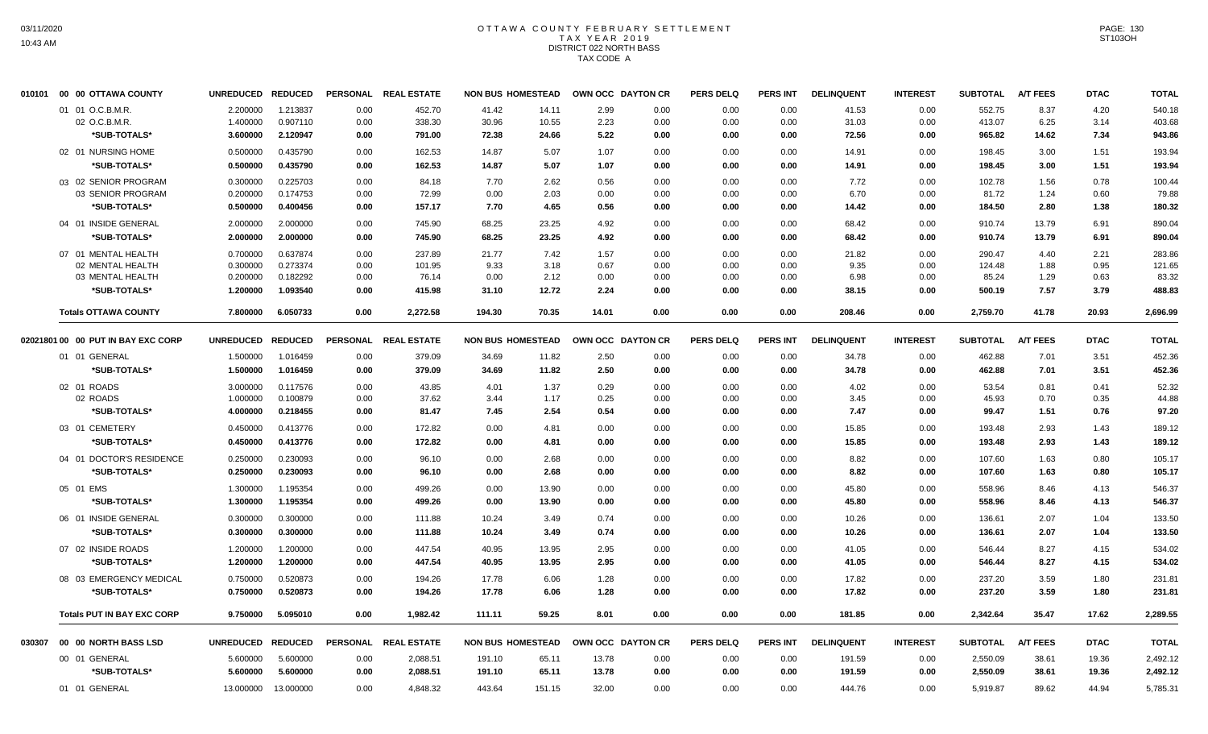#### OTTAWA COUNTY FEBRUARY SETTLEMENT T A X Y E A R 2 0 1 9 DISTRICT 022 NORTH BASS TAX CODE A

| 010101 | 00 00 OTTAWA COUNTY                | <b>UNREDUCED</b> | <b>REDUCED</b> | <b>PERSONAL</b> | <b>REAL ESTATE</b>   | <b>NON BUS HOMESTEAD</b> |        |       | OWN OCC DAYTON CR | <b>PERS DELQ</b> | <b>PERS INT</b> | <b>DELINQUENT</b> | <b>INTEREST</b> | <b>SUBTOTAL</b> | <b>A/T FEES</b> | <b>DTAC</b> | <b>TOTAL</b> |
|--------|------------------------------------|------------------|----------------|-----------------|----------------------|--------------------------|--------|-------|-------------------|------------------|-----------------|-------------------|-----------------|-----------------|-----------------|-------------|--------------|
|        | 01 01 O.C.B.M.R.                   | 2.200000         | 1.213837       | 0.00            | 452.70               | 41.42                    | 14.11  | 2.99  | 0.00              | 0.00             | 0.00            | 41.53             | 0.00            | 552.75          | 8.37            | 4.20        | 540.18       |
|        | 02 O.C.B.M.R.                      | 1.400000         | 0.907110       | 0.00            | 338.30               | 30.96                    | 10.55  | 2.23  | 0.00              | 0.00             | 0.00            | 31.03             | 0.00            | 413.07          | 6.25            | 3.14        | 403.68       |
|        | *SUB-TOTALS*                       | 3.600000         | 2.120947       | 0.00            | 791.00               | 72.38                    | 24.66  | 5.22  | 0.00              | 0.00             | 0.00            | 72.56             | 0.00            | 965.82          | 14.62           | 7.34        | 943.86       |
|        | 02 01 NURSING HOME                 | 0.500000         | 0.435790       | 0.00            | 162.53               | 14.87                    | 5.07   | 1.07  | 0.00              | 0.00             | 0.00            | 14.91             | 0.00            | 198.45          | 3.00            | 1.51        | 193.94       |
|        | *SUB-TOTALS*                       | 0.500000         | 0.435790       | 0.00            | 162.53               | 14.87                    | 5.07   | 1.07  | 0.00              | 0.00             | 0.00            | 14.91             | 0.00            | 198.45          | 3.00            | 1.51        | 193.94       |
|        | 03 02 SENIOR PROGRAM               | 0.300000         | 0.225703       | 0.00            | 84.18                | 7.70                     | 2.62   | 0.56  | 0.00              | 0.00             | 0.00            | 7.72              | 0.00            | 102.78          | 1.56            | 0.78        | 100.44       |
|        | 03 SENIOR PROGRAM                  | 0.200000         | 0.174753       | 0.00            | 72.99                | 0.00                     | 2.03   | 0.00  | 0.00              | 0.00             | 0.00            | 6.70              | 0.00            | 81.72           | 1.24            | 0.60        | 79.88        |
|        | *SUB-TOTALS*                       | 0.500000         | 0.400456       | 0.00            | 157.17               | 7.70                     | 4.65   | 0.56  | 0.00              | 0.00             | 0.00            | 14.42             | 0.00            | 184.50          | 2.80            | 1.38        | 180.32       |
|        | 04 01 INSIDE GENERAL               | 2.000000         | 2.000000       | 0.00            | 745.90               | 68.25                    | 23.25  | 4.92  | 0.00              | 0.00             | 0.00            | 68.42             | 0.00            | 910.74          | 13.79           | 6.91        | 890.04       |
|        | *SUB-TOTALS*                       | 2.000000         | 2.000000       | 0.00            | 745.90               | 68.25                    | 23.25  | 4.92  | 0.00              | 0.00             | 0.00            | 68.42             | 0.00            | 910.74          | 13.79           | 6.91        | 890.04       |
|        | 07 01 MENTAL HEALTH                | 0.700000         | 0.637874       | 0.00            | 237.89               | 21.77                    | 7.42   | 1.57  | 0.00              | 0.00             | 0.00            | 21.82             | 0.00            | 290.47          | 4.40            | 2.21        | 283.86       |
|        | 02 MENTAL HEALTH                   | 0.300000         | 0.273374       | 0.00            | 101.95               | 9.33                     | 3.18   | 0.67  | 0.00              | 0.00             | 0.00            | 9.35              | 0.00            | 124.48          | 1.88            | 0.95        | 121.65       |
|        | 03 MENTAL HEALTH                   | 0.200000         | 0.182292       | 0.00            | 76.14                | 0.00                     | 2.12   | 0.00  | 0.00              | 0.00             | 0.00            | 6.98              | 0.00            | 85.24           | 1.29            | 0.63        | 83.32        |
|        | *SUB-TOTALS*                       | 1.200000         | 1.093540       | 0.00            | 415.98               | 31.10                    | 12.72  | 2.24  | 0.00              | 0.00             | 0.00            | 38.15             | 0.00            | 500.19          | 7.57            | 3.79        | 488.83       |
|        | <b>Totals OTTAWA COUNTY</b>        | 7.800000         | 6.050733       | 0.00            | 2,272.58             | 194.30                   | 70.35  | 14.01 | 0.00              | 0.00             | 0.00            | 208.46            | 0.00            | 2,759.70        | 41.78           | 20.93       | 2,696.99     |
|        | 02021801 00 00 PUT IN BAY EXC CORP | <b>UNREDUCED</b> | <b>REDUCED</b> |                 | PERSONAL REAL ESTATE | <b>NON BUS HOMESTEAD</b> |        |       | OWN OCC DAYTON CR | <b>PERS DELQ</b> | <b>PERS INT</b> | <b>DELINQUENT</b> | <b>INTEREST</b> | <b>SUBTOTAL</b> | <b>A/T FEES</b> | <b>DTAC</b> | <b>TOTAL</b> |
|        | 01 01 GENERAL                      | 1.500000         | 1.016459       | 0.00            | 379.09               | 34.69                    | 11.82  | 2.50  | 0.00              | 0.00             | 0.00            | 34.78             | 0.00            | 462.88          | 7.01            | 3.51        | 452.36       |
|        | *SUB-TOTALS*                       | 1.500000         | 1.016459       | 0.00            | 379.09               | 34.69                    | 11.82  | 2.50  | 0.00              | 0.00             | 0.00            | 34.78             | 0.00            | 462.88          | 7.01            | 3.51        | 452.36       |
|        | 02 01 ROADS                        | 3.000000         | 0.117576       | 0.00            | 43.85                | 4.01                     | 1.37   | 0.29  | 0.00              | 0.00             | 0.00            | 4.02              | 0.00            | 53.54           | 0.81            | 0.41        | 52.32        |
|        | 02 ROADS                           | 1.000000         | 0.100879       | 0.00            | 37.62                | 3.44                     | 1.17   | 0.25  | 0.00              | 0.00             | 0.00            | 3.45              | 0.00            | 45.93           | 0.70            | 0.35        | 44.88        |
|        | *SUB-TOTALS*                       | 4.000000         | 0.218455       | 0.00            | 81.47                | 7.45                     | 2.54   | 0.54  | 0.00              | 0.00             | 0.00            | 7.47              | 0.00            | 99.47           | 1.51            | 0.76        | 97.20        |
|        | 03 01 CEMETERY                     | 0.450000         | 0.413776       | 0.00            | 172.82               | 0.00                     | 4.81   | 0.00  | 0.00              | 0.00             | 0.00            | 15.85             | 0.00            | 193.48          | 2.93            | 1.43        | 189.12       |
|        | *SUB-TOTALS*                       | 0.450000         | 0.413776       | 0.00            | 172.82               | 0.00                     | 4.81   | 0.00  | 0.00              | 0.00             | 0.00            | 15.85             | 0.00            | 193.48          | 2.93            | 1.43        | 189.12       |
|        | 04 01 DOCTOR'S RESIDENCE           | 0.250000         | 0.230093       | 0.00            | 96.10                | 0.00                     | 2.68   | 0.00  | 0.00              | 0.00             | 0.00            | 8.82              | 0.00            | 107.60          | 1.63            | 0.80        | 105.17       |
|        | *SUB-TOTALS*                       | 0.250000         | 0.230093       | 0.00            | 96.10                | 0.00                     | 2.68   | 0.00  | 0.00              | 0.00             | 0.00            | 8.82              | 0.00            | 107.60          | 1.63            | 0.80        | 105.17       |
|        | 05 01 EMS                          | 1.300000         | 1.195354       | 0.00            | 499.26               | 0.00                     | 13.90  | 0.00  | 0.00              | 0.00             | 0.00            | 45.80             | 0.00            | 558.96          | 8.46            | 4.13        | 546.37       |
|        | *SUB-TOTALS*                       | 1.300000         | 1.195354       | 0.00            | 499.26               | 0.00                     | 13.90  | 0.00  | 0.00              | 0.00             | 0.00            | 45.80             | 0.00            | 558.96          | 8.46            | 4.13        | 546.37       |
|        | 06 01 INSIDE GENERAL               | 0.300000         | 0.300000       | 0.00            | 111.88               | 10.24                    | 3.49   | 0.74  | 0.00              | 0.00             | 0.00            | 10.26             | 0.00            | 136.61          | 2.07            | 1.04        | 133.50       |
|        | *SUB-TOTALS*                       | 0.300000         | 0.300000       | 0.00            | 111.88               | 10.24                    | 3.49   | 0.74  | 0.00              | 0.00             | 0.00            | 10.26             | 0.00            | 136.61          | 2.07            | 1.04        | 133.50       |
|        | 07 02 INSIDE ROADS                 | 1.200000         | 1.200000       | 0.00            | 447.54               | 40.95                    | 13.95  | 2.95  | 0.00              |                  |                 |                   |                 | 546.44          | 8.27            | 4.15        | 534.02       |
|        | *SUB-TOTALS*                       | 1.200000         | 1.200000       | 0.00            | 447.54               | 40.95                    | 13.95  | 2.95  | 0.00              | 0.00<br>0.00     | 0.00<br>0.00    | 41.05<br>41.05    | 0.00<br>0.00    | 546.44          | 8.27            | 4.15        | 534.02       |
|        |                                    |                  |                |                 |                      |                          |        |       |                   |                  |                 |                   |                 |                 |                 |             |              |
|        | 08 03 EMERGENCY MEDICAL            | 0.750000         | 0.520873       | 0.00            | 194.26               | 17.78                    | 6.06   | 1.28  | 0.00              | 0.00             | 0.00            | 17.82             | 0.00            | 237.20          | 3.59            | 1.80        | 231.81       |
|        | *SUB-TOTALS*                       | 0.750000         | 0.520873       | 0.00            | 194.26               | 17.78                    | 6.06   | 1.28  | 0.00              | 0.00             | 0.00            | 17.82             | 0.00            | 237.20          | 3.59            | 1.80        | 231.81       |
|        | <b>Totals PUT IN BAY EXC CORP</b>  | 9.750000         | 5.095010       | 0.00            | 1.982.42             | 111.11                   | 59.25  | 8.01  | 0.00              | 0.00             | 0.00            | 181.85            | 0.00            | 2,342.64        | 35.47           | 17.62       | 2,289.55     |
| 030307 | 00 00 NORTH BASS LSD               | <b>UNREDUCED</b> | <b>REDUCED</b> |                 | PERSONAL REAL ESTATE | <b>NON BUS HOMESTEAD</b> |        |       | OWN OCC DAYTON CR | <b>PERS DELQ</b> | <b>PERS INT</b> | <b>DELINQUENT</b> | <b>INTEREST</b> | <b>SUBTOTAL</b> | <b>A/T FEES</b> | <b>DTAC</b> | <b>TOTAL</b> |
|        | 00 01 GENERAL                      | 5.600000         | 5.600000       | 0.00            | 2,088.51             | 191.10                   | 65.11  | 13.78 | 0.00              | 0.00             | 0.00            | 191.59            | 0.00            | 2,550.09        | 38.61           | 19.36       | 2,492.12     |
|        | *SUB-TOTALS*                       | 5.600000         | 5.600000       | 0.00            | 2,088.51             | 191.10                   | 65.11  | 13.78 | 0.00              | 0.00             | 0.00            | 191.59            | 0.00            | 2,550.09        | 38.61           | 19.36       | 2,492.12     |
|        | 01 01 GENERAL                      | 13.000000        | 13.000000      | 0.00            | 4,848.32             | 443.64                   | 151.15 | 32.00 | 0.00              | 0.00             | 0.00            | 444.76            | 0.00            | 5,919.87        | 89.62           | 44.94       | 5,785.31     |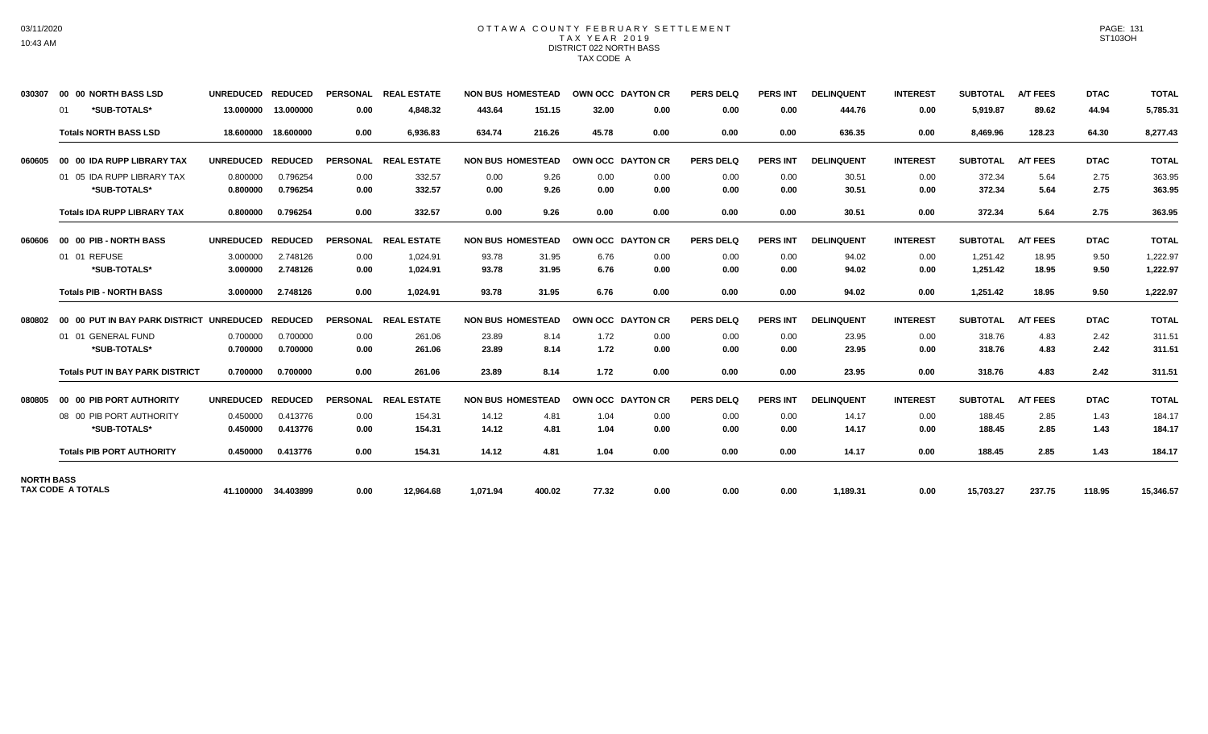## OTTAWA COUNTY FEBRUARY SETTLEMENT TAX YEAR 2019 DISTRICT 022 NORTH BASS TAX CODE A

| 030307            | 00 00 NORTH BASS LSD                     | UNREDUCED REDUCED |                     |                 | PERSONAL REAL ESTATE | <b>NON BUS HOMESTEAD</b> |        |       | OWN OCC DAYTON CR | <b>PERS DELQ</b> | PERS INT        | <b>DELINQUENT</b> | <b>INTEREST</b> | <b>SUBTOTAL</b> | <b>A/T FEES</b> | <b>DTAC</b> | <b>TOTAL</b> |
|-------------------|------------------------------------------|-------------------|---------------------|-----------------|----------------------|--------------------------|--------|-------|-------------------|------------------|-----------------|-------------------|-----------------|-----------------|-----------------|-------------|--------------|
|                   | *SUB-TOTALS*<br>01                       | 13.000000         | 13.000000           | 0.00            | 4,848.32             | 443.64                   | 151.15 | 32.00 | 0.00              | 0.00             | 0.00            | 444.76            | 0.00            | 5,919.87        | 89.62           | 44.94       | 5,785.31     |
|                   | <b>Totals NORTH BASS LSD</b>             | 18.600000         | 18,600000           | 0.00            | 6,936.83             | 634.74                   | 216.26 | 45.78 | 0.00              | 0.00             | 0.00            | 636.35            | 0.00            | 8,469.96        | 128.23          | 64.30       | 8,277.43     |
| 060605            | 00 00 IDA RUPP LIBRARY TAX               | <b>UNREDUCED</b>  | <b>REDUCED</b>      | <b>PERSONAL</b> | <b>REAL ESTATE</b>   | <b>NON BUS HOMESTEAD</b> |        |       | OWN OCC DAYTON CR | <b>PERS DELQ</b> | <b>PERS INT</b> | <b>DELINQUENT</b> | <b>INTEREST</b> | <b>SUBTOTAL</b> | <b>A/T FEES</b> | <b>DTAC</b> | <b>TOTAL</b> |
|                   | 01 05 IDA RUPP LIBRARY TAX               | 0.800000          | 0.796254            | 0.00            | 332.57               | 0.00                     | 9.26   | 0.00  | 0.00              | 0.00             | 0.00            | 30.51             | 0.00            | 372.34          | 5.64            | 2.75        | 363.95       |
|                   | *SUB-TOTALS*                             | 0.800000          | 0.796254            | 0.00            | 332.57               | 0.00                     | 9.26   | 0.00  | 0.00              | 0.00             | 0.00            | 30.51             | 0.00            | 372.34          | 5.64            | 2.75        | 363.95       |
|                   | <b>Totals IDA RUPP LIBRARY TAX</b>       | 0.800000          | 0.796254            | 0.00            | 332.57               | 0.00                     | 9.26   | 0.00  | 0.00              | 0.00             | 0.00            | 30.51             | 0.00            | 372.34          | 5.64            | 2.75        | 363.95       |
| 060606            | 00 00 PIB - NORTH BASS                   | <b>UNREDUCED</b>  | <b>REDUCED</b>      | <b>PERSONAL</b> | <b>REAL ESTATE</b>   | <b>NON BUS HOMESTEAD</b> |        |       | OWN OCC DAYTON CR | <b>PERS DELQ</b> | <b>PERS INT</b> | <b>DELINQUENT</b> | <b>INTEREST</b> | <b>SUBTOTAL</b> | <b>A/T FEES</b> | <b>DTAC</b> | <b>TOTAL</b> |
|                   | 01 01 REFUSE                             | 3.000000          | 2.748126            | 0.00            | 1,024.91             | 93.78                    | 31.95  | 6.76  | 0.00              | 0.00             | 0.00            | 94.02             | 0.00            | 1,251.42        | 18.95           | 9.50        | 1,222.97     |
|                   | *SUB-TOTALS*                             | 3.000000          | 2.748126            | 0.00            | 1,024.91             | 93.78                    | 31.95  | 6.76  | 0.00              | 0.00             | 0.00            | 94.02             | 0.00            | 1,251.42        | 18.95           | 9.50        | 1,222.97     |
|                   | <b>Totals PIB - NORTH BASS</b>           | 3.000000          | 2.748126            | 0.00            | 1.024.91             | 93.78                    | 31.95  | 6.76  | 0.00              | 0.00             | 0.00            | 94.02             | 0.00            | 1,251.42        | 18.95           | 9.50        | 1,222.97     |
| 080802            | 00 00 PUT IN BAY PARK DISTRICT UNREDUCED |                   | <b>REDUCED</b>      | <b>PERSONAL</b> | <b>REAL ESTATE</b>   | <b>NON BUS HOMESTEAD</b> |        |       | OWN OCC DAYTON CR | <b>PERS DELQ</b> | <b>PERS INT</b> | <b>DELINQUENT</b> | <b>INTEREST</b> | <b>SUBTOTAL</b> | <b>A/T FEES</b> | <b>DTAC</b> | <b>TOTAL</b> |
|                   | 01 01 GENERAL FUND                       | 0.700000          | 0.700000            | 0.00            | 261.06               | 23.89                    | 8.14   | 1.72  | 0.00              | 0.00             | 0.00            | 23.95             | 0.00            | 318.76          | 4.83            | 2.42        | 311.51       |
|                   | *SUB-TOTALS*                             | 0.700000          | 0.700000            | 0.00            | 261.06               | 23.89                    | 8.14   | 1.72  | 0.00              | 0.00             | 0.00            | 23.95             | 0.00            | 318.76          | 4.83            | 2.42        | 311.51       |
|                   | <b>Totals PUT IN BAY PARK DISTRICT</b>   | 0.700000          | 0.700000            | 0.00            | 261.06               | 23.89                    | 8.14   | 1.72  | 0.00              | 0.00             | 0.00            | 23.95             | 0.00            | 318.76          | 4.83            | 2.42        | 311.51       |
| 080805            | 00 00 PIB PORT AUTHORITY                 | <b>UNREDUCED</b>  | <b>REDUCED</b>      | <b>PERSONAL</b> | <b>REAL ESTATE</b>   | <b>NON BUS HOMESTEAD</b> |        |       | OWN OCC DAYTON CR | <b>PERS DELQ</b> | <b>PERS INT</b> | <b>DELINQUENT</b> | <b>INTEREST</b> | <b>SUBTOTAL</b> | <b>A/T FEES</b> | <b>DTAC</b> | <b>TOTAL</b> |
|                   | 08 00 PIB PORT AUTHORITY                 | 0.450000          | 0.413776            | 0.00            | 154.31               | 14.12                    | 4.81   | 1.04  | 0.00              | 0.00             | 0.00            | 14.17             | 0.00            | 188.45          | 2.85            | 1.43        | 184.17       |
|                   | *SUB-TOTALS*                             | 0.450000          | 0.413776            | 0.00            | 154.31               | 14.12                    | 4.81   | 1.04  | 0.00              | 0.00             | 0.00            | 14.17             | 0.00            | 188.45          | 2.85            | 1.43        | 184.17       |
|                   | <b>Totals PIB PORT AUTHORITY</b>         | 0.450000          | 0.413776            | 0.00            | 154.31               | 14.12                    | 4.81   | 1.04  | 0.00              | 0.00             | 0.00            | 14.17             | 0.00            | 188.45          | 2.85            | 1.43        | 184.17       |
| <b>NORTH BASS</b> | <b>TAX CODE A TOTALS</b>                 |                   |                     |                 |                      |                          |        |       |                   |                  |                 |                   |                 |                 |                 |             |              |
|                   |                                          |                   | 41.100000 34.403899 | 0.00            | 12,964.68            | 1,071.94                 | 400.02 | 77.32 | 0.00              | 0.00             | 0.00            | 1,189.31          | 0.00            | 15,703.27       | 237.75          | 118.95      | 15,346.57    |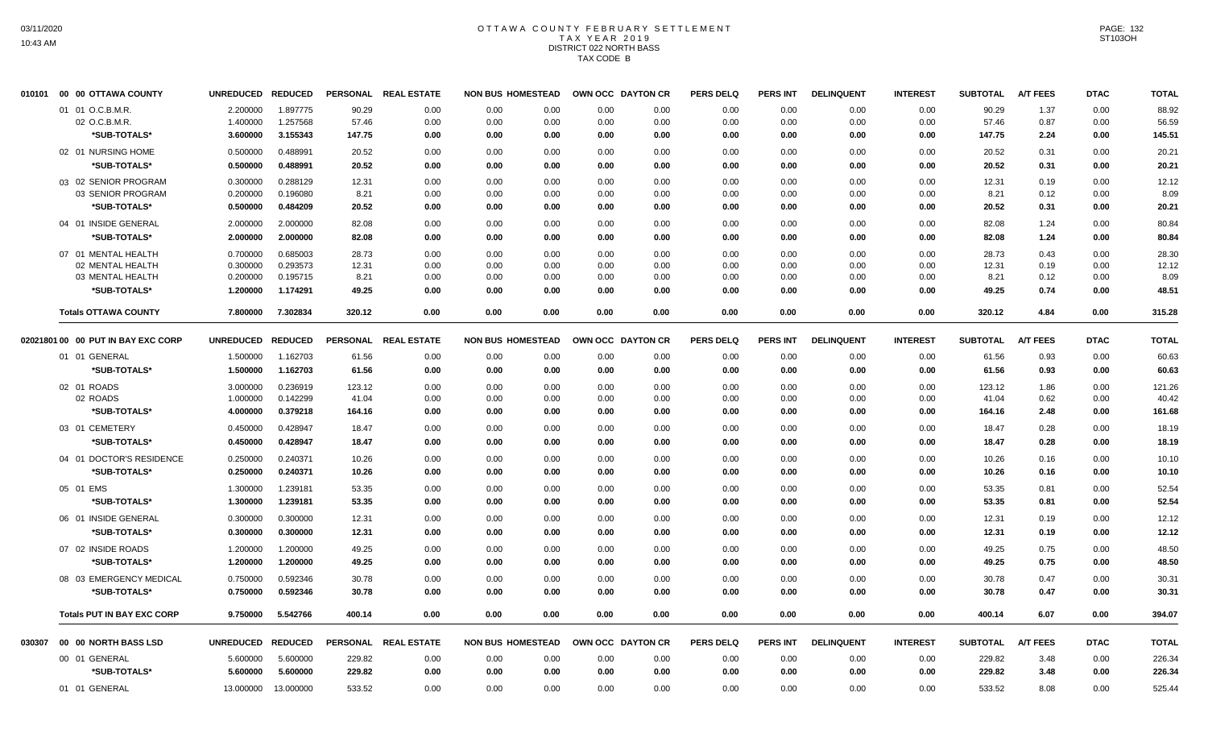# OTTAWA COUNTY FEBRUARY SETTLEMENT TAX YEAR 2019 DISTRICT 022 NORTH BASS TAX CODE B

| 010101 | 00 00 OTTAWA COUNTY                  | UNREDUCED REDUCED    |                      | <b>PERSONAL</b> | <b>REAL ESTATE</b>   | <b>NON BUS HOMESTEAD</b>     |              | OWN OCC DAYTON CR | <b>PERS DELQ</b> | <b>PERS INT</b> | <b>DELINQUENT</b> | <b>INTEREST</b> | <b>SUBTOTAL</b> | <b>A/T FEES</b> | <b>DTAC</b>  | <b>TOTAL</b>   |
|--------|--------------------------------------|----------------------|----------------------|-----------------|----------------------|------------------------------|--------------|-------------------|------------------|-----------------|-------------------|-----------------|-----------------|-----------------|--------------|----------------|
|        | 01 01 O.C.B.M.R.                     | 2.200000             | 1.897775             | 90.29           | 0.00                 | 0.00<br>0.00                 | 0.00         | 0.00              | 0.00             | 0.00            | 0.00              | 0.00            | 90.29           | 1.37            | 0.00         | 88.92          |
|        | 02 O.C.B.M.R.                        | 1.400000             | 1.257568             | 57.46           | 0.00                 | 0.00<br>0.00                 | 0.00         | 0.00              | 0.00             | 0.00            | 0.00              | 0.00            | 57.46           | 0.87            | 0.00         | 56.59          |
|        | *SUB-TOTALS*                         | 3.600000             | 3.155343             | 147.75          | 0.00                 | 0.00<br>0.00                 | 0.00         | 0.00              | 0.00             | 0.00            | 0.00              | 0.00            | 147.75          | 2.24            | 0.00         | 145.51         |
|        | 02 01 NURSING HOME                   | 0.500000             | 0.488991             | 20.52           | 0.00                 | 0.00<br>0.00                 | 0.00         | 0.00              | 0.00             | 0.00            | 0.00              | 0.00            | 20.52           | 0.31            | 0.00         | $20.2^{\circ}$ |
|        | *SUB-TOTALS*                         | 0.500000             | 0.488991             | 20.52           | 0.00                 | 0.00<br>0.00                 | 0.00         | 0.00              | 0.00             | 0.00            | 0.00              | 0.00            | 20.52           | 0.31            | 0.00         | 20.21          |
|        | 03 02 SENIOR PROGRAM                 | 0.300000             | 0.288129             | 12.31           | 0.00                 | 0.00<br>0.00                 | 0.00         | 0.00              | 0.00             | 0.00            | 0.00              | 0.00            | 12.31           | 0.19            | 0.00         | 12.12          |
|        | 03 SENIOR PROGRAM                    | 0.200000             | 0.196080             | 8.21            | 0.00                 | 0.00<br>0.00                 | 0.00         | 0.00              | 0.00             | 0.00            | 0.00              | 0.00            | 8.21            | 0.12            | 0.00         | 8.09           |
|        | *SUB-TOTALS*                         | 0.500000             | 0.484209             | 20.52           | 0.00                 | 0.00<br>0.00                 | 0.00         | 0.00              | 0.00             | 0.00            | 0.00              | 0.00            | 20.52           | 0.31            | 0.00         | 20.21          |
|        | 04 01 INSIDE GENERAL                 | 2.000000             | 2.000000             | 82.08           | 0.00                 | 0.00<br>0.00                 | 0.00         | 0.00              | 0.00             | 0.00            | 0.00              | 0.00            | 82.08           | 1.24            | 0.00         | 80.84          |
|        | *SUB-TOTALS*                         | 2.000000             | 2.000000             | 82.08           | 0.00                 | 0.00<br>0.00                 | 0.00         | 0.00              | 0.00             | 0.00            | 0.00              | 0.00            | 82.08           | 1.24            | 0.00         | 80.84          |
|        | 07 01 MENTAL HEALTH                  | 0.700000             | 0.685003             | 28.73           | 0.00                 | 0.00<br>0.00                 | 0.00         | 0.00              | 0.00             | 0.00            | 0.00              | 0.00            | 28.73           | 0.43            | 0.00         | 28.30          |
|        | 02 MENTAL HEALTH                     | 0.300000             | 0.293573             | 12.31           | 0.00                 | 0.00<br>0.00                 | 0.00         | 0.00              | 0.00             | 0.00            | 0.00              | 0.00            | 12.31           | 0.19            | 0.00         | 12.12          |
|        | 03 MENTAL HEALTH                     | 0.200000             | 0.195715             | 8.21            | 0.00                 | 0.00<br>0.00                 | 0.00         | 0.00              | 0.00             | 0.00            | 0.00              | 0.00            | 8.21            | 0.12            | 0.00         | 8.09           |
|        | *SUB-TOTALS*                         | 1.200000             | 1.174291             | 49.25           | 0.00                 | 0.00<br>0.00                 | 0.00         | 0.00              | 0.00             | 0.00            | 0.00              | 0.00            | 49.25           | 0.74            | 0.00         | 48.51          |
|        | <b>Totals OTTAWA COUNTY</b>          | 7.800000             | 7.302834             | 320.12          | 0.00                 | 0.00<br>0.00                 | 0.00         | 0.00              | 0.00             | 0.00            | 0.00              | 0.00            | 320.12          | 4.84            | 0.00         | 315.28         |
|        | 02021801 00 00 PUT IN BAY EXC CORP   | UNREDUCED REDUCED    |                      |                 | PERSONAL REAL ESTATE | <b>NON BUS HOMESTEAD</b>     |              | OWN OCC DAYTON CR | <b>PERS DELQ</b> | PERS INT        | <b>DELINQUENT</b> | <b>INTEREST</b> | <b>SUBTOTAL</b> | <b>A/T FEES</b> | <b>DTAC</b>  | <b>TOTAL</b>   |
|        | 01 01 GENERAL                        | 1.500000             | 1.162703             | 61.56           | 0.00                 | 0.00<br>0.00                 | 0.00         | 0.00              | 0.00             | 0.00            | 0.00              | 0.00            | 61.56           | 0.93            | 0.00         | 60.63          |
|        | *SUB-TOTALS*                         | 1.500000             | 1.162703             | 61.56           | 0.00                 | 0.00<br>0.00                 | 0.00         | 0.00              | 0.00             | 0.00            | 0.00              | 0.00            | 61.56           | 0.93            | 0.00         | 60.63          |
|        | 02 01 ROADS                          | 3.000000             | 0.236919             | 123.12          | 0.00                 | 0.00<br>0.00                 | 0.00         | 0.00              | 0.00             | 0.00            | 0.00              | 0.00            | 123.12          | 1.86            | 0.00         | 121.26         |
|        | 02 ROADS                             | 1.000000             | 0.142299             | 41.04           | 0.00                 | 0.00<br>0.00                 | 0.00         | 0.00              | 0.00             | 0.00            | 0.00              | 0.00            | 41.04           | 0.62            | 0.00         | 40.42          |
|        | *SUB-TOTALS*                         | 4.000000             | 0.379218             | 164.16          | 0.00                 | 0.00<br>0.00                 | 0.00         | 0.00              | 0.00             | 0.00            | 0.00              | 0.00            | 164.16          | 2.48            | 0.00         | 161.68         |
|        | 03 01 CEMETERY                       | 0.450000             | 0.428947             | 18.47           | 0.00                 | 0.00<br>0.00                 | 0.00         | 0.00              | 0.00             | 0.00            | 0.00              | 0.00            | 18.47           | 0.28            | 0.00         | 18.19          |
|        | *SUB-TOTALS*                         | 0.450000             | 0.428947             | 18.47           | 0.00                 | 0.00<br>0.00                 | 0.00         | 0.00              | 0.00             | 0.00            | 0.00              | 0.00            | 18.47           | 0.28            | 0.00         | 18.19          |
|        | 04 01 DOCTOR'S RESIDENCE             | 0.250000             | 0.240371             | 10.26           | 0.00                 | 0.00<br>0.00                 | 0.00         | 0.00              | 0.00             | 0.00            | 0.00              | 0.00            | 10.26           | 0.16            | 0.00         | 10.10          |
|        | *SUB-TOTALS*                         | 0.250000             | 0.240371             | 10.26           | 0.00                 | 0.00<br>0.00                 | 0.00         | 0.00              | 0.00             | 0.00            | 0.00              | 0.00            | 10.26           | 0.16            | 0.00         | 10.10          |
|        | 05 01 EMS                            | 1.300000             | 1.239181             | 53.35           | 0.00                 | 0.00<br>0.00                 | 0.00         | 0.00              | 0.00             | 0.00            | 0.00              | 0.00            | 53.35           | 0.81            | 0.00         | 52.54          |
|        | *SUB-TOTALS*                         | 1.300000             | 1.239181             | 53.35           | 0.00                 | 0.00<br>0.00                 | 0.00         | 0.00              | 0.00             | 0.00            | 0.00              | 0.00            | 53.35           | 0.81            | 0.00         | 52.54          |
|        |                                      |                      |                      |                 |                      |                              |              |                   |                  |                 |                   |                 |                 |                 |              |                |
|        | 06 01 INSIDE GENERAL<br>*SUB-TOTALS* | 0.300000<br>0.300000 | 0.300000<br>0.300000 | 12.31<br>12.31  | 0.00<br>0.00         | 0.00<br>0.00<br>0.00<br>0.00 | 0.00<br>0.00 | 0.00<br>0.00      | 0.00<br>0.00     | 0.00<br>0.00    | 0.00              | 0.00<br>0.00    | 12.31<br>12.31  | 0.19<br>0.19    | 0.00<br>0.00 | 12.12<br>12.12 |
|        |                                      |                      |                      |                 |                      |                              |              |                   |                  |                 | 0.00              |                 |                 |                 |              |                |
|        | 07 02 INSIDE ROADS                   | 1.200000             | 1.200000             | 49.25           | 0.00                 | 0.00<br>0.00                 | 0.00         | 0.00              | 0.00             | 0.00            | 0.00              | 0.00            | 49.25           | 0.75            | 0.00         | 48.50          |
|        | *SUB-TOTALS*                         | 1.200000             | 1.200000             | 49.25           | 0.00                 | 0.00<br>0.00                 | 0.00         | 0.00              | 0.00             | 0.00            | 0.00              | 0.00            | 49.25           | 0.75            | 0.00         | 48.50          |
|        | 08 03 EMERGENCY MEDICAL              | 0.750000             | 0.592346             | 30.78           | 0.00                 | 0.00<br>0.00                 | 0.00         | 0.00              | 0.00             | 0.00            | 0.00              | 0.00            | 30.78           | 0.47            | 0.00         | 30.31          |
|        | *SUB-TOTALS*                         | 0.750000             | 0.592346             | 30.78           | 0.00                 | 0.00<br>0.00                 | 0.00         | 0.00              | 0.00             | 0.00            | 0.00              | 0.00            | 30.78           | 0.47            | 0.00         | 30.31          |
|        | <b>Totals PUT IN BAY EXC CORP</b>    | 9.750000             | 5.542766             | 400.14          | 0.00                 | 0.00<br>0.00                 | 0.00         | 0.00              | 0.00             | 0.00            | 0.00              | 0.00            | 400.14          | 6.07            | 0.00         | 394.07         |
| 030307 | 00 00 NORTH BASS LSD                 | UNREDUCED REDUCED    |                      |                 | PERSONAL REAL ESTATE | <b>NON BUS HOMESTEAD</b>     |              | OWN OCC DAYTON CR | <b>PERS DELQ</b> | <b>PERS INT</b> | <b>DELINQUENT</b> | <b>INTEREST</b> | <b>SUBTOTAL</b> | <b>A/T FEES</b> | <b>DTAC</b>  | <b>TOTAL</b>   |
|        | 00 01 GENERAL                        | 5.600000             | 5.600000             | 229.82          | 0.00                 | 0.00<br>0.00                 | 0.00         | 0.00              | 0.00             | 0.00            | 0.00              | 0.00            | 229.82          | 3.48            | 0.00         | 226.34         |
|        | *SUB-TOTALS*                         | 5.600000             | 5.600000             | 229.82          | 0.00                 | 0.00<br>0.00                 | 0.00         | 0.00              | 0.00             | 0.00            | 0.00              | 0.00            | 229.82          | 3.48            | 0.00         | 226.34         |
|        | 01 01 GENERAL                        | 13.000000            | 13.000000            | 533.52          | 0.00                 | 0.00<br>0.00                 | 0.00         | 0.00              | 0.00             | 0.00            | 0.00              | 0.00            | 533.52          | 8.08            | 0.00         | 525.44         |
|        |                                      |                      |                      |                 |                      |                              |              |                   |                  |                 |                   |                 |                 |                 |              |                |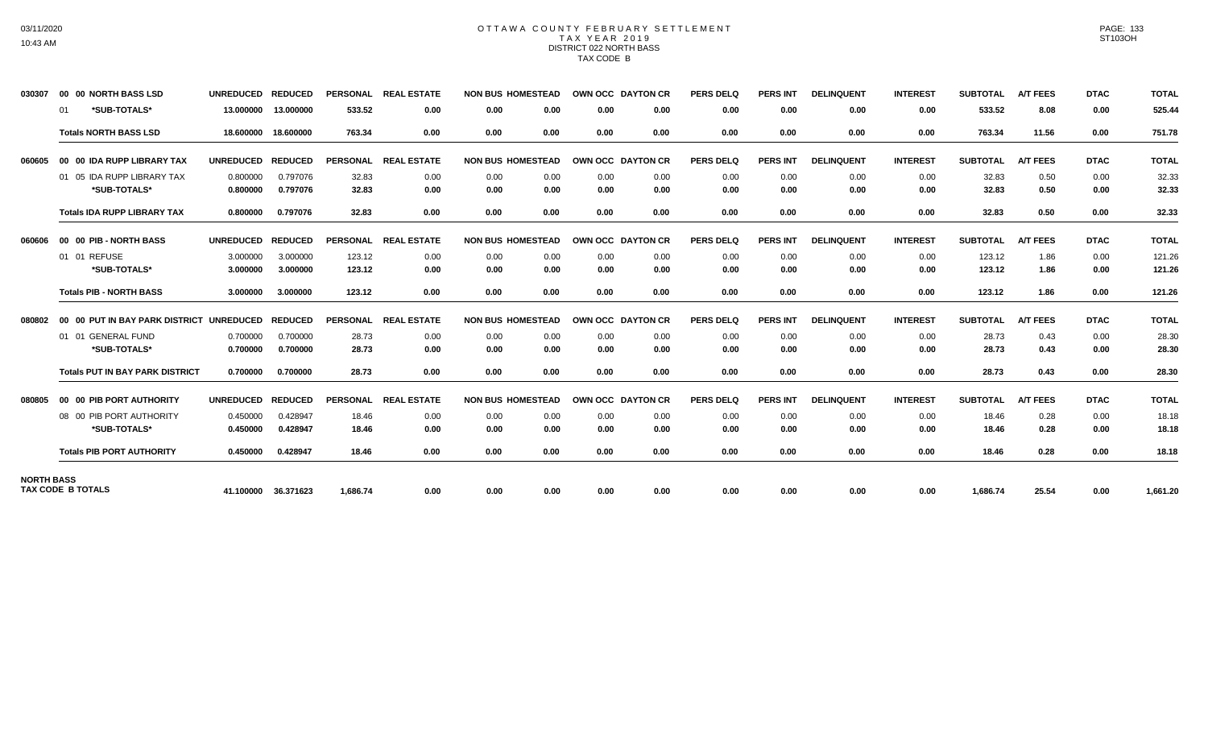## OTTAWA COUNTY FEBRUARY SETTLEMENT TAX YEAR 2019 DISTRICT 022 NORTH BASS TAX CODE B

| 030307            | 00 00 NORTH BASS LSD                     | <b>UNREDUCED</b> | <b>REDUCED</b>      | <b>PERSONAL</b> | <b>REAL ESTATE</b>   | <b>NON BUS HOMESTEAD</b> |      |      | OWN OCC DAYTON CR | <b>PERS DELQ</b> | <b>PERS INT</b> | <b>DELINQUENT</b> | <b>INTEREST</b> | <b>SUBTOTAL</b> | <b>A/T FEES</b> | <b>DTAC</b> | <b>TOTAL</b> |
|-------------------|------------------------------------------|------------------|---------------------|-----------------|----------------------|--------------------------|------|------|-------------------|------------------|-----------------|-------------------|-----------------|-----------------|-----------------|-------------|--------------|
|                   | *SUB-TOTALS*<br>01                       | 13.000000        | 13.000000           | 533.52          | 0.00                 | 0.00                     | 0.00 | 0.00 | 0.00              | 0.00             | 0.00            | 0.00              | 0.00            | 533.52          | 8.08            | 0.00        | 525.44       |
|                   | <b>Totals NORTH BASS LSD</b>             | 18.600000        | 18,600000           | 763.34          | 0.00                 | 0.00                     | 0.00 | 0.00 | 0.00              | 0.00             | 0.00            | 0.00              | 0.00            | 763.34          | 11.56           | 0.00        | 751.78       |
| 060605            | 00 00 IDA RUPP LIBRARY TAX               | <b>UNREDUCED</b> | <b>REDUCED</b>      |                 | PERSONAL REAL ESTATE | <b>NON BUS HOMESTEAD</b> |      |      | OWN OCC DAYTON CR | <b>PERS DELQ</b> | <b>PERS INT</b> | <b>DELINQUENT</b> | <b>INTEREST</b> | <b>SUBTOTAL</b> | <b>A/T FEES</b> | <b>DTAC</b> | <b>TOTAL</b> |
|                   | 01 05 IDA RUPP LIBRARY TAX               | 0.800000         | 0.797076            | 32.83           | 0.00                 | 0.00                     | 0.00 | 0.00 | 0.00              | 0.00             | 0.00            | 0.00              | 0.00            | 32.83           | 0.50            | 0.00        | 32.33        |
|                   | *SUB-TOTALS*                             | 0.800000         | 0.797076            | 32.83           | 0.00                 | 0.00                     | 0.00 | 0.00 | 0.00              | 0.00             | 0.00            | 0.00              | 0.00            | 32.83           | 0.50            | 0.00        | 32.33        |
|                   | <b>Totals IDA RUPP LIBRARY TAX</b>       | 0.800000         | 0.797076            | 32.83           | 0.00                 | 0.00                     | 0.00 | 0.00 | 0.00              | 0.00             | 0.00            | 0.00              | 0.00            | 32.83           | 0.50            | 0.00        | 32.33        |
| 060606            | 00 00 PIB - NORTH BASS                   | <b>UNREDUCED</b> | <b>REDUCED</b>      | <b>PERSONAL</b> | <b>REAL ESTATE</b>   | <b>NON BUS HOMESTEAD</b> |      |      | OWN OCC DAYTON CR | <b>PERS DELQ</b> | <b>PERS INT</b> | <b>DELINQUENT</b> | <b>INTEREST</b> | <b>SUBTOTAL</b> | <b>A/T FEES</b> | <b>DTAC</b> | <b>TOTAL</b> |
|                   | 01 01 REFUSE                             | 3.000000         | 3.000000            | 123.12          | 0.00                 | 0.00                     | 0.00 | 0.00 | 0.00              | 0.00             | 0.00            | 0.00              | 0.00            | 123.12          | 1.86            | 0.00        | 121.26       |
|                   | *SUB-TOTALS*                             | 3.000000         | 3.000000            | 123.12          | 0.00                 | 0.00                     | 0.00 | 0.00 | 0.00              | 0.00             | 0.00            | 0.00              | 0.00            | 123.12          | 1.86            | 0.00        | 121.26       |
|                   | <b>Totals PIB - NORTH BASS</b>           | 3.000000         | 3.000000            | 123.12          | 0.00                 | 0.00                     | 0.00 | 0.00 | 0.00              | 0.00             | 0.00            | 0.00              | 0.00            | 123.12          | 1.86            | 0.00        | 121.26       |
| 080802            | 00 00 PUT IN BAY PARK DISTRICT UNREDUCED |                  | <b>REDUCED</b>      | <b>PERSONAL</b> | <b>REAL ESTATE</b>   | <b>NON BUS HOMESTEAD</b> |      |      | OWN OCC DAYTON CR | <b>PERS DELQ</b> | <b>PERS INT</b> | <b>DELINQUENT</b> | <b>INTEREST</b> | <b>SUBTOTAL</b> | <b>A/T FEES</b> | <b>DTAC</b> | <b>TOTAL</b> |
|                   | 01 01 GENERAL FUND                       | 0.700000         | 0.700000            | 28.73           | 0.00                 | 0.00                     | 0.00 | 0.00 | 0.00              | 0.00             | 0.00            | 0.00              | 0.00            | 28.73           | 0.43            | 0.00        | 28.30        |
|                   | *SUB-TOTALS*                             | 0.700000         | 0.700000            | 28.73           | 0.00                 | 0.00                     | 0.00 | 0.00 | 0.00              | 0.00             | 0.00            | 0.00              | 0.00            | 28.73           | 0.43            | 0.00        | 28.30        |
|                   | <b>Totals PUT IN BAY PARK DISTRICT</b>   | 0.700000         | 0.700000            | 28.73           | 0.00                 | 0.00                     | 0.00 | 0.00 | 0.00              | 0.00             | 0.00            | 0.00              | 0.00            | 28.73           | 0.43            | 0.00        | 28.30        |
| 080805            | 00 00 PIB PORT AUTHORITY                 | <b>UNREDUCED</b> | <b>REDUCED</b>      | <b>PERSONAL</b> | <b>REAL ESTATE</b>   | <b>NON BUS HOMESTEAD</b> |      |      | OWN OCC DAYTON CR | <b>PERS DELQ</b> | <b>PERS INT</b> | <b>DELINQUENT</b> | <b>INTEREST</b> | <b>SUBTOTAL</b> | <b>A/T FEES</b> | <b>DTAC</b> | <b>TOTAL</b> |
|                   | 08 00 PIB PORT AUTHORITY                 | 0.450000         | 0.428947            | 18.46           | 0.00                 | 0.00                     | 0.00 | 0.00 | 0.00              | 0.00             | 0.00            | 0.00              | 0.00            | 18.46           | 0.28            | 0.00        | 18.18        |
|                   | *SUB-TOTALS*                             | 0.450000         | 0.428947            | 18.46           | 0.00                 | 0.00                     | 0.00 | 0.00 | 0.00              | 0.00             | 0.00            | 0.00              | 0.00            | 18.46           | 0.28            | 0.00        | 18.18        |
|                   | <b>Totals PIB PORT AUTHORITY</b>         | 0.450000         | 0.428947            | 18.46           | 0.00                 | 0.00                     | 0.00 | 0.00 | 0.00              | 0.00             | 0.00            | 0.00              | 0.00            | 18.46           | 0.28            | 0.00        | 18.18        |
| <b>NORTH BASS</b> |                                          |                  |                     |                 |                      |                          |      |      |                   |                  |                 |                   |                 |                 |                 |             |              |
|                   | <b>TAX CODE B TOTALS</b>                 |                  | 41.100000 36.371623 | 1,686.74        | 0.00                 | 0.00                     | 0.00 | 0.00 | 0.00              | 0.00             | 0.00            | 0.00              | 0.00            | 1,686.74        | 25.54           | 0.00        | 1,661.20     |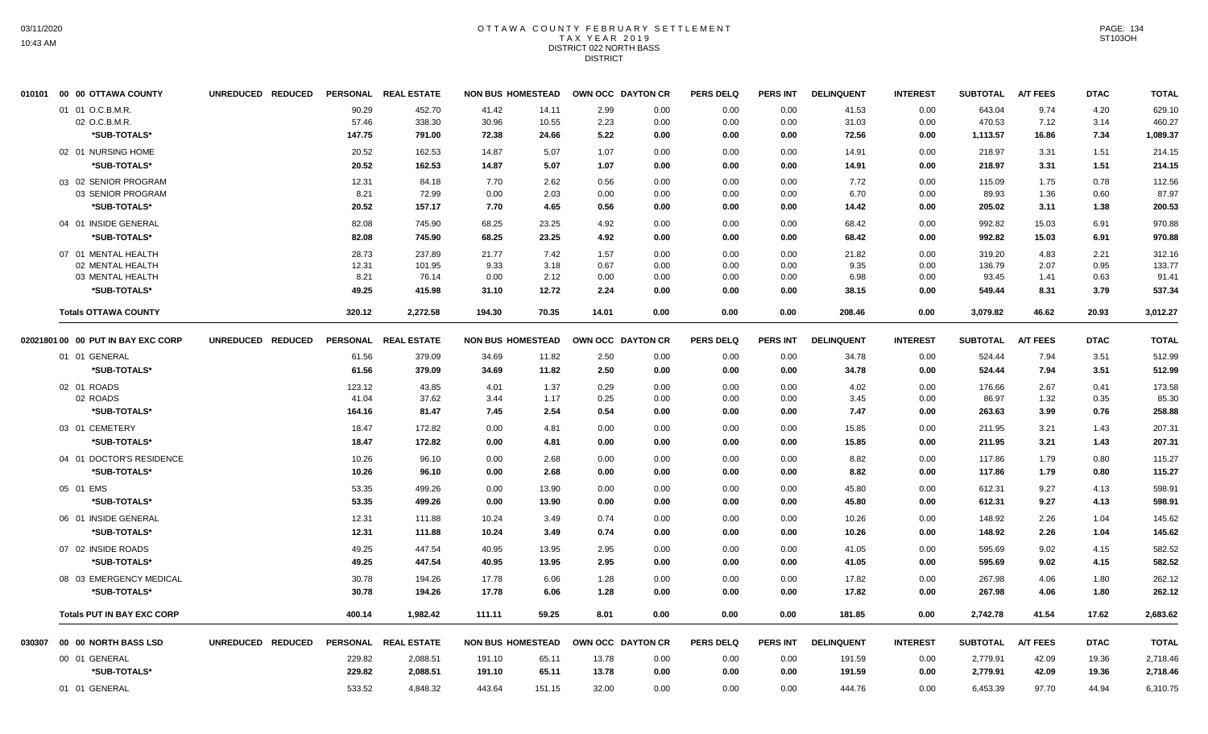#### OTTAWA COUNTY FEBRUARY SETTLEMENT T A X Y E A R 2 0 1 9 DISTRICT 022 NORTH BASS DISTRICT

|        | 010101 00 00 OTTAWA COUNTY         | UNREDUCED REDUCED |                 | PERSONAL REAL ESTATE | <b>NON BUS HOMESTEAD</b> |              |              | OWN OCC DAYTON CR | <b>PERS DELQ</b> | <b>PERS INT</b> | <b>DELINQUENT</b> | <b>INTEREST</b> | <b>SUBTOTAL</b> | <b>A/T FEES</b> | <b>DTAC</b>  | <b>TOTAL</b> |
|--------|------------------------------------|-------------------|-----------------|----------------------|--------------------------|--------------|--------------|-------------------|------------------|-----------------|-------------------|-----------------|-----------------|-----------------|--------------|--------------|
|        | 01 01 O.C.B.M.R.                   |                   | 90.29           | 452.70               | 41.42                    | 14.11        | 2.99         | 0.00              | 0.00             | 0.00            | 41.53             | 0.00            | 643.04          | 9.74            | 4.20         | 629.10       |
|        | 02 O.C.B.M.R.                      |                   | 57.46           | 338.30               | 30.96                    | 10.55        | 2.23         | 0.00              | 0.00             | 0.00            | 31.03             | 0.00            | 470.53          | 7.12            | 3.14         | 460.27       |
|        | *SUB-TOTALS*                       |                   | 147.75          | 791.00               | 72.38                    | 24.66        | 5.22         | 0.00              | 0.00             | 0.00            | 72.56             | 0.00            | 1,113.57        | 16.86           | 7.34         | 1,089.37     |
|        | 02 01 NURSING HOME                 |                   | 20.52           | 162.53               | 14.87                    | 5.07         | 1.07         | 0.00              | 0.00             | 0.00            | 14.91             | 0.00            | 218.97          | 3.31            | 1.51         | 214.15       |
|        | *SUB-TOTALS*                       |                   | 20.52           | 162.53               | 14.87                    | 5.07         | 1.07         | 0.00              | 0.00             | 0.00            | 14.91             | 0.00            | 218.97          | 3.31            | 1.51         | 214.15       |
|        | 03 02 SENIOR PROGRAM               |                   | 12.31           | 84.18                | 7.70                     | 2.62         | 0.56         | 0.00              | 0.00             | 0.00            | 7.72              | 0.00            | 115.09          | 1.75            | 0.78         | 112.56       |
|        | 03 SENIOR PROGRAM                  |                   | 8.21            | 72.99                | 0.00                     | 2.03         | 0.00         | 0.00              | 0.00             | 0.00            | 6.70              | 0.00            | 89.93           | 1.36            | 0.60         | 87.97        |
|        | *SUB-TOTALS*                       |                   | 20.52           | 157.17               | 7.70                     | 4.65         | 0.56         | 0.00              | 0.00             | 0.00            | 14.42             | 0.00            | 205.02          | 3.11            | 1.38         | 200.53       |
|        | 04 01 INSIDE GENERAL               |                   | 82.08           | 745.90               | 68.25                    | 23.25        | 4.92         | 0.00              | 0.00             | 0.00            | 68.42             | 0.00            | 992.82          | 15.03           | 6.91         | 970.88       |
|        | *SUB-TOTALS*                       |                   | 82.08           | 745.90               | 68.25                    | 23.25        | 4.92         | 0.00              | 0.00             | 0.00            | 68.42             | 0.00            | 992.82          | 15.03           | 6.91         | 970.88       |
|        | 07 01 MENTAL HEALTH                |                   | 28.73           | 237.89               | 21.77                    | 7.42         | 1.57         | 0.00              | 0.00             | 0.00            | 21.82             | 0.00            | 319.20          | 4.83            | 2.21         | 312.16       |
|        | 02 MENTAL HEALTH                   |                   | 12.31           | 101.95               | 9.33                     | 3.18         | 0.67         | 0.00              | 0.00             | 0.00            | 9.35              | 0.00            | 136.79          | 2.07            | 0.95         | 133.77       |
|        | 03 MENTAL HEALTH                   |                   | 8.21            | 76.14                | 0.00                     | 2.12         | 0.00         | 0.00              | 0.00             | 0.00            | 6.98              | 0.00            | 93.45           | 1.41            | 0.63         | 91.41        |
|        | *SUB-TOTALS*                       |                   | 49.25           | 415.98               | 31.10                    | 12.72        | 2.24         | 0.00              | 0.00             | 0.00            | 38.15             | 0.00            | 549.44          | 8.31            | 3.79         | 537.34       |
|        | <b>Totals OTTAWA COUNTY</b>        |                   | 320.12          | 2,272.58             | 194.30                   | 70.35        | 14.01        | 0.00              | 0.00             | 0.00            | 208.46            | 0.00            | 3,079.82        | 46.62           | 20.93        | 3,012.27     |
|        | 02021801 00 00 PUT IN BAY EXC CORP | UNREDUCED REDUCED |                 | PERSONAL REAL ESTATE | <b>NON BUS HOMESTEAD</b> |              |              | OWN OCC DAYTON CR | <b>PERS DELQ</b> | <b>PERS INT</b> | <b>DELINQUENT</b> | <b>INTEREST</b> | <b>SUBTOTAL</b> | <b>A/T FEES</b> | <b>DTAC</b>  | <b>TOTAL</b> |
|        | 01 01 GENERAL                      |                   | 61.56           | 379.09               | 34.69                    | 11.82        | 2.50         | 0.00              | 0.00             | 0.00            | 34.78             | 0.00            | 524.44          | 7.94            | 3.51         | 512.99       |
|        | *SUB-TOTALS*                       |                   | 61.56           | 379.09               | 34.69                    | 11.82        | 2.50         | 0.00              | 0.00             | 0.00            | 34.78             | 0.00            | 524.44          | 7.94            | 3.51         | 512.99       |
|        | 02 01 ROADS                        |                   | 123.12          | 43.85                | 4.01                     | 1.37         | 0.29         | 0.00              | 0.00             | 0.00            | 4.02              | 0.00            | 176.66          | 2.67            | 0.41         | 173.58       |
|        | 02 ROADS                           |                   | 41.04           | 37.62                | 3.44                     | 1.17         | 0.25         | 0.00              | 0.00             | 0.00            | 3.45              | 0.00            | 86.97           | 1.32            | 0.35         | 85.30        |
|        | *SUB-TOTALS*                       |                   | 164.16          | 81.47                | 7.45                     | 2.54         | 0.54         | 0.00              | 0.00             | 0.00            | 7.47              | 0.00            | 263.63          | 3.99            | 0.76         | 258.88       |
|        | 03 01 CEMETERY                     |                   | 18.47           | 172.82               | 0.00                     | 4.81         | 0.00         | 0.00              | 0.00             | 0.00            | 15.85             | 0.00            | 211.95          | 3.21            | 1.43         | 207.31       |
|        | *SUB-TOTALS*                       |                   | 18.47           | 172.82               | 0.00                     | 4.81         | 0.00         | 0.00              | 0.00             | 0.00            | 15.85             | 0.00            | 211.95          | 3.21            | 1.43         | 207.31       |
|        | 04 01 DOCTOR'S RESIDENCE           |                   | 10.26           | 96.10                | 0.00                     | 2.68         | 0.00         | 0.00              | 0.00             | 0.00            | 8.82              | 0.00            | 117.86          | 1.79            | 0.80         | 115.27       |
|        | *SUB-TOTALS*                       |                   | 10.26           | 96.10                | 0.00                     | 2.68         | 0.00         | 0.00              | 0.00             | 0.00            | 8.82              | 0.00            | 117.86          | 1.79            | 0.80         | 115.27       |
|        | 05 01 EMS                          |                   | 53.35           | 499.26               | 0.00                     | 13.90        | 0.00         | 0.00              | 0.00             | 0.00            | 45.80             | 0.00            | 612.31          | 9.27            | 4.13         | 598.91       |
|        | *SUB-TOTALS*                       |                   | 53.35           | 499.26               | 0.00                     | 13.90        | 0.00         | 0.00              | 0.00             | 0.00            | 45.80             | 0.00            | 612.31          | 9.27            | 4.13         | 598.91       |
|        | 06 01 INSIDE GENERAL               |                   | 12.31           | 111.88               | 10.24                    | 3.49         | 0.74         | 0.00              | 0.00             | 0.00            | 10.26             | 0.00            | 148.92          | 2.26            | 1.04         | 145.62       |
|        | *SUB-TOTALS*                       |                   | 12.31           | 111.88               | 10.24                    | 3.49         | 0.74         | 0.00              | 0.00             | 0.00            | 10.26             | 0.00            | 148.92          | 2.26            | 1.04         | 145.62       |
|        | 07 02 INSIDE ROADS                 |                   | 49.25           | 447.54               | 40.95                    | 13.95        | 2.95         | 0.00              | 0.00             | 0.00            | 41.05             | 0.00            | 595.69          | 9.02            | 4.15         | 582.52       |
|        | *SUB-TOTALS*                       |                   | 49.25           | 447.54               | 40.95                    | 13.95        | 2.95         | 0.00              | 0.00             | 0.00            | 41.05             | 0.00            | 595.69          | 9.02            | 4.15         | 582.52       |
|        | 08 03 EMERGENCY MEDICAL            |                   |                 |                      | 17.78                    |              |              |                   |                  |                 |                   |                 | 267.98          |                 |              | 262.12       |
|        | *SUB-TOTALS*                       |                   | 30.78<br>30.78  | 194.26<br>194.26     | 17.78                    | 6.06<br>6.06 | 1.28<br>1.28 | 0.00<br>0.00      | 0.00<br>0.00     | 0.00<br>0.00    | 17.82<br>17.82    | 0.00<br>0.00    | 267.98          | 4.06<br>4.06    | 1.80<br>1.80 | 262.12       |
|        |                                    |                   |                 |                      |                          |              |              |                   |                  |                 |                   |                 |                 |                 |              |              |
|        | <b>Totals PUT IN BAY EXC CORP</b>  |                   | 400.14          | 1,982.42             | 111.11                   | 59.25        | 8.01         | 0.00              | 0.00             | 0.00            | 181.85            | 0.00            | 2,742.78        | 41.54           | 17.62        | 2,683.62     |
| 030307 | 00 00 NORTH BASS LSD               | UNREDUCED REDUCED | <b>PERSONAL</b> | <b>REAL ESTATE</b>   | <b>NON BUS HOMESTEAD</b> |              |              | OWN OCC DAYTON CR | <b>PERS DELQ</b> | <b>PERS INT</b> | <b>DELINQUENT</b> | <b>INTEREST</b> | <b>SUBTOTAL</b> | <b>A/T FEES</b> | <b>DTAC</b>  | <b>TOTAL</b> |
|        | 00 01 GENERAL                      |                   | 229.82          | 2,088.51             | 191.10                   | 65.11        | 13.78        | 0.00              | 0.00             | 0.00            | 191.59            | 0.00            | 2,779.91        | 42.09           | 19.36        | 2,718.46     |
|        | *SUB-TOTALS*                       |                   | 229.82          | 2,088.51             | 191.10                   | 65.11        | 13.78        | 0.00              | 0.00             | 0.00            | 191.59            | 0.00            | 2,779.91        | 42.09           | 19.36        | 2,718.46     |
|        | 01 01 GENERAL                      |                   | 533.52          | 4,848.32             | 443.64                   | 151.15       | 32.00        | 0.00              | 0.00             | 0.00            | 444.76            | 0.00            | 6,453.39        | 97.70           | 44.94        | 6,310.75     |
|        |                                    |                   |                 |                      |                          |              |              |                   |                  |                 |                   |                 |                 |                 |              |              |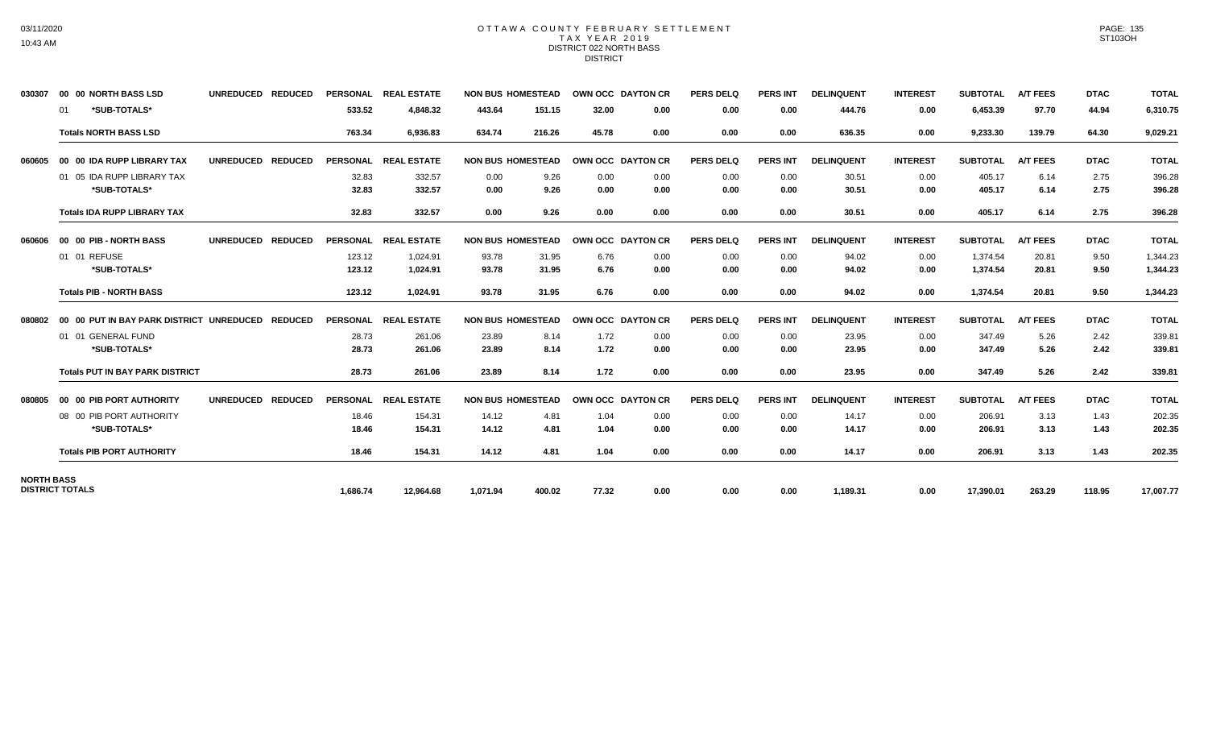#### OTTAWA COUNTY FEBRUARY SETTLEMENT TAX YEAR 2019 DISTRICT 022 NORTH BASS DISTRICT

| 030307            | 00 00 NORTH BASS LSD                     | <b>UNREDUCED</b><br><b>REDUCED</b> | <b>PERSONAL</b> | <b>REAL ESTATE</b>   | <b>NON BUS HOMESTEAD</b> |        | OWN OCC DAYTON CR |                   | <b>PERS DELQ</b> | <b>PERS INT</b> | <b>DELINQUENT</b> | <b>INTEREST</b> | <b>SUBTOTAL</b> | <b>A/T FEES</b> | <b>DTAC</b> | <b>TOTAL</b> |
|-------------------|------------------------------------------|------------------------------------|-----------------|----------------------|--------------------------|--------|-------------------|-------------------|------------------|-----------------|-------------------|-----------------|-----------------|-----------------|-------------|--------------|
|                   | *SUB-TOTALS*<br>-01                      |                                    | 533.52          | 4,848.32             | 443.64                   | 151.15 | 32.00             | 0.00              | 0.00             | 0.00            | 444.76            | 0.00            | 6,453.39        | 97.70           | 44.94       | 6,310.75     |
|                   | <b>Totals NORTH BASS LSD</b>             |                                    | 763.34          | 6.936.83             | 634.74                   | 216.26 | 45.78             | 0.00              | 0.00             | 0.00            | 636.35            | 0.00            | 9,233.30        | 139.79          | 64.30       | 9,029.21     |
| 060605            | 00 00 IDA RUPP LIBRARY TAX               | UNREDUCED REDUCED                  |                 | PERSONAL REAL ESTATE | <b>NON BUS HOMESTEAD</b> |        |                   | OWN OCC DAYTON CR | <b>PERS DELQ</b> | <b>PERS INT</b> | <b>DELINQUENT</b> | <b>INTEREST</b> | <b>SUBTOTAL</b> | <b>A/T FEES</b> | <b>DTAC</b> | <b>TOTAL</b> |
|                   | 01 05 IDA RUPP LIBRARY TAX               |                                    | 32.83           | 332.57               | 0.00                     | 9.26   | 0.00              | 0.00              | 0.00             | 0.00            | 30.51             | 0.00            | 405.17          | 6.14            | 2.75        | 396.28       |
|                   | *SUB-TOTALS*                             |                                    | 32.83           | 332.57               | 0.00                     | 9.26   | 0.00              | 0.00              | 0.00             | 0.00            | 30.51             | 0.00            | 405.17          | 6.14            | 2.75        | 396.28       |
|                   | <b>Totals IDA RUPP LIBRARY TAX</b>       |                                    | 32.83           | 332.57               | 0.00                     | 9.26   | 0.00              | 0.00              | 0.00             | 0.00            | 30.51             | 0.00            | 405.17          | 6.14            | 2.75        | 396.28       |
| 060606            | 00 00 PIB - NORTH BASS                   | UNREDUCED REDUCED                  |                 | PERSONAL REAL ESTATE | <b>NON BUS HOMESTEAD</b> |        |                   | OWN OCC DAYTON CR | <b>PERS DELQ</b> | <b>PERS INT</b> | <b>DELINQUENT</b> | <b>INTEREST</b> | <b>SUBTOTAL</b> | <b>A/T FEES</b> | <b>DTAC</b> | <b>TOTAL</b> |
|                   | 01 01 REFUSE                             |                                    | 123.12          | 1.024.91             | 93.78                    | 31.95  | 6.76              | 0.00              | 0.00             | 0.00            | 94.02             | 0.00            | 1.374.54        | 20.81           | 9.50        | 1,344.23     |
|                   | *SUB-TOTALS*                             |                                    | 123.12          | 1,024.91             | 93.78                    | 31.95  | 6.76              | 0.00              | 0.00             | 0.00            | 94.02             | 0.00            | 1,374.54        | 20.81           | 9.50        | 1,344.23     |
|                   | <b>Totals PIB - NORTH BASS</b>           |                                    | 123.12          | 1,024.91             | 93.78                    | 31.95  | 6.76              | 0.00              | 0.00             | 0.00            | 94.02             | 0.00            | 1,374.54        | 20.81           | 9.50        | 1,344.23     |
| 080802            | 00 00 PUT IN BAY PARK DISTRICT UNREDUCED | <b>REDUCED</b>                     | <b>PERSONAL</b> | <b>REAL ESTATE</b>   | <b>NON BUS HOMESTEAD</b> |        |                   | OWN OCC DAYTON CR | <b>PERS DELQ</b> | <b>PERS INT</b> | <b>DELINQUENT</b> | <b>INTEREST</b> | <b>SUBTOTAL</b> | <b>A/T FEES</b> | <b>DTAC</b> | <b>TOTAL</b> |
|                   | 01 01 GENERAL FUND                       |                                    | 28.73           | 261.06               | 23.89                    | 8.14   | 1.72              | 0.00              | 0.00             | 0.00            | 23.95             | 0.00            | 347.49          | 5.26            | 2.42        | 339.81       |
|                   | *SUB-TOTALS*                             |                                    | 28.73           | 261.06               | 23.89                    | 8.14   | 1.72              | 0.00              | 0.00             | 0.00            | 23.95             | 0.00            | 347.49          | 5.26            | 2.42        | 339.81       |
|                   | <b>Totals PUT IN BAY PARK DISTRICT</b>   |                                    | 28.73           | 261.06               | 23.89                    | 8.14   | 1.72              | 0.00              | 0.00             | 0.00            | 23.95             | 0.00            | 347.49          | 5.26            | 2.42        | 339.81       |
| 080805            | 00 00 PIB PORT AUTHORITY                 | <b>UNREDUCED</b><br><b>REDUCED</b> | <b>PERSONAL</b> | <b>REAL ESTATE</b>   | <b>NON BUS HOMESTEAD</b> |        |                   | OWN OCC DAYTON CR | <b>PERS DELQ</b> | <b>PERS INT</b> | <b>DELINQUENT</b> | <b>INTEREST</b> | <b>SUBTOTAL</b> | <b>A/T FEES</b> | <b>DTAC</b> | <b>TOTAL</b> |
|                   | 08 00 PIB PORT AUTHORITY                 |                                    | 18.46           | 154.31               | 14.12                    | 4.81   | 1.04              | 0.00              | 0.00             | 0.00            | 14.17             | 0.00            | 206.91          | 3.13            | 1.43        | 202.35       |
|                   | *SUB-TOTALS*                             |                                    | 18.46           | 154.31               | 14.12                    | 4.81   | 1.04              | 0.00              | 0.00             | 0.00            | 14.17             | 0.00            | 206.91          | 3.13            | 1.43        | 202.35       |
|                   | <b>Totals PIB PORT AUTHORITY</b>         |                                    | 18.46           | 154.31               | 14.12                    | 4.81   | 1.04              | 0.00              | 0.00             | 0.00            | 14.17             | 0.00            | 206.91          | 3.13            | 1.43        | 202.35       |
| <b>NORTH BASS</b> | <b>DISTRICT TOTALS</b>                   |                                    |                 |                      |                          |        |                   |                   |                  |                 |                   |                 |                 |                 |             |              |
|                   |                                          |                                    | 1.686.74        | 12.964.68            | 1.071.94                 | 400.02 | 77.32             | 0.00              | 0.00             | 0.00            | 1,189.31          | 0.00            | 17,390.01       | 263.29          | 118.95      | 17,007.77    |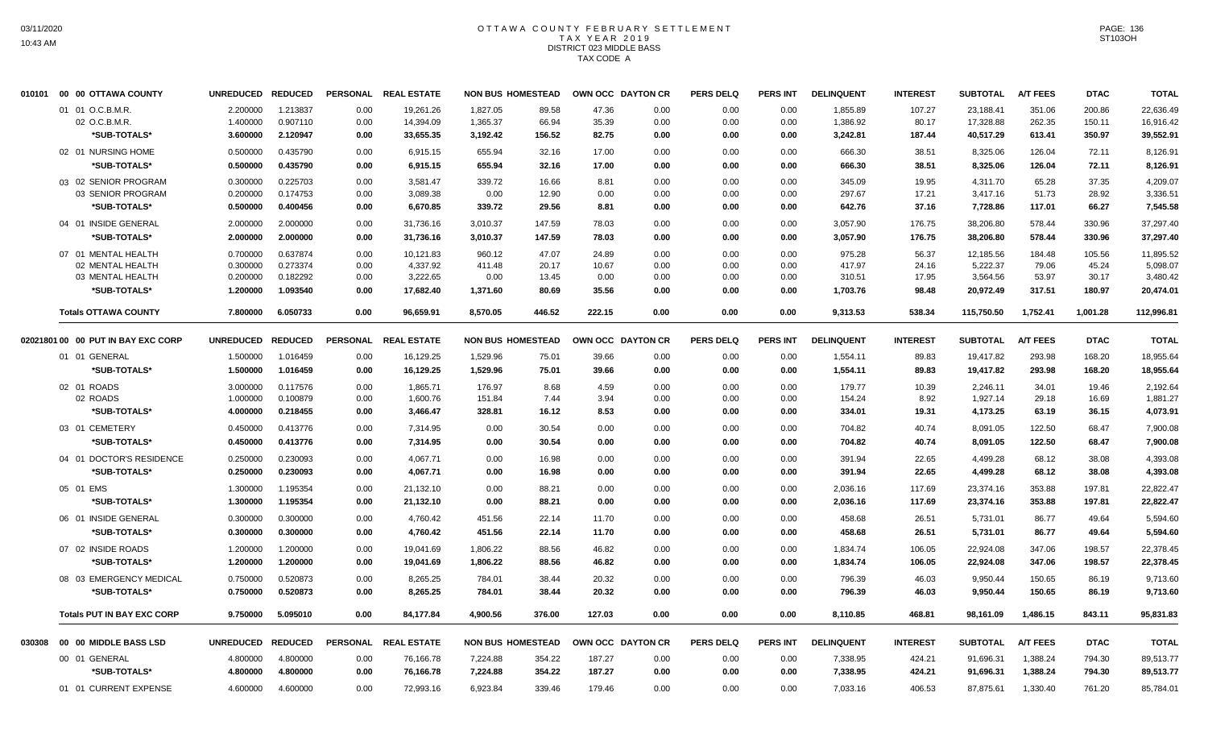## OTTAWA COUNTY FEBRUARY SETTLEMENT TAX YEAR 2019 DISTRICT 023 MIDDLE BASS TAX CODE A

| 00 00 OTTAWA COUNTY | <b>UNREDUCED</b>                                                                                                                                                                                                                                                                                                                                                                                                                                                                                                                               | <b>REDUCED</b>                                                                                                       | <b>PERSONAL</b>                                                                                                                                            | <b>REAL ESTATE</b>                                                           |                                                                                                                                                                              |                                                                                            |                                                                                                                                                                                     |                                                                                              | <b>PERS DELQ</b>                                                                                                                            | <b>PERS INT</b>                                                              | <b>DELINQUENT</b>                                                            | <b>INTEREST</b>                                                                                            | <b>SUBTOTAL</b>                                                                           | <b>A/T FEES</b>                                                                                                                                    | <b>DTAC</b>                                                                                   | <b>TOTAL</b>                                                                                                   |
|---------------------|------------------------------------------------------------------------------------------------------------------------------------------------------------------------------------------------------------------------------------------------------------------------------------------------------------------------------------------------------------------------------------------------------------------------------------------------------------------------------------------------------------------------------------------------|----------------------------------------------------------------------------------------------------------------------|------------------------------------------------------------------------------------------------------------------------------------------------------------|------------------------------------------------------------------------------|------------------------------------------------------------------------------------------------------------------------------------------------------------------------------|--------------------------------------------------------------------------------------------|-------------------------------------------------------------------------------------------------------------------------------------------------------------------------------------|----------------------------------------------------------------------------------------------|---------------------------------------------------------------------------------------------------------------------------------------------|------------------------------------------------------------------------------|------------------------------------------------------------------------------|------------------------------------------------------------------------------------------------------------|-------------------------------------------------------------------------------------------|----------------------------------------------------------------------------------------------------------------------------------------------------|-----------------------------------------------------------------------------------------------|----------------------------------------------------------------------------------------------------------------|
|                     | 2.200000                                                                                                                                                                                                                                                                                                                                                                                                                                                                                                                                       | 1.213837                                                                                                             | 0.00                                                                                                                                                       | 19,261.26                                                                    | 1,827.05                                                                                                                                                                     | 89.58                                                                                      | 47.36                                                                                                                                                                               | 0.00                                                                                         | 0.00                                                                                                                                        | 0.00                                                                         | 1,855.89                                                                     | 107.27                                                                                                     | 23,188.41                                                                                 | 351.06                                                                                                                                             | 200.86                                                                                        | 22,636.49                                                                                                      |
| 02 O.C.B.M.R.       | 1.400000                                                                                                                                                                                                                                                                                                                                                                                                                                                                                                                                       | 0.907110                                                                                                             | 0.00                                                                                                                                                       | 14,394.09                                                                    | 1,365.37                                                                                                                                                                     | 66.94                                                                                      | 35.39                                                                                                                                                                               | 0.00                                                                                         | 0.00                                                                                                                                        | 0.00                                                                         | 1,386.92                                                                     | 80.17                                                                                                      | 17,328.88                                                                                 | 262.35                                                                                                                                             | 150.11                                                                                        | 16,916.42                                                                                                      |
|                     | 3.600000                                                                                                                                                                                                                                                                                                                                                                                                                                                                                                                                       |                                                                                                                      | 0.00                                                                                                                                                       |                                                                              | 3,192.42                                                                                                                                                                     |                                                                                            |                                                                                                                                                                                     | 0.00                                                                                         | 0.00                                                                                                                                        | 0.00                                                                         | 3,242.81                                                                     | 187.44                                                                                                     |                                                                                           | 613.41                                                                                                                                             |                                                                                               | 39,552.91                                                                                                      |
|                     | 0.500000                                                                                                                                                                                                                                                                                                                                                                                                                                                                                                                                       | 0.435790                                                                                                             | 0.00                                                                                                                                                       | 6,915.15                                                                     | 655.94                                                                                                                                                                       | 32.16                                                                                      | 17.00                                                                                                                                                                               | 0.00                                                                                         | 0.00                                                                                                                                        | 0.00                                                                         | 666.30                                                                       | 38.51                                                                                                      | 8,325.06                                                                                  | 126.04                                                                                                                                             | 72.11                                                                                         | 8,126.91                                                                                                       |
| *SUB-TOTALS*        | 0.500000                                                                                                                                                                                                                                                                                                                                                                                                                                                                                                                                       | 0.435790                                                                                                             | 0.00                                                                                                                                                       | 6,915.15                                                                     | 655.94                                                                                                                                                                       | 32.16                                                                                      | 17.00                                                                                                                                                                               | 0.00                                                                                         | 0.00                                                                                                                                        | 0.00                                                                         | 666.30                                                                       | 38.51                                                                                                      | 8,325.06                                                                                  | 126.04                                                                                                                                             | 72.11                                                                                         | 8,126.91                                                                                                       |
|                     | 0.300000                                                                                                                                                                                                                                                                                                                                                                                                                                                                                                                                       | 0.225703                                                                                                             | 0.00                                                                                                                                                       | 3,581.47                                                                     | 339.72                                                                                                                                                                       | 16.66                                                                                      | 8.81                                                                                                                                                                                | 0.00                                                                                         | 0.00                                                                                                                                        | 0.00                                                                         | 345.09                                                                       | 19.95                                                                                                      | 4,311.70                                                                                  | 65.28                                                                                                                                              | 37.35                                                                                         | 4,209.07                                                                                                       |
| 03 SENIOR PROGRAM   | 0.200000                                                                                                                                                                                                                                                                                                                                                                                                                                                                                                                                       | 0.174753                                                                                                             | 0.00                                                                                                                                                       | 3,089.38                                                                     | 0.00                                                                                                                                                                         | 12.90                                                                                      | 0.00                                                                                                                                                                                | 0.00                                                                                         | 0.00                                                                                                                                        | 0.00                                                                         | 297.67                                                                       | 17.21                                                                                                      | 3,417.16                                                                                  | 51.73                                                                                                                                              | 28.92                                                                                         | 3,336.51                                                                                                       |
| *SUB-TOTALS*        | 0.500000                                                                                                                                                                                                                                                                                                                                                                                                                                                                                                                                       | 0.400456                                                                                                             | 0.00                                                                                                                                                       | 6,670.85                                                                     | 339.72                                                                                                                                                                       | 29.56                                                                                      | 8.81                                                                                                                                                                                | 0.00                                                                                         | 0.00                                                                                                                                        | 0.00                                                                         | 642.76                                                                       | 37.16                                                                                                      | 7,728.86                                                                                  | 117.01                                                                                                                                             | 66.27                                                                                         | 7,545.58                                                                                                       |
|                     | 2.000000                                                                                                                                                                                                                                                                                                                                                                                                                                                                                                                                       | 2.000000                                                                                                             | 0.00                                                                                                                                                       | 31,736.16                                                                    | 3,010.37                                                                                                                                                                     | 147.59                                                                                     | 78.03                                                                                                                                                                               | 0.00                                                                                         | 0.00                                                                                                                                        | 0.00                                                                         | 3,057.90                                                                     | 176.75                                                                                                     | 38,206.80                                                                                 | 578.44                                                                                                                                             | 330.96                                                                                        | 37,297.40                                                                                                      |
| *SUB-TOTALS*        | 2.000000                                                                                                                                                                                                                                                                                                                                                                                                                                                                                                                                       | 2.000000                                                                                                             | 0.00                                                                                                                                                       | 31,736.16                                                                    | 3,010.37                                                                                                                                                                     | 147.59                                                                                     | 78.03                                                                                                                                                                               | 0.00                                                                                         | 0.00                                                                                                                                        | 0.00                                                                         | 3,057.90                                                                     | 176.75                                                                                                     | 38,206.80                                                                                 | 578.44                                                                                                                                             | 330.96                                                                                        | 37,297.40                                                                                                      |
|                     | 0.700000                                                                                                                                                                                                                                                                                                                                                                                                                                                                                                                                       | 0.637874                                                                                                             | 0.00                                                                                                                                                       | 10,121.83                                                                    | 960.12                                                                                                                                                                       | 47.07                                                                                      | 24.89                                                                                                                                                                               | 0.00                                                                                         | 0.00                                                                                                                                        | 0.00                                                                         | 975.28                                                                       | 56.37                                                                                                      | 12,185.56                                                                                 | 184.48                                                                                                                                             | 105.56                                                                                        | 11,895.52                                                                                                      |
| 02 MENTAL HEALTH    | 0.300000                                                                                                                                                                                                                                                                                                                                                                                                                                                                                                                                       | 0.273374                                                                                                             | 0.00                                                                                                                                                       | 4,337.92                                                                     | 411.48                                                                                                                                                                       | 20.17                                                                                      | 10.67                                                                                                                                                                               | 0.00                                                                                         | 0.00                                                                                                                                        | 0.00                                                                         | 417.97                                                                       | 24.16                                                                                                      | 5,222.37                                                                                  | 79.06                                                                                                                                              | 45.24                                                                                         | 5,098.07                                                                                                       |
| 03 MENTAL HEALTH    | 0.200000                                                                                                                                                                                                                                                                                                                                                                                                                                                                                                                                       |                                                                                                                      | 0.00                                                                                                                                                       | 3,222.65                                                                     | 0.00                                                                                                                                                                         | 13.45                                                                                      | 0.00                                                                                                                                                                                | 0.00                                                                                         | 0.00                                                                                                                                        | 0.00                                                                         | 310.51                                                                       | 17.95                                                                                                      | 3,564.56                                                                                  | 53.97                                                                                                                                              | 30.17                                                                                         | 3,480.42                                                                                                       |
|                     |                                                                                                                                                                                                                                                                                                                                                                                                                                                                                                                                                |                                                                                                                      |                                                                                                                                                            |                                                                              |                                                                                                                                                                              |                                                                                            |                                                                                                                                                                                     |                                                                                              |                                                                                                                                             |                                                                              |                                                                              |                                                                                                            |                                                                                           |                                                                                                                                                    |                                                                                               | 20,474.01                                                                                                      |
|                     | 7.800000                                                                                                                                                                                                                                                                                                                                                                                                                                                                                                                                       | 6.050733                                                                                                             | 0.00                                                                                                                                                       | 96,659.91                                                                    | 8,570.05                                                                                                                                                                     | 446.52                                                                                     | 222.15                                                                                                                                                                              | 0.00                                                                                         | 0.00                                                                                                                                        | 0.00                                                                         | 9,313.53                                                                     | 538.34                                                                                                     | 115,750.50                                                                                | 1,752.41                                                                                                                                           | 1,001.28                                                                                      | 112,996.81                                                                                                     |
|                     | <b>UNREDUCED</b>                                                                                                                                                                                                                                                                                                                                                                                                                                                                                                                               | <b>REDUCED</b>                                                                                                       |                                                                                                                                                            | <b>REAL ESTATE</b>                                                           |                                                                                                                                                                              |                                                                                            |                                                                                                                                                                                     |                                                                                              | <b>PERS DELQ</b>                                                                                                                            | <b>PERS INT</b>                                                              | <b>DELINQUENT</b>                                                            | <b>INTEREST</b>                                                                                            | <b>SUBTOTAL</b>                                                                           | <b>A/T FEES</b>                                                                                                                                    | <b>DTAC</b>                                                                                   | <b>TOTAL</b>                                                                                                   |
|                     | 1.500000                                                                                                                                                                                                                                                                                                                                                                                                                                                                                                                                       | 1.016459                                                                                                             | 0.00                                                                                                                                                       | 16,129.25                                                                    | 1,529.96                                                                                                                                                                     | 75.01                                                                                      | 39.66                                                                                                                                                                               | 0.00                                                                                         | 0.00                                                                                                                                        | 0.00                                                                         | 1,554.11                                                                     | 89.83                                                                                                      | 19,417.82                                                                                 | 293.98                                                                                                                                             | 168.20                                                                                        | 18,955.64                                                                                                      |
| *SUB-TOTALS*        | 1.500000                                                                                                                                                                                                                                                                                                                                                                                                                                                                                                                                       | 1.016459                                                                                                             | 0.00                                                                                                                                                       | 16,129.25                                                                    | 1,529.96                                                                                                                                                                     | 75.01                                                                                      | 39.66                                                                                                                                                                               | 0.00                                                                                         | 0.00                                                                                                                                        | 0.00                                                                         | 1,554.11                                                                     | 89.83                                                                                                      | 19,417.82                                                                                 | 293.98                                                                                                                                             | 168.20                                                                                        | 18,955.64                                                                                                      |
|                     |                                                                                                                                                                                                                                                                                                                                                                                                                                                                                                                                                | 0.117576                                                                                                             |                                                                                                                                                            |                                                                              |                                                                                                                                                                              |                                                                                            |                                                                                                                                                                                     |                                                                                              |                                                                                                                                             |                                                                              |                                                                              |                                                                                                            |                                                                                           |                                                                                                                                                    |                                                                                               | 2,192.64                                                                                                       |
| 02 ROADS            | 1.000000                                                                                                                                                                                                                                                                                                                                                                                                                                                                                                                                       | 0.100879                                                                                                             | 0.00                                                                                                                                                       | 1,600.76                                                                     | 151.84                                                                                                                                                                       | 7.44                                                                                       | 3.94                                                                                                                                                                                | 0.00                                                                                         | 0.00                                                                                                                                        | 0.00                                                                         | 154.24                                                                       | 8.92                                                                                                       | 1,927.14                                                                                  | 29.18                                                                                                                                              | 16.69                                                                                         | 1,881.27                                                                                                       |
| *SUB-TOTALS*        | 4.000000                                                                                                                                                                                                                                                                                                                                                                                                                                                                                                                                       | 0.218455                                                                                                             | 0.00                                                                                                                                                       | 3,466.47                                                                     | 328.81                                                                                                                                                                       | 16.12                                                                                      | 8.53                                                                                                                                                                                | 0.00                                                                                         | 0.00                                                                                                                                        | 0.00                                                                         | 334.01                                                                       | 19.31                                                                                                      | 4,173.25                                                                                  | 63.19                                                                                                                                              | 36.15                                                                                         | 4,073.91                                                                                                       |
|                     | 0.450000                                                                                                                                                                                                                                                                                                                                                                                                                                                                                                                                       | 0.413776                                                                                                             | 0.00                                                                                                                                                       | 7,314.95                                                                     | 0.00                                                                                                                                                                         | 30.54                                                                                      | 0.00                                                                                                                                                                                | 0.00                                                                                         | 0.00                                                                                                                                        | 0.00                                                                         | 704.82                                                                       | 40.74                                                                                                      | 8,091.05                                                                                  | 122.50                                                                                                                                             | 68.47                                                                                         | 7,900.08                                                                                                       |
| *SUB-TOTALS*        | 0.450000                                                                                                                                                                                                                                                                                                                                                                                                                                                                                                                                       | 0.413776                                                                                                             | 0.00                                                                                                                                                       | 7,314.95                                                                     | 0.00                                                                                                                                                                         | 30.54                                                                                      | 0.00                                                                                                                                                                                | 0.00                                                                                         | 0.00                                                                                                                                        | 0.00                                                                         | 704.82                                                                       | 40.74                                                                                                      | 8,091.05                                                                                  | 122.50                                                                                                                                             | 68.47                                                                                         | 7,900.08                                                                                                       |
|                     |                                                                                                                                                                                                                                                                                                                                                                                                                                                                                                                                                | 0.230093                                                                                                             |                                                                                                                                                            | 4,067.71                                                                     | 0.00                                                                                                                                                                         | 16.98                                                                                      |                                                                                                                                                                                     |                                                                                              | 0.00                                                                                                                                        |                                                                              | 391.94                                                                       |                                                                                                            |                                                                                           | 68.12                                                                                                                                              |                                                                                               | 4,393.08                                                                                                       |
| *SUB-TOTALS*        | 0.250000                                                                                                                                                                                                                                                                                                                                                                                                                                                                                                                                       | 0.230093                                                                                                             | 0.00                                                                                                                                                       | 4,067.71                                                                     | 0.00                                                                                                                                                                         | 16.98                                                                                      | 0.00                                                                                                                                                                                | 0.00                                                                                         | 0.00                                                                                                                                        | 0.00                                                                         | 391.94                                                                       | 22.65                                                                                                      | 4,499.28                                                                                  | 68.12                                                                                                                                              | 38.08                                                                                         | 4,393.08                                                                                                       |
|                     |                                                                                                                                                                                                                                                                                                                                                                                                                                                                                                                                                |                                                                                                                      |                                                                                                                                                            |                                                                              |                                                                                                                                                                              |                                                                                            |                                                                                                                                                                                     |                                                                                              |                                                                                                                                             |                                                                              |                                                                              |                                                                                                            |                                                                                           |                                                                                                                                                    |                                                                                               | 22,822.47                                                                                                      |
| *SUB-TOTALS*        | 1.300000                                                                                                                                                                                                                                                                                                                                                                                                                                                                                                                                       | 1.195354                                                                                                             | 0.00                                                                                                                                                       |                                                                              | 0.00                                                                                                                                                                         |                                                                                            | 0.00                                                                                                                                                                                | 0.00                                                                                         |                                                                                                                                             | 0.00                                                                         |                                                                              | 117.69                                                                                                     |                                                                                           |                                                                                                                                                    |                                                                                               | 22,822.47                                                                                                      |
|                     |                                                                                                                                                                                                                                                                                                                                                                                                                                                                                                                                                |                                                                                                                      |                                                                                                                                                            |                                                                              |                                                                                                                                                                              |                                                                                            |                                                                                                                                                                                     |                                                                                              |                                                                                                                                             |                                                                              |                                                                              |                                                                                                            |                                                                                           |                                                                                                                                                    |                                                                                               | 5,594.60                                                                                                       |
|                     |                                                                                                                                                                                                                                                                                                                                                                                                                                                                                                                                                |                                                                                                                      |                                                                                                                                                            |                                                                              |                                                                                                                                                                              |                                                                                            |                                                                                                                                                                                     |                                                                                              |                                                                                                                                             |                                                                              |                                                                              |                                                                                                            |                                                                                           |                                                                                                                                                    |                                                                                               | 5,594.60                                                                                                       |
|                     |                                                                                                                                                                                                                                                                                                                                                                                                                                                                                                                                                |                                                                                                                      |                                                                                                                                                            |                                                                              |                                                                                                                                                                              |                                                                                            |                                                                                                                                                                                     |                                                                                              |                                                                                                                                             |                                                                              |                                                                              |                                                                                                            |                                                                                           |                                                                                                                                                    |                                                                                               |                                                                                                                |
|                     |                                                                                                                                                                                                                                                                                                                                                                                                                                                                                                                                                |                                                                                                                      |                                                                                                                                                            |                                                                              |                                                                                                                                                                              |                                                                                            |                                                                                                                                                                                     |                                                                                              |                                                                                                                                             |                                                                              |                                                                              |                                                                                                            |                                                                                           |                                                                                                                                                    |                                                                                               | 22,378.45<br>22,378.45                                                                                         |
|                     |                                                                                                                                                                                                                                                                                                                                                                                                                                                                                                                                                |                                                                                                                      |                                                                                                                                                            |                                                                              |                                                                                                                                                                              |                                                                                            |                                                                                                                                                                                     |                                                                                              |                                                                                                                                             |                                                                              |                                                                              |                                                                                                            |                                                                                           |                                                                                                                                                    |                                                                                               |                                                                                                                |
|                     |                                                                                                                                                                                                                                                                                                                                                                                                                                                                                                                                                |                                                                                                                      |                                                                                                                                                            |                                                                              |                                                                                                                                                                              |                                                                                            |                                                                                                                                                                                     |                                                                                              |                                                                                                                                             |                                                                              |                                                                              |                                                                                                            |                                                                                           |                                                                                                                                                    |                                                                                               | 9,713.60                                                                                                       |
|                     |                                                                                                                                                                                                                                                                                                                                                                                                                                                                                                                                                |                                                                                                                      |                                                                                                                                                            |                                                                              |                                                                                                                                                                              |                                                                                            |                                                                                                                                                                                     |                                                                                              |                                                                                                                                             |                                                                              |                                                                              |                                                                                                            |                                                                                           |                                                                                                                                                    |                                                                                               | 9,713.60                                                                                                       |
|                     | 9.750000                                                                                                                                                                                                                                                                                                                                                                                                                                                                                                                                       | 5.095010                                                                                                             | 0.00                                                                                                                                                       | 84,177.84                                                                    | 4,900.56                                                                                                                                                                     | 376.00                                                                                     | 127.03                                                                                                                                                                              | 0.00                                                                                         | 0.00                                                                                                                                        | 0.00                                                                         | 8,110.85                                                                     | 468.81                                                                                                     | 98,161.09                                                                                 | 1,486.15                                                                                                                                           | 843.11                                                                                        | 95,831.83                                                                                                      |
|                     |                                                                                                                                                                                                                                                                                                                                                                                                                                                                                                                                                |                                                                                                                      |                                                                                                                                                            | <b>REAL ESTATE</b>                                                           |                                                                                                                                                                              |                                                                                            |                                                                                                                                                                                     |                                                                                              | <b>PERS DELQ</b>                                                                                                                            | PERS INT                                                                     | <b>DELINQUENT</b>                                                            | <b>INTEREST</b>                                                                                            | <b>SUBTOTAL</b>                                                                           | <b>A/T FEES</b>                                                                                                                                    | <b>DTAC</b>                                                                                   | <b>TOTAL</b>                                                                                                   |
|                     | 4.800000                                                                                                                                                                                                                                                                                                                                                                                                                                                                                                                                       | 4.800000                                                                                                             | 0.00                                                                                                                                                       | 76,166.78                                                                    | 7,224.88                                                                                                                                                                     | 354.22                                                                                     | 187.27                                                                                                                                                                              | 0.00                                                                                         | 0.00                                                                                                                                        | 0.00                                                                         | 7,338.95                                                                     | 424.21                                                                                                     | 91,696.31                                                                                 | 1,388.24                                                                                                                                           | 794.30                                                                                        | 89,513.77                                                                                                      |
| *SUB-TOTALS*        | 4.800000                                                                                                                                                                                                                                                                                                                                                                                                                                                                                                                                       | 4.800000                                                                                                             | 0.00                                                                                                                                                       | 76,166.78                                                                    | 7,224.88                                                                                                                                                                     | 354.22                                                                                     | 187.27                                                                                                                                                                              | 0.00                                                                                         | 0.00                                                                                                                                        | 0.00                                                                         | 7,338.95                                                                     | 424.21                                                                                                     | 91,696.31                                                                                 | 1,388.24                                                                                                                                           | 794.30                                                                                        | 89,513.77                                                                                                      |
|                     | 4.600000                                                                                                                                                                                                                                                                                                                                                                                                                                                                                                                                       | 4.600000                                                                                                             | 0.00                                                                                                                                                       | 72.993.16                                                                    | 6.923.84                                                                                                                                                                     | 339.46                                                                                     | 179.46                                                                                                                                                                              | 0.00                                                                                         | 0.00                                                                                                                                        | 0.00                                                                         | 7,033.16                                                                     | 406.53                                                                                                     | 87,875.61                                                                                 | 1,330.40                                                                                                                                           | 761.20                                                                                        | 85,784.01                                                                                                      |
|                     | 01 01 O.C.B.M.R.<br>*SUB-TOTALS*<br>02 01 NURSING HOME<br>03 02 SENIOR PROGRAM<br>04 01 INSIDE GENERAL<br>07 01 MENTAL HEALTH<br>*SUB-TOTALS*<br><b>Totals OTTAWA COUNTY</b><br>02021801 00 00 PUT IN BAY EXC CORP<br>01 01 GENERAL<br>02 01 ROADS<br>03 01 CEMETERY<br>04 01 DOCTOR'S RESIDENCE<br>05 01 EMS<br>06 01 INSIDE GENERAL<br>*SUB-TOTALS*<br>07 02 INSIDE ROADS<br>*SUB-TOTALS*<br>08 03 EMERGENCY MEDICAL<br>*SUB-TOTALS*<br><b>Totals PUT IN BAY EXC CORP</b><br>00 00 MIDDLE BASS LSD<br>00 01 GENERAL<br>01 01 CURRENT EXPENSE | 1.200000<br>3.000000<br>0.250000<br>1.300000<br>0.300000<br>0.300000<br>1.200000<br>1.200000<br>0.750000<br>0.750000 | 2.120947<br>0.182292<br>1.093540<br>1.195354<br>0.300000<br>0.300000<br>1.200000<br>1.200000<br>0.520873<br>0.520873<br><b>UNREDUCED</b><br><b>REDUCED</b> | 0.00<br>0.00<br>0.00<br>0.00<br>0.00<br>0.00<br>0.00<br>0.00<br>0.00<br>0.00 | 33,655.35<br>17,682.40<br><b>PERSONAL</b><br>1,865.71<br>21,132.10<br>21,132.10<br>4,760.42<br>4,760.42<br>19,041.69<br>19,041.69<br>8,265.25<br>8,265.25<br><b>PERSONAL</b> | 1,371.60<br>176.97<br>0.00<br>451.56<br>451.56<br>1,806.22<br>1,806.22<br>784.01<br>784.01 | <b>NON BUS HOMESTEAD</b><br>156.52<br>80.69<br><b>NON BUS HOMESTEAD</b><br>8.68<br>88.21<br>88.21<br>22.14<br>22.14<br>88.56<br>88.56<br>38.44<br>38.44<br><b>NON BUS HOMESTEAD</b> | 82.75<br>35.56<br>4.59<br>0.00<br>0.00<br>11.70<br>11.70<br>46.82<br>46.82<br>20.32<br>20.32 | OWN OCC DAYTON CR<br>0.00<br>OWN OCC DAYTON CR<br>0.00<br>0.00<br>0.00<br>0.00<br>0.00<br>0.00<br>0.00<br>0.00<br>0.00<br>OWN OCC DAYTON CR | 0.00<br>0.00<br>0.00<br>0.00<br>0.00<br>0.00<br>0.00<br>0.00<br>0.00<br>0.00 | 0.00<br>0.00<br>0.00<br>0.00<br>0.00<br>0.00<br>0.00<br>0.00<br>0.00<br>0.00 | 1,703.76<br>179.77<br>2,036.16<br>2,036.16<br>458.68<br>458.68<br>1,834.74<br>1,834.74<br>796.39<br>796.39 | 98.48<br>10.39<br>22.65<br>117.69<br>26.51<br>26.51<br>106.05<br>106.05<br>46.03<br>46.03 | 40,517.29<br>20,972.49<br>2,246.11<br>4,499.28<br>23,374.16<br>23,374.16<br>5,731.01<br>5,731.01<br>22,924.08<br>22,924.08<br>9,950.44<br>9,950.44 | 317.51<br>34.01<br>353.88<br>353.88<br>86.77<br>86.77<br>347.06<br>347.06<br>150.65<br>150.65 | 350.97<br>180.97<br>19.46<br>38.08<br>197.81<br>197.81<br>49.64<br>49.64<br>198.57<br>198.57<br>86.19<br>86.19 |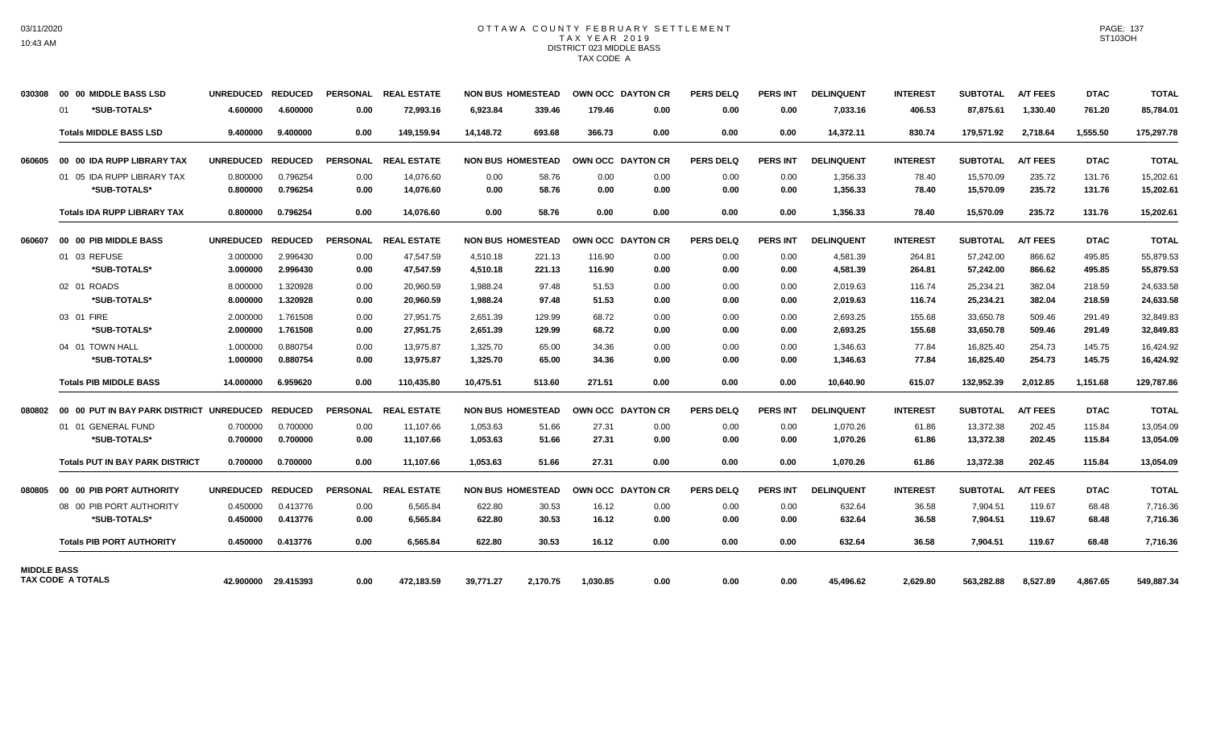### OTTAWA COUNTY FEBRUARY SETTLEMENT TAX YEAR 2019 DISTRICT 023 MIDDLE BASS TAX CODE A

| 030308             |    | 00 00 MIDDLE BASS LSD                    | <b>UNREDUCED</b> | <b>REDUCED</b> | <b>PERSONAL</b> | <b>REAL ESTATE</b>   |           | <b>NON BUS HOMESTEAD</b> |          | OWN OCC DAYTON CR | <b>PERS DELQ</b> | <b>PERS INT</b> | <b>DELINQUENT</b> | <b>INTEREST</b> | <b>SUBTOTAL</b> | <b>A/T FEES</b> | <b>DTAC</b> | <b>TOTAL</b> |
|--------------------|----|------------------------------------------|------------------|----------------|-----------------|----------------------|-----------|--------------------------|----------|-------------------|------------------|-----------------|-------------------|-----------------|-----------------|-----------------|-------------|--------------|
|                    | 01 | *SUB-TOTALS*                             | 4.600000         | 4.600000       | 0.00            | 72,993.16            | 6,923.84  | 339.46                   | 179.46   | 0.00              | 0.00             | 0.00            | 7,033.16          | 406.53          | 87,875.61       | 1,330.40        | 761.20      | 85,784.01    |
|                    |    | <b>Totals MIDDLE BASS LSD</b>            | 9.400000         | 9.400000       | 0.00            | 149,159.94           | 14,148.72 | 693.68                   | 366.73   | 0.00              | 0.00             | 0.00            | 14,372.11         | 830.74          | 179,571.92      | 2,718.64        | 1,555.50    | 175,297.78   |
| 060605             |    | 00 00 IDA RUPP LIBRARY TAX               | <b>UNREDUCED</b> | <b>REDUCED</b> | <b>PERSONAL</b> | <b>REAL ESTATE</b>   |           | <b>NON BUS HOMESTEAD</b> |          | OWN OCC DAYTON CR | <b>PERS DELQ</b> | <b>PERS INT</b> | <b>DELINQUENT</b> | <b>INTEREST</b> | <b>SUBTOTAL</b> | <b>A/T FEES</b> | <b>DTAC</b> | <b>TOTAL</b> |
|                    |    | 01 05 IDA RUPP LIBRARY TAX               | 0.800000         | 0.796254       | 0.00            | 14,076.60            | 0.00      | 58.76                    | 0.00     | 0.00              | 0.00             | 0.00            | 1,356.33          | 78.40           | 15,570.09       | 235.72          | 131.76      | 15,202.61    |
|                    |    | *SUB-TOTALS*                             | 0.800000         | 0.796254       | 0.00            | 14,076.60            | 0.00      | 58.76                    | 0.00     | 0.00              | 0.00             | 0.00            | 1,356.33          | 78.40           | 15,570.09       | 235.72          | 131.76      | 15,202.61    |
|                    |    | <b>Totals IDA RUPP LIBRARY TAX</b>       | 0.800000         | 0.796254       | 0.00            | 14.076.60            | 0.00      | 58.76                    | 0.00     | 0.00              | 0.00             | 0.00            | 1,356.33          | 78.40           | 15,570.09       | 235.72          | 131.76      | 15,202.61    |
| 060607             |    | 00 00 PIB MIDDLE BASS                    | <b>UNREDUCED</b> | <b>REDUCED</b> | <b>PERSONAL</b> | <b>REAL ESTATE</b>   |           | <b>NON BUS HOMESTEAD</b> |          | OWN OCC DAYTON CR | <b>PERS DELQ</b> | <b>PERS INT</b> | <b>DELINQUENT</b> | <b>INTEREST</b> | <b>SUBTOTAL</b> | <b>A/T FEES</b> | <b>DTAC</b> | <b>TOTAL</b> |
|                    |    | 01 03 REFUSE                             | 3.000000         | 2.996430       | 0.00            | 47,547.59            | 4,510.18  | 221.13                   | 116.90   | 0.00              | 0.00             | 0.00            | 4,581.39          | 264.81          | 57,242.00       | 866.62          | 495.85      | 55,879.53    |
|                    |    | *SUB-TOTALS*                             | 3.000000         | 2.996430       | 0.00            | 47,547.59            | 4,510.18  | 221.13                   | 116.90   | 0.00              | 0.00             | 0.00            | 4,581.39          | 264.81          | 57,242.00       | 866.62          | 495.85      | 55,879.53    |
|                    |    | 02 01 ROADS                              | 8.000000         | 1.320928       | 0.00            | 20,960.59            | 1,988.24  | 97.48                    | 51.53    | 0.00              | 0.00             | 0.00            | 2,019.63          | 116.74          | 25,234.21       | 382.04          | 218.59      | 24,633.58    |
|                    |    | *SUB-TOTALS*                             | 8.000000         | 1.320928       | 0.00            | 20,960.59            | 1,988.24  | 97.48                    | 51.53    | 0.00              | 0.00             | 0.00            | 2,019.63          | 116.74          | 25,234.21       | 382.04          | 218.59      | 24,633.58    |
|                    |    | 03 01 FIRE                               | 2.000000         | 1.761508       | 0.00            | 27,951.75            | 2,651.39  | 129.99                   | 68.72    | 0.00              | 0.00             | 0.00            | 2,693.25          | 155.68          | 33,650.78       | 509.46          | 291.49      | 32,849.83    |
|                    |    | *SUB-TOTALS*                             | 2.000000         | 1.761508       | 0.00            | 27,951.75            | 2,651.39  | 129.99                   | 68.72    | 0.00              | 0.00             | 0.00            | 2,693.25          | 155.68          | 33,650.78       | 509.46          | 291.49      | 32,849.83    |
|                    |    | 04 01 TOWN HALL                          | 1.000000         | 0.880754       | 0.00            | 13,975.87            | 1,325.70  | 65.00                    | 34.36    | 0.00              | 0.00             | 0.00            | 1,346.63          | 77.84           | 16,825.40       | 254.73          | 145.75      | 16,424.92    |
|                    |    | *SUB-TOTALS*                             | 1.000000         | 0.880754       | 0.00            | 13,975.87            | 1,325.70  | 65.00                    | 34.36    | 0.00              | 0.00             | 0.00            | 1,346.63          | 77.84           | 16,825.40       | 254.73          | 145.75      | 16,424.92    |
|                    |    | <b>Totals PIB MIDDLE BASS</b>            | 14.000000        | 6.959620       | 0.00            | 110,435.80           | 10.475.51 | 513.60                   | 271.51   | 0.00              | 0.00             | 0.00            | 10,640.90         | 615.07          | 132,952.39      | 2,012.85        | 1,151.68    | 129,787.86   |
| 080802             |    | 00 00 PUT IN BAY PARK DISTRICT UNREDUCED |                  | <b>REDUCED</b> | PERSONAL        | <b>REAL ESTATE</b>   |           | <b>NON BUS HOMESTEAD</b> |          | OWN OCC DAYTON CR | <b>PERS DELQ</b> | <b>PERS INT</b> | <b>DELINQUENT</b> | <b>INTEREST</b> | <b>SUBTOTAL</b> | <b>A/T FEES</b> | <b>DTAC</b> | <b>TOTAL</b> |
|                    |    | 01 01 GENERAL FUND                       | 0.700000         | 0.700000       | 0.00            | 11,107.66            | 1,053.63  | 51.66                    | 27.31    | 0.00              | 0.00             | 0.00            | 1,070.26          | 61.86           | 13,372.38       | 202.45          | 115.84      | 13,054.09    |
|                    |    | *SUB-TOTALS*                             | 0.700000         | 0.700000       | 0.00            | 11,107.66            | 1,053.63  | 51.66                    | 27.31    | 0.00              | 0.00             | 0.00            | 1,070.26          | 61.86           | 13,372.38       | 202.45          | 115.84      | 13,054.09    |
|                    |    | <b>Totals PUT IN BAY PARK DISTRICT</b>   | 0.700000         | 0.700000       | 0.00            | 11.107.66            | 1,053.63  | 51.66                    | 27.31    | 0.00              | 0.00             | 0.00            | 1,070.26          | 61.86           | 13,372.38       | 202.45          | 115.84      | 13,054.09    |
| 080805             |    | 00 00 PIB PORT AUTHORITY                 | <b>UNREDUCED</b> | <b>REDUCED</b> |                 | PERSONAL REAL ESTATE |           | <b>NON BUS HOMESTEAD</b> |          | OWN OCC DAYTON CR | <b>PERS DELQ</b> | <b>PERS INT</b> | <b>DELINQUENT</b> | <b>INTEREST</b> | <b>SUBTOTAL</b> | <b>A/T FEES</b> | <b>DTAC</b> | <b>TOTAL</b> |
|                    |    | 08 00 PIB PORT AUTHORITY                 | 0.450000         | 0.413776       | 0.00            | 6,565.84             | 622.80    | 30.53                    | 16.12    | 0.00              | 0.00             | 0.00            | 632.64            | 36.58           | 7,904.51        | 119.67          | 68.48       | 7,716.36     |
|                    |    | *SUB-TOTALS*                             | 0.450000         | 0.413776       | 0.00            | 6.565.84             | 622.80    | 30.53                    | 16.12    | 0.00              | 0.00             | 0.00            | 632.64            | 36.58           | 7,904.51        | 119.67          | 68.48       | 7,716.36     |
|                    |    | <b>Totals PIB PORT AUTHORITY</b>         | 0.450000         | 0.413776       | 0.00            | 6,565.84             | 622.80    | 30.53                    | 16.12    | 0.00              | 0.00             | 0.00            | 632.64            | 36.58           | 7,904.51        | 119.67          | 68.48       | 7,716.36     |
| <b>MIDDLE BASS</b> |    |                                          |                  |                |                 |                      |           |                          |          |                   |                  |                 |                   |                 |                 |                 |             |              |
|                    |    | TAX CODE A TOTALS                        | 42.900000        | 29.415393      | 0.00            | 472,183.59           | 39,771.27 | 2,170.75                 | 1,030.85 | 0.00              | 0.00             | 0.00            | 45,496.62         | 2,629.80        | 563,282.88      | 8,527.89        | 4,867.65    | 549,887.34   |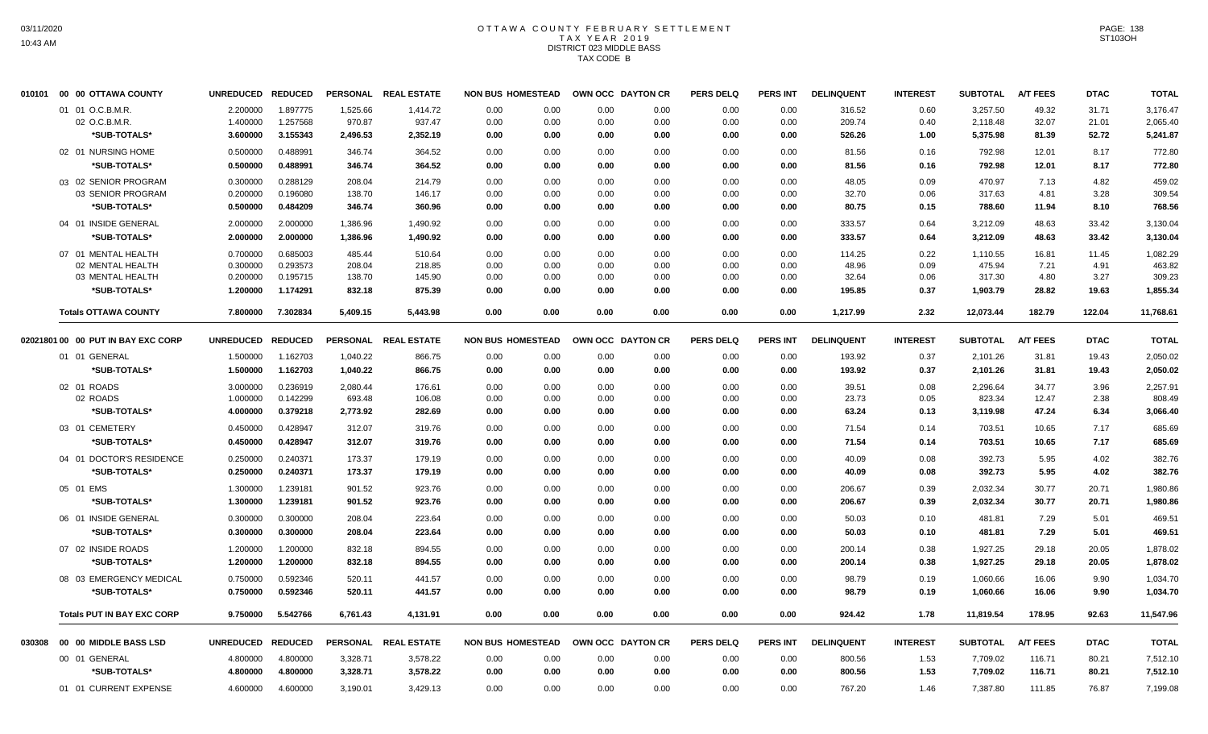## OTTAWA COUNTY FEBRUARY SETTLEMENT TAX YEAR 2019 DISTRICT 023 MIDDLE BASS TAX CODE B

|        | 010101  00  00 OTTAWA COUNTY       | <b>UNREDUCED</b>  | <b>REDUCED</b> | <b>PERSONAL</b> | <b>REAL ESTATE</b>   | <b>NON BUS HOMESTEAD</b> |      | OWN OCC DAYTON CR |      | <b>PERS DELQ</b> | PERS INT        | <b>DELINQUENT</b> | <b>INTEREST</b> | <b>SUBTOTAL</b> | <b>A/T FEES</b> | <b>DTAC</b> | <b>TOTAL</b> |
|--------|------------------------------------|-------------------|----------------|-----------------|----------------------|--------------------------|------|-------------------|------|------------------|-----------------|-------------------|-----------------|-----------------|-----------------|-------------|--------------|
|        | 01 01 O.C.B.M.R.                   | 2.200000          | 1.897775       | 1,525.66        | 1,414.72             | 0.00                     | 0.00 | 0.00              | 0.00 | 0.00             | 0.00            | 316.52            | 0.60            | 3,257.50        | 49.32           | 31.71       | 3,176.47     |
|        | 02 O.C.B.M.R.                      | 1.400000          | 1.257568       | 970.87          | 937.47               | 0.00                     | 0.00 | 0.00              | 0.00 | 0.00             | 0.00            | 209.74            | 0.40            | 2,118.48        | 32.07           | 21.01       | 2,065.40     |
|        | *SUB-TOTALS*                       | 3.600000          | 3.155343       | 2,496.53        | 2,352.19             | 0.00                     | 0.00 | 0.00              | 0.00 | 0.00             | 0.00            | 526.26            | 1.00            | 5,375.98        | 81.39           | 52.72       | 5.241.87     |
|        | 02 01 NURSING HOME                 | 0.500000          | 0.488991       | 346.74          | 364.52               | 0.00                     | 0.00 | 0.00              | 0.00 | 0.00             | 0.00            | 81.56             | 0.16            | 792.98          | 12.01           | 8.17        | 772.80       |
|        | *SUB-TOTALS*                       | 0.500000          | 0.488991       | 346.74          | 364.52               | 0.00                     | 0.00 | 0.00              | 0.00 | 0.00             | 0.00            | 81.56             | 0.16            | 792.98          | 12.01           | 8.17        | 772.80       |
|        | 03 02 SENIOR PROGRAM               | 0.300000          | 0.288129       | 208.04          | 214.79               | 0.00                     | 0.00 | 0.00              | 0.00 | 0.00             | 0.00            | 48.05             | 0.09            | 470.97          | 7.13            | 4.82        | 459.02       |
|        | 03 SENIOR PROGRAM                  | 0.200000          | 0.196080       | 138.70          | 146.17               | 0.00                     | 0.00 | 0.00              | 0.00 | 0.00             | 0.00            | 32.70             | 0.06            | 317.63          | 4.81            | 3.28        | 309.54       |
|        | *SUB-TOTALS*                       | 0.500000          | 0.484209       | 346.74          | 360.96               | 0.00                     | 0.00 | 0.00              | 0.00 | 0.00             | 0.00            | 80.75             | 0.15            | 788.60          | 11.94           | 8.10        | 768.56       |
|        | 04 01 INSIDE GENERAL               | 2.000000          | 2.000000       | 1,386.96        | 1,490.92             | 0.00                     | 0.00 | 0.00              | 0.00 | 0.00             | 0.00            | 333.57            | 0.64            | 3,212.09        | 48.63           | 33.42       | 3,130.04     |
|        | *SUB-TOTALS*                       | 2.000000          | 2.000000       | 1,386.96        | 1,490.92             | 0.00                     | 0.00 | 0.00              | 0.00 | 0.00             | 0.00            | 333.57            | 0.64            | 3,212.09        | 48.63           | 33.42       | 3,130.04     |
|        | 07 01 MENTAL HEALTH                | 0.700000          | 0.685003       | 485.44          | 510.64               | 0.00                     | 0.00 | 0.00              | 0.00 | 0.00             | 0.00            | 114.25            | 0.22            | 1,110.55        | 16.81           | 11.45       | 1,082.29     |
|        | 02 MENTAL HEALTH                   | 0.300000          | 0.293573       | 208.04          | 218.85               | 0.00                     | 0.00 | 0.00              | 0.00 | 0.00             | 0.00            | 48.96             | 0.09            | 475.94          | 7.21            | 4.91        | 463.82       |
|        | 03 MENTAL HEALTH                   | 0.200000          | 0.195715       | 138.70          | 145.90               | 0.00                     | 0.00 | 0.00              | 0.00 | 0.00             | 0.00            | 32.64             | 0.06            | 317.30          | 4.80            | 3.27        | 309.23       |
|        | *SUB-TOTALS*                       | 1.200000          | 1.174291       | 832.18          | 875.39               | 0.00                     | 0.00 | 0.00              | 0.00 | 0.00             | 0.00            | 195.85            | 0.37            | 1,903.79        | 28.82           | 19.63       | 1.855.34     |
|        | <b>Totals OTTAWA COUNTY</b>        | 7.800000          | 7.302834       | 5,409.15        | 5,443.98             | 0.00                     | 0.00 | 0.00              | 0.00 | 0.00             | 0.00            | 1,217.99          | 2.32            | 12,073.44       | 182.79          | 122.04      | 11,768.61    |
|        | 02021801 00 00 PUT IN BAY EXC CORP | UNREDUCED REDUCED |                |                 | PERSONAL REAL ESTATE | <b>NON BUS HOMESTEAD</b> |      | OWN OCC DAYTON CR |      | <b>PERS DELQ</b> | <b>PERS INT</b> | <b>DELINQUENT</b> | <b>INTEREST</b> | <b>SUBTOTAL</b> | <b>A/T FEES</b> | <b>DTAC</b> | <b>TOTAL</b> |
|        | 01 01 GENERAL                      | 1.500000          | 1.162703       | 1,040.22        | 866.75               | 0.00                     | 0.00 | 0.00              | 0.00 | 0.00             | 0.00            | 193.92            | 0.37            | 2,101.26        | 31.81           | 19.43       | 2,050.02     |
|        | *SUB-TOTALS*                       | 1.500000          | 1.162703       | 1,040.22        | 866.75               | 0.00                     | 0.00 | 0.00              | 0.00 | 0.00             | 0.00            | 193.92            | 0.37            | 2,101.26        | 31.81           | 19.43       | 2,050.02     |
|        | 02 01 ROADS                        | 3.000000          | 0.236919       | 2,080.44        | 176.61               | 0.00                     | 0.00 | 0.00              | 0.00 | 0.00             | 0.00            | 39.51             | 0.08            | 2,296.64        | 34.77           | 3.96        | 2,257.91     |
|        | 02 ROADS                           | 1.000000          | 0.142299       | 693.48          | 106.08               | 0.00                     | 0.00 | 0.00              | 0.00 | 0.00             | 0.00            | 23.73             | 0.05            | 823.34          | 12.47           | 2.38        | 808.49       |
|        | *SUB-TOTALS*                       | 4.000000          | 0.379218       | 2,773.92        | 282.69               | 0.00                     | 0.00 | 0.00              | 0.00 | 0.00             | 0.00            | 63.24             | 0.13            | 3,119.98        | 47.24           | 6.34        | 3,066.40     |
|        | 03 01 CEMETERY                     | 0.450000          | 0.428947       | 312.07          | 319.76               | 0.00                     | 0.00 | 0.00              | 0.00 | 0.00             | 0.00            | 71.54             | 0.14            | 703.51          | 10.65           | 7.17        | 685.69       |
|        | *SUB-TOTALS*                       | 0.450000          | 0.428947       | 312.07          | 319.76               | 0.00                     | 0.00 | 0.00              | 0.00 | 0.00             | 0.00            | 71.54             | 0.14            | 703.51          | 10.65           | 7.17        | 685.69       |
|        | 04 01 DOCTOR'S RESIDENCE           | 0.250000          | 0.240371       | 173.37          | 179.19               | 0.00                     | 0.00 | 0.00              | 0.00 | 0.00             | 0.00            | 40.09             | 0.08            | 392.73          | 5.95            | 4.02        | 382.76       |
|        | *SUB-TOTALS*                       | 0.250000          | 0.240371       | 173.37          | 179.19               | 0.00                     | 0.00 | 0.00              | 0.00 | 0.00             | 0.00            | 40.09             | 0.08            | 392.73          | 5.95            | 4.02        | 382.76       |
|        | 05 01 EMS                          | 1.300000          | 1.239181       | 901.52          | 923.76               | 0.00                     | 0.00 | 0.00              | 0.00 | 0.00             | 0.00            | 206.67            | 0.39            | 2,032.34        | 30.77           | 20.71       | 1,980.86     |
|        | *SUB-TOTALS*                       | 1.300000          | 1.239181       | 901.52          | 923.76               | 0.00                     | 0.00 | 0.00              | 0.00 | 0.00             | 0.00            | 206.67            | 0.39            | 2,032.34        | 30.77           | 20.71       | 1,980.86     |
|        | 06 01 INSIDE GENERAL               | 0.300000          | 0.300000       | 208.04          | 223.64               | 0.00                     | 0.00 | 0.00              | 0.00 | 0.00             | 0.00            | 50.03             | 0.10            | 481.81          | 7.29            | 5.01        | 469.51       |
|        | *SUB-TOTALS*                       | 0.300000          | 0.300000       | 208.04          | 223.64               | 0.00                     | 0.00 | 0.00              | 0.00 | 0.00             | 0.00            | 50.03             | 0.10            | 481.81          | 7.29            | 5.01        | 469.51       |
|        | 07 02 INSIDE ROADS                 | 1.200000          | 1.200000       | 832.18          | 894.55               | 0.00                     | 0.00 | 0.00              | 0.00 | 0.00             | 0.00            | 200.14            | 0.38            | 1,927.25        | 29.18           | 20.05       | 1,878.02     |
|        | *SUB-TOTALS*                       | 1.200000          | 1.200000       | 832.18          | 894.55               | 0.00                     | 0.00 | 0.00              | 0.00 | 0.00             | 0.00            | 200.14            | 0.38            | 1,927.25        | 29.18           | 20.05       | 1,878.02     |
|        | 08 03 EMERGENCY MEDICAL            | 0.750000          | 0.592346       | 520.11          | 441.57               | 0.00                     | 0.00 | 0.00              | 0.00 | 0.00             | 0.00            | 98.79             | 0.19            | 1,060.66        | 16.06           | 9.90        | 1,034.70     |
|        | *SUB-TOTALS*                       | 0.750000          | 0.592346       | 520.11          | 441.57               | 0.00                     | 0.00 | 0.00              | 0.00 | 0.00             | 0.00            | 98.79             | 0.19            | 1,060.66        | 16.06           | 9.90        | 1,034.70     |
|        | <b>Totals PUT IN BAY EXC CORP</b>  | 9.750000          | 5.542766       | 6,761.43        | 4,131.91             | 0.00                     | 0.00 | 0.00              | 0.00 | 0.00             | 0.00            | 924.42            | 1.78            | 11,819.54       | 178.95          | 92.63       | 11,547.96    |
| 030308 | 00 00 MIDDLE BASS LSD              | UNREDUCED REDUCED |                |                 | PERSONAL REAL ESTATE | <b>NON BUS HOMESTEAD</b> |      | OWN OCC DAYTON CR |      | <b>PERS DELQ</b> | <b>PERS INT</b> | <b>DELINQUENT</b> | <b>INTEREST</b> | <b>SUBTOTAL</b> | <b>A/T FEES</b> | <b>DTAC</b> | <b>TOTAL</b> |
|        | 00 01 GENERAL                      | 4.800000          | 4.800000       | 3,328.71        | 3,578.22             | 0.00                     | 0.00 | 0.00              | 0.00 | 0.00             | 0.00            | 800.56            | 1.53            | 7,709.02        | 116.71          | 80.21       | 7,512.10     |
|        | *SUB-TOTALS*                       | 4.800000          | 4.800000       | 3,328.71        | 3,578.22             | 0.00                     | 0.00 | 0.00              | 0.00 | 0.00             | 0.00            | 800.56            | 1.53            | 7,709.02        | 116.71          | 80.21       | 7,512.10     |
|        | 01 01 CURRENT EXPENSE              | 4.600000          | 4.600000       | 3,190.01        | 3,429.13             | 0.00                     | 0.00 | 0.00              | 0.00 | 0.00             | 0.00            | 767.20            | 1.46            |                 | 111.85          | 76.87       |              |
|        |                                    |                   |                |                 |                      |                          |      |                   |      |                  |                 |                   |                 | 7,387.80        |                 |             | 7,199.08     |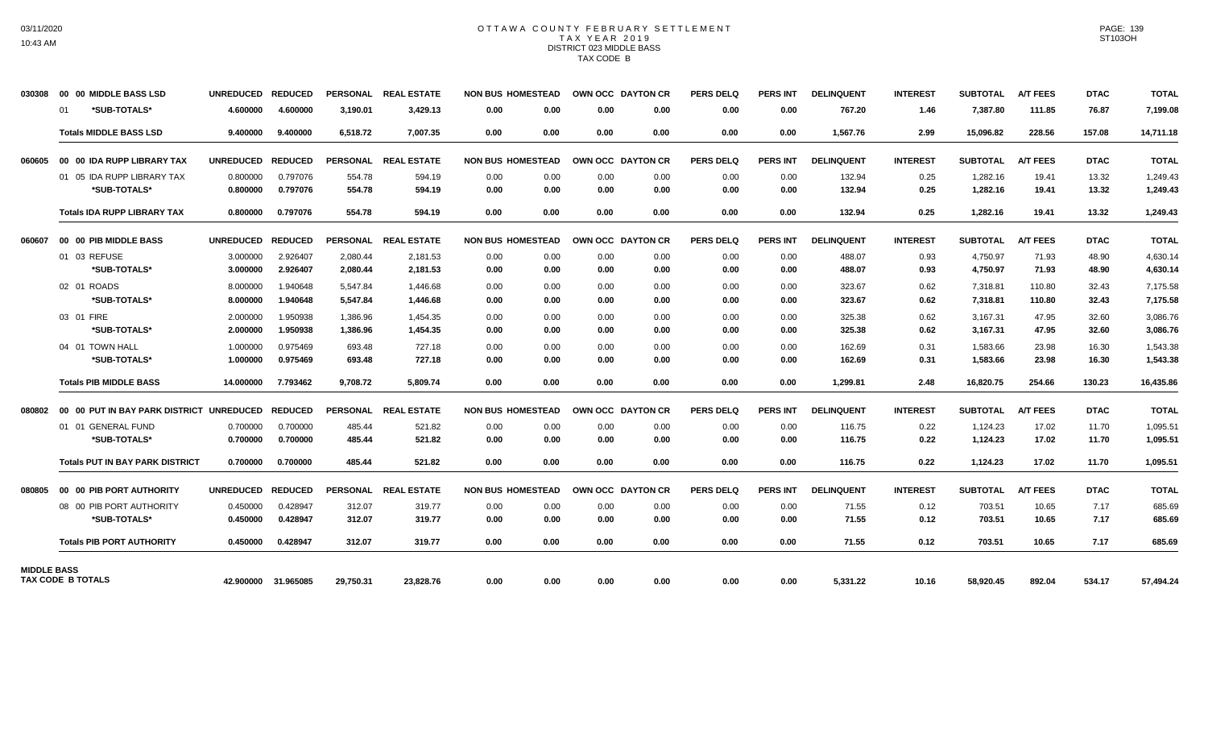### OTTAWA COUNTY FEBRUARY SETTLEMENT TAX YEAR 2019 DISTRICT 023 MIDDLE BASS TAX CODE B

| 030308             | 00 00 MIDDLE BASS LSD                    | <b>UNREDUCED</b> | <b>REDUCED</b>      |                 | PERSONAL REAL ESTATE | <b>NON BUS HOMESTEAD</b> |      |      | OWN OCC DAYTON CR | <b>PERS DELQ</b> | <b>PERS INT</b> | <b>DELINQUENT</b> | <b>INTEREST</b> | <b>SUBTOTAL</b> | <b>A/T FEES</b> | <b>DTAC</b> | <b>TOTAL</b> |
|--------------------|------------------------------------------|------------------|---------------------|-----------------|----------------------|--------------------------|------|------|-------------------|------------------|-----------------|-------------------|-----------------|-----------------|-----------------|-------------|--------------|
|                    | *SUB-TOTALS*<br>01                       | 4.600000         | 4.600000            | 3,190.01        | 3,429.13             | 0.00                     | 0.00 | 0.00 | 0.00              | 0.00             | 0.00            | 767.20            | 1.46            | 7,387.80        | 111.85          | 76.87       | 7,199.08     |
|                    | <b>Totals MIDDLE BASS LSD</b>            | 9.400000         | 9.400000            | 6,518.72        | 7,007.35             | 0.00                     | 0.00 | 0.00 | 0.00              | 0.00             | 0.00            | 1,567.76          | 2.99            | 15,096.82       | 228.56          | 157.08      | 14,711.18    |
| 060605             | 00 00 IDA RUPP LIBRARY TAX               | <b>UNREDUCED</b> | <b>REDUCED</b>      | <b>PERSONAL</b> | <b>REAL ESTATE</b>   | <b>NON BUS HOMESTEAD</b> |      |      | OWN OCC DAYTON CR | <b>PERS DELQ</b> | <b>PERS INT</b> | <b>DELINQUENT</b> | <b>INTEREST</b> | <b>SUBTOTAL</b> | <b>A/T FEES</b> | <b>DTAC</b> | <b>TOTAL</b> |
|                    | 01 05 IDA RUPP LIBRARY TAX               | 0.800000         | 0.797076            | 554.78          | 594.19               | 0.00                     | 0.00 | 0.00 | 0.00              | 0.00             | 0.00            | 132.94            | 0.25            | 1,282.16        | 19.41           | 13.32       | 1,249.43     |
|                    | *SUB-TOTALS*                             | 0.800000         | 0.797076            | 554.78          | 594.19               | 0.00                     | 0.00 | 0.00 | 0.00              | 0.00             | 0.00            | 132.94            | 0.25            | 1,282.16        | 19.41           | 13.32       | 1,249.43     |
|                    | <b>Totals IDA RUPP LIBRARY TAX</b>       | 0.800000         | 0.797076            | 554.78          | 594.19               | 0.00                     | 0.00 | 0.00 | 0.00              | 0.00             | 0.00            | 132.94            | 0.25            | 1,282.16        | 19.41           | 13.32       | 1,249.43     |
| 060607             | 00 00 PIB MIDDLE BASS                    | <b>UNREDUCED</b> | <b>REDUCED</b>      |                 | PERSONAL REAL ESTATE | <b>NON BUS HOMESTEAD</b> |      |      | OWN OCC DAYTON CR | <b>PERS DELQ</b> | <b>PERS INT</b> | <b>DELINQUENT</b> | <b>INTEREST</b> | <b>SUBTOTAL</b> | <b>A/T FEES</b> | <b>DTAC</b> | <b>TOTAL</b> |
|                    | 01 03 REFUSE                             | 3.000000         | 2.926407            | 2,080.44        | 2,181.53             | 0.00                     | 0.00 | 0.00 | 0.00              | 0.00             | 0.00            | 488.07            | 0.93            | 4,750.97        | 71.93           | 48.90       | 4.630.14     |
|                    | *SUB-TOTALS*                             | 3.000000         | 2.926407            | 2,080.44        | 2,181.53             | 0.00                     | 0.00 | 0.00 | 0.00              | 0.00             | 0.00            | 488.07            | 0.93            | 4,750.97        | 71.93           | 48.90       | 4,630.14     |
|                    | 02 01 ROADS                              | 8.000000         | 1.940648            | 5,547.84        | 1,446.68             | 0.00                     | 0.00 | 0.00 | 0.00              | 0.00             | 0.00            | 323.67            | 0.62            | 7,318.81        | 110.80          | 32.43       | 7,175.58     |
|                    | *SUB-TOTALS*                             | 8.000000         | 1.940648            | 5,547.84        | 1.446.68             | 0.00                     | 0.00 | 0.00 | 0.00              | 0.00             | 0.00            | 323.67            | 0.62            | 7,318.81        | 110.80          | 32.43       | 7,175.58     |
|                    | 03 01 FIRE                               | 2.000000         | 1.950938            | 1.386.96        | 1.454.35             | 0.00                     | 0.00 | 0.00 | 0.00              | 0.00             | 0.00            | 325.38            | 0.62            | 3,167.31        | 47.95           | 32.60       | 3.086.76     |
|                    | *SUB-TOTALS*                             | 2.000000         | 1.950938            | 1.386.96        | 1.454.35             | 0.00                     | 0.00 | 0.00 | 0.00              | 0.00             | 0.00            | 325.38            | 0.62            | 3,167.31        | 47.95           | 32.60       | 3,086.76     |
|                    | 04 01 TOWN HALL                          | 1.000000         | 0.975469            | 693.48          | 727.18               | 0.00                     | 0.00 | 0.00 | 0.00              | 0.00             | 0.00            | 162.69            | 0.31            | 1,583.66        | 23.98           | 16.30       | 1.543.38     |
|                    | *SUB-TOTALS*                             | 1.000000         | 0.975469            | 693.48          | 727.18               | 0.00                     | 0.00 | 0.00 | 0.00              | 0.00             | 0.00            | 162.69            | 0.31            | 1,583.66        | 23.98           | 16.30       | 1,543.38     |
|                    | <b>Totals PIB MIDDLE BASS</b>            | 14.000000        | 7.793462            | 9.708.72        | 5.809.74             | 0.00                     | 0.00 | 0.00 | 0.00              | 0.00             | 0.00            | 1.299.81          | 2.48            | 16,820.75       | 254.66          | 130.23      | 16,435.86    |
| 080802             | 00 00 PUT IN BAY PARK DISTRICT UNREDUCED |                  | <b>REDUCED</b>      | <b>PERSONAL</b> | <b>REAL ESTATE</b>   | <b>NON BUS HOMESTEAD</b> |      |      | OWN OCC DAYTON CR | <b>PERS DELQ</b> | <b>PERS INT</b> | <b>DELINQUENT</b> | <b>INTEREST</b> | <b>SUBTOTAL</b> | <b>A/T FEES</b> | <b>DTAC</b> | <b>TOTAL</b> |
|                    | 01 01 GENERAL FUND                       | 0.700000         | 0.700000            | 485.44          | 521.82               | 0.00                     | 0.00 | 0.00 | 0.00              | 0.00             | 0.00            | 116.75            | 0.22            | 1,124.23        | 17.02           | 11.70       | 1,095.51     |
|                    | *SUB-TOTALS*                             | 0.700000         | 0.700000            | 485.44          | 521.82               | 0.00                     | 0.00 | 0.00 | 0.00              | 0.00             | 0.00            | 116.75            | 0.22            | 1,124.23        | 17.02           | 11.70       | 1,095.51     |
|                    | <b>Totals PUT IN BAY PARK DISTRICT</b>   | 0.700000         | 0.700000            | 485.44          | 521.82               | 0.00                     | 0.00 | 0.00 | 0.00              | 0.00             | 0.00            | 116.75            | 0.22            | 1,124.23        | 17.02           | 11.70       | 1,095.51     |
| 080805             | 00 00 PIB PORT AUTHORITY                 | <b>UNREDUCED</b> | <b>REDUCED</b>      | <b>PERSONAL</b> | <b>REAL ESTATE</b>   | <b>NON BUS HOMESTEAD</b> |      |      | OWN OCC DAYTON CR | <b>PERS DELQ</b> | <b>PERS INT</b> | <b>DELINQUENT</b> | <b>INTEREST</b> | <b>SUBTOTAL</b> | <b>A/T FEES</b> | <b>DTAC</b> | <b>TOTAL</b> |
|                    | 08 00 PIB PORT AUTHORITY                 | 0.450000         | 0.428947            | 312.07          | 319.77               | 0.00                     | 0.00 | 0.00 | 0.00              | 0.00             | 0.00            | 71.55             | 0.12            | 703.51          | 10.65           | 7.17        | 685.69       |
|                    | *SUB-TOTALS*                             | 0.450000         | 0.428947            | 312.07          | 319.77               | 0.00                     | 0.00 | 0.00 | 0.00              | 0.00             | 0.00            | 71.55             | 0.12            | 703.51          | 10.65           | 7.17        | 685.69       |
|                    | <b>Totals PIB PORT AUTHORITY</b>         | 0.450000         | 0.428947            | 312.07          | 319.77               | 0.00                     | 0.00 | 0.00 | 0.00              | 0.00             | 0.00            | 71.55             | 0.12            | 703.51          | 10.65           | 7.17        | 685.69       |
| <b>MIDDLE BASS</b> | <b>TAX CODE B TOTALS</b>                 |                  |                     |                 |                      |                          |      |      |                   |                  |                 |                   |                 |                 |                 |             |              |
|                    |                                          |                  | 42.900000 31.965085 | 29,750.31       | 23.828.76            | 0.00                     | 0.00 | 0.00 | 0.00              | 0.00             | 0.00            | 5,331.22          | 10.16           | 58,920.45       | 892.04          | 534.17      | 57,494.24    |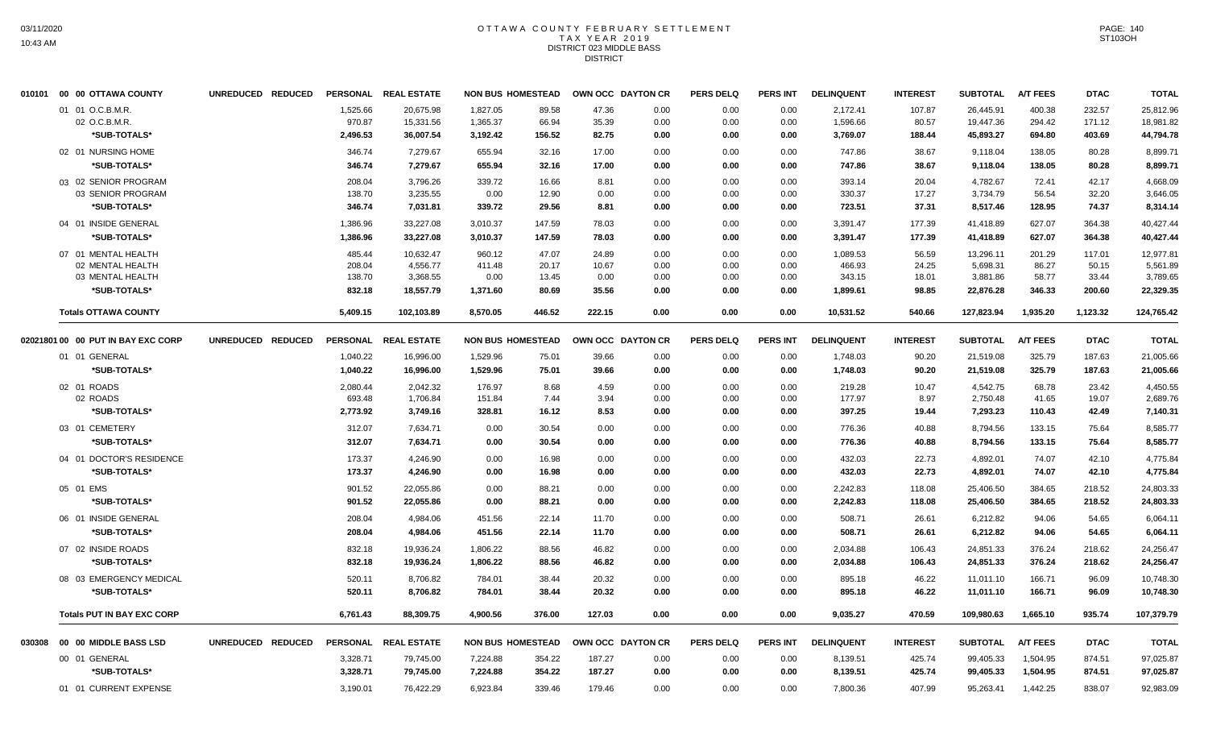## OTTAWA COUNTY FEBRUARY SETTLEMENT TAX YEAR 2019 DISTRICT 023 MIDDLE BASS **DISTRICT**

|        | 010101 00 00 OTTAWA COUNTY         | UNREDUCED REDUCED |          | PERSONAL REAL ESTATE | <b>NON BUS HOMESTEAD</b> |        |        | OWN OCC DAYTON CR | <b>PERS DELQ</b> | <b>PERS INT</b> | <b>DELINQUENT</b> | <b>INTEREST</b> | <b>SUBTOTAL</b> | <b>A/T FEES</b> | <b>DTAC</b> | <b>TOTAL</b> |
|--------|------------------------------------|-------------------|----------|----------------------|--------------------------|--------|--------|-------------------|------------------|-----------------|-------------------|-----------------|-----------------|-----------------|-------------|--------------|
|        | 01 01 O.C.B.M.R.                   |                   | 1,525.66 | 20.675.98            | 1.827.05                 | 89.58  | 47.36  | 0.00              | 0.00             | 0.00            | 2,172.41          | 107.87          | 26.445.91       | 400.38          | 232.57      | 25,812.96    |
|        | 02 O.C.B.M.R.                      |                   | 970.87   | 15,331.56            | 1,365.37                 | 66.94  | 35.39  | 0.00              | 0.00             | 0.00            | 1,596.66          | 80.57           | 19,447.36       | 294.42          | 171.12      | 18,981.82    |
|        | *SUB-TOTALS*                       |                   | 2,496.53 | 36,007.54            | 3,192.42                 | 156.52 | 82.75  | 0.00              | 0.00             | 0.00            | 3,769.07          | 188.44          | 45,893.27       | 694.80          | 403.69      | 44,794.78    |
|        | 02 01 NURSING HOME                 |                   | 346.74   | 7,279.67             | 655.94                   | 32.16  | 17.00  | 0.00              | 0.00             | 0.00            | 747.86            | 38.67           | 9,118.04        | 138.05          | 80.28       | 8.899.71     |
|        | *SUB-TOTALS*                       |                   | 346.74   | 7,279.67             | 655.94                   | 32.16  | 17.00  | 0.00              | 0.00             | 0.00            | 747.86            | 38.67           | 9,118.04        | 138.05          | 80.28       | 8,899.71     |
|        | 03 02 SENIOR PROGRAM               |                   | 208.04   | 3.796.26             | 339.72                   | 16.66  | 8.81   | 0.00              | 0.00             | 0.00            | 393.14            | 20.04           | 4.782.67        | 72.41           | 42.17       | 4.668.09     |
|        | 03 SENIOR PROGRAM                  |                   | 138.70   | 3,235.55             | 0.00                     | 12.90  | 0.00   | 0.00              | 0.00             | 0.00            | 330.37            | 17.27           | 3,734.79        | 56.54           | 32.20       | 3,646.05     |
|        | *SUB-TOTALS*                       |                   | 346.74   | 7,031.81             | 339.72                   | 29.56  | 8.81   | 0.00              | 0.00             | 0.00            | 723.51            | 37.31           | 8,517.46        | 128.95          | 74.37       | 8,314.14     |
|        | 04 01 INSIDE GENERAL               |                   | 1,386.96 | 33,227.08            | 3,010.37                 | 147.59 | 78.03  | 0.00              | 0.00             | 0.00            | 3,391.47          | 177.39          | 41,418.89       | 627.07          | 364.38      | 40,427.44    |
|        | *SUB-TOTALS*                       |                   | 1,386.96 | 33,227.08            | 3,010.37                 | 147.59 | 78.03  | 0.00              | 0.00             | 0.00            | 3,391.47          | 177.39          | 41,418.89       | 627.07          | 364.38      | 40,427.44    |
|        | 07 01 MENTAL HEALTH                |                   | 485.44   | 10,632.47            | 960.12                   | 47.07  | 24.89  | 0.00              | 0.00             | 0.00            | 1,089.53          | 56.59           | 13,296.11       | 201.29          | 117.01      | 12,977.81    |
|        | 02 MENTAL HEALTH                   |                   | 208.04   | 4,556.77             | 411.48                   | 20.17  | 10.67  | 0.00              | 0.00             | 0.00            | 466.93            | 24.25           | 5,698.31        | 86.27           | 50.15       | 5,561.89     |
|        | 03 MENTAL HEALTH                   |                   | 138.70   | 3,368.55             | 0.00                     | 13.45  | 0.00   | 0.00              | 0.00             | 0.00            | 343.15            | 18.01           | 3,881.86        | 58.77           | 33.44       | 3,789.65     |
|        | *SUB-TOTALS*                       |                   | 832.18   | 18,557.79            | 1,371.60                 | 80.69  | 35.56  | 0.00              | 0.00             | 0.00            | 1,899.61          | 98.85           | 22,876.28       | 346.33          | 200.60      | 22,329.35    |
|        | <b>Totals OTTAWA COUNTY</b>        |                   | 5,409.15 | 102,103.89           | 8,570.05                 | 446.52 | 222.15 | 0.00              | 0.00             | 0.00            | 10,531.52         | 540.66          | 127,823.94      | 1,935.20        | 1,123.32    | 124,765.42   |
|        | 02021801 00 00 PUT IN BAY EXC CORP | UNREDUCED REDUCED |          | PERSONAL REAL ESTATE | <b>NON BUS HOMESTEAD</b> |        |        | OWN OCC DAYTON CR | <b>PERS DELQ</b> | <b>PERS INT</b> | <b>DELINQUENT</b> | <b>INTEREST</b> | <b>SUBTOTAL</b> | <b>A/T FEES</b> | <b>DTAC</b> | <b>TOTAL</b> |
|        | 01 01 GENERAL                      |                   | 1,040.22 | 16,996.00            | 1,529.96                 | 75.01  | 39.66  | 0.00              | 0.00             | 0.00            | 1,748.03          | 90.20           | 21,519.08       | 325.79          | 187.63      | 21,005.66    |
|        | *SUB-TOTALS*                       |                   | 1,040.22 | 16,996.00            | 1,529.96                 | 75.01  | 39.66  | 0.00              | 0.00             | 0.00            | 1,748.03          | 90.20           | 21,519.08       | 325.79          | 187.63      | 21,005.66    |
|        | 02 01 ROADS                        |                   | 2,080.44 | 2.042.32             | 176.97                   | 8.68   | 4.59   | 0.00              | 0.00             | 0.00            | 219.28            | 10.47           | 4.542.75        | 68.78           | 23.42       | 4.450.55     |
|        | 02 ROADS                           |                   | 693.48   | 1,706.84             | 151.84                   | 7.44   | 3.94   | 0.00              | 0.00             | 0.00            | 177.97            | 8.97            | 2,750.48        | 41.65           | 19.07       | 2,689.76     |
|        | *SUB-TOTALS*                       |                   | 2,773.92 | 3,749.16             | 328.81                   | 16.12  | 8.53   | 0.00              | 0.00             | 0.00            | 397.25            | 19.44           | 7,293.23        | 110.43          | 42.49       | 7,140.31     |
|        | 03 01 CEMETERY                     |                   | 312.07   | 7,634.71             | 0.00                     | 30.54  | 0.00   | 0.00              | 0.00             | 0.00            | 776.36            | 40.88           | 8,794.56        | 133.15          | 75.64       | 8,585.77     |
|        | *SUB-TOTALS*                       |                   | 312.07   | 7,634.71             | 0.00                     | 30.54  | 0.00   | 0.00              | 0.00             | 0.00            | 776.36            | 40.88           | 8,794.56        | 133.15          | 75.64       | 8,585.77     |
|        | 04 01 DOCTOR'S RESIDENCE           |                   | 173.37   | 4,246.90             | 0.00                     | 16.98  | 0.00   | 0.00              | 0.00             | 0.00            | 432.03            | 22.73           | 4,892.01        | 74.07           | 42.10       | 4,775.84     |
|        | *SUB-TOTALS*                       |                   | 173.37   | 4,246.90             | 0.00                     | 16.98  | 0.00   | 0.00              | 0.00             | 0.00            | 432.03            | 22.73           | 4,892.01        | 74.07           | 42.10       | 4,775.84     |
|        | 05 01 EMS                          |                   | 901.52   | 22,055.86            | 0.00                     | 88.21  | 0.00   | 0.00              | 0.00             | 0.00            | 2,242.83          | 118.08          | 25,406.50       | 384.65          | 218.52      | 24,803.33    |
|        | *SUB-TOTALS*                       |                   | 901.52   | 22,055.86            | 0.00                     | 88.21  | 0.00   | 0.00              | 0.00             | 0.00            | 2,242.83          | 118.08          | 25,406.50       | 384.65          | 218.52      | 24,803.33    |
|        | 06 01 INSIDE GENERAL               |                   | 208.04   | 4,984.06             | 451.56                   | 22.14  | 11.70  | 0.00              | 0.00             | 0.00            | 508.71            | 26.61           | 6,212.82        | 94.06           | 54.65       | 6,064.11     |
|        | *SUB-TOTALS*                       |                   | 208.04   | 4,984.06             | 451.56                   | 22.14  | 11.70  | 0.00              | 0.00             | 0.00            | 508.71            | 26.61           | 6,212.82        | 94.06           | 54.65       | 6,064.11     |
|        | 07 02 INSIDE ROADS                 |                   | 832.18   | 19.936.24            | 1,806.22                 | 88.56  | 46.82  | 0.00              | 0.00             | 0.00            | 2,034.88          | 106.43          | 24,851.33       | 376.24          | 218.62      | 24,256.47    |
|        | *SUB-TOTALS*                       |                   | 832.18   | 19,936.24            | 1,806.22                 | 88.56  | 46.82  | 0.00              | 0.00             | 0.00            | 2,034.88          | 106.43          | 24,851.33       | 376.24          | 218.62      | 24,256.47    |
|        | 08 03 EMERGENCY MEDICAL            |                   | 520.11   | 8,706.82             | 784.01                   | 38.44  | 20.32  | 0.00              | 0.00             | 0.00            | 895.18            | 46.22           | 11,011.10       | 166.71          | 96.09       | 10,748.30    |
|        | *SUB-TOTALS*                       |                   | 520.11   | 8,706.82             | 784.01                   | 38.44  | 20.32  | 0.00              | 0.00             | 0.00            | 895.18            | 46.22           | 11,011.10       | 166.71          | 96.09       | 10,748.30    |
|        |                                    |                   |          |                      |                          |        |        |                   |                  |                 |                   |                 |                 |                 |             |              |
|        | <b>Totals PUT IN BAY EXC CORP</b>  |                   | 6,761.43 | 88,309.75            | 4,900.56                 | 376.00 | 127.03 | 0.00              | 0.00             | 0.00            | 9,035.27          | 470.59          | 109,980.63      | 1,665.10        | 935.74      | 107,379.79   |
| 030308 | 00 00 MIDDLE BASS LSD              | UNREDUCED REDUCED |          | PERSONAL REAL ESTATE | <b>NON BUS HOMESTEAD</b> |        |        | OWN OCC DAYTON CR | <b>PERS DELQ</b> | <b>PERS INT</b> | <b>DELINQUENT</b> | <b>INTEREST</b> | <b>SUBTOTAL</b> | <b>A/T FEES</b> | <b>DTAC</b> | <b>TOTAL</b> |
|        | 00 01 GENERAL                      |                   | 3,328.71 | 79,745.00            | 7,224.88                 | 354.22 | 187.27 | 0.00              | 0.00             | 0.00            | 8,139.51          | 425.74          | 99,405.33       | 1,504.95        | 874.51      | 97,025.87    |
|        | *SUB-TOTALS*                       |                   | 3,328.71 | 79,745.00            | 7,224.88                 | 354.22 | 187.27 | 0.00              | 0.00             | 0.00            | 8,139.51          | 425.74          | 99,405.33       | 1,504.95        | 874.51      | 97,025.87    |
|        | 01 01 CURRENT EXPENSE              |                   | 3,190.01 | 76,422.29            | 6,923.84                 | 339.46 | 179.46 | 0.00              | 0.00             | 0.00            | 7,800.36          | 407.99          | 95,263.41       | 1,442.25        | 838.07      | 92,983.09    |
|        |                                    |                   |          |                      |                          |        |        |                   |                  |                 |                   |                 |                 |                 |             |              |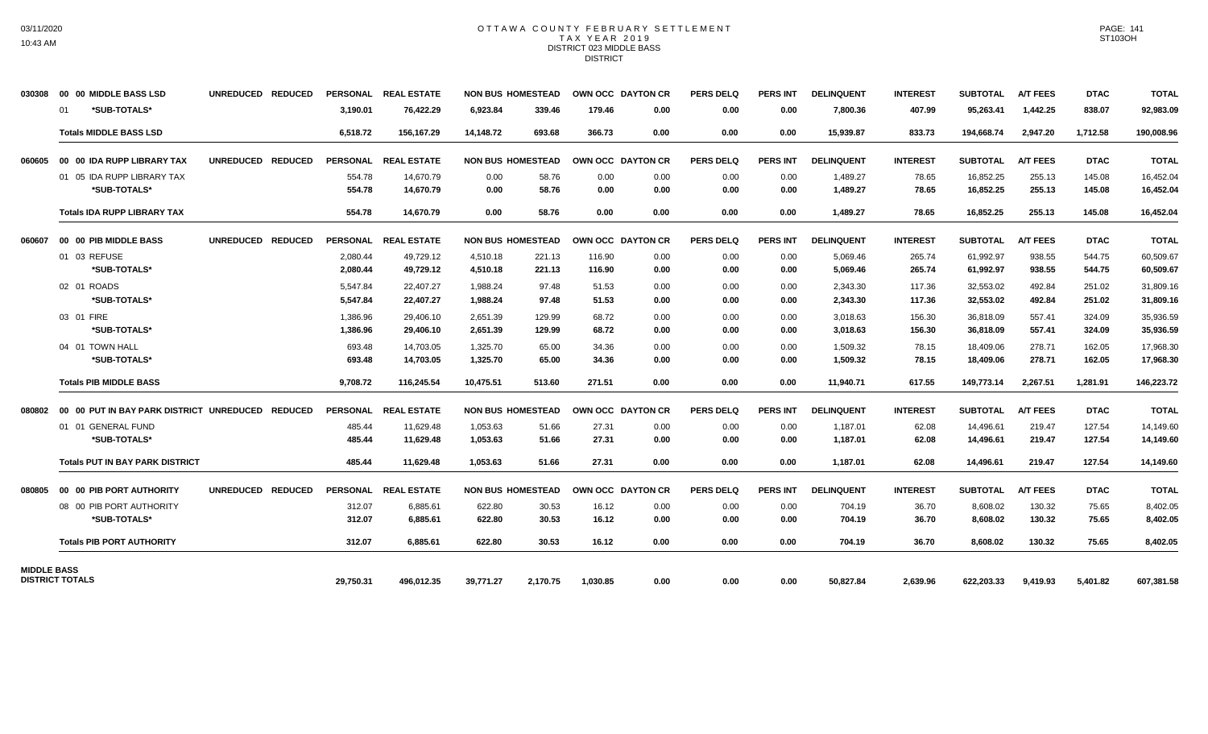#### OTTAWA COUNTY FEBRUARY SETTLEMENT TAX YEAR 2019 DISTRICT 023 MIDDLE BASS **DISTRICT**

| 030308             | 00 00 MIDDLE BASS LSD                            | UNREDUCED REDUCED |                 | PERSONAL REAL ESTATE |           | <b>NON BUS HOMESTEAD</b> | <b>OWN OCC DAYTON CR</b> |      | <b>PERS DELQ</b> | <b>PERS INT</b> | <b>DELINQUENT</b> | <b>INTEREST</b> | <b>SUBTOTAL</b> | <b>A/T FEES</b> | <b>DTAC</b> | <b>TOTAL</b> |
|--------------------|--------------------------------------------------|-------------------|-----------------|----------------------|-----------|--------------------------|--------------------------|------|------------------|-----------------|-------------------|-----------------|-----------------|-----------------|-------------|--------------|
|                    | *SUB-TOTALS*<br>01                               |                   | 3,190.01        | 76,422.29            | 6,923.84  | 339.46                   | 179.46                   | 0.00 | 0.00             | 0.00            | 7,800.36          | 407.99          | 95,263.41       | 1,442.25        | 838.07      | 92,983.09    |
|                    | <b>Totals MIDDLE BASS LSD</b>                    |                   | 6,518.72        | 156,167.29           | 14,148.72 | 693.68                   | 366.73                   | 0.00 | 0.00             | 0.00            | 15,939.87         | 833.73          | 194,668.74      | 2,947.20        | 1,712.58    | 190,008.96   |
| 060605             | 00 00 IDA RUPP LIBRARY TAX                       | UNREDUCED REDUCED | <b>PERSONAL</b> | <b>REAL ESTATE</b>   |           | <b>NON BUS HOMESTEAD</b> | <b>OWN OCC DAYTON CR</b> |      | <b>PERS DELQ</b> | <b>PERS INT</b> | <b>DELINQUENT</b> | <b>INTEREST</b> | <b>SUBTOTAL</b> | <b>A/T FEES</b> | <b>DTAC</b> | <b>TOTAL</b> |
|                    | 01 05 IDA RUPP LIBRARY TAX                       |                   | 554.78          | 14,670.79            | 0.00      | 58.76                    | 0.00                     | 0.00 | 0.00             | 0.00            | 1,489.27          | 78.65           | 16,852.25       | 255.13          | 145.08      | 16,452.04    |
|                    | *SUB-TOTALS*                                     |                   | 554.78          | 14.670.79            | 0.00      | 58.76                    | 0.00                     | 0.00 | 0.00             | 0.00            | 1,489.27          | 78.65           | 16,852.25       | 255.13          | 145.08      | 16,452.04    |
|                    | <b>Totals IDA RUPP LIBRARY TAX</b>               |                   | 554.78          | 14,670.79            | 0.00      | 58.76                    | 0.00                     | 0.00 | 0.00             | 0.00            | 1,489.27          | 78.65           | 16,852.25       | 255.13          | 145.08      | 16,452.04    |
| 060607             | 00 00 PIB MIDDLE BASS                            | UNREDUCED REDUCED |                 | PERSONAL REAL ESTATE |           | <b>NON BUS HOMESTEAD</b> | OWN OCC DAYTON CR        |      | <b>PERS DELQ</b> | <b>PERS INT</b> | <b>DELINQUENT</b> | <b>INTEREST</b> | <b>SUBTOTAL</b> | <b>A/T FEES</b> | <b>DTAC</b> | <b>TOTAL</b> |
|                    | 01 03 REFUSE                                     |                   | 2,080.44        | 49,729.12            | 4,510.18  | 221.13                   | 116.90                   | 0.00 | 0.00             | 0.00            | 5,069.46          | 265.74          | 61,992.97       | 938.55          | 544.75      | 60,509.67    |
|                    | *SUB-TOTALS*                                     |                   | 2.080.44        | 49,729.12            | 4,510.18  | 221.13                   | 116.90                   | 0.00 | 0.00             | 0.00            | 5,069.46          | 265.74          | 61,992.97       | 938.55          | 544.75      | 60,509.67    |
|                    | 02 01 ROADS                                      |                   | 5,547.84        | 22.407.27            | 1.988.24  | 97.48                    | 51.53                    | 0.00 | 0.00             | 0.00            | 2,343.30          | 117.36          | 32,553.02       | 492.84          | 251.02      | 31,809.16    |
|                    | *SUB-TOTALS*                                     |                   | 5.547.84        | 22.407.27            | 1.988.24  | 97.48                    | 51.53                    | 0.00 | 0.00             | 0.00            | 2,343.30          | 117.36          | 32,553.02       | 492.84          | 251.02      | 31,809.16    |
|                    | 03 01 FIRE                                       |                   | 1,386.96        | 29,406.10            | 2,651.39  | 129.99                   | 68.72                    | 0.00 | 0.00             | 0.00            | 3,018.63          | 156.30          | 36,818.09       | 557.41          | 324.09      | 35,936.59    |
|                    | *SUB-TOTALS*                                     |                   | 1,386.96        | 29,406.10            | 2,651.39  | 129.99                   | 68.72                    | 0.00 | 0.00             | 0.00            | 3,018.63          | 156.30          | 36,818.09       | 557.41          | 324.09      | 35,936.59    |
|                    | 04 01 TOWN HALL                                  |                   | 693.48          | 14,703.05            | 1,325.70  | 65.00                    | 34.36                    | 0.00 | 0.00             | 0.00            | 1,509.32          | 78.15           | 18,409.06       | 278.71          | 162.05      | 17,968.30    |
|                    | *SUB-TOTALS*                                     |                   | 693.48          | 14,703.05            | 1,325.70  | 65.00                    | 34.36                    | 0.00 | 0.00             | 0.00            | 1,509.32          | 78.15           | 18,409.06       | 278.71          | 162.05      | 17,968.30    |
|                    | <b>Totals PIB MIDDLE BASS</b>                    |                   | 9,708.72        | 116,245.54           | 10,475.51 | 513.60                   | 271.51                   | 0.00 | 0.00             | 0.00            | 11,940.71         | 617.55          | 149,773.14      | 2,267.51        | 1,281.91    | 146,223.72   |
| 080802             | 00 00 PUT IN BAY PARK DISTRICT UNREDUCED REDUCED |                   |                 | PERSONAL REAL ESTATE |           | <b>NON BUS HOMESTEAD</b> | OWN OCC DAYTON CR        |      | <b>PERS DELQ</b> | <b>PERS INT</b> | <b>DELINQUENT</b> | <b>INTEREST</b> | <b>SUBTOTAL</b> | <b>A/T FEES</b> | <b>DTAC</b> | <b>TOTAL</b> |
|                    | 01 01 GENERAL FUND                               |                   | 485.44          | 11,629.48            | 1,053.63  | 51.66                    | 27.31                    | 0.00 | 0.00             | 0.00            | 1,187.01          | 62.08           | 14,496.61       | 219.47          | 127.54      | 14,149.60    |
|                    | *SUB-TOTALS*                                     |                   | 485.44          | 11,629.48            | 1,053.63  | 51.66                    | 27.31                    | 0.00 | 0.00             | 0.00            | 1,187.01          | 62.08           | 14,496.61       | 219.47          | 127.54      | 14,149.60    |
|                    | <b>Totals PUT IN BAY PARK DISTRICT</b>           |                   | 485.44          | 11,629.48            | 1,053.63  | 51.66                    | 27.31                    | 0.00 | 0.00             | 0.00            | 1,187.01          | 62.08           | 14,496.61       | 219.47          | 127.54      | 14,149.60    |
| 080805             | 00 00 PIB PORT AUTHORITY                         | UNREDUCED REDUCED |                 | PERSONAL REAL ESTATE |           | <b>NON BUS HOMESTEAD</b> | OWN OCC DAYTON CR        |      | <b>PERS DELQ</b> | <b>PERS INT</b> | <b>DELINQUENT</b> | <b>INTEREST</b> | <b>SUBTOTAL</b> | <b>A/T FEES</b> | <b>DTAC</b> | <b>TOTAL</b> |
|                    | 08 00 PIB PORT AUTHORITY                         |                   | 312.07          | 6,885.61             | 622.80    | 30.53                    | 16.12                    | 0.00 | 0.00             | 0.00            | 704.19            | 36.70           | 8,608.02        | 130.32          | 75.65       | 8,402.05     |
|                    | *SUB-TOTALS*                                     |                   | 312.07          | 6,885.61             | 622.80    | 30.53                    | 16.12                    | 0.00 | 0.00             | 0.00            | 704.19            | 36.70           | 8,608.02        | 130.32          | 75.65       | 8,402.05     |
|                    | <b>Totals PIB PORT AUTHORITY</b>                 |                   | 312.07          | 6,885.61             | 622.80    | 30.53                    | 16.12                    | 0.00 | 0.00             | 0.00            | 704.19            | 36.70           | 8,608.02        | 130.32          | 75.65       | 8,402.05     |
| <b>MIDDLE BASS</b> |                                                  |                   |                 |                      |           |                          |                          |      |                  |                 |                   |                 |                 |                 |             |              |
|                    | <b>DISTRICT TOTALS</b>                           |                   | 29,750.31       | 496,012.35           | 39,771.27 | 2,170.75                 | 1,030.85                 | 0.00 | 0.00             | 0.00            | 50,827.84         | 2,639.96        | 622,203.33      | 9,419.93        | 5,401.82    | 607,381.58   |

PAGE: 141 ST103OH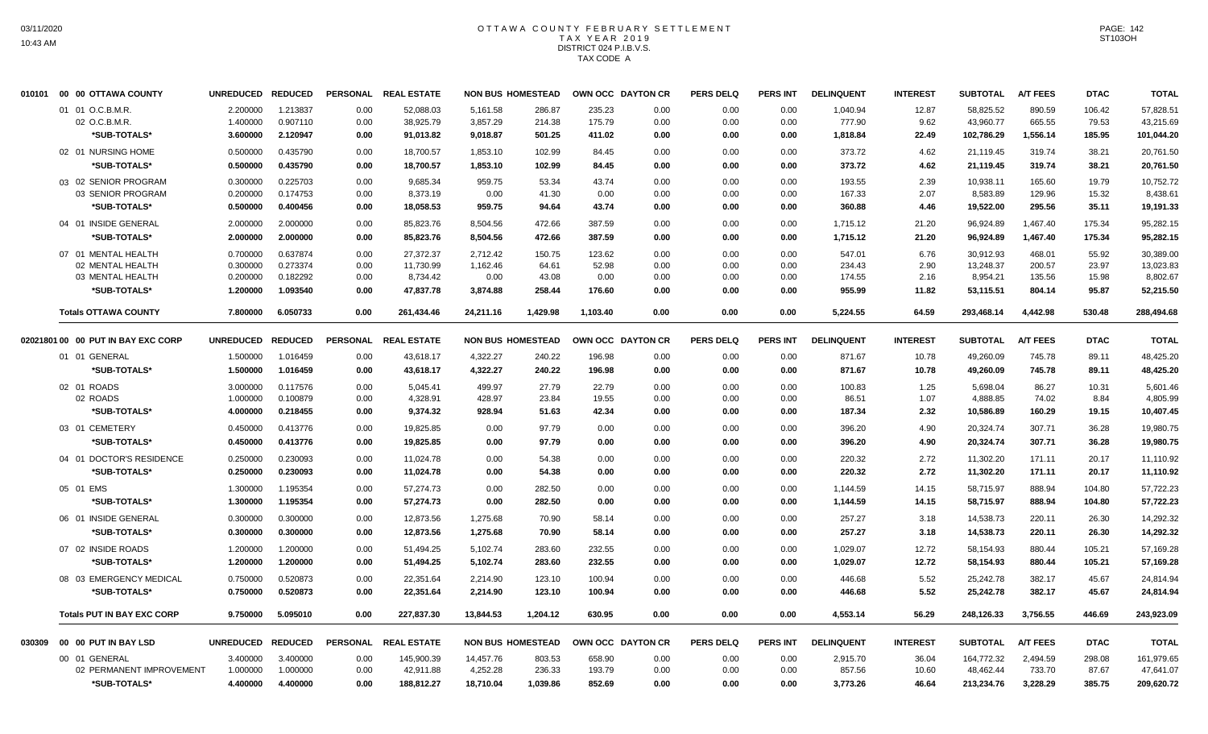## OTTAWA COUNTY FEBRUARY SETTLEMENT TAX YEAR 2019 DISTRICT 024 P.I.B.V.S. TAX CODE A

|        | 010101 00 00 OTTAWA COUNTY         | <b>UNREDUCED</b>  | <b>REDUCED</b> | <b>PERSONAL</b> | <b>REAL ESTATE</b>      |                       | <b>NON BUS HOMESTEAD</b> | OWN OCC DAYTON CR |      | <b>PERS DELQ</b> | <b>PERS INT</b> | <b>DELINQUENT</b> | <b>INTEREST</b> | <b>SUBTOTAL</b> | <b>A/T FEES</b> | <b>DTAC</b> | <b>TOTAL</b> |
|--------|------------------------------------|-------------------|----------------|-----------------|-------------------------|-----------------------|--------------------------|-------------------|------|------------------|-----------------|-------------------|-----------------|-----------------|-----------------|-------------|--------------|
|        | 01 01 O.C.B.M.R.                   | 2.200000          | 1.213837       | 0.00            | 52,088.03               | 5,161.58              | 286.87                   | 235.23            | 0.00 | 0.00             | 0.00            | 1,040.94          | 12.87           | 58,825.52       | 890.59          | 106.42      | 57,828.51    |
|        | 02 O.C.B.M.R.                      | 1.400000          | 0.907110       | 0.00            | 38,925.79               | 3,857.29              | 214.38                   | 175.79            | 0.00 | 0.00             | 0.00            | 777.90            | 9.62            | 43,960.77       | 665.55          | 79.53       | 43,215.69    |
|        | *SUB-TOTALS*                       | 3.600000          | 2.120947       | 0.00            | 91,013.82               | 9,018.87              | 501.25                   | 411.02            | 0.00 | 0.00             | 0.00            | 1,818.84          | 22.49           | 102,786.29      | 1,556.14        | 185.95      | 101,044.20   |
|        | 02 01 NURSING HOME                 | 0.500000          | 0.435790       | 0.00            | 18,700.57               | 1,853.10              | 102.99                   | 84.45             | 0.00 | 0.00             | 0.00            | 373.72            | 4.62            | 21,119.45       | 319.74          | 38.21       | 20,761.50    |
|        | *SUB-TOTALS*                       | 0.500000          | 0.435790       | 0.00            | 18,700.57               | 1,853.10              | 102.99                   | 84.45             | 0.00 | 0.00             | 0.00            | 373.72            | 4.62            | 21,119.45       | 319.74          | 38.21       | 20,761.50    |
|        | 03 02 SENIOR PROGRAM               | 0.300000          | 0.225703       | 0.00            | 9,685.34                | 959.75                | 53.34                    | 43.74             | 0.00 | 0.00             | 0.00            | 193.55            | 2.39            | 10,938.11       | 165.60          | 19.79       | 10,752.72    |
|        | 03 SENIOR PROGRAM                  | 0.200000          | 0.174753       | 0.00            | 8,373.19                | 0.00                  | 41.30                    | 0.00              | 0.00 | 0.00             | 0.00            | 167.33            | 2.07            | 8,583.89        | 129.96          | 15.32       | 8,438.61     |
|        | *SUB-TOTALS*                       | 0.500000          | 0.400456       | 0.00            | 18,058.53               | 959.75                | 94.64                    | 43.74             | 0.00 | 0.00             | 0.00            | 360.88            | 4.46            | 19,522.00       | 295.56          | 35.11       | 19,191.33    |
|        | 04 01 INSIDE GENERAL               | 2.000000          | 2.000000       | 0.00            | 85,823.76               | 8,504.56              | 472.66                   | 387.59            | 0.00 | 0.00             | 0.00            | 1,715.12          | 21.20           | 96,924.89       | 1,467.40        | 175.34      | 95,282.15    |
|        | *SUB-TOTALS*                       | 2.000000          | 2.000000       | 0.00            | 85,823.76               | 8,504.56              | 472.66                   | 387.59            | 0.00 | 0.00             | 0.00            | 1,715.12          | 21.20           | 96,924.89       | 1,467.40        | 175.34      | 95,282.15    |
|        | 07 01 MENTAL HEALTH                | 0.700000          | 0.637874       | 0.00            | 27,372.37               | 2.712.42              | 150.75                   | 123.62            | 0.00 | 0.00             | 0.00            | 547.01            | 6.76            | 30,912.93       | 468.01          | 55.92       | 30,389.00    |
|        | 02 MENTAL HEALTH                   | 0.300000          | 0.273374       | 0.00            | 11,730.99               | 1,162.46              | 64.61                    | 52.98             | 0.00 | 0.00             | 0.00            | 234.43            | 2.90            | 13,248.37       | 200.57          | 23.97       | 13,023.83    |
|        | 03 MENTAL HEALTH                   | 0.200000          | 0.182292       | 0.00            | 8,734.42                | 0.00                  | 43.08                    | 0.00              | 0.00 | 0.00             | 0.00            | 174.55            | 2.16            | 8,954.21        | 135.56          | 15.98       | 8,802.67     |
|        | *SUB-TOTALS*                       | 1.200000          | 1.093540       | 0.00            | 47,837.78               | 3,874.88              | 258.44                   | 176.60            | 0.00 | 0.00             | 0.00            | 955.99            | 11.82           | 53,115.51       | 804.14          | 95.87       | 52,215.50    |
|        | <b>Totals OTTAWA COUNTY</b>        | 7.800000          | 6.050733       | 0.00            | 261,434.46              | 24,211.16             | 1,429.98                 | 1,103.40          | 0.00 | 0.00             | 0.00            | 5,224.55          | 64.59           | 293,468.14      | 4,442.98        | 530.48      | 288,494.68   |
|        | 02021801 00 00 PUT IN BAY EXC CORP | UNREDUCED REDUCED |                |                 | PERSONAL REAL ESTATE    |                       | <b>NON BUS HOMESTEAD</b> | OWN OCC DAYTON CR |      | <b>PERS DELQ</b> | <b>PERS INT</b> | <b>DELINQUENT</b> | <b>INTEREST</b> | <b>SUBTOTAL</b> | <b>A/T FEES</b> | <b>DTAC</b> | <b>TOTAL</b> |
|        | 01 01 GENERAL                      | 1.500000          | 1.016459       | 0.00            | 43,618.17               | 4,322.27              | 240.22                   | 196.98            | 0.00 | 0.00             | 0.00            | 871.67            | 10.78           | 49,260.09       | 745.78          | 89.11       | 48,425.20    |
|        | *SUB-TOTALS*                       | 1.500000          | 1.016459       | 0.00            | 43,618.17               | 4,322.27              | 240.22                   | 196.98            | 0.00 | 0.00             | 0.00            | 871.67            | 10.78           | 49,260.09       | 745.78          | 89.11       | 48,425.20    |
|        | 02 01 ROADS                        | 3.000000          | 0.117576       | 0.00            | 5,045.41                | 499.97                | 27.79                    | 22.79             | 0.00 | 0.00             | 0.00            | 100.83            | 1.25            | 5.698.04        | 86.27           | 10.31       | 5.601.46     |
|        | 02 ROADS                           | 1.000000          | 0.100879       | 0.00            | 4,328.91                | 428.97                | 23.84                    | 19.55             | 0.00 | 0.00             | 0.00            | 86.51             | 1.07            | 4,888.85        | 74.02           | 8.84        | 4,805.99     |
|        | *SUB-TOTALS*                       | 4.000000          | 0.218455       | 0.00            | 9,374.32                | 928.94                | 51.63                    | 42.34             | 0.00 | 0.00             | 0.00            | 187.34            | 2.32            | 10,586.89       | 160.29          | 19.15       | 10,407.45    |
|        | 03 01 CEMETERY                     | 0.450000          | 0.413776       | 0.00            | 19,825.85               | 0.00                  | 97.79                    | 0.00              | 0.00 | 0.00             | 0.00            | 396.20            | 4.90            | 20,324.74       | 307.71          | 36.28       | 19,980.75    |
|        | *SUB-TOTALS*                       | 0.450000          | 0.413776       | 0.00            | 19,825.85               | 0.00                  | 97.79                    | 0.00              | 0.00 | 0.00             | 0.00            | 396.20            | 4.90            | 20,324.74       | 307.71          | 36.28       | 19,980.75    |
|        | 04 01 DOCTOR'S RESIDENCE           | 0.250000          | 0.230093       | 0.00            | 11,024.78               | 0.00                  | 54.38                    | 0.00              | 0.00 | 0.00             | 0.00            | 220.32            | 2.72            | 11,302.20       | 171.11          | 20.17       | 11,110.92    |
|        | *SUB-TOTALS*                       | 0.250000          | 0.230093       | 0.00            | 11,024.78               | 0.00                  | 54.38                    | 0.00              | 0.00 | 0.00             | 0.00            | 220.32            | 2.72            | 11,302.20       | 171.11          | 20.17       | 11,110.92    |
|        | 05 01 EMS                          | 1.300000          | 1.195354       | 0.00            | 57,274.73               | 0.00                  | 282.50                   | 0.00              | 0.00 | 0.00             | 0.00            | 1,144.59          | 14.15           | 58,715.97       | 888.94          | 104.80      | 57,722.23    |
|        | *SUB-TOTALS*                       | 1.300000          | 1.195354       | 0.00            | 57,274.73               | 0.00                  | 282.50                   | 0.00              | 0.00 | 0.00             | 0.00            | 1,144.59          | 14.15           | 58,715.97       | 888.94          | 104.80      | 57,722.23    |
|        | 06 01 INSIDE GENERAL               | 0.300000          | 0.300000       | 0.00            | 12,873.56               | 1,275.68              | 70.90                    | 58.14             | 0.00 | 0.00             | 0.00            | 257.27            | 3.18            | 14,538.73       | 220.11          | 26.30       | 14,292.32    |
|        | *SUB-TOTALS*                       | 0.300000          | 0.300000       | 0.00            | 12,873.56               | 1,275.68              | 70.90                    | 58.14             | 0.00 | 0.00             | 0.00            | 257.27            | 3.18            | 14,538.73       | 220.11          | 26.30       | 14,292.32    |
|        | 07 02 INSIDE ROADS                 | 1.200000          | 1.200000       | 0.00            | 51,494.25               | 5,102.74              | 283.60                   | 232.55            | 0.00 | 0.00             | 0.00            | 1,029.07          | 12.72           | 58,154.93       | 880.44          | 105.21      | 57,169.28    |
|        | *SUB-TOTALS*                       | 1.200000          | 1.200000       | 0.00            | 51,494.25               | 5,102.74              | 283.60                   | 232.55            | 0.00 | 0.00             | 0.00            | 1,029.07          | 12.72           | 58,154.93       | 880.44          | 105.21      | 57,169.28    |
|        | 08 03 EMERGENCY MEDICAL            | 0.750000          | 0.520873       | 0.00            | 22,351.64               | 2,214.90              | 123.10                   | 100.94            | 0.00 | 0.00             | 0.00            | 446.68            | 5.52            | 25,242.78       | 382.17          | 45.67       | 24,814.94    |
|        | *SUB-TOTALS*                       | 0.750000          | 0.520873       | 0.00            | 22,351.64               | 2,214.90              | 123.10                   | 100.94            | 0.00 | 0.00             | 0.00            | 446.68            | 5.52            | 25,242.78       | 382.17          | 45.67       | 24,814.94    |
|        | <b>Totals PUT IN BAY EXC CORP</b>  | 9.750000          | 5.095010       | 0.00            | 227,837.30              | 13,844.53             | 1,204.12                 | 630.95            | 0.00 | 0.00             | 0.00            | 4,553.14          | 56.29           | 248,126.33      | 3,756.55        | 446.69      | 243,923.09   |
| 030309 | 00 00 PUT IN BAY LSD               | UNREDUCED REDUCED |                |                 | PERSONAL REAL ESTATE    |                       | <b>NON BUS HOMESTEAD</b> | OWN OCC DAYTON CR |      | <b>PERS DELQ</b> | <b>PERS INT</b> | <b>DELINQUENT</b> | <b>INTEREST</b> | <b>SUBTOTAL</b> | <b>A/T FEES</b> | <b>DTAC</b> | <b>TOTAL</b> |
|        | 00 01 GENERAL                      | 3.400000          | 3.400000       | 0.00            |                         |                       | 803.53                   | 658.90            | 0.00 |                  | 0.00            | 2,915.70          | 36.04           | 164,772.32      | 2,494.59        | 298.08      | 161,979.65   |
|        | 02 PERMANENT IMPROVEMENT           | 1.000000          | 1.000000       | 0.00            | 145,900.39<br>42,911.88 | 14,457.76<br>4,252.28 | 236.33                   | 193.79            | 0.00 | 0.00<br>0.00     | 0.00            | 857.56            | 10.60           | 48,462.44       | 733.70          | 87.67       | 47,641.07    |
|        | *SUB-TOTALS*                       | 4.400000          | 4.400000       | 0.00            | 188,812.27              | 18.710.04             | 1,039.86                 | 852.69            | 0.00 | 0.00             | 0.00            | 3,773.26          | 46.64           | 213,234.76      | 3,228.29        | 385.75      | 209,620.72   |
|        |                                    |                   |                |                 |                         |                       |                          |                   |      |                  |                 |                   |                 |                 |                 |             |              |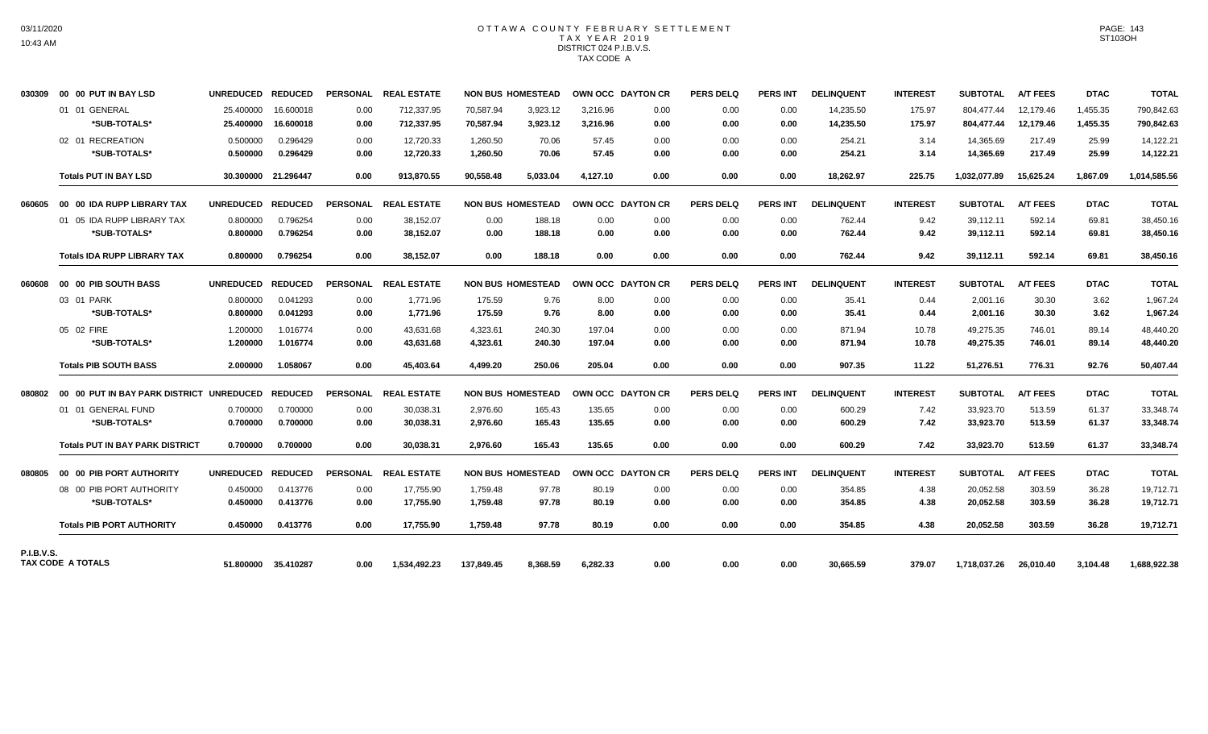## OTTAWA COUNTY FEBRUARY SETTLEMENT TAX YEAR 2019 DISTRICT 024 P.I.B.V.S. TAX CODE A

| 030309            | 00 00 PUT IN BAY LSD                       | UNREDUCED REDUCED      |                        |              | PERSONAL REAL ESTATE     |                          | <b>NON BUS HOMESTEAD</b> | <b>OWN OCC DAYTON CR</b> |              | <b>PERS DELQ</b> | <b>PERS INT</b> | <b>DELINQUENT</b>      | <b>INTEREST</b>  | <b>SUBTOTAL</b>          | <b>A/T FEES</b>        | <b>DTAC</b>          | <b>TOTAL</b>             |
|-------------------|--------------------------------------------|------------------------|------------------------|--------------|--------------------------|--------------------------|--------------------------|--------------------------|--------------|------------------|-----------------|------------------------|------------------|--------------------------|------------------------|----------------------|--------------------------|
|                   | 01 01 GENERAL<br>*SUB-TOTALS*              | 25.400000<br>25.400000 | 16.600018<br>16.600018 | 0.00<br>0.00 | 712,337.95<br>712,337.95 | 70,587.94<br>70.587.94   | 3,923.12<br>3,923.12     | 3.216.96<br>3,216.96     | 0.00<br>0.00 | 0.00<br>0.00     | 0.00<br>0.00    | 14,235.50<br>14,235.50 | 175.97<br>175.97 | 804.477.44<br>804,477.44 | 12,179.46<br>12,179.46 | 1,455.35<br>1,455.35 | 790,842.63<br>790,842.63 |
|                   | 02 01 RECREATION<br>*SUB-TOTALS*           | 0.500000<br>0.500000   | 0.296429<br>0.296429   | 0.00<br>0.00 | 12.720.33<br>12,720.33   | 1,260.50<br>1,260.50     | 70.06<br>70.06           | 57.45<br>57.45           | 0.00<br>0.00 | 0.00<br>0.00     | 0.00<br>0.00    | 254.21<br>254.21       | 3.14<br>3.14     | 14,365.69<br>14,365.69   | 217.49<br>217.49       | 25.99<br>25.99       | 14,122.21<br>14,122.21   |
|                   | <b>Totals PUT IN BAY LSD</b>               |                        | 30.300000 21.296447    | 0.00         | 913.870.55               | 90.558.48                | 5.033.04                 | 4.127.10                 | 0.00         | 0.00             | 0.00            | 18,262.97              | 225.75           | 1,032,077.89             | 15.625.24              | 1.867.09             | 1,014,585.56             |
| 060605            | 00 00 IDA RUPP LIBRARY TAX                 | UNREDUCED REDUCED      |                        |              | PERSONAL REAL ESTATE     | <b>NON BUS HOMESTEAD</b> |                          | OWN OCC DAYTON CR        |              | <b>PERS DELQ</b> | <b>PERS INT</b> | <b>DELINQUENT</b>      | <b>INTEREST</b>  | <b>SUBTOTAL</b>          | <b>A/T FEES</b>        | <b>DTAC</b>          | <b>TOTAL</b>             |
|                   | 01 05 IDA RUPP LIBRARY TAX<br>*SUB-TOTALS* | 0.800000<br>0.800000   | 0.796254<br>0.796254   | 0.00<br>0.00 | 38,152.07<br>38,152.07   | 0.00<br>0.00             | 188.18<br>188.18         | 0.00<br>0.00             | 0.00<br>0.00 | 0.00<br>0.00     | 0.00<br>0.00    | 762.44<br>762.44       | 9.42<br>9.42     | 39,112.11<br>39,112.11   | 592.14<br>592.14       | 69.81<br>69.81       | 38,450.16<br>38,450.16   |
|                   | <b>Totals IDA RUPP LIBRARY TAX</b>         | 0.800000               | 0.796254               | 0.00         | 38,152.07                | 0.00                     | 188.18                   | 0.00                     | 0.00         | 0.00             | 0.00            | 762.44                 | 9.42             | 39,112.11                | 592.14                 | 69.81                | 38,450.16                |
| 806060            | 00 00 PIB SOUTH BASS                       | <b>UNREDUCED</b>       | <b>REDUCED</b>         |              | PERSONAL REAL ESTATE     | <b>NON BUS HOMESTEAD</b> |                          | OWN OCC DAYTON CR        |              | <b>PERS DELQ</b> | <b>PERS INT</b> | <b>DELINQUENT</b>      | <b>INTEREST</b>  | <b>SUBTOTAL</b>          | <b>A/T FEES</b>        | <b>DTAC</b>          | <b>TOTAL</b>             |
|                   | 03 01 PARK<br>*SUB-TOTALS*                 | 0.800000<br>0.800000   | 0.041293<br>0.041293   | 0.00<br>0.00 | 1,771.96<br>1,771.96     | 175.59<br>175.59         | 9.76<br>9.76             | 8.00<br>8.00             | 0.00<br>0.00 | 0.00<br>0.00     | 0.00<br>0.00    | 35.41<br>35.41         | 0.44<br>0.44     | 2,001.16<br>2,001.16     | 30.30<br>30.30         | 3.62<br>3.62         | 1,967.24<br>1,967.24     |
|                   | 05 02 FIRE<br>*SUB-TOTALS*                 | 1.200000<br>1.200000   | 1.016774<br>1.016774   | 0.00<br>0.00 | 43,631.68<br>43,631.68   | 4,323.61<br>4,323.61     | 240.30<br>240.30         | 197.04<br>197.04         | 0.00<br>0.00 | 0.00<br>0.00     | 0.00<br>0.00    | 871.94<br>871.94       | 10.78<br>10.78   | 49,275.35<br>49,275.35   | 746.01<br>746.01       | 89.14<br>89.14       | 48,440.20<br>48,440.20   |
|                   | <b>Totals PIB SOUTH BASS</b>               | 2.000000               | 1.058067               | 0.00         | 45,403.64                | 4,499.20                 | 250.06                   | 205.04                   | 0.00         | 0.00             | 0.00            | 907.35                 | 11.22            | 51,276.51                | 776.31                 | 92.76                | 50,407.44                |
|                   |                                            |                        |                        |              | PERSONAL REAL ESTATE     | <b>NON BUS HOMESTEAD</b> |                          | OWN OCC DAYTON CR        |              | <b>PERS DELQ</b> | <b>PERS INT</b> | <b>DELINQUENT</b>      | <b>INTEREST</b>  | <b>SUBTOTAL</b>          | <b>A/T FEES</b>        | <b>DTAC</b>          | <b>TOTAL</b>             |
|                   | 01 01 GENERAL FUND<br>*SUB-TOTALS*         | 0.700000<br>0.700000   | 0.700000<br>0.700000   | 0.00<br>0.00 | 30.038.31<br>30,038.31   | 2.976.60<br>2,976.60     | 165.43<br>165.43         | 135.65<br>135.65         | 0.00<br>0.00 | 0.00<br>0.00     | 0.00<br>0.00    | 600.29<br>600.29       | 7.42<br>7.42     | 33,923.70<br>33,923.70   | 513.59<br>513.59       | 61.37<br>61.37       | 33,348.74<br>33,348.74   |
|                   | <b>Totals PUT IN BAY PARK DISTRICT</b>     | 0.700000               | 0.700000               | 0.00         | 30.038.31                | 2.976.60                 | 165.43                   | 135.65                   | 0.00         | 0.00             | 0.00            | 600.29                 | 7.42             | 33,923.70                | 513.59                 | 61.37                | 33,348.74                |
| 080805            | 00 00 PIB PORT AUTHORITY                   | UNREDUCED REDUCED      |                        |              | PERSONAL REAL ESTATE     |                          | <b>NON BUS HOMESTEAD</b> | OWN OCC DAYTON CR        |              | <b>PERS DELQ</b> | <b>PERS INT</b> | <b>DELINQUENT</b>      | <b>INTEREST</b>  | <b>SUBTOTAL</b>          | <b>A/T FEES</b>        | <b>DTAC</b>          | <b>TOTAL</b>             |
|                   | 08 00 PIB PORT AUTHORITY<br>*SUB-TOTALS*   | 0.450000<br>0.450000   | 0.413776<br>0.413776   | 0.00<br>0.00 | 17.755.90<br>17,755.90   | 1.759.48<br>1,759.48     | 97.78<br>97.78           | 80.19<br>80.19           | 0.00<br>0.00 | 0.00<br>0.00     | 0.00<br>0.00    | 354.85<br>354.85       | 4.38<br>4.38     | 20.052.58<br>20,052.58   | 303.59<br>303.59       | 36.28<br>36.28       | 19.712.71<br>19,712.71   |
|                   | <b>Totals PIB PORT AUTHORITY</b>           | 0.450000               | 0.413776               | 0.00         | 17.755.90                | 1.759.48                 | 97.78                    | 80.19                    | 0.00         | 0.00             | 0.00            | 354.85                 | 4.38             | 20,052.58                | 303.59                 | 36.28                | 19,712.71                |
| <b>P.I.B.V.S.</b> | TAX CODE A TOTALS                          |                        | 51.800000 35.410287    | 0.00         | 1,534,492.23             | 137,849.45               | 8,368.59                 | 6,282.33                 | 0.00         | 0.00             | 0.00            | 30,665.59              | 379.07           | 1,718,037.26             | 26,010.40              | 3,104.48             | 1,688,922.38             |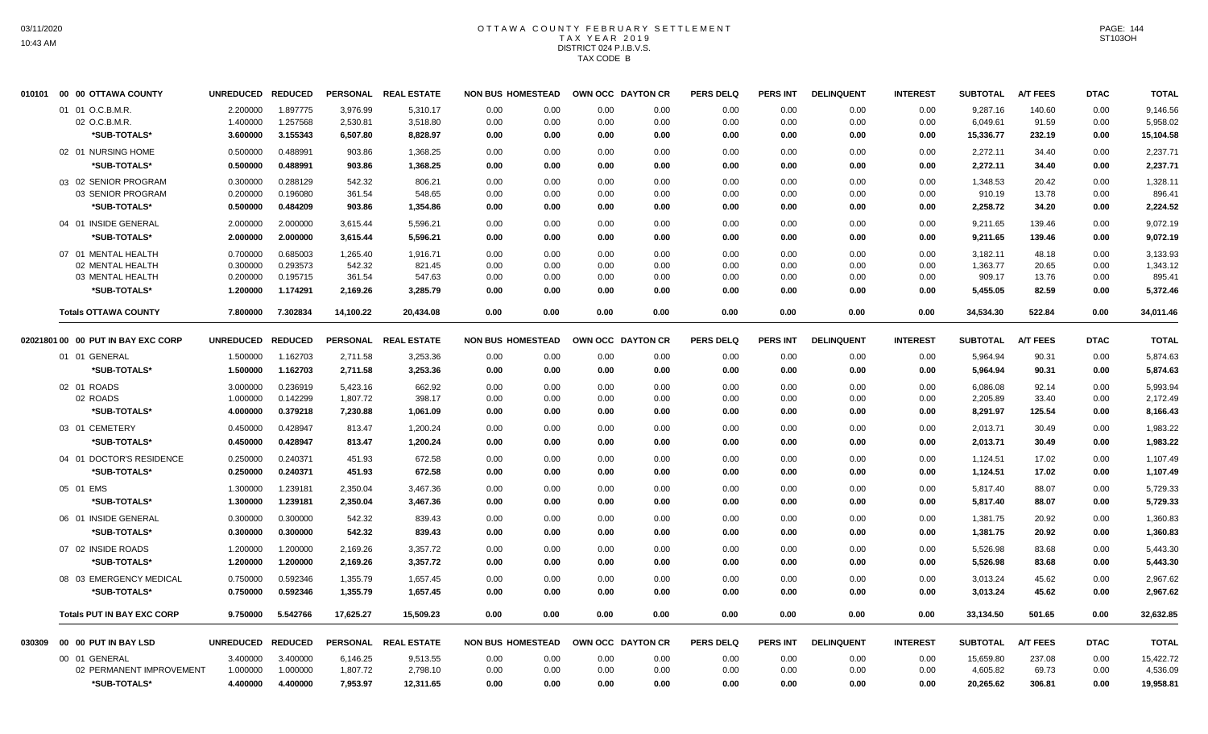#### OTTAWA COUNTY FEBRUARY SETTLEMENT T A X Y E A R 2 0 1 9 DISTRICT 024 P.I.B.V.S. TAX CODE B

| 010101 | 00 00 OTTAWA COUNTY                | <b>UNREDUCED</b> | <b>REDUCED</b> |           | PERSONAL REAL ESTATE | <b>NON BUS HOMESTEAD</b> |      |      | OWN OCC DAYTON CR | <b>PERS DELQ</b> | <b>PERS INT</b> | <b>DELINQUENT</b> | <b>INTEREST</b> | <b>SUBTOTAL</b> | <b>A/T FEES</b> | <b>DTAC</b> | <b>TOTAL</b> |
|--------|------------------------------------|------------------|----------------|-----------|----------------------|--------------------------|------|------|-------------------|------------------|-----------------|-------------------|-----------------|-----------------|-----------------|-------------|--------------|
|        | 01 01 O.C.B.M.R.                   | 2.200000         | 1.897775       | 3,976.99  | 5,310.17             | 0.00                     | 0.00 | 0.00 | 0.00              | 0.00             | 0.00            | 0.00              | 0.00            | 9,287.16        | 140.60          | 0.00        | 9,146.56     |
|        | 02 O.C.B.M.R.                      | 1.400000         | 1.257568       | 2,530.81  | 3,518.80             | 0.00                     | 0.00 | 0.00 | 0.00              | 0.00             | 0.00            | 0.00              | 0.00            | 6,049.61        | 91.59           | 0.00        | 5,958.02     |
|        | *SUB-TOTALS*                       | 3.600000         | 3.155343       | 6,507.80  | 8,828.97             | 0.00                     | 0.00 | 0.00 | 0.00              | 0.00             | 0.00            | 0.00              | 0.00            | 15,336.77       | 232.19          | 0.00        | 15,104.58    |
|        | 02 01 NURSING HOME                 | 0.500000         | 0.488991       | 903.86    | 1,368.25             | 0.00                     | 0.00 | 0.00 | 0.00              | 0.00             | 0.00            | 0.00              | 0.00            | 2,272.11        | 34.40           | 0.00        | 2,237.71     |
|        | *SUB-TOTALS*                       | 0.500000         | 0.488991       | 903.86    | 1,368.25             | 0.00                     | 0.00 | 0.00 | 0.00              | 0.00             | 0.00            | 0.00              | 0.00            | 2,272.11        | 34.40           | 0.00        | 2,237.71     |
|        | 03 02 SENIOR PROGRAM               | 0.300000         | 0.288129       | 542.32    | 806.21               | 0.00                     | 0.00 | 0.00 | 0.00              | 0.00             | 0.00            | 0.00              | 0.00            | 1.348.53        | 20.42           | 0.00        | 1,328.11     |
|        | 03 SENIOR PROGRAM                  | 0.200000         | 0.196080       | 361.54    | 548.65               | 0.00                     | 0.00 | 0.00 | 0.00              | 0.00             | 0.00            | 0.00              | 0.00            | 910.19          | 13.78           | 0.00        | 896.41       |
|        | *SUB-TOTALS*                       | 0.500000         | 0.484209       | 903.86    | 1,354.86             | 0.00                     | 0.00 | 0.00 | 0.00              | 0.00             | 0.00            | 0.00              | 0.00            | 2,258.72        | 34.20           | 0.00        | 2,224.52     |
|        | 04 01 INSIDE GENERAL               | 2.000000         | 2.000000       | 3,615.44  | 5,596.21             | 0.00                     | 0.00 | 0.00 | 0.00              | 0.00             | 0.00            | 0.00              | 0.00            | 9,211.65        | 139.46          | 0.00        | 9,072.19     |
|        | *SUB-TOTALS*                       | 2.000000         | 2.000000       | 3,615.44  | 5,596.21             | 0.00                     | 0.00 | 0.00 | 0.00              | 0.00             | 0.00            | 0.00              | 0.00            | 9,211.65        | 139.46          | 0.00        | 9,072.19     |
|        | 07 01 MENTAL HEALTH                | 0.700000         | 0.685003       | 1,265.40  | 1,916.71             | 0.00                     | 0.00 | 0.00 | 0.00              | 0.00             | 0.00            | 0.00              | 0.00            | 3,182.11        | 48.18           | 0.00        | 3,133.93     |
|        | 02 MENTAL HEALTH                   | 0.300000         | 0.293573       | 542.32    | 821.45               | 0.00                     | 0.00 | 0.00 | 0.00              | 0.00             | 0.00            | 0.00              | 0.00            | 1,363.77        | 20.65           | 0.00        | 1,343.12     |
|        | 03 MENTAL HEALTH                   | 0.200000         | 0.195715       | 361.54    | 547.63               | 0.00                     | 0.00 | 0.00 | 0.00              | 0.00             | 0.00            | 0.00              | 0.00            | 909.17          | 13.76           | 0.00        | 895.41       |
|        | *SUB-TOTALS*                       | 1.200000         | 1.174291       | 2,169.26  | 3,285.79             | 0.00                     | 0.00 | 0.00 | 0.00              | 0.00             | 0.00            | 0.00              | 0.00            | 5,455.05        | 82.59           | 0.00        | 5,372.46     |
|        | <b>Totals OTTAWA COUNTY</b>        | 7.800000         | 7.302834       | 14,100.22 | 20,434.08            | 0.00                     | 0.00 | 0.00 | 0.00              | 0.00             | 0.00            | 0.00              | 0.00            | 34,534.30       | 522.84          | 0.00        | 34,011.46    |
|        | 02021801 00 00 PUT IN BAY EXC CORP | <b>UNREDUCED</b> | <b>REDUCED</b> |           | PERSONAL REAL ESTATE | <b>NON BUS HOMESTEAD</b> |      |      | OWN OCC DAYTON CR | <b>PERS DELQ</b> | <b>PERS INT</b> | <b>DELINQUENT</b> | <b>INTEREST</b> | <b>SUBTOTAL</b> | <b>A/T FEES</b> | <b>DTAC</b> | <b>TOTAL</b> |
|        | 01 01 GENERAL                      | 1.500000         | 1.162703       | 2,711.58  | 3,253.36             | 0.00                     | 0.00 | 0.00 | 0.00              | 0.00             | 0.00            | 0.00              | 0.00            | 5,964.94        | 90.31           | 0.00        | 5,874.63     |
|        | *SUB-TOTALS*                       | 1.500000         | 1.162703       | 2,711.58  | 3,253.36             | 0.00                     | 0.00 | 0.00 | 0.00              | 0.00             | 0.00            | 0.00              | 0.00            | 5,964.94        | 90.31           | 0.00        | 5,874.63     |
|        | 02 01 ROADS                        | 3.000000         | 0.236919       | 5,423.16  | 662.92               | 0.00                     | 0.00 | 0.00 | 0.00              | 0.00             | 0.00            | 0.00              | 0.00            | 6,086.08        | 92.14           | 0.00        | 5,993.94     |
|        | 02 ROADS                           | 1.000000         | 0.142299       | 1,807.72  | 398.17               | 0.00                     | 0.00 | 0.00 | 0.00              | 0.00             | 0.00            | 0.00              | 0.00            | 2,205.89        | 33.40           | 0.00        | 2,172.49     |
|        | *SUB-TOTALS*                       | 4.000000         | 0.379218       | 7,230.88  | 1,061.09             | 0.00                     | 0.00 | 0.00 | 0.00              | 0.00             | 0.00            | 0.00              | 0.00            | 8,291.97        | 125.54          | 0.00        | 8,166.43     |
|        | 03 01 CEMETERY                     | 0.450000         | 0.428947       | 813.47    | 1,200.24             | 0.00                     | 0.00 | 0.00 | 0.00              | 0.00             | 0.00            | 0.00              | 0.00            | 2,013.71        | 30.49           | 0.00        | 1,983.22     |
|        | *SUB-TOTALS*                       | 0.450000         | 0.428947       | 813.47    | 1,200.24             | 0.00                     | 0.00 | 0.00 | 0.00              | 0.00             | 0.00            | 0.00              | 0.00            | 2,013.71        | 30.49           | 0.00        | 1,983.22     |
|        | 04 01 DOCTOR'S RESIDENCE           | 0.250000         | 0.240371       | 451.93    | 672.58               | 0.00                     | 0.00 | 0.00 | 0.00              | 0.00             | 0.00            | 0.00              | 0.00            | 1,124.51        | 17.02           | 0.00        | 1,107.49     |
|        | *SUB-TOTALS*                       | 0.250000         | 0.240371       | 451.93    | 672.58               | 0.00                     | 0.00 | 0.00 | 0.00              | 0.00             | 0.00            | 0.00              | 0.00            | 1,124.51        | 17.02           | 0.00        | 1,107.49     |
|        | 05 01 EMS                          | 1.300000         | 1.239181       | 2,350.04  | 3,467.36             | 0.00                     | 0.00 | 0.00 | 0.00              | 0.00             | 0.00            | 0.00              | 0.00            | 5,817.40        | 88.07           | 0.00        | 5,729.33     |
|        | *SUB-TOTALS*                       | 1.300000         | 1.239181       | 2,350.04  | 3,467.36             | 0.00                     | 0.00 | 0.00 | 0.00              | 0.00             | 0.00            | 0.00              | 0.00            | 5,817.40        | 88.07           | 0.00        | 5,729.33     |
|        | 06 01 INSIDE GENERAL               | 0.300000         | 0.300000       | 542.32    | 839.43               | 0.00                     | 0.00 | 0.00 | 0.00              | 0.00             | 0.00            | 0.00              | 0.00            | 1,381.75        | 20.92           | 0.00        | 1,360.83     |
|        | *SUB-TOTALS*                       | 0.300000         | 0.300000       | 542.32    | 839.43               | 0.00                     | 0.00 | 0.00 | 0.00              | 0.00             | 0.00            | 0.00              | 0.00            | 1,381.75        | 20.92           | 0.00        | 1,360.83     |
|        | 07 02 INSIDE ROADS                 | 1.200000         | 1.200000       | 2,169.26  | 3,357.72             | 0.00                     | 0.00 | 0.00 | 0.00              | 0.00             | 0.00            | 0.00              | 0.00            | 5,526.98        | 83.68           | 0.00        | 5,443.30     |
|        | *SUB-TOTALS*                       | 1.200000         | 1.200000       | 2,169.26  | 3,357.72             | 0.00                     | 0.00 | 0.00 | 0.00              | 0.00             | 0.00            | 0.00              | 0.00            | 5,526.98        | 83.68           | 0.00        | 5,443.30     |
|        | 08 03 EMERGENCY MEDICAL            | 0.750000         | 0.592346       | 1,355.79  | 1,657.45             | 0.00                     | 0.00 | 0.00 | 0.00              | 0.00             | 0.00            | 0.00              | 0.00            | 3,013.24        | 45.62           | 0.00        | 2,967.62     |
|        | *SUB-TOTALS*                       | 0.750000         | 0.592346       | 1,355.79  | 1,657.45             | 0.00                     | 0.00 | 0.00 | 0.00              | 0.00             | 0.00            | 0.00              | 0.00            | 3,013.24        | 45.62           | 0.00        | 2,967.62     |
|        |                                    |                  |                |           |                      |                          |      |      |                   |                  |                 |                   |                 |                 |                 |             |              |
|        | <b>Totals PUT IN BAY EXC CORP</b>  | 9.750000         | 5.542766       | 17,625.27 | 15.509.23            | 0.00                     | 0.00 | 0.00 | 0.00              | 0.00             | 0.00            | 0.00              | 0.00            | 33,134.50       | 501.65          | 0.00        | 32,632.85    |
| 030309 | 00 00 PUT IN BAY LSD               | <b>UNREDUCED</b> | <b>REDUCED</b> |           | PERSONAL REAL ESTATE | <b>NON BUS HOMESTEAD</b> |      |      | OWN OCC DAYTON CR | <b>PERS DELQ</b> | <b>PERS INT</b> | <b>DELINQUENT</b> | <b>INTEREST</b> | <b>SUBTOTAL</b> | <b>A/T FEES</b> | <b>DTAC</b> | <b>TOTAL</b> |
|        | 00 01 GENERAL                      | 3.400000         | 3.400000       | 6,146.25  | 9,513.55             | 0.00                     | 0.00 | 0.00 | 0.00              | 0.00             | 0.00            | 0.00              | 0.00            | 15,659.80       | 237.08          | 0.00        | 15,422.72    |
|        | 02 PERMANENT IMPROVEMENT           | 1.000000         | 1.000000       | 1,807.72  | 2,798.10             | 0.00                     | 0.00 | 0.00 | 0.00              | 0.00             | 0.00            | 0.00              | 0.00            | 4,605.82        | 69.73           | 0.00        | 4,536.09     |
|        | *SUB-TOTALS*                       | 4.400000         | 4.400000       | 7,953.97  | 12,311.65            | 0.00                     | 0.00 | 0.00 | 0.00              | 0.00             | 0.00            | 0.00              | 0.00            | 20,265.62       | 306.81          | 0.00        | 19,958.81    |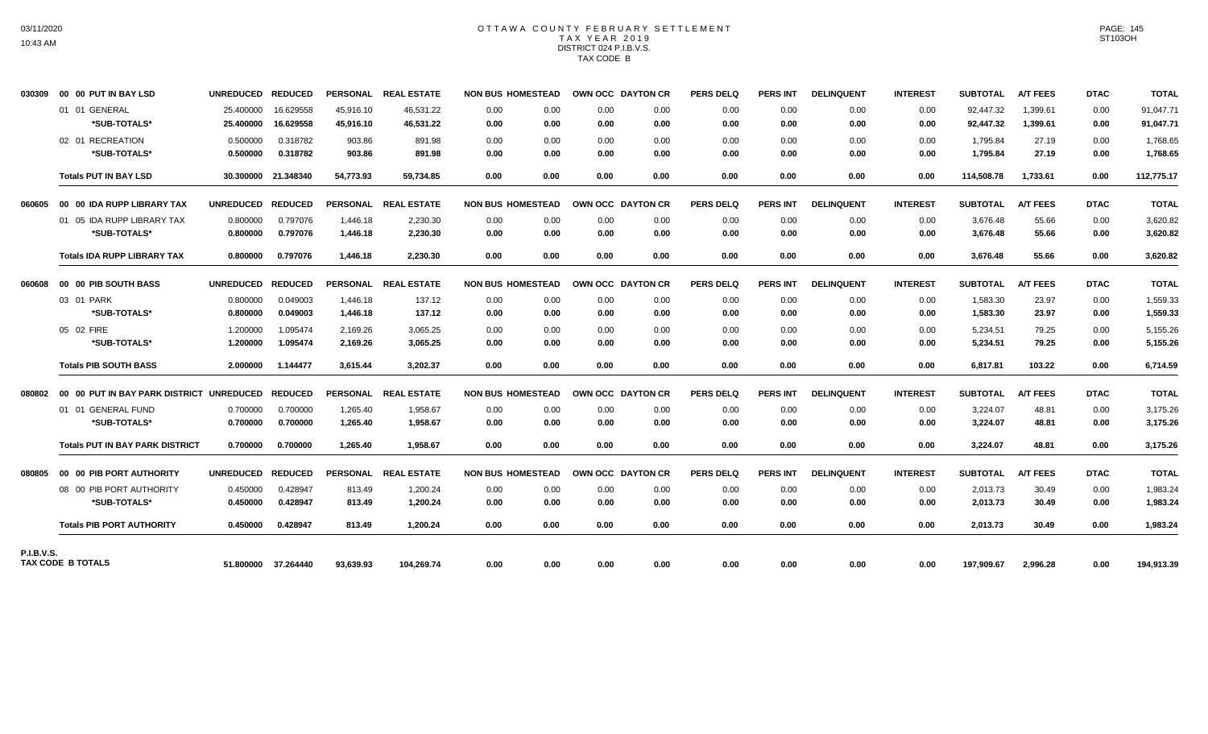### OTTAWA COUNTY FEBRUARY SETTLEMENT TAX YEAR 2019 DISTRICT 024 P.I.B.V.S. TAX CODE B

| 030309            | 00 00 PUT IN BAY LSD                     | UNREDUCED REDUCED |                     |           | PERSONAL REAL ESTATE | <b>NON BUS HOMESTEAD</b> |      | OWN OCC DAYTON CR |      | <b>PERS DELQ</b> | <b>PERS INT</b> | <b>DELINQUENT</b> | <b>INTEREST</b> | SUBTOTAL        | <b>A/T FEES</b> | <b>DTAC</b> | <b>TOTAL</b> |
|-------------------|------------------------------------------|-------------------|---------------------|-----------|----------------------|--------------------------|------|-------------------|------|------------------|-----------------|-------------------|-----------------|-----------------|-----------------|-------------|--------------|
|                   | 01 01 GENERAL                            | 25.400000         | 16.629558           | 45.916.10 | 46.531.22            | 0.00                     | 0.00 | 0.00              | 0.00 | 0.00             | 0.00            | 0.00              | 0.00            | 92.447.32       | 1.399.61        | 0.00        | 91,047.71    |
|                   | *SUB-TOTALS*                             | 25.400000         | 16.629558           | 45.916.10 | 46.531.22            | 0.00                     | 0.00 | 0.00              | 0.00 | 0.00             | 0.00            | 0.00              | 0.00            | 92,447.32       | 1.399.61        | 0.00        | 91,047.71    |
|                   | 02 01 RECREATION                         | 0.500000          | 0.318782            | 903.86    | 891.98               | 0.00                     | 0.00 | 0.00              | 0.00 | 0.00             | 0.00            | 0.00              | 0.00            | 1,795.84        | 27.19           | 0.00        | 1,768.65     |
|                   | *SUB-TOTALS*                             | 0.500000          | 0.318782            | 903.86    | 891.98               | 0.00                     | 0.00 | 0.00              | 0.00 | 0.00             | 0.00            | 0.00              | 0.00            | 1,795.84        | 27.19           | 0.00        | 1,768.65     |
|                   | <b>Totals PUT IN BAY LSD</b>             |                   | 30.300000 21.348340 | 54,773.93 | 59,734.85            | 0.00                     | 0.00 | 0.00              | 0.00 | 0.00             | 0.00            | 0.00              | 0.00            | 114,508.78      | 1,733.61        | 0.00        | 112,775.17   |
| 060605            | 00 00 IDA RUPP LIBRARY TAX               | UNREDUCED REDUCED |                     |           | PERSONAL REAL ESTATE | <b>NON BUS HOMESTEAD</b> |      | OWN OCC DAYTON CR |      | <b>PERS DELQ</b> | <b>PERS INT</b> | <b>DELINQUENT</b> | <b>INTEREST</b> | <b>SUBTOTAL</b> | <b>A/T FEES</b> | <b>DTAC</b> | <b>TOTAL</b> |
|                   | 01 05 IDA RUPP LIBRARY TAX               | 0.800000          | 0.797076            | 1,446.18  | 2,230.30             | 0.00                     | 0.00 | 0.00              | 0.00 | 0.00             | 0.00            | 0.00              | 0.00            | 3,676.48        | 55.66           | 0.00        | 3,620.82     |
|                   | *SUB-TOTALS*                             | 0.800000          | 0.797076            | 1,446.18  | 2,230.30             | 0.00                     | 0.00 | 0.00              | 0.00 | 0.00             | 0.00            | 0.00              | 0.00            | 3,676.48        | 55.66           | 0.00        | 3,620.82     |
|                   | <b>Totals IDA RUPP LIBRARY TAX</b>       | 0.800000          | 0.797076            | 1,446.18  | 2,230.30             | 0.00                     | 0.00 | 0.00              | 0.00 | 0.00             | 0.00            | 0.00              | 0.00            | 3,676.48        | 55.66           | 0.00        | 3,620.82     |
| 060608            | 00 00 PIB SOUTH BASS                     | UNREDUCED REDUCED |                     |           | PERSONAL REAL ESTATE | <b>NON BUS HOMESTEAD</b> |      | OWN OCC DAYTON CR |      | <b>PERS DELQ</b> | <b>PERS INT</b> | <b>DELINQUENT</b> | <b>INTEREST</b> | <b>SUBTOTAL</b> | <b>A/T FEES</b> | <b>DTAC</b> | <b>TOTAL</b> |
|                   | 03 01 PARK                               | 0.800000          | 0.049003            | 1,446.18  | 137.12               | 0.00                     | 0.00 | 0.00              | 0.00 | 0.00             | 0.00            | 0.00              | 0.00            | 1,583.30        | 23.97           | 0.00        | 1,559.33     |
|                   | *SUB-TOTALS*                             | 0.800000          | 0.049003            | 1,446.18  | 137.12               | 0.00                     | 0.00 | 0.00              | 0.00 | 0.00             | 0.00            | 0.00              | 0.00            | 1,583.30        | 23.97           | 0.00        | 1,559.33     |
|                   | 05 02 FIRE                               | 1.200000          | 1.095474            | 2.169.26  | 3,065.25             | 0.00                     | 0.00 | 0.00              | 0.00 | 0.00             | 0.00            | 0.00              | 0.00            | 5,234.51        | 79.25           | 0.00        | 5,155.26     |
|                   | *SUB-TOTALS*                             | 1.200000          | 1.095474            | 2,169.26  | 3,065.25             | 0.00                     | 0.00 | 0.00              | 0.00 | 0.00             | 0.00            | 0.00              | 0.00            | 5,234.51        | 79.25           | 0.00        | 5,155.26     |
|                   | <b>Totals PIB SOUTH BASS</b>             | 2.000000          | 1.144477            | 3.615.44  | 3.202.37             | 0.00                     | 0.00 | 0.00              | 0.00 | 0.00             | 0.00            | 0.00              | 0.00            | 6.817.81        | 103.22          | 0.00        | 6.714.59     |
| 080802            | 00 00 PUT IN BAY PARK DISTRICT UNREDUCED |                   | <b>REDUCED</b>      |           | PERSONAL REAL ESTATE | <b>NON BUS HOMESTEAD</b> |      | OWN OCC DAYTON CR |      | <b>PERS DELQ</b> | <b>PERS INT</b> | <b>DELINQUENT</b> | <b>INTEREST</b> | <b>SUBTOTAL</b> | <b>A/T FEES</b> | <b>DTAC</b> | <b>TOTAL</b> |
|                   | 01 01 GENERAL FUND                       | 0.700000          | 0.700000            | 1,265.40  | 1,958.67             | 0.00                     | 0.00 | 0.00              | 0.00 | 0.00             | 0.00            | 0.00              | 0.00            | 3,224.07        | 48.81           | 0.00        | 3,175.26     |
|                   | *SUB-TOTALS*                             | 0.700000          | 0.700000            | 1,265.40  | 1,958.67             | 0.00                     | 0.00 | 0.00              | 0.00 | 0.00             | 0.00            | 0.00              | 0.00            | 3,224.07        | 48.81           | 0.00        | 3,175.26     |
|                   | <b>Totals PUT IN BAY PARK DISTRICT</b>   | 0.700000          | 0.700000            | 1,265.40  | 1.958.67             | 0.00                     | 0.00 | 0.00              | 0.00 | 0.00             | 0.00            | 0.00              | 0.00            | 3,224.07        | 48.81           | 0.00        | 3,175.26     |
| 080805            | 00 00 PIB PORT AUTHORITY                 | UNREDUCED REDUCED |                     |           | PERSONAL REAL ESTATE | <b>NON BUS HOMESTEAD</b> |      | OWN OCC DAYTON CR |      | <b>PERS DELQ</b> | <b>PERS INT</b> | <b>DELINQUENT</b> | <b>INTEREST</b> | <b>SUBTOTAL</b> | <b>A/T FEES</b> | <b>DTAC</b> | <b>TOTAL</b> |
|                   | 08 00 PIB PORT AUTHORITY                 | 0.450000          | 0.428947            | 813.49    | 1,200.24             | 0.00                     | 0.00 | 0.00              | 0.00 | 0.00             | 0.00            | 0.00              | 0.00            | 2,013.73        | 30.49           | 0.00        | 1,983.24     |
|                   | *SUB-TOTALS*                             | 0.450000          | 0.428947            | 813.49    | 1,200.24             | 0.00                     | 0.00 | 0.00              | 0.00 | 0.00             | 0.00            | 0.00              | 0.00            | 2,013.73        | 30.49           | 0.00        | 1,983.24     |
|                   | <b>Totals PIB PORT AUTHORITY</b>         | 0.450000          | 0.428947            | 813.49    | 1,200.24             | 0.00                     | 0.00 | 0.00              | 0.00 | 0.00             | 0.00            | 0.00              | 0.00            | 2,013.73        | 30.49           | 0.00        | 1,983.24     |
| <b>P.I.B.V.S.</b> |                                          |                   |                     |           |                      |                          |      |                   |      |                  |                 |                   |                 |                 |                 |             |              |
|                   | TAX CODE B TOTALS                        |                   | 51.800000 37.264440 | 93,639.93 | 104,269.74           | 0.00                     | 0.00 | 0.00              | 0.00 | 0.00             | 0.00            | 0.00              | 0.00            | 197,909.67      | 2.996.28        | 0.00        | 194,913.39   |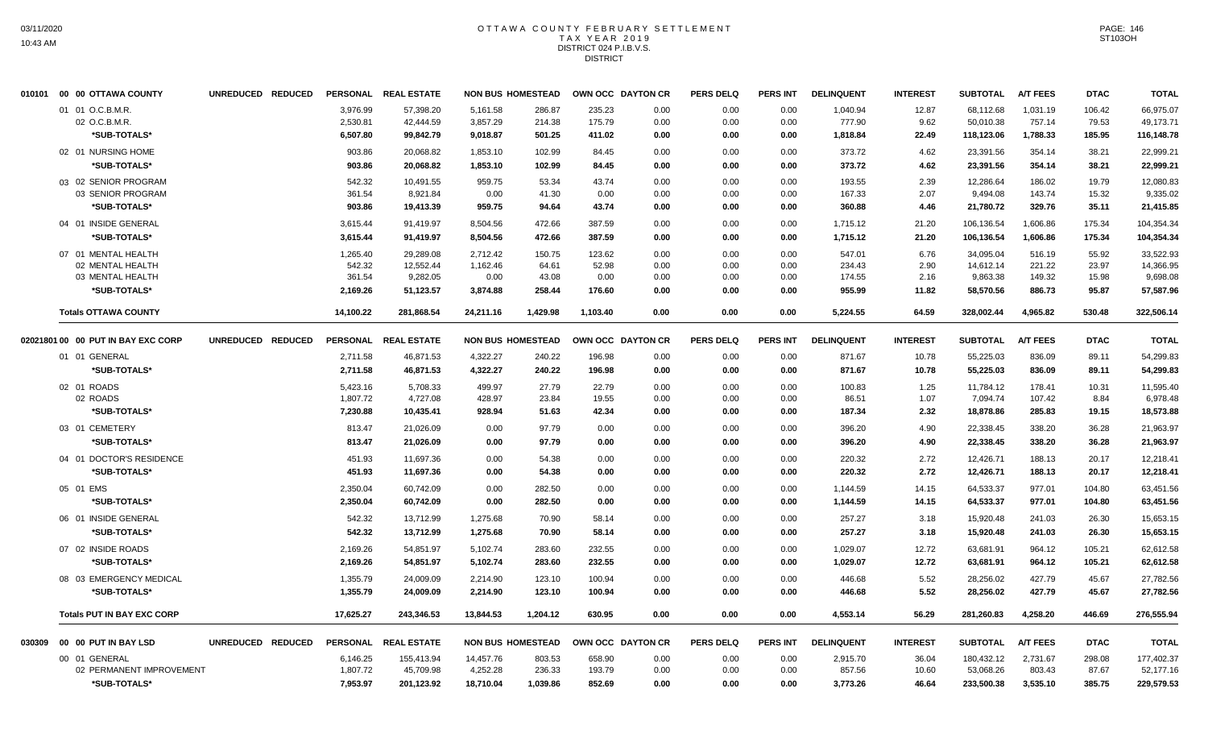#### OTTAWA COUNTY FEBRUARY SETTLEMENT T A X Y E A R 2 0 1 9 DISTRICT 024 P.I.B.V.S. **DISTRICT**

|        | 010101 00 00 OTTAWA COUNTY           | UNREDUCED REDUCED | PERSONAL         | <b>REAL ESTATE</b>     | <b>NON BUS HOMESTEAD</b> |                |                | OWN OCC DAYTON CR | <b>PERS DELQ</b> | <b>PERS INT</b> | <b>DELINQUENT</b> | <b>INTEREST</b> | <b>SUBTOTAL</b>        | <b>A/T FEES</b>  | <b>DTAC</b>    | <b>TOTAL</b>           |
|--------|--------------------------------------|-------------------|------------------|------------------------|--------------------------|----------------|----------------|-------------------|------------------|-----------------|-------------------|-----------------|------------------------|------------------|----------------|------------------------|
|        | 01 01 O.C.B.M.R.                     |                   | 3,976.99         | 57,398.20              | 5,161.58                 | 286.87         | 235.23         | 0.00              | 0.00             | 0.00            | 1,040.94          | 12.87           | 68,112.68              | 1,031.19         | 106.42         | 66,975.07              |
|        | 02 O.C.B.M.R.                        |                   | 2,530.81         | 42,444.59              | 3,857.29                 | 214.38         | 175.79         | 0.00              | 0.00             | 0.00            | 777.90            | 9.62            | 50,010.38              | 757.14           | 79.53          | 49,173.71              |
|        | *SUB-TOTALS*                         |                   | 6,507.80         | 99,842.79              | 9,018.87                 | 501.25         | 411.02         | 0.00              | 0.00             | 0.00            | 1,818.84          | 22.49           | 118,123.06             | 1,788.33         | 185.95         | 116,148.78             |
|        | 02 01 NURSING HOME                   |                   | 903.86           | 20,068.82              | 1,853.10                 | 102.99         | 84.45          | 0.00              | 0.00             | 0.00            | 373.72            | 4.62            | 23,391.56              | 354.14           | 38.21          | 22,999.21              |
|        | *SUB-TOTALS*                         |                   | 903.86           | 20,068.82              | 1,853.10                 | 102.99         | 84.45          | 0.00              | 0.00             | 0.00            | 373.72            | 4.62            | 23,391.56              | 354.14           | 38.21          | 22,999.21              |
|        | 03 02 SENIOR PROGRAM                 |                   | 542.32           | 10,491.55              | 959.75                   | 53.34          | 43.74          | 0.00              | 0.00             | 0.00            | 193.55            | 2.39            | 12,286.64              | 186.02           | 19.79          | 12,080.83              |
|        | 03 SENIOR PROGRAM                    |                   | 361.54           | 8,921.84               | 0.00                     | 41.30          | 0.00           | 0.00              | 0.00             | 0.00            | 167.33            | 2.07            | 9,494.08               | 143.74           | 15.32          | 9,335.02               |
|        | *SUB-TOTALS*                         |                   | 903.86           | 19,413.39              | 959.75                   | 94.64          | 43.74          | 0.00              | 0.00             | 0.00            | 360.88            | 4.46            | 21,780.72              | 329.76           | 35.11          | 21,415.85              |
|        | 04 01 INSIDE GENERAL                 |                   | 3,615.44         | 91,419.97              | 8,504.56                 | 472.66         | 387.59         | 0.00              | 0.00             | 0.00            | 1,715.12          | 21.20           | 106,136.54             | 1,606.86         | 175.34         | 104,354.34             |
|        | *SUB-TOTALS*                         |                   | 3,615.44         | 91,419.97              | 8,504.56                 | 472.66         | 387.59         | 0.00              | 0.00             | 0.00            | 1,715.12          | 21.20           | 106,136.54             | 1,606.86         | 175.34         | 104,354.34             |
|        | 07 01 MENTAL HEALTH                  |                   | 1.265.40         | 29.289.08              | 2,712.42                 | 150.75         | 123.62         | 0.00              | 0.00             | 0.00            | 547.01            | 6.76            | 34,095.04              | 516.19           | 55.92          | 33,522.93              |
|        | 02 MENTAL HEALTH                     |                   | 542.32           | 12,552.44              | 1,162.46                 | 64.61          | 52.98          | 0.00              | 0.00             | 0.00            | 234.43            | 2.90            | 14,612.14              | 221.22           | 23.97          | 14,366.95              |
|        | 03 MENTAL HEALTH                     |                   | 361.54           | 9,282.05               | 0.00                     | 43.08          | 0.00           | 0.00              | 0.00             | 0.00            | 174.55            | 2.16            | 9,863.38               | 149.32           | 15.98          | 9,698.08               |
|        | *SUB-TOTALS*                         |                   | 2,169.26         | 51,123.57              | 3,874.88                 | 258.44         | 176.60         | 0.00              | 0.00             | 0.00            | 955.99            | 11.82           | 58,570.56              | 886.73           | 95.87          | 57,587.96              |
|        | <b>Totals OTTAWA COUNTY</b>          |                   | 14,100.22        | 281,868.54             | 24,211.16                | 1,429.98       | 1,103.40       | 0.00              | 0.00             | 0.00            | 5,224.55          | 64.59           | 328,002.44             | 4,965.82         | 530.48         | 322,506.14             |
|        | 02021801 00 00 PUT IN BAY EXC CORP   | UNREDUCED REDUCED | <b>PERSONAL</b>  | <b>REAL ESTATE</b>     | <b>NON BUS HOMESTEAD</b> |                |                | OWN OCC DAYTON CR | <b>PERS DELQ</b> | <b>PERS INT</b> | <b>DELINQUENT</b> | <b>INTEREST</b> | <b>SUBTOTAL</b>        | <b>A/T FEES</b>  | <b>DTAC</b>    | <b>TOTAL</b>           |
|        | 01 01 GENERAL                        |                   | 2,711.58         | 46,871.53              | 4,322.27                 | 240.22         | 196.98         | 0.00              | 0.00             | 0.00            | 871.67            | 10.78           | 55,225.03              | 836.09           | 89.11          | 54,299.83              |
|        | *SUB-TOTALS*                         |                   | 2,711.58         | 46,871.53              | 4,322.27                 | 240.22         | 196.98         | 0.00              | 0.00             | 0.00            | 871.67            | 10.78           | 55,225.03              | 836.09           | 89.11          | 54,299.83              |
|        | 02 01 ROADS                          |                   | 5,423.16         | 5,708.33               | 499.97                   | 27.79          | 22.79          | 0.00              | 0.00             | 0.00            | 100.83            | 1.25            | 11.784.12              | 178.41           | 10.31          | 11.595.40              |
|        | 02 ROADS                             |                   | 1,807.72         | 4,727.08               | 428.97                   | 23.84          | 19.55          | 0.00              | 0.00             | 0.00            | 86.51             | 1.07            | 7,094.74               | 107.42           | 8.84           | 6,978.48               |
|        | *SUB-TOTALS*                         |                   | 7,230.88         | 10,435.41              | 928.94                   | 51.63          | 42.34          | 0.00              | 0.00             | 0.00            | 187.34            | 2.32            | 18,878.86              | 285.83           | 19.15          | 18,573.88              |
|        | 03 01 CEMETERY                       |                   | 813.47           | 21,026.09              | 0.00                     | 97.79          | 0.00           | 0.00              | 0.00             | 0.00            | 396.20            | 4.90            | 22,338.45              | 338.20           | 36.28          | 21,963.97              |
|        | *SUB-TOTALS*                         |                   | 813.47           | 21,026.09              | 0.00                     | 97.79          | 0.00           | 0.00              | 0.00             | 0.00            | 396.20            | 4.90            | 22,338.45              | 338.20           | 36.28          | 21,963.97              |
|        | 04 01 DOCTOR'S RESIDENCE             |                   | 451.93           | 11,697.36              | 0.00                     | 54.38          | 0.00           | 0.00              | 0.00             | 0.00            | 220.32            | 2.72            | 12,426.71              | 188.13           | 20.17          | 12,218.41              |
|        | *SUB-TOTALS*                         |                   | 451.93           | 11,697.36              | 0.00                     | 54.38          | 0.00           | 0.00              | 0.00             | 0.00            | 220.32            | 2.72            | 12,426.71              | 188.13           | 20.17          | 12,218.41              |
|        | 05 01 EMS                            |                   | 2,350.04         | 60,742.09              | 0.00                     | 282.50         | 0.00           | 0.00              | 0.00             | 0.00            | 1,144.59          | 14.15           | 64,533.37              | 977.01           | 104.80         | 63,451.56              |
|        | *SUB-TOTALS*                         |                   | 2,350.04         | 60,742.09              | 0.00                     | 282.50         | 0.00           | 0.00              | 0.00             | 0.00            | 1,144.59          | 14.15           | 64,533.37              | 977.01           | 104.80         | 63.451.56              |
|        |                                      |                   |                  |                        |                          |                |                |                   |                  |                 |                   |                 |                        |                  |                |                        |
|        | 06 01 INSIDE GENERAL<br>*SUB-TOTALS* |                   | 542.32<br>542.32 | 13,712.99<br>13.712.99 | 1,275.68<br>1,275.68     | 70.90<br>70.90 | 58.14<br>58.14 | 0.00<br>0.00      | 0.00<br>0.00     | 0.00<br>0.00    | 257.27<br>257.27  | 3.18<br>3.18    | 15,920.48<br>15,920.48 | 241.03<br>241.03 | 26.30<br>26.30 | 15,653.15<br>15,653.15 |
|        |                                      |                   |                  |                        |                          |                |                |                   |                  |                 |                   |                 |                        |                  |                |                        |
|        | 07 02 INSIDE ROADS                   |                   | 2,169.26         | 54,851.97              | 5,102.74                 | 283.60         | 232.55         | 0.00              | 0.00             | 0.00            | 1,029.07          | 12.72           | 63,681.91              | 964.12           | 105.21         | 62,612.58              |
|        | *SUB-TOTALS*                         |                   | 2,169.26         | 54,851.97              | 5,102.74                 | 283.60         | 232.55         | 0.00              | 0.00             | 0.00            | 1,029.07          | 12.72           | 63,681.91              | 964.12           | 105.21         | 62,612.58              |
|        | 08 03 EMERGENCY MEDICAL              |                   | 1,355.79         | 24,009.09              | 2,214.90                 | 123.10         | 100.94         | 0.00              | 0.00             | 0.00            | 446.68            | 5.52            | 28,256.02              | 427.79           | 45.67          | 27,782.56              |
|        | *SUB-TOTALS*                         |                   | 1,355.79         | 24,009.09              | 2,214.90                 | 123.10         | 100.94         | 0.00              | 0.00             | 0.00            | 446.68            | 5.52            | 28,256.02              | 427.79           | 45.67          | 27,782.56              |
|        | <b>Totals PUT IN BAY EXC CORP</b>    |                   | 17,625.27        | 243,346.53             | 13,844.53                | 1,204.12       | 630.95         | 0.00              | 0.00             | 0.00            | 4,553.14          | 56.29           | 281,260.83             | 4,258.20         | 446.69         | 276,555.94             |
| 030309 | 00 00 PUT IN BAY LSD                 | UNREDUCED REDUCED | <b>PERSONAL</b>  | <b>REAL ESTATE</b>     | <b>NON BUS HOMESTEAD</b> |                |                | OWN OCC DAYTON CR | <b>PERS DELQ</b> | PERS INT        | <b>DELINQUENT</b> | <b>INTEREST</b> | <b>SUBTOTAL</b>        | <b>A/T FEES</b>  | <b>DTAC</b>    | <b>TOTAL</b>           |
|        | 00 01 GENERAL                        |                   | 6,146.25         | 155,413.94             | 14,457.76                | 803.53         | 658.90         | 0.00              | 0.00             | 0.00            | 2,915.70          | 36.04           | 180,432.12             | 2,731.67         | 298.08         | 177,402.37             |
|        | 02 PERMANENT IMPROVEMENT             |                   | 1,807.72         | 45,709.98              | 4,252.28                 | 236.33         | 193.79         | 0.00              | 0.00             | 0.00            | 857.56            | 10.60           | 53,068.26              | 803.43           | 87.67          | 52,177.16              |
|        | *SUB-TOTALS*                         |                   | 7,953.97         | 201,123.92             | 18,710.04                | 1,039.86       | 852.69         | 0.00              | 0.00             | 0.00            | 3,773.26          | 46.64           | 233,500.38             | 3,535.10         | 385.75         | 229,579.53             |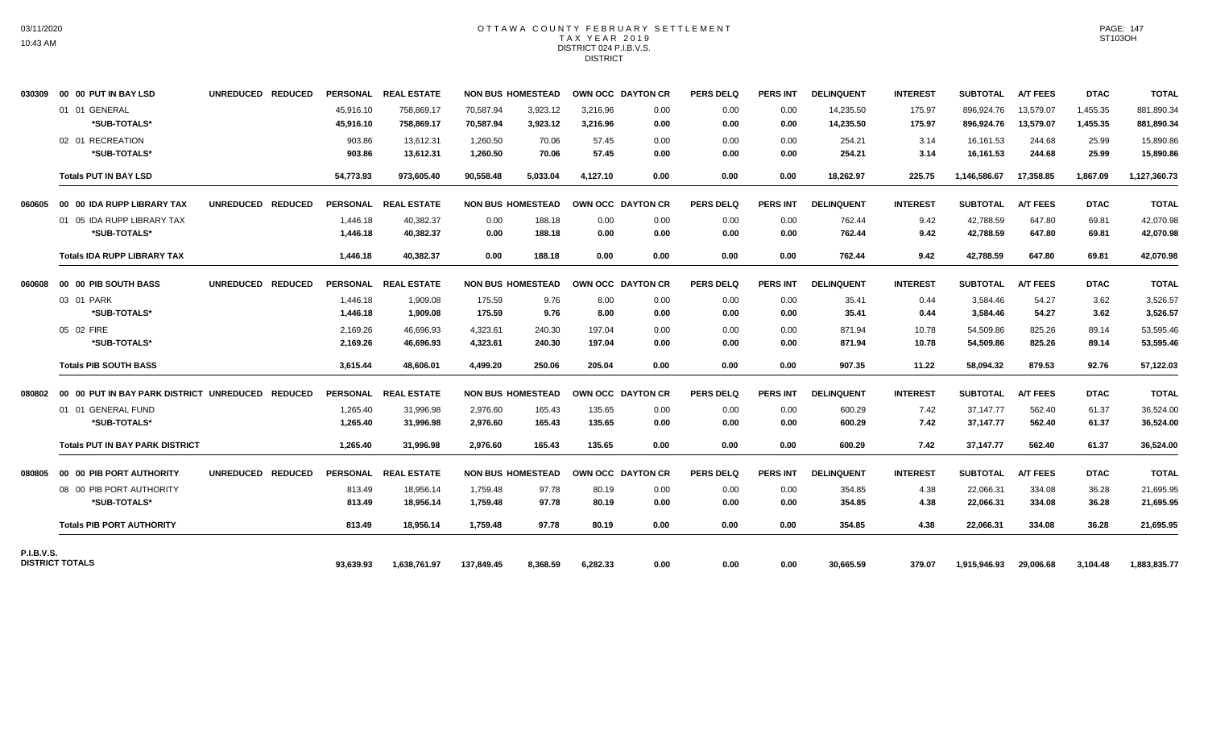### OTTAWA COUNTY FEBRUARY SETTLEMENT TAX YEAR 2019 DISTRICT 024 P.I.B.V.S. **DISTRICT**

| 030309            | 00 00 PUT IN BAY LSD                                       | UNREDUCED REDUCED |                        | PERSONAL REAL ESTATE     |                          | <b>NON BUS HOMESTEAD</b> | <b>OWN OCC DAYTON CR</b> |              | <b>PERS DELQ</b> | <b>PERS INT</b> | <b>DELINQUENT</b>      | <b>INTEREST</b>  | <b>SUBTOTAL</b>          | <b>A/T FEES</b>        | <b>DTAC</b>          | <b>TOTAL</b>             |
|-------------------|------------------------------------------------------------|-------------------|------------------------|--------------------------|--------------------------|--------------------------|--------------------------|--------------|------------------|-----------------|------------------------|------------------|--------------------------|------------------------|----------------------|--------------------------|
|                   | 01 01 GENERAL<br>*SUB-TOTALS*                              |                   | 45,916.10<br>45,916.10 | 758,869.17<br>758,869.17 | 70,587.94<br>70.587.94   | 3,923.12<br>3,923.12     | 3,216.96<br>3,216.96     | 0.00<br>0.00 | 0.00<br>0.00     | 0.00<br>0.00    | 14,235.50<br>14,235.50 | 175.97<br>175.97 | 896,924.76<br>896,924.76 | 13,579.07<br>13,579.07 | 1,455.35<br>1,455.35 | 881,890.34<br>881,890.34 |
|                   | 02 01 RECREATION<br>*SUB-TOTALS*                           |                   | 903.86<br>903.86       | 13.612.31<br>13,612.31   | 1,260.50<br>1,260.50     | 70.06<br>70.06           | 57.45<br>57.45           | 0.00<br>0.00 | 0.00<br>0.00     | 0.00<br>0.00    | 254.21<br>254.21       | 3.14<br>3.14     | 16,161.53<br>16,161.53   | 244.68<br>244.68       | 25.99<br>25.99       | 15.890.86<br>15,890.86   |
|                   | <b>Totals PUT IN BAY LSD</b>                               |                   | 54,773.93              | 973.605.40               | 90.558.48                | 5.033.04                 | 4,127.10                 | 0.00         | 0.00             | 0.00            | 18,262.97              | 225.75           | 1,146,586.67             | 17,358.85              | 1.867.09             | 1,127,360.73             |
| 060605            | 00 00 IDA RUPP LIBRARY TAX                                 | UNREDUCED REDUCED |                        | PERSONAL REAL ESTATE     |                          | <b>NON BUS HOMESTEAD</b> | OWN OCC DAYTON CR        |              | <b>PERS DELQ</b> | <b>PERS INT</b> | <b>DELINQUENT</b>      | <b>INTEREST</b>  | <b>SUBTOTAL</b>          | <b>A/T FEES</b>        | <b>DTAC</b>          | <b>TOTAL</b>             |
|                   | 01 05 IDA RUPP LIBRARY TAX<br>*SUB-TOTALS*                 |                   | 1,446.18<br>1,446.18   | 40,382.37<br>40,382.37   | 0.00<br>0.00             | 188.18<br>188.18         | 0.00<br>0.00             | 0.00<br>0.00 | 0.00<br>0.00     | 0.00<br>0.00    | 762.44<br>762.44       | 9.42<br>9.42     | 42,788.59<br>42,788.59   | 647.80<br>647.80       | 69.81<br>69.81       | 42,070.98<br>42,070.98   |
|                   | <b>Totals IDA RUPP LIBRARY TAX</b>                         |                   | 1,446.18               | 40,382.37                | 0.00                     | 188.18                   | 0.00                     | 0.00         | 0.00             | 0.00            | 762.44                 | 9.42             | 42,788.59                | 647.80                 | 69.81                | 42,070.98                |
| 806060            | 00 00 PIB SOUTH BASS                                       | UNREDUCED REDUCED |                        | PERSONAL REAL ESTATE     |                          | <b>NON BUS HOMESTEAD</b> | OWN OCC DAYTON CR        |              | <b>PERS DELQ</b> | <b>PERS INT</b> | <b>DELINQUENT</b>      | <b>INTEREST</b>  | <b>SUBTOTAL</b>          | <b>A/T FEES</b>        | <b>DTAC</b>          | <b>TOTAL</b>             |
|                   | 03 01 PARK<br>*SUB-TOTALS*                                 |                   | 1,446.18<br>1,446.18   | 1,909.08<br>1,909.08     | 175.59<br>175.59         | 9.76<br>9.76             | 8.00<br>8.00             | 0.00<br>0.00 | 0.00<br>0.00     | 0.00<br>0.00    | 35.41<br>35.41         | 0.44<br>0.44     | 3,584.46<br>3,584.46     | 54.27<br>54.27         | 3.62<br>3.62         | 3,526.57<br>3,526.57     |
|                   | 05 02 FIRE<br>*SUB-TOTALS*                                 |                   | 2,169.26<br>2,169.26   | 46,696.93<br>46,696.93   | 4,323.61<br>4,323.61     | 240.30<br>240.30         | 197.04<br>197.04         | 0.00<br>0.00 | 0.00<br>0.00     | 0.00<br>0.00    | 871.94<br>871.94       | 10.78<br>10.78   | 54,509.86<br>54,509.86   | 825.26<br>825.26       | 89.14<br>89.14       | 53,595.46<br>53,595.46   |
|                   | <b>Totals PIB SOUTH BASS</b>                               |                   | 3,615.44               | 48,606.01                | 4,499.20                 | 250.06                   | 205.04                   | 0.00         | 0.00             | 0.00            | 907.35                 | 11.22            | 58,094.32                | 879.53                 | 92.76                | 57,122.03                |
|                   | 080802  00  00  PUT IN BAY PARK DISTRICT UNREDUCED REDUCED |                   |                        | PERSONAL REAL ESTATE     | <b>NON BUS HOMESTEAD</b> |                          | OWN OCC DAYTON CR        |              | <b>PERS DELQ</b> | <b>PERS INT</b> | <b>DELINQUENT</b>      | <b>INTEREST</b>  | <b>SUBTOTAL</b>          | <b>A/T FEES</b>        | <b>DTAC</b>          | <b>TOTAL</b>             |
|                   | 01 01 GENERAL FUND<br>*SUB-TOTALS*                         |                   | 1.265.40<br>1,265.40   | 31,996.98<br>31,996.98   | 2.976.60<br>2,976.60     | 165.43<br>165.43         | 135.65<br>135.65         | 0.00<br>0.00 | 0.00<br>0.00     | 0.00<br>0.00    | 600.29<br>600.29       | 7.42<br>7.42     | 37.147.77<br>37,147.77   | 562.40<br>562.40       | 61.37<br>61.37       | 36,524.00<br>36,524.00   |
|                   | <b>Totals PUT IN BAY PARK DISTRICT</b>                     |                   | 1,265.40               | 31.996.98                | 2.976.60                 | 165.43                   | 135.65                   | 0.00         | 0.00             | 0.00            | 600.29                 | 7.42             | 37,147.77                | 562.40                 | 61.37                | 36,524.00                |
| 080805            | 00 00 PIB PORT AUTHORITY                                   | UNREDUCED REDUCED |                        | PERSONAL REAL ESTATE     |                          | <b>NON BUS HOMESTEAD</b> | OWN OCC DAYTON CR        |              | <b>PERS DELQ</b> | <b>PERS INT</b> | <b>DELINQUENT</b>      | <b>INTEREST</b>  | <b>SUBTOTAL</b>          | <b>A/T FEES</b>        | <b>DTAC</b>          | <b>TOTAL</b>             |
|                   | 08 00 PIB PORT AUTHORITY<br>*SUB-TOTALS*                   |                   | 813.49<br>813.49       | 18,956.14<br>18,956.14   | 1.759.48<br>1,759.48     | 97.78<br>97.78           | 80.19<br>80.19           | 0.00<br>0.00 | 0.00<br>0.00     | 0.00<br>0.00    | 354.85<br>354.85       | 4.38<br>4.38     | 22.066.31<br>22,066.31   | 334.08<br>334.08       | 36.28<br>36.28       | 21,695.95<br>21,695.95   |
|                   | <b>Totals PIB PORT AUTHORITY</b>                           |                   | 813.49                 | 18.956.14                | 1.759.48                 | 97.78                    | 80.19                    | 0.00         | 0.00             | 0.00            | 354.85                 | 4.38             | 22,066.31                | 334.08                 | 36.28                | 21,695.95                |
| <b>P.I.B.V.S.</b> | <b>DISTRICT TOTALS</b>                                     |                   | 93,639.93              | 1,638,761.97             | 137,849.45               | 8,368.59                 | 6,282.33                 | 0.00         | 0.00             | 0.00            | 30,665.59              | 379.07           | 1,915,946.93             | 29,006.68              | 3,104.48             | 1,883,835.77             |
|                   |                                                            |                   |                        |                          |                          |                          |                          |              |                  |                 |                        |                  |                          |                        |                      |                          |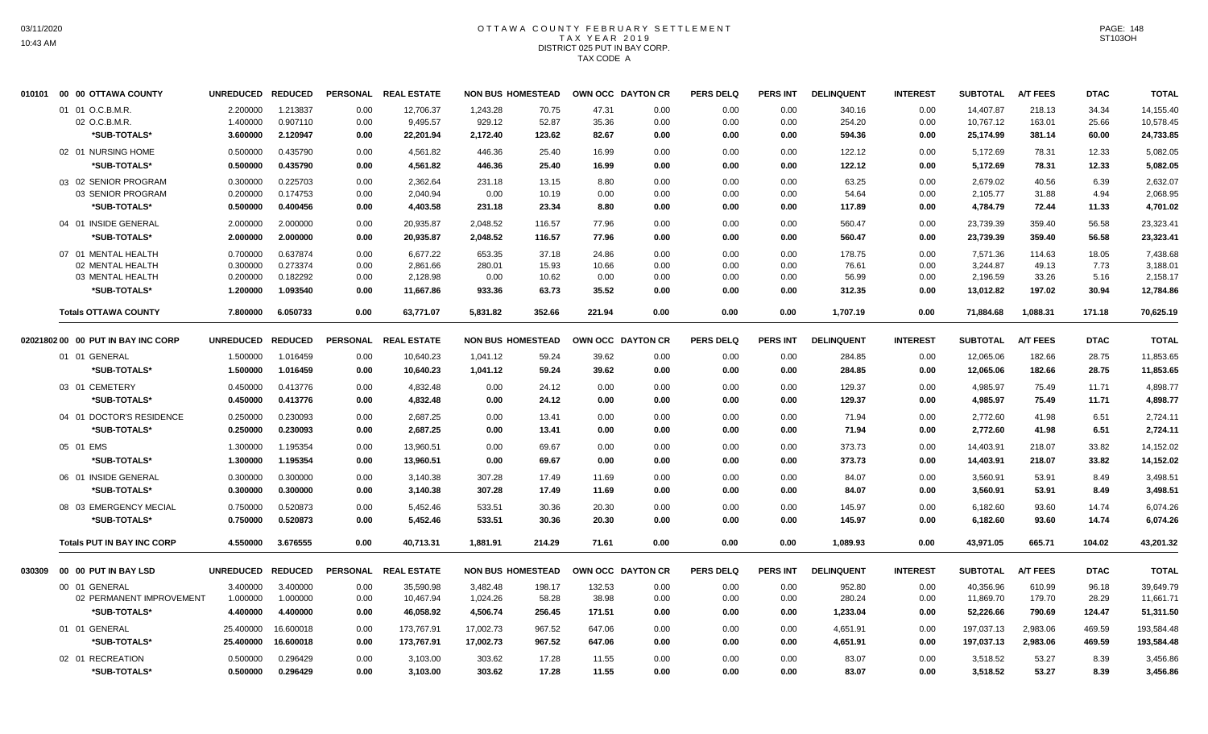# OTTAWA COUNTY FEBRUARY SETTLEMENT TAX YEAR 2019 DISTRICT 025 PUT IN BAY CORP. TAX CODE A

|        | 010101 00 00 OTTAWA COUNTY                        | UNREDUCED REDUCED                |                                  |                      | PERSONAL REAL ESTATE               | <b>NON BUS HOMESTEAD</b>       |                          | OWN OCC DAYTON CR       |                      | <b>PERS DELQ</b>     | <b>PERS INT</b>      | <b>DELINQUENT</b>          | <b>INTEREST</b>      | <b>SUBTOTAL</b>                     | <b>A/T FEES</b>            | <b>DTAC</b>             | <b>TOTAL</b>                        |
|--------|---------------------------------------------------|----------------------------------|----------------------------------|----------------------|------------------------------------|--------------------------------|--------------------------|-------------------------|----------------------|----------------------|----------------------|----------------------------|----------------------|-------------------------------------|----------------------------|-------------------------|-------------------------------------|
|        | 01 01 O.C.B.M.R.<br>02 O.C.B.M.R.<br>*SUB-TOTALS* | 2.200000<br>1.400000<br>3.600000 | 1.213837<br>0.907110<br>2.120947 | 0.00<br>0.00<br>0.00 | 12.706.37<br>9,495.57<br>22,201.94 | 1,243.28<br>929.12<br>2,172.40 | 70.75<br>52.87<br>123.62 | 47.31<br>35.36<br>82.67 | 0.00<br>0.00<br>0.00 | 0.00<br>0.00<br>0.00 | 0.00<br>0.00<br>0.00 | 340.16<br>254.20<br>594.36 | 0.00<br>0.00<br>0.00 | 14.407.87<br>10,767.12<br>25,174.99 | 218.13<br>163.01<br>381.14 | 34.34<br>25.66<br>60.00 | 14,155.40<br>10,578.45<br>24,733.85 |
|        | 02 01 NURSING HOME                                | 0.500000                         | 0.435790                         | 0.00                 | 4,561.82                           | 446.36                         | 25.40                    | 16.99                   | 0.00                 | 0.00                 | 0.00                 | 122.12                     | 0.00                 | 5,172.69                            | 78.31                      | 12.33                   | 5,082.05                            |
|        | *SUB-TOTALS*                                      | 0.500000                         | 0.435790                         | 0.00                 | 4,561.82                           | 446.36                         | 25.40                    | 16.99                   | 0.00                 | 0.00                 | 0.00                 | 122.12                     | 0.00                 | 5,172.69                            | 78.31                      | 12.33                   | 5,082.05                            |
|        | 03 02 SENIOR PROGRAM                              | 0.300000                         | 0.225703                         | 0.00                 | 2.362.64                           | 231.18                         | 13.15                    | 8.80                    | 0.00                 | 0.00                 | 0.00                 | 63.25                      | 0.00                 | 2,679.02                            | 40.56                      | 6.39                    | 2,632.07                            |
|        | 03 SENIOR PROGRAM                                 | 0.200000                         | 0.174753                         | 0.00                 | 2,040.94                           | 0.00                           | 10.19                    | 0.00                    | 0.00                 | 0.00                 | 0.00                 | 54.64                      | 0.00                 | 2,105.77                            | 31.88                      | 4.94                    | 2,068.95                            |
|        | *SUB-TOTALS*                                      | 0.500000                         | 0.400456                         | 0.00                 | 4,403.58                           | 231.18                         | 23.34                    | 8.80                    | 0.00                 | 0.00                 | 0.00                 | 117.89                     | 0.00                 | 4,784.79                            | 72.44                      | 11.33                   | 4,701.02                            |
|        | 04 01 INSIDE GENERAL                              | 2.000000                         | 2.000000                         | 0.00                 | 20,935.87                          | 2,048.52                       | 116.57                   | 77.96                   | 0.00                 | 0.00                 | 0.00                 | 560.47                     | 0.00                 | 23,739.39                           | 359.40                     | 56.58                   | 23,323.41                           |
|        | *SUB-TOTALS*                                      | 2.000000                         | 2.000000                         | 0.00                 | 20.935.87                          | 2,048.52                       | 116.57                   | 77.96                   | 0.00                 | 0.00                 | 0.00                 | 560.47                     | 0.00                 | 23,739.39                           | 359.40                     | 56.58                   | 23,323.41                           |
|        | 07 01 MENTAL HEALTH                               | 0.700000                         | 0.637874                         | 0.00                 | 6,677.22                           | 653.35                         | 37.18                    | 24.86                   | 0.00                 | 0.00                 | 0.00                 | 178.75                     | 0.00                 | 7,571.36                            | 114.63                     | 18.05                   | 7,438.68                            |
|        | 02 MENTAL HEALTH                                  | 0.300000                         | 0.273374                         | 0.00                 | 2,861.66                           | 280.01                         | 15.93                    | 10.66                   | 0.00                 | 0.00                 | 0.00                 | 76.61                      | 0.00                 | 3,244.87                            | 49.13                      | 7.73                    | 3.188.01                            |
|        | 03 MENTAL HEALTH                                  | 0.200000                         | 0.182292                         | 0.00                 | 2,128.98                           | 0.00                           | 10.62                    | 0.00                    | 0.00                 | 0.00                 | 0.00                 | 56.99                      | 0.00                 | 2,196.59                            | 33.26                      | 5.16                    | 2,158.17                            |
|        | *SUB-TOTALS*                                      | 1.200000                         | 1.093540                         | 0.00                 | 11,667.86                          | 933.36                         | 63.73                    | 35.52                   | 0.00                 | 0.00                 | 0.00                 | 312.35                     | 0.00                 | 13,012.82                           | 197.02                     | 30.94                   | 12,784.86                           |
|        | <b>Totals OTTAWA COUNTY</b>                       | 7.800000                         | 6.050733                         | 0.00                 | 63,771.07                          | 5,831.82                       | 352.66                   | 221.94                  | 0.00                 | 0.00                 | 0.00                 | 1,707.19                   | 0.00                 | 71,884.68                           | 1,088.31                   | 171.18                  | 70,625.19                           |
|        | 02021802 00 00 PUT IN BAY INC CORP                | UNREDUCED REDUCED                |                                  |                      | PERSONAL REAL ESTATE               | <b>NON BUS HOMESTEAD</b>       |                          | OWN OCC DAYTON CR       |                      | <b>PERS DELQ</b>     | PERS INT             | <b>DELINQUENT</b>          | <b>INTEREST</b>      | <b>SUBTOTAL</b>                     | <b>A/T FEES</b>            | <b>DTAC</b>             | <b>TOTAL</b>                        |
|        | 01 01 GENERAL                                     | 1.500000                         | 1.016459                         | 0.00                 | 10,640.23                          | 1,041.12                       | 59.24                    | 39.62                   | 0.00                 | 0.00                 | 0.00                 | 284.85                     | 0.00                 | 12,065.06                           | 182.66                     | 28.75                   | 11,853.65                           |
|        | *SUB-TOTALS*                                      | 1.500000                         | 1.016459                         | 0.00                 | 10,640.23                          | 1,041.12                       | 59.24                    | 39.62                   | 0.00                 | 0.00                 | 0.00                 | 284.85                     | 0.00                 | 12,065.06                           | 182.66                     | 28.75                   | 11,853.65                           |
|        | 03 01 CEMETERY                                    | 0.450000                         | 0.413776                         | 0.00                 | 4,832.48                           | 0.00                           | 24.12                    | 0.00                    | 0.00                 | 0.00                 | 0.00                 | 129.37                     | 0.00                 | 4,985.97                            | 75.49                      | 11.71                   | 4,898.77                            |
|        | *SUB-TOTALS*                                      | 0.450000                         | 0.413776                         | 0.00                 | 4,832.48                           | 0.00                           | 24.12                    | 0.00                    | 0.00                 | 0.00                 | 0.00                 | 129.37                     | 0.00                 | 4.985.97                            | 75.49                      | 11.71                   | 4.898.77                            |
|        | 04 01 DOCTOR'S RESIDENCE                          | 0.250000                         | 0.230093                         | 0.00                 | 2,687.25                           | 0.00                           | 13.41                    | 0.00                    | 0.00                 | 0.00                 | 0.00                 | 71.94                      | 0.00                 | 2,772.60                            | 41.98                      | 6.51                    | 2,724.11                            |
|        | *SUB-TOTALS*                                      | 0.250000                         | 0.230093                         | 0.00                 | 2,687.25                           | 0.00                           | 13.41                    | 0.00                    | 0.00                 | 0.00                 | 0.00                 | 71.94                      | 0.00                 | 2,772.60                            | 41.98                      | 6.51                    | 2,724.11                            |
|        | 05 01 EMS                                         | 1.300000                         | 1.195354                         | 0.00                 | 13,960.51                          | 0.00                           | 69.67                    | 0.00                    | 0.00                 | 0.00                 | 0.00                 | 373.73                     | 0.00                 | 14,403.91                           | 218.07                     | 33.82                   | 14,152.02                           |
|        | *SUB-TOTALS*                                      | 1.300000                         | 1.195354                         | 0.00                 | 13,960.51                          | 0.00                           | 69.67                    | 0.00                    | 0.00                 | 0.00                 | 0.00                 | 373.73                     | 0.00                 | 14,403.91                           | 218.07                     | 33.82                   | 14,152.02                           |
|        | 06 01 INSIDE GENERAL                              | 0.300000                         | 0.300000                         | 0.00                 | 3.140.38                           | 307.28                         | 17.49                    | 11.69                   | 0.00                 | 0.00                 | 0.00                 | 84.07                      | 0.00                 | 3,560.91                            | 53.91                      | 8.49                    | 3.498.51                            |
|        | *SUB-TOTALS*                                      | 0.300000                         | 0.300000                         | 0.00                 | 3,140.38                           | 307.28                         | 17.49                    | 11.69                   | 0.00                 | 0.00                 | 0.00                 | 84.07                      | 0.00                 | 3,560.91                            | 53.91                      | 8.49                    | 3,498.51                            |
|        | 08 03 EMERGENCY MECIAL                            | 0.750000                         | 0.520873                         | 0.00                 | 5,452.46                           | 533.51                         | 30.36                    | 20.30                   | 0.00                 | 0.00                 | 0.00                 | 145.97                     | 0.00                 | 6,182.60                            | 93.60                      | 14.74                   | 6,074.26                            |
|        | *SUB-TOTALS*                                      | 0.750000                         | 0.520873                         | 0.00                 | 5,452.46                           | 533.51                         | 30.36                    | 20.30                   | 0.00                 | 0.00                 | 0.00                 | 145.97                     | 0.00                 | 6,182.60                            | 93.60                      | 14.74                   | 6,074.26                            |
|        | <b>Totals PUT IN BAY INC CORP</b>                 | 4.550000                         | 3.676555                         | 0.00                 | 40,713.31                          | 1,881.91                       | 214.29                   | 71.61                   | 0.00                 | 0.00                 | 0.00                 | 1,089.93                   | 0.00                 | 43,971.05                           | 665.71                     | 104.02                  | 43,201.32                           |
| 030309 | 00 00 PUT IN BAY LSD                              | UNREDUCED REDUCED                |                                  |                      | PERSONAL REAL ESTATE               | <b>NON BUS HOMESTEAD</b>       |                          | OWN OCC DAYTON CR       |                      | <b>PERS DELQ</b>     | <b>PERS INT</b>      | <b>DELINQUENT</b>          | <b>INTEREST</b>      | <b>SUBTOTAL</b>                     | <b>A/T FEES</b>            | <b>DTAC</b>             | <b>TOTAL</b>                        |
|        | 00 01 GENERAL                                     | 3.400000                         | 3.400000                         | 0.00                 | 35,590.98                          | 3.482.48                       | 198.17                   | 132.53                  | 0.00                 | 0.00                 | 0.00                 | 952.80                     | 0.00                 | 40,356.96                           | 610.99                     | 96.18                   | 39.649.79                           |
|        | 02 PERMANENT IMPROVEMENT                          | 1.000000                         | 1.000000                         | 0.00                 | 10,467.94                          | 1,024.26                       | 58.28                    | 38.98                   | 0.00                 | 0.00                 | 0.00                 | 280.24                     | 0.00                 | 11,869.70                           | 179.70                     | 28.29                   | 11,661.71                           |
|        | *SUB-TOTALS*                                      | 4.400000                         | 4.400000                         | 0.00                 | 46,058.92                          | 4,506.74                       | 256.45                   | 171.51                  | 0.00                 | 0.00                 | 0.00                 | 1,233.04                   | 0.00                 | 52,226.66                           | 790.69                     | 124.47                  | 51,311.50                           |
|        | 01 01 GENERAL                                     | 25.400000                        | 16.600018                        | 0.00                 | 173,767.91                         | 17,002.73                      | 967.52                   | 647.06                  | 0.00                 | 0.00                 | 0.00                 | 4,651.91                   | 0.00                 | 197,037.13                          | 2,983.06                   | 469.59                  | 193,584.48                          |
|        | *SUB-TOTALS*                                      | 25.400000                        | 16.600018                        | 0.00                 | 173,767.91                         | 17,002.73                      | 967.52                   | 647.06                  | 0.00                 | 0.00                 | 0.00                 | 4,651.91                   | 0.00                 | 197,037.13                          | 2,983.06                   | 469.59                  | 193,584.48                          |
|        | 02 01 RECREATION                                  | 0.500000                         | 0.296429                         | 0.00                 | 3,103.00                           | 303.62                         | 17.28                    | 11.55                   | 0.00                 | 0.00                 | 0.00                 | 83.07                      | 0.00                 | 3,518.52                            | 53.27                      | 8.39                    | 3,456.86                            |
|        | *SUB-TOTALS*                                      | 0.500000                         | 0.296429                         | 0.00                 | 3,103.00                           | 303.62                         | 17.28                    | 11.55                   | 0.00                 | 0.00                 | 0.00                 | 83.07                      | 0.00                 | 3,518.52                            | 53.27                      | 8.39                    | 3,456.86                            |
|        |                                                   |                                  |                                  |                      |                                    |                                |                          |                         |                      |                      |                      |                            |                      |                                     |                            |                         |                                     |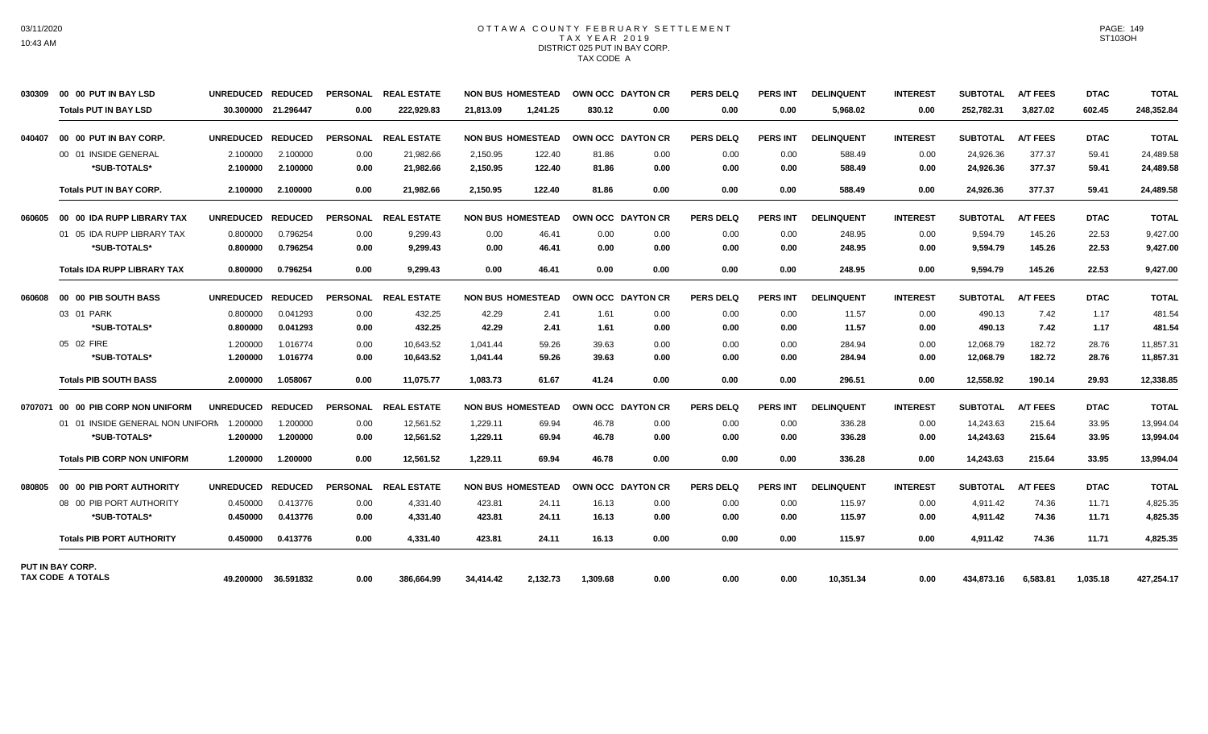#### OTTAWA COUNTY FEBRUARY SETTLEMENT TAX YEAR 2019 DISTRICT 025 PUT IN BAY CORP. TAX CODE A

| 030309 | 00 00 PUT IN BAY LSD               | UNREDUCED REDUCED |                     | <b>PERSONAL</b> | <b>REAL ESTATE</b>   | <b>NON BUS HOMESTEAD</b> |          | OWN OCC DAYTON CR |      | <b>PERS DELQ</b> | <b>PERS INT</b> | <b>DELINQUENT</b> | <b>INTEREST</b> | <b>SUBTOTAL</b> | <b>A/T FEES</b> | <b>DTAC</b> | <b>TOTAL</b> |
|--------|------------------------------------|-------------------|---------------------|-----------------|----------------------|--------------------------|----------|-------------------|------|------------------|-----------------|-------------------|-----------------|-----------------|-----------------|-------------|--------------|
|        | <b>Totals PUT IN BAY LSD</b>       |                   | 30.300000 21.296447 | 0.00            | 222,929.83           | 21.813.09                | 1.241.25 | 830.12            | 0.00 | 0.00             | 0.00            | 5,968.02          | 0.00            | 252,782.31      | 3,827.02        | 602.45      | 248,352.84   |
| 040407 | 00 00 PUT IN BAY CORP.             | <b>UNREDUCED</b>  | <b>REDUCED</b>      | PERSONAL        | <b>REAL ESTATE</b>   | <b>NON BUS HOMESTEAD</b> |          | OWN OCC DAYTON CR |      | <b>PERS DELQ</b> | <b>PERS INT</b> | <b>DELINQUENT</b> | <b>INTEREST</b> | <b>SUBTOTAL</b> | <b>A/T FEES</b> | <b>DTAC</b> | <b>TOTAL</b> |
|        | 00 01 INSIDE GENERAL               | 2.100000          | 2.100000            | 0.00            | 21,982.66            | 2,150.95                 | 122.40   | 81.86             | 0.00 | 0.00             | 0.00            | 588.49            | 0.00            | 24,926.36       | 377.37          | 59.41       | 24,489.58    |
|        | *SUB-TOTALS*                       | 2.100000          | 2.100000            | 0.00            | 21,982.66            | 2,150.95                 | 122.40   | 81.86             | 0.00 | 0.00             | 0.00            | 588.49            | 0.00            | 24,926.36       | 377.37          | 59.41       | 24,489.58    |
|        | <b>Totals PUT IN BAY CORP.</b>     | 2.100000          | 2.100000            | 0.00            | 21,982.66            | 2,150.95                 | 122.40   | 81.86             | 0.00 | 0.00             | 0.00            | 588.49            | 0.00            | 24,926.36       | 377.37          | 59.41       | 24,489.58    |
| 060605 | 00 00 IDA RUPP LIBRARY TAX         | <b>UNREDUCED</b>  | <b>REDUCED</b>      |                 | PERSONAL REAL ESTATE | <b>NON BUS HOMESTEAD</b> |          | OWN OCC DAYTON CR |      | <b>PERS DELQ</b> | <b>PERS INT</b> | <b>DELINQUENT</b> | <b>INTEREST</b> | <b>SUBTOTAL</b> | <b>A/T FEES</b> | <b>DTAC</b> | <b>TOTAL</b> |
|        | 01 05 IDA RUPP LIBRARY TAX         | 0.800000          | 0.796254            | 0.00            | 9.299.43             | 0.00                     | 46.41    | 0.00              | 0.00 | 0.00             | 0.00            | 248.95            | 0.00            | 9.594.79        | 145.26          | 22.53       | 9,427.00     |
|        | *SUB-TOTALS*                       | 0.800000          | 0.796254            | 0.00            | 9,299.43             | 0.00                     | 46.41    | 0.00              | 0.00 | 0.00             | 0.00            | 248.95            | 0.00            | 9,594.79        | 145.26          | 22.53       | 9,427.00     |
|        | <b>Totals IDA RUPP LIBRARY TAX</b> | 0.800000          | 0.796254            | 0.00            | 9,299.43             | 0.00                     | 46.41    | 0.00              | 0.00 | 0.00             | 0.00            | 248.95            | 0.00            | 9,594.79        | 145.26          | 22.53       | 9,427.00     |
| 060608 | 00 00 PIB SOUTH BASS               | <b>UNREDUCED</b>  | <b>REDUCED</b>      |                 | PERSONAL REAL ESTATE | <b>NON BUS HOMESTEAD</b> |          | OWN OCC DAYTON CR |      | <b>PERS DELQ</b> | <b>PERS INT</b> | <b>DELINQUENT</b> | <b>INTEREST</b> | <b>SUBTOTAL</b> | <b>A/T FEES</b> | <b>DTAC</b> | <b>TOTAL</b> |
|        | 03 01 PARK                         | 0.800000          | 0.041293            | 0.00            | 432.25               | 42.29                    | 2.41     | 1.61              | 0.00 | 0.00             | 0.00            | 11.57             | 0.00            | 490.13          | 7.42            | 1.17        | 481.54       |
|        | *SUB-TOTALS*                       | 0.800000          | 0.041293            | 0.00            | 432.25               | 42.29                    | 2.41     | 1.61              | 0.00 | 0.00             | 0.00            | 11.57             | 0.00            | 490.13          | 7.42            | 1.17        | 481.54       |
|        | 05 02 FIRE                         | 1.200000          | 1.016774            | 0.00            | 10.643.52            | 1.041.44                 | 59.26    | 39.63             | 0.00 | 0.00             | 0.00            | 284.94            | 0.00            | 12,068.79       | 182.72          | 28.76       | 11,857.31    |
|        | *SUB-TOTALS*                       | 1.200000          | 1.016774            | 0.00            | 10,643.52            | 1,041.44                 | 59.26    | 39.63             | 0.00 | 0.00             | 0.00            | 284.94            | 0.00            | 12,068.79       | 182.72          | 28.76       | 11,857.31    |
|        | <b>Totals PIB SOUTH BASS</b>       | 2.000000          | 1.058067            | 0.00            | 11,075.77            | 1,083.73                 | 61.67    | 41.24             | 0.00 | 0.00             | 0.00            | 296.51            | 0.00            | 12,558.92       | 190.14          | 29.93       | 12,338.85    |
|        | 0707071 00 00 PIB CORP NON UNIFORM | <b>UNREDUCED</b>  | <b>REDUCED</b>      | <b>PERSONAL</b> | <b>REAL ESTATE</b>   | <b>NON BUS HOMESTEAD</b> |          | OWN OCC DAYTON CR |      | PERS DELO        | <b>PERS INT</b> | <b>DELINQUENT</b> | <b>INTEREST</b> | <b>SUBTOTAL</b> | <b>A/T FEES</b> | <b>DTAC</b> | <b>TOTAL</b> |
|        | 01 01 INSIDE GENERAL NON UNIFORM   | 1.200000          | 1.200000            | 0.00            | 12,561.52            | 1,229.11                 | 69.94    | 46.78             | 0.00 | 0.00             | 0.00            | 336.28            | 0.00            | 14,243.63       | 215.64          | 33.95       | 13,994.04    |
|        | *SUB-TOTALS*                       | 1.200000          | 1.200000            | 0.00            | 12,561.52            | 1,229.11                 | 69.94    | 46.78             | 0.00 | 0.00             | 0.00            | 336.28            | 0.00            | 14,243.63       | 215.64          | 33.95       | 13,994.04    |
|        | <b>Totals PIB CORP NON UNIFORM</b> | 1.200000          | 1.200000            | 0.00            | 12.561.52            | 1.229.11                 | 69.94    | 46.78             | 0.00 | 0.00             | 0.00            | 336.28            | 0.00            | 14.243.63       | 215.64          | 33.95       | 13.994.04    |
| 080805 | 00 00 PIB PORT AUTHORITY           | <b>UNREDUCED</b>  | <b>REDUCED</b>      | <b>PERSONAL</b> | <b>REAL ESTATE</b>   | <b>NON BUS HOMESTEAD</b> |          | OWN OCC DAYTON CR |      | <b>PERS DELQ</b> | <b>PERS INT</b> | <b>DELINQUENT</b> | <b>INTEREST</b> | <b>SUBTOTAL</b> | <b>A/T FEES</b> | <b>DTAC</b> | <b>TOTAL</b> |
|        | 08 00 PIB PORT AUTHORITY           | 0.450000          | 0.413776            | 0.00            | 4,331.40             | 423.81                   | 24.11    | 16.13             | 0.00 | 0.00             | 0.00            | 115.97            | 0.00            | 4,911.42        | 74.36           | 11.71       | 4,825.35     |
|        | *SUB-TOTALS*                       | 0.450000          | 0.413776            | 0.00            | 4,331.40             | 423.81                   | 24.11    | 16.13             | 0.00 | 0.00             | 0.00            | 115.97            | 0.00            | 4,911.42        | 74.36           | 11.71       | 4,825.35     |
|        | <b>Totals PIB PORT AUTHORITY</b>   | 0.450000          | 0.413776            | 0.00            | 4.331.40             | 423.81                   | 24.11    | 16.13             | 0.00 | 0.00             | 0.00            | 115.97            | 0.00            | 4.911.42        | 74.36           | 11.71       | 4,825.35     |
|        | PUT IN BAY CORP.                   |                   |                     |                 |                      |                          |          |                   |      |                  |                 |                   |                 |                 |                 |             |              |
|        | <b>TAX CODE A TOTALS</b>           | 49.200000         | 36.591832           | 0.00            | 386.664.99           | 34,414.42                | 2,132.73 | 1.309.68          | 0.00 | 0.00             | 0.00            | 10,351.34         | 0.00            | 434,873.16      | 6,583.81        | 1,035.18    | 427,254.17   |

PAGE: 149 ST103OH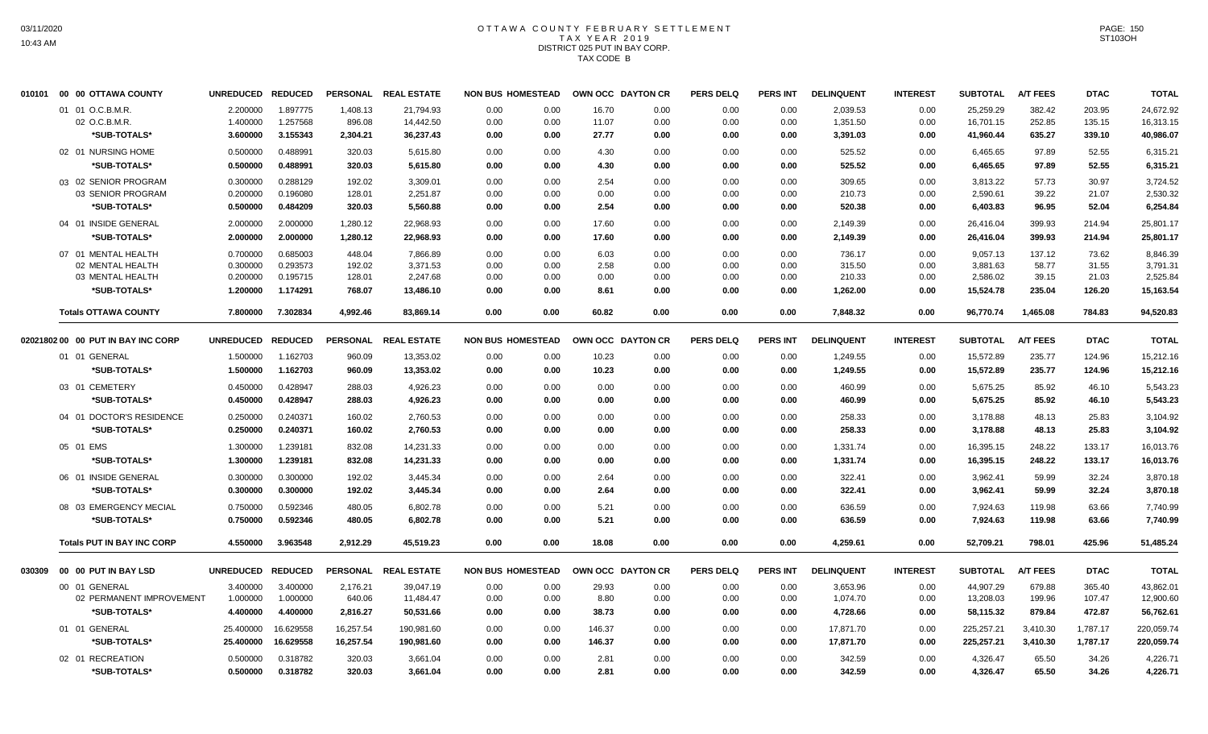#### OTTAWA COUNTY FEBRUARY SETTLEMENT T A X Y E A R 2 0 1 9 DISTRICT 025 PUT IN BAY CORP. TAX CODE B

| 010101 | 00 00 OTTAWA COUNTY                | <b>UNREDUCED</b> | <b>REDUCED</b> |                 | PERSONAL REAL ESTATE | <b>NON BUS HOMESTEAD</b> |      |        | OWN OCC DAYTON CR | <b>PERS DELQ</b> | <b>PERS INT</b> | <b>DELINQUENT</b> | <b>INTEREST</b> | <b>SUBTOTAL</b> | <b>A/T FEES</b> | <b>DTAC</b> | <b>TOTAL</b> |
|--------|------------------------------------|------------------|----------------|-----------------|----------------------|--------------------------|------|--------|-------------------|------------------|-----------------|-------------------|-----------------|-----------------|-----------------|-------------|--------------|
|        | 01 01 O.C.B.M.R.                   | 2.200000         | 1.897775       | 1,408.13        | 21,794.93            | 0.00                     | 0.00 | 16.70  | 0.00              | 0.00             | 0.00            | 2,039.53          | 0.00            | 25,259.29       | 382.42          | 203.95      | 24,672.92    |
|        | 02 O.C.B.M.R.                      | 1.400000         | 1.257568       | 896.08          | 14,442.50            | 0.00                     | 0.00 | 11.07  | 0.00              | 0.00             | 0.00            | 1,351.50          | 0.00            | 16,701.15       | 252.85          | 135.15      | 16,313.15    |
|        | *SUB-TOTALS*                       | 3.600000         | 3.155343       | 2,304.21        | 36,237.43            | 0.00                     | 0.00 | 27.77  | 0.00              | 0.00             | 0.00            | 3,391.03          | 0.00            | 41,960.44       | 635.27          | 339.10      | 40,986.07    |
|        | 02 01 NURSING HOME                 | 0.500000         | 0.488991       | 320.03          | 5,615.80             | 0.00                     | 0.00 | 4.30   | 0.00              | 0.00             | 0.00            | 525.52            | 0.00            | 6,465.65        | 97.89           | 52.55       | 6.315.21     |
|        | *SUB-TOTALS*                       | 0.500000         | 0.488991       | 320.03          | 5,615.80             | 0.00                     | 0.00 | 4.30   | 0.00              | 0.00             | 0.00            | 525.52            | 0.00            | 6,465.65        | 97.89           | 52.55       | 6,315.21     |
|        | 03 02 SENIOR PROGRAM               | 0.300000         | 0.288129       | 192.02          | 3,309.01             | 0.00                     | 0.00 | 2.54   | 0.00              | 0.00             | 0.00            | 309.65            | 0.00            | 3,813.22        | 57.73           | 30.97       | 3,724.52     |
|        | 03 SENIOR PROGRAM                  | 0.200000         | 0.196080       | 128.01          | 2,251.87             | 0.00                     | 0.00 | 0.00   | 0.00              | 0.00             | 0.00            | 210.73            | 0.00            | 2,590.61        | 39.22           | 21.07       | 2,530.32     |
|        | *SUB-TOTALS*                       | 0.500000         | 0.484209       | 320.03          | 5,560.88             | 0.00                     | 0.00 | 2.54   | 0.00              | 0.00             | 0.00            | 520.38            | 0.00            | 6,403.83        | 96.95           | 52.04       | 6,254.84     |
|        | 04 01 INSIDE GENERAL               | 2.000000         | 2.000000       | 1,280.12        | 22,968.93            | 0.00                     | 0.00 | 17.60  | 0.00              | 0.00             | 0.00            | 2,149.39          | 0.00            | 26,416.04       | 399.93          | 214.94      | 25,801.17    |
|        | *SUB-TOTALS*                       | 2.000000         | 2.000000       | 1,280.12        | 22,968.93            | 0.00                     | 0.00 | 17.60  | 0.00              | 0.00             | 0.00            | 2,149.39          | 0.00            | 26,416.04       | 399.93          | 214.94      | 25,801.17    |
|        | 07 01 MENTAL HEALTH                | 0.700000         | 0.685003       | 448.04          | 7,866.89             | 0.00                     | 0.00 | 6.03   | 0.00              | 0.00             | 0.00            | 736.17            | 0.00            | 9,057.13        | 137.12          | 73.62       | 8,846.39     |
|        | 02 MENTAL HEALTH                   | 0.300000         | 0.293573       | 192.02          | 3,371.53             | 0.00                     | 0.00 | 2.58   | 0.00              | 0.00             | 0.00            | 315.50            | 0.00            | 3,881.63        | 58.77           | 31.55       | 3,791.31     |
|        | 03 MENTAL HEALTH                   | 0.200000         | 0.195715       | 128.01          | 2,247.68             | 0.00                     | 0.00 | 0.00   | 0.00              | 0.00             | 0.00            | 210.33            | 0.00            | 2,586.02        | 39.15           | 21.03       | 2,525.84     |
|        | *SUB-TOTALS*                       | 1.200000         | 1.174291       | 768.07          | 13,486.10            | 0.00                     | 0.00 | 8.61   | 0.00              | 0.00             | 0.00            | 1,262.00          | 0.00            | 15,524.78       | 235.04          | 126.20      | 15,163.54    |
|        | <b>Totals OTTAWA COUNTY</b>        | 7.800000         | 7.302834       | 4,992.46        | 83,869.14            | 0.00                     | 0.00 | 60.82  | 0.00              | 0.00             | 0.00            | 7,848.32          | 0.00            | 96,770.74       | 1,465.08        | 784.83      | 94,520.83    |
|        | 02021802 00 00 PUT IN BAY INC CORP | <b>UNREDUCED</b> | <b>REDUCED</b> | <b>PERSONAL</b> | <b>REAL ESTATE</b>   | <b>NON BUS HOMESTEAD</b> |      |        | OWN OCC DAYTON CR | <b>PERS DELQ</b> | PERS INT        | <b>DELINQUENT</b> | <b>INTEREST</b> | <b>SUBTOTAL</b> | <b>A/T FEES</b> | <b>DTAC</b> | <b>TOTAL</b> |
|        | 01 01 GENERAL                      | 1.500000         | 1.162703       | 960.09          | 13,353.02            | 0.00                     | 0.00 | 10.23  | 0.00              | 0.00             | 0.00            | 1,249.55          | 0.00            | 15,572.89       | 235.77          | 124.96      | 15,212.16    |
|        | *SUB-TOTALS*                       | 1.500000         | 1.162703       | 960.09          | 13,353.02            | 0.00                     | 0.00 | 10.23  | 0.00              | 0.00             | 0.00            | 1,249.55          | 0.00            | 15,572.89       | 235.77          | 124.96      | 15,212.16    |
|        | 03 01 CEMETERY                     | 0.450000         | 0.428947       | 288.03          | 4,926.23             | 0.00                     | 0.00 | 0.00   | 0.00              | 0.00             | 0.00            | 460.99            | 0.00            | 5,675.25        | 85.92           | 46.10       | 5,543.23     |
|        | *SUB-TOTALS*                       | 0.450000         | 0.428947       | 288.03          | 4,926.23             | 0.00                     | 0.00 | 0.00   | 0.00              | 0.00             | 0.00            | 460.99            | 0.00            | 5.675.25        | 85.92           | 46.10       | 5,543.23     |
|        |                                    |                  |                |                 |                      |                          |      |        |                   |                  |                 |                   |                 |                 |                 |             |              |
|        | 04 01 DOCTOR'S RESIDENCE           | 0.250000         | 0.240371       | 160.02          | 2,760.53             | 0.00                     | 0.00 | 0.00   | 0.00              | 0.00             | 0.00            | 258.33            | 0.00            | 3,178.88        | 48.13           | 25.83       | 3,104.92     |
|        | *SUB-TOTALS*                       | 0.250000         | 0.240371       | 160.02          | 2,760.53             | 0.00                     | 0.00 | 0.00   | 0.00              | 0.00             | 0.00            | 258.33            | 0.00            | 3,178.88        | 48.13           | 25.83       | 3,104.92     |
|        | 05 01 EMS                          | 1.300000         | 1.239181       | 832.08          | 14,231.33            | 0.00                     | 0.00 | 0.00   | 0.00              | 0.00             | 0.00            | 1,331.74          | 0.00            | 16,395.15       | 248.22          | 133.17      | 16,013.76    |
|        | *SUB-TOTALS*                       | 1.300000         | 1.239181       | 832.08          | 14,231.33            | 0.00                     | 0.00 | 0.00   | 0.00              | 0.00             | 0.00            | 1,331.74          | 0.00            | 16,395.15       | 248.22          | 133.17      | 16,013.76    |
|        | 06 01 INSIDE GENERAL               | 0.300000         | 0.300000       | 192.02          | 3,445.34             | 0.00                     | 0.00 | 2.64   | 0.00              | 0.00             | 0.00            | 322.41            | 0.00            | 3,962.41        | 59.99           | 32.24       | 3,870.18     |
|        | *SUB-TOTALS*                       | 0.300000         | 0.300000       | 192.02          | 3,445.34             | 0.00                     | 0.00 | 2.64   | 0.00              | 0.00             | 0.00            | 322.41            | 0.00            | 3,962.41        | 59.99           | 32.24       | 3,870.18     |
|        | 08 03 EMERGENCY MECIAL             | 0.750000         | 0.592346       | 480.05          | 6,802.78             | 0.00                     | 0.00 | 5.21   | 0.00              | 0.00             | 0.00            | 636.59            | 0.00            | 7.924.63        | 119.98          | 63.66       | 7,740.99     |
|        | *SUB-TOTALS*                       | 0.750000         | 0.592346       | 480.05          | 6,802.78             | 0.00                     | 0.00 | 5.21   | 0.00              | 0.00             | 0.00            | 636.59            | 0.00            | 7,924.63        | 119.98          | 63.66       | 7,740.99     |
|        | <b>Totals PUT IN BAY INC CORP</b>  | 4.550000         | 3.963548       | 2,912.29        | 45,519.23            | 0.00                     | 0.00 | 18.08  | 0.00              | 0.00             | 0.00            | 4,259.61          | 0.00            | 52,709.21       | 798.01          | 425.96      | 51,485.24    |
| 030309 | 00 00 PUT IN BAY LSD               | <b>UNREDUCED</b> | <b>REDUCED</b> |                 | PERSONAL REAL ESTATE | <b>NON BUS HOMESTEAD</b> |      |        | OWN OCC DAYTON CR | <b>PERS DELQ</b> | PERS INT        | <b>DELINQUENT</b> | <b>INTEREST</b> | <b>SUBTOTAL</b> | <b>A/T FEES</b> | <b>DTAC</b> | <b>TOTAL</b> |
|        | 00 01 GENERAL                      | 3.400000         | 3.400000       | 2,176.21        | 39,047.19            | 0.00                     | 0.00 | 29.93  | 0.00              | 0.00             | 0.00            | 3,653.96          | 0.00            | 44,907.29       | 679.88          | 365.40      | 43,862.01    |
|        | 02 PERMANENT IMPROVEMENT           | 1.000000         | 1.000000       | 640.06          | 11,484.47            | 0.00                     | 0.00 | 8.80   | 0.00              | 0.00             | 0.00            | 1,074.70          | 0.00            | 13,208.03       | 199.96          | 107.47      | 12,900.60    |
|        | *SUB-TOTALS*                       | 4.400000         | 4.400000       | 2,816.27        | 50,531.66            | 0.00                     | 0.00 | 38.73  | 0.00              | 0.00             | 0.00            | 4,728.66          | 0.00            | 58,115.32       | 879.84          | 472.87      | 56,762.61    |
|        | 01 01 GENERAL                      | 25.400000        | 16.629558      | 16,257.54       | 190,981.60           | 0.00                     | 0.00 | 146.37 | 0.00              | 0.00             | 0.00            | 17,871.70         | 0.00            | 225,257.21      | 3,410.30        | 1,787.17    | 220,059.74   |
|        | *SUB-TOTALS*                       | 25.400000        | 16.629558      | 16,257.54       | 190,981.60           | 0.00                     | 0.00 | 146.37 | 0.00              | 0.00             | 0.00            | 17,871.70         | 0.00            | 225,257.21      | 3,410.30        | 1,787.17    | 220,059.74   |
|        | 02 01 RECREATION                   | 0.500000         | 0.318782       | 320.03          | 3,661.04             | 0.00                     | 0.00 | 2.81   | 0.00              | 0.00             | 0.00            | 342.59            | 0.00            | 4,326.47        | 65.50           | 34.26       | 4.226.71     |
|        | *SUB-TOTALS*                       | 0.500000         | 0.318782       | 320.03          | 3.661.04             | 0.00                     | 0.00 | 2.81   | 0.00              | 0.00             | 0.00            | 342.59            | 0.00            | 4,326.47        | 65.50           | 34.26       | 4,226.71     |
|        |                                    |                  |                |                 |                      |                          |      |        |                   |                  |                 |                   |                 |                 |                 |             |              |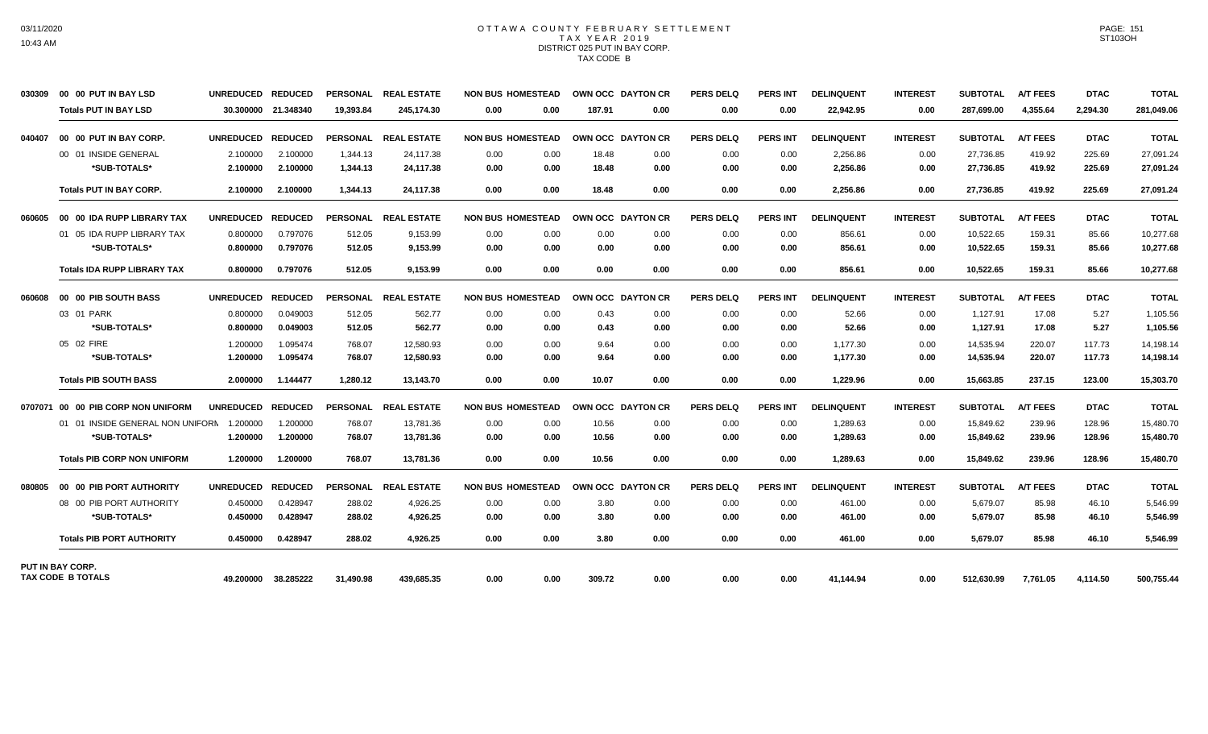#### OTTAWA COUNTY FEBRUARY SETTLEMENT TAX YEAR 2019 DISTRICT 025 PUT IN BAY CORP. TAX CODE B

| 030309 | 00 00 PUT IN BAY LSD               | <b>UNREDUCED</b> | <b>REDUCED</b> | <b>PERSONAL</b> | <b>REAL ESTATE</b>   | <b>NON BUS HOMESTEAD</b> |        | OWN OCC DAYTON CR | <b>PERS DELQ</b> | <b>PERS INT</b> | <b>DELINQUENT</b> | <b>INTEREST</b> | <b>SUBTOTAL</b> | <b>A/T FEES</b> | <b>DTAC</b> | <b>TOTAL</b> |
|--------|------------------------------------|------------------|----------------|-----------------|----------------------|--------------------------|--------|-------------------|------------------|-----------------|-------------------|-----------------|-----------------|-----------------|-------------|--------------|
|        | <b>Totals PUT IN BAY LSD</b>       | 30.300000        | 21.348340      | 19.393.84       | 245.174.30           | 0.00<br>0.00             | 187.91 | 0.00              | 0.00             | 0.00            | 22,942.95         | 0.00            | 287.699.00      | 4,355.64        | 2.294.30    | 281,049.06   |
| 040407 | 00 00 PUT IN BAY CORP.             | <b>UNREDUCED</b> | <b>REDUCED</b> | <b>PERSONAL</b> | <b>REAL ESTATE</b>   | <b>NON BUS HOMESTEAD</b> |        | OWN OCC DAYTON CR | <b>PERS DELQ</b> | <b>PERS INT</b> | <b>DELINQUENT</b> | <b>INTEREST</b> | <b>SUBTOTAL</b> | <b>A/T FEES</b> | <b>DTAC</b> | <b>TOTAL</b> |
|        | 00 01 INSIDE GENERAL               | 2.100000         | 2.100000       | 1,344.13        | 24,117.38            | 0.00<br>0.00             | 18.48  | 0.00              | 0.00             | 0.00            | 2,256.86          | 0.00            | 27,736.85       | 419.92          | 225.69      | 27,091.24    |
|        | *SUB-TOTALS*                       | 2.100000         | 2.100000       | 1,344.13        | 24,117.38            | 0.00<br>0.00             | 18.48  | 0.00              | 0.00             | 0.00            | 2,256.86          | 0.00            | 27,736.85       | 419.92          | 225.69      | 27,091.24    |
|        | <b>Totals PUT IN BAY CORP.</b>     | 2.100000         | 2.100000       | 1.344.13        | 24,117.38            | 0.00<br>0.00             | 18.48  | 0.00              | 0.00             | 0.00            | 2,256.86          | 0.00            | 27,736.85       | 419.92          | 225.69      | 27,091.24    |
| 060605 | 00 00 IDA RUPP LIBRARY TAX         | <b>UNREDUCED</b> | <b>REDUCED</b> |                 | PERSONAL REAL ESTATE | <b>NON BUS HOMESTEAD</b> |        | OWN OCC DAYTON CR | <b>PERS DELQ</b> | <b>PERS INT</b> | <b>DELINQUENT</b> | <b>INTEREST</b> | <b>SUBTOTAL</b> | <b>A/T FEES</b> | <b>DTAC</b> | <b>TOTAL</b> |
|        | 01 05 IDA RUPP LIBRARY TAX         | 0.800000         | 0.797076       | 512.05          | 9.153.99             | 0.00<br>0.00             | 0.00   | 0.00              | 0.00             | 0.00            | 856.61            | 0.00            | 10.522.65       | 159.31          | 85.66       | 10.277.68    |
|        | *SUB-TOTALS*                       | 0.800000         | 0.797076       | 512.05          | 9,153.99             | 0.00<br>0.00             | 0.00   | 0.00              | 0.00             | 0.00            | 856.61            | 0.00            | 10,522.65       | 159.31          | 85.66       | 10,277.68    |
|        | <b>Totals IDA RUPP LIBRARY TAX</b> | 0.800000         | 0.797076       | 512.05          | 9,153.99             | 0.00<br>0.00             | 0.00   | 0.00              | 0.00             | 0.00            | 856.61            | 0.00            | 10,522.65       | 159.31          | 85.66       | 10,277.68    |
| 060608 | 00 00 PIB SOUTH BASS               | <b>UNREDUCED</b> | <b>REDUCED</b> |                 | PERSONAL REAL ESTATE | <b>NON BUS HOMESTEAD</b> |        | OWN OCC DAYTON CR | <b>PERS DELQ</b> | <b>PERS INT</b> | <b>DELINQUENT</b> | <b>INTEREST</b> | <b>SUBTOTAL</b> | <b>A/T FEES</b> | <b>DTAC</b> | <b>TOTAL</b> |
|        | 03 01 PARK                         | 0.800000         | 0.049003       | 512.05          | 562.77               | 0.00<br>0.00             | 0.43   | 0.00              | 0.00             | 0.00            | 52.66             | 0.00            | 1,127.91        | 17.08           | 5.27        | 1,105.56     |
|        | *SUB-TOTALS*                       | 0.800000         | 0.049003       | 512.05          | 562.77               | 0.00<br>0.00             | 0.43   | 0.00              | 0.00             | 0.00            | 52.66             | 0.00            | 1,127.91        | 17.08           | 5.27        | 1,105.56     |
|        | 05 02 FIRE                         | 1.200000         | 1.095474       | 768.07          | 12.580.93            | 0.00<br>0.00             | 9.64   | 0.00              | 0.00             | 0.00            | 1.177.30          | 0.00            | 14,535.94       | 220.07          | 117.73      | 14,198.14    |
|        | *SUB-TOTALS*                       | 1.200000         | 1.095474       | 768.07          | 12,580.93            | 0.00<br>0.00             | 9.64   | 0.00              | 0.00             | 0.00            | 1,177.30          | 0.00            | 14,535.94       | 220.07          | 117.73      | 14,198.14    |
|        | <b>Totals PIB SOUTH BASS</b>       | 2.000000         | 1.144477       | 1,280.12        | 13,143.70            | 0.00<br>0.00             | 10.07  | 0.00              | 0.00             | 0.00            | 1,229.96          | 0.00            | 15,663.85       | 237.15          | 123.00      | 15,303.70    |
|        | 0707071 00 00 PIB CORP NON UNIFORM | <b>UNREDUCED</b> | <b>REDUCED</b> | <b>PERSONAL</b> | <b>REAL ESTATE</b>   | <b>NON BUS HOMESTEAD</b> |        | OWN OCC DAYTON CR | PERS DELO        | <b>PERS INT</b> | <b>DELINQUENT</b> | <b>INTEREST</b> | <b>SUBTOTAL</b> | <b>A/T FEES</b> | <b>DTAC</b> | <b>TOTAL</b> |
|        | 01 01 INSIDE GENERAL NON UNIFORM   | 1.200000         | 1.200000       | 768.07          | 13,781.36            | 0.00<br>0.00             | 10.56  | 0.00              | 0.00             | 0.00            | 1,289.63          | 0.00            | 15,849.62       | 239.96          | 128.96      | 15,480.70    |
|        | *SUB-TOTALS*                       | 1.200000         | 1.200000       | 768.07          | 13,781.36            | 0.00<br>0.00             | 10.56  | 0.00              | 0.00             | 0.00            | 1,289.63          | 0.00            | 15,849.62       | 239.96          | 128.96      | 15,480.70    |
|        | <b>Totals PIB CORP NON UNIFORM</b> | 1.200000         | 1.200000       | 768.07          | 13.781.36            | 0.00<br>0.00             | 10.56  | 0.00              | 0.00             | 0.00            | 1.289.63          | 0.00            | 15.849.62       | 239.96          | 128.96      | 15.480.70    |
| 080805 | 00 00 PIB PORT AUTHORITY           | <b>UNREDUCED</b> | <b>REDUCED</b> | <b>PERSONAL</b> | <b>REAL ESTATE</b>   | <b>NON BUS HOMESTEAD</b> |        | OWN OCC DAYTON CR | <b>PERS DELQ</b> | <b>PERS INT</b> | <b>DELINQUENT</b> | <b>INTEREST</b> | <b>SUBTOTAL</b> | <b>A/T FEES</b> | <b>DTAC</b> | <b>TOTAL</b> |
|        | 08 00 PIB PORT AUTHORITY           | 0.450000         | 0.428947       | 288.02          | 4,926.25             | 0.00<br>0.00             | 3.80   | 0.00              | 0.00             | 0.00            | 461.00            | 0.00            | 5,679.07        | 85.98           | 46.10       | 5,546.99     |
|        | *SUB-TOTALS*                       | 0.450000         | 0.428947       | 288.02          | 4,926.25             | 0.00<br>0.00             | 3.80   | 0.00              | 0.00             | 0.00            | 461.00            | 0.00            | 5,679.07        | 85.98           | 46.10       | 5,546.99     |
|        | <b>Totals PIB PORT AUTHORITY</b>   | 0.450000         | 0.428947       | 288.02          | 4.926.25             | 0.00<br>0.00             | 3.80   | 0.00              | 0.00             | 0.00            | 461.00            | 0.00            | 5,679.07        | 85.98           | 46.10       | 5,546.99     |
|        | PUT IN BAY CORP.                   |                  |                |                 |                      |                          |        |                   |                  |                 |                   |                 |                 |                 |             |              |
|        | <b>TAX CODE B TOTALS</b>           | 49.200000        | 38.285222      | 31,490.98       | 439,685.35           | 0.00<br>0.00             | 309.72 | 0.00              | 0.00             | 0.00            | 41,144.94         | 0.00            | 512,630.99      | 7,761.05        | 4,114.50    | 500,755.44   |

PAGE: 151 ST103OH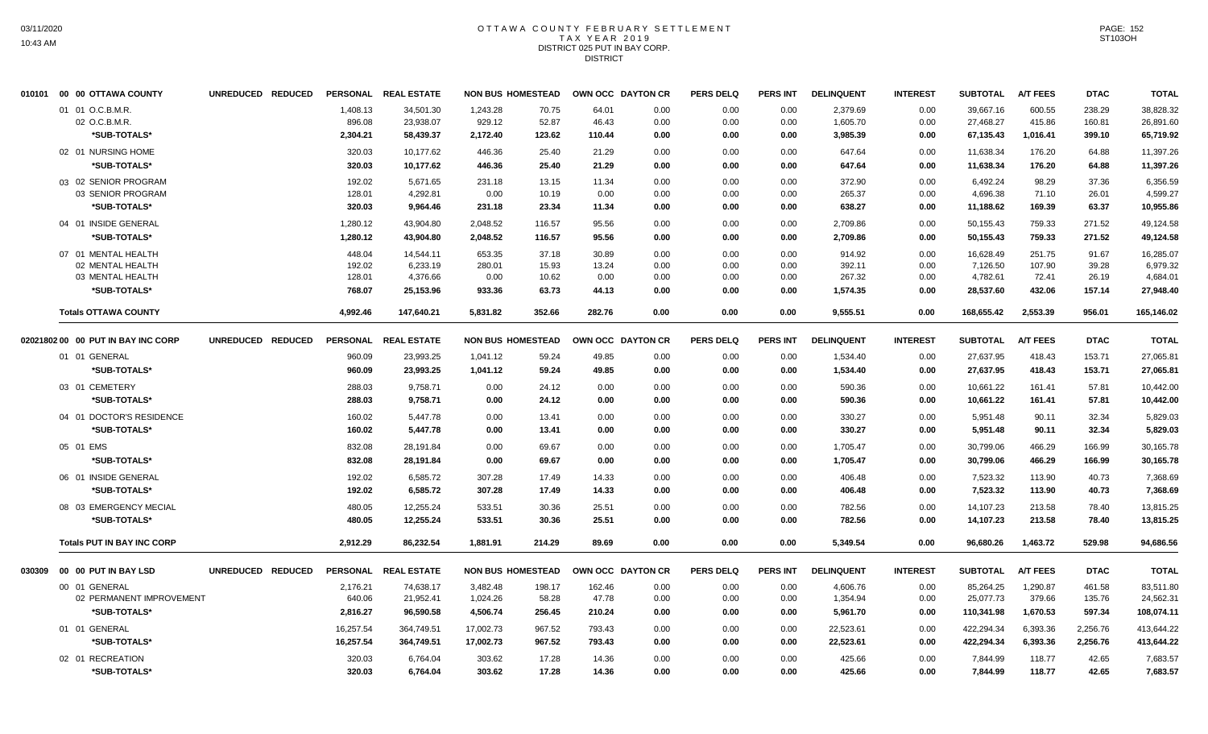# OTTAWA COUNTY FEBRUARY SETTLEMENT TAX YEAR 2019 DISTRICT 025 PUT IN BAY CORP. **DISTRICT**

| 010101 00 00 OTTAWA COUNTY         | UNREDUCED REDUCED |                    | PERSONAL REAL ESTATE   | <b>NON BUS HOMESTEAD</b> |                | OWN OCC DAYTON CR |              | <b>PERS DELQ</b> | <b>PERS INT</b> | <b>DELINQUENT</b>    | <b>INTEREST</b> | <b>SUBTOTAL</b>        | <b>A/T FEES</b>  | <b>DTAC</b>      | <b>TOTAL</b>           |
|------------------------------------|-------------------|--------------------|------------------------|--------------------------|----------------|-------------------|--------------|------------------|-----------------|----------------------|-----------------|------------------------|------------------|------------------|------------------------|
| 01 01 O.C.B.M.R.<br>02 O.C.B.M.R.  |                   | 1,408.13<br>896.08 | 34,501.30<br>23,938.07 | 1,243.28<br>929.12       | 70.75<br>52.87 | 64.01<br>46.43    | 0.00<br>0.00 | 0.00<br>0.00     | 0.00<br>0.00    | 2,379.69<br>1,605.70 | 0.00<br>0.00    | 39,667.16<br>27,468.27 | 600.55<br>415.86 | 238.29<br>160.81 | 38,828.32<br>26,891.60 |
| *SUB-TOTALS*                       |                   | 2,304.21           | 58,439.37              | 2,172.40                 | 123.62         | 110.44            | 0.00         | 0.00             | 0.00            | 3,985.39             | 0.00            | 67,135.43              | 1,016.41         | 399.10           | 65,719.92              |
| 02 01 NURSING HOME                 |                   | 320.03             | 10.177.62              | 446.36                   | 25.40          | 21.29             | 0.00         | 0.00             | 0.00            | 647.64               | 0.00            | 11,638.34              | 176.20           | 64.88            | 11,397.26              |
| *SUB-TOTALS*                       |                   | 320.03             | 10.177.62              | 446.36                   | 25.40          | 21.29             | 0.00         | 0.00             | 0.00            | 647.64               | 0.00            | 11,638.34              | 176.20           | 64.88            | 11,397.26              |
| 03 02 SENIOR PROGRAM               |                   | 192.02             | 5,671.65               | 231.18                   | 13.15          | 11.34             | 0.00         | 0.00             | 0.00            | 372.90               | 0.00            | 6,492.24               | 98.29            | 37.36            | 6,356.59               |
| 03 SENIOR PROGRAM                  |                   | 128.01             | 4,292.81               | 0.00                     | 10.19          | 0.00              | 0.00         | 0.00             | 0.00            | 265.37               | 0.00            | 4,696.38               | 71.10            | 26.01            | 4,599.27               |
| *SUB-TOTALS*                       |                   | 320.03             | 9,964.46               | 231.18                   | 23.34          | 11.34             | 0.00         | 0.00             | 0.00            | 638.27               | 0.00            | 11,188.62              | 169.39           | 63.37            | 10,955.86              |
| 04 01 INSIDE GENERAL               |                   | 1,280.12           | 43,904.80              | 2,048.52                 | 116.57         | 95.56             | 0.00         | 0.00             | 0.00            | 2,709.86             | 0.00            | 50,155.43              | 759.33           | 271.52           | 49,124.58              |
| *SUB-TOTALS*                       |                   | 1,280.12           | 43.904.80              | 2,048.52                 | 116.57         | 95.56             | 0.00         | 0.00             | 0.00            | 2,709.86             | 0.00            | 50,155.43              | 759.33           | 271.52           | 49,124.58              |
| 07 01 MENTAL HEALTH                |                   | 448.04             | 14,544.11              | 653.35                   | 37.18          | 30.89             | 0.00         | 0.00             | 0.00            | 914.92               | 0.00            | 16,628.49              | 251.75           | 91.67            | 16,285.07              |
| 02 MENTAL HEALTH                   |                   | 192.02             | 6,233.19               | 280.01                   | 15.93          | 13.24             | 0.00         | 0.00             | 0.00            | 392.11               | 0.00            | 7,126.50               | 107.90           | 39.28            | 6,979.32               |
| 03 MENTAL HEALTH                   |                   | 128.01             | 4,376.66               | 0.00                     | 10.62          | 0.00              | 0.00         | 0.00             | 0.00            | 267.32               | 0.00            | 4,782.61               | 72.41            | 26.19            | 4,684.01               |
| *SUB-TOTALS*                       |                   | 768.07             | 25,153.96              | 933.36                   | 63.73          | 44.13             | 0.00         | 0.00             | 0.00            | 1,574.35             | 0.00            | 28,537.60              | 432.06           | 157.14           | 27,948.40              |
| <b>Totals OTTAWA COUNTY</b>        |                   | 4.992.46           | 147.640.21             | 5.831.82                 | 352.66         | 282.76            | 0.00         | 0.00             | 0.00            | 9,555.51             | 0.00            | 168.655.42             | 2,553.39         | 956.01           | 165,146.02             |
| 02021802 00 00 PUT IN BAY INC CORP | UNREDUCED REDUCED |                    | PERSONAL REAL ESTATE   | <b>NON BUS HOMESTEAD</b> |                | OWN OCC DAYTON CR |              | <b>PERS DELQ</b> | <b>PERS INT</b> | <b>DELINQUENT</b>    | <b>INTEREST</b> | <b>SUBTOTAL</b>        | <b>A/T FEES</b>  | <b>DTAC</b>      | <b>TOTAL</b>           |
| 01 01 GENERAL                      |                   | 960.09             | 23,993.25              | 1,041.12                 | 59.24          | 49.85             | 0.00         | 0.00             | 0.00            | 1,534.40             | 0.00            | 27,637.95              | 418.43           | 153.71           | 27,065.81              |
| *SUB-TOTALS*                       |                   | 960.09             | 23,993.25              | 1,041.12                 | 59.24          | 49.85             | 0.00         | 0.00             | 0.00            | 1,534.40             | 0.00            | 27,637.95              | 418.43           | 153.71           | 27,065.81              |
| 03 01 CEMETERY                     |                   | 288.03             | 9,758.71               | 0.00                     | 24.12          | 0.00              | 0.00         | 0.00             | 0.00            | 590.36               | 0.00            | 10,661.22              | 161.41           | 57.81            | 10,442.00              |
| *SUB-TOTALS*                       |                   | 288.03             | 9.758.71               | 0.00                     | 24.12          | 0.00              | 0.00         | 0.00             | 0.00            | 590.36               | 0.00            | 10,661.22              | 161.41           | 57.81            | 10,442.00              |
|                                    |                   |                    |                        |                          |                |                   |              |                  |                 |                      |                 |                        |                  |                  |                        |
| 04 01 DOCTOR'S RESIDENCE           |                   | 160.02             | 5,447.78               | 0.00                     | 13.41          | 0.00              | 0.00         | 0.00             | 0.00            | 330.27               | 0.00            | 5,951.48               | 90.11            | 32.34            | 5,829.03               |
| *SUB-TOTALS*                       |                   | 160.02             | 5,447.78               | 0.00                     | 13.41          | 0.00              | 0.00         | 0.00             | 0.00            | 330.27               | 0.00            | 5.951.48               | 90.11            | 32.34            | 5.829.03               |
| 05 01 EMS                          |                   | 832.08             | 28,191.84              | 0.00                     | 69.67          | 0.00              | 0.00         | 0.00             | 0.00            | 1,705.47             | 0.00            | 30,799.06              | 466.29           | 166.99           | 30,165.78              |
| *SUB-TOTALS*                       |                   | 832.08             | 28,191.84              | 0.00                     | 69.67          | 0.00              | 0.00         | 0.00             | 0.00            | 1,705.47             | 0.00            | 30,799.06              | 466.29           | 166.99           | 30,165.78              |
| 06 01 INSIDE GENERAL               |                   | 192.02             | 6,585.72               | 307.28                   | 17.49          | 14.33             | 0.00         | 0.00             | 0.00            | 406.48               | 0.00            | 7,523.32               | 113.90           | 40.73            | 7,368.69               |
| *SUB-TOTALS*                       |                   | 192.02             | 6,585.72               | 307.28                   | 17.49          | 14.33             | 0.00         | 0.00             | 0.00            | 406.48               | 0.00            | 7,523.32               | 113.90           | 40.73            | 7,368.69               |
| 08 03 EMERGENCY MECIAL             |                   | 480.05             | 12,255.24              | 533.51                   | 30.36          | 25.51             | 0.00         | 0.00             | 0.00            | 782.56               | 0.00            | 14,107.23              | 213.58           | 78.40            | 13,815.25              |
| *SUB-TOTALS*                       |                   | 480.05             | 12,255.24              | 533.51                   | 30.36          | 25.51             | 0.00         | 0.00             | 0.00            | 782.56               | 0.00            | 14,107.23              | 213.58           | 78.40            | 13,815.25              |
| <b>Totals PUT IN BAY INC CORP</b>  |                   | 2,912.29           | 86,232.54              | 1.881.91                 | 214.29         | 89.69             | 0.00         | 0.00             | 0.00            | 5,349.54             | 0.00            | 96,680.26              | 1,463.72         | 529.98           | 94,686.56              |
|                                    | UNREDUCED REDUCED |                    | PERSONAL REAL ESTATE   | <b>NON BUS HOMESTEAD</b> |                | OWN OCC DAYTON CR |              | <b>PERS DELQ</b> | <b>PERS INT</b> | <b>DELINQUENT</b>    | <b>INTEREST</b> | <b>SUBTOTAL</b>        | <b>A/T FEES</b>  | <b>DTAC</b>      | <b>TOTAL</b>           |
| 00 01 GENERAL                      |                   | 2,176.21           | 74,638.17              | 3,482.48                 | 198.17         | 162.46            | 0.00         | 0.00             | 0.00            | 4,606.76             | 0.00            | 85,264.25              | 1,290.87         | 461.58           | 83,511.80              |
| 02 PERMANENT IMPROVEMENT           |                   | 640.06             | 21,952.41              | 1,024.26                 | 58.28          | 47.78             | 0.00         | 0.00             | 0.00            | 1,354.94             | 0.00            | 25,077.73              | 379.66           | 135.76           | 24,562.31              |
| *SUB-TOTALS*                       |                   | 2,816.27           | 96,590.58              | 4,506.74                 | 256.45         | 210.24            | 0.00         | 0.00             | 0.00            | 5,961.70             | 0.00            | 110,341.98             | 1,670.53         | 597.34           | 108,074.11             |
| 01 01 GENERAL                      |                   | 16,257.54          | 364,749.51             | 17,002.73                | 967.52         | 793.43            | 0.00         | 0.00             | 0.00            | 22,523.61            | 0.00            | 422,294.34             | 6,393.36         | 2,256.76         | 413,644.22             |
| *SUB-TOTALS*                       |                   | 16,257.54          | 364,749.51             | 17,002.73                | 967.52         | 793.43            | 0.00         | 0.00             | 0.00            | 22,523.61            | 0.00            | 422,294.34             | 6,393.36         | 2,256.76         | 413,644.22             |
|                                    |                   |                    |                        |                          |                |                   |              |                  |                 |                      |                 |                        |                  |                  |                        |
| 02 01 RECREATION                   |                   | 320.03             | 6,764.04               | 303.62                   | 17.28          | 14.36             | 0.00         | 0.00             | 0.00            | 425.66               | 0.00            | 7.844.99               | 118.77           | 42.65            | 7,683.57               |
| *SUB-TOTALS*                       |                   | 320.03             | 6,764.04               | 303.62                   | 17.28          | 14.36             | 0.00         | 0.00             | 0.00            | 425.66               | 0.00            | 7,844.99               | 118.77           | 42.65            | 7,683.57               |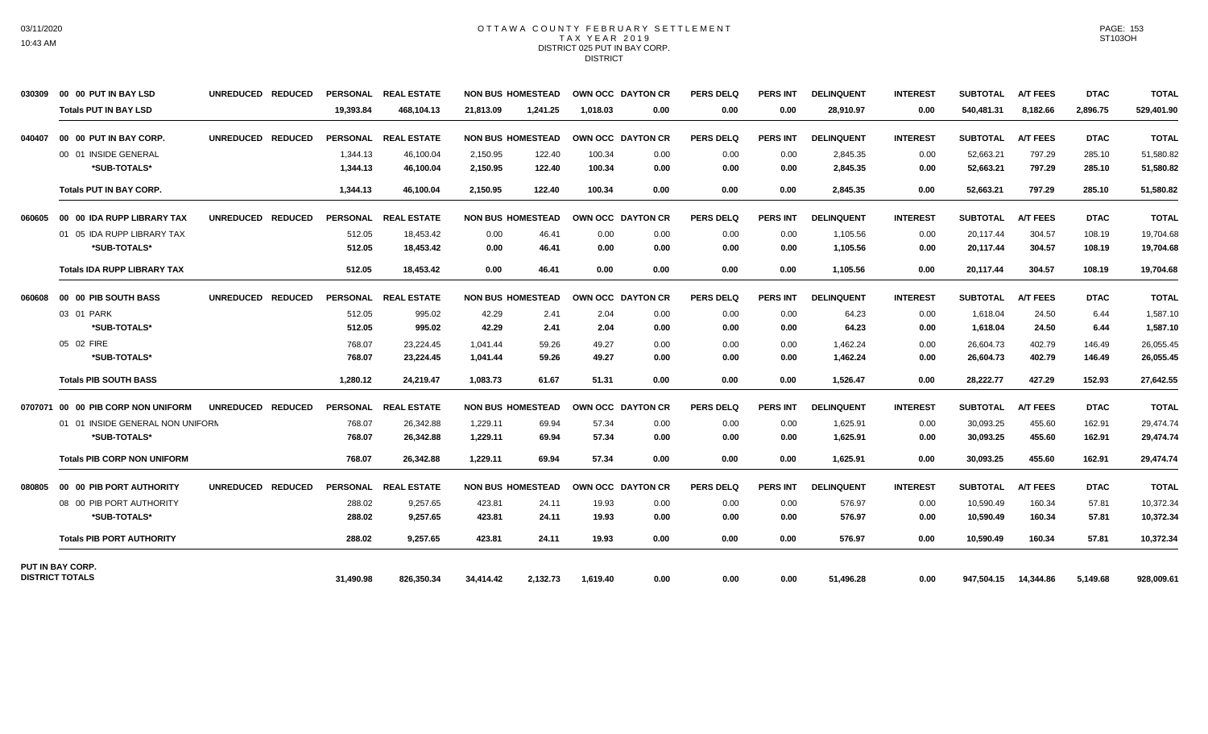### OTTAWA COUNTY FEBRUARY SETTLEMENT TAX YEAR 2019 DISTRICT 025 PUT IN BAY CORP. **DISTRICT**

| 030309 | 00 00 PUT IN BAY LSD               | UNREDUCED REDUCED | <b>PERSONAL</b> | <b>REAL ESTATE</b>   | <b>NON BUS HOMESTEAD</b> |          | OWN OCC DAYTON CR |      | <b>PERS DELQ</b> | <b>PERS INT</b> | <b>DELINQUENT</b> | <b>INTEREST</b> | <b>SUBTOTAL</b> | <b>A/T FEES</b> | <b>DTAC</b> | <b>TOTAL</b> |
|--------|------------------------------------|-------------------|-----------------|----------------------|--------------------------|----------|-------------------|------|------------------|-----------------|-------------------|-----------------|-----------------|-----------------|-------------|--------------|
|        | <b>Totals PUT IN BAY LSD</b>       |                   | 19,393.84       | 468,104.13           | 21,813.09                | 1,241.25 | 1,018.03          | 0.00 | 0.00             | 0.00            | 28,910.97         | 0.00            | 540,481.31      | 8,182.66        | 2,896.75    | 529,401.90   |
| 040407 | 00 00 PUT IN BAY CORP.             | UNREDUCED REDUCED |                 | PERSONAL REAL ESTATE | <b>NON BUS HOMESTEAD</b> |          | OWN OCC DAYTON CR |      | <b>PERS DELQ</b> | <b>PERS INT</b> | <b>DELINQUENT</b> | <b>INTEREST</b> | <b>SUBTOTAL</b> | <b>A/T FEES</b> | <b>DTAC</b> | <b>TOTAL</b> |
|        | 00 01 INSIDE GENERAL               |                   | 1,344.13        | 46,100.04            | 2,150.95                 | 122.40   | 100.34            | 0.00 | 0.00             | 0.00            | 2,845.35          | 0.00            | 52,663.21       | 797.29          | 285.10      | 51,580.82    |
|        | *SUB-TOTALS*                       |                   | 1,344.13        | 46,100.04            | 2,150.95                 | 122.40   | 100.34            | 0.00 | 0.00             | 0.00            | 2,845.35          | 0.00            | 52,663.21       | 797.29          | 285.10      | 51,580.82    |
|        | <b>Totals PUT IN BAY CORP.</b>     |                   | 1,344.13        | 46,100.04            | 2,150.95                 | 122.40   | 100.34            | 0.00 | 0.00             | 0.00            | 2,845.35          | 0.00            | 52,663.21       | 797.29          | 285.10      | 51,580.82    |
| 060605 | 00 00 IDA RUPP LIBRARY TAX         | UNREDUCED REDUCED |                 | PERSONAL REAL ESTATE | <b>NON BUS HOMESTEAD</b> |          | OWN OCC DAYTON CR |      | <b>PERS DELQ</b> | <b>PERS INT</b> | <b>DELINQUENT</b> | <b>INTEREST</b> | <b>SUBTOTAL</b> | <b>A/T FEES</b> | <b>DTAC</b> | <b>TOTAL</b> |
|        | 01 05 IDA RUPP LIBRARY TAX         |                   | 512.05          | 18,453.42            | 0.00                     | 46.41    | 0.00              | 0.00 | 0.00             | 0.00            | 1,105.56          | 0.00            | 20,117.44       | 304.57          | 108.19      | 19,704.68    |
|        | *SUB-TOTALS*                       |                   | 512.05          | 18,453.42            | 0.00                     | 46.41    | 0.00              | 0.00 | 0.00             | 0.00            | 1,105.56          | 0.00            | 20,117.44       | 304.57          | 108.19      | 19,704.68    |
|        | <b>Totals IDA RUPP LIBRARY TAX</b> |                   | 512.05          | 18,453.42            | 0.00                     | 46.41    | 0.00              | 0.00 | 0.00             | 0.00            | 1,105.56          | 0.00            | 20,117.44       | 304.57          | 108.19      | 19,704.68    |
| 060608 | 00 00 PIB SOUTH BASS               | UNREDUCED REDUCED |                 | PERSONAL REAL ESTATE | <b>NON BUS HOMESTEAD</b> |          | OWN OCC DAYTON CR |      | <b>PERS DELQ</b> | <b>PERS INT</b> | <b>DELINQUENT</b> | <b>INTEREST</b> | <b>SUBTOTAL</b> | <b>A/T FEES</b> | <b>DTAC</b> | <b>TOTAL</b> |
|        | 03 01 PARK                         |                   | 512.05          | 995.02               | 42.29                    | 2.41     | 2.04              | 0.00 | 0.00             | 0.00            | 64.23             | 0.00            | 1.618.04        | 24.50           | 6.44        | 1,587.10     |
|        | *SUB-TOTALS*                       |                   | 512.05          | 995.02               | 42.29                    | 2.41     | 2.04              | 0.00 | 0.00             | 0.00            | 64.23             | 0.00            | 1.618.04        | 24.50           | 6.44        | 1,587.10     |
|        | 05 02 FIRE                         |                   | 768.07          | 23,224.45            | 1,041.44                 | 59.26    | 49.27             | 0.00 | 0.00             | 0.00            | 1,462.24          | 0.00            | 26,604.73       | 402.79          | 146.49      | 26,055.45    |
|        | *SUB-TOTALS*                       |                   | 768.07          | 23,224.45            | 1,041.44                 | 59.26    | 49.27             | 0.00 | 0.00             | 0.00            | 1,462.24          | 0.00            | 26,604.73       | 402.79          | 146.49      | 26,055.45    |
|        | <b>Totals PIB SOUTH BASS</b>       |                   | 1,280.12        | 24,219.47            | 1,083.73                 | 61.67    | 51.31             | 0.00 | 0.00             | 0.00            | 1,526.47          | 0.00            | 28,222.77       | 427.29          | 152.93      | 27,642.55    |
|        | 0707071 00 00 PIB CORP NON UNIFORM | UNREDUCED REDUCED |                 | PERSONAL REAL ESTATE | <b>NON BUS HOMESTEAD</b> |          | OWN OCC DAYTON CR |      | <b>PERS DELQ</b> | <b>PERS INT</b> | <b>DELINQUENT</b> | <b>INTEREST</b> | <b>SUBTOTAL</b> | <b>A/T FEES</b> | <b>DTAC</b> | <b>TOTAL</b> |
|        | 01 01 INSIDE GENERAL NON UNIFORM   |                   | 768.07          | 26,342.88            | 1,229.11                 | 69.94    | 57.34             | 0.00 | 0.00             | 0.00            | 1,625.91          | 0.00            | 30,093.25       | 455.60          | 162.91      | 29.474.74    |
|        | *SUB-TOTALS*                       |                   | 768.07          | 26,342.88            | 1,229.11                 | 69.94    | 57.34             | 0.00 | 0.00             | 0.00            | 1,625.91          | 0.00            | 30,093.25       | 455.60          | 162.91      | 29,474.74    |
|        | <b>Totals PIB CORP NON UNIFORM</b> |                   | 768.07          | 26.342.88            | 1.229.11                 | 69.94    | 57.34             | 0.00 | 0.00             | 0.00            | 1.625.91          | 0.00            | 30.093.25       | 455.60          | 162.91      | 29,474.74    |
| 080805 | 00 00 PIB PORT AUTHORITY           | UNREDUCED REDUCED |                 | PERSONAL REAL ESTATE | <b>NON BUS HOMESTEAD</b> |          | OWN OCC DAYTON CR |      | <b>PERS DELQ</b> | <b>PERS INT</b> | <b>DELINQUENT</b> | <b>INTEREST</b> | <b>SUBTOTAL</b> | <b>A/T FEES</b> | <b>DTAC</b> | <b>TOTAL</b> |
|        | 08 00 PIB PORT AUTHORITY           |                   | 288.02          | 9,257.65             | 423.81                   | 24.11    | 19.93             | 0.00 | 0.00             | 0.00            | 576.97            | 0.00            | 10,590.49       | 160.34          | 57.81       | 10,372.34    |
|        | *SUB-TOTALS*                       |                   | 288.02          | 9,257.65             | 423.81                   | 24.11    | 19.93             | 0.00 | 0.00             | 0.00            | 576.97            | 0.00            | 10,590.49       | 160.34          | 57.81       | 10,372.34    |
|        | <b>Totals PIB PORT AUTHORITY</b>   |                   | 288.02          | 9.257.65             | 423.81                   | 24.11    | 19.93             | 0.00 | 0.00             | 0.00            | 576.97            | 0.00            | 10,590.49       | 160.34          | 57.81       | 10,372.34    |
|        | PUT IN BAY CORP.                   |                   |                 |                      |                          |          |                   |      |                  |                 |                   |                 |                 |                 |             |              |
|        | <b>DISTRICT TOTALS</b>             |                   | 31.490.98       | 826.350.34           | 34.414.42                | 2.132.73 | 1.619.40          | 0.00 | 0.00             | 0.00            | 51,496.28         | 0.00            | 947.504.15      | 14.344.86       | 5,149.68    | 928,009.61   |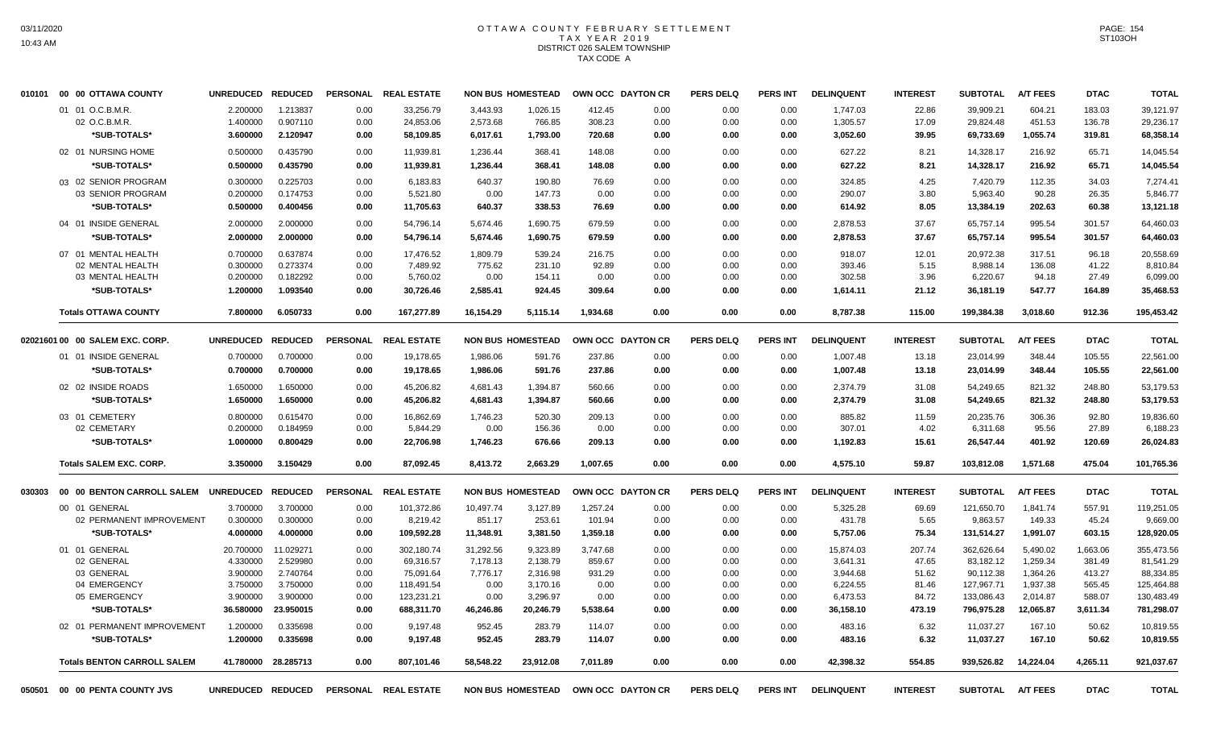## OTTAWA COUNTY FEBRUARY SETTLEMENT TAX YEAR 2019 DISTRICT 026 SALEM TOWNSHIP TAX CODE A

|        | 010101 00 00 OTTAWA COUNTY         | UNREDUCED REDUCED |                     |                 | PERSONAL REAL ESTATE |           | <b>NON BUS HOMESTEAD</b> | OWN OCC DAYTON CR |      | <b>PERS DELQ</b> | <b>PERS INT</b> | <b>DELINQUENT</b> | <b>INTEREST</b> | <b>SUBTOTAL</b> | <b>A/T FEES</b> | <b>DTAC</b> | <b>TOTAL</b> |
|--------|------------------------------------|-------------------|---------------------|-----------------|----------------------|-----------|--------------------------|-------------------|------|------------------|-----------------|-------------------|-----------------|-----------------|-----------------|-------------|--------------|
|        | 01 01 O.C.B.M.R.                   | 2.200000          | 1.213837            | 0.00            | 33.256.79            | 3.443.93  | 1.026.15                 | 412.45            | 0.00 | 0.00             | 0.00            | 1,747.03          | 22.86           | 39.909.21       | 604.21          | 183.03      | 39.121.97    |
|        | 02 O.C.B.M.R.                      | 1.400000          | 0.907110            | 0.00            | 24,853.06            | 2,573.68  | 766.85                   | 308.23            | 0.00 | 0.00             | 0.00            | 1,305.57          | 17.09           | 29,824.48       | 451.53          | 136.78      | 29,236.17    |
|        | *SUB-TOTALS*                       | 3.600000          | 2.120947            | 0.00            | 58,109.85            | 6,017.61  | 1,793.00                 | 720.68            | 0.00 | 0.00             | 0.00            | 3,052.60          | 39.95           | 69,733.69       | 1,055.74        | 319.81      | 68,358.14    |
|        | 02 01 NURSING HOME                 | 0.500000          | 0.435790            | 0.00            | 11,939.81            | 1,236.44  | 368.41                   | 148.08            | 0.00 | 0.00             | 0.00            | 627.22            | 8.21            | 14,328.17       | 216.92          | 65.71       | 14,045.54    |
|        | *SUB-TOTALS*                       | 0.500000          | 0.435790            | 0.00            | 11,939.81            | 1,236.44  | 368.41                   | 148.08            | 0.00 | 0.00             | 0.00            | 627.22            | 8.21            | 14,328.17       | 216.92          | 65.71       | 14,045.54    |
|        | 03 02 SENIOR PROGRAM               | 0.300000          | 0.225703            | 0.00            | 6,183.83             | 640.37    | 190.80                   | 76.69             | 0.00 | 0.00             | 0.00            | 324.85            | 4.25            | 7,420.79        | 112.35          | 34.03       | 7,274.41     |
|        | 03 SENIOR PROGRAM                  | 0.200000          | 0.174753            | 0.00            | 5,521.80             | 0.00      | 147.73                   | 0.00              | 0.00 | 0.00             | 0.00            | 290.07            | 3.80            | 5,963.40        | 90.28           | 26.35       | 5,846.77     |
|        | *SUB-TOTALS*                       | 0.500000          | 0.400456            | 0.00            | 11,705.63            | 640.37    | 338.53                   | 76.69             | 0.00 | 0.00             | 0.00            | 614.92            | 8.05            | 13,384.19       | 202.63          | 60.38       | 13,121.18    |
|        | 04 01 INSIDE GENERAL               | 2.000000          | 2.000000            | 0.00            | 54,796.14            | 5,674.46  | 1,690.75                 | 679.59            | 0.00 | 0.00             | 0.00            | 2,878.53          | 37.67           | 65,757.14       | 995.54          | 301.57      | 64,460.03    |
|        | *SUB-TOTALS*                       | 2.000000          | 2.000000            | 0.00            | 54,796.14            | 5,674.46  | 1,690.75                 | 679.59            | 0.00 | 0.00             | 0.00            | 2,878.53          | 37.67           | 65,757.14       | 995.54          | 301.57      | 64,460.03    |
|        | 07 01 MENTAL HEALTH                | 0.700000          | 0.637874            | 0.00            | 17,476.52            | 1,809.79  | 539.24                   | 216.75            | 0.00 | 0.00             | 0.00            | 918.07            | 12.01           | 20,972.38       | 317.51          | 96.18       | 20,558.69    |
|        | 02 MENTAL HEALTH                   | 0.300000          | 0.273374            | 0.00            | 7.489.92             | 775.62    | 231.10                   | 92.89             | 0.00 | 0.00             | 0.00            | 393.46            | 5.15            | 8,988.14        | 136.08          | 41.22       | 8.810.84     |
|        | 03 MENTAL HEALTH                   | 0.200000          | 0.182292            | 0.00            | 5,760.02             | 0.00      | 154.11                   | 0.00              | 0.00 | 0.00             | 0.00            | 302.58            | 3.96            | 6,220.67        | 94.18           | 27.49       | 6,099.00     |
|        | *SUB-TOTALS*                       | 1.200000          | 1.093540            | 0.00            | 30,726.46            | 2,585.41  | 924.45                   | 309.64            | 0.00 | 0.00             | 0.00            | 1,614.11          | 21.12           | 36,181.19       | 547.77          | 164.89      | 35,468.53    |
|        | <b>Totals OTTAWA COUNTY</b>        | 7.800000          | 6.050733            | 0.00            | 167,277.89           | 16,154.29 | 5,115.14                 | 1.934.68          | 0.00 | 0.00             | 0.00            | 8,787.38          | 115.00          | 199,384.38      | 3,018.60        | 912.36      | 195,453.42   |
|        | 02021601 00 00 SALEM EXC. CORP.    | <b>UNREDUCED</b>  | <b>REDUCED</b>      | <b>PERSONAL</b> | <b>REAL ESTATE</b>   |           | <b>NON BUS HOMESTEAD</b> | OWN OCC DAYTON CR |      | <b>PERS DELQ</b> | <b>PERS INT</b> | <b>DELINQUENT</b> | <b>INTEREST</b> | <b>SUBTOTAL</b> | <b>A/T FEES</b> | <b>DTAC</b> | <b>TOTAL</b> |
|        | 01 01 INSIDE GENERAL               | 0.700000          | 0.700000            | 0.00            | 19,178.65            | 1,986.06  | 591.76                   | 237.86            | 0.00 | 0.00             | 0.00            | 1,007.48          | 13.18           | 23,014.99       | 348.44          | 105.55      | 22,561.00    |
|        | *SUB-TOTALS*                       | 0.700000          | 0.700000            | 0.00            | 19,178.65            |           | 591.76                   | 237.86            | 0.00 | 0.00             | 0.00            | 1,007.48          | 13.18           |                 | 348.44          | 105.55      | 22,561.00    |
|        |                                    |                   |                     |                 |                      | 1,986.06  |                          |                   |      |                  |                 |                   |                 | 23,014.99       |                 |             |              |
|        | 02 02 INSIDE ROADS                 | 1.650000          | 1.650000            | 0.00            | 45.206.82            | 4.681.43  | 1.394.87                 | 560.66            | 0.00 | 0.00             | 0.00            | 2.374.79          | 31.08           | 54.249.65       | 821.32          | 248.80      | 53.179.53    |
|        | *SUB-TOTALS*                       | 1.650000          | 1.650000            | 0.00            | 45,206.82            | 4,681.43  | 1,394.87                 | 560.66            | 0.00 | 0.00             | 0.00            | 2,374.79          | 31.08           | 54,249.65       | 821.32          | 248.80      | 53,179.53    |
|        | 03 01 CEMETERY                     | 0.800000          | 0.615470            | 0.00            | 16.862.69            | 1.746.23  | 520.30                   | 209.13            | 0.00 | 0.00             | 0.00            | 885.82            | 11.59           | 20.235.76       | 306.36          | 92.80       | 19.836.60    |
|        | 02 CEMETARY                        | 0.200000          | 0.184959            | 0.00            | 5,844.29             | 0.00      | 156.36                   | 0.00              | 0.00 | 0.00             | 0.00            | 307.01            | 4.02            | 6,311.68        | 95.56           | 27.89       | 6,188.23     |
|        | *SUB-TOTALS*                       | 1.000000          | 0.800429            | 0.00            | 22,706.98            | 1,746.23  | 676.66                   | 209.13            | 0.00 | 0.00             | 0.00            | 1,192.83          | 15.61           | 26,547.44       | 401.92          | 120.69      | 26,024.83    |
|        | <b>Totals SALEM EXC, CORP.</b>     | 3.350000          | 3.150429            | 0.00            | 87.092.45            | 8,413.72  | 2,663.29                 | 1,007.65          | 0.00 | 0.00             | 0.00            | 4,575.10          | 59.87           | 103,812.08      | 1,571.68        | 475.04      | 101,765.36   |
| 030303 | 00 00 BENTON CARROLL SALEM         | UNREDUCED REDUCED |                     | <b>PERSONAL</b> | <b>REAL ESTATE</b>   |           | <b>NON BUS HOMESTEAD</b> | OWN OCC DAYTON CR |      | <b>PERS DELQ</b> | <b>PERS INT</b> | <b>DELINQUENT</b> | <b>INTEREST</b> | <b>SUBTOTAL</b> | <b>A/T FEES</b> | <b>DTAC</b> | <b>TOTAL</b> |
|        | 00 01 GENERAL                      | 3.700000          | 3.700000            | 0.00            | 101,372.86           | 10,497.74 | 3,127.89                 | 1,257.24          | 0.00 | 0.00             | 0.00            | 5,325.28          | 69.69           | 121,650.70      | 1,841.74        | 557.91      | 119,251.05   |
|        | 02 PERMANENT IMPROVEMENT           | 0.300000          | 0.300000            | 0.00            | 8,219.42             | 851.17    | 253.61                   | 101.94            | 0.00 | 0.00             | 0.00            | 431.78            | 5.65            | 9,863.57        | 149.33          | 45.24       | 9,669.00     |
|        | *SUB-TOTALS*                       | 4.000000          | 4.000000            | 0.00            | 109,592.28           | 11,348.91 | 3,381.50                 | 1,359.18          | 0.00 | 0.00             | 0.00            | 5,757.06          | 75.34           | 131,514.27      | 1,991.07        | 603.15      | 128,920.05   |
|        | 01 01 GENERAL                      | 20.700000         | 11.029271           | 0.00            | 302,180.74           | 31,292.56 | 9,323.89                 | 3,747.68          | 0.00 | 0.00             | 0.00            | 15,874.03         | 207.74          | 362,626.64      | 5,490.02        | 1,663.06    | 355,473.56   |
|        | 02 GENERAL                         | 4.330000          | 2.529980            | 0.00            | 69,316.57            | 7,178.13  | 2,138.79                 | 859.67            | 0.00 | 0.00             | 0.00            | 3,641.31          | 47.65           | 83,182.12       | 1,259.34        | 381.49      | 81,541.29    |
|        | 03 GENERAL                         | 3.900000          | 2.740764            | 0.00            | 75,091.64            | 7,776.17  | 2,316.98                 | 931.29            | 0.00 | 0.00             | 0.00            | 3,944.68          | 51.62           | 90,112.38       | 1,364.26        | 413.27      | 88,334.85    |
|        | 04 EMERGENCY                       | 3.750000          | 3.750000            | 0.00            | 118,491.54           | 0.00      | 3,170.16                 | 0.00              | 0.00 | 0.00             | 0.00            | 6,224.55          | 81.46           | 127,967.71      | 1,937.38        | 565.45      | 125,464.88   |
|        | 05 EMERGENCY                       | 3.900000          | 3.900000            | 0.00            | 123,231.21           | 0.00      | 3,296.97                 | 0.00              | 0.00 | 0.00             | 0.00            | 6,473.53          | 84.72           | 133,086.43      | 2,014.87        | 588.07      | 130,483.49   |
|        | *SUB-TOTALS*                       | 36.580000         | 23.950015           | 0.00            | 688,311.70           | 46,246.86 | 20,246.79                | 5,538.64          | 0.00 | 0.00             | 0.00            | 36,158.10         | 473.19          | 796,975.28      | 12,065.87       | 3,611.34    | 781,298.07   |
|        | 02 01 PERMANENT IMPROVEMENT        | 1.200000          | 0.335698            | 0.00            | 9,197.48             | 952.45    | 283.79                   | 114.07            | 0.00 | 0.00             | 0.00            | 483.16            | 6.32            | 11,037.27       | 167.10          | 50.62       | 10,819.55    |
|        | *SUB-TOTALS*                       | 1.200000          | 0.335698            | 0.00            | 9,197.48             | 952.45    | 283.79                   | 114.07            | 0.00 | 0.00             | 0.00            | 483.16            | 6.32            | 11,037.27       | 167.10          | 50.62       | 10,819.55    |
|        | <b>Totals BENTON CARROLL SALEM</b> |                   | 41.780000 28.285713 | 0.00            | 807,101.46           | 58,548.22 | 23,912.08                | 7,011.89          | 0.00 | 0.00             | 0.00            | 42,398.32         | 554.85          | 939,526.82      | 14,224.04       | 4,265.11    | 921,037.67   |
| 050501 | 00 00 PENTA COUNTY JVS             | UNREDUCED REDUCED |                     |                 | PERSONAL REAL ESTATE |           | <b>NON BUS HOMESTEAD</b> | OWN OCC DAYTON CR |      | <b>PERS DELQ</b> | <b>PERS INT</b> | <b>DELINQUENT</b> | <b>INTEREST</b> | <b>SUBTOTAL</b> | <b>A/T FEES</b> | <b>DTAC</b> | <b>TOTAL</b> |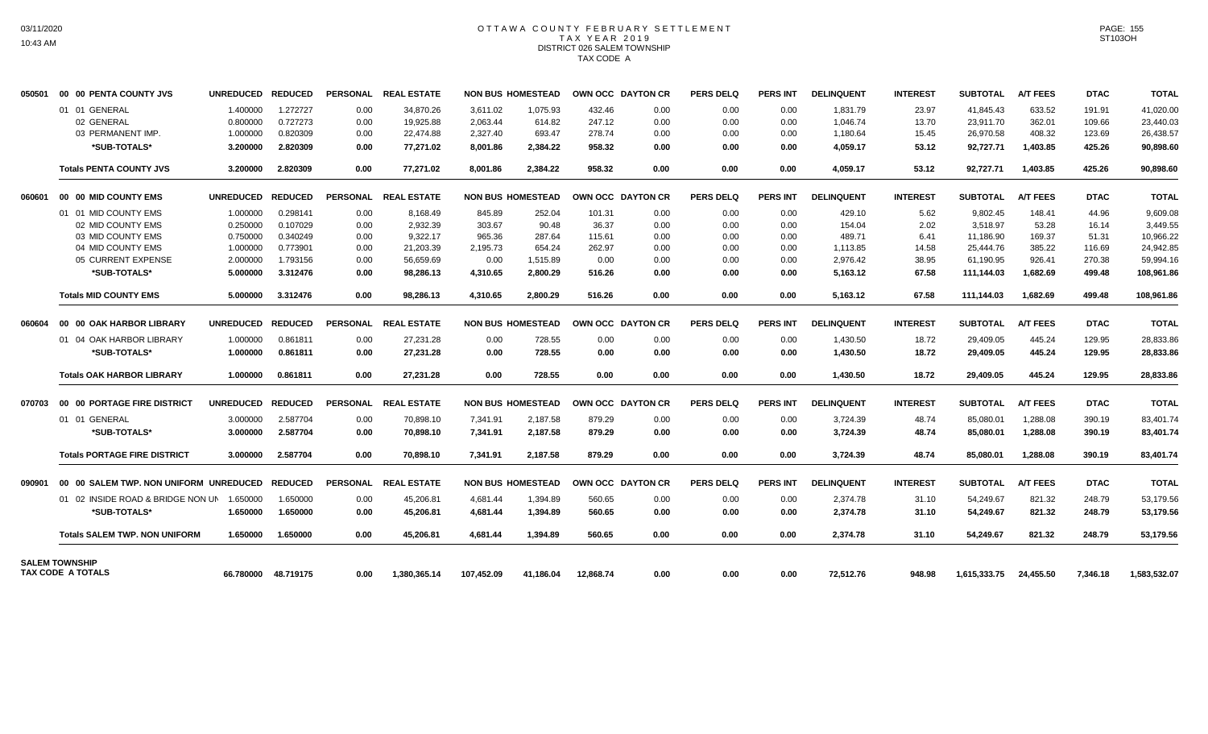## OTTAWA COUNTY FEBRUARY SETTLEMENT TAX YEAR 2019 DISTRICT 026 SALEM TOWNSHIP TAX CODE A

| 050501 | 00 00 PENTA COUNTY JVS                            | <b>UNREDUCED</b> | <b>REDUCED</b>      | <b>PERSONAL</b> | <b>REAL ESTATE</b>   |            | <b>NON BUS HOMESTEAD</b> | OWN OCC DAYTON CR |      | <b>PERS DELQ</b> | <b>PERS INT</b> | <b>DELINQUENT</b> | <b>INTEREST</b> | <b>SUBTOTAL</b> | <b>A/T FEES</b> | <b>DTAC</b> | <b>TOTAL</b> |
|--------|---------------------------------------------------|------------------|---------------------|-----------------|----------------------|------------|--------------------------|-------------------|------|------------------|-----------------|-------------------|-----------------|-----------------|-----------------|-------------|--------------|
|        | 01 01 GENERAL                                     | 1.400000         | 1.272727            | 0.00            | 34,870.26            | 3,611.02   | 1,075.93                 | 432.46            | 0.00 | 0.00             | 0.00            | 1,831.79          | 23.97           | 41,845.43       | 633.52          | 191.91      | 41,020.00    |
|        | 02 GENERAL                                        | 0.800000         | 0.727273            | 0.00            | 19,925.88            | 2,063.44   | 614.82                   | 247.12            | 0.00 | 0.00             | 0.00            | 1,046.74          | 13.70           | 23,911.70       | 362.01          | 109.66      | 23,440.03    |
|        | 03 PERMANENT IMP.                                 | 1.000000         | 0.820309            | 0.00            | 22,474.88            | 2,327.40   | 693.47                   | 278.74            | 0.00 | 0.00             | 0.00            | 1,180.64          | 15.45           | 26,970.58       | 408.32          | 123.69      | 26,438.57    |
|        | *SUB-TOTALS*                                      | 3.200000         | 2.820309            | 0.00            | 77,271.02            | 8,001.86   | 2,384.22                 | 958.32            | 0.00 | 0.00             | 0.00            | 4,059.17          | 53.12           | 92,727.71       | 1,403.85        | 425.26      | 90,898.60    |
|        | <b>Totals PENTA COUNTY JVS</b>                    | 3.200000         | 2.820309            | 0.00            | 77,271.02            | 8,001.86   | 2,384.22                 | 958.32            | 0.00 | 0.00             | 0.00            | 4,059.17          | 53.12           | 92,727.71       | 1,403.85        | 425.26      | 90,898.60    |
| 060601 | 00 00 MID COUNTY EMS                              | <b>UNREDUCED</b> | <b>REDUCED</b>      |                 | PERSONAL REAL ESTATE |            | <b>NON BUS HOMESTEAD</b> | OWN OCC DAYTON CR |      | PERS DELO        | <b>PERS INT</b> | <b>DELINQUENT</b> | <b>INTEREST</b> | <b>SUBTOTAL</b> | <b>A/T FEES</b> | <b>DTAC</b> | <b>TOTAL</b> |
|        | 01 01 MID COUNTY EMS                              | 1.000000         | 0.298141            | 0.00            | 8.168.49             | 845.89     | 252.04                   | 101.31            | 0.00 | 0.00             | 0.00            | 429.10            | 5.62            | 9.802.45        | 148.41          | 44.96       | 9.609.08     |
|        | 02 MID COUNTY EMS                                 | 0.250000         | 0.107029            | 0.00            | 2.932.39             | 303.67     | 90.48                    | 36.37             | 0.00 | 0.00             | 0.00            | 154.04            | 2.02            | 3.518.97        | 53.28           | 16.14       | 3.449.55     |
|        | 03 MID COUNTY EMS                                 | 0.750000         | 0.340249            | 0.00            | 9.322.17             | 965.36     | 287.64                   | 115.61            | 0.00 | 0.00             | 0.00            | 489.71            | 6.41            | 11,186.90       | 169.37          | 51.31       | 10.966.22    |
|        | 04 MID COUNTY EMS                                 | 1.000000         | 0.773901            | 0.00            | 21.203.39            | 2,195.73   | 654.24                   | 262.97            | 0.00 | 0.00             | 0.00            | 1.113.85          | 14.58           | 25.444.76       | 385.22          | 116.69      | 24.942.85    |
|        | 05 CURRENT EXPENSE                                | 2.000000         | 1.793156            | 0.00            | 56.659.69            | 0.00       | 1.515.89                 | 0.00              | 0.00 | 0.00             | 0.00            | 2.976.42          | 38.95           | 61.190.95       | 926.41          | 270.38      | 59.994.16    |
|        | *SUB-TOTALS*                                      | 5.000000         | 3.312476            | 0.00            | 98.286.13            | 4,310.65   | 2.800.29                 | 516.26            | 0.00 | 0.00             | 0.00            | 5,163.12          | 67.58           | 111,144.03      | 1,682.69        | 499.48      | 108,961.86   |
|        | <b>Totals MID COUNTY EMS</b>                      | 5.000000         | 3.312476            | 0.00            | 98,286.13            | 4,310.65   | 2.800.29                 | 516.26            | 0.00 | 0.00             | 0.00            | 5,163.12          | 67.58           | 111.144.03      | 1.682.69        | 499.48      | 108,961.86   |
| 060604 | 00 00 OAK HARBOR LIBRARY                          | <b>UNREDUCED</b> | <b>REDUCED</b>      |                 | PERSONAL REAL ESTATE |            | <b>NON BUS HOMESTEAD</b> | OWN OCC DAYTON CR |      | <b>PERS DELQ</b> | <b>PERS INT</b> | <b>DELINQUENT</b> | <b>INTEREST</b> | <b>SUBTOTAL</b> | <b>A/T FEES</b> | <b>DTAC</b> | <b>TOTAL</b> |
|        | 01 04 OAK HARBOR LIBRARY                          | 1.000000         | 0.861811            | 0.00            | 27,231.28            | 0.00       | 728.55                   | 0.00              | 0.00 | 0.00             | 0.00            | 1,430.50          | 18.72           | 29,409.05       | 445.24          | 129.95      | 28,833.86    |
|        | *SUB-TOTALS*                                      | 1.000000         | 0.861811            | 0.00            | 27,231.28            | 0.00       | 728.55                   | 0.00              | 0.00 | 0.00             | 0.00            | 1,430.50          | 18.72           | 29,409.05       | 445.24          | 129.95      | 28,833.86    |
|        | <b>Totals OAK HARBOR LIBRARY</b>                  | 1.000000         | 0.861811            | 0.00            | 27.231.28            | 0.00       | 728.55                   | 0.00              | 0.00 | 0.00             | 0.00            | 1.430.50          | 18.72           | 29.409.05       | 445.24          | 129.95      | 28.833.86    |
| 070703 | 00 00 PORTAGE FIRE DISTRICT                       | <b>UNREDUCED</b> | <b>REDUCED</b>      |                 | PERSONAL REAL ESTATE |            | <b>NON BUS HOMESTEAD</b> | OWN OCC DAYTON CR |      | <b>PERS DELQ</b> | <b>PERS INT</b> | <b>DELINQUENT</b> | <b>INTEREST</b> | <b>SUBTOTAL</b> | <b>A/T FEES</b> | <b>DTAC</b> | <b>TOTAL</b> |
|        | 01 01 GENERAL                                     | 3.000000         | 2.587704            | 0.00            | 70,898.10            | 7,341.91   | 2,187.58                 | 879.29            | 0.00 | 0.00             | 0.00            | 3,724.39          | 48.74           | 85,080.01       | 1,288.08        | 390.19      | 83,401.74    |
|        | *SUB-TOTALS*                                      | 3.000000         | 2.587704            | 0.00            | 70,898.10            | 7,341.91   | 2,187.58                 | 879.29            | 0.00 | 0.00             | 0.00            | 3,724.39          | 48.74           | 85,080.01       | 1,288.08        | 390.19      | 83,401.74    |
|        | <b>Totals PORTAGE FIRE DISTRICT</b>               | 3.000000         | 2.587704            | 0.00            | 70,898.10            | 7,341.91   | 2,187.58                 | 879.29            | 0.00 | 0.00             | 0.00            | 3,724.39          | 48.74           | 85,080.01       | 1,288.08        | 390.19      | 83,401.74    |
| 090901 | 00 00 SALEM TWP, NON UNIFORM UNREDUCED            |                  | <b>REDUCED</b>      |                 | PERSONAL REAL ESTATE |            | <b>NON BUS HOMESTEAD</b> | OWN OCC DAYTON CR |      | PERS DELQ        | <b>PERS INT</b> | <b>DELINQUENT</b> | <b>INTEREST</b> | <b>SUBTOTAL</b> | <b>A/T FEES</b> | <b>DTAC</b> | <b>TOTAL</b> |
|        | 01 02 INSIDE ROAD & BRIDGE NON UN                 | 1.650000         | 1.650000            | 0.00            | 45,206.81            | 4.681.44   | 1,394.89                 | 560.65            | 0.00 | 0.00             | 0.00            | 2,374.78          | 31.10           | 54,249.67       | 821.32          | 248.79      | 53,179.56    |
|        | *SUB-TOTALS*                                      | 1.650000         | 1.650000            | 0.00            | 45,206.81            | 4,681.44   | 1,394.89                 | 560.65            | 0.00 | 0.00             | 0.00            | 2,374.78          | 31.10           | 54,249.67       | 821.32          | 248.79      | 53,179.56    |
|        | <b>Totals SALEM TWP, NON UNIFORM</b>              | 1.650000         | 1.650000            | 0.00            | 45.206.81            | 4.681.44   | 1.394.89                 | 560.65            | 0.00 | 0.00             | 0.00            | 2.374.78          | 31.10           | 54,249.67       | 821.32          | 248.79      | 53,179.56    |
|        | <b>SALEM TOWNSHIP</b><br><b>TAX CODE A TOTALS</b> |                  | 66.780000 48.719175 | 0.00            | 1.380.365.14         | 107.452.09 | 41.186.04                | 12.868.74         | 0.00 | 0.00             | 0.00            | 72.512.76         | 948.98          | 1.615.333.75    | 24.455.50       | 7.346.18    | 1,583,532.07 |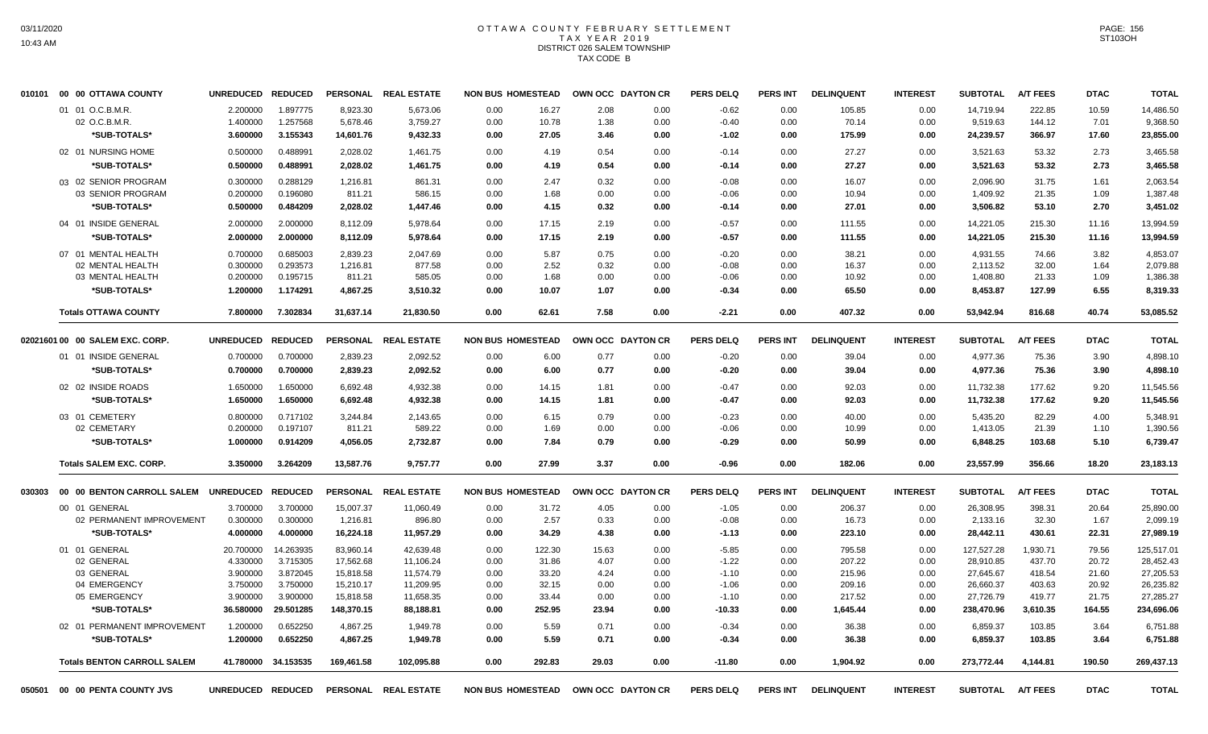#### OTTAWA COUNTY FEBRUARY SETTLEMENT T A X Y E A R 2 0 1 9 DISTRICT 026 SALEM TOWNSHIP TAX CODE B

| 010101 | 00 00 OTTAWA COUNTY                  | <b>UNREDUCED</b>  | <b>REDUCED</b> |                 | PERSONAL REAL ESTATE | <b>NON BUS HOMESTEAD</b> |        |       | OWN OCC DAYTON CR | <b>PERS DELQ</b> | <b>PERS INT</b> | <b>DELINQUENT</b> | <b>INTEREST</b> | <b>SUBTOTAL</b> | <b>A/T FEES</b> | <b>DTAC</b> | <b>TOTAL</b> |
|--------|--------------------------------------|-------------------|----------------|-----------------|----------------------|--------------------------|--------|-------|-------------------|------------------|-----------------|-------------------|-----------------|-----------------|-----------------|-------------|--------------|
|        | 01 01 O.C.B.M.R.                     | 2.200000          | 1.897775       | 8,923.30        | 5,673.06             | 0.00                     | 16.27  | 2.08  | 0.00              | $-0.62$          | 0.00            | 105.85            | 0.00            | 14,719.94       | 222.85          | 10.59       | 14,486.50    |
|        | 02 O.C.B.M.R.                        | 1.400000          | 1.257568       | 5,678.46        | 3,759.27             | 0.00                     | 10.78  | 1.38  | 0.00              | $-0.40$          | 0.00            | 70.14             | 0.00            | 9,519.63        | 144.12          | 7.01        | 9,368.50     |
|        | *SUB-TOTALS*                         | 3.600000          | 3.155343       | 14,601.76       | 9,432.33             | 0.00                     | 27.05  | 3.46  | 0.00              | $-1.02$          | 0.00            | 175.99            | 0.00            | 24,239.57       | 366.97          | 17.60       | 23,855.00    |
|        | 02 01 NURSING HOME                   | 0.500000          | 0.488991       | 2,028.02        | 1,461.75             | 0.00                     | 4.19   | 0.54  | 0.00              | $-0.14$          | 0.00            | 27.27             | 0.00            | 3,521.63        | 53.32           | 2.73        | 3,465.58     |
|        | *SUB-TOTALS*                         | 0.500000          | 0.488991       | 2,028.02        | 1,461.75             | 0.00                     | 4.19   | 0.54  | 0.00              | $-0.14$          | 0.00            | 27.27             | 0.00            | 3,521.63        | 53.32           | 2.73        | 3,465.58     |
|        | 03 02 SENIOR PROGRAM                 | 0.300000          | 0.288129       | 1,216.81        | 861.31               | 0.00                     | 2.47   | 0.32  | 0.00              | $-0.08$          | 0.00            | 16.07             | 0.00            | 2,096.90        | 31.75           | 1.61        | 2,063.54     |
|        | 03 SENIOR PROGRAM                    | 0.200000          | 0.196080       | 811.21          | 586.15               | 0.00                     | 1.68   | 0.00  | 0.00              | $-0.06$          | 0.00            | 10.94             | 0.00            | 1,409.92        | 21.35           | 1.09        | 1,387.48     |
|        | *SUB-TOTALS*                         | 0.500000          | 0.484209       | 2,028.02        | 1,447.46             | 0.00                     | 4.15   | 0.32  | 0.00              | $-0.14$          | 0.00            | 27.01             | 0.00            | 3,506.82        | 53.10           | 2.70        | 3,451.02     |
|        | 04 01 INSIDE GENERAL                 | 2.000000          | 2.000000       | 8,112.09        | 5,978.64             | 0.00                     | 17.15  | 2.19  | 0.00              | $-0.57$          | 0.00            | 111.55            | 0.00            | 14,221.05       | 215.30          | 11.16       | 13,994.59    |
|        | *SUB-TOTALS*                         | 2.000000          | 2.000000       | 8,112.09        | 5,978.64             | 0.00                     | 17.15  | 2.19  | 0.00              | $-0.57$          | 0.00            | 111.55            | 0.00            | 14,221.05       | 215.30          | 11.16       | 13,994.59    |
|        | 07 01 MENTAL HEALTH                  | 0.700000          | 0.685003       | 2,839.23        | 2,047.69             | 0.00                     | 5.87   | 0.75  | 0.00              | $-0.20$          | 0.00            | 38.21             | 0.00            | 4,931.55        | 74.66           | 3.82        | 4.853.07     |
|        | 02 MENTAL HEALTH                     | 0.300000          | 0.293573       | 1,216.81        | 877.58               | 0.00                     | 2.52   | 0.32  | 0.00              | $-0.08$          | 0.00            | 16.37             | 0.00            | 2,113.52        | 32.00           | 1.64        | 2,079.88     |
|        | 03 MENTAL HEALTH                     | 0.200000          | 0.195715       | 811.21          | 585.05               | 0.00                     | 1.68   | 0.00  | 0.00              | $-0.06$          | 0.00            | 10.92             | 0.00            | 1,408.80        | 21.33           | 1.09        | 1,386.38     |
|        | *SUB-TOTALS*                         | 1.200000          | 1.174291       | 4,867.25        | 3,510.32             | 0.00                     | 10.07  | 1.07  | 0.00              | $-0.34$          | 0.00            | 65.50             | 0.00            | 8,453.87        | 127.99          | 6.55        | 8,319.33     |
|        | <b>Totals OTTAWA COUNTY</b>          | 7.800000          | 7.302834       | 31,637.14       | 21.830.50            | 0.00                     | 62.61  | 7.58  | 0.00              | $-2.21$          | 0.00            | 407.32            | 0.00            | 53,942.94       | 816.68          | 40.74       | 53.085.52    |
|        |                                      |                   |                |                 |                      |                          |        |       |                   |                  |                 |                   |                 |                 |                 |             |              |
|        | 02021601 00 00 SALEM EXC. CORP.      | <b>UNREDUCED</b>  | <b>REDUCED</b> | <b>PERSONAL</b> | <b>REAL ESTATE</b>   | <b>NON BUS HOMESTEAD</b> |        |       | OWN OCC DAYTON CR | <b>PERS DELQ</b> | <b>PERS INT</b> | <b>DELINQUENT</b> | <b>INTEREST</b> | <b>SUBTOTAL</b> | <b>A/T FEES</b> | <b>DTAC</b> | <b>TOTAL</b> |
|        | 01 01 INSIDE GENERAL                 | 0.700000          | 0.700000       | 2,839.23        | 2,092.52             | 0.00                     | 6.00   | 0.77  | 0.00              | $-0.20$          | 0.00            | 39.04             | 0.00            | 4,977.36        | 75.36           | 3.90        | 4,898.10     |
|        | *SUB-TOTALS*                         | 0.700000          | 0.700000       | 2,839.23        | 2,092.52             | 0.00                     | 6.00   | 0.77  | 0.00              | $-0.20$          | 0.00            | 39.04             | 0.00            | 4,977.36        | 75.36           | 3.90        | 4,898.10     |
|        | 02 02 INSIDE ROADS                   | 1.650000          | 1.650000       | 6,692.48        | 4,932.38             | 0.00                     | 14.15  | 1.81  | 0.00              | $-0.47$          | 0.00            | 92.03             | 0.00            | 11,732.38       | 177.62          | 9.20        | 11,545.56    |
|        | *SUB-TOTALS*                         | 1.650000          | 1.650000       | 6,692.48        | 4,932.38             | 0.00                     | 14.15  | 1.81  | 0.00              | $-0.47$          | 0.00            | 92.03             | 0.00            | 11,732.38       | 177.62          | 9.20        | 11,545.56    |
|        | 03 01 CEMETERY                       | 0.800000          | 0.717102       | 3,244.84        | 2,143.65             | 0.00                     | 6.15   | 0.79  | 0.00              | $-0.23$          | 0.00            | 40.00             | 0.00            | 5,435.20        | 82.29           | 4.00        | 5,348.91     |
|        | 02 CEMETARY                          | 0.200000          | 0.197107       | 811.21          | 589.22               | 0.00                     | 1.69   | 0.00  | 0.00              | $-0.06$          | 0.00            | 10.99             | 0.00            | 1,413.05        | 21.39           | 1.10        | 1,390.56     |
|        | *SUB-TOTALS*                         | 1.000000          | 0.914209       | 4,056.05        | 2,732.87             | 0.00                     | 7.84   | 0.79  | 0.00              | $-0.29$          | 0.00            | 50.99             | 0.00            | 6,848.25        | 103.68          | 5.10        | 6,739.47     |
|        | <b>Totals SALEM EXC. CORP.</b>       | 3.350000          | 3.264209       | 13,587.76       | 9,757.77             | 0.00                     | 27.99  | 3.37  | 0.00              | $-0.96$          | 0.00            | 182.06            | 0.00            | 23,557.99       | 356.66          | 18.20       | 23,183.13    |
| 030303 | 00 00 BENTON CARROLL SALEM UNREDUCED |                   | <b>REDUCED</b> |                 | PERSONAL REAL ESTATE | <b>NON BUS HOMESTEAD</b> |        |       | OWN OCC DAYTON CR | <b>PERS DELQ</b> | <b>PERS INT</b> | <b>DELINQUENT</b> | <b>INTEREST</b> | <b>SUBTOTAL</b> | <b>A/T FEES</b> | <b>DTAC</b> | <b>TOTAL</b> |
|        | 00 01 GENERAL                        | 3.700000          | 3.700000       | 15,007.37       | 11,060.49            | 0.00                     | 31.72  | 4.05  | 0.00              | $-1.05$          | 0.00            | 206.37            | 0.00            | 26,308.95       | 398.31          | 20.64       | 25,890.00    |
|        | 02 PERMANENT IMPROVEMENT             | 0.300000          | 0.300000       | 1,216.81        | 896.80               | 0.00                     | 2.57   | 0.33  | 0.00              | $-0.08$          | 0.00            | 16.73             | 0.00            | 2,133.16        | 32.30           | 1.67        | 2,099.19     |
|        | *SUB-TOTALS*                         | 4.000000          | 4.000000       | 16,224.18       | 11,957.29            | 0.00                     | 34.29  | 4.38  | 0.00              | $-1.13$          | 0.00            | 223.10            | 0.00            | 28,442.11       | 430.61          | 22.31       | 27,989.19    |
|        | 01 01 GENERAL                        | 20.700000         | 14.263935      | 83.960.14       | 42,639.48            | 0.00                     | 122.30 | 15.63 | 0.00              | $-5.85$          | 0.00            | 795.58            | 0.00            | 127,527.28      | 1,930.71        | 79.56       | 125,517.01   |
|        | 02 GENERAL                           | 4.330000          | 3.715305       | 17,562.68       | 11,106.24            | 0.00                     | 31.86  | 4.07  | 0.00              | $-1.22$          | 0.00            | 207.22            | 0.00            | 28,910.85       | 437.70          | 20.72       | 28,452.43    |
|        | 03 GENERAL                           | 3.900000          | 3.872045       | 15,818.58       | 11,574.79            | 0.00                     | 33.20  | 4.24  | 0.00              | $-1.10$          | 0.00            | 215.96            | 0.00            | 27,645.67       | 418.54          | 21.60       | 27,205.53    |
|        | 04 EMERGENCY                         | 3.750000          | 3.750000       | 15,210.17       | 11,209.95            | 0.00                     | 32.15  | 0.00  | 0.00              | $-1.06$          | 0.00            | 209.16            | 0.00            | 26,660.37       | 403.63          | 20.92       | 26,235.82    |
|        | 05 EMERGENCY                         | 3.900000          | 3.900000       | 15,818.58       | 11,658.35            | 0.00                     | 33.44  | 0.00  | 0.00              | $-1.10$          | 0.00            | 217.52            | 0.00            | 27,726.79       | 419.77          | 21.75       | 27,285.27    |
|        | *SUB-TOTALS*                         | 36.580000         | 29.501285      | 148,370.15      | 88,188.81            | 0.00                     | 252.95 | 23.94 | 0.00              | $-10.33$         | 0.00            | 1,645.44          | 0.00            | 238,470.96      | 3,610.35        | 164.55      | 234,696.06   |
|        | 02 01 PERMANENT IMPROVEMENT          | 1.200000          | 0.652250       | 4,867.25        | 1,949.78             | 0.00                     | 5.59   | 0.71  | 0.00              | $-0.34$          | 0.00            | 36.38             | 0.00            | 6,859.37        | 103.85          | 3.64        | 6,751.88     |
|        | *SUB-TOTALS*                         | 1.200000          | 0.652250       | 4,867.25        | 1,949.78             | 0.00                     | 5.59   | 0.71  | 0.00              | $-0.34$          | 0.00            | 36.38             | 0.00            | 6,859.37        | 103.85          | 3.64        | 6,751.88     |
|        | <b>Totals BENTON CARROLL SALEM</b>   | 41.780000         | 34.153535      | 169,461.58      | 102,095.88           | 0.00                     | 292.83 | 29.03 | 0.00              | $-11.80$         | 0.00            | 1,904.92          | 0.00            | 273,772.44      | 4,144.81        | 190.50      | 269,437.13   |
| 050501 | 00 00 PENTA COUNTY JVS               | UNREDUCED REDUCED |                |                 | PERSONAL REAL ESTATE | <b>NON BUS HOMESTEAD</b> |        |       | OWN OCC DAYTON CR | <b>PERS DELQ</b> | <b>PERS INT</b> | <b>DELINQUENT</b> | <b>INTEREST</b> | <b>SUBTOTAL</b> | <b>A/T FEES</b> | <b>DTAC</b> | <b>TOTAL</b> |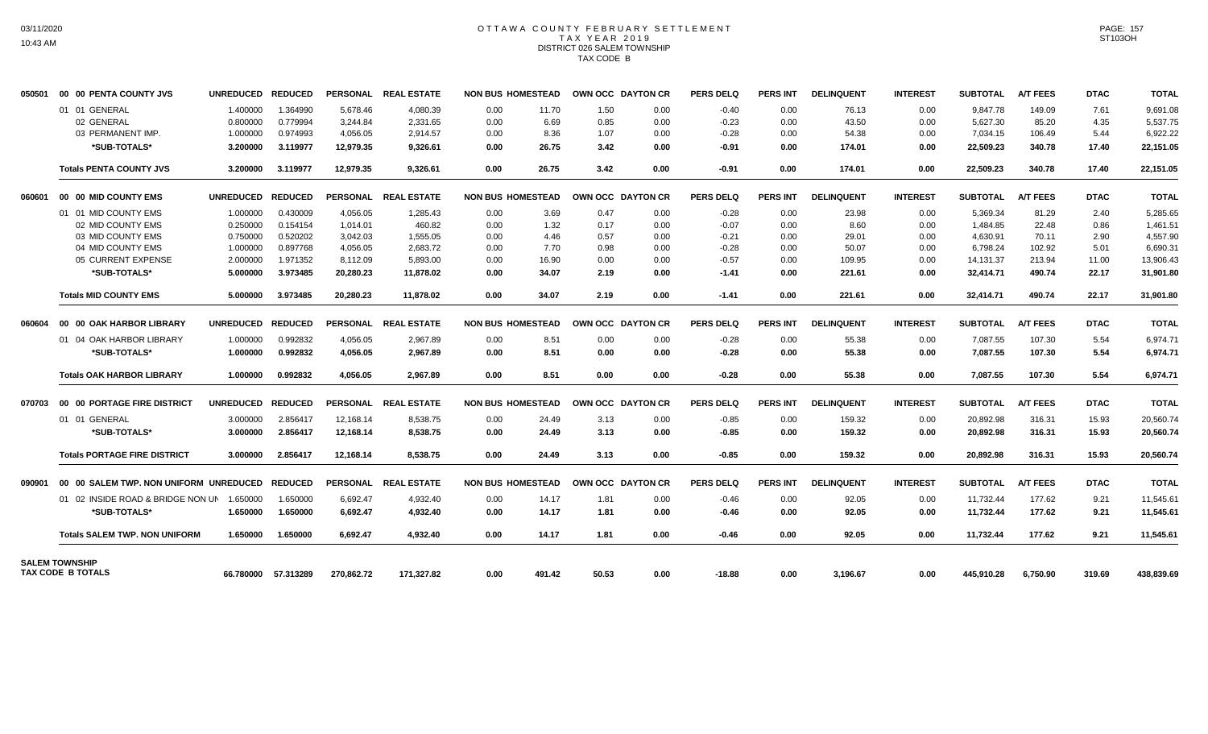## OTTAWA COUNTY FEBRUARY SETTLEMENT TAX YEAR 2019 DISTRICT 026 SALEM TOWNSHIP TAX CODE B

| 050501 | 00 00 PENTA COUNTY JVS                     | <b>UNREDUCED</b> | <b>REDUCED</b> |            | PERSONAL REAL ESTATE |      | <b>NON BUS HOMESTEAD</b> | OWN OCC DAYTON CR        |      | <b>PERS DELQ</b> | <b>PERS INT</b> | <b>DELINQUENT</b> | <b>INTEREST</b> | <b>SUBTOTAL</b> | <b>A/T FEES</b> | <b>DTAC</b> | <b>TOTAL</b> |
|--------|--------------------------------------------|------------------|----------------|------------|----------------------|------|--------------------------|--------------------------|------|------------------|-----------------|-------------------|-----------------|-----------------|-----------------|-------------|--------------|
|        | 01 01 GENERAL                              | 1.400000         | 1.364990       | 5.678.46   | 4,080.39             | 0.00 | 11.70                    | 1.50                     | 0.00 | $-0.40$          | 0.00            | 76.13             | 0.00            | 9.847.78        | 149.09          | 7.61        | 9,691.08     |
|        | 02 GENERAL                                 | 0.800000         | 0.779994       | 3,244.84   | 2,331.65             | 0.00 | 6.69                     | 0.85                     | 0.00 | $-0.23$          | 0.00            | 43.50             | 0.00            | 5,627.30        | 85.20           | 4.35        | 5,537.75     |
|        | 03 PERMANENT IMP.                          | 1.000000         | 0.974993       | 4,056.05   | 2,914.57             | 0.00 | 8.36                     | 1.07                     | 0.00 | $-0.28$          | 0.00            | 54.38             | 0.00            | 7,034.15        | 106.49          | 5.44        | 6,922.22     |
|        | *SUB-TOTALS*                               | 3.200000         | 3.119977       | 12,979.35  | 9,326.61             | 0.00 | 26.75                    | 3.42                     | 0.00 | $-0.91$          | 0.00            | 174.01            | 0.00            | 22,509.23       | 340.78          | 17.40       | 22,151.05    |
|        | <b>Totals PENTA COUNTY JVS</b>             | 3.200000         | 3.119977       | 12,979.35  | 9,326.61             | 0.00 | 26.75                    | 3.42                     | 0.00 | $-0.91$          | 0.00            | 174.01            | 0.00            | 22,509.23       | 340.78          | 17.40       | 22,151.05    |
| 060601 | 00 00 MID COUNTY EMS                       | <b>UNREDUCED</b> | <b>REDUCED</b> |            | PERSONAL REAL ESTATE |      | <b>NON BUS HOMESTEAD</b> | OWN OCC DAYTON CR        |      | <b>PERS DELQ</b> | <b>PERS INT</b> | <b>DELINQUENT</b> | <b>INTEREST</b> | <b>SUBTOTAL</b> | <b>A/T FEES</b> | <b>DTAC</b> | <b>TOTAL</b> |
|        | 01 01 MID COUNTY EMS                       | 1.000000         | 0.430009       | 4,056.05   | 1,285.43             | 0.00 | 3.69                     | 0.47                     | 0.00 | $-0.28$          | 0.00            | 23.98             | 0.00            | 5,369.34        | 81.29           | 2.40        | 5,285.65     |
|        | 02 MID COUNTY EMS                          | 0.250000         | 0.154154       | 1.014.01   | 460.82               | 0.00 | 1.32                     | 0.17                     | 0.00 | $-0.07$          | 0.00            | 8.60              | 0.00            | 1,484.85        | 22.48           | 0.86        | 1,461.51     |
|        | 03 MID COUNTY EMS                          | 0.750000         | 0.520202       | 3.042.03   | 1,555.05             | 0.00 | 4.46                     | 0.57                     | 0.00 | $-0.21$          | 0.00            | 29.01             | 0.00            | 4,630.91        | 70.11           | 2.90        | 4,557.90     |
|        | 04 MID COUNTY EMS                          | 1.000000         | 0.897768       | 4.056.05   | 2.683.72             | 0.00 | 7.70                     | 0.98                     | 0.00 | $-0.28$          | 0.00            | 50.07             | 0.00            | 6,798.24        | 102.92          | 5.01        | 6,690.31     |
|        | 05 CURRENT EXPENSE                         | 2.000000         | 1.971352       | 8,112.09   | 5,893.00             | 0.00 | 16.90                    | 0.00                     | 0.00 | $-0.57$          | 0.00            | 109.95            | 0.00            | 14,131.37       | 213.94          | 11.00       | 13,906.43    |
|        | *SUB-TOTALS*                               | 5.000000         | 3.973485       | 20,280.23  | 11.878.02            | 0.00 | 34.07                    | 2.19                     | 0.00 | $-1.41$          | 0.00            | 221.61            | 0.00            | 32.414.71       | 490.74          | 22.17       | 31,901.80    |
|        | <b>Totals MID COUNTY EMS</b>               | 5.000000         | 3.973485       | 20.280.23  | 11.878.02            | 0.00 | 34.07                    | 2.19                     | 0.00 | $-1.41$          | 0.00            | 221.61            | 0.00            | 32,414.71       | 490.74          | 22.17       | 31,901.80    |
| 060604 | 00 00 OAK HARBOR LIBRARY                   | <b>UNREDUCED</b> | <b>REDUCED</b> |            | PERSONAL REAL ESTATE |      | <b>NON BUS HOMESTEAD</b> | OWN OCC DAYTON CR        |      | <b>PERS DELQ</b> | <b>PERS INT</b> | <b>DELINQUENT</b> | <b>INTEREST</b> | <b>SUBTOTAL</b> | <b>A/T FEES</b> | <b>DTAC</b> | <b>TOTAL</b> |
|        | 01 04 OAK HARBOR LIBRARY                   | 1.000000         | 0.992832       | 4,056.05   | 2,967.89             | 0.00 | 8.51                     | 0.00                     | 0.00 | $-0.28$          | 0.00            | 55.38             | 0.00            | 7,087.55        | 107.30          | 5.54        | 6.974.71     |
|        | *SUB-TOTALS*                               | 1.000000         | 0.992832       | 4,056.05   | 2,967.89             | 0.00 | 8.51                     | 0.00                     | 0.00 | $-0.28$          | 0.00            | 55.38             | 0.00            | 7,087.55        | 107.30          | 5.54        | 6,974.71     |
|        | <b>Totals OAK HARBOR LIBRARY</b>           | 1.000000         | 0.992832       | 4.056.05   | 2.967.89             | 0.00 | 8.51                     | 0.00                     | 0.00 | $-0.28$          | 0.00            | 55.38             | 0.00            | 7,087.55        | 107.30          | 5.54        | 6,974.71     |
| 070703 | 00 00 PORTAGE FIRE DISTRICT                | <b>UNREDUCED</b> | <b>REDUCED</b> |            | PERSONAL REAL ESTATE |      | <b>NON BUS HOMESTEAD</b> | OWN OCC DAYTON CR        |      | <b>PERS DELQ</b> | <b>PERS INT</b> | <b>DELINQUENT</b> | <b>INTEREST</b> | <b>SUBTOTAL</b> | <b>A/T FEES</b> | <b>DTAC</b> | <b>TOTAL</b> |
|        | 01 01 GENERAL                              | 3.000000         | 2.856417       | 12,168.14  | 8.538.75             | 0.00 | 24.49                    | 3.13                     | 0.00 | $-0.85$          | 0.00            | 159.32            | 0.00            | 20.892.98       | 316.31          | 15.93       | 20,560.74    |
|        | *SUB-TOTALS*                               | 3.000000         | 2.856417       | 12,168.14  | 8,538.75             | 0.00 | 24.49                    | 3.13                     | 0.00 | $-0.85$          | 0.00            | 159.32            | 0.00            | 20,892.98       | 316.31          | 15.93       | 20,560.74    |
|        | <b>Totals PORTAGE FIRE DISTRICT</b>        | 3.000000         | 2.856417       | 12.168.14  | 8.538.75             | 0.00 | 24.49                    | 3.13                     | 0.00 | -0.85            | 0.00            | 159.32            | 0.00            | 20.892.98       | 316.31          | 15.93       | 20.560.74    |
| 090901 | 00 00 SALEM TWP, NON UNIFORM UNREDUCED     |                  | <b>REDUCED</b> |            | PERSONAL REAL ESTATE |      | <b>NON BUS HOMESTEAD</b> | <b>OWN OCC DAYTON CR</b> |      | <b>PERS DELQ</b> | <b>PERS INT</b> | <b>DELINQUENT</b> | <b>INTEREST</b> | <b>SUBTOTAL</b> | <b>A/T FEES</b> | <b>DTAC</b> | <b>TOTAL</b> |
|        | 01 02 INSIDE ROAD & BRIDGE NON UN          | 1.650000         | 1.650000       | 6,692.47   | 4,932.40             | 0.00 | 14.17                    | 1.81                     | 0.00 | $-0.46$          | 0.00            | 92.05             | 0.00            | 11,732.44       | 177.62          | 9.21        | 11,545.61    |
|        | *SUB-TOTALS*                               | 1.650000         | 1.650000       | 6,692.47   | 4,932.40             | 0.00 | 14.17                    | 1.81                     | 0.00 | $-0.46$          | 0.00            | 92.05             | 0.00            | 11,732.44       | 177.62          | 9.21        | 11,545.61    |
|        | <b>Totals SALEM TWP, NON UNIFORM</b>       | 1.650000         | 1.650000       | 6.692.47   | 4.932.40             | 0.00 | 14.17                    | 1.81                     | 0.00 | $-0.46$          | 0.00            | 92.05             | 0.00            | 11,732.44       | 177.62          | 9.21        | 11,545.61    |
|        | <b>SALEM TOWNSHIP</b><br>TAX CODE B TOTALS | 66.780000        | 57.313289      | 270,862.72 | 171.327.82           | 0.00 | 491.42                   | 50.53                    | 0.00 | $-18.88$         | 0.00            | 3,196.67          | 0.00            | 445.910.28      | 6.750.90        | 319.69      | 438,839.69   |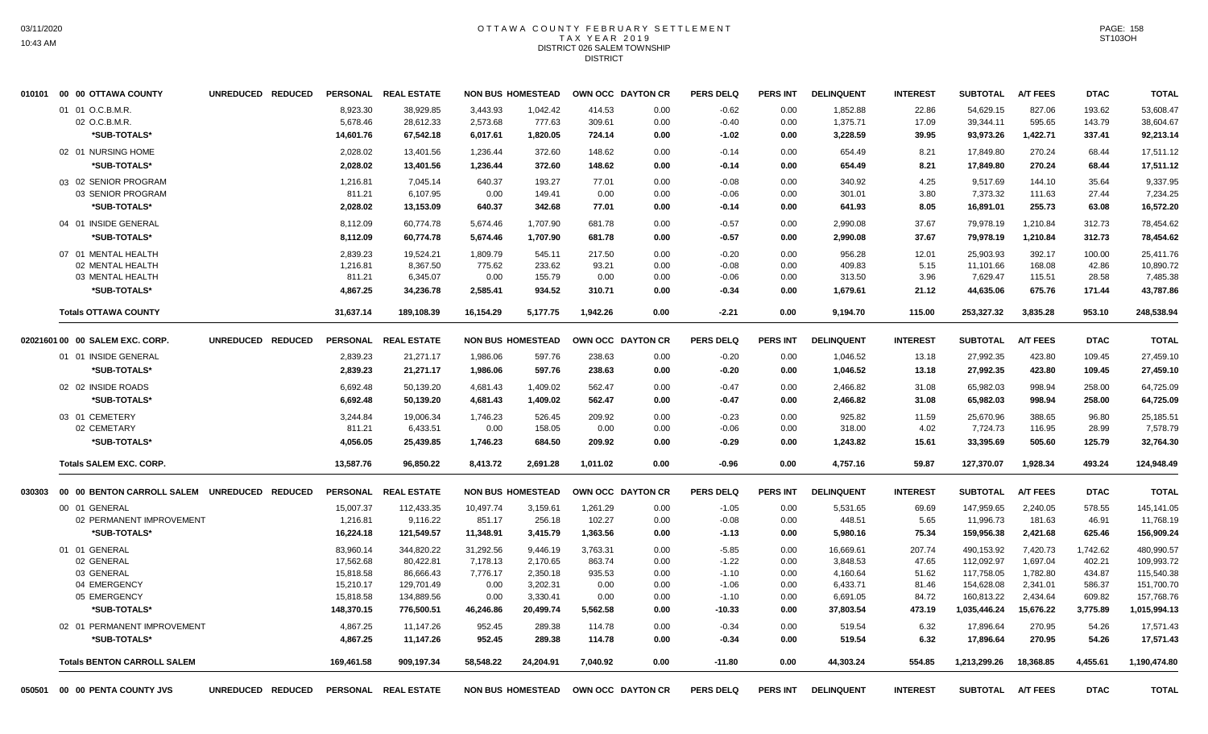#### OTTAWA COUNTY FEBRUARY SETTLEMENT T A X Y E A R 2 0 1 9 DISTRICT 026 SALEM TOWNSHIP DISTRICT

|        | 010101 00 00 OTTAWA COUNTY                   | UNREDUCED REDUCED | <b>PERSONAL</b>    | <b>REAL ESTATE</b>    |                  | <b>NON BUS HOMESTEAD</b> |                | OWN OCC DAYTON CR | <b>PERS DELQ</b>   | <b>PERS INT</b> | <b>DELINQUENT</b> | <b>INTEREST</b> | <b>SUBTOTAL</b>       | <b>A/T FEES</b>  | <b>DTAC</b>    | <b>TOTAL</b>          |
|--------|----------------------------------------------|-------------------|--------------------|-----------------------|------------------|--------------------------|----------------|-------------------|--------------------|-----------------|-------------------|-----------------|-----------------------|------------------|----------------|-----------------------|
|        | 01 01 O.C.B.M.R.                             |                   | 8,923.30           | 38,929.85             | 3.443.93         | 1,042.42                 | 414.53         | 0.00              | $-0.62$            | 0.00            | 1,852.88          | 22.86           | 54,629.15             | 827.06           | 193.62         | 53,608.47             |
|        | 02 O.C.B.M.R.                                |                   | 5,678.46           | 28,612.33             | 2,573.68         | 777.63                   | 309.61         | 0.00              | $-0.40$            | 0.00            | 1,375.71          | 17.09           | 39,344.11             | 595.65           | 143.79         | 38,604.67             |
|        | *SUB-TOTALS*                                 |                   | 14,601.76          | 67,542.18             | 6,017.61         | 1,820.05                 | 724.14         | 0.00              | $-1.02$            | 0.00            | 3,228.59          | 39.95           | 93,973.26             | 1,422.71         | 337.41         | 92,213.14             |
|        | 02 01 NURSING HOME                           |                   | 2,028.02           | 13,401.56             | 1,236.44         | 372.60                   | 148.62         | 0.00              | $-0.14$            | 0.00            | 654.49            | 8.21            | 17,849.80             | 270.24           | 68.44          | 17,511.12             |
|        | *SUB-TOTALS*                                 |                   | 2,028.02           | 13,401.56             | 1,236.44         | 372.60                   | 148.62         | 0.00              | $-0.14$            | 0.00            | 654.49            | 8.21            | 17,849.80             | 270.24           | 68.44          | 17,511.12             |
|        | 03 02 SENIOR PROGRAM                         |                   | 1,216.81           | 7,045.14              | 640.37           | 193.27                   | 77.01          | 0.00              | $-0.08$            | 0.00            | 340.92            | 4.25            | 9,517.69              | 144.10           | 35.64          | 9,337.95              |
|        | 03 SENIOR PROGRAM                            |                   | 811.21             | 6,107.95              | 0.00             | 149.41                   | 0.00           | 0.00              | $-0.06$            | 0.00            | 301.01            | 3.80            | 7,373.32              | 111.63           | 27.44          | 7,234.25              |
|        | *SUB-TOTALS*                                 |                   | 2,028.02           | 13,153.09             | 640.37           | 342.68                   | 77.01          | 0.00              | $-0.14$            | 0.00            | 641.93            | 8.05            | 16,891.01             | 255.73           | 63.08          | 16,572.20             |
|        | 04 01 INSIDE GENERAL                         |                   | 8,112.09           | 60,774.78             | 5,674.46         | 1,707.90                 | 681.78         | 0.00              | $-0.57$            | 0.00            | 2,990.08          | 37.67           | 79,978.19             | 1,210.84         | 312.73         | 78,454.62             |
|        | *SUB-TOTALS*                                 |                   | 8,112.09           | 60,774.78             | 5,674.46         | 1,707.90                 | 681.78         | 0.00              | $-0.57$            | 0.00            | 2,990.08          | 37.67           | 79,978.19             | 1,210.84         | 312.73         | 78,454.62             |
|        | 07 01 MENTAL HEALTH                          |                   | 2,839.23           | 19,524.21             | 1,809.79         | 545.11                   | 217.50         | 0.00              | $-0.20$            | 0.00            | 956.28            | 12.01           | 25,903.93             | 392.17           | 100.00         | 25,411.76             |
|        | 02 MENTAL HEALTH                             |                   | 1,216.81           | 8,367.50              | 775.62           | 233.62                   | 93.21          | 0.00              | $-0.08$            | 0.00            | 409.83            | 5.15            | 11,101.66             | 168.08           | 42.86          | 10,890.72             |
|        | 03 MENTAL HEALTH                             |                   | 811.21             | 6,345.07              | 0.00             | 155.79                   | 0.00           | 0.00              | $-0.06$            | 0.00            | 313.50            | 3.96            | 7,629.47              | 115.51           | 28.58          | 7,485.38              |
|        | *SUB-TOTALS*                                 |                   | 4,867.25           | 34,236.78             | 2,585.41         | 934.52                   | 310.71         | 0.00              | $-0.34$            | 0.00            | 1,679.61          | 21.12           | 44,635.06             | 675.76           | 171.44         | 43,787.86             |
|        | <b>Totals OTTAWA COUNTY</b>                  |                   | 31,637.14          | 189,108.39            | 16,154.29        | 5,177.75                 | 1,942.26       | 0.00              | $-2.21$            | 0.00            | 9,194.70          | 115.00          | 253,327.32            | 3,835.28         | 953.10         | 248,538.94            |
|        | 02021601 00 00 SALEM EXC. CORP.              | UNREDUCED REDUCED | <b>PERSONAL</b>    | <b>REAL ESTATE</b>    |                  | <b>NON BUS HOMESTEAD</b> |                | OWN OCC DAYTON CR | <b>PERS DELQ</b>   | <b>PERS INT</b> | <b>DELINQUENT</b> | <b>INTEREST</b> | <b>SUBTOTAL</b>       | <b>A/T FEES</b>  | <b>DTAC</b>    | <b>TOTAL</b>          |
|        | 01 01 INSIDE GENERAL                         |                   | 2,839.23           | 21,271.17             | 1,986.06         | 597.76                   | 238.63         | 0.00              | $-0.20$            | 0.00            | 1,046.52          | 13.18           | 27,992.35             | 423.80           | 109.45         | 27,459.10             |
|        | *SUB-TOTALS*                                 |                   | 2,839.23           | 21,271.17             | 1,986.06         | 597.76                   | 238.63         | 0.00              | $-0.20$            | 0.00            | 1,046.52          | 13.18           | 27,992.35             | 423.80           | 109.45         | 27,459.10             |
|        | 02 02 INSIDE ROADS                           |                   | 6,692.48           | 50,139.20             | 4,681.43         | 1,409.02                 | 562.47         | 0.00              | $-0.47$            | 0.00            | 2,466.82          | 31.08           | 65,982.03             | 998.94           | 258.00         | 64,725.09             |
|        | *SUB-TOTALS*                                 |                   | 6,692.48           | 50,139.20             | 4,681.43         | 1,409.02                 | 562.47         | 0.00              | $-0.47$            | 0.00            | 2,466.82          | 31.08           | 65,982.03             | 998.94           | 258.00         | 64,725.09             |
|        |                                              |                   |                    |                       |                  |                          |                |                   |                    |                 |                   |                 |                       |                  |                |                       |
|        | 03 01 CEMETERY<br>02 CEMETARY                |                   | 3.244.84<br>811.21 | 19,006.34<br>6,433.51 | 1,746.23<br>0.00 | 526.45<br>158.05         | 209.92<br>0.00 | 0.00<br>0.00      | $-0.23$<br>$-0.06$ | 0.00<br>0.00    | 925.82<br>318.00  | 11.59<br>4.02   | 25,670.96<br>7,724.73 | 388.65<br>116.95 | 96.80<br>28.99 | 25,185.51<br>7,578.79 |
|        | *SUB-TOTALS*                                 |                   | 4.056.05           | 25.439.85             | 1.746.23         | 684.50                   | 209.92         | 0.00              | $-0.29$            | 0.00            | 1.243.82          | 15.61           | 33.395.69             | 505.60           | 125.79         | 32.764.30             |
|        |                                              |                   |                    |                       |                  |                          |                |                   |                    |                 |                   |                 |                       |                  |                |                       |
|        | <b>Totals SALEM EXC. CORP.</b>               |                   | 13,587.76          | 96,850.22             | 8,413.72         | 2,691.28                 | 1,011.02       | 0.00              | $-0.96$            | 0.00            | 4,757.16          | 59.87           | 127,370.07            | 1,928.34         | 493.24         | 124,948.49            |
| 030303 | 00 00 BENTON CARROLL SALEM UNREDUCED REDUCED |                   | <b>PERSONAL</b>    | <b>REAL ESTATE</b>    |                  | <b>NON BUS HOMESTEAD</b> |                | OWN OCC DAYTON CR | <b>PERS DELQ</b>   | <b>PERS INT</b> | <b>DELINQUENT</b> | <b>INTEREST</b> | <b>SUBTOTAL</b>       | <b>A/T FEES</b>  | <b>DTAC</b>    | <b>TOTAL</b>          |
|        | 00 01 GENERAL                                |                   | 15,007.37          | 112,433.35            | 10,497.74        | 3,159.61                 | 1,261.29       | 0.00              | $-1.05$            | 0.00            | 5,531.65          | 69.69           | 147,959.65            | 2,240.05         | 578.55         | 145,141.05            |
|        | 02 PERMANENT IMPROVEMENT                     |                   | 1,216.81           | 9,116.22              | 851.17           | 256.18                   | 102.27         | 0.00              | $-0.08$            | 0.00            | 448.51            | 5.65            | 11,996.73             | 181.63           | 46.91          | 11,768.19             |
|        | *SUB-TOTALS*                                 |                   | 16,224.18          | 121,549.57            | 11,348.91        | 3,415.79                 | 1,363.56       | 0.00              | $-1.13$            | 0.00            | 5,980.16          | 75.34           | 159,956.38            | 2,421.68         | 625.46         | 156,909.24            |
|        | 01 01 GENERAL                                |                   | 83,960.14          | 344,820.22            | 31,292.56        | 9,446.19                 | 3,763.31       | 0.00              | $-5.85$            | 0.00            | 16,669.61         | 207.74          | 490,153.92            | 7,420.73         | 1,742.62       | 480,990.57            |
|        | 02 GENERAL                                   |                   | 17,562.68          | 80,422.81             | 7,178.13         | 2,170.65                 | 863.74         | 0.00              | $-1.22$            | 0.00            | 3,848.53          | 47.65           | 112,092.97            | 1,697.04         | 402.21         | 109,993.72            |
|        | 03 GENERAL                                   |                   | 15,818.58          | 86,666.43             | 7,776.17         | 2,350.18                 | 935.53         | 0.00              | $-1.10$            | 0.00            | 4,160.64          | 51.62           | 117,758.05            | 1,782.80         | 434.87         | 115,540.38            |
|        | 04 EMERGENCY                                 |                   | 15,210.17          | 129,701.49            | 0.00             | 3,202.31                 | 0.00           | 0.00              | $-1.06$            | 0.00            | 6,433.71          | 81.46           | 154,628.08            | 2,341.01         | 586.37         | 151,700.70            |
|        | 05 EMERGENCY                                 |                   | 15,818.58          | 134,889.56            | 0.00             | 3,330.41                 | 0.00           | 0.00              | $-1.10$            | 0.00            | 6,691.05          | 84.72           | 160,813.22            | 2,434.64         | 609.82         | 157,768.76            |
|        | *SUB-TOTALS*                                 |                   | 148,370.15         | 776,500.51            | 46,246.86        | 20,499.74                | 5,562.58       | 0.00              | $-10.33$           | 0.00            | 37,803.54         | 473.19          | 1,035,446.24          | 15,676.22        | 3,775.89       | 1,015,994.13          |
|        | 02 01 PERMANENT IMPROVEMENT                  |                   | 4,867.25           | 11,147.26             | 952.45           | 289.38                   | 114.78         | 0.00              | $-0.34$            | 0.00            | 519.54            | 6.32            | 17,896.64             | 270.95           | 54.26          | 17,571.43             |
|        | *SUB-TOTALS*                                 |                   | 4,867.25           | 11,147.26             | 952.45           | 289.38                   | 114.78         | 0.00              | $-0.34$            | 0.00            | 519.54            | 6.32            | 17,896.64             | 270.95           | 54.26          | 17,571.43             |
|        | <b>Totals BENTON CARROLL SALEM</b>           |                   | 169,461.58         | 909,197.34            | 58,548.22        | 24,204.91                | 7,040.92       | 0.00              | $-11.80$           | 0.00            | 44,303.24         | 554.85          | 1,213,299.26          | 18,368.85        | 4,455.61       | 1,190,474.80          |
| 050501 | 00 00 PENTA COUNTY JVS                       | UNREDUCED REDUCED |                    | PERSONAL REAL ESTATE  |                  | <b>NON BUS HOMESTEAD</b> |                | OWN OCC DAYTON CR | <b>PERS DELQ</b>   | <b>PERS INT</b> | <b>DELINQUENT</b> | <b>INTEREST</b> | SUBTOTAL A/T FEES     |                  | <b>DTAC</b>    | <b>TOTAL</b>          |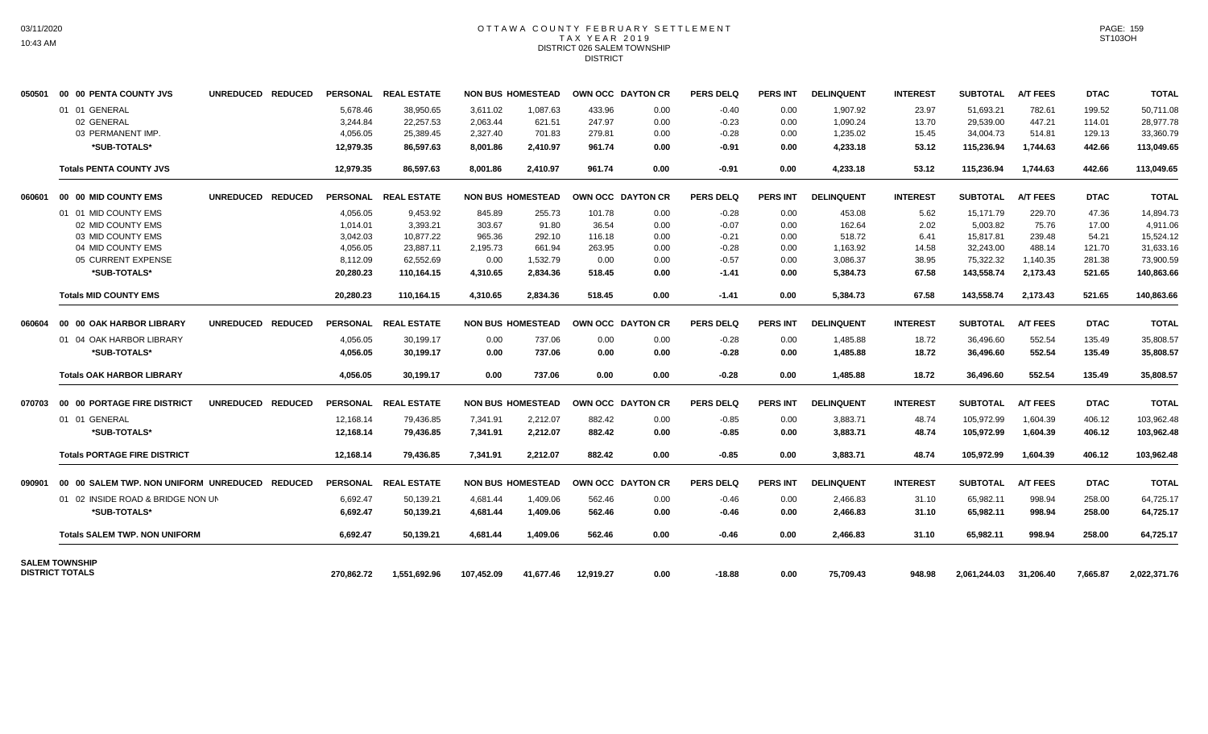## OTTAWA COUNTY FEBRUARY SETTLEMENT TAX YEAR 2019 DISTRICT 026 SALEM TOWNSHIP DISTRICT

| 050501 | 00 00 PENTA COUNTY JVS                         | UNREDUCED REDUCED |            | PERSONAL REAL ESTATE |            | <b>NON BUS HOMESTEAD</b> | OWN OCC DAYTON CR |      | <b>PERS DELQ</b> | <b>PERS INT</b> | <b>DELINQUENT</b> | <b>INTEREST</b> | <b>SUBTOTAL</b> | <b>A/T FEES</b> | <b>DTAC</b> | <b>TOTAL</b> |
|--------|------------------------------------------------|-------------------|------------|----------------------|------------|--------------------------|-------------------|------|------------------|-----------------|-------------------|-----------------|-----------------|-----------------|-------------|--------------|
|        | 01 01 GENERAL                                  |                   | 5,678.46   | 38,950.65            | 3,611.02   | 1,087.63                 | 433.96            | 0.00 | $-0.40$          | 0.00            | 1,907.92          | 23.97           | 51,693.21       | 782.61          | 199.52      | 50,711.08    |
|        | 02 GENERAL                                     |                   | 3,244.84   | 22,257.53            | 2,063.44   | 621.51                   | 247.97            | 0.00 | $-0.23$          | 0.00            | 1,090.24          | 13.70           | 29,539.00       | 447.21          | 114.01      | 28,977.78    |
|        | 03 PERMANENT IMP.                              |                   | 4,056.05   | 25,389.45            | 2,327.40   | 701.83                   | 279.81            | 0.00 | $-0.28$          | 0.00            | 1,235.02          | 15.45           | 34,004.73       | 514.81          | 129.13      | 33,360.79    |
|        | *SUB-TOTALS*                                   |                   | 12.979.35  | 86.597.63            | 8.001.86   | 2,410.97                 | 961.74            | 0.00 | $-0.91$          | 0.00            | 4,233.18          | 53.12           | 115,236.94      | 1,744.63        | 442.66      | 113,049.65   |
|        | <b>Totals PENTA COUNTY JVS</b>                 |                   | 12.979.35  | 86.597.63            | 8.001.86   | 2.410.97                 | 961.74            | 0.00 | $-0.91$          | 0.00            | 4,233.18          | 53.12           | 115.236.94      | 1,744.63        | 442.66      | 113,049.65   |
| 060601 | 00 00 MID COUNTY EMS                           | UNREDUCED REDUCED |            | PERSONAL REAL ESTATE |            | <b>NON BUS HOMESTEAD</b> | OWN OCC DAYTON CR |      | <b>PERS DELQ</b> | <b>PERS INT</b> | <b>DELINQUENT</b> | <b>INTEREST</b> | <b>SUBTOTAL</b> | <b>A/T FEES</b> | <b>DTAC</b> | <b>TOTAL</b> |
|        | 01 01 MID COUNTY EMS                           |                   | 4,056.05   | 9,453.92             | 845.89     | 255.73                   | 101.78            | 0.00 | $-0.28$          | 0.00            | 453.08            | 5.62            | 15,171.79       | 229.70          | 47.36       | 14,894.73    |
|        | 02 MID COUNTY EMS                              |                   | 1.014.01   | 3.393.21             | 303.67     | 91.80                    | 36.54             | 0.00 | $-0.07$          | 0.00            | 162.64            | 2.02            | 5.003.82        | 75.76           | 17.00       | 4.911.06     |
|        | 03 MID COUNTY EMS                              |                   | 3.042.03   | 10.877.22            | 965.36     | 292.10                   | 116.18            | 0.00 | $-0.21$          | 0.00            | 518.72            | 6.41            | 15.817.81       | 239.48          | 54.21       | 15.524.12    |
|        | 04 MID COUNTY EMS                              |                   | 4,056.05   | 23,887.11            | 2,195.73   | 661.94                   | 263.95            | 0.00 | $-0.28$          | 0.00            | 1,163.92          | 14.58           | 32,243.00       | 488.14          | 121.70      | 31,633.16    |
|        | 05 CURRENT EXPENSE                             |                   | 8,112.09   | 62.552.69            | 0.00       | 1,532.79                 | 0.00              | 0.00 | $-0.57$          | 0.00            | 3,086.37          | 38.95           | 75,322.32       | 1,140.35        | 281.38      | 73,900.59    |
|        | *SUB-TOTALS*                                   |                   | 20,280.23  | 110,164.15           | 4,310.65   | 2,834.36                 | 518.45            | 0.00 | $-1.41$          | 0.00            | 5,384.73          | 67.58           | 143,558.74      | 2,173.43        | 521.65      | 140,863.66   |
|        | <b>Totals MID COUNTY EMS</b>                   |                   | 20,280.23  | 110.164.15           | 4.310.65   | 2.834.36                 | 518.45            | 0.00 | $-1.41$          | 0.00            | 5,384.73          | 67.58           | 143.558.74      | 2,173.43        | 521.65      | 140,863.66   |
| 060604 | 00 00 OAK HARBOR LIBRARY                       | UNREDUCED REDUCED |            | PERSONAL REAL ESTATE |            | <b>NON BUS HOMESTEAD</b> | OWN OCC DAYTON CR |      | PERS DELO        | <b>PERS INT</b> | <b>DELINQUENT</b> | <b>INTEREST</b> | <b>SUBTOTAL</b> | <b>A/T FEES</b> | <b>DTAC</b> | <b>TOTAL</b> |
|        | 01 04 OAK HARBOR LIBRARY                       |                   | 4,056.05   | 30,199.17            | 0.00       | 737.06                   | 0.00              | 0.00 | $-0.28$          | 0.00            | 1,485.88          | 18.72           | 36,496.60       | 552.54          | 135.49      | 35,808.57    |
|        | *SUB-TOTALS*                                   |                   | 4,056.05   | 30,199.17            | 0.00       | 737.06                   | 0.00              | 0.00 | $-0.28$          | 0.00            | 1,485.88          | 18.72           | 36,496.60       | 552.54          | 135.49      | 35,808.57    |
|        | <b>Totals OAK HARBOR LIBRARY</b>               |                   | 4,056.05   | 30,199.17            | 0.00       | 737.06                   | 0.00              | 0.00 | -0.28            | 0.00            | 1,485.88          | 18.72           | 36,496.60       | 552.54          | 135.49      | 35,808.57    |
| 070703 | 00 00 PORTAGE FIRE DISTRICT                    | UNREDUCED REDUCED |            | PERSONAL REAL ESTATE |            | <b>NON BUS HOMESTEAD</b> | OWN OCC DAYTON CR |      | PERS DELO        | <b>PERS INT</b> | <b>DELINQUENT</b> | <b>INTEREST</b> | <b>SUBTOTAL</b> | <b>A/T FEES</b> | <b>DTAC</b> | <b>TOTAL</b> |
|        | 01 01 GENERAL                                  |                   | 12,168.14  | 79,436.85            | 7.341.91   | 2,212.07                 | 882.42            | 0.00 | $-0.85$          | 0.00            | 3,883.71          | 48.74           | 105,972.99      | 1,604.39        | 406.12      | 103,962.48   |
|        | *SUB-TOTALS*                                   |                   | 12,168.14  | 79,436.85            | 7,341.91   | 2,212.07                 | 882.42            | 0.00 | $-0.85$          | 0.00            | 3,883.71          | 48.74           | 105,972.99      | 1,604.39        | 406.12      | 103,962.48   |
|        | <b>Totals PORTAGE FIRE DISTRICT</b>            |                   | 12,168.14  | 79,436.85            | 7,341.91   | 2,212.07                 | 882.42            | 0.00 | $-0.85$          | 0.00            | 3,883.71          | 48.74           | 105,972.99      | 1,604.39        | 406.12      | 103,962.48   |
| 090901 | 00 00 SALEM TWP. NON UNIFORM UNREDUCED REDUCED |                   |            | PERSONAL REAL ESTATE |            | <b>NON BUS HOMESTEAD</b> | OWN OCC DAYTON CR |      | PERS DELO        | <b>PERS INT</b> | <b>DELINQUENT</b> | <b>INTEREST</b> | <b>SUBTOTAL</b> | <b>A/T FEES</b> | <b>DTAC</b> | <b>TOTAL</b> |
|        | 01 02 INSIDE ROAD & BRIDGE NON UN              |                   | 6,692.47   | 50,139.21            | 4.681.44   | 1,409.06                 | 562.46            | 0.00 | $-0.46$          | 0.00            | 2,466.83          | 31.10           | 65.982.11       | 998.94          | 258.00      | 64,725.17    |
|        | *SUB-TOTALS*                                   |                   | 6,692.47   | 50,139.21            | 4,681.44   | 1,409.06                 | 562.46            | 0.00 | $-0.46$          | 0.00            | 2,466.83          | 31.10           | 65,982.11       | 998.94          | 258.00      | 64,725.17    |
|        | <b>Totals SALEM TWP. NON UNIFORM</b>           |                   | 6,692.47   | 50,139.21            | 4,681.44   | 1.409.06                 | 562.46            | 0.00 | -0.46            | 0.00            | 2,466.83          | 31.10           | 65,982.11       | 998.94          | 258.00      | 64,725.17    |
|        | <b>SALEM TOWNSHIP</b>                          |                   |            |                      |            |                          |                   |      |                  |                 |                   |                 |                 |                 |             |              |
|        | <b>DISTRICT TOTALS</b>                         |                   | 270,862.72 | 1,551,692.96         | 107,452.09 | 41,677.46                | 12,919.27         | 0.00 | $-18.88$         | 0.00            | 75,709.43         | 948.98          | 2,061,244.03    | 31,206.40       | 7,665.87    | 2,022,371.76 |

PAGE: 159 ST103OH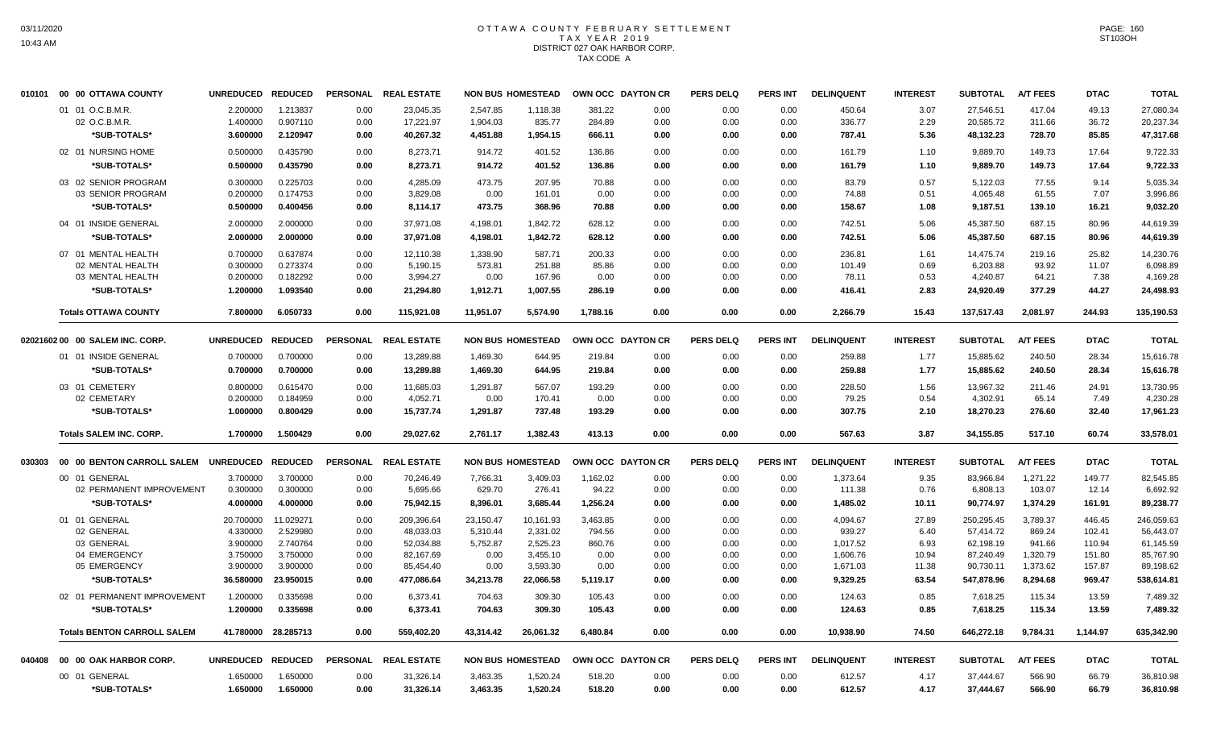# OTTAWA COUNTY FEBRUARY SETTLEMENT TAX YEAR 2019 DISTRICT 027 OAK HARBOR CORP. TAX CODE A

|        | 010101 00 00 OTTAWA COUNTY         | UNREDUCED REDUCED    |                      |                 | PERSONAL REAL ESTATE  |                  | <b>NON BUS HOMESTEAD</b> | OWN OCC DAYTON CR |              | <b>PERS DELQ</b> | <b>PERS INT</b> | <b>DELINQUENT</b> | <b>INTEREST</b> | <b>SUBTOTAL</b>       | <b>A/T FEES</b> | <b>DTAC</b>   | <b>TOTAL</b>          |
|--------|------------------------------------|----------------------|----------------------|-----------------|-----------------------|------------------|--------------------------|-------------------|--------------|------------------|-----------------|-------------------|-----------------|-----------------------|-----------------|---------------|-----------------------|
|        | 01 01 O.C.B.M.R.                   | 2.200000             | 1.213837             | 0.00            | 23,045.35             | 2,547.85         | 1,118.38                 | 381.22            | 0.00         | 0.00             | 0.00            | 450.64            | 3.07            | 27,546.51             | 417.04          | 49.13         | 27,080.34             |
|        | 02 O.C.B.M.R.                      | 1.400000             | 0.907110             | 0.00            | 17,221.97             | 1,904.03         | 835.77                   | 284.89            | 0.00         | 0.00             | 0.00            | 336.77            | 2.29            | 20,585.72             | 311.66          | 36.72         | 20,237.34             |
|        | *SUB-TOTALS*                       | 3.600000             | 2.120947             | 0.00            | 40,267.32             | 4,451.88         | 1,954.15                 | 666.11            | 0.00         | 0.00             | 0.00            | 787.41            | 5.36            | 48,132.23             | 728.70          | 85.85         | 47,317.68             |
|        | 02 01 NURSING HOME                 | 0.500000             | 0.435790             | 0.00            | 8,273.71              | 914.72           | 401.52                   | 136.86            | 0.00         | 0.00             | 0.00            | 161.79            | 1.10            | 9,889.70              | 149.73          | 17.64         | 9,722.33              |
|        | *SUB-TOTALS*                       | 0.500000             | 0.435790             | 0.00            | 8,273.71              | 914.72           | 401.52                   | 136.86            | 0.00         | 0.00             | 0.00            | 161.79            | 1.10            | 9,889.70              | 149.73          | 17.64         | 9,722.33              |
|        | 03 02 SENIOR PROGRAM               | 0.300000             | 0.225703             | 0.00            | 4,285.09              | 473.75           | 207.95                   | 70.88             | 0.00         | 0.00             | 0.00            | 83.79             | 0.57            | 5,122.03              | 77.55           | 9.14          | 5,035.34              |
|        | 03 SENIOR PROGRAM                  | 0.200000             | 0.174753             | 0.00            | 3,829.08              | 0.00             | 161.01                   | 0.00              | 0.00         | 0.00             | 0.00            | 74.88             | 0.51            | 4,065.48              | 61.55           | 7.07          | 3,996.86              |
|        | *SUB-TOTALS*                       | 0.500000             | 0.400456             | 0.00            | 8,114.17              | 473.75           | 368.96                   | 70.88             | 0.00         | 0.00             | 0.00            | 158.67            | 1.08            | 9,187.51              | 139.10          | 16.21         | 9,032.20              |
|        | 04 01 INSIDE GENERAL               | 2.000000             | 2.000000             | 0.00            | 37,971.08             | 4,198.01         | 1,842.72                 | 628.12            | 0.00         | 0.00             | 0.00            | 742.51            | 5.06            | 45,387.50             | 687.15          | 80.96         | 44,619.39             |
|        | *SUB-TOTALS*                       | 2.000000             | 2.000000             | 0.00            | 37,971.08             | 4,198.01         | 1,842.72                 | 628.12            | 0.00         | 0.00             | 0.00            | 742.51            | 5.06            | 45,387.50             | 687.15          | 80.96         | 44,619.39             |
|        | 07 01 MENTAL HEALTH                | 0.700000             | 0.637874             | 0.00            | 12,110.38             | 1,338.90         | 587.71                   | 200.33            | 0.00         | 0.00             | 0.00            | 236.81            | 1.61            | 14,475.74             | 219.16          | 25.82         | 14,230.76             |
|        | 02 MENTAL HEALTH                   | 0.300000             | 0.273374             | 0.00            | 5,190.15              | 573.81           | 251.88                   | 85.86             | 0.00         | 0.00             | 0.00            | 101.49            | 0.69            | 6,203.88              | 93.92           | 11.07         | 6,098.89              |
|        | 03 MENTAL HEALTH                   | 0.200000             | 0.182292             | 0.00            | 3,994.27              | 0.00             | 167.96                   | 0.00              | 0.00         | 0.00             | 0.00            | 78.11             | 0.53            | 4,240.87              | 64.21           | 7.38          | 4,169.28              |
|        | *SUB-TOTALS*                       | 1.200000             | 1.093540             | 0.00            | 21,294.80             | 1,912.71         | 1,007.55                 | 286.19            | 0.00         | 0.00             | 0.00            | 416.41            | 2.83            | 24,920.49             | 377.29          | 44.27         | 24,498.93             |
|        | <b>Totals OTTAWA COUNTY</b>        | 7.800000             | 6.050733             | 0.00            | 115,921.08            | 11,951.07        | 5,574.90                 | 1,788.16          | 0.00         | 0.00             | 0.00            | 2,266.79          | 15.43           | 137,517.43            | 2,081.97        | 244.93        | 135,190.53            |
|        | 02021602 00 00 SALEM INC. CORP.    | <b>UNREDUCED</b>     | <b>REDUCED</b>       | <b>PERSONAL</b> | <b>REAL ESTATE</b>    |                  | <b>NON BUS HOMESTEAD</b> | OWN OCC DAYTON CR |              | <b>PERS DELQ</b> | <b>PERS INT</b> | <b>DELINQUENT</b> | <b>INTEREST</b> | <b>SUBTOTAL</b>       | <b>A/T FEES</b> | <b>DTAC</b>   | <b>TOTAL</b>          |
|        | 01 01 INSIDE GENERAL               | 0.700000             | 0.700000             | 0.00            | 13,289.88             | 1,469.30         | 644.95                   | 219.84            | 0.00         | 0.00             | 0.00            | 259.88            | 1.77            | 15,885.62             | 240.50          | 28.34         | 15,616.78             |
|        | *SUB-TOTALS*                       | 0.700000             | 0.700000             | 0.00            | 13,289.88             | 1,469.30         | 644.95                   | 219.84            | 0.00         | 0.00             | 0.00            | 259.88            | 1.77            | 15,885.62             | 240.50          | 28.34         | 15,616.78             |
|        | 03 01 CEMETERY                     |                      |                      |                 |                       |                  |                          |                   |              |                  |                 |                   |                 |                       |                 |               |                       |
|        | 02 CEMETARY                        | 0.800000<br>0.200000 | 0.615470<br>0.184959 | 0.00<br>0.00    | 11,685.03<br>4,052.71 | 1,291.87<br>0.00 | 567.07<br>170.41         | 193.29<br>0.00    | 0.00<br>0.00 | 0.00<br>0.00     | 0.00<br>0.00    | 228.50<br>79.25   | 1.56<br>0.54    | 13,967.32<br>4,302.91 | 211.46<br>65.14 | 24.91<br>7.49 | 13,730.95<br>4,230.28 |
|        | *SUB-TOTALS*                       | 1.000000             | 0.800429             | 0.00            | 15,737.74             | 1,291.87         | 737.48                   | 193.29            | 0.00         | 0.00             | 0.00            | 307.75            | 2.10            | 18,270.23             | 276.60          | 32.40         | 17,961.23             |
|        | <b>Totals SALEM INC, CORP.</b>     | 1.700000             | 1.500429             | 0.00            | 29,027.62             | 2,761.17         | 1,382.43                 | 413.13            | 0.00         | 0.00             | 0.00            | 567.63            | 3.87            | 34.155.85             | 517.10          | 60.74         | 33,578.01             |
|        |                                    |                      |                      |                 |                       |                  |                          |                   |              |                  |                 |                   |                 |                       |                 |               |                       |
| 030303 | 00 00 BENTON CARROLL SALEM         | UNREDUCED REDUCED    |                      |                 | PERSONAL REAL ESTATE  |                  | <b>NON BUS HOMESTEAD</b> | OWN OCC DAYTON CR |              | <b>PERS DELQ</b> | PERS INT        | <b>DELINQUENT</b> | <b>INTEREST</b> | <b>SUBTOTAL</b>       | <b>A/T FEES</b> | <b>DTAC</b>   | <b>TOTAL</b>          |
|        | 00 01 GENERAL                      | 3.700000             | 3.700000             | 0.00            | 70.246.49             | 7,766.31         | 3,409.03                 | 1,162.02          | 0.00         | 0.00             | 0.00            | 1,373.64          | 9.35            | 83.966.84             | 1.271.22        | 149.77        | 82.545.85             |
|        | 02 PERMANENT IMPROVEMENT           | 0.300000             | 0.300000             | 0.00            | 5,695.66              | 629.70           | 276.41                   | 94.22             | 0.00         | 0.00             | 0.00            | 111.38            | 0.76            | 6,808.13              | 103.07          | 12.14         | 6,692.92              |
|        | *SUB-TOTALS*                       | 4.000000             | 4.000000             | 0.00            | 75,942.15             | 8,396.01         | 3,685.44                 | 1,256.24          | 0.00         | 0.00             | 0.00            | 1,485.02          | 10.11           | 90,774.97             | 1,374.29        | 161.91        | 89,238.77             |
|        | 01 01 GENERAL                      | 20.700000            | 11.029271            | 0.00            | 209,396.64            | 23,150.47        | 10,161.93                | 3,463.85          | 0.00         | 0.00             | 0.00            | 4,094.67          | 27.89           | 250,295.45            | 3,789.37        | 446.45        | 246,059.63            |
|        | 02 GENERAL                         | 4.330000             | 2.529980             | 0.00            | 48,033.03             | 5,310.44         | 2,331.02                 | 794.56            | 0.00         | 0.00             | 0.00            | 939.27            | 6.40            | 57,414.72             | 869.24          | 102.41        | 56,443.07             |
|        | 03 GENERAL                         | 3.900000             | 2.740764             | 0.00            | 52,034.88             | 5,752.87         | 2,525.23                 | 860.76            | 0.00         | 0.00             | 0.00            | 1,017.52          | 6.93            | 62,198.19             | 941.66          | 110.94        | 61,145.59             |
|        | 04 EMERGENCY                       | 3.750000             | 3.750000             | 0.00            | 82,167.69             | 0.00             | 3,455.10                 | 0.00              | 0.00         | 0.00             | 0.00            | 1,606.76          | 10.94           | 87,240.49             | 1,320.79        | 151.80        | 85,767.90             |
|        | 05 EMERGENCY                       | 3.900000             | 3.900000             | 0.00            | 85,454.40             | 0.00             | 3,593.30                 | 0.00              | 0.00         | 0.00             | 0.00            | 1,671.03          | 11.38           | 90,730.11             | 1,373.62        | 157.87        | 89,198.62             |
|        | *SUB-TOTALS*                       | 36.580000            | 23.950015            | 0.00            | 477,086.64            | 34,213.78        | 22,066.58                | 5,119.17          | 0.00         | 0.00             | 0.00            | 9,329.25          | 63.54           | 547,878.96            | 8,294.68        | 969.47        | 538,614.81            |
|        | 02 01 PERMANENT IMPROVEMENT        | 1.200000             | 0.335698             | 0.00            | 6,373.41              | 704.63           | 309.30                   | 105.43            | 0.00         | 0.00             | 0.00            | 124.63            | 0.85            | 7,618.25              | 115.34          | 13.59         | 7,489.32              |
|        | *SUB-TOTALS*                       | 1.200000             | 0.335698             | 0.00            | 6,373.41              | 704.63           | 309.30                   | 105.43            | 0.00         | 0.00             | 0.00            | 124.63            | 0.85            | 7,618.25              | 115.34          | 13.59         | 7,489.32              |
|        | <b>Totals BENTON CARROLL SALEM</b> |                      | 41.780000 28.285713  | 0.00            | 559,402.20            | 43,314.42        | 26,061.32                | 6,480.84          | 0.00         | 0.00             | 0.00            | 10,938.90         | 74.50           | 646,272.18            | 9,784.31        | 1,144.97      | 635,342.90            |
| 040408 | 00 00 OAK HARBOR CORP.             | UNREDUCED REDUCED    |                      |                 | PERSONAL REAL ESTATE  |                  | <b>NON BUS HOMESTEAD</b> | OWN OCC DAYTON CR |              | PERS DELQ        | <b>PERS INT</b> | <b>DELINQUENT</b> | <b>INTEREST</b> | <b>SUBTOTAL</b>       | <b>A/T FEES</b> | <b>DTAC</b>   | <b>TOTAL</b>          |
|        | 00 01 GENERAL                      | 1.650000             | 1.650000             | 0.00            | 31,326.14             | 3,463.35         | 1,520.24                 | 518.20            | 0.00         | 0.00             | 0.00            | 612.57            | 4.17            | 37.444.67             | 566.90          | 66.79         | 36,810.98             |
|        | *SUB-TOTALS*                       | 1.650000             | 1.650000             | 0.00            | 31,326.14             | 3,463.35         | 1,520.24                 | 518.20            | 0.00         | 0.00             | 0.00            | 612.57            | 4.17            | 37,444.67             | 566.90          | 66.79         | 36,810.98             |
|        |                                    |                      |                      |                 |                       |                  |                          |                   |              |                  |                 |                   |                 |                       |                 |               |                       |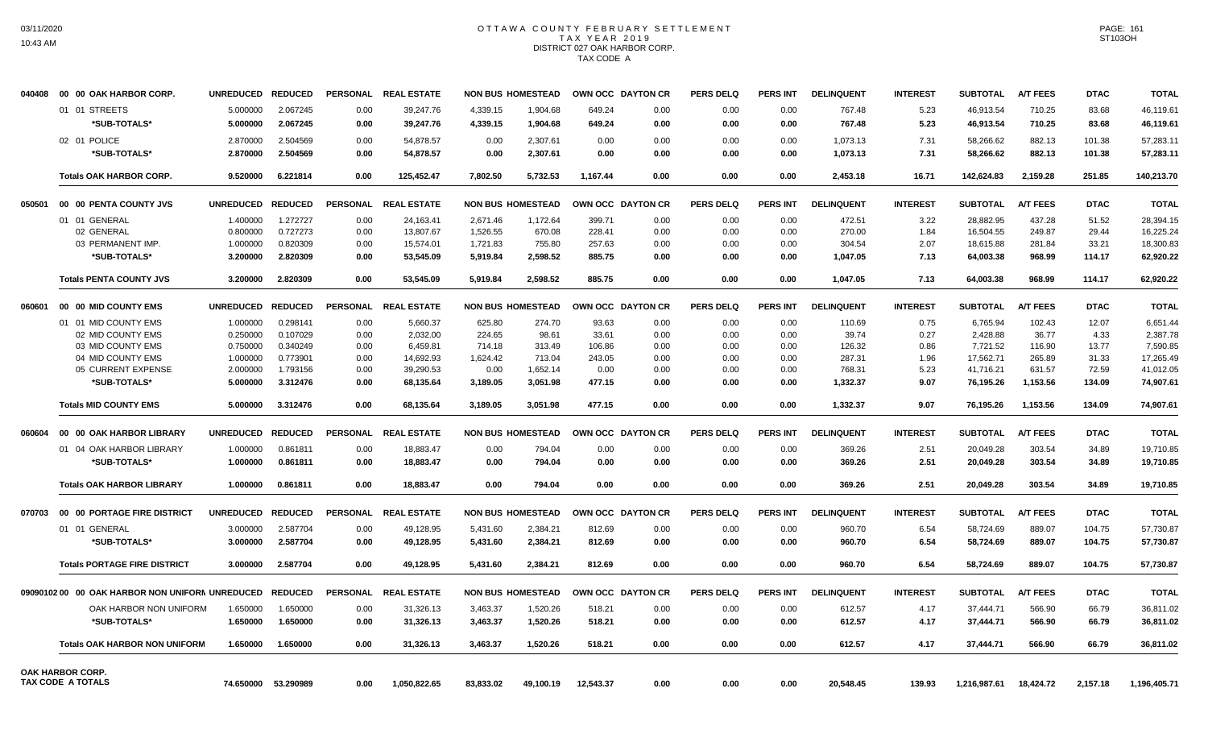## OTTAWA COUNTY FEBRUARY SETTLEMENT TAX YEAR 2019 DISTRICT 027 OAK HARBOR CORP. TAX CODE A

| 040408 | 00 00 OAK HARBOR CORP.                         | UNREDUCED REDUCED |                | PERSONAL        | <b>REAL ESTATE</b> |           | <b>NON BUS HOMESTEAD</b> |           | OWN OCC DAYTON CR | <b>PERS DELQ</b> | PERS INT        | <b>DELINQUENT</b> | <b>INTEREST</b> | <b>SUBTOTAL</b> | <b>A/T FEES</b> | <b>DTAC</b> | <b>TOTAL</b> |
|--------|------------------------------------------------|-------------------|----------------|-----------------|--------------------|-----------|--------------------------|-----------|-------------------|------------------|-----------------|-------------------|-----------------|-----------------|-----------------|-------------|--------------|
|        | 01 01 STREETS                                  | 5.000000          | 2.067245       | 0.00            | 39,247.76          | 4,339.15  | 1,904.68                 | 649.24    | 0.00              | 0.00             | 0.00            | 767.48            | 5.23            | 46,913.54       | 710.25          | 83.68       | 46.119.61    |
|        | *SUB-TOTALS*                                   | 5.000000          | 2.067245       | 0.00            | 39,247.76          | 4,339.15  | 1,904.68                 | 649.24    | 0.00              | 0.00             | 0.00            | 767.48            | 5.23            | 46,913.54       | 710.25          | 83.68       | 46,119.61    |
|        | 02 01 POLICE                                   | 2.870000          | 2.504569       | 0.00            | 54.878.57          | 0.00      | 2.307.61                 | 0.00      | 0.00              | 0.00             | 0.00            | 1,073.13          | 7.31            | 58,266.62       | 882.13          | 101.38      | 57.283.11    |
|        | *SUB-TOTALS*                                   | 2.870000          | 2.504569       | 0.00            | 54,878.57          | 0.00      | 2,307.61                 | 0.00      | 0.00              | 0.00             | 0.00            | 1,073.13          | 7.31            | 58,266.62       | 882.13          | 101.38      | 57.283.11    |
|        | <b>Totals OAK HARBOR CORP.</b>                 | 9.520000          | 6.221814       | 0.00            | 125.452.47         | 7.802.50  | 5.732.53                 | 1.167.44  | 0.00              | 0.00             | 0.00            | 2.453.18          | 16.71           | 142.624.83      | 2.159.28        | 251.85      | 140.213.70   |
| 050501 | 00 00 PENTA COUNTY JVS                         | <b>UNREDUCED</b>  | <b>REDUCED</b> | <b>PERSONAL</b> | <b>REAL ESTATE</b> |           | <b>NON BUS HOMESTEAD</b> |           | OWN OCC DAYTON CR | <b>PERS DELQ</b> | <b>PERS INT</b> | <b>DELINQUENT</b> | <b>INTEREST</b> | <b>SUBTOTAL</b> | <b>A/T FEES</b> | <b>DTAC</b> | <b>TOTAL</b> |
|        | 01 01 GENERAL                                  | 1.400000          | 1.272727       | 0.00            | 24,163.41          | 2,671.46  | 1,172.64                 | 399.71    | 0.00              | 0.00             | 0.00            | 472.51            | 3.22            | 28,882.95       | 437.28          | 51.52       | 28,394.15    |
|        | 02 GENERAL                                     | 0.800000          | 0.727273       | 0.00            | 13,807.67          | 1,526.55  | 670.08                   | 228.41    | 0.00              | 0.00             | 0.00            | 270.00            | 1.84            | 16,504.55       | 249.87          | 29.44       | 16,225.24    |
|        | 03 PERMANENT IMP.                              | 1.000000          | 0.820309       | 0.00            | 15,574.01          | 1,721.83  | 755.80                   | 257.63    | 0.00              | 0.00             | 0.00            | 304.54            | 2.07            | 18,615.88       | 281.84          | 33.21       | 18,300.83    |
|        | *SUB-TOTALS*                                   | 3.200000          | 2.820309       | 0.00            | 53,545.09          | 5,919.84  | 2,598.52                 | 885.75    | 0.00              | 0.00             | 0.00            | 1,047.05          | 7.13            | 64,003.38       | 968.99          | 114.17      | 62,920.22    |
|        | <b>Totals PENTA COUNTY JVS</b>                 | 3.200000          | 2.820309       | 0.00            | 53.545.09          | 5.919.84  | 2.598.52                 | 885.75    | 0.00              | 0.00             | 0.00            | 1.047.05          | 7.13            | 64.003.38       | 968.99          | 114.17      | 62.920.22    |
| 060601 | 00 00 MID COUNTY EMS                           | <b>UNREDUCED</b>  | <b>REDUCED</b> | <b>PERSONAL</b> | <b>REAL ESTATE</b> |           | <b>NON BUS HOMESTEAD</b> |           | OWN OCC DAYTON CR | <b>PERS DELQ</b> | <b>PERS INT</b> | <b>DELINQUENT</b> | <b>INTEREST</b> | <b>SUBTOTAL</b> | <b>A/T FEES</b> | <b>DTAC</b> | <b>TOTAL</b> |
|        | 01 01 MID COUNTY EMS                           | 1.000000          | 0.298141       | 0.00            | 5,660.37           | 625.80    | 274.70                   | 93.63     | 0.00              | 0.00             | 0.00            | 110.69            | 0.75            | 6,765.94        | 102.43          | 12.07       | 6,651.44     |
|        | 02 MID COUNTY EMS                              | 0.250000          | 0.107029       | 0.00            | 2,032.00           | 224.65    | 98.61                    | 33.61     | 0.00              | 0.00             | 0.00            | 39.74             | 0.27            | 2,428.88        | 36.77           | 4.33        | 2,387.78     |
|        | 03 MID COUNTY EMS                              | 0.750000          | 0.340249       | 0.00            | 6,459.81           | 714.18    | 313.49                   | 106.86    | 0.00              | 0.00             | 0.00            | 126.32            | 0.86            | 7,721.52        | 116.90          | 13.77       | 7,590.85     |
|        | 04 MID COUNTY EMS                              | 1.000000          | 0.773901       | 0.00            | 14,692.93          | 1,624.42  | 713.04                   | 243.05    | 0.00              | 0.00             | 0.00            | 287.31            | 1.96            | 17,562.71       | 265.89          | 31.33       | 17,265.49    |
|        | 05 CURRENT EXPENSE                             | 2.000000          | 1.793156       | 0.00            | 39,290.53          | 0.00      | 1,652.14                 | 0.00      | 0.00              | 0.00             | 0.00            | 768.31            | 5.23            | 41,716.21       | 631.57          | 72.59       | 41,012.05    |
|        | *SUB-TOTALS*                                   | 5.000000          | 3.312476       | 0.00            | 68,135.64          | 3,189.05  | 3,051.98                 | 477.15    | 0.00              | 0.00             | 0.00            | 1,332.37          | 9.07            | 76,195.26       | 1,153.56        | 134.09      | 74,907.61    |
|        | <b>Totals MID COUNTY EMS</b>                   | 5.000000          | 3.312476       | 0.00            | 68,135.64          | 3,189.05  | 3,051.98                 | 477.15    | 0.00              | 0.00             | 0.00            | 1,332.37          | 9.07            | 76,195.26       | 1,153.56        | 134.09      | 74,907.61    |
| 060604 | 00 00 OAK HARBOR LIBRARY                       | <b>UNREDUCED</b>  | <b>REDUCED</b> | <b>PERSONAL</b> | <b>REAL ESTATE</b> |           | <b>NON BUS HOMESTEAD</b> |           | OWN OCC DAYTON CR | <b>PERS DELQ</b> | <b>PERS INT</b> | <b>DELINQUENT</b> | <b>INTEREST</b> | <b>SUBTOTAL</b> | <b>A/T FEES</b> | <b>DTAC</b> | <b>TOTAL</b> |
|        | 01 04 OAK HARBOR LIBRARY                       | 1.000000          | 0.861811       | 0.00            | 18,883.47          | 0.00      | 794.04                   | 0.00      | 0.00              | 0.00             | 0.00            | 369.26            | 2.51            | 20,049.28       | 303.54          | 34.89       | 19,710.85    |
|        | *SUB-TOTALS*                                   | 1.000000          | 0.861811       | 0.00            | 18,883.47          | 0.00      | 794.04                   | 0.00      | 0.00              | 0.00             | 0.00            | 369.26            | 2.51            | 20,049.28       | 303.54          | 34.89       | 19,710.85    |
|        | <b>Totals OAK HARBOR LIBRARY</b>               | 1.000000          | 0.861811       | 0.00            | 18.883.47          | 0.00      | 794.04                   | 0.00      | 0.00              | 0.00             | 0.00            | 369.26            | 2.51            | 20.049.28       | 303.54          | 34.89       | 19,710.85    |
| 070703 | 00 00 PORTAGE FIRE DISTRICT                    | <b>UNREDUCED</b>  | <b>REDUCED</b> | <b>PERSONAL</b> | <b>REAL ESTATE</b> |           | <b>NON BUS HOMESTEAD</b> |           | OWN OCC DAYTON CR | <b>PERS DELQ</b> | <b>PERS INT</b> | <b>DELINQUENT</b> | <b>INTEREST</b> | <b>SUBTOTAL</b> | <b>A/T FEES</b> | <b>DTAC</b> | <b>TOTAL</b> |
|        | 01 01 GENERAL                                  | 3.000000          | 2.587704       | 0.00            | 49,128.95          | 5,431.60  | 2,384.21                 | 812.69    | 0.00              | 0.00             | 0.00            | 960.70            | 6.54            | 58,724.69       | 889.07          | 104.75      | 57,730.87    |
|        | *SUB-TOTALS*                                   | 3.000000          | 2.587704       | 0.00            | 49,128.95          | 5,431.60  | 2.384.21                 | 812.69    | 0.00              | 0.00             | 0.00            | 960.70            | 6.54            | 58,724.69       | 889.07          | 104.75      | 57,730.87    |
|        | <b>Totals PORTAGE FIRE DISTRICT</b>            | 3.000000          | 2.587704       | 0.00            | 49,128.95          | 5,431.60  | 2.384.21                 | 812.69    | 0.00              | 0.00             | 0.00            | 960.70            | 6.54            | 58,724.69       | 889.07          | 104.75      | 57,730.87    |
|        | 0909010200 00 OAK HARBOR NON UNIFORN UNREDUCED |                   | <b>REDUCED</b> | <b>PERSONAL</b> | <b>REAL ESTATE</b> |           | <b>NON BUS HOMESTEAD</b> |           | OWN OCC DAYTON CR | <b>PERS DELQ</b> | <b>PERS INT</b> | <b>DELINQUENT</b> | <b>INTEREST</b> | <b>SUBTOTAL</b> | <b>A/T FEES</b> | <b>DTAC</b> | <b>TOTAL</b> |
|        | OAK HARBOR NON UNIFORM                         | 1.650000          | 1.650000       | 0.00            | 31,326.13          | 3,463.37  | 1,520.26                 | 518.21    | 0.00              | 0.00             | 0.00            | 612.57            | 4.17            | 37,444.71       | 566.90          | 66.79       | 36,811.02    |
|        | *SUB-TOTALS*                                   | 1.650000          | 1.650000       | 0.00            | 31,326.13          | 3,463.37  | 1,520.26                 | 518.21    | 0.00              | 0.00             | 0.00            | 612.57            | 4.17            | 37,444.71       | 566.90          | 66.79       | 36,811.02    |
|        | <b>Totals OAK HARBOR NON UNIFORM</b>           | 1.650000          | 1.650000       | 0.00            | 31,326.13          | 3,463.37  | 1,520.26                 | 518.21    | 0.00              | 0.00             | 0.00            | 612.57            | 4.17            | 37,444.71       | 566.90          | 66.79       | 36,811.02    |
|        | OAK HARBOR CORP.                               |                   |                |                 |                    |           |                          |           |                   |                  |                 |                   |                 |                 |                 |             |              |
|        | <b>TAX CODE A TOTALS</b>                       | 74.650000         | 53.290989      | 0.00            | 1,050,822.65       | 83,833.02 | 49,100.19                | 12,543.37 | 0.00              | 0.00             | 0.00            | 20,548.45         | 139.93          | 1,216,987.61    | 18,424.72       | 2,157.18    | 1,196,405.71 |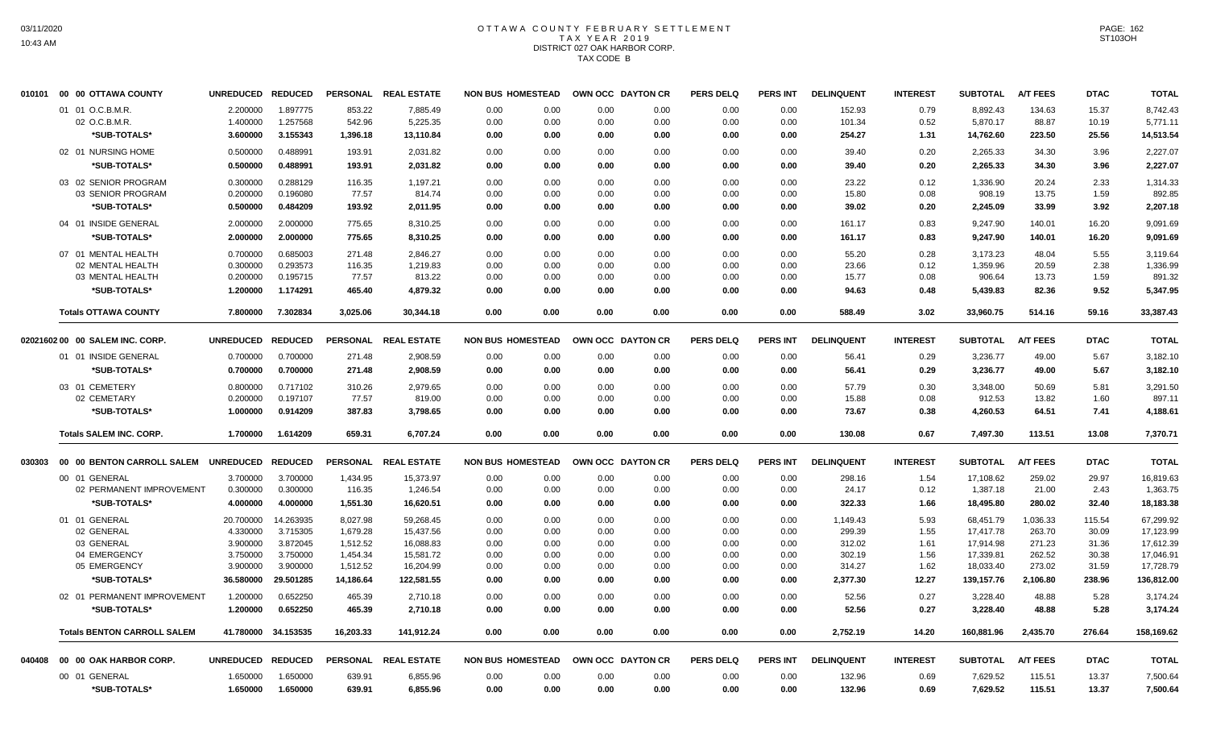# OTTAWA COUNTY FEBRUARY SETTLEMENT TAX YEAR 2019 DISTRICT 027 OAK HARBOR CORP. TAX CODE B

|        | 010101 00 00 OTTAWA COUNTY         | UNREDUCED REDUCED |                     |           | PERSONAL REAL ESTATE | <b>NON BUS HOMESTEAD</b> |      | OWN OCC DAYTON CR |      | <b>PERS DELQ</b> | <b>PERS INT</b> | <b>DELINQUENT</b> | <b>INTEREST</b> | <b>SUBTOTAL</b> | <b>A/T FEES</b> | <b>DTAC</b> | <b>TOTAL</b> |
|--------|------------------------------------|-------------------|---------------------|-----------|----------------------|--------------------------|------|-------------------|------|------------------|-----------------|-------------------|-----------------|-----------------|-----------------|-------------|--------------|
|        | 01 01 O.C.B.M.R.                   | 2.200000          | 1.897775            | 853.22    | 7,885.49             | 0.00                     | 0.00 | 0.00              | 0.00 | 0.00             | 0.00            | 152.93            | 0.79            | 8,892.43        | 134.63          | 15.37       | 8,742.43     |
|        | 02 O.C.B.M.R.                      | 1.400000          | 1.257568            | 542.96    | 5,225.35             | 0.00                     | 0.00 | 0.00              | 0.00 | 0.00             | 0.00            | 101.34            | 0.52            | 5,870.17        | 88.87           | 10.19       | 5,771.11     |
|        | *SUB-TOTALS*                       | 3.600000          | 3.155343            | 1,396.18  | 13,110.84            | 0.00                     | 0.00 | 0.00              | 0.00 | 0.00             | 0.00            | 254.27            | 1.31            | 14,762.60       | 223.50          | 25.56       | 14,513.54    |
|        | 02 01 NURSING HOME                 | 0.500000          | 0.488991            | 193.91    | 2,031.82             | 0.00                     | 0.00 | 0.00              | 0.00 | 0.00             | 0.00            | 39.40             | 0.20            | 2,265.33        | 34.30           | 3.96        | 2,227.07     |
|        | *SUB-TOTALS*                       | 0.500000          | 0.488991            | 193.91    | 2,031.82             | 0.00                     | 0.00 | 0.00              | 0.00 | 0.00             | 0.00            | 39.40             | 0.20            | 2,265.33        | 34.30           | 3.96        | 2,227.07     |
|        | 03 02 SENIOR PROGRAM               | 0.300000          | 0.288129            | 116.35    | 1,197.21             | 0.00                     | 0.00 | 0.00              | 0.00 | 0.00             | 0.00            | 23.22             | 0.12            | 1,336.90        | 20.24           | 2.33        | 1,314.33     |
|        | 03 SENIOR PROGRAM                  | 0.200000          | 0.196080            | 77.57     | 814.74               | 0.00                     | 0.00 | 0.00              | 0.00 | 0.00             | 0.00            | 15.80             | 0.08            | 908.19          | 13.75           | 1.59        | 892.85       |
|        | *SUB-TOTALS*                       | 0.500000          | 0.484209            | 193.92    | 2,011.95             | 0.00                     | 0.00 | 0.00              | 0.00 | 0.00             | 0.00            | 39.02             | 0.20            | 2,245.09        | 33.99           | 3.92        | 2,207.18     |
|        | 04 01 INSIDE GENERAL               | 2.000000          | 2.000000            | 775.65    | 8,310.25             | 0.00                     | 0.00 | 0.00              | 0.00 | 0.00             | 0.00            | 161.17            | 0.83            | 9,247.90        | 140.01          | 16.20       | 9,091.69     |
|        | *SUB-TOTALS*                       | 2.000000          | 2.000000            | 775.65    | 8,310.25             | 0.00                     | 0.00 | 0.00              | 0.00 | 0.00             | 0.00            | 161.17            | 0.83            | 9,247.90        | 140.01          | 16.20       | 9.091.69     |
|        | 07 01 MENTAL HEALTH                | 0.700000          | 0.685003            | 271.48    | 2,846.27             | 0.00                     | 0.00 | 0.00              | 0.00 | 0.00             | 0.00            | 55.20             | 0.28            | 3,173.23        | 48.04           | 5.55        | 3,119.64     |
|        | 02 MENTAL HEALTH                   | 0.300000          | 0.293573            | 116.35    | 1,219.83             | 0.00                     | 0.00 | 0.00              | 0.00 | 0.00             | 0.00            | 23.66             | 0.12            | 1,359.96        | 20.59           | 2.38        | 1,336.99     |
|        | 03 MENTAL HEALTH                   | 0.200000          | 0.195715            | 77.57     | 813.22               | 0.00                     | 0.00 | 0.00              | 0.00 | 0.00             | 0.00            | 15.77             | 0.08            | 906.64          | 13.73           | 1.59        | 891.32       |
|        | *SUB-TOTALS*                       | 1.200000          | 1.174291            | 465.40    | 4,879.32             | 0.00                     | 0.00 | 0.00              | 0.00 | 0.00             | 0.00            | 94.63             | 0.48            | 5,439.83        | 82.36           | 9.52        | 5,347.95     |
|        | <b>Totals OTTAWA COUNTY</b>        | 7.800000          | 7.302834            | 3,025.06  | 30,344.18            | 0.00                     | 0.00 | 0.00              | 0.00 | 0.00             | 0.00            | 588.49            | 3.02            | 33,960.75       | 514.16          | 59.16       | 33,387.43    |
|        |                                    |                   |                     |           |                      |                          |      |                   |      |                  |                 |                   |                 |                 |                 |             |              |
|        | 02021602 00 00 SALEM INC. CORP.    | <b>UNREDUCED</b>  | <b>REDUCED</b>      |           | PERSONAL REAL ESTATE | <b>NON BUS HOMESTEAD</b> |      | OWN OCC DAYTON CR |      | <b>PERS DELQ</b> | <b>PERS INT</b> | <b>DELINQUENT</b> | <b>INTEREST</b> | <b>SUBTOTAL</b> | <b>A/T FEES</b> | <b>DTAC</b> | <b>TOTAL</b> |
|        | 01 01 INSIDE GENERAL               | 0.700000          | 0.700000            | 271.48    | 2,908.59             | 0.00                     | 0.00 | 0.00              | 0.00 | 0.00             | 0.00            | 56.41             | 0.29            | 3,236.77        | 49.00           | 5.67        | 3,182.10     |
|        | *SUB-TOTALS*                       | 0.700000          | 0.700000            | 271.48    | 2,908.59             | 0.00                     | 0.00 | 0.00              | 0.00 | 0.00             | 0.00            | 56.41             | 0.29            | 3,236.77        | 49.00           | 5.67        | 3,182.10     |
|        | 03 01 CEMETERY                     | 0.800000          | 0.717102            | 310.26    | 2,979.65             | 0.00                     | 0.00 | 0.00              | 0.00 | 0.00             | 0.00            | 57.79             | 0.30            | 3,348.00        | 50.69           | 5.81        | 3.291.50     |
|        | 02 CEMETARY                        | 0.200000          | 0.197107            | 77.57     | 819.00               | 0.00                     | 0.00 | 0.00              | 0.00 | 0.00             | 0.00            | 15.88             | 0.08            | 912.53          | 13.82           | 1.60        | 897.11       |
|        | *SUB-TOTALS*                       | 1.000000          | 0.914209            | 387.83    | 3,798.65             | 0.00                     | 0.00 | 0.00              | 0.00 | 0.00             | 0.00            | 73.67             | 0.38            | 4,260.53        | 64.51           | 7.41        | 4,188.61     |
|        | <b>Totals SALEM INC, CORP.</b>     | 1.700000          | 1.614209            | 659.31    | 6,707.24             | 0.00                     | 0.00 | 0.00              | 0.00 | 0.00             | 0.00            | 130.08            | 0.67            | 7,497.30        | 113.51          | 13.08       | 7,370.71     |
| 030303 | 00 00 BENTON CARROLL SALEM         | UNREDUCED REDUCED |                     |           | PERSONAL REAL ESTATE | <b>NON BUS HOMESTEAD</b> |      | OWN OCC DAYTON CR |      | <b>PERS DELQ</b> | <b>PERS INT</b> | <b>DELINQUENT</b> | <b>INTEREST</b> | <b>SUBTOTAL</b> | <b>A/T FEES</b> | <b>DTAC</b> | <b>TOTAL</b> |
|        | 00 01 GENERAL                      | 3.700000          | 3.700000            | 1,434.95  | 15,373.97            | 0.00                     | 0.00 | 0.00              | 0.00 | 0.00             | 0.00            | 298.16            | 1.54            | 17,108.62       | 259.02          | 29.97       | 16,819.63    |
|        | 02 PERMANENT IMPROVEMENT           | 0.300000          | 0.300000            | 116.35    | 1,246.54             | 0.00                     | 0.00 | 0.00              | 0.00 | 0.00             | 0.00            | 24.17             | 0.12            | 1,387.18        | 21.00           | 2.43        | 1,363.75     |
|        | *SUB-TOTALS*                       | 4.000000          | 4.000000            | 1,551.30  | 16,620.51            | 0.00                     | 0.00 | 0.00              | 0.00 | 0.00             | 0.00            | 322.33            | 1.66            | 18,495.80       | 280.02          | 32.40       | 18,183.38    |
|        | 01 01 GENERAL                      | 20.700000         | 14.263935           | 8.027.98  | 59.268.45            | 0.00                     | 0.00 | 0.00              | 0.00 | 0.00             | 0.00            | 1.149.43          | 5.93            | 68.451.79       | 1.036.33        | 115.54      | 67.299.92    |
|        | 02 GENERAL                         | 4.330000          | 3.715305            | 1,679.28  | 15,437.56            | 0.00                     | 0.00 | 0.00              | 0.00 | 0.00             | 0.00            | 299.39            | 1.55            | 17,417.78       | 263.70          | 30.09       | 17,123.99    |
|        | 03 GENERAL                         | 3.900000          | 3.872045            | 1,512.52  | 16,088.83            | 0.00                     | 0.00 | 0.00              | 0.00 | 0.00             | 0.00            | 312.02            | 1.61            | 17,914.98       | 271.23          | 31.36       | 17,612.39    |
|        | 04 EMERGENCY                       | 3.750000          | 3.750000            | 1,454.34  | 15,581.72            | 0.00                     | 0.00 | 0.00              | 0.00 | 0.00             | 0.00            | 302.19            | 1.56            | 17,339.81       | 262.52          | 30.38       | 17,046.91    |
|        | 05 EMERGENCY                       | 3.900000          | 3.900000            | 1,512.52  | 16,204.99            | 0.00                     | 0.00 | 0.00              | 0.00 | 0.00             | 0.00            | 314.27            | 1.62            | 18,033.40       | 273.02          | 31.59       | 17,728.79    |
|        | *SUB-TOTALS*                       | 36.580000         | 29.501285           | 14,186.64 | 122,581.55           | 0.00                     | 0.00 | 0.00              | 0.00 | 0.00             | 0.00            | 2,377.30          | 12.27           | 139,157.76      | 2,106.80        | 238.96      | 136,812.00   |
|        | 02 01 PERMANENT IMPROVEMENT        | 1.200000          | 0.652250            | 465.39    | 2,710.18             | 0.00                     | 0.00 | 0.00              | 0.00 | 0.00             | 0.00            | 52.56             | 0.27            | 3,228.40        | 48.88           | 5.28        | 3,174.24     |
|        | *SUB-TOTALS*                       | 1.200000          | 0.652250            | 465.39    | 2,710.18             | 0.00                     | 0.00 | 0.00              | 0.00 | 0.00             | 0.00            | 52.56             | 0.27            | 3,228.40        | 48.88           | 5.28        | 3,174.24     |
|        | <b>Totals BENTON CARROLL SALEM</b> |                   | 41.780000 34.153535 | 16,203.33 | 141,912.24           | 0.00                     | 0.00 | 0.00              | 0.00 | 0.00             | 0.00            | 2,752.19          | 14.20           | 160,881.96      | 2,435.70        | 276.64      | 158,169.62   |
|        |                                    |                   |                     |           |                      |                          |      |                   |      |                  |                 |                   |                 |                 |                 |             |              |
|        | 040408 00 00 OAK HARBOR CORP.      | UNREDUCED REDUCED |                     |           | PERSONAL REAL ESTATE | <b>NON BUS HOMESTEAD</b> |      | OWN OCC DAYTON CR |      | <b>PERS DELQ</b> | PERS INT        | <b>DELINQUENT</b> | <b>INTEREST</b> | <b>SUBTOTAL</b> | <b>A/T FEES</b> | <b>DTAC</b> | <b>TOTAL</b> |
|        | 00 01 GENERAL                      | 1.650000          | 1.650000            | 639.91    | 6,855.96             | 0.00                     | 0.00 | 0.00              | 0.00 | 0.00             | 0.00            | 132.96            | 0.69            | 7,629.52        | 115.51          | 13.37       | 7,500.64     |
|        | *SUB-TOTALS*                       | 1.650000          | 1.650000            | 639.91    | 6,855.96             | 0.00                     | 0.00 | 0.00              | 0.00 | 0.00             | 0.00            | 132.96            | 0.69            | 7,629.52        | 115.51          | 13.37       | 7,500.64     |
|        |                                    |                   |                     |           |                      |                          |      |                   |      |                  |                 |                   |                 |                 |                 |             |              |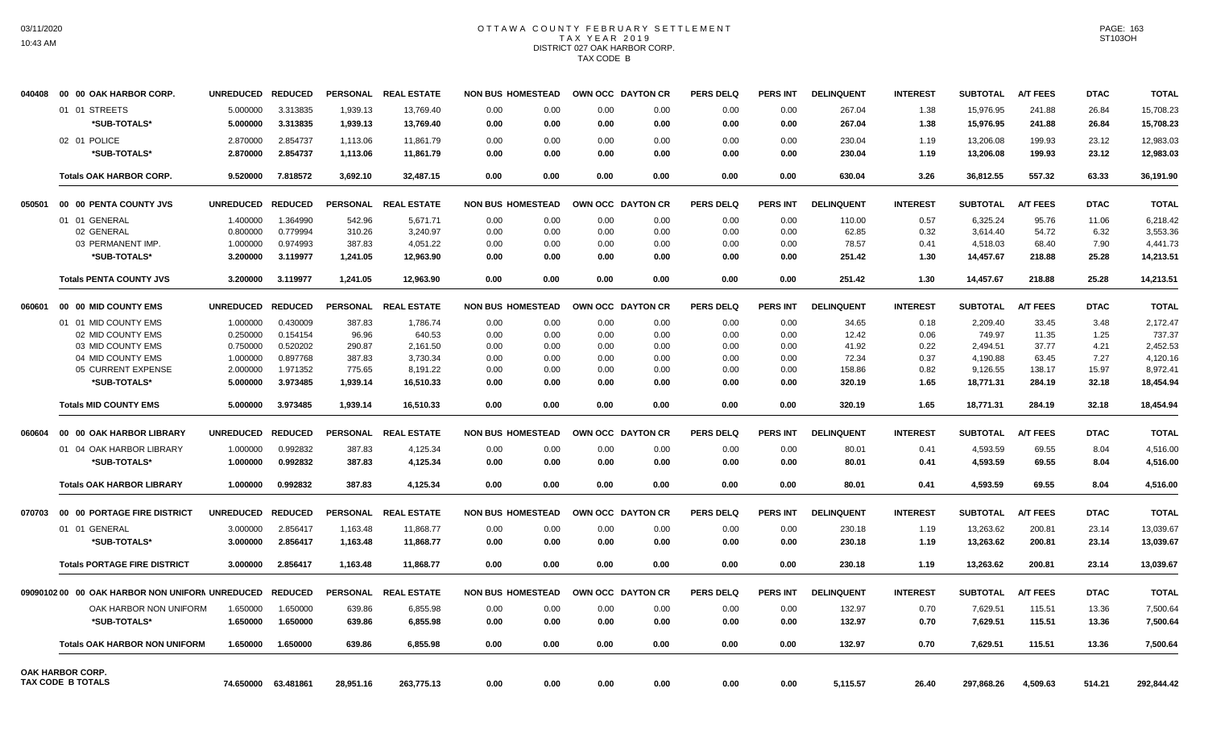## OTTAWA COUNTY FEBRUARY SETTLEMENT TAX YEAR 2019 DISTRICT 027 OAK HARBOR CORP. TAX CODE B

| 040408 | 00 00 OAK HARBOR CORP.                          | <b>UNREDUCED</b> | <b>REDUCED</b>      |                 | PERSONAL REAL ESTATE |      | <b>NON BUS HOMESTEAD</b> | OWN OCC DAYTON CR |                   | <b>PERS DELQ</b> | <b>PERS INT</b> | <b>DELINQUENT</b> | <b>INTEREST</b> | <b>SUBTOTAL</b> | <b>A/T FEES</b> | <b>DTAC</b> | <b>TOTAL</b> |
|--------|-------------------------------------------------|------------------|---------------------|-----------------|----------------------|------|--------------------------|-------------------|-------------------|------------------|-----------------|-------------------|-----------------|-----------------|-----------------|-------------|--------------|
|        | 01 01 STREETS                                   | 5.000000         | 3.313835            | 1,939.13        | 13,769.40            | 0.00 | 0.00                     | 0.00              | 0.00              | 0.00             | 0.00            | 267.04            | 1.38            | 15,976.95       | 241.88          | 26.84       | 15,708.23    |
|        | *SUB-TOTALS*                                    | 5.000000         | 3.313835            | 1,939.13        | 13,769.40            | 0.00 | 0.00                     | 0.00              | 0.00              | 0.00             | 0.00            | 267.04            | 1.38            | 15,976.95       | 241.88          | 26.84       | 15,708.23    |
|        | 02 01 POLICE                                    | 2.870000         | 2.854737            | 1,113.06        | 11,861.79            | 0.00 | 0.00                     | 0.00              | 0.00              | 0.00             | 0.00            | 230.04            | 1.19            | 13,206.08       | 199.93          | 23.12       | 12,983.03    |
|        | *SUB-TOTALS*                                    | 2.870000         | 2.854737            | 1,113.06        | 11,861.79            | 0.00 | 0.00                     | 0.00              | 0.00              | 0.00             | 0.00            | 230.04            | 1.19            | 13,206.08       | 199.93          | 23.12       | 12,983.03    |
|        | <b>Totals OAK HARBOR CORP.</b>                  | 9.520000         | 7.818572            | 3.692.10        | 32.487.15            | 0.00 | 0.00                     | 0.00              | 0.00              | 0.00             | 0.00            | 630.04            | 3.26            | 36.812.55       | 557.32          | 63.33       | 36.191.90    |
|        |                                                 |                  |                     |                 |                      |      |                          |                   |                   |                  |                 |                   |                 |                 |                 |             |              |
| 050501 | 00 00 PENTA COUNTY JVS                          | <b>UNREDUCED</b> | <b>REDUCED</b>      | <b>PERSONAL</b> | <b>REAL ESTATE</b>   |      | <b>NON BUS HOMESTEAD</b> | OWN OCC DAYTON CR |                   | <b>PERS DELQ</b> | <b>PERS INT</b> | <b>DELINQUENT</b> | <b>INTEREST</b> | <b>SUBTOTAL</b> | <b>A/T FEES</b> | <b>DTAC</b> | <b>TOTAL</b> |
|        | 01 01 GENERAL                                   | 1.400000         | 1.364990            | 542.96          | 5.671.71             | 0.00 | 0.00                     | 0.00              | 0.00              | 0.00             | 0.00            | 110.00            | 0.57            | 6.325.24        | 95.76           | 11.06       | 6.218.42     |
|        | 02 GENERAL                                      | 0.800000         | 0.779994            | 310.26          | 3,240.97             | 0.00 | 0.00                     | 0.00              | 0.00              | 0.00             | 0.00            | 62.85             | 0.32            | 3,614.40        | 54.72           | 6.32        | 3,553.36     |
|        | 03 PERMANENT IMP.                               | 1.000000         | 0.974993            | 387.83          | 4,051.22             | 0.00 | 0.00                     | 0.00              | 0.00              | 0.00             | 0.00            | 78.57             | 0.41            | 4,518.03        | 68.40           | 7.90        | 4,441.73     |
|        | *SUB-TOTALS*                                    | 3.200000         | 3.119977            | 1,241.05        | 12.963.90            | 0.00 | 0.00                     | 0.00              | 0.00              | 0.00             | 0.00            | 251.42            | 1.30            | 14,457.67       | 218.88          | 25.28       | 14,213.51    |
|        | <b>Totals PENTA COUNTY JVS</b>                  | 3.200000         | 3.119977            | 1,241.05        | 12.963.90            | 0.00 | 0.00                     | 0.00              | 0.00              | 0.00             | 0.00            | 251.42            | 1.30            | 14,457.67       | 218.88          | 25.28       | 14,213.51    |
| 060601 | 00 00 MID COUNTY EMS                            | <b>UNREDUCED</b> | <b>REDUCED</b>      |                 | PERSONAL REAL ESTATE |      | <b>NON BUS HOMESTEAD</b> | OWN OCC DAYTON CR |                   | <b>PERS DELQ</b> | <b>PERS INT</b> | <b>DELINQUENT</b> | <b>INTEREST</b> | <b>SUBTOTAL</b> | <b>A/T FEES</b> | <b>DTAC</b> | <b>TOTAL</b> |
|        | 01 01 MID COUNTY EMS                            | 1.000000         | 0.430009            | 387.83          | 1,786.74             | 0.00 | 0.00                     | 0.00              | 0.00              | 0.00             | 0.00            | 34.65             | 0.18            | 2,209.40        | 33.45           | 3.48        | 2.172.47     |
|        | 02 MID COUNTY EMS                               | 0.250000         | 0.154154            | 96.96           | 640.53               | 0.00 | 0.00                     | 0.00              | 0.00              | 0.00             | 0.00            | 12.42             | 0.06            | 749.97          | 11.35           | 1.25        | 737.37       |
|        | 03 MID COUNTY EMS                               | 0.750000         | 0.520202            | 290.87          | 2,161.50             | 0.00 | 0.00                     | 0.00              | 0.00              | 0.00             | 0.00            | 41.92             | 0.22            | 2,494.51        | 37.77           | 4.21        | 2,452.53     |
|        | 04 MID COUNTY EMS                               | 1.000000         | 0.897768            | 387.83          | 3,730.34             | 0.00 | 0.00                     | 0.00              | 0.00              | 0.00             | 0.00            | 72.34             | 0.37            | 4,190.88        | 63.45           | 7.27        | 4,120.16     |
|        | 05 CURRENT EXPENSE                              | 2.000000         | 1.971352            | 775.65          | 8,191.22             | 0.00 | 0.00                     | 0.00              | 0.00              | 0.00             | 0.00            | 158.86            | 0.82            | 9,126.55        | 138.17          | 15.97       | 8,972.41     |
|        | *SUB-TOTALS*                                    | 5.000000         | 3.973485            | 1,939.14        | 16.510.33            | 0.00 | 0.00                     | 0.00              | 0.00              | 0.00             | 0.00            | 320.19            | 1.65            | 18,771.31       | 284.19          | 32.18       | 18,454.94    |
|        | <b>Totals MID COUNTY EMS</b>                    | 5.000000         | 3.973485            | 1.939.14        | 16.510.33            | 0.00 | 0.00                     | 0.00              | 0.00              | 0.00             | 0.00            | 320.19            | 1.65            | 18.771.31       | 284.19          | 32.18       | 18.454.94    |
| 060604 | 00 00 OAK HARBOR LIBRARY                        | <b>UNREDUCED</b> | <b>REDUCED</b>      |                 | PERSONAL REAL ESTATE |      | <b>NON BUS HOMESTEAD</b> |                   | OWN OCC DAYTON CR | <b>PERS DELQ</b> | <b>PERS INT</b> | <b>DELINQUENT</b> | <b>INTEREST</b> | <b>SUBTOTAL</b> | <b>A/T FEES</b> | <b>DTAC</b> | <b>TOTAL</b> |
|        | 01 04 OAK HARBOR LIBRARY                        | 1.000000         | 0.992832            | 387.83          | 4,125.34             | 0.00 | 0.00                     | 0.00              | 0.00              | 0.00             | 0.00            | 80.01             | 0.41            | 4,593.59        | 69.55           | 8.04        | 4,516.00     |
|        | *SUB-TOTALS*                                    | 1.000000         | 0.992832            | 387.83          | 4,125.34             | 0.00 | 0.00                     | 0.00              | 0.00              | 0.00             | 0.00            | 80.01             | 0.41            | 4,593.59        | 69.55           | 8.04        | 4,516.00     |
|        |                                                 |                  |                     |                 |                      |      |                          |                   |                   |                  |                 |                   |                 |                 |                 |             |              |
|        | <b>Totals OAK HARBOR LIBRARY</b>                | 1.000000         | 0.992832            | 387.83          | 4,125.34             | 0.00 | 0.00                     | 0.00              | 0.00              | 0.00             | 0.00            | 80.01             | 0.41            | 4,593.59        | 69.55           | 8.04        | 4,516.00     |
| 070703 | 00 00 PORTAGE FIRE DISTRICT                     | <b>UNREDUCED</b> | <b>REDUCED</b>      |                 | PERSONAL REAL ESTATE |      | <b>NON BUS HOMESTEAD</b> |                   | OWN OCC DAYTON CR | <b>PERS DELQ</b> | <b>PERS INT</b> | <b>DELINQUENT</b> | <b>INTEREST</b> | <b>SUBTOTAL</b> | <b>A/T FEES</b> | <b>DTAC</b> | <b>TOTAL</b> |
|        | 01 01 GENERAL                                   | 3.000000         | 2.856417            | 1,163.48        | 11,868.77            | 0.00 | 0.00                     | 0.00              | 0.00              | 0.00             | 0.00            | 230.18            | 1.19            | 13,263.62       | 200.81          | 23.14       | 13,039.67    |
|        | *SUB-TOTALS*                                    | 3.000000         | 2.856417            | 1,163.48        | 11.868.77            | 0.00 | 0.00                     | 0.00              | 0.00              | 0.00             | 0.00            | 230.18            | 1.19            | 13,263.62       | 200.81          | 23.14       | 13,039.67    |
|        | <b>Totals PORTAGE FIRE DISTRICT</b>             | 3.000000         | 2.856417            | 1.163.48        | 11.868.77            | 0.00 | 0.00                     | 0.00              | 0.00              | 0.00             | 0.00            | 230.18            | 1.19            | 13.263.62       | 200.81          | 23.14       | 13.039.67    |
|        | 09090102 00 00 OAK HARBOR NON UNIFORM UNREDUCED |                  | <b>REDUCED</b>      | <b>PERSONAL</b> | <b>REAL ESTATE</b>   |      | <b>NON BUS HOMESTEAD</b> |                   | OWN OCC DAYTON CR | <b>PERS DELQ</b> | <b>PERS INT</b> | <b>DELINQUENT</b> | <b>INTEREST</b> | <b>SUBTOTAL</b> | <b>A/T FEES</b> | <b>DTAC</b> | <b>TOTAL</b> |
|        | OAK HARBOR NON UNIFORM                          | 1.650000         | 1.650000            | 639.86          | 6,855.98             | 0.00 | 0.00                     | 0.00              | 0.00              | 0.00             | 0.00            | 132.97            | 0.70            | 7,629.51        | 115.51          | 13.36       | 7,500.64     |
|        | *SUB-TOTALS*                                    | 1.650000         | 1.650000            |                 |                      | 0.00 | 0.00                     | 0.00              | 0.00              | 0.00             | 0.00            | 132.97            | 0.70            |                 |                 | 13.36       |              |
|        |                                                 |                  |                     | 639.86          | 6,855.98             |      |                          |                   |                   |                  |                 |                   |                 | 7,629.51        | 115.51          |             | 7,500.64     |
|        | <b>Totals OAK HARBOR NON UNIFORM</b>            | 1.650000         | 1.650000            | 639.86          | 6.855.98             | 0.00 | 0.00                     | 0.00              | 0.00              | 0.00             | 0.00            | 132.97            | 0.70            | 7,629.51        | 115.51          | 13.36       | 7.500.64     |
|        | OAK HARBOR CORP.                                |                  |                     |                 |                      |      |                          |                   |                   |                  |                 |                   |                 |                 |                 |             |              |
|        | <b>TAX CODE B TOTALS</b>                        |                  | 74.650000 63.481861 | 28,951.16       | 263,775.13           | 0.00 | 0.00                     | 0.00              | 0.00              | 0.00             | 0.00            | 5,115.57          | 26.40           | 297,868.26      | 4,509.63        | 514.21      | 292,844.42   |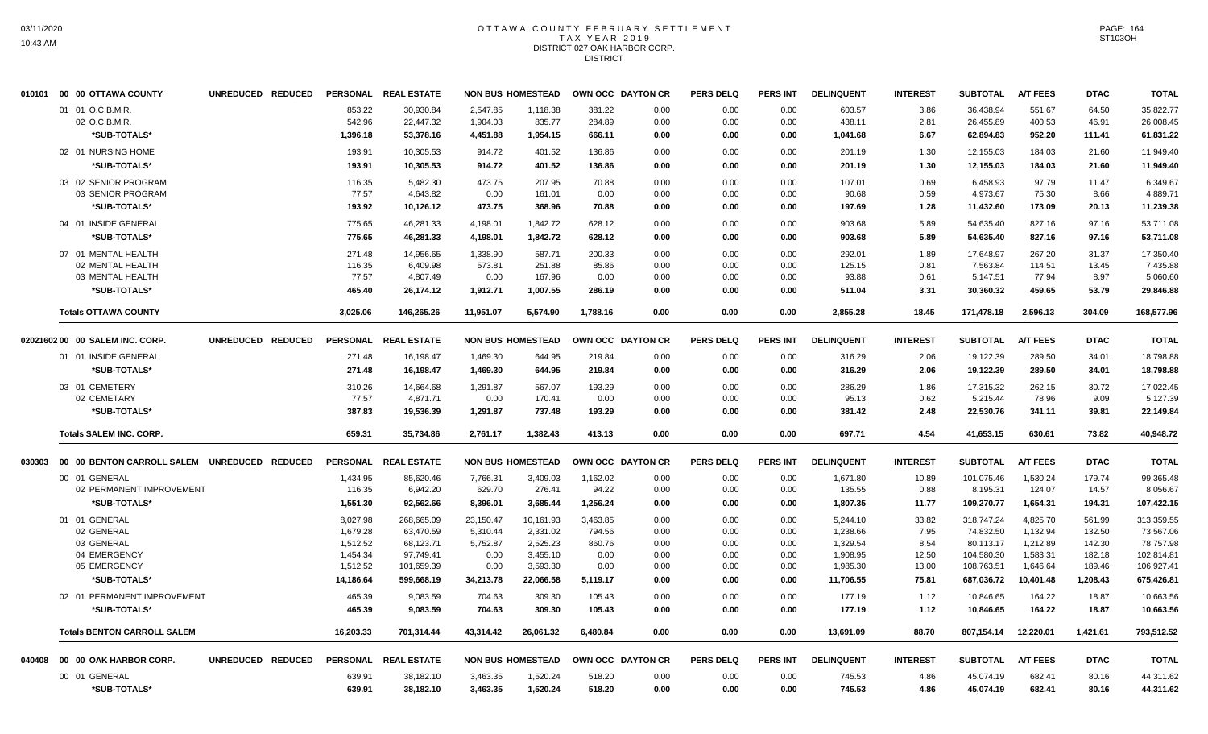# OTTAWA COUNTY FEBRUARY SETTLEMENT TAX YEAR 2019 DISTRICT 027 OAK HARBOR CORP. DISTRICT

|        | 010101 00 00 OTTAWA COUNTY                   | UNREDUCED REDUCED |                 | PERSONAL REAL ESTATE |           | <b>NON BUS HOMESTEAD</b> | OWN OCC DAYTON CR |      | <b>PERS DELQ</b> | <b>PERS INT</b> | <b>DELINQUENT</b> | <b>INTEREST</b> | <b>SUBTOTAL</b> | <b>A/T FEES</b> | <b>DTAC</b> | <b>TOTAL</b> |
|--------|----------------------------------------------|-------------------|-----------------|----------------------|-----------|--------------------------|-------------------|------|------------------|-----------------|-------------------|-----------------|-----------------|-----------------|-------------|--------------|
|        | 01 01 O.C.B.M.R.                             |                   | 853.22          | 30.930.84            | 2.547.85  | 1.118.38                 | 381.22            | 0.00 | 0.00             | 0.00            | 603.57            | 3.86            | 36.438.94       | 551.67          | 64.50       | 35.822.77    |
|        | 02 O.C.B.M.R.                                |                   | 542.96          | 22,447.32            | 1,904.03  | 835.77                   | 284.89            | 0.00 | 0.00             | 0.00            | 438.11            | 2.81            | 26,455.89       | 400.53          | 46.91       | 26,008.45    |
|        | *SUB-TOTALS*                                 |                   | 1,396.18        | 53,378.16            | 4,451.88  | 1,954.15                 | 666.11            | 0.00 | 0.00             | 0.00            | 1,041.68          | 6.67            | 62,894.83       | 952.20          | 111.41      | 61,831.22    |
|        | 02 01 NURSING HOME                           |                   | 193.91          | 10,305.53            | 914.72    | 401.52                   | 136.86            | 0.00 | 0.00             | 0.00            | 201.19            | 1.30            | 12,155.03       | 184.03          | 21.60       | 11,949.40    |
|        | *SUB-TOTALS*                                 |                   | 193.91          | 10,305.53            | 914.72    | 401.52                   | 136.86            | 0.00 | 0.00             | 0.00            | 201.19            | 1.30            | 12,155.03       | 184.03          | 21.60       | 11,949.40    |
|        | 03 02 SENIOR PROGRAM                         |                   | 116.35          | 5.482.30             | 473.75    | 207.95                   | 70.88             | 0.00 | 0.00             | 0.00            | 107.01            | 0.69            | 6.458.93        | 97.79           | 11.47       | 6.349.67     |
|        | 03 SENIOR PROGRAM                            |                   | 77.57           | 4.643.82             | 0.00      | 161.01                   | 0.00              | 0.00 | 0.00             | 0.00            | 90.68             | 0.59            | 4,973.67        | 75.30           | 8.66        | 4,889.71     |
|        | *SUB-TOTALS*                                 |                   | 193.92          | 10,126.12            | 473.75    | 368.96                   | 70.88             | 0.00 | 0.00             | 0.00            | 197.69            | 1.28            | 11,432.60       | 173.09          | 20.13       | 11,239.38    |
|        | 04 01 INSIDE GENERAL                         |                   | 775.65          | 46,281.33            | 4,198.01  | 1,842.72                 | 628.12            | 0.00 | 0.00             | 0.00            | 903.68            | 5.89            | 54,635.40       | 827.16          | 97.16       | 53,711.08    |
|        | *SUB-TOTALS*                                 |                   | 775.65          | 46,281.33            | 4,198.01  | 1,842.72                 | 628.12            | 0.00 | 0.00             | 0.00            | 903.68            | 5.89            | 54,635.40       | 827.16          | 97.16       | 53,711.08    |
|        | 07 01 MENTAL HEALTH                          |                   | 271.48          | 14,956.65            | 1,338.90  | 587.71                   | 200.33            | 0.00 | 0.00             | 0.00            | 292.01            | 1.89            | 17,648.97       | 267.20          | 31.37       | 17,350.40    |
|        | 02 MENTAL HEALTH                             |                   | 116.35          | 6,409.98             | 573.81    | 251.88                   | 85.86             | 0.00 | 0.00             | 0.00            | 125.15            | 0.81            | 7,563.84        | 114.51          | 13.45       | 7,435.88     |
|        | 03 MENTAL HEALTH                             |                   | 77.57           | 4,807.49             | 0.00      | 167.96                   | 0.00              | 0.00 | 0.00             | 0.00            | 93.88             | 0.61            | 5,147.51        | 77.94           | 8.97        | 5,060.60     |
|        | *SUB-TOTALS*                                 |                   | 465.40          | 26,174.12            | 1,912.71  | 1,007.55                 | 286.19            | 0.00 | 0.00             | 0.00            | 511.04            | 3.31            | 30,360.32       | 459.65          | 53.79       | 29,846.88    |
|        | <b>Totals OTTAWA COUNTY</b>                  |                   | 3,025.06        | 146.265.26           | 11.951.07 | 5,574.90                 | 1,788.16          | 0.00 | 0.00             | 0.00            | 2,855.28          | 18.45           | 171,478.18      | 2,596.13        | 304.09      | 168,577.96   |
|        | 02021602 00 00 SALEM INC. CORP.              | UNREDUCED REDUCED | <b>PERSONAL</b> | <b>REAL ESTATE</b>   |           | <b>NON BUS HOMESTEAD</b> | OWN OCC DAYTON CR |      | <b>PERS DELQ</b> | <b>PERS INT</b> | <b>DELINQUENT</b> | <b>INTEREST</b> | <b>SUBTOTAL</b> | <b>A/T FEES</b> | <b>DTAC</b> | <b>TOTAL</b> |
|        | 01 01 INSIDE GENERAL                         |                   | 271.48          | 16,198.47            | 1,469.30  | 644.95                   | 219.84            | 0.00 | 0.00             | 0.00            | 316.29            | 2.06            | 19,122.39       | 289.50          | 34.01       | 18,798.88    |
|        | *SUB-TOTALS*                                 |                   | 271.48          | 16,198.47            | 1,469.30  | 644.95                   | 219.84            | 0.00 | 0.00             | 0.00            | 316.29            | 2.06            | 19,122.39       | 289.50          | 34.01       | 18,798.88    |
|        | 03 01 CEMETERY                               |                   | 310.26          | 14,664.68            | 1,291.87  | 567.07                   | 193.29            | 0.00 | 0.00             | 0.00            | 286.29            | 1.86            | 17,315.32       | 262.15          | 30.72       | 17,022.45    |
|        | 02 CEMETARY                                  |                   | 77.57           | 4,871.71             | 0.00      | 170.41                   | 0.00              | 0.00 | 0.00             | 0.00            | 95.13             | 0.62            | 5,215.44        | 78.96           | 9.09        | 5,127.39     |
|        | *SUB-TOTALS*                                 |                   | 387.83          | 19,536.39            | 1,291.87  | 737.48                   | 193.29            | 0.00 | 0.00             | 0.00            | 381.42            | 2.48            | 22,530.76       | 341.11          | 39.81       | 22,149.84    |
|        | <b>Totals SALEM INC. CORP.</b>               |                   | 659.31          | 35,734.86            | 2,761.17  | 1,382.43                 | 413.13            | 0.00 | 0.00             | 0.00            | 697.71            | 4.54            | 41,653.15       | 630.61          | 73.82       | 40,948.72    |
| 030303 | 00 00 BENTON CARROLL SALEM UNREDUCED REDUCED |                   |                 | PERSONAL REAL ESTATE |           | <b>NON BUS HOMESTEAD</b> | OWN OCC DAYTON CR |      | <b>PERS DELQ</b> | <b>PERS INT</b> | <b>DELINQUENT</b> | <b>INTEREST</b> | <b>SUBTOTAL</b> | <b>A/T FEES</b> | <b>DTAC</b> | <b>TOTAL</b> |
|        | 00 01 GENERAL                                |                   | 1,434.95        | 85,620.46            | 7,766.31  | 3,409.03                 | 1,162.02          | 0.00 | 0.00             | 0.00            | 1,671.80          | 10.89           | 101.075.46      | 1,530.24        | 179.74      | 99,365.48    |
|        | 02 PERMANENT IMPROVEMENT                     |                   | 116.35          | 6,942.20             | 629.70    | 276.41                   | 94.22             | 0.00 | 0.00             | 0.00            | 135.55            | 0.88            | 8,195.31        | 124.07          | 14.57       | 8,056.67     |
|        | *SUB-TOTALS*                                 |                   | 1,551.30        | 92,562.66            | 8,396.01  | 3,685.44                 | 1,256.24          | 0.00 | 0.00             | 0.00            | 1,807.35          | 11.77           | 109,270.77      | 1,654.31        | 194.31      | 107,422.15   |
|        | 01 01 GENERAL                                |                   | 8,027.98        | 268,665.09           | 23,150.47 | 10,161.93                | 3,463.85          | 0.00 | 0.00             | 0.00            | 5,244.10          | 33.82           | 318,747.24      | 4,825.70        | 561.99      | 313,359.55   |
|        | 02 GENERAL                                   |                   | 1,679.28        | 63,470.59            | 5,310.44  | 2,331.02                 | 794.56            | 0.00 | 0.00             | 0.00            | 1,238.66          | 7.95            | 74,832.50       | 1,132.94        | 132.50      | 73,567.06    |
|        | 03 GENERAL                                   |                   | 1,512.52        | 68,123.71            | 5,752.87  | 2,525.23                 | 860.76            | 0.00 | 0.00             | 0.00            | 1,329.54          | 8.54            | 80,113.17       | 1,212.89        | 142.30      | 78,757.98    |
|        | 04 EMERGENCY                                 |                   | 1,454.34        | 97,749.41            | 0.00      | 3,455.10                 | 0.00              | 0.00 | 0.00             | 0.00            | 1,908.95          | 12.50           | 104,580.30      | 1,583.31        | 182.18      | 102,814.81   |
|        | 05 EMERGENCY                                 |                   | 1,512.52        | 101,659.39           | 0.00      | 3,593.30                 | 0.00              | 0.00 | 0.00             | 0.00            | 1,985.30          | 13.00           | 108,763.51      | 1,646.64        | 189.46      | 106,927.41   |
|        | *SUB-TOTALS*                                 |                   | 14,186.64       | 599,668.19           | 34,213.78 | 22,066.58                | 5,119.17          | 0.00 | 0.00             | 0.00            | 11,706.55         | 75.81           | 687,036.72      | 10,401.48       | 1,208.43    | 675,426.81   |
|        | 02 01 PERMANENT IMPROVEMENT                  |                   | 465.39          | 9,083.59             | 704.63    | 309.30                   | 105.43            | 0.00 | 0.00             | 0.00            | 177.19            | 1.12            | 10,846.65       | 164.22          | 18.87       | 10,663.56    |
|        | *SUB-TOTALS*                                 |                   | 465.39          | 9,083.59             | 704.63    | 309.30                   | 105.43            | 0.00 | 0.00             | 0.00            | 177.19            | 1.12            | 10,846.65       | 164.22          | 18.87       | 10,663.56    |
|        | <b>Totals BENTON CARROLL SALEM</b>           |                   | 16,203.33       | 701,314.44           | 43,314.42 | 26,061.32                | 6,480.84          | 0.00 | 0.00             | 0.00            | 13,691.09         | 88.70           | 807,154.14      | 12,220.01       | 1,421.61    | 793,512.52   |
|        | 040408 00 00 OAK HARBOR CORP.                | UNREDUCED REDUCED |                 | PERSONAL REAL ESTATE |           | <b>NON BUS HOMESTEAD</b> | OWN OCC DAYTON CR |      | <b>PERS DELQ</b> | <b>PERS INT</b> | <b>DELINQUENT</b> | <b>INTEREST</b> | <b>SUBTOTAL</b> | <b>A/T FEES</b> | <b>DTAC</b> | <b>TOTAL</b> |
|        | 00 01 GENERAL                                |                   | 639.91          | 38,182.10            | 3,463.35  | 1,520.24                 | 518.20            | 0.00 | 0.00             | 0.00            | 745.53            | 4.86            | 45,074.19       | 682.41          | 80.16       | 44,311.62    |
|        | *SUB-TOTALS*                                 |                   | 639.91          | 38,182.10            | 3,463.35  | 1,520.24                 | 518.20            | 0.00 | 0.00             | 0.00            | 745.53            | 4.86            | 45,074.19       | 682.41          | 80.16       | 44,311.62    |
|        |                                              |                   |                 |                      |           |                          |                   |      |                  |                 |                   |                 |                 |                 |             |              |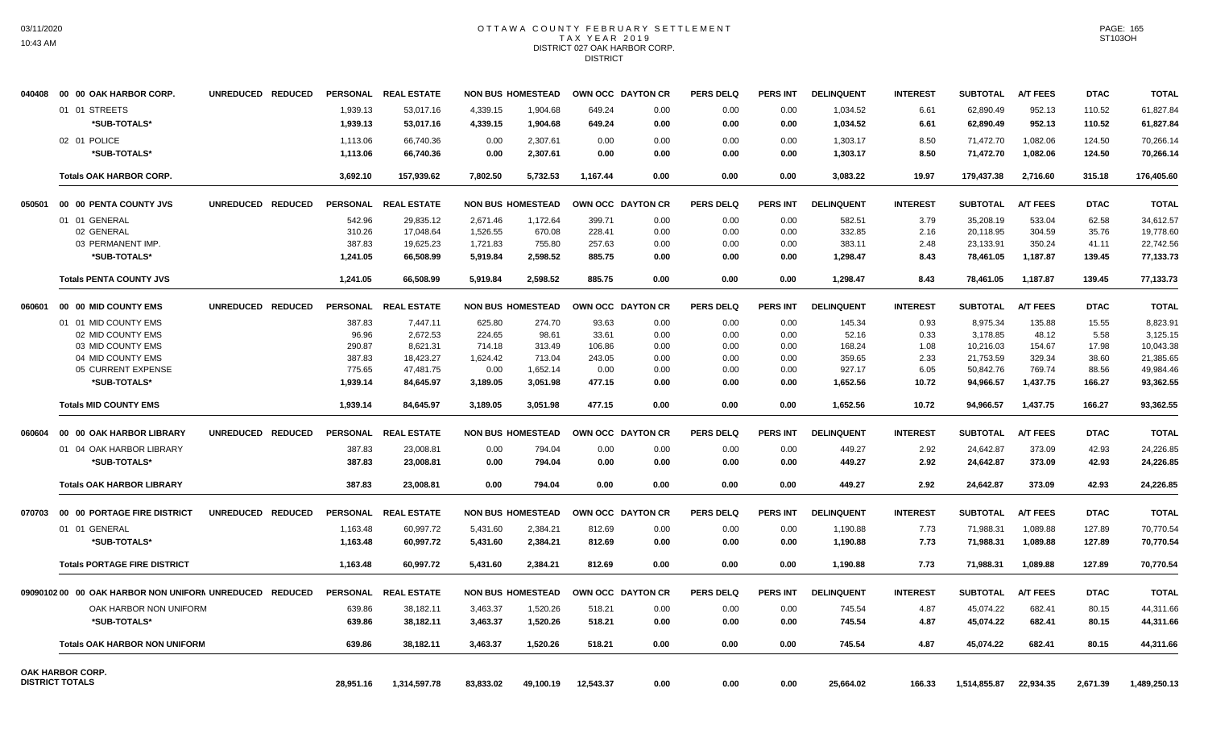# OTTAWA COUNTY FEBRUARY SETTLEMENT TAX YEAR 2019 DISTRICT 027 OAK HARBOR CORP. DISTRICT

| 040408 | 00 00 OAK HARBOR CORP.                                  | UNREDUCED REDUCED |                |           | PERSONAL REAL ESTATE |           | <b>NON BUS HOMESTEAD</b> | OWN OCC DAYTON CR |                   | <b>PERS DELQ</b> | <b>PERS INT</b> | <b>DELINQUENT</b> | <b>INTEREST</b> | <b>SUBTOTAL</b> | <b>A/T FEES</b> | <b>DTAC</b> | <b>TOTAL</b> |
|--------|---------------------------------------------------------|-------------------|----------------|-----------|----------------------|-----------|--------------------------|-------------------|-------------------|------------------|-----------------|-------------------|-----------------|-----------------|-----------------|-------------|--------------|
|        | 01 01 STREETS                                           |                   |                | 1,939.13  | 53,017.16            | 4,339.15  | 1,904.68                 | 649.24            | 0.00              | 0.00             | 0.00            | 1,034.52          | 6.61            | 62,890.49       | 952.13          | 110.52      | 61,827.84    |
|        | *SUB-TOTALS*                                            |                   |                | 1,939.13  | 53,017.16            | 4,339.15  | 1,904.68                 | 649.24            | 0.00              | 0.00             | 0.00            | 1,034.52          | 6.61            | 62,890.49       | 952.13          | 110.52      | 61,827.84    |
|        | 02 01 POLICE                                            |                   |                | 1.113.06  | 66.740.36            | 0.00      | 2.307.61                 | 0.00              | 0.00              | 0.00             | 0.00            | 1,303.17          | 8.50            | 71,472.70       | 1.082.06        | 124.50      | 70.266.14    |
|        | *SUB-TOTALS*                                            |                   |                | 1,113.06  | 66,740.36            | 0.00      | 2,307.61                 | 0.00              | 0.00              | 0.00             | 0.00            | 1,303.17          | 8.50            | 71,472.70       | 1,082.06        | 124.50      | 70,266.14    |
|        | <b>Totals OAK HARBOR CORP.</b>                          |                   |                | 3,692.10  | 157,939.62           | 7.802.50  | 5,732.53                 | 1,167.44          | 0.00              | 0.00             | 0.00            | 3.083.22          | 19.97           | 179,437.38      | 2,716.60        | 315.18      | 176,405.60   |
| 050501 | 00 00 PENTA COUNTY JVS                                  | UNREDUCED REDUCED |                |           | PERSONAL REAL ESTATE |           | <b>NON BUS HOMESTEAD</b> |                   | OWN OCC DAYTON CR | <b>PERS DELQ</b> | <b>PERS INT</b> | <b>DELINQUENT</b> | <b>INTEREST</b> | <b>SUBTOTAL</b> | <b>A/T FEES</b> | <b>DTAC</b> | <b>TOTAL</b> |
|        | 01 01 GENERAL                                           |                   |                | 542.96    | 29,835.12            | 2,671.46  | 1,172.64                 | 399.71            | 0.00              | 0.00             | 0.00            | 582.51            | 3.79            | 35,208.19       | 533.04          | 62.58       | 34.612.57    |
|        | 02 GENERAL                                              |                   |                | 310.26    | 17,048.64            | 1,526.55  | 670.08                   | 228.41            | 0.00              | 0.00             | 0.00            | 332.85            | 2.16            | 20,118.95       | 304.59          | 35.76       | 19,778.60    |
|        | 03 PERMANENT IMP.                                       |                   |                | 387.83    | 19,625.23            | 1,721.83  | 755.80                   | 257.63            | 0.00              | 0.00             | 0.00            | 383.11            | 2.48            | 23,133.91       | 350.24          | 41.11       | 22,742.56    |
|        | *SUB-TOTALS*                                            |                   |                | 1,241.05  | 66,508.99            | 5,919.84  | 2,598.52                 | 885.75            | 0.00              | 0.00             | 0.00            | 1,298.47          | 8.43            | 78,461.05       | 1,187.87        | 139.45      | 77,133.73    |
|        | <b>Totals PENTA COUNTY JVS</b>                          |                   |                | 1.241.05  | 66.508.99            | 5.919.84  | 2.598.52                 | 885.75            | 0.00              | 0.00             | 0.00            | 1,298.47          | 8.43            | 78,461.05       | 1,187.87        | 139.45      | 77.133.73    |
| 060601 | 00 00 MID COUNTY EMS                                    | <b>UNREDUCED</b>  | <b>REDUCED</b> |           | PERSONAL REAL ESTATE |           | <b>NON BUS HOMESTEAD</b> | OWN OCC DAYTON CR |                   | <b>PERS DELQ</b> | <b>PERS INT</b> | <b>DELINQUENT</b> | <b>INTEREST</b> | <b>SUBTOTAL</b> | <b>A/T FEES</b> | <b>DTAC</b> | <b>TOTAL</b> |
|        | 01 01 MID COUNTY EMS                                    |                   |                | 387.83    | 7,447.11             | 625.80    | 274.70                   | 93.63             | 0.00              | 0.00             | 0.00            | 145.34            | 0.93            | 8,975.34        | 135.88          | 15.55       | 8.823.91     |
|        | 02 MID COUNTY EMS                                       |                   |                | 96.96     | 2,672.53             | 224.65    | 98.61                    | 33.61             | 0.00              | 0.00             | 0.00            | 52.16             | 0.33            | 3,178.85        | 48.12           | 5.58        | 3,125.15     |
|        | 03 MID COUNTY EMS                                       |                   |                | 290.87    | 8.621.31             | 714.18    | 313.49                   | 106.86            | 0.00              | 0.00             | 0.00            | 168.24            | 1.08            | 10,216.03       | 154.67          | 17.98       | 10,043.38    |
|        | 04 MID COUNTY EMS                                       |                   |                | 387.83    | 18,423.27            | 1,624.42  | 713.04                   | 243.05            | 0.00              | 0.00             | 0.00            | 359.65            | 2.33            | 21,753.59       | 329.34          | 38.60       | 21,385.65    |
|        | 05 CURRENT EXPENSE                                      |                   |                | 775.65    | 47,481.75            | 0.00      | 1,652.14                 | 0.00              | 0.00              | 0.00             | 0.00            | 927.17            | 6.05            | 50,842.76       | 769.74          | 88.56       | 49,984.46    |
|        | *SUB-TOTALS*                                            |                   |                | 1.939.14  | 84.645.97            | 3,189.05  | 3.051.98                 | 477.15            | 0.00              | 0.00             | 0.00            | 1.652.56          | 10.72           | 94.966.57       | 1.437.75        | 166.27      | 93.362.55    |
|        | <b>Totals MID COUNTY EMS</b>                            |                   |                | 1,939.14  | 84,645.97            | 3,189.05  | 3,051.98                 | 477.15            | 0.00              | 0.00             | 0.00            | 1,652.56          | 10.72           | 94,966.57       | 1,437.75        | 166.27      | 93,362.55    |
| 060604 | 00 00 OAK HARBOR LIBRARY                                | UNREDUCED REDUCED |                | PERSONAL  | <b>REAL ESTATE</b>   |           | <b>NON BUS HOMESTEAD</b> |                   | OWN OCC DAYTON CR | <b>PERS DELQ</b> | <b>PERS INT</b> | <b>DELINQUENT</b> | <b>INTEREST</b> | <b>SUBTOTAL</b> | <b>A/T FEES</b> | <b>DTAC</b> | <b>TOTAL</b> |
|        | 01 04 OAK HARBOR LIBRARY                                |                   |                | 387.83    | 23,008.81            | 0.00      | 794.04                   | 0.00              | 0.00              | 0.00             | 0.00            | 449.27            | 2.92            | 24,642.87       | 373.09          | 42.93       | 24,226.85    |
|        | *SUB-TOTALS*                                            |                   |                | 387.83    | 23,008.81            | 0.00      | 794.04                   | 0.00              | 0.00              | 0.00             | 0.00            | 449.27            | 2.92            | 24,642.87       | 373.09          | 42.93       | 24,226.85    |
|        | <b>Totals OAK HARBOR LIBRARY</b>                        |                   |                | 387.83    | 23,008.81            | 0.00      | 794.04                   | 0.00              | 0.00              | 0.00             | 0.00            | 449.27            | 2.92            | 24,642.87       | 373.09          | 42.93       | 24,226.85    |
| 070703 | 00 00 PORTAGE FIRE DISTRICT                             | UNREDUCED REDUCED |                |           | PERSONAL REAL ESTATE |           | <b>NON BUS HOMESTEAD</b> | OWN OCC DAYTON CR |                   | <b>PERS DELQ</b> | <b>PERS INT</b> | <b>DELINQUENT</b> | <b>INTEREST</b> | <b>SUBTOTAL</b> | <b>A/T FEES</b> | <b>DTAC</b> | <b>TOTAL</b> |
|        | 01 01 GENERAL                                           |                   |                | 1,163.48  | 60,997.72            | 5,431.60  | 2,384.21                 | 812.69            | 0.00              | 0.00             | 0.00            | 1,190.88          | 7.73            | 71,988.31       | 1,089.88        | 127.89      | 70,770.54    |
|        | *SUB-TOTALS*                                            |                   |                | 1,163.48  | 60,997.72            | 5,431.60  | 2.384.21                 | 812.69            | 0.00              | 0.00             | 0.00            | 1,190.88          | 7.73            | 71,988.31       | 1.089.88        | 127.89      | 70,770.54    |
|        | <b>Totals PORTAGE FIRE DISTRICT</b>                     |                   |                | 1,163.48  | 60,997.72            | 5,431.60  | 2,384.21                 | 812.69            | 0.00              | 0.00             | 0.00            | 1,190.88          | 7.73            | 71,988.31       | 1,089.88        | 127.89      | 70,770.54    |
|        | 09090102 00 00 OAK HARBOR NON UNIFORM UNREDUCED REDUCED |                   |                |           | PERSONAL REAL ESTATE |           | <b>NON BUS HOMESTEAD</b> |                   | OWN OCC DAYTON CR | <b>PERS DELQ</b> | <b>PERS INT</b> | <b>DELINQUENT</b> | <b>INTEREST</b> | <b>SUBTOTAL</b> | <b>A/T FEES</b> | <b>DTAC</b> | <b>TOTAL</b> |
|        | OAK HARBOR NON UNIFORM                                  |                   |                | 639.86    | 38,182.11            | 3,463.37  | 1,520.26                 | 518.21            | 0.00              | 0.00             | 0.00            | 745.54            | 4.87            | 45,074.22       | 682.41          | 80.15       | 44,311.66    |
|        | *SUB-TOTALS*                                            |                   |                | 639.86    | 38,182.11            | 3,463.37  | 1,520.26                 | 518.21            | 0.00              | 0.00             | 0.00            | 745.54            | 4.87            | 45,074.22       | 682.41          | 80.15       | 44,311.66    |
|        | <b>Totals OAK HARBOR NON UNIFORM</b>                    |                   |                | 639.86    | 38.182.11            | 3.463.37  | 1.520.26                 | 518.21            | 0.00              | 0.00             | 0.00            | 745.54            | 4.87            | 45.074.22       | 682.41          | 80.15       | 44,311.66    |
|        | OAK HARBOR CORP.                                        |                   |                |           |                      |           |                          |                   |                   |                  |                 |                   |                 |                 |                 |             |              |
|        | <b>DISTRICT TOTALS</b>                                  |                   |                | 28.951.16 | 1.314.597.78         | 83.833.02 | 49.100.19                | 12.543.37         | 0.00              | 0.00             | 0.00            | 25.664.02         | 166.33          | 1.514.855.87    | 22.934.35       | 2.671.39    | 1,489,250.13 |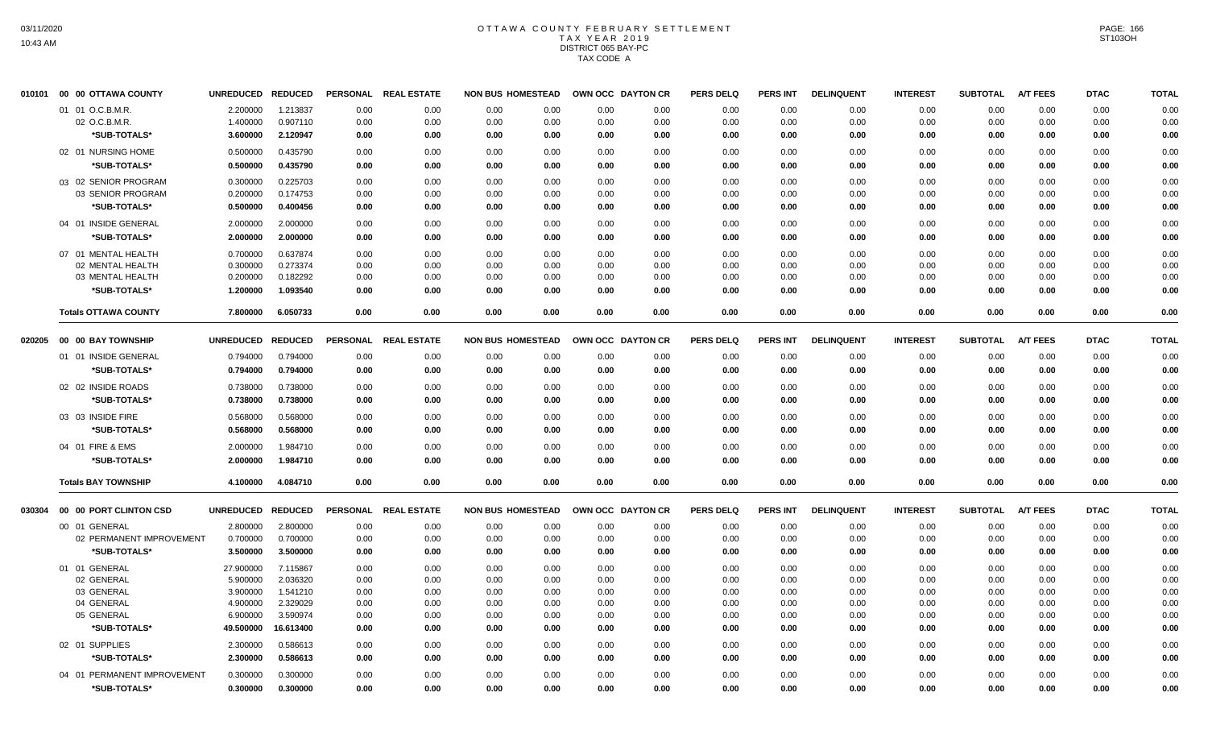## OTTAWA COUNTY FEBRUARY SETTLEMENT TAX YEAR 2019 DISTRICT 065 BAY-PC TAX CODE A

| 010101 | 00 00 OTTAWA COUNTY         | UNREDUCED REDUCED |                | <b>PERSONAL</b> | <b>REAL ESTATE</b> | <b>NON BUS HOMESTEAD</b> |      | OWN OCC DAYTON CR |      | <b>PERS DELQ</b> | PERS INT        | <b>DELINQUENT</b> | <b>INTEREST</b> | <b>SUBTOTAL</b> | <b>A/T FEES</b> | <b>DTAC</b> | <b>TOTAL</b> |
|--------|-----------------------------|-------------------|----------------|-----------------|--------------------|--------------------------|------|-------------------|------|------------------|-----------------|-------------------|-----------------|-----------------|-----------------|-------------|--------------|
|        | 01 01 O.C.B.M.R.            | 2.200000          | 1.213837       | 0.00            | 0.00               | 0.00                     | 0.00 | 0.00              | 0.00 | 0.00             | 0.00            | 0.00              | 0.00            | 0.00            | 0.00            | 0.00        | 0.00         |
|        | 02 O.C.B.M.R.               | 1.400000          | 0.907110       | 0.00            | 0.00               | 0.00                     | 0.00 | 0.00              | 0.00 | 0.00             | 0.00            | 0.00              | 0.00            | 0.00            | 0.00            | 0.00        | 0.00         |
|        | *SUB-TOTALS*                | 3.600000          | 2.120947       | 0.00            | 0.00               | 0.00                     | 0.00 | 0.00              | 0.00 | 0.00             | 0.00            | 0.00              | 0.00            | 0.00            | 0.00            | 0.00        | 0.00         |
|        | 02 01 NURSING HOME          | 0.500000          | 0.435790       | 0.00            | 0.00               | 0.00                     | 0.00 | 0.00              | 0.00 | 0.00             | 0.00            | 0.00              | 0.00            | 0.00            | 0.00            | 0.00        | 0.00         |
|        | *SUB-TOTALS*                | 0.500000          | 0.435790       | 0.00            | 0.00               | 0.00                     | 0.00 | 0.00              | 0.00 | 0.00             | 0.00            | 0.00              | 0.00            | 0.00            | 0.00            | 0.00        | 0.00         |
|        | 03 02 SENIOR PROGRAM        | 0.300000          | 0.225703       | 0.00            | 0.00               | 0.00                     | 0.00 | 0.00              | 0.00 | 0.00             | 0.00            | 0.00              | 0.00            | 0.00            | 0.00            | 0.00        | 0.00         |
|        | 03 SENIOR PROGRAM           | 0.200000          | 0.174753       | 0.00            | 0.00               | 0.00                     | 0.00 | 0.00              | 0.00 | 0.00             | 0.00            | 0.00              | 0.00            | 0.00            | 0.00            | 0.00        | 0.00         |
|        | *SUB-TOTALS*                | 0.500000          | 0.400456       | 0.00            | 0.00               | 0.00                     | 0.00 | 0.00              | 0.00 | 0.00             | 0.00            | 0.00              | 0.00            | 0.00            | 0.00            | 0.00        | 0.00         |
|        | 04 01 INSIDE GENERAL        | 2.000000          | 2.000000       | 0.00            | 0.00               | 0.00                     | 0.00 | 0.00              | 0.00 | 0.00             | 0.00            | 0.00              | 0.00            | 0.00            | 0.00            | 0.00        | 0.00         |
|        | *SUB-TOTALS*                | 2.000000          | 2.000000       | 0.00            | 0.00               | 0.00                     | 0.00 | 0.00              | 0.00 | 0.00             | 0.00            | 0.00              | 0.00            | 0.00            | 0.00            | 0.00        | 0.00         |
|        | 07 01 MENTAL HEALTH         | 0.700000          | 0.637874       | 0.00            | 0.00               | 0.00                     | 0.00 | 0.00              | 0.00 | 0.00             | 0.00            | 0.00              | 0.00            | 0.00            | 0.00            | 0.00        | 0.00         |
|        | 02 MENTAL HEALTH            | 0.300000          | 0.273374       | 0.00            | 0.00               | 0.00                     | 0.00 | 0.00              | 0.00 | 0.00             | 0.00            | 0.00              | 0.00            | 0.00            | 0.00            | 0.00        | 0.00         |
|        | 03 MENTAL HEALTH            | 0.200000          | 0.182292       | 0.00            | 0.00               | 0.00                     | 0.00 | 0.00              | 0.00 | 0.00             | 0.00            | 0.00              | 0.00            | 0.00            | 0.00            | 0.00        | 0.00         |
|        | *SUB-TOTALS*                | 1.200000          | 1.093540       | 0.00            | 0.00               | 0.00                     | 0.00 | 0.00              | 0.00 | 0.00             | 0.00            | 0.00              | 0.00            | 0.00            | 0.00            | 0.00        | 0.00         |
|        | <b>Totals OTTAWA COUNTY</b> | 7.800000          | 6.050733       | 0.00            | 0.00               | 0.00                     | 0.00 | 0.00              | 0.00 | 0.00             | 0.00            | 0.00              | 0.00            | 0.00            | 0.00            | 0.00        | 0.00         |
| 020205 | 00 00 BAY TOWNSHIP          | <b>UNREDUCED</b>  | <b>REDUCED</b> | <b>PERSONAL</b> | <b>REAL ESTATE</b> | <b>NON BUS HOMESTEAD</b> |      | OWN OCC DAYTON CR |      | <b>PERS DELQ</b> | <b>PERS INT</b> | <b>DELINQUENT</b> | <b>INTEREST</b> | <b>SUBTOTAL</b> | <b>A/T FEES</b> | <b>DTAC</b> | <b>TOTAL</b> |
|        | 01 01 INSIDE GENERAL        | 0.794000          | 0.794000       | 0.00            | 0.00               | 0.00                     | 0.00 | 0.00              | 0.00 | 0.00             | 0.00            | 0.00              | 0.00            | 0.00            | 0.00            | 0.00        | 0.00         |
|        | *SUB-TOTALS*                | 0.794000          | 0.794000       | 0.00            | 0.00               | 0.00                     | 0.00 | 0.00              | 0.00 | 0.00             | 0.00            | 0.00              | 0.00            | 0.00            | 0.00            | 0.00        | 0.00         |
|        | 02 02 INSIDE ROADS          |                   |                |                 |                    |                          |      |                   |      |                  |                 |                   |                 |                 |                 |             |              |
|        |                             | 0.738000          | 0.738000       | 0.00            | 0.00               | 0.00                     | 0.00 | 0.00              | 0.00 | 0.00             | 0.00            | 0.00              | 0.00            | 0.00            | 0.00            | 0.00        | 0.00         |
|        | *SUB-TOTALS*                | 0.738000          | 0.738000       | 0.00            | 0.00               | 0.00                     | 0.00 | 0.00              | 0.00 | 0.00             | 0.00            | 0.00              | 0.00            | 0.00            | 0.00            | 0.00        | 0.00         |
|        | 03 03 INSIDE FIRE           | 0.568000          | 0.568000       | 0.00            | 0.00               | 0.00                     | 0.00 | 0.00              | 0.00 | 0.00             | 0.00            | 0.00              | 0.00            | 0.00            | 0.00            | 0.00        | 0.00         |
|        | *SUB-TOTALS*                | 0.568000          | 0.568000       | 0.00            | 0.00               | 0.00                     | 0.00 | 0.00              | 0.00 | 0.00             | 0.00            | 0.00              | 0.00            | 0.00            | 0.00            | 0.00        | 0.00         |
|        | 04 01 FIRE & EMS            | 2.000000          | 1.984710       | 0.00            | 0.00               | 0.00                     | 0.00 | 0.00              | 0.00 | 0.00             | 0.00            | 0.00              | 0.00            | 0.00            | 0.00            | 0.00        | 0.00         |
|        | *SUB-TOTALS*                | 2.000000          | 1.984710       | 0.00            | 0.00               | 0.00                     | 0.00 | 0.00              | 0.00 | 0.00             | 0.00            | 0.00              | 0.00            | 0.00            | 0.00            | 0.00        | 0.00         |
|        | <b>Totals BAY TOWNSHIP</b>  | 4.100000          | 4.084710       | 0.00            | 0.00               | 0.00                     | 0.00 | 0.00              | 0.00 | 0.00             | 0.00            | 0.00              | 0.00            | 0.00            | 0.00            | 0.00        | 0.00         |
| 030304 | 00 00 PORT CLINTON CSD      | UNREDUCED REDUCED |                | <b>PERSONAL</b> | <b>REAL ESTATE</b> | <b>NON BUS HOMESTEAD</b> |      | OWN OCC DAYTON CR |      | <b>PERS DELQ</b> | <b>PERS INT</b> | <b>DELINQUENT</b> | <b>INTEREST</b> | <b>SUBTOTAL</b> | <b>A/T FEES</b> | <b>DTAC</b> | <b>TOTAL</b> |
|        | 00 01 GENERAL               | 2.800000          | 2.800000       | 0.00            | 0.00               | 0.00                     | 0.00 | 0.00              | 0.00 | 0.00             | 0.00            | 0.00              | 0.00            | 0.00            | 0.00            | 0.00        | 0.00         |
|        | 02 PERMANENT IMPROVEMENT    | 0.700000          | 0.700000       | 0.00            | 0.00               | 0.00                     | 0.00 | 0.00              | 0.00 | 0.00             | 0.00            | 0.00              | 0.00            | 0.00            | 0.00            | 0.00        | 0.00         |
|        | *SUB-TOTALS*                | 3.500000          | 3.500000       | 0.00            | 0.00               | 0.00                     | 0.00 | 0.00              | 0.00 | 0.00             | 0.00            | 0.00              | 0.00            | 0.00            | 0.00            | 0.00        | 0.00         |
|        | 01 01 GENERAL               | 27.900000         | 7.115867       | 0.00            | 0.00               | 0.00                     | 0.00 | 0.00              | 0.00 | 0.00             | 0.00            | 0.00              | 0.00            | 0.00            | 0.00            | 0.00        | 0.00         |
|        | 02 GENERAL                  | 5.900000          | 2.036320       | 0.00            | 0.00               | 0.00                     | 0.00 | 0.00              | 0.00 | 0.00             | 0.00            | 0.00              | 0.00            | 0.00            | 0.00            | 0.00        | 0.00         |
|        | 03 GENERAL                  | 3.900000          | 1.541210       | 0.00            | 0.00               | 0.00                     | 0.00 | 0.00              | 0.00 | 0.00             | 0.00            | 0.00              | 0.00            | 0.00            | 0.00            | 0.00        | 0.00         |
|        | 04 GENERAL                  | 4.900000          | 2.329029       | 0.00            | 0.00               | 0.00                     | 0.00 | 0.00              | 0.00 | 0.00             | 0.00            | 0.00              | 0.00            | 0.00            | 0.00            | 0.00        | 0.00         |
|        | 05 GENERAL                  | 6.900000          | 3.590974       | 0.00            | 0.00               | 0.00                     | 0.00 | 0.00              | 0.00 | 0.00             | 0.00            | 0.00              | 0.00            | 0.00            | 0.00            | 0.00        | 0.00         |
|        | *SUB-TOTALS*                | 49.500000         | 16.613400      | 0.00            | 0.00               | 0.00                     | 0.00 | 0.00              | 0.00 | 0.00             | 0.00            | 0.00              | 0.00            | 0.00            | 0.00            | 0.00        | 0.00         |
|        | 02 01 SUPPLIES              | 2.300000          | 0.586613       | 0.00            | 0.00               | 0.00                     | 0.00 | 0.00              | 0.00 | 0.00             | 0.00            | 0.00              | 0.00            | 0.00            | 0.00            | 0.00        | 0.00         |
|        | *SUB-TOTALS*                | 2.300000          | 0.586613       | 0.00            | 0.00               | 0.00                     | 0.00 | 0.00              | 0.00 | 0.00             | 0.00            | 0.00              | 0.00            | 0.00            | 0.00            | 0.00        | 0.00         |
|        | 04 01 PERMANENT IMPROVEMENT | 0.300000          | 0.300000       | 0.00            | 0.00               | 0.00                     | 0.00 | 0.00              | 0.00 | 0.00             | 0.00            | 0.00              | 0.00            | 0.00            | 0.00            | 0.00        | 0.00         |
|        | *SUB-TOTALS*                | 0.300000          | 0.300000       | 0.00            | 0.00               | 0.00                     | 0.00 | 0.00              | 0.00 | 0.00             | 0.00            | 0.00              | 0.00            | 0.00            | 0.00            | 0.00        | 0.00         |
|        |                             |                   |                |                 |                    |                          |      |                   |      |                  |                 |                   |                 |                 |                 |             |              |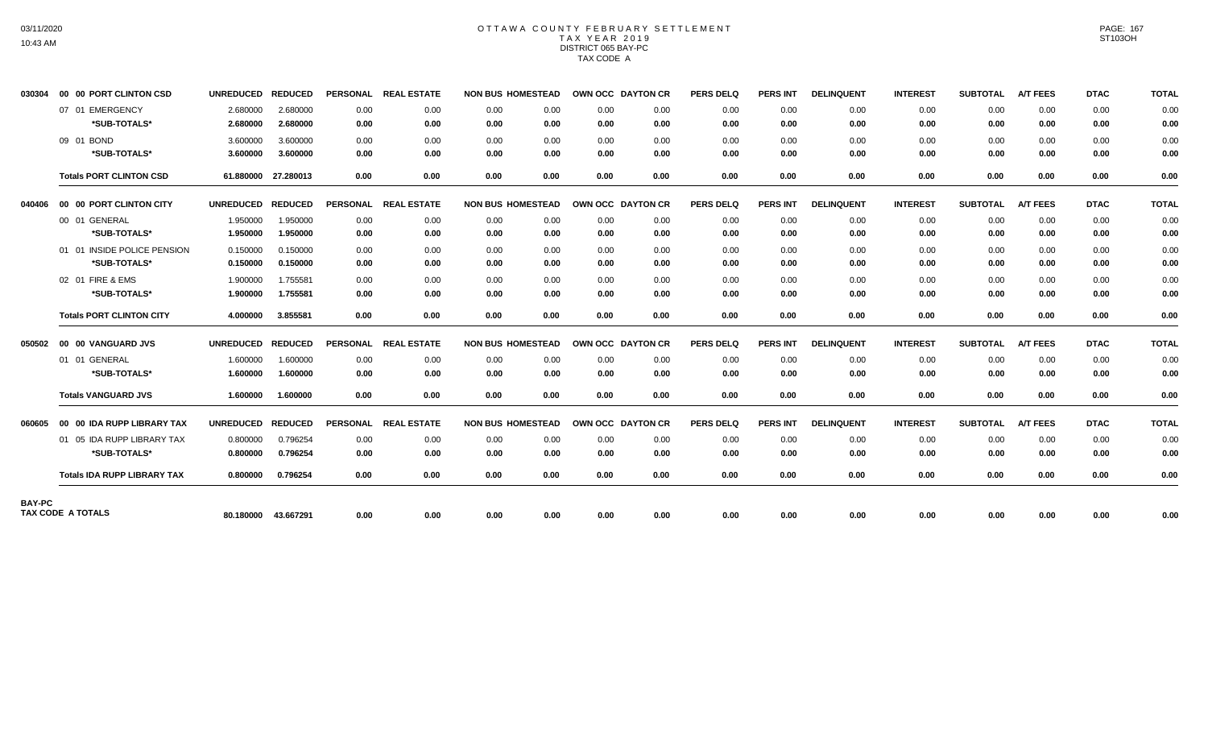## OTTAWA COUNTY FEBRUARY SETTLEMENT TAX YEAR 2019 DISTRICT 065 BAY-PC TAX CODE A

| 030304        | 00 00 PORT CLINTON CSD             | UNREDUCED REDUCED |                     |                 | PERSONAL REAL ESTATE | <b>NON BUS HOMESTEAD</b> | OWN OCC DAYTON CR |      | <b>PERS DELQ</b> | <b>PERS INT</b> | <b>DELINQUENT</b> | <b>INTEREST</b> | <b>SUBTOTAL</b> | <b>A/T FEES</b> | <b>DTAC</b> | <b>TOTAL</b> |
|---------------|------------------------------------|-------------------|---------------------|-----------------|----------------------|--------------------------|-------------------|------|------------------|-----------------|-------------------|-----------------|-----------------|-----------------|-------------|--------------|
|               | 07 01 EMERGENCY                    | 2.680000          | 2.680000            | 0.00            | 0.00                 | 0.00<br>0.00             | 0.00              | 0.00 | 0.00             | 0.00            | 0.00              | 0.00            | 0.00            | 0.00            | 0.00        | 0.00         |
|               | *SUB-TOTALS*                       | 2.680000          | 2.680000            | 0.00            | 0.00                 | 0.00<br>0.00             | 0.00              | 0.00 | 0.00             | 0.00            | 0.00              | 0.00            | 0.00            | 0.00            | 0.00        | 0.00         |
|               | 09 01 BOND                         | 3.600000          | 3.600000            | 0.00            | 0.00                 | 0.00<br>0.00             | 0.00              | 0.00 | 0.00             | 0.00            | 0.00              | 0.00            | 0.00            | 0.00            | 0.00        | 0.00         |
|               | *SUB-TOTALS*                       | 3.600000          | 3.600000            | 0.00            | 0.00                 | 0.00<br>0.00             | 0.00              | 0.00 | 0.00             | 0.00            | 0.00              | 0.00            | 0.00            | 0.00            | 0.00        | 0.00         |
|               | <b>Totals PORT CLINTON CSD</b>     |                   | 61.880000 27.280013 | 0.00            | 0.00                 | 0.00<br>0.00             | 0.00              | 0.00 | 0.00             | 0.00            | 0.00              | 0.00            | 0.00            | 0.00            | 0.00        | 0.00         |
| 040406        | 00 00 PORT CLINTON CITY            | UNREDUCED REDUCED |                     | <b>PERSONAL</b> | <b>REAL ESTATE</b>   | <b>NON BUS HOMESTEAD</b> | OWN OCC DAYTON CR |      | <b>PERS DELQ</b> | <b>PERS INT</b> | <b>DELINQUENT</b> | <b>INTEREST</b> | <b>SUBTOTAL</b> | <b>A/T FEES</b> | <b>DTAC</b> | <b>TOTAL</b> |
|               | 00 01 GENERAL                      | 1.950000          | 1.950000            | 0.00            | 0.00                 | 0.00<br>0.00             | 0.00              | 0.00 | 0.00             | 0.00            | 0.00              | 0.00            | 0.00            | 0.00            | 0.00        | 0.00         |
|               | *SUB-TOTALS*                       | 1.950000          | 1.950000            | 0.00            | 0.00                 | 0.00<br>0.00             | 0.00              | 0.00 | 0.00             | 0.00            | 0.00              | 0.00            | 0.00            | 0.00            | 0.00        | 0.00         |
|               | 01 01 INSIDE POLICE PENSION        | 0.150000          | 0.150000            | 0.00            | 0.00                 | 0.00<br>0.00             | 0.00              | 0.00 | 0.00             | 0.00            | 0.00              | 0.00            | 0.00            | 0.00            | 0.00        | 0.00         |
|               | *SUB-TOTALS*                       | 0.150000          | 0.150000            | 0.00            | 0.00                 | 0.00<br>0.00             | 0.00              | 0.00 | 0.00             | 0.00            | 0.00              | 0.00            | 0.00            | 0.00            | 0.00        | 0.00         |
|               | 02 01 FIRE & EMS                   | 1.900000          | 1.755581            | 0.00            | 0.00                 | 0.00<br>0.00             | 0.00              | 0.00 | 0.00             | 0.00            | 0.00              | 0.00            | 0.00            | 0.00            | 0.00        | 0.00         |
|               | *SUB-TOTALS*                       | 1.900000          | 1.755581            | 0.00            | 0.00                 | 0.00<br>0.00             | 0.00              | 0.00 | 0.00             | 0.00            | 0.00              | 0.00            | 0.00            | 0.00            | 0.00        | 0.00         |
|               | <b>Totals PORT CLINTON CITY</b>    | 4.000000          | 3.855581            | 0.00            | 0.00                 | 0.00<br>0.00             | 0.00              | 0.00 | 0.00             | 0.00            | 0.00              | 0.00            | 0.00            | 0.00            | 0.00        | 0.00         |
| 050502        | 00 00 VANGUARD JVS                 | <b>UNREDUCED</b>  | <b>REDUCED</b>      | <b>PERSONAL</b> | <b>REAL ESTATE</b>   | <b>NON BUS HOMESTEAD</b> | OWN OCC DAYTON CR |      | <b>PERS DELQ</b> | <b>PERS INT</b> | <b>DELINQUENT</b> | <b>INTEREST</b> | <b>SUBTOTAL</b> | <b>A/T FEES</b> | <b>DTAC</b> | <b>TOTAL</b> |
|               | 01 01 GENERAL                      | 1.600000          | 1.600000            | 0.00            | 0.00                 | 0.00<br>0.00             | 0.00              | 0.00 | 0.00             | 0.00            | 0.00              | 0.00            | 0.00            | 0.00            | 0.00        | 0.00         |
|               | *SUB-TOTALS*                       | 1.600000          | 1.600000            | 0.00            | 0.00                 | 0.00<br>0.00             | 0.00              | 0.00 | 0.00             | 0.00            | 0.00              | 0.00            | 0.00            | 0.00            | 0.00        | 0.00         |
|               | <b>Totals VANGUARD JVS</b>         | 1.600000          | 1.600000            | 0.00            | 0.00                 | 0.00<br>0.00             | 0.00              | 0.00 | 0.00             | 0.00            | 0.00              | 0.00            | 0.00            | 0.00            | 0.00        | 0.00         |
| 060605        | 00 00 IDA RUPP LIBRARY TAX         | UNREDUCED REDUCED |                     | <b>PERSONAL</b> | <b>REAL ESTATE</b>   | <b>NON BUS HOMESTEAD</b> | OWN OCC DAYTON CR |      | <b>PERS DELQ</b> | <b>PERS INT</b> | <b>DELINQUENT</b> | <b>INTEREST</b> | <b>SUBTOTAL</b> | <b>A/T FEES</b> | <b>DTAC</b> | <b>TOTAL</b> |
|               | 01 05 IDA RUPP LIBRARY TAX         | 0.800000          | 0.796254            | 0.00            | 0.00                 | 0.00<br>0.00             | 0.00              | 0.00 | 0.00             | 0.00            | 0.00              | 0.00            | 0.00            | 0.00            | 0.00        | 0.00         |
|               | *SUB-TOTALS*                       | 0.800000          | 0.796254            | 0.00            | 0.00                 | 0.00<br>0.00             | 0.00              | 0.00 | 0.00             | 0.00            | 0.00              | 0.00            | 0.00            | 0.00            | 0.00        | 0.00         |
|               | <b>Totals IDA RUPP LIBRARY TAX</b> | 0.800000          | 0.796254            | 0.00            | 0.00                 | 0.00<br>0.00             | 0.00              | 0.00 | 0.00             | 0.00            | 0.00              | 0.00            | 0.00            | 0.00            | 0.00        | 0.00         |
| <b>BAY-PC</b> |                                    |                   |                     |                 |                      |                          |                   |      |                  |                 |                   |                 |                 |                 |             |              |
|               | TAX CODE A TOTALS                  |                   | 80.180000 43.667291 | 0.00            | 0.00                 | 0.00<br>0.00             | 0.00              | 0.00 | 0.00             | 0.00            | 0.00              | 0.00            | 0.00            | 0.00            | 0.00        | 0.00         |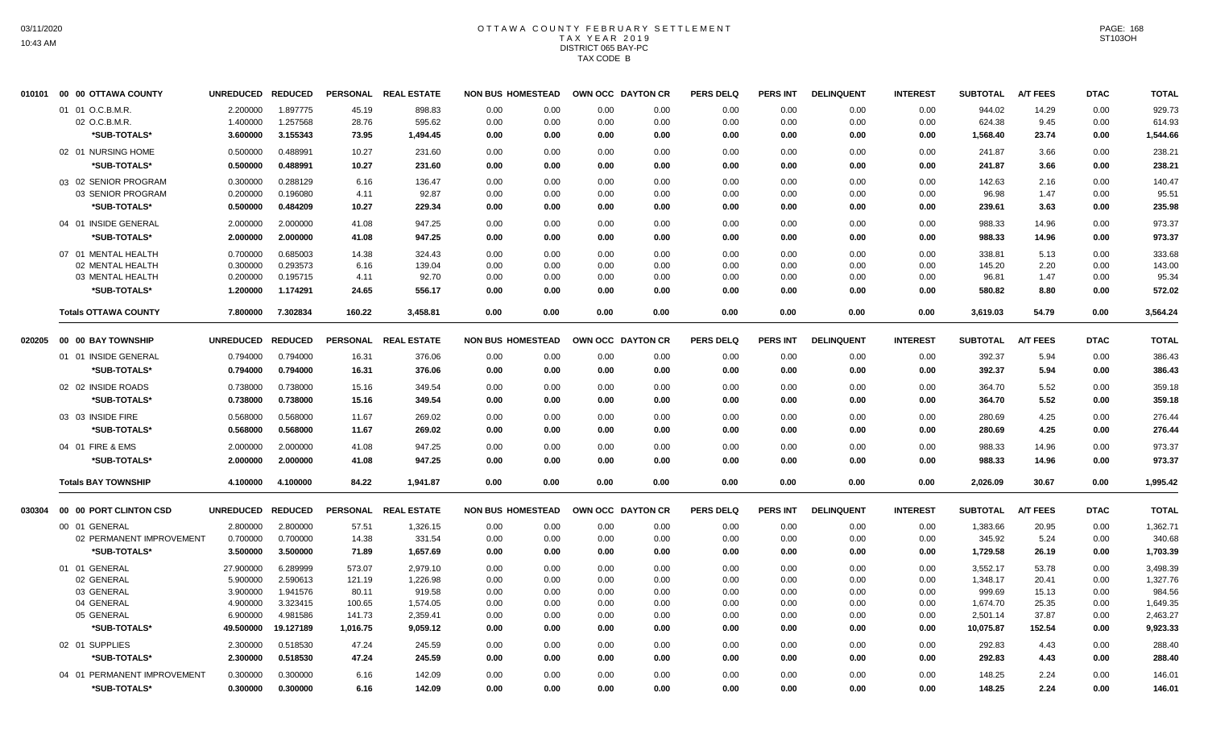## OTTAWA COUNTY FEBRUARY SETTLEMENT TAX YEAR 2019 DISTRICT 065 BAY-PC TAX CODE B

|        | 010101 00 00 OTTAWA COUNTY  | UNREDUCED REDUCED |           |                 | PERSONAL REAL ESTATE | <b>NON BUS HOMESTEAD</b> |      | OWN OCC DAYTON CR |      | <b>PERS DELQ</b> | <b>PERS INT</b> | <b>DELINQUENT</b> | <b>INTEREST</b> | <b>SUBTOTAL</b> | <b>A/T FEES</b> | <b>DTAC</b> | <b>TOTAL</b> |
|--------|-----------------------------|-------------------|-----------|-----------------|----------------------|--------------------------|------|-------------------|------|------------------|-----------------|-------------------|-----------------|-----------------|-----------------|-------------|--------------|
|        | 01 01 O.C.B.M.R.            | 2.200000          | 1.897775  | 45.19           | 898.83               | 0.00                     | 0.00 | 0.00              | 0.00 | 0.00             | 0.00            | 0.00              | 0.00            | 944.02          | 14.29           | 0.00        | 929.73       |
|        | 02 O.C.B.M.R.               | 1.400000          | 1.257568  | 28.76           | 595.62               | 0.00                     | 0.00 | 0.00              | 0.00 | 0.00             | 0.00            | 0.00              | 0.00            | 624.38          | 9.45            | 0.00        | 614.93       |
|        | *SUB-TOTALS*                | 3.600000          | 3.155343  | 73.95           | 1,494.45             | 0.00                     | 0.00 | 0.00              | 0.00 | 0.00             | 0.00            | 0.00              | 0.00            | 1,568.40        | 23.74           | 0.00        | 1,544.66     |
|        | 02 01 NURSING HOME          | 0.500000          | 0.488991  | 10.27           | 231.60               | 0.00                     | 0.00 | 0.00              | 0.00 | 0.00             | 0.00            | 0.00              | 0.00            | 241.87          | 3.66            | 0.00        | 238.21       |
|        | *SUB-TOTALS*                | 0.500000          | 0.488991  | 10.27           | 231.60               | 0.00                     | 0.00 | 0.00              | 0.00 | 0.00             | 0.00            | 0.00              | 0.00            | 241.87          | 3.66            | 0.00        | 238.21       |
|        | 03 02 SENIOR PROGRAM        | 0.300000          | 0.288129  | 6.16            | 136.47               | 0.00                     | 0.00 | 0.00              | 0.00 | 0.00             | 0.00            | 0.00              | 0.00            | 142.63          | 2.16            | 0.00        | 140.47       |
|        | 03 SENIOR PROGRAM           | 0.200000          | 0.196080  | 4.11            | 92.87                | 0.00                     | 0.00 | 0.00              | 0.00 | 0.00             | 0.00            | 0.00              | 0.00            | 96.98           | 1.47            | 0.00        | 95.51        |
|        | *SUB-TOTALS*                | 0.500000          | 0.484209  | 10.27           | 229.34               | 0.00                     | 0.00 | 0.00              | 0.00 | 0.00             | 0.00            | 0.00              | 0.00            | 239.61          | 3.63            | 0.00        | 235.98       |
|        | 04 01 INSIDE GENERAL        | 2.000000          | 2.000000  | 41.08           | 947.25               | 0.00                     | 0.00 | 0.00              | 0.00 | 0.00             | 0.00            | 0.00              | 0.00            | 988.33          | 14.96           | 0.00        | 973.37       |
|        | *SUB-TOTALS*                | 2.000000          | 2.000000  | 41.08           | 947.25               | 0.00                     | 0.00 | 0.00              | 0.00 | 0.00             | 0.00            | 0.00              | 0.00            | 988.33          | 14.96           | 0.00        | 973.37       |
|        | 07 01 MENTAL HEALTH         | 0.700000          | 0.685003  | 14.38           | 324.43               | 0.00                     | 0.00 | 0.00              | 0.00 | 0.00             | 0.00            | 0.00              | 0.00            | 338.81          | 5.13            | 0.00        | 333.68       |
|        | 02 MENTAL HEALTH            | 0.300000          | 0.293573  | 6.16            | 139.04               | 0.00                     | 0.00 | 0.00              | 0.00 | 0.00             | 0.00            | 0.00              | 0.00            | 145.20          | 2.20            | 0.00        | 143.00       |
|        | 03 MENTAL HEALTH            | 0.200000          | 0.195715  | 4.11            | 92.70                | 0.00                     | 0.00 | 0.00              | 0.00 | 0.00             | 0.00            | 0.00              | 0.00            | 96.81           | 1.47            | 0.00        | 95.34        |
|        | *SUB-TOTALS*                | 1.200000          | 1.174291  | 24.65           | 556.17               | 0.00                     | 0.00 | 0.00              | 0.00 | 0.00             | 0.00            | 0.00              | 0.00            | 580.82          | 8.80            | 0.00        | 572.02       |
|        | <b>Totals OTTAWA COUNTY</b> | 7.800000          | 7.302834  | 160.22          | 3,458.81             | 0.00                     | 0.00 | 0.00              | 0.00 | 0.00             | 0.00            | 0.00              | 0.00            | 3,619.03        | 54.79           | 0.00        | 3,564.24     |
| 020205 | <b>00 00 BAY TOWNSHIP</b>   | UNREDUCED REDUCED |           | <b>PERSONAL</b> | <b>REAL ESTATE</b>   | <b>NON BUS HOMESTEAD</b> |      | OWN OCC DAYTON CR |      | <b>PERS DELQ</b> | <b>PERS INT</b> | <b>DELINQUENT</b> | <b>INTEREST</b> | <b>SUBTOTAL</b> | <b>A/T FEES</b> | <b>DTAC</b> | <b>TOTAL</b> |
|        | 01 01 INSIDE GENERAL        | 0.794000          | 0.794000  | 16.31           | 376.06               | 0.00                     | 0.00 | 0.00              | 0.00 | 0.00             | 0.00            | 0.00              | 0.00            | 392.37          | 5.94            | 0.00        | 386.43       |
|        | *SUB-TOTALS*                | 0.794000          | 0.794000  | 16.31           | 376.06               | 0.00                     | 0.00 | 0.00              | 0.00 | 0.00             | 0.00            | 0.00              | 0.00            | 392.37          | 5.94            | 0.00        | 386.43       |
|        | 02 02 INSIDE ROADS          | 0.738000          | 0.738000  | 15.16           | 349.54               | 0.00                     | 0.00 | 0.00              | 0.00 | 0.00             | 0.00            | 0.00              | 0.00            | 364.70          | 5.52            | 0.00        | 359.18       |
|        | *SUB-TOTALS*                | 0.738000          | 0.738000  | 15.16           | 349.54               | 0.00                     | 0.00 | 0.00              | 0.00 | 0.00             | 0.00            | 0.00              | 0.00            | 364.70          | 5.52            | 0.00        | 359.18       |
|        | 03 03 INSIDE FIRE           | 0.568000          | 0.568000  | 11.67           | 269.02               | 0.00                     | 0.00 | 0.00              | 0.00 | 0.00             | 0.00            | 0.00              | 0.00            | 280.69          | 4.25            | 0.00        | 276.44       |
|        | *SUB-TOTALS*                | 0.568000          | 0.568000  | 11.67           | 269.02               | 0.00                     | 0.00 | 0.00              | 0.00 | 0.00             | 0.00            | 0.00              | 0.00            | 280.69          | 4.25            | 0.00        | 276.44       |
|        | 04 01 FIRE & EMS            | 2.000000          | 2.000000  | 41.08           | 947.25               | 0.00                     | 0.00 | 0.00              | 0.00 | 0.00             | 0.00            | 0.00              | 0.00            | 988.33          | 14.96           | 0.00        | 973.37       |
|        | *SUB-TOTALS*                | 2.000000          | 2.000000  | 41.08           | 947.25               | 0.00                     | 0.00 | 0.00              | 0.00 | 0.00             | 0.00            | 0.00              | 0.00            | 988.33          | 14.96           | 0.00        | 973.37       |
|        | <b>Totals BAY TOWNSHIP</b>  | 4.100000          | 4.100000  | 84.22           | 1.941.87             | 0.00                     | 0.00 | 0.00              | 0.00 | 0.00             | 0.00            | 0.00              | 0.00            | 2,026.09        | 30.67           | 0.00        | 1,995.42     |
| 030304 | 00 00 PORT CLINTON CSD      | UNREDUCED REDUCED |           |                 | PERSONAL REAL ESTATE | <b>NON BUS HOMESTEAD</b> |      | OWN OCC DAYTON CR |      | <b>PERS DELQ</b> | <b>PERS INT</b> | <b>DELINQUENT</b> | <b>INTEREST</b> | <b>SUBTOTAL</b> | <b>A/T FEES</b> | <b>DTAC</b> | <b>TOTAL</b> |
|        | 00 01 GENERAL               | 2.800000          | 2.800000  | 57.51           | 1,326.15             | 0.00                     | 0.00 | 0.00              | 0.00 | 0.00             | 0.00            | 0.00              | 0.00            | 1,383.66        | 20.95           | 0.00        | 1,362.71     |
|        | 02 PERMANENT IMPROVEMENT    | 0.700000          | 0.700000  | 14.38           | 331.54               | 0.00                     | 0.00 | 0.00              | 0.00 | 0.00             | 0.00            | 0.00              | 0.00            | 345.92          | 5.24            | 0.00        | 340.68       |
|        | *SUB-TOTALS*                | 3.500000          | 3.500000  | 71.89           | 1,657.69             | 0.00                     | 0.00 | 0.00              | 0.00 | 0.00             | 0.00            | 0.00              | 0.00            | 1,729.58        | 26.19           | 0.00        | 1,703.39     |
|        | 01 01 GENERAL               | 27.900000         | 6.289999  | 573.07          | 2,979.10             | 0.00                     | 0.00 | 0.00              | 0.00 | 0.00             | 0.00            | 0.00              | 0.00            | 3,552.17        | 53.78           | 0.00        | 3,498.39     |
|        | 02 GENERAL                  | 5.900000          | 2.590613  | 121.19          | 1,226.98             | 0.00                     | 0.00 | 0.00              | 0.00 | 0.00             | 0.00            | 0.00              | 0.00            | 1,348.17        | 20.41           | 0.00        | 1,327.76     |
|        | 03 GENERAL                  | 3.900000          | 1.941576  | 80.11           | 919.58               | 0.00                     | 0.00 | 0.00              | 0.00 | 0.00             | 0.00            | 0.00              | 0.00            | 999.69          | 15.13           | 0.00        | 984.56       |
|        | 04 GENERAL                  | 4.900000          | 3.323415  | 100.65          | 1,574.05             | 0.00                     | 0.00 | 0.00              | 0.00 | 0.00             | 0.00            | 0.00              | 0.00            | 1,674.70        | 25.35           | 0.00        | 1,649.35     |
|        | 05 GENERAL                  | 6.900000          | 4.981586  | 141.73          | 2,359.41             | 0.00                     | 0.00 | 0.00              | 0.00 | 0.00             | 0.00            | 0.00              | 0.00            | 2,501.14        | 37.87           | 0.00        | 2,463.27     |
|        | *SUB-TOTALS*                | 49.500000         | 19.127189 | 1,016.75        | 9,059.12             | 0.00                     | 0.00 | 0.00              | 0.00 | 0.00             | 0.00            | 0.00              | 0.00            | 10,075.87       | 152.54          | 0.00        | 9,923.33     |
|        | 02 01 SUPPLIES              | 2.300000          | 0.518530  | 47.24           | 245.59               | 0.00                     | 0.00 | 0.00              | 0.00 | 0.00             | 0.00            | 0.00              | 0.00            | 292.83          | 4.43            | 0.00        | 288.40       |
|        | *SUB-TOTALS*                | 2.300000          | 0.518530  | 47.24           | 245.59               | 0.00                     | 0.00 | 0.00              | 0.00 | 0.00             | 0.00            | 0.00              | 0.00            | 292.83          | 4.43            | 0.00        | 288.40       |
|        | 04 01 PERMANENT IMPROVEMENT | 0.300000          | 0.300000  | 6.16            | 142.09               | 0.00                     | 0.00 | 0.00              | 0.00 | 0.00             | 0.00            | 0.00              | 0.00            | 148.25          | 2.24            | 0.00        | 146.01       |
|        | *SUB-TOTALS*                | 0.300000          | 0.300000  | 6.16            | 142.09               | 0.00                     | 0.00 | 0.00              | 0.00 | 0.00             | 0.00            | 0.00              | 0.00            | 148.25          | 2.24            | 0.00        | 146.01       |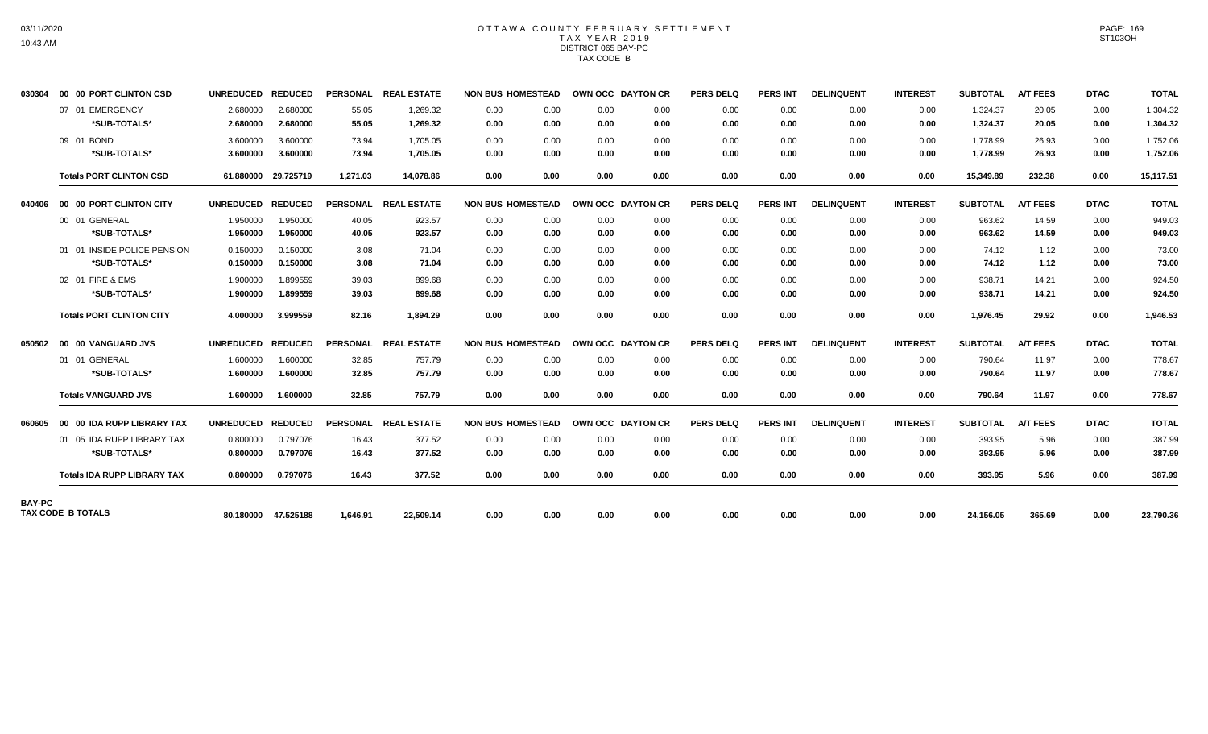## OTTAWA COUNTY FEBRUARY SETTLEMENT TAX YEAR 2019 DISTRICT 065 BAY-PC TAX CODE B

| 030304        | 00 00 PORT CLINTON CSD             | <b>UNREDUCED</b>  | <b>REDUCED</b>      |                 | PERSONAL REAL ESTATE | <b>NON BUS HOMESTEAD</b> |      | OWN OCC DAYTON CR |      | <b>PERS DELQ</b> | <b>PERS INT</b> | <b>DELINQUENT</b> | <b>INTEREST</b> | <b>SUBTOTAL</b> | <b>A/T FEES</b> | <b>DTAC</b> | <b>TOTAL</b> |
|---------------|------------------------------------|-------------------|---------------------|-----------------|----------------------|--------------------------|------|-------------------|------|------------------|-----------------|-------------------|-----------------|-----------------|-----------------|-------------|--------------|
|               | 07 01 EMERGENCY                    | 2.680000          | 2.680000            | 55.05           | 1,269.32             | 0.00                     | 0.00 | 0.00              | 0.00 | 0.00             | 0.00            | 0.00              | 0.00            | 1,324.37        | 20.05           | 0.00        | 1,304.32     |
|               | *SUB-TOTALS*                       | 2.680000          | 2.680000            | 55.05           | 1,269.32             | 0.00                     | 0.00 | 0.00              | 0.00 | 0.00             | 0.00            | 0.00              | 0.00            | 1,324.37        | 20.05           | 0.00        | 1,304.32     |
|               | 09 01 BOND                         | 3.600000          | 3.600000            | 73.94           | 1.705.05             | 0.00                     | 0.00 | 0.00              | 0.00 | 0.00             | 0.00            | 0.00              | 0.00            | 1.778.99        | 26.93           | 0.00        | 1,752.06     |
|               | *SUB-TOTALS*                       | 3.600000          | 3.600000            | 73.94           | 1,705.05             | 0.00                     | 0.00 | 0.00              | 0.00 | 0.00             | 0.00            | 0.00              | 0.00            | 1,778.99        | 26.93           | 0.00        | 1,752.06     |
|               | <b>Totals PORT CLINTON CSD</b>     |                   | 61.880000 29.725719 | 1.271.03        | 14.078.86            | 0.00                     | 0.00 | 0.00              | 0.00 | 0.00             | 0.00            | 0.00              | 0.00            | 15,349.89       | 232.38          | 0.00        | 15,117.51    |
| 040406        | 00 00 PORT CLINTON CITY            | UNREDUCED REDUCED |                     |                 | PERSONAL REAL ESTATE | <b>NON BUS HOMESTEAD</b> |      | OWN OCC DAYTON CR |      | <b>PERS DELQ</b> | <b>PERS INT</b> | <b>DELINQUENT</b> | <b>INTEREST</b> | <b>SUBTOTAL</b> | <b>A/T FEES</b> | <b>DTAC</b> | <b>TOTAL</b> |
|               | 00 01 GENERAL                      | 1.950000          | 1.950000            | 40.05           | 923.57               | 0.00                     | 0.00 | 0.00              | 0.00 | 0.00             | 0.00            | 0.00              | 0.00            | 963.62          | 14.59           | 0.00        | 949.03       |
|               | *SUB-TOTALS*                       | 1.950000          | 1.950000            | 40.05           | 923.57               | 0.00                     | 0.00 | 0.00              | 0.00 | 0.00             | 0.00            | 0.00              | 0.00            | 963.62          | 14.59           | 0.00        | 949.03       |
|               | 01 01 INSIDE POLICE PENSION        | 0.150000          | 0.150000            | 3.08            | 71.04                | 0.00                     | 0.00 | 0.00              | 0.00 | 0.00             | 0.00            | 0.00              | 0.00            | 74.12           | 1.12            | 0.00        | 73.00        |
|               | *SUB-TOTALS*                       | 0.150000          | 0.150000            | 3.08            | 71.04                | 0.00                     | 0.00 | 0.00              | 0.00 | 0.00             | 0.00            | 0.00              | 0.00            | 74.12           | 1.12            | 0.00        | 73.00        |
|               | 02 01 FIRE & EMS                   | 1.900000          | 1.899559            | 39.03           | 899.68               | 0.00                     | 0.00 | 0.00              | 0.00 | 0.00             | 0.00            | 0.00              | 0.00            | 938.71          | 14.21           | 0.00        | 924.50       |
|               | *SUB-TOTALS*                       | 1.900000          | 1.899559            | 39.03           | 899.68               | 0.00                     | 0.00 | 0.00              | 0.00 | 0.00             | 0.00            | 0.00              | 0.00            | 938.71          | 14.21           | 0.00        | 924.50       |
|               | <b>Totals PORT CLINTON CITY</b>    | 4.000000          | 3.999559            | 82.16           | 1.894.29             | 0.00                     | 0.00 | 0.00              | 0.00 | 0.00             | 0.00            | 0.00              | 0.00            | 1.976.45        | 29.92           | 0.00        | 1,946.53     |
| 050502        | 00 00 VANGUARD JVS                 | UNREDUCED REDUCED |                     | <b>PERSONAL</b> | <b>REAL ESTATE</b>   | <b>NON BUS HOMESTEAD</b> |      | OWN OCC DAYTON CR |      | <b>PERS DELQ</b> | <b>PERS INT</b> | <b>DELINQUENT</b> | <b>INTEREST</b> | <b>SUBTOTAL</b> | <b>A/T FEES</b> | <b>DTAC</b> | <b>TOTAL</b> |
|               | 01 01 GENERAL                      | 1.600000          | 1.600000            | 32.85           | 757.79               | 0.00                     | 0.00 | 0.00              | 0.00 | 0.00             | 0.00            | 0.00              | 0.00            | 790.64          | 11.97           | 0.00        | 778.67       |
|               | *SUB-TOTALS*                       | 1.600000          | 1.600000            | 32.85           | 757.79               | 0.00                     | 0.00 | 0.00              | 0.00 | 0.00             | 0.00            | 0.00              | 0.00            | 790.64          | 11.97           | 0.00        | 778.67       |
|               | <b>Totals VANGUARD JVS</b>         | 1.600000          | 1.600000            | 32.85           | 757.79               | 0.00                     | 0.00 | 0.00              | 0.00 | 0.00             | 0.00            | 0.00              | 0.00            | 790.64          | 11.97           | 0.00        | 778.67       |
| 060605        | 00 00 IDA RUPP LIBRARY TAX         | <b>UNREDUCED</b>  | <b>REDUCED</b>      | <b>PERSONAL</b> | <b>REAL ESTATE</b>   | <b>NON BUS HOMESTEAD</b> |      | OWN OCC DAYTON CR |      | <b>PERS DELQ</b> | <b>PERS INT</b> | <b>DELINQUENT</b> | <b>INTEREST</b> | <b>SUBTOTAL</b> | <b>A/T FEES</b> | <b>DTAC</b> | <b>TOTAL</b> |
|               | 01 05 IDA RUPP LIBRARY TAX         | 0.800000          | 0.797076            | 16.43           | 377.52               | 0.00                     | 0.00 | 0.00              | 0.00 | 0.00             | 0.00            | 0.00              | 0.00            | 393.95          | 5.96            | 0.00        | 387.99       |
|               | *SUB-TOTALS*                       | 0.800000          | 0.797076            | 16.43           | 377.52               | 0.00                     | 0.00 | 0.00              | 0.00 | 0.00             | 0.00            | 0.00              | 0.00            | 393.95          | 5.96            | 0.00        | 387.99       |
|               | <b>Totals IDA RUPP LIBRARY TAX</b> | 0.800000          | 0.797076            | 16.43           | 377.52               | 0.00                     | 0.00 | 0.00              | 0.00 | 0.00             | 0.00            | 0.00              | 0.00            | 393.95          | 5.96            | 0.00        | 387.99       |
| <b>BAY-PC</b> |                                    |                   |                     |                 |                      |                          |      |                   |      |                  |                 |                   |                 |                 |                 |             |              |
|               | TAX CODE B TOTALS                  |                   | 80.180000 47.525188 | 1.646.91        | 22.509.14            | 0.00                     | 0.00 | 0.00              | 0.00 | 0.00             | 0.00            | 0.00              | 0.00            | 24,156.05       | 365.69          | 0.00        | 23,790.36    |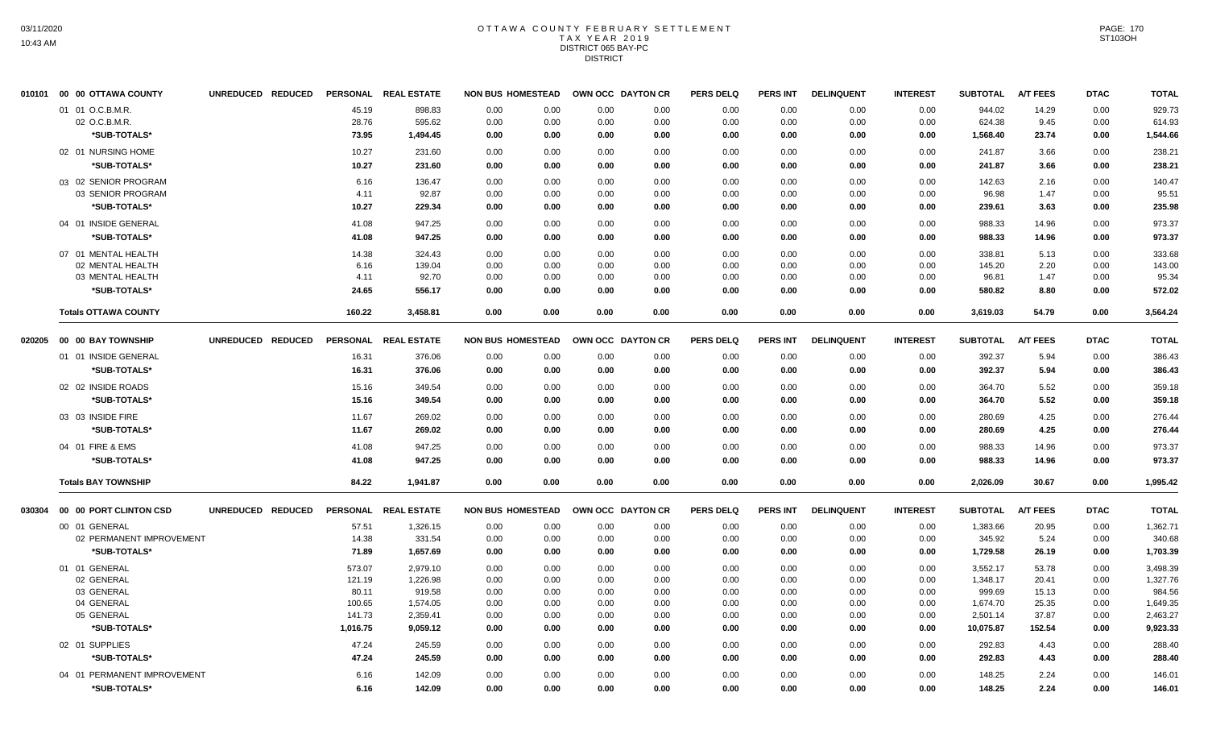#### OTTAWA COUNTY FEBRUARY SETTLEMENT T A X Y E A R 2 0 1 9 DISTRICT 065 BAY-PC **DISTRICT**

|        | 010101 00 00 OTTAWA COUNTY  | UNREDUCED REDUCED | <b>PERSONAL</b> | <b>REAL ESTATE</b> | <b>NON BUS HOMESTEAD</b> |      |      | OWN OCC DAYTON CR | <b>PERS DELQ</b> | PERS INT        | <b>DELINQUENT</b> | <b>INTEREST</b> | <b>SUBTOTAL</b> | <b>A/T FEES</b> | <b>DTAC</b> | <b>TOTAL</b> |
|--------|-----------------------------|-------------------|-----------------|--------------------|--------------------------|------|------|-------------------|------------------|-----------------|-------------------|-----------------|-----------------|-----------------|-------------|--------------|
|        | 01 01 O.C.B.M.R.            |                   | 45.19           | 898.83             | 0.00                     | 0.00 | 0.00 | 0.00              | 0.00             | 0.00            | 0.00              | 0.00            | 944.02          | 14.29           | 0.00        | 929.73       |
|        | 02 O.C.B.M.R.               |                   | 28.76           | 595.62             | 0.00                     | 0.00 | 0.00 | 0.00              | 0.00             | 0.00            | 0.00              | 0.00            | 624.38          | 9.45            | 0.00        | 614.93       |
|        | *SUB-TOTALS*                |                   | 73.95           | 1,494.45           | 0.00                     | 0.00 | 0.00 | 0.00              | 0.00             | 0.00            | 0.00              | 0.00            | 1,568.40        | 23.74           | 0.00        | 1,544.66     |
|        | 02 01 NURSING HOME          |                   | 10.27           | 231.60             | 0.00                     | 0.00 | 0.00 | 0.00              | 0.00             | 0.00            | 0.00              | 0.00            | 241.87          | 3.66            | 0.00        | 238.21       |
|        | *SUB-TOTALS*                |                   | 10.27           | 231.60             | 0.00                     | 0.00 | 0.00 | 0.00              | 0.00             | 0.00            | 0.00              | 0.00            | 241.87          | 3.66            | 0.00        | 238.21       |
|        | 03 02 SENIOR PROGRAM        |                   | 6.16            | 136.47             | 0.00                     | 0.00 | 0.00 | 0.00              | 0.00             | 0.00            | 0.00              | 0.00            | 142.63          | 2.16            | 0.00        | 140.47       |
|        | 03 SENIOR PROGRAM           |                   | 4.11            | 92.87              | 0.00                     | 0.00 | 0.00 | 0.00              | 0.00             | 0.00            | 0.00              | 0.00            | 96.98           | 1.47            | 0.00        | 95.51        |
|        | *SUB-TOTALS*                |                   | 10.27           | 229.34             | 0.00                     | 0.00 | 0.00 | 0.00              | 0.00             | 0.00            | 0.00              | 0.00            | 239.61          | 3.63            | 0.00        | 235.98       |
|        | 04 01 INSIDE GENERAL        |                   | 41.08           | 947.25             | 0.00                     | 0.00 | 0.00 | 0.00              | 0.00             | 0.00            | 0.00              | 0.00            | 988.33          | 14.96           | 0.00        | 973.37       |
|        | *SUB-TOTALS*                |                   | 41.08           | 947.25             | 0.00                     | 0.00 | 0.00 | 0.00              | 0.00             | 0.00            | 0.00              | 0.00            | 988.33          | 14.96           | 0.00        | 973.37       |
|        | 07 01 MENTAL HEALTH         |                   | 14.38           | 324.43             | 0.00                     | 0.00 | 0.00 | 0.00              | 0.00             | 0.00            | 0.00              | 0.00            | 338.81          | 5.13            | 0.00        | 333.68       |
|        | 02 MENTAL HEALTH            |                   | 6.16            | 139.04             | 0.00                     | 0.00 | 0.00 | 0.00              | 0.00             | 0.00            | 0.00              | 0.00            | 145.20          | 2.20            | 0.00        | 143.00       |
|        | 03 MENTAL HEALTH            |                   | 4.11            | 92.70              | 0.00                     | 0.00 | 0.00 | 0.00              | 0.00             | 0.00            | 0.00              | 0.00            | 96.81           | 1.47            | 0.00        | 95.34        |
|        | *SUB-TOTALS*                |                   | 24.65           | 556.17             | 0.00                     | 0.00 | 0.00 | 0.00              | 0.00             | 0.00            | 0.00              | 0.00            | 580.82          | 8.80            | 0.00        | 572.02       |
|        | <b>Totals OTTAWA COUNTY</b> |                   | 160.22          | 3,458.81           | 0.00                     | 0.00 | 0.00 | 0.00              | 0.00             | 0.00            | 0.00              | 0.00            | 3,619.03        | 54.79           | 0.00        | 3,564.24     |
| 020205 | 00 00 BAY TOWNSHIP          | UNREDUCED REDUCED | <b>PERSONAL</b> | <b>REAL ESTATE</b> | <b>NON BUS HOMESTEAD</b> |      |      | OWN OCC DAYTON CR | <b>PERS DELQ</b> | <b>PERS INT</b> | <b>DELINQUENT</b> | <b>INTEREST</b> | <b>SUBTOTAL</b> | <b>A/T FEES</b> | <b>DTAC</b> | <b>TOTAL</b> |
|        | 01 01 INSIDE GENERAL        |                   | 16.31           | 376.06             | 0.00                     | 0.00 | 0.00 | 0.00              | 0.00             | 0.00            | 0.00              | 0.00            | 392.37          | 5.94            | 0.00        | 386.43       |
|        | *SUB-TOTALS*                |                   | 16.31           | 376.06             | 0.00                     | 0.00 | 0.00 | 0.00              | 0.00             | 0.00            | 0.00              | 0.00            | 392.37          | 5.94            | 0.00        | 386.43       |
|        | 02 02 INSIDE ROADS          |                   | 15.16           | 349.54             | 0.00                     | 0.00 | 0.00 | 0.00              | 0.00             | 0.00            | 0.00              | 0.00            | 364.70          | 5.52            | 0.00        | 359.18       |
|        | *SUB-TOTALS*                |                   | 15.16           | 349.54             | 0.00                     | 0.00 | 0.00 | 0.00              | 0.00             | 0.00            | 0.00              | 0.00            | 364.70          | 5.52            | 0.00        | 359.18       |
|        | 03 03 INSIDE FIRE           |                   | 11.67           | 269.02             | 0.00                     | 0.00 | 0.00 | 0.00              | 0.00             | 0.00            | 0.00              | 0.00            | 280.69          | 4.25            | 0.00        | 276.44       |
|        | *SUB-TOTALS*                |                   | 11.67           | 269.02             | 0.00                     | 0.00 | 0.00 | 0.00              | 0.00             | 0.00            | 0.00              | 0.00            | 280.69          | 4.25            | 0.00        | 276.44       |
|        | 04 01 FIRE & EMS            |                   | 41.08           | 947.25             | 0.00                     | 0.00 | 0.00 | 0.00              | 0.00             | 0.00            | 0.00              | 0.00            | 988.33          | 14.96           | 0.00        | 973.37       |
|        | *SUB-TOTALS*                |                   | 41.08           | 947.25             | 0.00                     | 0.00 | 0.00 | 0.00              | 0.00             | 0.00            | 0.00              | 0.00            | 988.33          | 14.96           | 0.00        | 973.37       |
|        | <b>Totals BAY TOWNSHIP</b>  |                   | 84.22           | 1,941.87           | 0.00                     | 0.00 | 0.00 | 0.00              | 0.00             | 0.00            | 0.00              | 0.00            | 2,026.09        | 30.67           | 0.00        | 1,995.42     |
| 030304 | 00 00 PORT CLINTON CSD      | UNREDUCED REDUCED | <b>PERSONAL</b> | <b>REAL ESTATE</b> | <b>NON BUS HOMESTEAD</b> |      |      | OWN OCC DAYTON CR | <b>PERS DELQ</b> | <b>PERS INT</b> | <b>DELINQUENT</b> | <b>INTEREST</b> | <b>SUBTOTAL</b> | <b>A/T FEES</b> | <b>DTAC</b> | <b>TOTAL</b> |
|        | 00 01 GENERAL               |                   | 57.51           | 1,326.15           | 0.00                     | 0.00 | 0.00 | 0.00              | 0.00             | 0.00            | 0.00              | 0.00            | 1,383.66        | 20.95           | 0.00        | 1,362.71     |
|        | 02 PERMANENT IMPROVEMENT    |                   | 14.38           | 331.54             | 0.00                     | 0.00 | 0.00 | 0.00              | 0.00             | 0.00            | 0.00              | 0.00            | 345.92          | 5.24            | 0.00        | 340.68       |
|        | *SUB-TOTALS*                |                   | 71.89           | 1,657.69           | 0.00                     | 0.00 | 0.00 | 0.00              | 0.00             | 0.00            | 0.00              | 0.00            | 1,729.58        | 26.19           | 0.00        | 1,703.39     |
|        | 01 01 GENERAL               |                   | 573.07          | 2,979.10           | 0.00                     | 0.00 | 0.00 | 0.00              | 0.00             | 0.00            | 0.00              | 0.00            | 3,552.17        | 53.78           | 0.00        | 3,498.39     |
|        | 02 GENERAL                  |                   | 121.19          | 1,226.98           | 0.00                     | 0.00 | 0.00 | 0.00              | 0.00             | 0.00            | 0.00              | 0.00            | 1,348.17        | 20.41           | 0.00        | 1,327.76     |
|        | 03 GENERAL                  |                   | 80.11           | 919.58             | 0.00                     | 0.00 | 0.00 | 0.00              | 0.00             | 0.00            | 0.00              | 0.00            | 999.69          | 15.13           | 0.00        | 984.56       |
|        | 04 GENERAL                  |                   | 100.65          | 1,574.05           | 0.00                     | 0.00 | 0.00 | 0.00              | 0.00             | 0.00            | 0.00              | 0.00            | 1,674.70        | 25.35           | 0.00        | 1,649.35     |
|        | 05 GENERAL                  |                   | 141.73          | 2,359.41           | 0.00                     | 0.00 | 0.00 | 0.00              | 0.00             | 0.00            | 0.00              | 0.00            | 2,501.14        | 37.87           | 0.00        | 2,463.27     |
|        | *SUB-TOTALS*                |                   | 1,016.75        | 9,059.12           | 0.00                     | 0.00 | 0.00 | 0.00              | 0.00             | 0.00            | 0.00              | 0.00            | 10,075.87       | 152.54          | 0.00        | 9,923.33     |
|        | 02 01 SUPPLIES              |                   | 47.24           | 245.59             | 0.00                     | 0.00 | 0.00 | 0.00              | 0.00             | 0.00            | 0.00              | 0.00            | 292.83          | 4.43            | 0.00        | 288.40       |
|        | *SUB-TOTALS*                |                   | 47.24           | 245.59             | 0.00                     | 0.00 | 0.00 | 0.00              | 0.00             | 0.00            | 0.00              | 0.00            | 292.83          | 4.43            | 0.00        | 288.40       |
|        | 04 01 PERMANENT IMPROVEMENT |                   | 6.16            | 142.09             | 0.00                     | 0.00 | 0.00 | 0.00              | 0.00             | 0.00            | 0.00              | 0.00            | 148.25          | 2.24            | 0.00        | 146.01       |
|        | *SUB-TOTALS*                |                   | 6.16            | 142.09             | 0.00                     | 0.00 | 0.00 | 0.00              | 0.00             | 0.00            | 0.00              | 0.00            | 148.25          | 2.24            | 0.00        | 146.01       |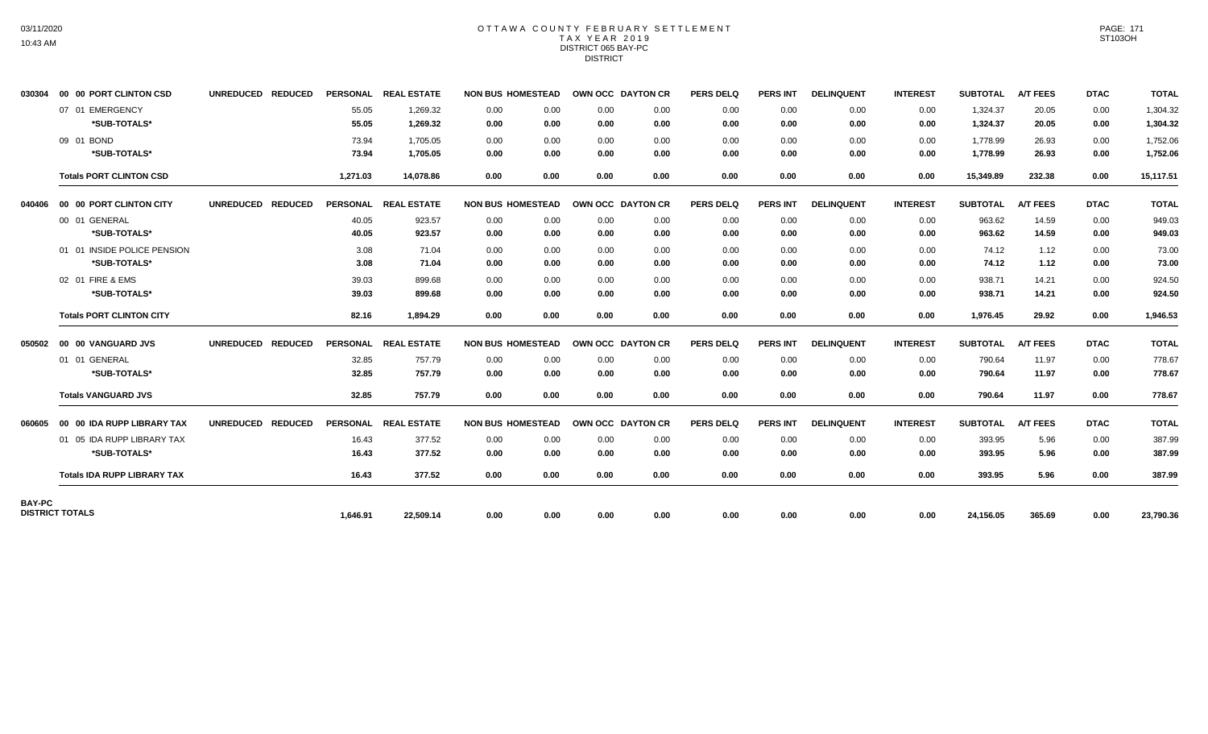## OTTAWA COUNTY FEBRUARY SETTLEMENT TAX YEAR 2019 DISTRICT 065 BAY-PC DISTRICT

| 030304        | 00 00 PORT CLINTON CSD             | UNREDUCED REDUCED                  |                 | PERSONAL REAL ESTATE | <b>NON BUS HOMESTEAD</b> |                   | OWN OCC DAYTON CR | <b>PERS DELQ</b> | <b>PERS INT</b> | <b>DELINQUENT</b> | <b>INTEREST</b> | <b>SUBTOTAL</b> | <b>A/T FEES</b> | <b>DTAC</b> | <b>TOTAL</b> |
|---------------|------------------------------------|------------------------------------|-----------------|----------------------|--------------------------|-------------------|-------------------|------------------|-----------------|-------------------|-----------------|-----------------|-----------------|-------------|--------------|
|               | 07 01 EMERGENCY                    |                                    | 55.05           | 1,269.32             | 0.00<br>0.00             | 0.00              | 0.00              | 0.00             | 0.00            | 0.00              | 0.00            | 1,324.37        | 20.05           | 0.00        | 1,304.32     |
|               | *SUB-TOTALS*                       |                                    | 55.05           | 1,269.32             | 0.00<br>0.00             | 0.00              | 0.00              | 0.00             | 0.00            | 0.00              | 0.00            | 1,324.37        | 20.05           | 0.00        | 1,304.32     |
|               | 09 01 BOND                         |                                    | 73.94           | 1,705.05             | 0.00<br>0.00             | 0.00              | 0.00              | 0.00             | 0.00            | 0.00              | 0.00            | 1,778.99        | 26.93           | 0.00        | 1,752.06     |
|               | *SUB-TOTALS*                       |                                    | 73.94           | 1,705.05             | 0.00<br>0.00             | 0.00              | 0.00              | 0.00             | 0.00            | 0.00              | 0.00            | 1,778.99        | 26.93           | 0.00        | 1,752.06     |
|               | <b>Totals PORT CLINTON CSD</b>     |                                    | 1,271.03        | 14,078.86            | 0.00<br>0.00             | 0.00              | 0.00              | 0.00             | 0.00            | 0.00              | 0.00            | 15,349.89       | 232.38          | 0.00        | 15,117.51    |
| 040406        | 00 00 PORT CLINTON CITY            | <b>UNREDUCED</b><br><b>REDUCED</b> |                 | PERSONAL REAL ESTATE | <b>NON BUS HOMESTEAD</b> | OWN OCC DAYTON CR |                   | <b>PERS DELQ</b> | <b>PERS INT</b> | <b>DELINQUENT</b> | <b>INTEREST</b> | <b>SUBTOTAL</b> | <b>A/T FEES</b> | <b>DTAC</b> | <b>TOTAL</b> |
|               | 00 01 GENERAL                      |                                    | 40.05           | 923.57               | 0.00<br>0.00             | 0.00              | 0.00              | 0.00             | 0.00            | 0.00              | 0.00            | 963.62          | 14.59           | 0.00        | 949.03       |
|               | *SUB-TOTALS*                       |                                    | 40.05           | 923.57               | 0.00<br>0.00             | 0.00              | 0.00              | 0.00             | 0.00            | 0.00              | 0.00            | 963.62          | 14.59           | 0.00        | 949.03       |
|               | 01 01 INSIDE POLICE PENSION        |                                    | 3.08            | 71.04                | 0.00<br>0.00             | 0.00              | 0.00              | 0.00             | 0.00            | 0.00              | 0.00            | 74.12           | 1.12            | 0.00        | 73.00        |
|               | *SUB-TOTALS*                       |                                    | 3.08            | 71.04                | 0.00<br>0.00             | 0.00              | 0.00              | 0.00             | 0.00            | 0.00              | 0.00            | 74.12           | 1.12            | 0.00        | 73.00        |
|               | 02 01 FIRE & EMS                   |                                    | 39.03           | 899.68               | 0.00<br>0.00             | 0.00              | 0.00              | 0.00             | 0.00            | 0.00              | 0.00            | 938.71          | 14.21           | 0.00        | 924.50       |
|               | *SUB-TOTALS*                       |                                    | 39.03           | 899.68               | 0.00<br>0.00             | 0.00              | 0.00              | 0.00             | 0.00            | 0.00              | 0.00            | 938.71          | 14.21           | 0.00        | 924.50       |
|               | <b>Totals PORT CLINTON CITY</b>    |                                    | 82.16           | 1,894.29             | 0.00<br>0.00             | 0.00              | 0.00              | 0.00             | 0.00            | 0.00              | 0.00            | 1,976.45        | 29.92           | 0.00        | 1,946.53     |
| 050502        | 00 00 VANGUARD JVS                 | <b>UNREDUCED</b><br><b>REDUCED</b> | <b>PERSONAL</b> | <b>REAL ESTATE</b>   | <b>NON BUS HOMESTEAD</b> |                   | OWN OCC DAYTON CR | <b>PERS DELQ</b> | <b>PERS INT</b> | <b>DELINQUENT</b> | <b>INTEREST</b> | <b>SUBTOTAL</b> | <b>A/T FEES</b> | <b>DTAC</b> | <b>TOTAL</b> |
|               | 01 01 GENERAL                      |                                    | 32.85           | 757.79               | 0.00<br>0.00             | 0.00              | 0.00              | 0.00             | 0.00            | 0.00              | 0.00            | 790.64          | 11.97           | 0.00        | 778.67       |
|               | *SUB-TOTALS*                       |                                    | 32.85           | 757.79               | 0.00<br>0.00             | 0.00              | 0.00              | 0.00             | 0.00            | 0.00              | 0.00            | 790.64          | 11.97           | 0.00        | 778.67       |
|               | <b>Totals VANGUARD JVS</b>         |                                    | 32.85           | 757.79               | 0.00<br>0.00             | 0.00              | 0.00              | 0.00             | 0.00            | 0.00              | 0.00            | 790.64          | 11.97           | 0.00        | 778.67       |
| 060605        | 00 00 IDA RUPP LIBRARY TAX         | <b>REDUCED</b><br><b>UNREDUCED</b> |                 | PERSONAL REAL ESTATE | <b>NON BUS HOMESTEAD</b> |                   | OWN OCC DAYTON CR | <b>PERS DELQ</b> | <b>PERS INT</b> | <b>DELINQUENT</b> | <b>INTEREST</b> | <b>SUBTOTAL</b> | <b>A/T FEES</b> | <b>DTAC</b> | <b>TOTAL</b> |
|               | 01 05 IDA RUPP LIBRARY TAX         |                                    | 16.43           | 377.52               | 0.00<br>0.00             | 0.00              | 0.00              | 0.00             | 0.00            | 0.00              | 0.00            | 393.95          | 5.96            | 0.00        | 387.99       |
|               | *SUB-TOTALS*                       |                                    | 16.43           | 377.52               | 0.00<br>0.00             | 0.00              | 0.00              | 0.00             | 0.00            | 0.00              | 0.00            | 393.95          | 5.96            | 0.00        | 387.99       |
|               | <b>Totals IDA RUPP LIBRARY TAX</b> |                                    | 16.43           | 377.52               | 0.00<br>0.00             | 0.00              | 0.00              | 0.00             | 0.00            | 0.00              | 0.00            | 393.95          | 5.96            | 0.00        | 387.99       |
| <b>BAY-PC</b> |                                    |                                    |                 |                      |                          |                   |                   |                  |                 |                   |                 |                 |                 |             |              |
|               | <b>DISTRICT TOTALS</b>             |                                    | 1,646.91        | 22,509.14            | 0.00<br>0.00             | 0.00              | 0.00              | 0.00             | 0.00            | 0.00              | 0.00            | 24,156.05       | 365.69          | 0.00        | 23,790.36    |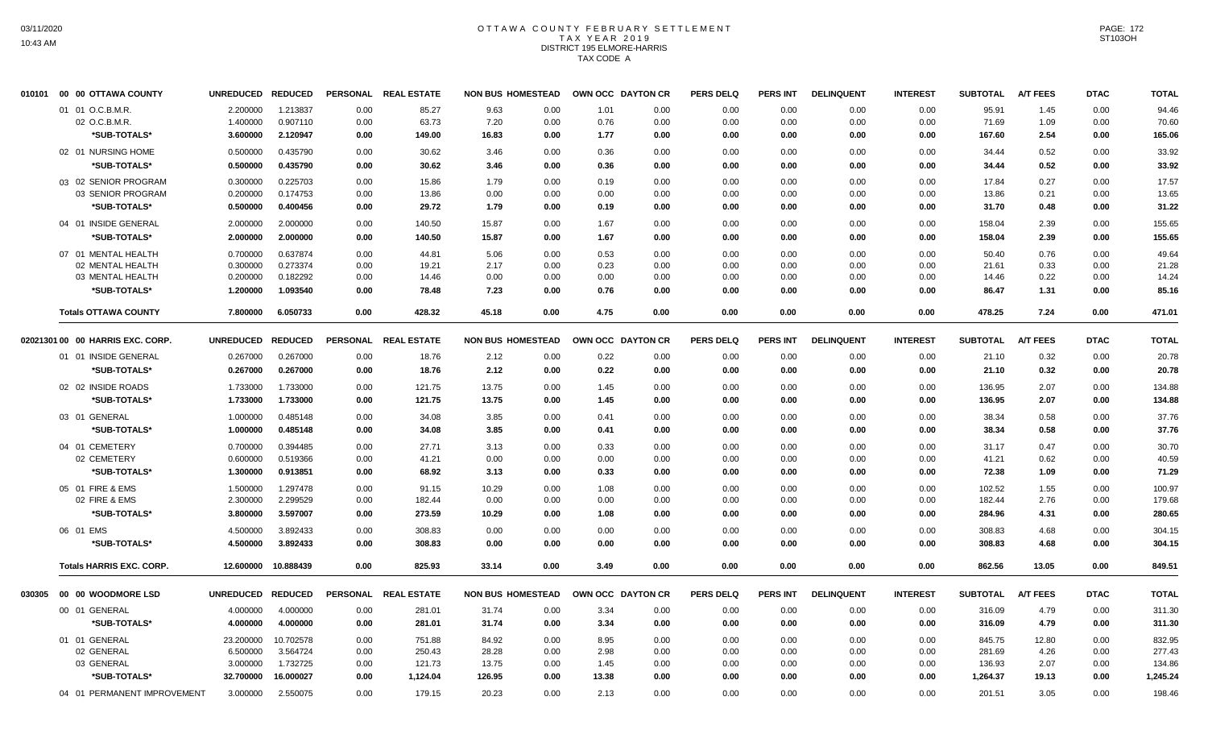## OTTAWA COUNTY FEBRUARY SETTLEMENT TAX YEAR 2019 DISTRICT 195 ELMORE-HARRIS TAX CODE A

| 010101 | 00 00 OTTAWA COUNTY                | UNREDUCED REDUCED     |                       |              | PERSONAL REAL ESTATE | <b>NON BUS HOMESTEAD</b> |              | OWN OCC DAYTON CR |              | <b>PERS DELQ</b> | <b>PERS INT</b> | <b>DELINQUENT</b> | <b>INTEREST</b> | <b>SUBTOTAL</b>  | A/T FEES        | <b>DTAC</b>  | <b>TOTAL</b>     |
|--------|------------------------------------|-----------------------|-----------------------|--------------|----------------------|--------------------------|--------------|-------------------|--------------|------------------|-----------------|-------------------|-----------------|------------------|-----------------|--------------|------------------|
|        | 01 01 O.C.B.M.R.                   | 2.200000              | 1.213837              | 0.00         | 85.27                | 9.63                     | 0.00         | 1.01              | 0.00         | 0.00             | 0.00            | 0.00              | 0.00            | 95.91            | 1.45            | 0.00         | 94.46            |
|        | 02 O.C.B.M.R.                      | 1.400000              | 0.907110              | 0.00         | 63.73                | 7.20                     | 0.00         | 0.76              | 0.00         | 0.00             | 0.00            | 0.00              | 0.00            | 71.69            | 1.09            | 0.00         | 70.60            |
|        | *SUB-TOTALS*                       | 3.600000              | 2.120947              | 0.00         | 149.00               | 16.83                    | 0.00         | 1.77              | 0.00         | 0.00             | 0.00            | 0.00              | 0.00            | 167.60           | 2.54            | 0.00         | 165.06           |
|        | 02 01 NURSING HOME                 | 0.500000              | 0.435790              | 0.00         | 30.62                | 3.46                     | 0.00         | 0.36              | 0.00         | 0.00             | 0.00            | 0.00              | 0.00            | 34.44            | 0.52            | 0.00         | 33.92            |
|        | *SUB-TOTALS*                       | 0.500000              | 0.435790              | 0.00         | 30.62                | 3.46                     | 0.00         | 0.36              | 0.00         | 0.00             | 0.00            | 0.00              | 0.00            | 34.44            | 0.52            | 0.00         | 33.92            |
|        | 03 02 SENIOR PROGRAM               | 0.300000              | 0.225703              | 0.00         | 15.86                | 1.79                     | 0.00         | 0.19              | 0.00         | 0.00             | 0.00            | 0.00              | 0.00            | 17.84            | 0.27            | 0.00         | 17.57            |
|        | 03 SENIOR PROGRAM                  | 0.200000              | 0.174753              | 0.00         | 13.86                | 0.00                     | 0.00         | 0.00              | 0.00         | 0.00             | 0.00            | 0.00              | 0.00            | 13.86            | 0.21            | 0.00         | 13.65            |
|        | *SUB-TOTALS*                       | 0.500000              | 0.400456              | 0.00         | 29.72                | 1.79                     | 0.00         | 0.19              | 0.00         | 0.00             | 0.00            | 0.00              | 0.00            | 31.70            | 0.48            | 0.00         | 31.22            |
|        | 04 01 INSIDE GENERAL               | 2.000000              | 2.000000              | 0.00         | 140.50               | 15.87                    | 0.00         | 1.67              | 0.00         | 0.00             | 0.00            | 0.00              | 0.00            | 158.04           | 2.39            | 0.00         | 155.65           |
|        | *SUB-TOTALS*                       | 2.000000              | 2.000000              | 0.00         | 140.50               | 15.87                    | 0.00         | 1.67              | 0.00         | 0.00             | 0.00            | 0.00              | 0.00            | 158.04           | 2.39            | 0.00         | 155.65           |
|        | 07 01 MENTAL HEALTH                | 0.700000              | 0.637874              | 0.00         | 44.81                | 5.06                     | 0.00         | 0.53              | 0.00         | 0.00             | 0.00            | 0.00              | 0.00            | 50.40            | 0.76            | 0.00         | 49.64            |
|        | 02 MENTAL HEALTH                   | 0.300000              | 0.273374              | 0.00         | 19.21                | 2.17                     | 0.00         | 0.23              | 0.00         | 0.00             | 0.00            | 0.00              | 0.00            | 21.61            | 0.33            | 0.00         | 21.28            |
|        | 03 MENTAL HEALTH                   | 0.200000              | 0.182292              | 0.00         | 14.46                | 0.00                     | 0.00         | 0.00              | 0.00         | 0.00             | 0.00            | 0.00              | 0.00            | 14.46            | 0.22            | 0.00         | 14.24            |
|        | *SUB-TOTALS*                       | 1.200000              | 1.093540              | 0.00         | 78.48                | 7.23                     | 0.00         | 0.76              | 0.00         | 0.00             | 0.00            | 0.00              | 0.00            | 86.47            | 1.31            | 0.00         | 85.16            |
|        | <b>Totals OTTAWA COUNTY</b>        | 7.800000              | 6.050733              | 0.00         | 428.32               | 45.18                    | 0.00         | 4.75              | 0.00         | 0.00             | 0.00            | 0.00              | 0.00            | 478.25           | 7.24            | 0.00         | 471.01           |
|        | 02021301 00 00 HARRIS EXC. CORP.   | UNREDUCED REDUCED     |                       |              | PERSONAL REAL ESTATE | <b>NON BUS HOMESTEAD</b> |              | OWN OCC DAYTON CR |              | <b>PERS DELQ</b> | <b>PERS INT</b> | <b>DELINQUENT</b> | <b>INTEREST</b> | <b>SUBTOTAL</b>  | <b>A/T FEES</b> | <b>DTAC</b>  | <b>TOTAL</b>     |
|        | 01 01 INSIDE GENERAL               | 0.267000              | 0.267000              | 0.00         | 18.76                | 2.12                     | 0.00         | 0.22              | 0.00         | 0.00             | 0.00            | 0.00              | 0.00            | 21.10            | 0.32            | 0.00         | 20.78            |
|        | *SUB-TOTALS*                       | 0.267000              | 0.267000              | 0.00         | 18.76                | 2.12                     | 0.00         | 0.22              | 0.00         | 0.00             | 0.00            | 0.00              | 0.00            | 21.10            | 0.32            | 0.00         | 20.78            |
|        | 02 02 INSIDE ROADS                 | 1.733000              | 1.733000              | 0.00         | 121.75               | 13.75                    | 0.00         | 1.45              | 0.00         | 0.00             | 0.00            | 0.00              | 0.00            | 136.95           | 2.07            | 0.00         | 134.88           |
|        | *SUB-TOTALS*                       | 1.733000              | 1.733000              | 0.00         | 121.75               | 13.75                    | 0.00         | 1.45              | 0.00         | 0.00             | 0.00            | 0.00              | 0.00            | 136.95           | 2.07            | 0.00         | 134.88           |
|        | 03 01 GENERAL                      | 1.000000              | 0.485148              | 0.00         | 34.08                | 3.85                     | 0.00         | 0.41              | 0.00         | 0.00             | 0.00            | 0.00              | 0.00            | 38.34            | 0.58            | 0.00         | 37.76            |
|        | *SUB-TOTALS*                       | 1.000000              | 0.485148              | 0.00         | 34.08                | 3.85                     | 0.00         | 0.41              | 0.00         | 0.00             | 0.00            | 0.00              | 0.00            | 38.34            | 0.58            | 0.00         | 37.76            |
|        | 04 01 CEMETERY                     | 0.700000              | 0.394485              | 0.00         | 27.71                | 3.13                     | 0.00         | 0.33              | 0.00         | 0.00             | 0.00            | 0.00              | 0.00            | 31.17            | 0.47            | 0.00         | 30.70            |
|        | 02 CEMETERY                        | 0.600000              | 0.519366              | 0.00         | 41.21                | 0.00                     | 0.00         | 0.00              | 0.00         | 0.00             | 0.00            | 0.00              | 0.00            | 41.21            | 0.62            | 0.00         | 40.59            |
|        | *SUB-TOTALS*                       | 1.300000              | 0.913851              | 0.00         | 68.92                | 3.13                     | 0.00         | 0.33              | 0.00         | 0.00             | 0.00            | 0.00              | 0.00            | 72.38            | 1.09            | 0.00         | 71.29            |
|        | 05 01 FIRE & EMS                   | 1.500000              | 1.297478              | 0.00         | 91.15                | 10.29                    | 0.00         | 1.08              | 0.00         | 0.00             | 0.00            | 0.00              | 0.00            | 102.52           | 1.55            | 0.00         | 100.97           |
|        | 02 FIRE & EMS                      | 2.300000              | 2.299529              | 0.00         | 182.44               | 0.00                     | 0.00         | 0.00              | 0.00         | 0.00             | 0.00            | 0.00              | 0.00            | 182.44           | 2.76            | 0.00         | 179.68           |
|        | *SUB-TOTALS*                       | 3.800000              | 3.597007              | 0.00         | 273.59               | 10.29                    | 0.00         | 1.08              | 0.00         | 0.00             | 0.00            | 0.00              | 0.00            | 284.96           | 4.31            | 0.00         | 280.65           |
|        | 06 01 EMS                          | 4.500000              | 3.892433              | 0.00         | 308.83               | 0.00                     | 0.00         | 0.00              | 0.00         | 0.00             | 0.00            | 0.00              | 0.00            | 308.83           | 4.68            | 0.00         | 304.15           |
|        | *SUB-TOTALS*                       | 4.500000              | 3.892433              | 0.00         | 308.83               | 0.00                     | 0.00         | 0.00              | 0.00         | 0.00             | 0.00            | 0.00              | 0.00            | 308.83           | 4.68            | 0.00         | 304.15           |
|        | <b>Totals HARRIS EXC. CORP.</b>    | 12.600000             | 10.888439             | 0.00         | 825.93               | 33.14                    | 0.00         | 3.49              | 0.00         | 0.00             | 0.00            | 0.00              | 0.00            | 862.56           | 13.05           | 0.00         | 849.51           |
|        | 030305    00    00    WOODMORE LSD | UNREDUCED REDUCED     |                       |              | PERSONAL REAL ESTATE | <b>NON BUS HOMESTEAD</b> |              | OWN OCC DAYTON CR |              | <b>PERS DELQ</b> | PERS INT        | <b>DELINQUENT</b> | <b>INTEREST</b> | <b>SUBTOTAL</b>  | A/T FEES        | <b>DTAC</b>  | <b>TOTAL</b>     |
|        |                                    |                       |                       |              |                      |                          |              |                   |              |                  |                 |                   |                 |                  |                 |              |                  |
|        | 00 01 GENERAL<br>*SUB-TOTALS*      | 4.000000              | 4.000000              | 0.00         | 281.01               | 31.74                    | 0.00         | 3.34              | 0.00         | 0.00             | 0.00            | 0.00              | 0.00<br>0.00    | 316.09<br>316.09 | 4.79            | 0.00         | 311.30           |
|        |                                    | 4.000000              | 4.000000              | 0.00         | 281.01               | 31.74                    | 0.00         | 3.34              | 0.00         | 0.00             | 0.00            | 0.00              |                 |                  | 4.79            | 0.00         | 311.30           |
|        | 01 01 GENERAL<br>02 GENERAL        | 23.200000<br>6.500000 | 10.702578<br>3.564724 | 0.00         | 751.88<br>250.43     | 84.92                    | 0.00         | 8.95<br>2.98      | 0.00<br>0.00 | 0.00             | 0.00            | 0.00              | 0.00            | 845.75<br>281.69 | 12.80           | 0.00<br>0.00 | 832.95           |
|        | 03 GENERAL                         | 3.000000              | 1.732725              | 0.00<br>0.00 | 121.73               | 28.28<br>13.75           | 0.00<br>0.00 | 1.45              | 0.00         | 0.00<br>0.00     | 0.00<br>0.00    | 0.00<br>0.00      | 0.00<br>0.00    | 136.93           | 4.26<br>2.07    | 0.00         | 277.43<br>134.86 |
|        | *SUB-TOTALS*                       | 32.700000             | 16.000027             | 0.00         | 1,124.04             | 126.95                   | 0.00         | 13.38             | 0.00         | 0.00             | 0.00            | 0.00              | 0.00            | 1,264.37         | 19.13           | 0.00         | 1,245.24         |
|        | 04 01 PERMANENT IMPROVEMENT        | 3.000000              | 2.550075              | 0.00         | 179.15               | 20.23                    | 0.00         | 2.13              | 0.00         | 0.00             | 0.00            | 0.00              | 0.00            | 201.51           | 3.05            | 0.00         | 198.46           |
|        |                                    |                       |                       |              |                      |                          |              |                   |              |                  |                 |                   |                 |                  |                 |              |                  |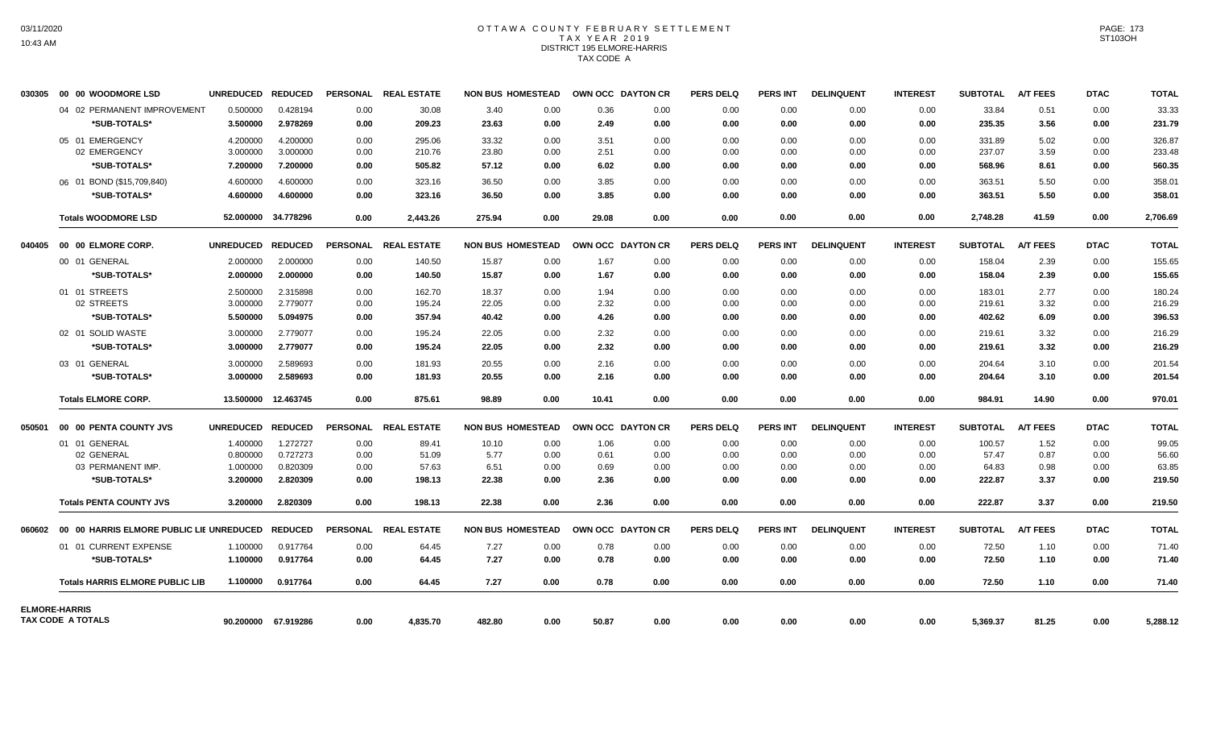## OTTAWA COUNTY FEBRUARY SETTLEMENT TAX YEAR 2019 DISTRICT 195 ELMORE-HARRIS TAX CODE A

| 030305 | <b>00 00 WOODMORE LSD</b>      |                                             | UNREDUCED REDUCED    |                      |              | PERSONAL REAL ESTATE |               | <b>NON BUS HOMESTEAD</b> | OWN OCC DAYTON CR |              | <b>PERS DELQ</b> | <b>PERS INT</b> | <b>DELINQUENT</b> | <b>INTEREST</b> | <b>SUBTOTAL</b> | <b>A/T FEES</b> | <b>DTAC</b>  | <b>TOTAL</b>    |
|--------|--------------------------------|---------------------------------------------|----------------------|----------------------|--------------|----------------------|---------------|--------------------------|-------------------|--------------|------------------|-----------------|-------------------|-----------------|-----------------|-----------------|--------------|-----------------|
|        |                                | 04 02 PERMANENT IMPROVEMENT<br>*SUB-TOTALS* | 0.500000<br>3.500000 | 0.428194<br>2.978269 | 0.00<br>0.00 | 30.08<br>209.23      | 3.40<br>23.63 | 0.00<br>0.00             | 0.36<br>2.49      | 0.00<br>0.00 | 0.00<br>0.00     | 0.00<br>0.00    | 0.00<br>0.00      | 0.00<br>0.00    | 33.84<br>235.35 | 0.51<br>3.56    | 0.00<br>0.00 | 33.33<br>231.79 |
|        | 05 01 EMERGENCY                |                                             | 4.200000             | 4.200000             | 0.00         | 295.06               | 33.32         | 0.00                     | 3.51              | 0.00         | 0.00             | 0.00            | 0.00              | 0.00            | 331.89          | 5.02            | 0.00         | 326.87          |
|        | 02 EMERGENCY                   |                                             | 3.000000             | 3.000000             | 0.00         | 210.76               | 23.80         | 0.00                     | 2.51              | 0.00         | 0.00             | 0.00            | 0.00              | 0.00            | 237.07          | 3.59            | 0.00         | 233.48          |
|        |                                | *SUB-TOTALS*                                | 7.200000             | 7.200000             | 0.00         | 505.82               | 57.12         | 0.00                     | 6.02              | 0.00         | 0.00             | 0.00            | 0.00              | 0.00            | 568.96          | 8.61            | 0.00         | 560.35          |
|        | 06 01 BOND (\$15,709,840)      |                                             | 4.600000             | 4.600000             | 0.00         | 323.16               | 36.50         | 0.00                     | 3.85              | 0.00         | 0.00             | 0.00            | 0.00              | 0.00            | 363.51          | 5.50            | 0.00         | 358.01          |
|        |                                | *SUB-TOTALS*                                | 4.600000             | 4.600000             | 0.00         | 323.16               | 36.50         | 0.00                     | 3.85              | 0.00         | 0.00             | 0.00            | 0.00              | 0.00            | 363.51          | 5.50            | 0.00         | 358.01          |
|        | <b>Totals WOODMORE LSD</b>     |                                             |                      | 52.000000 34.778296  | 0.00         | 2,443.26             | 275.94        | 0.00                     | 29.08             | 0.00         | 0.00             | 0.00            | 0.00              | 0.00            | 2,748.28        | 41.59           | 0.00         | 2,706.69        |
|        |                                |                                             | UNREDUCED REDUCED    |                      |              | PERSONAL REAL ESTATE |               | <b>NON BUS HOMESTEAD</b> | OWN OCC DAYTON CR |              | <b>PERS DELQ</b> | <b>PERS INT</b> | <b>DELINQUENT</b> | <b>INTEREST</b> | <b>SUBTOTAL</b> | <b>A/T FEES</b> | <b>DTAC</b>  | <b>TOTAL</b>    |
|        | 00 01 GENERAL                  |                                             | 2.000000             | 2.000000             | 0.00         | 140.50               | 15.87         | 0.00                     | 1.67              | 0.00         | 0.00             | 0.00            | 0.00              | 0.00            | 158.04          | 2.39            | 0.00         | 155.65          |
|        |                                | *SUB-TOTALS*                                | 2.000000             | 2.000000             | 0.00         | 140.50               | 15.87         | 0.00                     | 1.67              | 0.00         | 0.00             | 0.00            | 0.00              | 0.00            | 158.04          | 2.39            | 0.00         | 155.65          |
|        | 01 01 STREETS                  |                                             | 2.500000             | 2.315898             | 0.00         | 162.70               | 18.37         | 0.00                     | 1.94              | 0.00         | 0.00             | 0.00            | 0.00              | 0.00            | 183.01          | 2.77            | 0.00         | 180.24          |
|        | 02 STREETS                     |                                             | 3.000000             | 2.779077             | 0.00         | 195.24               | 22.05         | 0.00                     | 2.32              | 0.00         | 0.00             | 0.00            | 0.00              | 0.00            | 219.61          | 3.32            | 0.00         | 216.29          |
|        |                                | *SUB-TOTALS*                                | 5.500000             | 5.094975             | 0.00         | 357.94               | 40.42         | 0.00                     | 4.26              | 0.00         | 0.00             | 0.00            | 0.00              | 0.00            | 402.62          | 6.09            | 0.00         | 396.53          |
|        | 02 01 SOLID WASTE              |                                             | 3.000000             | 2.779077             | 0.00         | 195.24               | 22.05         | 0.00                     | 2.32              | 0.00         | 0.00             | 0.00            | 0.00              | 0.00            | 219.61          | 3.32            | 0.00         | 216.29          |
|        |                                | *SUB-TOTALS*                                | 3.000000             | 2.779077             | 0.00         | 195.24               | 22.05         | 0.00                     | 2.32              | 0.00         | 0.00             | 0.00            | 0.00              | 0.00            | 219.61          | 3.32            | 0.00         | 216.29          |
|        | 03 01 GENERAL                  |                                             | 3.000000             | 2.589693             | 0.00         | 181.93               | 20.55         | 0.00                     | 2.16              | 0.00         | 0.00             | 0.00            | 0.00              | 0.00            | 204.64          | 3.10            | 0.00         | 201.54          |
|        |                                | *SUB-TOTALS*                                | 3.000000             | 2.589693             | 0.00         | 181.93               | 20.55         | 0.00                     | 2.16              | 0.00         | 0.00             | 0.00            | 0.00              | 0.00            | 204.64          | 3.10            | 0.00         | 201.54          |
|        | <b>Totals ELMORE CORP.</b>     |                                             |                      | 13.500000 12.463745  | 0.00         | 875.61               | 98.89         | 0.00                     | 10.41             | 0.00         | 0.00             | 0.00            | 0.00              | 0.00            | 984.91          | 14.90           | 0.00         | 970.01          |
| 050501 | 00 00 PENTA COUNTY JVS         |                                             | UNREDUCED REDUCED    |                      |              | PERSONAL REAL ESTATE |               | <b>NON BUS HOMESTEAD</b> | OWN OCC DAYTON CR |              | <b>PERS DELQ</b> | <b>PERS INT</b> | <b>DELINQUENT</b> | <b>INTEREST</b> | <b>SUBTOTAL</b> | <b>A/T FEES</b> | <b>DTAC</b>  | <b>TOTAL</b>    |
|        | 01 01 GENERAL                  |                                             | 1.400000             | 1.272727             | 0.00         | 89.41                | 10.10         | 0.00                     | 1.06              | 0.00         | 0.00             | 0.00            | 0.00              | 0.00            | 100.57          | 1.52            | 0.00         | 99.05           |
|        | 02 GENERAL                     |                                             | 0.800000             | 0.727273             | 0.00         | 51.09                | 5.77          | 0.00                     | 0.61              | 0.00         | 0.00             | 0.00            | 0.00              | 0.00            | 57.47           | 0.87            | 0.00         | 56.60           |
|        | 03 PERMANENT IMP.              |                                             | 1.000000             | 0.820309             | 0.00         | 57.63                | 6.51          | 0.00                     | 0.69              | 0.00         | 0.00             | 0.00            | 0.00              | 0.00            | 64.83           | 0.98            | 0.00         | 63.85           |
|        |                                | *SUB-TOTALS*                                | 3.200000             | 2.820309             | 0.00         | 198.13               | 22.38         | 0.00                     | 2.36              | 0.00         | 0.00             | 0.00            | 0.00              | 0.00            | 222.87          | 3.37            | 0.00         | 219.50          |
|        | <b>Totals PENTA COUNTY JVS</b> |                                             | 3.200000             | 2.820309             | 0.00         | 198.13               | 22.38         | 0.00                     | 2.36              | 0.00         | 0.00             | 0.00            | 0.00              | 0.00            | 222.87          | 3.37            | 0.00         | 219.50          |
|        |                                |                                             |                      |                      |              | PERSONAL REAL ESTATE |               | <b>NON BUS HOMESTEAD</b> | OWN OCC DAYTON CR |              | <b>PERS DELQ</b> | PERS INT        | <b>DELINQUENT</b> | <b>INTEREST</b> | <b>SUBTOTAL</b> | <b>A/T FEES</b> | <b>DTAC</b>  | <b>TOTAL</b>    |
|        | 01 01 CURRENT EXPENSE          |                                             | 1.100000             | 0.917764             | 0.00         | 64.45                | 7.27          | 0.00                     | 0.78              | 0.00         | 0.00             | 0.00            | 0.00              | 0.00            | 72.50           | 1.10            | 0.00         | 71.40           |
|        |                                | *SUB-TOTALS*                                | 1.100000             | 0.917764             | 0.00         | 64.45                | 7.27          | 0.00                     | 0.78              | 0.00         | 0.00             | 0.00            | 0.00              | 0.00            | 72.50           | 1.10            | 0.00         | 71.40           |
|        |                                | <b>Totals HARRIS ELMORE PUBLIC LIB</b>      | 1.100000             | 0.917764             | 0.00         | 64.45                | 7.27          | 0.00                     | 0.78              | 0.00         | 0.00             | 0.00            | 0.00              | 0.00            | 72.50           | 1.10            | 0.00         | 71.40           |
|        | <b>ELMORE-HARRIS</b>           |                                             |                      |                      |              |                      |               |                          |                   |              |                  |                 |                   |                 |                 |                 |              |                 |
|        | TAX CODE A TOTALS              |                                             |                      | 90.200000 67.919286  | 0.00         | 4,835.70             | 482.80        | 0.00                     | 50.87             | 0.00         | 0.00             | 0.00            | 0.00              | 0.00            | 5,369.37        | 81.25           | 0.00         | 5,288.12        |

PAGE: 173 ST103OH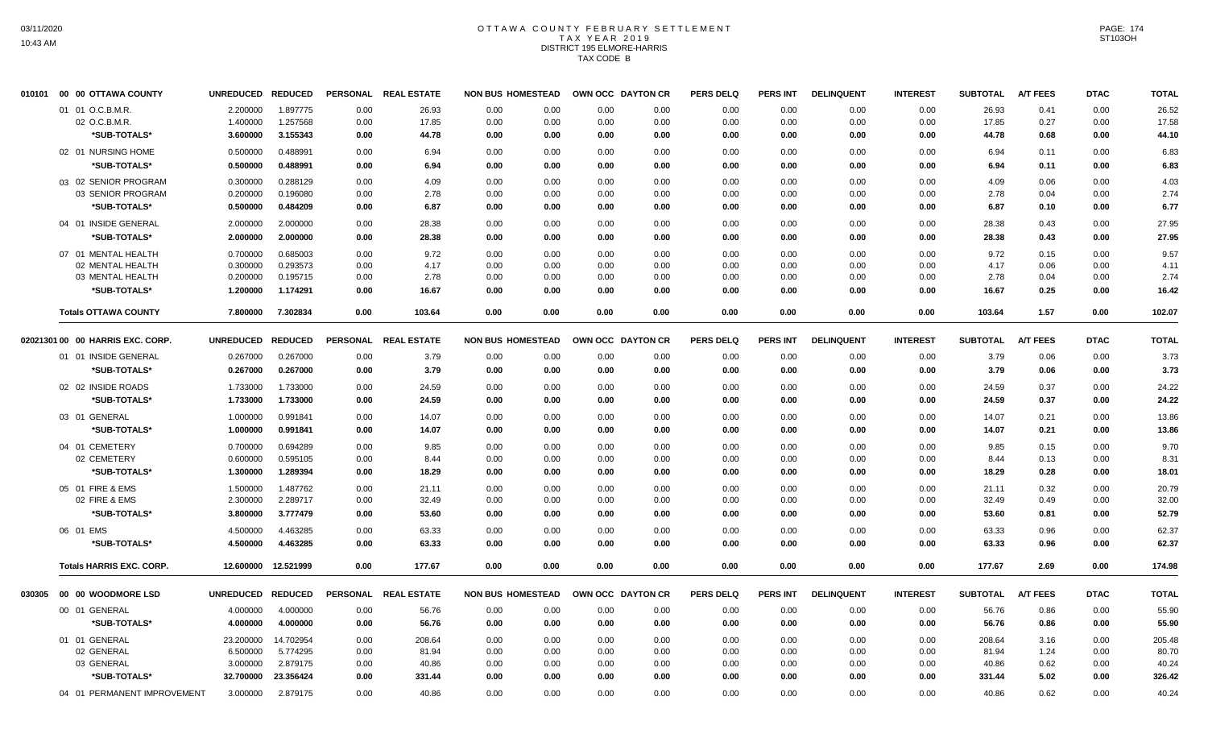## OTTAWA COUNTY FEBRUARY SETTLEMENT TAX YEAR 2019 DISTRICT 195 ELMORE-HARRIS TAX CODE B

| 010101 | 00 00 OTTAWA COUNTY              | UNREDUCED REDUCED |                |                 | PERSONAL REAL ESTATE | <b>NON BUS HOMESTEAD</b> |      | OWN OCC DAYTON CR | <b>PERS DELQ</b> | <b>PERS INT</b> | <b>DELINQUENT</b> | <b>INTEREST</b> | <b>SUBTOTAL</b> | A/T FEES        | <b>DTAC</b> | <b>TOTAL</b> |
|--------|----------------------------------|-------------------|----------------|-----------------|----------------------|--------------------------|------|-------------------|------------------|-----------------|-------------------|-----------------|-----------------|-----------------|-------------|--------------|
|        | 01 01 O.C.B.M.R.                 | 2.200000          | 1.897775       | 0.00            | 26.93                | 0.00<br>0.00             | 0.00 | 0.00              | 0.00             | 0.00            | 0.00              | 0.00            | 26.93           | 0.41            | 0.00        | 26.52        |
|        | 02 O.C.B.M.R.                    | 1.400000          | 1.257568       | 0.00            | 17.85                | 0.00<br>0.00             | 0.00 | 0.00              | 0.00             | 0.00            | 0.00              | 0.00            | 17.85           | 0.27            | 0.00        | 17.58        |
|        | *SUB-TOTALS*                     | 3.600000          | 3.155343       | 0.00            | 44.78                | 0.00<br>0.00             | 0.00 | 0.00              | 0.00             | 0.00            | 0.00              | 0.00            | 44.78           | 0.68            | 0.00        | 44.10        |
|        | 02 01 NURSING HOME               | 0.500000          | 0.488991       | 0.00            | 6.94                 | 0.00<br>0.00             | 0.00 | 0.00              | 0.00             | 0.00            | 0.00              | 0.00            | 6.94            | 0.11            | 0.00        | 6.83         |
|        | *SUB-TOTALS*                     | 0.500000          | 0.488991       | 0.00            | 6.94                 | 0.00<br>0.00             | 0.00 | 0.00              | 0.00             | 0.00            | 0.00              | 0.00            | 6.94            | 0.11            | 0.00        | 6.83         |
|        | 03 02 SENIOR PROGRAM             | 0.300000          | 0.288129       | 0.00            | 4.09                 | 0.00<br>0.00             | 0.00 | 0.00              | 0.00             | 0.00            | 0.00              | 0.00            | 4.09            | 0.06            | 0.00        | 4.03         |
|        | 03 SENIOR PROGRAM                | 0.200000          | 0.196080       | 0.00            | 2.78                 | 0.00<br>0.00             | 0.00 | 0.00              | 0.00             | 0.00            | 0.00              | 0.00            | 2.78            | 0.04            | 0.00        | 2.74         |
|        | *SUB-TOTALS*                     | 0.500000          | 0.484209       | 0.00            | 6.87                 | 0.00<br>0.00             | 0.00 | 0.00              | 0.00             | 0.00            | 0.00              | 0.00            | 6.87            | 0.10            | 0.00        | 6.77         |
|        | 04 01 INSIDE GENERAL             | 2.000000          | 2.000000       | 0.00            | 28.38                | 0.00<br>0.00             | 0.00 | 0.00              | 0.00             | 0.00            | 0.00              | 0.00            | 28.38           | 0.43            | 0.00        | 27.95        |
|        | *SUB-TOTALS*                     | 2.000000          | 2.000000       | 0.00            | 28.38                | 0.00<br>0.00             | 0.00 | 0.00              | 0.00             | 0.00            | 0.00              | 0.00            | 28.38           | 0.43            | 0.00        | 27.95        |
|        | 07 01 MENTAL HEALTH              | 0.700000          | 0.685003       | 0.00            | 9.72                 | 0.00<br>0.00             | 0.00 | 0.00              | 0.00             | 0.00            | 0.00              | 0.00            | 9.72            | 0.15            | 0.00        | 9.57         |
|        | 02 MENTAL HEALTH                 | 0.300000          | 0.293573       | 0.00            | 4.17                 | 0.00<br>0.00             | 0.00 | 0.00              | 0.00             | 0.00            | 0.00              | 0.00            | 4.17            | 0.06            | 0.00        | 4.11         |
|        | 03 MENTAL HEALTH                 | 0.200000          | 0.195715       | 0.00            | 2.78                 | 0.00<br>0.00             | 0.00 | 0.00              | 0.00             | 0.00            | 0.00              | 0.00            | 2.78            | 0.04            | 0.00        | 2.74         |
|        | *SUB-TOTALS*                     | 1.200000          | 1.174291       | 0.00            | 16.67                | 0.00<br>0.00             | 0.00 | 0.00              | 0.00             | 0.00            | 0.00              | 0.00            | 16.67           | 0.25            | 0.00        | 16.42        |
|        | <b>Totals OTTAWA COUNTY</b>      | 7.800000          | 7.302834       | 0.00            | 103.64               | 0.00<br>0.00             | 0.00 | 0.00              | 0.00             | 0.00            | 0.00              | 0.00            | 103.64          | 1.57            | 0.00        | 102.07       |
|        | 02021301 00 00 HARRIS EXC. CORP. | <b>UNREDUCED</b>  | <b>REDUCED</b> | <b>PERSONAL</b> | <b>REAL ESTATE</b>   | <b>NON BUS HOMESTEAD</b> |      | OWN OCC DAYTON CR | <b>PERS DELQ</b> | <b>PERS INT</b> | <b>DELINQUENT</b> | <b>INTEREST</b> | <b>SUBTOTAL</b> | <b>A/T FEES</b> | <b>DTAC</b> | <b>TOTAL</b> |
|        | 01 01 INSIDE GENERAL             | 0.267000          | 0.267000       | 0.00            | 3.79                 | 0.00<br>0.00             | 0.00 | 0.00              | 0.00             | 0.00            | 0.00              | 0.00            | 3.79            | 0.06            | 0.00        | 3.73         |
|        | *SUB-TOTALS*                     | 0.267000          | 0.267000       | 0.00            | 3.79                 | 0.00<br>0.00             | 0.00 | 0.00              | 0.00             | 0.00            | 0.00              | 0.00            | 3.79            | 0.06            | 0.00        | 3.73         |
|        | 02 02 INSIDE ROADS               | 1.733000          | 1.733000       | 0.00            | 24.59                | 0.00<br>0.00             | 0.00 | 0.00              | 0.00             | 0.00            | 0.00              | 0.00            | 24.59           | 0.37            | 0.00        | 24.22        |
|        | *SUB-TOTALS*                     | 1.733000          | 1.733000       | 0.00            | 24.59                | 0.00<br>0.00             | 0.00 | 0.00              | 0.00             | 0.00            | 0.00              | 0.00            | 24.59           | 0.37            | 0.00        | 24.22        |
|        | 03 01 GENERAL                    | 1.000000          | 0.991841       | 0.00            | 14.07                | 0.00<br>0.00             | 0.00 | 0.00              | 0.00             | 0.00            | 0.00              | 0.00            | 14.07           | 0.21            | 0.00        | 13.86        |
|        | *SUB-TOTALS*                     | 1.000000          | 0.991841       | 0.00            | 14.07                | 0.00<br>0.00             | 0.00 | 0.00              | 0.00             | 0.00            | 0.00              | 0.00            | 14.07           | 0.21            | 0.00        | 13.86        |
|        | 04 01 CEMETERY                   | 0.700000          | 0.694289       | 0.00            | 9.85                 | 0.00<br>0.00             | 0.00 | 0.00              | 0.00             | 0.00            | 0.00              | 0.00            | 9.85            | 0.15            | 0.00        | 9.70         |
|        | 02 CEMETERY                      | 0.600000          | 0.595105       | 0.00            | 8.44                 | 0.00<br>0.00             | 0.00 | 0.00              | 0.00             | 0.00            | 0.00              | 0.00            | 8.44            | 0.13            | 0.00        | 8.31         |
|        | *SUB-TOTALS*                     | 1.300000          | 1.289394       | 0.00            | 18.29                | 0.00<br>0.00             | 0.00 | 0.00              | 0.00             | 0.00            | 0.00              | 0.00            | 18.29           | 0.28            | 0.00        | 18.01        |
|        | 05 01 FIRE & EMS                 | 1.500000          | 1.487762       | 0.00            | 21.11                | 0.00<br>0.00             | 0.00 | 0.00              | 0.00             | 0.00            | 0.00              | 0.00            | 21.11           | 0.32            | 0.00        | 20.79        |
|        | 02 FIRE & EMS                    | 2.300000          | 2.289717       | 0.00            | 32.49                | 0.00<br>0.00             | 0.00 | 0.00              | 0.00             | 0.00            | 0.00              | 0.00            | 32.49           | 0.49            | 0.00        | 32.00        |
|        | *SUB-TOTALS*                     | 3.800000          | 3.777479       | 0.00            | 53.60                | 0.00<br>0.00             | 0.00 | 0.00              | 0.00             | 0.00            | 0.00              | 0.00            | 53.60           | 0.81            | 0.00        | 52.79        |
|        | 06 01 EMS                        | 4.500000          | 4.463285       | 0.00            | 63.33                | 0.00<br>0.00             | 0.00 | 0.00              | 0.00             | 0.00            | 0.00              | 0.00            | 63.33           | 0.96            | 0.00        | 62.37        |
|        | *SUB-TOTALS*                     | 4.500000          | 4.463285       | 0.00            | 63.33                | 0.00<br>0.00             | 0.00 | 0.00              | 0.00             | 0.00            | 0.00              | 0.00            | 63.33           | 0.96            | 0.00        | 62.37        |
|        | <b>Totals HARRIS EXC. CORP.</b>  | 12.600000         | 12.521999      | 0.00            | 177.67               | 0.00<br>0.00             | 0.00 | 0.00              | 0.00             | 0.00            | 0.00              | 0.00            | 177.67          | 2.69            | 0.00        | 174.98       |
| 030305 | 00 00 WOODMORE LSD               | <b>UNREDUCED</b>  | <b>REDUCED</b> |                 | PERSONAL REAL ESTATE | <b>NON BUS HOMESTEAD</b> |      | OWN OCC DAYTON CR | <b>PERS DELQ</b> | <b>PERS INT</b> | <b>DELINQUENT</b> | <b>INTEREST</b> | <b>SUBTOTAL</b> | <b>A/T FEES</b> | <b>DTAC</b> | <b>TOTAL</b> |
|        | 00 01 GENERAL                    | 4.000000          | 4.000000       | 0.00            | 56.76                | 0.00<br>0.00             | 0.00 | 0.00              | 0.00             | 0.00            | 0.00              | 0.00            | 56.76           | 0.86            | 0.00        | 55.90        |
|        | *SUB-TOTALS*                     | 4.000000          | 4.000000       | 0.00            | 56.76                | 0.00<br>0.00             | 0.00 | 0.00              | 0.00             | 0.00            | 0.00              | 0.00            | 56.76           | 0.86            | 0.00        | 55.90        |
|        | 01 01 GENERAL                    | 23.200000         | 14.702954      | 0.00            | 208.64               | 0.00<br>0.00             | 0.00 | 0.00              | 0.00             | 0.00            | 0.00              | 0.00            | 208.64          | 3.16            | 0.00        | 205.48       |
|        | 02 GENERAL                       | 6.500000          | 5.774295       | 0.00            | 81.94                | 0.00<br>0.00             | 0.00 | 0.00              | 0.00             | 0.00            | 0.00              | 0.00            | 81.94           | 1.24            | 0.00        | 80.70        |
|        | 03 GENERAL                       | 3.000000          | 2.879175       | 0.00            | 40.86                | 0.00<br>0.00             | 0.00 | 0.00              | 0.00             | 0.00            | 0.00              | 0.00            | 40.86           | 0.62            | 0.00        | 40.24        |
|        | *SUB-TOTALS*                     | 32.700000         | 23.356424      | 0.00            | 331.44               | 0.00<br>0.00             | 0.00 | 0.00              | 0.00             | 0.00            | 0.00              | 0.00            | 331.44          | 5.02            | 0.00        | 326.42       |
|        | 04 01 PERMANENT IMPROVEMENT      | 3.000000          | 2.879175       | 0.00            | 40.86                | 0.00<br>0.00             | 0.00 | 0.00              | 0.00             | 0.00            | 0.00              | 0.00            | 40.86           | 0.62            | 0.00        | 40.24        |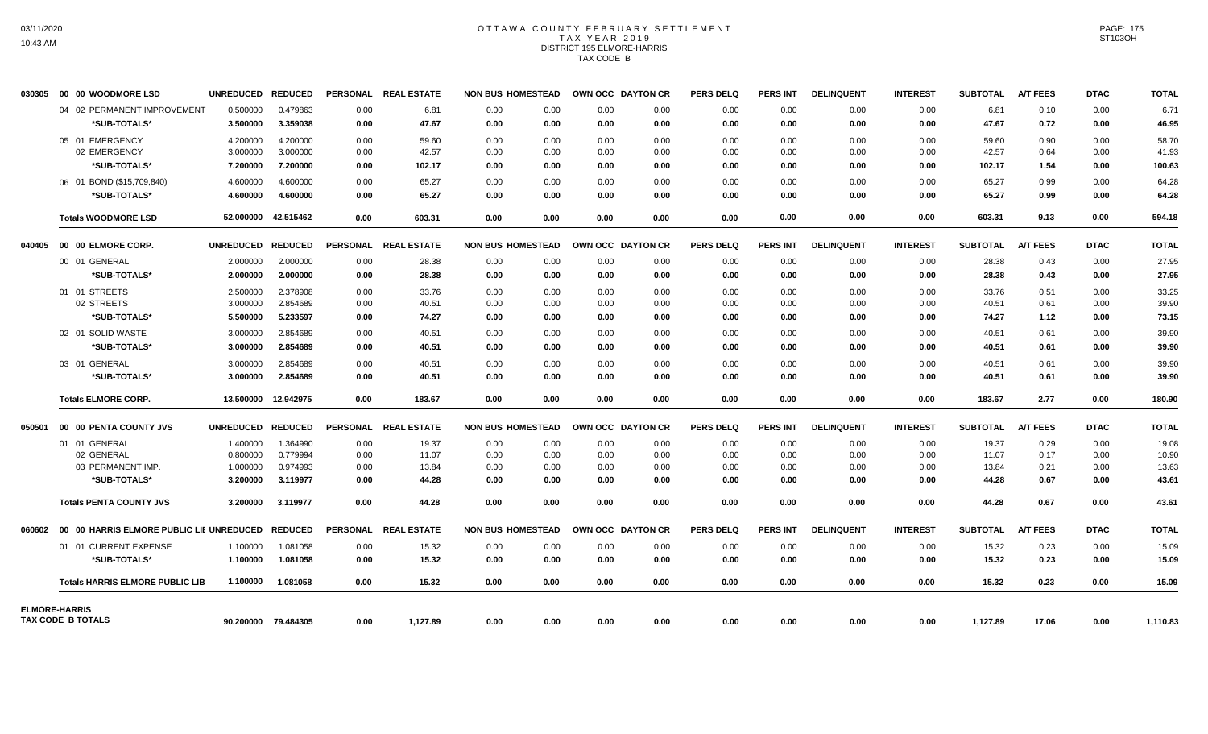## OTTAWA COUNTY FEBRUARY SETTLEMENT TAX YEAR 2019 DISTRICT 195 ELMORE-HARRIS TAX CODE B

| 030305 | <b>00 00 WOODMORE LSD</b>                               | UNREDUCED REDUCED |                     |      | PERSONAL REAL ESTATE | <b>NON BUS HOMESTEAD</b> |      | OWN OCC DAYTON CR |      | <b>PERS DELQ</b> | <b>PERS INT</b> | <b>DELINQUENT</b> | <b>INTEREST</b> | <b>SUBTOTAL</b> | <b>A/T FEES</b> | <b>DTAC</b> | <b>TOTAL</b> |
|--------|---------------------------------------------------------|-------------------|---------------------|------|----------------------|--------------------------|------|-------------------|------|------------------|-----------------|-------------------|-----------------|-----------------|-----------------|-------------|--------------|
|        | 04 02 PERMANENT IMPROVEMENT                             | 0.500000          | 0.479863            | 0.00 | 6.81                 | 0.00                     | 0.00 | 0.00              | 0.00 | 0.00             | 0.00            | 0.00              | 0.00            | 6.81            | 0.10            | 0.00        | 6.71         |
|        | *SUB-TOTALS*                                            | 3.500000          | 3.359038            | 0.00 | 47.67                | 0.00                     | 0.00 | 0.00              | 0.00 | 0.00             | 0.00            | 0.00              | 0.00            | 47.67           | 0.72            | 0.00        | 46.95        |
|        | 05 01 EMERGENCY                                         | 4.200000          | 4.200000            | 0.00 | 59.60                | 0.00                     | 0.00 | 0.00              | 0.00 | 0.00             | 0.00            | 0.00              | 0.00            | 59.60           | 0.90            | 0.00        | 58.70        |
|        | 02 EMERGENCY                                            | 3.000000          | 3.000000            | 0.00 | 42.57                | 0.00                     | 0.00 | 0.00              | 0.00 | 0.00             | 0.00            | 0.00              | 0.00            | 42.57           | 0.64            | 0.00        | 41.93        |
|        | *SUB-TOTALS*                                            | 7.200000          | 7.200000            | 0.00 | 102.17               | 0.00                     | 0.00 | 0.00              | 0.00 | 0.00             | 0.00            | 0.00              | 0.00            | 102.17          | 1.54            | 0.00        | 100.63       |
|        | 06 01 BOND (\$15,709,840)                               | 4.600000          | 4.600000            | 0.00 | 65.27                | 0.00                     | 0.00 | 0.00              | 0.00 | 0.00             | 0.00            | 0.00              | 0.00            | 65.27           | 0.99            | 0.00        | 64.28        |
|        | *SUB-TOTALS*                                            | 4.600000          | 4.600000            | 0.00 | 65.27                | 0.00                     | 0.00 | 0.00              | 0.00 | 0.00             | 0.00            | 0.00              | 0.00            | 65.27           | 0.99            | 0.00        | 64.28        |
|        | <b>Totals WOODMORE LSD</b>                              |                   | 52.000000 42.515462 | 0.00 | 603.31               | 0.00                     | 0.00 | 0.00              | 0.00 | 0.00             | 0.00            | 0.00              | 0.00            | 603.31          | 9.13            | 0.00        | 594.18       |
|        | 040405 00 00 ELMORE CORP.                               | UNREDUCED REDUCED |                     |      | PERSONAL REAL ESTATE | <b>NON BUS HOMESTEAD</b> |      | OWN OCC DAYTON CR |      | <b>PERS DELQ</b> | PERS INT        | <b>DELINQUENT</b> | <b>INTEREST</b> | <b>SUBTOTAL</b> | A/T FEES        | <b>DTAC</b> | <b>TOTAL</b> |
|        | 00 01 GENERAL                                           | 2.000000          | 2.000000            | 0.00 | 28.38                | 0.00                     | 0.00 | 0.00              | 0.00 | 0.00             | 0.00            | 0.00              | 0.00            | 28.38           | 0.43            | 0.00        | 27.95        |
|        | *SUB-TOTALS*                                            | 2.000000          | 2.000000            | 0.00 | 28.38                | 0.00                     | 0.00 | 0.00              | 0.00 | 0.00             | 0.00            | 0.00              | 0.00            | 28.38           | 0.43            | 0.00        | 27.95        |
|        | 01 01 STREETS                                           | 2.500000          | 2.378908            | 0.00 | 33.76                | 0.00                     | 0.00 | 0.00              | 0.00 | 0.00             | 0.00            | 0.00              | 0.00            | 33.76           | 0.51            | 0.00        | 33.25        |
|        | 02 STREETS                                              | 3.000000          | 2.854689            | 0.00 | 40.51                | 0.00                     | 0.00 | 0.00              | 0.00 | 0.00             | 0.00            | 0.00              | 0.00            | 40.51           | 0.61            | 0.00        | 39.90        |
|        | *SUB-TOTALS*                                            | 5.500000          | 5.233597            | 0.00 | 74.27                | 0.00                     | 0.00 | 0.00              | 0.00 | 0.00             | 0.00            | 0.00              | 0.00            | 74.27           | 1.12            | 0.00        | 73.15        |
|        | 02 01 SOLID WASTE                                       | 3.000000          | 2.854689            | 0.00 | 40.51                | 0.00                     | 0.00 | 0.00              | 0.00 | 0.00             | 0.00            | 0.00              | 0.00            | 40.51           | 0.61            | 0.00        | 39.90        |
|        | *SUB-TOTALS*                                            | 3.000000          | 2.854689            | 0.00 | 40.51                | 0.00                     | 0.00 | 0.00              | 0.00 | 0.00             | 0.00            | 0.00              | 0.00            | 40.51           | 0.61            | 0.00        | 39.90        |
|        | 03 01 GENERAL                                           | 3.000000          | 2.854689            | 0.00 | 40.51                | 0.00                     | 0.00 | 0.00              | 0.00 | 0.00             | 0.00            | 0.00              | 0.00            | 40.51           | 0.61            | 0.00        | 39.90        |
|        | *SUB-TOTALS*                                            | 3.000000          | 2.854689            | 0.00 | 40.51                | 0.00                     | 0.00 | 0.00              | 0.00 | 0.00             | 0.00            | 0.00              | 0.00            | 40.51           | 0.61            | 0.00        | 39.90        |
|        | <b>Totals ELMORE CORP.</b>                              | 13.500000         | 12.942975           | 0.00 | 183.67               | 0.00                     | 0.00 | 0.00              | 0.00 | 0.00             | 0.00            | 0.00              | 0.00            | 183.67          | 2.77            | 0.00        | 180.90       |
| 050501 | 00 00 PENTA COUNTY JVS                                  | UNREDUCED REDUCED |                     |      | PERSONAL REAL ESTATE | <b>NON BUS HOMESTEAD</b> |      | OWN OCC DAYTON CR |      | <b>PERS DELQ</b> | <b>PERS INT</b> | <b>DELINQUENT</b> | <b>INTEREST</b> | <b>SUBTOTAL</b> | <b>A/T FEES</b> | <b>DTAC</b> | <b>TOTAL</b> |
|        | 01 01 GENERAL                                           | 1.400000          | 1.364990            | 0.00 | 19.37                | 0.00                     | 0.00 | 0.00              | 0.00 | 0.00             | 0.00            | 0.00              | 0.00            | 19.37           | 0.29            | 0.00        | 19.08        |
|        | 02 GENERAL                                              | 0.800000          | 0.779994            | 0.00 | 11.07                | 0.00                     | 0.00 | 0.00              | 0.00 | 0.00             | 0.00            | 0.00              | 0.00            | 11.07           | 0.17            | 0.00        | 10.90        |
|        | 03 PERMANENT IMP.                                       | 1.000000          | 0.974993            | 0.00 | 13.84                | 0.00                     | 0.00 | 0.00              | 0.00 | 0.00             | 0.00            | 0.00              | 0.00            | 13.84           | 0.21            | 0.00        | 13.63        |
|        | *SUB-TOTALS*                                            | 3.200000          | 3.119977            | 0.00 | 44.28                | 0.00                     | 0.00 | 0.00              | 0.00 | 0.00             | 0.00            | 0.00              | 0.00            | 44.28           | 0.67            | 0.00        | 43.61        |
|        | <b>Totals PENTA COUNTY JVS</b>                          | 3.200000          | 3.119977            | 0.00 | 44.28                | 0.00                     | 0.00 | 0.00              | 0.00 | 0.00             | 0.00            | 0.00              | 0.00            | 44.28           | 0.67            | 0.00        | 43.61        |
|        | 060602 00 00 HARRIS ELMORE PUBLIC LIE UNREDUCED REDUCED |                   |                     |      | PERSONAL REAL ESTATE | <b>NON BUS HOMESTEAD</b> |      | OWN OCC DAYTON CR |      | PERS DELO        | PERS INT        | <b>DELINQUENT</b> | <b>INTEREST</b> | <b>SUBTOTAL</b> | <b>A/T FEES</b> | <b>DTAC</b> | <b>TOTAL</b> |
|        | 01 01 CURRENT EXPENSE                                   | 1.100000          | 1.081058            | 0.00 | 15.32                | 0.00                     | 0.00 | 0.00              | 0.00 | 0.00             | 0.00            | 0.00              | 0.00            | 15.32           | 0.23            | 0.00        | 15.09        |
|        | *SUB-TOTALS*                                            | 1.100000          | 1.081058            | 0.00 | 15.32                | 0.00                     | 0.00 | 0.00              | 0.00 | 0.00             | 0.00            | 0.00              | 0.00            | 15.32           | 0.23            | 0.00        | 15.09        |
|        | <b>Totals HARRIS ELMORE PUBLIC LIB</b>                  | 1.100000          | 1.081058            | 0.00 | 15.32                | 0.00                     | 0.00 | 0.00              | 0.00 | 0.00             | 0.00            | 0.00              | 0.00            | 15.32           | 0.23            | 0.00        | 15.09        |
|        | <b>ELMORE-HARRIS</b>                                    |                   |                     |      |                      |                          |      |                   |      |                  |                 |                   |                 |                 |                 |             |              |
|        | TAX CODE B TOTALS                                       |                   | 90.200000 79.484305 | 0.00 | 1,127.89             | 0.00                     | 0.00 | 0.00              | 0.00 | 0.00             | 0.00            | 0.00              | 0.00            | 1,127.89        | 17.06           | 0.00        | 1,110.83     |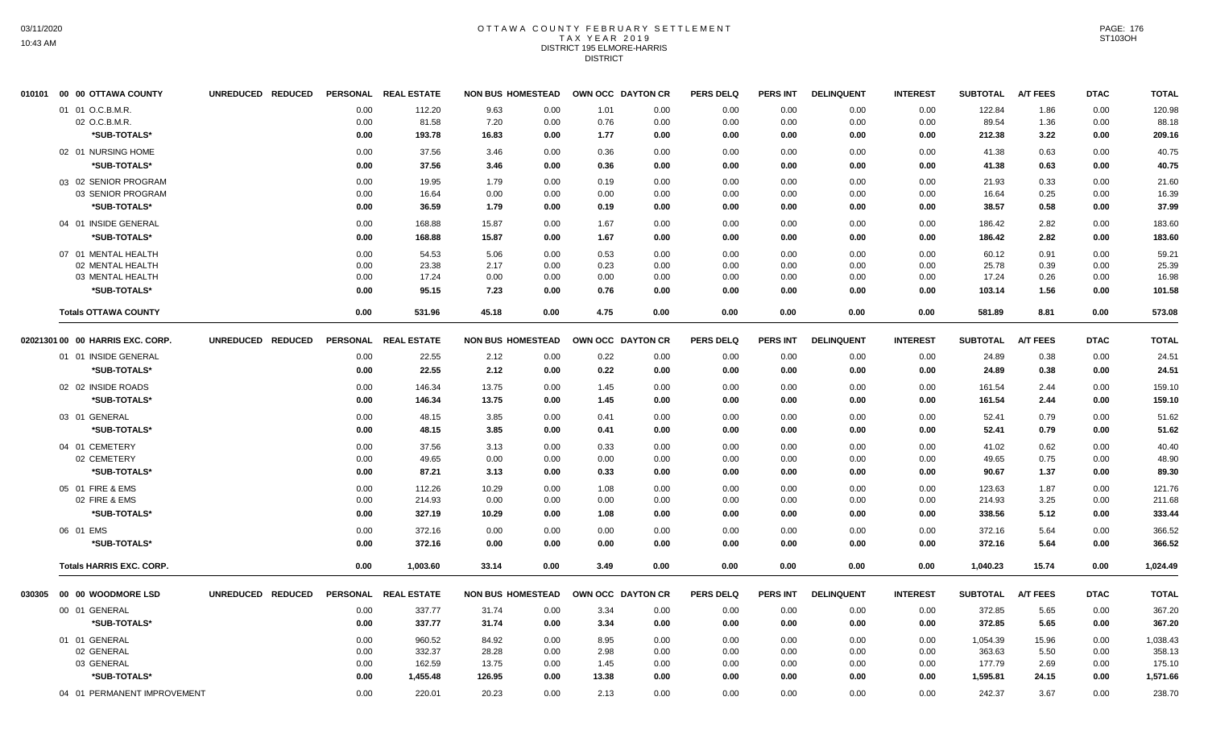#### OTTAWA COUNTY FEBRUARY SETTLEMENT T A X Y E A R 2 0 1 9 DISTRICT 195 ELMORE-HARRIS **DISTRICT**

|        | 010101 00 00 OTTAWA COUNTY        | UNREDUCED REDUCED |              | PERSONAL REAL ESTATE | <b>NON BUS HOMESTEAD</b> |              |              | OWN OCC DAYTON CR | <b>PERS DELQ</b> | <b>PERS INT</b> | <b>DELINQUENT</b> | <b>INTEREST</b> | <b>SUBTOTAL</b>  | <b>A/T FEES</b> | <b>DTAC</b>  | <b>TOTAL</b>     |
|--------|-----------------------------------|-------------------|--------------|----------------------|--------------------------|--------------|--------------|-------------------|------------------|-----------------|-------------------|-----------------|------------------|-----------------|--------------|------------------|
|        | 01 01 O.C.B.M.R.                  |                   | 0.00         | 112.20               | 9.63                     | 0.00         | 1.01         | 0.00              | 0.00             | 0.00            | 0.00              | 0.00            | 122.84           | 1.86            | 0.00         | 120.98           |
|        | 02 O.C.B.M.R.                     |                   | 0.00         | 81.58                | 7.20                     | 0.00         | 0.76         | 0.00              | 0.00             | 0.00            | 0.00              | 0.00            | 89.54            | 1.36            | 0.00         | 88.18            |
|        | *SUB-TOTALS*                      |                   | 0.00         | 193.78               | 16.83                    | 0.00         | 1.77         | 0.00              | 0.00             | 0.00            | 0.00              | 0.00            | 212.38           | 3.22            | $0.00\,$     | 209.16           |
|        | 02 01 NURSING HOME                |                   | 0.00         | 37.56                | 3.46                     | 0.00         | 0.36         | 0.00              | 0.00             | 0.00            | 0.00              | 0.00            | 41.38            | 0.63            | 0.00         | 40.75            |
|        | *SUB-TOTALS*                      |                   | 0.00         | 37.56                | 3.46                     | 0.00         | 0.36         | 0.00              | 0.00             | 0.00            | 0.00              | 0.00            | 41.38            | 0.63            | 0.00         | 40.75            |
|        | 03 02 SENIOR PROGRAM              |                   | 0.00         | 19.95                | 1.79                     | 0.00         | 0.19         | 0.00              | 0.00             | 0.00            | 0.00              | 0.00            | 21.93            | 0.33            | 0.00         | 21.60            |
|        | 03 SENIOR PROGRAM                 |                   | 0.00         | 16.64                | 0.00                     | 0.00         | 0.00         | 0.00              | 0.00             | 0.00            | 0.00              | 0.00            | 16.64            | 0.25            | 0.00         | 16.39            |
|        | *SUB-TOTALS*                      |                   | 0.00         | 36.59                | 1.79                     | 0.00         | 0.19         | 0.00              | 0.00             | 0.00            | 0.00              | 0.00            | 38.57            | 0.58            | 0.00         | 37.99            |
|        | 04 01 INSIDE GENERAL              |                   | 0.00         | 168.88               | 15.87                    | 0.00         | 1.67         | 0.00              | 0.00             | 0.00            | 0.00              | 0.00            | 186.42           | 2.82            | 0.00         | 183.60           |
|        | *SUB-TOTALS*                      |                   | 0.00         | 168.88               | 15.87                    | 0.00         | 1.67         | 0.00              | 0.00             | 0.00            | 0.00              | 0.00            | 186.42           | 2.82            | 0.00         | 183.60           |
|        | 07 01 MENTAL HEALTH               |                   | 0.00         | 54.53                | 5.06                     | 0.00         | 0.53         | 0.00              | 0.00             | 0.00            | 0.00              | 0.00            | 60.12            | 0.91            | 0.00         | 59.21            |
|        | 02 MENTAL HEALTH                  |                   | 0.00         | 23.38                | 2.17                     | 0.00         | 0.23         | 0.00              | 0.00             | 0.00            | 0.00              | 0.00            | 25.78            | 0.39            | 0.00         | 25.39            |
|        | 03 MENTAL HEALTH                  |                   | 0.00         | 17.24                | 0.00                     | 0.00         | 0.00         | 0.00              | 0.00             | 0.00            | 0.00              | 0.00            | 17.24            | 0.26            | 0.00         | 16.98            |
|        | *SUB-TOTALS*                      |                   | 0.00         | 95.15                | 7.23                     | 0.00         | 0.76         | 0.00              | 0.00             | 0.00            | 0.00              | 0.00            | 103.14           | 1.56            | 0.00         | 101.58           |
|        | <b>Totals OTTAWA COUNTY</b>       |                   | 0.00         | 531.96               | 45.18                    | 0.00         | 4.75         | 0.00              | 0.00             | 0.00            | 0.00              | 0.00            | 581.89           | 8.81            | 0.00         | 573.08           |
|        | 02021301 00 00 HARRIS EXC. CORP.  | UNREDUCED REDUCED |              | PERSONAL REAL ESTATE | <b>NON BUS HOMESTEAD</b> |              |              | OWN OCC DAYTON CR | <b>PERS DELQ</b> | <b>PERS INT</b> | <b>DELINQUENT</b> | <b>INTEREST</b> | <b>SUBTOTAL</b>  | <b>A/T FEES</b> | <b>DTAC</b>  | <b>TOTAL</b>     |
|        | 01 01 INSIDE GENERAL              |                   | 0.00         | 22.55                | 2.12                     | 0.00         | 0.22         | 0.00              | 0.00             | 0.00            | 0.00              | 0.00            | 24.89            | 0.38            | 0.00         | 24.51            |
|        | *SUB-TOTALS*                      |                   | 0.00         | 22.55                | 2.12                     | 0.00         | 0.22         | 0.00              | 0.00             | 0.00            | 0.00              | 0.00            | 24.89            | 0.38            | 0.00         | 24.51            |
|        | 02 02 INSIDE ROADS                |                   | 0.00         | 146.34               | 13.75                    | 0.00         | 1.45         | 0.00              | 0.00             | 0.00            | 0.00              | 0.00            | 161.54           | 2.44            | 0.00         | 159.10           |
|        | *SUB-TOTALS*                      |                   | 0.00         | 146.34               | 13.75                    | 0.00         | 1.45         | 0.00              | 0.00             | 0.00            | 0.00              | 0.00            | 161.54           | 2.44            | 0.00         | 159.10           |
|        | 03 01 GENERAL                     |                   | 0.00         | 48.15                | 3.85                     | 0.00         | 0.41         | 0.00              | 0.00             | 0.00            | 0.00              | 0.00            | 52.41            | 0.79            | 0.00         | 51.62            |
|        | *SUB-TOTALS*                      |                   | 0.00         | 48.15                | 3.85                     | 0.00         | 0.41         | 0.00              | 0.00             | 0.00            | 0.00              | 0.00            | 52.41            | 0.79            | 0.00         | 51.62            |
|        |                                   |                   |              |                      | 3.13                     | 0.00         |              |                   |                  |                 |                   |                 |                  |                 |              |                  |
|        | 04 01 CEMETERY<br>02 CEMETERY     |                   | 0.00<br>0.00 | 37.56<br>49.65       | 0.00                     | 0.00         | 0.33<br>0.00 | 0.00<br>0.00      | 0.00<br>0.00     | 0.00<br>0.00    | 0.00<br>0.00      | 0.00<br>0.00    | 41.02<br>49.65   | 0.62<br>0.75    | 0.00<br>0.00 | 40.40<br>48.90   |
|        | *SUB-TOTALS*                      |                   | 0.00         | 87.21                | 3.13                     | 0.00         | 0.33         | 0.00              | 0.00             | 0.00            | 0.00              | 0.00            | 90.67            | 1.37            | 0.00         | 89.30            |
|        |                                   |                   |              |                      |                          |              |              |                   |                  |                 |                   |                 |                  |                 |              |                  |
|        | 05 01 FIRE & EMS<br>02 FIRE & EMS |                   | 0.00<br>0.00 | 112.26<br>214.93     | 10.29<br>0.00            | 0.00<br>0.00 | 1.08<br>0.00 | 0.00<br>0.00      | 0.00<br>0.00     | 0.00<br>0.00    | 0.00<br>0.00      | 0.00<br>0.00    | 123.63<br>214.93 | 1.87<br>3.25    | 0.00<br>0.00 | 121.76<br>211.68 |
|        | *SUB-TOTALS*                      |                   | 0.00         | 327.19               | 10.29                    | 0.00         | 1.08         | 0.00              | 0.00             | 0.00            | 0.00              | 0.00            | 338.56           | 5.12            | 0.00         | 333.44           |
|        | 06 01 EMS                         |                   | 0.00         | 372.16               | 0.00                     | 0.00         | 0.00         | 0.00              | 0.00             | 0.00            | 0.00              | 0.00            | 372.16           | 5.64            | 0.00         | 366.52           |
|        | *SUB-TOTALS*                      |                   | 0.00         | 372.16               | 0.00                     | 0.00         | 0.00         | 0.00              | 0.00             | 0.00            | 0.00              | 0.00            | 372.16           | 5.64            | 0.00         | 366.52           |
|        |                                   |                   |              |                      |                          |              |              |                   |                  |                 |                   |                 |                  |                 |              |                  |
|        | <b>Totals HARRIS EXC. CORP.</b>   |                   | 0.00         | 1,003.60             | 33.14                    | 0.00         | 3.49         | 0.00              | 0.00             | 0.00            | 0.00              | 0.00            | 1,040.23         | 15.74           | 0.00         | 1,024.49         |
| 030305 | 00 00 WOODMORE LSD                | UNREDUCED REDUCED |              | PERSONAL REAL ESTATE | <b>NON BUS HOMESTEAD</b> |              |              | OWN OCC DAYTON CR | <b>PERS DELQ</b> | <b>PERS INT</b> | <b>DELINQUENT</b> | <b>INTEREST</b> | <b>SUBTOTAL</b>  | <b>A/T FEES</b> | <b>DTAC</b>  | <b>TOTAL</b>     |
|        | 00 01 GENERAL                     |                   | 0.00         | 337.77               | 31.74                    | 0.00         | 3.34         | 0.00              | 0.00             | 0.00            | 0.00              | 0.00            | 372.85           | 5.65            | 0.00         | 367.20           |
|        | *SUB-TOTALS*                      |                   | 0.00         | 337.77               | 31.74                    | 0.00         | 3.34         | 0.00              | 0.00             | 0.00            | 0.00              | 0.00            | 372.85           | 5.65            | 0.00         | 367.20           |
|        | 01 01 GENERAL                     |                   | 0.00         | 960.52               | 84.92                    | 0.00         | 8.95         | 0.00              | 0.00             | 0.00            | 0.00              | 0.00            | 1,054.39         | 15.96           | 0.00         | 1,038.43         |
|        | 02 GENERAL                        |                   | 0.00         | 332.37               | 28.28                    | 0.00         | 2.98         | 0.00              | 0.00             | 0.00            | 0.00              | 0.00            | 363.63           | 5.50            | 0.00         | 358.13           |
|        | 03 GENERAL                        |                   | 0.00         | 162.59               | 13.75                    | 0.00         | 1.45         | 0.00              | 0.00             | 0.00            | 0.00              | 0.00            | 177.79           | 2.69            | 0.00         | 175.10           |
|        | *SUB-TOTALS*                      |                   | 0.00         | 1,455.48             | 126.95                   | 0.00         | 13.38        | 0.00              | 0.00             | 0.00            | 0.00              | 0.00            | 1,595.81         | 24.15           | 0.00         | 1,571.66         |
|        | 04 01 PERMANENT IMPROVEMENT       |                   | 0.00         | 220.01               | 20.23                    | 0.00         | 2.13         | 0.00              | 0.00             | 0.00            | 0.00              | 0.00            | 242.37           | 3.67            | 0.00         | 238.70           |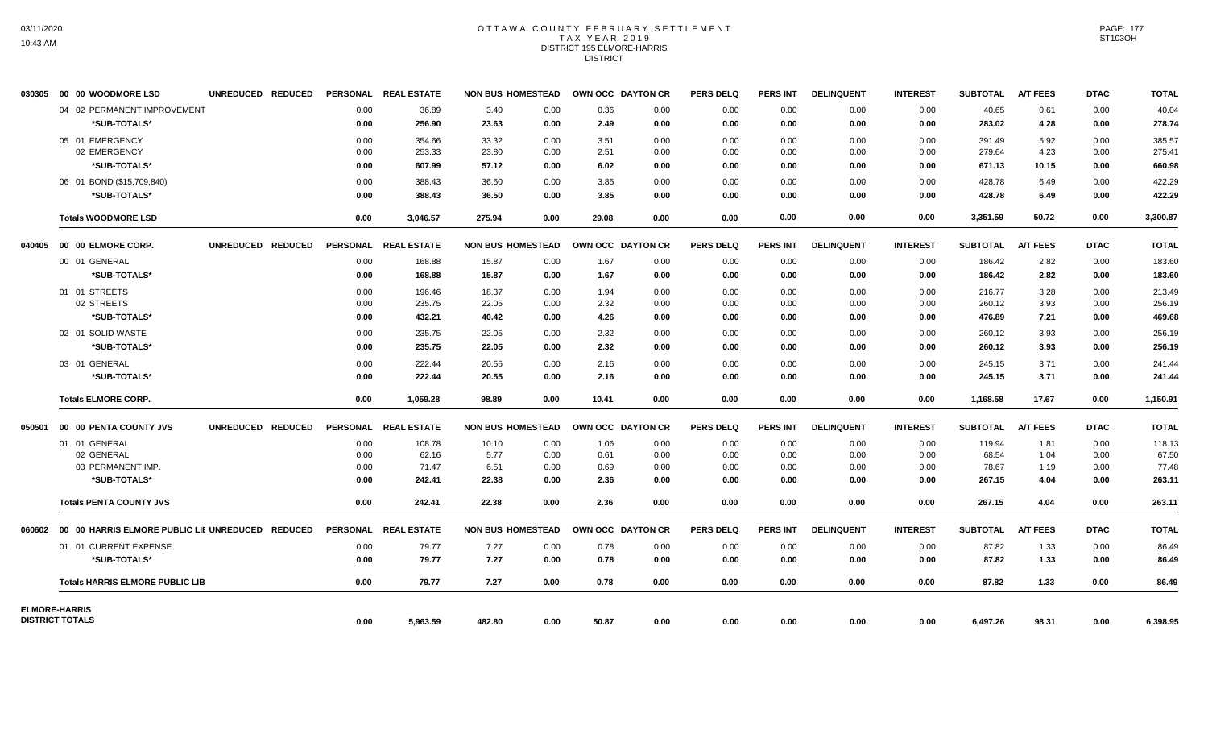## OTTAWA COUNTY FEBRUARY SETTLEMENT TAX YEAR 2019 DISTRICT 195 ELMORE-HARRIS DISTRICT

| 030305                 | 00 00 WOODMORE LSD                          | UNREDUCED REDUCED |              | PERSONAL REAL ESTATE |               | <b>NON BUS HOMESTEAD</b> | OWN OCC DAYTON CR |              | <b>PERS DELQ</b> | <b>PERS INT</b> | <b>DELINQUENT</b> | <b>INTEREST</b> | <b>SUBTOTAL</b> | <b>A/T FEES</b> | <b>DTAC</b>  | <b>TOTAL</b>    |
|------------------------|---------------------------------------------|-------------------|--------------|----------------------|---------------|--------------------------|-------------------|--------------|------------------|-----------------|-------------------|-----------------|-----------------|-----------------|--------------|-----------------|
|                        | 04 02 PERMANENT IMPROVEMENT<br>*SUB-TOTALS* |                   | 0.00<br>0.00 | 36.89<br>256.90      | 3.40<br>23.63 | 0.00<br>0.00             | 0.36<br>2.49      | 0.00<br>0.00 | 0.00<br>0.00     | 0.00<br>0.00    | 0.00<br>0.00      | 0.00<br>0.00    | 40.65<br>283.02 | 0.61<br>4.28    | 0.00<br>0.00 | 40.04<br>278.74 |
|                        | 05 01 EMERGENCY                             |                   | 0.00         | 354.66               | 33.32         | 0.00                     | 3.51              | 0.00         | 0.00             | 0.00            | 0.00              | 0.00            | 391.49          | 5.92            | 0.00         | 385.57          |
|                        | 02 EMERGENCY                                |                   | 0.00         | 253.33               | 23.80         | 0.00                     | 2.51              | 0.00         | 0.00             | 0.00            | 0.00              | 0.00            | 279.64          | 4.23            | 0.00         | 275.41          |
|                        | *SUB-TOTALS*                                |                   | 0.00         | 607.99               | 57.12         | 0.00                     | 6.02              | 0.00         | 0.00             | 0.00            | 0.00              | 0.00            | 671.13          | 10.15           | 0.00         | 660.98          |
|                        | 06 01 BOND (\$15,709,840)                   |                   | 0.00         | 388.43               | 36.50         | 0.00                     | 3.85              | 0.00         | 0.00             | 0.00            | 0.00              | 0.00            | 428.78          | 6.49            | 0.00         | 422.29          |
|                        | *SUB-TOTALS*                                |                   | 0.00         | 388.43               | 36.50         | 0.00                     | 3.85              | 0.00         | 0.00             | 0.00            | 0.00              | 0.00            | 428.78          | 6.49            | 0.00         | 422.29          |
|                        | <b>Totals WOODMORE LSD</b>                  |                   | 0.00         | 3.046.57             | 275.94        | 0.00                     | 29.08             | 0.00         | 0.00             | 0.00            | 0.00              | 0.00            | 3,351.59        | 50.72           | 0.00         | 3,300.87        |
|                        |                                             | UNREDUCED REDUCED |              | PERSONAL REAL ESTATE |               | <b>NON BUS HOMESTEAD</b> | OWN OCC DAYTON CR |              | <b>PERS DELQ</b> | <b>PERS INT</b> | <b>DELINQUENT</b> | <b>INTEREST</b> | <b>SUBTOTAL</b> | <b>A/T FEES</b> | <b>DTAC</b>  | <b>TOTAL</b>    |
|                        | 00 01 GENERAL                               |                   | 0.00         | 168.88               | 15.87         | 0.00                     | 1.67              | 0.00         | 0.00             | 0.00            | 0.00              | 0.00            | 186.42          | 2.82            | 0.00         | 183.60          |
|                        | *SUB-TOTALS*                                |                   | 0.00         | 168.88               | 15.87         | 0.00                     | 1.67              | 0.00         | 0.00             | 0.00            | 0.00              | 0.00            | 186.42          | 2.82            | 0.00         | 183.60          |
|                        | 01 01 STREETS                               |                   | 0.00         | 196.46               | 18.37         | 0.00                     | 1.94              | 0.00         | 0.00             | 0.00            | 0.00              | 0.00            | 216.77          | 3.28            | 0.00         | 213.49          |
|                        | 02 STREETS                                  |                   | 0.00         | 235.75               | 22.05         | 0.00                     | 2.32              | 0.00         | 0.00             | 0.00            | 0.00              | 0.00            | 260.12          | 3.93            | 0.00         | 256.19          |
|                        | *SUB-TOTALS*                                |                   | 0.00         | 432.21               | 40.42         | 0.00                     | 4.26              | 0.00         | 0.00             | 0.00            | 0.00              | 0.00            | 476.89          | 7.21            | 0.00         | 469.68          |
|                        | 02 01 SOLID WASTE                           |                   | 0.00         | 235.75               | 22.05         | 0.00                     | 2.32              | 0.00         | 0.00             | 0.00            | 0.00              | 0.00            | 260.12          | 3.93            | 0.00         | 256.19          |
|                        | *SUB-TOTALS*                                |                   | 0.00         | 235.75               | 22.05         | 0.00                     | 2.32              | 0.00         | 0.00             | 0.00            | 0.00              | 0.00            | 260.12          | 3.93            | 0.00         | 256.19          |
|                        | 03 01 GENERAL                               |                   | 0.00         | 222.44               | 20.55         | 0.00                     | 2.16              | 0.00         | 0.00             | 0.00            | 0.00              | 0.00            | 245.15          | 3.71            | 0.00         | 241.44          |
|                        | *SUB-TOTALS*                                |                   | 0.00         | 222.44               | 20.55         | 0.00                     | 2.16              | 0.00         | 0.00             | 0.00            | 0.00              | 0.00            | 245.15          | 3.71            | 0.00         | 241.44          |
|                        | <b>Totals ELMORE CORP.</b>                  |                   | 0.00         | 1,059.28             | 98.89         | 0.00                     | 10.41             | 0.00         | 0.00             | 0.00            | 0.00              | 0.00            | 1,168.58        | 17.67           | 0.00         | 1,150.91        |
|                        | 050501 00 00 PENTA COUNTY JVS               | UNREDUCED REDUCED |              | PERSONAL REAL ESTATE |               | <b>NON BUS HOMESTEAD</b> | OWN OCC DAYTON CR |              | <b>PERS DELQ</b> | <b>PERS INT</b> | <b>DELINQUENT</b> | <b>INTEREST</b> | <b>SUBTOTAL</b> | <b>A/T FEES</b> | <b>DTAC</b>  | <b>TOTAL</b>    |
|                        | 01 01 GENERAL                               |                   | 0.00         | 108.78               | 10.10         | 0.00                     | 1.06              | 0.00         | 0.00             | 0.00            | 0.00              | 0.00            | 119.94          | 1.81            | 0.00         | 118.13          |
|                        | 02 GENERAL                                  |                   | 0.00         | 62.16                | 5.77          | 0.00                     | 0.61              | 0.00         | 0.00             | 0.00            | 0.00              | 0.00            | 68.54           | 1.04            | 0.00         | 67.50           |
|                        | 03 PERMANENT IMP.                           |                   | 0.00         | 71.47                | 6.51          | 0.00                     | 0.69              | 0.00         | 0.00             | 0.00            | 0.00              | 0.00            | 78.67           | 1.19            | 0.00         | 77.48           |
|                        | *SUB-TOTALS*                                |                   | 0.00         | 242.41               | 22.38         | 0.00                     | 2.36              | 0.00         | 0.00             | 0.00            | 0.00              | 0.00            | 267.15          | 4.04            | 0.00         | 263.11          |
|                        | <b>Totals PENTA COUNTY JVS</b>              |                   | 0.00         | 242.41               | 22.38         | 0.00                     | 2.36              | 0.00         | 0.00             | 0.00            | 0.00              | 0.00            | 267.15          | 4.04            | 0.00         | 263.11          |
|                        |                                             |                   |              | PERSONAL REAL ESTATE |               | <b>NON BUS HOMESTEAD</b> | OWN OCC DAYTON CR |              | <b>PERS DELQ</b> | PERS INT        | <b>DELINQUENT</b> | <b>INTEREST</b> | <b>SUBTOTAL</b> | <b>A/T FEES</b> | <b>DTAC</b>  | <b>TOTAL</b>    |
|                        | 01 01 CURRENT EXPENSE                       |                   | 0.00         | 79.77                | 7.27          | 0.00                     | 0.78              | 0.00         | 0.00             | 0.00            | 0.00              | 0.00            | 87.82           | 1.33            | 0.00         | 86.49           |
|                        | *SUB-TOTALS*                                |                   | 0.00         | 79.77                | 7.27          | 0.00                     | 0.78              | 0.00         | 0.00             | 0.00            | 0.00              | 0.00            | 87.82           | 1.33            | 0.00         | 86.49           |
|                        | <b>Totals HARRIS ELMORE PUBLIC LIB</b>      |                   | 0.00         | 79.77                | 7.27          | 0.00                     | 0.78              | 0.00         | 0.00             | 0.00            | 0.00              | 0.00            | 87.82           | 1.33            | 0.00         | 86.49           |
| <b>ELMORE-HARRIS</b>   |                                             |                   |              |                      |               |                          |                   |              |                  |                 |                   |                 |                 |                 |              |                 |
| <b>DISTRICT TOTALS</b> |                                             |                   | 0.00         | 5,963.59             | 482.80        | 0.00                     | 50.87             | 0.00         | 0.00             | 0.00            | 0.00              | 0.00            | 6,497.26        | 98.31           | 0.00         | 6,398.95        |

PAGE: 177 ST103OH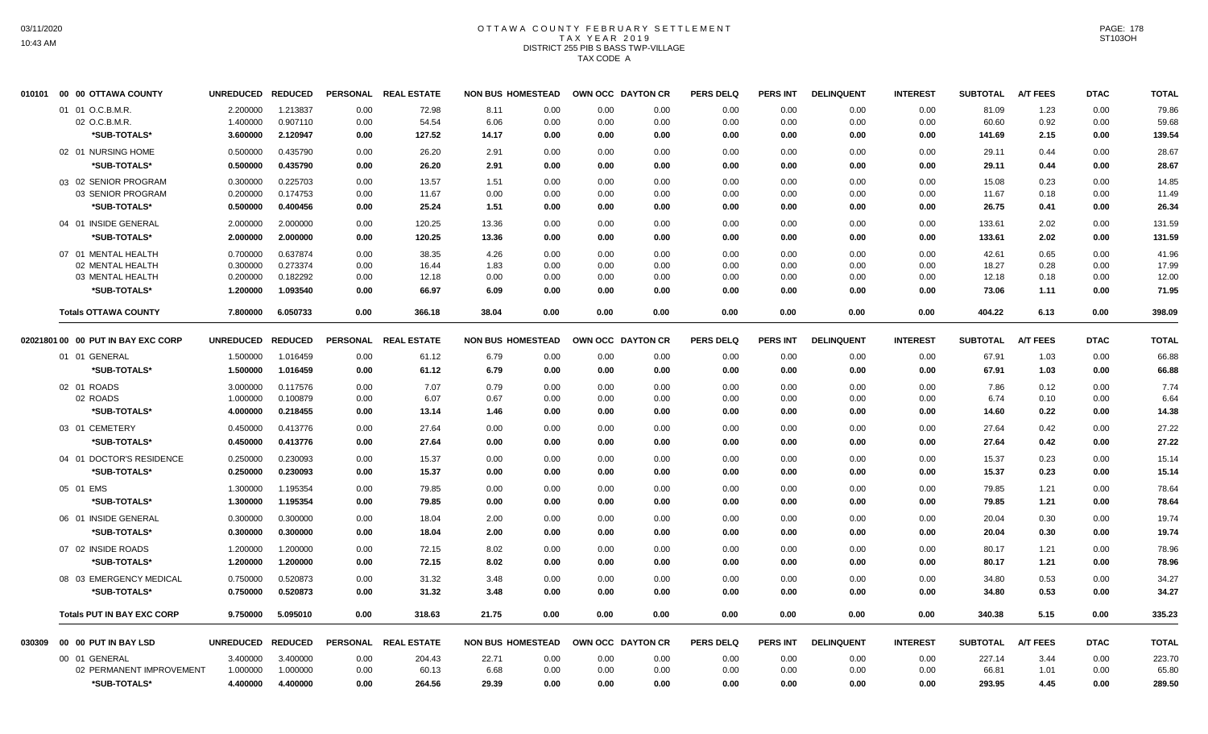# OTTAWA COUNTY FEBRUARY SETTLEMENT TAX YEAR 2019 DISTRICT 255 PIB S BASS TWP-VILLAGE TAX CODE A

|        | 010101 00 00 OTTAWA COUNTY         | <b>UNREDUCED</b>     | <b>REDUCED</b>       | PERSONAL     | <b>REAL ESTATE</b>   | <b>NON BUS HOMESTEAD</b>     |              | OWN OCC DAYTON CR | <b>PERS DELQ</b> | <b>PERS INT</b> | <b>DELINQUENT</b> | <b>INTEREST</b> | <b>SUBTOTAL</b> | <b>A/T FEES</b> | <b>DTAC</b>  | <b>TOTAL</b>   |
|--------|------------------------------------|----------------------|----------------------|--------------|----------------------|------------------------------|--------------|-------------------|------------------|-----------------|-------------------|-----------------|-----------------|-----------------|--------------|----------------|
|        | 01 01 O.C.B.M.R.                   | 2.200000             | 1.213837             | 0.00         | 72.98                | 8.11<br>0.00                 | 0.00         | 0.00              | 0.00             | 0.00            | 0.00              | 0.00            | 81.09           | 1.23            | 0.00         | 79.86          |
|        | 02 O.C.B.M.R                       | 1.400000             | 0.907110             | 0.00         | 54.54                | 6.06<br>0.00                 | 0.00         | 0.00              | 0.00             | 0.00            | 0.00              | 0.00            | 60.60           | 0.92            | 0.00         | 59.68          |
|        | *SUB-TOTALS*                       | 3.600000             | 2.120947             | 0.00         | 127.52               | 14.17<br>0.00                | 0.00         | 0.00              | 0.00             | 0.00            | 0.00              | 0.00            | 141.69          | 2.15            | 0.00         | 139.54         |
|        | 02 01 NURSING HOME                 | 0.500000             | 0.435790             | 0.00         | 26.20                | 2.91<br>0.00                 | 0.00         | 0.00              | 0.00             | 0.00            | 0.00              | 0.00            | 29.11           | 0.44            | 0.00         | 28.67          |
|        | *SUB-TOTALS*                       | 0.500000             | 0.435790             | 0.00         | 26.20                | 0.00<br>2.91                 | 0.00         | 0.00              | 0.00             | 0.00            | 0.00              | 0.00            | 29.11           | 0.44            | 0.00         | 28.67          |
|        | 03 02 SENIOR PROGRAM               | 0.300000             | 0.225703             | 0.00         | 13.57                | 1.51<br>0.00                 | 0.00         | 0.00              | 0.00             | 0.00            | 0.00              | 0.00            | 15.08           | 0.23            | 0.00         | 14.85          |
|        | 03 SENIOR PROGRAM                  | 0.200000             | 0.174753             | 0.00         | 11.67                | 0.00<br>0.00                 | 0.00         | 0.00              | 0.00             | 0.00            | 0.00              | 0.00            | 11.67           | 0.18            | 0.00         | 11.49          |
|        | *SUB-TOTALS*                       | 0.500000             | 0.400456             | 0.00         | 25.24                | 1.51<br>0.00                 | 0.00         | 0.00              | 0.00             | 0.00            | 0.00              | 0.00            | 26.75           | 0.41            | 0.00         | 26.34          |
|        | 04 01 INSIDE GENERAL               | 2.000000             | 2.000000             | 0.00         | 120.25               | 13.36<br>0.00                | 0.00         | 0.00              | 0.00             | 0.00            | 0.00              | 0.00            | 133.61          | 2.02            | 0.00         | 131.59         |
|        | *SUB-TOTALS*                       | 2.000000             | 2.000000             | 0.00         | 120.25               | 13.36<br>0.00                | 0.00         | 0.00              | 0.00             | 0.00            | 0.00              | 0.00            | 133.61          | 2.02            | 0.00         | 131.59         |
|        | 07 01 MENTAL HEALTH                | 0.700000             | 0.637874             | 0.00         | 38.35                | 4.26<br>0.00                 | 0.00         | 0.00              | 0.00             | 0.00            | 0.00              | 0.00            | 42.61           | 0.65            | 0.00         | 41.96          |
|        | 02 MENTAL HEALTH                   | 0.300000             | 0.273374             | 0.00         | 16.44                | 0.00<br>1.83                 | 0.00         | 0.00              | 0.00             | 0.00            | 0.00              | 0.00            | 18.27           | 0.28            | 0.00         | 17.99          |
|        | 03 MENTAL HEALTH                   | 0.200000             | 0.182292             | 0.00         | 12.18                | 0.00<br>0.00                 | 0.00         | 0.00              | 0.00             | 0.00            | 0.00              | 0.00            | 12.18           | 0.18            | 0.00         | 12.00          |
|        | *SUB-TOTALS*                       | 1.200000             | 1.093540             | 0.00         | 66.97                | 6.09<br>0.00                 | 0.00         | 0.00              | 0.00             | 0.00            | 0.00              | 0.00            | 73.06           | 1.11            | 0.00         | 71.95          |
|        | <b>Totals OTTAWA COUNTY</b>        | 7.800000             | 6.050733             | 0.00         | 366.18               | 38.04<br>0.00                | 0.00         | 0.00              | 0.00             | 0.00            | 0.00              | 0.00            | 404.22          | 6.13            | 0.00         | 398.09         |
|        | 02021801 00 00 PUT IN BAY EXC CORP | UNREDUCED REDUCED    |                      |              | PERSONAL REAL ESTATE | <b>NON BUS HOMESTEAD</b>     |              | OWN OCC DAYTON CR | <b>PERS DELQ</b> | <b>PERS INT</b> | <b>DELINQUENT</b> | <b>INTEREST</b> | <b>SUBTOTAL</b> | <b>A/T FEES</b> | <b>DTAC</b>  | <b>TOTAL</b>   |
|        | 01 01 GENERAL                      | 1.500000             | 1.016459             | 0.00         | 61.12                | 6.79<br>0.00                 | 0.00         | 0.00              | 0.00             | 0.00            | 0.00              | 0.00            | 67.91           | 1.03            | 0.00         | 66.88          |
|        | *SUB-TOTALS*                       | 1.500000             | 1.016459             | 0.00         | 61.12                | 6.79<br>0.00                 | 0.00         | 0.00              | 0.00             | 0.00            | 0.00              | 0.00            | 67.91           | 1.03            | 0.00         | 66.88          |
|        | 02 01 ROADS                        | 3.000000             | 0.117576             | 0.00         | 7.07                 | 0.79<br>0.00                 | 0.00         | 0.00              | 0.00             | 0.00            | 0.00              | 0.00            | 7.86            | 0.12            | 0.00         | 7.74           |
|        | 02 ROADS                           | 1.000000             | 0.100879             | 0.00         | 6.07                 | 0.67<br>0.00                 | 0.00         | 0.00              | 0.00             | 0.00            | 0.00              | 0.00            | 6.74            | 0.10            | 0.00         | 6.64           |
|        | *SUB-TOTALS*                       | 4.000000             | 0.218455             | 0.00         | 13.14                | 1.46<br>0.00                 | 0.00         | 0.00              | 0.00             | 0.00            | 0.00              | 0.00            | 14.60           | 0.22            | 0.00         | 14.38          |
|        | 03 01 CEMETERY                     | 0.450000             | 0.413776             | 0.00         | 27.64                | 0.00<br>0.00                 | 0.00         | 0.00              | 0.00             | 0.00            | 0.00              | 0.00            | 27.64           | 0.42            | 0.00         | 27.22          |
|        | *SUB-TOTALS*                       | 0.450000             | 0.413776             | 0.00         | 27.64                | 0.00<br>0.00                 | 0.00         | 0.00              | 0.00             | 0.00            | 0.00              | 0.00            | 27.64           | 0.42            | 0.00         | 27.22          |
|        | 04 01 DOCTOR'S RESIDENCE           | 0.250000             | 0.230093             | 0.00         | 15.37                | 0.00<br>0.00                 | 0.00         | 0.00              | 0.00             | 0.00            | 0.00              | 0.00            | 15.37           | 0.23            | 0.00         | 15.14          |
|        | *SUB-TOTALS*                       | 0.250000             | 0.230093             | 0.00         | 15.37                | 0.00<br>0.00                 | 0.00         | 0.00              | 0.00             | 0.00            | 0.00              | 0.00            | 15.37           | 0.23            | 0.00         | 15.14          |
|        | 05 01 EMS                          | 1.300000             | 1.195354             | 0.00         | 79.85                | 0.00<br>0.00                 | 0.00         | 0.00              | 0.00             | 0.00            | 0.00              | 0.00            | 79.85           | 1.21            | 0.00         | 78.64          |
|        | *SUB-TOTALS*                       | 1.300000             | 1.195354             | 0.00         | 79.85                | 0.00<br>0.00                 | 0.00         | 0.00              | 0.00             | 0.00            | 0.00              | 0.00            | 79.85           | 1.21            | 0.00         | 78.64          |
|        | 06 01 INSIDE GENERAL               | 0.300000             | 0.300000             | 0.00         | 18.04                | 2.00<br>0.00                 | 0.00         | 0.00              | 0.00             | 0.00            | 0.00              | 0.00            | 20.04           | 0.30            | 0.00         | 19.74          |
|        | *SUB-TOTALS*                       | 0.300000             | 0.300000             | 0.00         | 18.04                | 2.00<br>0.00                 | 0.00         | 0.00              | 0.00             | 0.00            | 0.00              | 0.00            | 20.04           | 0.30            | 0.00         | 19.74          |
|        |                                    |                      |                      |              |                      |                              |              |                   |                  |                 |                   |                 |                 |                 |              |                |
|        | 07 02 INSIDE ROADS<br>*SUB-TOTALS* | 1.200000<br>1.200000 | 1.200000<br>1.200000 | 0.00<br>0.00 | 72.15<br>72.15       | 8.02<br>0.00<br>8.02<br>0.00 | 0.00<br>0.00 | 0.00<br>0.00      | 0.00<br>0.00     | 0.00<br>0.00    | 0.00<br>0.00      | 0.00<br>0.00    | 80.17<br>80.17  | 1.21<br>1.21    | 0.00<br>0.00 | 78.96<br>78.96 |
|        |                                    |                      |                      |              |                      |                              |              |                   |                  |                 |                   |                 |                 |                 |              |                |
|        | 08 03 EMERGENCY MEDICAL            | 0.750000             | 0.520873             | 0.00         | 31.32                | 3.48<br>0.00                 | 0.00         | 0.00              | 0.00             | 0.00            | 0.00              | 0.00            | 34.80           | 0.53            | 0.00         | 34.27          |
|        | *SUB-TOTALS*                       | 0.750000             | 0.520873             | 0.00         | 31.32                | 3.48<br>0.00                 | 0.00         | 0.00              | 0.00             | 0.00            | 0.00              | 0.00            | 34.80           | 0.53            | 0.00         | 34.27          |
|        | <b>Totals PUT IN BAY EXC CORP</b>  | 9.750000             | 5.095010             | 0.00         | 318.63               | 21.75<br>0.00                | 0.00         | 0.00              | 0.00             | 0.00            | 0.00              | 0.00            | 340.38          | 5.15            | 0.00         | 335.23         |
| 030309 | 00 00 PUT IN BAY LSD               | UNREDUCED REDUCED    |                      |              | PERSONAL REAL ESTATE | <b>NON BUS HOMESTEAD</b>     |              | OWN OCC DAYTON CR | <b>PERS DELQ</b> | <b>PERS INT</b> | <b>DELINQUENT</b> | <b>INTEREST</b> | <b>SUBTOTAL</b> | <b>A/T FEES</b> | <b>DTAC</b>  | <b>TOTAL</b>   |
|        | 00 01 GENERAL                      | 3.400000             | 3.400000             | 0.00         | 204.43               | 22.71<br>0.00                | 0.00         | 0.00              | 0.00             | 0.00            | 0.00              | 0.00            | 227.14          | 3.44            | 0.00         | 223.70         |
|        | 02 PERMANENT IMPROVEMENT           | 1.000000             | 1.000000             | 0.00         | 60.13                | 6.68<br>0.00                 | 0.00         | 0.00              | 0.00             | 0.00            | 0.00              | 0.00            | 66.81           | 1.01            | 0.00         | 65.80          |
|        | *SUB-TOTALS*                       | 4.400000             | 4.400000             | 0.00         | 264.56               | 29.39<br>0.00                | 0.00         | 0.00              | 0.00             | 0.00            | 0.00              | 0.00            | 293.95          | 4.45            | 0.00         | 289.50         |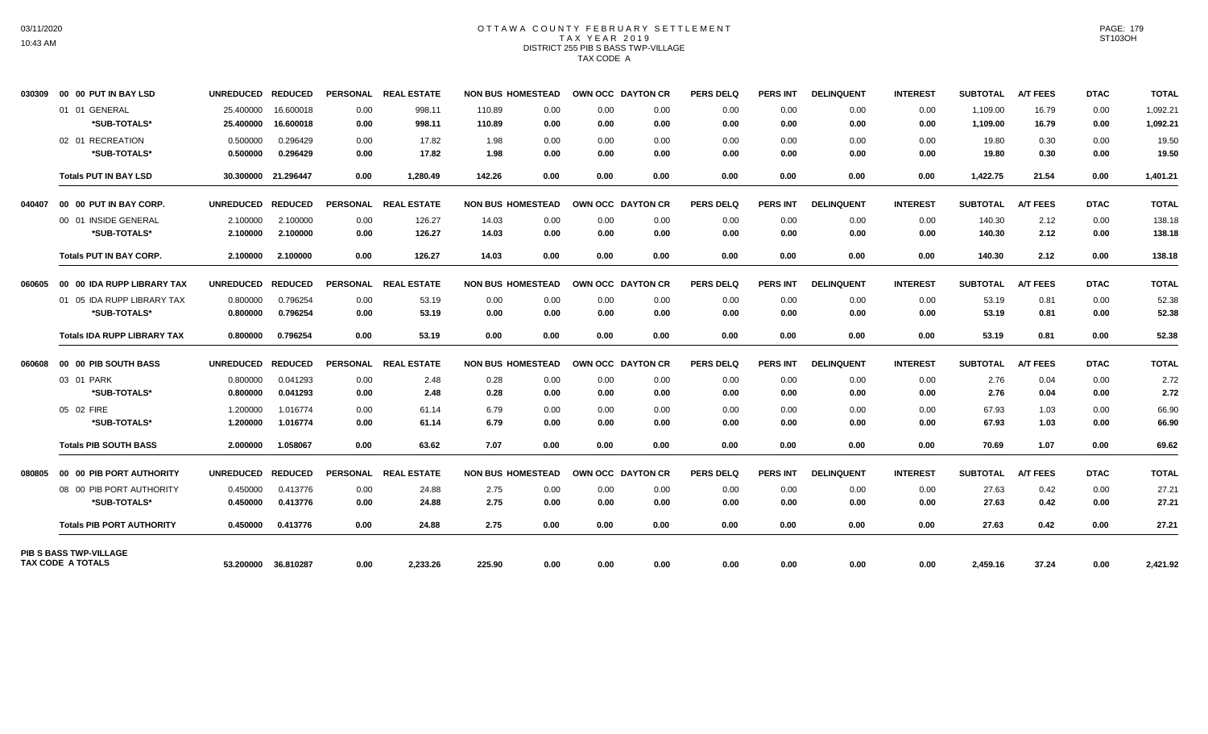# OTTAWA COUNTY FEBRUARY SETTLEMENT TAX YEAR 2019 DISTRICT 255 PIB S BASS TWP-VILLAGE TAX CODE A

| 030309 | 00 00 PUT IN BAY LSD               | UNREDUCED REDUCED |                     |                 | PERSONAL REAL ESTATE | <b>NON BUS HOMESTEAD</b> |      |      | OWN OCC DAYTON CR | <b>PERS DELQ</b> | <b>PERS INT</b> | <b>DELINQUENT</b> | <b>INTEREST</b> | <b>SUBTOTAL</b> | <b>A/T FEES</b> | <b>DTAC</b> | <b>TOTAL</b> |
|--------|------------------------------------|-------------------|---------------------|-----------------|----------------------|--------------------------|------|------|-------------------|------------------|-----------------|-------------------|-----------------|-----------------|-----------------|-------------|--------------|
|        | 01 01 GENERAL                      | 25.400000         | 16.600018           | 0.00            | 998.11               | 110.89                   | 0.00 | 0.00 | 0.00              | 0.00             | 0.00            | 0.00              | 0.00            | 1,109.00        | 16.79           | 0.00        | 1,092.21     |
|        | *SUB-TOTALS*                       | 25.400000         | 16.600018           | 0.00            | 998.11               | 110.89                   | 0.00 | 0.00 | 0.00              | 0.00             | 0.00            | 0.00              | 0.00            | 1.109.00        | 16.79           | 0.00        | 1,092.21     |
|        | 02 01 RECREATION                   | 0.500000          | 0.296429            | 0.00            | 17.82                | 1.98                     | 0.00 | 0.00 | 0.00              | 0.00             | 0.00            | 0.00              | 0.00            | 19.80           | 0.30            | 0.00        | 19.50        |
|        | *SUB-TOTALS*                       | 0.500000          | 0.296429            | 0.00            | 17.82                | 1.98                     | 0.00 | 0.00 | 0.00              | 0.00             | 0.00            | 0.00              | 0.00            | 19.80           | 0.30            | 0.00        | 19.50        |
|        | <b>Totals PUT IN BAY LSD</b>       |                   | 30.300000 21.296447 | 0.00            | 1.280.49             | 142.26                   | 0.00 | 0.00 | 0.00              | 0.00             | 0.00            | 0.00              | 0.00            | 1,422.75        | 21.54           | 0.00        | 1,401.21     |
| 040407 | 00 00 PUT IN BAY CORP.             | UNREDUCED REDUCED |                     |                 | PERSONAL REAL ESTATE | <b>NON BUS HOMESTEAD</b> |      |      | OWN OCC DAYTON CR | <b>PERS DELQ</b> | <b>PERS INT</b> | <b>DELINQUENT</b> | <b>INTEREST</b> | <b>SUBTOTAL</b> | <b>A/T FEES</b> | <b>DTAC</b> | <b>TOTAL</b> |
|        | 00 01 INSIDE GENERAL               | 2.100000          | 2.100000            | 0.00            | 126.27               | 14.03                    | 0.00 | 0.00 | 0.00              | 0.00             | 0.00            | 0.00              | 0.00            | 140.30          | 2.12            | 0.00        | 138.18       |
|        | *SUB-TOTALS*                       | 2.100000          | 2.100000            | 0.00            | 126.27               | 14.03                    | 0.00 | 0.00 | 0.00              | 0.00             | 0.00            | 0.00              | 0.00            | 140.30          | 2.12            | 0.00        | 138.18       |
|        | <b>Totals PUT IN BAY CORP.</b>     | 2.100000          | 2.100000            | 0.00            | 126.27               | 14.03                    | 0.00 | 0.00 | 0.00              | 0.00             | 0.00            | 0.00              | 0.00            | 140.30          | 2.12            | 0.00        | 138.18       |
| 060605 | 00 00 IDA RUPP LIBRARY TAX         | <b>UNREDUCED</b>  | <b>REDUCED</b>      | <b>PERSONAL</b> | <b>REAL ESTATE</b>   | <b>NON BUS HOMESTEAD</b> |      |      | OWN OCC DAYTON CR | <b>PERS DELQ</b> | <b>PERS INT</b> | <b>DELINQUENT</b> | <b>INTEREST</b> | <b>SUBTOTAL</b> | <b>A/T FEES</b> | <b>DTAC</b> | <b>TOTAL</b> |
|        | 01 05 IDA RUPP LIBRARY TAX         | 0.800000          | 0.796254            | 0.00            | 53.19                | 0.00                     | 0.00 | 0.00 | 0.00              | 0.00             | 0.00            | 0.00              | 0.00            | 53.19           | 0.81            | 0.00        | 52.38        |
|        | *SUB-TOTALS*                       | 0.800000          | 0.796254            | 0.00            | 53.19                | 0.00                     | 0.00 | 0.00 | 0.00              | 0.00             | 0.00            | 0.00              | 0.00            | 53.19           | 0.81            | 0.00        | 52.38        |
|        | <b>Totals IDA RUPP LIBRARY TAX</b> | 0.800000          | 0.796254            | 0.00            | 53.19                | 0.00                     | 0.00 | 0.00 | 0.00              | 0.00             | 0.00            | 0.00              | 0.00            | 53.19           | 0.81            | 0.00        | 52.38        |
| 060608 | 00 00 PIB SOUTH BASS               | UNREDUCED REDUCED |                     | <b>PERSONAL</b> | <b>REAL ESTATE</b>   | <b>NON BUS HOMESTEAD</b> |      |      | OWN OCC DAYTON CR | <b>PERS DELQ</b> | <b>PERS INT</b> | <b>DELINQUENT</b> | <b>INTEREST</b> | <b>SUBTOTAL</b> | <b>A/T FEES</b> | <b>DTAC</b> | <b>TOTAL</b> |
|        | 03 01 PARK                         | 0.800000          | 0.041293            | 0.00            | 2.48                 | 0.28                     | 0.00 | 0.00 | 0.00              | 0.00             | 0.00            | 0.00              | 0.00            | 2.76            | 0.04            | 0.00        | 2.72         |
|        | *SUB-TOTALS*                       | 0.800000          | 0.041293            | 0.00            | 2.48                 | 0.28                     | 0.00 | 0.00 | 0.00              | 0.00             | 0.00            | 0.00              | 0.00            | 2.76            | 0.04            | 0.00        | 2.72         |
|        | 05 02 FIRE                         | 1.200000          | 1.016774            | 0.00            | 61.14                | 6.79                     | 0.00 | 0.00 | 0.00              | 0.00             | 0.00            | 0.00              | 0.00            | 67.93           | 1.03            | 0.00        | 66.90        |
|        | *SUB-TOTALS*                       | 1.200000          | 1.016774            | 0.00            | 61.14                | 6.79                     | 0.00 | 0.00 | 0.00              | 0.00             | 0.00            | 0.00              | 0.00            | 67.93           | 1.03            | 0.00        | 66.90        |
|        | <b>Totals PIB SOUTH BASS</b>       | 2.000000          | 1.058067            | 0.00            | 63.62                | 7.07                     | 0.00 | 0.00 | 0.00              | 0.00             | 0.00            | 0.00              | 0.00            | 70.69           | 1.07            | 0.00        | 69.62        |
| 080805 | 00 00 PIB PORT AUTHORITY           | UNREDUCED REDUCED |                     |                 | PERSONAL REAL ESTATE | <b>NON BUS HOMESTEAD</b> |      |      | OWN OCC DAYTON CR | <b>PERS DELQ</b> | <b>PERS INT</b> | <b>DELINQUENT</b> | <b>INTEREST</b> | <b>SUBTOTAL</b> | <b>A/T FEES</b> | <b>DTAC</b> | <b>TOTAL</b> |
|        | 08 00 PIB PORT AUTHORITY           | 0.450000          | 0.413776            | 0.00            | 24.88                | 2.75                     | 0.00 | 0.00 | 0.00              | 0.00             | 0.00            | 0.00              | 0.00            | 27.63           | 0.42            | 0.00        | 27.21        |
|        | *SUB-TOTALS*                       | 0.450000          | 0.413776            | 0.00            | 24.88                | 2.75                     | 0.00 | 0.00 | 0.00              | 0.00             | 0.00            | 0.00              | 0.00            | 27.63           | 0.42            | 0.00        | 27.21        |
|        | <b>Totals PIB PORT AUTHORITY</b>   | 0.450000          | 0.413776            | 0.00            | 24.88                | 2.75                     | 0.00 | 0.00 | 0.00              | 0.00             | 0.00            | 0.00              | 0.00            | 27.63           | 0.42            | 0.00        | 27.21        |
|        | PIB S BASS TWP-VILLAGE             |                   |                     |                 |                      |                          |      |      |                   |                  |                 |                   |                 |                 |                 |             |              |
|        | TAX CODE A TOTALS                  |                   | 53.200000 36.810287 | 0.00            | 2,233.26             | 225.90                   | 0.00 | 0.00 | 0.00              | 0.00             | 0.00            | 0.00              | 0.00            | 2,459.16        | 37.24           | 0.00        | 2,421.92     |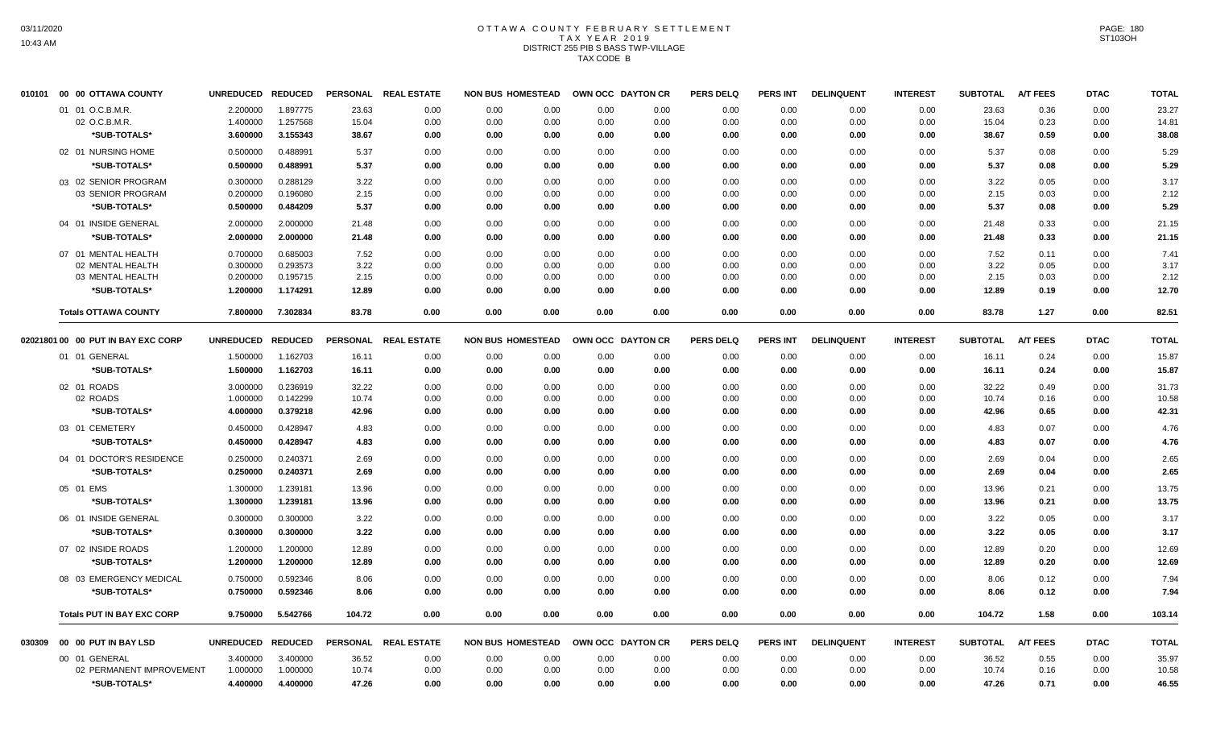# OTTAWA COUNTY FEBRUARY SETTLEMENT TAX YEAR 2019 DISTRICT 255 PIB S BASS TWP-VILLAGE TAX CODE B

|        | 010101 00 00 OTTAWA COUNTY           | <b>UNREDUCED</b>     | <b>REDUCED</b>       | <b>PERSONAL</b> | <b>REAL ESTATE</b> | <b>NON BUS HOMESTEAD</b>     |              | OWN OCC DAYTON CR | <b>PERS DELQ</b> | <b>PERS INT</b> | <b>DELINQUENT</b> | <b>INTEREST</b> | <b>SUBTOTAL</b> | <b>A/T FEES</b> | <b>DTAC</b>  | <b>TOTAL</b> |
|--------|--------------------------------------|----------------------|----------------------|-----------------|--------------------|------------------------------|--------------|-------------------|------------------|-----------------|-------------------|-----------------|-----------------|-----------------|--------------|--------------|
|        | 01 01 O.C.B.M.R.                     | 2.200000             | 1.897775             | 23.63           | 0.00               | 0.00<br>0.00                 | 0.00         | 0.00              | 0.00             | 0.00            | 0.00              | 0.00            | 23.63           | 0.36            | 0.00         | 23.27        |
|        | 02 O.C.B.M.R                         | 1.400000             | 1.257568             | 15.04           | 0.00               | 0.00<br>0.00                 | 0.00         | 0.00              | 0.00             | 0.00            | 0.00              | 0.00            | 15.04           | 0.23            | 0.00         | 14.81        |
|        | *SUB-TOTALS*                         | 3.600000             | 3.155343             | 38.67           | 0.00               | 0.00<br>0.00                 | 0.00         | 0.00              | 0.00             | 0.00            | 0.00              | 0.00            | 38.67           | 0.59            | 0.00         | 38.08        |
|        | 02 01 NURSING HOME                   | 0.500000             | 0.488991             | 5.37            | 0.00               | 0.00<br>0.00                 | 0.00         | 0.00              | 0.00             | 0.00            | 0.00              | 0.00            | 5.37            | 0.08            | 0.00         | 5.29         |
|        | *SUB-TOTALS*                         | 0.500000             | 0.488991             | 5.37            | 0.00               | 0.00<br>0.00                 | 0.00         | 0.00              | 0.00             | 0.00            | 0.00              | 0.00            | 5.37            | 0.08            | 0.00         | 5.29         |
|        | 03 02 SENIOR PROGRAM                 | 0.300000             | 0.288129             | 3.22            | 0.00               | 0.00<br>0.00                 | 0.00         | 0.00              | 0.00             | 0.00            | 0.00              | 0.00            | 3.22            | 0.05            | 0.00         | 3.17         |
|        | 03 SENIOR PROGRAM                    | 0.200000             | 0.196080             | 2.15            | 0.00               | 0.00<br>0.00                 | 0.00         | 0.00              | 0.00             | 0.00            | 0.00              | 0.00            | 2.15            | 0.03            | 0.00         | 2.12         |
|        | *SUB-TOTALS*                         | 0.500000             | 0.484209             | 5.37            | 0.00               | 0.00<br>0.00                 | 0.00         | 0.00              | 0.00             | 0.00            | 0.00              | 0.00            | 5.37            | 0.08            | 0.00         | 5.29         |
|        | 04 01 INSIDE GENERAL                 | 2.000000             | 2.000000             | 21.48           | 0.00               | 0.00<br>0.00                 | 0.00         | 0.00              | 0.00             | 0.00            | 0.00              | 0.00            | 21.48           | 0.33            | 0.00         | 21.15        |
|        | *SUB-TOTALS*                         | 2.000000             | 2.000000             | 21.48           | 0.00               | 0.00<br>0.00                 | 0.00         | 0.00              | 0.00             | 0.00            | 0.00              | 0.00            | 21.48           | 0.33            | 0.00         | 21.15        |
|        | 07 01 MENTAL HEALTH                  | 0.700000             | 0.685003             | 7.52            | 0.00               | 0.00<br>0.00                 | 0.00         | 0.00              | 0.00             | 0.00            | 0.00              | 0.00            | 7.52            | 0.11            | 0.00         | 7.41         |
|        | 02 MENTAL HEALTH                     | 0.300000             | 0.293573             | 3.22            | 0.00               | 0.00<br>0.00                 | 0.00         | 0.00              | 0.00             | 0.00            | 0.00              | 0.00            | 3.22            | 0.05            | 0.00         | 3.17         |
|        | 03 MENTAL HEALTH                     | 0.200000             | 0.195715             | 2.15            | 0.00               | 0.00<br>0.00                 | 0.00         | 0.00              | 0.00             | 0.00            | 0.00              | 0.00            | 2.15            | 0.03            | 0.00         | 2.12         |
|        | *SUB-TOTALS*                         | 1.200000             | 1.174291             | 12.89           | 0.00               | 0.00<br>0.00                 | 0.00         | 0.00              | 0.00             | 0.00            | 0.00              | 0.00            | 12.89           | 0.19            | 0.00         | 12.70        |
|        | <b>Totals OTTAWA COUNTY</b>          | 7.800000             | 7.302834             | 83.78           | 0.00               | 0.00<br>0.00                 | 0.00         | 0.00              | 0.00             | 0.00            | 0.00              | 0.00            | 83.78           | 1.27            | 0.00         | 82.51        |
|        | 02021801 00 00 PUT IN BAY EXC CORP   | <b>UNREDUCED</b>     | <b>REDUCED</b>       | <b>PERSONAL</b> | <b>REAL ESTATE</b> | <b>NON BUS HOMESTEAD</b>     |              | OWN OCC DAYTON CR | <b>PERS DELQ</b> | <b>PERS INT</b> | <b>DELINQUENT</b> | <b>INTEREST</b> | <b>SUBTOTAL</b> | <b>A/T FEES</b> | <b>DTAC</b>  | <b>TOTAL</b> |
|        | 01 01 GENERAL                        | 1.500000             | 1.162703             | 16.11           | 0.00               | 0.00<br>0.00                 | 0.00         | 0.00              | 0.00             | 0.00            | 0.00              | 0.00            | 16.11           | 0.24            | 0.00         | 15.87        |
|        | *SUB-TOTALS*                         | 1.500000             | 1.162703             | 16.11           | 0.00               | 0.00<br>0.00                 | 0.00         | 0.00              | 0.00             | 0.00            | 0.00              | 0.00            | 16.11           | 0.24            | 0.00         | 15.87        |
|        | 02 01 ROADS                          | 3.000000             | 0.236919             | 32.22           | 0.00               | 0.00<br>0.00                 | 0.00         | 0.00              | 0.00             | 0.00            | 0.00              | 0.00            | 32.22           | 0.49            | 0.00         | 31.73        |
|        | 02 ROADS                             | 1.000000             | 0.142299             | 10.74           | 0.00               | 0.00<br>0.00                 | 0.00         | 0.00              | 0.00             | 0.00            | 0.00              | 0.00            | 10.74           | 0.16            | 0.00         | 10.58        |
|        | *SUB-TOTALS*                         | 4.000000             | 0.379218             | 42.96           | 0.00               | 0.00<br>0.00                 | 0.00         | 0.00              | 0.00             | 0.00            | 0.00              | 0.00            | 42.96           | 0.65            | 0.00         | 42.31        |
|        | 03 01 CEMETERY                       | 0.450000             | 0.428947             | 4.83            | 0.00               | 0.00<br>0.00                 | 0.00         | 0.00              | 0.00             | 0.00            | 0.00              | 0.00            | 4.83            | 0.07            | 0.00         | 4.76         |
|        | *SUB-TOTALS*                         | 0.450000             | 0.428947             | 4.83            | 0.00               | 0.00<br>0.00                 | 0.00         | 0.00              | 0.00             | 0.00            | 0.00              | 0.00            | 4.83            | 0.07            | 0.00         | 4.76         |
|        | 04 01 DOCTOR'S RESIDENCE             | 0.250000             | 0.240371             | 2.69            | 0.00               | 0.00<br>0.00                 | 0.00         | 0.00              | 0.00             | 0.00            | 0.00              | 0.00            | 2.69            | 0.04            | 0.00         | 2.65         |
|        | *SUB-TOTALS*                         | 0.250000             | 0.240371             | 2.69            | 0.00               | 0.00<br>0.00                 | 0.00         | 0.00              | 0.00             | 0.00            | 0.00              | 0.00            | 2.69            | 0.04            | 0.00         | 2.65         |
|        | 05 01 EMS                            | 1.300000             | 1.239181             | 13.96           | 0.00               | 0.00<br>0.00                 | 0.00         | 0.00              | 0.00             | 0.00            | 0.00              | 0.00            | 13.96           | 0.21            | 0.00         | 13.75        |
|        | *SUB-TOTALS*                         | 1.300000             | 1.239181             | 13.96           | 0.00               | 0.00<br>0.00                 | 0.00         | 0.00              | 0.00             | 0.00            | 0.00              | 0.00            | 13.96           | 0.21            | 0.00         | 13.75        |
|        |                                      |                      |                      |                 |                    |                              |              |                   |                  |                 |                   |                 |                 |                 |              |              |
|        | 06 01 INSIDE GENERAL<br>*SUB-TOTALS* | 0.300000<br>0.300000 | 0.300000<br>0.300000 | 3.22<br>3.22    | 0.00<br>0.00       | 0.00<br>0.00<br>0.00<br>0.00 | 0.00<br>0.00 | 0.00<br>0.00      | 0.00<br>0.00     | 0.00<br>0.00    | 0.00<br>0.00      | 0.00<br>0.00    | 3.22<br>3.22    | 0.05<br>0.05    | 0.00<br>0.00 | 3.17<br>3.17 |
|        |                                      |                      |                      |                 |                    |                              |              |                   |                  |                 |                   |                 |                 |                 |              |              |
|        | 07 02 INSIDE ROADS                   | 1.200000             | 1.200000             | 12.89           | 0.00               | 0.00<br>0.00                 | 0.00         | 0.00              | 0.00             | 0.00            | 0.00              | 0.00            | 12.89           | 0.20            | 0.00         | 12.69        |
|        | *SUB-TOTALS*                         | 1.200000             | 1.200000             | 12.89           | 0.00               | 0.00<br>0.00                 | 0.00         | 0.00              | 0.00             | 0.00            | 0.00              | 0.00            | 12.89           | 0.20            | 0.00         | 12.69        |
|        | 08 03 EMERGENCY MEDICAL              | 0.750000             | 0.592346             | 8.06            | 0.00               | 0.00<br>0.00                 | 0.00         | 0.00              | 0.00             | 0.00            | 0.00              | 0.00            | 8.06            | 0.12            | 0.00         | 7.94         |
|        | *SUB-TOTALS*                         | 0.750000             | 0.592346             | 8.06            | 0.00               | 0.00<br>0.00                 | 0.00         | 0.00              | 0.00             | 0.00            | 0.00              | 0.00            | 8.06            | 0.12            | 0.00         | 7.94         |
|        | <b>Totals PUT IN BAY EXC CORP</b>    | 9.750000             | 5.542766             | 104.72          | 0.00               | 0.00<br>0.00                 | 0.00         | 0.00              | 0.00             | 0.00            | 0.00              | 0.00            | 104.72          | 1.58            | 0.00         | 103.14       |
| 030309 | 00 00 PUT IN BAY LSD                 | UNREDUCED REDUCED    |                      | <b>PERSONAL</b> | <b>REAL ESTATE</b> | <b>NON BUS HOMESTEAD</b>     |              | OWN OCC DAYTON CR | <b>PERS DELQ</b> | <b>PERS INT</b> | <b>DELINQUENT</b> | <b>INTEREST</b> | <b>SUBTOTAL</b> | <b>A/T FEES</b> | <b>DTAC</b>  | <b>TOTAL</b> |
|        | 00 01 GENERAL                        | 3.400000             | 3.400000             | 36.52           | 0.00               | 0.00<br>0.00                 | 0.00         | 0.00              | 0.00             | 0.00            | 0.00              | 0.00            | 36.52           | 0.55            | 0.00         | 35.97        |
|        | 02 PERMANENT IMPROVEMENT             | 1.000000             | 1.000000             | 10.74           | 0.00               | 0.00<br>0.00                 | 0.00         | 0.00              | 0.00             | 0.00            | 0.00              | 0.00            | 10.74           | 0.16            | 0.00         | 10.58        |
|        | *SUB-TOTALS*                         | 4.400000             | 4.400000             | 47.26           | 0.00               | 0.00<br>0.00                 | 0.00         | 0.00              | 0.00             | 0.00            | 0.00              | 0.00            | 47.26           | 0.71            | 0.00         | 46.55        |
|        |                                      |                      |                      |                 |                    |                              |              |                   |                  |                 |                   |                 |                 |                 |              |              |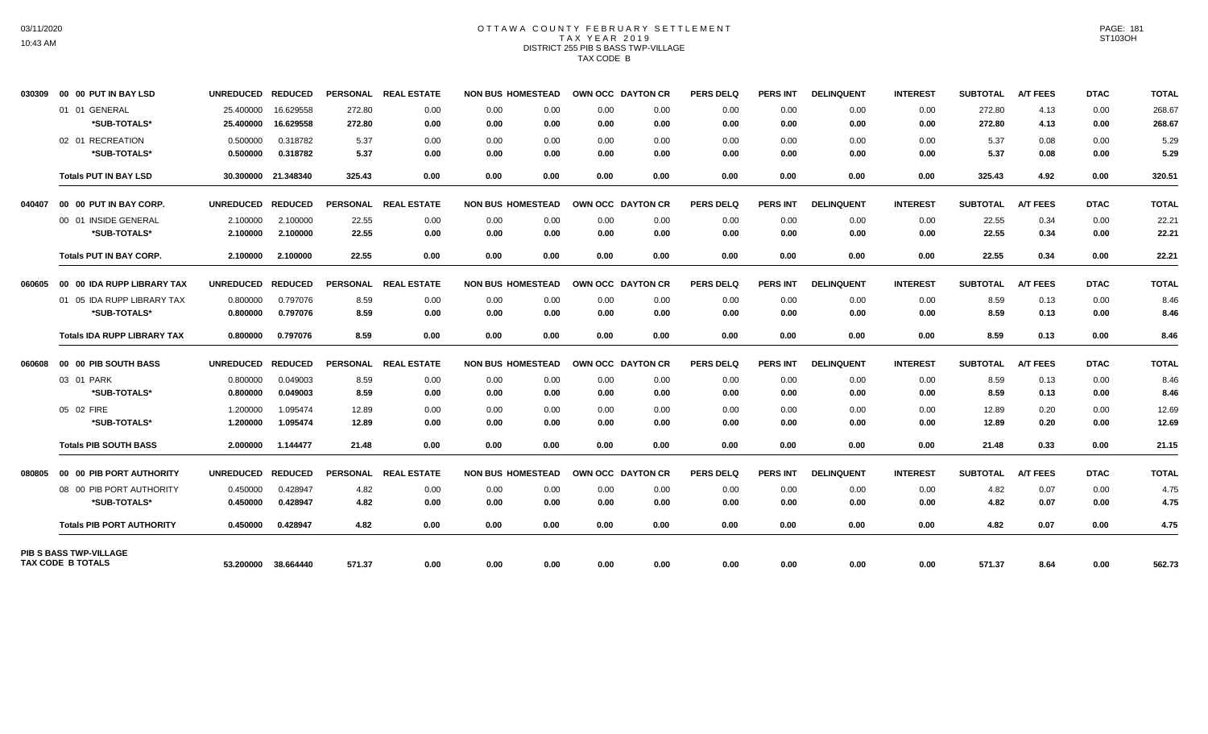## OTTAWA COUNTY FEBRUARY SETTLEMENT TAX YEAR 2019 DISTRICT 255 PIB S BASS TWP-VILLAGE TAX CODE B

| 030309 | 00 00 PUT IN BAY LSD               | UNREDUCED REDUCED |                     |                 | PERSONAL REAL ESTATE | <b>NON BUS HOMESTEAD</b> |      |      | OWN OCC DAYTON CR | <b>PERS DELQ</b> | <b>PERS INT</b> | <b>DELINQUENT</b> | <b>INTEREST</b> | <b>SUBTOTAL</b> | <b>A/T FEES</b> | <b>DTAC</b> | <b>TOTAL</b> |
|--------|------------------------------------|-------------------|---------------------|-----------------|----------------------|--------------------------|------|------|-------------------|------------------|-----------------|-------------------|-----------------|-----------------|-----------------|-------------|--------------|
|        | 01 01 GENERAL                      | 25.400000         | 16.629558           | 272.80          | 0.00                 | 0.00                     | 0.00 | 0.00 | 0.00              | 0.00             | 0.00            | 0.00              | 0.00            | 272.80          | 4.13            | 0.00        | 268.67       |
|        | *SUB-TOTALS*                       | 25.400000         | 16.629558           | 272.80          | 0.00                 | 0.00                     | 0.00 | 0.00 | 0.00              | 0.00             | 0.00            | 0.00              | 0.00            | 272.80          | 4.13            | 0.00        | 268.67       |
|        | 02 01 RECREATION                   | 0.500000          | 0.318782            | 5.37            | 0.00                 | 0.00                     | 0.00 | 0.00 | 0.00              | 0.00             | 0.00            | 0.00              | 0.00            | 5.37            | 0.08            | 0.00        | 5.29         |
|        | *SUB-TOTALS*                       | 0.500000          | 0.318782            | 5.37            | 0.00                 | 0.00                     | 0.00 | 0.00 | 0.00              | 0.00             | 0.00            | 0.00              | 0.00            | 5.37            | 0.08            | 0.00        | 5.29         |
|        | <b>Totals PUT IN BAY LSD</b>       |                   | 30.300000 21.348340 | 325.43          | 0.00                 | 0.00                     | 0.00 | 0.00 | 0.00              | 0.00             | 0.00            | 0.00              | 0.00            | 325.43          | 4.92            | 0.00        | 320.51       |
| 040407 | 00 00 PUT IN BAY CORP.             | UNREDUCED REDUCED |                     |                 | PERSONAL REAL ESTATE | <b>NON BUS HOMESTEAD</b> |      |      | OWN OCC DAYTON CR | <b>PERS DELQ</b> | <b>PERS INT</b> | <b>DELINQUENT</b> | <b>INTEREST</b> | <b>SUBTOTAL</b> | <b>A/T FEES</b> | <b>DTAC</b> | <b>TOTAL</b> |
|        | 00 01 INSIDE GENERAL               | 2.100000          | 2.100000            | 22.55           | 0.00                 | 0.00                     | 0.00 | 0.00 | 0.00              | 0.00             | 0.00            | 0.00              | 0.00            | 22.55           | 0.34            | 0.00        | 22.21        |
|        | *SUB-TOTALS*                       | 2.100000          | 2.100000            | 22.55           | 0.00                 | 0.00                     | 0.00 | 0.00 | 0.00              | 0.00             | 0.00            | 0.00              | 0.00            | 22.55           | 0.34            | 0.00        | 22.21        |
|        | <b>Totals PUT IN BAY CORP.</b>     | 2.100000          | 2.100000            | 22.55           | 0.00                 | 0.00                     | 0.00 | 0.00 | 0.00              | 0.00             | 0.00            | 0.00              | 0.00            | 22.55           | 0.34            | 0.00        | 22.21        |
| 060605 | 00 00 IDA RUPP LIBRARY TAX         | UNREDUCED REDUCED |                     | <b>PERSONAL</b> | <b>REAL ESTATE</b>   | <b>NON BUS HOMESTEAD</b> |      |      | OWN OCC DAYTON CR | <b>PERS DELQ</b> | <b>PERS INT</b> | <b>DELINQUENT</b> | <b>INTEREST</b> | <b>SUBTOTAL</b> | <b>A/T FEES</b> | <b>DTAC</b> | <b>TOTAL</b> |
|        | 01 05 IDA RUPP LIBRARY TAX         | 0.800000          | 0.797076            | 8.59            | 0.00                 | 0.00                     | 0.00 | 0.00 | 0.00              | 0.00             | 0.00            | 0.00              | 0.00            | 8.59            | 0.13            | 0.00        | 8.46         |
|        | *SUB-TOTALS*                       | 0.800000          | 0.797076            | 8.59            | 0.00                 | 0.00                     | 0.00 | 0.00 | 0.00              | 0.00             | 0.00            | 0.00              | 0.00            | 8.59            | 0.13            | 0.00        | 8.46         |
|        | <b>Totals IDA RUPP LIBRARY TAX</b> | 0.800000          | 0.797076            | 8.59            | 0.00                 | 0.00                     | 0.00 | 0.00 | 0.00              | 0.00             | 0.00            | 0.00              | 0.00            | 8.59            | 0.13            | 0.00        | 8.46         |
| 060608 | 00 00 PIB SOUTH BASS               | <b>UNREDUCED</b>  | <b>REDUCED</b>      |                 | PERSONAL REAL ESTATE | <b>NON BUS HOMESTEAD</b> |      |      | OWN OCC DAYTON CR | <b>PERS DELQ</b> | <b>PERS INT</b> | <b>DELINQUENT</b> | <b>INTEREST</b> | <b>SUBTOTAL</b> | <b>A/T FEES</b> | <b>DTAC</b> | <b>TOTAL</b> |
|        | 03 01 PARK                         | 0.800000          | 0.049003            | 8.59            | 0.00                 | 0.00                     | 0.00 | 0.00 | 0.00              | 0.00             | 0.00            | 0.00              | 0.00            | 8.59            | 0.13            | 0.00        | 8.46         |
|        | *SUB-TOTALS*                       | 0.800000          | 0.049003            | 8.59            | 0.00                 | 0.00                     | 0.00 | 0.00 | 0.00              | 0.00             | 0.00            | 0.00              | 0.00            | 8.59            | 0.13            | 0.00        | 8.46         |
|        | 05 02 FIRE                         | 1.200000          | 1.095474            | 12.89           | 0.00                 | 0.00                     | 0.00 | 0.00 | 0.00              | 0.00             | 0.00            | 0.00              | 0.00            | 12.89           | 0.20            | 0.00        | 12.69        |
|        | *SUB-TOTALS*                       | 1.200000          | 1.095474            | 12.89           | 0.00                 | 0.00                     | 0.00 | 0.00 | 0.00              | 0.00             | 0.00            | 0.00              | 0.00            | 12.89           | 0.20            | 0.00        | 12.69        |
|        | <b>Totals PIB SOUTH BASS</b>       | 2.000000          | 1.144477            | 21.48           | 0.00                 | 0.00                     | 0.00 | 0.00 | 0.00              | 0.00             | 0.00            | 0.00              | 0.00            | 21.48           | 0.33            | 0.00        | 21.15        |
|        |                                    | UNREDUCED REDUCED |                     |                 | PERSONAL REAL ESTATE | <b>NON BUS HOMESTEAD</b> |      |      | OWN OCC DAYTON CR | <b>PERS DELQ</b> | PERS INT        | <b>DELINQUENT</b> | <b>INTEREST</b> | <b>SUBTOTAL</b> | <b>A/T FEES</b> | <b>DTAC</b> | <b>TOTAL</b> |
|        | 08 00 PIB PORT AUTHORITY           | 0.450000          | 0.428947            | 4.82            | 0.00                 | 0.00                     | 0.00 | 0.00 | 0.00              | 0.00             | 0.00            | 0.00              | 0.00            | 4.82            | 0.07            | 0.00        | 4.75         |
|        | *SUB-TOTALS*                       | 0.450000          | 0.428947            | 4.82            | 0.00                 | 0.00                     | 0.00 | 0.00 | 0.00              | 0.00             | 0.00            | 0.00              | 0.00            | 4.82            | 0.07            | 0.00        | 4.75         |
|        | <b>Totals PIB PORT AUTHORITY</b>   | 0.450000          | 0.428947            | 4.82            | 0.00                 | 0.00                     | 0.00 | 0.00 | 0.00              | 0.00             | 0.00            | 0.00              | 0.00            | 4.82            | 0.07            | 0.00        | 4.75         |
|        | <b>PIB S BASS TWP-VILLAGE</b>      |                   |                     |                 |                      |                          |      |      |                   |                  |                 |                   |                 |                 |                 |             |              |
|        | TAX CODE B TOTALS                  |                   | 53.200000 38.664440 | 571.37          | 0.00                 | 0.00                     | 0.00 | 0.00 | 0.00              | 0.00             | 0.00            | 0.00              | 0.00            | 571.37          | 8.64            | 0.00        | 562.73       |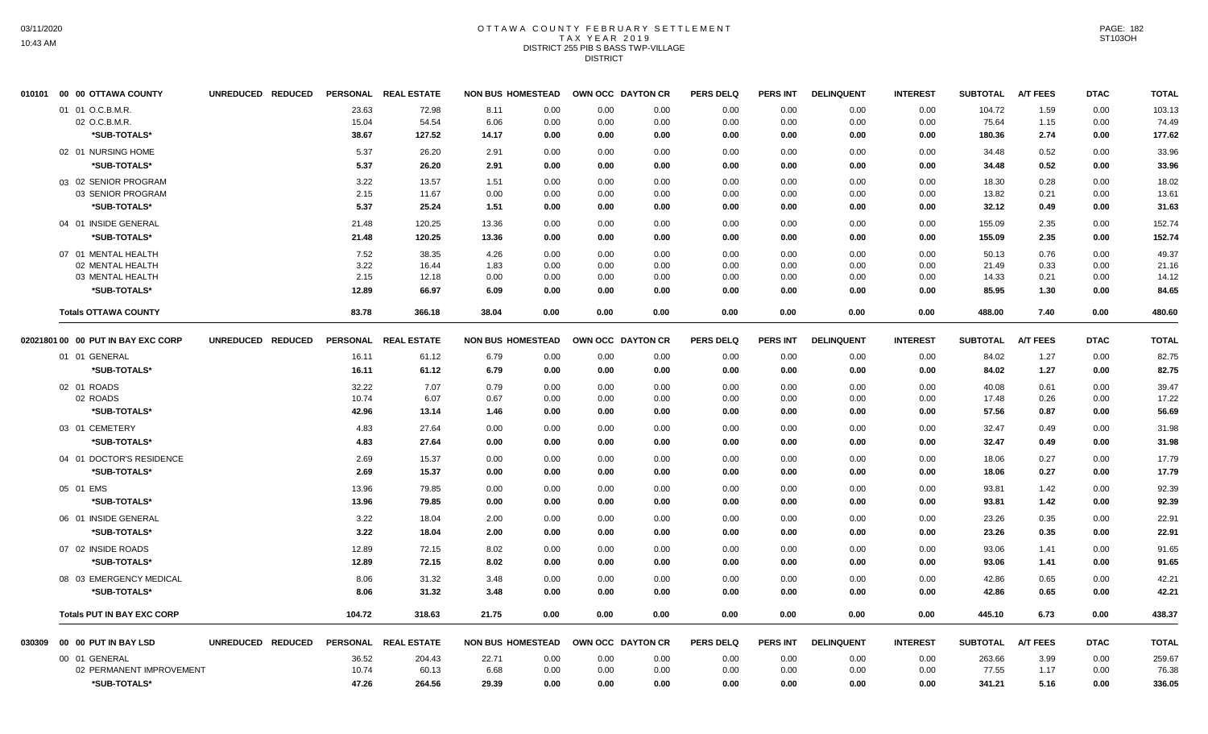#### OTTAWA COUNTY FEBRUARY SETTLEMENT T A X Y E A R 2 0 1 9 DISTRICT 255 PIB S BASS TWP-VILLAGE **DISTRICT**

|        | 010101 00 00 OTTAWA COUNTY           | UNREDUCED REDUCED |              | PERSONAL REAL ESTATE | <b>NON BUS HOMESTEAD</b> |              |              | OWN OCC DAYTON CR | <b>PERS DELQ</b> | <b>PERS INT</b> | <b>DELINQUENT</b> | <b>INTEREST</b> | <b>SUBTOTAL</b>   | <b>A/T FEES</b> | <b>DTAC</b>  | <b>TOTAL</b>   |
|--------|--------------------------------------|-------------------|--------------|----------------------|--------------------------|--------------|--------------|-------------------|------------------|-----------------|-------------------|-----------------|-------------------|-----------------|--------------|----------------|
|        | 01 01 O.C.B.M.R.                     |                   | 23.63        | 72.98                | 8.11                     | 0.00         | 0.00         | 0.00              | 0.00             | 0.00            | 0.00              | 0.00            | 104.72            | 1.59            | 0.00         | 103.13         |
|        | 02 O.C.B.M.R.                        |                   | 15.04        | 54.54                | 6.06                     | 0.00         | 0.00         | 0.00              | 0.00             | 0.00            | 0.00              | 0.00            | 75.64             | 1.15            | 0.00         | 74.49          |
|        | *SUB-TOTALS*                         |                   | 38.67        | 127.52               | 14.17                    | 0.00         | 0.00         | 0.00              | 0.00             | 0.00            | 0.00              | 0.00            | 180.36            | 2.74            | 0.00         | 177.62         |
|        | 02 01 NURSING HOME                   |                   | 5.37         | 26.20                | 2.91                     | 0.00         | 0.00         | 0.00              | 0.00             | 0.00            | 0.00              | 0.00            | 34.48             | 0.52            | 0.00         | 33.96          |
|        | *SUB-TOTALS*                         |                   | 5.37         | 26.20                | 2.91                     | 0.00         | 0.00         | 0.00              | 0.00             | 0.00            | 0.00              | 0.00            | 34.48             | 0.52            | 0.00         | 33.96          |
|        | 03 02 SENIOR PROGRAM                 |                   | 3.22         | 13.57                | 1.51                     | 0.00         | 0.00         | 0.00              | 0.00             | 0.00            | 0.00              | 0.00            | 18.30             | 0.28            | 0.00         | 18.02          |
|        | 03 SENIOR PROGRAM                    |                   | 2.15         | 11.67                | 0.00                     | 0.00         | 0.00         | 0.00              | 0.00             | 0.00            | 0.00              | 0.00            | 13.82             | 0.21            | 0.00         | 13.61          |
|        | *SUB-TOTALS*                         |                   | 5.37         | 25.24                | 1.51                     | 0.00         | 0.00         | 0.00              | 0.00             | 0.00            | 0.00              | 0.00            | 32.12             | 0.49            | 0.00         | 31.63          |
|        | 04 01 INSIDE GENERAL                 |                   | 21.48        | 120.25               | 13.36                    | 0.00         | 0.00         | 0.00              | 0.00             | 0.00            | 0.00              | 0.00            | 155.09            | 2.35            | 0.00         | 152.74         |
|        | *SUB-TOTALS*                         |                   | 21.48        | 120.25               | 13.36                    | 0.00         | 0.00         | 0.00              | 0.00             | 0.00            | 0.00              | 0.00            | 155.09            | 2.35            | 0.00         | 152.74         |
|        | 07 01 MENTAL HEALTH                  |                   | 7.52         | 38.35                | 4.26                     | 0.00         | 0.00         | 0.00              | 0.00             | 0.00            | 0.00              | 0.00            | 50.13             | 0.76            | 0.00         | 49.37          |
|        | 02 MENTAL HEALTH                     |                   | 3.22         | 16.44                | 1.83                     | 0.00         | 0.00         | 0.00              | 0.00             | 0.00            | 0.00              | 0.00            | 21.49             | 0.33            | 0.00         | 21.16          |
|        | 03 MENTAL HEALTH                     |                   | 2.15         | 12.18                | 0.00                     | 0.00         | 0.00         | 0.00              | 0.00             | 0.00            | 0.00              | 0.00            | 14.33             | 0.21            | 0.00         | 14.12          |
|        | *SUB-TOTALS*                         |                   | 12.89        | 66.97                | 6.09                     | 0.00         | 0.00         | 0.00              | 0.00             | 0.00            | 0.00              | 0.00            | 85.95             | 1.30            | 0.00         | 84.65          |
|        | <b>Totals OTTAWA COUNTY</b>          |                   | 83.78        | 366.18               | 38.04                    | 0.00         | 0.00         | 0.00              | 0.00             | 0.00            | 0.00              | 0.00            | 488.00            | 7.40            | 0.00         | 480.60         |
|        | 02021801 00 00 PUT IN BAY EXC CORP   | UNREDUCED REDUCED |              | PERSONAL REAL ESTATE | <b>NON BUS HOMESTEAD</b> |              |              | OWN OCC DAYTON CR | <b>PERS DELQ</b> | <b>PERS INT</b> | <b>DELINQUENT</b> | <b>INTEREST</b> | SUBTOTAL A/T FEES |                 | <b>DTAC</b>  | <b>TOTAL</b>   |
|        | 01 01 GENERAL                        |                   | 16.11        | 61.12                | 6.79                     | 0.00         | 0.00         | 0.00              | 0.00             | 0.00            | 0.00              | 0.00            | 84.02             | 1.27            | 0.00         | 82.75          |
|        | *SUB-TOTALS*                         |                   | 16.11        | 61.12                | 6.79                     | 0.00         | 0.00         | 0.00              | 0.00             | 0.00            | 0.00              | 0.00            | 84.02             | 1.27            | 0.00         | 82.75          |
|        | 02 01 ROADS                          |                   | 32.22        | 7.07                 | 0.79                     | 0.00         | 0.00         | 0.00              | 0.00             | 0.00            | 0.00              | 0.00            | 40.08             | 0.61            | 0.00         | 39.47          |
|        | 02 ROADS                             |                   | 10.74        | 6.07                 | 0.67                     | 0.00         | 0.00         | 0.00              | 0.00             | 0.00            | 0.00              | 0.00            | 17.48             | 0.26            | 0.00         | 17.22          |
|        | *SUB-TOTALS*                         |                   | 42.96        | 13.14                | 1.46                     | 0.00         | 0.00         | 0.00              | 0.00             | 0.00            | 0.00              | 0.00            | 57.56             | 0.87            | 0.00         | 56.69          |
|        | 03 01 CEMETERY                       |                   | 4.83         | 27.64                | 0.00                     | 0.00         | 0.00         | 0.00              | 0.00             | 0.00            | 0.00              | 0.00            | 32.47             | 0.49            | 0.00         | 31.98          |
|        | *SUB-TOTALS*                         |                   | 4.83         | 27.64                | 0.00                     | 0.00         | 0.00         | 0.00              | 0.00             | 0.00            | 0.00              | 0.00            | 32.47             | 0.49            | 0.00         | 31.98          |
|        | 04 01 DOCTOR'S RESIDENCE             |                   | 2.69         | 15.37                | 0.00                     | 0.00         | 0.00         | 0.00              | 0.00             | 0.00            | 0.00              | 0.00            | 18.06             | 0.27            | 0.00         | 17.79          |
|        | *SUB-TOTALS*                         |                   | 2.69         | 15.37                | 0.00                     | 0.00         | 0.00         | 0.00              | 0.00             | 0.00            | 0.00              | 0.00            | 18.06             | 0.27            | 0.00         | 17.79          |
|        | 05 01 EMS                            |                   | 13.96        | 79.85                | 0.00                     | 0.00         | 0.00         | 0.00              | 0.00             | 0.00            | 0.00              | 0.00            | 93.81             | 1.42            | 0.00         | 92.39          |
|        | *SUB-TOTALS*                         |                   | 13.96        | 79.85                | 0.00                     | 0.00         | 0.00         | 0.00              | 0.00             | 0.00            | 0.00              | 0.00            | 93.81             | 1.42            | 0.00         | 92.39          |
|        |                                      |                   |              |                      |                          |              |              |                   |                  |                 |                   |                 |                   |                 |              |                |
|        | 06 01 INSIDE GENERAL<br>*SUB-TOTALS* |                   | 3.22<br>3.22 | 18.04<br>18.04       | 2.00<br>2.00             | 0.00<br>0.00 | 0.00<br>0.00 | 0.00<br>0.00      | 0.00<br>0.00     | 0.00<br>0.00    | 0.00<br>0.00      | 0.00<br>0.00    | 23.26<br>23.26    | 0.35<br>0.35    | 0.00<br>0.00 | 22.91<br>22.91 |
|        |                                      |                   |              |                      |                          |              |              |                   |                  |                 |                   |                 |                   |                 |              |                |
|        | 07 02 INSIDE ROADS                   |                   | 12.89        | 72.15                | 8.02                     | 0.00         | 0.00         | 0.00              | 0.00             | 0.00            | 0.00              | 0.00            | 93.06             | 1.41            | 0.00         | 91.65          |
|        | *SUB-TOTALS*                         |                   | 12.89        | 72.15                | 8.02                     | 0.00         | 0.00         | 0.00              | 0.00             | 0.00            | 0.00              | 0.00            | 93.06             | 1.41            | 0.00         | 91.65          |
|        | 08 03 EMERGENCY MEDICAL              |                   | 8.06         | 31.32                | 3.48                     | 0.00         | 0.00         | 0.00              | 0.00             | 0.00            | 0.00              | 0.00            | 42.86             | 0.65            | 0.00         | 42.21          |
|        | *SUB-TOTALS*                         |                   | 8.06         | 31.32                | 3.48                     | 0.00         | 0.00         | 0.00              | 0.00             | 0.00            | 0.00              | 0.00            | 42.86             | 0.65            | 0.00         | 42.21          |
|        | <b>Totals PUT IN BAY EXC CORP</b>    |                   | 104.72       | 318.63               | 21.75                    | 0.00         | 0.00         | 0.00              | 0.00             | 0.00            | 0.00              | 0.00            | 445.10            | 6.73            | 0.00         | 438.37         |
| 030309 | 00 00 PUT IN BAY LSD                 | UNREDUCED REDUCED |              | PERSONAL REAL ESTATE | <b>NON BUS HOMESTEAD</b> |              |              | OWN OCC DAYTON CR | <b>PERS DELQ</b> | <b>PERS INT</b> | <b>DELINQUENT</b> | <b>INTEREST</b> | <b>SUBTOTAL</b>   | <b>A/T FEES</b> | <b>DTAC</b>  | <b>TOTAL</b>   |
|        | 00 01 GENERAL                        |                   | 36.52        | 204.43               | 22.71                    | 0.00         | 0.00         | 0.00              | 0.00             | 0.00            | 0.00              | 0.00            | 263.66            | 3.99            | 0.00         | 259.67         |
|        | 02 PERMANENT IMPROVEMENT             |                   | 10.74        | 60.13                | 6.68                     | 0.00         | 0.00         | 0.00              | 0.00             | 0.00            | 0.00              | 0.00            | 77.55             | 1.17            | 0.00         | 76.38          |
|        | *SUB-TOTALS*                         |                   | 47.26        | 264.56               | 29.39                    | 0.00         | 0.00         | 0.00              | 0.00             | 0.00            | 0.00              | 0.00            | 341.21            | 5.16            | 0.00         | 336.05         |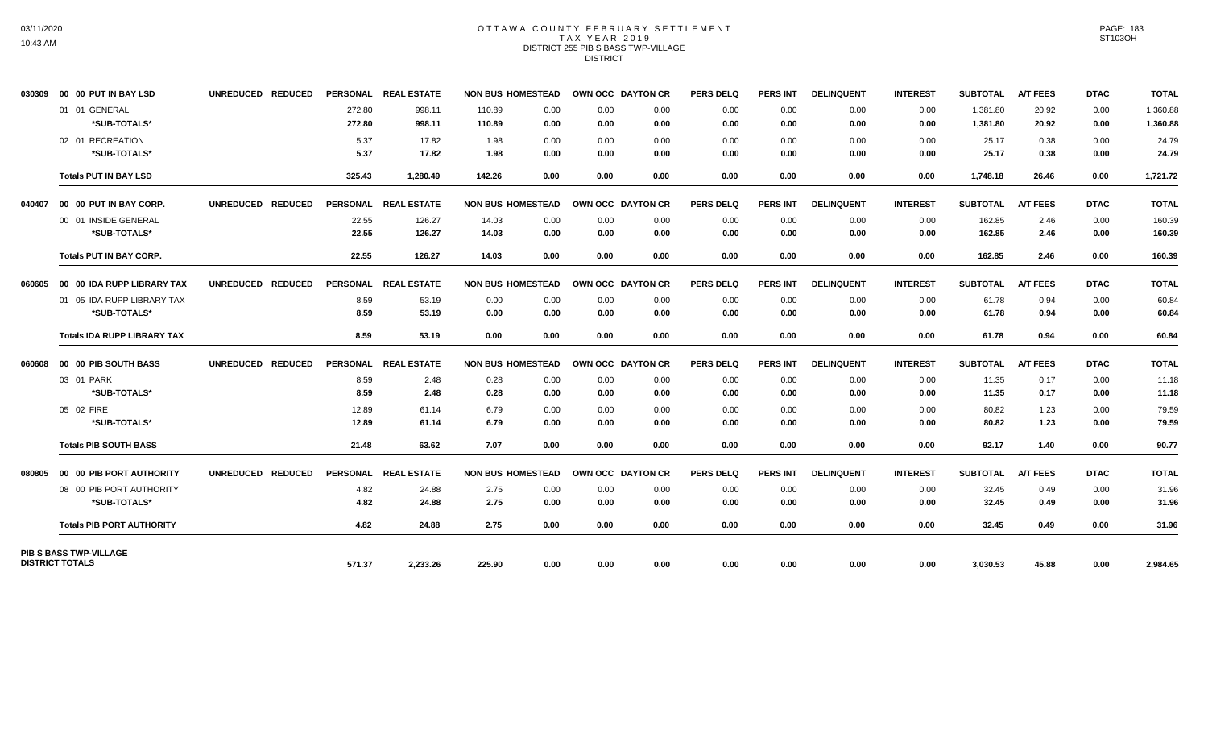## OTTAWA COUNTY FEBRUARY SETTLEMENT TAX YEAR 2019 DISTRICT 255 PIB S BASS TWP-VILLAGE **DISTRICT**

|        | 030309 00 00 PUT IN BAY LSD                | UNREDUCED REDUCED |                  | PERSONAL REAL ESTATE | <b>NON BUS HOMESTEAD</b> |                              | <b>OWN OCC DAYTON CR</b> | <b>PERS DELQ</b> | <b>PERS INT</b> | <b>DELINQUENT</b> | <b>INTEREST</b> | <b>SUBTOTAL</b>      | <b>A/T FEES</b> | <b>DTAC</b>  | <b>TOTAL</b>         |
|--------|--------------------------------------------|-------------------|------------------|----------------------|--------------------------|------------------------------|--------------------------|------------------|-----------------|-------------------|-----------------|----------------------|-----------------|--------------|----------------------|
|        | 01 01 GENERAL<br>*SUB-TOTALS*              |                   | 272.80<br>272.80 | 998.11<br>998.11     | 110.89<br>110.89         | 0.00<br>0.00<br>0.00<br>0.00 | 0.00<br>0.00             | 0.00<br>0.00     | 0.00<br>0.00    | 0.00<br>0.00      | 0.00<br>0.00    | 1,381.80<br>1,381.80 | 20.92<br>20.92  | 0.00<br>0.00 | 1,360.88<br>1,360.88 |
|        | 02 01 RECREATION<br>*SUB-TOTALS*           |                   | 5.37<br>5.37     | 17.82<br>17.82       | 1.98<br>1.98             | 0.00<br>0.00<br>0.00<br>0.00 | 0.00<br>0.00             | 0.00<br>0.00     | 0.00<br>0.00    | 0.00<br>0.00      | 0.00<br>0.00    | 25.17<br>25.17       | 0.38<br>0.38    | 0.00<br>0.00 | 24.79<br>24.79       |
|        | <b>Totals PUT IN BAY LSD</b>               |                   | 325.43           | 1,280.49             | 142.26                   | 0.00<br>0.00                 | 0.00                     | 0.00             | 0.00            | 0.00              | 0.00            | 1,748.18             | 26.46           | 0.00         | 1,721.72             |
| 040407 | 00 00 PUT IN BAY CORP.                     | UNREDUCED REDUCED |                  | PERSONAL REAL ESTATE | <b>NON BUS HOMESTEAD</b> |                              | OWN OCC DAYTON CR        | <b>PERS DELQ</b> | <b>PERS INT</b> | <b>DELINQUENT</b> | <b>INTEREST</b> | <b>SUBTOTAL</b>      | <b>A/T FEES</b> | <b>DTAC</b>  | <b>TOTAL</b>         |
|        | 00 01 INSIDE GENERAL<br>*SUB-TOTALS*       |                   | 22.55<br>22.55   | 126.27<br>126.27     | 14.03<br>14.03           | 0.00<br>0.00<br>0.00<br>0.00 | 0.00<br>0.00             | 0.00<br>0.00     | 0.00<br>0.00    | 0.00<br>0.00      | 0.00<br>0.00    | 162.85<br>162.85     | 2.46<br>2.46    | 0.00<br>0.00 | 160.39<br>160.39     |
|        | <b>Totals PUT IN BAY CORP.</b>             |                   | 22.55            | 126.27               | 14.03                    | 0.00<br>0.00                 | 0.00                     | 0.00             | 0.00            | 0.00              | 0.00            | 162.85               | 2.46            | 0.00         | 160.39               |
| 060605 | 00 00 IDA RUPP LIBRARY TAX                 | UNREDUCED REDUCED |                  | PERSONAL REAL ESTATE | <b>NON BUS HOMESTEAD</b> |                              | OWN OCC DAYTON CR        | <b>PERS DELQ</b> | <b>PERS INT</b> | <b>DELINQUENT</b> | <b>INTEREST</b> | <b>SUBTOTAL</b>      | <b>A/T FEES</b> | <b>DTAC</b>  | <b>TOTAL</b>         |
|        | 01 05 IDA RUPP LIBRARY TAX<br>*SUB-TOTALS* |                   | 8.59<br>8.59     | 53.19<br>53.19       | 0.00<br>0.00             | 0.00<br>0.00<br>0.00<br>0.00 | 0.00<br>0.00             | 0.00<br>0.00     | 0.00<br>0.00    | 0.00<br>0.00      | 0.00<br>0.00    | 61.78<br>61.78       | 0.94<br>0.94    | 0.00<br>0.00 | 60.84<br>60.84       |
|        | <b>Totals IDA RUPP LIBRARY TAX</b>         |                   | 8.59             | 53.19                | 0.00                     | 0.00<br>0.00                 | 0.00                     | 0.00             | 0.00            | 0.00              | 0.00            | 61.78                | 0.94            | 0.00         | 60.84                |
| 060608 | 00 00 PIB SOUTH BASS                       | UNREDUCED REDUCED | <b>PERSONAL</b>  | <b>REAL ESTATE</b>   | <b>NON BUS HOMESTEAD</b> |                              | OWN OCC DAYTON CR        | <b>PERS DELQ</b> | <b>PERS INT</b> | <b>DELINQUENT</b> | <b>INTEREST</b> | <b>SUBTOTAL</b>      | <b>A/T FEES</b> | <b>DTAC</b>  | <b>TOTAL</b>         |
|        | 03 01 PARK                                 |                   | 8.59             | 2.48                 | 0.28                     | 0.00<br>0.00                 | 0.00                     | 0.00             | 0.00            | 0.00              | 0.00            | 11.35                | 0.17            | 0.00         | 11.18                |
|        | *SUB-TOTALS*                               |                   | 8.59             | 2.48                 | 0.28                     | 0.00<br>0.00                 | 0.00                     | 0.00             | 0.00            | 0.00              | 0.00            | 11.35                | 0.17            | 0.00         | 11.18                |
|        | 05 02 FIRE                                 |                   | 12.89            | 61.14                | 6.79                     | 0.00<br>0.00                 | 0.00                     | 0.00             | 0.00            | 0.00              | 0.00            | 80.82                | 1.23            | 0.00         | 79.59                |
|        | *SUB-TOTALS*                               |                   | 12.89            | 61.14                | 6.79                     | 0.00<br>0.00                 | 0.00                     | 0.00             | 0.00            | 0.00              | 0.00            | 80.82                | 1.23            | 0.00         | 79.59                |
|        | <b>Totals PIB SOUTH BASS</b>               |                   | 21.48            | 63.62                | 7.07                     | 0.00<br>0.00                 | 0.00                     | 0.00             | 0.00            | 0.00              | 0.00            | 92.17                | 1.40            | 0.00         | 90.77                |
| 080805 | 00 00 PIB PORT AUTHORITY                   | UNREDUCED REDUCED |                  | PERSONAL REAL ESTATE | <b>NON BUS HOMESTEAD</b> |                              | OWN OCC DAYTON CR        | <b>PERS DELQ</b> | <b>PERS INT</b> | <b>DELINQUENT</b> | <b>INTEREST</b> | <b>SUBTOTAL</b>      | <b>A/T FEES</b> | <b>DTAC</b>  | <b>TOTAL</b>         |
|        | 08 00 PIB PORT AUTHORITY                   |                   | 4.82             | 24.88                | 2.75                     | 0.00<br>0.00                 | 0.00                     | 0.00             | 0.00            | 0.00              | 0.00            | 32.45                | 0.49            | 0.00         | 31.96                |
|        | *SUB-TOTALS*                               |                   | 4.82             | 24.88                | 2.75                     | 0.00<br>0.00                 | 0.00                     | 0.00             | 0.00            | 0.00              | 0.00            | 32.45                | 0.49            | 0.00         | 31.96                |
|        | <b>Totals PIB PORT AUTHORITY</b>           |                   | 4.82             | 24.88                | 2.75                     | 0.00<br>0.00                 | 0.00                     | 0.00             | 0.00            | 0.00              | 0.00            | 32.45                | 0.49            | 0.00         | 31.96                |
|        | PIB S BASS TWP-VILLAGE                     |                   |                  |                      |                          |                              |                          |                  |                 |                   |                 |                      |                 |              |                      |
|        | <b>DISTRICT TOTALS</b>                     |                   | 571.37           | 2,233.26             | 225.90                   | 0.00<br>0.00                 | 0.00                     | 0.00             | 0.00            | 0.00              | 0.00            | 3,030.53             | 45.88           | 0.00         | 2,984.65             |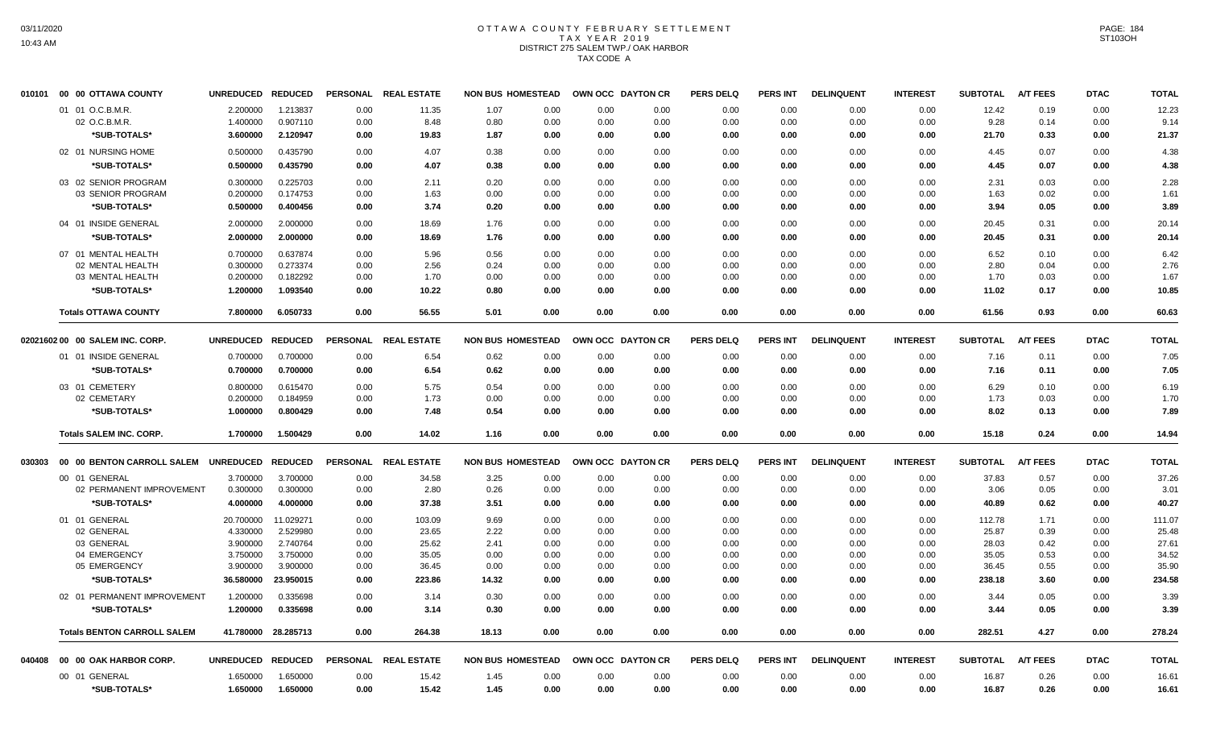# OTTAWA COUNTY FEBRUARY SETTLEMENT TAX YEAR 2019 DISTRICT 275 SALEM TWP./ OAK HARBOR TAX CODE A

| 010101 | 00 00 OTTAWA COUNTY                | <b>UNREDUCED</b>  | <b>REDUCED</b>      | <b>PERSONAL</b> | <b>REAL ESTATE</b> | <b>NON BUS HOMESTEAD</b> | OWN OCC DAYTON CR |              | <b>PERS DELQ</b> | <b>PERS INT</b> | <b>DELINQUENT</b> | <b>INTEREST</b> | <b>SUBTOTAL</b> | <b>A/T FEES</b> | <b>DTAC</b> | <b>TOTAL</b> |
|--------|------------------------------------|-------------------|---------------------|-----------------|--------------------|--------------------------|-------------------|--------------|------------------|-----------------|-------------------|-----------------|-----------------|-----------------|-------------|--------------|
|        | 01 01 O.C.B.M.R.                   | 2.200000          | 1.213837            | 0.00            | 11.35              | 1.07<br>0.00             | 0.00              | 0.00         | 0.00             | 0.00            | 0.00              | 0.00            | 12.42           | 0.19            | 0.00        | 12.23        |
|        | 02 O.C.B.M.R.                      | 1.400000          | 0.907110            | 0.00            | 8.48               | 0.80<br>0.00             | 0.00              | 0.00         | 0.00             | 0.00            | 0.00              | 0.00            | 9.28            | 0.14            | 0.00        | 9.14         |
|        | *SUB-TOTALS*                       | 3.600000          | 2.120947            | 0.00            | 19.83              | 1.87<br>0.00             | 0.00              | 0.00         | 0.00             | 0.00            | 0.00              | 0.00            | 21.70           | 0.33            | 0.00        | 21.37        |
|        | 02 01 NURSING HOME                 | 0.500000          | 0.435790            | 0.00            | 4.07               | 0.38<br>0.00             | 0.00              | 0.00         | 0.00             | 0.00            | 0.00              | 0.00            | 4.45            | 0.07            | 0.00        | 4.38         |
|        | *SUB-TOTALS*                       | 0.500000          | 0.435790            | 0.00            | 4.07               | 0.38<br>0.00             | 0.00              | 0.00         | 0.00             | 0.00            | 0.00              | 0.00            | 4.45            | 0.07            | 0.00        | 4.38         |
|        | 03 02 SENIOR PROGRAM               | 0.300000          | 0.225703            | 0.00            | 2.11               | 0.20<br>0.00             | 0.00              | 0.00         | 0.00             | 0.00            | 0.00              | 0.00            | 2.31            | 0.03            | 0.00        | 2.28         |
|        | 03 SENIOR PROGRAM                  | 0.200000          | 0.174753            | 0.00            | 1.63               | 0.00<br>0.00             | 0.00              | 0.00         | 0.00             | 0.00            | 0.00              | 0.00            | 1.63            | 0.02            | 0.00        | 1.61         |
|        | *SUB-TOTALS*                       | 0.500000          | 0.400456            | 0.00            | 3.74               | 0.20<br>0.00             | 0.00              | 0.00         | 0.00             | 0.00            | 0.00              | 0.00            | 3.94            | 0.05            | 0.00        | 3.89         |
|        | 04 01 INSIDE GENERAL               | 2.000000          | 2.000000            | 0.00            | 18.69              | 1.76<br>0.00             | 0.00              | 0.00         | 0.00             | 0.00            | 0.00              | 0.00            | 20.45           | 0.31            | 0.00        | 20.14        |
|        | *SUB-TOTALS*                       | 2.000000          | 2.000000            | 0.00            | 18.69              | 1.76<br>0.00             | 0.00              | 0.00         | 0.00             | 0.00            | 0.00              | 0.00            | 20.45           | 0.31            | 0.00        | 20.14        |
|        | 07 01 MENTAL HEALTH                | 0.700000          | 0.637874            | 0.00            | 5.96               | 0.56<br>0.00             | 0.00              | 0.00         | 0.00             | 0.00            | 0.00              | 0.00            | 6.52            | 0.10            | 0.00        | 6.42         |
|        | 02 MENTAL HEALTH                   | 0.300000          | 0.273374            | 0.00            | 2.56               | 0.24<br>0.00             | 0.00              | 0.00         | 0.00             | 0.00            | 0.00              | 0.00            | 2.80            | 0.04            | 0.00        | 2.76         |
|        | 03 MENTAL HEALTH                   | 0.200000          | 0.182292            | 0.00            | 1.70               | 0.00<br>0.00             | 0.00              | 0.00         | 0.00             | 0.00            | 0.00              | 0.00            | 1.70            | 0.03            | 0.00        | 1.67         |
|        | *SUB-TOTALS*                       | 1.200000          | 1.093540            | 0.00            | 10.22              | 0.80<br>0.00             | 0.00              | 0.00         | 0.00             | 0.00            | 0.00              | 0.00            | 11.02           | 0.17            | 0.00        | 10.85        |
|        | <b>Totals OTTAWA COUNTY</b>        | 7.800000          | 6.050733            | 0.00            | 56.55              | 5.01<br>0.00             | 0.00              | 0.00         | 0.00             | 0.00            | 0.00              | 0.00            | 61.56           | 0.93            | 0.00        | 60.63        |
|        | 02021602 00 00 SALEM INC. CORP.    | <b>UNREDUCED</b>  | <b>REDUCED</b>      | <b>PERSONAL</b> | <b>REAL ESTATE</b> | <b>NON BUS HOMESTEAD</b> | OWN OCC DAYTON CR |              | <b>PERS DELQ</b> | <b>PERS INT</b> | <b>DELINQUENT</b> | <b>INTEREST</b> | <b>SUBTOTAL</b> | <b>A/T FEES</b> | <b>DTAC</b> | <b>TOTAL</b> |
|        | 01 01 INSIDE GENERAL               | 0.700000          | 0.700000            | 0.00            | 6.54               | 0.62<br>0.00             | 0.00              | 0.00         | 0.00             | 0.00            | 0.00              | 0.00            | 7.16            | 0.11            | 0.00        | 7.05         |
|        | *SUB-TOTALS*                       | 0.700000          | 0.700000            | 0.00            | 6.54               | 0.62<br>0.00             | 0.00              | 0.00         | 0.00             | 0.00            | 0.00              | 0.00            | 7.16            | 0.11            | 0.00        | 7.05         |
|        |                                    |                   |                     |                 |                    |                          |                   |              |                  |                 |                   |                 |                 |                 |             |              |
|        | 03 01 CEMETERY<br>02 CEMETARY      | 0.800000          | 0.615470            | 0.00            | 5.75               | 0.54<br>0.00             | 0.00              | 0.00<br>0.00 | 0.00             | 0.00            | 0.00              | 0.00            | 6.29            | 0.10            | 0.00        | 6.19         |
|        |                                    | 0.200000          | 0.184959            | 0.00            | 1.73               | 0.00<br>0.00             | 0.00              |              | 0.00             | 0.00            | 0.00              | 0.00            | 1.73            | 0.03            | 0.00        | 1.70         |
|        | *SUB-TOTALS*                       | 1.000000          | 0.800429            | 0.00            | 7.48               | 0.54<br>0.00             | 0.00              | 0.00         | 0.00             | 0.00            | 0.00              | 0.00            | 8.02            | 0.13            | 0.00        | 7.89         |
|        | <b>Totals SALEM INC. CORP.</b>     | 1.700000          | 1.500429            | 0.00            | 14.02              | 1.16<br>0.00             | 0.00              | 0.00         | 0.00             | 0.00            | 0.00              | 0.00            | 15.18           | 0.24            | 0.00        | 14.94        |
| 030303 | 00 00 BENTON CARROLL SALEM         | <b>UNREDUCED</b>  | <b>REDUCED</b>      | <b>PERSONAL</b> | <b>REAL ESTATE</b> | <b>NON BUS HOMESTEAD</b> | OWN OCC DAYTON CR |              | <b>PERS DELQ</b> | <b>PERS INT</b> | <b>DELINQUENT</b> | <b>INTEREST</b> | <b>SUBTOTAL</b> | <b>A/T FEES</b> | <b>DTAC</b> | <b>TOTAL</b> |
|        | 00 01 GENERAL                      | 3.700000          | 3.700000            | 0.00            | 34.58              | 3.25<br>0.00             | 0.00              | 0.00         | 0.00             | 0.00            | 0.00              | 0.00            | 37.83           | 0.57            | 0.00        | 37.26        |
|        | 02 PERMANENT IMPROVEMENT           | 0.300000          | 0.300000            | 0.00            | 2.80               | 0.26<br>0.00             | 0.00              | 0.00         | 0.00             | 0.00            | 0.00              | 0.00            | 3.06            | 0.05            | 0.00        | 3.01         |
|        | *SUB-TOTALS*                       | 4.000000          | 4.000000            | 0.00            | 37.38              | 3.51<br>0.00             | 0.00              | 0.00         | 0.00             | 0.00            | 0.00              | 0.00            | 40.89           | 0.62            | 0.00        | 40.27        |
|        | 01 01 GENERAL                      | 20.700000         | 11.029271           | 0.00            | 103.09             | 9.69<br>0.00             | 0.00              | 0.00         | 0.00             | 0.00            | 0.00              | 0.00            | 112.78          | 1.71            | 0.00        | 111.07       |
|        | 02 GENERAL                         | 4.330000          | 2.529980            | 0.00            | 23.65              | 2.22<br>0.00             | 0.00              | 0.00         | 0.00             | 0.00            | 0.00              | 0.00            | 25.87           | 0.39            | 0.00        | 25.48        |
|        | 03 GENERAL                         | 3.900000          | 2.740764            | 0.00            | 25.62              | 2.41<br>0.00             | 0.00              | 0.00         | 0.00             | 0.00            | 0.00              | 0.00            | 28.03           | 0.42            | 0.00        | 27.61        |
|        | 04 EMERGENCY                       | 3.750000          | 3.750000            | 0.00            | 35.05              | 0.00<br>0.00             | 0.00              | 0.00         | 0.00             | 0.00            | 0.00              | 0.00            | 35.05           | 0.53            | 0.00        | 34.52        |
|        | 05 EMERGENCY                       | 3.900000          | 3.900000            | 0.00            | 36.45              | 0.00<br>0.00             | 0.00              | 0.00         | 0.00             | 0.00            | 0.00              | 0.00            | 36.45           | 0.55            | 0.00        | 35.90        |
|        | *SUB-TOTALS*                       | 36.580000         | 23.950015           | 0.00            | 223.86             | 14.32<br>0.00            | 0.00              | 0.00         | 0.00             | 0.00            | 0.00              | 0.00            | 238.18          | 3.60            | 0.00        | 234.58       |
|        | 02 01 PERMANENT IMPROVEMENT        | 1.200000          | 0.335698            | 0.00            | 3.14               | 0.30<br>0.00             | 0.00              | 0.00         | 0.00             | 0.00            | 0.00              | 0.00            | 3.44            | 0.05            | 0.00        | 3.39         |
|        | *SUB-TOTALS*                       | 1.200000          | 0.335698            | 0.00            | 3.14               | 0.30<br>0.00             | 0.00              | 0.00         | 0.00             | 0.00            | 0.00              | 0.00            | 3.44            | 0.05            | 0.00        | 3.39         |
|        | <b>Totals BENTON CARROLL SALEM</b> |                   | 41.780000 28.285713 | 0.00            | 264.38             | 18.13<br>0.00            | 0.00              | 0.00         | 0.00             | 0.00            | 0.00              | 0.00            | 282.51          | 4.27            | 0.00        | 278.24       |
| 040408 | 00 00 OAK HARBOR CORP.             | UNREDUCED REDUCED |                     | <b>PERSONAL</b> | <b>REAL ESTATE</b> | <b>NON BUS HOMESTEAD</b> | OWN OCC DAYTON CR |              | <b>PERS DELQ</b> | <b>PERS INT</b> | <b>DELINQUENT</b> | <b>INTEREST</b> | <b>SUBTOTAL</b> | <b>A/T FEES</b> | <b>DTAC</b> | <b>TOTAL</b> |
|        | 00 01 GENERAL                      | 1.650000          | 1.650000            | 0.00            | 15.42              | 1.45<br>0.00             | 0.00              | 0.00         | 0.00             | 0.00            | 0.00              | 0.00            | 16.87           | 0.26            | 0.00        | 16.61        |
|        | *SUB-TOTALS*                       | 1.650000          | 1.650000            | 0.00            | 15.42              | 1.45<br>0.00             | 0.00              | 0.00         | 0.00             | 0.00            | 0.00              | 0.00            | 16.87           | 0.26            | 0.00        | 16.61        |
|        |                                    |                   |                     |                 |                    |                          |                   |              |                  |                 |                   |                 |                 |                 |             |              |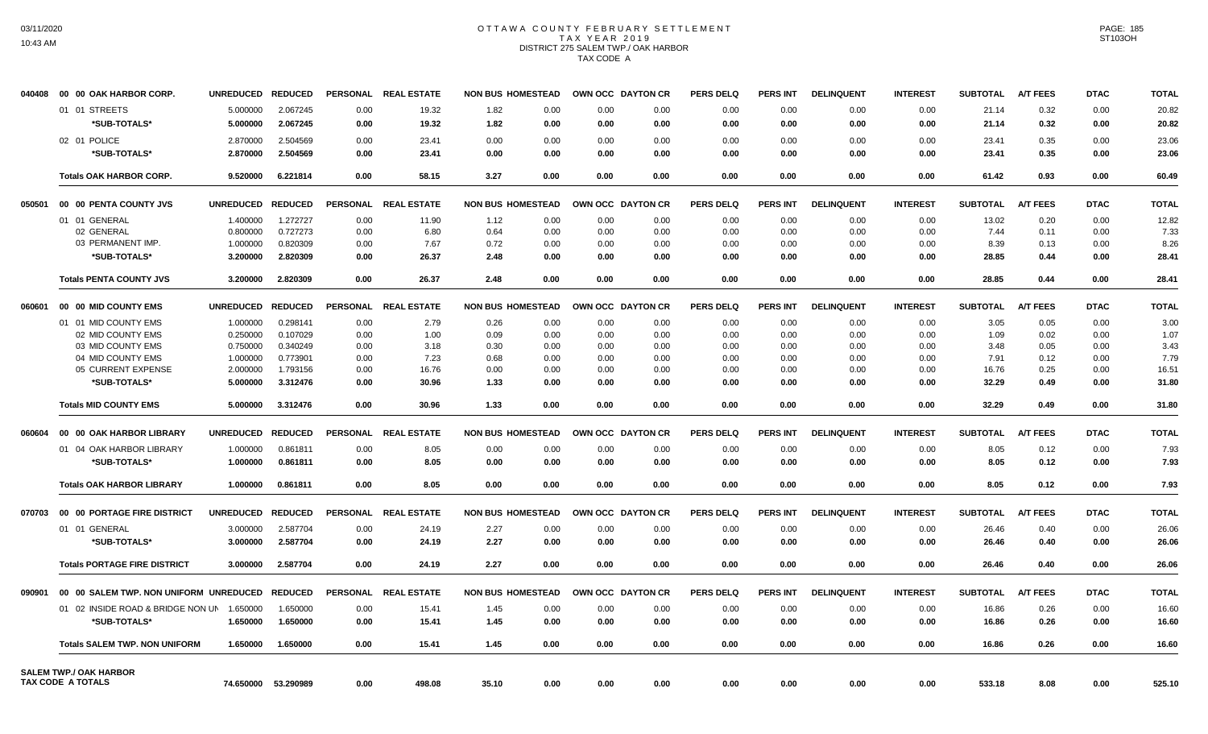# OTTAWA COUNTY FEBRUARY SETTLEMENT TAX YEAR 2019 DISTRICT 275 SALEM TWP./ OAK HARBOR TAX CODE A

| 040408 | 00 00 OAK HARBOR CORP.                                    | <b>UNREDUCED</b>     | <b>REDUCED</b>       | <b>PERSONAL</b> | <b>REAL ESTATE</b> | <b>NON BUS HOMESTEAD</b> |              | OWN OCC DAYTON CR |              | <b>PERS DELQ</b> | <b>PERS INT</b> | <b>DELINQUENT</b> | <b>INTEREST</b> | <b>SUBTOTAL</b> | <b>A/T FEES</b> | <b>DTAC</b>  | <b>TOTAL</b> |
|--------|-----------------------------------------------------------|----------------------|----------------------|-----------------|--------------------|--------------------------|--------------|-------------------|--------------|------------------|-----------------|-------------------|-----------------|-----------------|-----------------|--------------|--------------|
|        | 01 01 STREETS                                             | 5.000000             | 2.067245             | 0.00            | 19.32              | 1.82                     | 0.00         | 0.00              | 0.00         | 0.00             | 0.00            | 0.00              | 0.00            | 21.14           | 0.32            | 0.00         | 20.82        |
|        | *SUB-TOTALS*                                              | 5.000000             | 2.067245             | 0.00            | 19.32              | 1.82                     | 0.00         | 0.00              | 0.00         | 0.00             | 0.00            | 0.00              | 0.00            | 21.14           | 0.32            | 0.00         | 20.82        |
|        | 02 01 POLICE                                              | 2.870000             | 2.504569             | 0.00            | 23.41              | 0.00                     | 0.00         | 0.00              | 0.00         | 0.00             | 0.00            | 0.00              | 0.00            | 23.41           | 0.35            | 0.00         | 23.06        |
|        | *SUB-TOTALS*                                              | 2.870000             | 2.504569             | 0.00            | 23.41              | 0.00                     | 0.00         | 0.00              | 0.00         | 0.00             | 0.00            | 0.00              | 0.00            | 23.41           | 0.35            | 0.00         | 23.06        |
|        | <b>Totals OAK HARBOR CORP.</b>                            | 9.520000             | 6.221814             | 0.00            | 58.15              | 3.27                     | 0.00         | 0.00              | 0.00         | 0.00             | 0.00            | 0.00              | 0.00            | 61.42           | 0.93            | 0.00         | 60.49        |
| 050501 | 00 00 PENTA COUNTY JVS                                    | <b>UNREDUCED</b>     | <b>REDUCED</b>       | <b>PERSONAL</b> | <b>REAL ESTATE</b> | <b>NON BUS HOMESTEAD</b> |              | OWN OCC DAYTON CR |              | <b>PERS DELQ</b> | <b>PERS INT</b> | <b>DELINQUENT</b> | <b>INTEREST</b> | <b>SUBTOTAL</b> | <b>A/T FEES</b> | <b>DTAC</b>  | <b>TOTAL</b> |
|        |                                                           |                      |                      |                 |                    |                          |              |                   |              |                  |                 |                   |                 |                 |                 |              |              |
|        | 01 01 GENERAL                                             | 1.400000             | 1.272727             | 0.00            | 11.90              | 1.12                     | 0.00         | 0.00              | 0.00         | 0.00             | 0.00            | 0.00              | 0.00            | 13.02           | 0.20            | 0.00         | 12.82        |
|        | 02 GENERAL<br>03 PERMANENT IMP.                           | 0.800000<br>1.000000 | 0.727273<br>0.820309 | 0.00<br>0.00    | 6.80<br>7.67       | 0.64<br>0.72             | 0.00<br>0.00 | 0.00<br>0.00      | 0.00<br>0.00 | 0.00<br>0.00     | 0.00<br>0.00    | 0.00<br>0.00      | 0.00<br>0.00    | 7.44<br>8.39    | 0.11<br>0.13    | 0.00<br>0.00 | 7.33<br>8.26 |
|        | *SUB-TOTALS*                                              |                      | 2.820309             | 0.00            |                    | 2.48                     | 0.00         |                   | 0.00         |                  | 0.00            |                   | 0.00            | 28.85           |                 |              |              |
|        |                                                           | 3.200000             |                      |                 | 26.37              |                          |              | 0.00              |              | 0.00             |                 | 0.00              |                 |                 | 0.44            | 0.00         | 28.41        |
|        | <b>Totals PENTA COUNTY JVS</b>                            | 3.200000             | 2.820309             | 0.00            | 26.37              | 2.48                     | 0.00         | 0.00              | 0.00         | 0.00             | 0.00            | 0.00              | 0.00            | 28.85           | 0.44            | 0.00         | 28.41        |
| 060601 | 00 00 MID COUNTY EMS                                      | <b>UNREDUCED</b>     | <b>REDUCED</b>       | <b>PERSONAL</b> | <b>REAL ESTATE</b> | <b>NON BUS HOMESTEAD</b> |              | OWN OCC DAYTON CR |              | <b>PERS DELQ</b> | <b>PERS INT</b> | <b>DELINQUENT</b> | <b>INTEREST</b> | <b>SUBTOTAL</b> | <b>A/T FEES</b> | <b>DTAC</b>  | <b>TOTAL</b> |
|        | 01 01 MID COUNTY EMS                                      | 1.000000             | 0.298141             | 0.00            | 2.79               | 0.26                     | 0.00         | 0.00              | 0.00         | 0.00             | 0.00            | 0.00              | 0.00            | 3.05            | 0.05            | 0.00         | 3.00         |
|        | 02 MID COUNTY EMS                                         | 0.250000             | 0.107029             | 0.00            | 1.00               | 0.09                     | 0.00         | 0.00              | 0.00         | 0.00             | 0.00            | 0.00              | 0.00            | 1.09            | 0.02            | 0.00         | 1.07         |
|        | 03 MID COUNTY EMS                                         | 0.750000             | 0.340249             | 0.00            | 3.18               | 0.30                     | 0.00         | 0.00              | 0.00         | 0.00             | 0.00            | 0.00              | 0.00            | 3.48            | 0.05            | 0.00         | 3.43         |
|        | 04 MID COUNTY EMS                                         | 1.000000             | 0.773901             | 0.00            | 7.23               | 0.68                     | 0.00         | 0.00              | 0.00         | 0.00             | 0.00            | 0.00              | 0.00            | 7.91            | 0.12            | 0.00         | 7.79         |
|        | 05 CURRENT EXPENSE                                        | 2.000000             | 1.793156             | 0.00            | 16.76              | 0.00                     | 0.00         | 0.00              | 0.00         | 0.00             | 0.00            | 0.00              | 0.00            | 16.76           | 0.25            | 0.00         | 16.51        |
|        | *SUB-TOTALS*                                              | 5.000000             | 3.312476             | 0.00            | 30.96              | 1.33                     | 0.00         | 0.00              | 0.00         | 0.00             | 0.00            | 0.00              | 0.00            | 32.29           | 0.49            | 0.00         | 31.80        |
|        | <b>Totals MID COUNTY EMS</b>                              | 5.000000             | 3.312476             | 0.00            | 30.96              | 1.33                     | 0.00         | 0.00              | 0.00         | 0.00             | 0.00            | 0.00              | 0.00            | 32.29           | 0.49            | 0.00         | 31.80        |
| 060604 | 00 00 OAK HARBOR LIBRARY                                  | <b>UNREDUCED</b>     | <b>REDUCED</b>       | <b>PERSONAL</b> | <b>REAL ESTATE</b> | <b>NON BUS HOMESTEAD</b> |              | OWN OCC DAYTON CR |              | <b>PERS DELQ</b> | <b>PERS INT</b> | <b>DELINQUENT</b> | <b>INTEREST</b> | <b>SUBTOTAL</b> | <b>A/T FEES</b> | <b>DTAC</b>  | <b>TOTAL</b> |
|        | 01 04 OAK HARBOR LIBRARY                                  | 1.000000             | 0.861811             | 0.00            | 8.05               | 0.00                     | 0.00         | 0.00              | 0.00         | 0.00             | 0.00            | 0.00              | 0.00            | 8.05            | 0.12            | 0.00         | 7.93         |
|        | *SUB-TOTALS*                                              | 1.000000             | 0.861811             | 0.00            | 8.05               | 0.00                     | 0.00         | 0.00              | 0.00         | 0.00             | 0.00            | 0.00              | 0.00            | 8.05            | 0.12            | 0.00         | 7.93         |
|        |                                                           |                      |                      |                 |                    |                          |              |                   |              |                  |                 |                   |                 |                 |                 |              |              |
|        | <b>Totals OAK HARBOR LIBRARY</b>                          | 1.000000             | 0.861811             | 0.00            | 8.05               | 0.00                     | 0.00         | 0.00              | 0.00         | 0.00             | 0.00            | 0.00              | 0.00            | 8.05            | 0.12            | 0.00         | 7.93         |
| 070703 | 00 00 PORTAGE FIRE DISTRICT                               | <b>UNREDUCED</b>     | <b>REDUCED</b>       | <b>PERSONAL</b> | <b>REAL ESTATE</b> | <b>NON BUS HOMESTEAD</b> |              | OWN OCC DAYTON CR |              | <b>PERS DELQ</b> | <b>PERS INT</b> | <b>DELINQUENT</b> | <b>INTEREST</b> | <b>SUBTOTAL</b> | <b>A/T FEES</b> | <b>DTAC</b>  | <b>TOTAL</b> |
|        | 01 01 GENERAL                                             | 3.000000             | 2.587704             | 0.00            | 24.19              | 2.27                     | 0.00         | 0.00              | 0.00         | 0.00             | 0.00            | 0.00              | 0.00            | 26.46           | 0.40            | 0.00         | 26.06        |
|        | *SUB-TOTALS*                                              | 3.000000             | 2.587704             | 0.00            | 24.19              | 2.27                     | 0.00         | 0.00              | 0.00         | 0.00             | 0.00            | 0.00              | 0.00            | 26.46           | 0.40            | 0.00         | 26.06        |
|        | <b>Totals PORTAGE FIRE DISTRICT</b>                       | 3.000000             | 2.587704             | 0.00            | 24.19              | 2.27                     | 0.00         | 0.00              | 0.00         | 0.00             | 0.00            | 0.00              | 0.00            | 26.46           | 0.40            | 0.00         | 26.06        |
| 090901 | 00 00 SALEM TWP. NON UNIFORM UNREDUCED                    |                      | <b>REDUCED</b>       | <b>PERSONAL</b> | <b>REAL ESTATE</b> | <b>NON BUS HOMESTEAD</b> |              | OWN OCC DAYTON CR |              | <b>PERS DELQ</b> | <b>PERS INT</b> | <b>DELINQUENT</b> | <b>INTEREST</b> | <b>SUBTOTAL</b> | <b>A/T FEES</b> | <b>DTAC</b>  | <b>TOTAL</b> |
|        | 01 02 INSIDE ROAD & BRIDGE NON UN                         | 1.650000             | 1.650000             | 0.00            | 15.41              | 1.45                     | 0.00         | 0.00              | 0.00         | 0.00             | 0.00            | 0.00              | 0.00            | 16.86           | 0.26            | 0.00         | 16.60        |
|        | *SUB-TOTALS*                                              | 1.650000             | 1.650000             | 0.00            | 15.41              | 1.45                     | 0.00         | 0.00              | 0.00         | 0.00             | 0.00            | 0.00              | 0.00            | 16.86           | 0.26            | 0.00         | 16.60        |
|        | <b>Totals SALEM TWP, NON UNIFORM</b>                      | 1.650000             | 1.650000             | 0.00            | 15.41              | 1.45                     | 0.00         | 0.00              | 0.00         | 0.00             | 0.00            | 0.00              | 0.00            | 16.86           | 0.26            | 0.00         | 16.60        |
|        |                                                           |                      |                      |                 |                    |                          |              |                   |              |                  |                 |                   |                 |                 |                 |              |              |
|        | <b>SALEM TWP./ OAK HARBOR</b><br><b>TAX CODE A TOTALS</b> | 74.650000            | 53.290989            | 0.00            | 498.08             | 35.10                    | 0.00         | 0.00              | 0.00         | 0.00             | 0.00            | 0.00              | 0.00            | 533.18          | 8.08            | 0.00         | 525.10       |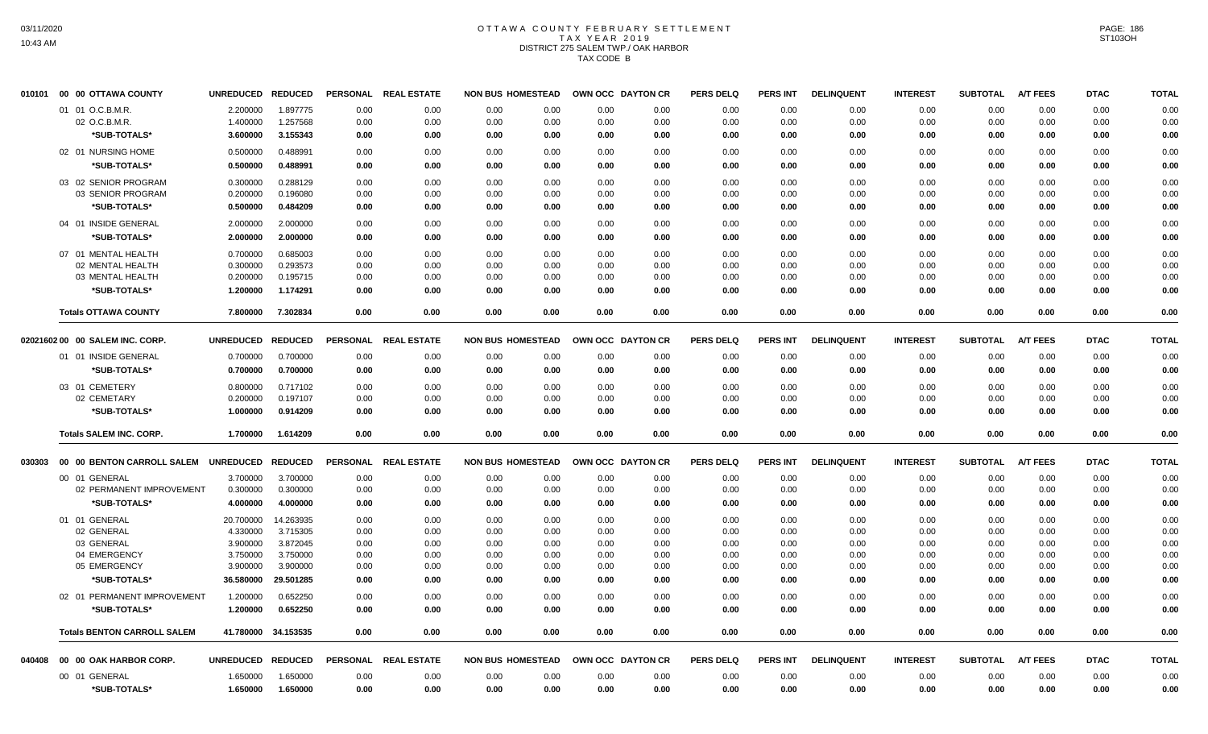# OTTAWA COUNTY FEBRUARY SETTLEMENT TAX YEAR 2019 DISTRICT 275 SALEM TWP./ OAK HARBOR TAX CODE B

| 010101 | 00 00 OTTAWA COUNTY                | <b>UNREDUCED</b>  | <b>REDUCED</b>      | <b>PERSONAL</b> | <b>REAL ESTATE</b> | <b>NON BUS HOMESTEAD</b> |      | OWN OCC DAYTON CR | <b>PERS DELQ</b> | <b>PERS INT</b> | <b>DELINQUENT</b> | <b>INTEREST</b> | <b>SUBTOTAL</b> | <b>A/T FEES</b> | <b>DTAC</b> | <b>TOTAL</b> |
|--------|------------------------------------|-------------------|---------------------|-----------------|--------------------|--------------------------|------|-------------------|------------------|-----------------|-------------------|-----------------|-----------------|-----------------|-------------|--------------|
|        | 01 01 O.C.B.M.R.                   | 2.200000          | 1.897775            | 0.00            | 0.00               | 0.00<br>0.00             | 0.00 | 0.00              | 0.00             | 0.00            | 0.00              | 0.00            | 0.00            | 0.00            | 0.00        | 0.00         |
|        | 02 O.C.B.M.R.                      | 1.400000          | 1.257568            | 0.00            | 0.00               | 0.00<br>0.00             | 0.00 | 0.00              | 0.00             | 0.00            | 0.00              | 0.00            | 0.00            | 0.00            | 0.00        | 0.00         |
|        | *SUB-TOTALS*                       | 3.600000          | 3.155343            | 0.00            | 0.00               | 0.00<br>0.00             | 0.00 | 0.00              | 0.00             | 0.00            | 0.00              | 0.00            | 0.00            | 0.00            | 0.00        | 0.00         |
|        | 02 01 NURSING HOME                 | 0.500000          | 0.488991            | 0.00            | 0.00               | 0.00<br>0.00             | 0.00 | 0.00              | 0.00             | 0.00            | 0.00              | 0.00            | 0.00            | 0.00            | 0.00        | 0.00         |
|        | *SUB-TOTALS*                       | 0.500000          | 0.488991            | 0.00            | 0.00               | 0.00<br>0.00             | 0.00 | 0.00              | 0.00             | 0.00            | 0.00              | 0.00            | 0.00            | 0.00            | 0.00        | 0.00         |
|        | 03 02 SENIOR PROGRAM               | 0.300000          | 0.288129            | 0.00            | 0.00               | 0.00<br>0.00             | 0.00 | 0.00              | 0.00             | 0.00            | 0.00              | 0.00            | 0.00            | 0.00            | 0.00        | 0.00         |
|        | 03 SENIOR PROGRAM                  | 0.200000          | 0.196080            | 0.00            | 0.00               | 0.00<br>0.00             | 0.00 | 0.00              | 0.00             | 0.00            | 0.00              | 0.00            | 0.00            | 0.00            | 0.00        | 0.00         |
|        | *SUB-TOTALS*                       | 0.500000          | 0.484209            | 0.00            | 0.00               | 0.00<br>0.00             | 0.00 | 0.00              | 0.00             | 0.00            | 0.00              | 0.00            | 0.00            | 0.00            | 0.00        | 0.00         |
|        | 04 01 INSIDE GENERAL               | 2.000000          | 2.000000            | 0.00            | 0.00               | 0.00<br>0.00             | 0.00 | 0.00              | 0.00             | 0.00            | 0.00              | 0.00            | 0.00            | 0.00            | 0.00        | 0.00         |
|        | *SUB-TOTALS*                       | 2.000000          | 2.000000            | 0.00            | 0.00               | 0.00<br>0.00             | 0.00 | 0.00              | 0.00             | 0.00            | 0.00              | 0.00            | 0.00            | 0.00            | 0.00        | 0.00         |
|        | 07 01 MENTAL HEALTH                | 0.700000          | 0.685003            | 0.00            | 0.00               | 0.00<br>0.00             | 0.00 | 0.00              | 0.00             | 0.00            | 0.00              | 0.00            | 0.00            | 0.00            | 0.00        | 0.00         |
|        | 02 MENTAL HEALTH                   | 0.300000          | 0.293573            | 0.00            | 0.00               | 0.00<br>0.00             | 0.00 | 0.00              | 0.00             | 0.00            | 0.00              | 0.00            | 0.00            | 0.00            | 0.00        | 0.00         |
|        | 03 MENTAL HEALTH                   | 0.200000          | 0.195715            | 0.00            | 0.00               | 0.00<br>0.00             | 0.00 | 0.00              | 0.00             | 0.00            | 0.00              | 0.00            | 0.00            | 0.00            | 0.00        | 0.00         |
|        | *SUB-TOTALS*                       | 1.200000          | 1.174291            | 0.00            | 0.00               | 0.00<br>0.00             | 0.00 | 0.00              | 0.00             | 0.00            | 0.00              | 0.00            | 0.00            | 0.00            | 0.00        | 0.00         |
|        | <b>Totals OTTAWA COUNTY</b>        | 7.800000          | 7.302834            | 0.00            | 0.00               | 0.00<br>0.00             | 0.00 | 0.00              | 0.00             | 0.00            | 0.00              | 0.00            | 0.00            | 0.00            | 0.00        | 0.00         |
|        |                                    |                   |                     |                 |                    |                          |      |                   |                  |                 |                   |                 |                 |                 |             |              |
|        | 02021602 00 00 SALEM INC. CORP.    | <b>UNREDUCED</b>  | <b>REDUCED</b>      | <b>PERSONAL</b> | <b>REAL ESTATE</b> | <b>NON BUS HOMESTEAD</b> |      | OWN OCC DAYTON CR | <b>PERS DELQ</b> | <b>PERS INT</b> | <b>DELINQUENT</b> | <b>INTEREST</b> | <b>SUBTOTAL</b> | <b>A/T FEES</b> | <b>DTAC</b> | <b>TOTAL</b> |
|        | 01 01 INSIDE GENERAL               | 0.700000          | 0.700000            | 0.00            | 0.00               | 0.00<br>0.00             | 0.00 | 0.00              | 0.00             | 0.00            | 0.00              | 0.00            | 0.00            | 0.00            | 0.00        | 0.00         |
|        | *SUB-TOTALS*                       | 0.700000          | 0.700000            | 0.00            | 0.00               | 0.00<br>0.00             | 0.00 | 0.00              | 0.00             | 0.00            | 0.00              | 0.00            | 0.00            | 0.00            | 0.00        | 0.00         |
|        | 03 01 CEMETERY                     | 0.800000          | 0.717102            | 0.00            | 0.00               | 0.00<br>0.00             | 0.00 | 0.00              | 0.00             | 0.00            | 0.00              | 0.00            | 0.00            | 0.00            | 0.00        | 0.00         |
|        | 02 CEMETARY                        | 0.200000          | 0.197107            | 0.00            | 0.00               | 0.00<br>0.00             | 0.00 | 0.00              | 0.00             | 0.00            | 0.00              | 0.00            | 0.00            | 0.00            | 0.00        | 0.00         |
|        | *SUB-TOTALS*                       | 1.000000          | 0.914209            | 0.00            | 0.00               | 0.00<br>0.00             | 0.00 | 0.00              | 0.00             | 0.00            | 0.00              | 0.00            | 0.00            | 0.00            | 0.00        | 0.00         |
|        | <b>Totals SALEM INC. CORP.</b>     | 1.700000          | 1.614209            | 0.00            | 0.00               | 0.00<br>0.00             | 0.00 | 0.00              | 0.00             | 0.00            | 0.00              | 0.00            | 0.00            | 0.00            | 0.00        | 0.00         |
| 030303 | 00 00 BENTON CARROLL SALEM         | <b>UNREDUCED</b>  | <b>REDUCED</b>      | <b>PERSONAL</b> | <b>REAL ESTATE</b> | <b>NON BUS HOMESTEAD</b> |      | OWN OCC DAYTON CR | <b>PERS DELQ</b> | <b>PERS INT</b> | <b>DELINQUENT</b> | <b>INTEREST</b> | <b>SUBTOTAL</b> | <b>A/T FEES</b> | <b>DTAC</b> | <b>TOTAL</b> |
|        | 00 01 GENERAL                      | 3.700000          | 3.700000            | 0.00            | 0.00               | 0.00<br>0.00             | 0.00 | 0.00              | 0.00             | 0.00            | 0.00              | 0.00            | 0.00            | 0.00            | 0.00        | 0.00         |
|        | 02 PERMANENT IMPROVEMENT           | 0.300000          | 0.300000            | 0.00            | 0.00               | 0.00<br>0.00             | 0.00 | 0.00              | 0.00             | 0.00            | 0.00              | 0.00            | 0.00            | 0.00            | 0.00        | 0.00         |
|        | *SUB-TOTALS*                       | 4.000000          | 4.000000            | 0.00            | 0.00               | 0.00<br>0.00             | 0.00 | 0.00              | 0.00             | 0.00            | 0.00              | 0.00            | 0.00            | 0.00            | 0.00        | 0.00         |
|        | 01 01 GENERAL                      | 20.700000         | 14.263935           | 0.00            | 0.00               | 0.00<br>0.00             | 0.00 | 0.00              | 0.00             | 0.00            | 0.00              | 0.00            | 0.00            | 0.00            | 0.00        | 0.00         |
|        | 02 GENERAL                         | 4.330000          | 3.715305            | 0.00            | 0.00               | 0.00<br>0.00             | 0.00 | 0.00              | 0.00             | 0.00            | 0.00              | 0.00            | 0.00            | 0.00            | 0.00        | 0.00         |
|        | 03 GENERAL                         | 3.900000          | 3.872045            | 0.00            | 0.00               | 0.00<br>0.00             | 0.00 | 0.00              | 0.00             | 0.00            | 0.00              | 0.00            | 0.00            | 0.00            | 0.00        | 0.00         |
|        | 04 EMERGENCY                       | 3.750000          | 3.750000            | 0.00            | 0.00               | 0.00<br>0.00             | 0.00 | 0.00              | 0.00             | 0.00            | 0.00              | 0.00            | 0.00            | 0.00            | 0.00        | 0.00         |
|        | 05 EMERGENCY                       | 3.900000          | 3.900000            | 0.00            | 0.00               | 0.00<br>0.00             | 0.00 | 0.00              | 0.00             | 0.00            | 0.00              | 0.00            | 0.00            | 0.00            | 0.00        | 0.00         |
|        | *SUB-TOTALS*                       | 36.580000         | 29.501285           | 0.00            | 0.00               | 0.00<br>0.00             | 0.00 | 0.00              | 0.00             | 0.00            | 0.00              | 0.00            | 0.00            | 0.00            | 0.00        | 0.00         |
|        | 02 01 PERMANENT IMPROVEMENT        | 1.200000          | 0.652250            | 0.00            | 0.00               | 0.00<br>0.00             | 0.00 | 0.00              | 0.00             | 0.00            | 0.00              | 0.00            | 0.00            | 0.00            | 0.00        | 0.00         |
|        | *SUB-TOTALS*                       | 1.200000          | 0.652250            | 0.00            | 0.00               | 0.00<br>0.00             | 0.00 | 0.00              | 0.00             | 0.00            | 0.00              | 0.00            | 0.00            | 0.00            | 0.00        | 0.00         |
|        | <b>Totals BENTON CARROLL SALEM</b> |                   | 41.780000 34.153535 | 0.00            | 0.00               | 0.00<br>0.00             | 0.00 | 0.00              | 0.00             | 0.00            | 0.00              | 0.00            | 0.00            | 0.00            | 0.00        | 0.00         |
| 040408 | 00 00 OAK HARBOR CORP.             | UNREDUCED REDUCED |                     | <b>PERSONAL</b> | <b>REAL ESTATE</b> | <b>NON BUS HOMESTEAD</b> |      | OWN OCC DAYTON CR | <b>PERS DELQ</b> | <b>PERS INT</b> | <b>DELINQUENT</b> | <b>INTEREST</b> | <b>SUBTOTAL</b> | <b>A/T FEES</b> | <b>DTAC</b> | <b>TOTAL</b> |
|        | 00 01 GENERAL                      | 1.650000          | 1.650000            | 0.00            | 0.00               | 0.00<br>0.00             | 0.00 | 0.00              | 0.00             | 0.00            | 0.00              | 0.00            | 0.00            | 0.00            | 0.00        | 0.00         |
|        | *SUB-TOTALS*                       | 1.650000          | 1.650000            | 0.00            | 0.00               | 0.00<br>0.00             | 0.00 | 0.00              | 0.00             | 0.00            | 0.00              | 0.00            | 0.00            | 0.00            | 0.00        | 0.00         |
|        |                                    |                   |                     |                 |                    |                          |      |                   |                  |                 |                   |                 |                 |                 |             |              |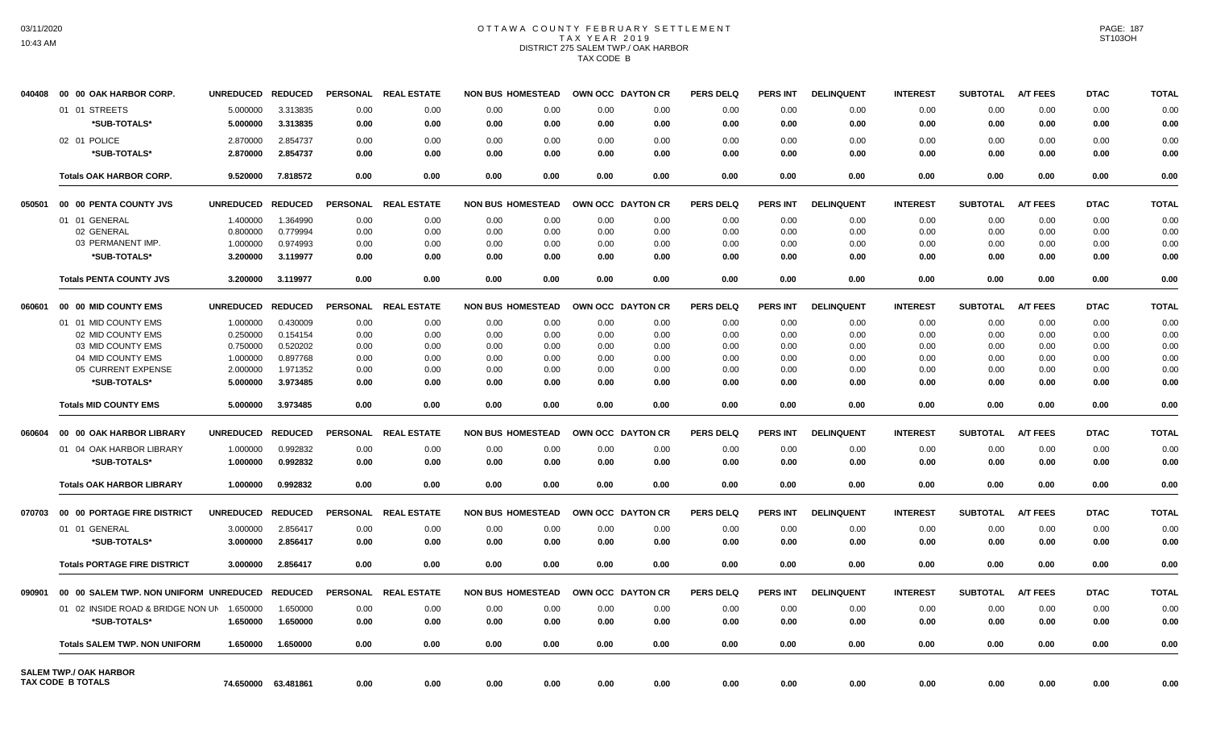# OTTAWA COUNTY FEBRUARY SETTLEMENT TAX YEAR 2019 DISTRICT 275 SALEM TWP./ OAK HARBOR TAX CODE B

| 040408 | 00 00 OAK HARBOR CORP.                                    | <b>UNREDUCED</b> | <b>REDUCED</b> | <b>PERSONAL</b> | <b>REAL ESTATE</b> |      | <b>NON BUS HOMESTEAD</b> | OWN OCC DAYTON CR |                  | <b>PERS DELQ</b> | <b>PERS INT</b> | <b>DELINQUENT</b> | <b>INTEREST</b> | <b>SUBTOTAL</b> | <b>A/T FEES</b> | <b>DTAC</b> | <b>TOTAL</b> |
|--------|-----------------------------------------------------------|------------------|----------------|-----------------|--------------------|------|--------------------------|-------------------|------------------|------------------|-----------------|-------------------|-----------------|-----------------|-----------------|-------------|--------------|
|        | 01 01 STREETS                                             | 5.000000         | 3.313835       | 0.00            | 0.00               | 0.00 | 0.00                     | 0.00              | 0.00             | 0.00             | 0.00            | 0.00              | 0.00            | 0.00            | 0.00            | 0.00        | 0.00         |
|        | *SUB-TOTALS*                                              | 5.000000         | 3.313835       | 0.00            | 0.00               | 0.00 | 0.00                     | 0.00              | 0.00             | 0.00             | 0.00            | 0.00              | 0.00            | 0.00            | 0.00            | 0.00        | 0.00         |
|        | 02 01 POLICE                                              | 2.870000         | 2.854737       | 0.00            | 0.00               | 0.00 | 0.00                     | 0.00              | 0.00             | 0.00             | 0.00            | 0.00              | 0.00            | 0.00            | 0.00            | 0.00        | 0.00         |
|        | *SUB-TOTALS*                                              | 2.870000         | 2.854737       | 0.00            | 0.00               | 0.00 | 0.00                     | 0.00              | 0.00             | 0.00             | 0.00            | 0.00              | 0.00            | 0.00            | 0.00            | 0.00        | 0.00         |
|        | <b>Totals OAK HARBOR CORP.</b>                            | 9.520000         | 7.818572       | 0.00            | 0.00               | 0.00 | 0.00                     | 0.00              | 0.00             | 0.00             | 0.00            | 0.00              | 0.00            | 0.00            | 0.00            | 0.00        | 0.00         |
| 050501 | 00 00 PENTA COUNTY JVS                                    | <b>UNREDUCED</b> | <b>REDUCED</b> | <b>PERSONAL</b> | <b>REAL ESTATE</b> |      | <b>NON BUS HOMESTEAD</b> | OWN OCC DAYTON CR |                  | <b>PERS DELQ</b> | <b>PERS INT</b> | <b>DELINQUENT</b> | <b>INTEREST</b> | <b>SUBTOTAL</b> | <b>A/T FEES</b> | <b>DTAC</b> | <b>TOTAL</b> |
|        | 01 01 GENERAL                                             | 1.400000         | 1.364990       | 0.00            | 0.00               | 0.00 | 0.00                     | 0.00              | 0.00             | 0.00             | 0.00            | 0.00              | 0.00            | 0.00            | 0.00            | 0.00        | 0.00         |
|        | 02 GENERAL                                                | 0.800000         | 0.779994       | 0.00            | 0.00               | 0.00 | 0.00                     | 0.00              | 0.00             | 0.00             | 0.00            | 0.00              | 0.00            | 0.00            | 0.00            | 0.00        | 0.00         |
|        | 03 PERMANENT IMP.                                         | 1.000000         | 0.974993       | 0.00            | 0.00               | 0.00 | 0.00                     | 0.00              | 0.00             | 0.00             | 0.00            | 0.00              | 0.00            | 0.00            | 0.00            | 0.00        | 0.00         |
|        | *SUB-TOTALS*                                              | 3.200000         | 3.119977       | 0.00            | 0.00               | 0.00 | 0.00                     | 0.00              | 0.00             | 0.00             | 0.00            | 0.00              | 0.00            | 0.00            | 0.00            | 0.00        | 0.00         |
|        | <b>Totals PENTA COUNTY JVS</b>                            | 3.200000         | 3.119977       | 0.00            | 0.00               | 0.00 | 0.00                     | 0.00              | 0.00             | 0.00             | 0.00            | 0.00              | 0.00            | 0.00            | 0.00            | 0.00        | 0.00         |
| 060601 | 00 00 MID COUNTY EMS                                      | <b>UNREDUCED</b> | <b>REDUCED</b> | <b>PERSONAL</b> | <b>REAL ESTATE</b> |      | <b>NON BUS HOMESTEAD</b> | OWN OCC DAYTON CR |                  | <b>PERS DELQ</b> | <b>PERS INT</b> | <b>DELINQUENT</b> | <b>INTEREST</b> | <b>SUBTOTAL</b> | <b>A/T FEES</b> | <b>DTAC</b> | <b>TOTAL</b> |
|        | 01 01 MID COUNTY EMS                                      | 1.000000         | 0.430009       | 0.00            | 0.00               | 0.00 | 0.00                     | 0.00              | 0.00             | 0.00             | 0.00            | 0.00              | 0.00            | 0.00            | 0.00            | 0.00        | 0.00         |
|        | 02 MID COUNTY EMS                                         | 0.250000         | 0.154154       | 0.00            | 0.00               | 0.00 | 0.00                     | 0.00              | 0.00             | 0.00             | 0.00            | 0.00              | 0.00            | 0.00            | 0.00            | 0.00        | 0.00         |
|        | 03 MID COUNTY EMS                                         | 0.750000         | 0.520202       | 0.00            | 0.00               | 0.00 | 0.00                     | 0.00              | 0.00             | 0.00             | 0.00            | 0.00              | 0.00            | 0.00            | 0.00            | 0.00        | 0.00         |
|        | 04 MID COUNTY EMS                                         | 1.000000         | 0.897768       | 0.00            | 0.00               | 0.00 | 0.00                     | 0.00              | 0.00             | 0.00             | 0.00            | 0.00              | 0.00            | 0.00            | 0.00            | 0.00        | 0.00         |
|        | 05 CURRENT EXPENSE                                        | 2.000000         | 1.971352       | 0.00            | 0.00               | 0.00 | 0.00                     | 0.00              | 0.00             | 0.00             | 0.00            | 0.00              | 0.00            | 0.00            | 0.00            | 0.00        | 0.00         |
|        | *SUB-TOTALS*                                              | 5.000000         | 3.973485       | 0.00            | 0.00               | 0.00 | 0.00                     | 0.00              | 0.00             | 0.00             | 0.00            | 0.00              | 0.00            | 0.00            | 0.00            | 0.00        | 0.00         |
|        | <b>Totals MID COUNTY EMS</b>                              | 5.000000         | 3.973485       | 0.00            | 0.00               | 0.00 | 0.00                     | 0.00              | 0.00             | 0.00             | 0.00            | 0.00              | 0.00            | 0.00            | 0.00            | 0.00        | 0.00         |
| 060604 | 00 00 OAK HARBOR LIBRARY                                  | <b>UNREDUCED</b> | <b>REDUCED</b> | <b>PERSONAL</b> | <b>REAL ESTATE</b> |      | <b>NON BUS HOMESTEAD</b> | OWN OCC DAYTON CR |                  | <b>PERS DELQ</b> | <b>PERS INT</b> | <b>DELINQUENT</b> | <b>INTEREST</b> | <b>SUBTOTAL</b> | <b>A/T FEES</b> | <b>DTAC</b> | <b>TOTAL</b> |
|        | 01 04 OAK HARBOR LIBRARY                                  | 1.000000         | 0.992832       | 0.00            | 0.00               | 0.00 | 0.00                     | 0.00              | 0.00             | 0.00             | 0.00            | 0.00              | 0.00            | 0.00            | 0.00            | 0.00        | 0.00         |
|        | *SUB-TOTALS*                                              | 1.000000         | 0.992832       | 0.00            | 0.00               | 0.00 | 0.00                     | 0.00              | 0.00             | 0.00             | 0.00            | 0.00              | 0.00            | 0.00            | 0.00            | 0.00        | 0.00         |
|        | <b>Totals OAK HARBOR LIBRARY</b>                          | 1.000000         | 0.992832       | 0.00            | 0.00               | 0.00 | 0.00                     | 0.00              | 0.00             | 0.00             | 0.00            | 0.00              | 0.00            | 0.00            | 0.00            | 0.00        | 0.00         |
| 070703 | 00 00 PORTAGE FIRE DISTRICT                               | <b>UNREDUCED</b> | <b>REDUCED</b> | <b>PERSONAL</b> | <b>REAL ESTATE</b> |      | <b>NON BUS HOMESTEAD</b> | OWN OCC DAYTON CR |                  | <b>PERS DELQ</b> | <b>PERS INT</b> | <b>DELINQUENT</b> | <b>INTEREST</b> | <b>SUBTOTAL</b> | <b>A/T FEES</b> | <b>DTAC</b> | <b>TOTAL</b> |
|        | 01 01 GENERAL                                             | 3.000000         | 2.856417       | 0.00            | 0.00               | 0.00 | 0.00                     | 0.00              | 0.00             | 0.00             | 0.00            | 0.00              | 0.00            | 0.00            | 0.00            | 0.00        | 0.00         |
|        | *SUB-TOTALS*                                              | 3.000000         | 2.856417       | 0.00            | 0.00               | 0.00 | 0.00                     | 0.00              | 0.00             | 0.00             | 0.00            | 0.00              | 0.00            | 0.00            | 0.00            | 0.00        | 0.00         |
|        | <b>Totals PORTAGE FIRE DISTRICT</b>                       | 3.000000         | 2.856417       | 0.00            | 0.00               | 0.00 | 0.00                     | 0.00              | 0.00             | 0.00             | 0.00            | 0.00              | 0.00            | 0.00            | 0.00            | 0.00        | 0.00         |
| 090901 | 00 00 SALEM TWP. NON UNIFORM UNREDUCED                    |                  | <b>REDUCED</b> | <b>PERSONAL</b> | <b>REAL ESTATE</b> |      | <b>NON BUS HOMESTEAD</b> | <b>OWN OCC</b>    | <b>DAYTON CR</b> | <b>PERS DELQ</b> | <b>PERS INT</b> | <b>DELINQUENT</b> | <b>INTEREST</b> | <b>SUBTOTAL</b> | <b>A/T FEES</b> | <b>DTAC</b> | <b>TOTAL</b> |
|        | 01 02 INSIDE ROAD & BRIDGE NON UN                         | 1.650000         | 1.650000       | 0.00            | 0.00               | 0.00 | 0.00                     | 0.00              | 0.00             | 0.00             | 0.00            | 0.00              | 0.00            | 0.00            | 0.00            | 0.00        | 0.00         |
|        | *SUB-TOTALS*                                              | 1.650000         | 1.650000       | 0.00            | 0.00               | 0.00 | 0.00                     | 0.00              | 0.00             | 0.00             | 0.00            | 0.00              | 0.00            | 0.00            | 0.00            | 0.00        | 0.00         |
|        | <b>Totals SALEM TWP, NON UNIFORM</b>                      | 1.650000         | 1.650000       | 0.00            | 0.00               | 0.00 | 0.00                     | 0.00              | 0.00             | 0.00             | 0.00            | 0.00              | 0.00            | 0.00            | 0.00            | 0.00        | 0.00         |
|        | <b>SALEM TWP./ OAK HARBOR</b><br><b>TAX CODE B TOTALS</b> | 74.650000        | 63.481861      | 0.00            | 0.00               | 0.00 | 0.00                     | 0.00              | 0.00             | 0.00             | 0.00            | 0.00              | 0.00            | 0.00            | 0.00            | 0.00        | 0.00         |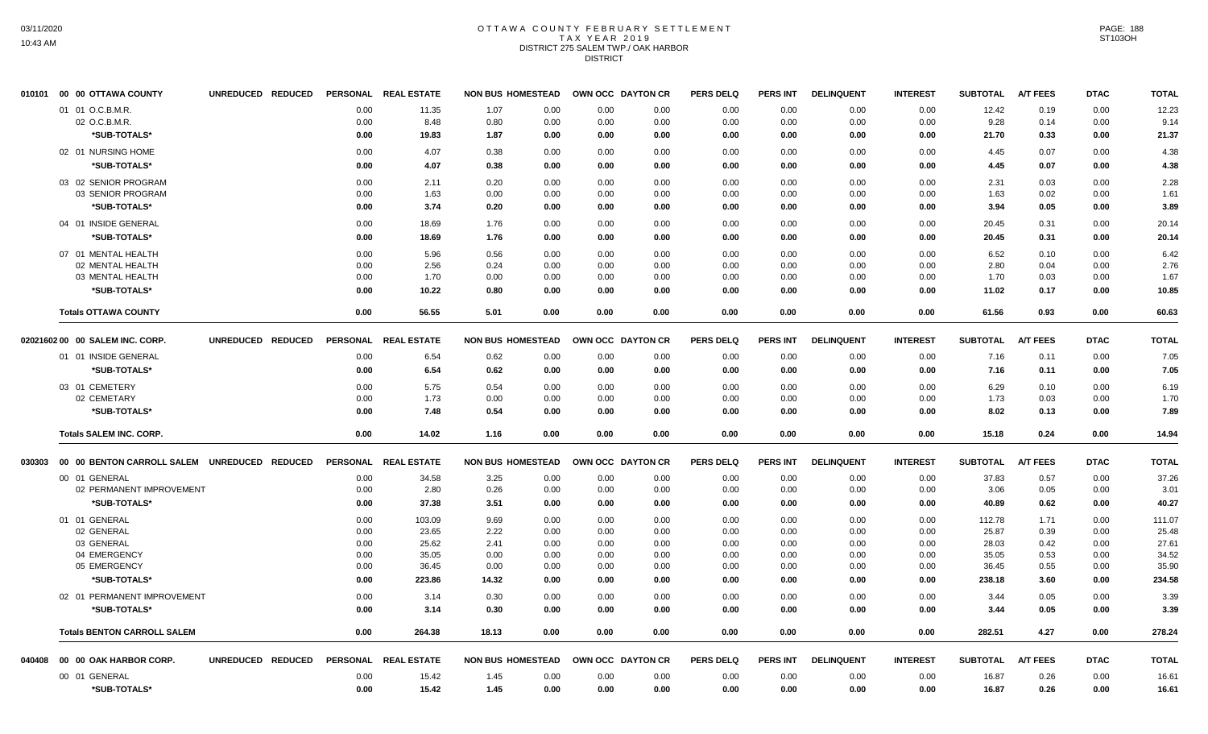# OTTAWA COUNTY FEBRUARY SETTLEMENT TAX YEAR 2019 DISTRICT 275 SALEM TWP./ OAK HARBOR DISTRICT

|        | 010101 00 00 OTTAWA COUNTY                   | UNREDUCED REDUCED |                 | PERSONAL REAL ESTATE | <b>NON BUS HOMESTEAD</b> |      | OWN OCC DAYTON CR |      | <b>PERS DELQ</b> | <b>PERS INT</b> | <b>DELINQUENT</b> | <b>INTEREST</b> | <b>SUBTOTAL</b> | <b>A/T FEES</b> | <b>DTAC</b> | <b>TOTAL</b> |
|--------|----------------------------------------------|-------------------|-----------------|----------------------|--------------------------|------|-------------------|------|------------------|-----------------|-------------------|-----------------|-----------------|-----------------|-------------|--------------|
|        | 01 01 O.C.B.M.R.                             |                   | 0.00            | 11.35                | 1.07                     | 0.00 | 0.00              | 0.00 | 0.00             | 0.00            | 0.00              | 0.00            | 12.42           | 0.19            | 0.00        | 12.23        |
|        | 02 O.C.B.M.R.                                |                   | 0.00            | 8.48                 | 0.80                     | 0.00 | 0.00              | 0.00 | 0.00             | 0.00            | 0.00              | 0.00            | 9.28            | 0.14            | 0.00        | 9.14         |
|        | *SUB-TOTALS*                                 |                   | 0.00            | 19.83                | 1.87                     | 0.00 | 0.00              | 0.00 | 0.00             | 0.00            | 0.00              | 0.00            | 21.70           | 0.33            | 0.00        | 21.37        |
|        | 02 01 NURSING HOME                           |                   | 0.00            | 4.07                 | 0.38                     | 0.00 | 0.00              | 0.00 | 0.00             | 0.00            | 0.00              | 0.00            | 4.45            | 0.07            | 0.00        | 4.38         |
|        | *SUB-TOTALS*                                 |                   | 0.00            | 4.07                 | 0.38                     | 0.00 | 0.00              | 0.00 | 0.00             | 0.00            | 0.00              | 0.00            | 4.45            | 0.07            | 0.00        | 4.38         |
|        | 03 02 SENIOR PROGRAM                         |                   | 0.00            | 2.11                 | 0.20                     | 0.00 | 0.00              | 0.00 | 0.00             | 0.00            | 0.00              | 0.00            | 2.31            | 0.03            | 0.00        | 2.28         |
|        | 03 SENIOR PROGRAM                            |                   | 0.00            | 1.63                 | 0.00                     | 0.00 | 0.00              | 0.00 | 0.00             | 0.00            | 0.00              | 0.00            | 1.63            | 0.02            | 0.00        | 1.61         |
|        | *SUB-TOTALS*                                 |                   | 0.00            | 3.74                 | 0.20                     | 0.00 | 0.00              | 0.00 | 0.00             | 0.00            | 0.00              | 0.00            | 3.94            | 0.05            | 0.00        | 3.89         |
|        | 04 01 INSIDE GENERAL                         |                   | 0.00            | 18.69                | 1.76                     | 0.00 | 0.00              | 0.00 | 0.00             | 0.00            | 0.00              | 0.00            | 20.45           | 0.31            | 0.00        | 20.14        |
|        | *SUB-TOTALS*                                 |                   | 0.00            | 18.69                | 1.76                     | 0.00 | 0.00              | 0.00 | 0.00             | 0.00            | 0.00              | 0.00            | 20.45           | 0.31            | 0.00        | 20.14        |
|        | 07 01 MENTAL HEALTH                          |                   | 0.00            | 5.96                 | 0.56                     | 0.00 | 0.00              | 0.00 | 0.00             | 0.00            | 0.00              | 0.00            | 6.52            | 0.10            | 0.00        | 6.42         |
|        | 02 MENTAL HEALTH                             |                   | 0.00            | 2.56                 | 0.24                     | 0.00 | 0.00              | 0.00 | 0.00             | 0.00            | 0.00              | 0.00            | 2.80            | 0.04            | 0.00        | 2.76         |
|        | 03 MENTAL HEALTH                             |                   | 0.00            | 1.70                 | 0.00                     | 0.00 | 0.00              | 0.00 | 0.00             | 0.00            | 0.00              | 0.00            | 1.70            | 0.03            | 0.00        | 1.67         |
|        | *SUB-TOTALS*                                 |                   | 0.00            | 10.22                | 0.80                     | 0.00 | 0.00              | 0.00 | 0.00             | 0.00            | 0.00              | 0.00            | 11.02           | 0.17            | 0.00        | 10.85        |
|        | <b>Totals OTTAWA COUNTY</b>                  |                   | 0.00            | 56.55                | 5.01                     | 0.00 | 0.00              | 0.00 | 0.00             | 0.00            | 0.00              | 0.00            | 61.56           | 0.93            | 0.00        | 60.63        |
|        | 02021602 00 00 SALEM INC. CORP.              | UNREDUCED REDUCED | <b>PERSONAL</b> | <b>REAL ESTATE</b>   | <b>NON BUS HOMESTEAD</b> |      | OWN OCC DAYTON CR |      | <b>PERS DELQ</b> | <b>PERS INT</b> | <b>DELINQUENT</b> | <b>INTEREST</b> | <b>SUBTOTAL</b> | <b>A/T FEES</b> | <b>DTAC</b> | <b>TOTAL</b> |
|        | 01 01 INSIDE GENERAL                         |                   | 0.00            | 6.54                 | 0.62                     | 0.00 | 0.00              | 0.00 | 0.00             | 0.00            | 0.00              | 0.00            | 7.16            | 0.11            | 0.00        | 7.05         |
|        | *SUB-TOTALS*                                 |                   | 0.00            | 6.54                 | 0.62                     | 0.00 | 0.00              | 0.00 | 0.00             | 0.00            | 0.00              | 0.00            | 7.16            | 0.11            | 0.00        | 7.05         |
|        | 03 01 CEMETERY                               |                   | 0.00            | 5.75                 | 0.54                     | 0.00 | 0.00              | 0.00 | 0.00             | 0.00            | 0.00              | 0.00            | 6.29            | 0.10            | 0.00        | 6.19         |
|        | 02 CEMETARY                                  |                   | 0.00            | 1.73                 | 0.00                     | 0.00 | 0.00              | 0.00 | 0.00             | 0.00            | 0.00              | 0.00            | 1.73            | 0.03            | 0.00        | 1.70         |
|        | *SUB-TOTALS*                                 |                   | 0.00            | 7.48                 | 0.54                     | 0.00 | 0.00              | 0.00 | 0.00             | 0.00            | 0.00              | 0.00            | 8.02            | 0.13            | 0.00        | 7.89         |
|        | <b>Totals SALEM INC. CORP.</b>               |                   | 0.00            | 14.02                | 1.16                     | 0.00 | 0.00              | 0.00 | 0.00             | 0.00            | 0.00              | 0.00            | 15.18           | 0.24            | 0.00        | 14.94        |
|        |                                              |                   |                 |                      |                          |      |                   |      |                  |                 |                   |                 |                 |                 |             |              |
| 030303 | 00 00 BENTON CARROLL SALEM UNREDUCED REDUCED |                   | <b>PERSONAL</b> | <b>REAL ESTATE</b>   | <b>NON BUS HOMESTEAD</b> |      | OWN OCC DAYTON CR |      | <b>PERS DELQ</b> | <b>PERS INT</b> | <b>DELINQUENT</b> | <b>INTEREST</b> | <b>SUBTOTAL</b> | <b>A/T FEES</b> | <b>DTAC</b> | <b>TOTAL</b> |
|        | 00 01 GENERAL                                |                   | 0.00            | 34.58                | 3.25                     | 0.00 | 0.00              | 0.00 | 0.00             | 0.00            | 0.00              | 0.00            | 37.83           | 0.57            | 0.00        | 37.26        |
|        | 02 PERMANENT IMPROVEMENT                     |                   | 0.00            | 2.80                 | 0.26                     | 0.00 | 0.00              | 0.00 | 0.00             | 0.00            | 0.00              | 0.00            | 3.06            | 0.05            | 0.00        | 3.01         |
|        | *SUB-TOTALS*                                 |                   | 0.00            | 37.38                | 3.51                     | 0.00 | 0.00              | 0.00 | 0.00             | 0.00            | 0.00              | 0.00            | 40.89           | 0.62            | 0.00        | 40.27        |
|        | 01 01 GENERAL                                |                   | 0.00            | 103.09               | 9.69                     | 0.00 | 0.00              | 0.00 | 0.00             | 0.00            | 0.00              | 0.00            | 112.78          | 1.71            | 0.00        | 111.07       |
|        | 02 GENERAL                                   |                   | 0.00            | 23.65                | 2.22                     | 0.00 | 0.00              | 0.00 | 0.00             | 0.00            | 0.00              | 0.00            | 25.87           | 0.39            | 0.00        | 25.48        |
|        | 03 GENERAL                                   |                   | 0.00            | 25.62                | 2.41                     | 0.00 | 0.00              | 0.00 | 0.00             | 0.00            | 0.00              | 0.00            | 28.03           | 0.42            | 0.00        | 27.61        |
|        | 04 EMERGENCY                                 |                   | 0.00            | 35.05                | 0.00                     | 0.00 | 0.00              | 0.00 | 0.00             | 0.00            | 0.00              | 0.00            | 35.05           | 0.53            | 0.00        | 34.52        |
|        | 05 EMERGENCY                                 |                   | 0.00            | 36.45                | 0.00                     | 0.00 | 0.00              | 0.00 | 0.00             | 0.00            | 0.00              | 0.00            | 36.45           | 0.55            | 0.00        | 35.90        |
|        | *SUB-TOTALS*                                 |                   | 0.00            | 223.86               | 14.32                    | 0.00 | 0.00              | 0.00 | 0.00             | 0.00            | 0.00              | 0.00            | 238.18          | 3.60            | 0.00        | 234.58       |
|        | 02 01 PERMANENT IMPROVEMENT                  |                   | 0.00            | 3.14                 | 0.30                     | 0.00 | 0.00              | 0.00 | 0.00             | 0.00            | 0.00              | 0.00            | 3.44            | 0.05            | 0.00        | 3.39         |
|        | *SUB-TOTALS*                                 |                   | 0.00            | 3.14                 | 0.30                     | 0.00 | 0.00              | 0.00 | 0.00             | 0.00            | 0.00              | 0.00            | 3.44            | 0.05            | 0.00        | 3.39         |
|        | <b>Totals BENTON CARROLL SALEM</b>           |                   | 0.00            | 264.38               | 18.13                    | 0.00 | 0.00              | 0.00 | 0.00             | 0.00            | 0.00              | 0.00            | 282.51          | 4.27            | 0.00        | 278.24       |
| 040408 | 00 00 OAK HARBOR CORP.                       | UNREDUCED REDUCED | <b>PERSONAL</b> | <b>REAL ESTATE</b>   | <b>NON BUS HOMESTEAD</b> |      | OWN OCC DAYTON CR |      | <b>PERS DELQ</b> | <b>PERS INT</b> | <b>DELINQUENT</b> | <b>INTEREST</b> | <b>SUBTOTAL</b> | <b>A/T FEES</b> | <b>DTAC</b> | <b>TOTAL</b> |
|        | 00 01 GENERAL                                |                   | 0.00            | 15.42                | 1.45                     | 0.00 | 0.00              | 0.00 | 0.00             | 0.00            | 0.00              | 0.00            | 16.87           | 0.26            | 0.00        | 16.61        |
|        | *SUB-TOTALS*                                 |                   | 0.00            | 15.42                | 1.45                     | 0.00 | 0.00              | 0.00 | 0.00             | 0.00            | 0.00              | 0.00            | 16.87           | 0.26            | 0.00        | 16.61        |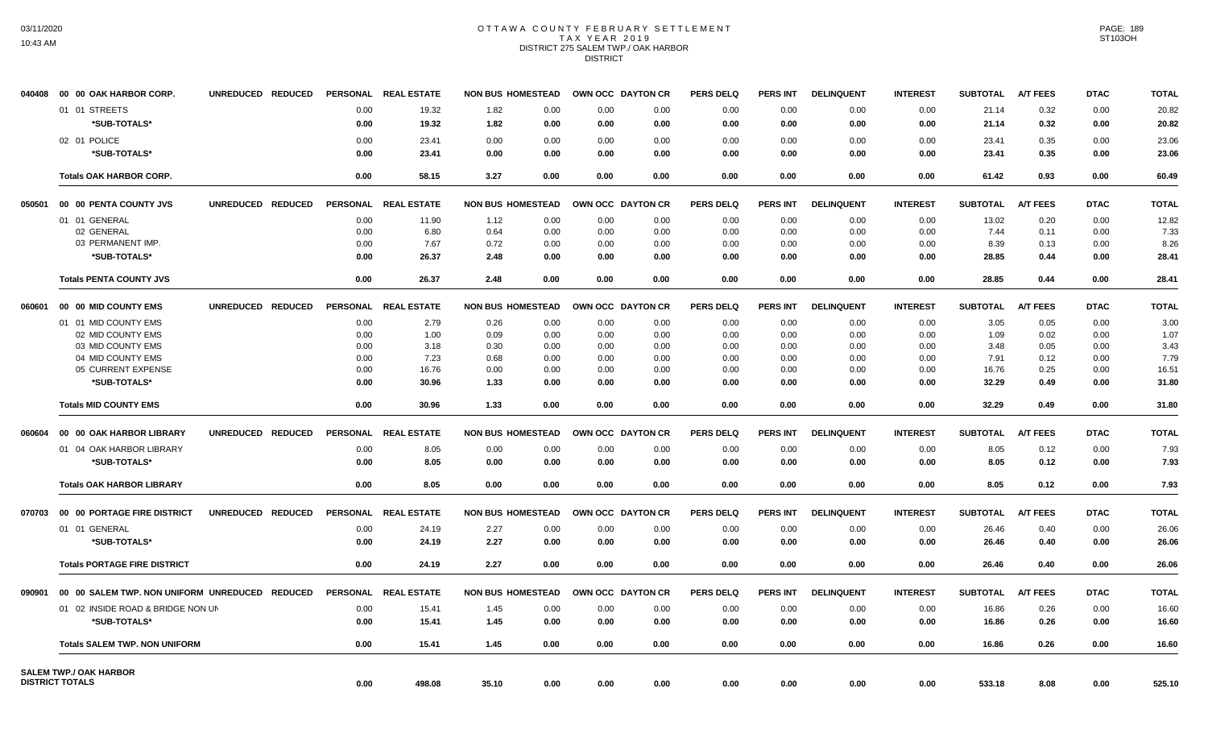# OTTAWA COUNTY FEBRUARY SETTLEMENT TAX YEAR 2019 DISTRICT 275 SALEM TWP./ OAK HARBOR DISTRICT

| 040408 | 00 00 OAK HARBOR CORP.                 | UNREDUCED REDUCED |                 | PERSONAL REAL ESTATE |       | <b>NON BUS HOMESTEAD</b> | OWN OCC DAYTON CR |      | <b>PERS DELQ</b> | <b>PERS INT</b> | <b>DELINQUENT</b> | <b>INTEREST</b> | <b>SUBTOTAL</b> | <b>A/T FEES</b> | <b>DTAC</b> | <b>TOTAL</b> |
|--------|----------------------------------------|-------------------|-----------------|----------------------|-------|--------------------------|-------------------|------|------------------|-----------------|-------------------|-----------------|-----------------|-----------------|-------------|--------------|
|        | 01 01 STREETS                          |                   | 0.00            | 19.32                | 1.82  | 0.00                     | 0.00              | 0.00 | 0.00             | 0.00            | 0.00              | 0.00            | 21.14           | 0.32            | 0.00        | 20.82        |
|        | *SUB-TOTALS*                           |                   | 0.00            | 19.32                | 1.82  | 0.00                     | 0.00              | 0.00 | 0.00             | 0.00            | 0.00              | 0.00            | 21.14           | 0.32            | 0.00        | 20.82        |
|        | 02 01 POLICE                           |                   | 0.00            | 23.41                | 0.00  | 0.00                     | 0.00              | 0.00 | 0.00             | 0.00            | 0.00              | 0.00            | 23.41           | 0.35            | 0.00        | 23.06        |
|        | *SUB-TOTALS*                           |                   | 0.00            | 23.41                | 0.00  | 0.00                     | 0.00              | 0.00 | 0.00             | 0.00            | 0.00              | 0.00            | 23.41           | 0.35            | 0.00        | 23.06        |
|        | <b>Totals OAK HARBOR CORP.</b>         |                   | 0.00            | 58.15                | 3.27  | 0.00                     | 0.00              | 0.00 | 0.00             | 0.00            | 0.00              | 0.00            | 61.42           | 0.93            | 0.00        | 60.49        |
| 050501 | 00 00 PENTA COUNTY JVS                 | UNREDUCED REDUCED |                 | PERSONAL REAL ESTATE |       | <b>NON BUS HOMESTEAD</b> | OWN OCC DAYTON CR |      | <b>PERS DELQ</b> | <b>PERS INT</b> | <b>DELINQUENT</b> | <b>INTEREST</b> | <b>SUBTOTAL</b> | <b>A/T FEES</b> | <b>DTAC</b> | <b>TOTAL</b> |
|        | 01 01 GENERAL                          |                   | 0.00            | 11.90                | 1.12  | 0.00                     | 0.00              | 0.00 | 0.00             | 0.00            | 0.00              | 0.00            | 13.02           | 0.20            | 0.00        | 12.82        |
|        | 02 GENERAL                             |                   | 0.00            | 6.80                 | 0.64  | 0.00                     | 0.00              | 0.00 | 0.00             | 0.00            | 0.00              | 0.00            | 7.44            | 0.11            | 0.00        | 7.33         |
|        | 03 PERMANENT IMP.                      |                   | 0.00            | 7.67                 | 0.72  | 0.00                     | 0.00              | 0.00 | 0.00             | 0.00            | 0.00              | 0.00            | 8.39            | 0.13            | 0.00        | 8.26         |
|        | *SUB-TOTALS*                           |                   | 0.00            | 26.37                | 2.48  | 0.00                     | 0.00              | 0.00 | 0.00             | 0.00            | 0.00              | 0.00            | 28.85           | 0.44            | 0.00        | 28.41        |
|        | <b>Totals PENTA COUNTY JVS</b>         |                   | 0.00            | 26.37                | 2.48  | 0.00                     | 0.00              | 0.00 | 0.00             | 0.00            | 0.00              | 0.00            | 28.85           | 0.44            | 0.00        | 28.41        |
| 060601 | 00 00 MID COUNTY EMS                   | UNREDUCED REDUCED |                 | PERSONAL REAL ESTATE |       | <b>NON BUS HOMESTEAD</b> | OWN OCC DAYTON CR |      | <b>PERS DELQ</b> | <b>PERS INT</b> | <b>DELINQUENT</b> | <b>INTEREST</b> | <b>SUBTOTAL</b> | <b>A/T FEES</b> | <b>DTAC</b> | <b>TOTAL</b> |
|        | 01 01 MID COUNTY EMS                   |                   | 0.00            | 2.79                 | 0.26  | 0.00                     | 0.00              | 0.00 | 0.00             | 0.00            | 0.00              | 0.00            | 3.05            | 0.05            | 0.00        | 3.00         |
|        | 02 MID COUNTY EMS                      |                   | 0.00            | 1.00                 | 0.09  | 0.00                     | 0.00              | 0.00 | 0.00             | 0.00            | 0.00              | 0.00            | 1.09            | 0.02            | 0.00        | 1.07         |
|        | 03 MID COUNTY EMS                      |                   | 0.00            | 3.18                 | 0.30  | 0.00                     | 0.00              | 0.00 | 0.00             | 0.00            | 0.00              | 0.00            | 3.48            | 0.05            | 0.00        | 3.43         |
|        | 04 MID COUNTY EMS                      |                   | 0.00            | 7.23                 | 0.68  | 0.00                     | 0.00              | 0.00 | 0.00             | 0.00            | 0.00              | 0.00            | 7.91            | 0.12            | 0.00        | 7.79         |
|        | 05 CURRENT EXPENSE                     |                   | 0.00            | 16.76                | 0.00  | 0.00                     | 0.00              | 0.00 | 0.00             | 0.00            | 0.00              | 0.00            | 16.76           | 0.25            | 0.00        | 16.51        |
|        | *SUB-TOTALS*                           |                   | 0.00            | 30.96                | 1.33  | 0.00                     | 0.00              | 0.00 | 0.00             | 0.00            | 0.00              | 0.00            | 32.29           | 0.49            | 0.00        | 31.80        |
|        | <b>Totals MID COUNTY EMS</b>           |                   | 0.00            | 30.96                | 1.33  | 0.00                     | 0.00              | 0.00 | 0.00             | 0.00            | 0.00              | 0.00            | 32.29           | 0.49            | 0.00        | 31.80        |
| 060604 | 00 00 OAK HARBOR LIBRARY               | UNREDUCED REDUCED |                 | PERSONAL REAL ESTATE |       | <b>NON BUS HOMESTEAD</b> | OWN OCC DAYTON CR |      | <b>PERS DELQ</b> | <b>PERS INT</b> | <b>DELINQUENT</b> | <b>INTEREST</b> | <b>SUBTOTAL</b> | <b>A/T FEES</b> | <b>DTAC</b> | <b>TOTAL</b> |
|        | 01 04 OAK HARBOR LIBRARY               |                   | 0.00            | 8.05                 | 0.00  | 0.00                     | 0.00              | 0.00 | 0.00             | 0.00            | 0.00              | 0.00            | 8.05            | 0.12            | 0.00        | 7.93         |
|        | *SUB-TOTALS*                           |                   | 0.00            | 8.05                 | 0.00  | 0.00                     | 0.00              | 0.00 | 0.00             | 0.00            | 0.00              | 0.00            | 8.05            | 0.12            | 0.00        | 7.93         |
|        | <b>Totals OAK HARBOR LIBRARY</b>       |                   | 0.00            | 8.05                 | 0.00  | 0.00                     | 0.00              | 0.00 | 0.00             | 0.00            | 0.00              | 0.00            | 8.05            | 0.12            | 0.00        | 7.93         |
| 070703 | 00 00 PORTAGE FIRE DISTRICT            | UNREDUCED REDUCED |                 | PERSONAL REAL ESTATE |       | <b>NON BUS HOMESTEAD</b> | OWN OCC DAYTON CR |      | <b>PERS DELQ</b> | <b>PERS INT</b> | <b>DELINQUENT</b> | <b>INTEREST</b> | <b>SUBTOTAL</b> | <b>A/T FEES</b> | <b>DTAC</b> | <b>TOTAL</b> |
|        | 01 01 GENERAL                          |                   | 0.00            | 24.19                | 2.27  | 0.00                     | 0.00              | 0.00 | 0.00             | 0.00            | 0.00              | 0.00            | 26.46           | 0.40            | 0.00        | 26.06        |
|        | *SUB-TOTALS*                           |                   | 0.00            | 24.19                | 2.27  | 0.00                     | 0.00              | 0.00 | 0.00             | 0.00            | 0.00              | 0.00            | 26.46           | 0.40            | 0.00        | 26.06        |
|        | <b>Totals PORTAGE FIRE DISTRICT</b>    |                   | 0.00            | 24.19                | 2.27  | 0.00                     | 0.00              | 0.00 | 0.00             | 0.00            | 0.00              | 0.00            | 26.46           | 0.40            | 0.00        | 26.06        |
| 090901 | 00 00 SALEM TWP, NON UNIFORM UNREDUCED | <b>REDUCED</b>    | <b>PERSONAL</b> | <b>REAL ESTATE</b>   |       | <b>NON BUS HOMESTEAD</b> | OWN OCC DAYTON CR |      | <b>PERS DELQ</b> | <b>PERS INT</b> | <b>DELINQUENT</b> | <b>INTEREST</b> | <b>SUBTOTAL</b> | <b>A/T FEES</b> | <b>DTAC</b> | <b>TOTAL</b> |
|        | 01 02 INSIDE ROAD & BRIDGE NON UN      |                   | 0.00            | 15.41                | 1.45  | 0.00                     | 0.00              | 0.00 | 0.00             | 0.00            | 0.00              | 0.00            | 16.86           | 0.26            | 0.00        | 16.60        |
|        | *SUB-TOTALS*                           |                   | 0.00            | 15.41                | 1.45  | 0.00                     | 0.00              | 0.00 | 0.00             | 0.00            | 0.00              | 0.00            | 16.86           | 0.26            | 0.00        | 16.60        |
|        | <b>Totals SALEM TWP. NON UNIFORM</b>   |                   | 0.00            | 15.41                | 1.45  | 0.00                     | 0.00              | 0.00 | 0.00             | 0.00            | 0.00              | 0.00            | 16.86           | 0.26            | 0.00        | 16.60        |
|        | <b>SALEM TWP./ OAK HARBOR</b>          |                   |                 |                      |       |                          |                   |      |                  |                 |                   |                 |                 |                 |             |              |
|        | <b>DISTRICT TOTALS</b>                 |                   | 0.00            | 498.08               | 35.10 | 0.00                     | 0.00              | 0.00 | 0.00             | 0.00            | 0.00              | 0.00            | 533.18          | 8.08            | 0.00        | 525.10       |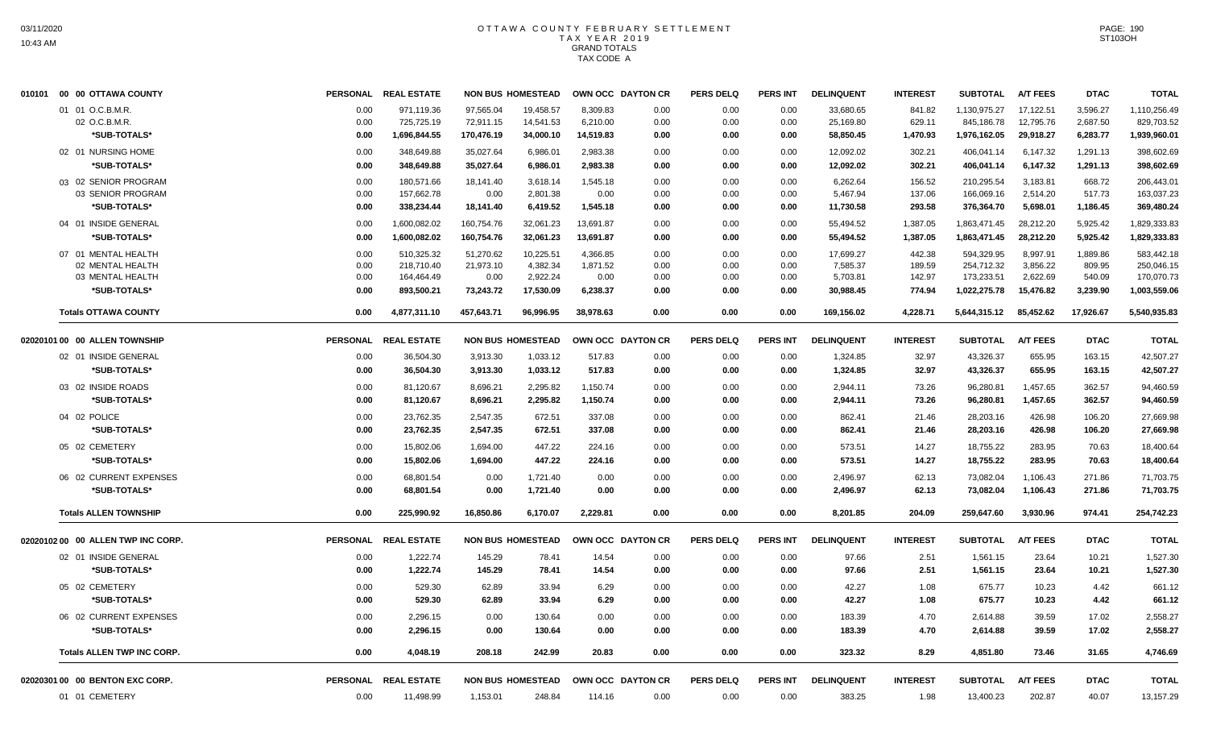| 01 01 O.C.B.M.R.<br>0.00<br>971,119.36<br>97,565.04<br>19,458.57<br>8,309.83<br>0.00<br>0.00<br>33,680.65<br>841.82<br>1,130,975.27<br>17,122.51<br>3,596.27<br>1,110,256.49<br>0.00<br>02 O.C.B.M.R.<br>725,725.19<br>0.00<br>845,186.78<br>12,795.76<br>2,687.50<br>0.00<br>72,911.15<br>14,541.53<br>6,210.00<br>0.00<br>0.00<br>25,169.80<br>629.11<br>829,703.52<br>*SUB-TOTALS*<br>1,696,844.55<br>170,476.19<br>58,850.45<br>29,918.27<br>6,283.77<br>1,939,960.01<br>0.00<br>34,000.10<br>14,519.83<br>0.00<br>0.00<br>0.00<br>1,470.93<br>1,976,162.05<br>02 01 NURSING HOME<br>348,649.88<br>35,027.64<br>2,983.38<br>406,041.14<br>6,147.32<br>1,291.13<br>398,602.69<br>0.00<br>6,986.01<br>0.00<br>0.00<br>0.00<br>12,092.02<br>302.21<br>*SUB-TOTALS*<br>6,147.32<br>0.00<br>348,649.88<br>35,027.64<br>6,986.01<br>2,983.38<br>0.00<br>12,092.02<br>302.21<br>406,041.14<br>1,291.13<br>398,602.69<br>0.00<br>0.00<br>03 02 SENIOR PROGRAM<br>180,571.66<br>668.72<br>0.00<br>18,141.40<br>3,618.14<br>1,545.18<br>0.00<br>6,262.64<br>156.52<br>210,295.54<br>3,183.81<br>206,443.01<br>0.00<br>0.00<br>03 SENIOR PROGRAM<br>0.00<br>157,662.78<br>0.00<br>2,801.38<br>0.00<br>0.00<br>5,467.94<br>137.06<br>166,069.16<br>2,514.20<br>517.73<br>163,037.23<br>0.00<br>0.00<br>*SUB-TOTALS*<br>0.00<br>338,234.44<br>18,141.40<br>6,419.52<br>1,545.18<br>0.00<br>11,730.58<br>293.58<br>376,364.70<br>5,698.01<br>1,186.45<br>369,480.24<br>0.00<br>0.00<br>1,600,082.02<br>160,754.76<br>13,691.87<br>55,494.52<br>1,863,471.45<br>28,212.20<br>5,925.42<br>04 01 INSIDE GENERAL<br>0.00<br>32,061.23<br>0.00<br>0.00<br>0.00<br>1,387.05<br>1,829,333.83<br>5,925.42<br>*SUB-TOTALS*<br>1,600,082.02<br>160,754.76<br>32,061.23<br>13,691.87<br>0.00<br>0.00<br>55,494.52<br>1,387.05<br>1,863,471.45<br>28,212.20<br>1,829,333.83<br>0.00<br>0.00<br>10,225.51<br>8,997.91<br>1,889.86<br>583,442.18<br>07 01 MENTAL HEALTH<br>0.00<br>510,325.32<br>51,270.62<br>4,366.85<br>0.00<br>0.00<br>0.00<br>17,699.27<br>442.38<br>594,329.95<br>218,710.40<br>21,973.10<br>4,382.34<br>1,871.52<br>254,712.32<br>3,856.22<br>809.95<br>02 MENTAL HEALTH<br>0.00<br>0.00<br>0.00<br>0.00<br>7,585.37<br>189.59<br>250,046.15<br>2,922.24<br>173,233.51<br>2,622.69<br>540.09<br>03 MENTAL HEALTH<br>0.00<br>164,464.49<br>0.00<br>0.00<br>0.00<br>0.00<br>0.00<br>5,703.81<br>142.97<br>170,070.73<br>*SUB-TOTALS*<br>0.00<br>893,500.21<br>73,243.72<br>17,530.09<br>6,238.37<br>0.00<br>30,988.45<br>774.94<br>1,022,275.78<br>15,476.82<br>3,239.90<br>1,003,559.06<br>0.00<br>0.00<br>85,452.62<br>4,877,311.10<br>457.643.71<br>96.996.95<br>38,978.63<br>0.00<br>0.00<br>169,156.02<br>4,228.71<br>5,644,315.12<br>17,926.67<br>5,540,935.83<br><b>Totals OTTAWA COUNTY</b><br>0.00<br>0.00<br><b>A/T FEES</b><br>02020101 00 00 ALLEN TOWNSHIP<br><b>PERSONAL</b><br><b>REAL ESTATE</b><br><b>NON BUS HOMESTEAD</b><br>OWN OCC DAYTON CR<br><b>PERS DELQ</b><br><b>PERS INT</b><br><b>DELINQUENT</b><br><b>INTEREST</b><br><b>SUBTOTAL</b><br><b>DTAC</b><br><b>TOTAL</b><br>36,504.30<br>42,507.27<br>02 01 INSIDE GENERAL<br>0.00<br>3,913.30<br>1,033.12<br>517.83<br>0.00<br>0.00<br>0.00<br>1,324.85<br>32.97<br>43,326.37<br>655.95<br>163.15<br>*SUB-TOTALS*<br>0.00<br>36,504.30<br>3,913.30<br>1,033.12<br>517.83<br>0.00<br>0.00<br>0.00<br>1,324.85<br>32.97<br>43,326.37<br>655.95<br>163.15<br>42,507.27<br>362.57<br>03 02 INSIDE ROADS<br>0.00<br>81,120.67<br>8,696.21<br>2,295.82<br>1,150.74<br>0.00<br>2,944.11<br>73.26<br>96,280.81<br>1,457.65<br>94,460.59<br>0.00<br>0.00<br>*SUB-TOTALS*<br>73.26<br>1,457.65<br>362.57<br>0.00<br>81,120.67<br>8,696.21<br>2,295.82<br>1.150.74<br>0.00<br>2,944.11<br>96,280.81<br>94,460.59<br>0.00<br>0.00<br>04 02 POLICE<br>0.00<br>23,762.35<br>2,547.35<br>672.51<br>337.08<br>0.00<br>0.00<br>862.41<br>21.46<br>28,203.16<br>426.98<br>106.20<br>27,669.98<br>0.00<br>23,762.35<br>2,547.35<br>672.51<br>337.08<br>28,203.16<br>426.98<br>27,669.98<br>*SUB-TOTALS*<br>0.00<br>0.00<br>0.00<br>0.00<br>862.41<br>21.46<br>106.20<br>05 02 CEMETERY<br>0.00<br>15,802.06<br>1,694.00<br>447.22<br>224.16<br>0.00<br>0.00<br>573.51<br>14.27<br>18,755.22<br>283.95<br>70.63<br>18,400.64<br>0.00<br>15,802.06<br>447.22<br>14.27<br>18,755.22<br>283.95<br>70.63<br>*SUB-TOTALS*<br>0.00<br>1,694.00<br>224.16<br>0.00<br>573.51<br>18,400.64<br>0.00<br>0.00<br>0.00<br>68,801.54<br>62.13<br>73,082.04<br>1,106.43<br>271.86<br>06 02 CURRENT EXPENSES<br>0.00<br>1,721.40<br>0.00<br>0.00<br>0.00<br>0.00<br>2,496.97<br>71,703.75<br>*SUB-TOTALS*<br>0.00<br>68,801.54<br>0.00<br>1,721.40<br>0.00<br>0.00<br>0.00<br>0.00<br>2,496.97<br>62.13<br>73,082.04<br>1,106.43<br>271.86<br>71,703.75<br>0.00<br>225.990.92<br>16.850.86<br>6.170.07<br>2.229.81<br>0.00<br>0.00<br>0.00<br>8.201.85<br>259,647.60<br>3.930.96<br>974.41<br>254,742.23<br><b>Totals ALLEN TOWNSHIP</b><br>204.09<br><b>A/T FEES</b><br>02020102 00 00 ALLEN TWP INC CORP.<br><b>PERSONAL</b><br><b>REAL ESTATE</b><br><b>NON BUS HOMESTEAD</b><br>OWN OCC DAYTON CR<br><b>PERS DELQ</b><br><b>PERS INT</b><br><b>DELINQUENT</b><br><b>INTEREST</b><br><b>SUBTOTAL</b><br><b>DTAC</b><br><b>TOTAL</b><br>02 01 INSIDE GENERAL<br>1,222.74<br>145.29<br>2.51<br>1,561.15<br>10.21<br>1,527.30<br>0.00<br>78.41<br>14.54<br>0.00<br>0.00<br>0.00<br>97.66<br>23.64<br>*SUB-TOTALS*<br>0.00<br>1,222.74<br>145.29<br>78.41<br>14.54<br>0.00<br>0.00<br>0.00<br>97.66<br>2.51<br>1,561.15<br>23.64<br>10.21<br>1,527.30<br>05 02 CEMETERY<br>0.00<br>529.30<br>62.89<br>33.94<br>6.29<br>0.00<br>0.00<br>42.27<br>1.08<br>675.77<br>10.23<br>4.42<br>661.12<br>0.00<br>*SUB-TOTALS*<br>0.00<br>529.30<br>62.89<br>33.94<br>0.00<br>42.27<br>1.08<br>675.77<br>10.23<br>4.42<br>661.12<br>6.29<br>0.00<br>0.00<br>06 02 CURRENT EXPENSES<br>0.00<br>2,296.15<br>0.00<br>130.64<br>0.00<br>0.00<br>183.39<br>4.70<br>2,614.88<br>39.59<br>17.02<br>2,558.27<br>0.00<br>0.00<br>*SUB-TOTALS*<br>2,296.15<br>0.00<br>130.64<br>4.70<br>17.02<br>2.558.27<br>0.00<br>0.00<br>0.00<br>0.00<br>0.00<br>183.39<br>2.614.88<br>39.59<br><b>Totals ALLEN TWP INC CORP.</b><br>0.00<br>4,048.19<br>208.18<br>242.99<br>20.83<br>0.00<br>0.00<br>0.00<br>323.32<br>8.29<br>4,851.80<br>73.46<br>31.65<br>4,746.69<br><b>PERSONAL</b><br><b>REAL ESTATE</b><br><b>NON BUS HOMESTEAD</b><br>OWN OCC DAYTON CR<br><b>PERS DELQ</b><br><b>PERS INT</b><br><b>DELINQUENT</b><br><b>INTEREST</b><br><b>SUBTOTAL</b><br><b>A/T FEES</b><br><b>DTAC</b><br>02020301 00 00 BENTON EXC CORP.<br><b>TOTAL</b><br>01 01 CEMETERY<br>0.00<br>11,498.99<br>1,153.01<br>248.84<br>0.00<br>0.00<br>383.25<br>1.98<br>13,400.23<br>202.87<br>40.07<br>13,157.29<br>114.16<br>0.00 | 010101 00 00 OTTAWA COUNTY | <b>PERSONAL</b> | <b>REAL ESTATE</b> | <b>NON BUS HOMESTEAD</b> | OWN OCC DAYTON CR | <b>PERS DELQ</b> | <b>PERS INT</b> | <b>DELINQUENT</b> | <b>INTEREST</b> | <b>SUBTOTAL</b> | <b>A/T FEES</b> | <b>DTAC</b> | <b>TOTAL</b> |
|----------------------------------------------------------------------------------------------------------------------------------------------------------------------------------------------------------------------------------------------------------------------------------------------------------------------------------------------------------------------------------------------------------------------------------------------------------------------------------------------------------------------------------------------------------------------------------------------------------------------------------------------------------------------------------------------------------------------------------------------------------------------------------------------------------------------------------------------------------------------------------------------------------------------------------------------------------------------------------------------------------------------------------------------------------------------------------------------------------------------------------------------------------------------------------------------------------------------------------------------------------------------------------------------------------------------------------------------------------------------------------------------------------------------------------------------------------------------------------------------------------------------------------------------------------------------------------------------------------------------------------------------------------------------------------------------------------------------------------------------------------------------------------------------------------------------------------------------------------------------------------------------------------------------------------------------------------------------------------------------------------------------------------------------------------------------------------------------------------------------------------------------------------------------------------------------------------------------------------------------------------------------------------------------------------------------------------------------------------------------------------------------------------------------------------------------------------------------------------------------------------------------------------------------------------------------------------------------------------------------------------------------------------------------------------------------------------------------------------------------------------------------------------------------------------------------------------------------------------------------------------------------------------------------------------------------------------------------------------------------------------------------------------------------------------------------------------------------------------------------------------------------------------------------------------------------------------------------------------------------------------------------------------------------------------------------------------------------------------------------------------------------------------------------------------------------------------------------------------------------------------------------------------------------------------------------------------------------------------------------------------------------------------------------------------------------------------------------------------------------------------------------------------------------------------------------------------------------------------------------------------------------------------------------------------------------------------------------------------------------------------------------------------------------------------------------------------------------------------------------------------------------------------------------------------------------------------------------------------------------------------------------------------------------------------------------------------------------------------------------------------------------------------------------------------------------------------------------------------------------------------------------------------------------------------------------------------------------------------------------------------------------------------------------------------------------------------------------------------------------------------------------------------------------------------------------------------------------------------------------------------------------------------------------------------------------------------------------------------------------------------------------------------------------------------------------------------------------------------------------------------------------------------------------------------------------------------------------------------------------------------------------------------------------------------------------------------------------------------------------------------------------------------------------------------------------------------------------------------------------------------------------------------------------------------------------------------------------------------------------------------------------------------------------------------------------------------------------------------------------------------------------------------------------------------------------------------------------------------------------------------------------------------------------------------------------------------------------------------------------------------------------------------------------------------------------------------------------------------------------------------------------------------------------------------------------------------------------------------------------------------------------------------------------------------------------------------------------------------------------------------------------------------------------------------------------------------------------------------------------------------------------------------------------------------------------------------------------------------------------------------------------------------------------------------------------------------------------------------------------------------------------------------------------------------------------|----------------------------|-----------------|--------------------|--------------------------|-------------------|------------------|-----------------|-------------------|-----------------|-----------------|-----------------|-------------|--------------|
|                                                                                                                                                                                                                                                                                                                                                                                                                                                                                                                                                                                                                                                                                                                                                                                                                                                                                                                                                                                                                                                                                                                                                                                                                                                                                                                                                                                                                                                                                                                                                                                                                                                                                                                                                                                                                                                                                                                                                                                                                                                                                                                                                                                                                                                                                                                                                                                                                                                                                                                                                                                                                                                                                                                                                                                                                                                                                                                                                                                                                                                                                                                                                                                                                                                                                                                                                                                                                                                                                                                                                                                                                                                                                                                                                                                                                                                                                                                                                                                                                                                                                                                                                                                                                                                                                                                                                                                                                                                                                                                                                                                                                                                                                                                                                                                                                                                                                                                                                                                                                                                                                                                                                                                                                                                                                                                                                                                                                                                                                                                                                                                                                                                                                                                                                                                                                                                                                                                                                                                                                                                                                                                                                                                                                                                                                                                                                                                                                                                                                                                                                                                                                                                                                                                                                                                                                      |                            |                 |                    |                          |                   |                  |                 |                   |                 |                 |                 |             |              |
|                                                                                                                                                                                                                                                                                                                                                                                                                                                                                                                                                                                                                                                                                                                                                                                                                                                                                                                                                                                                                                                                                                                                                                                                                                                                                                                                                                                                                                                                                                                                                                                                                                                                                                                                                                                                                                                                                                                                                                                                                                                                                                                                                                                                                                                                                                                                                                                                                                                                                                                                                                                                                                                                                                                                                                                                                                                                                                                                                                                                                                                                                                                                                                                                                                                                                                                                                                                                                                                                                                                                                                                                                                                                                                                                                                                                                                                                                                                                                                                                                                                                                                                                                                                                                                                                                                                                                                                                                                                                                                                                                                                                                                                                                                                                                                                                                                                                                                                                                                                                                                                                                                                                                                                                                                                                                                                                                                                                                                                                                                                                                                                                                                                                                                                                                                                                                                                                                                                                                                                                                                                                                                                                                                                                                                                                                                                                                                                                                                                                                                                                                                                                                                                                                                                                                                                                                      |                            |                 |                    |                          |                   |                  |                 |                   |                 |                 |                 |             |              |
|                                                                                                                                                                                                                                                                                                                                                                                                                                                                                                                                                                                                                                                                                                                                                                                                                                                                                                                                                                                                                                                                                                                                                                                                                                                                                                                                                                                                                                                                                                                                                                                                                                                                                                                                                                                                                                                                                                                                                                                                                                                                                                                                                                                                                                                                                                                                                                                                                                                                                                                                                                                                                                                                                                                                                                                                                                                                                                                                                                                                                                                                                                                                                                                                                                                                                                                                                                                                                                                                                                                                                                                                                                                                                                                                                                                                                                                                                                                                                                                                                                                                                                                                                                                                                                                                                                                                                                                                                                                                                                                                                                                                                                                                                                                                                                                                                                                                                                                                                                                                                                                                                                                                                                                                                                                                                                                                                                                                                                                                                                                                                                                                                                                                                                                                                                                                                                                                                                                                                                                                                                                                                                                                                                                                                                                                                                                                                                                                                                                                                                                                                                                                                                                                                                                                                                                                                      |                            |                 |                    |                          |                   |                  |                 |                   |                 |                 |                 |             |              |
|                                                                                                                                                                                                                                                                                                                                                                                                                                                                                                                                                                                                                                                                                                                                                                                                                                                                                                                                                                                                                                                                                                                                                                                                                                                                                                                                                                                                                                                                                                                                                                                                                                                                                                                                                                                                                                                                                                                                                                                                                                                                                                                                                                                                                                                                                                                                                                                                                                                                                                                                                                                                                                                                                                                                                                                                                                                                                                                                                                                                                                                                                                                                                                                                                                                                                                                                                                                                                                                                                                                                                                                                                                                                                                                                                                                                                                                                                                                                                                                                                                                                                                                                                                                                                                                                                                                                                                                                                                                                                                                                                                                                                                                                                                                                                                                                                                                                                                                                                                                                                                                                                                                                                                                                                                                                                                                                                                                                                                                                                                                                                                                                                                                                                                                                                                                                                                                                                                                                                                                                                                                                                                                                                                                                                                                                                                                                                                                                                                                                                                                                                                                                                                                                                                                                                                                                                      |                            |                 |                    |                          |                   |                  |                 |                   |                 |                 |                 |             |              |
|                                                                                                                                                                                                                                                                                                                                                                                                                                                                                                                                                                                                                                                                                                                                                                                                                                                                                                                                                                                                                                                                                                                                                                                                                                                                                                                                                                                                                                                                                                                                                                                                                                                                                                                                                                                                                                                                                                                                                                                                                                                                                                                                                                                                                                                                                                                                                                                                                                                                                                                                                                                                                                                                                                                                                                                                                                                                                                                                                                                                                                                                                                                                                                                                                                                                                                                                                                                                                                                                                                                                                                                                                                                                                                                                                                                                                                                                                                                                                                                                                                                                                                                                                                                                                                                                                                                                                                                                                                                                                                                                                                                                                                                                                                                                                                                                                                                                                                                                                                                                                                                                                                                                                                                                                                                                                                                                                                                                                                                                                                                                                                                                                                                                                                                                                                                                                                                                                                                                                                                                                                                                                                                                                                                                                                                                                                                                                                                                                                                                                                                                                                                                                                                                                                                                                                                                                      |                            |                 |                    |                          |                   |                  |                 |                   |                 |                 |                 |             |              |
|                                                                                                                                                                                                                                                                                                                                                                                                                                                                                                                                                                                                                                                                                                                                                                                                                                                                                                                                                                                                                                                                                                                                                                                                                                                                                                                                                                                                                                                                                                                                                                                                                                                                                                                                                                                                                                                                                                                                                                                                                                                                                                                                                                                                                                                                                                                                                                                                                                                                                                                                                                                                                                                                                                                                                                                                                                                                                                                                                                                                                                                                                                                                                                                                                                                                                                                                                                                                                                                                                                                                                                                                                                                                                                                                                                                                                                                                                                                                                                                                                                                                                                                                                                                                                                                                                                                                                                                                                                                                                                                                                                                                                                                                                                                                                                                                                                                                                                                                                                                                                                                                                                                                                                                                                                                                                                                                                                                                                                                                                                                                                                                                                                                                                                                                                                                                                                                                                                                                                                                                                                                                                                                                                                                                                                                                                                                                                                                                                                                                                                                                                                                                                                                                                                                                                                                                                      |                            |                 |                    |                          |                   |                  |                 |                   |                 |                 |                 |             |              |
|                                                                                                                                                                                                                                                                                                                                                                                                                                                                                                                                                                                                                                                                                                                                                                                                                                                                                                                                                                                                                                                                                                                                                                                                                                                                                                                                                                                                                                                                                                                                                                                                                                                                                                                                                                                                                                                                                                                                                                                                                                                                                                                                                                                                                                                                                                                                                                                                                                                                                                                                                                                                                                                                                                                                                                                                                                                                                                                                                                                                                                                                                                                                                                                                                                                                                                                                                                                                                                                                                                                                                                                                                                                                                                                                                                                                                                                                                                                                                                                                                                                                                                                                                                                                                                                                                                                                                                                                                                                                                                                                                                                                                                                                                                                                                                                                                                                                                                                                                                                                                                                                                                                                                                                                                                                                                                                                                                                                                                                                                                                                                                                                                                                                                                                                                                                                                                                                                                                                                                                                                                                                                                                                                                                                                                                                                                                                                                                                                                                                                                                                                                                                                                                                                                                                                                                                                      |                            |                 |                    |                          |                   |                  |                 |                   |                 |                 |                 |             |              |
|                                                                                                                                                                                                                                                                                                                                                                                                                                                                                                                                                                                                                                                                                                                                                                                                                                                                                                                                                                                                                                                                                                                                                                                                                                                                                                                                                                                                                                                                                                                                                                                                                                                                                                                                                                                                                                                                                                                                                                                                                                                                                                                                                                                                                                                                                                                                                                                                                                                                                                                                                                                                                                                                                                                                                                                                                                                                                                                                                                                                                                                                                                                                                                                                                                                                                                                                                                                                                                                                                                                                                                                                                                                                                                                                                                                                                                                                                                                                                                                                                                                                                                                                                                                                                                                                                                                                                                                                                                                                                                                                                                                                                                                                                                                                                                                                                                                                                                                                                                                                                                                                                                                                                                                                                                                                                                                                                                                                                                                                                                                                                                                                                                                                                                                                                                                                                                                                                                                                                                                                                                                                                                                                                                                                                                                                                                                                                                                                                                                                                                                                                                                                                                                                                                                                                                                                                      |                            |                 |                    |                          |                   |                  |                 |                   |                 |                 |                 |             |              |
|                                                                                                                                                                                                                                                                                                                                                                                                                                                                                                                                                                                                                                                                                                                                                                                                                                                                                                                                                                                                                                                                                                                                                                                                                                                                                                                                                                                                                                                                                                                                                                                                                                                                                                                                                                                                                                                                                                                                                                                                                                                                                                                                                                                                                                                                                                                                                                                                                                                                                                                                                                                                                                                                                                                                                                                                                                                                                                                                                                                                                                                                                                                                                                                                                                                                                                                                                                                                                                                                                                                                                                                                                                                                                                                                                                                                                                                                                                                                                                                                                                                                                                                                                                                                                                                                                                                                                                                                                                                                                                                                                                                                                                                                                                                                                                                                                                                                                                                                                                                                                                                                                                                                                                                                                                                                                                                                                                                                                                                                                                                                                                                                                                                                                                                                                                                                                                                                                                                                                                                                                                                                                                                                                                                                                                                                                                                                                                                                                                                                                                                                                                                                                                                                                                                                                                                                                      |                            |                 |                    |                          |                   |                  |                 |                   |                 |                 |                 |             |              |
|                                                                                                                                                                                                                                                                                                                                                                                                                                                                                                                                                                                                                                                                                                                                                                                                                                                                                                                                                                                                                                                                                                                                                                                                                                                                                                                                                                                                                                                                                                                                                                                                                                                                                                                                                                                                                                                                                                                                                                                                                                                                                                                                                                                                                                                                                                                                                                                                                                                                                                                                                                                                                                                                                                                                                                                                                                                                                                                                                                                                                                                                                                                                                                                                                                                                                                                                                                                                                                                                                                                                                                                                                                                                                                                                                                                                                                                                                                                                                                                                                                                                                                                                                                                                                                                                                                                                                                                                                                                                                                                                                                                                                                                                                                                                                                                                                                                                                                                                                                                                                                                                                                                                                                                                                                                                                                                                                                                                                                                                                                                                                                                                                                                                                                                                                                                                                                                                                                                                                                                                                                                                                                                                                                                                                                                                                                                                                                                                                                                                                                                                                                                                                                                                                                                                                                                                                      |                            |                 |                    |                          |                   |                  |                 |                   |                 |                 |                 |             |              |
|                                                                                                                                                                                                                                                                                                                                                                                                                                                                                                                                                                                                                                                                                                                                                                                                                                                                                                                                                                                                                                                                                                                                                                                                                                                                                                                                                                                                                                                                                                                                                                                                                                                                                                                                                                                                                                                                                                                                                                                                                                                                                                                                                                                                                                                                                                                                                                                                                                                                                                                                                                                                                                                                                                                                                                                                                                                                                                                                                                                                                                                                                                                                                                                                                                                                                                                                                                                                                                                                                                                                                                                                                                                                                                                                                                                                                                                                                                                                                                                                                                                                                                                                                                                                                                                                                                                                                                                                                                                                                                                                                                                                                                                                                                                                                                                                                                                                                                                                                                                                                                                                                                                                                                                                                                                                                                                                                                                                                                                                                                                                                                                                                                                                                                                                                                                                                                                                                                                                                                                                                                                                                                                                                                                                                                                                                                                                                                                                                                                                                                                                                                                                                                                                                                                                                                                                                      |                            |                 |                    |                          |                   |                  |                 |                   |                 |                 |                 |             |              |
|                                                                                                                                                                                                                                                                                                                                                                                                                                                                                                                                                                                                                                                                                                                                                                                                                                                                                                                                                                                                                                                                                                                                                                                                                                                                                                                                                                                                                                                                                                                                                                                                                                                                                                                                                                                                                                                                                                                                                                                                                                                                                                                                                                                                                                                                                                                                                                                                                                                                                                                                                                                                                                                                                                                                                                                                                                                                                                                                                                                                                                                                                                                                                                                                                                                                                                                                                                                                                                                                                                                                                                                                                                                                                                                                                                                                                                                                                                                                                                                                                                                                                                                                                                                                                                                                                                                                                                                                                                                                                                                                                                                                                                                                                                                                                                                                                                                                                                                                                                                                                                                                                                                                                                                                                                                                                                                                                                                                                                                                                                                                                                                                                                                                                                                                                                                                                                                                                                                                                                                                                                                                                                                                                                                                                                                                                                                                                                                                                                                                                                                                                                                                                                                                                                                                                                                                                      |                            |                 |                    |                          |                   |                  |                 |                   |                 |                 |                 |             |              |
|                                                                                                                                                                                                                                                                                                                                                                                                                                                                                                                                                                                                                                                                                                                                                                                                                                                                                                                                                                                                                                                                                                                                                                                                                                                                                                                                                                                                                                                                                                                                                                                                                                                                                                                                                                                                                                                                                                                                                                                                                                                                                                                                                                                                                                                                                                                                                                                                                                                                                                                                                                                                                                                                                                                                                                                                                                                                                                                                                                                                                                                                                                                                                                                                                                                                                                                                                                                                                                                                                                                                                                                                                                                                                                                                                                                                                                                                                                                                                                                                                                                                                                                                                                                                                                                                                                                                                                                                                                                                                                                                                                                                                                                                                                                                                                                                                                                                                                                                                                                                                                                                                                                                                                                                                                                                                                                                                                                                                                                                                                                                                                                                                                                                                                                                                                                                                                                                                                                                                                                                                                                                                                                                                                                                                                                                                                                                                                                                                                                                                                                                                                                                                                                                                                                                                                                                                      |                            |                 |                    |                          |                   |                  |                 |                   |                 |                 |                 |             |              |
|                                                                                                                                                                                                                                                                                                                                                                                                                                                                                                                                                                                                                                                                                                                                                                                                                                                                                                                                                                                                                                                                                                                                                                                                                                                                                                                                                                                                                                                                                                                                                                                                                                                                                                                                                                                                                                                                                                                                                                                                                                                                                                                                                                                                                                                                                                                                                                                                                                                                                                                                                                                                                                                                                                                                                                                                                                                                                                                                                                                                                                                                                                                                                                                                                                                                                                                                                                                                                                                                                                                                                                                                                                                                                                                                                                                                                                                                                                                                                                                                                                                                                                                                                                                                                                                                                                                                                                                                                                                                                                                                                                                                                                                                                                                                                                                                                                                                                                                                                                                                                                                                                                                                                                                                                                                                                                                                                                                                                                                                                                                                                                                                                                                                                                                                                                                                                                                                                                                                                                                                                                                                                                                                                                                                                                                                                                                                                                                                                                                                                                                                                                                                                                                                                                                                                                                                                      |                            |                 |                    |                          |                   |                  |                 |                   |                 |                 |                 |             |              |
|                                                                                                                                                                                                                                                                                                                                                                                                                                                                                                                                                                                                                                                                                                                                                                                                                                                                                                                                                                                                                                                                                                                                                                                                                                                                                                                                                                                                                                                                                                                                                                                                                                                                                                                                                                                                                                                                                                                                                                                                                                                                                                                                                                                                                                                                                                                                                                                                                                                                                                                                                                                                                                                                                                                                                                                                                                                                                                                                                                                                                                                                                                                                                                                                                                                                                                                                                                                                                                                                                                                                                                                                                                                                                                                                                                                                                                                                                                                                                                                                                                                                                                                                                                                                                                                                                                                                                                                                                                                                                                                                                                                                                                                                                                                                                                                                                                                                                                                                                                                                                                                                                                                                                                                                                                                                                                                                                                                                                                                                                                                                                                                                                                                                                                                                                                                                                                                                                                                                                                                                                                                                                                                                                                                                                                                                                                                                                                                                                                                                                                                                                                                                                                                                                                                                                                                                                      |                            |                 |                    |                          |                   |                  |                 |                   |                 |                 |                 |             |              |
|                                                                                                                                                                                                                                                                                                                                                                                                                                                                                                                                                                                                                                                                                                                                                                                                                                                                                                                                                                                                                                                                                                                                                                                                                                                                                                                                                                                                                                                                                                                                                                                                                                                                                                                                                                                                                                                                                                                                                                                                                                                                                                                                                                                                                                                                                                                                                                                                                                                                                                                                                                                                                                                                                                                                                                                                                                                                                                                                                                                                                                                                                                                                                                                                                                                                                                                                                                                                                                                                                                                                                                                                                                                                                                                                                                                                                                                                                                                                                                                                                                                                                                                                                                                                                                                                                                                                                                                                                                                                                                                                                                                                                                                                                                                                                                                                                                                                                                                                                                                                                                                                                                                                                                                                                                                                                                                                                                                                                                                                                                                                                                                                                                                                                                                                                                                                                                                                                                                                                                                                                                                                                                                                                                                                                                                                                                                                                                                                                                                                                                                                                                                                                                                                                                                                                                                                                      |                            |                 |                    |                          |                   |                  |                 |                   |                 |                 |                 |             |              |
|                                                                                                                                                                                                                                                                                                                                                                                                                                                                                                                                                                                                                                                                                                                                                                                                                                                                                                                                                                                                                                                                                                                                                                                                                                                                                                                                                                                                                                                                                                                                                                                                                                                                                                                                                                                                                                                                                                                                                                                                                                                                                                                                                                                                                                                                                                                                                                                                                                                                                                                                                                                                                                                                                                                                                                                                                                                                                                                                                                                                                                                                                                                                                                                                                                                                                                                                                                                                                                                                                                                                                                                                                                                                                                                                                                                                                                                                                                                                                                                                                                                                                                                                                                                                                                                                                                                                                                                                                                                                                                                                                                                                                                                                                                                                                                                                                                                                                                                                                                                                                                                                                                                                                                                                                                                                                                                                                                                                                                                                                                                                                                                                                                                                                                                                                                                                                                                                                                                                                                                                                                                                                                                                                                                                                                                                                                                                                                                                                                                                                                                                                                                                                                                                                                                                                                                                                      |                            |                 |                    |                          |                   |                  |                 |                   |                 |                 |                 |             |              |
|                                                                                                                                                                                                                                                                                                                                                                                                                                                                                                                                                                                                                                                                                                                                                                                                                                                                                                                                                                                                                                                                                                                                                                                                                                                                                                                                                                                                                                                                                                                                                                                                                                                                                                                                                                                                                                                                                                                                                                                                                                                                                                                                                                                                                                                                                                                                                                                                                                                                                                                                                                                                                                                                                                                                                                                                                                                                                                                                                                                                                                                                                                                                                                                                                                                                                                                                                                                                                                                                                                                                                                                                                                                                                                                                                                                                                                                                                                                                                                                                                                                                                                                                                                                                                                                                                                                                                                                                                                                                                                                                                                                                                                                                                                                                                                                                                                                                                                                                                                                                                                                                                                                                                                                                                                                                                                                                                                                                                                                                                                                                                                                                                                                                                                                                                                                                                                                                                                                                                                                                                                                                                                                                                                                                                                                                                                                                                                                                                                                                                                                                                                                                                                                                                                                                                                                                                      |                            |                 |                    |                          |                   |                  |                 |                   |                 |                 |                 |             |              |
|                                                                                                                                                                                                                                                                                                                                                                                                                                                                                                                                                                                                                                                                                                                                                                                                                                                                                                                                                                                                                                                                                                                                                                                                                                                                                                                                                                                                                                                                                                                                                                                                                                                                                                                                                                                                                                                                                                                                                                                                                                                                                                                                                                                                                                                                                                                                                                                                                                                                                                                                                                                                                                                                                                                                                                                                                                                                                                                                                                                                                                                                                                                                                                                                                                                                                                                                                                                                                                                                                                                                                                                                                                                                                                                                                                                                                                                                                                                                                                                                                                                                                                                                                                                                                                                                                                                                                                                                                                                                                                                                                                                                                                                                                                                                                                                                                                                                                                                                                                                                                                                                                                                                                                                                                                                                                                                                                                                                                                                                                                                                                                                                                                                                                                                                                                                                                                                                                                                                                                                                                                                                                                                                                                                                                                                                                                                                                                                                                                                                                                                                                                                                                                                                                                                                                                                                                      |                            |                 |                    |                          |                   |                  |                 |                   |                 |                 |                 |             |              |
|                                                                                                                                                                                                                                                                                                                                                                                                                                                                                                                                                                                                                                                                                                                                                                                                                                                                                                                                                                                                                                                                                                                                                                                                                                                                                                                                                                                                                                                                                                                                                                                                                                                                                                                                                                                                                                                                                                                                                                                                                                                                                                                                                                                                                                                                                                                                                                                                                                                                                                                                                                                                                                                                                                                                                                                                                                                                                                                                                                                                                                                                                                                                                                                                                                                                                                                                                                                                                                                                                                                                                                                                                                                                                                                                                                                                                                                                                                                                                                                                                                                                                                                                                                                                                                                                                                                                                                                                                                                                                                                                                                                                                                                                                                                                                                                                                                                                                                                                                                                                                                                                                                                                                                                                                                                                                                                                                                                                                                                                                                                                                                                                                                                                                                                                                                                                                                                                                                                                                                                                                                                                                                                                                                                                                                                                                                                                                                                                                                                                                                                                                                                                                                                                                                                                                                                                                      |                            |                 |                    |                          |                   |                  |                 |                   |                 |                 |                 |             |              |
|                                                                                                                                                                                                                                                                                                                                                                                                                                                                                                                                                                                                                                                                                                                                                                                                                                                                                                                                                                                                                                                                                                                                                                                                                                                                                                                                                                                                                                                                                                                                                                                                                                                                                                                                                                                                                                                                                                                                                                                                                                                                                                                                                                                                                                                                                                                                                                                                                                                                                                                                                                                                                                                                                                                                                                                                                                                                                                                                                                                                                                                                                                                                                                                                                                                                                                                                                                                                                                                                                                                                                                                                                                                                                                                                                                                                                                                                                                                                                                                                                                                                                                                                                                                                                                                                                                                                                                                                                                                                                                                                                                                                                                                                                                                                                                                                                                                                                                                                                                                                                                                                                                                                                                                                                                                                                                                                                                                                                                                                                                                                                                                                                                                                                                                                                                                                                                                                                                                                                                                                                                                                                                                                                                                                                                                                                                                                                                                                                                                                                                                                                                                                                                                                                                                                                                                                                      |                            |                 |                    |                          |                   |                  |                 |                   |                 |                 |                 |             |              |
|                                                                                                                                                                                                                                                                                                                                                                                                                                                                                                                                                                                                                                                                                                                                                                                                                                                                                                                                                                                                                                                                                                                                                                                                                                                                                                                                                                                                                                                                                                                                                                                                                                                                                                                                                                                                                                                                                                                                                                                                                                                                                                                                                                                                                                                                                                                                                                                                                                                                                                                                                                                                                                                                                                                                                                                                                                                                                                                                                                                                                                                                                                                                                                                                                                                                                                                                                                                                                                                                                                                                                                                                                                                                                                                                                                                                                                                                                                                                                                                                                                                                                                                                                                                                                                                                                                                                                                                                                                                                                                                                                                                                                                                                                                                                                                                                                                                                                                                                                                                                                                                                                                                                                                                                                                                                                                                                                                                                                                                                                                                                                                                                                                                                                                                                                                                                                                                                                                                                                                                                                                                                                                                                                                                                                                                                                                                                                                                                                                                                                                                                                                                                                                                                                                                                                                                                                      |                            |                 |                    |                          |                   |                  |                 |                   |                 |                 |                 |             |              |
|                                                                                                                                                                                                                                                                                                                                                                                                                                                                                                                                                                                                                                                                                                                                                                                                                                                                                                                                                                                                                                                                                                                                                                                                                                                                                                                                                                                                                                                                                                                                                                                                                                                                                                                                                                                                                                                                                                                                                                                                                                                                                                                                                                                                                                                                                                                                                                                                                                                                                                                                                                                                                                                                                                                                                                                                                                                                                                                                                                                                                                                                                                                                                                                                                                                                                                                                                                                                                                                                                                                                                                                                                                                                                                                                                                                                                                                                                                                                                                                                                                                                                                                                                                                                                                                                                                                                                                                                                                                                                                                                                                                                                                                                                                                                                                                                                                                                                                                                                                                                                                                                                                                                                                                                                                                                                                                                                                                                                                                                                                                                                                                                                                                                                                                                                                                                                                                                                                                                                                                                                                                                                                                                                                                                                                                                                                                                                                                                                                                                                                                                                                                                                                                                                                                                                                                                                      |                            |                 |                    |                          |                   |                  |                 |                   |                 |                 |                 |             |              |
|                                                                                                                                                                                                                                                                                                                                                                                                                                                                                                                                                                                                                                                                                                                                                                                                                                                                                                                                                                                                                                                                                                                                                                                                                                                                                                                                                                                                                                                                                                                                                                                                                                                                                                                                                                                                                                                                                                                                                                                                                                                                                                                                                                                                                                                                                                                                                                                                                                                                                                                                                                                                                                                                                                                                                                                                                                                                                                                                                                                                                                                                                                                                                                                                                                                                                                                                                                                                                                                                                                                                                                                                                                                                                                                                                                                                                                                                                                                                                                                                                                                                                                                                                                                                                                                                                                                                                                                                                                                                                                                                                                                                                                                                                                                                                                                                                                                                                                                                                                                                                                                                                                                                                                                                                                                                                                                                                                                                                                                                                                                                                                                                                                                                                                                                                                                                                                                                                                                                                                                                                                                                                                                                                                                                                                                                                                                                                                                                                                                                                                                                                                                                                                                                                                                                                                                                                      |                            |                 |                    |                          |                   |                  |                 |                   |                 |                 |                 |             |              |
|                                                                                                                                                                                                                                                                                                                                                                                                                                                                                                                                                                                                                                                                                                                                                                                                                                                                                                                                                                                                                                                                                                                                                                                                                                                                                                                                                                                                                                                                                                                                                                                                                                                                                                                                                                                                                                                                                                                                                                                                                                                                                                                                                                                                                                                                                                                                                                                                                                                                                                                                                                                                                                                                                                                                                                                                                                                                                                                                                                                                                                                                                                                                                                                                                                                                                                                                                                                                                                                                                                                                                                                                                                                                                                                                                                                                                                                                                                                                                                                                                                                                                                                                                                                                                                                                                                                                                                                                                                                                                                                                                                                                                                                                                                                                                                                                                                                                                                                                                                                                                                                                                                                                                                                                                                                                                                                                                                                                                                                                                                                                                                                                                                                                                                                                                                                                                                                                                                                                                                                                                                                                                                                                                                                                                                                                                                                                                                                                                                                                                                                                                                                                                                                                                                                                                                                                                      |                            |                 |                    |                          |                   |                  |                 |                   |                 |                 |                 |             |              |
|                                                                                                                                                                                                                                                                                                                                                                                                                                                                                                                                                                                                                                                                                                                                                                                                                                                                                                                                                                                                                                                                                                                                                                                                                                                                                                                                                                                                                                                                                                                                                                                                                                                                                                                                                                                                                                                                                                                                                                                                                                                                                                                                                                                                                                                                                                                                                                                                                                                                                                                                                                                                                                                                                                                                                                                                                                                                                                                                                                                                                                                                                                                                                                                                                                                                                                                                                                                                                                                                                                                                                                                                                                                                                                                                                                                                                                                                                                                                                                                                                                                                                                                                                                                                                                                                                                                                                                                                                                                                                                                                                                                                                                                                                                                                                                                                                                                                                                                                                                                                                                                                                                                                                                                                                                                                                                                                                                                                                                                                                                                                                                                                                                                                                                                                                                                                                                                                                                                                                                                                                                                                                                                                                                                                                                                                                                                                                                                                                                                                                                                                                                                                                                                                                                                                                                                                                      |                            |                 |                    |                          |                   |                  |                 |                   |                 |                 |                 |             |              |
|                                                                                                                                                                                                                                                                                                                                                                                                                                                                                                                                                                                                                                                                                                                                                                                                                                                                                                                                                                                                                                                                                                                                                                                                                                                                                                                                                                                                                                                                                                                                                                                                                                                                                                                                                                                                                                                                                                                                                                                                                                                                                                                                                                                                                                                                                                                                                                                                                                                                                                                                                                                                                                                                                                                                                                                                                                                                                                                                                                                                                                                                                                                                                                                                                                                                                                                                                                                                                                                                                                                                                                                                                                                                                                                                                                                                                                                                                                                                                                                                                                                                                                                                                                                                                                                                                                                                                                                                                                                                                                                                                                                                                                                                                                                                                                                                                                                                                                                                                                                                                                                                                                                                                                                                                                                                                                                                                                                                                                                                                                                                                                                                                                                                                                                                                                                                                                                                                                                                                                                                                                                                                                                                                                                                                                                                                                                                                                                                                                                                                                                                                                                                                                                                                                                                                                                                                      |                            |                 |                    |                          |                   |                  |                 |                   |                 |                 |                 |             |              |
|                                                                                                                                                                                                                                                                                                                                                                                                                                                                                                                                                                                                                                                                                                                                                                                                                                                                                                                                                                                                                                                                                                                                                                                                                                                                                                                                                                                                                                                                                                                                                                                                                                                                                                                                                                                                                                                                                                                                                                                                                                                                                                                                                                                                                                                                                                                                                                                                                                                                                                                                                                                                                                                                                                                                                                                                                                                                                                                                                                                                                                                                                                                                                                                                                                                                                                                                                                                                                                                                                                                                                                                                                                                                                                                                                                                                                                                                                                                                                                                                                                                                                                                                                                                                                                                                                                                                                                                                                                                                                                                                                                                                                                                                                                                                                                                                                                                                                                                                                                                                                                                                                                                                                                                                                                                                                                                                                                                                                                                                                                                                                                                                                                                                                                                                                                                                                                                                                                                                                                                                                                                                                                                                                                                                                                                                                                                                                                                                                                                                                                                                                                                                                                                                                                                                                                                                                      |                            |                 |                    |                          |                   |                  |                 |                   |                 |                 |                 |             |              |
|                                                                                                                                                                                                                                                                                                                                                                                                                                                                                                                                                                                                                                                                                                                                                                                                                                                                                                                                                                                                                                                                                                                                                                                                                                                                                                                                                                                                                                                                                                                                                                                                                                                                                                                                                                                                                                                                                                                                                                                                                                                                                                                                                                                                                                                                                                                                                                                                                                                                                                                                                                                                                                                                                                                                                                                                                                                                                                                                                                                                                                                                                                                                                                                                                                                                                                                                                                                                                                                                                                                                                                                                                                                                                                                                                                                                                                                                                                                                                                                                                                                                                                                                                                                                                                                                                                                                                                                                                                                                                                                                                                                                                                                                                                                                                                                                                                                                                                                                                                                                                                                                                                                                                                                                                                                                                                                                                                                                                                                                                                                                                                                                                                                                                                                                                                                                                                                                                                                                                                                                                                                                                                                                                                                                                                                                                                                                                                                                                                                                                                                                                                                                                                                                                                                                                                                                                      |                            |                 |                    |                          |                   |                  |                 |                   |                 |                 |                 |             |              |
|                                                                                                                                                                                                                                                                                                                                                                                                                                                                                                                                                                                                                                                                                                                                                                                                                                                                                                                                                                                                                                                                                                                                                                                                                                                                                                                                                                                                                                                                                                                                                                                                                                                                                                                                                                                                                                                                                                                                                                                                                                                                                                                                                                                                                                                                                                                                                                                                                                                                                                                                                                                                                                                                                                                                                                                                                                                                                                                                                                                                                                                                                                                                                                                                                                                                                                                                                                                                                                                                                                                                                                                                                                                                                                                                                                                                                                                                                                                                                                                                                                                                                                                                                                                                                                                                                                                                                                                                                                                                                                                                                                                                                                                                                                                                                                                                                                                                                                                                                                                                                                                                                                                                                                                                                                                                                                                                                                                                                                                                                                                                                                                                                                                                                                                                                                                                                                                                                                                                                                                                                                                                                                                                                                                                                                                                                                                                                                                                                                                                                                                                                                                                                                                                                                                                                                                                                      |                            |                 |                    |                          |                   |                  |                 |                   |                 |                 |                 |             |              |
|                                                                                                                                                                                                                                                                                                                                                                                                                                                                                                                                                                                                                                                                                                                                                                                                                                                                                                                                                                                                                                                                                                                                                                                                                                                                                                                                                                                                                                                                                                                                                                                                                                                                                                                                                                                                                                                                                                                                                                                                                                                                                                                                                                                                                                                                                                                                                                                                                                                                                                                                                                                                                                                                                                                                                                                                                                                                                                                                                                                                                                                                                                                                                                                                                                                                                                                                                                                                                                                                                                                                                                                                                                                                                                                                                                                                                                                                                                                                                                                                                                                                                                                                                                                                                                                                                                                                                                                                                                                                                                                                                                                                                                                                                                                                                                                                                                                                                                                                                                                                                                                                                                                                                                                                                                                                                                                                                                                                                                                                                                                                                                                                                                                                                                                                                                                                                                                                                                                                                                                                                                                                                                                                                                                                                                                                                                                                                                                                                                                                                                                                                                                                                                                                                                                                                                                                                      |                            |                 |                    |                          |                   |                  |                 |                   |                 |                 |                 |             |              |
|                                                                                                                                                                                                                                                                                                                                                                                                                                                                                                                                                                                                                                                                                                                                                                                                                                                                                                                                                                                                                                                                                                                                                                                                                                                                                                                                                                                                                                                                                                                                                                                                                                                                                                                                                                                                                                                                                                                                                                                                                                                                                                                                                                                                                                                                                                                                                                                                                                                                                                                                                                                                                                                                                                                                                                                                                                                                                                                                                                                                                                                                                                                                                                                                                                                                                                                                                                                                                                                                                                                                                                                                                                                                                                                                                                                                                                                                                                                                                                                                                                                                                                                                                                                                                                                                                                                                                                                                                                                                                                                                                                                                                                                                                                                                                                                                                                                                                                                                                                                                                                                                                                                                                                                                                                                                                                                                                                                                                                                                                                                                                                                                                                                                                                                                                                                                                                                                                                                                                                                                                                                                                                                                                                                                                                                                                                                                                                                                                                                                                                                                                                                                                                                                                                                                                                                                                      |                            |                 |                    |                          |                   |                  |                 |                   |                 |                 |                 |             |              |
|                                                                                                                                                                                                                                                                                                                                                                                                                                                                                                                                                                                                                                                                                                                                                                                                                                                                                                                                                                                                                                                                                                                                                                                                                                                                                                                                                                                                                                                                                                                                                                                                                                                                                                                                                                                                                                                                                                                                                                                                                                                                                                                                                                                                                                                                                                                                                                                                                                                                                                                                                                                                                                                                                                                                                                                                                                                                                                                                                                                                                                                                                                                                                                                                                                                                                                                                                                                                                                                                                                                                                                                                                                                                                                                                                                                                                                                                                                                                                                                                                                                                                                                                                                                                                                                                                                                                                                                                                                                                                                                                                                                                                                                                                                                                                                                                                                                                                                                                                                                                                                                                                                                                                                                                                                                                                                                                                                                                                                                                                                                                                                                                                                                                                                                                                                                                                                                                                                                                                                                                                                                                                                                                                                                                                                                                                                                                                                                                                                                                                                                                                                                                                                                                                                                                                                                                                      |                            |                 |                    |                          |                   |                  |                 |                   |                 |                 |                 |             |              |
|                                                                                                                                                                                                                                                                                                                                                                                                                                                                                                                                                                                                                                                                                                                                                                                                                                                                                                                                                                                                                                                                                                                                                                                                                                                                                                                                                                                                                                                                                                                                                                                                                                                                                                                                                                                                                                                                                                                                                                                                                                                                                                                                                                                                                                                                                                                                                                                                                                                                                                                                                                                                                                                                                                                                                                                                                                                                                                                                                                                                                                                                                                                                                                                                                                                                                                                                                                                                                                                                                                                                                                                                                                                                                                                                                                                                                                                                                                                                                                                                                                                                                                                                                                                                                                                                                                                                                                                                                                                                                                                                                                                                                                                                                                                                                                                                                                                                                                                                                                                                                                                                                                                                                                                                                                                                                                                                                                                                                                                                                                                                                                                                                                                                                                                                                                                                                                                                                                                                                                                                                                                                                                                                                                                                                                                                                                                                                                                                                                                                                                                                                                                                                                                                                                                                                                                                                      |                            |                 |                    |                          |                   |                  |                 |                   |                 |                 |                 |             |              |
|                                                                                                                                                                                                                                                                                                                                                                                                                                                                                                                                                                                                                                                                                                                                                                                                                                                                                                                                                                                                                                                                                                                                                                                                                                                                                                                                                                                                                                                                                                                                                                                                                                                                                                                                                                                                                                                                                                                                                                                                                                                                                                                                                                                                                                                                                                                                                                                                                                                                                                                                                                                                                                                                                                                                                                                                                                                                                                                                                                                                                                                                                                                                                                                                                                                                                                                                                                                                                                                                                                                                                                                                                                                                                                                                                                                                                                                                                                                                                                                                                                                                                                                                                                                                                                                                                                                                                                                                                                                                                                                                                                                                                                                                                                                                                                                                                                                                                                                                                                                                                                                                                                                                                                                                                                                                                                                                                                                                                                                                                                                                                                                                                                                                                                                                                                                                                                                                                                                                                                                                                                                                                                                                                                                                                                                                                                                                                                                                                                                                                                                                                                                                                                                                                                                                                                                                                      |                            |                 |                    |                          |                   |                  |                 |                   |                 |                 |                 |             |              |
|                                                                                                                                                                                                                                                                                                                                                                                                                                                                                                                                                                                                                                                                                                                                                                                                                                                                                                                                                                                                                                                                                                                                                                                                                                                                                                                                                                                                                                                                                                                                                                                                                                                                                                                                                                                                                                                                                                                                                                                                                                                                                                                                                                                                                                                                                                                                                                                                                                                                                                                                                                                                                                                                                                                                                                                                                                                                                                                                                                                                                                                                                                                                                                                                                                                                                                                                                                                                                                                                                                                                                                                                                                                                                                                                                                                                                                                                                                                                                                                                                                                                                                                                                                                                                                                                                                                                                                                                                                                                                                                                                                                                                                                                                                                                                                                                                                                                                                                                                                                                                                                                                                                                                                                                                                                                                                                                                                                                                                                                                                                                                                                                                                                                                                                                                                                                                                                                                                                                                                                                                                                                                                                                                                                                                                                                                                                                                                                                                                                                                                                                                                                                                                                                                                                                                                                                                      |                            |                 |                    |                          |                   |                  |                 |                   |                 |                 |                 |             |              |
|                                                                                                                                                                                                                                                                                                                                                                                                                                                                                                                                                                                                                                                                                                                                                                                                                                                                                                                                                                                                                                                                                                                                                                                                                                                                                                                                                                                                                                                                                                                                                                                                                                                                                                                                                                                                                                                                                                                                                                                                                                                                                                                                                                                                                                                                                                                                                                                                                                                                                                                                                                                                                                                                                                                                                                                                                                                                                                                                                                                                                                                                                                                                                                                                                                                                                                                                                                                                                                                                                                                                                                                                                                                                                                                                                                                                                                                                                                                                                                                                                                                                                                                                                                                                                                                                                                                                                                                                                                                                                                                                                                                                                                                                                                                                                                                                                                                                                                                                                                                                                                                                                                                                                                                                                                                                                                                                                                                                                                                                                                                                                                                                                                                                                                                                                                                                                                                                                                                                                                                                                                                                                                                                                                                                                                                                                                                                                                                                                                                                                                                                                                                                                                                                                                                                                                                                                      |                            |                 |                    |                          |                   |                  |                 |                   |                 |                 |                 |             |              |
|                                                                                                                                                                                                                                                                                                                                                                                                                                                                                                                                                                                                                                                                                                                                                                                                                                                                                                                                                                                                                                                                                                                                                                                                                                                                                                                                                                                                                                                                                                                                                                                                                                                                                                                                                                                                                                                                                                                                                                                                                                                                                                                                                                                                                                                                                                                                                                                                                                                                                                                                                                                                                                                                                                                                                                                                                                                                                                                                                                                                                                                                                                                                                                                                                                                                                                                                                                                                                                                                                                                                                                                                                                                                                                                                                                                                                                                                                                                                                                                                                                                                                                                                                                                                                                                                                                                                                                                                                                                                                                                                                                                                                                                                                                                                                                                                                                                                                                                                                                                                                                                                                                                                                                                                                                                                                                                                                                                                                                                                                                                                                                                                                                                                                                                                                                                                                                                                                                                                                                                                                                                                                                                                                                                                                                                                                                                                                                                                                                                                                                                                                                                                                                                                                                                                                                                                                      |                            |                 |                    |                          |                   |                  |                 |                   |                 |                 |                 |             |              |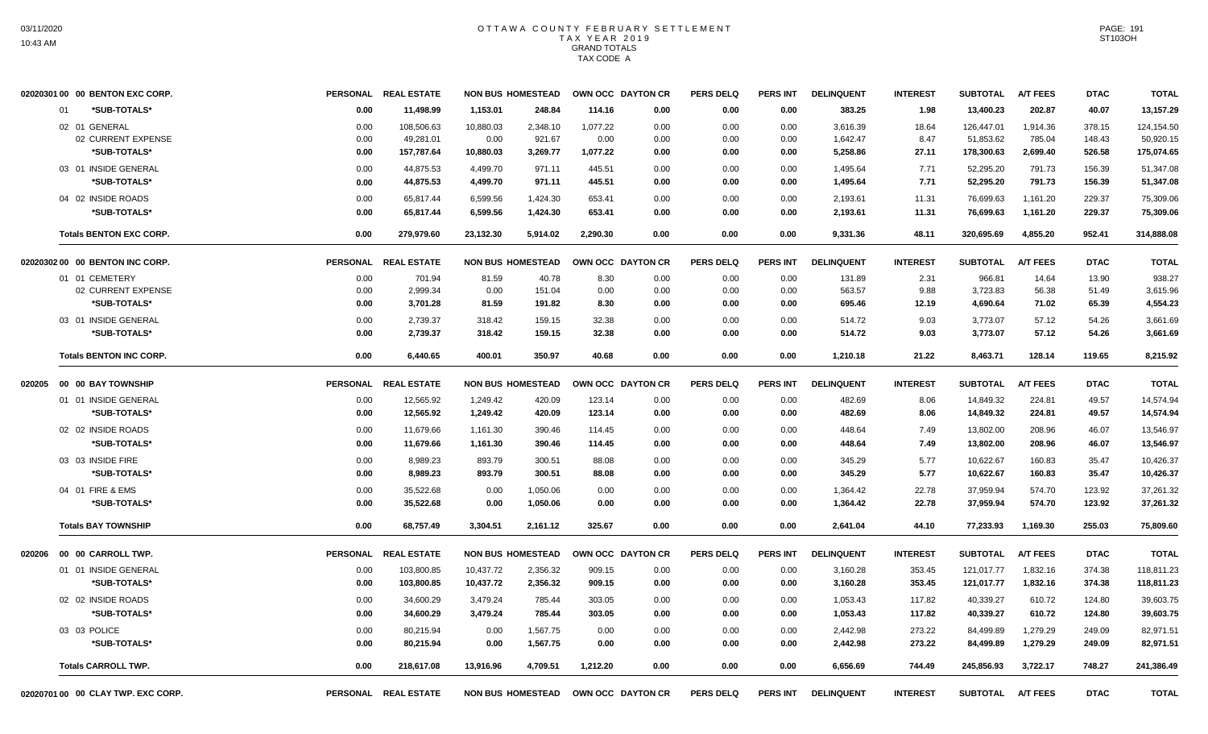|        | 02020301 00 00 BENTON EXC CORP.                     | <b>PERSONAL</b>      | <b>REAL ESTATE</b>                    | <b>NON BUS HOMESTEAD</b>       |                                |                              | OWN OCC DAYTON CR    | <b>PERS DELQ</b>     | <b>PERS INT</b>      | <b>DELINQUENT</b>                | <b>INTEREST</b>        | <b>SUBTOTAL</b>         | <b>A/T FEES</b>                | <b>DTAC</b>                | <b>TOTAL</b>                          |
|--------|-----------------------------------------------------|----------------------|---------------------------------------|--------------------------------|--------------------------------|------------------------------|----------------------|----------------------|----------------------|----------------------------------|------------------------|-------------------------|--------------------------------|----------------------------|---------------------------------------|
|        | *SUB-TOTALS*<br>01                                  | 0.00                 | 11,498.99                             | 1,153.01                       | 248.84                         | 114.16                       | 0.00                 | 0.00                 | 0.00                 | 383.25                           | 1.98                   | 13,400.23               | 202.87                         | 40.07                      | 13,157.29                             |
|        | 02 01 GENERAL<br>02 CURRENT EXPENSE<br>*SUB-TOTALS* | 0.00<br>0.00<br>0.00 | 108,506.63<br>49,281.01<br>157,787.64 | 10,880.03<br>0.00<br>10,880.03 | 2,348.10<br>921.67<br>3,269.77 | 1,077.22<br>0.00<br>1,077.22 | 0.00<br>0.00<br>0.00 | 0.00<br>0.00<br>0.00 | 0.00<br>0.00<br>0.00 | 3,616.39<br>1,642.47<br>5,258.86 | 18.64<br>8.47<br>27.11 | 126,447.01<br>51,853.62 | 1,914.36<br>785.04<br>2,699.40 | 378.15<br>148.43<br>526.58 | 124,154.50<br>50,920.15<br>175,074.65 |
|        | 03 01 INSIDE GENERAL                                | 0.00                 | 44,875.53                             | 4,499.70                       | 971.11                         | 445.51                       | 0.00                 | 0.00                 | 0.00                 | 1,495.64                         | 7.71                   | 178,300.63<br>52,295.20 | 791.73                         | 156.39                     | 51,347.08                             |
|        | *SUB-TOTALS*                                        | 0.00                 | 44.875.53                             | 4,499.70                       | 971.11                         | 445.51                       | 0.00                 | 0.00                 | 0.00                 | 1.495.64                         | 7.71                   | 52,295.20               | 791.73                         | 156.39                     | 51,347.08                             |
|        | 04 02 INSIDE ROADS                                  | 0.00                 | 65,817.44                             | 6,599.56                       | 1,424.30                       | 653.41                       | 0.00                 | 0.00                 | 0.00                 | 2,193.61                         | 11.31                  | 76,699.63               | 1,161.20                       | 229.37                     | 75,309.06                             |
|        | *SUB-TOTALS*                                        | 0.00                 | 65,817.44                             | 6,599.56                       | 1,424.30                       | 653.41                       | 0.00                 | 0.00                 | 0.00                 | 2,193.61                         | 11.31                  | 76,699.63               | 1,161.20                       | 229.37                     | 75,309.06                             |
|        | <b>Totals BENTON EXC CORP.</b>                      | 0.00                 | 279.979.60                            | 23,132.30                      | 5,914.02                       | 2.290.30                     | 0.00                 | 0.00                 | 0.00                 | 9,331.36                         | 48.11                  | 320,695.69              | 4.855.20                       | 952.41                     | 314,888.08                            |
|        | 02020302 00 00 BENTON INC CORP.                     |                      | PERSONAL REAL ESTATE                  | <b>NON BUS HOMESTEAD</b>       |                                |                              | OWN OCC DAYTON CR    | <b>PERS DELQ</b>     | <b>PERS INT</b>      | <b>DELINQUENT</b>                | <b>INTEREST</b>        | <b>SUBTOTAL</b>         | <b>A/T FEES</b>                | <b>DTAC</b>                | <b>TOTAL</b>                          |
|        | 01 01 CEMETERY                                      | 0.00                 | 701.94                                | 81.59                          | 40.78                          | 8.30                         | 0.00                 | 0.00                 | 0.00                 | 131.89                           | 2.31                   | 966.81                  | 14.64                          | 13.90                      | 938.27                                |
|        | 02 CURRENT EXPENSE<br>*SUB-TOTALS*                  | 0.00<br>0.00         | 2.999.34<br>3,701.28                  | 0.00<br>81.59                  | 151.04<br>191.82               | 0.00<br>8.30                 | 0.00<br>0.00         | 0.00<br>0.00         | 0.00<br>0.00         | 563.57<br>695.46                 | 9.88<br>12.19          | 3.723.83<br>4,690.64    | 56.38<br>71.02                 | 51.49<br>65.39             | 3,615.96<br>4,554.23                  |
|        | 03 01 INSIDE GENERAL                                | 0.00                 | 2,739.37                              | 318.42                         | 159.15                         | 32.38                        | 0.00                 | 0.00                 | 0.00                 | 514.72                           | 9.03                   | 3,773.07                | 57.12                          | 54.26                      | 3,661.69                              |
|        | *SUB-TOTALS*                                        | 0.00                 | 2,739.37                              | 318.42                         | 159.15                         | 32.38                        | 0.00                 | 0.00                 | 0.00                 | 514.72                           | 9.03                   | 3,773.07                | 57.12                          | 54.26                      | 3,661.69                              |
|        | <b>Totals BENTON INC CORP.</b>                      | 0.00                 | 6,440.65                              | 400.01                         | 350.97                         | 40.68                        | 0.00                 | 0.00                 | 0.00                 | 1,210.18                         | 21.22                  | 8,463.71                | 128.14                         | 119.65                     | 8,215.92                              |
| 020205 | 00 00 BAY TOWNSHIP                                  |                      | PERSONAL REAL ESTATE                  | <b>NON BUS HOMESTEAD</b>       |                                |                              | OWN OCC DAYTON CR    | <b>PERS DELQ</b>     | PERS INT             | <b>DELINQUENT</b>                | <b>INTEREST</b>        | <b>SUBTOTAL</b>         | <b>A/T FEES</b>                | <b>DTAC</b>                | <b>TOTAL</b>                          |
|        | 01 01 INSIDE GENERAL                                | 0.00                 | 12,565.92                             | 1,249.42                       | 420.09                         | 123.14                       | 0.00                 | 0.00                 | 0.00                 | 482.69                           | 8.06                   | 14,849.32               | 224.81                         | 49.57                      | 14,574.94                             |
|        | *SUB-TOTALS*                                        | 0.00                 | 12,565.92                             | 1,249.42                       | 420.09                         | 123.14                       | 0.00                 | 0.00                 | 0.00                 | 482.69                           | 8.06                   | 14,849.32               | 224.81                         | 49.57                      | 14,574.94                             |
|        | 02 02 INSIDE ROADS                                  | 0.00                 | 11,679.66                             | 1,161.30                       | 390.46                         | 114.45                       | 0.00                 | 0.00                 | 0.00                 | 448.64                           | 7.49                   | 13,802.00               | 208.96                         | 46.07                      | 13,546.97                             |
|        | *SUB-TOTALS*                                        | 0.00                 | 11,679.66                             | 1,161.30                       | 390.46                         | 114.45                       | 0.00                 | 0.00                 | 0.00                 | 448.64                           | 7.49                   | 13,802.00               | 208.96                         | 46.07                      | 13,546.97                             |
|        | 03 03 INSIDE FIRE<br>*SUB-TOTALS*                   | 0.00<br>0.00         | 8.989.23<br>8,989.23                  | 893.79<br>893.79               | 300.51<br>300.51               | 88.08<br>88.08               | 0.00<br>0.00         | 0.00<br>0.00         | 0.00<br>0.00         | 345.29<br>345.29                 | 5.77<br>5.77           | 10,622.67<br>10,622.67  | 160.83<br>160.83               | 35.47<br>35.47             | 10,426.37<br>10,426.37                |
|        | 04 01 FIRE & EMS                                    | 0.00                 | 35,522.68                             |                                |                                |                              |                      |                      |                      | 1,364.42                         | 22.78                  | 37,959.94               | 574.70                         | 123.92                     |                                       |
|        | *SUB-TOTALS*                                        | 0.00                 | 35,522.68                             | 0.00<br>0.00                   | 1,050.06<br>1,050.06           | 0.00<br>0.00                 | 0.00<br>0.00         | 0.00<br>0.00         | 0.00<br>0.00         | 1,364.42                         | 22.78                  | 37,959.94               | 574.70                         | 123.92                     | 37,261.32<br>37,261.32                |
|        | <b>Totals BAY TOWNSHIP</b>                          | 0.00                 | 68.757.49                             | 3.304.51                       | 2.161.12                       | 325.67                       | 0.00                 | 0.00                 | 0.00                 | 2.641.04                         | 44.10                  | 77,233.93               | 1.169.30                       | 255.03                     | 75.809.60                             |
| 020206 | 00 00 CARROLL TWP.                                  | <b>PERSONAL</b>      | <b>REAL ESTATE</b>                    | <b>NON BUS HOMESTEAD</b>       |                                |                              | OWN OCC DAYTON CR    | <b>PERS DELQ</b>     | <b>PERS INT</b>      | <b>DELINQUENT</b>                | <b>INTEREST</b>        | <b>SUBTOTAL</b>         | <b>A/T FEES</b>                | <b>DTAC</b>                | <b>TOTAL</b>                          |
|        | 01 01 INSIDE GENERAL                                | 0.00                 | 103,800.85                            | 10,437.72                      | 2,356.32                       | 909.15                       | 0.00                 | 0.00                 | 0.00                 | 3,160.28                         | 353.45                 | 121,017.77              | 1,832.16                       | 374.38                     | 118,811.23                            |
|        | *SUB-TOTALS*                                        | 0.00                 | 103,800.85                            | 10,437.72                      | 2,356.32                       | 909.15                       | 0.00                 | 0.00                 | 0.00                 | 3,160.28                         | 353.45                 | 121,017.77              | 1,832.16                       | 374.38                     | 118,811.23                            |
|        | 02 02 INSIDE ROADS                                  | 0.00                 | 34,600.29                             | 3,479.24                       | 785.44                         | 303.05                       | 0.00                 | 0.00                 | 0.00                 | 1,053.43                         | 117.82                 | 40,339.27               | 610.72                         | 124.80                     | 39,603.75                             |
|        | *SUB-TOTALS*                                        | 0.00                 | 34,600.29                             | 3,479.24                       | 785.44                         | 303.05                       | 0.00                 | 0.00                 | 0.00                 | 1,053.43                         | 117.82                 | 40,339.27               | 610.72                         | 124.80                     | 39,603.75                             |
|        | 03 03 POLICE<br>*SUB-TOTALS*                        | 0.00<br>0.00         | 80,215.94<br>80,215.94                | 0.00<br>0.00                   | 1,567.75<br>1,567.75           | 0.00<br>0.00                 | 0.00<br>0.00         | 0.00<br>0.00         | 0.00<br>0.00         | 2,442.98<br>2,442.98             | 273.22<br>273.22       | 84,499.89<br>84,499.89  | 1,279.29<br>1,279.29           | 249.09<br>249.09           | 82,971.51<br>82,971.51                |
|        | <b>Totals CARROLL TWP.</b>                          | 0.00                 | 218,617.08                            | 13,916.96                      | 4,709.51                       | 1,212.20                     | 0.00                 | 0.00                 | 0.00                 | 6.656.69                         | 744.49                 | 245,856.93              | 3,722.17                       | 748.27                     | 241,386.49                            |
|        | 02020701 00 00 CLAY TWP. EXC CORP.                  |                      | PERSONAL REAL ESTATE                  | <b>NON BUS HOMESTEAD</b>       |                                |                              | OWN OCC DAYTON CR    | <b>PERS DELQ</b>     | <b>PERS INT</b>      | <b>DELINQUENT</b>                | <b>INTEREST</b>        | <b>SUBTOTAL</b>         | <b>A/T FEES</b>                | <b>DTAC</b>                | <b>TOTAL</b>                          |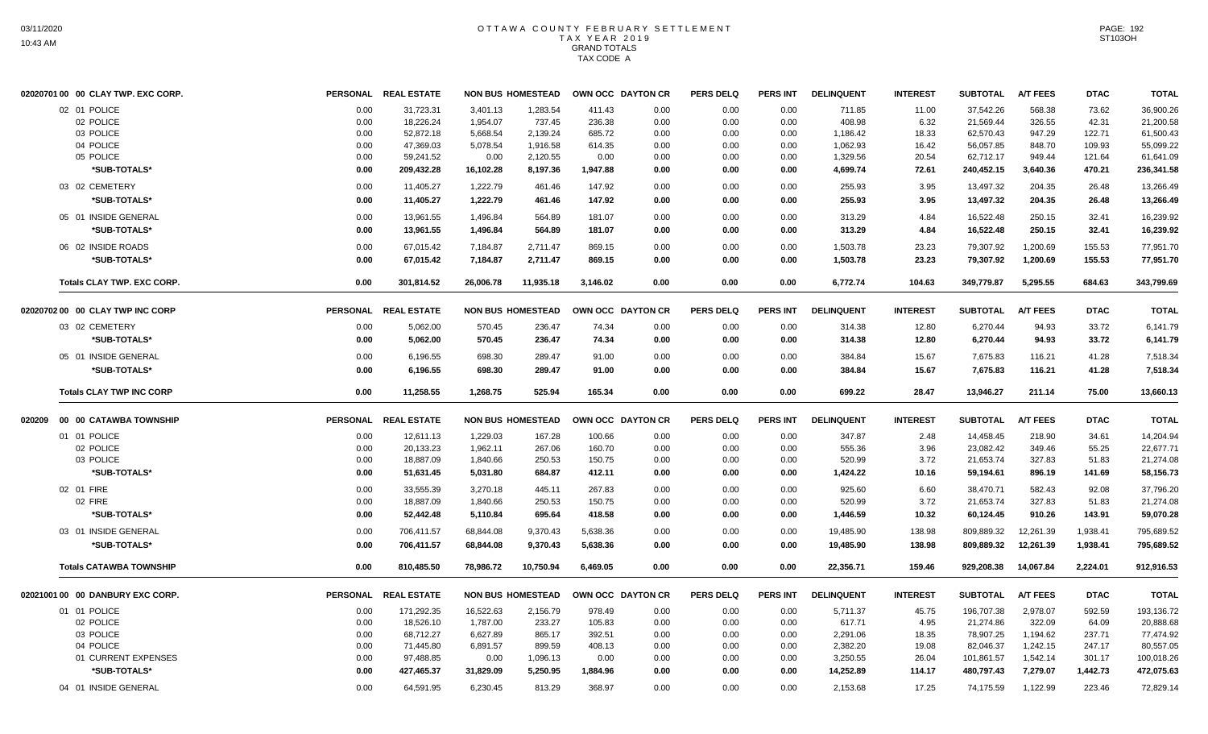|        | 02020701 00 00 CLAY TWP. EXC CORP. |                 | PERSONAL REAL ESTATE |           | <b>NON BUS HOMESTEAD</b> |          | OWN OCC DAYTON CR | <b>PERS DELQ</b> | <b>PERS INT</b> | <b>DELINQUENT</b> | <b>INTEREST</b> | <b>SUBTOTAL</b> | <b>A/T FEES</b> | <b>DTAC</b> | <b>TOTAL</b> |
|--------|------------------------------------|-----------------|----------------------|-----------|--------------------------|----------|-------------------|------------------|-----------------|-------------------|-----------------|-----------------|-----------------|-------------|--------------|
|        | 02 01 POLICE                       | 0.00            | 31,723.31            | 3,401.13  | 1,283.54                 | 411.43   | 0.00              | 0.00             | 0.00            | 711.85            | 11.00           | 37,542.26       | 568.38          | 73.62       | 36,900.26    |
|        | 02 POLICE                          | 0.00            | 18,226.24            | 1,954.07  | 737.45                   | 236.38   | 0.00              | 0.00             | 0.00            | 408.98            | 6.32            | 21,569.44       | 326.55          | 42.31       | 21,200.58    |
|        | 03 POLICE                          | 0.00            | 52,872.18            | 5,668.54  | 2,139.24                 | 685.72   | 0.00              | 0.00             | 0.00            | 1,186.42          | 18.33           | 62,570.43       | 947.29          | 122.71      | 61,500.43    |
|        | 04 POLICE                          | 0.00            | 47,369.03            | 5,078.54  | 1,916.58                 | 614.35   | 0.00              | 0.00             | 0.00            | 1,062.93          | 16.42           | 56,057.85       | 848.70          | 109.93      | 55,099.22    |
|        | 05 POLICE                          | 0.00            | 59,241.52            | 0.00      | 2,120.55                 | 0.00     | 0.00              | 0.00             | 0.00            | 1,329.56          | 20.54           | 62,712.17       | 949.44          | 121.64      | 61,641.09    |
|        | *SUB-TOTALS*                       | 0.00            | 209,432.28           | 16,102.28 | 8,197.36                 | 1,947.88 | 0.00              | 0.00             | 0.00            | 4,699.74          | 72.61           | 240,452.15      | 3,640.36        | 470.21      | 236,341.58   |
|        | 03 02 CEMETERY                     | 0.00            | 11,405.27            | 1,222.79  | 461.46                   | 147.92   | 0.00              | 0.00             | 0.00            | 255.93            | 3.95            | 13.497.32       | 204.35          | 26.48       | 13,266.49    |
|        | *SUB-TOTALS*                       | 0.00            | 11,405.27            | 1,222.79  | 461.46                   | 147.92   | 0.00              | 0.00             | 0.00            | 255.93            | 3.95            | 13,497.32       | 204.35          | 26.48       | 13,266.49    |
|        | 05 01 INSIDE GENERAL               | 0.00            | 13,961.55            | 1,496.84  | 564.89                   | 181.07   | 0.00              | 0.00             | 0.00            | 313.29            | 4.84            | 16,522.48       | 250.15          | 32.41       | 16,239.92    |
|        | *SUB-TOTALS*                       | 0.00            | 13,961.55            | 1,496.84  | 564.89                   | 181.07   | 0.00              | 0.00             | 0.00            | 313.29            | 4.84            | 16,522.48       | 250.15          | 32.41       | 16,239.92    |
|        | 06 02 INSIDE ROADS                 | 0.00            | 67,015.42            | 7,184.87  | 2,711.47                 | 869.15   | 0.00              | 0.00             | 0.00            | 1,503.78          | 23.23           | 79,307.92       | 1,200.69        | 155.53      | 77,951.70    |
|        | *SUB-TOTALS*                       | 0.00            | 67,015.42            | 7,184.87  | 2,711.47                 | 869.15   | 0.00              | 0.00             | 0.00            | 1,503.78          | 23.23           | 79,307.92       | 1,200.69        | 155.53      | 77,951.70    |
|        | <b>Totals CLAY TWP. EXC CORP.</b>  | 0.00            | 301,814.52           | 26,006.78 | 11,935.18                | 3,146.02 | 0.00              | 0.00             | 0.00            | 6,772.74          | 104.63          | 349,779.87      | 5,295.55        | 684.63      | 343,799.69   |
|        | 02020702 00 00 CLAY TWP INC CORP   |                 | PERSONAL REAL ESTATE |           | <b>NON BUS HOMESTEAD</b> |          | OWN OCC DAYTON CR | <b>PERS DELQ</b> | <b>PERS INT</b> | <b>DELINQUENT</b> | <b>INTEREST</b> | <b>SUBTOTAL</b> | <b>A/T FEES</b> | <b>DTAC</b> | <b>TOTAL</b> |
|        | 03 02 CEMETERY                     | 0.00            | 5,062.00             | 570.45    | 236.47                   | 74.34    | 0.00              | 0.00             | 0.00            | 314.38            | 12.80           | 6,270.44        | 94.93           | 33.72       | 6,141.79     |
|        | *SUB-TOTALS*                       | 0.00            | 5,062.00             | 570.45    | 236.47                   | 74.34    | 0.00              | 0.00             | 0.00            | 314.38            | 12.80           | 6,270.44        | 94.93           | 33.72       | 6,141.79     |
|        | 05 01 INSIDE GENERAL               | 0.00            | 6,196.55             | 698.30    | 289.47                   | 91.00    | 0.00              | 0.00             | 0.00            | 384.84            | 15.67           | 7,675.83        | 116.21          | 41.28       | 7,518.34     |
|        | *SUB-TOTALS*                       | 0.00            | 6,196.55             | 698.30    | 289.47                   | 91.00    | 0.00              | 0.00             | 0.00            | 384.84            | 15.67           | 7,675.83        | 116.21          | 41.28       | 7,518.34     |
|        | <b>Totals CLAY TWP INC CORP</b>    | 0.00            | 11,258.55            | 1,268.75  | 525.94                   | 165.34   | 0.00              | 0.00             | 0.00            | 699.22            | 28.47           | 13,946.27       | 211.14          | 75.00       | 13,660.13    |
| 020209 | 00 00 CATAWBA TOWNSHIP             | <b>PERSONAL</b> | <b>REAL ESTATE</b>   |           | <b>NON BUS HOMESTEAD</b> |          | OWN OCC DAYTON CR | <b>PERS DELQ</b> | <b>PERS INT</b> | <b>DELINQUENT</b> | <b>INTEREST</b> | <b>SUBTOTAL</b> | <b>A/T FEES</b> | <b>DTAC</b> | <b>TOTAL</b> |
|        | 01 01 POLICE                       | 0.00            | 12,611.13            | 1.229.03  | 167.28                   | 100.66   | 0.00              | 0.00             | 0.00            | 347.87            | 2.48            | 14.458.45       | 218.90          | 34.61       | 14,204.94    |
|        | 02 POLICE                          | 0.00            | 20,133.23            | 1,962.11  | 267.06                   | 160.70   | 0.00              | 0.00             | 0.00            | 555.36            | 3.96            | 23,082.42       | 349.46          | 55.25       | 22,677.71    |
|        | 03 POLICE                          | 0.00            | 18,887.09            | 1,840.66  | 250.53                   | 150.75   | 0.00              | 0.00             | 0.00            | 520.99            | 3.72            | 21,653.74       | 327.83          | 51.83       | 21,274.08    |
|        | *SUB-TOTALS*                       | 0.00            | 51,631.45            | 5,031.80  | 684.87                   | 412.11   | 0.00              | 0.00             | 0.00            | 1,424.22          | 10.16           | 59,194.61       | 896.19          | 141.69      | 58,156.73    |
|        | 02 01 FIRE                         | 0.00            | 33,555.39            | 3,270.18  | 445.11                   | 267.83   | 0.00              | 0.00             | 0.00            | 925.60            | 6.60            | 38,470.71       | 582.43          | 92.08       | 37,796.20    |
|        | 02 FIRE                            | 0.00            | 18,887.09            | 1,840.66  | 250.53                   | 150.75   | 0.00              | 0.00             | 0.00            | 520.99            | 3.72            | 21,653.74       | 327.83          | 51.83       | 21,274.08    |
|        | *SUB-TOTALS*                       | 0.00            | 52,442.48            | 5,110.84  | 695.64                   | 418.58   | 0.00              | 0.00             | 0.00            | 1,446.59          | 10.32           | 60,124.45       | 910.26          | 143.91      | 59,070.28    |
|        | 03 01 INSIDE GENERAL               | 0.00            | 706,411.57           | 68,844.08 | 9,370.43                 | 5,638.36 | 0.00              | 0.00             | 0.00            | 19,485.90         | 138.98          | 809,889.32      | 12,261.39       | 1,938.41    | 795,689.52   |
|        | *SUB-TOTALS*                       | 0.00            | 706,411.57           | 68,844.08 | 9,370.43                 | 5,638.36 | 0.00              | 0.00             | 0.00            | 19,485.90         | 138.98          | 809,889.32      | 12,261.39       | 1,938.41    | 795,689.52   |
|        | <b>Totals CATAWBA TOWNSHIP</b>     | 0.00            | 810,485.50           | 78,986.72 | 10,750.94                | 6.469.05 | 0.00              | 0.00             | 0.00            | 22,356.71         | 159.46          | 929,208.38      | 14,067.84       | 2,224.01    | 912,916.53   |
|        | 02021001 00 00 DANBURY EXC CORP.   |                 | PERSONAL REAL ESTATE |           | <b>NON BUS HOMESTEAD</b> |          | OWN OCC DAYTON CR | <b>PERS DELQ</b> | <b>PERS INT</b> | <b>DELINQUENT</b> | <b>INTEREST</b> | <b>SUBTOTAL</b> | <b>A/T FEES</b> | <b>DTAC</b> | <b>TOTAL</b> |
|        | 01 01 POLICE                       | 0.00            | 171,292.35           | 16,522.63 | 2,156.79                 | 978.49   | 0.00              | 0.00             | 0.00            | 5,711.37          | 45.75           | 196,707.38      | 2,978.07        | 592.59      | 193,136.72   |
|        | 02 POLICE                          | 0.00            | 18,526.10            | 1,787.00  | 233.27                   | 105.83   | 0.00              | 0.00             | 0.00            | 617.71            | 4.95            | 21,274.86       | 322.09          | 64.09       | 20,888.68    |
|        | 03 POLICE                          | 0.00            | 68,712.27            | 6,627.89  | 865.17                   | 392.51   | 0.00              | 0.00             | 0.00            | 2,291.06          | 18.35           | 78,907.25       | 1,194.62        | 237.71      | 77,474.92    |
|        | 04 POLICE                          | 0.00            | 71,445.80            | 6,891.57  | 899.59                   | 408.13   | 0.00              | 0.00             | 0.00            | 2,382.20          | 19.08           | 82,046.37       | 1,242.15        | 247.17      | 80,557.05    |
|        | 01 CURRENT EXPENSES                | 0.00            | 97,488.85            | 0.00      | 1,096.13                 | 0.00     | 0.00              | 0.00             | 0.00            | 3,250.55          | 26.04           | 101,861.57      | 1,542.14        | 301.17      | 100,018.26   |
|        | *SUB-TOTALS*                       | 0.00            | 427,465.37           | 31,829.09 | 5,250.95                 | 1,884.96 | 0.00              | 0.00             | 0.00            | 14,252.89         | 114.17          | 480,797.43      | 7,279.07        | 1,442.73    | 472,075.63   |
|        | 04 01 INSIDE GENERAL               | 0.00            | 64,591.95            | 6,230.45  | 813.29                   | 368.97   | 0.00              | 0.00             | 0.00            | 2,153.68          | 17.25           | 74,175.59       | 1,122.99        | 223.46      | 72,829.14    |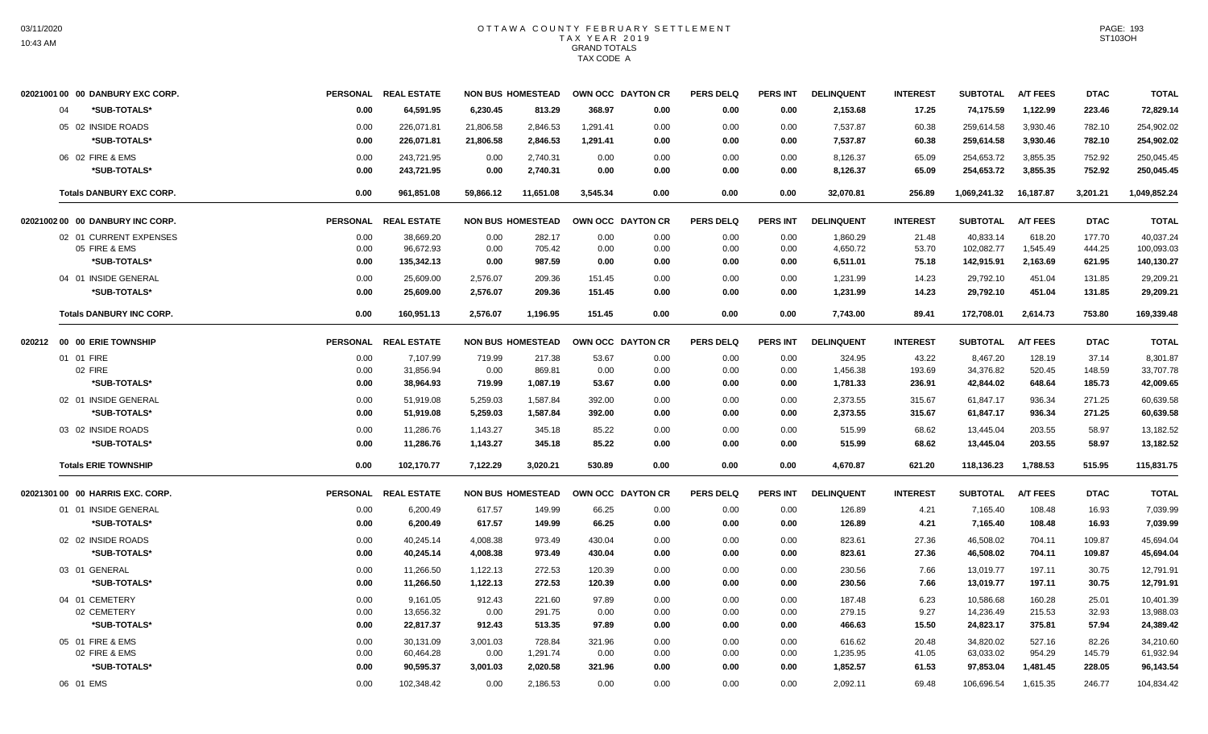| 02021001 00 00 DANBURY EXC CORP. |                 | PERSONAL REAL ESTATE |           | <b>NON BUS HOMESTEAD</b> |          | OWN OCC DAYTON CR | <b>PERS DELQ</b> | <b>PERS INT</b> | <b>DELINQUENT</b> | <b>INTEREST</b> | <b>SUBTOTAL</b> | <b>A/T FEES</b> | <b>DTAC</b> | <b>TOTAL</b> |
|----------------------------------|-----------------|----------------------|-----------|--------------------------|----------|-------------------|------------------|-----------------|-------------------|-----------------|-----------------|-----------------|-------------|--------------|
| *SUB-TOTALS*<br>04               | 0.00            | 64.591.95            | 6.230.45  | 813.29                   | 368.97   | 0.00              | 0.00             | 0.00            | 2,153.68          | 17.25           | 74.175.59       | 1,122.99        | 223.46      | 72,829.14    |
| 05 02 INSIDE ROADS               | 0.00            | 226,071.81           | 21.806.58 | 2.846.53                 | 1.291.41 | 0.00              | 0.00             | 0.00            | 7,537.87          | 60.38           | 259.614.58      | 3,930.46        | 782.10      | 254,902.02   |
| *SUB-TOTALS*                     | 0.00            | 226,071.81           | 21,806.58 | 2,846.53                 | 1,291.41 | 0.00              | 0.00             | 0.00            | 7,537.87          | 60.38           | 259,614.58      | 3,930.46        | 782.10      | 254,902.02   |
| 06 02 FIRE & EMS                 | 0.00            | 243,721.95           | 0.00      | 2,740.31                 | 0.00     | 0.00              | 0.00             | 0.00            | 8,126.37          | 65.09           | 254,653.72      | 3,855.35        | 752.92      | 250,045.45   |
| *SUB-TOTALS*                     | 0.00            | 243,721.95           | 0.00      | 2,740.31                 | 0.00     | 0.00              | 0.00             | 0.00            | 8,126.37          | 65.09           | 254,653.72      | 3,855.35        | 752.92      | 250,045.45   |
| <b>Totals DANBURY EXC CORP.</b>  | 0.00            | 961,851.08           | 59,866.12 | 11,651.08                | 3,545.34 | 0.00              | 0.00             | 0.00            | 32,070.81         | 256.89          | 1,069,241.32    | 16,187.87       | 3,201.21    | 1,049,852.24 |
| 02021002 00 00 DANBURY INC CORP. |                 | PERSONAL REAL ESTATE |           | <b>NON BUS HOMESTEAD</b> |          | OWN OCC DAYTON CR | <b>PERS DELO</b> | <b>PERS INT</b> | <b>DELINQUENT</b> | <b>INTEREST</b> | <b>SUBTOTAL</b> | <b>A/T FEES</b> | <b>DTAC</b> | <b>TOTAL</b> |
| 02 01 CURRENT EXPENSES           | 0.00            | 38,669.20            | 0.00      | 282.17                   | 0.00     | 0.00              | 0.00             | 0.00            | 1,860.29          | 21.48           | 40,833.14       | 618.20          | 177.70      | 40,037.24    |
| 05 FIRE & EMS                    | 0.00            | 96.672.93            | 0.00      | 705.42                   | 0.00     | 0.00              | 0.00             | 0.00            | 4,650.72          | 53.70           | 102,082.77      | 1,545.49        | 444.25      | 100,093.03   |
| *SUB-TOTALS*                     | 0.00            | 135,342.13           | 0.00      | 987.59                   | 0.00     | 0.00              | 0.00             | 0.00            | 6,511.01          | 75.18           | 142,915.91      | 2,163.69        | 621.95      | 140,130.27   |
| 04 01 INSIDE GENERAL             | 0.00            | 25.609.00            | 2,576.07  | 209.36                   | 151.45   | 0.00              | 0.00             | 0.00            | 1,231.99          | 14.23           | 29,792.10       | 451.04          | 131.85      | 29,209.21    |
| *SUB-TOTALS*                     | 0.00            | 25,609.00            | 2,576.07  | 209.36                   | 151.45   | 0.00              | 0.00             | 0.00            | 1,231.99          | 14.23           | 29,792.10       | 451.04          | 131.85      | 29,209.21    |
| <b>Totals DANBURY INC CORP.</b>  | 0.00            | 160,951.13           | 2,576.07  | 1,196.95                 | 151.45   | 0.00              | 0.00             | 0.00            | 7,743.00          | 89.41           | 172,708.01      | 2,614.73        | 753.80      | 169,339.48   |
| 020212 00 00 ERIE TOWNSHIP       |                 | PERSONAL REAL ESTATE |           | <b>NON BUS HOMESTEAD</b> |          | OWN OCC DAYTON CR | <b>PERS DELQ</b> | <b>PERS INT</b> | <b>DELINQUENT</b> | <b>INTEREST</b> | <b>SUBTOTAL</b> | <b>A/T FEES</b> | <b>DTAC</b> | <b>TOTAL</b> |
| 01 01 FIRE                       | 0.00            | 7,107.99             | 719.99    | 217.38                   | 53.67    | 0.00              | 0.00             | 0.00            | 324.95            | 43.22           | 8,467.20        | 128.19          | 37.14       | 8,301.87     |
| 02 FIRE                          | 0.00            | 31.856.94            | 0.00      | 869.81                   | 0.00     | 0.00              | 0.00             | 0.00            | 1,456.38          | 193.69          | 34,376.82       | 520.45          | 148.59      | 33,707.78    |
| *SUB-TOTALS*                     | 0.00            | 38,964.93            | 719.99    | 1,087.19                 | 53.67    | 0.00              | 0.00             | 0.00            | 1,781.33          | 236.91          | 42,844.02       | 648.64          | 185.73      | 42,009.65    |
| 02 01 INSIDE GENERAL             | 0.00            | 51.919.08            | 5,259.03  | 1,587.84                 | 392.00   | 0.00              | 0.00             | 0.00            | 2,373.55          | 315.67          | 61,847.17       | 936.34          | 271.25      | 60,639.58    |
| *SUB-TOTALS*                     | 0.00            | 51,919.08            | 5,259.03  | 1,587.84                 | 392.00   | 0.00              | 0.00             | 0.00            | 2,373.55          | 315.67          | 61,847.17       | 936.34          | 271.25      | 60,639.58    |
| 03 02 INSIDE ROADS               | 0.00            | 11,286.76            | 1,143.27  | 345.18                   | 85.22    | 0.00              | 0.00             | 0.00            | 515.99            | 68.62           | 13,445.04       | 203.55          | 58.97       | 13,182.52    |
| *SUB-TOTALS*                     | 0.00            | 11,286.76            | 1,143.27  | 345.18                   | 85.22    | 0.00              | 0.00             | 0.00            | 515.99            | 68.62           | 13,445.04       | 203.55          | 58.97       | 13,182.52    |
| <b>Totals ERIE TOWNSHIP</b>      | 0.00            | 102,170.77           | 7,122.29  | 3,020.21                 | 530.89   | 0.00              | 0.00             | 0.00            | 4,670.87          | 621.20          | 118,136.23      | 1,788.53        | 515.95      | 115,831.75   |
| 02021301 00 00 HARRIS EXC. CORP. | <b>PERSONAL</b> | <b>REAL ESTATE</b>   |           | <b>NON BUS HOMESTEAD</b> |          | OWN OCC DAYTON CR | <b>PERS DELQ</b> | <b>PERS INT</b> | <b>DELINQUENT</b> | <b>INTEREST</b> | <b>SUBTOTAL</b> | <b>A/T FEES</b> | <b>DTAC</b> | <b>TOTAL</b> |
| 01 01 INSIDE GENERAL             | 0.00            | 6,200.49             | 617.57    | 149.99                   | 66.25    | 0.00              | 0.00             | 0.00            | 126.89            | 4.21            | 7,165.40        | 108.48          | 16.93       | 7,039.99     |
| *SUB-TOTALS*                     | 0.00            | 6,200.49             | 617.57    | 149.99                   | 66.25    | 0.00              | 0.00             | 0.00            | 126.89            | 4.21            | 7,165.40        | 108.48          | 16.93       | 7,039.99     |
| 02 02 INSIDE ROADS               | 0.00            | 40.245.14            | 4.008.38  | 973.49                   | 430.04   | 0.00              | 0.00             | 0.00            | 823.61            | 27.36           | 46,508.02       | 704.11          | 109.87      | 45,694.04    |
| *SUB-TOTALS*                     | 0.00            | 40,245.14            | 4,008.38  | 973.49                   | 430.04   | 0.00              | 0.00             | 0.00            | 823.61            | 27.36           | 46,508.02       | 704.11          | 109.87      | 45,694.04    |
| 03 01 GENERAL                    | 0.00            | 11.266.50            | 1,122.13  | 272.53                   | 120.39   | 0.00              | 0.00             | 0.00            | 230.56            | 7.66            | 13,019.77       | 197.11          | 30.75       | 12,791.91    |
| *SUB-TOTALS*                     | 0.00            | 11,266.50            | 1,122.13  | 272.53                   | 120.39   | 0.00              | 0.00             | 0.00            | 230.56            | 7.66            | 13,019.77       | 197.11          | 30.75       | 12,791.91    |
| 04 01 CEMETERY                   | 0.00            | 9.161.05             | 912.43    | 221.60                   | 97.89    | 0.00              | 0.00             | 0.00            | 187.48            | 6.23            | 10,586.68       | 160.28          | 25.01       | 10,401.39    |
| 02 CEMETERY                      | 0.00            | 13,656.32            | 0.00      | 291.75                   | 0.00     | 0.00              | 0.00             | 0.00            | 279.15            | 9.27            | 14,236.49       | 215.53          | 32.93       | 13,988.03    |
| *SUB-TOTALS*                     | 0.00            | 22,817.37            | 912.43    | 513.35                   | 97.89    | 0.00              | 0.00             | 0.00            | 466.63            | 15.50           | 24,823.17       | 375.81          | 57.94       | 24,389.42    |
| 05 01 FIRE & EMS                 | 0.00            | 30,131.09            | 3,001.03  | 728.84                   | 321.96   | 0.00              | 0.00             | 0.00            | 616.62            | 20.48           | 34,820.02       | 527.16          | 82.26       | 34,210.60    |
| 02 FIRE & EMS                    | 0.00            | 60,464.28            | 0.00      | 1,291.74                 | 0.00     | 0.00              | 0.00             | 0.00            | 1,235.95          | 41.05           | 63,033.02       | 954.29          | 145.79      | 61,932.94    |
| *SUB-TOTALS*                     | 0.00            | 90,595.37            | 3,001.03  | 2,020.58                 | 321.96   | 0.00              | 0.00             | 0.00            | 1,852.57          | 61.53           | 97,853.04       | 1,481.45        | 228.05      | 96,143.54    |
| 06 01 EMS                        | 0.00            | 102.348.42           | 0.00      | 2,186.53                 | 0.00     | 0.00              | 0.00             | 0.00            | 2,092.11          | 69.48           | 106,696.54      | 1,615.35        | 246.77      | 104,834.42   |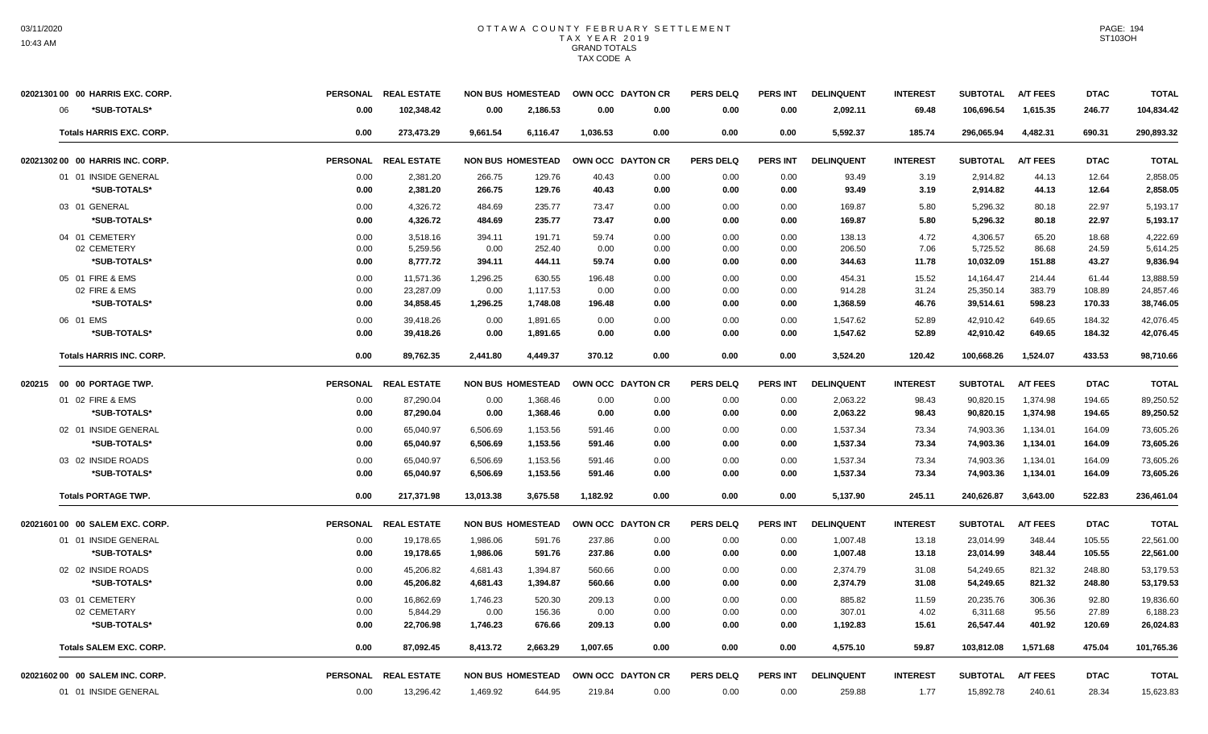| 02021301 00 00 HARRIS EXC. CORP. |                 | PERSONAL REAL ESTATE |           | <b>NON BUS HOMESTEAD</b> | OWN OCC DAYTON CR |      | <b>PERS DELQ</b> | <b>PERS INT</b> | <b>DELINQUENT</b> | <b>INTEREST</b> | <b>SUBTOTAL</b> | <b>A/T FEES</b> | <b>DTAC</b> | <b>TOTAL</b> |
|----------------------------------|-----------------|----------------------|-----------|--------------------------|-------------------|------|------------------|-----------------|-------------------|-----------------|-----------------|-----------------|-------------|--------------|
| *SUB-TOTALS*<br>∩6               | 0.00            | 102,348.42           | 0.00      | 2,186.53                 | 0.00              | 0.00 | 0.00             | 0.00            | 2,092.11          | 69.48           | 106,696.54      | 1,615.35        | 246.77      | 104,834.42   |
| <b>Totals HARRIS EXC. CORP.</b>  | 0.00            | 273,473.29           | 9,661.54  | 6,116.47                 | 1,036.53          | 0.00 | 0.00             | 0.00            | 5,592.37          | 185.74          | 296,065.94      | 4,482.31        | 690.31      | 290,893.32   |
| 02021302 00 00 HARRIS INC. CORP. | <b>PERSONAL</b> | <b>REAL ESTATE</b>   |           | <b>NON BUS HOMESTEAD</b> | OWN OCC DAYTON CR |      | <b>PERS DELQ</b> | <b>PERS INT</b> | <b>DELINQUENT</b> | <b>INTEREST</b> | <b>SUBTOTAL</b> | <b>A/T FEES</b> | <b>DTAC</b> | <b>TOTAL</b> |
| 01 01 INSIDE GENERAL             | 0.00            | 2,381.20             | 266.75    | 129.76                   | 40.43             | 0.00 | 0.00             | 0.00            | 93.49             | 3.19            | 2,914.82        | 44.13           | 12.64       | 2,858.05     |
| *SUB-TOTALS*                     | 0.00            | 2,381.20             | 266.75    | 129.76                   | 40.43             | 0.00 | 0.00             | 0.00            | 93.49             | 3.19            | 2,914.82        | 44.13           | 12.64       | 2,858.05     |
| 03 01 GENERAL                    | 0.00            | 4.326.72             | 484.69    | 235.77                   | 73.47             | 0.00 | 0.00             | 0.00            | 169.87            | 5.80            | 5.296.32        | 80.18           | 22.97       | 5.193.17     |
| *SUB-TOTALS*                     | 0.00            | 4,326.72             | 484.69    | 235.77                   | 73.47             | 0.00 | 0.00             | 0.00            | 169.87            | 5.80            | 5,296.32        | 80.18           | 22.97       | 5,193.17     |
| 04 01 CEMETERY                   | 0.00            | 3,518.16             | 394.11    | 191.71                   | 59.74             | 0.00 | 0.00             | 0.00            | 138.13            | 4.72            | 4,306.57        | 65.20           | 18.68       | 4,222.69     |
| 02 CEMETERY                      | 0.00            | 5,259.56             | 0.00      | 252.40                   | 0.00              | 0.00 | 0.00             | 0.00            | 206.50            | 7.06            | 5,725.52        | 86.68           | 24.59       | 5,614.25     |
| *SUB-TOTALS*                     | 0.00            | 8,777.72             | 394.11    | 444.11                   | 59.74             | 0.00 | 0.00             | 0.00            | 344.63            | 11.78           | 10,032.09       | 151.88          | 43.27       | 9,836.94     |
| 05 01 FIRE & EMS                 | 0.00            | 11,571.36            | 1,296.25  | 630.55                   | 196.48            | 0.00 | 0.00             | 0.00            | 454.31            | 15.52           | 14,164.47       | 214.44          | 61.44       | 13,888.59    |
| 02 FIRE & EMS                    | 0.00            | 23,287.09            | 0.00      | 1,117.53                 | 0.00              | 0.00 | 0.00             | 0.00            | 914.28            | 31.24           | 25,350.14       | 383.79          | 108.89      | 24,857.46    |
| *SUB-TOTALS*                     | 0.00            | 34,858.45            | 1,296.25  | 1,748.08                 | 196.48            | 0.00 | 0.00             | 0.00            | 1,368.59          | 46.76           | 39,514.61       | 598.23          | 170.33      | 38,746.05    |
| 06 01 EMS                        | 0.00            | 39,418.26            | 0.00      | 1,891.65                 | 0.00              | 0.00 | 0.00             | 0.00            | 1,547.62          | 52.89           | 42,910.42       | 649.65          | 184.32      | 42,076.45    |
| *SUB-TOTALS*                     | 0.00            | 39,418.26            | 0.00      | 1,891.65                 | 0.00              | 0.00 | 0.00             | 0.00            | 1,547.62          | 52.89           | 42,910.42       | 649.65          | 184.32      | 42,076.45    |
| <b>Totals HARRIS INC. CORP.</b>  | 0.00            | 89.762.35            | 2.441.80  | 4.449.37                 | 370.12            | 0.00 | 0.00             | 0.00            | 3.524.20          | 120.42          | 100.668.26      | 1.524.07        | 433.53      | 98,710.66    |
| 020215  00  00  PORTAGE TWP.     | <b>PERSONAL</b> | <b>REAL ESTATE</b>   |           | <b>NON BUS HOMESTEAD</b> | OWN OCC DAYTON CR |      | <b>PERS DELQ</b> | <b>PERS INT</b> | <b>DELINQUENT</b> | <b>INTEREST</b> | <b>SUBTOTAL</b> | <b>A/T FEES</b> | <b>DTAC</b> | <b>TOTAL</b> |
| 01 02 FIRE & EMS                 | 0.00            | 87,290.04            | 0.00      | 1,368.46                 | 0.00              | 0.00 | 0.00             | 0.00            | 2,063.22          | 98.43           | 90,820.15       | 1,374.98        | 194.65      | 89,250.52    |
| *SUB-TOTALS*                     | 0.00            | 87,290.04            | 0.00      | 1,368.46                 | 0.00              | 0.00 | 0.00             | 0.00            | 2,063.22          | 98.43           | 90,820.15       | 1,374.98        | 194.65      | 89,250.52    |
| 02 01 INSIDE GENERAL             | 0.00            | 65,040.97            | 6,506.69  | 1,153.56                 | 591.46            | 0.00 | 0.00             | 0.00            | 1,537.34          | 73.34           | 74,903.36       | 1,134.01        | 164.09      | 73,605.26    |
| *SUB-TOTALS*                     | 0.00            | 65.040.97            | 6.506.69  | 1,153.56                 | 591.46            | 0.00 | 0.00             | 0.00            | 1,537.34          | 73.34           | 74,903.36       | 1,134.01        | 164.09      | 73,605.26    |
| 03 02 INSIDE ROADS               | 0.00            | 65,040.97            | 6,506.69  | 1,153.56                 | 591.46            | 0.00 | 0.00             | 0.00            | 1,537.34          | 73.34           | 74,903.36       | 1,134.01        | 164.09      | 73,605.26    |
| *SUB-TOTALS*                     | 0.00            | 65,040.97            | 6,506.69  | 1,153.56                 | 591.46            | 0.00 | 0.00             | 0.00            | 1,537.34          | 73.34           | 74,903.36       | 1,134.01        | 164.09      | 73,605.26    |
| <b>Totals PORTAGE TWP.</b>       | 0.00            | 217,371.98           | 13,013.38 | 3,675.58                 | 1,182.92          | 0.00 | 0.00             | 0.00            | 5,137.90          | 245.11          | 240,626.87      | 3,643.00        | 522.83      | 236,461.04   |
| 02021601 00 00 SALEM EXC. CORP.  |                 | PERSONAL REAL ESTATE |           | <b>NON BUS HOMESTEAD</b> | OWN OCC DAYTON CR |      | <b>PERS DELQ</b> | <b>PERS INT</b> | <b>DELINQUENT</b> | <b>INTEREST</b> | <b>SUBTOTAL</b> | <b>A/T FEES</b> | <b>DTAC</b> | <b>TOTAL</b> |
| 01 01 INSIDE GENERAL             | 0.00            | 19,178.65            | 1,986.06  | 591.76                   | 237.86            | 0.00 | 0.00             | 0.00            | 1,007.48          | 13.18           | 23,014.99       | 348.44          | 105.55      | 22,561.00    |
| *SUB-TOTALS*                     | 0.00            | 19,178.65            | 1,986.06  | 591.76                   | 237.86            | 0.00 | 0.00             | 0.00            | 1,007.48          | 13.18           | 23,014.99       | 348.44          | 105.55      | 22,561.00    |
| 02 02 INSIDE ROADS               | 0.00            | 45,206.82            | 4,681.43  | 1.394.87                 | 560.66            | 0.00 | 0.00             | 0.00            | 2,374.79          | 31.08           | 54,249.65       | 821.32          | 248.80      | 53,179.53    |
| *SUB-TOTALS*                     | 0.00            | 45,206.82            | 4,681.43  | 1,394.87                 | 560.66            | 0.00 | 0.00             | 0.00            | 2,374.79          | 31.08           | 54,249.65       | 821.32          | 248.80      | 53,179.53    |
| 03 01 CEMETERY                   | 0.00            | 16,862.69            | 1,746.23  | 520.30                   | 209.13            | 0.00 | 0.00             | 0.00            | 885.82            | 11.59           | 20,235.76       | 306.36          | 92.80       | 19,836.60    |
| 02 CEMETARY                      | 0.00            | 5,844.29             | 0.00      | 156.36                   | 0.00              | 0.00 | 0.00             | 0.00            | 307.01            | 4.02            | 6,311.68        | 95.56           | 27.89       | 6,188.23     |
| *SUB-TOTALS*                     | 0.00            | 22.706.98            | 1,746.23  | 676.66                   | 209.13            | 0.00 | 0.00             | 0.00            | 1,192.83          | 15.61           | 26,547.44       | 401.92          | 120.69      | 26.024.83    |
| <b>Totals SALEM EXC. CORP.</b>   | 0.00            | 87,092.45            | 8,413.72  | 2,663.29                 | 1,007.65          | 0.00 | 0.00             | 0.00            | 4,575.10          | 59.87           | 103,812.08      | 1,571.68        | 475.04      | 101,765.36   |
| 0202160200 00 SALEM INC. CORP.   |                 | PERSONAL REAL ESTATE |           | <b>NON BUS HOMESTEAD</b> | OWN OCC DAYTON CR |      | <b>PERS DELQ</b> | <b>PERS INT</b> | <b>DELINQUENT</b> | <b>INTEREST</b> | <b>SUBTOTAL</b> | <b>A/T FEES</b> | <b>DTAC</b> | <b>TOTAL</b> |
| 01 01 INSIDE GENERAL             | 0.00            | 13,296.42            | 1,469.92  | 644.95                   | 219.84            | 0.00 | 0.00             | 0.00            | 259.88            | 1.77            | 15,892.78       | 240.61          | 28.34       | 15,623.83    |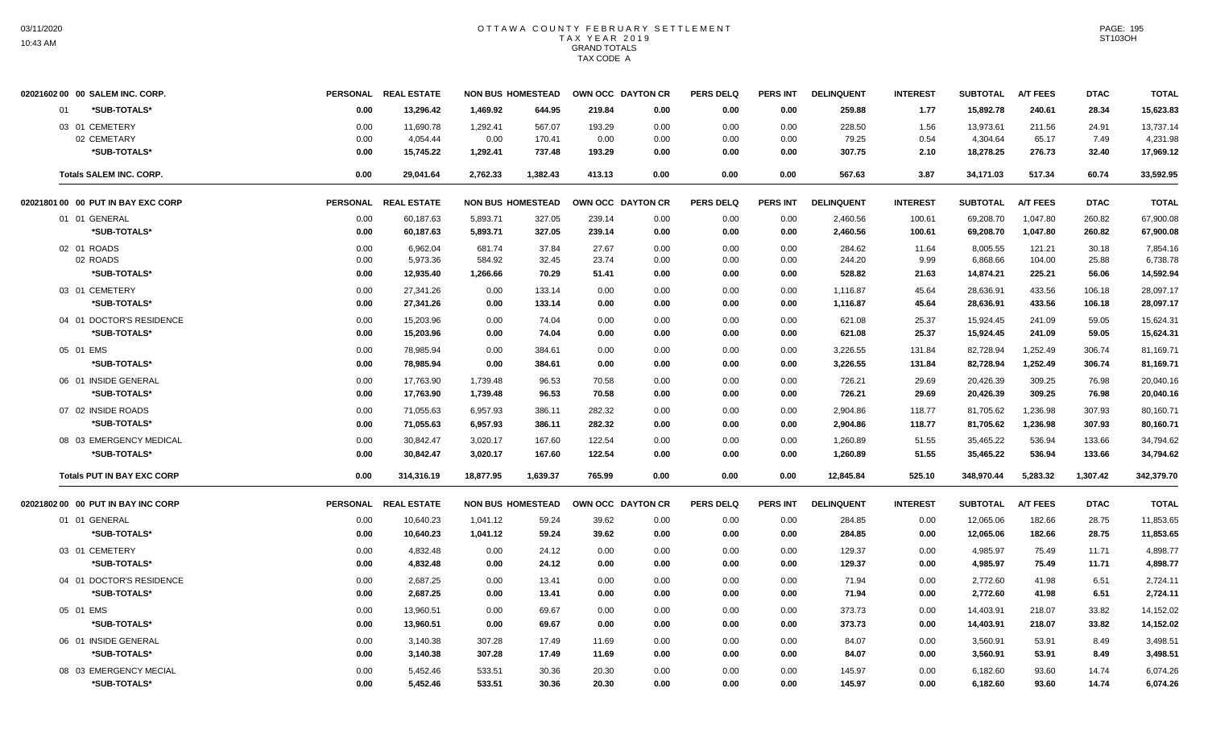|    | 02021602 00 00 SALEM INC. CORP.    |      | PERSONAL REAL ESTATE | <b>NON BUS HOMESTEAD</b> |          |        | OWN OCC DAYTON CR | <b>PERS DELQ</b> | <b>PERS INT</b> | <b>DELINQUENT</b> | <b>INTEREST</b> | <b>SUBTOTAL</b> | <b>A/T FEES</b> | <b>DTAC</b> | <b>TOTAL</b> |
|----|------------------------------------|------|----------------------|--------------------------|----------|--------|-------------------|------------------|-----------------|-------------------|-----------------|-----------------|-----------------|-------------|--------------|
| 01 | *SUB-TOTALS*                       | 0.00 | 13,296.42            | 1,469.92                 | 644.95   | 219.84 | 0.00              | 0.00             | 0.00            | 259.88            | 1.77            | 15,892.78       | 240.61          | 28.34       | 15,623.83    |
|    | 03 01 CEMETERY                     | 0.00 | 11,690.78            | 1,292.41                 | 567.07   | 193.29 | 0.00              | 0.00             | 0.00            | 228.50            | 1.56            | 13,973.61       | 211.56          | 24.91       | 13,737.14    |
|    | 02 CEMETARY                        | 0.00 | 4,054.44             | 0.00                     | 170.41   | 0.00   | 0.00              | 0.00             | 0.00            | 79.25             | 0.54            | 4,304.64        | 65.17           | 7.49        | 4,231.98     |
|    | *SUB-TOTALS*                       | 0.00 | 15,745.22            | 1,292.41                 | 737.48   | 193.29 | 0.00              | 0.00             | 0.00            | 307.75            | 2.10            | 18,278.25       | 276.73          | 32.40       | 17,969.12    |
|    | <b>Totals SALEM INC. CORP.</b>     | 0.00 | 29,041.64            | 2,762.33                 | 1,382.43 | 413.13 | 0.00              | 0.00             | 0.00            | 567.63            | 3.87            | 34,171.03       | 517.34          | 60.74       | 33,592.95    |
|    | 02021801 00 00 PUT IN BAY EXC CORP |      | PERSONAL REAL ESTATE | <b>NON BUS HOMESTEAD</b> |          |        | OWN OCC DAYTON CR | <b>PERS DELQ</b> | <b>PERS INT</b> | <b>DELINQUENT</b> | <b>INTEREST</b> | <b>SUBTOTAL</b> | <b>A/T FEES</b> | <b>DTAC</b> | <b>TOTAL</b> |
|    | 01 01 GENERAL                      | 0.00 | 60,187.63            | 5,893.71                 | 327.05   | 239.14 | 0.00              | 0.00             | 0.00            | 2,460.56          | 100.61          | 69,208.70       | 1,047.80        | 260.82      | 67,900.08    |
|    | *SUB-TOTALS*                       | 0.00 | 60,187.63            | 5,893.71                 | 327.05   | 239.14 | 0.00              | 0.00             | 0.00            | 2,460.56          | 100.61          | 69,208.70       | 1,047.80        | 260.82      | 67,900.08    |
|    | 02 01 ROADS                        | 0.00 | 6,962.04             | 681.74                   | 37.84    | 27.67  | 0.00              | 0.00             | 0.00            | 284.62            | 11.64           | 8,005.55        | 121.21          | 30.18       | 7,854.16     |
|    | 02 ROADS                           | 0.00 | 5,973.36             | 584.92                   | 32.45    | 23.74  | 0.00              | 0.00             | 0.00            | 244.20            | 9.99            | 6,868.66        | 104.00          | 25.88       | 6,738.78     |
|    | *SUB-TOTALS*                       | 0.00 | 12,935.40            | 1,266.66                 | 70.29    | 51.41  | 0.00              | 0.00             | 0.00            | 528.82            | 21.63           | 14,874.21       | 225.21          | 56.06       | 14,592.94    |
|    | 03 01 CEMETERY                     | 0.00 | 27,341.26            | 0.00                     | 133.14   | 0.00   | 0.00              | 0.00             | 0.00            | 1,116.87          | 45.64           | 28,636.91       | 433.56          | 106.18      | 28,097.17    |
|    | *SUB-TOTALS*                       | 0.00 | 27,341.26            | 0.00                     | 133.14   | 0.00   | 0.00              | 0.00             | 0.00            | 1,116.87          | 45.64           | 28,636.91       | 433.56          | 106.18      | 28,097.17    |
|    | 04 01 DOCTOR'S RESIDENCE           | 0.00 | 15,203.96            | 0.00                     | 74.04    | 0.00   | 0.00              | 0.00             | 0.00            | 621.08            | 25.37           | 15,924.45       | 241.09          | 59.05       | 15,624.31    |
|    | *SUB-TOTALS*                       | 0.00 | 15,203.96            | 0.00                     | 74.04    | 0.00   | 0.00              | 0.00             | 0.00            | 621.08            | 25.37           | 15,924.45       | 241.09          | 59.05       | 15,624.31    |
|    | 05 01 EMS                          | 0.00 | 78.985.94            | 0.00                     | 384.61   | 0.00   | 0.00              | 0.00             | 0.00            | 3.226.55          | 131.84          | 82.728.94       | 1.252.49        | 306.74      | 81,169.71    |
|    | *SUB-TOTALS*                       | 0.00 | 78,985.94            | 0.00                     | 384.61   | 0.00   | 0.00              | 0.00             | 0.00            | 3,226.55          | 131.84          | 82,728.94       | 1,252.49        | 306.74      | 81,169.71    |
|    | 06 01 INSIDE GENERAL               | 0.00 | 17,763.90            | 1,739.48                 | 96.53    | 70.58  | 0.00              | 0.00             | 0.00            | 726.21            | 29.69           | 20,426.39       | 309.25          | 76.98       | 20,040.16    |
|    | *SUB-TOTALS*                       | 0.00 | 17,763.90            | 1,739.48                 | 96.53    | 70.58  | 0.00              | 0.00             | 0.00            | 726.21            | 29.69           | 20,426.39       | 309.25          | 76.98       | 20,040.16    |
|    | 07 02 INSIDE ROADS                 | 0.00 | 71,055.63            | 6,957.93                 | 386.11   | 282.32 | 0.00              | 0.00             | 0.00            | 2,904.86          | 118.77          | 81,705.62       | 1,236.98        | 307.93      | 80,160.71    |
|    | *SUB-TOTALS*                       | 0.00 | 71,055.63            | 6,957.93                 | 386.11   | 282.32 | 0.00              | 0.00             | 0.00            | 2,904.86          | 118.77          | 81,705.62       | 1,236.98        | 307.93      | 80,160.71    |
|    | 08 03 EMERGENCY MEDICAL            | 0.00 | 30,842.47            | 3,020.17                 | 167.60   | 122.54 | 0.00              | 0.00             | 0.00            | 1,260.89          | 51.55           | 35,465.22       | 536.94          | 133.66      | 34,794.62    |
|    | *SUB-TOTALS*                       | 0.00 | 30,842.47            | 3,020.17                 | 167.60   | 122.54 | 0.00              | 0.00             | 0.00            | 1,260.89          | 51.55           | 35,465.22       | 536.94          | 133.66      | 34,794.62    |
|    |                                    |      |                      |                          |          |        |                   |                  |                 |                   |                 |                 |                 |             |              |
|    | <b>Totals PUT IN BAY EXC CORP</b>  | 0.00 | 314,316.19           | 18,877.95                | 1,639.37 | 765.99 | 0.00              | 0.00             | 0.00            | 12,845.84         | 525.10          | 348,970.44      | 5,283.32        | 1,307.42    | 342,379.70   |
|    | 02021802 00 00 PUT IN BAY INC CORP |      | PERSONAL REAL ESTATE | <b>NON BUS HOMESTEAD</b> |          |        | OWN OCC DAYTON CR | <b>PERS DELQ</b> | <b>PERS INT</b> | <b>DELINQUENT</b> | <b>INTEREST</b> | <b>SUBTOTAL</b> | <b>A/T FEES</b> | <b>DTAC</b> | <b>TOTAL</b> |
|    | 01 01 GENERAL                      | 0.00 | 10,640.23            | 1,041.12                 | 59.24    | 39.62  | 0.00              | 0.00             | 0.00            | 284.85            | 0.00            | 12,065.06       | 182.66          | 28.75       | 11,853.65    |
|    | *SUB-TOTALS*                       | 0.00 | 10,640.23            | 1,041.12                 | 59.24    | 39.62  | 0.00              | 0.00             | 0.00            | 284.85            | 0.00            | 12,065.06       | 182.66          | 28.75       | 11,853.65    |
|    | 03 01 CEMETERY                     | 0.00 | 4,832.48             | 0.00                     | 24.12    | 0.00   | 0.00              | 0.00             | 0.00            | 129.37            | 0.00            | 4,985.97        | 75.49           | 11.71       | 4,898.77     |
|    | *SUB-TOTALS*                       | 0.00 | 4,832.48             | 0.00                     | 24.12    | 0.00   | 0.00              | 0.00             | 0.00            | 129.37            | 0.00            | 4,985.97        | 75.49           | 11.71       | 4,898.77     |
|    | 04 01 DOCTOR'S RESIDENCE           | 0.00 | 2,687.25             | 0.00                     | 13.41    | 0.00   | 0.00              | 0.00             | 0.00            | 71.94             | 0.00            | 2,772.60        | 41.98           | 6.51        | 2,724.11     |
|    | *SUB-TOTALS*                       | 0.00 | 2,687.25             | 0.00                     | 13.41    | 0.00   | 0.00              | 0.00             | 0.00            | 71.94             | 0.00            | 2,772.60        | 41.98           | 6.51        | 2,724.11     |
|    | 05 01 EMS                          | 0.00 | 13,960.51            | 0.00                     | 69.67    | 0.00   | 0.00              | 0.00             | 0.00            | 373.73            | 0.00            | 14,403.91       | 218.07          | 33.82       | 14,152.02    |
|    | *SUB-TOTALS*                       | 0.00 | 13,960.51            | 0.00                     | 69.67    | 0.00   | 0.00              | 0.00             | 0.00            | 373.73            | 0.00            | 14,403.91       | 218.07          | 33.82       | 14,152.02    |
|    | 06 01 INSIDE GENERAL               | 0.00 | 3,140.38             | 307.28                   | 17.49    | 11.69  | 0.00              | 0.00             | 0.00            | 84.07             | 0.00            | 3,560.91        | 53.91           | 8.49        | 3,498.51     |
|    | *SUB-TOTALS*                       | 0.00 | 3,140.38             | 307.28                   | 17.49    | 11.69  | 0.00              | 0.00             | 0.00            | 84.07             | 0.00            | 3,560.91        | 53.91           | 8.49        | 3,498.51     |
|    | 08 03 EMERGENCY MECIAL             | 0.00 | 5,452.46             | 533.51                   | 30.36    | 20.30  | 0.00              | 0.00             | 0.00            | 145.97            | 0.00            | 6,182.60        | 93.60           | 14.74       | 6,074.26     |
|    | *SUB-TOTALS*                       | 0.00 | 5,452.46             | 533.51                   | 30.36    | 20.30  | 0.00              | 0.00             | 0.00            | 145.97            | 0.00            | 6,182.60        | 93.60           | 14.74       | 6,074.26     |
|    |                                    |      |                      |                          |          |        |                   |                  |                 |                   |                 |                 |                 |             |              |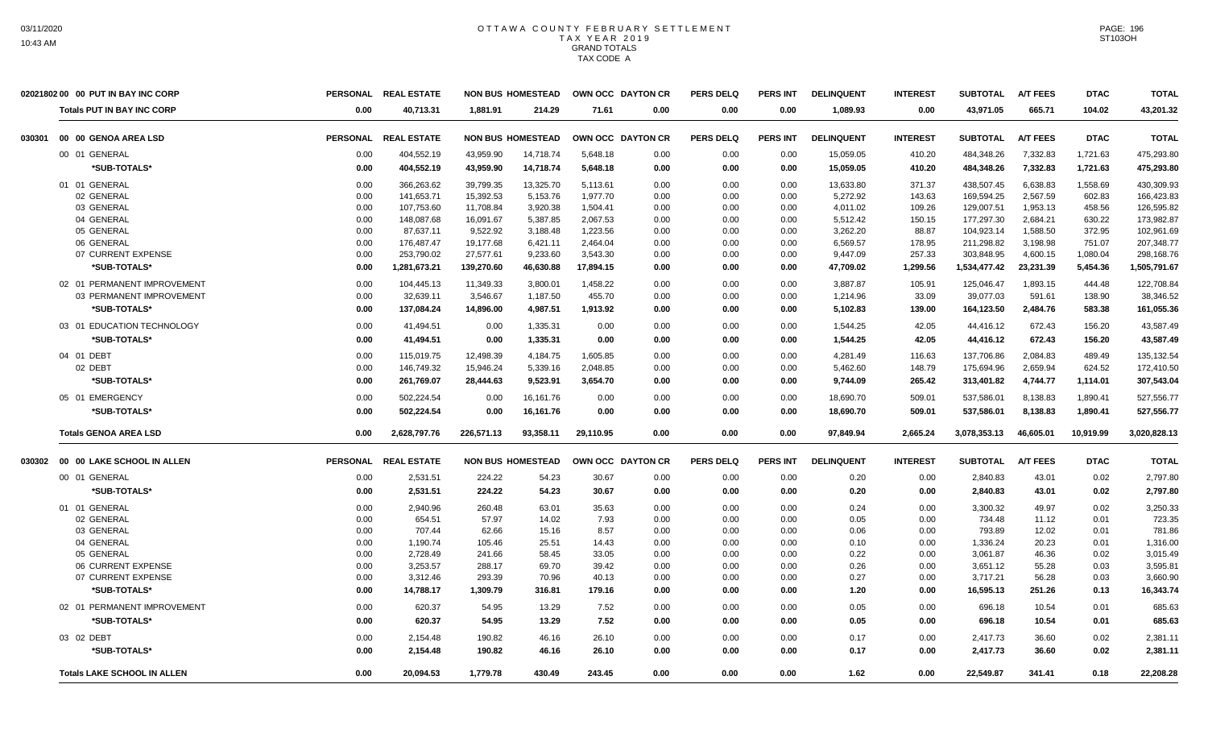|        | 02021802 00 00 PUT IN BAY INC CORP |                 | PERSONAL REAL ESTATE |            | <b>NON BUS HOMESTEAD</b> | OWN OCC DAYTON CR |      | <b>PERS DELQ</b> | <b>PERS INT</b> | <b>DELINQUENT</b> | <b>INTEREST</b> | <b>SUBTOTAL</b> | <b>A/T FEES</b> | <b>DTAC</b> | <b>TOTAL</b> |
|--------|------------------------------------|-----------------|----------------------|------------|--------------------------|-------------------|------|------------------|-----------------|-------------------|-----------------|-----------------|-----------------|-------------|--------------|
|        | <b>Totals PUT IN BAY INC CORP</b>  | 0.00            | 40,713.31            | 1.881.91   | 214.29                   | 71.61             | 0.00 | 0.00             | 0.00            | 1,089.93          | 0.00            | 43,971.05       | 665.71          | 104.02      | 43,201.32    |
| 030301 | 00 00 GENOA AREA LSD               | <b>PERSONAL</b> | <b>REAL ESTATE</b>   |            | <b>NON BUS HOMESTEAD</b> | OWN OCC DAYTON CR |      | <b>PERS DELQ</b> | <b>PERS INT</b> | <b>DELINQUENT</b> | <b>INTEREST</b> | <b>SUBTOTAL</b> | <b>A/T FEES</b> | <b>DTAC</b> | <b>TOTAL</b> |
|        | 00 01 GENERAL                      | 0.00            | 404,552.19           | 43,959.90  | 14,718.74                | 5,648.18          | 0.00 | 0.00             | 0.00            | 15,059.05         | 410.20          | 484,348.26      | 7,332.83        | 1,721.63    | 475,293.80   |
|        | *SUB-TOTALS*                       | 0.00            | 404,552.19           | 43,959.90  | 14,718.74                | 5,648.18          | 0.00 | 0.00             | 0.00            | 15,059.05         | 410.20          | 484,348.26      | 7,332.83        | 1,721.63    | 475,293.80   |
|        | 01 01 GENERAL                      | 0.00            | 366,263.62           | 39,799.35  | 13,325.70                | 5,113.61          | 0.00 | 0.00             | 0.00            | 13,633.80         | 371.37          | 438,507.45      | 6,638.83        | 1,558.69    | 430,309.93   |
|        | 02 GENERAL                         | 0.00            | 141,653.71           | 15,392.53  | 5,153.76                 | 1,977.70          | 0.00 | 0.00             | 0.00            | 5,272.92          | 143.63          | 169,594.25      | 2,567.59        | 602.83      | 166,423.83   |
|        | 03 GENERAL                         | 0.00            | 107,753.60           | 11,708.84  | 3,920.38                 | 1,504.41          | 0.00 | 0.00             | 0.00            | 4,011.02          | 109.26          | 129,007.51      | 1,953.13        | 458.56      | 126,595.82   |
|        | 04 GENERAL                         | 0.00            | 148,087.68           | 16,091.67  | 5,387.85                 | 2,067.53          | 0.00 | 0.00             | 0.00            | 5,512.42          | 150.15          | 177,297.30      | 2,684.21        | 630.22      | 173,982.87   |
|        | 05 GENERAL                         | 0.00            | 87,637.11            | 9,522.92   | 3,188.48                 | 1,223.56          | 0.00 | 0.00             | 0.00            | 3,262.20          | 88.87           | 104,923.14      | 1,588.50        | 372.95      | 102,961.69   |
|        | 06 GENERAL                         | 0.00            | 176,487.47           | 19,177.68  | 6,421.11                 | 2,464.04          | 0.00 | 0.00             | 0.00            | 6,569.57          | 178.95          | 211,298.82      | 3,198.98        | 751.07      | 207,348.77   |
|        | 07 CURRENT EXPENSE                 | 0.00            | 253,790.02           | 27,577.61  | 9,233.60                 | 3,543.30          | 0.00 | 0.00             | 0.00            | 9,447.09          | 257.33          | 303,848.95      | 4,600.15        | 1,080.04    | 298,168.76   |
|        | *SUB-TOTALS*                       | 0.00            | 1,281,673.21         | 139,270.60 | 46,630.88                | 17,894.15         | 0.00 | 0.00             | 0.00            | 47,709.02         | 1,299.56        | 1,534,477.42    | 23,231.39       | 5,454.36    | 1,505,791.67 |
|        | 02 01 PERMANENT IMPROVEMENT        | 0.00            | 104,445.13           | 11,349.33  | 3,800.01                 | 1,458.22          | 0.00 | 0.00             | 0.00            | 3,887.87          | 105.91          | 125,046.47      | 1,893.15        | 444.48      | 122,708.84   |
|        | 03 PERMANENT IMPROVEMENT           | 0.00            | 32,639.11            | 3,546.67   | 1,187.50                 | 455.70            | 0.00 | 0.00             | 0.00            | 1,214.96          | 33.09           | 39,077.03       | 591.61          | 138.90      | 38,346.52    |
|        | *SUB-TOTALS*                       | 0.00            | 137.084.24           | 14,896.00  | 4,987.51                 | 1,913.92          | 0.00 | 0.00             | 0.00            | 5,102.83          | 139.00          | 164,123.50      | 2,484.76        | 583.38      | 161,055.36   |
|        | 03 01 EDUCATION TECHNOLOGY         | 0.00            | 41,494.51            | 0.00       | 1,335.31                 | 0.00              | 0.00 | 0.00             | 0.00            | 1,544.25          | 42.05           | 44,416.12       | 672.43          | 156.20      | 43,587.49    |
|        | *SUB-TOTALS*                       | 0.00            | 41,494.51            | 0.00       | 1,335.31                 | 0.00              | 0.00 | 0.00             | 0.00            | 1,544.25          | 42.05           | 44,416.12       | 672.43          | 156.20      | 43,587.49    |
|        | 04 01 DEBT                         | 0.00            | 115,019.75           | 12,498.39  | 4,184.75                 | 1,605.85          | 0.00 | 0.00             | 0.00            | 4,281.49          | 116.63          | 137,706.86      | 2,084.83        | 489.49      | 135,132.54   |
|        | 02 DEBT                            | 0.00            | 146,749.32           | 15,946.24  | 5,339.16                 | 2,048.85          | 0.00 | 0.00             | 0.00            | 5,462.60          | 148.79          | 175,694.96      | 2,659.94        | 624.52      | 172,410.50   |
|        | *SUB-TOTALS*                       | 0.00            | 261.769.07           | 28,444.63  | 9,523.91                 | 3,654.70          | 0.00 | 0.00             | 0.00            | 9,744.09          | 265.42          | 313,401.82      | 4,744.77        | 1,114.01    | 307,543.04   |
|        | 05 01 EMERGENCY                    | 0.00            | 502,224.54           | 0.00       | 16,161.76                | 0.00              | 0.00 | 0.00             | 0.00            | 18,690.70         | 509.01          | 537,586.01      | 8,138.83        | 1,890.41    | 527,556.77   |
|        | *SUB-TOTALS*                       | 0.00            | 502,224.54           | 0.00       | 16,161.76                | 0.00              | 0.00 | 0.00             | 0.00            | 18,690.70         | 509.01          | 537,586.01      | 8,138.83        | 1,890.41    | 527,556.77   |
|        | <b>Totals GENOA AREA LSD</b>       | 0.00            | 2,628,797.76         | 226,571.13 | 93,358.11                | 29,110.95         | 0.00 | 0.00             | 0.00            | 97,849.94         | 2,665.24        | 3,078,353.13    | 46,605.01       | 10,919.99   | 3,020,828.13 |
|        | 030302 00 00 LAKE SCHOOL IN ALLEN  |                 | PERSONAL REAL ESTATE |            | <b>NON BUS HOMESTEAD</b> | OWN OCC DAYTON CR |      | <b>PERS DELQ</b> | <b>PERS INT</b> | <b>DELINQUENT</b> | <b>INTEREST</b> | <b>SUBTOTAL</b> | <b>A/T FEES</b> | <b>DTAC</b> | <b>TOTAL</b> |
|        | 00 01 GENERAL                      | 0.00            | 2,531.51             | 224.22     | 54.23                    | 30.67             | 0.00 | 0.00             | 0.00            | 0.20              | 0.00            | 2,840.83        | 43.01           | 0.02        | 2,797.80     |
|        | *SUB-TOTALS*                       | 0.00            | 2,531.51             | 224.22     | 54.23                    | 30.67             | 0.00 | 0.00             | 0.00            | 0.20              | 0.00            | 2,840.83        | 43.01           | 0.02        | 2,797.80     |
|        | 01 01 GENERAL                      | 0.00            | 2.940.96             | 260.48     | 63.01                    | 35.63             | 0.00 | 0.00             | 0.00            | 0.24              | 0.00            | 3.300.32        | 49.97           | 0.02        | 3,250.33     |
|        | 02 GENERAL                         | 0.00            | 654.51               | 57.97      | 14.02                    | 7.93              | 0.00 | 0.00             | 0.00            | 0.05              | 0.00            | 734.48          | 11.12           | 0.01        | 723.35       |
|        | 03 GENERAL                         | 0.00            | 707.44               | 62.66      | 15.16                    | 8.57              | 0.00 | 0.00             | 0.00            | 0.06              | 0.00            | 793.89          | 12.02           | 0.01        | 781.86       |
|        | 04 GENERAL                         | 0.00            | 1,190.74             | 105.46     | 25.51                    | 14.43             | 0.00 | 0.00             | 0.00            | 0.10              | 0.00            | 1,336.24        | 20.23           | 0.01        | 1,316.00     |
|        | 05 GENERAL                         | 0.00            | 2,728.49             | 241.66     | 58.45                    | 33.05             | 0.00 | 0.00             | 0.00            | 0.22              | 0.00            | 3,061.87        | 46.36           | 0.02        | 3,015.49     |
|        | 06 CURRENT EXPENSE                 | 0.00            | 3,253.57             | 288.17     | 69.70                    | 39.42             | 0.00 | 0.00             | 0.00            | 0.26              | 0.00            | 3,651.12        | 55.28           | 0.03        | 3,595.81     |
|        | 07 CURRENT EXPENSE                 | 0.00            | 3,312.46             | 293.39     | 70.96                    | 40.13             | 0.00 | 0.00             | 0.00            | 0.27              | 0.00            | 3,717.21        | 56.28           | 0.03        | 3,660.90     |
|        | *SUB-TOTALS*                       | 0.00            | 14,788.17            | 1,309.79   | 316.81                   | 179.16            | 0.00 | 0.00             | 0.00            | 1.20              | 0.00            | 16,595.13       | 251.26          | 0.13        | 16,343.74    |
|        | 02 01 PERMANENT IMPROVEMENT        | 0.00            | 620.37               | 54.95      | 13.29                    | 7.52              | 0.00 | 0.00             | 0.00            | 0.05              | 0.00            | 696.18          | 10.54           | 0.01        | 685.63       |
|        | *SUB-TOTALS*                       | 0.00            | 620.37               | 54.95      | 13.29                    | 7.52              | 0.00 | 0.00             | 0.00            | 0.05              | 0.00            | 696.18          | 10.54           | 0.01        | 685.63       |
|        | 03 02 DEBT                         | 0.00            | 2,154.48             | 190.82     | 46.16                    | 26.10             | 0.00 | 0.00             | 0.00            | 0.17              | 0.00            | 2,417.73        | 36.60           | 0.02        | 2,381.11     |
|        | *SUB-TOTALS*                       | 0.00            | 2,154.48             | 190.82     | 46.16                    | 26.10             | 0.00 | 0.00             | 0.00            | 0.17              | 0.00            | 2,417.73        | 36.60           | 0.02        | 2,381.11     |
|        | <b>Totals LAKE SCHOOL IN ALLEN</b> | 0.00            | 20,094.53            | 1,779.78   | 430.49                   | 243.45            | 0.00 | 0.00             | 0.00            | 1.62              | 0.00            | 22,549.87       | 341.41          | 0.18        | 22,208.28    |
|        |                                    |                 |                      |            |                          |                   |      |                  |                 |                   |                 |                 |                 |             |              |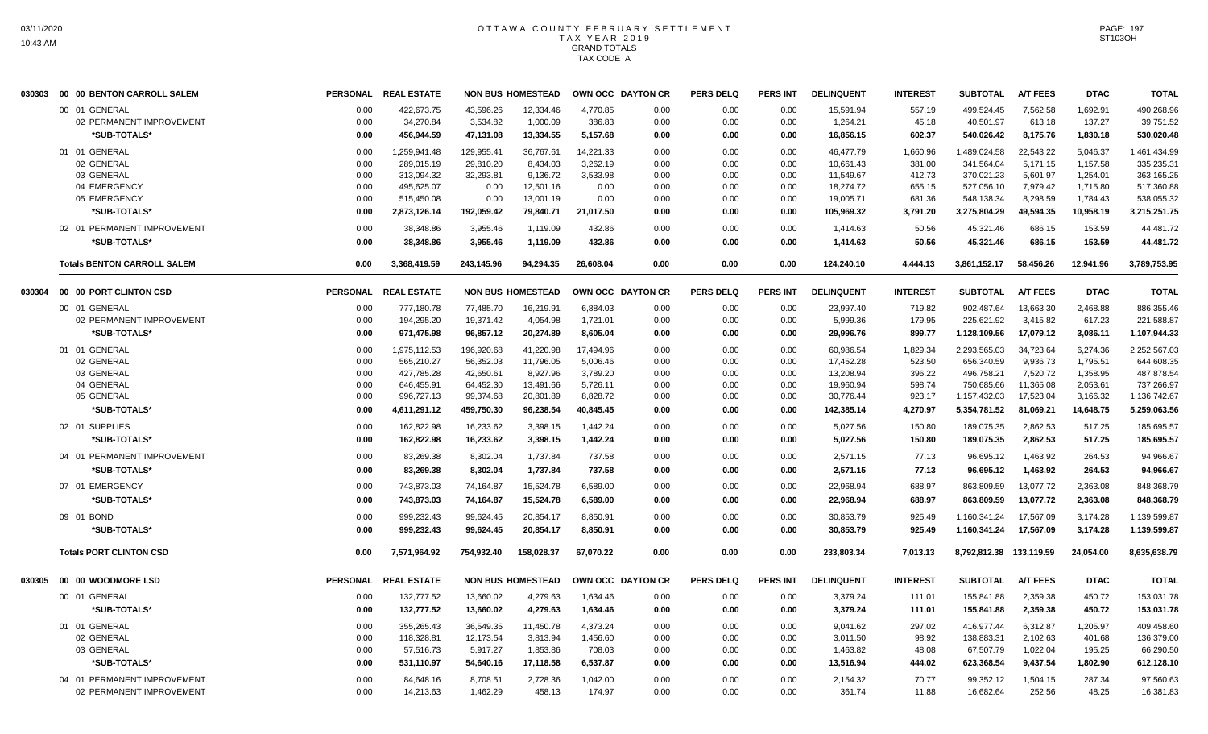| 030303 | 00 00 BENTON CARROLL SALEM         |                 | PERSONAL REAL ESTATE |            | <b>NON BUS HOMESTEAD</b> |           | OWN OCC DAYTON CR | <b>PERS DELQ</b> | <b>PERS INT</b> | <b>DELINQUENT</b> | <b>INTEREST</b> | <b>SUBTOTAL</b>         | <b>A/T FEES</b> | <b>DTAC</b> | <b>TOTAL</b> |
|--------|------------------------------------|-----------------|----------------------|------------|--------------------------|-----------|-------------------|------------------|-----------------|-------------------|-----------------|-------------------------|-----------------|-------------|--------------|
|        | 00 01 GENERAL                      | 0.00            | 422,673.75           | 43,596.26  | 12,334.46                | 4,770.85  | 0.00              | 0.00             | 0.00            | 15,591.94         | 557.19          | 499,524.45              | 7,562.58        | 1,692.91    | 490,268.96   |
|        | 02 PERMANENT IMPROVEMENT           | 0.00            | 34,270.84            | 3,534.82   | 1,000.09                 | 386.83    | 0.00              | 0.00             | 0.00            | 1,264.21          | 45.18           | 40,501.97               | 613.18          | 137.27      | 39,751.52    |
|        | *SUB-TOTALS*                       | 0.00            | 456,944.59           | 47,131.08  | 13,334.55                | 5,157.68  | 0.00              | 0.00             | 0.00            | 16,856.15         | 602.37          | 540,026.42              | 8,175.76        | 1,830.18    | 530,020.48   |
|        | 01 01 GENERAL                      | 0.00            | 1,259,941.48         | 129,955.41 | 36,767.61                | 14,221.33 | 0.00              | 0.00             | 0.00            | 46,477.79         | 1,660.96        | 1,489,024.58            | 22,543.22       | 5,046.37    | 1,461,434.99 |
|        | 02 GENERAL                         | 0.00            | 289,015.19           | 29,810.20  | 8,434.03                 | 3,262.19  | 0.00              | 0.00             | 0.00            | 10,661.43         | 381.00          | 341,564.04              | 5,171.15        | 1,157.58    | 335,235.31   |
|        | 03 GENERAL                         | 0.00            | 313,094.32           | 32,293.81  | 9,136.72                 | 3,533.98  | 0.00              | 0.00             | 0.00            | 11,549.67         | 412.73          | 370,021.23              | 5,601.97        | 1,254.01    | 363,165.25   |
|        | 04 EMERGENCY                       | 0.00            | 495,625.07           | 0.00       | 12,501.16                | 0.00      | 0.00              | 0.00             | 0.00            | 18,274.72         | 655.15          | 527,056.10              | 7.979.42        | 1,715.80    | 517,360.88   |
|        | 05 EMERGENCY                       | 0.00            | 515,450.08           | 0.00       | 13,001.19                | 0.00      | 0.00              | 0.00             | 0.00            | 19,005.71         | 681.36          | 548,138.34              | 8,298.59        | 1,784.43    | 538,055.32   |
|        | *SUB-TOTALS*                       | 0.00            | 2,873,126.14         | 192,059.42 | 79.840.71                | 21.017.50 | 0.00              | 0.00             | 0.00            | 105,969.32        | 3,791.20        | 3.275.804.29            | 49.594.35       | 10,958.19   | 3,215,251.75 |
|        | 02 01 PERMANENT IMPROVEMENT        | 0.00            | 38,348.86            | 3,955.46   | 1.119.09                 | 432.86    | 0.00              | 0.00             | 0.00            | 1,414.63          | 50.56           | 45,321.46               | 686.15          | 153.59      | 44,481.72    |
|        | *SUB-TOTALS*                       | 0.00            | 38,348.86            | 3,955.46   | 1,119.09                 | 432.86    | 0.00              | 0.00             | 0.00            | 1,414.63          | 50.56           | 45,321.46               | 686.15          | 153.59      | 44,481.72    |
|        | <b>Totals BENTON CARROLL SALEM</b> | 0.00            | 3,368,419.59         | 243,145.96 | 94,294.35                | 26.608.04 | 0.00              | 0.00             | 0.00            | 124.240.10        | 4,444.13        | 3,861,152.17            | 58.456.26       | 12.941.96   | 3,789,753.95 |
| 030304 | 00 00 PORT CLINTON CSD             |                 | PERSONAL REAL ESTATE |            | <b>NON BUS HOMESTEAD</b> |           | OWN OCC DAYTON CR | <b>PERS DELQ</b> | <b>PERS INT</b> | <b>DELINQUENT</b> | <b>INTEREST</b> | <b>SUBTOTAL</b>         | <b>A/T FEES</b> | <b>DTAC</b> | <b>TOTAL</b> |
|        | 00 01 GENERAL                      | 0.00            | 777,180.78           | 77,485.70  | 16,219.91                | 6,884.03  | 0.00              | 0.00             | 0.00            | 23,997.40         | 719.82          | 902,487.64              | 13,663.30       | 2,468.88    | 886,355.46   |
|        | 02 PERMANENT IMPROVEMENT           | 0.00            | 194,295.20           | 19,371.42  | 4,054.98                 | 1,721.01  | 0.00              | 0.00             | 0.00            | 5,999.36          | 179.95          | 225,621.92              | 3,415.82        | 617.23      | 221,588.87   |
|        | *SUB-TOTALS*                       | 0.00            | 971,475.98           | 96,857.12  | 20,274.89                | 8,605.04  | 0.00              | 0.00             | 0.00            | 29,996.76         | 899.77          | 1,128,109.56            | 17,079.12       | 3,086.11    | 1,107,944.33 |
|        | 01 01 GENERAL                      | 0.00            | 1,975,112.53         | 196.920.68 | 41.220.98                | 17.494.96 | 0.00              | 0.00             | 0.00            | 60.986.54         | 1,829.34        | 2.293.565.03            | 34.723.64       | 6.274.36    | 2.252.567.03 |
|        | 02 GENERAL                         | 0.00            | 565,210.27           | 56,352.03  | 11,796.05                | 5,006.46  | 0.00              | 0.00             | 0.00            | 17,452.28         | 523.50          | 656,340.59              | 9,936.73        | 1,795.51    | 644,608.35   |
|        | 03 GENERAL                         | 0.00            | 427,785.28           | 42,650.61  | 8,927.96                 | 3,789.20  | 0.00              | 0.00             | 0.00            | 13,208.94         | 396.22          | 496,758.21              | 7,520.72        | 1,358.95    | 487,878.54   |
|        | 04 GENERAL                         | 0.00            | 646,455.91           | 64,452.30  | 13,491.66                | 5,726.11  | 0.00              | 0.00             | 0.00            | 19,960.94         | 598.74          | 750,685.66              | 11,365.08       | 2,053.61    | 737,266.97   |
|        | 05 GENERAL                         | 0.00            | 996,727.13           | 99,374.68  | 20,801.89                | 8,828.72  | 0.00              | 0.00             | 0.00            | 30,776.44         | 923.17          | 1,157,432.03            | 17,523.04       | 3,166.32    | 1,136,742.67 |
|        | *SUB-TOTALS*                       | 0.00            | 4,611,291.12         | 459,750.30 | 96,238.54                | 40,845.45 | 0.00              | 0.00             | 0.00            | 142,385.14        | 4,270.97        | 5,354,781.52            | 81,069.21       | 14,648.75   | 5,259,063.56 |
|        | 02 01 SUPPLIES                     | 0.00            | 162,822.98           | 16,233.62  | 3,398.15                 | 1,442.24  | 0.00              | 0.00             | 0.00            | 5,027.56          | 150.80          | 189,075.35              | 2,862.53        | 517.25      | 185,695.57   |
|        | *SUB-TOTALS*                       | 0.00            | 162,822.98           | 16,233.62  | 3,398.15                 | 1,442.24  | 0.00              | 0.00             | 0.00            | 5,027.56          | 150.80          | 189,075.35              | 2,862.53        | 517.25      | 185,695.57   |
|        | 04 01 PERMANENT IMPROVEMENT        | 0.00            | 83.269.38            | 8.302.04   | 1.737.84                 | 737.58    | 0.00              | 0.00             | 0.00            | 2.571.15          | 77.13           | 96.695.12               | 1.463.92        | 264.53      | 94.966.67    |
|        | *SUB-TOTALS*                       | 0.00            | 83,269.38            | 8,302.04   | 1,737.84                 | 737.58    | 0.00              | 0.00             | 0.00            | 2,571.15          | 77.13           | 96,695.12               | 1,463.92        | 264.53      | 94,966.67    |
|        | 07 01 EMERGENCY                    | 0.00            | 743,873.03           | 74,164.87  | 15,524.78                | 6,589.00  | 0.00              | 0.00             | 0.00            | 22,968.94         | 688.97          | 863,809.59              | 13,077.72       | 2,363.08    | 848,368.79   |
|        | *SUB-TOTALS*                       | 0.00            | 743,873.03           | 74,164.87  | 15,524.78                | 6,589.00  | 0.00              | 0.00             | 0.00            | 22,968.94         | 688.97          | 863,809.59              | 13,077.72       | 2,363.08    | 848,368.79   |
|        | 09 01 BOND                         | 0.00            | 999,232.43           | 99,624.45  | 20,854.17                | 8,850.91  | 0.00              | 0.00             | 0.00            | 30,853.79         | 925.49          | 1,160,341.24            | 17,567.09       | 3,174.28    | 1,139,599.87 |
|        | *SUB-TOTALS*                       | 0.00            | 999,232.43           | 99,624.45  | 20,854.17                | 8,850.91  | 0.00              | 0.00             | 0.00            | 30,853.79         | 925.49          | 1,160,341.24            | 17,567.09       | 3,174.28    | 1,139,599.87 |
|        | <b>Totals PORT CLINTON CSD</b>     | 0.00            | 7.571.964.92         | 754.932.40 | 158.028.37               | 67.070.22 | 0.00              | 0.00             | 0.00            | 233.803.34        | 7.013.13        | 8.792.812.38 133.119.59 |                 | 24.054.00   | 8,635,638.79 |
| 030305 | 00 00 WOODMORE LSD                 | <b>PERSONAL</b> | <b>REAL ESTATE</b>   |            | <b>NON BUS HOMESTEAD</b> |           | OWN OCC DAYTON CR | <b>PERS DELQ</b> | <b>PERS INT</b> | <b>DELINQUENT</b> | <b>INTEREST</b> | <b>SUBTOTAL</b>         | <b>A/T FEES</b> | <b>DTAC</b> | <b>TOTAL</b> |
|        | 00 01 GENERAL                      | 0.00            | 132,777.52           | 13,660.02  | 4,279.63                 | 1,634.46  | 0.00              | 0.00             | 0.00            | 3,379.24          | 111.01          | 155,841.88              | 2,359.38        | 450.72      | 153,031.78   |
|        | *SUB-TOTALS*                       | 0.00            | 132,777.52           | 13.660.02  | 4,279.63                 | 1,634.46  | 0.00              | 0.00             | 0.00            | 3,379.24          | 111.01          | 155,841.88              | 2,359.38        | 450.72      | 153,031.78   |
|        | 01 01 GENERAL                      | 0.00            | 355,265.43           | 36,549.35  | 11,450.78                | 4,373.24  | 0.00              | 0.00             | 0.00            | 9,041.62          | 297.02          | 416.977.44              | 6.312.87        | 1,205.97    | 409,458.60   |
|        | 02 GENERAL                         | 0.00            | 118.328.81           | 12.173.54  | 3.813.94                 | 1,456.60  | 0.00              | 0.00             | 0.00            | 3.011.50          | 98.92           | 138.883.31              | 2.102.63        | 401.68      | 136.379.00   |
|        | 03 GENERAL                         | 0.00            | 57,516.73            | 5,917.27   | 1,853.86                 | 708.03    | 0.00              | 0.00             | 0.00            | 1,463.82          | 48.08           | 67,507.79               | 1,022.04        | 195.25      | 66,290.50    |
|        | *SUB-TOTALS*                       | 0.00            | 531,110.97           | 54,640.16  | 17.118.58                | 6,537.87  | 0.00              | 0.00             | 0.00            | 13,516.94         | 444.02          | 623,368.54              | 9,437.54        | 1,802.90    | 612,128.10   |
|        | 04 01 PERMANENT IMPROVEMENT        | 0.00            | 84,648.16            | 8,708.51   | 2,728.36                 | 1,042.00  | 0.00              | 0.00             | 0.00            | 2,154.32          | 70.77           | 99,352.12               | 1,504.15        | 287.34      | 97.560.63    |
|        | 02 PERMANENT IMPROVEMENT           | 0.00            | 14.213.63            | 1.462.29   | 458.13                   | 174.97    | 0.00              | 0.00             | 0.00            | 361.74            | 11.88           | 16.682.64               | 252.56          | 48.25       | 16.381.83    |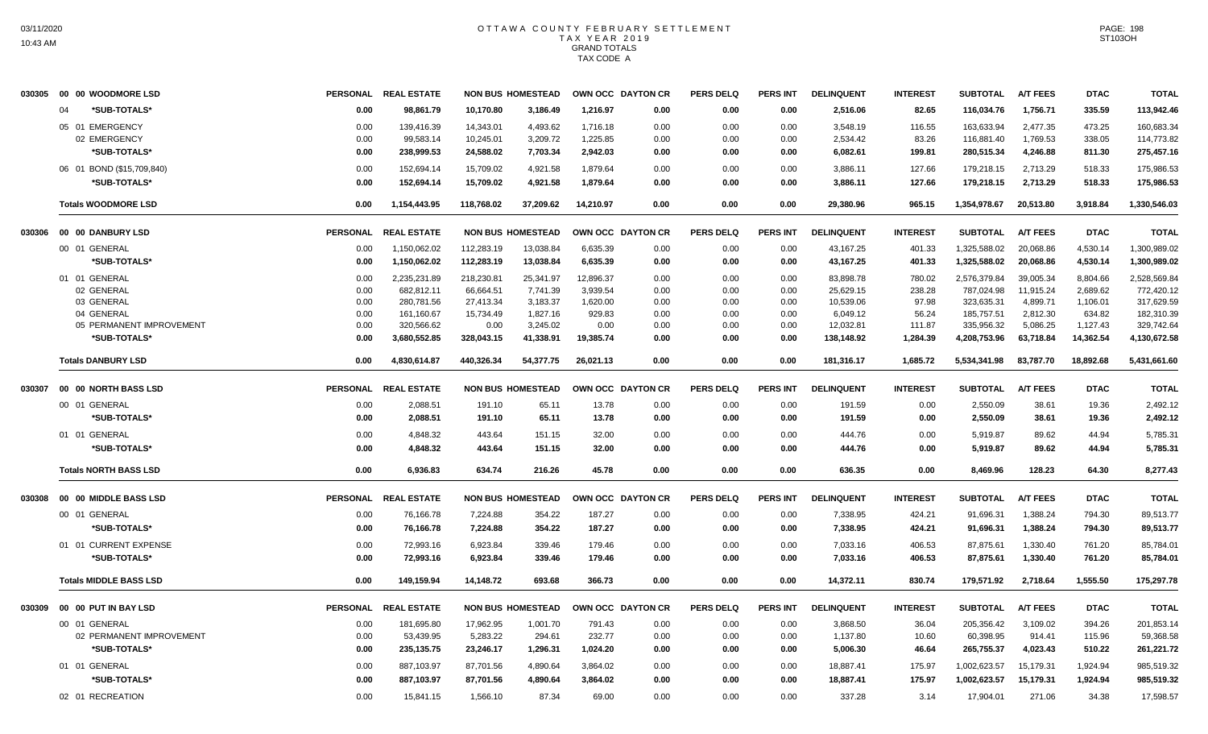|        | 030305 00 00 WOODMORE LSD     | <b>PERSONAL</b> | <b>REAL ESTATE</b>   |            | <b>NON BUS HOMESTEAD</b> | OWN OCC DAYTON CR |      | <b>PERS DELQ</b> | PERS INT        | <b>DELINQUENT</b> | <b>INTEREST</b> | <b>SUBTOTAL</b> | <b>A/T FEES</b> | <b>DTAC</b> | <b>TOTAL</b> |
|--------|-------------------------------|-----------------|----------------------|------------|--------------------------|-------------------|------|------------------|-----------------|-------------------|-----------------|-----------------|-----------------|-------------|--------------|
|        | *SUB-TOTALS*<br>$\Omega$      | 0.00            | 98.861.79            | 10.170.80  | 3,186.49                 | 1.216.97          | 0.00 | 0.00             | 0.00            | 2,516.06          | 82.65           | 116.034.76      | 1.756.71        | 335.59      | 113,942.46   |
|        | 05 01 EMERGENCY               | 0.00            | 139,416.39           | 14.343.01  | 4.493.62                 | 1.716.18          | 0.00 | 0.00             | 0.00            | 3.548.19          | 116.55          | 163.633.94      | 2.477.35        | 473.25      | 160.683.34   |
|        | 02 EMERGENCY                  | 0.00            | 99,583.14            | 10,245.01  | 3,209.72                 | 1,225.85          | 0.00 | 0.00             | 0.00            | 2,534.42          | 83.26           | 116,881.40      | 1,769.53        | 338.05      | 114,773.82   |
|        | *SUB-TOTALS*                  | 0.00            | 238,999.53           | 24,588.02  | 7,703.34                 | 2,942.03          | 0.00 | 0.00             | 0.00            | 6,082.61          | 199.81          | 280,515.34      | 4,246.88        | 811.30      | 275,457.16   |
|        | 06 01 BOND (\$15,709,840)     | 0.00            | 152,694.14           | 15,709.02  | 4,921.58                 | 1,879.64          | 0.00 | 0.00             | 0.00            | 3,886.11          | 127.66          | 179,218.15      | 2,713.29        | 518.33      | 175,986.53   |
|        | *SUB-TOTALS*                  | 0.00            | 152,694.14           | 15,709.02  | 4,921.58                 | 1,879.64          | 0.00 | 0.00             | 0.00            | 3,886.11          | 127.66          | 179,218.15      | 2,713.29        | 518.33      | 175,986.53   |
|        | <b>Totals WOODMORE LSD</b>    | 0.00            | 1,154,443.95         | 118,768.02 | 37,209.62                | 14,210.97         | 0.00 | 0.00             | 0.00            | 29,380.96         | 965.15          | 1,354,978.67    | 20,513.80       | 3,918.84    | 1,330,546.03 |
|        |                               | <b>PERSONAL</b> | <b>REAL ESTATE</b>   |            | <b>NON BUS HOMESTEAD</b> | OWN OCC DAYTON CR |      | <b>PERS DELQ</b> | <b>PERS INT</b> | <b>DELINQUENT</b> | <b>INTEREST</b> | <b>SUBTOTAL</b> | <b>A/T FEES</b> | <b>DTAC</b> | <b>TOTAL</b> |
|        | 00 01 GENERAL                 | 0.00            | 1,150,062.02         | 112,283.19 | 13,038.84                | 6,635.39          | 0.00 | 0.00             | 0.00            | 43,167.25         | 401.33          | 1,325,588.02    | 20,068.86       | 4,530.14    | 1,300,989.02 |
|        | *SUB-TOTALS*                  | 0.00            | 1,150,062.02         | 112,283.19 | 13,038.84                | 6,635.39          | 0.00 | 0.00             | 0.00            | 43,167.25         | 401.33          | 1,325,588.02    | 20,068.86       | 4,530.14    | 1,300,989.02 |
|        | 01 01 GENERAL                 | 0.00            | 2,235,231.89         | 218,230.81 | 25,341.97                | 12,896.37         | 0.00 | 0.00             | 0.00            | 83,898.78         | 780.02          | 2,576,379.84    | 39,005.34       | 8,804.66    | 2,528,569.84 |
|        | 02 GENERAL                    | 0.00            | 682,812.11           | 66,664.51  | 7,741.39                 | 3,939.54          | 0.00 | 0.00             | 0.00            | 25,629.15         | 238.28          | 787,024.98      | 11,915.24       | 2,689.62    | 772,420.12   |
|        | 03 GENERAL                    | 0.00            | 280,781.56           | 27,413.34  | 3,183.37                 | 1,620.00          | 0.00 | 0.00             | 0.00            | 10,539.06         | 97.98           | 323,635.31      | 4,899.71        | 1,106.01    | 317,629.59   |
|        | 04 GENERAL                    | 0.00            | 161,160.67           | 15,734.49  | 1,827.16                 | 929.83            | 0.00 | 0.00             | 0.00            | 6,049.12          | 56.24           | 185,757.51      | 2,812.30        | 634.82      | 182,310.39   |
|        | 05 PERMANENT IMPROVEMENT      | 0.00            | 320,566.62           | 0.00       | 3.245.02                 | 0.00              | 0.00 | 0.00             | 0.00            | 12,032.81         | 111.87          | 335.956.32      | 5.086.25        | 1,127.43    | 329,742.64   |
|        | *SUB-TOTALS*                  | 0.00            | 3,680,552.85         | 328,043.15 | 41,338.91                | 19,385.74         | 0.00 | 0.00             | 0.00            | 138,148.92        | 1,284.39        | 4,208,753.96    | 63,718.84       | 14,362.54   | 4,130,672.58 |
|        | <b>Totals DANBURY LSD</b>     | 0.00            | 4,830,614.87         | 440,326.34 | 54,377.75                | 26,021.13         | 0.00 | 0.00             | 0.00            | 181,316.17        | 1,685.72        | 5,534,341.98    | 83,787.70       | 18,892.68   | 5,431,661.60 |
| 030307 | 00 00 NORTH BASS LSD          |                 | PERSONAL REAL ESTATE |            | <b>NON BUS HOMESTEAD</b> | OWN OCC DAYTON CR |      | <b>PERS DELQ</b> | <b>PERS INT</b> | <b>DELINQUENT</b> | <b>INTEREST</b> | <b>SUBTOTAL</b> | <b>A/T FEES</b> | <b>DTAC</b> | <b>TOTAL</b> |
|        | 00 01 GENERAL                 | 0.00            | 2,088.51             | 191.10     | 65.11                    | 13.78             | 0.00 | 0.00             | 0.00            | 191.59            | 0.00            | 2,550.09        | 38.61           | 19.36       | 2,492.12     |
|        | *SUB-TOTALS*                  | 0.00            | 2,088.51             | 191.10     | 65.11                    | 13.78             | 0.00 | 0.00             | 0.00            | 191.59            | 0.00            | 2,550.09        | 38.61           | 19.36       | 2,492.12     |
|        | 01 01 GENERAL                 | 0.00            | 4,848.32             | 443.64     | 151.15                   | 32.00             | 0.00 | 0.00             | 0.00            | 444.76            | 0.00            | 5,919.87        | 89.62           | 44.94       | 5,785.31     |
|        | *SUB-TOTALS*                  | 0.00            | 4.848.32             | 443.64     | 151.15                   | 32.00             | 0.00 | 0.00             | 0.00            | 444.76            | 0.00            | 5,919.87        | 89.62           | 44.94       | 5,785.31     |
|        | <b>Totals NORTH BASS LSD</b>  | 0.00            | 6,936.83             | 634.74     | 216.26                   | 45.78             | 0.00 | 0.00             | 0.00            | 636.35            | 0.00            | 8,469.96        | 128.23          | 64.30       | 8,277.43     |
| 030308 | 00 00 MIDDLE BASS LSD         | <b>PERSONAL</b> | <b>REAL ESTATE</b>   |            | <b>NON BUS HOMESTEAD</b> | OWN OCC DAYTON CR |      | <b>PERS DELQ</b> | <b>PERS INT</b> | <b>DELINQUENT</b> | <b>INTEREST</b> | <b>SUBTOTAL</b> | <b>A/T FEES</b> | <b>DTAC</b> | <b>TOTAL</b> |
|        | 00 01 GENERAL                 | 0.00            | 76,166.78            | 7.224.88   | 354.22                   | 187.27            | 0.00 | 0.00             | 0.00            | 7,338.95          | 424.21          | 91,696.31       | 1.388.24        | 794.30      | 89.513.77    |
|        | *SUB-TOTALS*                  | 0.00            | 76,166.78            | 7,224.88   | 354.22                   | 187.27            | 0.00 | 0.00             | 0.00            | 7,338.95          | 424.21          | 91,696.31       | 1,388.24        | 794.30      | 89,513.77    |
|        | 01 01 CURRENT EXPENSE         | 0.00            | 72,993.16            | 6,923.84   | 339.46                   | 179.46            | 0.00 | 0.00             | 0.00            | 7,033.16          | 406.53          | 87,875.61       | 1,330.40        | 761.20      | 85,784.01    |
|        | *SUB-TOTALS*                  | 0.00            | 72,993.16            | 6,923.84   | 339.46                   | 179.46            | 0.00 | 0.00             | 0.00            | 7,033.16          | 406.53          | 87,875.61       | 1,330.40        | 761.20      | 85,784.01    |
|        | <b>Totals MIDDLE BASS LSD</b> | 0.00            | 149,159.94           | 14,148.72  | 693.68                   | 366.73            | 0.00 | 0.00             | 0.00            | 14,372.11         | 830.74          | 179,571.92      | 2,718.64        | 1,555.50    | 175,297.78   |
|        |                               |                 | PERSONAL REAL ESTATE |            | <b>NON BUS HOMESTEAD</b> | OWN OCC DAYTON CR |      | <b>PERS DELQ</b> | <b>PERS INT</b> | <b>DELINQUENT</b> | <b>INTEREST</b> | <b>SUBTOTAL</b> | <b>A/T FEES</b> | <b>DTAC</b> | <b>TOTAL</b> |
|        | 00 01 GENERAL                 | 0.00            | 181,695.80           | 17,962.95  | 1,001.70                 | 791.43            | 0.00 | 0.00             | 0.00            | 3,868.50          | 36.04           | 205,356.42      | 3,109.02        | 394.26      | 201,853.14   |
|        | 02 PERMANENT IMPROVEMENT      | 0.00            | 53,439.95            | 5,283.22   | 294.61                   | 232.77            | 0.00 | 0.00             | 0.00            | 1,137.80          | 10.60           | 60,398.95       | 914.41          | 115.96      | 59,368.58    |
|        | *SUB-TOTALS*                  | 0.00            | 235, 135. 75         | 23,246.17  | 1,296.31                 | 1,024.20          | 0.00 | 0.00             | 0.00            | 5,006.30          | 46.64           | 265,755.37      | 4,023.43        | 510.22      | 261,221.72   |
|        | 01 01 GENERAL                 | 0.00            | 887,103.97           | 87,701.56  | 4,890.64                 | 3,864.02          | 0.00 | 0.00             | 0.00            | 18,887.41         | 175.97          | 1,002,623.57    | 15,179.31       | 1,924.94    | 985,519.32   |
|        | *SUB-TOTALS*                  | 0.00            | 887,103.97           | 87,701.56  | 4,890.64                 | 3,864.02          | 0.00 | 0.00             | 0.00            | 18,887.41         | 175.97          | 1,002,623.57    | 15,179.31       | 1,924.94    | 985,519.32   |
|        | 02 01 RECREATION              | 0.00            | 15,841.15            | 1,566.10   | 87.34                    | 69.00             | 0.00 | 0.00             | 0.00            | 337.28            | 3.14            | 17,904.01       | 271.06          | 34.38       | 17.598.57    |
|        |                               |                 |                      |            |                          |                   |      |                  |                 |                   |                 |                 |                 |             |              |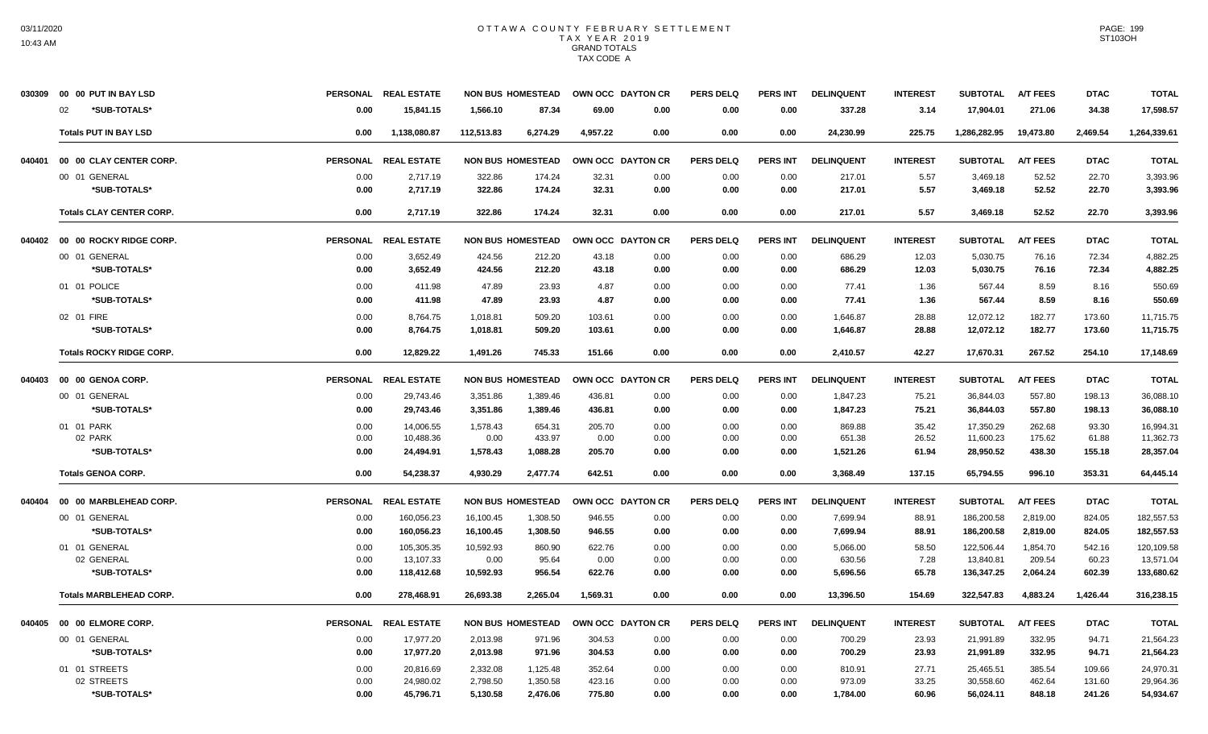|        | 030309 00 00 PUT IN BAY LSD     |      | PERSONAL REAL ESTATE |            | <b>NON BUS HOMESTEAD</b> | OWN OCC DAYTON CR |      | <b>PERS DELQ</b> | <b>PERS INT</b> | <b>DELINQUENT</b> | <b>INTEREST</b> | <b>SUBTOTAL</b> | <b>A/T FEES</b> | <b>DTAC</b> | <b>TOTAL</b> |
|--------|---------------------------------|------|----------------------|------------|--------------------------|-------------------|------|------------------|-----------------|-------------------|-----------------|-----------------|-----------------|-------------|--------------|
|        | *SUB-TOTALS*<br>02              | 0.00 | 15,841.15            | 1,566.10   | 87.34                    | 69.00             | 0.00 | 0.00             | 0.00            | 337.28            | 3.14            | 17,904.01       | 271.06          | 34.38       | 17,598.57    |
|        | <b>Totals PUT IN BAY LSD</b>    | 0.00 | 1,138,080.87         | 112,513.83 | 6,274.29                 | 4.957.22          | 0.00 | 0.00             | 0.00            | 24.230.99         | 225.75          | 1,286,282.95    | 19,473.80       | 2.469.54    | 1,264,339.61 |
| 040401 | 00 00 CLAY CENTER CORP.         |      | PERSONAL REAL ESTATE |            | <b>NON BUS HOMESTEAD</b> | OWN OCC DAYTON CR |      | <b>PERS DELQ</b> | <b>PERS INT</b> | <b>DELINQUENT</b> | <b>INTEREST</b> | <b>SUBTOTAL</b> | <b>A/T FEES</b> | <b>DTAC</b> | <b>TOTAL</b> |
|        | 00 01 GENERAL                   | 0.00 | 2,717.19             | 322.86     | 174.24                   | 32.31             | 0.00 | 0.00             | 0.00            | 217.01            | 5.57            | 3,469.18        | 52.52           | 22.70       | 3,393.96     |
|        | *SUB-TOTALS*                    | 0.00 | 2,717.19             | 322.86     | 174.24                   | 32.31             | 0.00 | 0.00             | 0.00            | 217.01            | 5.57            | 3,469.18        | 52.52           | 22.70       | 3,393.96     |
|        | <b>Totals CLAY CENTER CORP.</b> | 0.00 | 2.717.19             | 322.86     | 174.24                   | 32.31             | 0.00 | 0.00             | 0.00            | 217.01            | 5.57            | 3,469.18        | 52.52           | 22.70       | 3,393.96     |
| 040402 | 00 00 ROCKY RIDGE CORP.         |      | PERSONAL REAL ESTATE |            | <b>NON BUS HOMESTEAD</b> | OWN OCC DAYTON CR |      | <b>PERS DELQ</b> | <b>PERS INT</b> | <b>DELINQUENT</b> | <b>INTEREST</b> | <b>SUBTOTAL</b> | <b>A/T FEES</b> | <b>DTAC</b> | <b>TOTAL</b> |
|        | 00 01 GENERAL                   | 0.00 | 3,652.49             | 424.56     | 212.20                   | 43.18             | 0.00 | 0.00             | 0.00            | 686.29            | 12.03           | 5,030.75        | 76.16           | 72.34       | 4,882.25     |
|        | *SUB-TOTALS*                    | 0.00 | 3,652.49             | 424.56     | 212.20                   | 43.18             | 0.00 | 0.00             | 0.00            | 686.29            | 12.03           | 5,030.75        | 76.16           | 72.34       | 4,882.25     |
|        | 01 01 POLICE                    | 0.00 | 411.98               | 47.89      | 23.93                    | 4.87              | 0.00 | 0.00             | 0.00            | 77.41             | 1.36            | 567.44          | 8.59            | 8.16        | 550.69       |
|        | *SUB-TOTALS*                    | 0.00 | 411.98               | 47.89      | 23.93                    | 4.87              | 0.00 | 0.00             | 0.00            | 77.41             | 1.36            | 567.44          | 8.59            | 8.16        | 550.69       |
|        | 02 01 FIRE                      | 0.00 | 8,764.75             | 1,018.81   | 509.20                   | 103.61            | 0.00 | 0.00             | 0.00            | 1,646.87          | 28.88           | 12,072.12       | 182.77          | 173.60      | 11,715.75    |
|        | *SUB-TOTALS*                    | 0.00 | 8,764.75             | 1,018.81   | 509.20                   | 103.61            | 0.00 | 0.00             | 0.00            | 1,646.87          | 28.88           | 12,072.12       | 182.77          | 173.60      | 11,715.75    |
|        | <b>Totals ROCKY RIDGE CORP.</b> | 0.00 | 12,829.22            | 1,491.26   | 745.33                   | 151.66            | 0.00 | 0.00             | 0.00            | 2,410.57          | 42.27           | 17,670.31       | 267.52          | 254.10      | 17,148.69    |
| 040403 | 00 00 GENOA CORP.               |      | PERSONAL REAL ESTATE |            | <b>NON BUS HOMESTEAD</b> | OWN OCC DAYTON CR |      | <b>PERS DELQ</b> | <b>PERS INT</b> | <b>DELINQUENT</b> | <b>INTEREST</b> | <b>SUBTOTAL</b> | <b>A/T FEES</b> | <b>DTAC</b> | <b>TOTAL</b> |
|        | 00 01 GENERAL                   | 0.00 | 29,743.46            | 3,351.86   | 1,389.46                 | 436.81            | 0.00 | 0.00             | 0.00            | 1,847.23          | 75.21           | 36,844.03       | 557.80          | 198.13      | 36,088.10    |
|        | *SUB-TOTALS*                    | 0.00 | 29,743.46            | 3,351.86   | 1,389.46                 | 436.81            | 0.00 | 0.00             | 0.00            | 1,847.23          | 75.21           | 36,844.03       | 557.80          | 198.13      | 36,088.10    |
|        | 01 01 PARK                      | 0.00 | 14,006.55            | 1,578.43   | 654.31                   | 205.70            | 0.00 | 0.00             | 0.00            | 869.88            | 35.42           | 17,350.29       | 262.68          | 93.30       | 16,994.31    |
|        | 02 PARK                         | 0.00 | 10,488.36            | 0.00       | 433.97                   | 0.00              | 0.00 | 0.00             | 0.00            | 651.38            | 26.52           | 11,600.23       | 175.62          | 61.88       | 11,362.73    |
|        | *SUB-TOTALS*                    | 0.00 | 24,494.91            | 1,578.43   | 1,088.28                 | 205.70            | 0.00 | 0.00             | 0.00            | 1,521.26          | 61.94           | 28,950.52       | 438.30          | 155.18      | 28,357.04    |
|        | <b>Totals GENOA CORP.</b>       | 0.00 | 54,238.37            | 4,930.29   | 2,477.74                 | 642.51            | 0.00 | 0.00             | 0.00            | 3,368.49          | 137.15          | 65,794.55       | 996.10          | 353.31      | 64,445.14    |
| 040404 | 00 00 MARBLEHEAD CORP.          |      | PERSONAL REAL ESTATE |            | <b>NON BUS HOMESTEAD</b> | OWN OCC DAYTON CR |      | <b>PERS DELQ</b> | <b>PERS INT</b> | <b>DELINQUENT</b> | <b>INTEREST</b> | <b>SUBTOTAL</b> | <b>A/T FEES</b> | <b>DTAC</b> | <b>TOTAL</b> |
|        | 00 01 GENERAL                   | 0.00 | 160,056.23           | 16,100.45  | 1,308.50                 | 946.55            | 0.00 | 0.00             | 0.00            | 7,699.94          | 88.91           | 186,200.58      | 2,819.00        | 824.05      | 182,557.53   |
|        | *SUB-TOTALS*                    | 0.00 | 160,056.23           | 16,100.45  | 1,308.50                 | 946.55            | 0.00 | 0.00             | 0.00            | 7,699.94          | 88.91           | 186,200.58      | 2,819.00        | 824.05      | 182,557.53   |
|        | 01 01 GENERAL                   | 0.00 | 105,305.35           | 10,592.93  | 860.90                   | 622.76            | 0.00 | 0.00             | 0.00            | 5,066.00          | 58.50           | 122,506.44      | 1,854.70        | 542.16      | 120,109.58   |
|        | 02 GENERAL                      | 0.00 | 13,107.33            | 0.00       | 95.64                    | 0.00              | 0.00 | 0.00             | 0.00            | 630.56            | 7.28            | 13,840.81       | 209.54          | 60.23       | 13,571.04    |
|        | *SUB-TOTALS*                    | 0.00 | 118,412.68           | 10,592.93  | 956.54                   | 622.76            | 0.00 | 0.00             | 0.00            | 5,696.56          | 65.78           | 136,347.25      | 2,064.24        | 602.39      | 133,680.62   |
|        | <b>Totals MARBLEHEAD CORP.</b>  | 0.00 | 278,468.91           | 26,693.38  | 2,265.04                 | 1,569.31          | 0.00 | 0.00             | 0.00            | 13,396.50         | 154.69          | 322,547.83      | 4,883.24        | 1,426.44    | 316,238.15   |
| 040405 | 00 00 ELMORE CORP.              |      | PERSONAL REAL ESTATE |            | <b>NON BUS HOMESTEAD</b> | OWN OCC DAYTON CR |      | <b>PERS DELQ</b> | <b>PERS INT</b> | <b>DELINQUENT</b> | <b>INTEREST</b> | <b>SUBTOTAL</b> | <b>A/T FEES</b> | <b>DTAC</b> | <b>TOTAL</b> |
|        | 00 01 GENERAL                   | 0.00 | 17,977.20            | 2,013.98   | 971.96                   | 304.53            | 0.00 | 0.00             | 0.00            | 700.29            | 23.93           | 21,991.89       | 332.95          | 94.71       | 21,564.23    |
|        | *SUB-TOTALS*                    | 0.00 | 17,977.20            | 2,013.98   | 971.96                   | 304.53            | 0.00 | 0.00             | 0.00            | 700.29            | 23.93           | 21,991.89       | 332.95          | 94.71       | 21,564.23    |
|        | 01 01 STREETS                   | 0.00 | 20,816.69            | 2.332.08   | 1,125.48                 | 352.64            | 0.00 | 0.00             | 0.00            | 810.91            | 27.71           | 25,465.51       | 385.54          | 109.66      | 24,970.31    |
|        | 02 STREETS                      | 0.00 | 24,980.02            | 2,798.50   | 1,350.58                 | 423.16            | 0.00 | 0.00             | 0.00            | 973.09            | 33.25           | 30,558.60       | 462.64          | 131.60      | 29,964.36    |
|        | *SUB-TOTALS*                    | 0.00 | 45,796.71            | 5,130.58   | 2,476.06                 | 775.80            | 0.00 | 0.00             | 0.00            | 1.784.00          | 60.96           | 56,024.11       | 848.18          | 241.26      | 54,934.67    |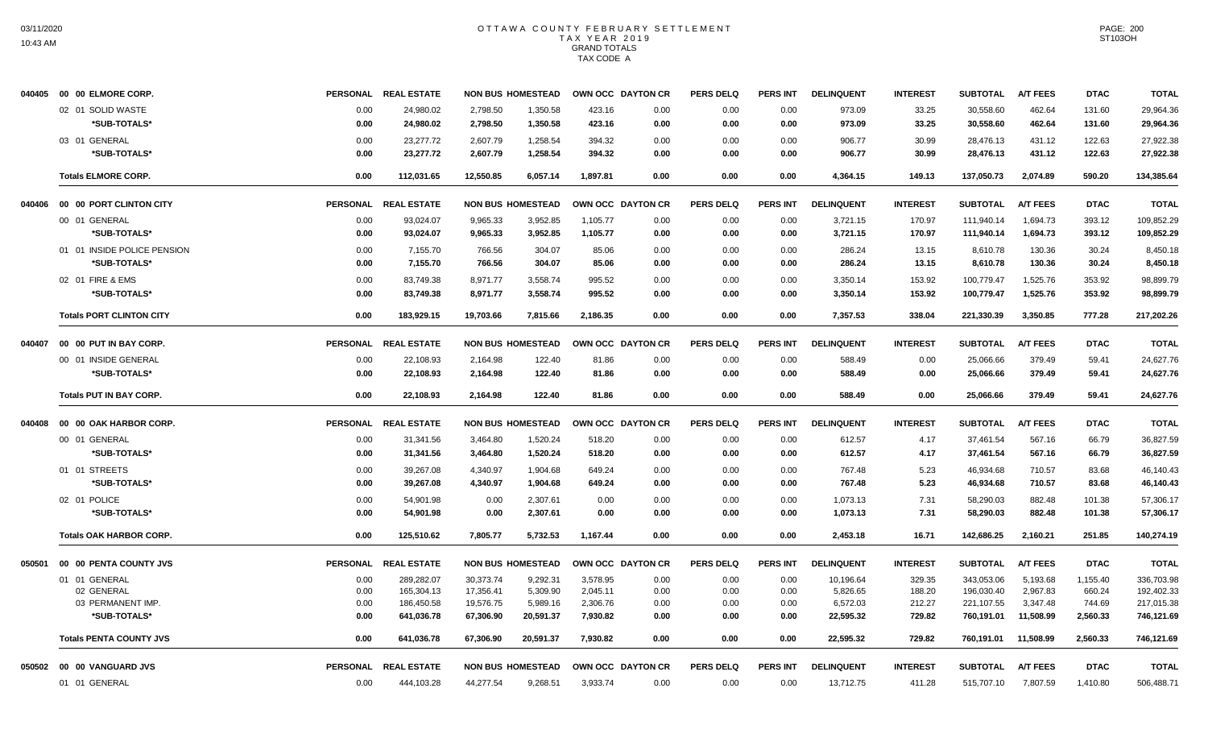|        | 040405 00 00 ELMORE CORP.       |                 | PERSONAL REAL ESTATE |           | <b>NON BUS HOMESTEAD</b> | OWN OCC DAYTON CR |      | <b>PERS DELQ</b> | <b>PERS INT</b> | <b>DELINQUENT</b> | <b>INTEREST</b> | <b>SUBTOTAL</b> | <b>A/T FEES</b> | <b>DTAC</b> | <b>TOTAL</b> |
|--------|---------------------------------|-----------------|----------------------|-----------|--------------------------|-------------------|------|------------------|-----------------|-------------------|-----------------|-----------------|-----------------|-------------|--------------|
|        | 02 01 SOLID WASTE               | 0.00            | 24,980.02            | 2,798.50  | 1,350.58                 | 423.16            | 0.00 | 0.00             | 0.00            | 973.09            | 33.25           | 30,558.60       | 462.64          | 131.60      | 29,964.36    |
|        | *SUB-TOTALS*                    | 0.00            | 24,980.02            | 2,798.50  | 1,350.58                 | 423.16            | 0.00 | 0.00             | 0.00            | 973.09            | 33.25           | 30,558.60       | 462.64          | 131.60      | 29,964.36    |
|        | 03 01 GENERAL                   | 0.00            | 23.277.72            | 2,607.79  | 1,258.54                 | 394.32            | 0.00 | 0.00             | 0.00            | 906.77            | 30.99           | 28.476.13       | 431.12          | 122.63      | 27,922.38    |
|        | *SUB-TOTALS*                    | 0.00            | 23,277.72            | 2,607.79  | 1,258.54                 | 394.32            | 0.00 | 0.00             | 0.00            | 906.77            | 30.99           | 28,476.13       | 431.12          | 122.63      | 27,922.38    |
|        | <b>Totals ELMORE CORP.</b>      | 0.00            | 112,031.65           | 12.550.85 | 6.057.14                 | 1,897.81          | 0.00 | 0.00             | 0.00            | 4,364.15          | 149.13          | 137,050.73      | 2,074.89        | 590.20      | 134,385.64   |
| 040406 | 00 00 PORT CLINTON CITY         |                 | PERSONAL REAL ESTATE |           | <b>NON BUS HOMESTEAD</b> | OWN OCC DAYTON CR |      | <b>PERS DELQ</b> | <b>PERS INT</b> | <b>DELINQUENT</b> | <b>INTEREST</b> | <b>SUBTOTAL</b> | A/T FEES        | <b>DTAC</b> | <b>TOTAL</b> |
|        | 00 01 GENERAL                   | 0.00            | 93,024.07            | 9,965.33  | 3,952.85                 | 1,105.77          | 0.00 | 0.00             | 0.00            | 3,721.15          | 170.97          | 111,940.14      | 1,694.73        | 393.12      | 109,852.29   |
|        | *SUB-TOTALS*                    | 0.00            | 93,024.07            | 9,965.33  | 3,952.85                 | 1,105.77          | 0.00 | 0.00             | 0.00            | 3,721.15          | 170.97          | 111,940.14      | 1,694.73        | 393.12      | 109,852.29   |
|        | 01 01 INSIDE POLICE PENSION     | 0.00            | 7,155.70             | 766.56    | 304.07                   | 85.06             | 0.00 | 0.00             | 0.00            | 286.24            | 13.15           | 8,610.78        | 130.36          | 30.24       | 8,450.18     |
|        | *SUB-TOTALS*                    | 0.00            | 7,155.70             | 766.56    | 304.07                   | 85.06             | 0.00 | 0.00             | 0.00            | 286.24            | 13.15           | 8,610.78        | 130.36          | 30.24       | 8.450.18     |
|        | 02 01 FIRE & EMS                | 0.00            | 83,749.38            | 8,971.77  | 3,558.74                 | 995.52            | 0.00 | 0.00             | 0.00            | 3,350.14          | 153.92          | 100,779.47      | 1,525.76        | 353.92      | 98,899.79    |
|        | *SUB-TOTALS*                    | 0.00            | 83,749.38            | 8,971.77  | 3,558.74                 | 995.52            | 0.00 | 0.00             | 0.00            | 3,350.14          | 153.92          | 100,779.47      | 1,525.76        | 353.92      | 98,899.79    |
|        | <b>Totals PORT CLINTON CITY</b> | 0.00            | 183,929.15           | 19,703.66 | 7,815.66                 | 2,186.35          | 0.00 | 0.00             | 0.00            | 7,357.53          | 338.04          | 221,330.39      | 3,350.85        | 777.28      | 217,202.26   |
| 040407 | 00 00 PUT IN BAY CORP.          | <b>PERSONAL</b> | <b>REAL ESTATE</b>   |           | <b>NON BUS HOMESTEAD</b> | OWN OCC DAYTON CR |      | <b>PERS DELQ</b> | PERS INT        | <b>DELINQUENT</b> | <b>INTEREST</b> | <b>SUBTOTAL</b> | <b>A/T FEES</b> | <b>DTAC</b> | <b>TOTAL</b> |
|        | 00 01 INSIDE GENERAL            | 0.00            | 22,108.93            | 2,164.98  | 122.40                   | 81.86             | 0.00 | 0.00             | 0.00            | 588.49            | 0.00            | 25,066.66       | 379.49          | 59.41       | 24,627.76    |
|        | *SUB-TOTALS*                    | 0.00            | 22,108.93            | 2.164.98  | 122.40                   | 81.86             | 0.00 | 0.00             | 0.00            | 588.49            | 0.00            | 25,066.66       | 379.49          | 59.41       | 24,627.76    |
|        | <b>Totals PUT IN BAY CORP.</b>  | 0.00            | 22,108.93            | 2,164.98  | 122.40                   | 81.86             | 0.00 | 0.00             | 0.00            | 588.49            | 0.00            | 25,066.66       | 379.49          | 59.41       | 24,627.76    |
| 040408 | 00 00 OAK HARBOR CORP.          |                 | PERSONAL REAL ESTATE |           | <b>NON BUS HOMESTEAD</b> | OWN OCC DAYTON CR |      | <b>PERS DELQ</b> | <b>PERS INT</b> | <b>DELINQUENT</b> | <b>INTEREST</b> | <b>SUBTOTAL</b> | <b>A/T FEES</b> | <b>DTAC</b> | <b>TOTAL</b> |
|        | 00 01 GENERAL                   | 0.00            | 31,341.56            | 3,464.80  | 1,520.24                 | 518.20            | 0.00 | 0.00             | 0.00            | 612.57            | 4.17            | 37,461.54       | 567.16          | 66.79       | 36,827.59    |
|        | *SUB-TOTALS*                    | 0.00            | 31,341.56            | 3,464.80  | 1,520.24                 | 518.20            | 0.00 | 0.00             | 0.00            | 612.57            | 4.17            | 37,461.54       | 567.16          | 66.79       | 36,827.59    |
|        | 01 01 STREETS                   | 0.00            | 39,267.08            | 4,340.97  | 1,904.68                 | 649.24            | 0.00 | 0.00             | 0.00            | 767.48            | 5.23            | 46,934.68       | 710.57          | 83.68       | 46,140.43    |
|        | *SUB-TOTALS*                    | 0.00            | 39,267.08            | 4,340.97  | 1,904.68                 | 649.24            | 0.00 | 0.00             | 0.00            | 767.48            | 5.23            | 46,934.68       | 710.57          | 83.68       | 46,140.43    |
|        | 02 01 POLICE                    | 0.00            | 54,901.98            | 0.00      | 2,307.61                 | 0.00              | 0.00 | 0.00             | 0.00            | 1,073.13          | 7.31            | 58,290.03       | 882.48          | 101.38      | 57,306.17    |
|        | *SUB-TOTALS*                    | 0.00            | 54,901.98            | 0.00      | 2,307.61                 | 0.00              | 0.00 | 0.00             | 0.00            | 1,073.13          | 7.31            | 58,290.03       | 882.48          | 101.38      | 57,306.17    |
|        | <b>Totals OAK HARBOR CORP.</b>  | 0.00            | 125.510.62           | 7.805.77  | 5,732.53                 | 1.167.44          | 0.00 | 0.00             | 0.00            | 2,453.18          | 16.71           | 142.686.25      | 2.160.21        | 251.85      | 140,274.19   |
| 050501 | 00 00 PENTA COUNTY JVS          | <b>PERSONAL</b> | <b>REAL ESTATE</b>   |           | <b>NON BUS HOMESTEAD</b> | OWN OCC DAYTON CR |      | <b>PERS DELQ</b> | PERS INT        | <b>DELINQUENT</b> | <b>INTEREST</b> | <b>SUBTOTAL</b> | <b>A/T FEES</b> | <b>DTAC</b> | <b>TOTAL</b> |
|        | 01 01 GENERAL                   | 0.00            | 289,282.07           | 30,373.74 | 9,292.31                 | 3,578.95          | 0.00 | 0.00             | 0.00            | 10,196.64         | 329.35          | 343,053.06      | 5,193.68        | 1,155.40    | 336,703.98   |
|        | 02 GENERAL                      | 0.00            | 165,304.13           | 17,356.41 | 5,309.90                 | 2,045.11          | 0.00 | 0.00             | 0.00            | 5,826.65          | 188.20          | 196,030.40      | 2,967.83        | 660.24      | 192,402.33   |
|        | 03 PERMANENT IMP.               | 0.00            | 186,450.58           | 19,576.75 | 5,989.16                 | 2,306.76          | 0.00 | 0.00             | 0.00            | 6,572.03          | 212.27          | 221,107.55      | 3,347.48        | 744.69      | 217,015.38   |
|        | *SUB-TOTALS*                    | 0.00            | 641,036.78           | 67,306.90 | 20,591.37                | 7,930.82          | 0.00 | 0.00             | 0.00            | 22,595.32         | 729.82          | 760,191.01      | 11,508.99       | 2,560.33    | 746,121.69   |
|        | <b>Totals PENTA COUNTY JVS</b>  | 0.00            | 641,036.78           | 67,306.90 | 20,591.37                | 7.930.82          | 0.00 | 0.00             | 0.00            | 22,595.32         | 729.82          | 760,191.01      | 11.508.99       | 2,560.33    | 746,121.69   |
| 050502 | 00 00 VANGUARD JVS              | <b>PERSONAL</b> | <b>REAL ESTATE</b>   |           | <b>NON BUS HOMESTEAD</b> | OWN OCC DAYTON CR |      | PERS DELQ        | <b>PERS INT</b> | <b>DELINQUENT</b> | <b>INTEREST</b> | <b>SUBTOTAL</b> | <b>A/T FEES</b> | <b>DTAC</b> | <b>TOTAL</b> |
|        | 01 01 GENERAL                   | 0.00            | 444,103.28           | 44,277.54 | 9,268.51                 | 3,933.74          | 0.00 | 0.00             | 0.00            | 13,712.75         | 411.28          | 515,707.10      | 7,807.59        | 1,410.80    | 506,488.71   |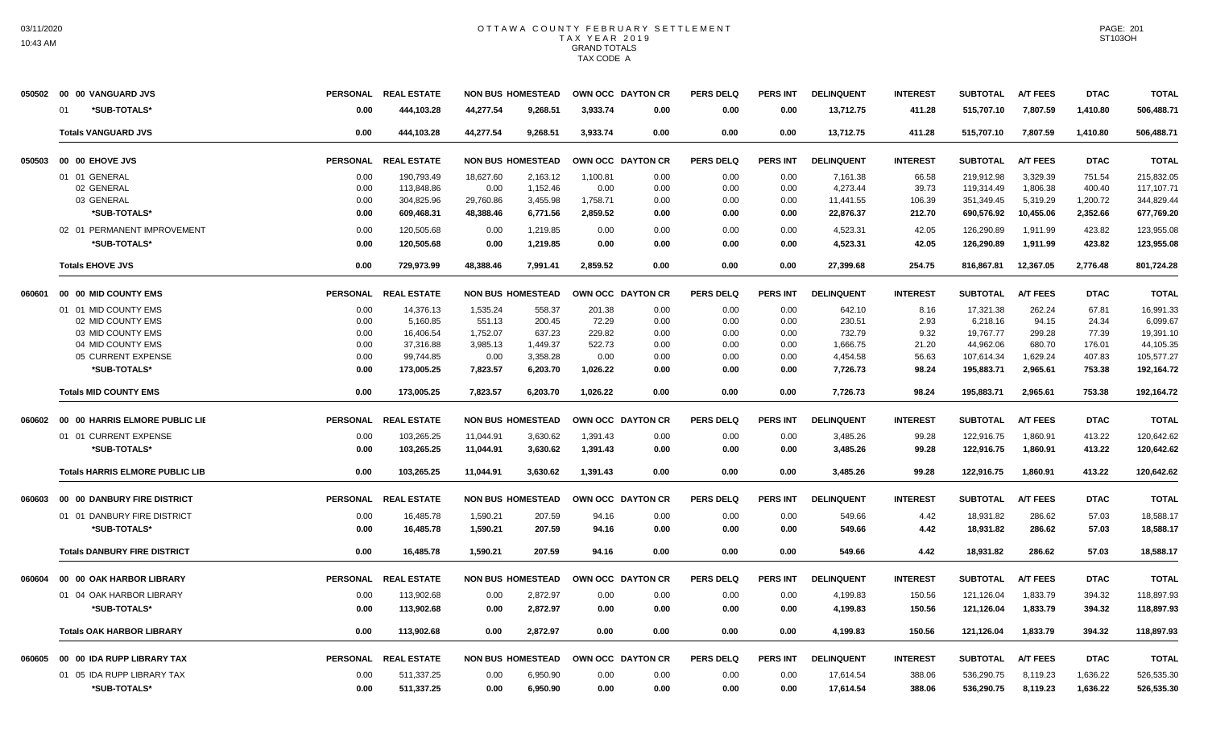|        | 050502 00 00 VANGUARD JVS              | <b>PERSONAL</b> | <b>REAL ESTATE</b>   | <b>NON BUS HOMESTEAD</b> |          | OWN OCC DAYTON CR |      | <b>PERS DELQ</b> | PERS INT        | <b>DELINQUENT</b> | <b>INTEREST</b> | <b>SUBTOTAL</b> | <b>A/T FEES</b> | <b>DTAC</b> | <b>TOTAL</b> |
|--------|----------------------------------------|-----------------|----------------------|--------------------------|----------|-------------------|------|------------------|-----------------|-------------------|-----------------|-----------------|-----------------|-------------|--------------|
|        | *SUB-TOTALS*<br>01                     | 0.00            | 444,103.28           | 44.277.54                | 9.268.51 | 3.933.74          | 0.00 | 0.00             | 0.00            | 13,712.75         | 411.28          | 515,707.10      | 7,807.59        | 1,410.80    | 506,488.71   |
|        | <b>Totals VANGUARD JVS</b>             | 0.00            | 444.103.28           | 44.277.54                | 9.268.51 | 3.933.74          | 0.00 | 0.00             | 0.00            | 13.712.75         | 411.28          | 515.707.10      | 7.807.59        | 1.410.80    | 506.488.71   |
| 050503 | 00 00 EHOVE JVS                        | <b>PERSONAL</b> | <b>REAL ESTATE</b>   | <b>NON BUS HOMESTEAD</b> |          | OWN OCC DAYTON CR |      | <b>PERS DELQ</b> | <b>PERS INT</b> | <b>DELINQUENT</b> | <b>INTEREST</b> | <b>SUBTOTAL</b> | <b>A/T FEES</b> | <b>DTAC</b> | <b>TOTAL</b> |
|        | 01 01 GENERAL                          | 0.00            | 190,793.49           | 18,627.60                | 2,163.12 | 1,100.81          | 0.00 | 0.00             | 0.00            | 7,161.38          | 66.58           | 219.912.98      | 3.329.39        | 751.54      | 215,832.05   |
|        | 02 GENERAL                             | 0.00            | 113,848.86           | 0.00                     | 1,152.46 | 0.00              | 0.00 | 0.00             | 0.00            | 4,273.44          | 39.73           | 119,314.49      | 1,806.38        | 400.40      | 117,107.71   |
|        | 03 GENERAL                             | 0.00            | 304,825.96           | 29,760.86                | 3,455.98 | 1,758.71          | 0.00 | 0.00             | 0.00            | 11,441.55         | 106.39          | 351,349.45      | 5,319.29        | 1,200.72    | 344,829.44   |
|        | *SUB-TOTALS*                           | 0.00            | 609,468.31           | 48,388.46                | 6,771.56 | 2,859.52          | 0.00 | 0.00             | 0.00            | 22,876.37         | 212.70          | 690,576.92      | 10,455.06       | 2,352.66    | 677,769.20   |
|        | 02 01 PERMANENT IMPROVEMENT            | 0.00            | 120,505.68           | 0.00                     | 1,219.85 | 0.00              | 0.00 | 0.00             | 0.00            | 4,523.31          | 42.05           | 126,290.89      | 1,911.99        | 423.82      | 123,955.08   |
|        | *SUB-TOTALS*                           | 0.00            | 120.505.68           | 0.00                     | 1.219.85 | 0.00              | 0.00 | 0.00             | 0.00            | 4,523.31          | 42.05           | 126.290.89      | 1.911.99        | 423.82      | 123,955.08   |
|        | <b>Totals EHOVE JVS</b>                | 0.00            | 729.973.99           | 48.388.46                | 7.991.41 | 2.859.52          | 0.00 | 0.00             | 0.00            | 27.399.68         | 254.75          | 816.867.81      | 12.367.05       | 2.776.48    | 801,724.28   |
| 060601 | 00 00 MID COUNTY EMS                   |                 | PERSONAL REAL ESTATE | <b>NON BUS HOMESTEAD</b> |          | OWN OCC DAYTON CR |      | <b>PERS DELQ</b> | <b>PERS INT</b> | <b>DELINQUENT</b> | <b>INTEREST</b> | <b>SUBTOTAL</b> | <b>A/T FEES</b> | <b>DTAC</b> | <b>TOTAL</b> |
|        | 01 01 MID COUNTY EMS                   | 0.00            | 14,376.13            | 1,535.24                 | 558.37   | 201.38            | 0.00 | 0.00             | 0.00            | 642.10            | 8.16            | 17,321.38       | 262.24          | 67.81       | 16.991.33    |
|        | 02 MID COUNTY EMS                      | 0.00            | 5,160.85             | 551.13                   | 200.45   | 72.29             | 0.00 | 0.00             | 0.00            | 230.51            | 2.93            | 6,218.16        | 94.15           | 24.34       | 6,099.67     |
|        | 03 MID COUNTY EMS                      | 0.00            | 16,406.54            | 1,752.07                 | 637.23   | 229.82            | 0.00 | 0.00             | 0.00            | 732.79            | 9.32            | 19,767.77       | 299.28          | 77.39       | 19,391.10    |
|        | 04 MID COUNTY EMS                      | 0.00            | 37,316.88            | 3,985.13                 | 1,449.37 | 522.73            | 0.00 | 0.00             | 0.00            | 1,666.75          | 21.20           | 44,962.06       | 680.70          | 176.01      | 44,105.35    |
|        | 05 CURRENT EXPENSE                     | 0.00            | 99,744.85            | 0.00                     | 3,358.28 | 0.00              | 0.00 | 0.00             | 0.00            | 4,454.58          | 56.63           | 107,614.34      | 1,629.24        | 407.83      | 105,577.27   |
|        | *SUB-TOTALS*                           | 0.00            | 173,005.25           | 7,823.57                 | 6,203.70 | 1,026.22          | 0.00 | 0.00             | 0.00            | 7,726.73          | 98.24           | 195,883.71      | 2,965.61        | 753.38      | 192,164.72   |
|        | <b>Totals MID COUNTY EMS</b>           | 0.00            | 173,005.25           | 7,823.57                 | 6,203.70 | 1,026.22          | 0.00 | 0.00             | 0.00            | 7,726.73          | 98.24           | 195,883.71      | 2,965.61        | 753.38      | 192,164.72   |
| 060602 | 00 00 HARRIS ELMORE PUBLIC LIE         | <b>PERSONAL</b> | <b>REAL ESTATE</b>   | <b>NON BUS HOMESTEAD</b> |          | OWN OCC DAYTON CR |      | <b>PERS DELQ</b> | <b>PERS INT</b> | <b>DELINQUENT</b> | <b>INTEREST</b> | <b>SUBTOTAL</b> | <b>A/T FEES</b> | <b>DTAC</b> | <b>TOTAL</b> |
|        | 01 01 CURRENT EXPENSE                  | 0.00            | 103,265.25           | 11,044.91                | 3,630.62 | 1,391.43          | 0.00 | 0.00             | 0.00            | 3,485.26          | 99.28           | 122,916.75      | 1,860.91        | 413.22      | 120,642.62   |
|        | *SUB-TOTALS*                           | 0.00            | 103,265.25           | 11,044.91                | 3,630.62 | 1,391.43          | 0.00 | 0.00             | 0.00            | 3,485.26          | 99.28           | 122,916.75      | 1,860.91        | 413.22      | 120,642.62   |
|        | <b>Totals HARRIS ELMORE PUBLIC LIB</b> | 0.00            | 103.265.25           | 11.044.91                | 3.630.62 | 1.391.43          | 0.00 | 0.00             | 0.00            | 3.485.26          | 99.28           | 122.916.75      | 1.860.91        | 413.22      | 120.642.62   |
| 060603 | 00 00 DANBURY FIRE DISTRICT            | <b>PERSONAL</b> | <b>REAL ESTATE</b>   | <b>NON BUS HOMESTEAD</b> |          | OWN OCC DAYTON CR |      | <b>PERS DELQ</b> | <b>PERS INT</b> | <b>DELINQUENT</b> | <b>INTEREST</b> | <b>SUBTOTAL</b> | <b>A/T FEES</b> | <b>DTAC</b> | <b>TOTAL</b> |
|        | 01 01 DANBURY FIRE DISTRICT            | 0.00            | 16,485.78            | 1,590.21                 | 207.59   | 94.16             | 0.00 | 0.00             | 0.00            | 549.66            | 4.42            | 18,931.82       | 286.62          | 57.03       | 18.588.17    |
|        | *SUB-TOTALS*                           | 0.00            | 16,485.78            | 1,590.21                 | 207.59   | 94.16             | 0.00 | 0.00             | 0.00            | 549.66            | 4.42            | 18,931.82       | 286.62          | 57.03       | 18,588.17    |
|        | <b>Totals DANBURY FIRE DISTRICT</b>    | 0.00            | 16,485.78            | 1,590.21                 | 207.59   | 94.16             | 0.00 | 0.00             | 0.00            | 549.66            | 4.42            | 18,931.82       | 286.62          | 57.03       | 18,588.17    |
| 060604 | 00 00 OAK HARBOR LIBRARY               | <b>PERSONAL</b> | <b>REAL ESTATE</b>   | <b>NON BUS HOMESTEAD</b> |          | OWN OCC DAYTON CR |      | PERS DELO        | <b>PERS INT</b> | <b>DELINQUENT</b> | <b>INTEREST</b> | <b>SUBTOTAL</b> | <b>A/T FEES</b> | <b>DTAC</b> | <b>TOTAL</b> |
|        | 01 04 OAK HARBOR LIBRARY               | 0.00            | 113,902.68           | 0.00                     | 2,872.97 | 0.00              | 0.00 | 0.00             | 0.00            | 4,199.83          | 150.56          | 121,126.04      | 1,833.79        | 394.32      | 118,897.93   |
|        | *SUB-TOTALS*                           | 0.00            | 113,902.68           | 0.00                     | 2,872.97 | 0.00              | 0.00 | 0.00             | 0.00            | 4,199.83          | 150.56          | 121,126.04      | 1,833.79        | 394.32      | 118,897.93   |
|        | <b>Totals OAK HARBOR LIBRARY</b>       | 0.00            | 113,902.68           | 0.00                     | 2,872.97 | 0.00              | 0.00 | 0.00             | 0.00            | 4,199.83          | 150.56          | 121,126.04      | 1,833.79        | 394.32      | 118,897.93   |
| 060605 | 00 00 IDA RUPP LIBRARY TAX             | <b>PERSONAL</b> | <b>REAL ESTATE</b>   | <b>NON BUS HOMESTEAD</b> |          | OWN OCC DAYTON CR |      | <b>PERS DELQ</b> | <b>PERS INT</b> | <b>DELINQUENT</b> | <b>INTEREST</b> | <b>SUBTOTAL</b> | <b>A/T FEES</b> | <b>DTAC</b> | <b>TOTAL</b> |
|        | 01 05 IDA RUPP LIBRARY TAX             | 0.00            | 511,337.25           | 0.00                     | 6.950.90 | 0.00              | 0.00 | 0.00             | 0.00            | 17,614.54         | 388.06          | 536,290.75      | 8,119.23        | 1,636.22    | 526,535.30   |
|        | *SUB-TOTALS*                           | 0.00            | 511,337.25           | 0.00                     | 6.950.90 | 0.00              | 0.00 | 0.00             | 0.00            | 17,614.54         | 388.06          | 536,290.75      | 8,119.23        | 1,636.22    | 526,535.30   |
|        |                                        |                 |                      |                          |          |                   |      |                  |                 |                   |                 |                 |                 |             |              |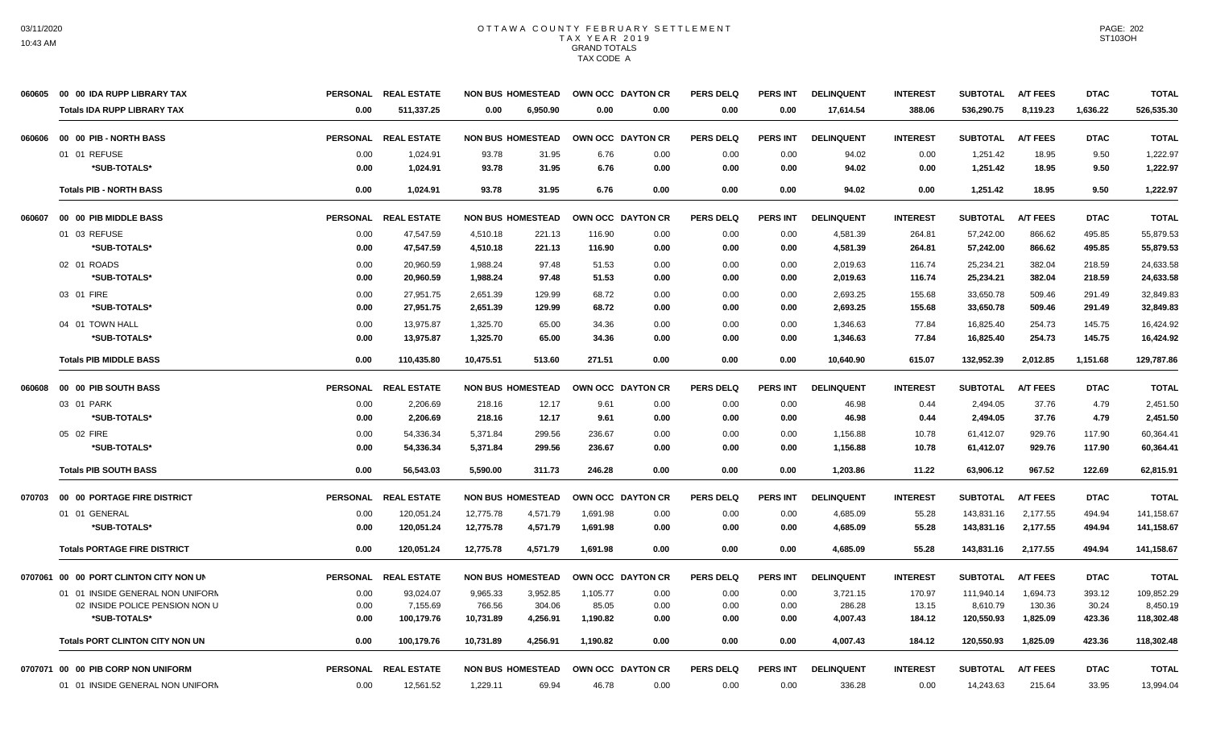|        | 060605 00 00 IDA RUPP LIBRARY TAX      | <b>PERSONAL</b> | <b>REAL ESTATE</b>   | <b>NON BUS HOMESTEAD</b> |          | OWN OCC DAYTON CR |      | <b>PERS DELQ</b> | <b>PERS INT</b> | <b>DELINQUENT</b> | <b>INTEREST</b> | <b>SUBTOTAL</b> | <b>A/T FEES</b> | <b>DTAC</b> | <b>TOTAL</b> |
|--------|----------------------------------------|-----------------|----------------------|--------------------------|----------|-------------------|------|------------------|-----------------|-------------------|-----------------|-----------------|-----------------|-------------|--------------|
|        | <b>Totals IDA RUPP LIBRARY TAX</b>     | 0.00            | 511,337.25           | 0.00                     | 6.950.90 | 0.00              | 0.00 | 0.00             | 0.00            | 17,614.54         | 388.06          | 536,290.75      | 8,119.23        | 1,636.22    | 526,535.30   |
| 060606 | 00 00 PIB - NORTH BASS                 |                 | PERSONAL REAL ESTATE | <b>NON BUS HOMESTEAD</b> |          | OWN OCC DAYTON CR |      | <b>PERS DELQ</b> | PERS INT        | <b>DELINQUENT</b> | <b>INTEREST</b> | <b>SUBTOTAL</b> | <b>A/T FEES</b> | <b>DTAC</b> | <b>TOTAL</b> |
|        | 01 01 REFUSE                           | 0.00            | 1,024.91             | 93.78                    | 31.95    | 6.76              | 0.00 | 0.00             | 0.00            | 94.02             | 0.00            | 1,251.42        | 18.95           | 9.50        | 1,222.97     |
|        | *SUB-TOTALS*                           | 0.00            | 1,024.91             | 93.78                    | 31.95    | 6.76              | 0.00 | 0.00             | 0.00            | 94.02             | 0.00            | 1,251.42        | 18.95           | 9.50        | 1,222.97     |
|        | <b>Totals PIB - NORTH BASS</b>         | 0.00            | 1.024.91             | 93.78                    | 31.95    | 6.76              | 0.00 | 0.00             | 0.00            | 94.02             | 0.00            | 1,251.42        | 18.95           | 9.50        | 1,222.97     |
| 060607 | 00 00 PIB MIDDLE BASS                  |                 | PERSONAL REAL ESTATE | <b>NON BUS HOMESTEAD</b> |          | OWN OCC DAYTON CR |      | <b>PERS DELQ</b> | <b>PERS INT</b> | <b>DELINQUENT</b> | <b>INTEREST</b> | <b>SUBTOTAL</b> | <b>A/T FEES</b> | <b>DTAC</b> | <b>TOTAL</b> |
|        | 01 03 REFUSE                           | 0.00            | 47.547.59            | 4.510.18                 | 221.13   | 116.90            | 0.00 | 0.00             | 0.00            | 4,581.39          | 264.81          | 57.242.00       | 866.62          | 495.85      | 55.879.53    |
|        | *SUB-TOTALS*                           | 0.00            | 47,547.59            | 4,510.18                 | 221.13   | 116.90            | 0.00 | 0.00             | 0.00            | 4,581.39          | 264.81          | 57,242.00       | 866.62          | 495.85      | 55,879.53    |
|        | 02 01 ROADS                            | 0.00            | 20,960.59            | 1.988.24                 | 97.48    | 51.53             | 0.00 | 0.00             | 0.00            | 2.019.63          | 116.74          | 25,234.21       | 382.04          | 218.59      | 24,633.58    |
|        | *SUB-TOTALS*                           | 0.00            | 20,960.59            | 1,988.24                 | 97.48    | 51.53             | 0.00 | 0.00             | 0.00            | 2,019.63          | 116.74          | 25,234.21       | 382.04          | 218.59      | 24,633.58    |
|        | 03 01 FIRE                             | 0.00            | 27,951.75            | 2,651.39                 | 129.99   | 68.72             | 0.00 | 0.00             | 0.00            | 2,693.25          | 155.68          | 33,650.78       | 509.46          | 291.49      | 32,849.83    |
|        | *SUB-TOTALS*                           | 0.00            | 27,951.75            | 2,651.39                 | 129.99   | 68.72             | 0.00 | 0.00             | 0.00            | 2,693.25          | 155.68          | 33,650.78       | 509.46          | 291.49      | 32,849.83    |
|        | 04 01 TOWN HALL                        | 0.00            | 13,975.87            | 1,325.70                 | 65.00    | 34.36             | 0.00 | 0.00             | 0.00            | 1,346.63          | 77.84           | 16,825.40       | 254.73          | 145.75      | 16,424.92    |
|        | *SUB-TOTALS*                           | 0.00            | 13,975.87            | 1,325.70                 | 65.00    | 34.36             | 0.00 | 0.00             | 0.00            | 1,346.63          | 77.84           | 16,825.40       | 254.73          | 145.75      | 16,424.92    |
|        | <b>Totals PIB MIDDLE BASS</b>          | 0.00            | 110,435.80           | 10,475.51                | 513.60   | 271.51            | 0.00 | 0.00             | 0.00            | 10,640.90         | 615.07          | 132,952.39      | 2,012.85        | 1,151.68    | 129,787.86   |
| 060608 | 00 00 PIB SOUTH BASS                   | <b>PERSONAL</b> | <b>REAL ESTATE</b>   | <b>NON BUS HOMESTEAD</b> |          | OWN OCC DAYTON CR |      | <b>PERS DELQ</b> | <b>PERS INT</b> | <b>DELINQUENT</b> | <b>INTEREST</b> | <b>SUBTOTAL</b> | <b>A/T FEES</b> | <b>DTAC</b> | <b>TOTAL</b> |
|        | 03 01 PARK                             | 0.00            | 2,206.69             | 218.16                   | 12.17    | 9.61              | 0.00 | 0.00             | 0.00            | 46.98             | 0.44            | 2,494.05        | 37.76           | 4.79        | 2,451.50     |
|        | *SUB-TOTALS*                           | 0.00            | 2,206.69             | 218.16                   | 12.17    | 9.61              | 0.00 | 0.00             | 0.00            | 46.98             | 0.44            | 2,494.05        | 37.76           | 4.79        | 2,451.50     |
|        | 05 02 FIRE                             | 0.00            | 54.336.34            | 5.371.84                 | 299.56   | 236.67            | 0.00 | 0.00             | 0.00            | 1,156.88          | 10.78           | 61,412.07       | 929.76          | 117.90      | 60.364.41    |
|        | *SUB-TOTALS*                           | 0.00            | 54,336.34            | 5,371.84                 | 299.56   | 236.67            | 0.00 | 0.00             | 0.00            | 1,156.88          | 10.78           | 61,412.07       | 929.76          | 117.90      | 60,364.41    |
|        | <b>Totals PIB SOUTH BASS</b>           | 0.00            | 56.543.03            | 5.590.00                 | 311.73   | 246.28            | 0.00 | 0.00             | 0.00            | 1.203.86          | 11.22           | 63.906.12       | 967.52          | 122.69      | 62,815.91    |
| 070703 | 00 00 PORTAGE FIRE DISTRICT            | <b>PERSONAL</b> | <b>REAL ESTATE</b>   | <b>NON BUS HOMESTEAD</b> |          | OWN OCC DAYTON CR |      | <b>PERS DELQ</b> | <b>PERS INT</b> | <b>DELINQUENT</b> | <b>INTEREST</b> | <b>SUBTOTAL</b> | <b>A/T FEES</b> | <b>DTAC</b> | <b>TOTAL</b> |
|        | 01 01 GENERAL                          | 0.00            | 120,051.24           | 12,775.78                | 4,571.79 | 1,691.98          | 0.00 | 0.00             | 0.00            | 4,685.09          | 55.28           | 143,831.16      | 2,177.55        | 494.94      | 141,158.67   |
|        | *SUB-TOTALS*                           | 0.00            | 120,051.24           | 12,775.78                | 4,571.79 | 1,691.98          | 0.00 | 0.00             | 0.00            | 4,685.09          | 55.28           | 143,831.16      | 2,177.55        | 494.94      | 141,158.67   |
|        | <b>Totals PORTAGE FIRE DISTRICT</b>    | 0.00            | 120.051.24           | 12.775.78                | 4,571.79 | 1.691.98          | 0.00 | 0.00             | 0.00            | 4.685.09          | 55.28           | 143.831.16      | 2.177.55        | 494.94      | 141,158.67   |
|        | 0707061 00 00 PORT CLINTON CITY NON UN | <b>PERSONAL</b> | <b>REAL ESTATE</b>   | <b>NON BUS HOMESTEAD</b> |          | OWN OCC DAYTON CR |      | <b>PERS DELQ</b> | <b>PERS INT</b> | <b>DELINQUENT</b> | <b>INTEREST</b> | <b>SUBTOTAL</b> | <b>A/T FEES</b> | <b>DTAC</b> | <b>TOTAL</b> |
|        | 01 01 INSIDE GENERAL NON UNIFORM       | 0.00            | 93,024.07            | 9,965.33                 | 3,952.85 | 1,105.77          | 0.00 | 0.00             | 0.00            | 3,721.15          | 170.97          | 111,940.14      | 1,694.73        | 393.12      | 109,852.29   |
|        | 02 INSIDE POLICE PENSION NON U         | 0.00            | 7,155.69             | 766.56                   | 304.06   | 85.05             | 0.00 | 0.00             | 0.00            | 286.28            | 13.15           | 8,610.79        | 130.36          | 30.24       | 8,450.19     |
|        | *SUB-TOTALS*                           | 0.00            | 100,179.76           | 10,731.89                | 4,256.91 | 1,190.82          | 0.00 | 0.00             | 0.00            | 4,007.43          | 184.12          | 120,550.93      | 1,825.09        | 423.36      | 118,302.48   |
|        | <b>Totals PORT CLINTON CITY NON UN</b> | 0.00            | 100.179.76           | 10,731.89                | 4.256.91 | 1.190.82          | 0.00 | 0.00             | 0.00            | 4.007.43          | 184.12          | 120.550.93      | 1.825.09        | 423.36      | 118,302.48   |
|        | 0707071 00 00 PIB CORP NON UNIFORM     |                 | PERSONAL REAL ESTATE | <b>NON BUS HOMESTEAD</b> |          | OWN OCC DAYTON CR |      | <b>PERS DELQ</b> | <b>PERS INT</b> | <b>DELINQUENT</b> | <b>INTEREST</b> | <b>SUBTOTAL</b> | <b>A/T FEES</b> | <b>DTAC</b> | <b>TOTAL</b> |
|        | 01 01 INSIDE GENERAL NON UNIFORM       | 0.00            | 12,561.52            | 1,229.11                 | 69.94    | 46.78             | 0.00 | 0.00             | 0.00            | 336.28            | 0.00            | 14,243.63       | 215.64          | 33.95       | 13.994.04    |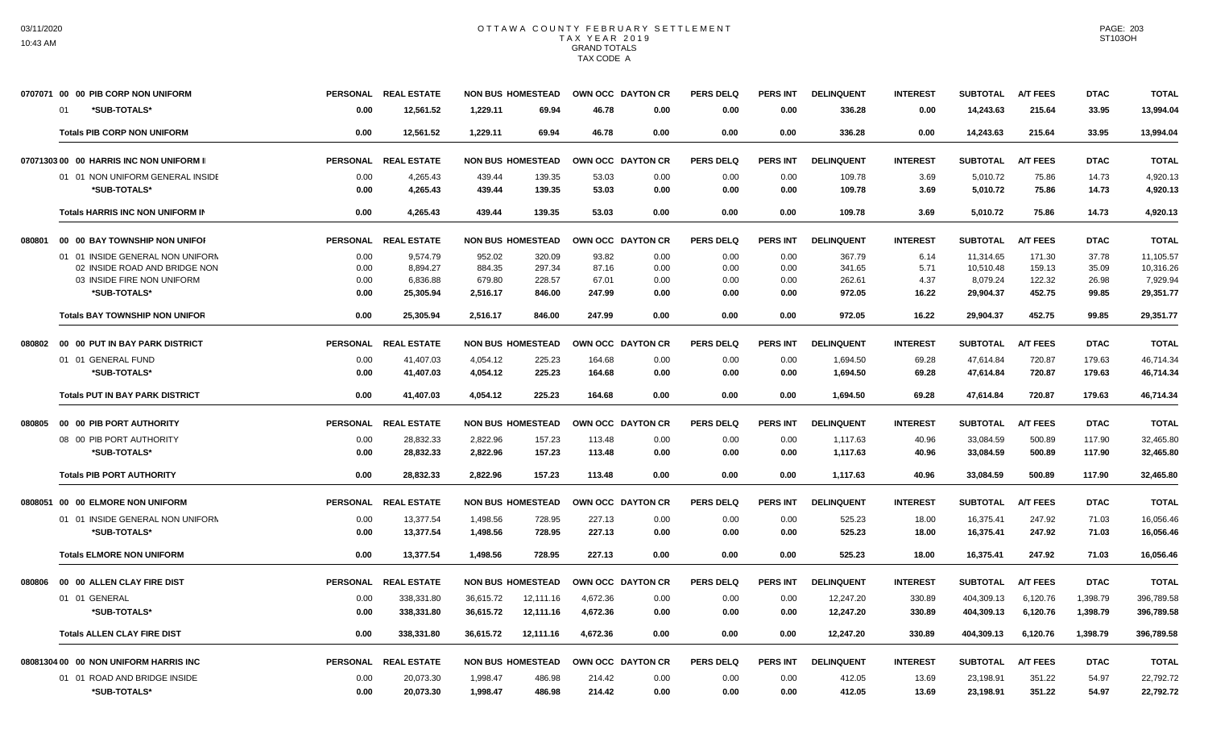|        | 0707071 00 00 PIB CORP NON UNIFORM       |                 | PERSONAL REAL ESTATE | <b>NON BUS HOMESTEAD</b> |                       | OWN OCC DAYTON CR | <b>PERS DELQ</b> | <b>PERS INT</b> | <b>DELINQUENT</b> | <b>INTEREST</b> | <b>SUBTOTAL</b> | <b>A/T FEES</b> | <b>DTAC</b> | <b>TOTAL</b> |
|--------|------------------------------------------|-----------------|----------------------|--------------------------|-----------------------|-------------------|------------------|-----------------|-------------------|-----------------|-----------------|-----------------|-------------|--------------|
|        | *SUB-TOTALS*<br><sup>01</sup>            | 0.00            | 12,561.52            | 1,229.11                 | 69.94                 | 46.78<br>0.00     | 0.00             | 0.00            | 336.28            | 0.00            | 14,243.63       | 215.64          | 33.95       | 13,994.04    |
|        | <b>Totals PIB CORP NON UNIFORM</b>       | 0.00            | 12.561.52            | 1.229.11                 | 69.94                 | 46.78<br>0.00     | 0.00             | 0.00            | 336.28            | 0.00            | 14,243.63       | 215.64          | 33.95       | 13.994.04    |
|        | 07071303 00 00 HARRIS INC NON UNIFORM II |                 | PERSONAL REAL ESTATE | <b>NON BUS HOMESTEAD</b> |                       | OWN OCC DAYTON CR | <b>PERS DELQ</b> | <b>PERS INT</b> | <b>DELINQUENT</b> | <b>INTEREST</b> | <b>SUBTOTAL</b> | <b>A/T FEES</b> | <b>DTAC</b> | <b>TOTAL</b> |
|        | 01 01 NON UNIFORM GENERAL INSIDE         | 0.00            | 4,265.43             | 439.44                   | 139.35                | 53.03<br>0.00     | 0.00             | 0.00            | 109.78            | 3.69            | 5,010.72        | 75.86           | 14.73       | 4,920.13     |
|        | *SUB-TOTALS*                             | 0.00            | 4,265.43             | 439.44                   | 139.35                | 53.03<br>0.00     | 0.00             | 0.00            | 109.78            | 3.69            | 5,010.72        | 75.86           | 14.73       | 4,920.13     |
|        | Totals HARRIS INC NON UNIFORM IN         | 0.00            | 4,265.43             | 439.44                   | 139.35                | 53.03<br>0.00     | 0.00             | 0.00            | 109.78            | 3.69            | 5,010.72        | 75.86           | 14.73       | 4,920.13     |
| 080801 | 00 00 BAY TOWNSHIP NON UNIFOR            |                 | PERSONAL REAL ESTATE | <b>NON BUS HOMESTEAD</b> |                       | OWN OCC DAYTON CR | <b>PERS DELQ</b> | <b>PERS INT</b> | <b>DELINQUENT</b> | <b>INTEREST</b> | <b>SUBTOTAL</b> | <b>A/T FEES</b> | <b>DTAC</b> | <b>TOTAL</b> |
|        | 01 01 INSIDE GENERAL NON UNIFORM         | 0.00            | 9,574.79             | 952.02                   | 320.09                | 93.82<br>0.00     | 0.00             | 0.00            | 367.79            | 6.14            | 11,314.65       | 171.30          | 37.78       | 11,105.57    |
|        | 02 INSIDE ROAD AND BRIDGE NON            | 0.00            | 8.894.27             | 884.35                   | 297.34                | 87.16<br>0.00     | 0.00             | 0.00            | 341.65            | 5.71            | 10.510.48       | 159.13          | 35.09       | 10,316.26    |
|        | 03 INSIDE FIRE NON UNIFORM               | 0.00            | 6,836.88             | 679.80                   | 228.57                | 67.01<br>0.00     | 0.00             | 0.00            | 262.61            | 4.37            | 8,079.24        | 122.32          | 26.98       | 7.929.94     |
|        | *SUB-TOTALS*                             | 0.00            | 25.305.94            | 2.516.17                 | 846.00<br>247.99      | 0.00              | 0.00             | 0.00            | 972.05            | 16.22           | 29.904.37       | 452.75          | 99.85       | 29.351.77    |
|        | <b>Totals BAY TOWNSHIP NON UNIFOR</b>    | 0.00            | 25,305.94            | 2,516.17                 | 846.00<br>247.99      | 0.00              | 0.00             | 0.00            | 972.05            | 16.22           | 29,904.37       | 452.75          | 99.85       | 29,351.77    |
| 080802 | 00 00 PUT IN BAY PARK DISTRICT           |                 | PERSONAL REAL ESTATE | <b>NON BUS HOMESTEAD</b> |                       | OWN OCC DAYTON CR | <b>PERS DELQ</b> | <b>PERS INT</b> | <b>DELINQUENT</b> | <b>INTEREST</b> | <b>SUBTOTAL</b> | <b>A/T FEES</b> | <b>DTAC</b> | <b>TOTAL</b> |
|        | 01 01 GENERAL FUND                       | 0.00            | 41,407.03            | 4,054.12                 | 225.23<br>164.68      | 0.00              | 0.00             | 0.00            | 1,694.50          | 69.28           | 47,614.84       | 720.87          | 179.63      | 46.714.34    |
|        | *SUB-TOTALS*                             | 0.00            | 41,407.03            | 4,054.12                 | 225.23<br>164.68      | 0.00              | 0.00             | 0.00            | 1,694.50          | 69.28           | 47,614.84       | 720.87          | 179.63      | 46,714.34    |
|        | <b>Totals PUT IN BAY PARK DISTRICT</b>   | 0.00            | 41,407.03            | 4,054.12                 | 225.23<br>164.68      | 0.00              | 0.00             | 0.00            | 1,694.50          | 69.28           | 47,614.84       | 720.87          | 179.63      | 46,714.34    |
| 080805 | 00 00 PIB PORT AUTHORITY                 |                 | PERSONAL REAL ESTATE | <b>NON BUS HOMESTEAD</b> |                       | OWN OCC DAYTON CR | <b>PERS DELQ</b> | <b>PERS INT</b> | <b>DELINQUENT</b> | <b>INTEREST</b> | <b>SUBTOTAL</b> | <b>A/T FEES</b> | <b>DTAC</b> | <b>TOTAL</b> |
|        | 08 00 PIB PORT AUTHORITY                 | 0.00            | 28.832.33            | 2.822.96                 | 157.23<br>113.48      | 0.00              | 0.00             | 0.00            | 1,117.63          | 40.96           | 33,084.59       | 500.89          | 117.90      | 32,465.80    |
|        | *SUB-TOTALS*                             | 0.00            | 28,832.33            | 2,822.96                 | 157.23<br>113.48      | 0.00              | 0.00             | 0.00            | 1,117.63          | 40.96           | 33,084.59       | 500.89          | 117.90      | 32,465.80    |
|        | <b>Totals PIB PORT AUTHORITY</b>         | 0.00            | 28,832.33            | 2,822.96                 | 157.23<br>113.48      | 0.00              | 0.00             | 0.00            | 1,117.63          | 40.96           | 33,084.59       | 500.89          | 117.90      | 32,465.80    |
|        | 0808051 00 00 ELMORE NON UNIFORM         | <b>PERSONAL</b> | <b>REAL ESTATE</b>   | <b>NON BUS HOMESTEAD</b> |                       | OWN OCC DAYTON CR | <b>PERS DELQ</b> | <b>PERS INT</b> | <b>DELINQUENT</b> | <b>INTEREST</b> | <b>SUBTOTAL</b> | <b>A/T FEES</b> | <b>DTAC</b> | <b>TOTAL</b> |
|        | 01 01 INSIDE GENERAL NON UNIFORM         | 0.00            | 13,377.54            | 1,498.56                 | 227.13<br>728.95      | 0.00              | 0.00             | 0.00            | 525.23            | 18.00           | 16,375.41       | 247.92          | 71.03       | 16,056.46    |
|        | *SUB-TOTALS*                             | 0.00            | 13,377.54            | 1,498.56                 | 227.13<br>728.95      | 0.00              | 0.00             | 0.00            | 525.23            | 18.00           | 16,375.41       | 247.92          | 71.03       | 16,056.46    |
|        | <b>Totals ELMORE NON UNIFORM</b>         | 0.00            | 13.377.54            | 1.498.56                 | 227.13<br>728.95      | 0.00              | 0.00             | 0.00            | 525.23            | 18.00           | 16.375.41       | 247.92          | 71.03       | 16,056.46    |
| 080806 | 00 00 ALLEN CLAY FIRE DIST               | <b>PERSONAL</b> | <b>REAL ESTATE</b>   | <b>NON BUS HOMESTEAD</b> |                       | OWN OCC DAYTON CR | <b>PERS DELO</b> | <b>PERS INT</b> | <b>DELINQUENT</b> | <b>INTEREST</b> | <b>SUBTOTAL</b> | <b>A/T FEES</b> | <b>DTAC</b> | <b>TOTAL</b> |
|        | 01 01 GENERAL                            | 0.00            | 338,331.80           | 36.615.72                | 12,111.16<br>4,672.36 | 0.00              | 0.00             | 0.00            | 12,247.20         | 330.89          | 404,309.13      | 6.120.76        | 1,398.79    | 396,789.58   |
|        | *SUB-TOTALS*                             | 0.00            | 338,331.80           | 36,615.72                | 12,111.16<br>4,672.36 | 0.00              | 0.00             | 0.00            | 12,247.20         | 330.89          | 404,309.13      | 6,120.76        | 1,398.79    | 396,789.58   |
|        | <b>Totals ALLEN CLAY FIRE DIST</b>       | 0.00            | 338,331.80           | 36,615.72                | 4.672.36<br>12,111.16 | 0.00              | 0.00             | 0.00            | 12,247.20         | 330.89          | 404.309.13      | 6.120.76        | 1,398.79    | 396,789.58   |
|        | 08081304 00 00 NON UNIFORM HARRIS INC    |                 | PERSONAL REAL ESTATE | <b>NON BUS HOMESTEAD</b> |                       | OWN OCC DAYTON CR | <b>PERS DELQ</b> | <b>PERS INT</b> | <b>DELINQUENT</b> | <b>INTEREST</b> | <b>SUBTOTAL</b> | <b>A/T FEES</b> | <b>DTAC</b> | <b>TOTAL</b> |
|        | 01 01 ROAD AND BRIDGE INSIDE             | 0.00            | 20,073.30            | 1,998.47                 | 486.98<br>214.42      | 0.00              | 0.00             | 0.00            | 412.05            | 13.69           | 23,198.91       | 351.22          | 54.97       | 22,792.72    |
|        | *SUB-TOTALS*                             | 0.00            | 20,073.30            | 1,998.47                 | 486.98<br>214.42      | 0.00              | 0.00             | 0.00            | 412.05            | 13.69           | 23,198.91       | 351.22          | 54.97       | 22,792.72    |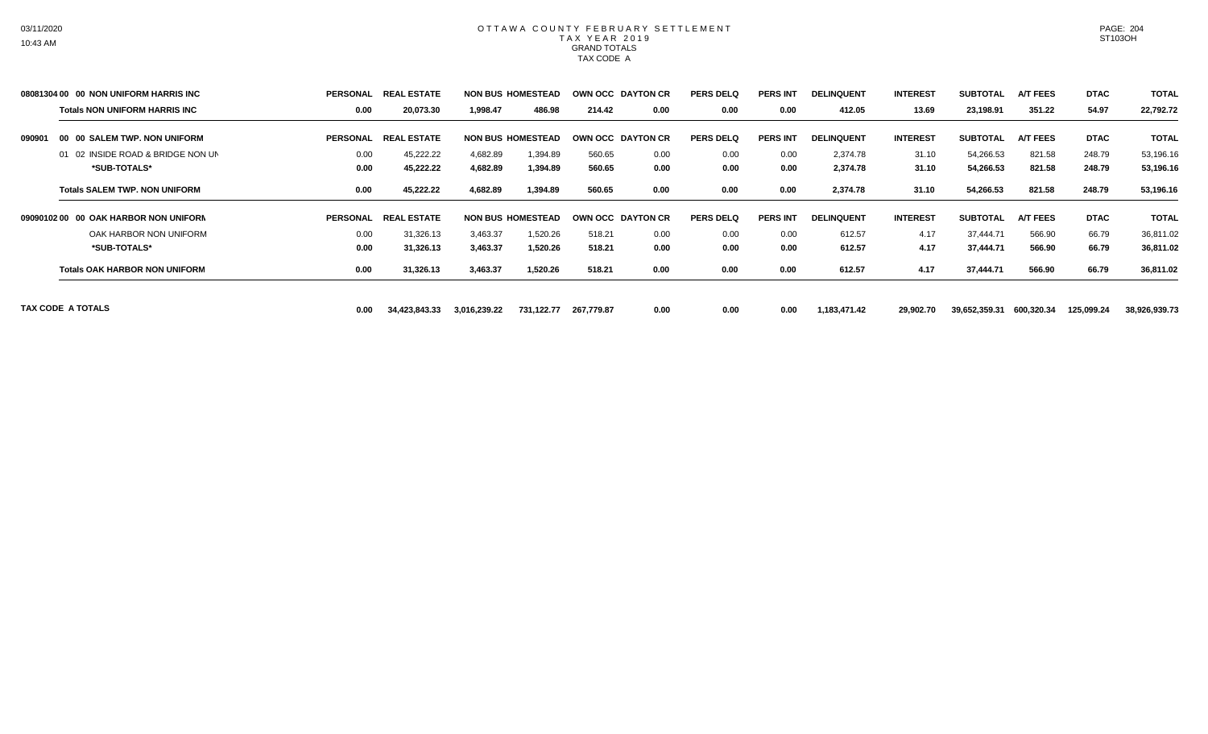|        | 08081304 00 00 NON UNIFORM HARRIS INC | <b>PERSONAL</b> | <b>REAL ESTATE</b> |              | <b>NON BUS HOMESTEAD</b> |            | OWN OCC DAYTON CR | <b>PERS DELQ</b> | <b>PERS INT</b> | <b>DELINQUENT</b> | <b>INTEREST</b> | <b>SUBTOTAL</b> | <b>A/T FEES</b> | <b>DTAC</b> | <b>TOTAL</b>  |
|--------|---------------------------------------|-----------------|--------------------|--------------|--------------------------|------------|-------------------|------------------|-----------------|-------------------|-----------------|-----------------|-----------------|-------------|---------------|
|        | <b>Totals NON UNIFORM HARRIS INC</b>  | 0.00            | 20,073.30          | 1,998.47     | 486.98                   | 214.42     | 0.00              | 0.00             | 0.00            | 412.05            | 13.69           | 23,198.91       | 351.22          | 54.97       | 22,792.72     |
| 090901 | 00 00 SALEM TWP. NON UNIFORM          | <b>PERSONAL</b> | <b>REAL ESTATE</b> |              | <b>NON BUS HOMESTEAD</b> |            | OWN OCC DAYTON CR | <b>PERS DELQ</b> | <b>PERS INT</b> | <b>DELINQUENT</b> | <b>INTEREST</b> | <b>SUBTOTAL</b> | <b>A/T FEES</b> | <b>DTAC</b> | <b>TOTAL</b>  |
|        | 01 02 INSIDE ROAD & BRIDGE NON UN     | 0.00            | 45,222.22          | 4,682.89     | 1,394.89                 | 560.65     | 0.00              | 0.00             | 0.00            | 2,374.78          | 31.10           | 54,266.53       | 821.58          | 248.79      | 53,196.16     |
|        | *SUB-TOTALS*                          | 0.00            | 45,222.22          | 4,682.89     | 1,394.89                 | 560.65     | 0.00              | 0.00             | 0.00            | 2,374.78          | 31.10           | 54,266.53       | 821.58          | 248.79      | 53,196.16     |
|        | <b>Totals SALEM TWP, NON UNIFORM</b>  | 0.00            | 45,222.22          | 4,682.89     | 1,394.89                 | 560.65     | 0.00              | 0.00             | 0.00            | 2,374.78          | 31.10           | 54,266.53       | 821.58          | 248.79      | 53,196.16     |
|        | 09090102 00 00 OAK HARBOR NON UNIFORM | <b>PERSONAL</b> | <b>REAL ESTATE</b> |              | <b>NON BUS HOMESTEAD</b> |            | OWN OCC DAYTON CR | <b>PERS DELQ</b> | <b>PERS INT</b> | <b>DELINQUENT</b> | <b>INTEREST</b> | <b>SUBTOTAL</b> | <b>A/T FEES</b> | <b>DTAC</b> | <b>TOTAL</b>  |
|        | OAK HARBOR NON UNIFORM                | 0.00            | 31,326.13          | 3,463.37     | 1,520.26                 | 518.21     | 0.00              | 0.00             | 0.00            | 612.57            | 4.17            | 37.444.71       | 566.90          | 66.79       | 36,811.02     |
|        | *SUB-TOTALS*                          | 0.00            | 31,326.13          | 3,463.37     | 1,520.26                 | 518.21     | 0.00              | 0.00             | 0.00            | 612.57            | 4.17            | 37,444.71       | 566.90          | 66.79       | 36,811.02     |
|        | <b>Totals OAK HARBOR NON UNIFORM</b>  | 0.00            | 31,326.13          | 3,463.37     | 1,520.26                 | 518.21     | 0.00              | 0.00             | 0.00            | 612.57            | 4.17            | 37,444.71       | 566.90          | 66.79       | 36,811.02     |
|        | <b>TAX CODE A TOTALS</b>              | 0.00            | 34,423,843.33      | 3,016,239.22 | 731,122.77               | 267,779.87 | 0.00              | 0.00             | 0.00            | 1,183,471.42      | 29,902.70       | 39,652,359.31   | 600,320.34      | 125,099.24  | 38,926,939.73 |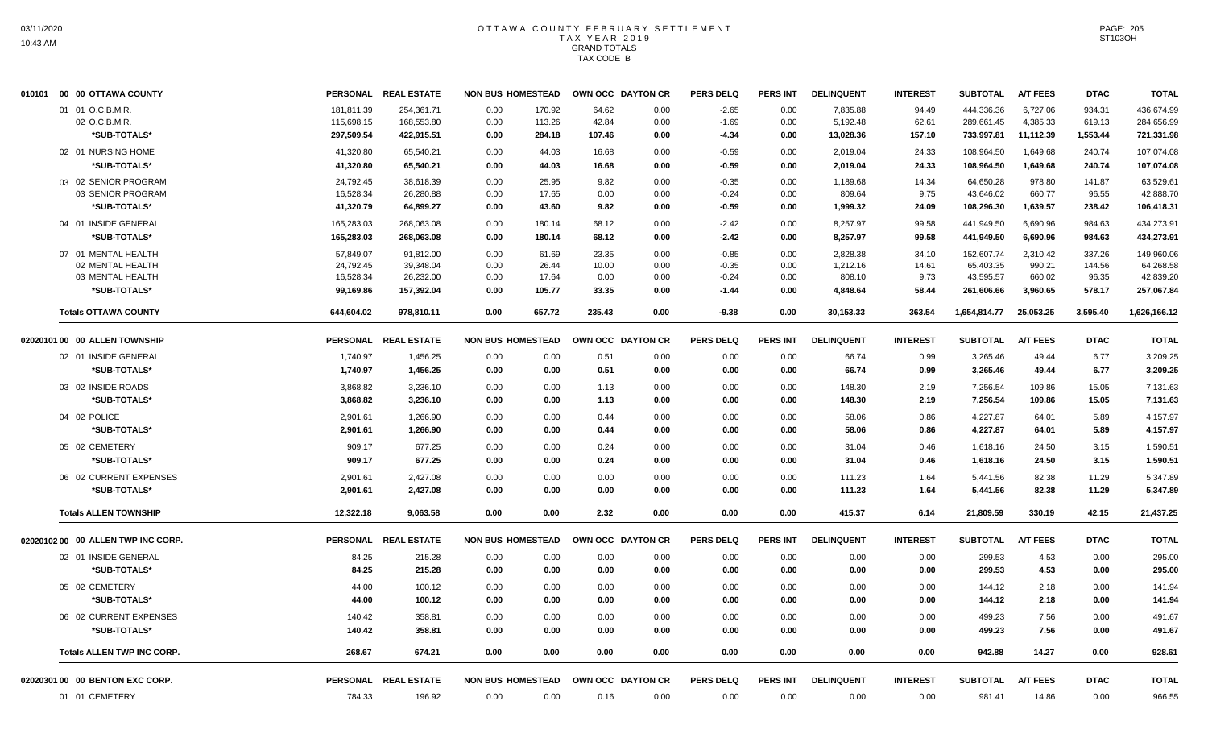| 94.49<br>444.336.36<br>6,727.06<br>934.31<br>436,674.99<br>01 01 O.C.B.M.R.<br>181.811.39<br>254.361.71<br>0.00<br>170.92<br>64.62<br>0.00<br>$-2.65$<br>0.00<br>7.835.88<br>4,385.33<br>02 O.C.B.M.R.<br>115,698.15<br>168,553.80<br>0.00<br>113.26<br>42.84<br>0.00<br>$-1.69$<br>0.00<br>5,192.48<br>62.61<br>289,661.45<br>619.13<br>284,656.99<br>733,997.81<br>11,112.39<br>1,553.44<br>*SUB-TOTALS*<br>297,509.54<br>422,915.51<br>284.18<br>107.46<br>0.00<br>0.00<br>13,028.36<br>157.10<br>721,331.98<br>0.00<br>-4.34<br>1.649.68<br>240.74<br>02 01 NURSING HOME<br>41,320.80<br>65.540.21<br>0.00<br>44.03<br>16.68<br>0.00<br>$-0.59$<br>0.00<br>2,019.04<br>24.33<br>108.964.50<br>107,074.08<br>*SUB-TOTALS*<br>41,320.80<br>65,540.21<br>0.00<br>0.00<br>24.33<br>108,964.50<br>1,649.68<br>240.74<br>107,074.08<br>44.03<br>16.68<br>$-0.59$<br>0.00<br>2,019.04<br>03 02 SENIOR PROGRAM<br>24,792.45<br>38,618.39<br>0.00<br>25.95<br>0.00<br>$-0.35$<br>14.34<br>64,650.28<br>978.80<br>141.87<br>63,529.61<br>9.82<br>0.00<br>1,189.68<br>16,528.34<br>17.65<br>9.75<br>43,646.02<br>660.77<br>96.55<br>42,888.70<br>03 SENIOR PROGRAM<br>26,280.88<br>0.00<br>0.00<br>0.00<br>$-0.24$<br>0.00<br>809.64<br>*SUB-TOTALS*<br>41,320.79<br>64,899.27<br>0.00<br>43.60<br>9.82<br>0.00<br>$-0.59$<br>0.00<br>1,999.32<br>24.09<br>108,296.30<br>1,639.57<br>238.42<br>106,418.31<br>04 01 INSIDE GENERAL<br>165,283.03<br>8,257.97<br>99.58<br>441,949.50<br>6,690.96<br>984.63<br>434,273.91<br>268,063.08<br>0.00<br>180.14<br>68.12<br>0.00<br>$-2.42$<br>0.00<br>*SUB-TOTALS*<br>165,283.03<br>268,063.08<br>0.00<br>180.14<br>68.12<br>0.00<br>$-2.42$<br>0.00<br>8,257.97<br>99.58<br>441,949.50<br>6,690.96<br>984.63<br>434,273.91<br>337.26<br>07 01 MENTAL HEALTH<br>57,849.07<br>91,812.00<br>0.00<br>61.69<br>23.35<br>0.00<br>$-0.85$<br>0.00<br>2,828.38<br>34.10<br>152,607.74<br>2,310.42<br>149,960.06<br>24,792.45<br>39,348.04<br>0.00<br>26.44<br>10.00<br>0.00<br>$-0.35$<br>65,403.35<br>990.21<br>144.56<br>64,268.58<br>02 MENTAL HEALTH<br>0.00<br>1,212.16<br>14.61<br>43,595.57<br>03 MENTAL HEALTH<br>16,528.34<br>26,232.00<br>0.00<br>17.64<br>0.00<br>0.00<br>808.10<br>9.73<br>660.02<br>96.35<br>42,839.20<br>$-0.24$<br>0.00<br>578.17<br>*SUB-TOTALS*<br>99,169.86<br>157,392.04<br>0.00<br>105.77<br>33.35<br>0.00<br>$-1.44$<br>0.00<br>4,848.64<br>58.44<br>261,606.66<br>3,960.65<br>257,067.84<br>657.72<br>235.43<br>25,053.25<br>3,595.40<br><b>Totals OTTAWA COUNTY</b><br>644,604.02<br>978,810.11<br>0.00<br>0.00<br>$-9.38$<br>0.00<br>30,153.33<br>363.54<br>1,654,814.77<br>1,626,166.12<br>02020101 00 00 ALLEN TOWNSHIP<br>PERSONAL REAL ESTATE<br><b>NON BUS HOMESTEAD</b><br>OWN OCC DAYTON CR<br><b>PERS DELQ</b><br><b>PERS INT</b><br><b>DELINQUENT</b><br><b>INTEREST</b><br><b>SUBTOTAL</b><br><b>A/T FEES</b><br><b>DTAC</b><br><b>TOTAL</b><br>02 01 INSIDE GENERAL<br>3,265.46<br>6.77<br>1,740.97<br>1,456.25<br>0.00<br>0.00<br>0.51<br>0.00<br>0.00<br>0.00<br>66.74<br>0.99<br>49.44<br>3,209.25<br>*SUB-TOTALS*<br>1,740.97<br>1,456.25<br>0.00<br>0.00<br>0.51<br>0.00<br>0.00<br>66.74<br>0.99<br>3,265.46<br>49.44<br>6.77<br>3,209.25<br>0.00<br>03 02 INSIDE ROADS<br>3,868.82<br>3,236.10<br>0.00<br>0.00<br>1.13<br>0.00<br>0.00<br>0.00<br>148.30<br>2.19<br>7,256.54<br>109.86<br>15.05<br>7,131.63<br>*SUB-TOTALS*<br>3,868.82<br>3,236.10<br>0.00<br>0.00<br>1.13<br>0.00<br>0.00<br>0.00<br>148.30<br>2.19<br>7,256.54<br>109.86<br>15.05<br>7,131.63<br>04 02 POLICE<br>0.86<br>4.227.87<br>4,157.97<br>2.901.61<br>1,266.90<br>0.00<br>0.00<br>0.44<br>0.00<br>0.00<br>0.00<br>58.06<br>64.01<br>5.89<br>*SUB-TOTALS*<br>2.901.61<br>1,266.90<br>0.00<br>0.00<br>0.44<br>0.00<br>0.00<br>0.00<br>58.06<br>0.86<br>4,227.87<br>64.01<br>5.89<br>4,157.97<br>05 02 CEMETERY<br>909.17<br>677.25<br>0.00<br>0.00<br>0.24<br>0.00<br>0.00<br>0.00<br>31.04<br>0.46<br>1,618.16<br>24.50<br>3.15<br>1,590.51<br>*SUB-TOTALS*<br>909.17<br>677.25<br>0.00<br>0.00<br>0.24<br>0.00<br>0.00<br>0.00<br>31.04<br>0.46<br>24.50<br>3.15<br>1,590.51<br>1,618.16<br>06 02 CURRENT EXPENSES<br>2,901.61<br>2,427.08<br>0.00<br>0.00<br>0.00<br>0.00<br>0.00<br>0.00<br>111.23<br>1.64<br>5,441.56<br>82.38<br>11.29<br>5,347.89<br>*SUB-TOTALS*<br>2,901.61<br>0.00<br>0.00<br>0.00<br>1.64<br>5,441.56<br>82.38<br>11.29<br>5,347.89<br>2,427.08<br>0.00<br>0.00<br>0.00<br>111.23<br>42.15<br><b>Totals ALLEN TOWNSHIP</b><br>12,322.18<br>9,063.58<br>0.00<br>0.00<br>2.32<br>0.00<br>0.00<br>0.00<br>415.37<br>6.14<br>21,809.59<br>330.19<br>21,437.25<br><b>PERS DELQ</b><br><b>PERS INT</b><br><b>INTEREST</b><br><b>A/T FEES</b><br>02020102 00 00 ALLEN TWP INC CORP.<br>PERSONAL REAL ESTATE<br><b>NON BUS HOMESTEAD</b><br>OWN OCC DAYTON CR<br><b>DELINQUENT</b><br><b>SUBTOTAL</b><br><b>DTAC</b><br><b>TOTAL</b><br>02 01 INSIDE GENERAL<br>84.25<br>215.28<br>299.53<br>295.00<br>0.00<br>0.00<br>0.00<br>0.00<br>0.00<br>0.00<br>0.00<br>0.00<br>4.53<br>0.00<br>4.53<br>84.25<br>0.00<br>0.00<br>0.00<br>299.53<br>0.00<br>295.00<br>*SUB-TOTALS*<br>215.28<br>0.00<br>0.00<br>0.00<br>0.00<br>0.00<br>05 02 CEMETERY<br>100.12<br>0.00<br>0.00<br>0.00<br>0.00<br>141.94<br>44.00<br>0.00<br>0.00<br>0.00<br>0.00<br>0.00<br>144.12<br>2.18<br>*SUB-TOTALS*<br>44.00<br>100.12<br>0.00<br>0.00<br>0.00<br>0.00<br>0.00<br>0.00<br>0.00<br>0.00<br>144.12<br>2.18<br>0.00<br>141.94<br>7.56<br>06 02 CURRENT EXPENSES<br>140.42<br>358.81<br>0.00<br>0.00<br>0.00<br>0.00<br>0.00<br>0.00<br>0.00<br>0.00<br>499.23<br>0.00<br>491.67<br>7.56<br>491.67<br>*SUB-TOTALS*<br>140.42<br>358.81<br>0.00<br>0.00<br>0.00<br>0.00<br>0.00<br>0.00<br>0.00<br>0.00<br>499.23<br>0.00<br>674.21<br>942.88<br>0.00<br><b>Totals ALLEN TWP INC CORP.</b><br>268.67<br>0.00<br>0.00<br>0.00<br>0.00<br>0.00<br>0.00<br>0.00<br>0.00<br>14.27<br>928.61<br>PERSONAL REAL ESTATE<br><b>NON BUS HOMESTEAD</b><br><b>DELINQUENT</b><br><b>INTEREST</b><br><b>SUBTOTAL</b><br><b>A/T FEES</b><br>02020301 00 00 BENTON EXC CORP.<br>OWN OCC DAYTON CR<br><b>PERS DELQ</b><br><b>PERS INT</b><br><b>DTAC</b><br><b>TOTAL</b><br>196.92<br>14.86<br>0.00<br>966.55<br>01 01 CEMETERY<br>784.33<br>0.00<br>0.00<br>0.00<br>0.00<br>0.00<br>0.00<br>0.00<br>981.41<br>0.16 | 010101 00 00 OTTAWA COUNTY | <b>PERSONAL</b> | <b>REAL ESTATE</b> | <b>NON BUS HOMESTEAD</b> |  | OWN OCC DAYTON CR | <b>PERS DELQ</b> | <b>PERS INT</b> | <b>DELINQUENT</b> | <b>INTEREST</b> | <b>SUBTOTAL</b> | <b>A/T FEES</b> | <b>DTAC</b> | <b>TOTAL</b> |
|--------------------------------------------------------------------------------------------------------------------------------------------------------------------------------------------------------------------------------------------------------------------------------------------------------------------------------------------------------------------------------------------------------------------------------------------------------------------------------------------------------------------------------------------------------------------------------------------------------------------------------------------------------------------------------------------------------------------------------------------------------------------------------------------------------------------------------------------------------------------------------------------------------------------------------------------------------------------------------------------------------------------------------------------------------------------------------------------------------------------------------------------------------------------------------------------------------------------------------------------------------------------------------------------------------------------------------------------------------------------------------------------------------------------------------------------------------------------------------------------------------------------------------------------------------------------------------------------------------------------------------------------------------------------------------------------------------------------------------------------------------------------------------------------------------------------------------------------------------------------------------------------------------------------------------------------------------------------------------------------------------------------------------------------------------------------------------------------------------------------------------------------------------------------------------------------------------------------------------------------------------------------------------------------------------------------------------------------------------------------------------------------------------------------------------------------------------------------------------------------------------------------------------------------------------------------------------------------------------------------------------------------------------------------------------------------------------------------------------------------------------------------------------------------------------------------------------------------------------------------------------------------------------------------------------------------------------------------------------------------------------------------------------------------------------------------------------------------------------------------------------------------------------------------------------------------------------------------------------------------------------------------------------------------------------------------------------------------------------------------------------------------------------------------------------------------------------------------------------------------------------------------------------------------------------------------------------------------------------------------------------------------------------------------------------------------------------------------------------------------------------------------------------------------------------------------------------------------------------------------------------------------------------------------------------------------------------------------------------------------------------------------------------------------------------------------------------------------------------------------------------------------------------------------------------------------------------------------------------------------------------------------------------------------------------------------------------------------------------------------------------------------------------------------------------------------------------------------------------------------------------------------------------------------------------------------------------------------------------------------------------------------------------------------------------------------------------------------------------------------------------------------------------------------------------------------------------------------------------------------------------------------------------------------------------------------------------------------------------------------------------------------------------------------------------------------------------------------------------------------------------------------------------------------------------------------------------------------------------------------------------------------------------------------------------------------------------------------------------------------------------------------------------------------------------------------------------------------------------------------------------------------------------------------------------------------------------------------------------------------------------------------------------------------------------------------------------------------------------------------------------------------------------------------------------------------------------------------------------------------------------------------------------------------------------------------------------------------------------------------------------------------------------------------------------------------------------------------------------------------------------------------------------------------------------------------------------------------------------------------------------------------------------------------------------------------------------------------------------------|----------------------------|-----------------|--------------------|--------------------------|--|-------------------|------------------|-----------------|-------------------|-----------------|-----------------|-----------------|-------------|--------------|
|                                                                                                                                                                                                                                                                                                                                                                                                                                                                                                                                                                                                                                                                                                                                                                                                                                                                                                                                                                                                                                                                                                                                                                                                                                                                                                                                                                                                                                                                                                                                                                                                                                                                                                                                                                                                                                                                                                                                                                                                                                                                                                                                                                                                                                                                                                                                                                                                                                                                                                                                                                                                                                                                                                                                                                                                                                                                                                                                                                                                                                                                                                                                                                                                                                                                                                                                                                                                                                                                                                                                                                                                                                                                                                                                                                                                                                                                                                                                                                                                                                                                                                                                                                                                                                                                                                                                                                                                                                                                                                                                                                                                                                                                                                                                                                                                                                                                                                                                                                                                                                                                                                                                                                                                                                                                                                                                                                                                                                                                                                                                                                                                                                                                                                                                                                                                                                                                                                                                                                                                                                                                                                                                                                                                                                                                                                                                                              |                            |                 |                    |                          |  |                   |                  |                 |                   |                 |                 |                 |             |              |
|                                                                                                                                                                                                                                                                                                                                                                                                                                                                                                                                                                                                                                                                                                                                                                                                                                                                                                                                                                                                                                                                                                                                                                                                                                                                                                                                                                                                                                                                                                                                                                                                                                                                                                                                                                                                                                                                                                                                                                                                                                                                                                                                                                                                                                                                                                                                                                                                                                                                                                                                                                                                                                                                                                                                                                                                                                                                                                                                                                                                                                                                                                                                                                                                                                                                                                                                                                                                                                                                                                                                                                                                                                                                                                                                                                                                                                                                                                                                                                                                                                                                                                                                                                                                                                                                                                                                                                                                                                                                                                                                                                                                                                                                                                                                                                                                                                                                                                                                                                                                                                                                                                                                                                                                                                                                                                                                                                                                                                                                                                                                                                                                                                                                                                                                                                                                                                                                                                                                                                                                                                                                                                                                                                                                                                                                                                                                                              |                            |                 |                    |                          |  |                   |                  |                 |                   |                 |                 |                 |             |              |
|                                                                                                                                                                                                                                                                                                                                                                                                                                                                                                                                                                                                                                                                                                                                                                                                                                                                                                                                                                                                                                                                                                                                                                                                                                                                                                                                                                                                                                                                                                                                                                                                                                                                                                                                                                                                                                                                                                                                                                                                                                                                                                                                                                                                                                                                                                                                                                                                                                                                                                                                                                                                                                                                                                                                                                                                                                                                                                                                                                                                                                                                                                                                                                                                                                                                                                                                                                                                                                                                                                                                                                                                                                                                                                                                                                                                                                                                                                                                                                                                                                                                                                                                                                                                                                                                                                                                                                                                                                                                                                                                                                                                                                                                                                                                                                                                                                                                                                                                                                                                                                                                                                                                                                                                                                                                                                                                                                                                                                                                                                                                                                                                                                                                                                                                                                                                                                                                                                                                                                                                                                                                                                                                                                                                                                                                                                                                                              |                            |                 |                    |                          |  |                   |                  |                 |                   |                 |                 |                 |             |              |
|                                                                                                                                                                                                                                                                                                                                                                                                                                                                                                                                                                                                                                                                                                                                                                                                                                                                                                                                                                                                                                                                                                                                                                                                                                                                                                                                                                                                                                                                                                                                                                                                                                                                                                                                                                                                                                                                                                                                                                                                                                                                                                                                                                                                                                                                                                                                                                                                                                                                                                                                                                                                                                                                                                                                                                                                                                                                                                                                                                                                                                                                                                                                                                                                                                                                                                                                                                                                                                                                                                                                                                                                                                                                                                                                                                                                                                                                                                                                                                                                                                                                                                                                                                                                                                                                                                                                                                                                                                                                                                                                                                                                                                                                                                                                                                                                                                                                                                                                                                                                                                                                                                                                                                                                                                                                                                                                                                                                                                                                                                                                                                                                                                                                                                                                                                                                                                                                                                                                                                                                                                                                                                                                                                                                                                                                                                                                                              |                            |                 |                    |                          |  |                   |                  |                 |                   |                 |                 |                 |             |              |
|                                                                                                                                                                                                                                                                                                                                                                                                                                                                                                                                                                                                                                                                                                                                                                                                                                                                                                                                                                                                                                                                                                                                                                                                                                                                                                                                                                                                                                                                                                                                                                                                                                                                                                                                                                                                                                                                                                                                                                                                                                                                                                                                                                                                                                                                                                                                                                                                                                                                                                                                                                                                                                                                                                                                                                                                                                                                                                                                                                                                                                                                                                                                                                                                                                                                                                                                                                                                                                                                                                                                                                                                                                                                                                                                                                                                                                                                                                                                                                                                                                                                                                                                                                                                                                                                                                                                                                                                                                                                                                                                                                                                                                                                                                                                                                                                                                                                                                                                                                                                                                                                                                                                                                                                                                                                                                                                                                                                                                                                                                                                                                                                                                                                                                                                                                                                                                                                                                                                                                                                                                                                                                                                                                                                                                                                                                                                                              |                            |                 |                    |                          |  |                   |                  |                 |                   |                 |                 |                 |             |              |
|                                                                                                                                                                                                                                                                                                                                                                                                                                                                                                                                                                                                                                                                                                                                                                                                                                                                                                                                                                                                                                                                                                                                                                                                                                                                                                                                                                                                                                                                                                                                                                                                                                                                                                                                                                                                                                                                                                                                                                                                                                                                                                                                                                                                                                                                                                                                                                                                                                                                                                                                                                                                                                                                                                                                                                                                                                                                                                                                                                                                                                                                                                                                                                                                                                                                                                                                                                                                                                                                                                                                                                                                                                                                                                                                                                                                                                                                                                                                                                                                                                                                                                                                                                                                                                                                                                                                                                                                                                                                                                                                                                                                                                                                                                                                                                                                                                                                                                                                                                                                                                                                                                                                                                                                                                                                                                                                                                                                                                                                                                                                                                                                                                                                                                                                                                                                                                                                                                                                                                                                                                                                                                                                                                                                                                                                                                                                                              |                            |                 |                    |                          |  |                   |                  |                 |                   |                 |                 |                 |             |              |
|                                                                                                                                                                                                                                                                                                                                                                                                                                                                                                                                                                                                                                                                                                                                                                                                                                                                                                                                                                                                                                                                                                                                                                                                                                                                                                                                                                                                                                                                                                                                                                                                                                                                                                                                                                                                                                                                                                                                                                                                                                                                                                                                                                                                                                                                                                                                                                                                                                                                                                                                                                                                                                                                                                                                                                                                                                                                                                                                                                                                                                                                                                                                                                                                                                                                                                                                                                                                                                                                                                                                                                                                                                                                                                                                                                                                                                                                                                                                                                                                                                                                                                                                                                                                                                                                                                                                                                                                                                                                                                                                                                                                                                                                                                                                                                                                                                                                                                                                                                                                                                                                                                                                                                                                                                                                                                                                                                                                                                                                                                                                                                                                                                                                                                                                                                                                                                                                                                                                                                                                                                                                                                                                                                                                                                                                                                                                                              |                            |                 |                    |                          |  |                   |                  |                 |                   |                 |                 |                 |             |              |
|                                                                                                                                                                                                                                                                                                                                                                                                                                                                                                                                                                                                                                                                                                                                                                                                                                                                                                                                                                                                                                                                                                                                                                                                                                                                                                                                                                                                                                                                                                                                                                                                                                                                                                                                                                                                                                                                                                                                                                                                                                                                                                                                                                                                                                                                                                                                                                                                                                                                                                                                                                                                                                                                                                                                                                                                                                                                                                                                                                                                                                                                                                                                                                                                                                                                                                                                                                                                                                                                                                                                                                                                                                                                                                                                                                                                                                                                                                                                                                                                                                                                                                                                                                                                                                                                                                                                                                                                                                                                                                                                                                                                                                                                                                                                                                                                                                                                                                                                                                                                                                                                                                                                                                                                                                                                                                                                                                                                                                                                                                                                                                                                                                                                                                                                                                                                                                                                                                                                                                                                                                                                                                                                                                                                                                                                                                                                                              |                            |                 |                    |                          |  |                   |                  |                 |                   |                 |                 |                 |             |              |
|                                                                                                                                                                                                                                                                                                                                                                                                                                                                                                                                                                                                                                                                                                                                                                                                                                                                                                                                                                                                                                                                                                                                                                                                                                                                                                                                                                                                                                                                                                                                                                                                                                                                                                                                                                                                                                                                                                                                                                                                                                                                                                                                                                                                                                                                                                                                                                                                                                                                                                                                                                                                                                                                                                                                                                                                                                                                                                                                                                                                                                                                                                                                                                                                                                                                                                                                                                                                                                                                                                                                                                                                                                                                                                                                                                                                                                                                                                                                                                                                                                                                                                                                                                                                                                                                                                                                                                                                                                                                                                                                                                                                                                                                                                                                                                                                                                                                                                                                                                                                                                                                                                                                                                                                                                                                                                                                                                                                                                                                                                                                                                                                                                                                                                                                                                                                                                                                                                                                                                                                                                                                                                                                                                                                                                                                                                                                                              |                            |                 |                    |                          |  |                   |                  |                 |                   |                 |                 |                 |             |              |
|                                                                                                                                                                                                                                                                                                                                                                                                                                                                                                                                                                                                                                                                                                                                                                                                                                                                                                                                                                                                                                                                                                                                                                                                                                                                                                                                                                                                                                                                                                                                                                                                                                                                                                                                                                                                                                                                                                                                                                                                                                                                                                                                                                                                                                                                                                                                                                                                                                                                                                                                                                                                                                                                                                                                                                                                                                                                                                                                                                                                                                                                                                                                                                                                                                                                                                                                                                                                                                                                                                                                                                                                                                                                                                                                                                                                                                                                                                                                                                                                                                                                                                                                                                                                                                                                                                                                                                                                                                                                                                                                                                                                                                                                                                                                                                                                                                                                                                                                                                                                                                                                                                                                                                                                                                                                                                                                                                                                                                                                                                                                                                                                                                                                                                                                                                                                                                                                                                                                                                                                                                                                                                                                                                                                                                                                                                                                                              |                            |                 |                    |                          |  |                   |                  |                 |                   |                 |                 |                 |             |              |
|                                                                                                                                                                                                                                                                                                                                                                                                                                                                                                                                                                                                                                                                                                                                                                                                                                                                                                                                                                                                                                                                                                                                                                                                                                                                                                                                                                                                                                                                                                                                                                                                                                                                                                                                                                                                                                                                                                                                                                                                                                                                                                                                                                                                                                                                                                                                                                                                                                                                                                                                                                                                                                                                                                                                                                                                                                                                                                                                                                                                                                                                                                                                                                                                                                                                                                                                                                                                                                                                                                                                                                                                                                                                                                                                                                                                                                                                                                                                                                                                                                                                                                                                                                                                                                                                                                                                                                                                                                                                                                                                                                                                                                                                                                                                                                                                                                                                                                                                                                                                                                                                                                                                                                                                                                                                                                                                                                                                                                                                                                                                                                                                                                                                                                                                                                                                                                                                                                                                                                                                                                                                                                                                                                                                                                                                                                                                                              |                            |                 |                    |                          |  |                   |                  |                 |                   |                 |                 |                 |             |              |
|                                                                                                                                                                                                                                                                                                                                                                                                                                                                                                                                                                                                                                                                                                                                                                                                                                                                                                                                                                                                                                                                                                                                                                                                                                                                                                                                                                                                                                                                                                                                                                                                                                                                                                                                                                                                                                                                                                                                                                                                                                                                                                                                                                                                                                                                                                                                                                                                                                                                                                                                                                                                                                                                                                                                                                                                                                                                                                                                                                                                                                                                                                                                                                                                                                                                                                                                                                                                                                                                                                                                                                                                                                                                                                                                                                                                                                                                                                                                                                                                                                                                                                                                                                                                                                                                                                                                                                                                                                                                                                                                                                                                                                                                                                                                                                                                                                                                                                                                                                                                                                                                                                                                                                                                                                                                                                                                                                                                                                                                                                                                                                                                                                                                                                                                                                                                                                                                                                                                                                                                                                                                                                                                                                                                                                                                                                                                                              |                            |                 |                    |                          |  |                   |                  |                 |                   |                 |                 |                 |             |              |
|                                                                                                                                                                                                                                                                                                                                                                                                                                                                                                                                                                                                                                                                                                                                                                                                                                                                                                                                                                                                                                                                                                                                                                                                                                                                                                                                                                                                                                                                                                                                                                                                                                                                                                                                                                                                                                                                                                                                                                                                                                                                                                                                                                                                                                                                                                                                                                                                                                                                                                                                                                                                                                                                                                                                                                                                                                                                                                                                                                                                                                                                                                                                                                                                                                                                                                                                                                                                                                                                                                                                                                                                                                                                                                                                                                                                                                                                                                                                                                                                                                                                                                                                                                                                                                                                                                                                                                                                                                                                                                                                                                                                                                                                                                                                                                                                                                                                                                                                                                                                                                                                                                                                                                                                                                                                                                                                                                                                                                                                                                                                                                                                                                                                                                                                                                                                                                                                                                                                                                                                                                                                                                                                                                                                                                                                                                                                                              |                            |                 |                    |                          |  |                   |                  |                 |                   |                 |                 |                 |             |              |
|                                                                                                                                                                                                                                                                                                                                                                                                                                                                                                                                                                                                                                                                                                                                                                                                                                                                                                                                                                                                                                                                                                                                                                                                                                                                                                                                                                                                                                                                                                                                                                                                                                                                                                                                                                                                                                                                                                                                                                                                                                                                                                                                                                                                                                                                                                                                                                                                                                                                                                                                                                                                                                                                                                                                                                                                                                                                                                                                                                                                                                                                                                                                                                                                                                                                                                                                                                                                                                                                                                                                                                                                                                                                                                                                                                                                                                                                                                                                                                                                                                                                                                                                                                                                                                                                                                                                                                                                                                                                                                                                                                                                                                                                                                                                                                                                                                                                                                                                                                                                                                                                                                                                                                                                                                                                                                                                                                                                                                                                                                                                                                                                                                                                                                                                                                                                                                                                                                                                                                                                                                                                                                                                                                                                                                                                                                                                                              |                            |                 |                    |                          |  |                   |                  |                 |                   |                 |                 |                 |             |              |
|                                                                                                                                                                                                                                                                                                                                                                                                                                                                                                                                                                                                                                                                                                                                                                                                                                                                                                                                                                                                                                                                                                                                                                                                                                                                                                                                                                                                                                                                                                                                                                                                                                                                                                                                                                                                                                                                                                                                                                                                                                                                                                                                                                                                                                                                                                                                                                                                                                                                                                                                                                                                                                                                                                                                                                                                                                                                                                                                                                                                                                                                                                                                                                                                                                                                                                                                                                                                                                                                                                                                                                                                                                                                                                                                                                                                                                                                                                                                                                                                                                                                                                                                                                                                                                                                                                                                                                                                                                                                                                                                                                                                                                                                                                                                                                                                                                                                                                                                                                                                                                                                                                                                                                                                                                                                                                                                                                                                                                                                                                                                                                                                                                                                                                                                                                                                                                                                                                                                                                                                                                                                                                                                                                                                                                                                                                                                                              |                            |                 |                    |                          |  |                   |                  |                 |                   |                 |                 |                 |             |              |
|                                                                                                                                                                                                                                                                                                                                                                                                                                                                                                                                                                                                                                                                                                                                                                                                                                                                                                                                                                                                                                                                                                                                                                                                                                                                                                                                                                                                                                                                                                                                                                                                                                                                                                                                                                                                                                                                                                                                                                                                                                                                                                                                                                                                                                                                                                                                                                                                                                                                                                                                                                                                                                                                                                                                                                                                                                                                                                                                                                                                                                                                                                                                                                                                                                                                                                                                                                                                                                                                                                                                                                                                                                                                                                                                                                                                                                                                                                                                                                                                                                                                                                                                                                                                                                                                                                                                                                                                                                                                                                                                                                                                                                                                                                                                                                                                                                                                                                                                                                                                                                                                                                                                                                                                                                                                                                                                                                                                                                                                                                                                                                                                                                                                                                                                                                                                                                                                                                                                                                                                                                                                                                                                                                                                                                                                                                                                                              |                            |                 |                    |                          |  |                   |                  |                 |                   |                 |                 |                 |             |              |
|                                                                                                                                                                                                                                                                                                                                                                                                                                                                                                                                                                                                                                                                                                                                                                                                                                                                                                                                                                                                                                                                                                                                                                                                                                                                                                                                                                                                                                                                                                                                                                                                                                                                                                                                                                                                                                                                                                                                                                                                                                                                                                                                                                                                                                                                                                                                                                                                                                                                                                                                                                                                                                                                                                                                                                                                                                                                                                                                                                                                                                                                                                                                                                                                                                                                                                                                                                                                                                                                                                                                                                                                                                                                                                                                                                                                                                                                                                                                                                                                                                                                                                                                                                                                                                                                                                                                                                                                                                                                                                                                                                                                                                                                                                                                                                                                                                                                                                                                                                                                                                                                                                                                                                                                                                                                                                                                                                                                                                                                                                                                                                                                                                                                                                                                                                                                                                                                                                                                                                                                                                                                                                                                                                                                                                                                                                                                                              |                            |                 |                    |                          |  |                   |                  |                 |                   |                 |                 |                 |             |              |
|                                                                                                                                                                                                                                                                                                                                                                                                                                                                                                                                                                                                                                                                                                                                                                                                                                                                                                                                                                                                                                                                                                                                                                                                                                                                                                                                                                                                                                                                                                                                                                                                                                                                                                                                                                                                                                                                                                                                                                                                                                                                                                                                                                                                                                                                                                                                                                                                                                                                                                                                                                                                                                                                                                                                                                                                                                                                                                                                                                                                                                                                                                                                                                                                                                                                                                                                                                                                                                                                                                                                                                                                                                                                                                                                                                                                                                                                                                                                                                                                                                                                                                                                                                                                                                                                                                                                                                                                                                                                                                                                                                                                                                                                                                                                                                                                                                                                                                                                                                                                                                                                                                                                                                                                                                                                                                                                                                                                                                                                                                                                                                                                                                                                                                                                                                                                                                                                                                                                                                                                                                                                                                                                                                                                                                                                                                                                                              |                            |                 |                    |                          |  |                   |                  |                 |                   |                 |                 |                 |             |              |
|                                                                                                                                                                                                                                                                                                                                                                                                                                                                                                                                                                                                                                                                                                                                                                                                                                                                                                                                                                                                                                                                                                                                                                                                                                                                                                                                                                                                                                                                                                                                                                                                                                                                                                                                                                                                                                                                                                                                                                                                                                                                                                                                                                                                                                                                                                                                                                                                                                                                                                                                                                                                                                                                                                                                                                                                                                                                                                                                                                                                                                                                                                                                                                                                                                                                                                                                                                                                                                                                                                                                                                                                                                                                                                                                                                                                                                                                                                                                                                                                                                                                                                                                                                                                                                                                                                                                                                                                                                                                                                                                                                                                                                                                                                                                                                                                                                                                                                                                                                                                                                                                                                                                                                                                                                                                                                                                                                                                                                                                                                                                                                                                                                                                                                                                                                                                                                                                                                                                                                                                                                                                                                                                                                                                                                                                                                                                                              |                            |                 |                    |                          |  |                   |                  |                 |                   |                 |                 |                 |             |              |
|                                                                                                                                                                                                                                                                                                                                                                                                                                                                                                                                                                                                                                                                                                                                                                                                                                                                                                                                                                                                                                                                                                                                                                                                                                                                                                                                                                                                                                                                                                                                                                                                                                                                                                                                                                                                                                                                                                                                                                                                                                                                                                                                                                                                                                                                                                                                                                                                                                                                                                                                                                                                                                                                                                                                                                                                                                                                                                                                                                                                                                                                                                                                                                                                                                                                                                                                                                                                                                                                                                                                                                                                                                                                                                                                                                                                                                                                                                                                                                                                                                                                                                                                                                                                                                                                                                                                                                                                                                                                                                                                                                                                                                                                                                                                                                                                                                                                                                                                                                                                                                                                                                                                                                                                                                                                                                                                                                                                                                                                                                                                                                                                                                                                                                                                                                                                                                                                                                                                                                                                                                                                                                                                                                                                                                                                                                                                                              |                            |                 |                    |                          |  |                   |                  |                 |                   |                 |                 |                 |             |              |
|                                                                                                                                                                                                                                                                                                                                                                                                                                                                                                                                                                                                                                                                                                                                                                                                                                                                                                                                                                                                                                                                                                                                                                                                                                                                                                                                                                                                                                                                                                                                                                                                                                                                                                                                                                                                                                                                                                                                                                                                                                                                                                                                                                                                                                                                                                                                                                                                                                                                                                                                                                                                                                                                                                                                                                                                                                                                                                                                                                                                                                                                                                                                                                                                                                                                                                                                                                                                                                                                                                                                                                                                                                                                                                                                                                                                                                                                                                                                                                                                                                                                                                                                                                                                                                                                                                                                                                                                                                                                                                                                                                                                                                                                                                                                                                                                                                                                                                                                                                                                                                                                                                                                                                                                                                                                                                                                                                                                                                                                                                                                                                                                                                                                                                                                                                                                                                                                                                                                                                                                                                                                                                                                                                                                                                                                                                                                                              |                            |                 |                    |                          |  |                   |                  |                 |                   |                 |                 |                 |             |              |
|                                                                                                                                                                                                                                                                                                                                                                                                                                                                                                                                                                                                                                                                                                                                                                                                                                                                                                                                                                                                                                                                                                                                                                                                                                                                                                                                                                                                                                                                                                                                                                                                                                                                                                                                                                                                                                                                                                                                                                                                                                                                                                                                                                                                                                                                                                                                                                                                                                                                                                                                                                                                                                                                                                                                                                                                                                                                                                                                                                                                                                                                                                                                                                                                                                                                                                                                                                                                                                                                                                                                                                                                                                                                                                                                                                                                                                                                                                                                                                                                                                                                                                                                                                                                                                                                                                                                                                                                                                                                                                                                                                                                                                                                                                                                                                                                                                                                                                                                                                                                                                                                                                                                                                                                                                                                                                                                                                                                                                                                                                                                                                                                                                                                                                                                                                                                                                                                                                                                                                                                                                                                                                                                                                                                                                                                                                                                                              |                            |                 |                    |                          |  |                   |                  |                 |                   |                 |                 |                 |             |              |
|                                                                                                                                                                                                                                                                                                                                                                                                                                                                                                                                                                                                                                                                                                                                                                                                                                                                                                                                                                                                                                                                                                                                                                                                                                                                                                                                                                                                                                                                                                                                                                                                                                                                                                                                                                                                                                                                                                                                                                                                                                                                                                                                                                                                                                                                                                                                                                                                                                                                                                                                                                                                                                                                                                                                                                                                                                                                                                                                                                                                                                                                                                                                                                                                                                                                                                                                                                                                                                                                                                                                                                                                                                                                                                                                                                                                                                                                                                                                                                                                                                                                                                                                                                                                                                                                                                                                                                                                                                                                                                                                                                                                                                                                                                                                                                                                                                                                                                                                                                                                                                                                                                                                                                                                                                                                                                                                                                                                                                                                                                                                                                                                                                                                                                                                                                                                                                                                                                                                                                                                                                                                                                                                                                                                                                                                                                                                                              |                            |                 |                    |                          |  |                   |                  |                 |                   |                 |                 |                 |             |              |
|                                                                                                                                                                                                                                                                                                                                                                                                                                                                                                                                                                                                                                                                                                                                                                                                                                                                                                                                                                                                                                                                                                                                                                                                                                                                                                                                                                                                                                                                                                                                                                                                                                                                                                                                                                                                                                                                                                                                                                                                                                                                                                                                                                                                                                                                                                                                                                                                                                                                                                                                                                                                                                                                                                                                                                                                                                                                                                                                                                                                                                                                                                                                                                                                                                                                                                                                                                                                                                                                                                                                                                                                                                                                                                                                                                                                                                                                                                                                                                                                                                                                                                                                                                                                                                                                                                                                                                                                                                                                                                                                                                                                                                                                                                                                                                                                                                                                                                                                                                                                                                                                                                                                                                                                                                                                                                                                                                                                                                                                                                                                                                                                                                                                                                                                                                                                                                                                                                                                                                                                                                                                                                                                                                                                                                                                                                                                                              |                            |                 |                    |                          |  |                   |                  |                 |                   |                 |                 |                 |             |              |
|                                                                                                                                                                                                                                                                                                                                                                                                                                                                                                                                                                                                                                                                                                                                                                                                                                                                                                                                                                                                                                                                                                                                                                                                                                                                                                                                                                                                                                                                                                                                                                                                                                                                                                                                                                                                                                                                                                                                                                                                                                                                                                                                                                                                                                                                                                                                                                                                                                                                                                                                                                                                                                                                                                                                                                                                                                                                                                                                                                                                                                                                                                                                                                                                                                                                                                                                                                                                                                                                                                                                                                                                                                                                                                                                                                                                                                                                                                                                                                                                                                                                                                                                                                                                                                                                                                                                                                                                                                                                                                                                                                                                                                                                                                                                                                                                                                                                                                                                                                                                                                                                                                                                                                                                                                                                                                                                                                                                                                                                                                                                                                                                                                                                                                                                                                                                                                                                                                                                                                                                                                                                                                                                                                                                                                                                                                                                                              |                            |                 |                    |                          |  |                   |                  |                 |                   |                 |                 |                 |             |              |
|                                                                                                                                                                                                                                                                                                                                                                                                                                                                                                                                                                                                                                                                                                                                                                                                                                                                                                                                                                                                                                                                                                                                                                                                                                                                                                                                                                                                                                                                                                                                                                                                                                                                                                                                                                                                                                                                                                                                                                                                                                                                                                                                                                                                                                                                                                                                                                                                                                                                                                                                                                                                                                                                                                                                                                                                                                                                                                                                                                                                                                                                                                                                                                                                                                                                                                                                                                                                                                                                                                                                                                                                                                                                                                                                                                                                                                                                                                                                                                                                                                                                                                                                                                                                                                                                                                                                                                                                                                                                                                                                                                                                                                                                                                                                                                                                                                                                                                                                                                                                                                                                                                                                                                                                                                                                                                                                                                                                                                                                                                                                                                                                                                                                                                                                                                                                                                                                                                                                                                                                                                                                                                                                                                                                                                                                                                                                                              |                            |                 |                    |                          |  |                   |                  |                 |                   |                 |                 |                 |             |              |
|                                                                                                                                                                                                                                                                                                                                                                                                                                                                                                                                                                                                                                                                                                                                                                                                                                                                                                                                                                                                                                                                                                                                                                                                                                                                                                                                                                                                                                                                                                                                                                                                                                                                                                                                                                                                                                                                                                                                                                                                                                                                                                                                                                                                                                                                                                                                                                                                                                                                                                                                                                                                                                                                                                                                                                                                                                                                                                                                                                                                                                                                                                                                                                                                                                                                                                                                                                                                                                                                                                                                                                                                                                                                                                                                                                                                                                                                                                                                                                                                                                                                                                                                                                                                                                                                                                                                                                                                                                                                                                                                                                                                                                                                                                                                                                                                                                                                                                                                                                                                                                                                                                                                                                                                                                                                                                                                                                                                                                                                                                                                                                                                                                                                                                                                                                                                                                                                                                                                                                                                                                                                                                                                                                                                                                                                                                                                                              |                            |                 |                    |                          |  |                   |                  |                 |                   |                 |                 |                 |             |              |
|                                                                                                                                                                                                                                                                                                                                                                                                                                                                                                                                                                                                                                                                                                                                                                                                                                                                                                                                                                                                                                                                                                                                                                                                                                                                                                                                                                                                                                                                                                                                                                                                                                                                                                                                                                                                                                                                                                                                                                                                                                                                                                                                                                                                                                                                                                                                                                                                                                                                                                                                                                                                                                                                                                                                                                                                                                                                                                                                                                                                                                                                                                                                                                                                                                                                                                                                                                                                                                                                                                                                                                                                                                                                                                                                                                                                                                                                                                                                                                                                                                                                                                                                                                                                                                                                                                                                                                                                                                                                                                                                                                                                                                                                                                                                                                                                                                                                                                                                                                                                                                                                                                                                                                                                                                                                                                                                                                                                                                                                                                                                                                                                                                                                                                                                                                                                                                                                                                                                                                                                                                                                                                                                                                                                                                                                                                                                                              |                            |                 |                    |                          |  |                   |                  |                 |                   |                 |                 |                 |             |              |
|                                                                                                                                                                                                                                                                                                                                                                                                                                                                                                                                                                                                                                                                                                                                                                                                                                                                                                                                                                                                                                                                                                                                                                                                                                                                                                                                                                                                                                                                                                                                                                                                                                                                                                                                                                                                                                                                                                                                                                                                                                                                                                                                                                                                                                                                                                                                                                                                                                                                                                                                                                                                                                                                                                                                                                                                                                                                                                                                                                                                                                                                                                                                                                                                                                                                                                                                                                                                                                                                                                                                                                                                                                                                                                                                                                                                                                                                                                                                                                                                                                                                                                                                                                                                                                                                                                                                                                                                                                                                                                                                                                                                                                                                                                                                                                                                                                                                                                                                                                                                                                                                                                                                                                                                                                                                                                                                                                                                                                                                                                                                                                                                                                                                                                                                                                                                                                                                                                                                                                                                                                                                                                                                                                                                                                                                                                                                                              |                            |                 |                    |                          |  |                   |                  |                 |                   |                 |                 |                 |             |              |
|                                                                                                                                                                                                                                                                                                                                                                                                                                                                                                                                                                                                                                                                                                                                                                                                                                                                                                                                                                                                                                                                                                                                                                                                                                                                                                                                                                                                                                                                                                                                                                                                                                                                                                                                                                                                                                                                                                                                                                                                                                                                                                                                                                                                                                                                                                                                                                                                                                                                                                                                                                                                                                                                                                                                                                                                                                                                                                                                                                                                                                                                                                                                                                                                                                                                                                                                                                                                                                                                                                                                                                                                                                                                                                                                                                                                                                                                                                                                                                                                                                                                                                                                                                                                                                                                                                                                                                                                                                                                                                                                                                                                                                                                                                                                                                                                                                                                                                                                                                                                                                                                                                                                                                                                                                                                                                                                                                                                                                                                                                                                                                                                                                                                                                                                                                                                                                                                                                                                                                                                                                                                                                                                                                                                                                                                                                                                                              |                            |                 |                    |                          |  |                   |                  |                 |                   |                 |                 |                 |             |              |
|                                                                                                                                                                                                                                                                                                                                                                                                                                                                                                                                                                                                                                                                                                                                                                                                                                                                                                                                                                                                                                                                                                                                                                                                                                                                                                                                                                                                                                                                                                                                                                                                                                                                                                                                                                                                                                                                                                                                                                                                                                                                                                                                                                                                                                                                                                                                                                                                                                                                                                                                                                                                                                                                                                                                                                                                                                                                                                                                                                                                                                                                                                                                                                                                                                                                                                                                                                                                                                                                                                                                                                                                                                                                                                                                                                                                                                                                                                                                                                                                                                                                                                                                                                                                                                                                                                                                                                                                                                                                                                                                                                                                                                                                                                                                                                                                                                                                                                                                                                                                                                                                                                                                                                                                                                                                                                                                                                                                                                                                                                                                                                                                                                                                                                                                                                                                                                                                                                                                                                                                                                                                                                                                                                                                                                                                                                                                                              |                            |                 |                    |                          |  |                   |                  |                 |                   |                 |                 |                 |             |              |
|                                                                                                                                                                                                                                                                                                                                                                                                                                                                                                                                                                                                                                                                                                                                                                                                                                                                                                                                                                                                                                                                                                                                                                                                                                                                                                                                                                                                                                                                                                                                                                                                                                                                                                                                                                                                                                                                                                                                                                                                                                                                                                                                                                                                                                                                                                                                                                                                                                                                                                                                                                                                                                                                                                                                                                                                                                                                                                                                                                                                                                                                                                                                                                                                                                                                                                                                                                                                                                                                                                                                                                                                                                                                                                                                                                                                                                                                                                                                                                                                                                                                                                                                                                                                                                                                                                                                                                                                                                                                                                                                                                                                                                                                                                                                                                                                                                                                                                                                                                                                                                                                                                                                                                                                                                                                                                                                                                                                                                                                                                                                                                                                                                                                                                                                                                                                                                                                                                                                                                                                                                                                                                                                                                                                                                                                                                                                                              |                            |                 |                    |                          |  |                   |                  |                 |                   |                 |                 |                 |             |              |
|                                                                                                                                                                                                                                                                                                                                                                                                                                                                                                                                                                                                                                                                                                                                                                                                                                                                                                                                                                                                                                                                                                                                                                                                                                                                                                                                                                                                                                                                                                                                                                                                                                                                                                                                                                                                                                                                                                                                                                                                                                                                                                                                                                                                                                                                                                                                                                                                                                                                                                                                                                                                                                                                                                                                                                                                                                                                                                                                                                                                                                                                                                                                                                                                                                                                                                                                                                                                                                                                                                                                                                                                                                                                                                                                                                                                                                                                                                                                                                                                                                                                                                                                                                                                                                                                                                                                                                                                                                                                                                                                                                                                                                                                                                                                                                                                                                                                                                                                                                                                                                                                                                                                                                                                                                                                                                                                                                                                                                                                                                                                                                                                                                                                                                                                                                                                                                                                                                                                                                                                                                                                                                                                                                                                                                                                                                                                                              |                            |                 |                    |                          |  |                   |                  |                 |                   |                 |                 |                 |             |              |
|                                                                                                                                                                                                                                                                                                                                                                                                                                                                                                                                                                                                                                                                                                                                                                                                                                                                                                                                                                                                                                                                                                                                                                                                                                                                                                                                                                                                                                                                                                                                                                                                                                                                                                                                                                                                                                                                                                                                                                                                                                                                                                                                                                                                                                                                                                                                                                                                                                                                                                                                                                                                                                                                                                                                                                                                                                                                                                                                                                                                                                                                                                                                                                                                                                                                                                                                                                                                                                                                                                                                                                                                                                                                                                                                                                                                                                                                                                                                                                                                                                                                                                                                                                                                                                                                                                                                                                                                                                                                                                                                                                                                                                                                                                                                                                                                                                                                                                                                                                                                                                                                                                                                                                                                                                                                                                                                                                                                                                                                                                                                                                                                                                                                                                                                                                                                                                                                                                                                                                                                                                                                                                                                                                                                                                                                                                                                                              |                            |                 |                    |                          |  |                   |                  |                 |                   |                 |                 |                 |             |              |
|                                                                                                                                                                                                                                                                                                                                                                                                                                                                                                                                                                                                                                                                                                                                                                                                                                                                                                                                                                                                                                                                                                                                                                                                                                                                                                                                                                                                                                                                                                                                                                                                                                                                                                                                                                                                                                                                                                                                                                                                                                                                                                                                                                                                                                                                                                                                                                                                                                                                                                                                                                                                                                                                                                                                                                                                                                                                                                                                                                                                                                                                                                                                                                                                                                                                                                                                                                                                                                                                                                                                                                                                                                                                                                                                                                                                                                                                                                                                                                                                                                                                                                                                                                                                                                                                                                                                                                                                                                                                                                                                                                                                                                                                                                                                                                                                                                                                                                                                                                                                                                                                                                                                                                                                                                                                                                                                                                                                                                                                                                                                                                                                                                                                                                                                                                                                                                                                                                                                                                                                                                                                                                                                                                                                                                                                                                                                                              |                            |                 |                    |                          |  |                   |                  |                 |                   |                 |                 |                 |             |              |
|                                                                                                                                                                                                                                                                                                                                                                                                                                                                                                                                                                                                                                                                                                                                                                                                                                                                                                                                                                                                                                                                                                                                                                                                                                                                                                                                                                                                                                                                                                                                                                                                                                                                                                                                                                                                                                                                                                                                                                                                                                                                                                                                                                                                                                                                                                                                                                                                                                                                                                                                                                                                                                                                                                                                                                                                                                                                                                                                                                                                                                                                                                                                                                                                                                                                                                                                                                                                                                                                                                                                                                                                                                                                                                                                                                                                                                                                                                                                                                                                                                                                                                                                                                                                                                                                                                                                                                                                                                                                                                                                                                                                                                                                                                                                                                                                                                                                                                                                                                                                                                                                                                                                                                                                                                                                                                                                                                                                                                                                                                                                                                                                                                                                                                                                                                                                                                                                                                                                                                                                                                                                                                                                                                                                                                                                                                                                                              |                            |                 |                    |                          |  |                   |                  |                 |                   |                 |                 |                 |             |              |
|                                                                                                                                                                                                                                                                                                                                                                                                                                                                                                                                                                                                                                                                                                                                                                                                                                                                                                                                                                                                                                                                                                                                                                                                                                                                                                                                                                                                                                                                                                                                                                                                                                                                                                                                                                                                                                                                                                                                                                                                                                                                                                                                                                                                                                                                                                                                                                                                                                                                                                                                                                                                                                                                                                                                                                                                                                                                                                                                                                                                                                                                                                                                                                                                                                                                                                                                                                                                                                                                                                                                                                                                                                                                                                                                                                                                                                                                                                                                                                                                                                                                                                                                                                                                                                                                                                                                                                                                                                                                                                                                                                                                                                                                                                                                                                                                                                                                                                                                                                                                                                                                                                                                                                                                                                                                                                                                                                                                                                                                                                                                                                                                                                                                                                                                                                                                                                                                                                                                                                                                                                                                                                                                                                                                                                                                                                                                                              |                            |                 |                    |                          |  |                   |                  |                 |                   |                 |                 |                 |             |              |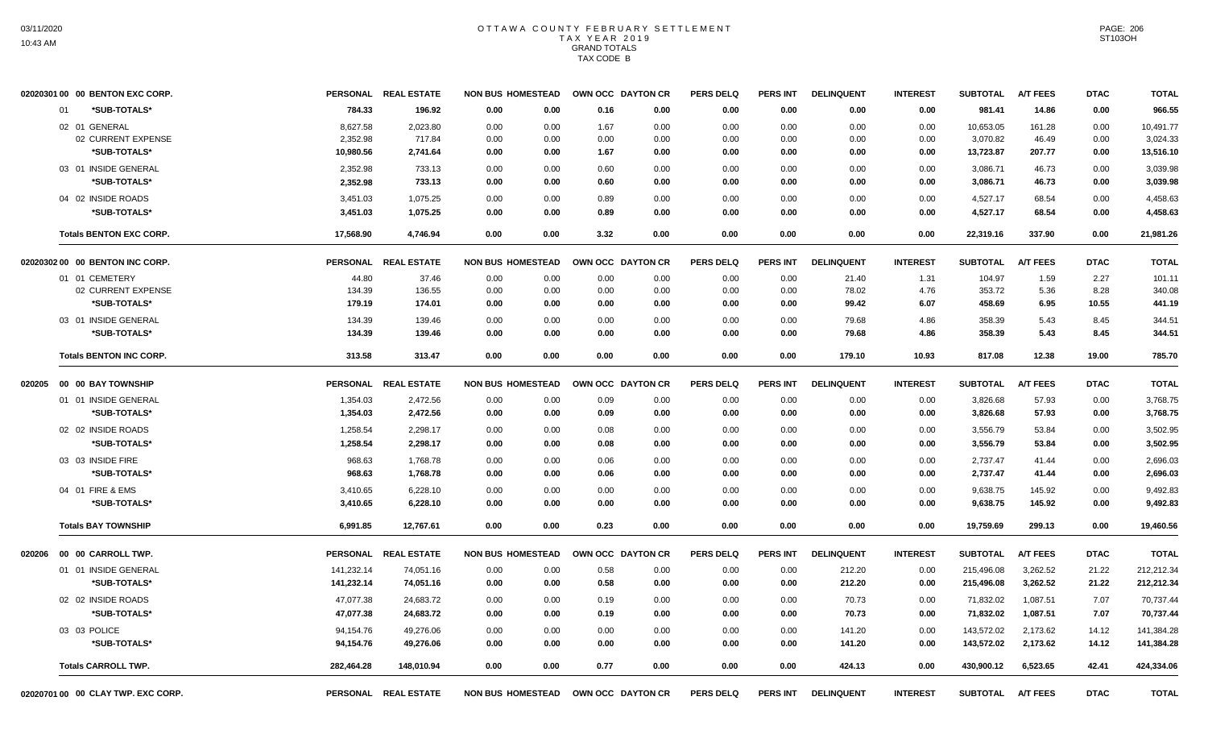|                                    | 02020301 00 00 BENTON EXC CORP.      |                       | PERSONAL REAL ESTATE | <b>NON BUS HOMESTEAD</b> |              |              | OWN OCC DAYTON CR | <b>PERS DELQ</b> | <b>PERS INT</b> | <b>DELINQUENT</b> | <b>INTEREST</b> | <b>SUBTOTAL</b>       | <b>A/T FEES</b> | <b>DTAC</b>  | <b>TOTAL</b>          |
|------------------------------------|--------------------------------------|-----------------------|----------------------|--------------------------|--------------|--------------|-------------------|------------------|-----------------|-------------------|-----------------|-----------------------|-----------------|--------------|-----------------------|
|                                    | *SUB-TOTALS*<br>01                   | 784.33                | 196.92               | 0.00                     | 0.00         | 0.16         | 0.00              | 0.00             | 0.00            | 0.00              | 0.00            | 981.41                | 14.86           | 0.00         | 966.55                |
|                                    | 02 01 GENERAL                        | 8,627.58              | 2,023.80             | 0.00                     | 0.00         | 1.67         | 0.00              | 0.00             | 0.00            | 0.00              | 0.00            | 10,653.05             | 161.28          | 0.00         | 10.491.77             |
|                                    | 02 CURRENT EXPENSE<br>*SUB-TOTALS*   | 2,352.98<br>10,980.56 | 717.84<br>2,741.64   | 0.00<br>0.00             | 0.00<br>0.00 | 0.00<br>1.67 | 0.00<br>0.00      | 0.00<br>0.00     | 0.00<br>0.00    | 0.00<br>0.00      | 0.00<br>0.00    | 3,070.82<br>13,723.87 | 46.49<br>207.77 | 0.00<br>0.00 | 3,024.33<br>13,516.10 |
|                                    |                                      |                       |                      |                          |              |              |                   |                  |                 |                   |                 |                       |                 |              |                       |
|                                    | 03 01 INSIDE GENERAL<br>*SUB-TOTALS* | 2,352.98<br>2,352.98  | 733.13<br>733.13     | 0.00<br>0.00             | 0.00<br>0.00 | 0.60<br>0.60 | 0.00<br>0.00      | 0.00<br>0.00     | 0.00<br>0.00    | 0.00<br>0.00      | 0.00<br>0.00    | 3,086.71<br>3,086.71  | 46.73<br>46.73  | 0.00<br>0.00 | 3,039.98<br>3,039.98  |
|                                    |                                      |                       |                      |                          |              |              |                   |                  |                 |                   |                 |                       |                 |              |                       |
|                                    | 04 02 INSIDE ROADS<br>*SUB-TOTALS*   | 3,451.03<br>3,451.03  | 1,075.25<br>1,075.25 | 0.00<br>0.00             | 0.00<br>0.00 | 0.89<br>0.89 | 0.00<br>0.00      | 0.00<br>0.00     | 0.00<br>0.00    | 0.00<br>0.00      | 0.00<br>0.00    | 4,527.17<br>4,527.17  | 68.54<br>68.54  | 0.00<br>0.00 | 4,458.63<br>4,458.63  |
|                                    | <b>Totals BENTON EXC CORP.</b>       | 17,568.90             | 4,746.94             | 0.00                     | 0.00         | 3.32         | 0.00              | 0.00             | 0.00            | 0.00              | 0.00            | 22,319.16             | 337.90          | 0.00         | 21,981.26             |
|                                    | 02020302 00 00 BENTON INC CORP.      |                       | PERSONAL REAL ESTATE | <b>NON BUS HOMESTEAD</b> |              |              | OWN OCC DAYTON CR | <b>PERS DELQ</b> | <b>PERS INT</b> | <b>DELINQUENT</b> | <b>INTEREST</b> | <b>SUBTOTAL</b>       | <b>A/T FEES</b> | <b>DTAC</b>  | <b>TOTAL</b>          |
|                                    | 01 01 CEMETERY                       | 44.80                 | 37.46                | 0.00                     | 0.00         | 0.00         | 0.00              | 0.00             | 0.00            | 21.40             | 1.31            | 104.97                | 1.59            | 2.27         | 101.11                |
|                                    | 02 CURRENT EXPENSE                   | 134.39                | 136.55               | 0.00                     | 0.00         | 0.00         | 0.00              | 0.00             | 0.00            | 78.02             | 4.76            | 353.72                | 5.36            | 8.28         | 340.08                |
|                                    | *SUB-TOTALS*                         | 179.19                | 174.01               | 0.00                     | 0.00         | 0.00         | 0.00              | 0.00             | 0.00            | 99.42             | 6.07            | 458.69                | 6.95            | 10.55        | 441.19                |
|                                    | 03 01 INSIDE GENERAL                 | 134.39                | 139.46               | 0.00                     | 0.00         | 0.00         | 0.00              | 0.00             | 0.00            | 79.68             | 4.86            | 358.39                | 5.43            | 8.45         | 344.51                |
|                                    | *SUB-TOTALS*                         | 134.39                | 139.46               | 0.00                     | 0.00         | 0.00         | 0.00              | 0.00             | 0.00            | 79.68             | 4.86            | 358.39                | 5.43            | 8.45         | 344.51                |
|                                    | <b>Totals BENTON INC CORP.</b>       | 313.58                | 313.47               | 0.00                     | 0.00         | 0.00         | 0.00              | 0.00             | 0.00            | 179.10            | 10.93           | 817.08                | 12.38           | 19.00        | 785.70                |
| 020205                             | 00 00 BAY TOWNSHIP                   |                       | PERSONAL REAL ESTATE | <b>NON BUS HOMESTEAD</b> |              |              | OWN OCC DAYTON CR | <b>PERS DELQ</b> | <b>PERS INT</b> | <b>DELINQUENT</b> | <b>INTEREST</b> | <b>SUBTOTAL</b>       | <b>A/T FEES</b> | <b>DTAC</b>  | <b>TOTAL</b>          |
|                                    | 01 01 INSIDE GENERAL                 | 1,354.03              | 2,472.56             | 0.00                     | 0.00         | 0.09         | 0.00              | 0.00             | 0.00            | 0.00              | 0.00            | 3,826.68              | 57.93           | 0.00         | 3,768.75              |
|                                    | *SUB-TOTALS*                         | 1,354.03              | 2,472.56             | 0.00                     | 0.00         | 0.09         | 0.00              | 0.00             | 0.00            | 0.00              | 0.00            | 3.826.68              | 57.93           | 0.00         | 3,768.75              |
|                                    | 02 02 INSIDE ROADS                   | 1,258.54              | 2,298.17             | 0.00                     | 0.00         | 0.08         | 0.00              | 0.00             | 0.00            | 0.00              | 0.00            | 3,556.79              | 53.84           | 0.00         | 3,502.95              |
|                                    | *SUB-TOTALS*                         | 1,258.54              | 2,298.17             | 0.00                     | 0.00         | 0.08         | 0.00              | 0.00             | 0.00            | 0.00              | 0.00            | 3,556.79              | 53.84           | 0.00         | 3,502.95              |
|                                    | 03 03 INSIDE FIRE                    | 968.63                | 1,768.78             | 0.00                     | 0.00         | 0.06         | 0.00              | 0.00             | 0.00            | 0.00              | 0.00            | 2,737.47              | 41.44           | 0.00         | 2,696.03              |
|                                    | *SUB-TOTALS*                         | 968.63                | 1,768.78             | 0.00                     | 0.00         | 0.06         | 0.00              | 0.00             | 0.00            | 0.00              | 0.00            | 2,737.47              | 41.44           | 0.00         | 2,696.03              |
|                                    | 04 01 FIRE & EMS                     | 3,410.65              | 6,228.10             | 0.00                     | 0.00         | 0.00         | 0.00              | 0.00             | 0.00            | 0.00              | 0.00            | 9,638.75              | 145.92          | 0.00         | 9,492.83              |
|                                    | *SUB-TOTALS*                         | 3,410.65              | 6,228.10             | 0.00                     | 0.00         | 0.00         | 0.00              | 0.00             | 0.00            | 0.00              | 0.00            | 9,638.75              | 145.92          | 0.00         | 9,492.83              |
|                                    | <b>Totals BAY TOWNSHIP</b>           | 6.991.85              | 12.767.61            | 0.00                     | 0.00         | 0.23         | 0.00              | 0.00             | 0.00            | 0.00              | 0.00            | 19,759.69             | 299.13          | 0.00         | 19,460.56             |
| 020206                             | 00 00 CARROLL TWP.                   |                       | PERSONAL REAL ESTATE | <b>NON BUS HOMESTEAD</b> |              |              | OWN OCC DAYTON CR | <b>PERS DELQ</b> | <b>PERS INT</b> | <b>DELINQUENT</b> | <b>INTEREST</b> | <b>SUBTOTAL</b>       | <b>A/T FEES</b> | <b>DTAC</b>  | <b>TOTAL</b>          |
|                                    | 01 01 INSIDE GENERAL                 | 141,232.14            | 74,051.16            | 0.00                     | 0.00         | 0.58         | 0.00              | 0.00             | 0.00            | 212.20            | 0.00            | 215,496.08            | 3,262.52        | 21.22        | 212,212.34            |
|                                    | *SUB-TOTALS*                         | 141,232.14            | 74,051.16            | 0.00                     | 0.00         | 0.58         | 0.00              | 0.00             | 0.00            | 212.20            | 0.00            | 215,496.08            | 3,262.52        | 21.22        | 212,212.34            |
|                                    | 02 02 INSIDE ROADS                   | 47,077.38             | 24,683.72            | 0.00                     | 0.00         | 0.19         | 0.00              | 0.00             | 0.00            | 70.73             | 0.00            | 71,832.02             | 1,087.51        | 7.07         | 70,737.44             |
|                                    | *SUB-TOTALS*                         | 47,077.38             | 24,683.72            | 0.00                     | 0.00         | 0.19         | 0.00              | 0.00             | 0.00            | 70.73             | 0.00            | 71,832.02             | 1,087.51        | 7.07         | 70,737.44             |
|                                    | 03 03 POLICE                         | 94,154.76             | 49,276.06            | 0.00                     | 0.00         | 0.00         | 0.00              | 0.00             | 0.00            | 141.20            | 0.00            | 143,572.02            | 2,173.62        | 14.12        | 141,384.28            |
|                                    | *SUB-TOTALS*                         | 94,154.76             | 49,276.06            | 0.00                     | 0.00         | 0.00         | 0.00              | 0.00             | 0.00            | 141.20            | 0.00            | 143,572.02            | 2,173.62        | 14.12        | 141,384.28            |
|                                    | <b>Totals CARROLL TWP.</b>           | 282,464.28            | 148,010.94           | 0.00                     | 0.00         | 0.77         | 0.00              | 0.00             | 0.00            | 424.13            | 0.00            | 430,900.12            | 6,523.65        | 42.41        | 424,334.06            |
| 02020701 00 00 CLAY TWP. EXC CORP. |                                      |                       |                      |                          |              |              |                   |                  |                 |                   |                 |                       |                 |              |                       |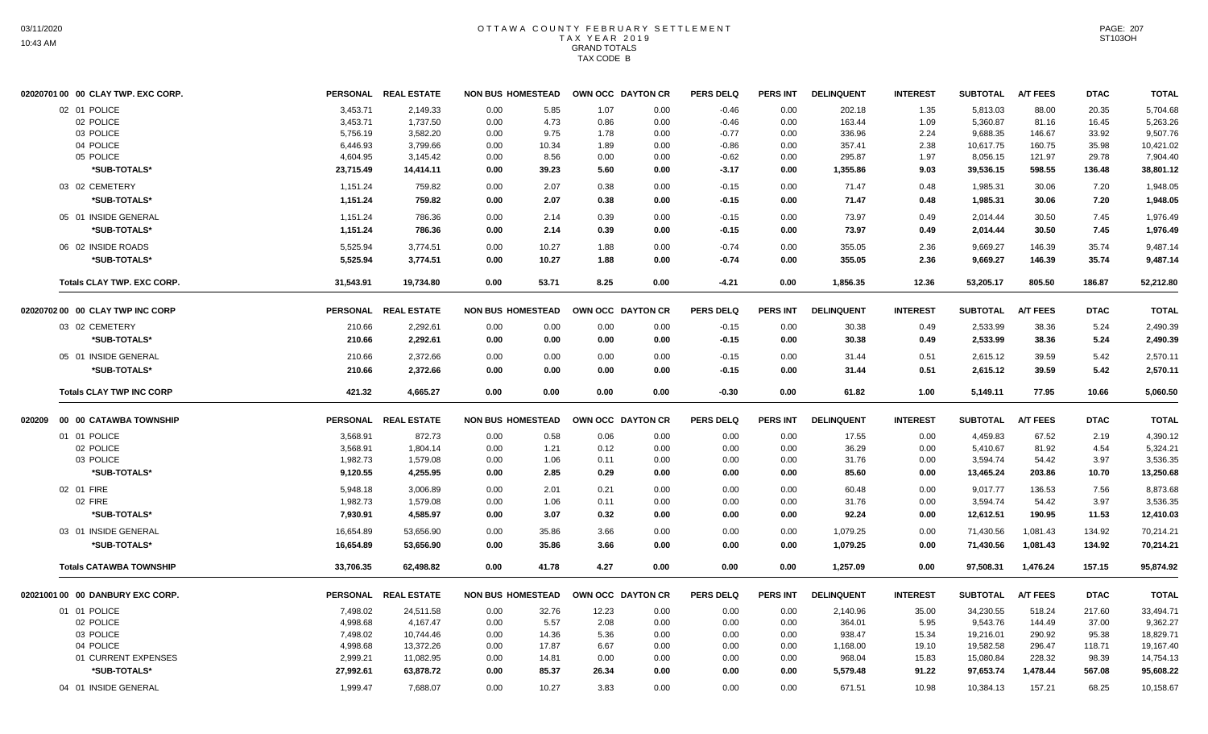| 02020701 00 00 CLAY TWP. EXC CORP.   |                 | PERSONAL REAL ESTATE | <b>NON BUS HOMESTEAD</b> |       | OWN OCC DAYTON CR |      | <b>PERS DELQ</b> | <b>PERS INT</b> | <b>DELINQUENT</b> | <b>INTEREST</b> | <b>SUBTOTAL</b> | <b>A/T FEES</b> | <b>DTAC</b> | <b>TOTAL</b> |
|--------------------------------------|-----------------|----------------------|--------------------------|-------|-------------------|------|------------------|-----------------|-------------------|-----------------|-----------------|-----------------|-------------|--------------|
| 02 01 POLICE                         | 3,453.71        | 2,149.33             | 0.00                     | 5.85  | 1.07              | 0.00 | $-0.46$          | 0.00            | 202.18            | 1.35            | 5,813.03        | 88.00           | 20.35       | 5,704.68     |
| 02 POLICE                            | 3,453.71        | 1,737.50             | 0.00                     | 4.73  | 0.86              | 0.00 | $-0.46$          | 0.00            | 163.44            | 1.09            | 5,360.87        | 81.16           | 16.45       | 5,263.26     |
| 03 POLICE                            | 5,756.19        | 3,582.20             | 0.00                     | 9.75  | 1.78              | 0.00 | $-0.77$          | 0.00            | 336.96            | 2.24            | 9,688.35        | 146.67          | 33.92       | 9,507.76     |
| 04 POLICE                            | 6,446.93        | 3,799.66             | 0.00                     | 10.34 | 1.89              | 0.00 | $-0.86$          | 0.00            | 357.41            | 2.38            | 10,617.75       | 160.75          | 35.98       | 10,421.02    |
| 05 POLICE                            | 4,604.95        | 3,145.42             | 0.00                     | 8.56  | 0.00              | 0.00 | $-0.62$          | 0.00            | 295.87            | 1.97            | 8,056.15        | 121.97          | 29.78       | 7,904.40     |
| *SUB-TOTALS*                         | 23,715.49       | 14,414.11            | 0.00                     | 39.23 | 5.60              | 0.00 | $-3.17$          | 0.00            | 1,355.86          | 9.03            | 39,536.15       | 598.55          | 136.48      | 38,801.12    |
| 03 02 CEMETERY                       | 1,151.24        | 759.82               | 0.00                     | 2.07  | 0.38              | 0.00 | $-0.15$          | 0.00            | 71.47             | 0.48            | 1,985.31        | 30.06           | 7.20        | 1,948.05     |
| *SUB-TOTALS*                         | 1,151.24        | 759.82               | 0.00                     | 2.07  | 0.38              | 0.00 | $-0.15$          | 0.00            | 71.47             | 0.48            | 1,985.31        | 30.06           | 7.20        | 1,948.05     |
| 05 01 INSIDE GENERAL                 | 1,151.24        | 786.36               | 0.00                     | 2.14  | 0.39              | 0.00 | $-0.15$          | 0.00            | 73.97             | 0.49            | 2,014.44        | 30.50           | 7.45        | 1,976.49     |
| *SUB-TOTALS*                         | 1,151.24        | 786.36               | 0.00                     | 2.14  | 0.39              | 0.00 | $-0.15$          | 0.00            | 73.97             | 0.49            | 2,014.44        | 30.50           | 7.45        | 1,976.49     |
| 06 02 INSIDE ROADS                   | 5.525.94        | 3,774.51             | 0.00                     | 10.27 | 1.88              | 0.00 | $-0.74$          | 0.00            | 355.05            | 2.36            | 9.669.27        | 146.39          | 35.74       | 9,487.14     |
| *SUB-TOTALS*                         | 5,525.94        | 3,774.51             | 0.00                     | 10.27 | 1.88              | 0.00 | $-0.74$          | 0.00            | 355.05            | 2.36            | 9,669.27        | 146.39          | 35.74       | 9,487.14     |
| <b>Totals CLAY TWP. EXC CORP.</b>    | 31,543.91       | 19,734.80            | 0.00                     | 53.71 | 8.25              | 0.00 | $-4.21$          | 0.00            | 1,856.35          | 12.36           | 53,205.17       | 805.50          | 186.87      | 52,212.80    |
| 02020702 00 00 CLAY TWP INC CORP     |                 | PERSONAL REAL ESTATE | <b>NON BUS HOMESTEAD</b> |       | OWN OCC DAYTON CR |      | <b>PERS DELQ</b> | <b>PERS INT</b> | <b>DELINQUENT</b> | <b>INTEREST</b> | <b>SUBTOTAL</b> | <b>A/T FEES</b> | <b>DTAC</b> | <b>TOTAL</b> |
| 03 02 CEMETERY                       | 210.66          | 2,292.61             | 0.00                     | 0.00  | 0.00              | 0.00 | $-0.15$          | 0.00            | 30.38             | 0.49            | 2,533.99        | 38.36           | 5.24        | 2,490.39     |
| *SUB-TOTALS*                         | 210.66          | 2,292.61             | 0.00                     | 0.00  | 0.00              | 0.00 | $-0.15$          | 0.00            | 30.38             | 0.49            | 2,533.99        | 38.36           | 5.24        | 2,490.39     |
| 05 01 INSIDE GENERAL                 | 210.66          | 2,372.66             | 0.00                     | 0.00  | 0.00              | 0.00 | $-0.15$          | 0.00            | 31.44             | 0.51            | 2,615.12        | 39.59           | 5.42        | 2,570.11     |
| *SUB-TOTALS*                         | 210.66          | 2,372.66             | 0.00                     | 0.00  | 0.00              | 0.00 | $-0.15$          | 0.00            | 31.44             | 0.51            | 2,615.12        | 39.59           | 5.42        | 2,570.11     |
| <b>Totals CLAY TWP INC CORP</b>      | 421.32          | 4,665.27             | 0.00                     | 0.00  | 0.00              | 0.00 | $-0.30$          | 0.00            | 61.82             | 1.00            | 5,149.11        | 77.95           | 10.66       | 5,060.50     |
| 020209     00   00  CATAWBA TOWNSHIP | <b>PERSONAL</b> | <b>REAL ESTATE</b>   | <b>NON BUS HOMESTEAD</b> |       | OWN OCC DAYTON CR |      | <b>PERS DELQ</b> | <b>PERS INT</b> | <b>DELINQUENT</b> | <b>INTEREST</b> | <b>SUBTOTAL</b> | <b>A/T FEES</b> | <b>DTAC</b> | <b>TOTAL</b> |
| 01 01 POLICE                         | 3,568.91        | 872.73               | 0.00                     | 0.58  | 0.06              | 0.00 | 0.00             | 0.00            | 17.55             | 0.00            | 4,459.83        | 67.52           | 2.19        | 4,390.12     |
| 02 POLICE                            | 3,568.91        | 1,804.14             | 0.00                     | 1.21  | 0.12              | 0.00 | 0.00             | 0.00            | 36.29             | 0.00            | 5,410.67        | 81.92           | 4.54        | 5,324.21     |
| 03 POLICE                            | 1,982.73        | 1,579.08             | 0.00                     | 1.06  | 0.11              | 0.00 | 0.00             | 0.00            | 31.76             | 0.00            | 3,594.74        | 54.42           | 3.97        | 3,536.35     |
| *SUB-TOTALS*                         | 9,120.55        | 4,255.95             | 0.00                     | 2.85  | 0.29              | 0.00 | 0.00             | 0.00            | 85.60             | 0.00            | 13,465.24       | 203.86          | 10.70       | 13,250.68    |
| 02 01 FIRE                           | 5,948.18        | 3,006.89             | 0.00                     | 2.01  | 0.21              | 0.00 | 0.00             | 0.00            | 60.48             | 0.00            | 9,017.77        | 136.53          | 7.56        | 8,873.68     |
| 02 FIRE                              | 1,982.73        | 1,579.08             | 0.00                     | 1.06  | 0.11              | 0.00 | 0.00             | 0.00            | 31.76             | 0.00            | 3,594.74        | 54.42           | 3.97        | 3,536.35     |
| *SUB-TOTALS*                         | 7,930.91        | 4,585.97             | 0.00                     | 3.07  | 0.32              | 0.00 | 0.00             | 0.00            | 92.24             | 0.00            | 12,612.51       | 190.95          | 11.53       | 12,410.03    |
| 03 01 INSIDE GENERAL                 | 16,654.89       | 53,656.90            | 0.00                     | 35.86 | 3.66              | 0.00 | 0.00             | 0.00            | 1,079.25          | 0.00            | 71,430.56       | 1,081.43        | 134.92      | 70,214.21    |
| *SUB-TOTALS*                         | 16,654.89       | 53,656.90            | 0.00                     | 35.86 | 3.66              | 0.00 | 0.00             | 0.00            | 1,079.25          | 0.00            | 71,430.56       | 1,081.43        | 134.92      | 70,214.21    |
| <b>Totals CATAWBA TOWNSHIP</b>       | 33,706.35       | 62,498.82            | 0.00                     | 41.78 | 4.27              | 0.00 | 0.00             | 0.00            | 1,257.09          | 0.00            | 97,508.31       | 1,476.24        | 157.15      | 95,874.92    |
| 02021001 00 00 DANBURY EXC CORP.     |                 | PERSONAL REAL ESTATE | <b>NON BUS HOMESTEAD</b> |       | OWN OCC DAYTON CR |      | <b>PERS DELQ</b> | <b>PERS INT</b> | <b>DELINQUENT</b> | <b>INTEREST</b> | <b>SUBTOTAL</b> | <b>A/T FEES</b> | <b>DTAC</b> | <b>TOTAL</b> |
| 01 01 POLICE                         | 7,498.02        | 24,511.58            | 0.00                     | 32.76 | 12.23             | 0.00 | 0.00             | 0.00            | 2,140.96          | 35.00           | 34,230.55       | 518.24          | 217.60      | 33,494.71    |
| 02 POLICE                            | 4,998.68        | 4,167.47             | 0.00                     | 5.57  | 2.08              | 0.00 | 0.00             | 0.00            | 364.01            | 5.95            | 9,543.76        | 144.49          | 37.00       | 9,362.27     |
| 03 POLICE                            | 7,498.02        | 10,744.46            | 0.00                     | 14.36 | 5.36              | 0.00 | 0.00             | 0.00            | 938.47            | 15.34           | 19,216.01       | 290.92          | 95.38       | 18,829.71    |
| 04 POLICE                            | 4,998.68        | 13,372.26            | 0.00                     | 17.87 | 6.67              | 0.00 | 0.00             | 0.00            | 1,168.00          | 19.10           | 19,582.58       | 296.47          | 118.71      | 19,167.40    |
| 01 CURRENT EXPENSES                  | 2,999.21        | 11,082.95            | 0.00                     | 14.81 | 0.00              | 0.00 | 0.00             | 0.00            | 968.04            | 15.83           | 15,080.84       | 228.32          | 98.39       | 14,754.13    |
| *SUB-TOTALS*                         | 27,992.61       | 63,878.72            | 0.00                     | 85.37 | 26.34             | 0.00 | 0.00             | 0.00            | 5,579.48          | 91.22           | 97,653.74       | 1,478.44        | 567.08      | 95,608.22    |
| 04 01 INSIDE GENERAL                 | 1,999.47        | 7,688.07             | 0.00                     | 10.27 | 3.83              | 0.00 | 0.00             | 0.00            | 671.51            | 10.98           | 10,384.13       | 157.21          | 68.25       | 10,158.67    |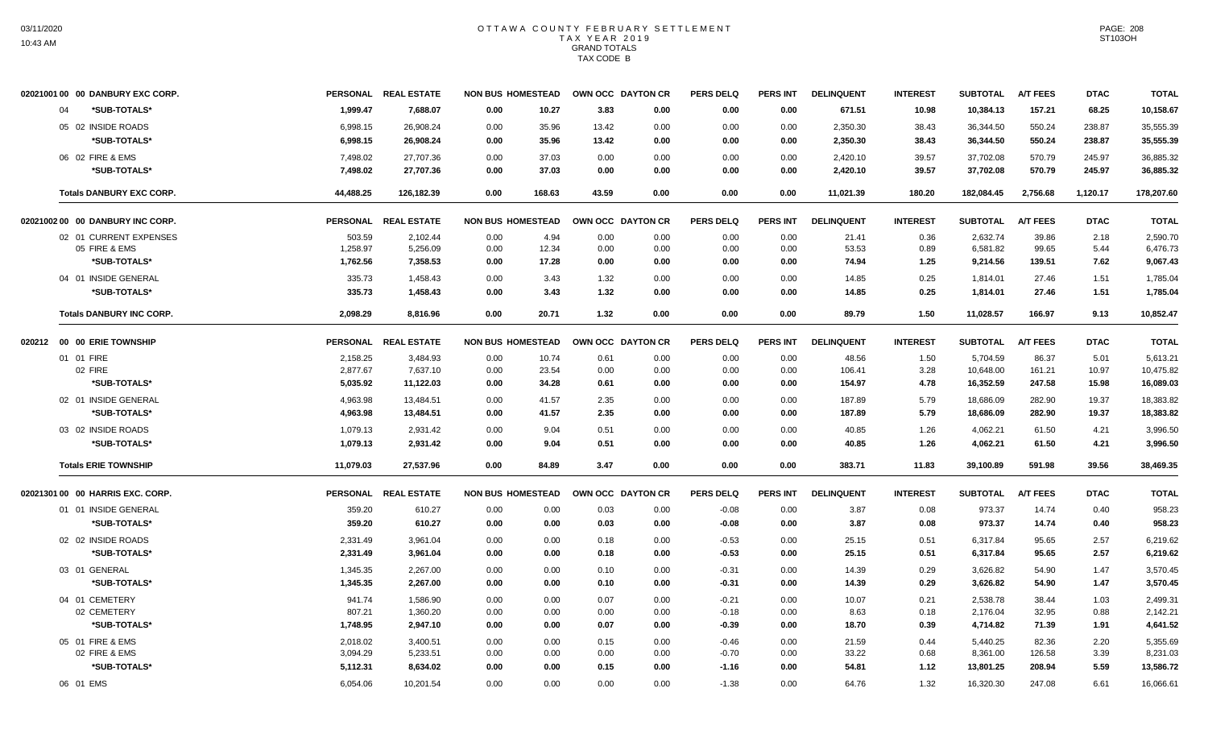|        | 02021001 00 00 DANBURY EXC CORP. |                 | PERSONAL REAL ESTATE | <b>NON BUS HOMESTEAD</b> |        |       | OWN OCC DAYTON CR | <b>PERS DELQ</b> | <b>PERS INT</b> | <b>DELINQUENT</b> | <b>INTEREST</b> | <b>SUBTOTAL</b> | <b>A/T FEES</b> | <b>DTAC</b> | <b>TOTAL</b> |
|--------|----------------------------------|-----------------|----------------------|--------------------------|--------|-------|-------------------|------------------|-----------------|-------------------|-----------------|-----------------|-----------------|-------------|--------------|
|        | 04<br>*SUB-TOTALS*               | 1,999.47        | 7,688.07             | 0.00                     | 10.27  | 3.83  | 0.00              | 0.00             | 0.00            | 671.51            | 10.98           | 10,384.13       | 157.21          | 68.25       | 10,158.67    |
|        | 05 02 INSIDE ROADS               | 6,998.15        | 26,908.24            | 0.00                     | 35.96  | 13.42 | 0.00              | 0.00             | 0.00            | 2,350.30          | 38.43           | 36,344.50       | 550.24          | 238.87      | 35,555.39    |
|        | *SUB-TOTALS*                     | 6,998.15        | 26,908.24            | 0.00                     | 35.96  | 13.42 | 0.00              | 0.00             | 0.00            | 2,350.30          | 38.43           | 36,344.50       | 550.24          | 238.87      | 35,555.39    |
|        | 06 02 FIRE & EMS                 | 7,498.02        | 27,707.36            | 0.00                     | 37.03  | 0.00  | 0.00              | 0.00             | 0.00            | 2,420.10          | 39.57           | 37,702.08       | 570.79          | 245.97      | 36,885.32    |
|        | *SUB-TOTALS*                     | 7,498.02        | 27,707.36            | 0.00                     | 37.03  | 0.00  | 0.00              | 0.00             | 0.00            | 2,420.10          | 39.57           | 37,702.08       | 570.79          | 245.97      | 36,885.32    |
|        | <b>Totals DANBURY EXC CORP.</b>  | 44.488.25       | 126,182.39           | 0.00                     | 168.63 | 43.59 | 0.00              | 0.00             | 0.00            | 11,021.39         | 180.20          | 182.084.45      | 2,756.68        | 1,120.17    | 178,207.60   |
|        | 02021002 00 00 DANBURY INC CORP. | <b>PERSONAL</b> | <b>REAL ESTATE</b>   | <b>NON BUS HOMESTEAD</b> |        |       | OWN OCC DAYTON CR | <b>PERS DELQ</b> | <b>PERS INT</b> | <b>DELINQUENT</b> | <b>INTEREST</b> | <b>SUBTOTAL</b> | <b>A/T FEES</b> | <b>DTAC</b> | <b>TOTAL</b> |
|        | 02 01 CURRENT EXPENSES           | 503.59          | 2,102.44             | 0.00                     | 4.94   | 0.00  | 0.00              | 0.00             | 0.00            | 21.41             | 0.36            | 2,632.74        | 39.86           | 2.18        | 2.590.70     |
|        | 05 FIRE & EMS                    | 1,258.97        | 5,256.09             | 0.00                     | 12.34  | 0.00  | 0.00              | 0.00             | 0.00            | 53.53             | 0.89            | 6,581.82        | 99.65           | 5.44        | 6,476.73     |
|        | *SUB-TOTALS*                     | 1.762.56        | 7,358.53             | 0.00                     | 17.28  | 0.00  | 0.00              | 0.00             | 0.00            | 74.94             | 1.25            | 9,214.56        | 139.51          | 7.62        | 9,067.43     |
|        | 04 01 INSIDE GENERAL             | 335.73          | 1,458.43             | 0.00                     | 3.43   | 1.32  | 0.00              | 0.00             | 0.00            | 14.85             | 0.25            | 1,814.01        | 27.46           | 1.51        | 1,785.04     |
|        | *SUB-TOTALS*                     | 335.73          | 1,458.43             | 0.00                     | 3.43   | 1.32  | 0.00              | 0.00             | 0.00            | 14.85             | 0.25            | 1,814.01        | 27.46           | 1.51        | 1,785.04     |
|        | <b>Totals DANBURY INC CORP.</b>  | 2,098.29        | 8,816.96             | 0.00                     | 20.71  | 1.32  | 0.00              | 0.00             | 0.00            | 89.79             | 1.50            | 11,028.57       | 166.97          | 9.13        | 10,852.47    |
| 020212 | 00 00 ERIE TOWNSHIP              |                 | PERSONAL REAL ESTATE | <b>NON BUS HOMESTEAD</b> |        |       | OWN OCC DAYTON CR | <b>PERS DELQ</b> | <b>PERS INT</b> | <b>DELINQUENT</b> | <b>INTEREST</b> | <b>SUBTOTAL</b> | A/T FEES        | <b>DTAC</b> | <b>TOTAL</b> |
|        | 01 01 FIRE                       | 2,158.25        | 3,484.93             | 0.00                     | 10.74  | 0.61  | 0.00              | 0.00             | 0.00            | 48.56             | 1.50            | 5,704.59        | 86.37           | 5.01        | 5,613.21     |
|        | 02 FIRE                          | 2,877.67        | 7,637.10             | 0.00                     | 23.54  | 0.00  | 0.00              | 0.00             | 0.00            | 106.41            | 3.28            | 10,648.00       | 161.21          | 10.97       | 10,475.82    |
|        | *SUB-TOTALS*                     | 5,035.92        | 11,122.03            | 0.00                     | 34.28  | 0.61  | 0.00              | 0.00             | 0.00            | 154.97            | 4.78            | 16,352.59       | 247.58          | 15.98       | 16,089.03    |
|        | 02 01 INSIDE GENERAL             | 4,963.98        | 13,484.51            | 0.00                     | 41.57  | 2.35  | 0.00              | 0.00             | 0.00            | 187.89            | 5.79            | 18,686.09       | 282.90          | 19.37       | 18,383.82    |
|        | *SUB-TOTALS*                     | 4.963.98        | 13,484.51            | 0.00                     | 41.57  | 2.35  | 0.00              | 0.00             | 0.00            | 187.89            | 5.79            | 18,686.09       | 282.90          | 19.37       | 18,383.82    |
|        | 03 02 INSIDE ROADS               | 1,079.13        | 2,931.42             | 0.00                     | 9.04   | 0.51  | 0.00              | 0.00             | 0.00            | 40.85             | 1.26            | 4,062.21        | 61.50           | 4.21        | 3,996.50     |
|        | *SUB-TOTALS*                     | 1,079.13        | 2,931.42             | 0.00                     | 9.04   | 0.51  | 0.00              | 0.00             | 0.00            | 40.85             | 1.26            | 4,062.21        | 61.50           | 4.21        | 3,996.50     |
|        | <b>Totals ERIE TOWNSHIP</b>      | 11,079.03       | 27,537.96            | 0.00                     | 84.89  | 3.47  | 0.00              | 0.00             | 0.00            | 383.71            | 11.83           | 39,100.89       | 591.98          | 39.56       | 38,469.35    |
|        | 02021301 00 00 HARRIS EXC. CORP. |                 | PERSONAL REAL ESTATE | <b>NON BUS HOMESTEAD</b> |        |       | OWN OCC DAYTON CR | <b>PERS DELQ</b> | <b>PERS INT</b> | <b>DELINQUENT</b> | <b>INTEREST</b> | <b>SUBTOTAL</b> | <b>A/T FEES</b> | <b>DTAC</b> | <b>TOTAL</b> |
|        | 01 01 INSIDE GENERAL             | 359.20          | 610.27               | 0.00                     | 0.00   | 0.03  | 0.00              | $-0.08$          | 0.00            | 3.87              | 0.08            | 973.37          | 14.74           | 0.40        | 958.23       |
|        | *SUB-TOTALS*                     | 359.20          | 610.27               | 0.00                     | 0.00   | 0.03  | 0.00              | $-0.08$          | 0.00            | 3.87              | 0.08            | 973.37          | 14.74           | 0.40        | 958.23       |
|        | 02 02 INSIDE ROADS               | 2,331.49        | 3,961.04             | 0.00                     | 0.00   | 0.18  | 0.00              | $-0.53$          | 0.00            | 25.15             | 0.51            | 6,317.84        | 95.65           | 2.57        | 6,219.62     |
|        | *SUB-TOTALS*                     | 2.331.49        | 3,961.04             | 0.00                     | 0.00   | 0.18  | 0.00              | $-0.53$          | 0.00            | 25.15             | 0.51            | 6.317.84        | 95.65           | 2.57        | 6,219.62     |
|        | 03 01 GENERAL                    | 1,345.35        | 2,267.00             | 0.00                     | 0.00   | 0.10  | 0.00              | $-0.31$          | 0.00            | 14.39             | 0.29            | 3,626.82        | 54.90           | 1.47        | 3,570.45     |
|        | *SUB-TOTALS*                     | 1,345.35        | 2,267.00             | 0.00                     | 0.00   | 0.10  | 0.00              | $-0.31$          | 0.00            | 14.39             | 0.29            | 3,626.82        | 54.90           | 1.47        | 3,570.45     |
|        | 04 01 CEMETERY                   | 941.74          | 1,586.90             | 0.00                     | 0.00   | 0.07  | 0.00              | $-0.21$          | 0.00            | 10.07             | 0.21            | 2,538.78        | 38.44           | 1.03        | 2,499.31     |
|        | 02 CEMETERY                      | 807.21          | 1,360.20             | 0.00                     | 0.00   | 0.00  | 0.00              | $-0.18$          | 0.00            | 8.63              | 0.18            | 2,176.04        | 32.95           | 0.88        | 2,142.21     |
|        | *SUB-TOTALS*                     | 1,748.95        | 2,947.10             | 0.00                     | 0.00   | 0.07  | 0.00              | $-0.39$          | 0.00            | 18.70             | 0.39            | 4,714.82        | 71.39           | 1.91        | 4,641.52     |
|        | 05 01 FIRE & EMS                 | 2,018.02        | 3,400.51             | 0.00                     | 0.00   | 0.15  | 0.00              | $-0.46$          | 0.00            | 21.59             | 0.44            | 5,440.25        | 82.36           | 2.20        | 5,355.69     |
|        | 02 FIRE & EMS                    | 3,094.29        | 5,233.51             | 0.00                     | 0.00   | 0.00  | 0.00              | $-0.70$          | 0.00            | 33.22             | 0.68            | 8,361.00        | 126.58          | 3.39        | 8,231.03     |
|        | *SUB-TOTALS*                     | 5,112.31        | 8,634.02             | 0.00                     | 0.00   | 0.15  | 0.00              | $-1.16$          | 0.00            | 54.81             | 1.12            | 13,801.25       | 208.94          | 5.59        | 13,586.72    |
|        | 06 01 EMS                        | 6,054.06        | 10,201.54            | 0.00                     | 0.00   | 0.00  | 0.00              | $-1.38$          | 0.00            | 64.76             | 1.32            | 16,320.30       | 247.08          | 6.61        | 16,066.61    |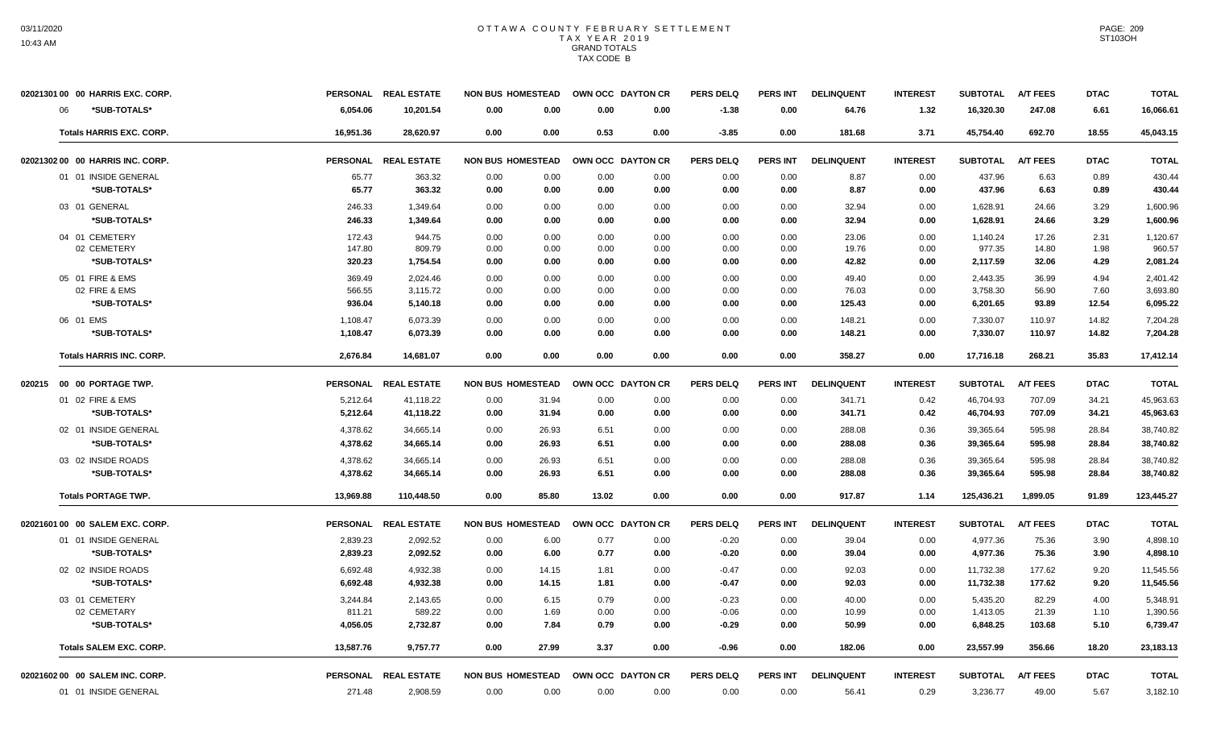| 02021301 00 00 HARRIS EXC. CORP.                    | PERSONAL REAL ESTATE |                | <b>NON BUS HOMESTEAD</b> |       | OWN OCC DAYTON CR | <b>PERS DELQ</b> | <b>PERS INT</b> | <b>DELINQUENT</b> | <b>INTEREST</b> | <b>SUBTOTAL</b> | <b>A/T FEES</b> | <b>DTAC</b> | <b>TOTAL</b> |
|-----------------------------------------------------|----------------------|----------------|--------------------------|-------|-------------------|------------------|-----------------|-------------------|-----------------|-----------------|-----------------|-------------|--------------|
| *SUB-TOTALS*<br>6,054.06<br>06                      | 10,201.54            | 0.00           | 0.00                     | 0.00  | 0.00              | $-1.38$          | 0.00            | 64.76             | 1.32            | 16,320.30       | 247.08          | 6.61        | 16,066.61    |
| <b>Totals HARRIS EXC. CORP.</b><br>16,951.36        | 28,620.97            | 0.00           | 0.00                     | 0.53  | 0.00              | $-3.85$          | 0.00            | 181.68            | 3.71            | 45,754.40       | 692.70          | 18.55       | 45,043.15    |
| 02021302 00 00 HARRIS INC. CORP.<br><b>PERSONAL</b> | <b>REAL ESTATE</b>   |                | <b>NON BUS HOMESTEAD</b> |       | OWN OCC DAYTON CR | <b>PERS DELQ</b> | <b>PERS INT</b> | <b>DELINQUENT</b> | <b>INTEREST</b> | <b>SUBTOTAL</b> | <b>A/T FEES</b> | <b>DTAC</b> | <b>TOTAL</b> |
| 01 01 INSIDE GENERAL                                | 65.77                | 363.32<br>0.00 | 0.00                     | 0.00  | 0.00              | 0.00             | 0.00            | 8.87              | 0.00            | 437.96          | 6.63            | 0.89        | 430.44       |
| *SUB-TOTALS*                                        | 65.77                | 363.32<br>0.00 | 0.00                     | 0.00  | 0.00              | 0.00             | 0.00            | 8.87              | 0.00            | 437.96          | 6.63            | 0.89        | 430.44       |
| 03 01 GENERAL                                       | 246.33<br>1,349.64   | 0.00           | 0.00                     | 0.00  | 0.00              | 0.00             | 0.00            | 32.94             | 0.00            | 1.628.91        | 24.66           | 3.29        | 1,600.96     |
| *SUB-TOTALS*                                        | 246.33<br>1,349.64   | 0.00           | 0.00                     | 0.00  | 0.00              | 0.00             | 0.00            | 32.94             | 0.00            | 1,628.91        | 24.66           | 3.29        | 1,600.96     |
| 04 01 CEMETERY                                      | 172.43               | 944.75<br>0.00 | 0.00                     | 0.00  | 0.00              | 0.00             | 0.00            | 23.06             | 0.00            | 1,140.24        | 17.26           | 2.31        | 1.120.67     |
| 02 CEMETERY                                         | 147.80               | 809.79<br>0.00 | 0.00                     | 0.00  | 0.00              | 0.00             | 0.00            | 19.76             | 0.00            | 977.35          | 14.80           | 1.98        | 960.57       |
| *SUB-TOTALS*                                        | 320.23<br>1,754.54   | 0.00           | 0.00                     | 0.00  | 0.00              | 0.00             | 0.00            | 42.82             | 0.00            | 2,117.59        | 32.06           | 4.29        | 2,081.24     |
| 05 01 FIRE & EMS                                    | 369.49<br>2,024.46   | 0.00           | 0.00                     | 0.00  | 0.00              | 0.00             | 0.00            | 49.40             | 0.00            | 2,443.35        | 36.99           | 4.94        | 2,401.42     |
| 02 FIRE & EMS                                       | 566.55<br>3,115.72   | 0.00           | 0.00                     | 0.00  | 0.00              | 0.00             | 0.00            | 76.03             | 0.00            | 3,758.30        | 56.90           | 7.60        | 3,693.80     |
| *SUB-TOTALS*                                        | 936.04<br>5,140.18   | 0.00           | 0.00                     | 0.00  | 0.00              | 0.00             | 0.00            | 125.43            | 0.00            | 6,201.65        | 93.89           | 12.54       | 6,095.22     |
| 06 01 EMS<br>1,108.47                               | 6,073.39             | 0.00           | 0.00                     | 0.00  | 0.00              | 0.00             | 0.00            | 148.21            | 0.00            | 7,330.07        | 110.97          | 14.82       | 7,204.28     |
| *SUB-TOTALS*<br>1,108.47                            | 6,073.39             | 0.00           | 0.00                     | 0.00  | 0.00              | 0.00             | 0.00            | 148.21            | 0.00            | 7,330.07        | 110.97          | 14.82       | 7,204.28     |
| <b>Totals HARRIS INC. CORP.</b><br>2.676.84         | 14.681.07            | 0.00           | 0.00                     | 0.00  | 0.00              | 0.00             | 0.00            | 358.27            | 0.00            | 17,716.18       | 268.21          | 35.83       | 17,412.14    |
| <b>PERSONAL</b><br>020215  00  00  PORTAGE TWP.     | <b>REAL ESTATE</b>   |                | <b>NON BUS HOMESTEAD</b> |       | OWN OCC DAYTON CR | <b>PERS DELQ</b> | <b>PERS INT</b> | <b>DELINQUENT</b> | <b>INTEREST</b> | <b>SUBTOTAL</b> | <b>A/T FEES</b> | <b>DTAC</b> | <b>TOTAL</b> |
| 01 02 FIRE & EMS<br>5,212.64                        | 41,118.22            | 0.00           | 31.94                    | 0.00  | 0.00              | 0.00             | 0.00            | 341.71            | 0.42            | 46,704.93       | 707.09          | 34.21       | 45,963.63    |
| *SUB-TOTALS*<br>5,212.64                            | 41,118.22            | 0.00           | 31.94                    | 0.00  | 0.00              | 0.00             | 0.00            | 341.71            | 0.42            | 46,704.93       | 707.09          | 34.21       | 45,963.63    |
| 02 01 INSIDE GENERAL<br>4,378.62                    | 34,665.14            | 0.00           | 26.93                    | 6.51  | 0.00              | 0.00             | 0.00            | 288.08            | 0.36            | 39,365.64       | 595.98          | 28.84       | 38,740.82    |
| *SUB-TOTALS*<br>4,378.62                            | 34,665.14            | 0.00           | 26.93                    | 6.51  | 0.00              | 0.00             | 0.00            | 288.08            | 0.36            | 39,365.64       | 595.98          | 28.84       | 38,740.82    |
| 03 02 INSIDE ROADS<br>4,378.62                      | 34,665.14            | 0.00           | 26.93                    | 6.51  | 0.00              | 0.00             | 0.00            | 288.08            | 0.36            | 39,365.64       | 595.98          | 28.84       | 38,740.82    |
| *SUB-TOTALS*<br>4,378.62                            | 34,665.14            | 0.00           | 26.93                    | 6.51  | 0.00              | 0.00             | 0.00            | 288.08            | 0.36            | 39,365.64       | 595.98          | 28.84       | 38,740.82    |
| <b>Totals PORTAGE TWP.</b><br>13,969.88             | 110,448.50           | 0.00           | 85.80                    | 13.02 | 0.00              | 0.00             | 0.00            | 917.87            | 1.14            | 125,436.21      | 1,899.05        | 91.89       | 123,445.27   |
| 02021601 00 00 SALEM EXC. CORP.                     | PERSONAL REAL ESTATE |                | <b>NON BUS HOMESTEAD</b> |       | OWN OCC DAYTON CR | <b>PERS DELQ</b> | <b>PERS INT</b> | <b>DELINQUENT</b> | <b>INTEREST</b> | <b>SUBTOTAL</b> | <b>A/T FEES</b> | <b>DTAC</b> | <b>TOTAL</b> |
| 01 01 INSIDE GENERAL<br>2,839.23                    | 2,092.52             | 0.00           | 6.00                     | 0.77  | 0.00              | $-0.20$          | 0.00            | 39.04             | 0.00            | 4,977.36        | 75.36           | 3.90        | 4,898.10     |
| *SUB-TOTALS*<br>2,839.23                            | 2,092.52             | 0.00           | 6.00                     | 0.77  | 0.00              | $-0.20$          | 0.00            | 39.04             | 0.00            | 4,977.36        | 75.36           | 3.90        | 4,898.10     |
| 02 02 INSIDE ROADS<br>6,692.48                      | 4,932.38             | 0.00           | 14.15                    | 1.81  | 0.00              | $-0.47$          | 0.00            | 92.03             | 0.00            | 11,732.38       | 177.62          | 9.20        | 11,545.56    |
| *SUB-TOTALS*<br>6,692.48                            | 4,932.38             | 0.00           | 14.15                    | 1.81  | 0.00              | $-0.47$          | 0.00            | 92.03             | 0.00            | 11,732.38       | 177.62          | 9.20        | 11,545.56    |
| 03 01 CEMETERY<br>3,244.84                          | 2,143.65             | 0.00           | 6.15                     | 0.79  | 0.00              | $-0.23$          | 0.00            | 40.00             | 0.00            | 5,435.20        | 82.29           | 4.00        | 5.348.91     |
| 02 CEMETARY                                         | 811.21               | 589.22<br>0.00 | 1.69                     | 0.00  | 0.00              | $-0.06$          | 0.00            | 10.99             | 0.00            | 1,413.05        | 21.39           | 1.10        | 1,390.56     |
| *SUB-TOTALS*<br>4,056.05                            | 2,732.87             | 0.00           | 7.84                     | 0.79  | 0.00              | $-0.29$          | 0.00            | 50.99             | 0.00            | 6,848.25        | 103.68          | 5.10        | 6,739.47     |
| <b>Totals SALEM EXC. CORP.</b><br>13,587.76         | 9,757.77             | 0.00           | 27.99                    | 3.37  | 0.00              | $-0.96$          | 0.00            | 182.06            | 0.00            | 23,557.99       | 356.66          | 18.20       | 23,183.13    |
| 0202160200 00 SALEM INC. CORP.                      | PERSONAL REAL ESTATE |                | <b>NON BUS HOMESTEAD</b> |       | OWN OCC DAYTON CR | <b>PERS DELQ</b> | <b>PERS INT</b> | <b>DELINQUENT</b> | <b>INTEREST</b> | <b>SUBTOTAL</b> | <b>A/T FEES</b> | <b>DTAC</b> | <b>TOTAL</b> |
| 01 01 INSIDE GENERAL                                | 2,908.59<br>271.48   | 0.00           | 0.00                     | 0.00  | 0.00              | 0.00             | 0.00            | 56.41             | 0.29            | 3,236.77        | 49.00           | 5.67        | 3,182.10     |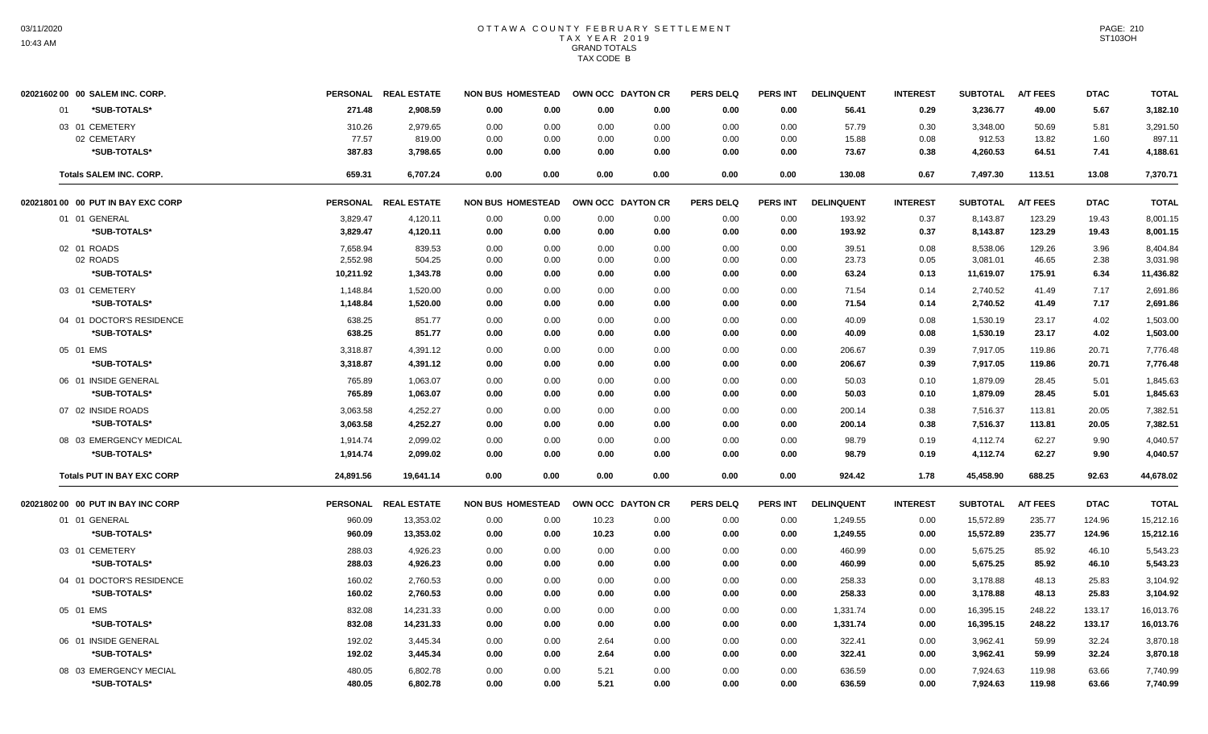|    | 02021602 00 00 SALEM INC. CORP.    | <b>PERSONAL</b> | <b>REAL ESTATE</b>   | <b>NON BUS HOMESTEAD</b> |               | OWN OCC DAYTON CR | <b>PERS DELQ</b> | <b>PERS INT</b> | <b>DELINQUENT</b> | <b>INTEREST</b> | <b>SUBTOTAL</b> | <b>A/T FEES</b> | <b>DTAC</b> | <b>TOTAL</b> |
|----|------------------------------------|-----------------|----------------------|--------------------------|---------------|-------------------|------------------|-----------------|-------------------|-----------------|-----------------|-----------------|-------------|--------------|
| 01 | *SUB-TOTALS*                       | 271.48          | 2,908.59             | 0.00                     | 0.00<br>0.00  | 0.00              | 0.00             | 0.00            | 56.41             | 0.29            | 3,236.77        | 49.00           | 5.67        | 3,182.10     |
|    | 03 01 CEMETERY                     | 310.26          | 2,979.65             | 0.00                     | 0.00<br>0.00  | 0.00              | 0.00             | 0.00            | 57.79             | 0.30            | 3,348.00        | 50.69           | 5.81        | 3,291.50     |
|    | 02 CEMETARY                        | 77.57           | 819.00               | 0.00                     | 0.00<br>0.00  | 0.00              | 0.00             | 0.00            | 15.88             | 0.08            | 912.53          | 13.82           | 1.60        | 897.11       |
|    | *SUB-TOTALS*                       | 387.83          | 3,798.65             | 0.00                     | 0.00<br>0.00  | 0.00              | 0.00             | 0.00            | 73.67             | 0.38            | 4,260.53        | 64.51           | 7.41        | 4,188.61     |
|    | <b>Totals SALEM INC. CORP.</b>     | 659.31          | 6,707.24             | 0.00<br>0.00             | 0.00          | 0.00              | 0.00             | 0.00            | 130.08            | 0.67            | 7,497.30        | 113.51          | 13.08       | 7,370.71     |
|    | 02021801 00 00 PUT IN BAY EXC CORP |                 | PERSONAL REAL ESTATE | <b>NON BUS HOMESTEAD</b> |               | OWN OCC DAYTON CR | <b>PERS DELQ</b> | <b>PERS INT</b> | <b>DELINQUENT</b> | <b>INTEREST</b> | <b>SUBTOTAL</b> | <b>A/T FEES</b> | <b>DTAC</b> | <b>TOTAL</b> |
|    | 01 01 GENERAL                      | 3,829.47        | 4,120.11             | 0.00                     | 0.00<br>0.00  | 0.00              | 0.00             | 0.00            | 193.92            | 0.37            | 8,143.87        | 123.29          | 19.43       | 8,001.15     |
|    | *SUB-TOTALS*                       | 3,829.47        | 4,120.11             | 0.00                     | 0.00<br>0.00  | 0.00              | 0.00             | 0.00            | 193.92            | 0.37            | 8,143.87        | 123.29          | 19.43       | 8,001.15     |
|    | 02 01 ROADS                        | 7,658.94        | 839.53               | 0.00                     | 0.00<br>0.00  | 0.00              | 0.00             | 0.00            | 39.51             | 0.08            | 8,538.06        | 129.26          | 3.96        | 8,404.84     |
|    | 02 ROADS                           | 2,552.98        | 504.25               | 0.00                     | 0.00<br>0.00  | 0.00              | 0.00             | 0.00            | 23.73             | 0.05            | 3,081.01        | 46.65           | 2.38        | 3,031.98     |
|    | *SUB-TOTALS*                       | 10,211.92       | 1,343.78             | 0.00                     | 0.00<br>0.00  | 0.00              | 0.00             | 0.00            | 63.24             | 0.13            | 11,619.07       | 175.91          | 6.34        | 11,436.82    |
|    | 03 01 CEMETERY                     | 1,148.84        | 1,520.00             | 0.00                     | 0.00<br>0.00  | 0.00              | 0.00             | 0.00            | 71.54             | 0.14            | 2,740.52        | 41.49           | 7.17        | 2,691.86     |
|    | *SUB-TOTALS*                       | 1,148.84        | 1,520.00             | 0.00                     | 0.00<br>0.00  | 0.00              | 0.00             | 0.00            | 71.54             | 0.14            | 2,740.52        | 41.49           | 7.17        | 2,691.86     |
|    | 04 01 DOCTOR'S RESIDENCE           | 638.25          | 851.77               | 0.00                     | 0.00<br>0.00  | 0.00              | 0.00             | 0.00            | 40.09             | 0.08            | 1,530.19        | 23.17           | 4.02        | 1,503.00     |
|    | *SUB-TOTALS*                       | 638.25          | 851.77               | 0.00                     | 0.00<br>0.00  | 0.00              | 0.00             | 0.00            | 40.09             | 0.08            | 1,530.19        | 23.17           | 4.02        | 1,503.00     |
|    | 05 01 EMS                          | 3,318.87        | 4,391.12             | 0.00                     | 0.00<br>0.00  | 0.00              | 0.00             | 0.00            | 206.67            | 0.39            | 7,917.05        | 119.86          | 20.71       | 7,776.48     |
|    | *SUB-TOTALS*                       | 3,318.87        | 4,391.12             | 0.00                     | 0.00<br>0.00  | 0.00              | 0.00             | 0.00            | 206.67            | 0.39            | 7,917.05        | 119.86          | 20.71       | 7,776.48     |
|    | 06 01 INSIDE GENERAL               | 765.89          | 1,063.07             | 0.00                     | 0.00<br>0.00  | 0.00              | 0.00             | 0.00            | 50.03             | 0.10            | 1,879.09        | 28.45           | 5.01        | 1,845.63     |
|    | *SUB-TOTALS*                       | 765.89          | 1,063.07             | 0.00                     | 0.00<br>0.00  | 0.00              | 0.00             | 0.00            | 50.03             | 0.10            | 1,879.09        | 28.45           | 5.01        | 1,845.63     |
|    | 07 02 INSIDE ROADS                 | 3,063.58        | 4,252.27             | 0.00                     | 0.00<br>0.00  | 0.00              | 0.00             | 0.00            | 200.14            | 0.38            | 7,516.37        | 113.81          | 20.05       | 7,382.51     |
|    | *SUB-TOTALS*                       | 3,063.58        | 4,252.27             | 0.00                     | 0.00<br>0.00  | 0.00              | 0.00             | 0.00            | 200.14            | 0.38            | 7,516.37        | 113.81          | 20.05       | 7,382.51     |
|    | 08 03 EMERGENCY MEDICAL            | 1,914.74        | 2,099.02             | 0.00                     | 0.00<br>0.00  | 0.00              | 0.00             | 0.00            | 98.79             | 0.19            | 4,112.74        | 62.27           | 9.90        | 4,040.57     |
|    | *SUB-TOTALS*                       | 1,914.74        | 2,099.02             | 0.00                     | 0.00<br>0.00  | 0.00              | 0.00             | 0.00            | 98.79             | 0.19            | 4,112.74        | 62.27           | 9.90        | 4,040.57     |
|    | <b>Totals PUT IN BAY EXC CORP</b>  | 24,891.56       | 19,641.14            | 0.00<br>0.00             | 0.00          | 0.00              | 0.00             | 0.00            | 924.42            | 1.78            | 45,458.90       | 688.25          | 92.63       | 44,678.02    |
|    | 02021802 00 00 PUT IN BAY INC CORP |                 | PERSONAL REAL ESTATE | <b>NON BUS HOMESTEAD</b> |               | OWN OCC DAYTON CR | <b>PERS DELQ</b> | PERS INT        | <b>DELINQUENT</b> | <b>INTEREST</b> | <b>SUBTOTAL</b> | <b>A/T FEES</b> | <b>DTAC</b> | <b>TOTAL</b> |
|    | 01 01 GENERAL                      | 960.09          | 13,353.02            | 0.00                     | 0.00<br>10.23 | 0.00              | 0.00             | 0.00            | 1,249.55          | 0.00            | 15,572.89       | 235.77          | 124.96      | 15,212.16    |
|    | *SUB-TOTALS*                       | 960.09          | 13,353.02            | 0.00                     | 0.00<br>10.23 | 0.00              | 0.00             | 0.00            | 1,249.55          | 0.00            | 15,572.89       | 235.77          | 124.96      | 15,212.16    |
|    | 03 01 CEMETERY                     | 288.03          | 4,926.23             | 0.00                     | 0.00<br>0.00  | 0.00              | 0.00             | 0.00            | 460.99            | 0.00            | 5,675.25        | 85.92           | 46.10       | 5,543.23     |
|    | *SUB-TOTALS*                       | 288.03          | 4,926.23             | 0.00                     | 0.00<br>0.00  | 0.00              | 0.00             | 0.00            | 460.99            | 0.00            | 5,675.25        | 85.92           | 46.10       | 5,543.23     |
|    | 04 01 DOCTOR'S RESIDENCE           | 160.02          | 2,760.53             | 0.00                     | 0.00<br>0.00  | 0.00              | 0.00             | 0.00            | 258.33            | 0.00            | 3,178.88        | 48.13           | 25.83       | 3,104.92     |
|    | *SUB-TOTALS*                       | 160.02          | 2.760.53             | 0.00                     | 0.00<br>0.00  | 0.00              | 0.00             | 0.00            | 258.33            | 0.00            | 3,178.88        | 48.13           | 25.83       | 3,104.92     |
|    | 05 01 EMS                          | 832.08          | 14,231.33            | 0.00                     | 0.00<br>0.00  | 0.00              | 0.00             | 0.00            | 1,331.74          | 0.00            | 16,395.15       | 248.22          | 133.17      | 16,013.76    |
|    | *SUB-TOTALS*                       | 832.08          | 14,231.33            | 0.00                     | 0.00<br>0.00  | 0.00              | 0.00             | 0.00            | 1,331.74          | 0.00            | 16,395.15       | 248.22          | 133.17      | 16,013.76    |
|    | 06 01 INSIDE GENERAL               | 192.02          | 3,445.34             | 0.00                     | 0.00<br>2.64  | 0.00              | 0.00             | 0.00            | 322.41            | 0.00            | 3,962.41        | 59.99           | 32.24       | 3,870.18     |
|    | *SUB-TOTALS*                       | 192.02          | 3,445.34             | 0.00                     | 2.64<br>0.00  | 0.00              | 0.00             | 0.00            | 322.41            | 0.00            | 3,962.41        | 59.99           | 32.24       | 3,870.18     |
|    | 08 03 EMERGENCY MECIAL             | 480.05          | 6,802.78             | 0.00                     | 0.00<br>5.21  | 0.00              | 0.00             | 0.00            | 636.59            | 0.00            | 7,924.63        | 119.98          | 63.66       | 7,740.99     |
|    | *SUB-TOTALS*                       | 480.05          | 6,802.78             | 0.00                     | 5.21<br>0.00  | 0.00              | 0.00             | 0.00            | 636.59            | 0.00            | 7,924.63        | 119.98          | 63.66       | 7,740.99     |
|    |                                    |                 |                      |                          |               |                   |                  |                 |                   |                 |                 |                 |             |              |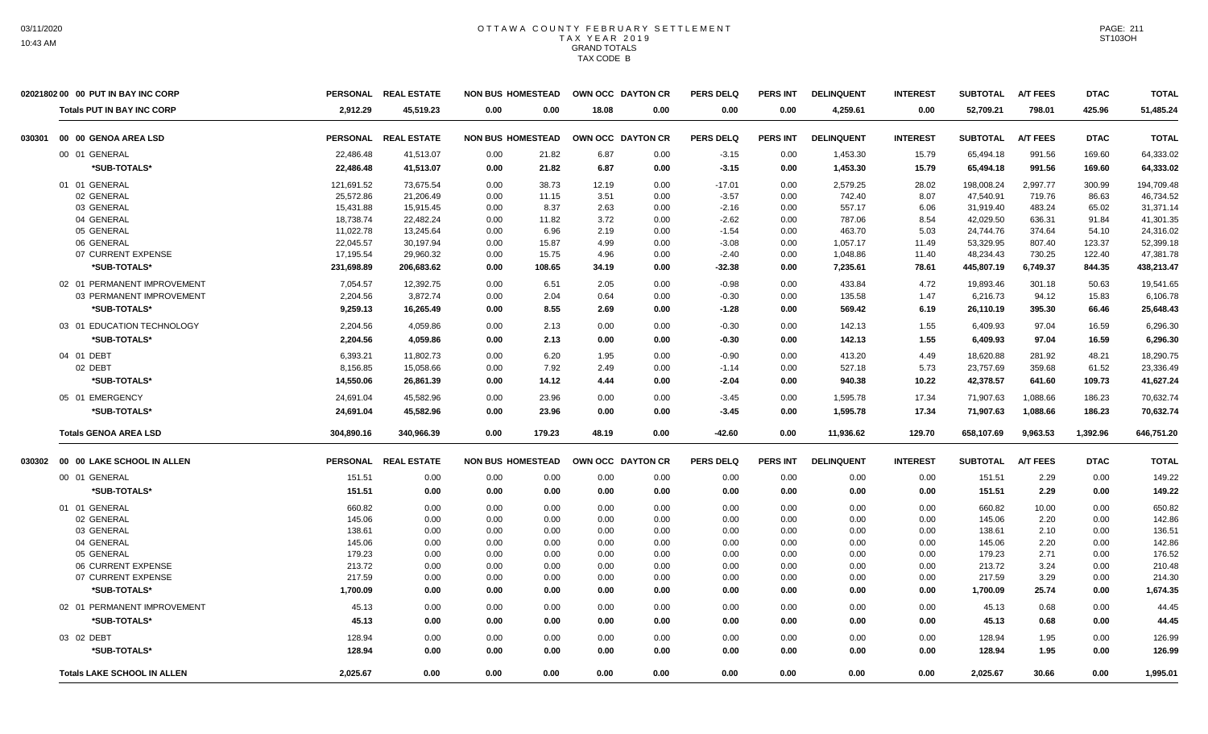|        | 02021802 00 00 PUT IN BAY INC CORP |                 | PERSONAL REAL ESTATE | <b>NON BUS HOMESTEAD</b> |       | OWN OCC DAYTON CR |      | <b>PERS DELQ</b> | <b>PERS INT</b> | <b>DELINQUENT</b> | <b>INTEREST</b> | <b>SUBTOTAL</b> | <b>A/T FEES</b> | <b>DTAC</b> | <b>TOTAL</b> |
|--------|------------------------------------|-----------------|----------------------|--------------------------|-------|-------------------|------|------------------|-----------------|-------------------|-----------------|-----------------|-----------------|-------------|--------------|
|        | <b>Totals PUT IN BAY INC CORP</b>  | 2.912.29        | 45.519.23            | 0.00                     | 0.00  | 18.08             | 0.00 | 0.00             | 0.00            | 4,259.61          | 0.00            | 52,709.21       | 798.01          | 425.96      | 51,485.24    |
| 030301 | 00 00 GENOA AREA LSD               |                 | PERSONAL REAL ESTATE | <b>NON BUS HOMESTEAD</b> |       | OWN OCC DAYTON CR |      | <b>PERS DELQ</b> | <b>PERS INT</b> | <b>DELINQUENT</b> | <b>INTEREST</b> | <b>SUBTOTAL</b> | <b>A/T FEES</b> | <b>DTAC</b> | <b>TOTAL</b> |
|        | 00 01 GENERAL                      | 22,486.48       | 41,513.07            | 0.00                     | 21.82 | 6.87              | 0.00 | $-3.15$          | 0.00            | 1,453.30          | 15.79           | 65,494.18       | 991.56          | 169.60      | 64,333.02    |
|        | *SUB-TOTALS*                       | 22,486.48       | 41,513.07            | 0.00                     | 21.82 | 6.87              | 0.00 | $-3.15$          | 0.00            | 1,453.30          | 15.79           | 65,494.18       | 991.56          | 169.60      | 64,333.02    |
|        | 01 01 GENERAL                      | 121,691.52      | 73,675.54            | 0.00                     | 38.73 | 12.19             | 0.00 | $-17.01$         | 0.00            | 2,579.25          | 28.02           | 198,008.24      | 2,997.77        | 300.99      | 194,709.48   |
|        | 02 GENERAL                         | 25,572.86       | 21,206.49            | 0.00                     | 11.15 | 3.51              | 0.00 | $-3.57$          | 0.00            | 742.40            | 8.07            | 47,540.91       | 719.76          | 86.63       | 46,734.52    |
|        | 03 GENERAL                         | 15,431.88       | 15,915.45            | 0.00                     | 8.37  | 2.63              | 0.00 | $-2.16$          | 0.00            | 557.17            | 6.06            | 31,919.40       | 483.24          | 65.02       | 31,371.14    |
|        | 04 GENERAL                         | 18,738.74       | 22,482.24            | 0.00                     | 11.82 | 3.72              | 0.00 | $-2.62$          | 0.00            | 787.06            | 8.54            | 42,029.50       | 636.31          | 91.84       | 41,301.35    |
|        | 05 GENERAL                         | 11,022.78       | 13,245.64            | 0.00                     | 6.96  | 2.19              | 0.00 | $-1.54$          | 0.00            | 463.70            | 5.03            | 24,744.76       | 374.64          | 54.10       | 24,316.02    |
|        | 06 GENERAL                         | 22,045.57       | 30,197.94            | 0.00                     | 15.87 | 4.99              | 0.00 | $-3.08$          | 0.00            | 1,057.17          | 11.49           | 53,329.95       | 807.40          | 123.37      | 52,399.18    |
|        | 07 CURRENT EXPENSE                 | 17,195.54       | 29,960.32            | 0.00                     | 15.75 | 4.96              | 0.00 | $-2.40$          | 0.00            | 1,048.86          | 11.40           | 48,234.43       | 730.25          | 122.40      | 47,381.78    |
|        | *SUB-TOTALS*                       | 231,698.89      | 206,683.62           | 0.00<br>108.65           |       | 34.19             | 0.00 | $-32.38$         | 0.00            | 7,235.61          | 78.61           | 445,807.19      | 6,749.37        | 844.35      | 438,213.47   |
|        | 02 01 PERMANENT IMPROVEMENT        | 7.054.57        | 12.392.75            | 0.00                     | 6.51  | 2.05              | 0.00 | $-0.98$          | 0.00            | 433.84            | 4.72            | 19.893.46       | 301.18          | 50.63       | 19,541.65    |
|        | 03 PERMANENT IMPROVEMENT           | 2,204.56        | 3,872.74             | 0.00                     | 2.04  | 0.64              | 0.00 | $-0.30$          | 0.00            | 135.58            | 1.47            | 6,216.73        | 94.12           | 15.83       | 6,106.78     |
|        | *SUB-TOTALS*                       |                 |                      |                          | 8.55  |                   |      |                  |                 |                   |                 |                 |                 |             |              |
|        |                                    | 9,259.13        | 16,265.49            | 0.00                     |       | 2.69              | 0.00 | $-1.28$          | 0.00            | 569.42            | 6.19            | 26,110.19       | 395.30          | 66.46       | 25,648.43    |
|        | 03 01 EDUCATION TECHNOLOGY         | 2,204.56        | 4,059.86             | 0.00                     | 2.13  | 0.00              | 0.00 | $-0.30$          | 0.00            | 142.13            | 1.55            | 6,409.93        | 97.04           | 16.59       | 6,296.30     |
|        | *SUB-TOTALS*                       | 2,204.56        | 4,059.86             | 0.00                     | 2.13  | 0.00              | 0.00 | $-0.30$          | 0.00            | 142.13            | 1.55            | 6,409.93        | 97.04           | 16.59       | 6,296.30     |
|        | 04 01 DEBT                         | 6.393.21        | 11.802.73            | 0.00                     | 6.20  | 1.95              | 0.00 | $-0.90$          | 0.00            | 413.20            | 4.49            | 18,620.88       | 281.92          | 48.21       | 18,290.75    |
|        | 02 DEBT                            | 8,156.85        | 15,058.66            | 0.00                     | 7.92  | 2.49              | 0.00 | $-1.14$          | 0.00            | 527.18            | 5.73            | 23,757.69       | 359.68          | 61.52       | 23,336.49    |
|        | *SUB-TOTALS*                       | 14,550.06       | 26,861.39            | 0.00                     | 14.12 | 4.44              | 0.00 | $-2.04$          | 0.00            | 940.38            | 10.22           | 42,378.57       | 641.60          | 109.73      | 41,627.24    |
|        | 05 01 EMERGENCY                    | 24,691.04       | 45.582.96            | 0.00                     | 23.96 | 0.00              | 0.00 | $-3.45$          | 0.00            | 1,595.78          | 17.34           | 71,907.63       | 1,088.66        | 186.23      | 70.632.74    |
|        | *SUB-TOTALS*                       | 24,691.04       | 45,582.96            | 0.00                     | 23.96 | 0.00              | 0.00 | $-3.45$          | 0.00            | 1,595.78          | 17.34           | 71,907.63       | 1,088.66        | 186.23      | 70,632.74    |
|        | <b>Totals GENOA AREA LSD</b>       | 304,890.16      | 340,966.39           | 0.00<br>179.23           |       | 48.19             | 0.00 | $-42.60$         | 0.00            | 11,936.62         | 129.70          | 658,107.69      | 9,963.53        | 1,392.96    | 646,751.20   |
|        | 030302 00 00 LAKE SCHOOL IN ALLEN  | <b>PERSONAL</b> | <b>REAL ESTATE</b>   | <b>NON BUS HOMESTEAD</b> |       | OWN OCC DAYTON CR |      | <b>PERS DELQ</b> | <b>PERS INT</b> | <b>DELINQUENT</b> | <b>INTEREST</b> | <b>SUBTOTAL</b> | <b>A/T FEES</b> | <b>DTAC</b> | <b>TOTAL</b> |
|        | 00 01 GENERAL                      | 151.51          | 0.00                 | 0.00                     | 0.00  | 0.00              | 0.00 | 0.00             | 0.00            | 0.00              | 0.00            | 151.51          | 2.29            | 0.00        | 149.22       |
|        | *SUB-TOTALS*                       | 151.51          | 0.00                 | 0.00                     | 0.00  | 0.00              | 0.00 | 0.00             | 0.00            | 0.00              | 0.00            | 151.51          | 2.29            | 0.00        | 149.22       |
|        | 01 01 GENERAL                      | 660.82          | 0.00                 | 0.00                     | 0.00  | 0.00              | 0.00 | 0.00             | 0.00            | 0.00              | 0.00            | 660.82          | 10.00           | 0.00        | 650.82       |
|        | 02 GENERAL                         | 145.06          | 0.00                 | 0.00                     | 0.00  | 0.00              | 0.00 | 0.00             | 0.00            | 0.00              | 0.00            | 145.06          | 2.20            | 0.00        | 142.86       |
|        | 03 GENERAL                         | 138.61          | 0.00                 | 0.00                     | 0.00  | 0.00              | 0.00 | 0.00             | 0.00            | 0.00              | 0.00            | 138.61          | 2.10            | 0.00        | 136.51       |
|        | 04 GENERAL                         | 145.06          | 0.00                 | 0.00                     | 0.00  | 0.00              | 0.00 | 0.00             | 0.00            | 0.00              | 0.00            | 145.06          | 2.20            | 0.00        | 142.86       |
|        | 05 GENERAL                         | 179.23          | 0.00                 | 0.00                     | 0.00  | 0.00              | 0.00 | 0.00             | 0.00            | 0.00              | 0.00            | 179.23          | 2.71            | 0.00        | 176.52       |
|        | 06 CURRENT EXPENSE                 | 213.72          | 0.00                 | 0.00                     | 0.00  | 0.00              | 0.00 | 0.00             | 0.00            | 0.00              | 0.00            | 213.72          | 3.24            | 0.00        | 210.48       |
|        | 07 CURRENT EXPENSE                 | 217.59          | 0.00                 | 0.00                     | 0.00  | 0.00              | 0.00 | 0.00             | 0.00            | 0.00              | 0.00            | 217.59          | 3.29            | 0.00        | 214.30       |
|        | *SUB-TOTALS*                       | 1,700.09        | 0.00                 | 0.00                     | 0.00  | 0.00              | 0.00 | 0.00             | 0.00            | 0.00              | 0.00            | 1,700.09        | 25.74           | 0.00        | 1,674.35     |
|        | 02 01 PERMANENT IMPROVEMENT        | 45.13           | 0.00                 | 0.00                     | 0.00  | 0.00              | 0.00 | 0.00             | 0.00            | 0.00              | 0.00            | 45.13           | 0.68            | 0.00        | 44.45        |
|        | *SUB-TOTALS*                       | 45.13           | 0.00                 | 0.00                     | 0.00  | 0.00              | 0.00 | 0.00             | 0.00            | 0.00              | 0.00            | 45.13           | 0.68            | 0.00        | 44.45        |
|        |                                    |                 |                      |                          |       |                   |      |                  |                 |                   |                 |                 |                 |             |              |
|        | 03 02 DEBT                         | 128.94          | 0.00                 | 0.00                     | 0.00  | 0.00              | 0.00 | 0.00             | 0.00            | 0.00              | 0.00            | 128.94          | 1.95            | 0.00        | 126.99       |
|        | *SUB-TOTALS*                       | 128.94          | 0.00                 | 0.00                     | 0.00  | 0.00              | 0.00 | 0.00             | 0.00            | 0.00              | 0.00            | 128.94          | 1.95            | 0.00        | 126.99       |
|        | <b>Totals LAKE SCHOOL IN ALLEN</b> | 2,025.67        | 0.00                 | 0.00                     | 0.00  | 0.00              | 0.00 | 0.00             | 0.00            | 0.00              | 0.00            | 2,025.67        | 30.66           | 0.00        | 1,995.01     |
|        |                                    |                 |                      |                          |       |                   |      |                  |                 |                   |                 |                 |                 |             |              |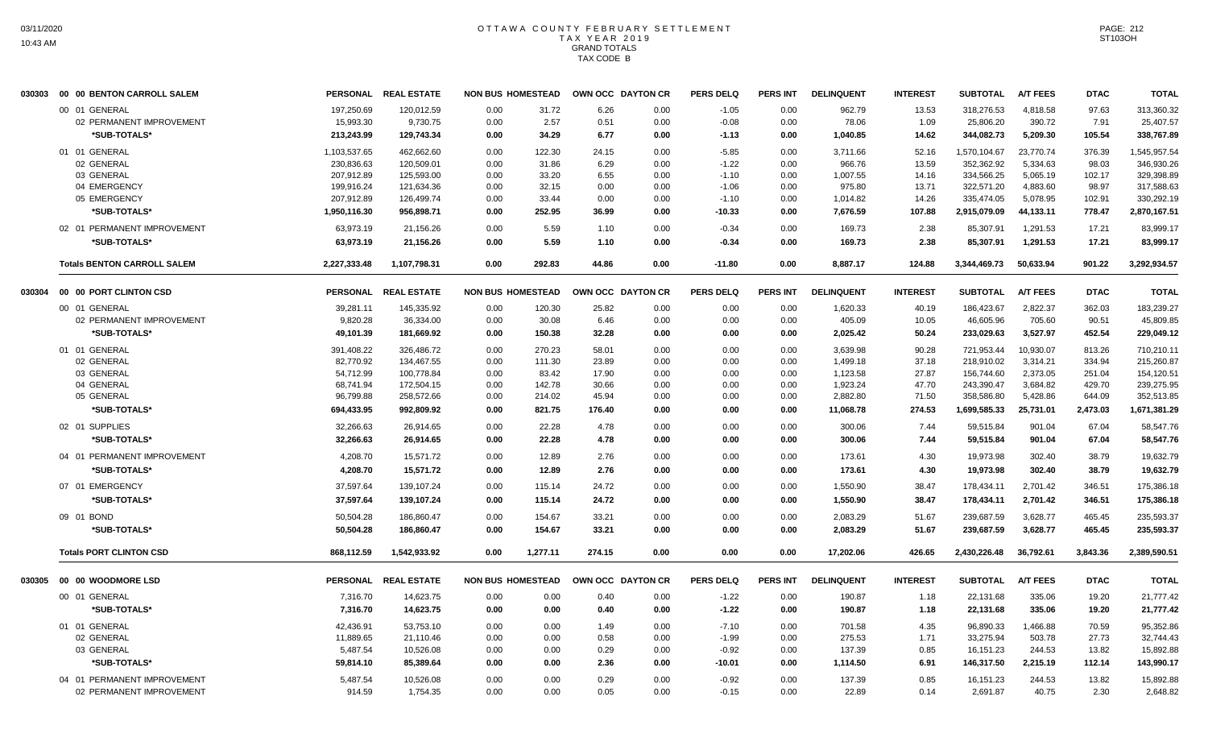|        | 030303 00 00 BENTON CARROLL SALEM  |                 | PERSONAL REAL ESTATE | <b>NON BUS HOMESTEAD</b> |          | OWN OCC DAYTON CR |      | <b>PERS DELQ</b> | <b>PERS INT</b> | <b>DELINQUENT</b> | <b>INTEREST</b> | <b>SUBTOTAL</b> | <b>A/T FEES</b> | <b>DTAC</b> | <b>TOTAL</b> |
|--------|------------------------------------|-----------------|----------------------|--------------------------|----------|-------------------|------|------------------|-----------------|-------------------|-----------------|-----------------|-----------------|-------------|--------------|
|        | 00 01 GENERAL                      | 197,250.69      | 120,012.59           | 0.00                     | 31.72    | 6.26              | 0.00 | $-1.05$          | 0.00            | 962.79            | 13.53           | 318,276.53      | 4,818.58        | 97.63       | 313,360.32   |
|        | 02 PERMANENT IMPROVEMENT           | 15,993.30       | 9,730.75             | 0.00                     | 2.57     | 0.51              | 0.00 | $-0.08$          | 0.00            | 78.06             | 1.09            | 25,806.20       | 390.72          | 7.91        | 25,407.57    |
|        | *SUB-TOTALS*                       | 213,243.99      | 129,743.34           | 0.00                     | 34.29    | 6.77              | 0.00 | $-1.13$          | 0.00            | 1,040.85          | 14.62           | 344,082.73      | 5,209.30        | 105.54      | 338,767.89   |
|        | 01 01 GENERAL                      | 1,103,537.65    | 462,662.60           | 0.00                     | 122.30   | 24.15             | 0.00 | $-5.85$          | 0.00            | 3,711.66          | 52.16           | 1,570,104.67    | 23,770.74       | 376.39      | 1,545,957.54 |
|        | 02 GENERAL                         | 230,836.63      | 120,509.01           | 0.00                     | 31.86    | 6.29              | 0.00 | $-1.22$          | 0.00            | 966.76            | 13.59           | 352,362.92      | 5,334.63        | 98.03       | 346,930.26   |
|        | 03 GENERAL                         | 207,912.89      | 125,593.00           | 0.00                     | 33.20    | 6.55              | 0.00 | $-1.10$          | 0.00            | 1,007.55          | 14.16           | 334,566.25      | 5,065.19        | 102.17      | 329,398.89   |
|        | 04 EMERGENCY                       | 199,916.24      | 121,634.36           | 0.00                     | 32.15    | 0.00              | 0.00 | $-1.06$          | 0.00            | 975.80            | 13.71           | 322,571.20      | 4,883.60        | 98.97       | 317,588.63   |
|        | 05 EMERGENCY                       | 207,912.89      | 126,499.74           | 0.00                     | 33.44    | 0.00              | 0.00 | $-1.10$          | 0.00            | 1,014.82          | 14.26           | 335,474.05      | 5,078.95        | 102.91      | 330,292.19   |
|        | *SUB-TOTALS*                       | 1,950,116.30    | 956,898.71           | 0.00                     | 252.95   | 36.99             | 0.00 | $-10.33$         | 0.00            | 7,676.59          | 107.88          | 2,915,079.09    | 44,133.11       | 778.47      | 2,870,167.51 |
|        | 02 01 PERMANENT IMPROVEMENT        | 63,973.19       | 21,156.26            | 0.00                     | 5.59     | 1.10              | 0.00 | $-0.34$          | 0.00            | 169.73            | 2.38            | 85,307.91       | 1,291.53        | 17.21       | 83,999.17    |
|        | *SUB-TOTALS*                       | 63,973.19       | 21.156.26            | 0.00                     | 5.59     | 1.10              | 0.00 | $-0.34$          | 0.00            | 169.73            | 2.38            | 85,307.91       | 1,291.53        | 17.21       | 83,999.17    |
|        | <b>Totals BENTON CARROLL SALEM</b> | 2,227,333.48    | 1,107,798.31         | 0.00                     | 292.83   | 44.86             | 0.00 | $-11.80$         | 0.00            | 8,887.17          | 124.88          | 3,344,469.73    | 50,633.94       | 901.22      | 3,292,934.57 |
| 030304 | 00 00 PORT CLINTON CSD             | <b>PERSONAL</b> | <b>REAL ESTATE</b>   | <b>NON BUS HOMESTEAD</b> |          | OWN OCC DAYTON CR |      | <b>PERS DELQ</b> | <b>PERS INT</b> | <b>DELINQUENT</b> | <b>INTEREST</b> | <b>SUBTOTAL</b> | <b>A/T FEES</b> | <b>DTAC</b> | <b>TOTAL</b> |
|        | 00 01 GENERAL                      | 39,281.11       | 145,335.92           | 0.00                     | 120.30   | 25.82             | 0.00 | 0.00             | 0.00            | 1,620.33          | 40.19           | 186,423.67      | 2,822.37        | 362.03      | 183,239.27   |
|        | 02 PERMANENT IMPROVEMENT           | 9,820.28        | 36,334.00            | 0.00                     | 30.08    | 6.46              | 0.00 | 0.00             | 0.00            | 405.09            | 10.05           | 46,605.96       | 705.60          | 90.51       | 45,809.85    |
|        | *SUB-TOTALS*                       | 49,101.39       | 181,669.92           | 0.00                     | 150.38   | 32.28             | 0.00 | 0.00             | 0.00            | 2,025.42          | 50.24           | 233,029.63      | 3,527.97        | 452.54      | 229,049.12   |
|        | 01 01 GENERAL                      | 391,408.22      | 326,486.72           | 0.00                     | 270.23   | 58.01             | 0.00 | 0.00             | 0.00            | 3,639.98          | 90.28           | 721,953.44      | 10,930.07       | 813.26      | 710,210.11   |
|        | 02 GENERAL                         | 82,770.92       | 134,467.55           | 0.00                     | 111.30   | 23.89             | 0.00 | 0.00             | 0.00            | 1,499.18          | 37.18           | 218,910.02      | 3,314.21        | 334.94      | 215,260.87   |
|        | 03 GENERAL                         | 54,712.99       | 100,778.84           | 0.00                     | 83.42    | 17.90             | 0.00 | 0.00             | 0.00            | 1,123.58          | 27.87           | 156,744.60      | 2,373.05        | 251.04      | 154,120.51   |
|        | 04 GENERAL                         | 68,741.94       | 172,504.15           | 0.00                     | 142.78   | 30.66             | 0.00 | 0.00             | 0.00            | 1,923.24          | 47.70           | 243,390.47      | 3,684.82        | 429.70      | 239,275.95   |
|        | 05 GENERAL                         | 96,799.88       | 258,572.66           | 0.00                     | 214.02   | 45.94             | 0.00 | 0.00             | 0.00            | 2,882.80          | 71.50           | 358,586.80      | 5,428.86        | 644.09      | 352,513.85   |
|        | *SUB-TOTALS*                       | 694,433.95      | 992,809.92           | 0.00                     | 821.75   | 176.40            | 0.00 | 0.00             | 0.00            | 11,068.78         | 274.53          | 1,699,585.33    | 25,731.01       | 2,473.03    | 1,671,381.29 |
|        | 02 01 SUPPLIES                     | 32,266.63       | 26,914.65            | 0.00                     | 22.28    | 4.78              | 0.00 | 0.00             | 0.00            | 300.06            | 7.44            | 59,515.84       | 901.04          | 67.04       | 58,547.76    |
|        | *SUB-TOTALS*                       | 32,266.63       | 26,914.65            | 0.00                     | 22.28    | 4.78              | 0.00 | 0.00             | 0.00            | 300.06            | 7.44            | 59,515.84       | 901.04          | 67.04       | 58,547.76    |
|        | 04 01 PERMANENT IMPROVEMENT        | 4,208.70        | 15,571.72            | 0.00                     | 12.89    | 2.76              | 0.00 | 0.00             | 0.00            | 173.61            | 4.30            | 19,973.98       | 302.40          | 38.79       | 19,632.79    |
|        | *SUB-TOTALS*                       | 4,208.70        | 15.571.72            | 0.00                     | 12.89    | 2.76              | 0.00 | 0.00             | 0.00            | 173.61            | 4.30            | 19.973.98       | 302.40          | 38.79       | 19.632.79    |
|        | 07 01 EMERGENCY                    | 37,597.64       | 139,107.24           | 0.00                     | 115.14   | 24.72             | 0.00 | 0.00             | 0.00            | 1,550.90          | 38.47           | 178,434.11      | 2,701.42        | 346.51      | 175,386.18   |
|        | *SUB-TOTALS*                       | 37,597.64       | 139,107.24           | 0.00                     | 115.14   | 24.72             | 0.00 | 0.00             | 0.00            | 1,550.90          | 38.47           | 178,434.11      | 2,701.42        | 346.51      | 175,386.18   |
|        | 09 01 BOND                         | 50,504.28       | 186,860.47           | 0.00                     | 154.67   | 33.21             | 0.00 | 0.00             | 0.00            | 2,083.29          | 51.67           | 239,687.59      | 3,628.77        | 465.45      | 235,593.37   |
|        | *SUB-TOTALS*                       | 50,504.28       | 186,860.47           | 0.00                     | 154.67   | 33.21             | 0.00 | 0.00             | 0.00            | 2,083.29          | 51.67           | 239,687.59      | 3,628.77        | 465.45      | 235,593.37   |
|        | <b>Totals PORT CLINTON CSD</b>     | 868.112.59      | 1.542.933.92         | 0.00                     | 1.277.11 | 274.15            | 0.00 | 0.00             | 0.00            | 17,202.06         | 426.65          | 2,430,226.48    | 36.792.61       | 3.843.36    | 2,389,590.51 |
| 030305 | 00 00 WOODMORE LSD                 | <b>PERSONAL</b> | <b>REAL ESTATE</b>   | <b>NON BUS HOMESTEAD</b> |          | OWN OCC DAYTON CR |      | <b>PERS DELQ</b> | <b>PERS INT</b> | <b>DELINQUENT</b> | <b>INTEREST</b> | <b>SUBTOTAL</b> | <b>A/T FEES</b> | <b>DTAC</b> | <b>TOTAL</b> |
|        | 00 01 GENERAL                      | 7,316.70        | 14,623.75            | 0.00                     | 0.00     | 0.40              | 0.00 | $-1.22$          | 0.00            | 190.87            | 1.18            | 22,131.68       | 335.06          | 19.20       | 21,777.42    |
|        | *SUB-TOTALS*                       | 7.316.70        | 14.623.75            | 0.00                     | 0.00     | 0.40              | 0.00 | $-1.22$          | 0.00            | 190.87            | 1.18            | 22,131.68       | 335.06          | 19.20       | 21,777.42    |
|        | 01 01 GENERAL                      | 42,436.91       | 53.753.10            | 0.00                     | 0.00     | 1.49              | 0.00 | $-7.10$          | 0.00            | 701.58            | 4.35            | 96,890.33       | 1.466.88        | 70.59       | 95,352.86    |
|        | 02 GENERAL                         | 11,889.65       | 21,110.46            | 0.00                     | 0.00     | 0.58              | 0.00 | $-1.99$          | 0.00            | 275.53            | 1.71            | 33,275.94       | 503.78          | 27.73       | 32,744.43    |
|        | 03 GENERAL                         | 5,487.54        | 10,526.08            | 0.00                     | 0.00     | 0.29              | 0.00 | $-0.92$          | 0.00            | 137.39            | 0.85            | 16,151.23       | 244.53          | 13.82       | 15,892.88    |
|        | *SUB-TOTALS*                       | 59,814.10       | 85,389.64            | 0.00                     | 0.00     | 2.36              | 0.00 | $-10.01$         | 0.00            | 1,114.50          | 6.91            | 146,317.50      | 2,215.19        | 112.14      | 143,990.17   |
|        | 04 01 PERMANENT IMPROVEMENT        | 5,487.54        | 10,526.08            | 0.00                     | 0.00     | 0.29              | 0.00 | $-0.92$          | 0.00            | 137.39            | 0.85            | 16,151.23       | 244.53          | 13.82       | 15,892.88    |
|        | 02 PERMANENT IMPROVEMENT           | 914.59          | 1.754.35             | 0.00                     | 0.00     | 0.05              | 0.00 | $-0.15$          | 0.00            | 22.89             | 0.14            | 2,691.87        | 40.75           | 2.30        | 2,648.82     |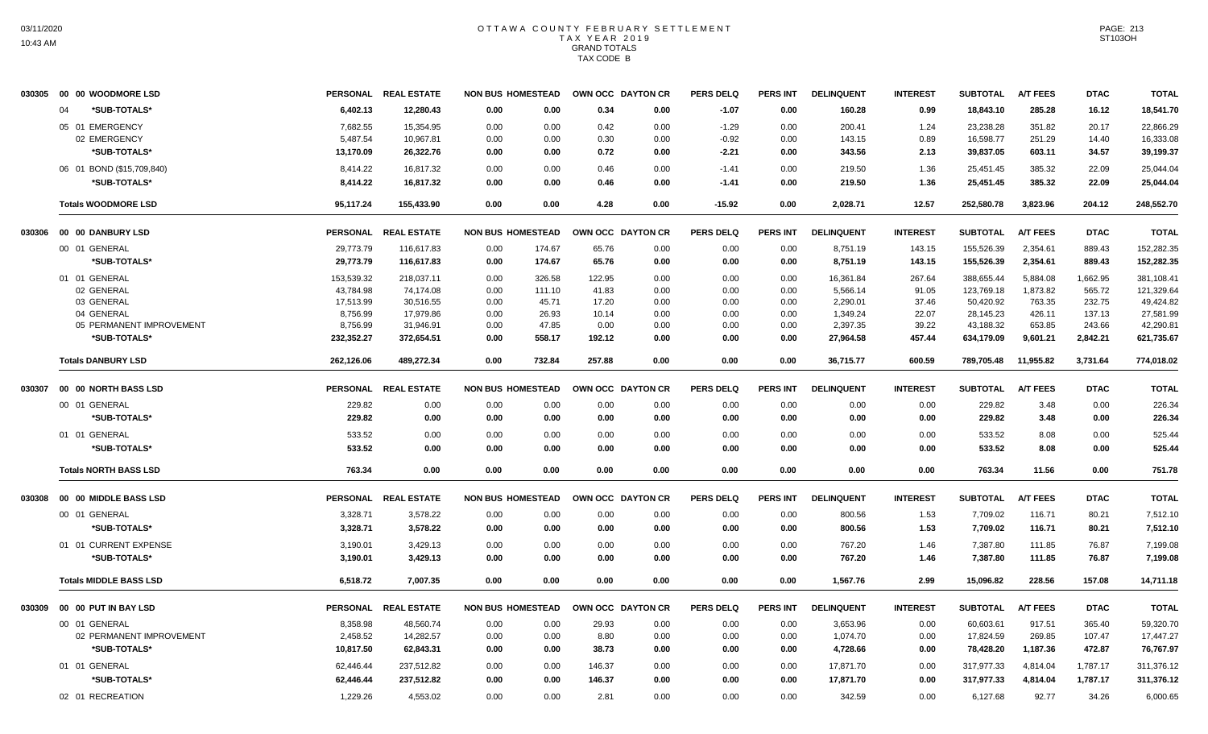| 030305 00 00 WOODMORE LSD      |                 | PERSONAL REAL ESTATE |                          |        | NON BUS HOMESTEAD OWN OCC DAYTON CR |      | <b>PERS DELQ</b> | <b>PERS INT</b> | <b>DELINQUENT</b> | <b>INTEREST</b> | <b>SUBTOTAL</b> | <b>A/T FEES</b> | <b>DTAC</b> | <b>TOTAL</b> |
|--------------------------------|-----------------|----------------------|--------------------------|--------|-------------------------------------|------|------------------|-----------------|-------------------|-----------------|-----------------|-----------------|-------------|--------------|
| *SUB-TOTALS*<br>$\Omega$       | 6,402.13        | 12,280.43            | 0.00                     | 0.00   | 0.34                                | 0.00 | $-1.07$          | 0.00            | 160.28            | 0.99            | 18,843.10       | 285.28          | 16.12       | 18,541.70    |
| 05 01 EMERGENCY                | 7,682.55        | 15,354.95            | 0.00                     | 0.00   | 0.42                                | 0.00 | $-1.29$          | 0.00            | 200.41            | 1.24            | 23,238.28       | 351.82          | 20.17       | 22,866.29    |
| 02 EMERGENCY                   | 5,487.54        | 10,967.81            | 0.00                     | 0.00   | 0.30                                | 0.00 | $-0.92$          | 0.00            | 143.15            | 0.89            | 16,598.77       | 251.29          | 14.40       | 16,333.08    |
| *SUB-TOTALS*                   | 13,170.09       | 26,322.76            | 0.00                     | 0.00   | 0.72                                | 0.00 | $-2.21$          | 0.00            | 343.56            | 2.13            | 39,837.05       | 603.11          | 34.57       | 39,199.37    |
| 06 01 BOND (\$15,709,840)      | 8,414.22        | 16,817.32            | 0.00                     | 0.00   | 0.46                                | 0.00 | $-1.41$          | 0.00            | 219.50            | 1.36            | 25,451.45       | 385.32          | 22.09       | 25,044.04    |
| *SUB-TOTALS*                   | 8,414.22        | 16,817.32            | 0.00                     | 0.00   | 0.46                                | 0.00 | $-1.41$          | 0.00            | 219.50            | 1.36            | 25,451.45       | 385.32          | 22.09       | 25,044.04    |
| <b>Totals WOODMORE LSD</b>     | 95,117.24       | 155,433.90           | 0.00                     | 0.00   | 4.28                                | 0.00 | $-15.92$         | 0.00            | 2,028.71          | 12.57           | 252,580.78      | 3.823.96        | 204.12      | 248.552.70   |
| 030306 00 00 DANBURY LSD       |                 | PERSONAL REAL ESTATE | <b>NON BUS HOMESTEAD</b> |        | OWN OCC DAYTON CR                   |      | PERS DELO        | PERS INT        | <b>DELINQUENT</b> | <b>INTEREST</b> | <b>SUBTOTAL</b> | <b>A/T FEES</b> | <b>DTAC</b> | <b>TOTAL</b> |
| 00 01 GENERAL                  | 29.773.79       | 116,617.83           | 0.00                     | 174.67 | 65.76                               | 0.00 | 0.00             | 0.00            | 8,751.19          | 143.15          | 155,526.39      | 2,354.61        | 889.43      | 152,282.35   |
| *SUB-TOTALS*                   | 29,773.79       | 116,617.83           | 0.00                     | 174.67 | 65.76                               | 0.00 | 0.00             | 0.00            | 8,751.19          | 143.15          | 155,526.39      | 2,354.61        | 889.43      | 152,282.35   |
| 01 01 GENERAL                  | 153,539.32      | 218,037.11           | 0.00                     | 326.58 | 122.95                              | 0.00 | 0.00             | 0.00            | 16,361.84         | 267.64          | 388,655.44      | 5,884.08        | 1,662.95    | 381,108.41   |
| 02 GENERAL                     | 43,784.98       | 74,174.08            | 0.00                     | 111.10 | 41.83                               | 0.00 | 0.00             | 0.00            | 5,566.14          | 91.05           | 123,769.18      | 1,873.82        | 565.72      | 121,329.64   |
| 03 GENERAL                     | 17.513.99       | 30,516.55            | 0.00                     | 45.71  | 17.20                               | 0.00 | 0.00             | 0.00            | 2,290.01          | 37.46           | 50.420.92       | 763.35          | 232.75      | 49.424.82    |
| 04 GENERAL                     | 8,756.99        | 17,979.86            | 0.00                     | 26.93  | 10.14                               | 0.00 | 0.00             | 0.00            | 1,349.24          | 22.07           | 28,145.23       | 426.11          | 137.13      | 27,581.99    |
| 05 PERMANENT IMPROVEMENT       | 8,756.99        | 31,946.91            | 0.00                     | 47.85  | 0.00                                | 0.00 | 0.00             | 0.00            | 2,397.35          | 39.22           | 43,188.32       | 653.85          | 243.66      | 42,290.81    |
| *SUB-TOTALS*                   | 232,352.27      | 372,654.51           | 0.00                     | 558.17 | 192.12                              | 0.00 | 0.00             | 0.00            | 27,964.58         | 457.44          | 634,179.09      | 9,601.21        | 2,842.21    | 621,735.67   |
| <b>Totals DANBURY LSD</b>      | 262,126.06      | 489,272.34           | 0.00                     | 732.84 | 257.88                              | 0.00 | 0.00             | 0.00            | 36,715.77         | 600.59          | 789,705.48      | 11,955.82       | 3,731.64    | 774,018.02   |
| 030307  00  00  NORTH BASS LSD |                 | PERSONAL REAL ESTATE | <b>NON BUS HOMESTEAD</b> |        | OWN OCC DAYTON CR                   |      | <b>PERS DELQ</b> | <b>PERS INT</b> | <b>DELINQUENT</b> | <b>INTEREST</b> | <b>SUBTOTAL</b> | <b>A/T FEES</b> | <b>DTAC</b> | <b>TOTAL</b> |
| 00 01 GENERAL                  | 229.82          | 0.00                 | 0.00                     | 0.00   | 0.00                                | 0.00 | 0.00             | 0.00            | 0.00              | 0.00            | 229.82          | 3.48            | 0.00        | 226.34       |
| *SUB-TOTALS*                   | 229.82          | 0.00                 | 0.00                     | 0.00   | 0.00                                | 0.00 | 0.00             | 0.00            | 0.00              | 0.00            | 229.82          | 3.48            | 0.00        | 226.34       |
| 01 01 GENERAL                  | 533.52          | 0.00                 | 0.00                     | 0.00   | 0.00                                | 0.00 | 0.00             | 0.00            | 0.00              | 0.00            | 533.52          | 8.08            | 0.00        | 525.44       |
| *SUB-TOTALS*                   | 533.52          | 0.00                 | 0.00                     | 0.00   | 0.00                                | 0.00 | 0.00             | 0.00            | 0.00              | 0.00            | 533.52          | 8.08            | 0.00        | 525.44       |
| <b>Totals NORTH BASS LSD</b>   | 763.34          | 0.00                 | 0.00                     | 0.00   | 0.00                                | 0.00 | 0.00             | 0.00            | 0.00              | 0.00            | 763.34          | 11.56           | 0.00        | 751.78       |
| 030308 00 00 MIDDLE BASS LSD   | <b>PERSONAL</b> | <b>REAL ESTATE</b>   | <b>NON BUS HOMESTEAD</b> |        | OWN OCC DAYTON CR                   |      | <b>PERS DELQ</b> | <b>PERS INT</b> | <b>DELINQUENT</b> | <b>INTEREST</b> | <b>SUBTOTAL</b> | <b>A/T FEES</b> | <b>DTAC</b> | <b>TOTAL</b> |
| 00 01 GENERAL                  | 3,328.71        | 3,578.22             | 0.00                     | 0.00   | 0.00                                | 0.00 | 0.00             | 0.00            | 800.56            | 1.53            | 7,709.02        | 116.71          | 80.21       | 7,512.10     |
| *SUB-TOTALS*                   | 3,328.71        | 3,578.22             | 0.00                     | 0.00   | 0.00                                | 0.00 | 0.00             | 0.00            | 800.56            | 1.53            | 7,709.02        | 116.71          | 80.21       | 7,512.10     |
| 01 01 CURRENT EXPENSE          | 3,190.01        | 3,429.13             | 0.00                     | 0.00   | 0.00                                | 0.00 | 0.00             | 0.00            | 767.20            | 1.46            | 7,387.80        | 111.85          | 76.87       | 7,199.08     |
| *SUB-TOTALS*                   | 3,190.01        | 3.429.13             | 0.00                     | 0.00   | 0.00                                | 0.00 | 0.00             | 0.00            | 767.20            | 1.46            | 7.387.80        | 111.85          | 76.87       | 7.199.08     |
| <b>Totals MIDDLE BASS LSD</b>  | 6,518.72        | 7,007.35             | 0.00                     | 0.00   | 0.00                                | 0.00 | 0.00             | 0.00            | 1,567.76          | 2.99            | 15,096.82       | 228.56          | 157.08      | 14,711.18    |
| 030309 00 00 PUT IN BAY LSD    |                 | PERSONAL REAL ESTATE | <b>NON BUS HOMESTEAD</b> |        | OWN OCC DAYTON CR                   |      | <b>PERS DELQ</b> | <b>PERS INT</b> | <b>DELINQUENT</b> | <b>INTEREST</b> | <b>SUBTOTAL</b> | <b>A/T FEES</b> | <b>DTAC</b> | <b>TOTAL</b> |
| 00 01 GENERAL                  | 8,358.98        | 48,560.74            | 0.00                     | 0.00   | 29.93                               | 0.00 | 0.00             | 0.00            | 3,653.96          | 0.00            | 60,603.61       | 917.51          | 365.40      | 59,320.70    |
| 02 PERMANENT IMPROVEMENT       | 2,458.52        | 14,282.57            | 0.00                     | 0.00   | 8.80                                | 0.00 | 0.00             | 0.00            | 1,074.70          | 0.00            | 17,824.59       | 269.85          | 107.47      | 17,447.27    |
| *SUB-TOTALS*                   | 10,817.50       | 62,843.31            | 0.00                     | 0.00   | 38.73                               | 0.00 | 0.00             | 0.00            | 4,728.66          | 0.00            | 78,428.20       | 1,187.36        | 472.87      | 76,767.97    |
| 01 01 GENERAL                  | 62,446.44       | 237,512.82           | 0.00                     | 0.00   | 146.37                              | 0.00 | 0.00             | 0.00            | 17,871.70         | 0.00            | 317,977.33      | 4,814.04        | 1,787.17    | 311,376.12   |
| *SUB-TOTALS*                   | 62,446.44       | 237,512.82           | 0.00                     | 0.00   | 146.37                              | 0.00 | 0.00             | 0.00            | 17,871.70         | 0.00            | 317,977.33      | 4,814.04        | 1,787.17    | 311,376.12   |
| 02 01 RECREATION               | 1,229.26        | 4.553.02             | 0.00                     | 0.00   | 2.81                                | 0.00 | 0.00             | 0.00            | 342.59            | 0.00            | 6,127.68        | 92.77           | 34.26       | 6,000.65     |
|                                |                 |                      |                          |        |                                     |      |                  |                 |                   |                 |                 |                 |             |              |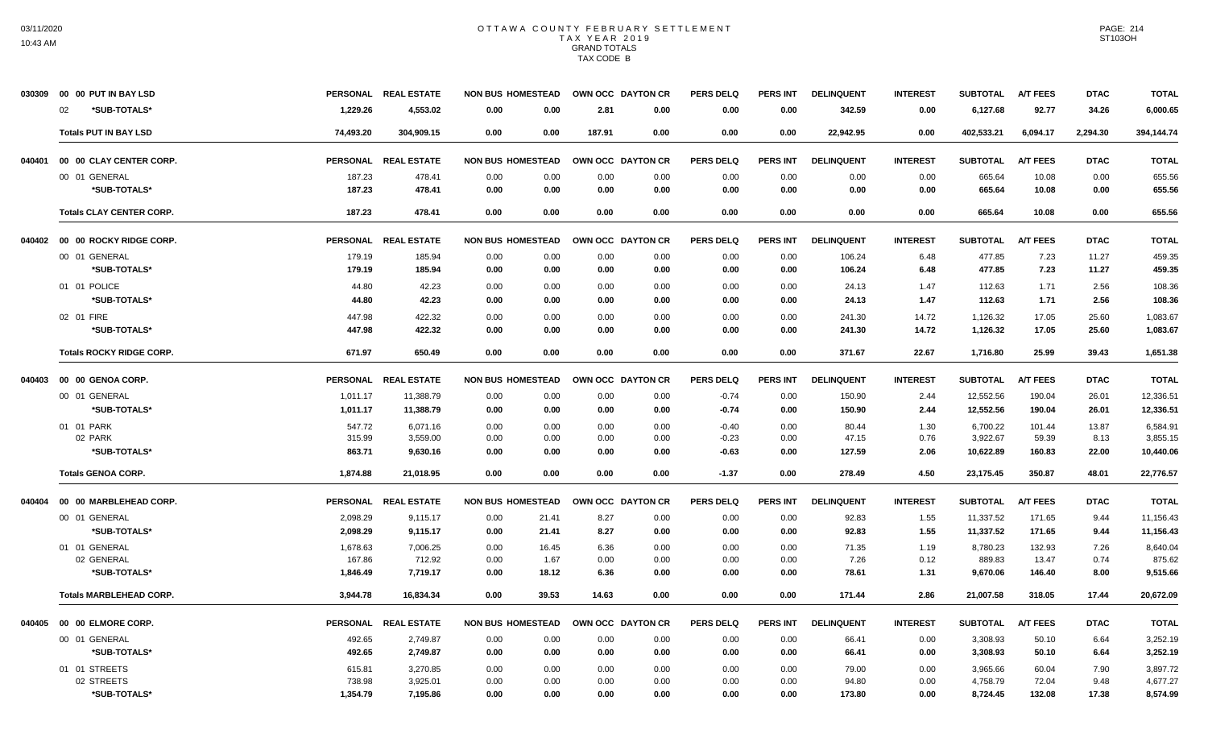|        | 030309 00 00 PUT IN BAY LSD     |                 | PERSONAL REAL ESTATE | <b>NON BUS HOMESTEAD</b> |                   | OWN OCC DAYTON CR | <b>PERS DELQ</b> | PERS INT        | <b>DELINQUENT</b> | <b>INTEREST</b> | <b>SUBTOTAL</b> | <b>A/T FEES</b> | <b>DTAC</b> | <b>TOTAL</b> |
|--------|---------------------------------|-----------------|----------------------|--------------------------|-------------------|-------------------|------------------|-----------------|-------------------|-----------------|-----------------|-----------------|-------------|--------------|
|        | *SUB-TOTALS*<br>02              | 1,229.26        | 4,553.02             | 0.00<br>0.00             | 2.81              | 0.00              | 0.00             | 0.00            | 342.59            | 0.00            | 6,127.68        | 92.77           | 34.26       | 6,000.65     |
|        | <b>Totals PUT IN BAY LSD</b>    | 74,493.20       | 304,909.15           | 0.00<br>0.00             | 187.91            | 0.00              | 0.00             | 0.00            | 22,942.95         | 0.00            | 402,533.21      | 6,094.17        | 2,294.30    | 394,144.74   |
| 040401 | 00 00 CLAY CENTER CORP.         |                 | PERSONAL REAL ESTATE | <b>NON BUS HOMESTEAD</b> | OWN OCC DAYTON CR |                   | <b>PERS DELQ</b> | <b>PERS INT</b> | <b>DELINQUENT</b> | <b>INTEREST</b> | <b>SUBTOTAL</b> | <b>A/T FEES</b> | <b>DTAC</b> | <b>TOTAL</b> |
|        | 00 01 GENERAL                   | 187.23          | 478.41               | 0.00<br>0.00             | 0.00              | 0.00              | 0.00             | 0.00            | 0.00              | 0.00            | 665.64          | 10.08           | 0.00        | 655.56       |
|        | *SUB-TOTALS*                    | 187.23          | 478.41               | 0.00<br>0.00             | 0.00              | 0.00              | 0.00             | 0.00            | 0.00              | 0.00            | 665.64          | 10.08           | 0.00        | 655.56       |
|        | <b>Totals CLAY CENTER CORP.</b> | 187.23          | 478.41               | 0.00<br>0.00             | 0.00              | 0.00              | 0.00             | 0.00            | 0.00              | 0.00            | 665.64          | 10.08           | 0.00        | 655.56       |
| 040402 | 00 00 ROCKY RIDGE CORP.         | <b>PERSONAL</b> | <b>REAL ESTATE</b>   | <b>NON BUS HOMESTEAD</b> |                   | OWN OCC DAYTON CR | <b>PERS DELQ</b> | <b>PERS INT</b> | <b>DELINQUENT</b> | <b>INTEREST</b> | <b>SUBTOTAL</b> | <b>A/T FEES</b> | <b>DTAC</b> | <b>TOTAL</b> |
|        | 00 01 GENERAL                   | 179.19          | 185.94               | 0.00<br>0.00             | 0.00              | 0.00              | 0.00             | 0.00            | 106.24            | 6.48            | 477.85          | 7.23            | 11.27       | 459.35       |
|        | *SUB-TOTALS*                    | 179.19          | 185.94               | 0.00<br>0.00             | 0.00              | 0.00              | 0.00             | 0.00            | 106.24            | 6.48            | 477.85          | 7.23            | 11.27       | 459.35       |
|        | 01 01 POLICE                    | 44.80           | 42.23                | 0.00<br>0.00             | 0.00              | 0.00              | 0.00             | 0.00            | 24.13             | 1.47            | 112.63          | 1.71            | 2.56        | 108.36       |
|        | *SUB-TOTALS*                    | 44.80           | 42.23                | 0.00<br>0.00             | 0.00              | 0.00              | 0.00             | 0.00            | 24.13             | 1.47            | 112.63          | 1.71            | 2.56        | 108.36       |
|        | 02 01 FIRE                      | 447.98          | 422.32               | 0.00<br>0.00             | 0.00              | 0.00              | 0.00             | 0.00            | 241.30            | 14.72           | 1,126.32        | 17.05           | 25.60       | 1,083.67     |
|        | *SUB-TOTALS*                    | 447.98          | 422.32               | 0.00<br>0.00             | 0.00              | 0.00              | 0.00             | 0.00            | 241.30            | 14.72           | 1,126.32        | 17.05           | 25.60       | 1,083.67     |
|        | <b>Totals ROCKY RIDGE CORP.</b> | 671.97          | 650.49               | 0.00<br>0.00             | 0.00              | 0.00              | 0.00             | 0.00            | 371.67            | 22.67           | 1,716.80        | 25.99           | 39.43       | 1,651.38     |
| 040403 | 00 00 GENOA CORP.               | <b>PERSONAL</b> | <b>REAL ESTATE</b>   | <b>NON BUS HOMESTEAD</b> |                   | OWN OCC DAYTON CR | <b>PERS DELQ</b> | <b>PERS INT</b> | <b>DELINQUENT</b> | <b>INTEREST</b> | <b>SUBTOTAL</b> | <b>A/T FEES</b> | <b>DTAC</b> | <b>TOTAL</b> |
|        | 00 01 GENERAL                   | 1,011.17        | 11,388.79            | 0.00<br>0.00             | 0.00              | 0.00              | $-0.74$          | 0.00            | 150.90            | 2.44            | 12,552.56       | 190.04          | 26.01       | 12,336.51    |
|        | *SUB-TOTALS*                    | 1,011.17        | 11,388.79            | 0.00<br>0.00             | 0.00              | 0.00              | $-0.74$          | 0.00            | 150.90            | 2.44            | 12,552.56       | 190.04          | 26.01       | 12,336.51    |
|        | 01 01 PARK                      | 547.72          | 6,071.16             | 0.00<br>0.00             | 0.00              | 0.00              | $-0.40$          | 0.00            | 80.44             | 1.30            | 6,700.22        | 101.44          | 13.87       | 6,584.91     |
|        | 02 PARK                         | 315.99          | 3,559.00             | 0.00<br>0.00             | 0.00              | 0.00              | $-0.23$          | 0.00            | 47.15             | 0.76            | 3,922.67        | 59.39           | 8.13        | 3,855.15     |
|        | *SUB-TOTALS*                    | 863.71          | 9,630.16             | 0.00<br>0.00             | 0.00              | 0.00              | $-0.63$          | 0.00            | 127.59            | 2.06            | 10,622.89       | 160.83          | 22.00       | 10,440.06    |
|        | <b>Totals GENOA CORP.</b>       | 1,874.88        | 21,018.95            | 0.00<br>0.00             | 0.00              | 0.00              | $-1.37$          | 0.00            | 278.49            | 4.50            | 23,175.45       | 350.87          | 48.01       | 22,776.57    |
| 040404 | 00 00 MARBLEHEAD CORP.          |                 | PERSONAL REAL ESTATE | <b>NON BUS HOMESTEAD</b> | OWN OCC DAYTON CR |                   | <b>PERS DELQ</b> | <b>PERS INT</b> | <b>DELINQUENT</b> | <b>INTEREST</b> | <b>SUBTOTAL</b> | <b>A/T FEES</b> | <b>DTAC</b> | <b>TOTAL</b> |
|        | 00 01 GENERAL                   | 2,098.29        | 9,115.17             | 0.00<br>21.41            | 8.27              | 0.00              | 0.00             | 0.00            | 92.83             | 1.55            | 11,337.52       | 171.65          | 9.44        | 11,156.43    |
|        | *SUB-TOTALS*                    | 2,098.29        | 9,115.17             | 0.00<br>21.41            | 8.27              | 0.00              | 0.00             | 0.00            | 92.83             | 1.55            | 11,337.52       | 171.65          | 9.44        | 11,156.43    |
|        | 01 01 GENERAL                   | 1,678.63        | 7,006.25             | 0.00<br>16.45            | 6.36              | 0.00              | 0.00             | 0.00            | 71.35             | 1.19            | 8,780.23        | 132.93          | 7.26        | 8,640.04     |
|        | 02 GENERAL                      | 167.86          | 712.92               | 0.00<br>1.67             | 0.00              | 0.00              | 0.00             | 0.00            | 7.26              | 0.12            | 889.83          | 13.47           | 0.74        | 875.62       |
|        | *SUB-TOTALS*                    | 1,846.49        | 7,719.17             | 18.12<br>0.00            | 6.36              | 0.00              | 0.00             | 0.00            | 78.61             | 1.31            | 9,670.06        | 146.40          | 8.00        | 9,515.66     |
|        | <b>Totals MARBLEHEAD CORP.</b>  | 3,944.78        | 16,834.34            | 0.00<br>39.53            | 14.63             | 0.00              | 0.00             | 0.00            | 171.44            | 2.86            | 21,007.58       | 318.05          | 17.44       | 20,672.09    |
| 040405 | 00 00 ELMORE CORP.              |                 | PERSONAL REAL ESTATE | <b>NON BUS HOMESTEAD</b> |                   | OWN OCC DAYTON CR | <b>PERS DELQ</b> | <b>PERS INT</b> | <b>DELINQUENT</b> | <b>INTEREST</b> | <b>SUBTOTAL</b> | <b>A/T FEES</b> | <b>DTAC</b> | <b>TOTAL</b> |
|        | 00 01 GENERAL                   | 492.65          | 2,749.87             | 0.00<br>0.00             | 0.00              | 0.00              | 0.00             | 0.00            | 66.41             | 0.00            | 3,308.93        | 50.10           | 6.64        | 3,252.19     |
|        | *SUB-TOTALS*                    | 492.65          | 2,749.87             | 0.00<br>0.00             | 0.00              | 0.00              | 0.00             | 0.00            | 66.41             | 0.00            | 3,308.93        | 50.10           | 6.64        | 3,252.19     |
|        | 01 01 STREETS                   | 615.81          | 3,270.85             | 0.00<br>0.00             | 0.00              | 0.00              | 0.00             | 0.00            | 79.00             | 0.00            | 3,965.66        | 60.04           | 7.90        | 3,897.72     |
|        | 02 STREETS                      | 738.98          | 3,925.01             | 0.00<br>0.00             | 0.00              | 0.00              | 0.00             | 0.00            | 94.80             | 0.00            | 4,758.79        | 72.04           | 9.48        | 4,677.27     |
|        | *SUB-TOTALS*                    | 1,354.79        | 7,195.86             | 0.00<br>0.00             | 0.00              | 0.00              | 0.00             | 0.00            | 173.80            | 0.00            | 8,724.45        | 132.08          | 17.38       | 8,574.99     |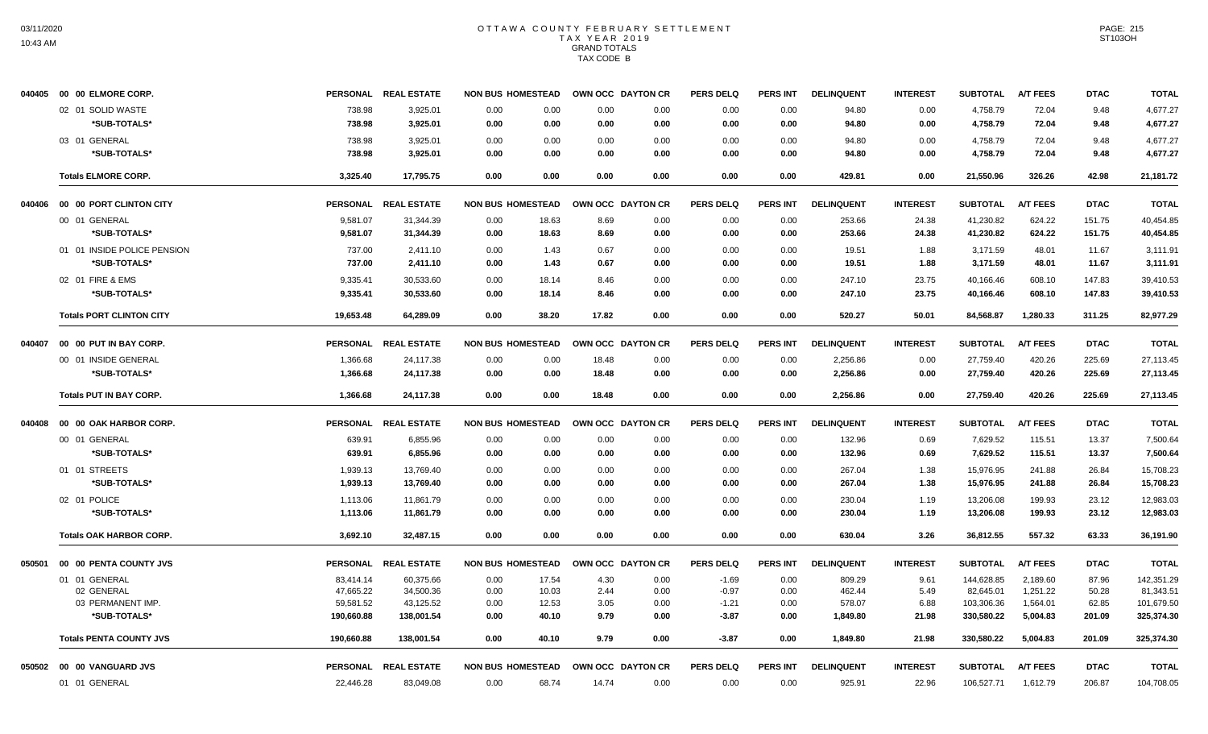|        | 040405 00 00 ELMORE CORP.       |                 | PERSONAL REAL ESTATE | <b>NON BUS HOMESTEAD</b> |       | OWN OCC DAYTON CR | <b>PERS DELQ</b> | <b>PERS INT</b> | <b>DELINQUENT</b> | <b>INTEREST</b> | <b>SUBTOTAL</b> | <b>A/T FEES</b> | <b>DTAC</b> | <b>TOTAL</b> |
|--------|---------------------------------|-----------------|----------------------|--------------------------|-------|-------------------|------------------|-----------------|-------------------|-----------------|-----------------|-----------------|-------------|--------------|
|        | 02 01 SOLID WASTE               | 738.98          | 3,925.01             | 0.00<br>0.00             | 0.00  | 0.00              | 0.00             | 0.00            | 94.80             | 0.00            | 4,758.79        | 72.04           | 9.48        | 4,677.27     |
|        | *SUB-TOTALS*                    | 738.98          | 3,925.01             | 0.00<br>0.00             | 0.00  | 0.00              | 0.00             | 0.00            | 94.80             | 0.00            | 4,758.79        | 72.04           | 9.48        | 4,677.27     |
|        | 03 01 GENERAL                   | 738.98          | 3,925.01             | 0.00<br>0.00             | 0.00  | 0.00              | 0.00             | 0.00            | 94.80             | 0.00            | 4,758.79        | 72.04           | 9.48        | 4,677.27     |
|        | *SUB-TOTALS*                    | 738.98          | 3,925.01             | 0.00<br>0.00             | 0.00  | 0.00              | 0.00             | 0.00            | 94.80             | 0.00            | 4,758.79        | 72.04           | 9.48        | 4,677.27     |
|        | <b>Totals ELMORE CORP.</b>      | 3,325.40        | 17,795.75            | 0.00<br>0.00             | 0.00  | 0.00              | 0.00             | 0.00            | 429.81            | 0.00            | 21,550.96       | 326.26          | 42.98       | 21,181.72    |
| 040406 | 00 00 PORT CLINTON CITY         | <b>PERSONAL</b> | <b>REAL ESTATE</b>   | <b>NON BUS HOMESTEAD</b> |       | OWN OCC DAYTON CR | <b>PERS DELQ</b> | <b>PERS INT</b> | <b>DELINQUENT</b> | <b>INTEREST</b> | <b>SUBTOTAL</b> | <b>A/T FEES</b> | <b>DTAC</b> | <b>TOTAL</b> |
|        | 00 01 GENERAL                   | 9,581.07        | 31,344.39            | 0.00<br>18.63            | 8.69  | 0.00              | 0.00             | 0.00            | 253.66            | 24.38           | 41,230.82       | 624.22          | 151.75      | 40,454.85    |
|        | *SUB-TOTALS*                    | 9,581.07        | 31,344.39            | 0.00<br>18.63            | 8.69  | 0.00              | 0.00             | 0.00            | 253.66            | 24.38           | 41,230.82       | 624.22          | 151.75      | 40,454.85    |
|        | 01 01 INSIDE POLICE PENSION     | 737.00          | 2,411.10             | 0.00<br>1.43             | 0.67  | 0.00              | 0.00             | 0.00            | 19.51             | 1.88            | 3,171.59        | 48.01           | 11.67       | 3,111.91     |
|        | *SUB-TOTALS*                    | 737.00          | 2,411.10             | 1.43<br>0.00             | 0.67  | 0.00              | 0.00             | 0.00            | 19.51             | 1.88            | 3,171.59        | 48.01           | 11.67       | 3.111.91     |
|        | 02 01 FIRE & EMS                | 9,335.41        | 30,533.60            | 0.00<br>18.14            | 8.46  | 0.00              | 0.00             | 0.00            | 247.10            | 23.75           | 40,166.46       | 608.10          | 147.83      | 39,410.53    |
|        | *SUB-TOTALS*                    | 9,335.41        | 30,533.60            | 0.00<br>18.14            | 8.46  | 0.00              | 0.00             | 0.00            | 247.10            | 23.75           | 40,166.46       | 608.10          | 147.83      | 39,410.53    |
|        | <b>Totals PORT CLINTON CITY</b> | 19,653.48       | 64,289.09            | 0.00<br>38.20            | 17.82 | 0.00              | 0.00             | 0.00            | 520.27            | 50.01           | 84,568.87       | 1,280.33        | 311.25      | 82,977.29    |
| 040407 | 00 00 PUT IN BAY CORP.          |                 | PERSONAL REAL ESTATE | <b>NON BUS HOMESTEAD</b> |       | OWN OCC DAYTON CR | <b>PERS DELQ</b> | PERS INT        | <b>DELINQUENT</b> | <b>INTEREST</b> | <b>SUBTOTAL</b> | <b>A/T FEES</b> | <b>DTAC</b> | <b>TOTAL</b> |
|        | 00 01 INSIDE GENERAL            | 1,366.68        | 24,117.38            | 0.00<br>0.00             | 18.48 | 0.00              | 0.00             | 0.00            | 2,256.86          | 0.00            | 27,759.40       | 420.26          | 225.69      | 27,113.45    |
|        | *SUB-TOTALS*                    | 1,366.68        | 24,117.38            | 0.00<br>0.00             | 18.48 | 0.00              | 0.00             | 0.00            | 2,256.86          | 0.00            | 27,759.40       | 420.26          | 225.69      | 27,113.45    |
|        | <b>Totals PUT IN BAY CORP.</b>  | 1.366.68        | 24.117.38            | 0.00<br>0.00             | 18.48 | 0.00              | 0.00             | 0.00            | 2.256.86          | 0.00            | 27,759.40       | 420.26          | 225.69      | 27.113.45    |
| 040408 | 00 00 OAK HARBOR CORP.          |                 | PERSONAL REAL ESTATE | <b>NON BUS HOMESTEAD</b> |       | OWN OCC DAYTON CR | <b>PERS DELQ</b> | <b>PERS INT</b> | <b>DELINQUENT</b> | <b>INTEREST</b> | <b>SUBTOTAL</b> | <b>A/T FEES</b> | <b>DTAC</b> | <b>TOTAL</b> |
|        | 00 01 GENERAL                   | 639.91          | 6,855.96             | 0.00<br>0.00             | 0.00  | 0.00              | 0.00             | 0.00            | 132.96            | 0.69            | 7,629.52        | 115.51          | 13.37       | 7,500.64     |
|        | *SUB-TOTALS*                    | 639.91          | 6,855.96             | 0.00<br>0.00             | 0.00  | 0.00              | 0.00             | 0.00            | 132.96            | 0.69            | 7,629.52        | 115.51          | 13.37       | 7,500.64     |
|        | 01 01 STREETS                   | 1,939.13        | 13,769.40            | 0.00<br>0.00             | 0.00  | 0.00              | 0.00             | 0.00            | 267.04            | 1.38            | 15,976.95       | 241.88          | 26.84       | 15,708.23    |
|        | *SUB-TOTALS*                    | 1,939.13        | 13,769.40            | 0.00<br>0.00             | 0.00  | 0.00              | 0.00             | 0.00            | 267.04            | 1.38            | 15,976.95       | 241.88          | 26.84       | 15,708.23    |
|        | 02 01 POLICE                    | 1,113.06        | 11,861.79            | 0.00<br>0.00             | 0.00  | 0.00              | 0.00             | 0.00            | 230.04            | 1.19            | 13,206.08       | 199.93          | 23.12       | 12,983.03    |
|        | *SUB-TOTALS*                    | 1,113.06        | 11,861.79            | 0.00<br>0.00             | 0.00  | 0.00              | 0.00             | 0.00            | 230.04            | 1.19            | 13,206.08       | 199.93          | 23.12       | 12,983.03    |
|        | <b>Totals OAK HARBOR CORP.</b>  | 3,692.10        | 32,487.15            | 0.00<br>0.00             | 0.00  | 0.00              | 0.00             | 0.00            | 630.04            | 3.26            | 36,812.55       | 557.32          | 63.33       | 36,191.90    |
| 050501 | 00 00 PENTA COUNTY JVS          |                 | PERSONAL REAL ESTATE | <b>NON BUS HOMESTEAD</b> |       | OWN OCC DAYTON CR | <b>PERS DELQ</b> | <b>PERS INT</b> | <b>DELINQUENT</b> | <b>INTEREST</b> | <b>SUBTOTAL</b> | <b>A/T FEES</b> | <b>DTAC</b> | <b>TOTAL</b> |
|        | 01 01 GENERAL                   | 83,414.14       | 60,375.66            | 0.00<br>17.54            | 4.30  | 0.00              | $-1.69$          | 0.00            | 809.29            | 9.61            | 144,628.85      | 2,189.60        | 87.96       | 142,351.29   |
|        | 02 GENERAL                      | 47,665.22       | 34,500.36            | 0.00<br>10.03            | 2.44  | 0.00              | $-0.97$          | 0.00            | 462.44            | 5.49            | 82,645.01       | 1,251.22        | 50.28       | 81,343.51    |
|        | 03 PERMANENT IMP.               | 59,581.52       | 43,125.52            | 12.53<br>0.00            | 3.05  | 0.00              | $-1.21$          | 0.00            | 578.07            | 6.88            | 103,306.36      | 1,564.01        | 62.85       | 101,679.50   |
|        | *SUB-TOTALS*                    | 190,660.88      | 138,001.54           | 0.00<br>40.10            | 9.79  | 0.00              | $-3.87$          | 0.00            | 1,849.80          | 21.98           | 330,580.22      | 5,004.83        | 201.09      | 325,374.30   |
|        | <b>Totals PENTA COUNTY JVS</b>  | 190,660.88      | 138,001.54           | 0.00<br>40.10            | 9.79  | 0.00              | $-3.87$          | 0.00            | 1,849.80          | 21.98           | 330,580.22      | 5,004.83        | 201.09      | 325,374.30   |
|        | 050502 00 00 VANGUARD JVS       |                 | PERSONAL REAL ESTATE | <b>NON BUS HOMESTEAD</b> |       | OWN OCC DAYTON CR | <b>PERS DELQ</b> | PERS INT        | <b>DELINQUENT</b> | <b>INTEREST</b> | <b>SUBTOTAL</b> | <b>A/T FEES</b> | <b>DTAC</b> | <b>TOTAL</b> |
|        | 01 01 GENERAL                   | 22,446.28       | 83,049.08            | 0.00<br>68.74            | 14.74 | 0.00              | 0.00             | 0.00            | 925.91            | 22.96           | 106,527.71      | 1,612.79        | 206.87      | 104,708.05   |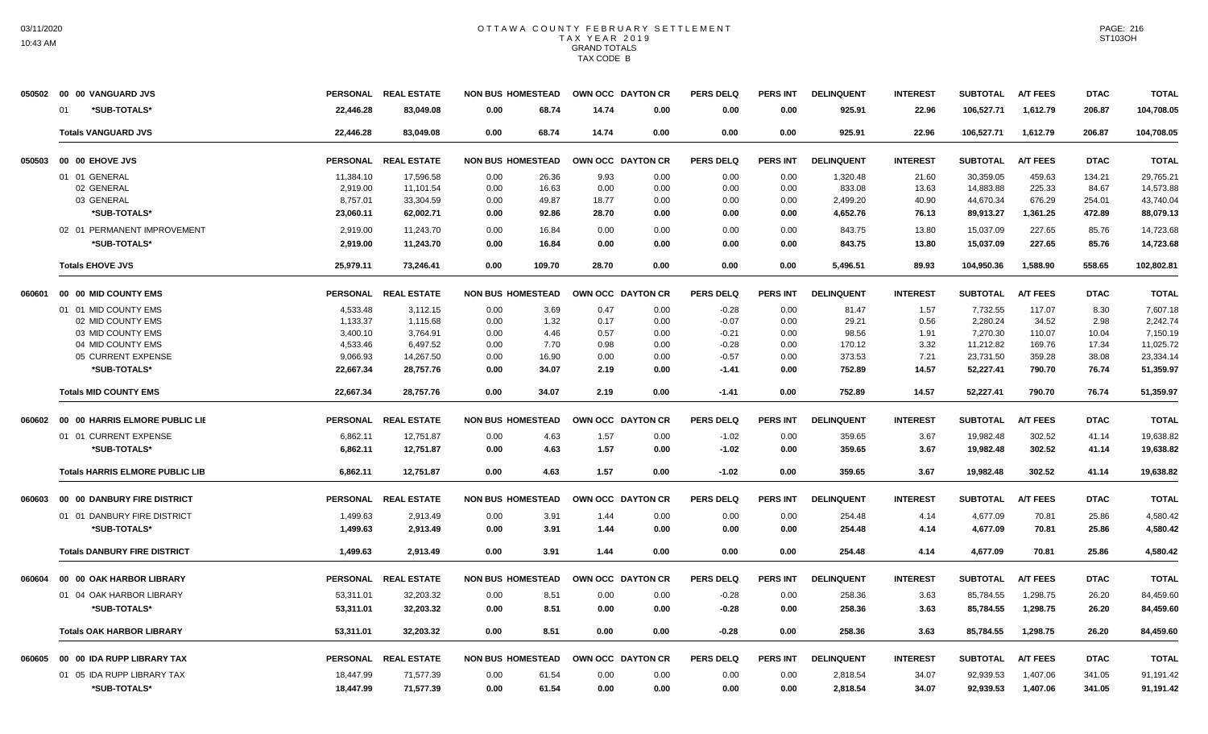|        | 050502 00 00 VANGUARD JVS              |                 | PERSONAL REAL ESTATE |                          | <b>NON BUS HOMESTEAD</b> | OWN OCC DAYTON CR |      | <b>PERS DELQ</b> | <b>PERS INT</b> | <b>DELINQUENT</b> | <b>INTEREST</b> | <b>SUBTOTAL</b> | <b>A/T FEES</b> | <b>DTAC</b> | <b>TOTAL</b> |
|--------|----------------------------------------|-----------------|----------------------|--------------------------|--------------------------|-------------------|------|------------------|-----------------|-------------------|-----------------|-----------------|-----------------|-------------|--------------|
|        | *SUB-TOTALS*<br>01                     | 22,446.28       | 83.049.08            | 0.00                     | 68.74                    | 14.74             | 0.00 | 0.00             | 0.00            | 925.91            | 22.96           | 106,527.71      | 1,612.79        | 206.87      | 104,708.05   |
|        | <b>Totals VANGUARD JVS</b>             | 22.446.28       | 83.049.08            | 0.00                     | 68.74                    | 14.74             | 0.00 | 0.00             | 0.00            | 925.91            | 22.96           | 106,527.71      | 1.612.79        | 206.87      | 104.708.05   |
| 050503 | 00 00 EHOVE JVS                        |                 | PERSONAL REAL ESTATE | <b>NON BUS HOMESTEAD</b> |                          | OWN OCC DAYTON CR |      | <b>PERS DELQ</b> | <b>PERS INT</b> | <b>DELINQUENT</b> | <b>INTEREST</b> | <b>SUBTOTAL</b> | <b>A/T FEES</b> | <b>DTAC</b> | <b>TOTAL</b> |
|        | 01 01 GENERAL                          | 11,384.10       | 17,596.58            | 0.00                     | 26.36                    | 9.93              | 0.00 | 0.00             | 0.00            | 1,320.48          | 21.60           | 30.359.05       | 459.63          | 134.21      | 29,765.21    |
|        | 02 GENERAL                             | 2,919.00        | 11,101.54            | 0.00                     | 16.63                    | 0.00              | 0.00 | 0.00             | 0.00            | 833.08            | 13.63           | 14,883.88       | 225.33          | 84.67       | 14,573.88    |
|        | 03 GENERAL                             | 8,757.01        | 33,304.59            | 0.00                     | 49.87                    | 18.77             | 0.00 | 0.00             | 0.00            | 2,499.20          | 40.90           | 44,670.34       | 676.29          | 254.01      | 43,740.04    |
|        | *SUB-TOTALS*                           | 23,060.11       | 62,002.71            | 0.00                     | 92.86                    | 28.70             | 0.00 | 0.00             | 0.00            | 4,652.76          | 76.13           | 89,913.27       | 1,361.25        | 472.89      | 88,079.13    |
|        | 02 01 PERMANENT IMPROVEMENT            | 2,919.00        | 11,243.70            | 0.00                     | 16.84                    | 0.00              | 0.00 | 0.00             | 0.00            | 843.75            | 13.80           | 15,037.09       | 227.65          | 85.76       | 14,723.68    |
|        | *SUB-TOTALS*                           | 2,919.00        | 11,243.70            | 0.00                     | 16.84                    | 0.00              | 0.00 | 0.00             | 0.00            | 843.75            | 13.80           | 15,037.09       | 227.65          | 85.76       | 14,723.68    |
|        | <b>Totals EHOVE JVS</b>                | 25,979.11       | 73,246.41            | 0.00                     | 109.70                   | 28.70             | 0.00 | 0.00             | 0.00            | 5,496.51          | 89.93           | 104,950.36      | 1.588.90        | 558.65      | 102,802.81   |
| 060601 | 00 00 MID COUNTY EMS                   |                 | PERSONAL REAL ESTATE |                          | <b>NON BUS HOMESTEAD</b> | OWN OCC DAYTON CR |      | <b>PERS DELQ</b> | <b>PERS INT</b> | <b>DELINQUENT</b> | <b>INTEREST</b> | <b>SUBTOTAL</b> | <b>A/T FEES</b> | <b>DTAC</b> | <b>TOTAL</b> |
|        | 01 01 MID COUNTY EMS                   | 4,533.48        | 3,112.15             | 0.00                     | 3.69                     | 0.47              | 0.00 | $-0.28$          | 0.00            | 81.47             | 1.57            | 7,732.55        | 117.07          | 8.30        | 7,607.18     |
|        | 02 MID COUNTY EMS                      | 1,133.37        | 1,115.68             | 0.00                     | 1.32                     | 0.17              | 0.00 | $-0.07$          | 0.00            | 29.21             | 0.56            | 2,280.24        | 34.52           | 2.98        | 2,242.74     |
|        | 03 MID COUNTY EMS                      | 3,400.10        | 3,764.91             | 0.00                     | 4.46                     | 0.57              | 0.00 | $-0.21$          | 0.00            | 98.56             | 1.91            | 7,270.30        | 110.07          | 10.04       | 7,150.19     |
|        | 04 MID COUNTY EMS                      | 4,533.46        | 6,497.52             | 0.00                     | 7.70                     | 0.98              | 0.00 | $-0.28$          | 0.00            | 170.12            | 3.32            | 11,212.82       | 169.76          | 17.34       | 11,025.72    |
|        | 05 CURRENT EXPENSE                     | 9,066.93        | 14,267.50            | 0.00                     | 16.90                    | 0.00              | 0.00 | $-0.57$          | 0.00            | 373.53            | 7.21            | 23,731.50       | 359.28          | 38.08       | 23,334.14    |
|        | *SUB-TOTALS*                           | 22,667.34       | 28,757.76            | 0.00                     | 34.07                    | 2.19              | 0.00 | $-1.41$          | 0.00            | 752.89            | 14.57           | 52,227.41       | 790.70          | 76.74       | 51,359.97    |
|        | <b>Totals MID COUNTY EMS</b>           | 22,667.34       | 28,757.76            | 0.00                     | 34.07                    | 2.19              | 0.00 | $-1.41$          | 0.00            | 752.89            | 14.57           | 52,227.41       | 790.70          | 76.74       | 51,359.97    |
| 060602 | 00 00 HARRIS ELMORE PUBLIC LIE         |                 | PERSONAL REAL ESTATE | <b>NON BUS HOMESTEAD</b> |                          | OWN OCC DAYTON CR |      | <b>PERS DELQ</b> | <b>PERS INT</b> | <b>DELINQUENT</b> | <b>INTEREST</b> | <b>SUBTOTAL</b> | <b>A/T FEES</b> | <b>DTAC</b> | <b>TOTAL</b> |
|        | 01 01 CURRENT EXPENSE                  | 6,862.11        | 12,751.87            | 0.00                     | 4.63                     | 1.57              | 0.00 | $-1.02$          | 0.00            | 359.65            | 3.67            | 19,982.48       | 302.52          | 41.14       | 19,638.82    |
|        | *SUB-TOTALS*                           | 6,862.11        | 12,751.87            | 0.00                     | 4.63                     | 1.57              | 0.00 | $-1.02$          | 0.00            | 359.65            | 3.67            | 19,982.48       | 302.52          | 41.14       | 19,638.82    |
|        | <b>Totals HARRIS ELMORE PUBLIC LIB</b> | 6,862.11        | 12,751.87            | 0.00                     | 4.63                     | 1.57              | 0.00 | $-1.02$          | 0.00            | 359.65            | 3.67            | 19,982.48       | 302.52          | 41.14       | 19,638.82    |
| 060603 | 00 00 DANBURY FIRE DISTRICT            |                 | PERSONAL REAL ESTATE | <b>NON BUS HOMESTEAD</b> |                          | OWN OCC DAYTON CR |      | <b>PERS DELQ</b> | <b>PERS INT</b> | <b>DELINQUENT</b> | <b>INTEREST</b> | <b>SUBTOTAL</b> | <b>A/T FEES</b> | <b>DTAC</b> | <b>TOTAL</b> |
|        | 01 01 DANBURY FIRE DISTRICT            | 1,499.63        | 2,913.49             | 0.00                     | 3.91                     | 1.44              | 0.00 | 0.00             | 0.00            | 254.48            | 4.14            | 4,677.09        | 70.81           | 25.86       | 4,580.42     |
|        | *SUB-TOTALS*                           | 1,499.63        | 2,913.49             | 0.00                     | 3.91                     | 1.44              | 0.00 | 0.00             | 0.00            | 254.48            | 4.14            | 4,677.09        | 70.81           | 25.86       | 4,580.42     |
|        | <b>Totals DANBURY FIRE DISTRICT</b>    | 1,499.63        | 2.913.49             | 0.00                     | 3.91                     | 1.44              | 0.00 | 0.00             | 0.00            | 254.48            | 4.14            | 4,677.09        | 70.81           | 25.86       | 4,580.42     |
| 060604 | 00 00 OAK HARBOR LIBRARY               | <b>PERSONAL</b> | <b>REAL ESTATE</b>   | <b>NON BUS HOMESTEAD</b> |                          | OWN OCC DAYTON CR |      | <b>PERS DELQ</b> | <b>PERS INT</b> | <b>DELINQUENT</b> | <b>INTEREST</b> | <b>SUBTOTAL</b> | <b>A/T FEES</b> | <b>DTAC</b> | <b>TOTAL</b> |
|        | 01 04 OAK HARBOR LIBRARY               | 53,311.01       | 32,203.32            | 0.00                     | 8.51                     | 0.00              | 0.00 | $-0.28$          | 0.00            | 258.36            | 3.63            | 85,784.55       | 1,298.75        | 26.20       | 84,459.60    |
|        | *SUB-TOTALS*                           | 53,311.01       | 32,203.32            | 0.00                     | 8.51                     | 0.00              | 0.00 | $-0.28$          | 0.00            | 258.36            | 3.63            | 85,784.55       | 1,298.75        | 26.20       | 84,459.60    |
|        |                                        |                 |                      |                          |                          |                   |      |                  |                 |                   |                 |                 |                 |             |              |
|        | <b>Totals OAK HARBOR LIBRARY</b>       | 53,311.01       | 32.203.32            | 0.00                     | 8.51                     | 0.00              | 0.00 | $-0.28$          | 0.00            | 258.36            | 3.63            | 85.784.55       | 1.298.75        | 26.20       | 84,459.60    |
| 060605 | 00 00 IDA RUPP LIBRARY TAX             |                 | PERSONAL REAL ESTATE | <b>NON BUS HOMESTEAD</b> |                          | OWN OCC DAYTON CR |      | <b>PERS DELQ</b> | PERS INT        | <b>DELINQUENT</b> | <b>INTEREST</b> | <b>SUBTOTAL</b> | <b>A/T FEES</b> | <b>DTAC</b> | <b>TOTAL</b> |
|        | 01 05 IDA RUPP LIBRARY TAX             | 18,447.99       | 71,577.39            | 0.00                     | 61.54                    | 0.00              | 0.00 | 0.00             | 0.00            | 2,818.54          | 34.07           | 92,939.53       | 1,407.06        | 341.05      | 91,191.42    |
|        | *SUB-TOTALS*                           | 18,447.99       | 71,577.39            | 0.00                     | 61.54                    | 0.00              | 0.00 | 0.00             | 0.00            | 2,818.54          | 34.07           | 92,939.53       | 1,407.06        | 341.05      | 91,191.42    |
|        |                                        |                 |                      |                          |                          |                   |      |                  |                 |                   |                 |                 |                 |             |              |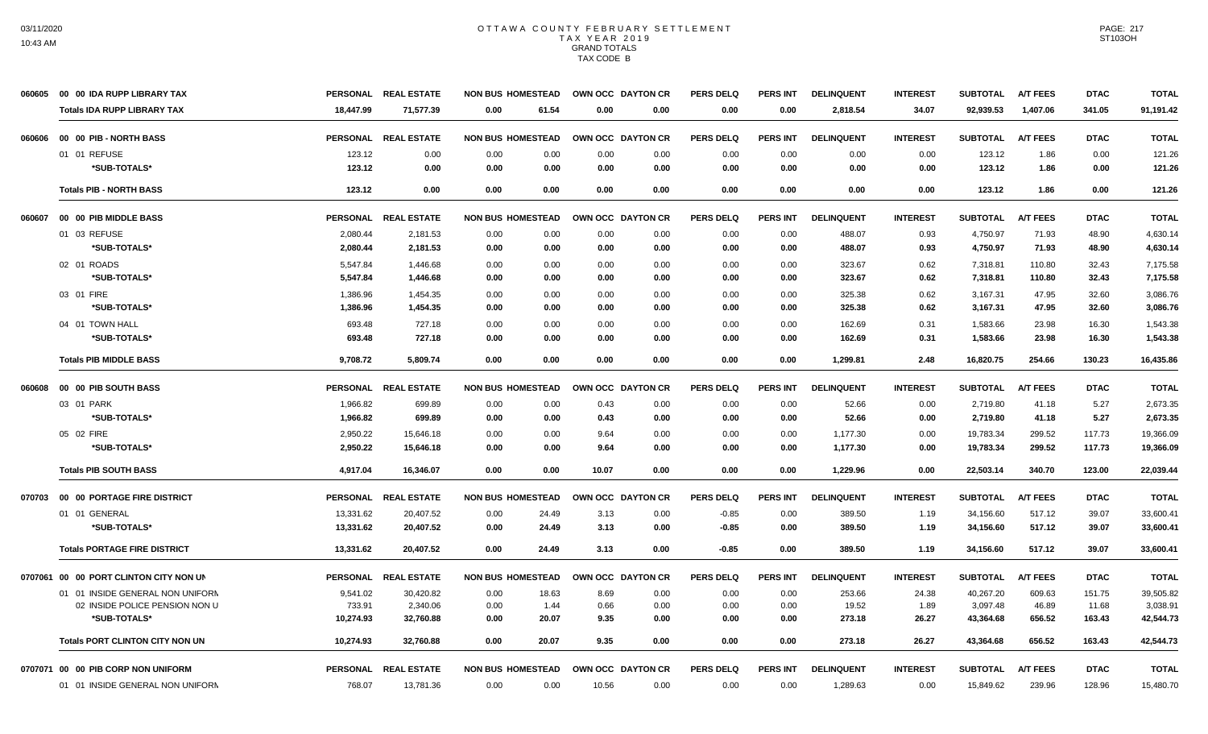| 060605 | 00 00 IDA RUPP LIBRARY TAX             |                 | PERSONAL REAL ESTATE | <b>NON BUS HOMESTEAD</b> | OWN OCC DAYTON CR |      | <b>PERS DELQ</b> | <b>PERS INT</b> | <b>DELINQUENT</b> | <b>INTEREST</b> | <b>SUBTOTAL</b> | <b>A/T FEES</b> | <b>DTAC</b> | <b>TOTAL</b> |
|--------|----------------------------------------|-----------------|----------------------|--------------------------|-------------------|------|------------------|-----------------|-------------------|-----------------|-----------------|-----------------|-------------|--------------|
|        | <b>Totals IDA RUPP LIBRARY TAX</b>     | 18,447.99       | 71,577.39            | 61.54<br>0.00            | 0.00              | 0.00 | 0.00             | 0.00            | 2,818.54          | 34.07           | 92,939.53       | 1,407.06        | 341.05      | 91,191.42    |
| 060606 | 00 00 PIB - NORTH BASS                 |                 | PERSONAL REAL ESTATE | <b>NON BUS HOMESTEAD</b> | OWN OCC DAYTON CR |      | <b>PERS DELO</b> | PERS INT        | <b>DELINQUENT</b> | <b>INTEREST</b> | <b>SUBTOTAL</b> | <b>A/T FEES</b> | <b>DTAC</b> | <b>TOTAL</b> |
|        | 01 01 REFUSE                           | 123.12          | 0.00                 | 0.00<br>0.00             | 0.00              | 0.00 | 0.00             | 0.00            | 0.00              | 0.00            | 123.12          | 1.86            | 0.00        | 121.26       |
|        | *SUB-TOTALS*                           | 123.12          | 0.00                 | 0.00<br>0.00             | 0.00              | 0.00 | 0.00             | 0.00            | 0.00              | 0.00            | 123.12          | 1.86            | 0.00        | 121.26       |
|        | <b>Totals PIB - NORTH BASS</b>         | 123.12          | 0.00                 | 0.00<br>0.00             | 0.00              | 0.00 | 0.00             | 0.00            | 0.00              | 0.00            | 123.12          | 1.86            | 0.00        | 121.26       |
| 060607 | 00 00 PIB MIDDLE BASS                  |                 | PERSONAL REAL ESTATE | <b>NON BUS HOMESTEAD</b> | OWN OCC DAYTON CR |      | <b>PERS DELQ</b> | <b>PERS INT</b> | <b>DELINQUENT</b> | <b>INTEREST</b> | <b>SUBTOTAL</b> | <b>A/T FEES</b> | <b>DTAC</b> | <b>TOTAL</b> |
|        | 01 03 REFUSE                           | 2,080.44        | 2,181.53             | 0.00<br>0.00             | 0.00              | 0.00 | 0.00             | 0.00            | 488.07            | 0.93            | 4,750.97        | 71.93           | 48.90       | 4,630.14     |
|        | *SUB-TOTALS*                           | 2,080.44        | 2,181.53             | 0.00<br>0.00             | 0.00              | 0.00 | 0.00             | 0.00            | 488.07            | 0.93            | 4,750.97        | 71.93           | 48.90       | 4,630.14     |
|        | 02 01 ROADS                            | 5,547.84        | 1,446.68             | 0.00<br>0.00             | 0.00              | 0.00 | 0.00             | 0.00            | 323.67            | 0.62            | 7,318.81        | 110.80          | 32.43       | 7,175.58     |
|        | *SUB-TOTALS*                           | 5,547.84        | 1,446.68             | 0.00<br>0.00             | 0.00              | 0.00 | 0.00             | 0.00            | 323.67            | 0.62            | 7,318.81        | 110.80          | 32.43       | 7,175.58     |
|        | 03 01 FIRE                             | 1,386.96        | 1,454.35             | 0.00<br>0.00             | 0.00              | 0.00 | 0.00             | 0.00            | 325.38            | 0.62            | 3,167.31        | 47.95           | 32.60       | 3,086.76     |
|        | *SUB-TOTALS*                           | 1,386.96        | 1.454.35             | 0.00<br>0.00             | 0.00              | 0.00 | 0.00             | 0.00            | 325.38            | 0.62            | 3,167.31        | 47.95           | 32.60       | 3.086.76     |
|        | 04 01 TOWN HALL                        | 693.48          | 727.18               | 0.00<br>0.00             | 0.00              | 0.00 | 0.00             | 0.00            | 162.69            | 0.31            | 1,583.66        | 23.98           | 16.30       | 1,543.38     |
|        | *SUB-TOTALS*                           | 693.48          | 727.18               | 0.00<br>0.00             | 0.00              | 0.00 | 0.00             | 0.00            | 162.69            | 0.31            | 1,583.66        | 23.98           | 16.30       | 1,543.38     |
|        | <b>Totals PIB MIDDLE BASS</b>          | 9,708.72        | 5,809.74             | 0.00<br>0.00             | 0.00              | 0.00 | 0.00             | 0.00            | 1,299.81          | 2.48            | 16,820.75       | 254.66          | 130.23      | 16,435.86    |
| 060608 | 00 00 PIB SOUTH BASS                   | <b>PERSONAL</b> | <b>REAL ESTATE</b>   | <b>NON BUS HOMESTEAD</b> | OWN OCC DAYTON CR |      | <b>PERS DELQ</b> | <b>PERS INT</b> | <b>DELINQUENT</b> | <b>INTEREST</b> | <b>SUBTOTAL</b> | <b>A/T FEES</b> | <b>DTAC</b> | <b>TOTAL</b> |
|        | 03 01 PARK                             | 1,966.82        | 699.89               | 0.00<br>0.00             | 0.43              | 0.00 | 0.00             | 0.00            | 52.66             | 0.00            | 2,719.80        | 41.18           | 5.27        | 2,673.35     |
|        | *SUB-TOTALS*                           | 1.966.82        | 699.89               | 0.00<br>0.00             | 0.43              | 0.00 | 0.00             | 0.00            | 52.66             | 0.00            | 2,719.80        | 41.18           | 5.27        | 2,673.35     |
|        | 05 02 FIRE                             | 2,950.22        | 15,646.18            | 0.00<br>0.00             | 9.64              | 0.00 | 0.00             | 0.00            | 1,177.30          | 0.00            | 19,783.34       | 299.52          | 117.73      | 19,366.09    |
|        | *SUB-TOTALS*                           | 2,950.22        | 15,646.18            | 0.00<br>0.00             | 9.64              | 0.00 | 0.00             | 0.00            | 1,177.30          | 0.00            | 19,783.34       | 299.52          | 117.73      | 19,366.09    |
|        | <b>Totals PIB SOUTH BASS</b>           | 4,917.04        | 16,346.07            | 0.00<br>0.00             | 10.07             | 0.00 | 0.00             | 0.00            | 1,229.96          | 0.00            | 22,503.14       | 340.70          | 123.00      | 22,039.44    |
| 070703 | 00 00 PORTAGE FIRE DISTRICT            | <b>PERSONAL</b> | <b>REAL ESTATE</b>   | <b>NON BUS HOMESTEAD</b> | OWN OCC DAYTON CR |      | <b>PERS DELQ</b> | <b>PERS INT</b> | <b>DELINQUENT</b> | <b>INTEREST</b> | <b>SUBTOTAL</b> | <b>A/T FEES</b> | <b>DTAC</b> | <b>TOTAL</b> |
|        | 01 01 GENERAL                          | 13,331.62       | 20,407.52            | 0.00<br>24.49            | 3.13              | 0.00 | $-0.85$          | 0.00            | 389.50            | 1.19            | 34,156.60       | 517.12          | 39.07       | 33,600.41    |
|        | *SUB-TOTALS*                           | 13,331.62       | 20,407.52            | 0.00<br>24.49            | 3.13              | 0.00 | $-0.85$          | 0.00            | 389.50            | 1.19            | 34,156.60       | 517.12          | 39.07       | 33,600.41    |
|        | <b>Totals PORTAGE FIRE DISTRICT</b>    | 13,331.62       | 20.407.52            | 0.00<br>24.49            | 3.13              | 0.00 | $-0.85$          | 0.00            | 389.50            | 1.19            | 34,156.60       | 517.12          | 39.07       | 33,600.41    |
|        | 0707061 00 00 PORT CLINTON CITY NON UN | <b>PERSONAL</b> | <b>REAL ESTATE</b>   | <b>NON BUS HOMESTEAD</b> | OWN OCC DAYTON CR |      | <b>PERS DELQ</b> | <b>PERS INT</b> | <b>DELINQUENT</b> | <b>INTEREST</b> | <b>SUBTOTAL</b> | <b>A/T FEES</b> | <b>DTAC</b> | <b>TOTAL</b> |
|        | 01 01 INSIDE GENERAL NON UNIFORM       | 9,541.02        | 30,420.82            | 0.00<br>18.63            | 8.69              | 0.00 | 0.00             | 0.00            | 253.66            | 24.38           | 40,267.20       | 609.63          | 151.75      | 39,505.82    |
|        | 02 INSIDE POLICE PENSION NON U         | 733.91          | 2,340.06             | 1.44<br>0.00             | 0.66              | 0.00 | 0.00             | 0.00            | 19.52             | 1.89            | 3,097.48        | 46.89           | 11.68       | 3,038.91     |
|        | *SUB-TOTALS*                           | 10,274.93       | 32,760.88            | 0.00<br>20.07            | 9.35              | 0.00 | 0.00             | 0.00            | 273.18            | 26.27           | 43,364.68       | 656.52          | 163.43      | 42,544.73    |
|        | <b>Totals PORT CLINTON CITY NON UN</b> | 10.274.93       | 32.760.88            | 0.00<br>20.07            | 9.35              | 0.00 | 0.00             | 0.00            | 273.18            | 26.27           | 43.364.68       | 656.52          | 163.43      | 42.544.73    |
|        | 0707071 00 00 PIB CORP NON UNIFORM     |                 | PERSONAL REAL ESTATE | <b>NON BUS HOMESTEAD</b> | OWN OCC DAYTON CR |      | <b>PERS DELQ</b> | <b>PERS INT</b> | <b>DELINQUENT</b> | <b>INTEREST</b> | <b>SUBTOTAL</b> | <b>A/T FEES</b> | <b>DTAC</b> | <b>TOTAL</b> |
|        | 01 01 INSIDE GENERAL NON UNIFORN       | 768.07          | 13,781.36            | 0.00<br>0.00             | 10.56             | 0.00 | 0.00             | 0.00            | 1,289.63          | 0.00            | 15,849.62       | 239.96          | 128.96      | 15,480.70    |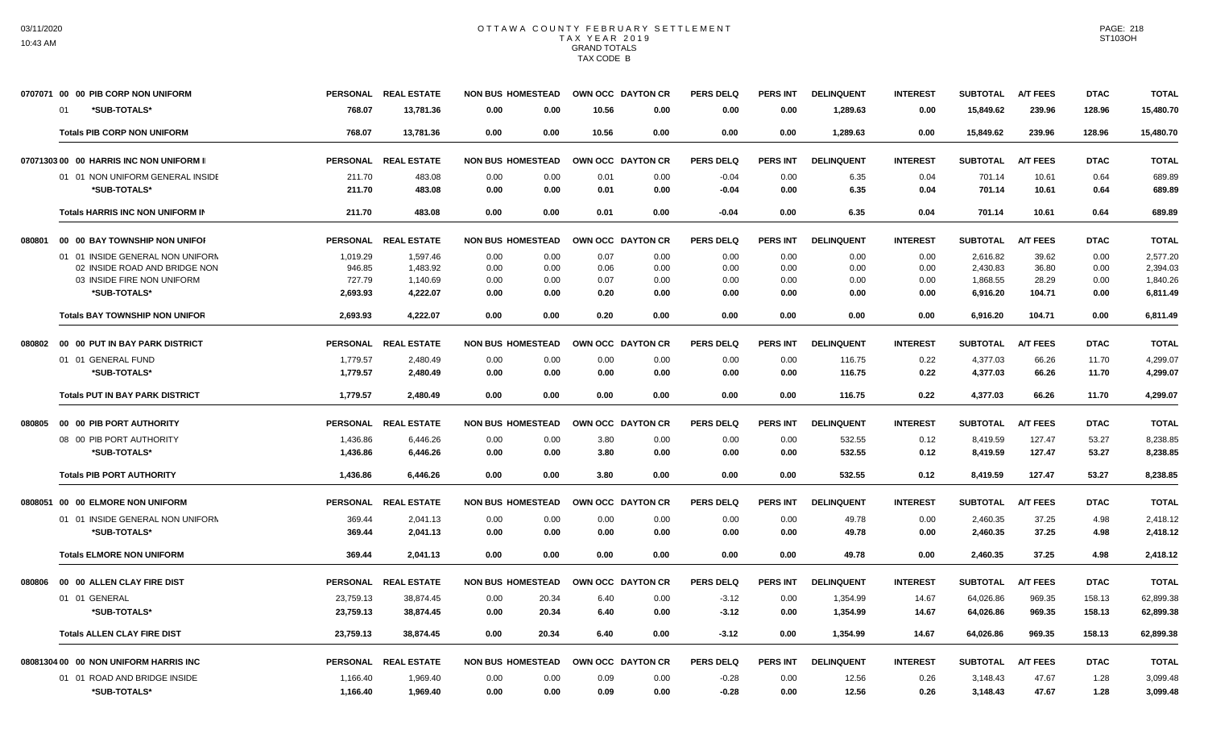|        | 0707071 00 00 PIB CORP NON UNIFORM         | <b>PERSONAL</b>    | <b>REAL ESTATE</b>   | <b>NON BUS HOMESTEAD</b>     | OWN OCC DAYTON CR |                  | <b>PERS DELQ</b> | <b>PERS INT</b> | <b>DELINQUENT</b> | <b>INTEREST</b> | <b>SUBTOTAL</b>      | <b>A/T FEES</b> | <b>DTAC</b>  | <b>TOTAL</b>         |
|--------|--------------------------------------------|--------------------|----------------------|------------------------------|-------------------|------------------|------------------|-----------------|-------------------|-----------------|----------------------|-----------------|--------------|----------------------|
|        | *SUB-TOTALS*<br>01                         | 768.07             | 13,781.36            | 0.00<br>0.00                 | 10.56             | 0.00             | 0.00             | 0.00            | 1,289.63          | 0.00            | 15,849.62            | 239.96          | 128.96       | 15,480.70            |
|        | <b>Totals PIB CORP NON UNIFORM</b>         | 768.07             | 13,781.36            | 0.00<br>0.00                 | 10.56             | 0.00             | 0.00             | 0.00            | 1.289.63          | 0.00            | 15,849.62            | 239.96          | 128.96       | 15,480.70            |
|        | 07071303 00 00 HARRIS INC NON UNIFORM II   | <b>PERSONAL</b>    | <b>REAL ESTATE</b>   | <b>NON BUS HOMESTEAD</b>     | OWN OCC DAYTON CR |                  | <b>PERS DELQ</b> | <b>PERS INT</b> | <b>DELINQUENT</b> | <b>INTEREST</b> | <b>SUBTOTAL</b>      | <b>A/T FEES</b> | <b>DTAC</b>  | <b>TOTAL</b>         |
|        | 01 01 NON UNIFORM GENERAL INSIDE           | 211.70             | 483.08               | 0.00<br>0.00                 | 0.01              | 0.00             | $-0.04$          | 0.00            | 6.35              | 0.04            | 701.14               | 10.61           | 0.64         | 689.89               |
|        | *SUB-TOTALS*                               | 211.70             | 483.08               | 0.00<br>0.00                 | 0.01              | 0.00             | $-0.04$          | 0.00            | 6.35              | 0.04            | 701.14               | 10.61           | 0.64         | 689.89               |
|        | Totals HARRIS INC NON UNIFORM IN           | 211.70             | 483.08               | 0.00<br>0.00                 | 0.01              | 0.00             | -0.04            | 0.00            | 6.35              | 0.04            | 701.14               | 10.61           | 0.64         | 689.89               |
| 080801 | 00 00 BAY TOWNSHIP NON UNIFOR              | <b>PERSONAL</b>    | <b>REAL ESTATE</b>   | <b>NON BUS HOMESTEAD</b>     | <b>OWN OCC</b>    | <b>DAYTON CR</b> | PERS DELO        | <b>PERS INT</b> | <b>DELINQUENT</b> | <b>INTEREST</b> | <b>SUBTOTAL</b>      | <b>A/T FEES</b> | <b>DTAC</b>  | <b>TOTAL</b>         |
|        | 01 01 INSIDE GENERAL NON UNIFORM           | 1,019.29           | 1,597.46             | 0.00<br>0.00                 | 0.07              | 0.00             | 0.00             | 0.00            | 0.00              | 0.00            | 2,616.82             | 39.62           | 0.00         | 2,577.20             |
|        | 02 INSIDE ROAD AND BRIDGE NON              | 946.85             | 1.483.92             | 0.00<br>0.00                 | 0.06              | 0.00             | 0.00             | 0.00            | 0.00              | 0.00            | 2.430.83             | 36.80           | 0.00         | 2,394.03             |
|        | 03 INSIDE FIRE NON UNIFORM<br>*SUB-TOTALS* | 727.79<br>2.693.93 | 1,140.69<br>4.222.07 | 0.00<br>0.00<br>0.00<br>0.00 | 0.07<br>0.20      | 0.00<br>0.00     | 0.00<br>0.00     | 0.00<br>0.00    | 0.00<br>0.00      | 0.00<br>0.00    | 1,868.55<br>6,916.20 | 28.29<br>104.71 | 0.00<br>0.00 | 1,840.26<br>6,811.49 |
|        | <b>Totals BAY TOWNSHIP NON UNIFOR</b>      | 2,693.93           | 4,222.07             | 0.00<br>0.00                 | 0.20              | 0.00             | 0.00             | 0.00            | 0.00              | 0.00            | 6,916.20             | 104.71          | 0.00         | 6,811.49             |
| 080802 | 00 00 PUT IN BAY PARK DISTRICT             |                    | PERSONAL REAL ESTATE | <b>NON BUS HOMESTEAD</b>     | OWN OCC DAYTON CR |                  | PERS DELQ        | <b>PERS INT</b> | <b>DELINQUENT</b> | <b>INTEREST</b> | <b>SUBTOTAL</b>      | <b>A/T FEES</b> | <b>DTAC</b>  | <b>TOTAL</b>         |
|        | 01 01 GENERAL FUND                         | 1,779.57           | 2,480.49             | 0.00<br>0.00                 | 0.00              | 0.00             | 0.00             | 0.00            | 116.75            | 0.22            | 4,377.03             | 66.26           | 11.70        | 4,299.07             |
|        | *SUB-TOTALS*                               | 1,779.57           | 2,480.49             | 0.00<br>0.00                 | 0.00              | 0.00             | 0.00             | 0.00            | 116.75            | 0.22            | 4,377.03             | 66.26           | 11.70        | 4,299.07             |
|        | <b>Totals PUT IN BAY PARK DISTRICT</b>     | 1,779.57           | 2.480.49             | 0.00<br>0.00                 | 0.00              | 0.00             | 0.00             | 0.00            | 116.75            | 0.22            | 4.377.03             | 66.26           | 11.70        | 4,299.07             |
| 080805 | 00 00 PIB PORT AUTHORITY                   | <b>PERSONAL</b>    | <b>REAL ESTATE</b>   | <b>NON BUS HOMESTEAD</b>     | <b>OWN OCC</b>    | <b>DAYTON CR</b> | <b>PERS DELQ</b> | <b>PERS INT</b> | <b>DELINQUENT</b> | <b>INTEREST</b> | <b>SUBTOTAL</b>      | <b>A/T FEES</b> | <b>DTAC</b>  | <b>TOTAL</b>         |
|        | 08 00 PIB PORT AUTHORITY                   | 1,436.86           | 6,446.26             | 0.00<br>0.00                 | 3.80              | 0.00             | 0.00             | 0.00            | 532.55            | 0.12            | 8,419.59             | 127.47          | 53.27        | 8,238.85             |
|        | *SUB-TOTALS*                               | 1,436.86           | 6,446.26             | 0.00<br>0.00                 | 3.80              | 0.00             | 0.00             | 0.00            | 532.55            | 0.12            | 8,419.59             | 127.47          | 53.27        | 8,238.85             |
|        | <b>Totals PIB PORT AUTHORITY</b>           | 1,436.86           | 6.446.26             | 0.00<br>0.00                 | 3.80              | 0.00             | 0.00             | 0.00            | 532.55            | 0.12            | 8.419.59             | 127.47          | 53.27        | 8,238.85             |
|        | 0808051 00 00 ELMORE NON UNIFORM           | <b>PERSONAL</b>    | <b>REAL ESTATE</b>   | <b>NON BUS HOMESTEAD</b>     | OWN OCC DAYTON CR |                  | PERS DELO        | <b>PERS INT</b> | <b>DELINQUENT</b> | <b>INTEREST</b> | <b>SUBTOTAL</b>      | <b>A/T FEES</b> | <b>DTAC</b>  | <b>TOTAL</b>         |
|        | 01 01 INSIDE GENERAL NON UNIFORM           | 369.44             | 2,041.13             | 0.00<br>0.00                 | 0.00              | 0.00             | 0.00             | 0.00            | 49.78             | 0.00            | 2,460.35             | 37.25           | 4.98         | 2,418.12             |
|        | *SUB-TOTALS*                               | 369.44             | 2.041.13             | 0.00<br>0.00                 | 0.00              | 0.00             | 0.00             | 0.00            | 49.78             | 0.00            | 2,460.35             | 37.25           | 4.98         | 2,418.12             |
|        | <b>Totals ELMORE NON UNIFORM</b>           | 369.44             | 2.041.13             | 0.00<br>0.00                 | 0.00              | 0.00             | 0.00             | 0.00            | 49.78             | 0.00            | 2.460.35             | 37.25           | 4.98         | 2,418.12             |
| 080806 | 00 00 ALLEN CLAY FIRE DIST                 | <b>PERSONAL</b>    | <b>REAL ESTATE</b>   | <b>NON BUS HOMESTEAD</b>     | <b>OWN OCC</b>    | <b>DAYTON CR</b> | PERS DELO        | <b>PERS INT</b> | <b>DELINQUENT</b> | <b>INTEREST</b> | <b>SUBTOTAL</b>      | <b>A/T FEES</b> | <b>DTAC</b>  | <b>TOTAL</b>         |
|        | 01 01 GENERAL                              | 23,759.13          | 38,874.45            | 0.00<br>20.34                | 6.40              | 0.00             | $-3.12$          | 0.00            | 1,354.99          | 14.67           | 64,026.86            | 969.35          | 158.13       | 62,899.38            |
|        | *SUB-TOTALS*                               | 23,759.13          | 38,874.45            | 20.34<br>0.00                | 6.40              | 0.00             | $-3.12$          | 0.00            | 1,354.99          | 14.67           | 64,026.86            | 969.35          | 158.13       | 62,899.38            |
|        | <b>Totals ALLEN CLAY FIRE DIST</b>         | 23,759.13          | 38,874.45            | 0.00<br>20.34                | 6.40              | 0.00             | $-3.12$          | 0.00            | 1,354.99          | 14.67           | 64,026.86            | 969.35          | 158.13       | 62,899.38            |
|        | 08081304 00 00 NON UNIFORM HARRIS INC      | <b>PERSONAL</b>    | <b>REAL ESTATE</b>   | <b>NON BUS HOMESTEAD</b>     | <b>OWN OCC</b>    | <b>DAYTON CR</b> | <b>PERS DELQ</b> | <b>PERS INT</b> | <b>DELINQUENT</b> | <b>INTEREST</b> | <b>SUBTOTAL</b>      | <b>A/T FEES</b> | <b>DTAC</b>  | <b>TOTAL</b>         |
|        | 01 01 ROAD AND BRIDGE INSIDE               | 1,166.40           | 1.969.40             | 0.00<br>0.00                 | 0.09              | 0.00             | $-0.28$          | 0.00            | 12.56             | 0.26            | 3.148.43             | 47.67           | 1.28         | 3,099.48             |
|        | *SUB-TOTALS*                               | 1,166.40           | 1,969.40             | 0.00<br>0.00                 | 0.09              | 0.00             | $-0.28$          | 0.00            | 12.56             | 0.26            | 3,148.43             | 47.67           | 1.28         | 3,099.48             |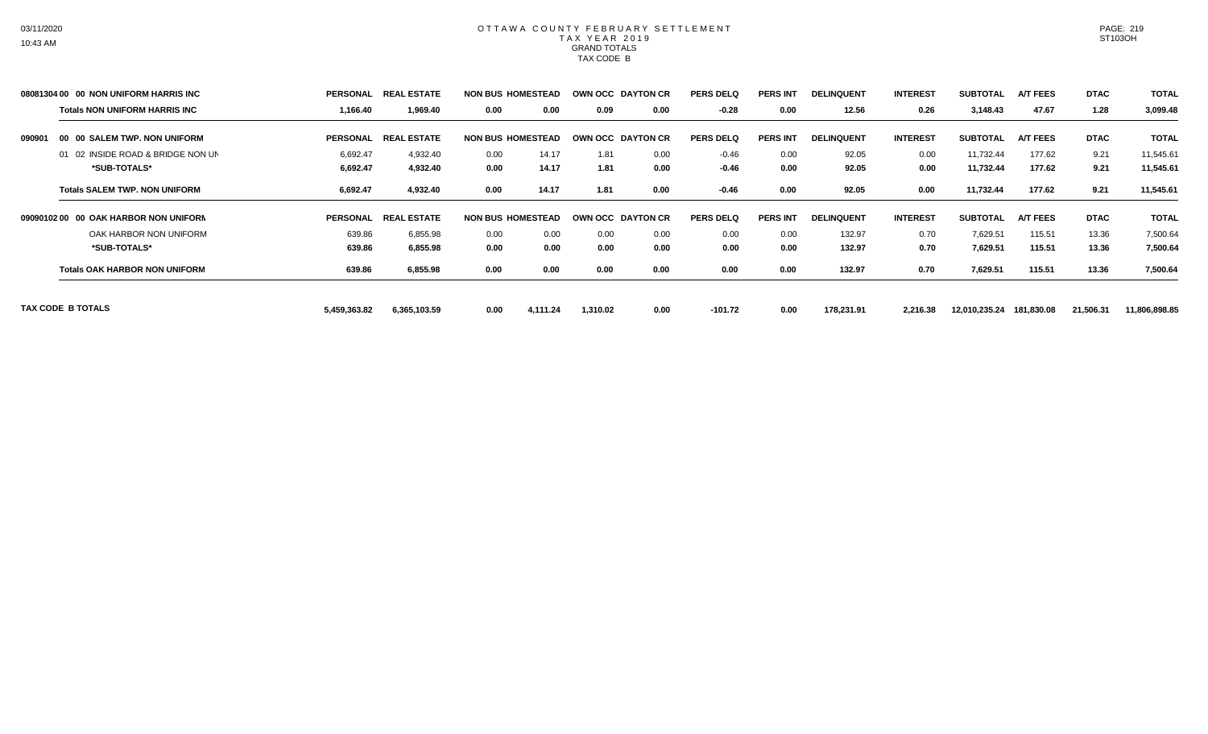|        | 08081304 00 00 NON UNIFORM HARRIS INC | <b>PERSONAL</b> | <b>REAL ESTATE</b>            | <b>NON BUS HOMESTEAD</b> |          | OWN OCC DAYTON CR        |      | <b>PERS DELQ</b> | <b>PERS INT</b> | <b>DELINQUENT</b> | <b>INTEREST</b> | <b>SUBTOTAL</b> | <b>A/T FEES</b> | <b>DTAC</b> | <b>TOTAL</b>  |
|--------|---------------------------------------|-----------------|-------------------------------|--------------------------|----------|--------------------------|------|------------------|-----------------|-------------------|-----------------|-----------------|-----------------|-------------|---------------|
|        | <b>Totals NON UNIFORM HARRIS INC</b>  | 1,166.40        | 1,969.40                      | 0.00                     | 0.00     | 0.09                     | 0.00 | $-0.28$          | 0.00            | 12.56             | 0.26            | 3,148.43        | 47.67           | 1.28        | 3,099.48      |
| 090901 | 00 00 SALEM TWP. NON UNIFORM          | <b>PERSONAL</b> | <b>LESTATE</b><br><b>REAL</b> | <b>NON BUS HOMESTEAD</b> |          | <b>OWN OCC DAYTON CR</b> |      | <b>PERS DELQ</b> | <b>PERS INT</b> | <b>DELINQUENT</b> | <b>INTEREST</b> | <b>SUBTOTAL</b> | <b>A/T FEES</b> | <b>DTAC</b> | <b>TOTAL</b>  |
|        | 01 02 INSIDE ROAD & BRIDGE NON UN     | 6,692.47        | 4,932.40                      | 0.00                     | 14.17    | 1.81                     | 0.00 | $-0.46$          | 0.00            | 92.05             | 0.00            | 11,732.44       | 177.62          | 9.21        | 11,545.61     |
|        | *SUB-TOTALS*                          | 6,692.47        | 4,932.40                      | 0.00                     | 14.17    | 1.81                     | 0.00 | $-0.46$          | 0.00            | 92.05             | 0.00            | 11,732.44       | 177.62          | 9.21        | 11,545.61     |
|        | <b>Totals SALEM TWP, NON UNIFORM</b>  | 6,692.47        | 4,932.40                      | 0.00                     | 14.17    | 1.81                     | 0.00 | $-0.46$          | 0.00            | 92.05             | 0.00            | 11,732.44       | 177.62          | 9.21        | 11,545.61     |
|        | 0909010200 00 OAK HARBOR NON UNIFORM  | <b>PERSONAL</b> | <b>REAL ESTATE</b>            | <b>NON BUS HOMESTEAD</b> |          | <b>OWN OCC DAYTON CR</b> |      | <b>PERS DELQ</b> | <b>PERS INT</b> | <b>DELINQUENT</b> | <b>INTEREST</b> | <b>SUBTOTAL</b> | <b>A/T FEES</b> | <b>DTAC</b> | <b>TOTAL</b>  |
|        | OAK HARBOR NON UNIFORM                | 639.86          | 6,855.98                      | 0.00                     | 0.00     | 0.00                     | 0.00 | 0.00             | 0.00            | 132.97            | 0.70            | 7,629.51        | 115.51          | 13.36       | 7,500.64      |
|        | *SUB-TOTALS*                          | 639.86          | 6,855.98                      | 0.00                     | 0.00     | 0.00                     | 0.00 | 0.00             | 0.00            | 132.97            | 0.70            | 7,629.51        | 115.51          | 13.36       | 7,500.64      |
|        | <b>Totals OAK HARBOR NON UNIFORM</b>  | 639.86          | 6,855.98                      | 0.00                     | 0.00     | 0.00                     | 0.00 | 0.00             | 0.00            | 132.97            | 0.70            | 7,629.51        | 115.51          | 13.36       | 7,500.64      |
|        | TAX CODE B TOTALS                     | 5,459,363.82    | 6,365,103.59                  | 0.00                     | 4,111.24 | 1,310.02                 | 0.00 | $-101.72$        | 0.00            | 178,231.91        | 2,216.38        | 12,010,235.24   | 181,830.08      | 21,506.31   | 11,806,898.85 |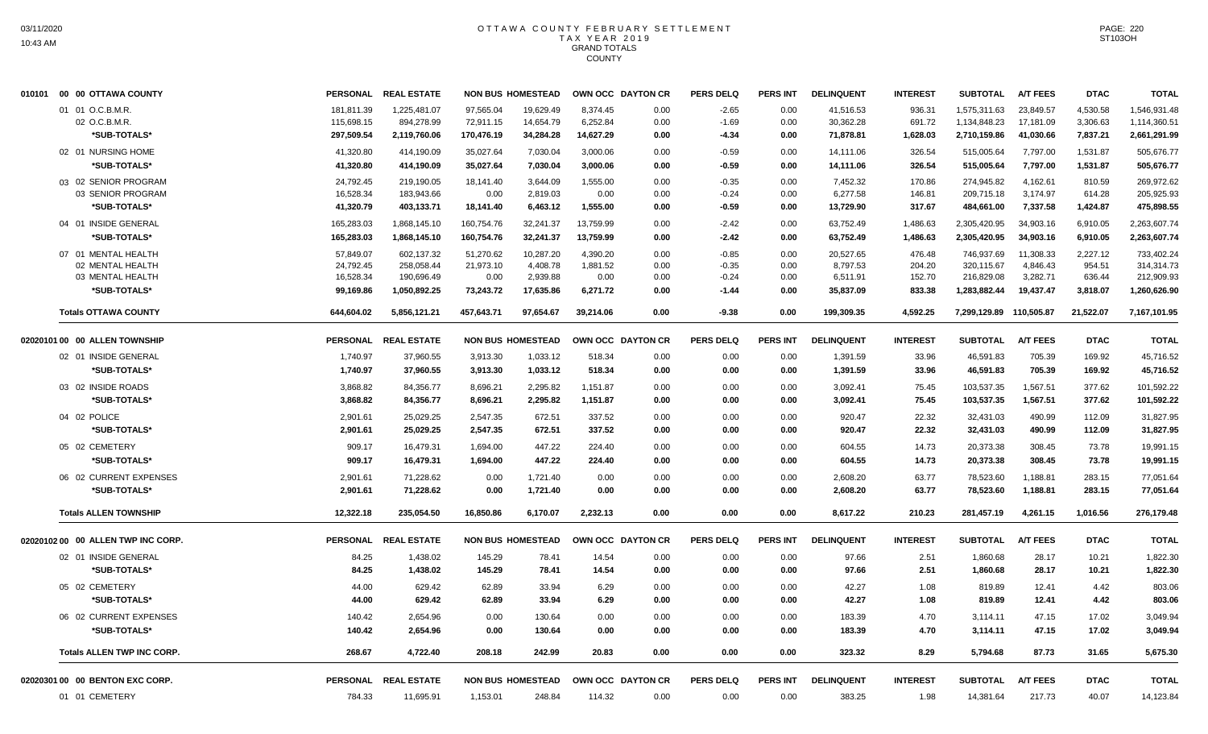| 010101 00 00 OTTAWA COUNTY         | <b>PERSONAL</b> | <b>REAL ESTATE</b>   |            | <b>NON BUS HOMESTEAD</b> |           | OWN OCC DAYTON CR | <b>PERS DELQ</b> | PERS INT        | <b>DELINQUENT</b> | <b>INTEREST</b> | <b>SUBTOTAL</b>         | A/T FEES        | <b>DTAC</b> | <b>TOTAL</b> |
|------------------------------------|-----------------|----------------------|------------|--------------------------|-----------|-------------------|------------------|-----------------|-------------------|-----------------|-------------------------|-----------------|-------------|--------------|
| 01 01 O.C.B.M.R.                   | 181,811.39      | 1,225,481.07         | 97,565.04  | 19,629.49                | 8,374.45  | 0.00              | $-2.65$          | 0.00            | 41,516.53         | 936.31          | 1,575,311.63            | 23,849.57       | 4,530.58    | 1,546,931.48 |
| 02 O.C.B.M.R.                      | 115,698.15      | 894,278.99           | 72,911.15  | 14,654.79                | 6,252.84  | 0.00              | $-1.69$          | 0.00            | 30,362.28         | 691.72          | 1,134,848.23            | 17,181.09       | 3,306.63    | 1,114,360.51 |
| *SUB-TOTALS*                       | 297,509.54      | 2,119,760.06         | 170,476.19 | 34,284.28                | 14,627.29 | 0.00              | $-4.34$          | 0.00            | 71,878.81         | 1,628.03        | 2,710,159.86            | 41,030.66       | 7,837.21    | 2,661,291.99 |
| 02 01 NURSING HOME                 | 41,320.80       | 414,190.09           | 35,027.64  | 7,030.04                 | 3,000.06  | 0.00              | $-0.59$          | 0.00            | 14,111.06         | 326.54          | 515,005.64              | 7,797.00        | 1,531.87    | 505,676.77   |
| *SUB-TOTALS*                       | 41,320.80       | 414,190.09           | 35,027.64  | 7,030.04                 | 3,000.06  | 0.00              | $-0.59$          | 0.00            | 14,111.06         | 326.54          | 515,005.64              | 7,797.00        | 1,531.87    | 505,676.77   |
| 03 02 SENIOR PROGRAM               | 24,792.45       | 219,190.05           | 18,141.40  | 3,644.09                 | 1,555.00  | 0.00              | $-0.35$          | 0.00            | 7,452.32          | 170.86          | 274,945.82              | 4,162.61        | 810.59      | 269,972.62   |
| 03 SENIOR PROGRAM                  | 16,528.34       | 183,943.66           | 0.00       | 2,819.03                 | 0.00      | 0.00              | $-0.24$          | 0.00            | 6,277.58          | 146.81          | 209,715.18              | 3,174.97        | 614.28      | 205,925.93   |
| *SUB-TOTALS*                       | 41,320.79       | 403,133.71           | 18,141.40  | 6,463.12                 | 1,555.00  | 0.00              | -0.59            | 0.00            | 13,729.90         | 317.67          | 484,661.00              | 7,337.58        | 1,424.87    | 475,898.55   |
| 04 01 INSIDE GENERAL               | 165,283.03      | 1,868,145.10         | 160,754.76 | 32,241.37                | 13,759.99 | 0.00              | $-2.42$          | 0.00            | 63,752.49         | 1,486.63        | 2,305,420.95            | 34,903.16       | 6,910.05    | 2,263,607.74 |
| *SUB-TOTALS*                       | 165,283.03      | 1,868,145.10         | 160,754.76 | 32,241.37                | 13,759.99 | 0.00              | $-2.42$          | 0.00            | 63,752.49         | 1,486.63        | 2,305,420.95            | 34,903.16       | 6,910.05    | 2,263,607.74 |
| 07 01 MENTAL HEALTH                | 57,849.07       | 602,137.32           | 51,270.62  | 10,287.20                | 4,390.20  | 0.00              | $-0.85$          | 0.00            | 20,527.65         | 476.48          | 746,937.69              | 11,308.33       | 2,227.12    | 733,402.24   |
| 02 MENTAL HEALTH                   | 24,792.45       | 258,058.44           | 21,973.10  | 4,408.78                 | 1,881.52  | 0.00              | $-0.35$          | 0.00            | 8,797.53          | 204.20          | 320,115.67              | 4,846.43        | 954.51      | 314,314.73   |
| 03 MENTAL HEALTH                   | 16,528.34       | 190,696.49           | 0.00       | 2,939.88                 | 0.00      | 0.00              | $-0.24$          | 0.00            | 6,511.91          | 152.70          | 216,829.08              | 3,282.71        | 636.44      | 212,909.93   |
| *SUB-TOTALS*                       | 99,169.86       | 1,050,892.25         | 73,243.72  | 17,635.86                | 6,271.72  | 0.00              | $-1.44$          | 0.00            | 35,837.09         | 833.38          | 1,283,882.44            | 19,437.47       | 3,818.07    | 1,260,626.90 |
| <b>Totals OTTAWA COUNTY</b>        | 644,604.02      | 5,856,121.21         | 457,643.71 | 97.654.67                | 39.214.06 | 0.00              | $-9.38$          | 0.00            | 199,309.35        | 4.592.25        | 7,299,129.89 110,505.87 |                 | 21,522.07   | 7,167,101.95 |
| 02020101 00 00 ALLEN TOWNSHIP      |                 | PERSONAL REAL ESTATE |            | <b>NON BUS HOMESTEAD</b> |           | OWN OCC DAYTON CR | <b>PERS DELQ</b> | <b>PERS INT</b> | <b>DELINQUENT</b> | <b>INTEREST</b> | <b>SUBTOTAL</b>         | <b>A/T FEES</b> | <b>DTAC</b> | <b>TOTAL</b> |
| 02 01 INSIDE GENERAL               | 1,740.97        | 37,960.55            | 3,913.30   | 1,033.12                 | 518.34    | 0.00              | 0.00             | 0.00            | 1,391.59          | 33.96           | 46,591.83               | 705.39          | 169.92      | 45,716.52    |
| *SUB-TOTALS*                       | 1,740.97        | 37,960.55            | 3,913.30   | 1,033.12                 | 518.34    | 0.00              | 0.00             | 0.00            | 1,391.59          | 33.96           | 46,591.83               | 705.39          | 169.92      | 45,716.52    |
| 03 02 INSIDE ROADS                 | 3,868.82        | 84,356.77            | 8,696.21   | 2,295.82                 | 1,151.87  | 0.00              | 0.00             | 0.00            | 3,092.41          | 75.45           | 103,537.35              | 1,567.51        | 377.62      | 101,592.22   |
| *SUB-TOTALS*                       | 3.868.82        | 84,356.77            | 8.696.21   | 2,295.82                 | 1.151.87  | 0.00              | 0.00             | 0.00            | 3.092.41          | 75.45           | 103,537.35              | 1,567.51        | 377.62      | 101,592.22   |
| 04 02 POLICE                       | 2,901.61        | 25,029.25            | 2,547.35   | 672.51                   | 337.52    | 0.00              | 0.00             | 0.00            | 920.47            | 22.32           | 32,431.03               | 490.99          | 112.09      | 31,827.95    |
| *SUB-TOTALS*                       | 2,901.61        | 25,029.25            | 2,547.35   | 672.51                   | 337.52    | 0.00              | 0.00             | 0.00            | 920.47            | 22.32           | 32,431.03               | 490.99          | 112.09      | 31,827.95    |
| 05 02 CEMETERY                     | 909.17          | 16,479.31            | 1,694.00   | 447.22                   | 224.40    | 0.00              | 0.00             | 0.00            | 604.55            | 14.73           | 20,373.38               | 308.45          | 73.78       | 19,991.15    |
| *SUB-TOTALS*                       | 909.17          | 16,479.31            | 1,694.00   | 447.22                   | 224.40    | 0.00              | 0.00             | 0.00            | 604.55            | 14.73           | 20,373.38               | 308.45          | 73.78       | 19,991.15    |
| 06 02 CURRENT EXPENSES             | 2,901.61        | 71,228.62            | 0.00       | 1,721.40                 | 0.00      | 0.00              | 0.00             | 0.00            | 2,608.20          | 63.77           | 78,523.60               | 1,188.81        | 283.15      | 77,051.64    |
| *SUB-TOTALS*                       | 2.901.61        | 71,228.62            | 0.00       | 1,721.40                 | 0.00      | 0.00              | 0.00             | 0.00            | 2,608.20          | 63.77           | 78,523.60               | 1,188.81        | 283.15      | 77,051.64    |
|                                    |                 |                      |            |                          |           |                   |                  |                 |                   |                 |                         |                 |             |              |
| <b>Totals ALLEN TOWNSHIP</b>       | 12,322.18       | 235,054.50           | 16,850.86  | 6,170.07                 | 2,232.13  | 0.00              | 0.00             | 0.00            | 8,617.22          | 210.23          | 281,457.19              | 4,261.15        | 1,016.56    | 276,179.48   |
| 02020102 00 00 ALLEN TWP INC CORP. | <b>PERSONAL</b> | <b>REAL ESTATE</b>   |            | <b>NON BUS HOMESTEAD</b> |           | OWN OCC DAYTON CR | <b>PERS DELQ</b> | <b>PERS INT</b> | <b>DELINQUENT</b> | <b>INTEREST</b> | <b>SUBTOTAL</b>         | <b>A/T FEES</b> | <b>DTAC</b> | <b>TOTAL</b> |
| 02 01 INSIDE GENERAL               | 84.25           | 1,438.02             | 145.29     | 78.41                    | 14.54     | 0.00              | 0.00             | 0.00            | 97.66             | 2.51            | 1,860.68                | 28.17           | 10.21       | 1,822.30     |
| *SUB-TOTALS*                       | 84.25           | 1,438.02             | 145.29     | 78.41                    | 14.54     | 0.00              | 0.00             | 0.00            | 97.66             | 2.51            | 1,860.68                | 28.17           | 10.21       | 1,822.30     |
| 05 02 CEMETERY                     | 44.00           | 629.42               | 62.89      | 33.94                    | 6.29      | 0.00              | 0.00             | 0.00            | 42.27             | 1.08            | 819.89                  | 12.41           | 4.42        | 803.06       |
| *SUB-TOTALS*                       | 44.00           | 629.42               | 62.89      | 33.94                    | 6.29      | 0.00              | 0.00             | 0.00            | 42.27             | 1.08            | 819.89                  | 12.41           | 4.42        | 803.06       |
| 06 02 CURRENT EXPENSES             | 140.42          | 2,654.96             | 0.00       | 130.64                   | 0.00      | 0.00              | 0.00             | 0.00            | 183.39            | 4.70            | 3,114.11                | 47.15           | 17.02       | 3,049.94     |
| *SUB-TOTALS*                       | 140.42          | 2,654.96             | 0.00       | 130.64                   | 0.00      | 0.00              | 0.00             | 0.00            | 183.39            | 4.70            | 3,114.11                | 47.15           | 17.02       | 3.049.94     |
| <b>Totals ALLEN TWP INC CORP.</b>  | 268.67          | 4,722.40             | 208.18     | 242.99                   | 20.83     | 0.00              | 0.00             | 0.00            | 323.32            | 8.29            | 5,794.68                | 87.73           | 31.65       | 5,675.30     |
| 02020301 00 00 BENTON EXC CORP.    |                 | PERSONAL REAL ESTATE |            | <b>NON BUS HOMESTEAD</b> |           | OWN OCC DAYTON CR | <b>PERS DELQ</b> | <b>PERS INT</b> | <b>DELINQUENT</b> | <b>INTEREST</b> | <b>SUBTOTAL</b>         | <b>A/T FEES</b> | <b>DTAC</b> | <b>TOTAL</b> |
| 01 01 CEMETERY                     | 784.33          | 11,695.91            | 1,153.01   | 248.84                   | 114.32    | 0.00              | 0.00             | 0.00            | 383.25            | 1.98            | 14,381.64               | 217.73          | 40.07       | 14,123.84    |
|                                    |                 |                      |            |                          |           |                   |                  |                 |                   |                 |                         |                 |             |              |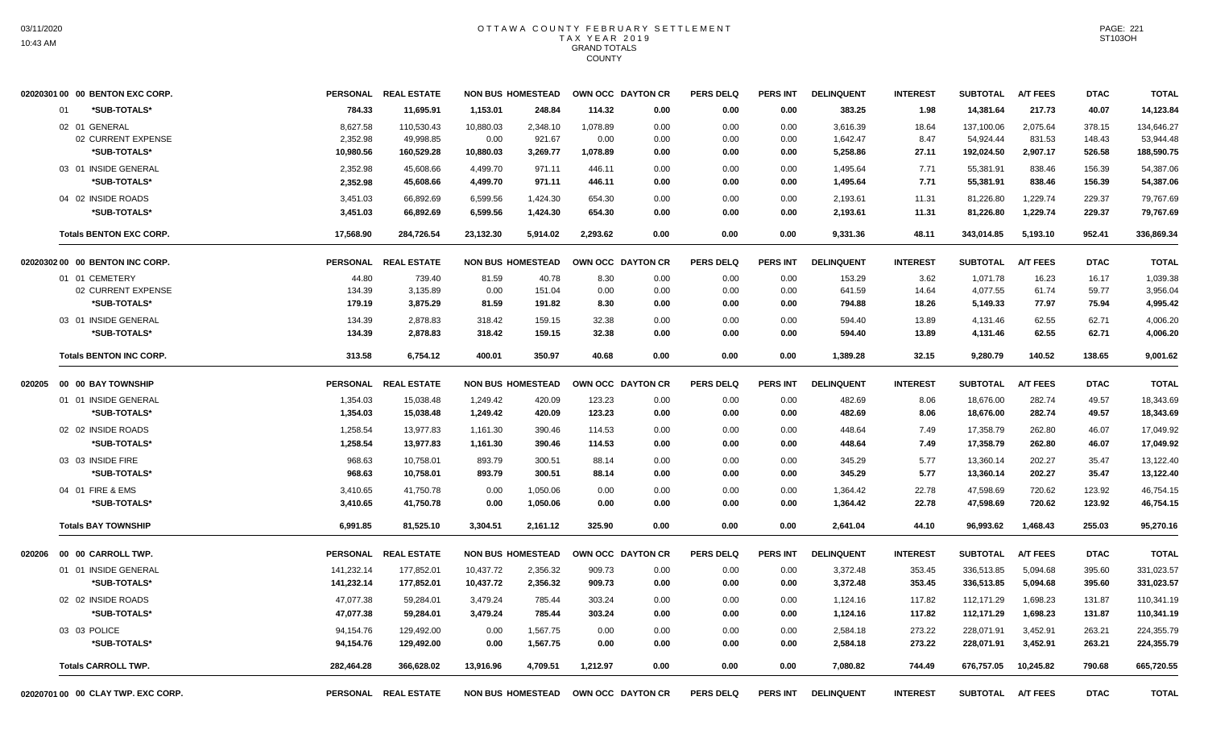| 02020301 00 00 BENTON EXC CORP. |                 | PERSONAL REAL ESTATE | <b>NON BUS HOMESTEAD</b> |          |          | OWN OCC DAYTON CR | <b>PERS DELQ</b> | <b>PERS INT</b> | <b>DELINQUENT</b> | <b>INTEREST</b> | <b>SUBTOTAL</b> | <b>A/T FEES</b> | <b>DTAC</b> | <b>TOTAL</b> |
|---------------------------------|-----------------|----------------------|--------------------------|----------|----------|-------------------|------------------|-----------------|-------------------|-----------------|-----------------|-----------------|-------------|--------------|
| *SUB-TOTALS*<br>01              | 784.33          | 11,695.91            | 1,153.01                 | 248.84   | 114.32   | 0.00              | 0.00             | 0.00            | 383.25            | 1.98            | 14,381.64       | 217.73          | 40.07       | 14,123.84    |
| 02 01 GENERAL                   | 8,627.58        | 110,530.43           | 10,880.03                | 2,348.10 | 1,078.89 | 0.00              | 0.00             | 0.00            | 3,616.39          | 18.64           | 137,100.06      | 2,075.64        | 378.15      | 134,646.27   |
| 02 CURRENT EXPENSE              | 2,352.98        | 49,998.85            | 0.00                     | 921.67   | 0.00     | 0.00              | 0.00             | 0.00            | 1,642.47          | 8.47            | 54,924.44       | 831.53          | 148.43      | 53,944.48    |
| *SUB-TOTALS*                    | 10,980.56       | 160,529.28           | 10,880.03                | 3,269.77 | 1,078.89 | 0.00              | 0.00             | 0.00            | 5,258.86          | 27.11           | 192,024.50      | 2,907.17        | 526.58      | 188,590.75   |
| 03 01 INSIDE GENERAL            | 2,352.98        | 45,608.66            | 4,499.70                 | 971.11   | 446.11   | 0.00              | 0.00             | 0.00            | 1,495.64          | 7.71            | 55,381.91       | 838.46          | 156.39      | 54,387.06    |
| *SUB-TOTALS*                    | 2,352.98        | 45,608.66            | 4,499.70                 | 971.11   | 446.11   | 0.00              | 0.00             | 0.00            | 1,495.64          | 7.71            | 55,381.91       | 838.46          | 156.39      | 54,387.06    |
| 04 02 INSIDE ROADS              | 3,451.03        | 66,892.69            | 6,599.56                 | 1,424.30 | 654.30   | 0.00              | 0.00             | 0.00            | 2,193.61          | 11.31           | 81,226.80       | 1,229.74        | 229.37      | 79,767.69    |
| *SUB-TOTALS*                    | 3,451.03        | 66,892.69            | 6,599.56                 | 1,424.30 | 654.30   | 0.00              | 0.00             | 0.00            | 2,193.61          | 11.31           | 81,226.80       | 1,229.74        | 229.37      | 79,767.69    |
| <b>Totals BENTON EXC CORP.</b>  | 17,568.90       | 284,726.54           | 23,132.30                | 5,914.02 | 2,293.62 | 0.00              | 0.00             | 0.00            | 9,331.36          | 48.11           | 343,014.85      | 5,193.10        | 952.41      | 336,869.34   |
| 02020302 00 00 BENTON INC CORP. |                 | PERSONAL REAL ESTATE | <b>NON BUS HOMESTEAD</b> |          |          | OWN OCC DAYTON CR | <b>PERS DELQ</b> | <b>PERS INT</b> | <b>DELINQUENT</b> | <b>INTEREST</b> | <b>SUBTOTAL</b> | <b>A/T FEES</b> | <b>DTAC</b> | <b>TOTAL</b> |
| 01 01 CEMETERY                  | 44.80           | 739.40               | 81.59                    | 40.78    | 8.30     | 0.00              | 0.00             | 0.00            | 153.29            | 3.62            | 1,071.78        | 16.23           | 16.17       | 1.039.38     |
| 02 CURRENT EXPENSE              | 134.39          | 3,135.89             | 0.00                     | 151.04   | 0.00     | 0.00              | 0.00             | 0.00            | 641.59            | 14.64           | 4,077.55        | 61.74           | 59.77       | 3,956.04     |
| *SUB-TOTALS*                    | 179.19          | 3,875.29             | 81.59                    | 191.82   | 8.30     | 0.00              | 0.00             | 0.00            | 794.88            | 18.26           | 5,149.33        | 77.97           | 75.94       | 4,995.42     |
| 03 01 INSIDE GENERAL            | 134.39          | 2,878.83             | 318.42                   | 159.15   | 32.38    | 0.00              | 0.00             | 0.00            | 594.40            | 13.89           | 4,131.46        | 62.55           | 62.71       | 4,006.20     |
| *SUB-TOTALS*                    | 134.39          | 2,878.83             | 318.42                   | 159.15   | 32.38    | 0.00              | 0.00             | 0.00            | 594.40            | 13.89           | 4,131.46        | 62.55           | 62.71       | 4,006.20     |
| <b>Totals BENTON INC CORP.</b>  | 313.58          | 6,754.12             | 400.01                   | 350.97   | 40.68    | 0.00              | 0.00             | 0.00            | 1,389.28          | 32.15           | 9,280.79        | 140.52          | 138.65      | 9,001.62     |
| 00 00 BAY TOWNSHIP<br>020205    | <b>PERSONAL</b> | <b>REAL ESTATE</b>   | <b>NON BUS HOMESTEAD</b> |          |          | OWN OCC DAYTON CR | <b>PERS DELQ</b> | PERS INT        | <b>DELINQUENT</b> | <b>INTEREST</b> | <b>SUBTOTAL</b> | <b>A/T FEES</b> | <b>DTAC</b> | <b>TOTAL</b> |
| 01 01 INSIDE GENERAL            | 1,354.03        | 15,038.48            | 1,249.42                 | 420.09   | 123.23   | 0.00              | 0.00             | 0.00            | 482.69            | 8.06            | 18,676.00       | 282.74          | 49.57       | 18,343.69    |
|                                 |                 |                      |                          |          |          |                   |                  |                 |                   |                 |                 |                 |             |              |
| *SUB-TOTALS*                    | 1,354.03        | 15,038.48            | 1,249.42                 | 420.09   | 123.23   | 0.00              | 0.00             | 0.00            | 482.69            | 8.06            | 18,676.00       | 282.74          | 49.57       | 18,343.69    |
| 02 02 INSIDE ROADS              | 1,258.54        | 13,977.83            | 1,161.30                 | 390.46   | 114.53   | 0.00              | 0.00             | 0.00            | 448.64            | 7.49            | 17,358.79       | 262.80          | 46.07       | 17,049.92    |
| *SUB-TOTALS*                    | 1,258.54        | 13,977.83            | 1,161.30                 | 390.46   | 114.53   | 0.00              | 0.00             | 0.00            | 448.64            | 7.49            | 17,358.79       | 262.80          | 46.07       | 17,049.92    |
| 03 03 INSIDE FIRE               | 968.63          | 10,758.01            | 893.79                   | 300.51   | 88.14    | 0.00              | 0.00             | 0.00            | 345.29            | 5.77            | 13,360.14       | 202.27          | 35.47       | 13,122.40    |
| *SUB-TOTALS*                    | 968.63          | 10,758.01            | 893.79                   | 300.51   | 88.14    | 0.00              | 0.00             | 0.00            | 345.29            | 5.77            | 13,360.14       | 202.27          | 35.47       | 13,122.40    |
| 04 01 FIRE & EMS                | 3,410.65        | 41,750.78            | 0.00                     | 1,050.06 | 0.00     | 0.00              | 0.00             | 0.00            | 1.364.42          | 22.78           | 47.598.69       | 720.62          | 123.92      | 46.754.15    |
| *SUB-TOTALS*                    | 3,410.65        | 41,750.78            | 0.00                     | 1,050.06 | 0.00     | 0.00              | 0.00             | 0.00            | 1,364.42          | 22.78           | 47,598.69       | 720.62          | 123.92      | 46,754.15    |
| <b>Totals BAY TOWNSHIP</b>      | 6.991.85        | 81,525.10            | 3.304.51                 | 2.161.12 | 325.90   | 0.00              | 0.00             | 0.00            | 2.641.04          | 44.10           | 96,993.62       | 1.468.43        | 255.03      | 95,270.16    |
| 020206<br>00 00 CARROLL TWP.    | <b>PERSONAL</b> | <b>REAL ESTATE</b>   | <b>NON BUS HOMESTEAD</b> |          |          | OWN OCC DAYTON CR | <b>PERS DELQ</b> | <b>PERS INT</b> | <b>DELINQUENT</b> | <b>INTEREST</b> | <b>SUBTOTAL</b> | <b>A/T FEES</b> | <b>DTAC</b> | <b>TOTAL</b> |
| 01 01 INSIDE GENERAL            | 141,232.14      | 177,852.01           | 10,437.72                | 2,356.32 | 909.73   | 0.00              | 0.00             | 0.00            | 3,372.48          | 353.45          | 336,513.85      | 5,094.68        | 395.60      | 331,023.57   |
| *SUB-TOTALS*                    | 141,232.14      | 177,852.01           | 10,437.72                | 2,356.32 | 909.73   | 0.00              | 0.00             | 0.00            | 3,372.48          | 353.45          | 336,513.85      | 5,094.68        | 395.60      | 331,023.57   |
| 02 02 INSIDE ROADS              | 47,077.38       | 59,284.01            | 3,479.24                 | 785.44   | 303.24   | 0.00              | 0.00             | 0.00            | 1,124.16          | 117.82          | 112,171.29      | 1,698.23        | 131.87      | 110,341.19   |
| *SUB-TOTALS*                    | 47,077.38       | 59,284.01            | 3,479.24                 | 785.44   | 303.24   | 0.00              | 0.00             | 0.00            | 1,124.16          | 117.82          | 112,171.29      | 1,698.23        | 131.87      | 110,341.19   |
| 03 03 POLICE                    | 94,154.76       | 129,492.00           | 0.00                     | 1,567.75 | 0.00     | 0.00              | 0.00             | 0.00            | 2,584.18          | 273.22          | 228,071.91      | 3,452.91        | 263.21      | 224,355.79   |
| *SUB-TOTALS*                    | 94,154.76       | 129,492.00           | 0.00                     | 1,567.75 | 0.00     | 0.00              | 0.00             | 0.00            | 2,584.18          | 273.22          | 228,071.91      | 3,452.91        | 263.21      | 224,355.79   |
| <b>Totals CARROLL TWP.</b>      | 282,464.28      | 366,628.02           | 13,916.96                | 4,709.51 | 1,212.97 | 0.00              | 0.00             | 0.00            | 7.080.82          | 744.49          | 676,757.05      | 10,245.82       | 790.68      | 665,720.55   |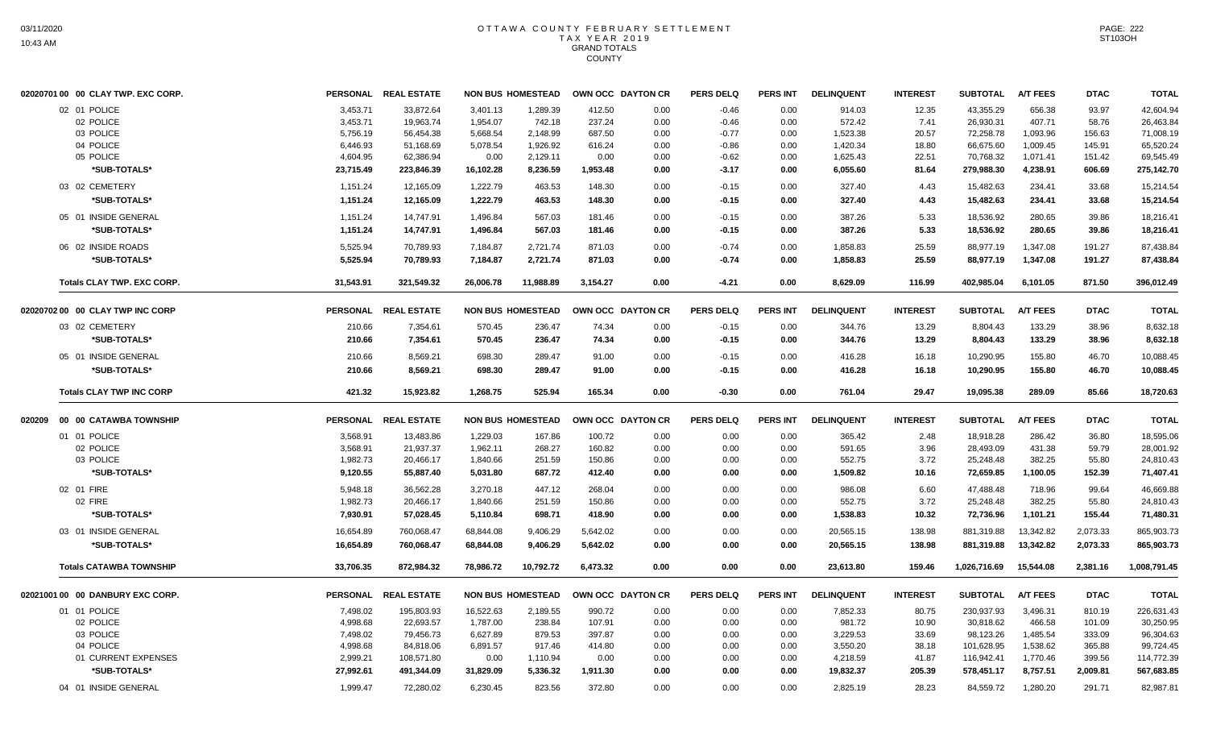| 02020701 00 00 CLAY TWP. EXC CORP. |           | PERSONAL REAL ESTATE |           | <b>NON BUS HOMESTEAD</b> |          | OWN OCC DAYTON CR | <b>PERS DELQ</b> | <b>PERS INT</b> | <b>DELINQUENT</b> | <b>INTEREST</b> | <b>SUBTOTAL</b> | <b>A/T FEES</b> | <b>DTAC</b> | <b>TOTAL</b> |
|------------------------------------|-----------|----------------------|-----------|--------------------------|----------|-------------------|------------------|-----------------|-------------------|-----------------|-----------------|-----------------|-------------|--------------|
| 02 01 POLICE                       | 3,453.71  | 33,872.64            | 3,401.13  | 1,289.39                 | 412.50   | 0.00              | $-0.46$          | 0.00            | 914.03            | 12.35           | 43,355.29       | 656.38          | 93.97       | 42,604.94    |
| 02 POLICE                          | 3,453.71  | 19,963.74            | 1,954.07  | 742.18                   | 237.24   | 0.00              | $-0.46$          | 0.00            | 572.42            | 7.41            | 26,930.31       | 407.71          | 58.76       | 26,463.84    |
| 03 POLICE                          | 5,756.19  | 56,454.38            | 5,668.54  | 2,148.99                 | 687.50   | 0.00              | $-0.77$          | 0.00            | 1,523.38          | 20.57           | 72,258.78       | 1,093.96        | 156.63      | 71,008.19    |
| 04 POLICE                          | 6,446.93  | 51,168.69            | 5,078.54  | 1,926.92                 | 616.24   | 0.00              | $-0.86$          | 0.00            | 1,420.34          | 18.80           | 66,675.60       | 1,009.45        | 145.91      | 65,520.24    |
| 05 POLICE                          | 4,604.95  | 62,386.94            | 0.00      | 2,129.11                 | 0.00     | 0.00              | $-0.62$          | 0.00            | 1,625.43          | 22.51           | 70,768.32       | 1,071.41        | 151.42      | 69,545.49    |
| *SUB-TOTALS*                       | 23,715.49 | 223,846.39           | 16,102.28 | 8,236.59                 | 1,953.48 | 0.00              | $-3.17$          | 0.00            | 6,055.60          | 81.64           | 279,988.30      | 4,238.91        | 606.69      | 275,142.70   |
| 03 02 CEMETERY                     | 1,151.24  | 12,165.09            | 1,222.79  | 463.53                   | 148.30   | 0.00              | $-0.15$          | 0.00            | 327.40            | 4.43            | 15,482.63       | 234.41          | 33.68       | 15.214.54    |
| *SUB-TOTALS*                       | 1,151.24  | 12,165.09            | 1,222.79  | 463.53                   | 148.30   | 0.00              | $-0.15$          | 0.00            | 327.40            | 4.43            | 15,482.63       | 234.41          | 33.68       | 15,214.54    |
| 05 01 INSIDE GENERAL               | 1,151.24  | 14,747.91            | 1,496.84  | 567.03                   | 181.46   | 0.00              | $-0.15$          | 0.00            | 387.26            | 5.33            | 18,536.92       | 280.65          | 39.86       | 18,216.41    |
| *SUB-TOTALS*                       | 1,151.24  | 14,747.91            | 1,496.84  | 567.03                   | 181.46   | 0.00              | $-0.15$          | 0.00            | 387.26            | 5.33            | 18,536.92       | 280.65          | 39.86       | 18,216.41    |
| 06 02 INSIDE ROADS                 | 5,525.94  | 70,789.93            | 7,184.87  | 2,721.74                 | 871.03   | 0.00              | $-0.74$          | 0.00            | 1,858.83          | 25.59           | 88,977.19       | 1,347.08        | 191.27      | 87,438.84    |
| *SUB-TOTALS*                       | 5,525.94  | 70,789.93            | 7,184.87  | 2,721.74                 | 871.03   | 0.00              | $-0.74$          | 0.00            | 1,858.83          | 25.59           | 88,977.19       | 1,347.08        | 191.27      | 87,438.84    |
| Totals CLAY TWP. EXC CORP.         | 31,543.91 | 321,549.32           | 26,006.78 | 11,988.89                | 3,154.27 | 0.00              | $-4.21$          | 0.00            | 8,629.09          | 116.99          | 402,985.04      | 6,101.05        | 871.50      | 396,012.49   |
| 02020702 00 00 CLAY TWP INC CORP   |           | PERSONAL REAL ESTATE |           | <b>NON BUS HOMESTEAD</b> |          | OWN OCC DAYTON CR | <b>PERS DELQ</b> | PERS INT        | <b>DELINQUENT</b> | <b>INTEREST</b> | <b>SUBTOTAL</b> | <b>A/T FEES</b> | <b>DTAC</b> | <b>TOTAL</b> |
| 03 02 CEMETERY                     | 210.66    | 7,354.61             | 570.45    | 236.47                   | 74.34    | 0.00              | $-0.15$          | 0.00            | 344.76            | 13.29           | 8,804.43        | 133.29          | 38.96       | 8,632.18     |
| *SUB-TOTALS*                       | 210.66    | 7,354.61             | 570.45    | 236.47                   | 74.34    | 0.00              | $-0.15$          | 0.00            | 344.76            | 13.29           | 8,804.43        | 133.29          | 38.96       | 8,632.18     |
| 05 01 INSIDE GENERAL               | 210.66    | 8,569.21             | 698.30    | 289.47                   | 91.00    | 0.00              | $-0.15$          | 0.00            | 416.28            | 16.18           | 10,290.95       | 155.80          | 46.70       | 10,088.45    |
| *SUB-TOTALS*                       | 210.66    | 8,569.21             | 698.30    | 289.47                   | 91.00    | 0.00              | $-0.15$          | 0.00            | 416.28            | 16.18           | 10,290.95       | 155.80          | 46.70       | 10,088.45    |
| <b>Totals CLAY TWP INC CORP</b>    | 421.32    | 15,923.82            | 1,268.75  | 525.94                   | 165.34   | 0.00              | $-0.30$          | 0.00            | 761.04            | 29.47           | 19,095.38       | 289.09          | 85.66       | 18,720.63    |
| 020209 00 00 CATAWBA TOWNSHIP      |           | PERSONAL REAL ESTATE |           | <b>NON BUS HOMESTEAD</b> |          | OWN OCC DAYTON CR | <b>PERS DELQ</b> | PERS INT        | <b>DELINQUENT</b> | <b>INTEREST</b> | <b>SUBTOTAL</b> | <b>A/T FEES</b> | <b>DTAC</b> | <b>TOTAL</b> |
| 01 01 POLICE                       | 3,568.91  | 13,483.86            | 1.229.03  | 167.86                   | 100.72   | 0.00              | 0.00             | 0.00            | 365.42            | 2.48            | 18.918.28       | 286.42          | 36.80       | 18,595.06    |
| 02 POLICE                          | 3,568.91  | 21,937.37            | 1,962.11  | 268.27                   | 160.82   | 0.00              | 0.00             | 0.00            | 591.65            | 3.96            | 28,493.09       | 431.38          | 59.79       | 28.001.92    |
| 03 POLICE                          | 1,982.73  | 20,466.17            | 1,840.66  | 251.59                   | 150.86   | 0.00              | 0.00             | 0.00            | 552.75            | 3.72            | 25,248.48       | 382.25          | 55.80       | 24,810.43    |
| *SUB-TOTALS*                       | 9,120.55  | 55,887.40            | 5,031.80  | 687.72                   | 412.40   | 0.00              | 0.00             | 0.00            | 1,509.82          | 10.16           | 72,659.85       | 1,100.05        | 152.39      | 71,407.41    |
| 02 01 FIRE                         | 5,948.18  | 36,562.28            | 3,270.18  | 447.12                   | 268.04   | 0.00              | 0.00             | 0.00            | 986.08            | 6.60            | 47,488.48       | 718.96          | 99.64       | 46,669.88    |
| 02 FIRE                            | 1,982.73  | 20,466.17            | 1.840.66  | 251.59                   | 150.86   | 0.00              | 0.00             | 0.00            | 552.75            | 3.72            | 25.248.48       | 382.25          | 55.80       | 24,810.43    |
| *SUB-TOTALS*                       | 7,930.91  | 57,028.45            | 5,110.84  | 698.71                   | 418.90   | 0.00              | 0.00             | 0.00            | 1,538.83          | 10.32           | 72,736.96       | 1,101.21        | 155.44      | 71,480.31    |
| 03 01 INSIDE GENERAL               | 16,654.89 | 760,068.47           | 68,844.08 | 9,406.29                 | 5,642.02 | 0.00              | 0.00             | 0.00            | 20,565.15         | 138.98          | 881,319.88      | 13,342.82       | 2,073.33    | 865,903.73   |
| *SUB-TOTALS*                       | 16,654.89 | 760,068.47           | 68,844.08 | 9,406.29                 | 5,642.02 | 0.00              | 0.00             | 0.00            | 20,565.15         | 138.98          | 881,319.88      | 13,342.82       | 2,073.33    | 865,903.73   |
| <b>Totals CATAWBA TOWNSHIP</b>     | 33,706.35 | 872,984.32           | 78,986.72 | 10,792.72                | 6,473.32 | 0.00              | 0.00             | 0.00            | 23,613.80         | 159.46          | 1,026,716.69    | 15,544.08       | 2,381.16    | 1,008,791.45 |
| 02021001 00 00 DANBURY EXC CORP.   |           | PERSONAL REAL ESTATE |           | <b>NON BUS HOMESTEAD</b> |          | OWN OCC DAYTON CR | <b>PERS DELQ</b> | <b>PERS INT</b> | <b>DELINQUENT</b> | <b>INTEREST</b> | <b>SUBTOTAL</b> | <b>A/T FEES</b> | <b>DTAC</b> | <b>TOTAL</b> |
| 01 01 POLICE                       | 7,498.02  | 195,803.93           | 16,522.63 | 2,189.55                 | 990.72   | 0.00              | 0.00             | 0.00            | 7,852.33          | 80.75           | 230,937.93      | 3,496.31        | 810.19      | 226,631.43   |
| 02 POLICE                          | 4,998.68  | 22,693.57            | 1,787.00  | 238.84                   | 107.91   | 0.00              | 0.00             | 0.00            | 981.72            | 10.90           | 30,818.62       | 466.58          | 101.09      | 30,250.95    |
| 03 POLICE                          | 7,498.02  | 79,456.73            | 6,627.89  | 879.53                   | 397.87   | 0.00              | 0.00             | 0.00            | 3,229.53          | 33.69           | 98,123.26       | 1,485.54        | 333.09      | 96,304.63    |
| 04 POLICE                          | 4,998.68  | 84,818.06            | 6,891.57  | 917.46                   | 414.80   | 0.00              | 0.00             | 0.00            | 3,550.20          | 38.18           | 101,628.95      | 1,538.62        | 365.88      | 99,724.45    |
| 01 CURRENT EXPENSES                | 2,999.21  | 108,571.80           | 0.00      | 1,110.94                 | 0.00     | 0.00              | 0.00             | 0.00            | 4,218.59          | 41.87           | 116,942.41      | 1,770.46        | 399.56      | 114,772.39   |
| *SUB-TOTALS*                       | 27,992.61 | 491,344.09           | 31,829.09 | 5.336.32                 | 1,911.30 | 0.00              | 0.00             | 0.00            | 19,832.37         | 205.39          | 578,451.17      | 8.757.51        | 2,009.81    | 567,683.85   |
| 04 01 INSIDE GENERAL               | 1,999.47  | 72,280.02            | 6,230.45  | 823.56                   | 372.80   | 0.00              | 0.00             | 0.00            | 2,825.19          | 28.23           | 84,559.72       | 1,280.20        | 291.71      | 82,987.81    |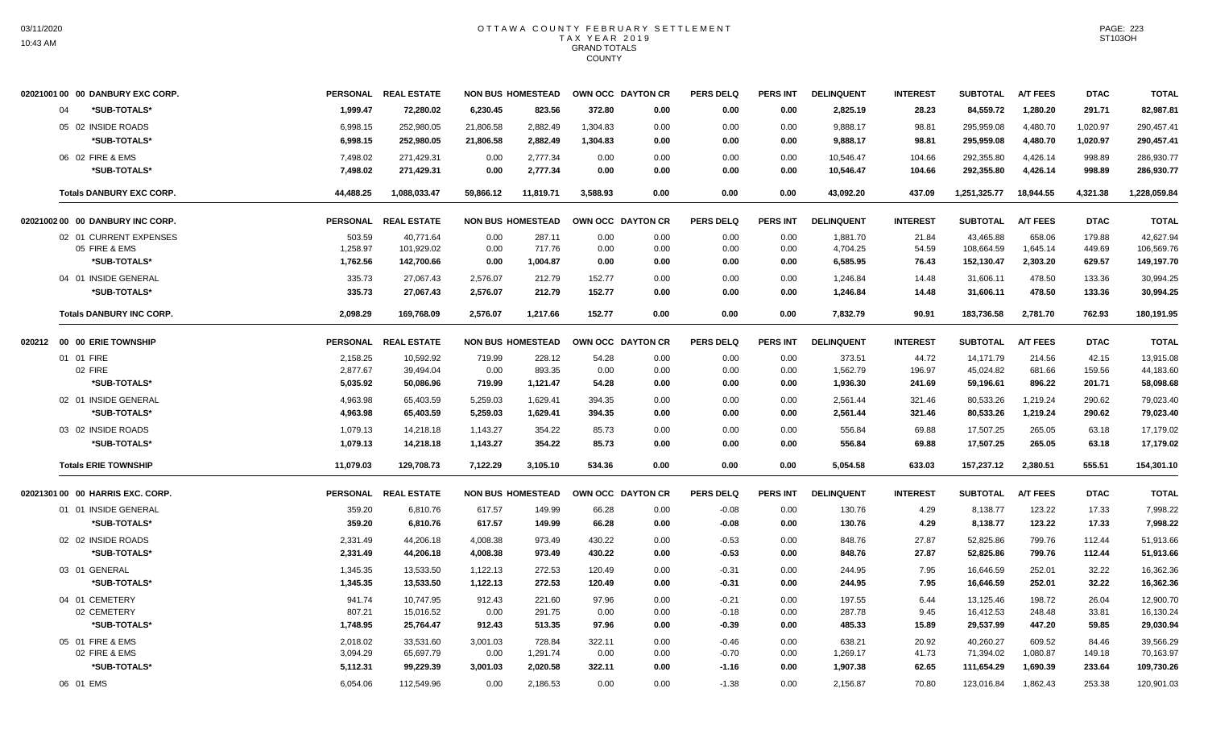| 02021001 00 00 DANBURY EXC CORP. |           | PERSONAL REAL ESTATE |           | <b>NON BUS HOMESTEAD</b> |          | OWN OCC DAYTON CR | <b>PERS DELQ</b> | <b>PERS INT</b> | <b>DELINQUENT</b> | <b>INTEREST</b> | <b>SUBTOTAL</b> | <b>A/T FEES</b> | <b>DTAC</b> | <b>TOTAL</b> |
|----------------------------------|-----------|----------------------|-----------|--------------------------|----------|-------------------|------------------|-----------------|-------------------|-----------------|-----------------|-----------------|-------------|--------------|
| 04<br>*SUB-TOTALS*               | 1.999.47  | 72.280.02            | 6.230.45  | 823.56                   | 372.80   | 0.00              | 0.00             | 0.00            | 2,825.19          | 28.23           | 84.559.72       | 1,280.20        | 291.71      | 82,987.81    |
| 05 02 INSIDE ROADS               | 6,998.15  | 252,980.05           | 21,806.58 | 2,882.49                 | 1,304.83 | 0.00              | 0.00             | 0.00            | 9,888.17          | 98.81           | 295,959.08      | 4,480.70        | 1,020.97    | 290,457.41   |
| *SUB-TOTALS*                     | 6,998.15  | 252,980.05           | 21,806.58 | 2,882.49                 | 1,304.83 | 0.00              | 0.00             | 0.00            | 9,888.17          | 98.81           | 295,959.08      | 4,480.70        | 1,020.97    | 290,457.41   |
| 06 02 FIRE & EMS                 | 7,498.02  | 271,429.31           | 0.00      | 2,777.34                 | 0.00     | 0.00              | 0.00             | 0.00            | 10,546.47         | 104.66          | 292,355.80      | 4,426.14        | 998.89      | 286,930.77   |
| *SUB-TOTALS*                     | 7,498.02  | 271,429.31           | 0.00      | 2,777.34                 | 0.00     | 0.00              | 0.00             | 0.00            | 10,546.47         | 104.66          | 292,355.80      | 4,426.14        | 998.89      | 286,930.77   |
| <b>Totals DANBURY EXC CORP.</b>  | 44,488.25 | 1,088,033.47         | 59,866.12 | 11,819.71                | 3,588.93 | 0.00              | 0.00             | 0.00            | 43,092.20         | 437.09          | 1,251,325.77    | 18,944.55       | 4,321.38    | 1,228,059.84 |
| 02021002 00 00 DANBURY INC CORP. |           | PERSONAL REAL ESTATE |           | <b>NON BUS HOMESTEAD</b> |          | OWN OCC DAYTON CR | <b>PERS DELQ</b> | <b>PERS INT</b> | <b>DELINQUENT</b> | <b>INTEREST</b> | <b>SUBTOTAL</b> | <b>A/T FEES</b> | <b>DTAC</b> | <b>TOTAL</b> |
| 02 01 CURRENT EXPENSES           | 503.59    | 40,771.64            | 0.00      | 287.11                   | 0.00     | 0.00              | 0.00             | 0.00            | 1,881.70          | 21.84           | 43,465.88       | 658.06          | 179.88      | 42,627.94    |
| 05 FIRE & EMS                    | 1,258.97  | 101,929.02           | 0.00      | 717.76                   | 0.00     | 0.00              | 0.00             | 0.00            | 4,704.25          | 54.59           | 108,664.59      | 1,645.14        | 449.69      | 106,569.76   |
| *SUB-TOTALS*                     | 1,762.56  | 142,700.66           | 0.00      | 1,004.87                 | 0.00     | 0.00              | 0.00             | 0.00            | 6,585.95          | 76.43           | 152,130.47      | 2,303.20        | 629.57      | 149,197.70   |
| 04 01 INSIDE GENERAL             | 335.73    | 27.067.43            | 2,576.07  | 212.79                   | 152.77   | 0.00              | 0.00             | 0.00            | 1,246.84          | 14.48           | 31,606.11       | 478.50          | 133.36      | 30,994.25    |
| *SUB-TOTALS*                     | 335.73    | 27,067.43            | 2,576.07  | 212.79                   | 152.77   | 0.00              | 0.00             | 0.00            | 1,246.84          | 14.48           | 31,606.11       | 478.50          | 133.36      | 30,994.25    |
| <b>Totals DANBURY INC CORP.</b>  | 2,098.29  | 169,768.09           | 2,576.07  | 1,217.66                 | 152.77   | 0.00              | 0.00             | 0.00            | 7,832.79          | 90.91           | 183,736.58      | 2,781.70        | 762.93      | 180,191.95   |
| 020212 00 00 ERIE TOWNSHIP       |           | PERSONAL REAL ESTATE |           | <b>NON BUS HOMESTEAD</b> |          | OWN OCC DAYTON CR | <b>PERS DELQ</b> | <b>PERS INT</b> | <b>DELINQUENT</b> | <b>INTEREST</b> | <b>SUBTOTAL</b> | <b>A/T FEES</b> | <b>DTAC</b> | <b>TOTAL</b> |
| 01 01 FIRE                       | 2,158.25  | 10,592.92            | 719.99    | 228.12                   | 54.28    | 0.00              | 0.00             | 0.00            | 373.51            | 44.72           | 14,171.79       | 214.56          | 42.15       | 13,915.08    |
| 02 FIRE                          | 2,877.67  | 39,494.04            | 0.00      | 893.35                   | 0.00     | 0.00              | 0.00             | 0.00            | 1,562.79          | 196.97          | 45,024.82       | 681.66          | 159.56      | 44,183.60    |
| *SUB-TOTALS*                     | 5,035.92  | 50,086.96            | 719.99    | 1,121.47                 | 54.28    | 0.00              | 0.00             | 0.00            | 1,936.30          | 241.69          | 59,196.61       | 896.22          | 201.71      | 58,098.68    |
| 02 01 INSIDE GENERAL             | 4.963.98  | 65.403.59            | 5.259.03  | 1.629.41                 | 394.35   | 0.00              | 0.00             | 0.00            | 2,561.44          | 321.46          | 80,533.26       | 1.219.24        | 290.62      | 79,023.40    |
| *SUB-TOTALS*                     | 4,963.98  | 65,403.59            | 5,259.03  | 1,629.41                 | 394.35   | 0.00              | 0.00             | 0.00            | 2,561.44          | 321.46          | 80,533.26       | 1,219.24        | 290.62      | 79,023.40    |
| 03 02 INSIDE ROADS               | 1,079.13  | 14,218.18            | 1,143.27  | 354.22                   | 85.73    | 0.00              | 0.00             | 0.00            | 556.84            | 69.88           | 17,507.25       | 265.05          | 63.18       | 17,179.02    |
| *SUB-TOTALS*                     | 1,079.13  | 14,218.18            | 1,143.27  | 354.22                   | 85.73    | 0.00              | 0.00             | 0.00            | 556.84            | 69.88           | 17,507.25       | 265.05          | 63.18       | 17,179.02    |
| <b>Totals ERIE TOWNSHIP</b>      | 11,079.03 | 129,708.73           | 7,122.29  | 3,105.10                 | 534.36   | 0.00              | 0.00             | 0.00            | 5,054.58          | 633.03          | 157,237.12      | 2,380.51        | 555.51      | 154,301.10   |
| 02021301 00 00 HARRIS EXC. CORP. |           | PERSONAL REAL ESTATE |           | <b>NON BUS HOMESTEAD</b> |          | OWN OCC DAYTON CR | <b>PERS DELQ</b> | <b>PERS INT</b> | <b>DELINQUENT</b> | <b>INTEREST</b> | <b>SUBTOTAL</b> | <b>A/T FEES</b> | <b>DTAC</b> | <b>TOTAL</b> |
| 01 01 INSIDE GENERAL             | 359.20    | 6,810.76             | 617.57    | 149.99                   | 66.28    | 0.00              | $-0.08$          | 0.00            | 130.76            | 4.29            | 8,138.77        | 123.22          | 17.33       | 7,998.22     |
| *SUB-TOTALS*                     | 359.20    | 6,810.76             | 617.57    | 149.99                   | 66.28    | 0.00              | $-0.08$          | 0.00            | 130.76            | 4.29            | 8,138.77        | 123.22          | 17.33       | 7,998.22     |
| 02 02 INSIDE ROADS               | 2,331.49  | 44,206.18            | 4,008.38  | 973.49                   | 430.22   | 0.00              | $-0.53$          | 0.00            | 848.76            | 27.87           | 52,825.86       | 799.76          | 112.44      | 51,913.66    |
| *SUB-TOTALS*                     | 2,331.49  | 44,206.18            | 4.008.38  | 973.49                   | 430.22   | 0.00              | $-0.53$          | 0.00            | 848.76            | 27.87           | 52.825.86       | 799.76          | 112.44      | 51,913.66    |
| 03 01 GENERAL                    | 1,345.35  | 13,533.50            | 1,122.13  | 272.53                   | 120.49   | 0.00              | $-0.31$          | 0.00            | 244.95            | 7.95            | 16,646.59       | 252.01          | 32.22       | 16,362.36    |
| *SUB-TOTALS*                     | 1,345.35  | 13,533.50            | 1,122.13  | 272.53                   | 120.49   | 0.00              | $-0.31$          | 0.00            | 244.95            | 7.95            | 16,646.59       | 252.01          | 32.22       | 16,362.36    |
| 04 01 CEMETERY                   | 941.74    | 10.747.95            | 912.43    | 221.60                   | 97.96    | 0.00              | $-0.21$          | 0.00            | 197.55            | 6.44            | 13,125.46       | 198.72          | 26.04       | 12,900.70    |
| 02 CEMETERY                      | 807.21    | 15,016.52            | 0.00      | 291.75                   | 0.00     | 0.00              | $-0.18$          | 0.00            | 287.78            | 9.45            | 16,412.53       | 248.48          | 33.81       | 16,130.24    |
| *SUB-TOTALS*                     | 1,748.95  | 25,764.47            | 912.43    | 513.35                   | 97.96    | 0.00              | $-0.39$          | 0.00            | 485.33            | 15.89           | 29,537.99       | 447.20          | 59.85       | 29,030.94    |
| 05 01 FIRE & EMS                 | 2,018.02  | 33,531.60            | 3,001.03  | 728.84                   | 322.11   | 0.00              | $-0.46$          | 0.00            | 638.21            | 20.92           | 40,260.27       | 609.52          | 84.46       | 39,566.29    |
| 02 FIRE & EMS                    | 3,094.29  | 65,697.79            | 0.00      | 1,291.74                 | 0.00     | 0.00              | $-0.70$          | 0.00            | 1,269.17          | 41.73           | 71,394.02       | 1,080.87        | 149.18      | 70,163.97    |
| *SUB-TOTALS*                     | 5,112.31  | 99,229.39            | 3,001.03  | 2,020.58                 | 322.11   | 0.00              | $-1.16$          | 0.00            | 1,907.38          | 62.65           | 111,654.29      | 1,690.39        | 233.64      | 109,730.26   |
| 06 01 EMS                        | 6,054.06  | 112,549.96           | 0.00      | 2,186.53                 | 0.00     | 0.00              | $-1.38$          | 0.00            | 2,156.87          | 70.80           | 123,016.84      | 1,862.43        | 253.38      | 120,901.03   |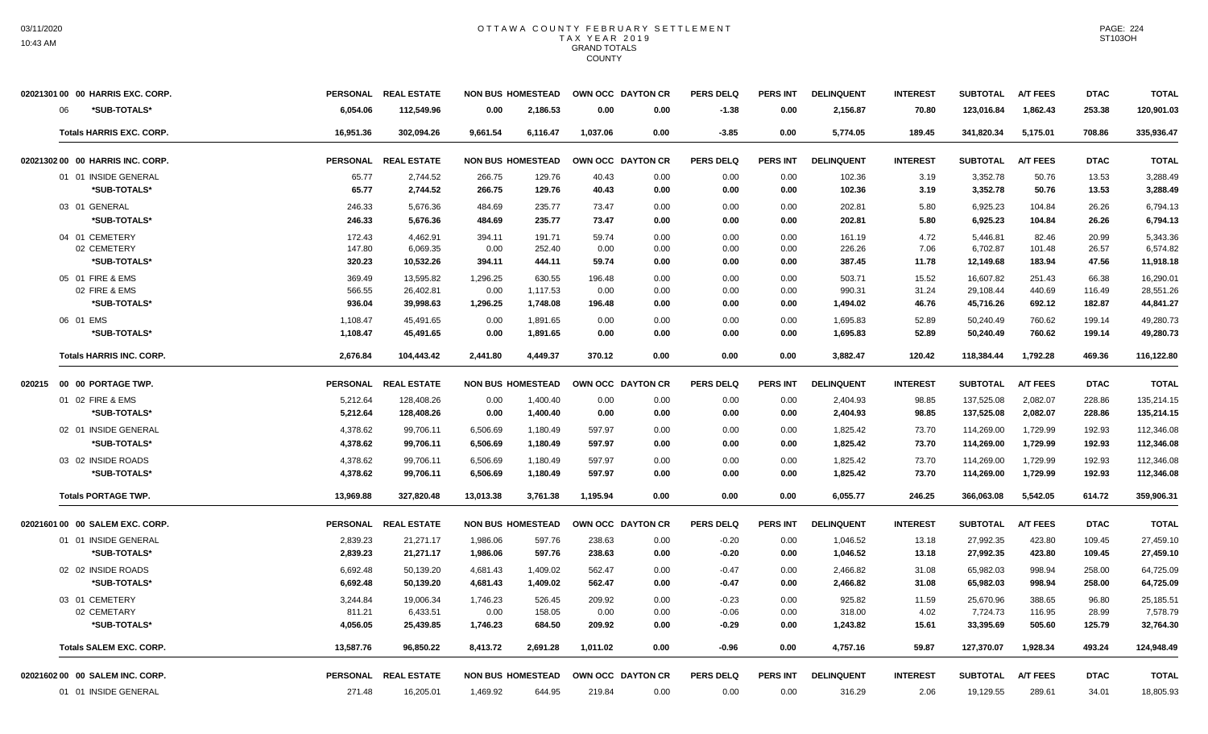|    | 02021301 00 00 HARRIS EXC. CORP. | <b>PERSONAL</b> | <b>REAL ESTATE</b>   |                          | <b>NON BUS HOMESTEAD</b> | OWN OCC DAYTON CR |      | <b>PERS DELQ</b> | PERS INT        | <b>DELINQUENT</b> | <b>INTEREST</b> | <b>SUBTOTAL</b> | <b>A/T FEES</b> | <b>DTAC</b> | <b>TOTAL</b> |
|----|----------------------------------|-----------------|----------------------|--------------------------|--------------------------|-------------------|------|------------------|-----------------|-------------------|-----------------|-----------------|-----------------|-------------|--------------|
| 06 | *SUB-TOTALS*                     | 6,054.06        | 112,549.96           | 0.00                     | 2,186.53                 | 0.00              | 0.00 | $-1.38$          | 0.00            | 2,156.87          | 70.80           | 123,016.84      | 1,862.43        | 253.38      | 120,901.03   |
|    | <b>Totals HARRIS EXC. CORP.</b>  | 16.951.36       | 302.094.26           | 9.661.54                 | 6.116.47                 | 1.037.06          | 0.00 | $-3.85$          | 0.00            | 5.774.05          | 189.45          | 341.820.34      | 5,175.01        | 708.86      | 335,936.47   |
|    | 02021302 00 00 HARRIS INC. CORP. | <b>PERSONAL</b> | <b>REAL ESTATE</b>   | <b>NON BUS HOMESTEAD</b> |                          | OWN OCC DAYTON CR |      | <b>PERS DELQ</b> | <b>PERS INT</b> | <b>DELINQUENT</b> | <b>INTEREST</b> | <b>SUBTOTAL</b> | <b>A/T FEES</b> | <b>DTAC</b> | <b>TOTAL</b> |
|    | 01 01 INSIDE GENERAL             | 65.77           | 2,744.52             | 266.75                   | 129.76                   | 40.43             | 0.00 | 0.00             | 0.00            | 102.36            | 3.19            | 3,352.78        | 50.76           | 13.53       | 3,288.49     |
|    | *SUB-TOTALS*                     | 65.77           | 2,744.52             | 266.75                   | 129.76                   | 40.43             | 0.00 | 0.00             | 0.00            | 102.36            | 3.19            | 3,352.78        | 50.76           | 13.53       | 3,288.49     |
|    | 03 01 GENERAL                    | 246.33          | 5,676.36             | 484.69                   | 235.77                   | 73.47             | 0.00 | 0.00             | 0.00            | 202.81            | 5.80            | 6,925.23        | 104.84          | 26.26       | 6,794.13     |
|    | *SUB-TOTALS*                     | 246.33          | 5,676.36             | 484.69                   | 235.77                   | 73.47             | 0.00 | 0.00             | 0.00            | 202.81            | 5.80            | 6,925.23        | 104.84          | 26.26       | 6,794.13     |
|    | 04 01 CEMETERY                   | 172.43          | 4,462.91             | 394.11                   | 191.71                   | 59.74             | 0.00 | 0.00             | 0.00            | 161.19            | 4.72            | 5,446.81        | 82.46           | 20.99       | 5,343.36     |
|    | 02 CEMETERY                      | 147.80          | 6.069.35             | 0.00                     | 252.40                   | 0.00              | 0.00 | 0.00             | 0.00            | 226.26            | 7.06            | 6,702.87        | 101.48          | 26.57       | 6,574.82     |
|    | *SUB-TOTALS*                     | 320.23          | 10,532.26            | 394.11                   | 444.11                   | 59.74             | 0.00 | 0.00             | 0.00            | 387.45            | 11.78           | 12,149.68       | 183.94          | 47.56       | 11,918.18    |
|    | 05 01 FIRE & EMS                 | 369.49          | 13,595.82            | 1,296.25                 | 630.55                   | 196.48            | 0.00 | 0.00             | 0.00            | 503.71            | 15.52           | 16,607.82       | 251.43          | 66.38       | 16,290.01    |
|    | 02 FIRE & EMS                    | 566.55          | 26,402.81            | 0.00                     | 1,117.53                 | 0.00              | 0.00 | 0.00             | 0.00            | 990.31            | 31.24           | 29,108.44       | 440.69          | 116.49      | 28,551.26    |
|    | *SUB-TOTALS*                     | 936.04          | 39,998.63            | 1,296.25                 | 1,748.08                 | 196.48            | 0.00 | 0.00             | 0.00            | 1,494.02          | 46.76           | 45,716.26       | 692.12          | 182.87      | 44,841.27    |
|    | 06 01 EMS                        | 1,108.47        | 45,491.65            | 0.00                     | 1,891.65                 | 0.00              | 0.00 | 0.00             | 0.00            | 1,695.83          | 52.89           | 50,240.49       | 760.62          | 199.14      | 49,280.73    |
|    | *SUB-TOTALS*                     | 1,108.47        | 45,491.65            | 0.00                     | 1,891.65                 | 0.00              | 0.00 | 0.00             | 0.00            | 1,695.83          | 52.89           | 50,240.49       | 760.62          | 199.14      | 49,280.73    |
|    | <b>Totals HARRIS INC. CORP.</b>  | 2.676.84        | 104.443.42           | 2.441.80                 | 4.449.37                 | 370.12            | 0.00 | 0.00             | 0.00            | 3.882.47          | 120.42          | 118.384.44      | 1.792.28        | 469.36      | 116,122.80   |
|    | 020215 00 00 PORTAGE TWP.        | <b>PERSONAL</b> | <b>REAL ESTATE</b>   |                          | <b>NON BUS HOMESTEAD</b> | OWN OCC DAYTON CR |      | <b>PERS DELQ</b> | PERS INT        | <b>DELINQUENT</b> | <b>INTEREST</b> | <b>SUBTOTAL</b> | <b>A/T FEES</b> | <b>DTAC</b> | <b>TOTAL</b> |
|    | 01 02 FIRE & EMS                 | 5,212.64        | 128,408.26           | 0.00                     | 1,400.40                 | 0.00              | 0.00 | 0.00             | 0.00            | 2,404.93          | 98.85           | 137,525.08      | 2,082.07        | 228.86      | 135,214.15   |
|    | *SUB-TOTALS*                     | 5,212.64        | 128,408.26           | 0.00                     | 1,400.40                 | 0.00              | 0.00 | 0.00             | 0.00            | 2,404.93          | 98.85           | 137,525.08      | 2,082.07        | 228.86      | 135,214.15   |
|    | 02 01 INSIDE GENERAL             | 4,378.62        | 99,706.11            | 6,506.69                 | 1,180.49                 | 597.97            | 0.00 | 0.00             | 0.00            | 1,825.42          | 73.70           | 114,269.00      | 1,729.99        | 192.93      | 112,346.08   |
|    | *SUB-TOTALS*                     | 4,378.62        | 99,706.11            | 6,506.69                 | 1,180.49                 | 597.97            | 0.00 | 0.00             | 0.00            | 1,825.42          | 73.70           | 114,269.00      | 1,729.99        | 192.93      | 112,346.08   |
|    | 03 02 INSIDE ROADS               | 4,378.62        | 99,706.11            | 6,506.69                 | 1,180.49                 | 597.97            | 0.00 | 0.00             | 0.00            | 1,825.42          | 73.70           | 114,269.00      | 1,729.99        | 192.93      | 112,346.08   |
|    | *SUB-TOTALS*                     | 4,378.62        | 99,706.11            | 6,506.69                 | 1,180.49                 | 597.97            | 0.00 | 0.00             | 0.00            | 1,825.42          | 73.70           | 114,269.00      | 1,729.99        | 192.93      | 112,346.08   |
|    | <b>Totals PORTAGE TWP.</b>       | 13,969.88       | 327,820.48           | 13,013.38                | 3,761.38                 | 1,195.94          | 0.00 | 0.00             | 0.00            | 6,055.77          | 246.25          | 366,063.08      | 5,542.05        | 614.72      | 359,906.31   |
|    | 02021601 00 00 SALEM EXC. CORP.  |                 | PERSONAL REAL ESTATE | <b>NON BUS HOMESTEAD</b> |                          | OWN OCC DAYTON CR |      | <b>PERS DELQ</b> | PERS INT        | <b>DELINQUENT</b> | <b>INTEREST</b> | <b>SUBTOTAL</b> | <b>A/T FEES</b> | <b>DTAC</b> | <b>TOTAL</b> |
|    | 01 01 INSIDE GENERAL             | 2,839.23        | 21,271.17            | 1,986.06                 | 597.76                   | 238.63            | 0.00 | $-0.20$          | 0.00            | 1,046.52          | 13.18           | 27,992.35       | 423.80          | 109.45      | 27,459.10    |
|    | *SUB-TOTALS*                     | 2,839.23        | 21,271.17            | 1,986.06                 | 597.76                   | 238.63            | 0.00 | $-0.20$          | 0.00            | 1,046.52          | 13.18           | 27,992.35       | 423.80          | 109.45      | 27,459.10    |
|    | 02 02 INSIDE ROADS               | 6,692.48        | 50,139.20            | 4,681.43                 | 1,409.02                 | 562.47            | 0.00 | $-0.47$          | 0.00            | 2,466.82          | 31.08           | 65,982.03       | 998.94          | 258.00      | 64,725.09    |
|    | *SUB-TOTALS*                     | 6,692.48        | 50,139.20            | 4,681.43                 | 1,409.02                 | 562.47            | 0.00 | $-0.47$          | 0.00            | 2,466.82          | 31.08           | 65,982.03       | 998.94          | 258.00      | 64,725.09    |
|    | 03 01 CEMETERY                   | 3,244.84        | 19,006.34            | 1,746.23                 | 526.45                   | 209.92            | 0.00 | $-0.23$          | 0.00            | 925.82            | 11.59           | 25,670.96       | 388.65          | 96.80       | 25,185.51    |
|    | 02 CEMETARY                      | 811.21          | 6,433.51             | 0.00                     | 158.05                   | 0.00              | 0.00 | $-0.06$          | 0.00            | 318.00            | 4.02            | 7,724.73        | 116.95          | 28.99       | 7,578.79     |
|    | *SUB-TOTALS*                     | 4,056.05        | 25,439.85            | 1,746.23                 | 684.50                   | 209.92            | 0.00 | $-0.29$          | 0.00            | 1,243.82          | 15.61           | 33,395.69       | 505.60          | 125.79      | 32,764.30    |
|    | <b>Totals SALEM EXC. CORP.</b>   | 13,587.76       | 96,850.22            | 8,413.72                 | 2,691.28                 | 1.011.02          | 0.00 | $-0.96$          | 0.00            | 4,757.16          | 59.87           | 127,370.07      | 1.928.34        | 493.24      | 124,948.49   |
|    | 02021602 00 00 SALEM INC. CORP.  |                 | PERSONAL REAL ESTATE | <b>NON BUS HOMESTEAD</b> |                          | OWN OCC DAYTON CR |      | PERS DELO        | <b>PERS INT</b> | <b>DELINQUENT</b> | <b>INTEREST</b> | <b>SUBTOTAL</b> | <b>A/T FEES</b> | <b>DTAC</b> | <b>TOTAL</b> |
|    | 01 01 INSIDE GENERAL             | 271.48          | 16,205.01            | 1.469.92                 | 644.95                   | 219.84            | 0.00 | 0.00             | 0.00            | 316.29            | 2.06            | 19.129.55       | 289.61          | 34.01       | 18,805.93    |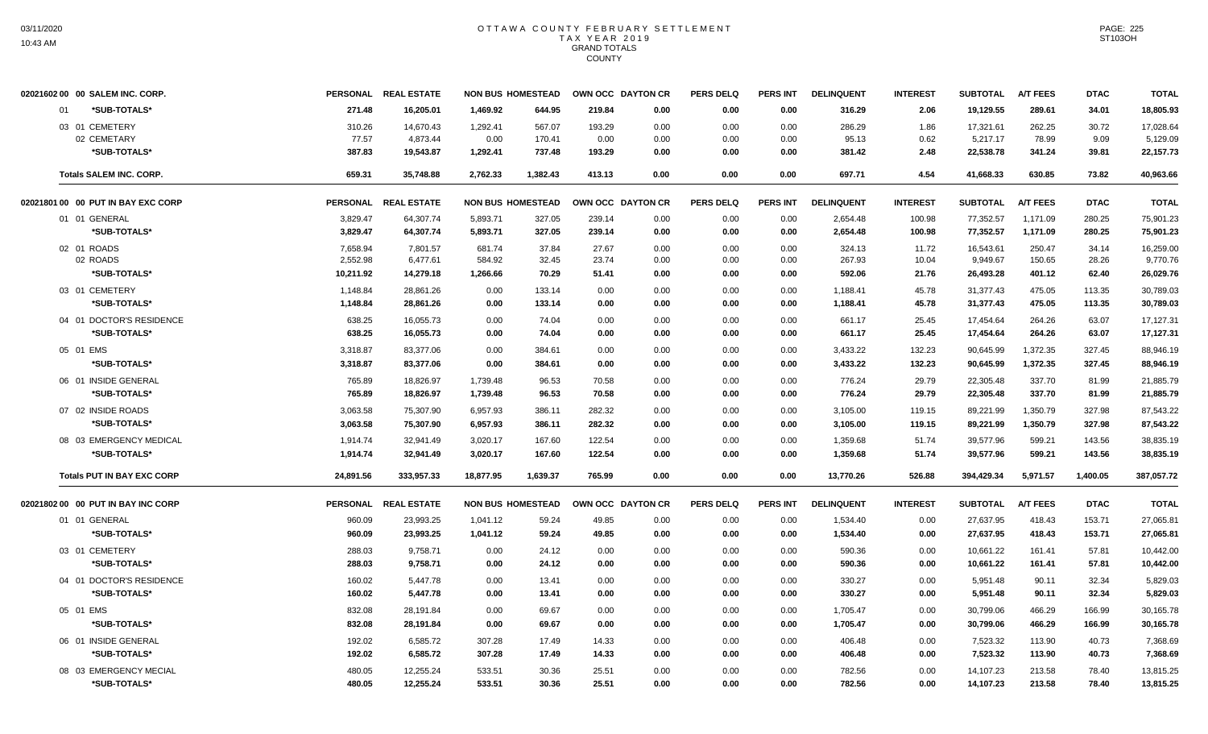| 02021602 00 00 SALEM INC. CORP.    |                 | PERSONAL REAL ESTATE  | <b>NON BUS HOMESTEAD</b> |                  |                | OWN OCC DAYTON CR | <b>PERS DELQ</b> | <b>PERS INT</b> | <b>DELINQUENT</b> | <b>INTEREST</b> | <b>SUBTOTAL</b>       | <b>A/T FEES</b> | <b>DTAC</b>   | <b>TOTAL</b>          |
|------------------------------------|-----------------|-----------------------|--------------------------|------------------|----------------|-------------------|------------------|-----------------|-------------------|-----------------|-----------------------|-----------------|---------------|-----------------------|
| *SUB-TOTALS*<br>01                 | 271.48          | 16,205.01             | 1,469.92                 | 644.95           | 219.84         | 0.00              | 0.00             | 0.00            | 316.29            | 2.06            | 19,129.55             | 289.61          | 34.01         | 18,805.93             |
| 03 01 CEMETERY                     | 310.26          | 14,670.43             | 1,292.41                 | 567.07           | 193.29         | 0.00              | 0.00             | 0.00            | 286.29            | 1.86            | 17,321.61             | 262.25          | 30.72         | 17,028.64             |
| 02 CEMETARY<br>*SUB-TOTALS*        | 77.57<br>387.83 | 4,873.44<br>19,543.87 | 0.00<br>1,292.41         | 170.41<br>737.48 | 0.00<br>193.29 | 0.00<br>0.00      | 0.00<br>0.00     | 0.00<br>0.00    | 95.13<br>381.42   | 0.62<br>2.48    | 5,217.17<br>22,538.78 | 78.99<br>341.24 | 9.09<br>39.81 | 5,129.09<br>22,157.73 |
|                                    |                 |                       |                          |                  |                |                   |                  |                 |                   |                 |                       |                 |               |                       |
| <b>Totals SALEM INC. CORP.</b>     | 659.31          | 35,748.88             | 2,762.33                 | 1,382.43         | 413.13         | 0.00              | 0.00             | 0.00            | 697.71            | 4.54            | 41,668.33             | 630.85          | 73.82         | 40,963.66             |
| 02021801 00 00 PUT IN BAY EXC CORP |                 | PERSONAL REAL ESTATE  | <b>NON BUS HOMESTEAD</b> |                  |                | OWN OCC DAYTON CR | <b>PERS DELQ</b> | <b>PERS INT</b> | <b>DELINQUENT</b> | <b>INTEREST</b> | <b>SUBTOTAL</b>       | <b>A/T FEES</b> | <b>DTAC</b>   | <b>TOTAL</b>          |
| 01 01 GENERAL                      | 3,829.47        | 64,307.74             | 5,893.71                 | 327.05           | 239.14         | 0.00              | 0.00             | 0.00            | 2,654.48          | 100.98          | 77,352.57             | 1,171.09        | 280.25        | 75,901.23             |
| *SUB-TOTALS*                       | 3,829.47        | 64,307.74             | 5,893.71                 | 327.05           | 239.14         | 0.00              | 0.00             | 0.00            | 2,654.48          | 100.98          | 77,352.57             | 1,171.09        | 280.25        | 75,901.23             |
| 02 01 ROADS                        | 7,658.94        | 7,801.57              | 681.74                   | 37.84            | 27.67          | 0.00              | 0.00             | 0.00            | 324.13            | 11.72           | 16,543.61             | 250.47          | 34.14         | 16,259.00             |
| 02 ROADS                           | 2,552.98        | 6,477.61              | 584.92                   | 32.45            | 23.74          | 0.00              | 0.00             | 0.00            | 267.93            | 10.04           | 9,949.67              | 150.65          | 28.26         | 9,770.76              |
| *SUB-TOTALS*                       | 10,211.92       | 14,279.18             | 1,266.66                 | 70.29            | 51.41          | 0.00              | 0.00             | 0.00            | 592.06            | 21.76           | 26,493.28             | 401.12          | 62.40         | 26,029.76             |
| 03 01 CEMETERY                     | 1,148.84        | 28,861.26             | 0.00                     | 133.14           | 0.00           | 0.00              | 0.00             | 0.00            | 1,188.41          | 45.78           | 31,377.43             | 475.05          | 113.35        | 30,789.03             |
| *SUB-TOTALS*                       | 1,148.84        | 28,861.26             | 0.00                     | 133.14           | 0.00           | 0.00              | 0.00             | 0.00            | 1,188.41          | 45.78           | 31,377.43             | 475.05          | 113.35        | 30,789.03             |
| 04 01 DOCTOR'S RESIDENCE           | 638.25          | 16,055.73             | 0.00                     | 74.04            | 0.00           | 0.00              | 0.00             | 0.00            | 661.17            | 25.45           | 17,454.64             | 264.26          | 63.07         | 17,127.31             |
| *SUB-TOTALS*                       | 638.25          | 16,055.73             | 0.00                     | 74.04            | 0.00           | 0.00              | 0.00             | 0.00            | 661.17            | 25.45           | 17,454.64             | 264.26          | 63.07         | 17,127.31             |
| 05 01 EMS                          | 3,318.87        | 83,377.06             | 0.00                     | 384.61           | 0.00           | 0.00              | 0.00             | 0.00            | 3,433.22          | 132.23          | 90,645.99             | 1,372.35        | 327.45        | 88,946.19             |
| *SUB-TOTALS*                       | 3,318.87        | 83,377.06             | 0.00                     | 384.61           | 0.00           | 0.00              | 0.00             | 0.00            | 3,433.22          | 132.23          | 90,645.99             | 1,372.35        | 327.45        | 88,946.19             |
| 06 01 INSIDE GENERAL               | 765.89          | 18,826.97             | 1,739.48                 | 96.53            | 70.58          | 0.00              | 0.00             | 0.00            | 776.24            | 29.79           | 22,305.48             | 337.70          | 81.99         | 21,885.79             |
| *SUB-TOTALS*                       | 765.89          | 18,826.97             | 1,739.48                 | 96.53            | 70.58          | 0.00              | 0.00             | 0.00            | 776.24            | 29.79           | 22,305.48             | 337.70          | 81.99         | 21,885.79             |
| 07 02 INSIDE ROADS                 | 3,063.58        | 75,307.90             | 6,957.93                 | 386.11           | 282.32         | 0.00              | 0.00             | 0.00            | 3,105.00          | 119.15          | 89,221.99             | 1,350.79        | 327.98        | 87,543.22             |
| *SUB-TOTALS*                       | 3,063.58        | 75,307.90             | 6,957.93                 | 386.11           | 282.32         | 0.00              | 0.00             | 0.00            | 3,105.00          | 119.15          | 89,221.99             | 1,350.79        | 327.98        | 87,543.22             |
| 08 03 EMERGENCY MEDICAL            | 1,914.74        | 32,941.49             | 3,020.17                 | 167.60           | 122.54         | 0.00              | 0.00             | 0.00            | 1,359.68          | 51.74           | 39,577.96             | 599.21          | 143.56        | 38,835.19             |
| *SUB-TOTALS*                       | 1.914.74        | 32.941.49             | 3.020.17                 | 167.60           | 122.54         | 0.00              | 0.00             | 0.00            | 1,359.68          | 51.74           | 39,577.96             | 599.21          | 143.56        | 38.835.19             |
| <b>Totals PUT IN BAY EXC CORP</b>  | 24,891.56       | 333,957.33            | 18,877.95                | 1,639.37         | 765.99         | 0.00              | 0.00             | 0.00            | 13,770.26         | 526.88          | 394,429.34            | 5,971.57        | 1,400.05      | 387,057.72            |
| 02021802 00 00 PUT IN BAY INC CORP |                 | PERSONAL REAL ESTATE  | <b>NON BUS HOMESTEAD</b> |                  |                | OWN OCC DAYTON CR | <b>PERS DELQ</b> | <b>PERS INT</b> | <b>DELINQUENT</b> | <b>INTEREST</b> | <b>SUBTOTAL</b>       | <b>A/T FEES</b> | <b>DTAC</b>   | <b>TOTAL</b>          |
| 01 01 GENERAL                      | 960.09          | 23,993.25             | 1,041.12                 | 59.24            | 49.85          | 0.00              | 0.00             | 0.00            | 1,534.40          | 0.00            | 27,637.95             | 418.43          | 153.71        | 27,065.81             |
| *SUB-TOTALS*                       | 960.09          | 23.993.25             | 1,041.12                 | 59.24            | 49.85          | 0.00              | 0.00             | 0.00            | 1,534.40          | 0.00            | 27,637.95             | 418.43          | 153.71        | 27,065.81             |
| 03 01 CEMETERY                     | 288.03          | 9,758.71              | 0.00                     | 24.12            | 0.00           | 0.00              | 0.00             | 0.00            | 590.36            | 0.00            | 10,661.22             | 161.41          | 57.81         | 10,442.00             |
| *SUB-TOTALS*                       | 288.03          | 9,758.71              | 0.00                     | 24.12            | 0.00           | 0.00              | 0.00             | 0.00            | 590.36            | 0.00            | 10,661.22             | 161.41          | 57.81         | 10,442.00             |
| 04 01 DOCTOR'S RESIDENCE           | 160.02          | 5,447.78              | 0.00                     | 13.41            | 0.00           | 0.00              | 0.00             | 0.00            | 330.27            | 0.00            | 5,951.48              | 90.11           | 32.34         | 5,829.03              |
| *SUB-TOTALS*                       | 160.02          | 5.447.78              | 0.00                     | 13.41            | 0.00           | 0.00              | 0.00             | 0.00            | 330.27            | 0.00            | 5.951.48              | 90.11           | 32.34         | 5.829.03              |
| 05 01 EMS                          | 832.08          | 28,191.84             | 0.00                     | 69.67            | 0.00           | 0.00              | 0.00             | 0.00            | 1,705.47          | 0.00            | 30,799.06             | 466.29          | 166.99        | 30,165.78             |
| *SUB-TOTALS*                       | 832.08          | 28,191.84             | 0.00                     | 69.67            | 0.00           | 0.00              | 0.00             | 0.00            | 1,705.47          | 0.00            | 30,799.06             | 466.29          | 166.99        | 30,165.78             |
| 06 01 INSIDE GENERAL               | 192.02          | 6,585.72              | 307.28                   | 17.49            | 14.33          | 0.00              | 0.00             | 0.00            | 406.48            | 0.00            | 7,523.32              | 113.90          | 40.73         | 7,368.69              |
| *SUB-TOTALS*                       | 192.02          | 6,585.72              | 307.28                   | 17.49            | 14.33          | 0.00              | 0.00             | 0.00            | 406.48            | 0.00            | 7,523.32              | 113.90          | 40.73         | 7,368.69              |
| 08 03 EMERGENCY MECIAL             | 480.05          | 12,255.24             | 533.51                   | 30.36            | 25.51          | 0.00              | 0.00             | 0.00            | 782.56            | 0.00            | 14,107.23             | 213.58          | 78.40         | 13,815.25             |
| *SUB-TOTALS*                       | 480.05          | 12,255.24             | 533.51                   | 30.36            | 25.51          | 0.00              | 0.00             | 0.00            | 782.56            | 0.00            | 14,107.23             | 213.58          | 78.40         | 13,815.25             |
|                                    |                 |                       |                          |                  |                |                   |                  |                 |                   |                 |                       |                 |               |                       |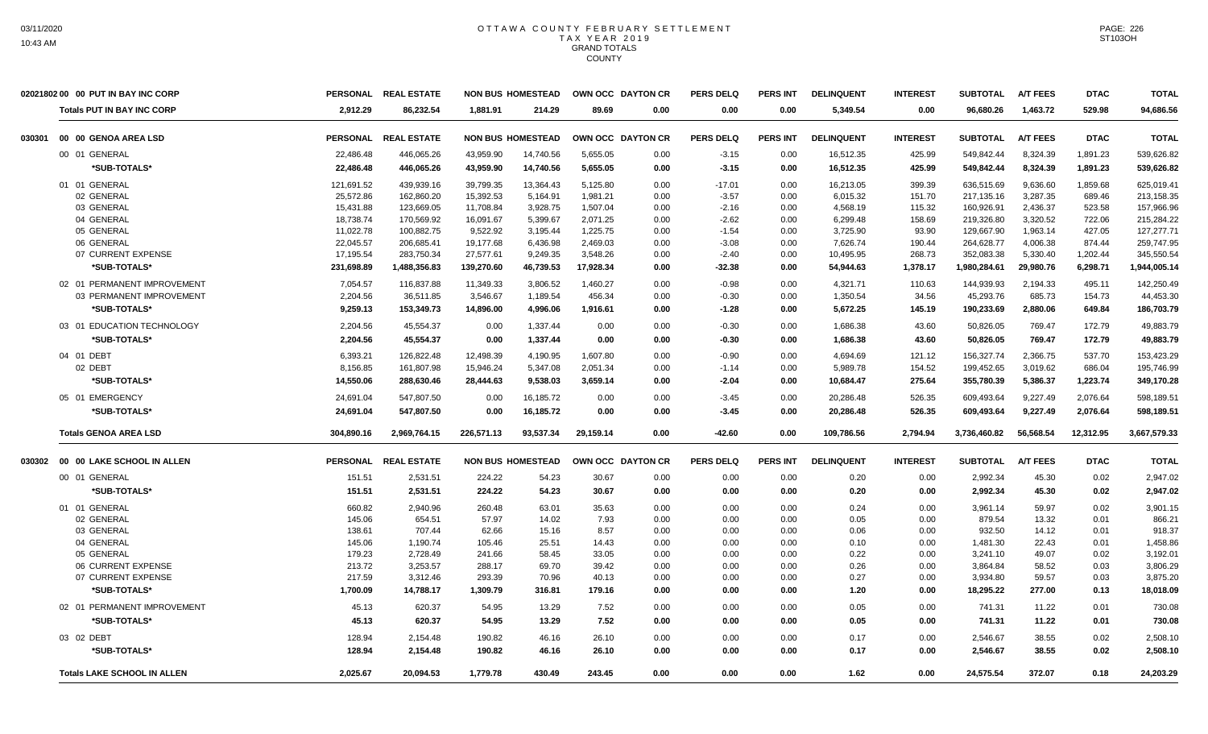|        | 02021802 00 00 PUT IN BAY INC CORP |                 | PERSONAL REAL ESTATE |            | <b>NON BUS HOMESTEAD</b> | OWN OCC DAYTON CR |      | <b>PERS DELQ</b> | <b>PERS INT</b> | <b>DELINQUENT</b> | <b>INTEREST</b> | <b>SUBTOTAL</b> | A/T FEES        | <b>DTAC</b> | <b>TOTAL</b> |
|--------|------------------------------------|-----------------|----------------------|------------|--------------------------|-------------------|------|------------------|-----------------|-------------------|-----------------|-----------------|-----------------|-------------|--------------|
|        | <b>Totals PUT IN BAY INC CORP</b>  | 2.912.29        | 86,232.54            | 1.881.91   | 214.29                   | 89.69             | 0.00 | 0.00             | 0.00            | 5,349.54          | 0.00            | 96,680.26       | 1.463.72        | 529.98      | 94,686.56    |
| 030301 | 00 00 GENOA AREA LSD               |                 | PERSONAL REAL ESTATE |            | <b>NON BUS HOMESTEAD</b> | OWN OCC DAYTON CR |      | <b>PERS DELQ</b> | PERS INT        | <b>DELINQUENT</b> | <b>INTEREST</b> | <b>SUBTOTAL</b> | <b>A/T FEES</b> | <b>DTAC</b> | <b>TOTAL</b> |
|        | 00 01 GENERAL                      | 22,486.48       | 446,065.26           | 43,959.90  | 14,740.56                | 5,655.05          | 0.00 | $-3.15$          | 0.00            | 16,512.35         | 425.99          | 549,842.44      | 8,324.39        | 1,891.23    | 539,626.82   |
|        | *SUB-TOTALS*                       | 22,486.48       | 446,065.26           | 43,959.90  | 14,740.56                | 5,655.05          | 0.00 | $-3.15$          | 0.00            | 16,512.35         | 425.99          | 549,842.44      | 8,324.39        | 1,891.23    | 539,626.82   |
|        | 01 01 GENERAL                      | 121,691.52      | 439,939.16           | 39,799.35  | 13,364.43                | 5,125.80          | 0.00 | $-17.01$         | 0.00            | 16,213.05         | 399.39          | 636.515.69      | 9.636.60        | 1,859.68    | 625,019.41   |
|        | 02 GENERAL                         | 25,572.86       | 162,860.20           | 15,392.53  | 5,164.91                 | 1,981.21          | 0.00 | $-3.57$          | 0.00            | 6,015.32          | 151.70          | 217,135.16      | 3,287.35        | 689.46      | 213,158.35   |
|        | 03 GENERAL                         | 15,431.88       | 123,669.05           | 11,708.84  | 3,928.75                 | 1,507.04          | 0.00 | $-2.16$          | 0.00            | 4,568.19          | 115.32          | 160.926.91      | 2.436.37        | 523.58      | 157,966.96   |
|        | 04 GENERAL                         | 18,738.74       | 170,569.92           | 16,091.67  | 5,399.67                 | 2,071.25          | 0.00 | $-2.62$          | 0.00            | 6,299.48          | 158.69          | 219,326.80      | 3,320.52        | 722.06      | 215,284.22   |
|        | 05 GENERAL                         | 11,022.78       | 100,882.75           | 9,522.92   | 3,195.44                 | 1,225.75          | 0.00 | $-1.54$          | 0.00            | 3,725.90          | 93.90           | 129,667.90      | 1,963.14        | 427.05      | 127,277.71   |
|        | 06 GENERAL                         | 22,045.57       | 206,685.41           | 19,177.68  | 6,436.98                 | 2,469.03          | 0.00 | $-3.08$          | 0.00            | 7,626.74          | 190.44          | 264,628.77      | 4,006.38        | 874.44      | 259,747.95   |
|        | 07 CURRENT EXPENSE                 | 17,195.54       | 283,750.34           | 27,577.61  | 9,249.35                 | 3,548.26          | 0.00 | $-2.40$          | 0.00            | 10,495.95         | 268.73          | 352,083.38      | 5,330.40        | 1,202.44    | 345,550.54   |
|        | *SUB-TOTALS*                       | 231,698.89      | 1,488,356.83         | 139,270.60 | 46,739.53                | 17.928.34         | 0.00 | $-32.38$         | 0.00            | 54,944.63         | 1,378.17        | 1,980,284.61    | 29.980.76       | 6,298.71    | 1,944,005.14 |
|        | 02 01 PERMANENT IMPROVEMENT        | 7,054.57        | 116,837.88           | 11.349.33  | 3,806.52                 | 1,460.27          | 0.00 | $-0.98$          | 0.00            | 4,321.71          | 110.63          | 144,939.93      | 2,194.33        | 495.11      | 142.250.49   |
|        | 03 PERMANENT IMPROVEMENT           | 2,204.56        | 36,511.85            | 3,546.67   | 1,189.54                 | 456.34            | 0.00 | $-0.30$          | 0.00            | 1,350.54          | 34.56           | 45,293.76       | 685.73          | 154.73      | 44,453.30    |
|        | *SUB-TOTALS*                       | 9,259.13        | 153,349.73           | 14,896.00  | 4,996.06                 | 1,916.61          | 0.00 | $-1.28$          | 0.00            | 5,672.25          | 145.19          | 190,233.69      | 2,880.06        | 649.84      | 186,703.79   |
|        | 03 01 EDUCATION TECHNOLOGY         | 2,204.56        | 45.554.37            | 0.00       | 1,337.44                 | 0.00              | 0.00 | $-0.30$          | 0.00            | 1,686.38          | 43.60           | 50,826.05       | 769.47          | 172.79      | 49.883.79    |
|        | *SUB-TOTALS*                       | 2,204.56        | 45,554.37            | 0.00       | 1,337.44                 | 0.00              | 0.00 | $-0.30$          | 0.00            | 1,686.38          | 43.60           | 50,826.05       | 769.47          | 172.79      | 49,883.79    |
|        |                                    |                 |                      |            |                          |                   |      |                  |                 |                   |                 |                 |                 |             |              |
|        | 04 01 DEBT                         | 6,393.21        | 126,822.48           | 12,498.39  | 4,190.95                 | 1,607.80          | 0.00 | $-0.90$          | 0.00            | 4,694.69          | 121.12          | 156,327.74      | 2,366.75        | 537.70      | 153,423.29   |
|        | 02 DEBT                            | 8,156.85        | 161,807.98           | 15,946.24  | 5,347.08                 | 2,051.34          | 0.00 | $-1.14$          | 0.00            | 5,989.78          | 154.52          | 199,452.65      | 3,019.62        | 686.04      | 195,746.99   |
|        | *SUB-TOTALS*                       | 14,550.06       | 288,630.46           | 28,444.63  | 9,538.03                 | 3,659.14          | 0.00 | $-2.04$          | 0.00            | 10,684.47         | 275.64          | 355,780.39      | 5,386.37        | 1,223.74    | 349,170.28   |
|        | 05 01 EMERGENCY                    | 24,691.04       | 547,807.50           | 0.00       | 16,185.72                | 0.00              | 0.00 | $-3.45$          | 0.00            | 20,286.48         | 526.35          | 609,493.64      | 9,227.49        | 2,076.64    | 598,189.51   |
|        | *SUB-TOTALS*                       | 24,691.04       | 547,807.50           | 0.00       | 16,185.72                | 0.00              | 0.00 | $-3.45$          | 0.00            | 20,286.48         | 526.35          | 609,493.64      | 9,227.49        | 2,076.64    | 598,189.51   |
|        | <b>Totals GENOA AREA LSD</b>       | 304,890.16      | 2,969,764.15         | 226,571.13 | 93,537.34                | 29,159.14         | 0.00 | $-42.60$         | 0.00            | 109,786.56        | 2,794.94        | 3,736,460.82    | 56,568.54       | 12,312.95   | 3,667,579.33 |
| 030302 | 00 00 LAKE SCHOOL IN ALLEN         | <b>PERSONAL</b> | <b>REAL ESTATE</b>   |            | <b>NON BUS HOMESTEAD</b> | OWN OCC DAYTON CR |      | <b>PERS DELQ</b> | <b>PERS INT</b> | <b>DELINQUENT</b> | <b>INTEREST</b> | <b>SUBTOTAL</b> | <b>A/T FEES</b> | <b>DTAC</b> | <b>TOTAL</b> |
|        | 00 01 GENERAL                      | 151.51          | 2,531.51             | 224.22     | 54.23                    | 30.67             | 0.00 | 0.00             | 0.00            | 0.20              | 0.00            | 2,992.34        | 45.30           | 0.02        | 2,947.02     |
|        | *SUB-TOTALS*                       | 151.51          | 2,531.51             | 224.22     | 54.23                    | 30.67             | 0.00 | 0.00             | 0.00            | 0.20              | 0.00            | 2,992.34        | 45.30           | 0.02        | 2,947.02     |
|        | 01 01 GENERAL                      | 660.82          | 2,940.96             | 260.48     | 63.01                    | 35.63             | 0.00 | 0.00             | 0.00            | 0.24              | 0.00            | 3,961.14        | 59.97           | 0.02        | 3,901.15     |
|        | 02 GENERAL                         | 145.06          | 654.51               | 57.97      | 14.02                    | 7.93              | 0.00 | 0.00             | 0.00            | 0.05              | 0.00            | 879.54          | 13.32           | 0.01        | 866.21       |
|        | 03 GENERAL                         | 138.61          | 707.44               | 62.66      | 15.16                    | 8.57              | 0.00 | 0.00             | 0.00            | 0.06              | 0.00            | 932.50          | 14.12           | 0.01        | 918.37       |
|        | 04 GENERAL                         | 145.06          | 1,190.74             | 105.46     | 25.51                    | 14.43             | 0.00 | 0.00             | 0.00            | 0.10              | 0.00            | 1,481.30        | 22.43           | 0.01        | 1,458.86     |
|        | 05 GENERAL                         | 179.23          | 2,728.49             | 241.66     | 58.45                    | 33.05             | 0.00 | 0.00             | 0.00            | 0.22              | 0.00            | 3,241.10        | 49.07           | 0.02        | 3,192.01     |
|        | 06 CURRENT EXPENSE                 | 213.72          | 3,253.57             | 288.17     | 69.70                    | 39.42             | 0.00 | 0.00             | 0.00            | 0.26              | 0.00            | 3,864.84        | 58.52           | 0.03        | 3,806.29     |
|        | 07 CURRENT EXPENSE                 | 217.59          | 3,312.46             | 293.39     | 70.96                    | 40.13             | 0.00 | 0.00             | 0.00            | 0.27              | 0.00            | 3,934.80        | 59.57           | 0.03        | 3,875.20     |
|        | *SUB-TOTALS*                       | 1,700.09        | 14,788.17            | 1,309.79   | 316.81                   | 179.16            | 0.00 | 0.00             | 0.00            | 1.20              | 0.00            | 18,295.22       | 277.00          | 0.13        | 18,018.09    |
|        | 02 01 PERMANENT IMPROVEMENT        | 45.13           | 620.37               | 54.95      | 13.29                    | 7.52              | 0.00 | 0.00             | 0.00            | 0.05              | 0.00            | 741.31          | 11.22           | 0.01        | 730.08       |
|        | *SUB-TOTALS*                       | 45.13           | 620.37               | 54.95      | 13.29                    | 7.52              | 0.00 | 0.00             | 0.00            | 0.05              | 0.00            | 741.31          | 11.22           | 0.01        | 730.08       |
|        | 03 02 DEBT                         | 128.94          | 2,154.48             | 190.82     | 46.16                    | 26.10             | 0.00 | 0.00             | 0.00            | 0.17              | 0.00            | 2,546.67        | 38.55           | 0.02        | 2,508.10     |
|        | *SUB-TOTALS*                       | 128.94          | 2,154.48             | 190.82     | 46.16                    | 26.10             | 0.00 | 0.00             | 0.00            | 0.17              | 0.00            | 2,546.67        | 38.55           | 0.02        | 2,508.10     |
|        | <b>Totals LAKE SCHOOL IN ALLEN</b> | 2,025.67        | 20,094.53            | 1,779.78   | 430.49                   | 243.45            | 0.00 | 0.00             | 0.00            | 1.62              | 0.00            | 24,575.54       | 372.07          | 0.18        | 24,203.29    |
|        |                                    |                 |                      |            |                          |                   |      |                  |                 |                   |                 |                 |                 |             |              |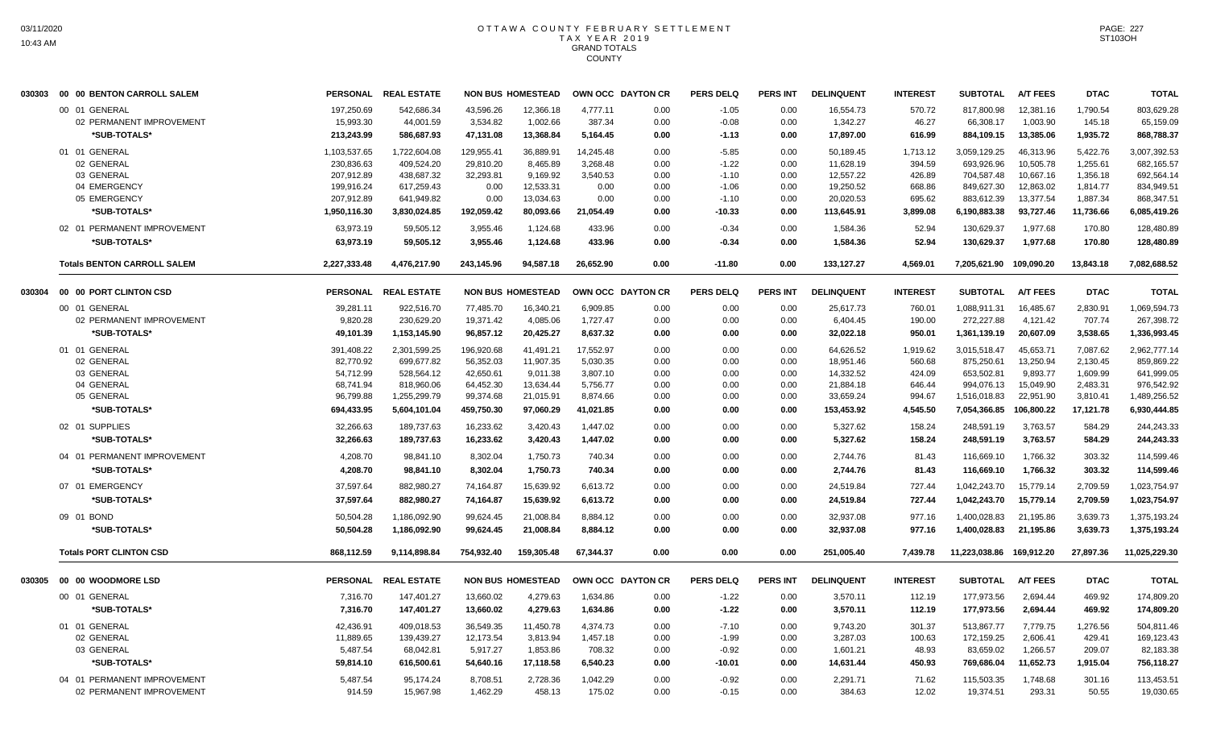|        | 030303    00    00    BENTON CARROLL SALEM |              | PERSONAL REAL ESTATE |            | <b>NON BUS HOMESTEAD</b> | OWN OCC DAYTON CR |      | <b>PERS DELQ</b> | <b>PERS INT</b> | <b>DELINQUENT</b> | <b>INTEREST</b> | <b>SUBTOTAL</b>          | <b>A/T FEES</b> | <b>DTAC</b> | <b>TOTAL</b>  |
|--------|--------------------------------------------|--------------|----------------------|------------|--------------------------|-------------------|------|------------------|-----------------|-------------------|-----------------|--------------------------|-----------------|-------------|---------------|
|        | 00 01 GENERAL                              | 197,250.69   | 542,686.34           | 43,596.26  | 12,366.18                | 4,777.11          | 0.00 | $-1.05$          | 0.00            | 16,554.73         | 570.72          | 817,800.98               | 12,381.16       | 1,790.54    | 803,629.28    |
|        | 02 PERMANENT IMPROVEMENT                   | 15,993.30    | 44,001.59            | 3,534.82   | 1,002.66                 | 387.34            | 0.00 | $-0.08$          | 0.00            | 1,342.27          | 46.27           | 66,308.17                | 1,003.90        | 145.18      | 65,159.09     |
|        | *SUB-TOTALS*                               | 213,243.99   | 586,687.93           | 47,131.08  | 13,368.84                | 5,164.45          | 0.00 | $-1.13$          | 0.00            | 17,897.00         | 616.99          | 884,109.15               | 13,385.06       | 1,935.72    | 868,788.37    |
|        | 01 01 GENERAL                              | 1,103,537.65 | 1,722,604.08         | 129,955.41 | 36,889.91                | 14.245.48         | 0.00 | $-5.85$          | 0.00            | 50,189.45         | 1,713.12        | 3,059,129.25             | 46.313.96       | 5,422.76    | 3,007,392.53  |
|        | 02 GENERAL                                 | 230,836.63   | 409,524.20           | 29,810.20  | 8,465.89                 | 3,268.48          | 0.00 | $-1.22$          | 0.00            | 11,628.19         | 394.59          | 693,926.96               | 10,505.78       | 1,255.61    | 682,165.57    |
|        | 03 GENERAL                                 | 207,912.89   | 438,687.32           | 32,293.81  | 9,169.92                 | 3,540.53          | 0.00 | $-1.10$          | 0.00            | 12,557.22         | 426.89          | 704,587.48               | 10,667.16       | 1,356.18    | 692,564.14    |
|        | 04 EMERGENCY                               | 199,916.24   | 617,259.43           | 0.00       | 12,533.31                | 0.00              | 0.00 | $-1.06$          | 0.00            | 19,250.52         | 668.86          | 849,627.30               | 12,863.02       | 1,814.77    | 834,949.51    |
|        | 05 EMERGENCY                               | 207,912.89   | 641,949.82           | 0.00       | 13,034.63                | 0.00              | 0.00 | $-1.10$          | 0.00            | 20,020.53         | 695.62          | 883,612.39               | 13,377.54       | 1,887.34    | 868,347.51    |
|        | *SUB-TOTALS*                               | 1,950,116.30 | 3,830,024.85         | 192,059.42 | 80,093.66                | 21,054.49         | 0.00 | $-10.33$         | 0.00            | 113,645.91        | 3,899.08        | 6,190,883.38             | 93,727.46       | 11,736.66   | 6,085,419.26  |
|        | 02 01 PERMANENT IMPROVEMENT                | 63,973.19    | 59,505.12            | 3,955.46   | 1,124.68                 | 433.96            | 0.00 | $-0.34$          | 0.00            | 1,584.36          | 52.94           | 130,629.37               | 1,977.68        | 170.80      | 128,480.89    |
|        | *SUB-TOTALS*                               | 63,973.19    | 59,505.12            | 3,955.46   | 1,124.68                 | 433.96            | 0.00 | $-0.34$          | 0.00            | 1,584.36          | 52.94           | 130,629.37               | 1,977.68        | 170.80      | 128,480.89    |
|        | <b>Totals BENTON CARROLL SALEM</b>         | 2,227,333.48 | 4,476,217.90         | 243,145.96 | 94.587.18                | 26,652.90         | 0.00 | $-11.80$         | 0.00            | 133,127.27        | 4,569.01        | 7,205,621.90 109,090.20  |                 | 13,843.18   | 7,082,688.52  |
| 030304 | 00 00 PORT CLINTON CSD                     |              | PERSONAL REAL ESTATE |            | <b>NON BUS HOMESTEAD</b> | OWN OCC DAYTON CR |      | <b>PERS DELQ</b> | <b>PERS INT</b> | <b>DELINQUENT</b> | <b>INTEREST</b> | <b>SUBTOTAL</b>          | <b>A/T FEES</b> | <b>DTAC</b> | <b>TOTAL</b>  |
|        | 00 01 GENERAL                              | 39,281.11    | 922,516.70           | 77.485.70  | 16.340.21                | 6,909.85          | 0.00 | 0.00             | 0.00            | 25,617.73         | 760.01          | 1.088.911.31             | 16,485.67       | 2,830.91    | 1,069,594.73  |
|        | 02 PERMANENT IMPROVEMENT                   | 9,820.28     | 230,629.20           | 19,371.42  | 4,085.06                 | 1,727.47          | 0.00 | 0.00             | 0.00            | 6,404.45          | 190.00          | 272,227.88               | 4,121.42        | 707.74      | 267,398.72    |
|        | *SUB-TOTALS*                               | 49,101.39    | 1,153,145.90         | 96,857.12  | 20,425.27                | 8,637.32          | 0.00 | 0.00             | 0.00            | 32,022.18         | 950.01          | 1,361,139.19             | 20,607.09       | 3,538.65    | 1,336,993.45  |
|        | 01 01 GENERAL                              | 391,408.22   | 2,301,599.25         | 196,920.68 | 41,491.21                | 17,552.97         | 0.00 | 0.00             | 0.00            | 64,626.52         | 1,919.62        | 3,015,518.47             | 45,653.71       | 7,087.62    | 2,962,777.14  |
|        | 02 GENERAL                                 | 82,770.92    | 699,677.82           | 56,352.03  | 11,907.35                | 5,030.35          | 0.00 | 0.00             | 0.00            | 18,951.46         | 560.68          | 875,250.61               | 13,250.94       | 2,130.45    | 859,869.22    |
|        | 03 GENERAL                                 | 54,712.99    | 528,564.12           | 42,650.61  | 9,011.38                 | 3,807.10          | 0.00 | 0.00             | 0.00            | 14,332.52         | 424.09          | 653,502.81               | 9,893.77        | 1,609.99    | 641,999.05    |
|        | 04 GENERAL                                 | 68,741.94    | 818,960.06           | 64,452.30  | 13,634.44                | 5,756.77          | 0.00 | 0.00             | 0.00            | 21,884.18         | 646.44          | 994,076.13               | 15,049.90       | 2,483.31    | 976,542.92    |
|        | 05 GENERAL                                 | 96,799.88    | 1,255,299.79         | 99,374.68  | 21,015.91                | 8,874.66          | 0.00 | 0.00             | 0.00            | 33,659.24         | 994.67          | 1,516,018.83             | 22,951.90       | 3,810.41    | 1,489,256.52  |
|        | *SUB-TOTALS*                               | 694,433.95   | 5,604,101.04         | 459,750.30 | 97,060.29                | 41,021.85         | 0.00 | 0.00             | 0.00            | 153,453.92        | 4,545.50        | 7,054,366.85             | 106,800.22      | 17,121.78   | 6,930,444.85  |
|        | 02 01 SUPPLIES                             | 32,266.63    | 189,737.63           | 16,233.62  | 3,420.43                 | 1,447.02          | 0.00 | 0.00             | 0.00            | 5,327.62          | 158.24          | 248,591.19               | 3,763.57        | 584.29      | 244,243.33    |
|        | *SUB-TOTALS*                               | 32,266.63    | 189,737.63           | 16,233.62  | 3,420.43                 | 1,447.02          | 0.00 | 0.00             | 0.00            | 5,327.62          | 158.24          | 248,591.19               | 3,763.57        | 584.29      | 244,243.33    |
|        | 04 01 PERMANENT IMPROVEMENT                | 4,208.70     | 98,841.10            | 8,302.04   | 1,750.73                 | 740.34            | 0.00 | 0.00             | 0.00            | 2,744.76          | 81.43           | 116,669.10               | 1,766.32        | 303.32      | 114,599.46    |
|        | *SUB-TOTALS*                               | 4,208.70     | 98,841.10            | 8,302.04   | 1,750.73                 | 740.34            | 0.00 | 0.00             | 0.00            | 2,744.76          | 81.43           | 116,669.10               | 1,766.32        | 303.32      | 114,599.46    |
|        | 07 01 EMERGENCY                            | 37,597.64    | 882,980.27           | 74,164.87  | 15,639.92                | 6,613.72          | 0.00 | 0.00             | 0.00            | 24,519.84         | 727.44          | 1,042,243.70             | 15,779.14       | 2,709.59    | 1,023,754.97  |
|        | *SUB-TOTALS*                               | 37,597.64    | 882,980.27           | 74,164.87  | 15,639.92                | 6,613.72          | 0.00 | 0.00             | 0.00            | 24,519.84         | 727.44          | 1,042,243.70             | 15,779.14       | 2,709.59    | 1,023,754.97  |
|        | 09 01 BOND                                 | 50,504.28    | 1,186,092.90         | 99,624.45  | 21,008.84                | 8,884.12          | 0.00 | 0.00             | 0.00            | 32,937.08         | 977.16          | 1,400,028.83             | 21,195.86       | 3,639.73    | 1,375,193.24  |
|        | *SUB-TOTALS*                               | 50,504.28    | 1,186,092.90         | 99,624.45  | 21,008.84                | 8,884.12          | 0.00 | 0.00             | 0.00            | 32,937.08         | 977.16          | 1,400,028.83             | 21,195.86       | 3,639.73    | 1,375,193.24  |
|        | <b>Totals PORT CLINTON CSD</b>             | 868,112.59   | 9.114.898.84         | 754.932.40 | 159.305.48               | 67.344.37         | 0.00 | 0.00             | 0.00            | 251.005.40        | 7.439.78        | 11,223,038.86 169,912.20 |                 | 27.897.36   | 11,025,229.30 |
| 030305 | 00 00 WOODMORE LSD                         |              | PERSONAL REAL ESTATE |            | <b>NON BUS HOMESTEAD</b> | OWN OCC DAYTON CR |      | <b>PERS DELQ</b> | <b>PERS INT</b> | <b>DELINQUENT</b> | <b>INTEREST</b> | <b>SUBTOTAL</b>          | <b>A/T FEES</b> | <b>DTAC</b> | <b>TOTAL</b>  |
|        | 00 01 GENERAL                              | 7,316.70     | 147,401.27           | 13,660.02  | 4,279.63                 | 1,634.86          | 0.00 | $-1.22$          | 0.00            | 3,570.11          | 112.19          | 177,973.56               | 2,694.44        | 469.92      | 174,809.20    |
|        | *SUB-TOTALS*                               | 7.316.70     | 147,401.27           | 13.660.02  | 4.279.63                 | 1.634.86          | 0.00 | $-1.22$          | 0.00            | 3,570.11          | 112.19          | 177,973.56               | 2.694.44        | 469.92      | 174,809.20    |
|        | 01 01 GENERAL                              | 42,436.91    | 409,018.53           | 36,549.35  | 11.450.78                | 4.374.73          | 0.00 | $-7.10$          | 0.00            | 9.743.20          | 301.37          | 513,867.77               | 7,779.75        | 1,276.56    | 504,811.46    |
|        | 02 GENERAL                                 | 11,889.65    | 139,439.27           | 12,173.54  | 3,813.94                 | 1,457.18          | 0.00 | $-1.99$          | 0.00            | 3,287.03          | 100.63          | 172,159.25               | 2,606.41        | 429.41      | 169,123.43    |
|        | 03 GENERAL                                 | 5,487.54     | 68,042.81            | 5,917.27   | 1,853.86                 | 708.32            | 0.00 | $-0.92$          | 0.00            | 1,601.21          | 48.93           | 83,659.02                | 1,266.57        | 209.07      | 82,183.38     |
|        | *SUB-TOTALS*                               | 59,814.10    | 616,500.61           | 54,640.16  | 17,118.58                | 6,540.23          | 0.00 | -10.01           | 0.00            | 14,631.44         | 450.93          | 769,686.04               | 11,652.73       | 1,915.04    | 756,118.27    |
|        | 04 01 PERMANENT IMPROVEMENT                | 5.487.54     | 95,174.24            | 8,708.51   | 2,728.36                 | 1,042.29          | 0.00 | $-0.92$          | 0.00            | 2,291.71          | 71.62           | 115,503.35               | 1,748.68        | 301.16      | 113,453.51    |
|        | 02 PERMANENT IMPROVEMENT                   | 914.59       | 15,967.98            | 1,462.29   | 458.13                   | 175.02            | 0.00 | $-0.15$          | 0.00            | 384.63            | 12.02           | 19,374.51                | 293.31          | 50.55       | 19,030.65     |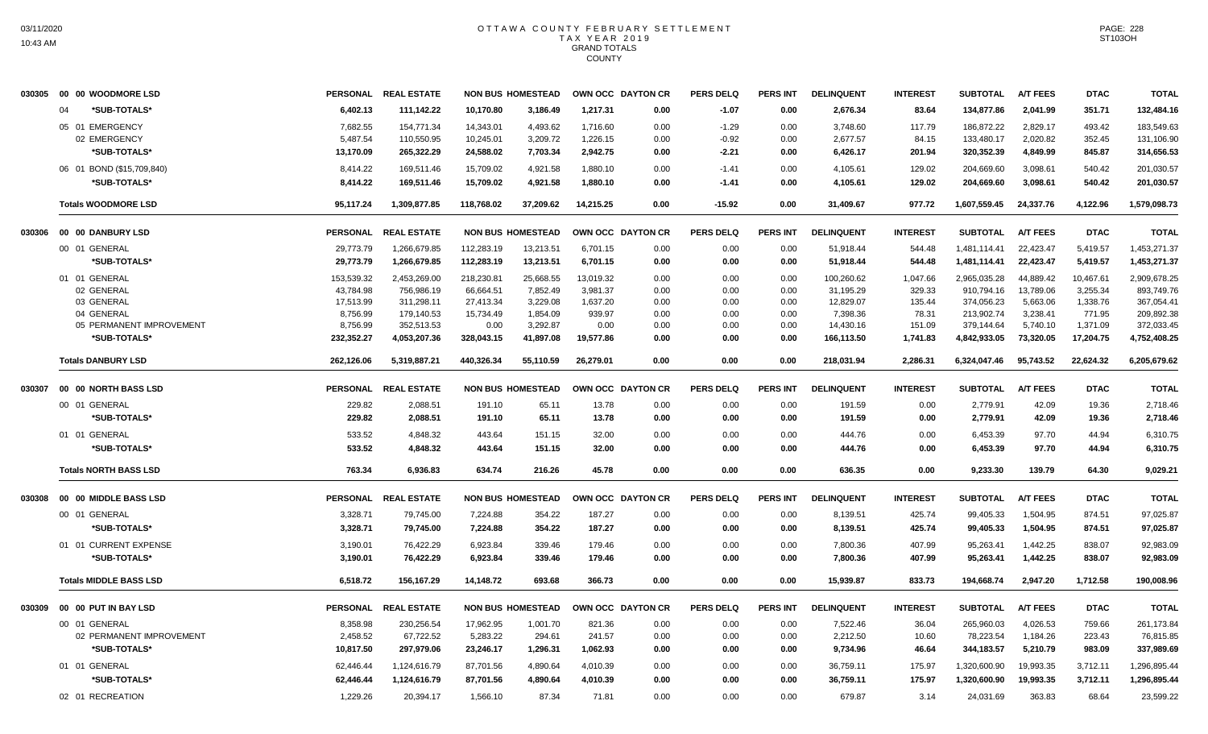| 030305 | 00 00 WOODMORE LSD            |                      | PERSONAL REAL ESTATE    |                       | <b>NON BUS HOMESTEAD</b> |                  | OWN OCC DAYTON CR | <b>PERS DELQ</b> | <b>PERS INT</b> | <b>DELINQUENT</b>    | <b>INTEREST</b> | <b>SUBTOTAL</b>         | <b>A/T FEES</b>      | <b>DTAC</b>      | <b>TOTAL</b>            |
|--------|-------------------------------|----------------------|-------------------------|-----------------------|--------------------------|------------------|-------------------|------------------|-----------------|----------------------|-----------------|-------------------------|----------------------|------------------|-------------------------|
|        | *SUB-TOTALS*<br>04            | 6,402.13             | 111,142.22              | 10,170.80             | 3,186.49                 | 1,217.31         | 0.00              | $-1.07$          | 0.00            | 2,676.34             | 83.64           | 134,877.86              | 2,041.99             | 351.71           | 132,484.16              |
|        | 05 01 EMERGENCY               | 7,682.55             | 154,771.34              | 14,343.01             | 4,493.62                 | 1,716.60         | 0.00              | $-1.29$          | 0.00            | 3,748.60             | 117.79          | 186,872.22              | 2,829.17             | 493.42           | 183,549.63              |
|        | 02 EMERGENCY                  | 5,487.54             | 110,550.95              | 10,245.01             | 3,209.72                 | 1,226.15         | 0.00              | $-0.92$          | 0.00            | 2,677.57             | 84.15           | 133,480.17              | 2,020.82             | 352.45           | 131,106.90              |
|        | *SUB-TOTALS*                  | 13,170.09            | 265,322.29              | 24,588.02             | 7,703.34                 | 2,942.75         | 0.00              | $-2.21$          | 0.00            | 6,426.17             | 201.94          | 320,352.39              | 4,849.99             | 845.87           | 314,656.53              |
|        | 06 01 BOND (\$15,709,840)     | 8,414.22             | 169,511.46              | 15,709.02             | 4,921.58                 | 1,880.10         | 0.00              | $-1.41$          | 0.00            | 4,105.61             | 129.02          | 204,669.60              | 3,098.61             | 540.42           | 201,030.57              |
|        | *SUB-TOTALS*                  | 8,414.22             | 169,511.46              | 15,709.02             | 4,921.58                 | 1,880.10         | 0.00              | $-1.41$          | 0.00            | 4,105.61             | 129.02          | 204,669.60              | 3,098.61             | 540.42           | 201,030.57              |
|        | <b>Totals WOODMORE LSD</b>    | 95.117.24            | 1,309,877.85            | 118,768.02            | 37.209.62                | 14.215.25        | 0.00              | $-15.92$         | 0.00            | 31,409.67            | 977.72          | 1,607,559.45            | 24,337.76            | 4.122.96         | 1,579,098.73            |
| 030306 | 00 00 DANBURY LSD             | <b>PERSONAL</b>      | <b>REAL ESTATE</b>      |                       | <b>NON BUS HOMESTEAD</b> |                  | OWN OCC DAYTON CR | <b>PERS DELQ</b> | <b>PERS INT</b> | <b>DELINQUENT</b>    | <b>INTEREST</b> | <b>SUBTOTAL</b>         | <b>A/T FEES</b>      | <b>DTAC</b>      | <b>TOTAL</b>            |
|        | 00 01 GENERAL                 | 29,773.79            | 1,266,679.85            | 112,283.19            | 13,213.51                | 6,701.15         | 0.00              | 0.00             | 0.00            | 51,918.44            | 544.48          | 1,481,114.41            | 22,423.47            | 5,419.57         | 1,453,271.37            |
|        | *SUB-TOTALS*                  | 29,773.79            | 1,266,679.85            | 112,283.19            | 13,213.51                | 6,701.15         | 0.00              | 0.00             | 0.00            | 51,918.44            | 544.48          | 1,481,114.41            | 22,423.47            | 5,419.57         | 1,453,271.37            |
|        | 01 01 GENERAL                 | 153,539.32           | 2,453,269.00            | 218,230.81            | 25,668.55                | 13,019.32        | 0.00              | 0.00             | 0.00            | 100,260.62           | 1,047.66        | 2,965,035.28            | 44,889.42            | 10,467.61        | 2,909,678.25            |
|        | 02 GENERAL                    | 43,784.98            | 756,986.19              | 66,664.51             | 7,852.49                 | 3,981.37         | 0.00              | 0.00             | 0.00            | 31,195.29            | 329.33          | 910,794.16              | 13,789.06            | 3,255.34         | 893,749.76              |
|        | 03 GENERAL                    | 17,513.99            | 311,298.11              | 27,413.34             | 3,229.08                 | 1,637.20         | 0.00              | 0.00             | 0.00            | 12,829.07            | 135.44          | 374,056.23              | 5,663.06             | 1,338.76         | 367,054.41              |
|        | 04 GENERAL                    | 8,756.99             | 179,140.53              | 15,734.49             | 1,854.09                 | 939.97           | 0.00              | 0.00             | 0.00            | 7,398.36             | 78.31           | 213,902.74              | 3,238.41             | 771.95           | 209,892.38              |
|        | 05 PERMANENT IMPROVEMENT      | 8,756.99             | 352,513.53              | 0.00                  | 3,292.87                 | 0.00             | 0.00              | 0.00             | 0.00            | 14,430.16            | 151.09          | 379,144.64              | 5,740.10             | 1,371.09         | 372,033.45              |
|        | *SUB-TOTALS*                  | 232,352.27           | 4,053,207.36            | 328,043.15            | 41.897.08                | 19.577.86        | 0.00              | 0.00             | 0.00            | 166,113.50           | 1,741.83        | 4,842,933.05            | 73,320.05            | 17,204.75        | 4,752,408.25            |
|        | <b>Totals DANBURY LSD</b>     | 262,126.06           | 5,319,887.21            | 440,326.34            | 55,110.59                | 26,279.01        | 0.00              | 0.00             | 0.00            | 218,031.94           | 2,286.31        | 6,324,047.46            | 95,743.52            | 22,624.32        | 6,205,679.62            |
| 030307 | 00 00 NORTH BASS LSD          | <b>PERSONAL</b>      | <b>REAL ESTATE</b>      |                       | <b>NON BUS HOMESTEAD</b> |                  | OWN OCC DAYTON CR | <b>PERS DELQ</b> | <b>PERS INT</b> | <b>DELINQUENT</b>    | <b>INTEREST</b> | <b>SUBTOTAL</b>         | <b>A/T FEES</b>      | <b>DTAC</b>      | <b>TOTAL</b>            |
|        | 00 01 GENERAL                 | 229.82               | 2,088.51                | 191.10                | 65.11                    | 13.78            | 0.00              | 0.00             | 0.00            | 191.59               | 0.00            | 2,779.91                | 42.09                | 19.36            | 2,718.46                |
|        | *SUB-TOTALS*                  | 229.82               | 2,088.51                | 191.10                | 65.11                    | 13.78            | 0.00              | 0.00             | 0.00            | 191.59               | 0.00            | 2,779.91                | 42.09                | 19.36            | 2,718.46                |
|        | 01 01 GENERAL                 | 533.52               | 4,848.32                | 443.64                | 151.15                   | 32.00            | 0.00              | 0.00             | 0.00            | 444.76               | 0.00            | 6,453.39                | 97.70                | 44.94            | 6,310.75                |
|        | *SUB-TOTALS*                  | 533.52               | 4,848.32                | 443.64                | 151.15                   | 32.00            | 0.00              | 0.00             | 0.00            | 444.76               | 0.00            | 6,453.39                | 97.70                | 44.94            | 6,310.75                |
|        | <b>Totals NORTH BASS LSD</b>  | 763.34               | 6.936.83                | 634.74                | 216.26                   | 45.78            | 0.00              | 0.00             | 0.00            | 636.35               | 0.00            | 9.233.30                | 139.79               | 64.30            | 9.029.21                |
|        | 030308 00 00 MIDDLE BASS LSD  | <b>PERSONAL</b>      | <b>REAL ESTATE</b>      |                       | <b>NON BUS HOMESTEAD</b> |                  | OWN OCC DAYTON CR | <b>PERS DELQ</b> | <b>PERS INT</b> | <b>DELINQUENT</b>    | <b>INTEREST</b> | <b>SUBTOTAL</b>         | <b>A/T FEES</b>      | <b>DTAC</b>      | <b>TOTAL</b>            |
|        | 00 01 GENERAL                 | 3,328.71             | 79,745.00               | 7.224.88              | 354.22                   | 187.27           | 0.00              | 0.00             | 0.00            | 8,139.51             | 425.74          | 99,405.33               | 1.504.95             | 874.51           | 97,025.87               |
|        | *SUB-TOTALS*                  | 3,328.71             | 79,745.00               | 7,224.88              | 354.22                   | 187.27           | 0.00              | 0.00             | 0.00            | 8,139.51             | 425.74          | 99,405.33               | 1,504.95             | 874.51           | 97,025.87               |
|        | 01 01 CURRENT EXPENSE         | 3,190.01             | 76,422.29               | 6.923.84              | 339.46                   | 179.46           | 0.00              | 0.00             | 0.00            | 7,800.36             | 407.99          | 95,263.41               | 1,442.25             | 838.07           | 92,983.09               |
|        | *SUB-TOTALS*                  | 3,190.01             | 76,422.29               | 6.923.84              | 339.46                   | 179.46           | 0.00              | 0.00             | 0.00            | 7,800.36             | 407.99          | 95,263.41               | 1,442.25             | 838.07           | 92,983.09               |
|        | <b>Totals MIDDLE BASS LSD</b> | 6,518.72             | 156,167.29              | 14,148.72             | 693.68                   | 366.73           | 0.00              | 0.00             | 0.00            | 15,939.87            | 833.73          | 194,668.74              | 2,947.20             | 1,712.58         | 190,008.96              |
| 030309 | 00 00 PUT IN BAY LSD          |                      | PERSONAL REAL ESTATE    |                       | <b>NON BUS HOMESTEAD</b> |                  | OWN OCC DAYTON CR | <b>PERS DELQ</b> | <b>PERS INT</b> | <b>DELINQUENT</b>    | <b>INTEREST</b> | <b>SUBTOTAL</b>         | <b>A/T FEES</b>      | <b>DTAC</b>      | <b>TOTAL</b>            |
|        | 00 01 GENERAL                 |                      |                         |                       |                          |                  |                   |                  |                 |                      |                 |                         |                      |                  |                         |
|        | 02 PERMANENT IMPROVEMENT      | 8,358.98<br>2,458.52 | 230,256.54<br>67,722.52 | 17,962.95<br>5,283.22 | 1,001.70<br>294.61       | 821.36<br>241.57 | 0.00<br>0.00      | 0.00<br>0.00     | 0.00<br>0.00    | 7,522.46<br>2,212.50 | 36.04<br>10.60  | 265,960.03<br>78,223.54 | 4,026.53<br>1,184.26 | 759.66<br>223.43 | 261,173.84<br>76,815.85 |
|        | *SUB-TOTALS*                  | 10,817.50            | 297,979.06              | 23,246.17             | 1,296.31                 | 1,062.93         | 0.00              | 0.00             | 0.00            | 9,734.96             | 46.64           | 344,183.57              | 5,210.79             | 983.09           | 337,989.69              |
|        | 01 01 GENERAL                 | 62,446.44            | 1,124,616.79            | 87,701.56             | 4,890.64                 | 4,010.39         | 0.00              | 0.00             | 0.00            | 36,759.11            | 175.97          | 1,320,600.90            | 19,993.35            | 3,712.11         | 1,296,895.44            |
|        | *SUB-TOTALS*                  | 62,446.44            | 1,124,616.79            | 87,701.56             | 4,890.64                 | 4,010.39         | 0.00              | 0.00             | 0.00            | 36,759.11            | 175.97          | 1,320,600.90            | 19,993.35            | 3,712.11         | 1,296,895.44            |
|        | 02 01 RECREATION              | 1,229.26             | 20,394.17               | 1,566.10              | 87.34                    | 71.81            | 0.00              | 0.00             | 0.00            | 679.87               | 3.14            | 24,031.69               | 363.83               | 68.64            | 23,599.22               |
|        |                               |                      |                         |                       |                          |                  |                   |                  |                 |                      |                 |                         |                      |                  |                         |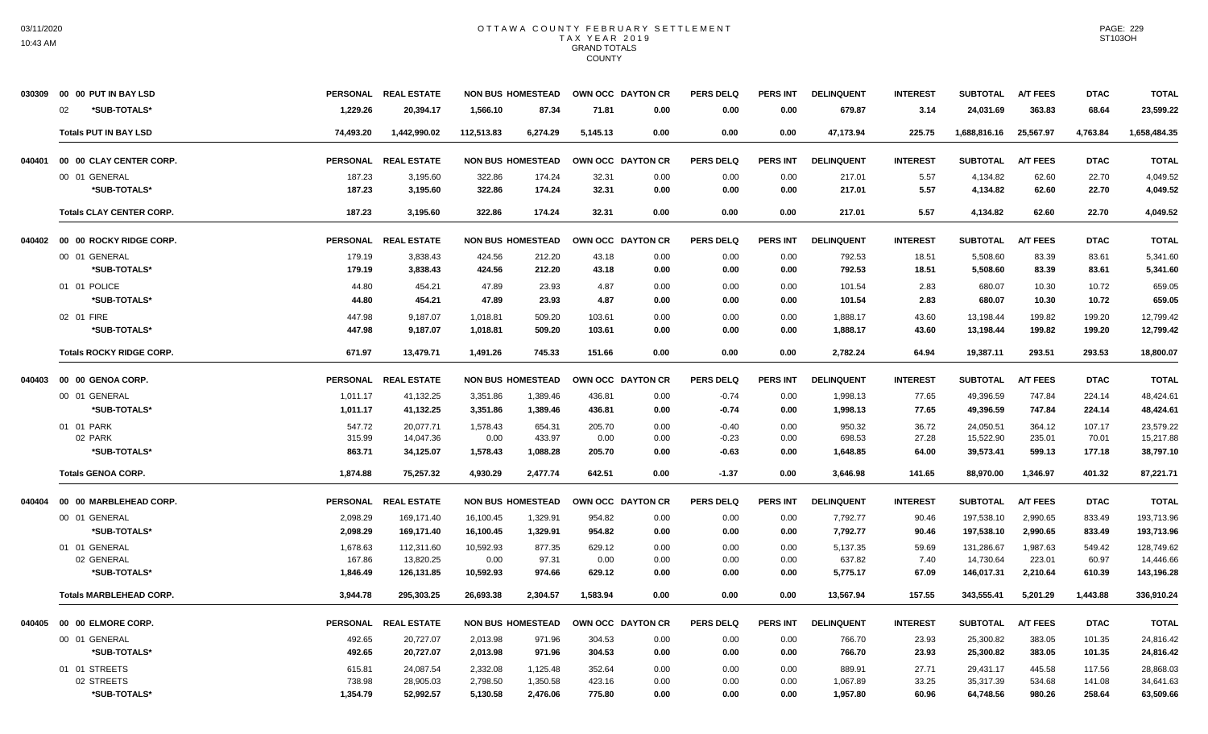|        | 030309 00 00 PUT IN BAY LSD     |           | PERSONAL REAL ESTATE |            | <b>NON BUS HOMESTEAD</b> | OWN OCC DAYTON CR |      | <b>PERS DELQ</b> | <b>PERS INT</b> | <b>DELINQUENT</b> | <b>INTEREST</b> | <b>SUBTOTAL</b> | <b>A/T FEES</b> | <b>DTAC</b> | <b>TOTAL</b> |
|--------|---------------------------------|-----------|----------------------|------------|--------------------------|-------------------|------|------------------|-----------------|-------------------|-----------------|-----------------|-----------------|-------------|--------------|
|        | *SUB-TOTALS*<br>02              | 1,229.26  | 20,394.17            | 1,566.10   | 87.34                    | 71.81             | 0.00 | 0.00             | 0.00            | 679.87            | 3.14            | 24,031.69       | 363.83          | 68.64       | 23,599.22    |
|        | <b>Totals PUT IN BAY LSD</b>    | 74,493.20 | 1,442,990.02         | 112,513.83 | 6,274.29                 | 5,145.13          | 0.00 | 0.00             | 0.00            | 47,173.94         | 225.75          | 1,688,816.16    | 25,567.97       | 4,763.84    | 1,658,484.35 |
| 040401 | 00 00 CLAY CENTER CORP.         |           | PERSONAL REAL ESTATE |            | <b>NON BUS HOMESTEAD</b> | OWN OCC DAYTON CR |      | <b>PERS DELQ</b> | <b>PERS INT</b> | <b>DELINQUENT</b> | <b>INTEREST</b> | <b>SUBTOTAL</b> | <b>A/T FEES</b> | <b>DTAC</b> | <b>TOTAL</b> |
|        | 00 01 GENERAL                   | 187.23    | 3,195.60             | 322.86     | 174.24                   | 32.31             | 0.00 | 0.00             | 0.00            | 217.01            | 5.57            | 4,134.82        | 62.60           | 22.70       | 4.049.52     |
|        | *SUB-TOTALS*                    | 187.23    | 3,195.60             | 322.86     | 174.24                   | 32.31             | 0.00 | 0.00             | 0.00            | 217.01            | 5.57            | 4,134.82        | 62.60           | 22.70       | 4,049.52     |
|        | <b>Totals CLAY CENTER CORP.</b> | 187.23    | 3,195.60             | 322.86     | 174.24                   | 32.31             | 0.00 | 0.00             | 0.00            | 217.01            | 5.57            | 4,134.82        | 62.60           | 22.70       | 4,049.52     |
| 040402 | 00 00 ROCKY RIDGE CORP.         |           | PERSONAL REAL ESTATE |            | <b>NON BUS HOMESTEAD</b> | OWN OCC DAYTON CR |      | <b>PERS DELQ</b> | <b>PERS INT</b> | <b>DELINQUENT</b> | <b>INTEREST</b> | <b>SUBTOTAL</b> | <b>A/T FEES</b> | <b>DTAC</b> | <b>TOTAL</b> |
|        | 00 01 GENERAL                   | 179.19    | 3,838.43             | 424.56     | 212.20                   | 43.18             | 0.00 | 0.00             | 0.00            | 792.53            | 18.51           | 5,508.60        | 83.39           | 83.61       | 5,341.60     |
|        | *SUB-TOTALS*                    | 179.19    | 3,838.43             | 424.56     | 212.20                   | 43.18             | 0.00 | 0.00             | 0.00            | 792.53            | 18.51           | 5,508.60        | 83.39           | 83.61       | 5,341.60     |
|        | 01 01 POLICE                    | 44.80     | 454.21               | 47.89      | 23.93                    | 4.87              | 0.00 | 0.00             | 0.00            | 101.54            | 2.83            | 680.07          | 10.30           | 10.72       | 659.05       |
|        | *SUB-TOTALS*                    | 44.80     | 454.21               | 47.89      | 23.93                    | 4.87              | 0.00 | 0.00             | 0.00            | 101.54            | 2.83            | 680.07          | 10.30           | 10.72       | 659.05       |
|        | 02 01 FIRE                      | 447.98    | 9,187.07             | 1,018.81   | 509.20                   | 103.61            | 0.00 | 0.00             | 0.00            | 1,888.17          | 43.60           | 13,198.44       | 199.82          | 199.20      | 12,799.42    |
|        | *SUB-TOTALS*                    | 447.98    | 9,187.07             | 1,018.81   | 509.20                   | 103.61            | 0.00 | 0.00             | 0.00            | 1,888.17          | 43.60           | 13,198.44       | 199.82          | 199.20      | 12,799.42    |
|        | <b>Totals ROCKY RIDGE CORP.</b> | 671.97    | 13,479.71            | 1,491.26   | 745.33                   | 151.66            | 0.00 | 0.00             | 0.00            | 2,782.24          | 64.94           | 19,387.11       | 293.51          | 293.53      | 18,800.07    |
| 040403 | 00 00 GENOA CORP.               |           | PERSONAL REAL ESTATE |            | <b>NON BUS HOMESTEAD</b> | OWN OCC DAYTON CR |      | <b>PERS DELQ</b> | <b>PERS INT</b> | <b>DELINQUENT</b> | <b>INTEREST</b> | <b>SUBTOTAL</b> | <b>A/T FEES</b> | <b>DTAC</b> | <b>TOTAL</b> |
|        | 00 01 GENERAL                   | 1,011.17  | 41,132.25            | 3,351.86   | 1,389.46                 | 436.81            | 0.00 | $-0.74$          | 0.00            | 1,998.13          | 77.65           | 49,396.59       | 747.84          | 224.14      | 48,424.61    |
|        | *SUB-TOTALS*                    | 1,011.17  | 41,132.25            | 3,351.86   | 1,389.46                 | 436.81            | 0.00 | $-0.74$          | 0.00            | 1,998.13          | 77.65           | 49,396.59       | 747.84          | 224.14      | 48,424.61    |
|        | 01 01 PARK                      | 547.72    | 20,077.71            | 1,578.43   | 654.31                   | 205.70            | 0.00 | $-0.40$          | 0.00            | 950.32            | 36.72           | 24,050.51       | 364.12          | 107.17      | 23,579.22    |
|        | 02 PARK                         | 315.99    | 14,047.36            | 0.00       | 433.97                   | 0.00              | 0.00 | $-0.23$          | 0.00            | 698.53            | 27.28           | 15,522.90       | 235.01          | 70.01       | 15,217.88    |
|        | *SUB-TOTALS*                    | 863.71    | 34,125.07            | 1,578.43   | 1,088.28                 | 205.70            | 0.00 | $-0.63$          | 0.00            | 1,648.85          | 64.00           | 39,573.41       | 599.13          | 177.18      | 38,797.10    |
|        | <b>Totals GENOA CORP.</b>       | 1.874.88  | 75.257.32            | 4.930.29   | 2.477.74                 | 642.51            | 0.00 | $-1.37$          | 0.00            | 3.646.98          | 141.65          | 88.970.00       | 1.346.97        | 401.32      | 87,221.71    |
| 040404 | 00 00 MARBLEHEAD CORP.          |           | PERSONAL REAL ESTATE |            | <b>NON BUS HOMESTEAD</b> | OWN OCC DAYTON CR |      | <b>PERS DELQ</b> | <b>PERS INT</b> | <b>DELINQUENT</b> | <b>INTEREST</b> | <b>SUBTOTAL</b> | <b>A/T FEES</b> | <b>DTAC</b> | <b>TOTAL</b> |
|        | 00 01 GENERAL                   | 2,098.29  | 169,171.40           | 16,100.45  | 1,329.91                 | 954.82            | 0.00 | 0.00             | 0.00            | 7,792.77          | 90.46           | 197,538.10      | 2,990.65        | 833.49      | 193,713.96   |
|        | *SUB-TOTALS*                    | 2,098.29  | 169,171.40           | 16,100.45  | 1,329.91                 | 954.82            | 0.00 | 0.00             | 0.00            | 7,792.77          | 90.46           | 197,538.10      | 2,990.65        | 833.49      | 193,713.96   |
|        | 01 01 GENERAL                   | 1,678.63  | 112,311.60           | 10,592.93  | 877.35                   | 629.12            | 0.00 | 0.00             | 0.00            | 5,137.35          | 59.69           | 131,286.67      | 1,987.63        | 549.42      | 128,749.62   |
|        | 02 GENERAL                      | 167.86    | 13,820.25            | 0.00       | 97.31                    | 0.00              | 0.00 | 0.00             | 0.00            | 637.82            | 7.40            | 14,730.64       | 223.01          | 60.97       | 14,446.66    |
|        | *SUB-TOTALS*                    | 1,846.49  | 126,131.85           | 10,592.93  | 974.66                   | 629.12            | 0.00 | 0.00             | 0.00            | 5,775.17          | 67.09           | 146,017.31      | 2,210.64        | 610.39      | 143,196.28   |
|        | <b>Totals MARBLEHEAD CORP.</b>  | 3,944.78  | 295,303.25           | 26,693.38  | 2,304.57                 | 1,583.94          | 0.00 | 0.00             | 0.00            | 13,567.94         | 157.55          | 343,555.41      | 5,201.29        | 1,443.88    | 336,910.24   |
|        | 040405  00  00  ELMORE CORP.    |           | PERSONAL REAL ESTATE |            | <b>NON BUS HOMESTEAD</b> | OWN OCC DAYTON CR |      | <b>PERS DELQ</b> | <b>PERS INT</b> | <b>DELINQUENT</b> | <b>INTEREST</b> | <b>SUBTOTAL</b> | <b>A/T FEES</b> | <b>DTAC</b> | <b>TOTAL</b> |
|        | 00 01 GENERAL                   | 492.65    | 20,727.07            | 2,013.98   | 971.96                   | 304.53            | 0.00 | 0.00             | 0.00            | 766.70            | 23.93           | 25,300.82       | 383.05          | 101.35      | 24,816.42    |
|        | *SUB-TOTALS*                    | 492.65    | 20,727.07            | 2,013.98   | 971.96                   | 304.53            | 0.00 | 0.00             | 0.00            | 766.70            | 23.93           | 25,300.82       | 383.05          | 101.35      | 24,816.42    |
|        | 01 01 STREETS                   | 615.81    | 24,087.54            | 2,332.08   | 1,125.48                 | 352.64            | 0.00 | 0.00             | 0.00            | 889.91            | 27.71           | 29,431.17       | 445.58          | 117.56      | 28,868.03    |
|        | 02 STREETS                      | 738.98    | 28,905.03            | 2,798.50   | 1,350.58                 | 423.16            | 0.00 | 0.00             | 0.00            | 1,067.89          | 33.25           | 35,317.39       | 534.68          | 141.08      | 34,641.63    |
|        | *SUB-TOTALS*                    | 1,354.79  | 52,992.57            | 5,130.58   | 2,476.06                 | 775.80            | 0.00 | 0.00             | 0.00            | 1,957.80          | 60.96           | 64,748.56       | 980.26          | 258.64      | 63,509.66    |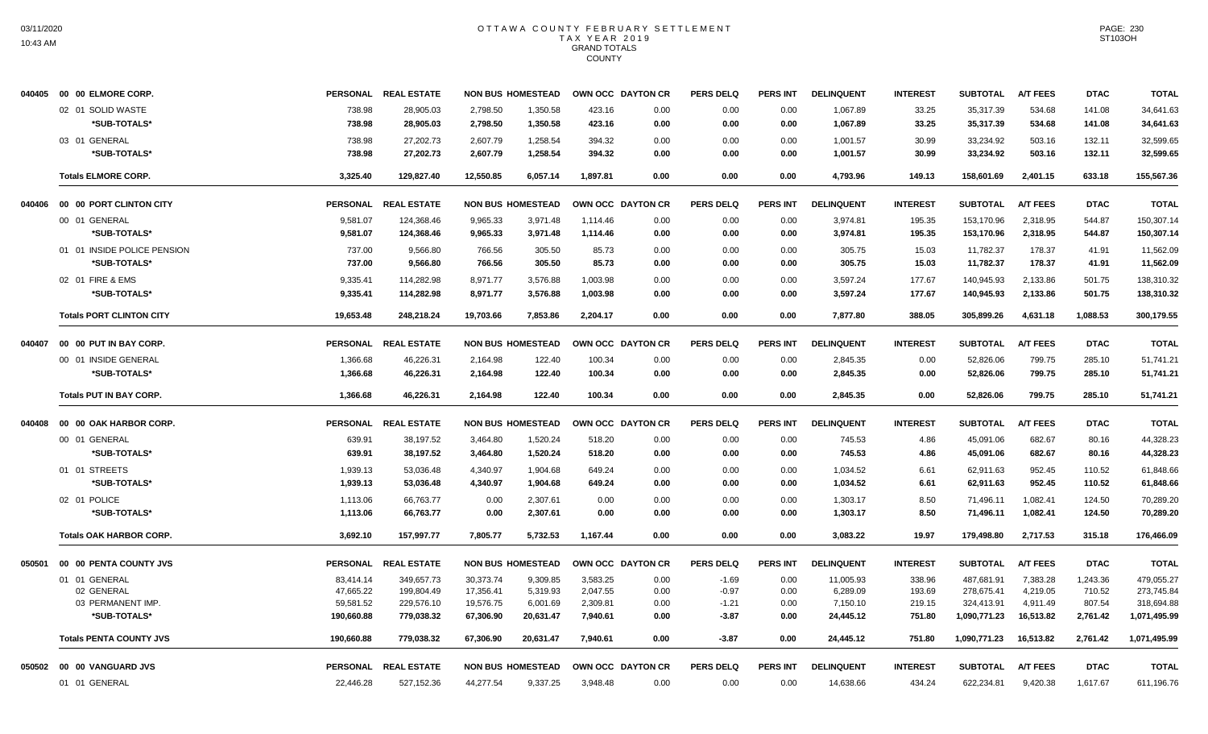| 040405 | 00 00 ELMORE CORP.              |                 | PERSONAL REAL ESTATE |           | <b>NON BUS HOMESTEAD</b> | OWN OCC DAYTON CR        |      | <b>PERS DELQ</b> | <b>PERS INT</b> | <b>DELINQUENT</b> | <b>INTEREST</b> | <b>SUBTOTAL</b> | <b>A/T FEES</b> | <b>DTAC</b> | <b>TOTAL</b> |
|--------|---------------------------------|-----------------|----------------------|-----------|--------------------------|--------------------------|------|------------------|-----------------|-------------------|-----------------|-----------------|-----------------|-------------|--------------|
|        | 02 01 SOLID WASTE               | 738.98          | 28,905.03            | 2,798.50  | 1,350.58                 | 423.16                   | 0.00 | 0.00             | 0.00            | 1,067.89          | 33.25           | 35,317.39       | 534.68          | 141.08      | 34,641.63    |
|        | *SUB-TOTALS*                    | 738.98          | 28,905.03            | 2,798.50  | 1,350.58                 | 423.16                   | 0.00 | 0.00             | 0.00            | 1,067.89          | 33.25           | 35,317.39       | 534.68          | 141.08      | 34,641.63    |
|        | 03 01 GENERAL                   | 738.98          | 27,202.73            | 2,607.79  | 1,258.54                 | 394.32                   | 0.00 | 0.00             | 0.00            | 1,001.57          | 30.99           | 33,234.92       | 503.16          | 132.11      | 32,599.65    |
|        | *SUB-TOTALS*                    | 738.98          | 27,202.73            | 2,607.79  | 1,258.54                 | 394.32                   | 0.00 | 0.00             | 0.00            | 1,001.57          | 30.99           | 33,234.92       | 503.16          | 132.11      | 32,599.65    |
|        | <b>Totals ELMORE CORP.</b>      | 3,325.40        | 129,827.40           | 12,550.85 | 6,057.14                 | 1,897.81                 | 0.00 | 0.00             | 0.00            | 4,793.96          | 149.13          | 158,601.69      | 2,401.15        | 633.18      | 155,567.36   |
| 040406 | 00 00 PORT CLINTON CITY         |                 | PERSONAL REAL ESTATE |           | <b>NON BUS HOMESTEAD</b> | OWN OCC DAYTON CR        |      | <b>PERS DELQ</b> | <b>PERS INT</b> | <b>DELINQUENT</b> | <b>INTEREST</b> | <b>SUBTOTAL</b> | <b>A/T FEES</b> | <b>DTAC</b> | <b>TOTAL</b> |
|        | 00 01 GENERAL                   | 9,581.07        | 124,368.46           | 9,965.33  | 3,971.48                 | 1,114.46                 | 0.00 | 0.00             | 0.00            | 3,974.81          | 195.35          | 153,170.96      | 2,318.95        | 544.87      | 150,307.14   |
|        | *SUB-TOTALS*                    | 9,581.07        | 124,368.46           | 9,965.33  | 3,971.48                 | 1,114.46                 | 0.00 | 0.00             | 0.00            | 3,974.81          | 195.35          | 153,170.96      | 2,318.95        | 544.87      | 150,307.14   |
|        | 01 01 INSIDE POLICE PENSION     | 737.00          | 9,566.80             | 766.56    | 305.50                   | 85.73                    | 0.00 | 0.00             | 0.00            | 305.75            | 15.03           | 11,782.37       | 178.37          | 41.91       | 11,562.09    |
|        | *SUB-TOTALS*                    | 737.00          | 9.566.80             | 766.56    | 305.50                   | 85.73                    | 0.00 | 0.00             | 0.00            | 305.75            | 15.03           | 11,782.37       | 178.37          | 41.91       | 11,562.09    |
|        | 02 01 FIRE & EMS                | 9,335.41        | 114,282.98           | 8,971.77  | 3,576.88                 | 1,003.98                 | 0.00 | 0.00             | 0.00            | 3,597.24          | 177.67          | 140,945.93      | 2,133.86        | 501.75      | 138,310.32   |
|        | *SUB-TOTALS*                    | 9,335.41        | 114,282.98           | 8,971.77  | 3,576.88                 | 1,003.98                 | 0.00 | 0.00             | 0.00            | 3,597.24          | 177.67          | 140,945.93      | 2,133.86        | 501.75      | 138,310.32   |
|        | <b>Totals PORT CLINTON CITY</b> | 19,653.48       | 248,218.24           | 19,703.66 | 7,853.86                 | 2,204.17                 | 0.00 | 0.00             | 0.00            | 7,877.80          | 388.05          | 305,899.26      | 4,631.18        | 1,088.53    | 300,179.55   |
| 040407 | 00 00 PUT IN BAY CORP.          |                 | PERSONAL REAL ESTATE |           | <b>NON BUS HOMESTEAD</b> | OWN OCC DAYTON CR        |      | <b>PERS DELQ</b> | <b>PERS INT</b> | <b>DELINQUENT</b> | <b>INTEREST</b> | <b>SUBTOTAL</b> | <b>A/T FEES</b> | <b>DTAC</b> | <b>TOTAL</b> |
|        | 00 01 INSIDE GENERAL            | 1,366.68        | 46,226.31            | 2,164.98  | 122.40                   | 100.34                   | 0.00 | 0.00             | 0.00            | 2,845.35          | 0.00            | 52,826.06       | 799.75          | 285.10      | 51,741.21    |
|        | *SUB-TOTALS*                    | 1,366.68        | 46,226.31            | 2,164.98  | 122.40                   | 100.34                   | 0.00 | 0.00             | 0.00            | 2,845.35          | 0.00            | 52,826.06       | 799.75          | 285.10      | 51,741.21    |
|        | <b>Totals PUT IN BAY CORP.</b>  | 1,366.68        | 46,226.31            | 2,164.98  | 122.40                   | 100.34                   | 0.00 | 0.00             | 0.00            | 2,845.35          | 0.00            | 52,826.06       | 799.75          | 285.10      | 51,741.21    |
| 040408 | 00 00 OAK HARBOR CORP.          |                 | PERSONAL REAL ESTATE |           | <b>NON BUS HOMESTEAD</b> | <b>OWN OCC DAYTON CR</b> |      | <b>PERS DELQ</b> | PERS INT        | <b>DELINQUENT</b> | <b>INTEREST</b> | <b>SUBTOTAL</b> | <b>A/T FEES</b> | <b>DTAC</b> | <b>TOTAL</b> |
|        | 00 01 GENERAL                   | 639.91          | 38,197.52            | 3,464.80  | 1,520.24                 | 518.20                   | 0.00 | 0.00             | 0.00            | 745.53            | 4.86            | 45,091.06       | 682.67          | 80.16       | 44,328.23    |
|        | *SUB-TOTALS*                    | 639.91          | 38,197.52            | 3,464.80  | 1,520.24                 | 518.20                   | 0.00 | 0.00             | 0.00            | 745.53            | 4.86            | 45,091.06       | 682.67          | 80.16       | 44,328.23    |
|        | 01 01 STREETS                   | 1,939.13        | 53,036.48            | 4,340.97  | 1,904.68                 | 649.24                   | 0.00 | 0.00             | 0.00            | 1,034.52          | 6.61            | 62,911.63       | 952.45          | 110.52      | 61,848.66    |
|        | *SUB-TOTALS*                    | 1,939.13        | 53,036.48            | 4,340.97  | 1,904.68                 | 649.24                   | 0.00 | 0.00             | 0.00            | 1,034.52          | 6.61            | 62,911.63       | 952.45          | 110.52      | 61,848.66    |
|        | 02 01 POLICE                    | 1,113.06        | 66,763.77            | 0.00      | 2,307.61                 | 0.00                     | 0.00 | 0.00             | 0.00            | 1,303.17          | 8.50            | 71,496.11       | 1,082.41        | 124.50      | 70,289.20    |
|        | *SUB-TOTALS*                    | 1,113.06        | 66,763.77            | 0.00      | 2,307.61                 | 0.00                     | 0.00 | 0.00             | 0.00            | 1,303.17          | 8.50            | 71,496.11       | 1,082.41        | 124.50      | 70,289.20    |
|        | <b>Totals OAK HARBOR CORP.</b>  | 3,692.10        | 157.997.77           | 7.805.77  | 5.732.53                 | 1.167.44                 | 0.00 | 0.00             | 0.00            | 3.083.22          | 19.97           | 179.498.80      | 2.717.53        | 315.18      | 176,466.09   |
|        | 050501 00 00 PENTA COUNTY JVS   | <b>PERSONAL</b> | <b>REAL ESTATE</b>   |           | <b>NON BUS HOMESTEAD</b> | OWN OCC DAYTON CR        |      | <b>PERS DELQ</b> | <b>PERS INT</b> | <b>DELINQUENT</b> | <b>INTEREST</b> | <b>SUBTOTAL</b> | <b>A/T FEES</b> | <b>DTAC</b> | <b>TOTAL</b> |
|        | 01 01 GENERAL                   | 83,414.14       | 349,657.73           | 30,373.74 | 9,309.85                 | 3,583.25                 | 0.00 | $-1.69$          | 0.00            | 11,005.93         | 338.96          | 487,681.91      | 7,383.28        | 1,243.36    | 479,055.27   |
|        | 02 GENERAL                      | 47.665.22       | 199.804.49           | 17.356.41 | 5.319.93                 | 2.047.55                 | 0.00 | $-0.97$          | 0.00            | 6.289.09          | 193.69          | 278.675.41      | 4.219.05        | 710.52      | 273.745.84   |
|        | 03 PERMANENT IMP.               | 59,581.52       | 229,576.10           | 19,576.75 | 6,001.69                 | 2,309.81                 | 0.00 | $-1.21$          | 0.00            | 7,150.10          | 219.15          | 324,413.91      | 4,911.49        | 807.54      | 318,694.88   |
|        | *SUB-TOTALS*                    | 190,660.88      | 779,038.32           | 67,306.90 | 20,631.47                | 7,940.61                 | 0.00 | $-3.87$          | 0.00            | 24,445.12         | 751.80          | 1,090,771.23    | 16,513.82       | 2,761.42    | 1,071,495.99 |
|        | <b>Totals PENTA COUNTY JVS</b>  | 190,660.88      | 779,038.32           | 67,306.90 | 20,631.47                | 7.940.61                 | 0.00 | $-3.87$          | 0.00            | 24,445.12         | 751.80          | 1,090,771.23    | 16,513.82       | 2,761.42    | 1,071,495.99 |
|        | 050502 00 00 VANGUARD JVS       |                 | PERSONAL REAL ESTATE |           | <b>NON BUS HOMESTEAD</b> | OWN OCC DAYTON CR        |      | <b>PERS DELQ</b> | <b>PERS INT</b> | <b>DELINQUENT</b> | <b>INTEREST</b> | <b>SUBTOTAL</b> | <b>A/T FEES</b> | <b>DTAC</b> | <b>TOTAL</b> |
|        | 01 01 GENERAL                   | 22,446.28       | 527,152.36           | 44,277.54 | 9,337.25                 | 3,948.48                 | 0.00 | 0.00             | 0.00            | 14,638.66         | 434.24          | 622,234.81      | 9,420.38        | 1,617.67    | 611,196.76   |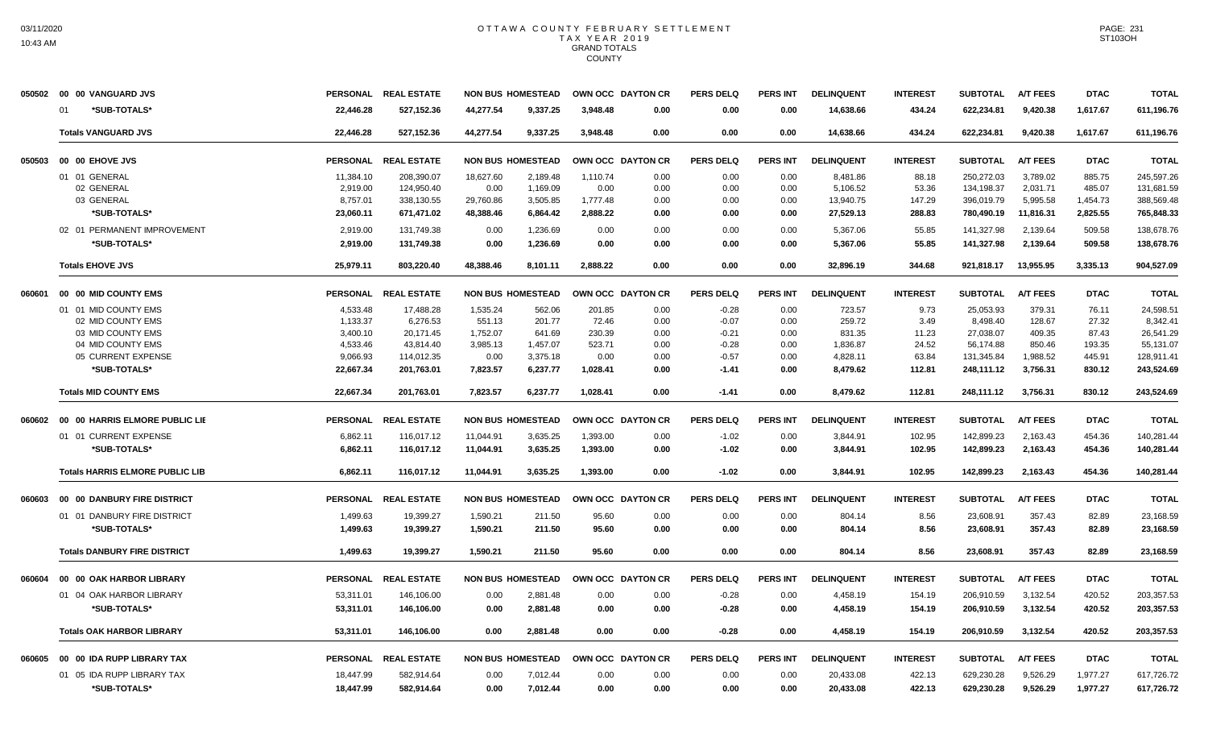| 050502 | 00 00 VANGUARD JVS                     | <b>PERSONAL</b> | <b>REAL ESTATE</b>   |           | <b>NON BUS HOMESTEAD</b> | OWN OCC DAYTON CR |      | <b>PERS DELQ</b> | <b>PERS INT</b> | <b>DELINQUENT</b> | <b>INTEREST</b> | <b>SUBTOTAL</b> | <b>A/T FEES</b> | <b>DTAC</b> | <b>TOTAL</b> |
|--------|----------------------------------------|-----------------|----------------------|-----------|--------------------------|-------------------|------|------------------|-----------------|-------------------|-----------------|-----------------|-----------------|-------------|--------------|
|        | *SUB-TOTALS*<br>01                     | 22,446.28       | 527,152.36           | 44,277.54 | 9,337.25                 | 3,948.48          | 0.00 | 0.00             | 0.00            | 14,638.66         | 434.24          | 622,234.81      | 9,420.38        | 1,617.67    | 611,196.76   |
|        | <b>Totals VANGUARD JVS</b>             | 22,446.28       | 527,152.36           | 44,277.54 | 9,337.25                 | 3,948.48          | 0.00 | 0.00             | 0.00            | 14,638.66         | 434.24          | 622,234.81      | 9,420.38        | 1,617.67    | 611,196.76   |
| 050503 | 00 00 EHOVE JVS                        | <b>PERSONAL</b> | <b>REAL ESTATE</b>   |           | <b>NON BUS HOMESTEAD</b> | OWN OCC DAYTON CR |      | <b>PERS DELQ</b> | <b>PERS INT</b> | <b>DELINQUENT</b> | <b>INTEREST</b> | <b>SUBTOTAL</b> | <b>A/T FEES</b> | <b>DTAC</b> | <b>TOTAL</b> |
|        | 01 01 GENERAL                          | 11,384.10       | 208,390.07           | 18,627.60 | 2,189.48                 | 1,110.74          | 0.00 | 0.00             | 0.00            | 8,481.86          | 88.18           | 250,272.03      | 3,789.02        | 885.75      | 245,597.26   |
|        | 02 GENERAL                             | 2,919.00        | 124,950.40           | 0.00      | 1,169.09                 | 0.00              | 0.00 | 0.00             | 0.00            | 5,106.52          | 53.36           | 134,198.37      | 2,031.71        | 485.07      | 131,681.59   |
|        | 03 GENERAL                             | 8,757.01        | 338,130.55           | 29,760.86 | 3,505.85                 | 1,777.48          | 0.00 | 0.00             | 0.00            | 13,940.75         | 147.29          | 396,019.79      | 5,995.58        | 1,454.73    | 388,569.48   |
|        | *SUB-TOTALS*                           | 23,060.11       | 671,471.02           | 48,388.46 | 6.864.42                 | 2.888.22          | 0.00 | 0.00             | 0.00            | 27,529.13         | 288.83          | 780,490.19      | 11,816.31       | 2,825.55    | 765,848.33   |
|        | 02 01 PERMANENT IMPROVEMENT            | 2,919.00        | 131.749.38           | 0.00      | 1.236.69                 | 0.00              | 0.00 | 0.00             | 0.00            | 5,367.06          | 55.85           | 141,327.98      | 2.139.64        | 509.58      | 138,678.76   |
|        | *SUB-TOTALS*                           | 2,919.00        | 131,749.38           | 0.00      | 1,236.69                 | 0.00              | 0.00 | 0.00             | 0.00            | 5,367.06          | 55.85           | 141,327.98      | 2,139.64        | 509.58      | 138,678.76   |
|        | <b>Totals EHOVE JVS</b>                | 25,979.11       | 803,220.40           | 48,388.46 | 8,101.11                 | 2,888.22          | 0.00 | 0.00             | 0.00            | 32,896.19         | 344.68          | 921,818.17      | 13,955.95       | 3,335.13    | 904,527.09   |
| 060601 | 00 00 MID COUNTY EMS                   |                 | PERSONAL REAL ESTATE |           | <b>NON BUS HOMESTEAD</b> | OWN OCC DAYTON CR |      | <b>PERS DELQ</b> | <b>PERS INT</b> | <b>DELINQUENT</b> | <b>INTEREST</b> | <b>SUBTOTAL</b> | <b>A/T FEES</b> | <b>DTAC</b> | <b>TOTAL</b> |
|        | 01 01 MID COUNTY EMS                   | 4,533.48        | 17,488.28            | 1,535.24  | 562.06                   | 201.85            | 0.00 | $-0.28$          | 0.00            | 723.57            | 9.73            | 25,053.93       | 379.31          | 76.11       | 24,598.51    |
|        | 02 MID COUNTY EMS                      | 1,133.37        | 6,276.53             | 551.13    | 201.77                   | 72.46             | 0.00 | $-0.07$          | 0.00            | 259.72            | 3.49            | 8,498.40        | 128.67          | 27.32       | 8,342.41     |
|        | 03 MID COUNTY EMS                      | 3.400.10        | 20.171.45            | 1.752.07  | 641.69                   | 230.39            | 0.00 | $-0.21$          | 0.00            | 831.35            | 11.23           | 27.038.07       | 409.35          | 87.43       | 26,541.29    |
|        | 04 MID COUNTY EMS                      | 4,533.46        | 43,814.40            | 3,985.13  | 1,457.07                 | 523.71            | 0.00 | $-0.28$          | 0.00            | 1,836.87          | 24.52           | 56,174.88       | 850.46          | 193.35      | 55,131.07    |
|        | 05 CURRENT EXPENSE                     | 9,066.93        | 114,012.35           | 0.00      | 3,375.18                 | 0.00              | 0.00 | $-0.57$          | 0.00            | 4,828.11          | 63.84           | 131,345.84      | 1,988.52        | 445.91      | 128,911.41   |
|        | *SUB-TOTALS*                           | 22,667.34       | 201,763.01           | 7,823.57  | 6,237.77                 | 1,028.41          | 0.00 | $-1.41$          | 0.00            | 8,479.62          | 112.81          | 248,111.12      | 3,756.31        | 830.12      | 243,524.69   |
|        | <b>Totals MID COUNTY EMS</b>           | 22,667.34       | 201,763.01           | 7,823.57  | 6,237.77                 | 1,028.41          | 0.00 | $-1.41$          | 0.00            | 8,479.62          | 112.81          | 248,111.12      | 3,756.31        | 830.12      | 243,524.69   |
| 060602 | 00 00 HARRIS ELMORE PUBLIC LIE         | <b>PERSONAL</b> | <b>REAL ESTATE</b>   |           | <b>NON BUS HOMESTEAD</b> | OWN OCC DAYTON CR |      | <b>PERS DELQ</b> | <b>PERS INT</b> | <b>DELINQUENT</b> | <b>INTEREST</b> | <b>SUBTOTAL</b> | <b>A/T FEES</b> | <b>DTAC</b> | <b>TOTAL</b> |
|        | 01 01 CURRENT EXPENSE                  | 6,862.11        | 116,017.12           | 11,044.91 | 3,635.25                 | 1,393.00          | 0.00 | $-1.02$          | 0.00            | 3,844.91          | 102.95          | 142,899.23      | 2,163.43        | 454.36      | 140,281.44   |
|        | *SUB-TOTALS*                           | 6,862.11        | 116,017.12           | 11,044.91 | 3,635.25                 | 1,393.00          | 0.00 | $-1.02$          | 0.00            | 3,844.91          | 102.95          | 142,899.23      | 2,163.43        | 454.36      | 140,281.44   |
|        | <b>Totals HARRIS ELMORE PUBLIC LIB</b> | 6,862.11        | 116,017.12           | 11,044.91 | 3,635.25                 | 1,393.00          | 0.00 | $-1.02$          | 0.00            | 3,844.91          | 102.95          | 142,899.23      | 2,163.43        | 454.36      | 140,281.44   |
| 060603 | 00 00 DANBURY FIRE DISTRICT            | <b>PERSONAL</b> | <b>REAL ESTATE</b>   |           | <b>NON BUS HOMESTEAD</b> | OWN OCC DAYTON CR |      | <b>PERS DELQ</b> | <b>PERS INT</b> | <b>DELINQUENT</b> | <b>INTEREST</b> | <b>SUBTOTAL</b> | <b>A/T FEES</b> | <b>DTAC</b> | <b>TOTAL</b> |
|        | 01 01 DANBURY FIRE DISTRICT            | 1,499.63        | 19,399.27            | 1,590.21  | 211.50                   | 95.60             | 0.00 | 0.00             | 0.00            | 804.14            | 8.56            | 23,608.91       | 357.43          | 82.89       | 23,168.59    |
|        | *SUB-TOTALS*                           | 1,499.63        | 19,399.27            | 1,590.21  | 211.50                   | 95.60             | 0.00 | 0.00             | 0.00            | 804.14            | 8.56            | 23,608.91       | 357.43          | 82.89       | 23,168.59    |
|        | <b>Totals DANBURY FIRE DISTRICT</b>    | 1,499.63        | 19.399.27            | 1.590.21  | 211.50                   | 95.60             | 0.00 | 0.00             | 0.00            | 804.14            | 8.56            | 23,608.91       | 357.43          | 82.89       | 23,168.59    |
| 060604 | 00 00 OAK HARBOR LIBRARY               | <b>PERSONAL</b> | <b>REAL ESTATE</b>   |           | <b>NON BUS HOMESTEAD</b> | OWN OCC DAYTON CR |      | <b>PERS DELQ</b> | <b>PERS INT</b> | <b>DELINQUENT</b> | <b>INTEREST</b> | <b>SUBTOTAL</b> | <b>A/T FEES</b> | <b>DTAC</b> | <b>TOTAL</b> |
|        | 01 04 OAK HARBOR LIBRARY               | 53,311.01       | 146,106.00           | 0.00      | 2,881.48                 | 0.00              | 0.00 | $-0.28$          | 0.00            | 4,458.19          | 154.19          | 206,910.59      | 3,132.54        | 420.52      | 203,357.53   |
|        | *SUB-TOTALS*                           | 53,311.01       | 146,106.00           | 0.00      | 2,881.48                 | 0.00              | 0.00 | $-0.28$          | 0.00            | 4,458.19          | 154.19          | 206,910.59      | 3,132.54        | 420.52      | 203,357.53   |
|        |                                        |                 |                      |           |                          |                   |      |                  |                 |                   |                 |                 |                 |             |              |
|        | <b>Totals OAK HARBOR LIBRARY</b>       | 53,311.01       | 146.106.00           | 0.00      | 2,881.48                 | 0.00              | 0.00 | $-0.28$          | 0.00            | 4,458.19          | 154.19          | 206.910.59      | 3.132.54        | 420.52      | 203,357.53   |
| 060605 | 00 00 IDA RUPP LIBRARY TAX             | <b>PERSONAL</b> | <b>REAL ESTATE</b>   |           | <b>NON BUS HOMESTEAD</b> | OWN OCC DAYTON CR |      | <b>PERS DELQ</b> | <b>PERS INT</b> | <b>DELINQUENT</b> | <b>INTEREST</b> | <b>SUBTOTAL</b> | <b>A/T FEES</b> | <b>DTAC</b> | <b>TOTAL</b> |
|        | 01 05 IDA RUPP LIBRARY TAX             | 18,447.99       | 582,914.64           | 0.00      | 7,012.44                 | 0.00              | 0.00 | 0.00             | 0.00            | 20,433.08         | 422.13          | 629,230.28      | 9.526.29        | 1.977.27    | 617,726.72   |
|        | *SUB-TOTALS*                           | 18,447.99       | 582,914.64           | 0.00      | 7,012.44                 | 0.00              | 0.00 | 0.00             | 0.00            | 20,433.08         | 422.13          | 629,230.28      | 9,526.29        | 1,977.27    | 617,726.72   |
|        |                                        |                 |                      |           |                          |                   |      |                  |                 |                   |                 |                 |                 |             |              |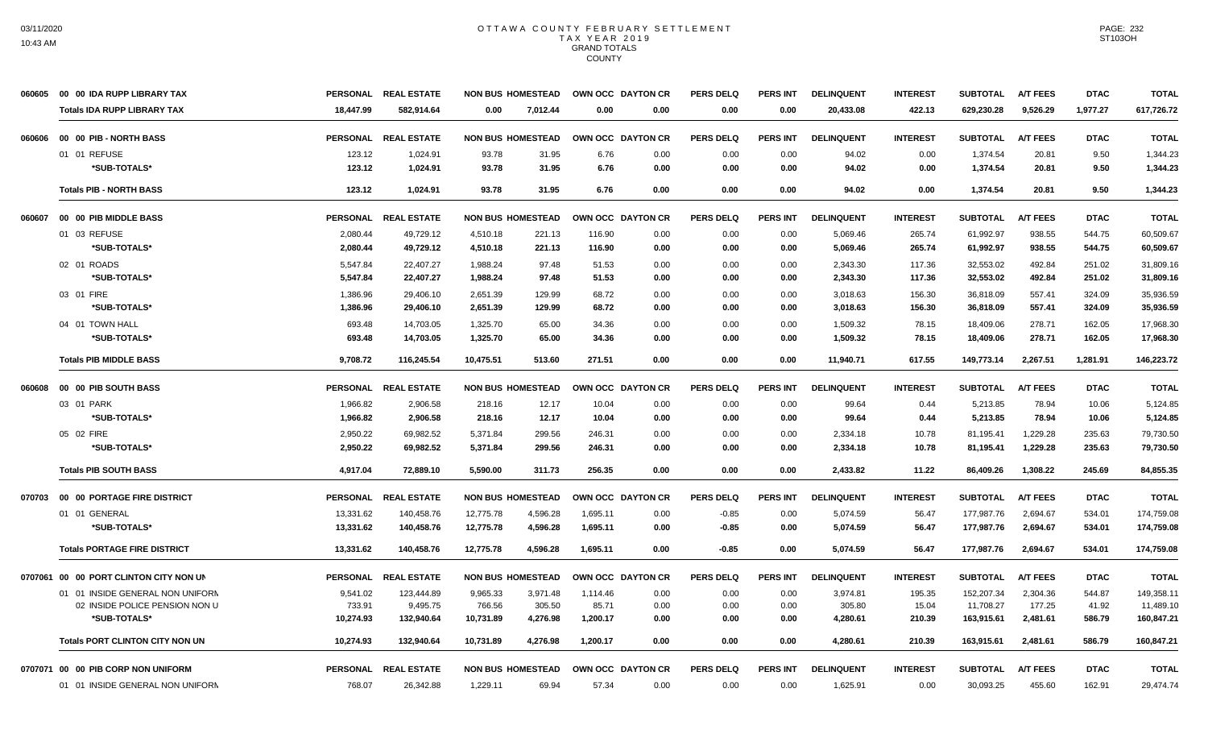|        | 060605 00 00 IDA RUPP LIBRARY TAX      |                 | PERSONAL REAL ESTATE |                          | <b>NON BUS HOMESTEAD</b> |                   | OWN OCC DAYTON CR | <b>PERS DELQ</b> | <b>PERS INT</b> | <b>DELINQUENT</b> | <b>INTEREST</b> | <b>SUBTOTAL</b> | <b>A/T FEES</b> | <b>DTAC</b> | <b>TOTAL</b> |
|--------|----------------------------------------|-----------------|----------------------|--------------------------|--------------------------|-------------------|-------------------|------------------|-----------------|-------------------|-----------------|-----------------|-----------------|-------------|--------------|
|        | <b>Totals IDA RUPP LIBRARY TAX</b>     | 18,447.99       | 582,914.64           | 0.00                     | 7.012.44                 | 0.00              | 0.00              | 0.00             | 0.00            | 20,433.08         | 422.13          | 629,230.28      | 9,526.29        | 1,977.27    | 617,726.72   |
| 060606 | 00 00 PIB - NORTH BASS                 |                 | PERSONAL REAL ESTATE |                          | <b>NON BUS HOMESTEAD</b> | OWN OCC DAYTON CR |                   | <b>PERS DELQ</b> | <b>PERS INT</b> | <b>DELINQUENT</b> | <b>INTEREST</b> | <b>SUBTOTAL</b> | <b>A/T FEES</b> | <b>DTAC</b> | <b>TOTAL</b> |
|        | 01 01 REFUSE                           | 123.12          | 1,024.91             | 93.78                    | 31.95                    | 6.76              | 0.00              | 0.00             | 0.00            | 94.02             | 0.00            | 1,374.54        | 20.81           | 9.50        | 1,344.23     |
|        | *SUB-TOTALS*                           | 123.12          | 1,024.91             | 93.78                    | 31.95                    | 6.76              | 0.00              | 0.00             | 0.00            | 94.02             | 0.00            | 1,374.54        | 20.81           | 9.50        | 1,344.23     |
|        | <b>Totals PIB - NORTH BASS</b>         | 123.12          | 1.024.91             | 93.78                    | 31.95                    | 6.76              | 0.00              | 0.00             | 0.00            | 94.02             | 0.00            | 1.374.54        | 20.81           | 9.50        | 1.344.23     |
| 060607 | 00 00 PIB MIDDLE BASS                  |                 | PERSONAL REAL ESTATE | <b>NON BUS HOMESTEAD</b> |                          |                   | OWN OCC DAYTON CR | <b>PERS DELQ</b> | PERS INT        | <b>DELINQUENT</b> | <b>INTEREST</b> | <b>SUBTOTAL</b> | <b>A/T FEES</b> | <b>DTAC</b> | <b>TOTAL</b> |
|        | 01 03 REFUSE                           | 2,080.44        | 49,729.12            | 4,510.18                 | 221.13                   | 116.90            | 0.00              | 0.00             | 0.00            | 5,069.46          | 265.74          | 61,992.97       | 938.55          | 544.75      | 60,509.67    |
|        | *SUB-TOTALS*                           | 2,080.44        | 49,729.12            | 4,510.18                 | 221.13                   | 116.90            | 0.00              | 0.00             | 0.00            | 5,069.46          | 265.74          | 61,992.97       | 938.55          | 544.75      | 60,509.67    |
|        | 02 01 ROADS                            | 5,547.84        | 22,407.27            | 1,988.24                 | 97.48                    | 51.53             | 0.00              | 0.00             | 0.00            | 2,343.30          | 117.36          | 32,553.02       | 492.84          | 251.02      | 31,809.16    |
|        | *SUB-TOTALS*                           | 5,547.84        | 22,407.27            | 1.988.24                 | 97.48                    | 51.53             | 0.00              | 0.00             | 0.00            | 2,343.30          | 117.36          | 32,553.02       | 492.84          | 251.02      | 31,809.16    |
|        | 03 01 FIRE                             | 1,386.96        | 29,406.10            | 2,651.39                 | 129.99                   | 68.72             | 0.00              | 0.00             | 0.00            | 3,018.63          | 156.30          | 36,818.09       | 557.41          | 324.09      | 35,936.59    |
|        | *SUB-TOTALS*                           | 1,386.96        | 29,406.10            | 2,651.39                 | 129.99                   | 68.72             | 0.00              | 0.00             | 0.00            | 3,018.63          | 156.30          | 36,818.09       | 557.41          | 324.09      | 35,936.59    |
|        | 04 01 TOWN HALL                        | 693.48          | 14,703.05            | 1,325.70                 | 65.00                    | 34.36             | 0.00              | 0.00             | 0.00            | 1,509.32          | 78.15           | 18,409.06       | 278.71          | 162.05      | 17,968.30    |
|        | *SUB-TOTALS*                           | 693.48          | 14,703.05            | 1,325.70                 | 65.00                    | 34.36             | 0.00              | 0.00             | 0.00            | 1,509.32          | 78.15           | 18,409.06       | 278.71          | 162.05      | 17,968.30    |
|        | <b>Totals PIB MIDDLE BASS</b>          | 9,708.72        | 116,245.54           | 10,475.51                | 513.60                   | 271.51            | 0.00              | 0.00             | 0.00            | 11,940.71         | 617.55          | 149,773.14      | 2,267.51        | 1,281.91    | 146,223.72   |
| 060608 | 00 00 PIB SOUTH BASS                   | <b>PERSONAL</b> | <b>REAL ESTATE</b>   | <b>NON BUS HOMESTEAD</b> |                          | OWN OCC DAYTON CR |                   | <b>PERS DELQ</b> | <b>PERS INT</b> | <b>DELINQUENT</b> | <b>INTEREST</b> | <b>SUBTOTAL</b> | <b>A/T FEES</b> | <b>DTAC</b> | <b>TOTAL</b> |
|        | 03 01 PARK                             | 1,966.82        | 2,906.58             | 218.16                   | 12.17                    | 10.04             | 0.00              | 0.00             | 0.00            | 99.64             | 0.44            | 5,213.85        | 78.94           | 10.06       | 5,124.85     |
|        | *SUB-TOTALS*                           | 1,966.82        | 2,906.58             | 218.16                   | 12.17                    | 10.04             | 0.00              | 0.00             | 0.00            | 99.64             | 0.44            | 5,213.85        | 78.94           | 10.06       | 5,124.85     |
|        | 05 02 FIRE                             | 2,950.22        | 69.982.52            | 5,371.84                 | 299.56                   | 246.31            | 0.00              | 0.00             | 0.00            | 2,334.18          | 10.78           | 81,195.41       | 1,229.28        | 235.63      | 79,730.50    |
|        | *SUB-TOTALS*                           | 2,950.22        | 69,982.52            | 5,371.84                 | 299.56                   | 246.31            | 0.00              | 0.00             | 0.00            | 2,334.18          | 10.78           | 81,195.41       | 1,229.28        | 235.63      | 79,730.50    |
|        | <b>Totals PIB SOUTH BASS</b>           | 4.917.04        | 72.889.10            | 5.590.00                 | 311.73                   | 256.35            | 0.00              | 0.00             | 0.00            | 2.433.82          | 11.22           | 86,409.26       | 1.308.22        | 245.69      | 84.855.35    |
| 070703 | 00 00 PORTAGE FIRE DISTRICT            |                 | PERSONAL REAL ESTATE | <b>NON BUS HOMESTEAD</b> |                          |                   | OWN OCC DAYTON CR | <b>PERS DELQ</b> | <b>PERS INT</b> | <b>DELINQUENT</b> | <b>INTEREST</b> | <b>SUBTOTAL</b> | <b>A/T FEES</b> | <b>DTAC</b> | <b>TOTAL</b> |
|        | 01 01 GENERAL                          | 13,331.62       | 140,458.76           | 12,775.78                | 4,596.28                 | 1,695.11          | 0.00              | $-0.85$          | 0.00            | 5,074.59          | 56.47           | 177,987.76      | 2,694.67        | 534.01      | 174,759.08   |
|        | *SUB-TOTALS*                           | 13,331.62       | 140,458.76           | 12,775.78                | 4,596.28                 | 1,695.11          | 0.00              | $-0.85$          | 0.00            | 5,074.59          | 56.47           | 177,987.76      | 2,694.67        | 534.01      | 174,759.08   |
|        | <b>Totals PORTAGE FIRE DISTRICT</b>    | 13,331.62       | 140,458.76           | 12,775.78                | 4,596.28                 | 1,695.11          | 0.00              | $-0.85$          | 0.00            | 5,074.59          | 56.47           | 177,987.76      | 2,694.67        | 534.01      | 174,759.08   |
|        | 0707061 00 00 PORT CLINTON CITY NON UN | PERSONAL        | <b>REAL ESTATE</b>   | <b>NON BUS HOMESTEAD</b> |                          | OWN OCC DAYTON CR |                   | <b>PERS DELQ</b> | <b>PERS INT</b> | <b>DELINQUENT</b> | <b>INTEREST</b> | <b>SUBTOTAL</b> | <b>A/T FEES</b> | <b>DTAC</b> | <b>TOTAL</b> |
|        | 01 01 INSIDE GENERAL NON UNIFORM       | 9,541.02        | 123,444.89           | 9,965.33                 | 3,971.48                 | 1,114.46          | 0.00              | 0.00             | 0.00            | 3,974.81          | 195.35          | 152,207.34      | 2,304.36        | 544.87      | 149,358.11   |
|        | 02 INSIDE POLICE PENSION NON U         | 733.91          | 9,495.75             | 766.56                   | 305.50                   | 85.71             | 0.00              | 0.00             | 0.00            | 305.80            | 15.04           | 11,708.27       | 177.25          | 41.92       | 11,489.10    |
|        | *SUB-TOTALS*                           | 10,274.93       | 132,940.64           | 10,731.89                | 4,276.98                 | 1,200.17          | 0.00              | 0.00             | 0.00            | 4,280.61          | 210.39          | 163,915.61      | 2,481.61        | 586.79      | 160,847.21   |
|        | <b>Totals PORT CLINTON CITY NON UN</b> | 10,274.93       | 132,940.64           | 10,731.89                | 4,276.98                 | 1,200.17          | 0.00              | 0.00             | 0.00            | 4,280.61          | 210.39          | 163,915.61      | 2,481.61        | 586.79      | 160,847.21   |
|        | 0707071 00 00 PIB CORP NON UNIFORM     |                 | PERSONAL REAL ESTATE | <b>NON BUS HOMESTEAD</b> |                          | OWN OCC DAYTON CR |                   | <b>PERS DELQ</b> | <b>PERS INT</b> | <b>DELINQUENT</b> | <b>INTEREST</b> | <b>SUBTOTAL</b> | <b>A/T FEES</b> | <b>DTAC</b> | <b>TOTAL</b> |
|        | 01 01 INSIDE GENERAL NON UNIFORN       | 768.07          | 26,342.88            | 1,229.11                 | 69.94                    | 57.34             | 0.00              | 0.00             | 0.00            | 1,625.91          | 0.00            | 30,093.25       | 455.60          | 162.91      | 29,474.74    |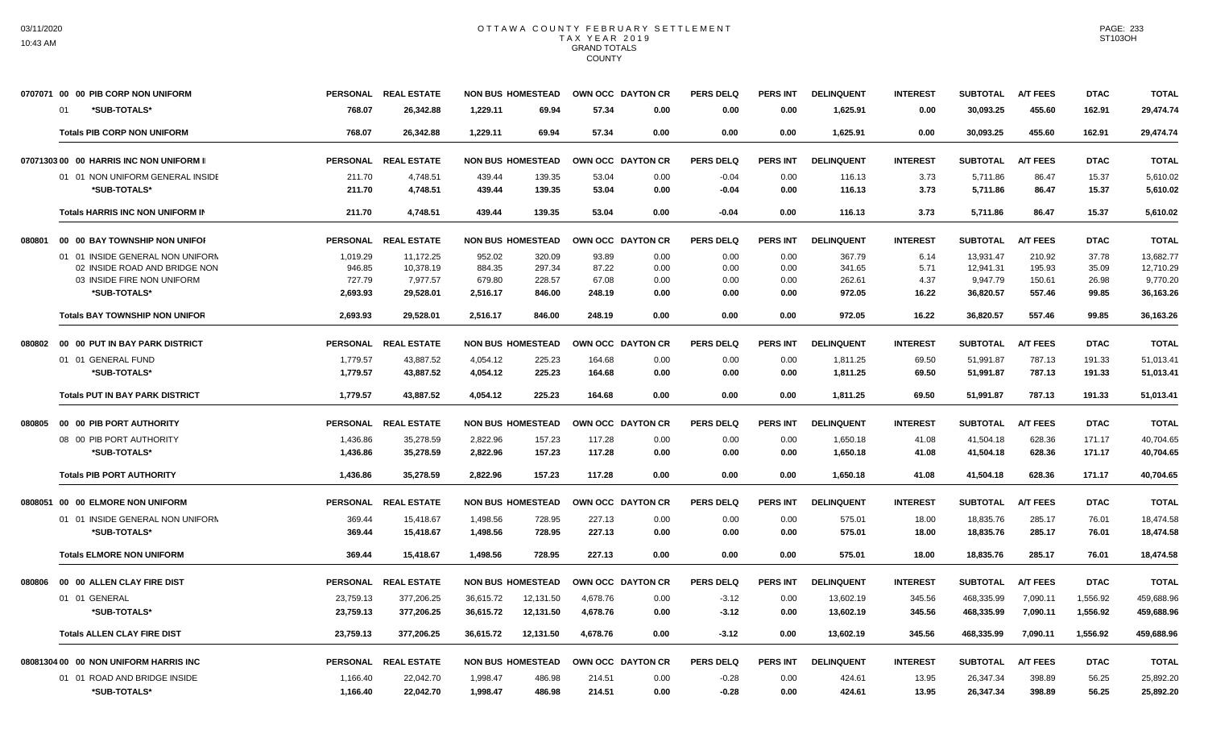|        | 0707071 00 00 PIB CORP NON UNIFORM         |                    | PERSONAL REAL ESTATE  |                    | <b>NON BUS HOMESTEAD</b> | OWN OCC DAYTON CR |              | <b>PERS DELQ</b> | <b>PERS INT</b> | <b>DELINQUENT</b> | <b>INTEREST</b> | <b>SUBTOTAL</b>       | <b>A/T FEES</b>  | <b>DTAC</b>    | <b>TOTAL</b>          |
|--------|--------------------------------------------|--------------------|-----------------------|--------------------|--------------------------|-------------------|--------------|------------------|-----------------|-------------------|-----------------|-----------------------|------------------|----------------|-----------------------|
|        | *SUB-TOTALS*<br><b>01</b>                  | 768.07             | 26,342.88             | 1,229.11           | 69.94                    | 57.34             | 0.00         | 0.00             | 0.00            | 1,625.91          | 0.00            | 30,093.25             | 455.60           | 162.91         | 29,474.74             |
|        | <b>Totals PIB CORP NON UNIFORM</b>         | 768.07             | 26.342.88             | 1.229.11           | 69.94                    | 57.34             | 0.00         | 0.00             | 0.00            | 1.625.91          | 0.00            | 30.093.25             | 455.60           | 162.91         | 29.474.74             |
|        | 07071303 00 00 HARRIS INC NON UNIFORM II   | <b>PERSONAL</b>    | <b>REAL ESTATE</b>    |                    | <b>NON BUS HOMESTEAD</b> | OWN OCC DAYTON CR |              | <b>PERS DELQ</b> | <b>PERS INT</b> | <b>DELINQUENT</b> | <b>INTEREST</b> | <b>SUBTOTAL</b>       | <b>A/T FEES</b>  | <b>DTAC</b>    | <b>TOTAL</b>          |
|        | 01 01 NON UNIFORM GENERAL INSIDE           | 211.70             | 4,748.51              | 439.44             | 139.35                   | 53.04             | 0.00         | $-0.04$          | 0.00            | 116.13            | 3.73            | 5,711.86              | 86.47            | 15.37          | 5,610.02              |
|        | *SUB-TOTALS*                               | 211.70             | 4,748.51              | 439.44             | 139.35                   | 53.04             | 0.00         | $-0.04$          | 0.00            | 116.13            | 3.73            | 5.711.86              | 86.47            | 15.37          | 5,610.02              |
|        | Totals HARRIS INC NON UNIFORM IN           | 211.70             | 4,748.51              | 439.44             | 139.35                   | 53.04             | 0.00         | $-0.04$          | 0.00            | 116.13            | 3.73            | 5,711.86              | 86.47            | 15.37          | 5,610.02              |
| 080801 | 00 00 BAY TOWNSHIP NON UNIFOR              | <b>PERSONAL</b>    | <b>REAL ESTATE</b>    |                    | <b>NON BUS HOMESTEAD</b> | OWN OCC DAYTON CR |              | <b>PERS DELQ</b> | <b>PERS INT</b> | <b>DELINQUENT</b> | <b>INTEREST</b> | <b>SUBTOTAL</b>       | <b>A/T FEES</b>  | <b>DTAC</b>    | <b>TOTAL</b>          |
|        | 01 01 INSIDE GENERAL NON UNIFORM           | 1,019.29           | 11,172.25             | 952.02             | 320.09                   | 93.89             | 0.00         | 0.00             | 0.00            | 367.79            | 6.14            | 13,931.47             | 210.92           | 37.78          | 13,682.77             |
|        | 02 INSIDE ROAD AND BRIDGE NON              | 946.85             | 10,378.19             | 884.35             | 297.34                   | 87.22             | 0.00         | 0.00             | 0.00            | 341.65            | 5.71            | 12,941.31             | 195.93           | 35.09          | 12,710.29             |
|        | 03 INSIDE FIRE NON UNIFORM<br>*SUB-TOTALS* | 727.79<br>2,693.93 | 7,977.57<br>29,528.01 | 679.80<br>2,516.17 | 228.57<br>846.00         | 67.08<br>248.19   | 0.00<br>0.00 | 0.00<br>0.00     | 0.00<br>0.00    | 262.61<br>972.05  | 4.37<br>16.22   | 9,947.79<br>36,820.57 | 150.61<br>557.46 | 26.98<br>99.85 | 9,770.20<br>36,163.26 |
|        | <b>Totals BAY TOWNSHIP NON UNIFOR</b>      | 2,693.93           | 29,528.01             | 2,516.17           | 846.00                   | 248.19            | 0.00         | 0.00             | 0.00            | 972.05            | 16.22           | 36,820.57             | 557.46           | 99.85          | 36,163.26             |
| 080802 | 00 00 PUT IN BAY PARK DISTRICT             |                    | PERSONAL REAL ESTATE  |                    | <b>NON BUS HOMESTEAD</b> | OWN OCC DAYTON CR |              | PERS DELO        | <b>PERS INT</b> | <b>DELINQUENT</b> | <b>INTEREST</b> | <b>SUBTOTAL</b>       | <b>A/T FEES</b>  | <b>DTAC</b>    | <b>TOTAL</b>          |
|        | 01 01 GENERAL FUND                         | 1,779.57           | 43,887.52             | 4,054.12           | 225.23                   | 164.68            | 0.00         | 0.00             | 0.00            | 1,811.25          | 69.50           | 51,991.87             | 787.13           | 191.33         | 51,013.41             |
|        | *SUB-TOTALS*                               | 1,779.57           | 43,887.52             | 4,054.12           | 225.23                   | 164.68            | 0.00         | 0.00             | 0.00            | 1,811.25          | 69.50           | 51,991.87             | 787.13           | 191.33         | 51,013.41             |
|        | <b>Totals PUT IN BAY PARK DISTRICT</b>     | 1,779.57           | 43,887.52             | 4,054.12           | 225.23                   | 164.68            | 0.00         | 0.00             | 0.00            | 1,811.25          | 69.50           | 51,991.87             | 787.13           | 191.33         | 51,013.41             |
| 080805 | 00 00 PIB PORT AUTHORITY                   |                    | PERSONAL REAL ESTATE  |                    | <b>NON BUS HOMESTEAD</b> | OWN OCC DAYTON CR |              | <b>PERS DELQ</b> | <b>PERS INT</b> | <b>DELINQUENT</b> | <b>INTEREST</b> | <b>SUBTOTAL</b>       | <b>A/T FEES</b>  | <b>DTAC</b>    | <b>TOTAL</b>          |
|        | 08 00 PIB PORT AUTHORITY                   | 1,436.86           | 35,278.59             | 2,822.96           | 157.23                   | 117.28            | 0.00         | 0.00             | 0.00            | 1,650.18          | 41.08           | 41,504.18             | 628.36           | 171.17         | 40,704.65             |
|        | *SUB-TOTALS*                               | 1,436.86           | 35,278.59             | 2,822.96           | 157.23                   | 117.28            | 0.00         | 0.00             | 0.00            | 1,650.18          | 41.08           | 41,504.18             | 628.36           | 171.17         | 40,704.65             |
|        | <b>Totals PIB PORT AUTHORITY</b>           | 1,436.86           | 35,278.59             | 2.822.96           | 157.23                   | 117.28            | 0.00         | 0.00             | 0.00            | 1,650.18          | 41.08           | 41,504.18             | 628.36           | 171.17         | 40,704.65             |
|        | 0808051 00 00 ELMORE NON UNIFORM           | <b>PERSONAL</b>    | <b>REAL ESTATE</b>    |                    | <b>NON BUS HOMESTEAD</b> | OWN OCC DAYTON CR |              | <b>PERS DELQ</b> | <b>PERS INT</b> | <b>DELINQUENT</b> | <b>INTEREST</b> | <b>SUBTOTAL</b>       | <b>A/T FEES</b>  | <b>DTAC</b>    | <b>TOTAL</b>          |
|        | 01 01 INSIDE GENERAL NON UNIFORN           | 369.44             | 15,418.67             | 1,498.56           | 728.95                   | 227.13            | 0.00         | 0.00             | 0.00            | 575.01            | 18.00           | 18,835.76             | 285.17           | 76.01          | 18,474.58             |
|        | *SUB-TOTALS*                               | 369.44             | 15,418.67             | 1,498.56           | 728.95                   | 227.13            | 0.00         | 0.00             | 0.00            | 575.01            | 18.00           | 18,835.76             | 285.17           | 76.01          | 18.474.58             |
|        | <b>Totals ELMORE NON UNIFORM</b>           | 369.44             | 15,418.67             | 1,498.56           | 728.95                   | 227.13            | 0.00         | 0.00             | 0.00            | 575.01            | 18.00           | 18,835.76             | 285.17           | 76.01          | 18,474.58             |
| 080806 | 00 00 ALLEN CLAY FIRE DIST                 | <b>PERSONAL</b>    | <b>REAL ESTATE</b>    |                    | <b>NON BUS HOMESTEAD</b> | OWN OCC DAYTON CR |              | <b>PERS DELQ</b> | <b>PERS INT</b> | <b>DELINQUENT</b> | <b>INTEREST</b> | <b>SUBTOTAL</b>       | <b>A/T FEES</b>  | <b>DTAC</b>    | <b>TOTAL</b>          |
|        | 01 01 GENERAL                              | 23,759.13          | 377,206.25            | 36.615.72          | 12,131.50                | 4,678.76          | 0.00         | $-3.12$          | 0.00            | 13,602.19         | 345.56          | 468.335.99            | 7,090.11         | 1,556.92       | 459,688.96            |
|        | *SUB-TOTALS*                               | 23,759.13          | 377,206.25            | 36,615.72          | 12,131.50                | 4,678.76          | 0.00         | $-3.12$          | 0.00            | 13,602.19         | 345.56          | 468,335.99            | 7,090.11         | 1,556.92       | 459,688.96            |
|        | <b>Totals ALLEN CLAY FIRE DIST</b>         | 23,759.13          | 377.206.25            | 36.615.72          | 12,131.50                | 4.678.76          | 0.00         | $-3.12$          | 0.00            | 13,602.19         | 345.56          | 468,335.99            | 7.090.11         | 1,556.92       | 459,688.96            |
|        | 08081304 00 00 NON UNIFORM HARRIS INC      |                    | PERSONAL REAL ESTATE  |                    | <b>NON BUS HOMESTEAD</b> | OWN OCC DAYTON CR |              | <b>PERS DELQ</b> | <b>PERS INT</b> | <b>DELINQUENT</b> | <b>INTEREST</b> | <b>SUBTOTAL</b>       | <b>A/T FEES</b>  | <b>DTAC</b>    | <b>TOTAL</b>          |
|        | 01 01 ROAD AND BRIDGE INSIDE               | 1,166.40           | 22,042.70             | 1,998.47           | 486.98                   | 214.51            | 0.00         | $-0.28$          | 0.00            | 424.61            | 13.95           | 26,347.34             | 398.89           | 56.25          | 25,892.20             |
|        | *SUB-TOTALS*                               | 1,166.40           | 22,042.70             | 1,998.47           | 486.98                   | 214.51            | 0.00         | $-0.28$          | 0.00            | 424.61            | 13.95           | 26,347.34             | 398.89           | 56.25          | 25,892.20             |